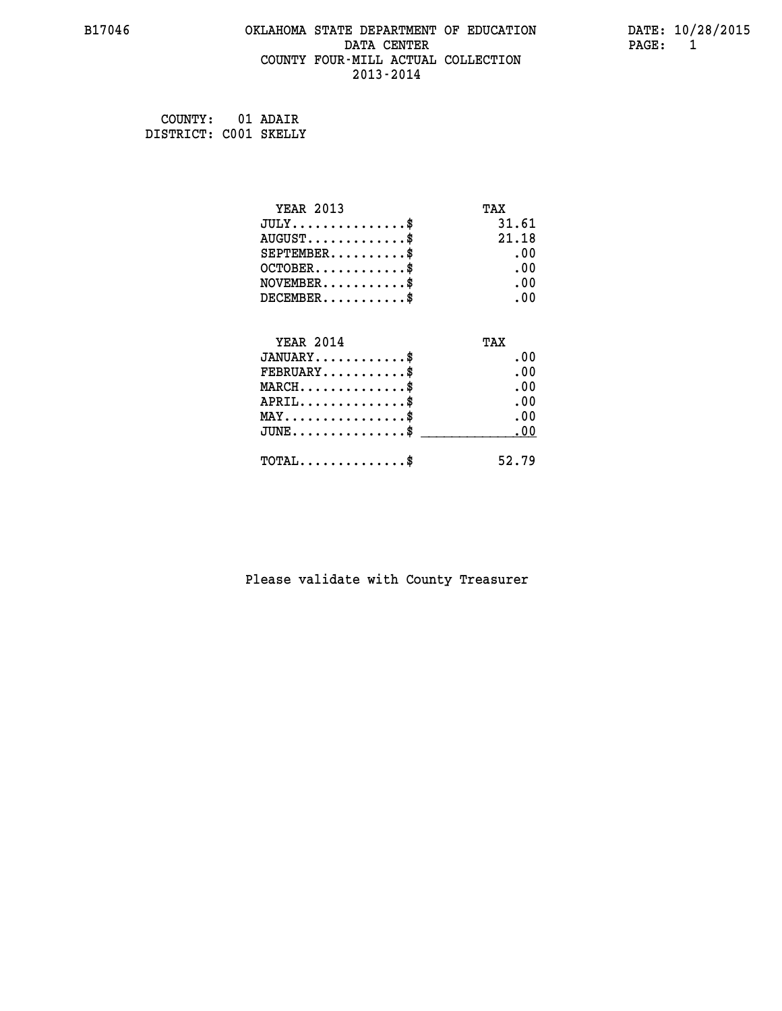#### **B17046 OKLAHOMA STATE DEPARTMENT OF EDUCATION DATE: 10/28/2015 DATA CENTER PAGE: 1 COUNTY FOUR-MILL ACTUAL COLLECTION 2013-2014**

**COUNTY: 01 ADAIR DISTRICT: C001 SKELLY**

| YEAR 2013                                  | TAX   |
|--------------------------------------------|-------|
| $JULY$ \$                                  | 31.61 |
| $AUGUST$ \$                                | 21.18 |
| $SEPTEMBER$ \$                             | . 00  |
| $OCTOBER$ \$                               | .00   |
| $NOVEMBER$ \$                              | .00   |
| $DECEMBER$ \$                              | .00   |
| <b>YEAR 2014</b>                           | TAX   |
| $JANUARY$                                  | . 00  |
| $FEBRUARY$                                 | .00   |
| $MARCH$ \$                                 | .00   |
| $APRIL$ \$                                 | .00   |
| $MAX \dots \dots \dots \dots \$            | . 00  |
| $JUNE$ \$                                  | .00   |
| $\texttt{TOTAL} \dots \dots \dots \dots \$ | 52.79 |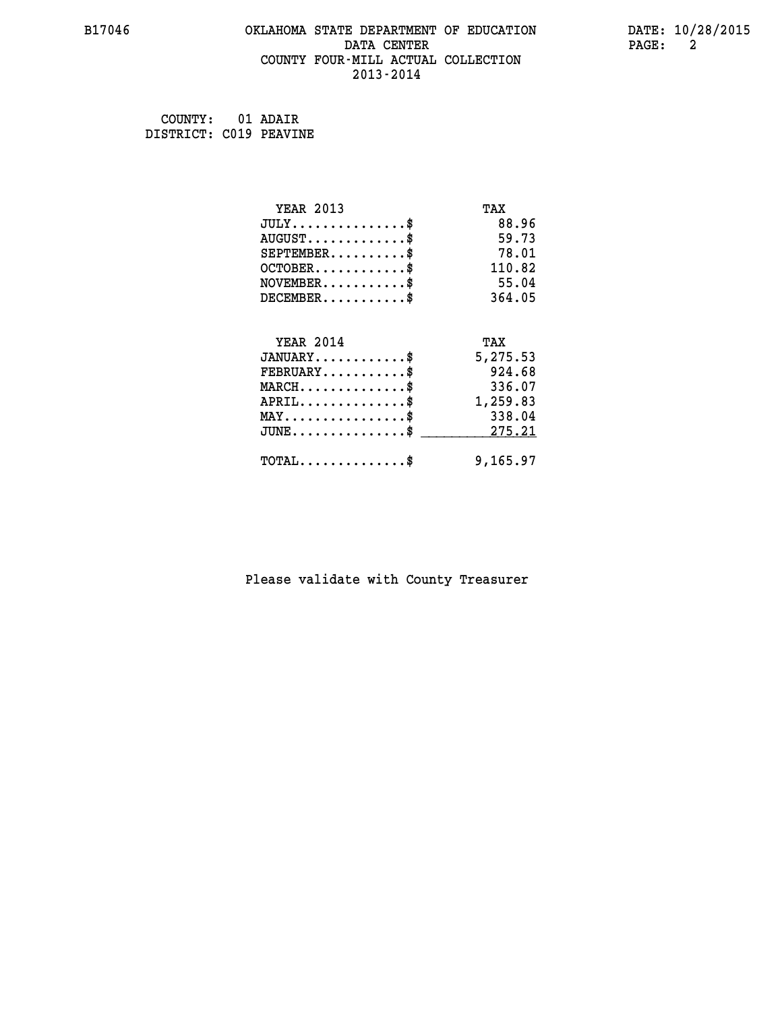#### **B17046 OKLAHOMA STATE DEPARTMENT OF EDUCATION DATE: 10/28/2015 DATA CENTER PAGE: 2 COUNTY FOUR-MILL ACTUAL COLLECTION 2013-2014**

 **COUNTY: 01 ADAIR DISTRICT: C019 PEAVINE**

| <b>YEAR 2013</b>                           | TAX      |
|--------------------------------------------|----------|
| $JULY$ \$                                  | 88.96    |
| $AUGUST$ \$                                | 59.73    |
| $SEPTEMENT.$ \$                            | 78.01    |
| $OCTOBER$ \$                               | 110.82   |
| $NOVEMBER$ \$                              | 55.04    |
| $DECEMBER$ \$                              | 364.05   |
| <b>YEAR 2014</b>                           |          |
|                                            | TAX      |
| $JANUARY$                                  | 5,275.53 |
| $FEBRUARY$ \$                              | 924.68   |
| $MARCH$ \$                                 | 336.07   |
| $APRIL$ \$                                 | 1,259.83 |
| $MAX \dots \dots \dots \dots \dots$        | 338.04   |
| $JUNE$ \$                                  | 275.21   |
| $\texttt{TOTAL} \dots \dots \dots \dots \$ | 9,165.97 |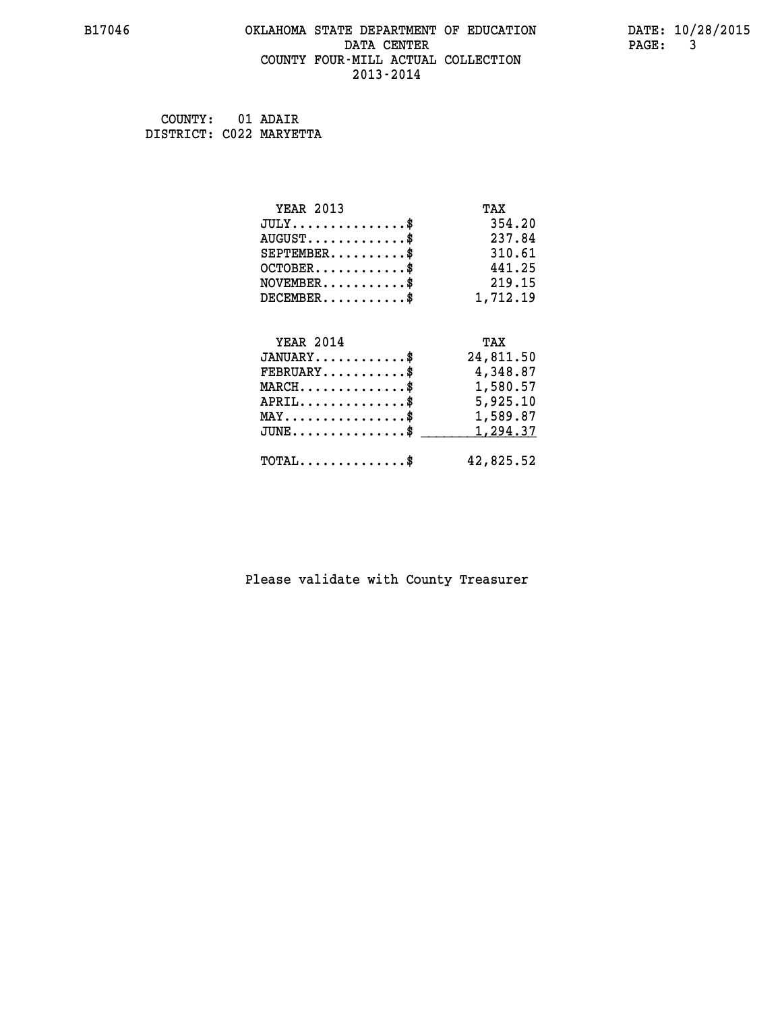#### **B17046 OKLAHOMA STATE DEPARTMENT OF EDUCATION DATE: 10/28/2015 DATA CENTER** PAGE: 3  **COUNTY FOUR-MILL ACTUAL COLLECTION 2013-2014**

 **COUNTY: 01 ADAIR DISTRICT: C022 MARYETTA**

| <b>YEAR 2013</b>                                 | TAX       |
|--------------------------------------------------|-----------|
| $JULY$ \$                                        | 354.20    |
| $AUGUST$ \$                                      | 237.84    |
| $SEPTEMBER$ \$                                   | 310.61    |
| $OCTOBER$ \$                                     | 441.25    |
| $\texttt{NOVEMBER} \dots \dots \dots \$          | 219.15    |
| $DECEMBER$ \$                                    | 1,712.19  |
|                                                  |           |
| <b>YEAR 2014</b>                                 | TAX       |
| $JANUARY$                                        | 24,811.50 |
| $FEBRUARY$ \$                                    | 4,348.87  |
| $\texttt{MARCH}\ldots\ldots\ldots\ldots\text{*}$ | 1,580.57  |
| $APRIL \ldots \ldots \ldots \ldots \$            | 5,925.10  |
| MAY\$ 1,589.87                                   |           |
| $\texttt{JUNE} \dots \dots \dots \dots \dots \$$ | 1,294.37  |
| $\texttt{TOTAL} \dots \dots \dots \dots$ \$      | 42,825.52 |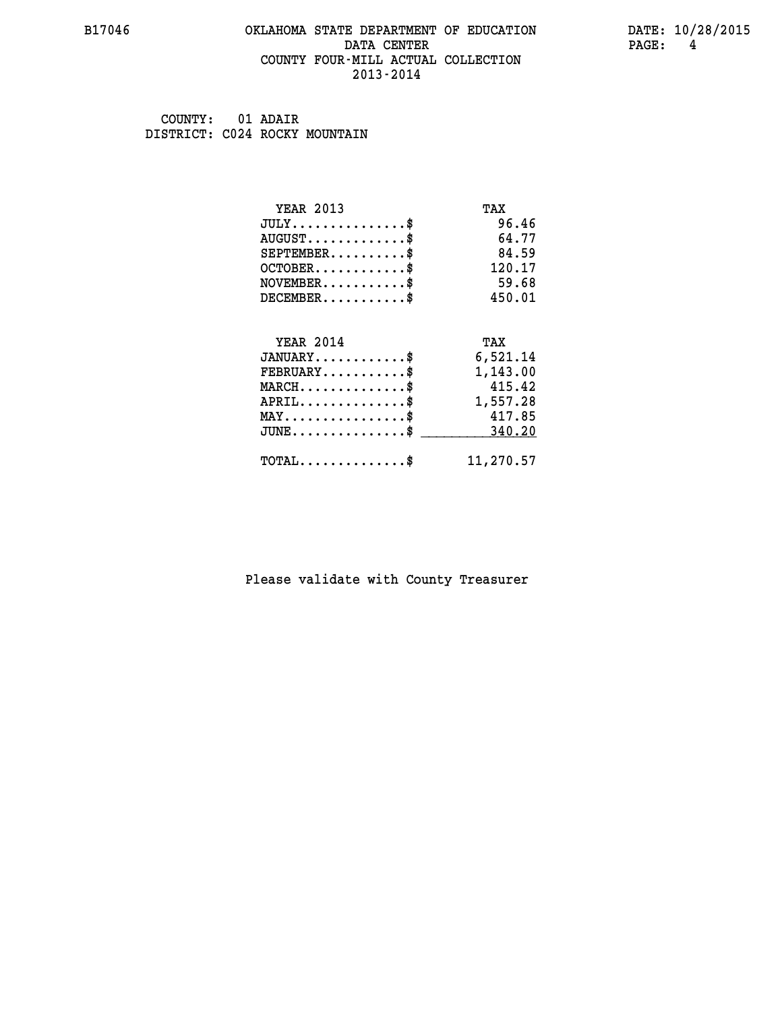#### **B17046 OKLAHOMA STATE DEPARTMENT OF EDUCATION DATE: 10/28/2015 DATA CENTER PAGE: 4 COUNTY FOUR-MILL ACTUAL COLLECTION 2013-2014**

 **COUNTY: 01 ADAIR DISTRICT: C024 ROCKY MOUNTAIN**

| <b>YEAR 2013</b>                           | TAX       |
|--------------------------------------------|-----------|
| $JULY$ \$                                  | 96.46     |
| $AUGUST$ \$                                | 64.77     |
| $SEPTEMENT.$ \$                            | 84.59     |
| $OCTOBER$ \$                               | 120.17    |
| $NOVEMBER$ \$                              | 59.68     |
| $DECEMBER$ \$                              | 450.01    |
| <b>YEAR 2014</b>                           | TAX       |
|                                            |           |
| $JANUARY$                                  | 6,521.14  |
| $FEBRUARY$                                 | 1,143.00  |
| $MARCH$ \$                                 | 415.42    |
| $APRIL$ \$                                 | 1,557.28  |
| $MAX \dots \dots \dots \dots \dots$        | 417.85    |
| $JUNE$                                     | 340.20    |
| $\texttt{TOTAL} \dots \dots \dots \dots \$ | 11,270.57 |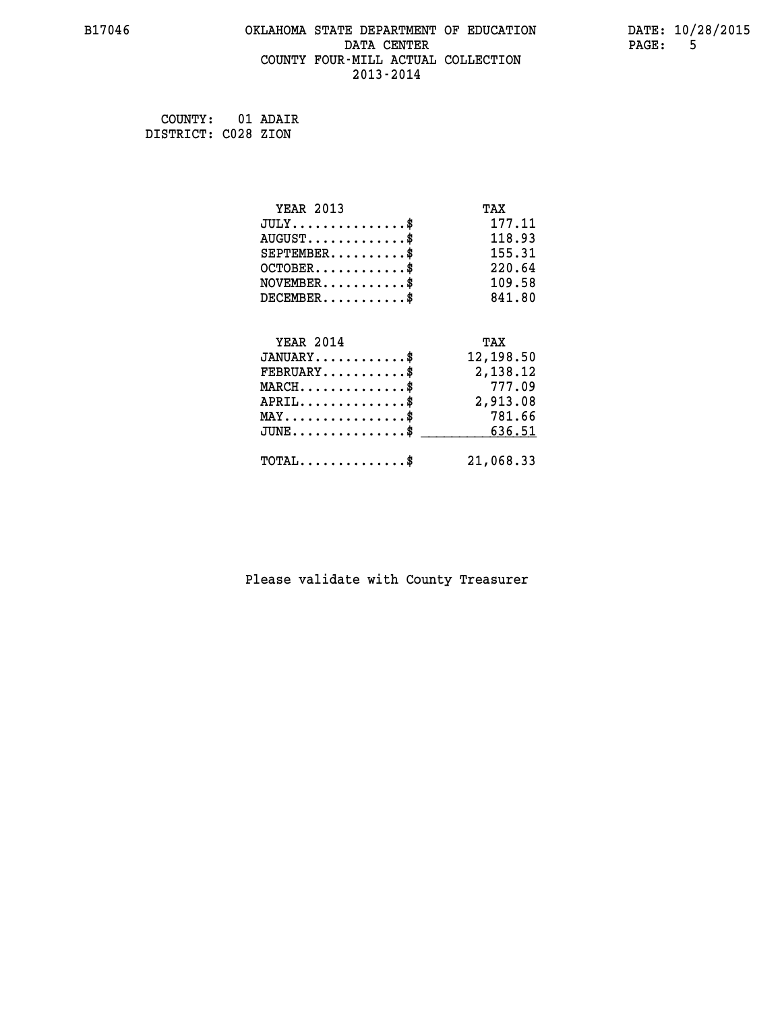#### **B17046 OKLAHOMA STATE DEPARTMENT OF EDUCATION DATE: 10/28/2015 DATA CENTER PAGE:** 5  **COUNTY FOUR-MILL ACTUAL COLLECTION 2013-2014**

 **COUNTY: 01 ADAIR DISTRICT: C028 ZION**

| <b>YEAR 2013</b>                          | TAX       |
|-------------------------------------------|-----------|
| $JULY$ \$                                 | 177.11    |
| $AUGUST$ \$                               | 118.93    |
| $SEPTEMBER$ \$                            | 155.31    |
| $OCTOBER$ \$                              | 220.64    |
| $NOVEMBER$ \$                             | 109.58    |
| $DECEMBER$ \$                             | 841.80    |
|                                           |           |
| <b>YEAR 2014</b>                          | TAX       |
| $JANUARY$ \$                              | 12,198.50 |
| $FEBRUARY$                                | 2,138.12  |
| $MARCH$ \$                                | 777.09    |
| $APRIL$ \$                                | 2,913.08  |
| $MAX \dots \dots \dots \dots \dots$       | 781.66    |
| $\texttt{JUNE}\dots\dots\dots\dots\dots\$ | 636.51    |
| $TOTAL$ \$                                | 21,068.33 |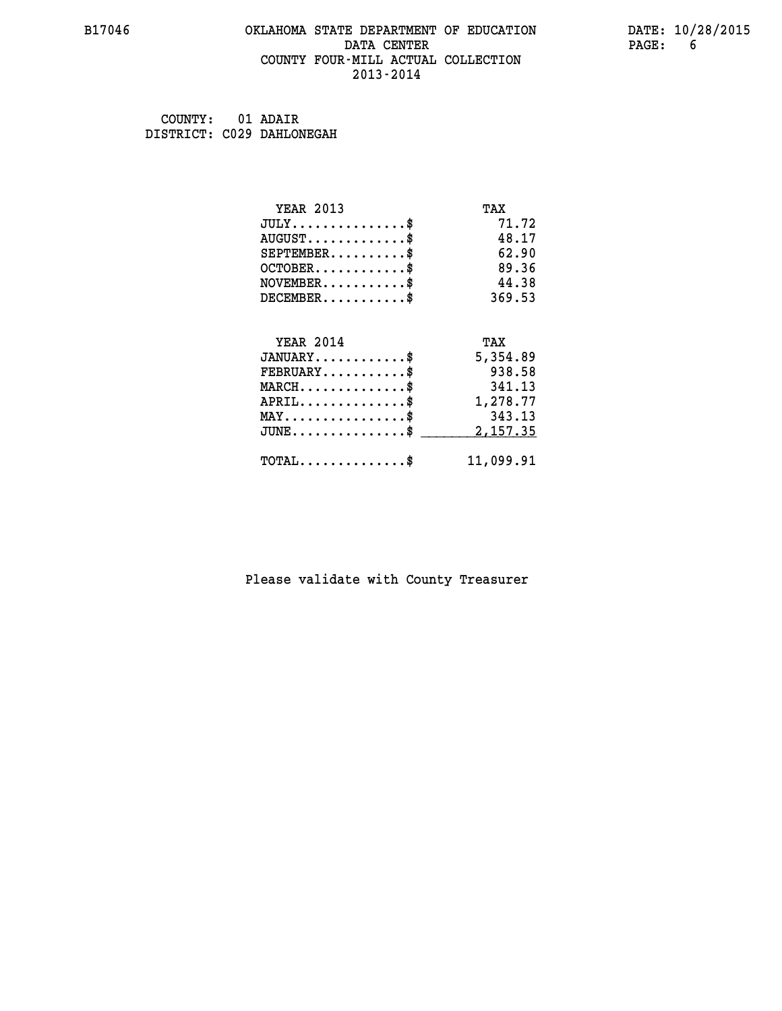#### **B17046 OKLAHOMA STATE DEPARTMENT OF EDUCATION DATE: 10/28/2015 DATA CENTER** PAGE: 6  **COUNTY FOUR-MILL ACTUAL COLLECTION 2013-2014**

 **COUNTY: 01 ADAIR DISTRICT: C029 DAHLONEGAH**

| <b>YEAR 2013</b>                           | TAX       |
|--------------------------------------------|-----------|
| $JULY$ \$                                  | 71.72     |
| $AUGUST$ \$                                | 48.17     |
| $SEPTEMENT.$ \$                            | 62.90     |
| $OCTOBER$ \$                               | 89.36     |
| $NOVEMBER$ \$                              | 44.38     |
| $DECEMBER$ \$                              | 369.53    |
|                                            |           |
| <b>YEAR 2014</b>                           | TAX       |
| $JANUARY$ \$                               | 5,354.89  |
| $FEBRUARY$                                 | 938.58    |
| $MARCH$ \$                                 | 341.13    |
| $APRIL$ \$                                 | 1,278.77  |
| $MAX \dots \dots \dots \dots \dots$        | 343.13    |
| $JUNE$ $\$\$                               | 2,157.35  |
| $\texttt{TOTAL} \dots \dots \dots \dots \$ | 11,099.91 |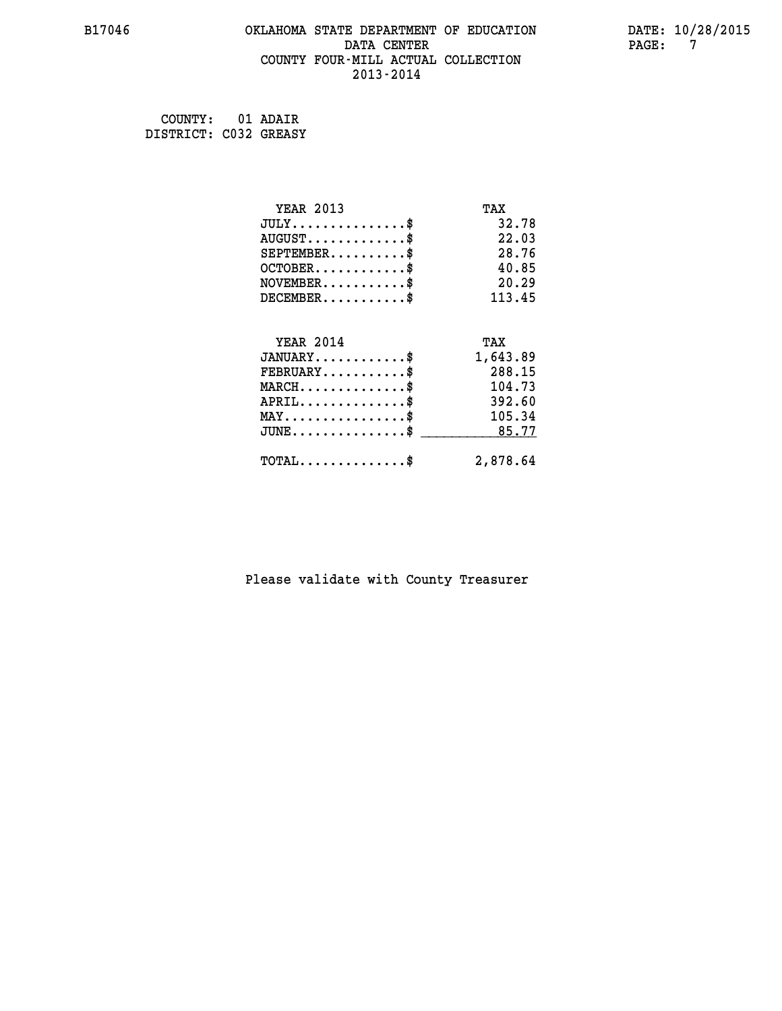#### **B17046 OKLAHOMA STATE DEPARTMENT OF EDUCATION DATE: 10/28/2015 DATA CENTER PAGE: 7 COUNTY FOUR-MILL ACTUAL COLLECTION 2013-2014**

 **COUNTY: 01 ADAIR DISTRICT: C032 GREASY**

| <b>YEAR 2013</b>                    | TAX      |
|-------------------------------------|----------|
| $JULY$ \$                           | 32.78    |
| $AUGUST$ \$                         | 22.03    |
| $SEPTEMBER$ \$                      | 28.76    |
| $OCTOBER$ \$                        | 40.85    |
| $NOVEMBER$ \$                       | 20.29    |
| $DECEMBER$ \$                       | 113.45   |
|                                     |          |
| <b>YEAR 2014</b>                    | TAX      |
| $JANUARY$                           | 1,643.89 |
| $FEBRUARY$                          | 288.15   |
| $MARCH$ \$                          | 104.73   |
| $APRIL$ \$                          | 392.60   |
| $MAX \dots \dots \dots \dots \dots$ | 105.34   |
| $JUNE$ \$                           | 85.77    |
| $TOTAL$ \$                          | 2,878.64 |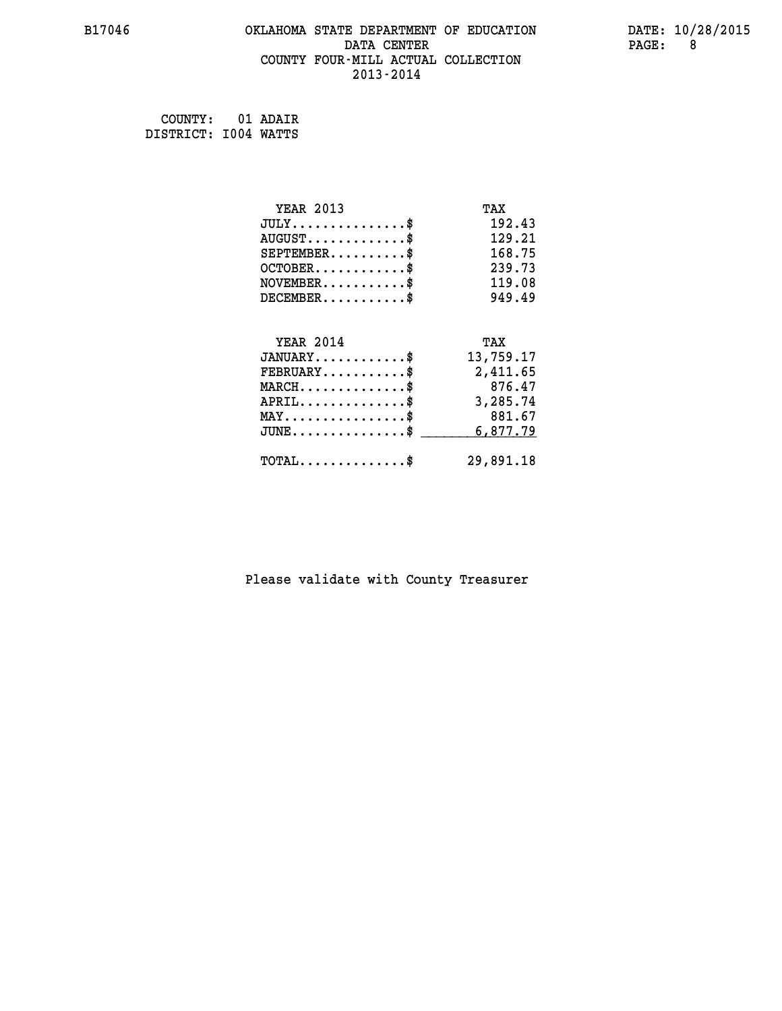# **B17046 OKLAHOMA STATE DEPARTMENT OF EDUCATION DATE: 10/28/2015 DATA CENTER PAGE: 8 COUNTY FOUR-MILL ACTUAL COLLECTION 2013-2014**

 **COUNTY: 01 ADAIR DISTRICT: I004 WATTS**

| <b>YEAR 2013</b>                    | TAX       |
|-------------------------------------|-----------|
| $JULY$ \$                           | 192.43    |
| $AUGUST$ \$                         | 129.21    |
| $SEPTEMENT.$ \$                     | 168.75    |
| $OCTOBER$ \$                        | 239.73    |
| $NOVEMBER$ \$                       | 119.08    |
| $DECEMBER$ \$                       | 949.49    |
|                                     |           |
| <b>YEAR 2014</b>                    | TAX       |
| $JANUARY$ \$                        | 13,759.17 |
| $FEBRUARY$                          | 2,411.65  |
| $MARCH$ \$                          | 876.47    |
| $APRIL$ \$                          | 3,285.74  |
| $MAX \dots \dots \dots \dots \dots$ | 881.67    |
| $JUNE$ \$                           | 6,877.79  |
|                                     |           |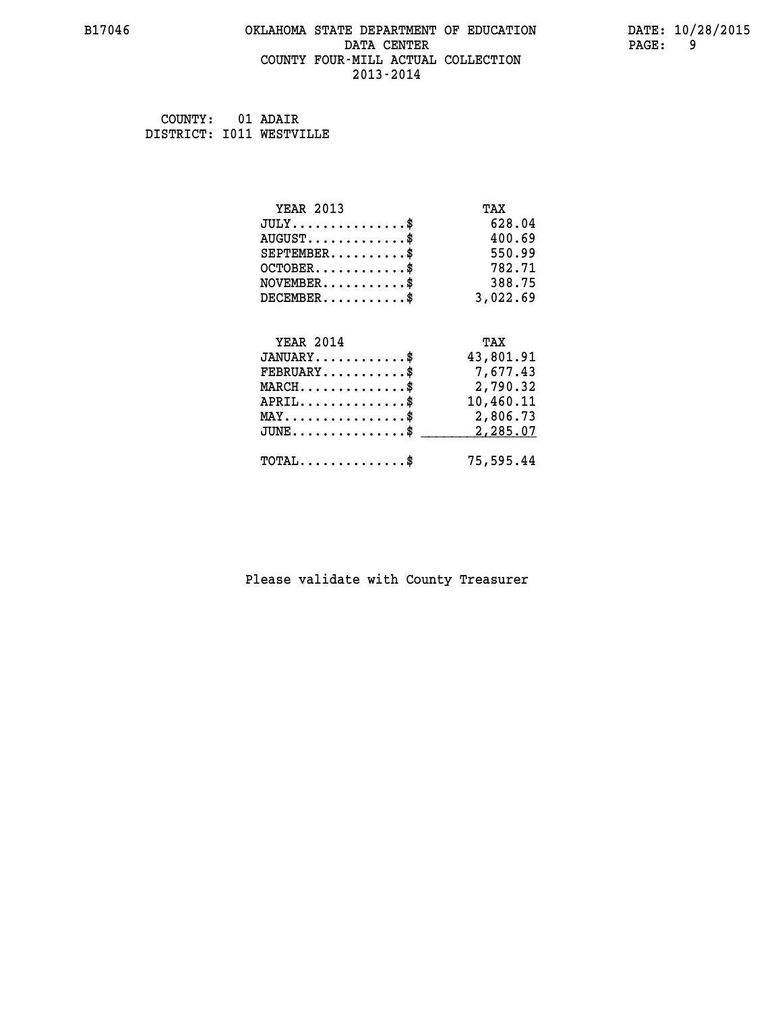#### **B17046 OKLAHOMA STATE DEPARTMENT OF EDUCATION DATE: 10/28/2015 DATA CENTER PAGE: 9 COUNTY FOUR-MILL ACTUAL COLLECTION 2013-2014**

 **COUNTY: 01 ADAIR DISTRICT: I011 WESTVILLE**

| <b>YEAR 2013</b>                                                          | TAX       |
|---------------------------------------------------------------------------|-----------|
| $JULY$ \$                                                                 | 628.04    |
| $AUGUST$ \$                                                               | 400.69    |
| $SEPTEMENT.$ \$                                                           | 550.99    |
| $OCTOBER$ \$                                                              | 782.71    |
| $\verb NOVEMBER , \verb , \verb , \verb , \verb , \verb , \verb , \verb $ | 388.75    |
| $DECEMBER$ \$                                                             | 3,022.69  |
|                                                                           |           |
| <b>YEAR 2014</b>                                                          | TAX       |
| $JANUARY$ \$                                                              | 43,801.91 |
| $FEBRUARY$                                                                | 7,677.43  |
| $MARCH$ \$                                                                | 2,790.32  |
| $APRIL$ \$                                                                | 10,460.11 |
| $\texttt{MAX} \dots \dots \dots \dots \dots \$                            | 2,806.73  |
| $JUNE$ \$                                                                 | 2,285.07  |
| $\texttt{TOTAL} \dots \dots \dots \dots \$                                | 75,595.44 |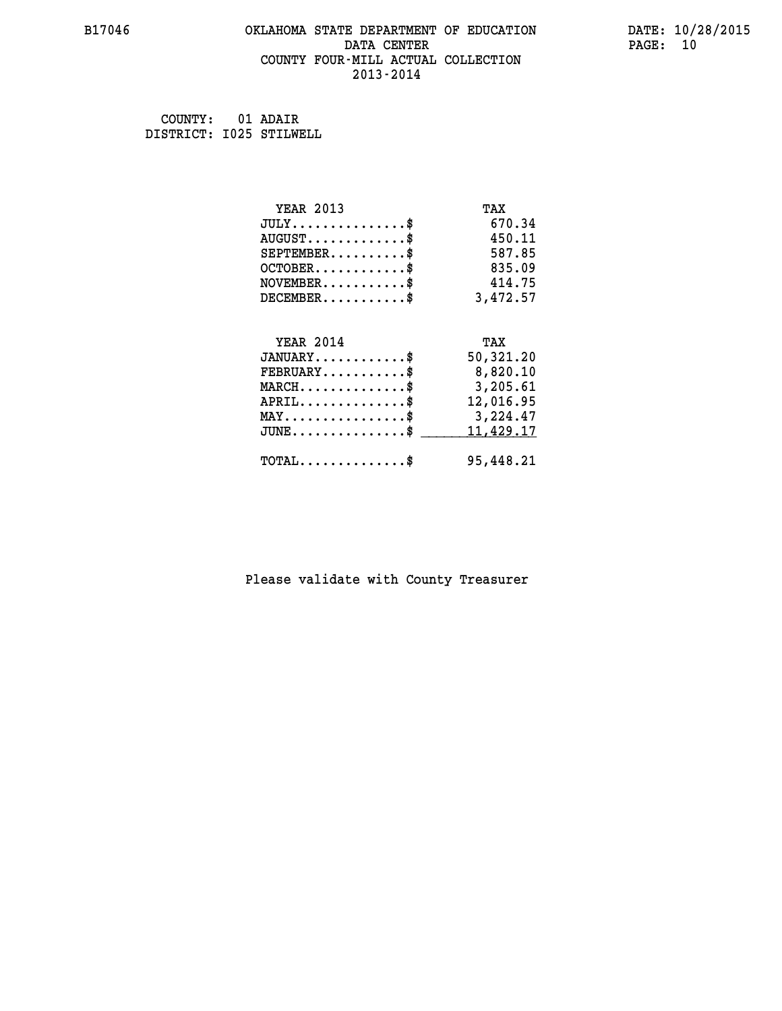#### **B17046 OKLAHOMA STATE DEPARTMENT OF EDUCATION DATE: 10/28/2015 DATA CENTER** PAGE: 10  **COUNTY FOUR-MILL ACTUAL COLLECTION 2013-2014**

 **COUNTY: 01 ADAIR DISTRICT: I025 STILWELL**

| <b>YEAR 2013</b>                               | TAX       |
|------------------------------------------------|-----------|
| $JULY$ \$                                      | 670.34    |
| $AUGUST$ \$                                    | 450.11    |
| $SEPTEMENT.$ \$                                | 587.85    |
| $OCTOBER$ \$                                   | 835.09    |
| $\texttt{NOVEMBER} \dots \dots \dots \$        | 414.75    |
| $DECEMBER$ \$                                  | 3,472.57  |
|                                                |           |
| <b>YEAR 2014</b>                               | TAX       |
| $JANUARY$ \$                                   | 50,321.20 |
| $FEBRUARY$                                     | 8,820.10  |
| $MARCH$ \$                                     | 3,205.61  |
| $APRIL \ldots \ldots \ldots \ldots \$          | 12,016.95 |
| $\texttt{MAX} \dots \dots \dots \dots \dots \$ | 3,224.47  |
| $JUNE$ \$                                      | 11,429.17 |
| $\texttt{TOTAL} \dots \dots \dots \dots \$     | 95,448.21 |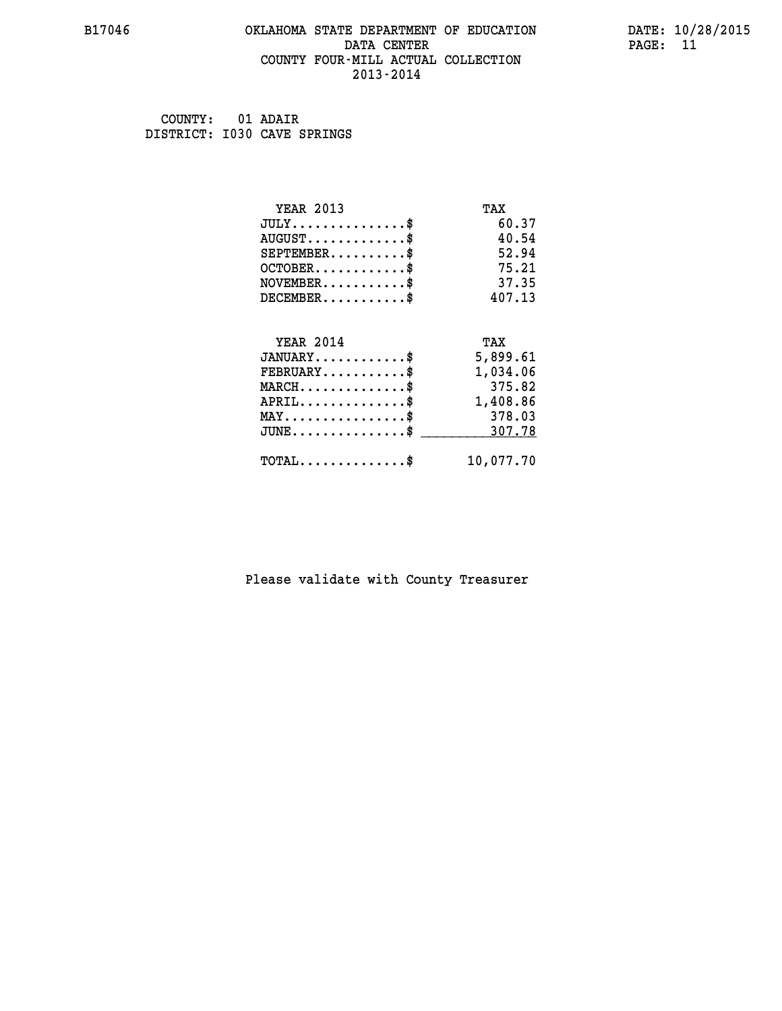#### **B17046 OKLAHOMA STATE DEPARTMENT OF EDUCATION DATE: 10/28/2015 DATA CENTER** PAGE: 11  **COUNTY FOUR-MILL ACTUAL COLLECTION 2013-2014**

 **COUNTY: 01 ADAIR DISTRICT: I030 CAVE SPRINGS**

| <b>YEAR 2013</b>                           | TAX       |
|--------------------------------------------|-----------|
| $JULY$ \$                                  | 60.37     |
| $AUGUST$ \$                                | 40.54     |
| $SEPTEMENT.$ \$                            | 52.94     |
| $OCTOBER$ \$                               | 75.21     |
| $NOVEMBER$ \$                              | 37.35     |
| $DECEMBER$ \$                              | 407.13    |
|                                            |           |
| <b>YEAR 2014</b>                           | TAX       |
| $JANUARY$ \$                               | 5,899.61  |
| $FEBRUARY$ \$                              | 1,034.06  |
| $MARCH$ \$                                 | 375.82    |
| $APRIL$ \$                                 | 1,408.86  |
| $MAX \dots \dots \dots \dots \dots$        | 378.03    |
| $JUNE$                                     | 307.78    |
| $\texttt{TOTAL} \dots \dots \dots \dots \$ | 10,077.70 |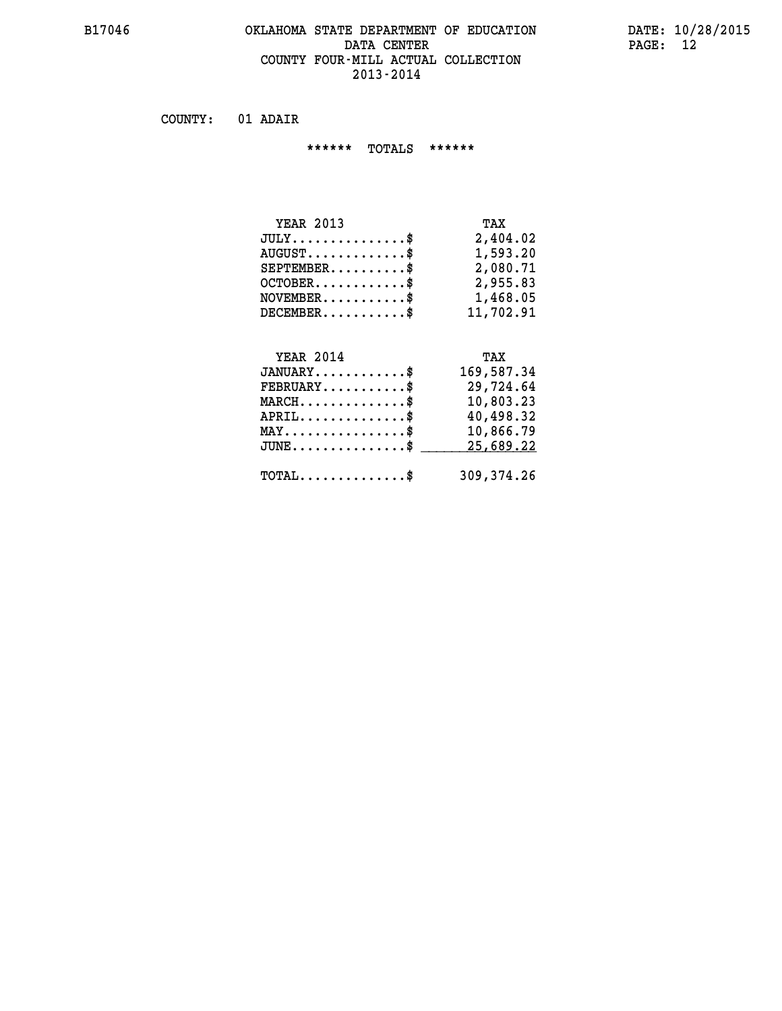#### **B17046 OKLAHOMA STATE DEPARTMENT OF EDUCATION DATE: 10/28/2015 DATA CENTER PAGE: 12 COUNTY FOUR-MILL ACTUAL COLLECTION 2013-2014**

 **COUNTY: 01 ADAIR**

 **\*\*\*\*\*\* TOTALS \*\*\*\*\*\***

| <b>YEAR 2013</b>                 | TAX       |
|----------------------------------|-----------|
| $JULY \ldots \ldots \ldots \$    | 2,404.02  |
| $AUGUST \ldots \ldots \ldots$ \$ | 1,593.20  |
| $SEPTEMBER$                      | 2,080.71  |
| $OCTOBER$ $\$                    | 2,955.83  |
| $NOVEMBER$ $\$                   | 1,468.05  |
| $DECEMBER$                       | 11,702.91 |

# **YEAR 2014 TAX JANUARY............\$ 169,587.34 FEBRUARY...........\$ 29,724.64 MARCH..............\$ 10,803.23 APRIL..............\$ 40,498.32 MAY................\$ 10,866.79** JUNE..............\$ <u>25,689.22</u>  **TOTAL..............\$ 309,374.26**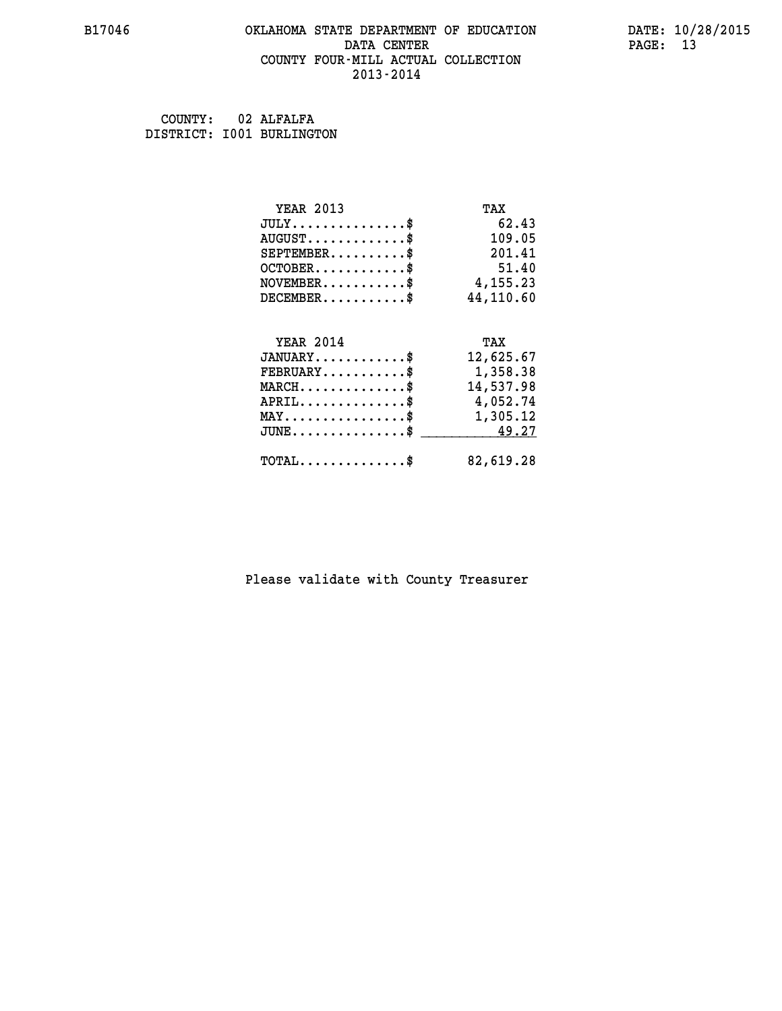#### **B17046 OKLAHOMA STATE DEPARTMENT OF EDUCATION DATE: 10/28/2015 DATA CENTER** PAGE: 13  **COUNTY FOUR-MILL ACTUAL COLLECTION 2013-2014**

 **COUNTY: 02 ALFALFA DISTRICT: I001 BURLINGTON**

| <b>YEAR 2013</b>                                                                                                              | TAX       |
|-------------------------------------------------------------------------------------------------------------------------------|-----------|
| $JULY$ \$                                                                                                                     | 62.43     |
| $AUGUST$ \$                                                                                                                   | 109.05    |
| $SEPTEMBER$ \$                                                                                                                | 201.41    |
| $OCTOBER$ \$                                                                                                                  | 51.40     |
| $NOVEMBER.$ \$                                                                                                                | 4,155.23  |
| $DECEMBER$ \$                                                                                                                 | 44,110.60 |
|                                                                                                                               |           |
| <b>YEAR 2014</b>                                                                                                              | TAX       |
| $JANUARY$ \$                                                                                                                  | 12,625.67 |
| $FEBRUARY$ \$                                                                                                                 | 1,358.38  |
| $\texttt{MARCH}\ldots\ldots\ldots\ldots\overset{\hspace{0.1em}\mathsf{\scriptscriptstyle\$}}{\mathsf{\scriptscriptstyle\$}}}$ | 14,537.98 |
| $APRIL \ldots \ldots \ldots \ldots$                                                                                           | 4,052.74  |
| $\texttt{MAX} \dots \dots \dots \dots \dots \$                                                                                | 1,305.12  |
| $JUNE$ \$                                                                                                                     | 49.27     |
| $TOTAL$ \$                                                                                                                    | 82,619.28 |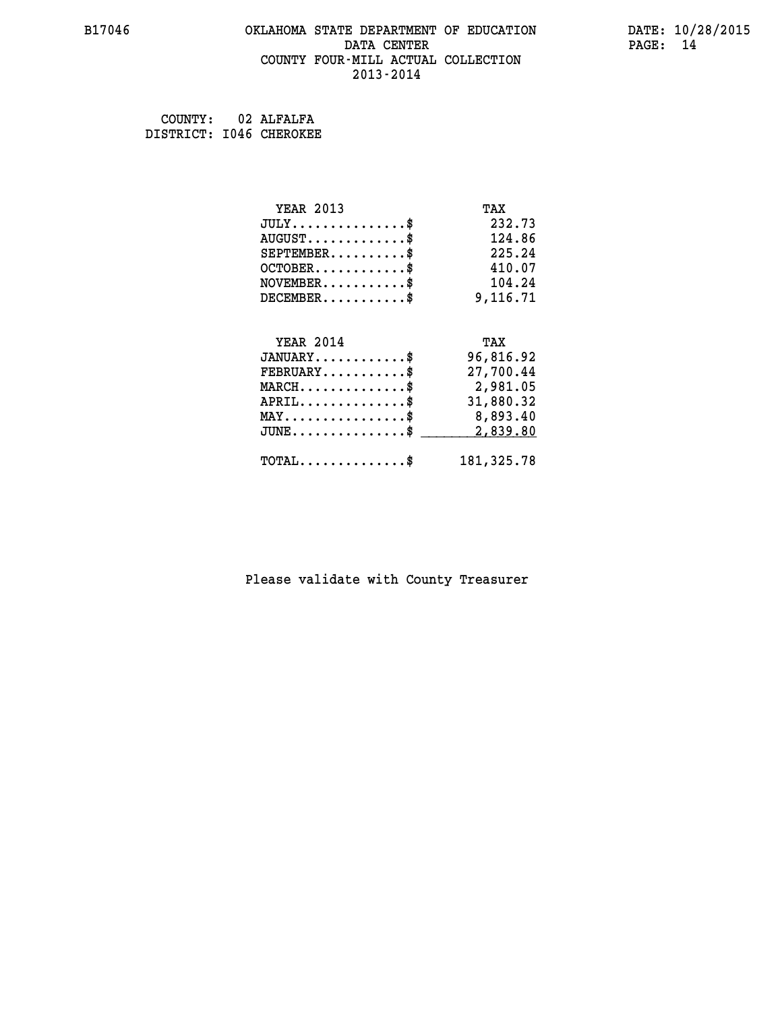#### **B17046 OKLAHOMA STATE DEPARTMENT OF EDUCATION DATE: 10/28/2015 DATA CENTER PAGE: 14 COUNTY FOUR-MILL ACTUAL COLLECTION 2013-2014**

 **COUNTY: 02 ALFALFA DISTRICT: I046 CHEROKEE**

| <b>YEAR 2013</b>                               | TAX         |
|------------------------------------------------|-------------|
| $JULY$ \$                                      | 232.73      |
| $AUGUST$ \$                                    | 124.86      |
| $SEPTEMBER$ \$                                 | 225.24      |
| $OCTOBER$ \$                                   | 410.07      |
| $NOVEMBER$ \$                                  | 104.24      |
| $DECEMBER$ \$                                  | 9,116.71    |
|                                                |             |
| <b>YEAR 2014</b>                               | TAX         |
| $JANUARY$ \$                                   | 96,816.92   |
| $FEBRUARY$                                     | 27,700.44   |
| $MARCH$ \$                                     | 2,981.05    |
| $APRIL$ \$                                     | 31,880.32   |
| $\texttt{MAX} \dots \dots \dots \dots \dots \$ | 8,893.40    |
| $JUNE$ $\text{\$}$                             | 2,839.80    |
| $\texttt{TOTAL} \dots \dots \dots \dots \$     | 181, 325.78 |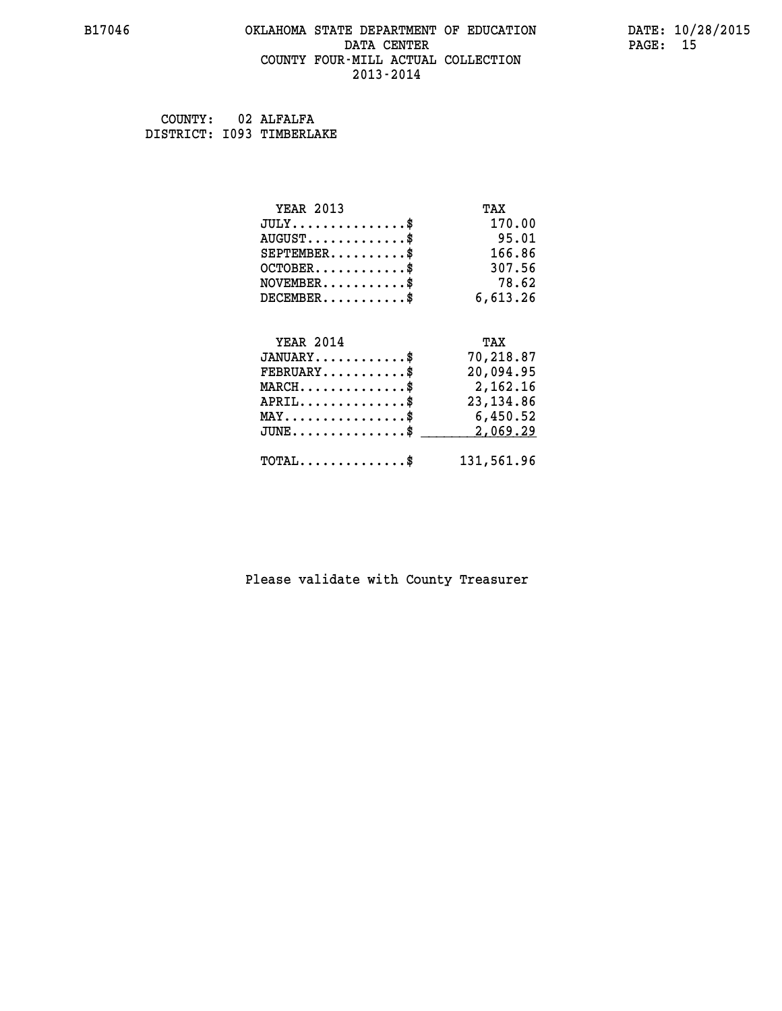#### **B17046 OKLAHOMA STATE DEPARTMENT OF EDUCATION DATE: 10/28/2015 DATA CENTER** PAGE: 15  **COUNTY FOUR-MILL ACTUAL COLLECTION 2013-2014**

 **COUNTY: 02 ALFALFA DISTRICT: I093 TIMBERLAKE**

| <b>YEAR 2013</b>                               | TAX        |
|------------------------------------------------|------------|
| $JULY$ \$                                      | 170.00     |
| $AUGUST$ \$                                    | 95.01      |
| $SEPTEMBER$ \$                                 | 166.86     |
| $OCTOBER$ \$                                   | 307.56     |
| $NOVEMBER$ \$                                  | 78.62      |
| $DECEMBER$ \$                                  | 6,613.26   |
|                                                |            |
| <b>YEAR 2014</b>                               | TAX        |
| $JANUARY$ \$                                   | 70,218.87  |
| $FEBRUARY$                                     | 20,094.95  |
| $MARCH$ \$                                     | 2,162.16   |
| $APRIL$ \$                                     | 23, 134.86 |
| $\texttt{MAX} \dots \dots \dots \dots \dots \$ | 6,450.52   |
| $JUNE$ \$                                      | 2,069.29   |
| $\texttt{TOTAL} \dots \dots \dots \dots \$     | 131,561.96 |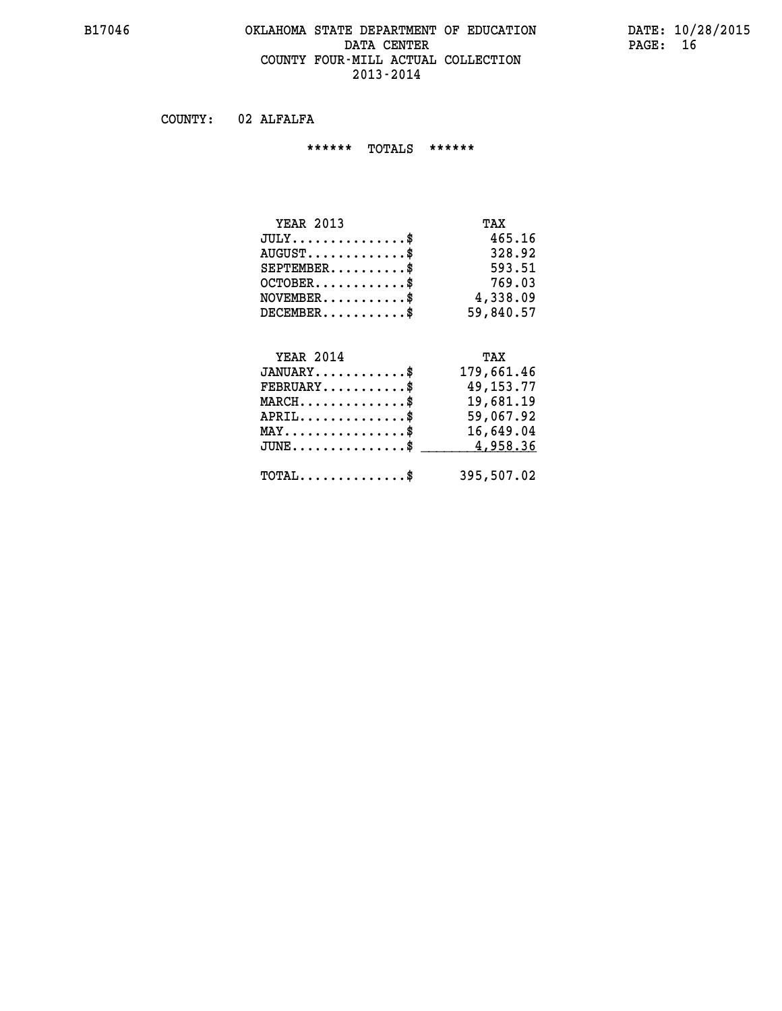#### **B17046 OKLAHOMA STATE DEPARTMENT OF EDUCATION DATE: 10/28/2015 DATA CENTER** PAGE: 16  **COUNTY FOUR-MILL ACTUAL COLLECTION 2013-2014**

 **COUNTY: 02 ALFALFA**

 **\*\*\*\*\*\* TOTALS \*\*\*\*\*\***

| <b>YEAR 2013</b>       | TAX       |
|------------------------|-----------|
| $JULY$                 | 465.16    |
| $AUGUST$ $\frac{1}{2}$ | 328.92    |
| $SEPTEMBER$            | 593.51    |
| $OCTOBER$ \$           | 769.03    |
| $NOVEMBER$ \$          | 4,338.09  |
| $DECEMBER$             | 59,840.57 |

# **YEAR 2014 TAX**

| $JANUARY$                                    | 179,661.46  |
|----------------------------------------------|-------------|
| $FEBRUARY$ \$                                | 49, 153. 77 |
| $MARCH$ \$                                   | 19,681.19   |
| $APRIL$                                      | 59,067.92   |
| $MAX \dots \dots \dots \dots \$              | 16,649.04   |
| $JUNE$ \$                                    | 4,958.36    |
| $\text{TOTAL} \dots \dots \dots \dots \dots$ | 395,507.02  |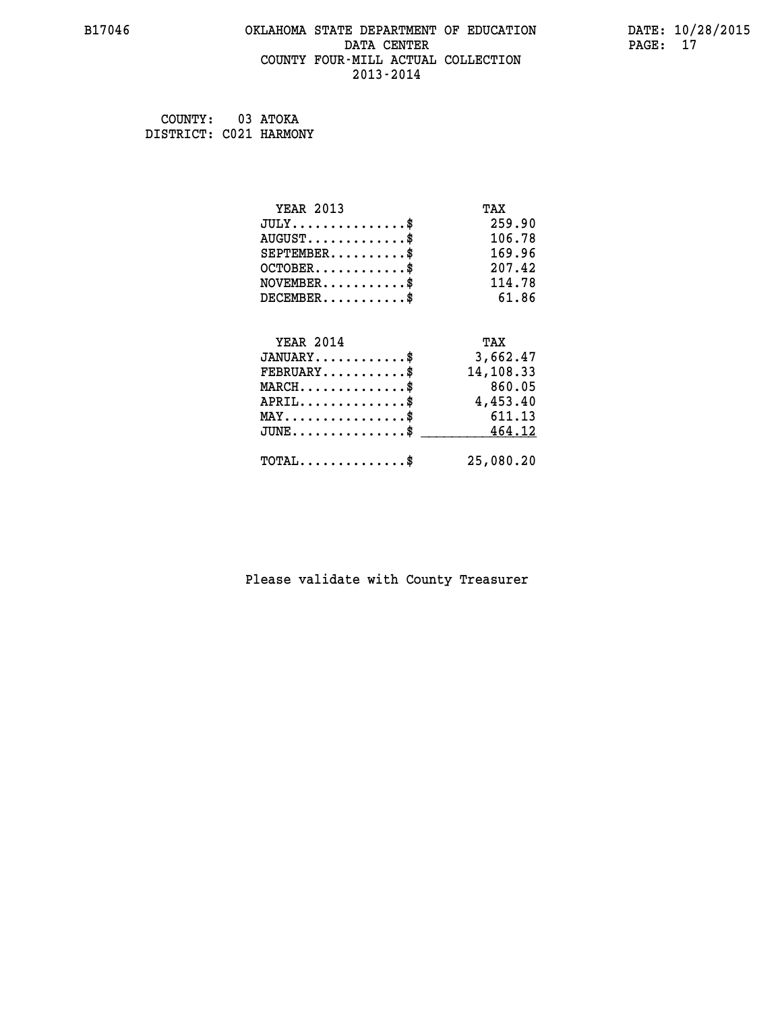#### **B17046 OKLAHOMA STATE DEPARTMENT OF EDUCATION DATE: 10/28/2015 DATA CENTER** PAGE: 17  **COUNTY FOUR-MILL ACTUAL COLLECTION 2013-2014**

 **COUNTY: 03 ATOKA DISTRICT: C021 HARMONY**

| <b>YEAR 2013</b>                                   | TAX       |
|----------------------------------------------------|-----------|
| $JULY$ \$                                          | 259.90    |
| $AUGUST$ \$                                        | 106.78    |
| $SEPTEMBER$ \$                                     | 169.96    |
| $OCTOBER$ \$                                       | 207.42    |
| $NOVEMBER$ \$                                      | 114.78    |
| $DECEMBER$ \$                                      | 61.86     |
|                                                    |           |
| <b>YEAR 2014</b>                                   | TAX       |
| $JANUARY$                                          | 3,662.47  |
| $FEBRUARY$                                         | 14,108.33 |
| $MARCH$ \$                                         | 860.05    |
| $APRIL$ \$                                         | 4,453.40  |
| $MAX \dots \dots \dots \dots \dots$                | 611.13    |
| $\texttt{JUNE} \dots \dots \dots \dots \texttt{S}$ | 464.12    |
| $\texttt{TOTAL} \dots \dots \dots \dots$ \$        | 25,080.20 |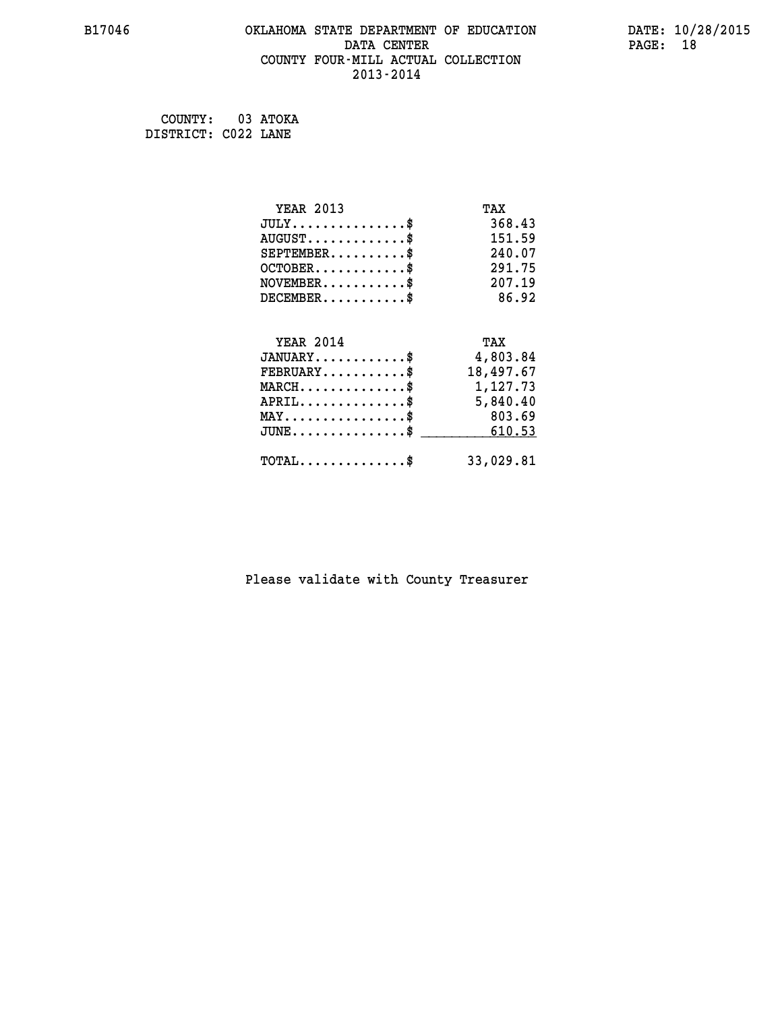#### **B17046 OKLAHOMA STATE DEPARTMENT OF EDUCATION DATE: 10/28/2015 DATA CENTER** PAGE: 18  **COUNTY FOUR-MILL ACTUAL COLLECTION 2013-2014**

 **COUNTY: 03 ATOKA DISTRICT: C022 LANE**

| <b>YEAR 2013</b>                               | TAX       |
|------------------------------------------------|-----------|
| $JULY$ \$                                      | 368.43    |
| $AUGUST$ \$                                    | 151.59    |
| $SEPTEMBER$ \$                                 | 240.07    |
| $OCTOBER$ \$                                   | 291.75    |
| $NOVEMBER$ \$                                  | 207.19    |
| $DECEMBER$ \$                                  | 86.92     |
|                                                |           |
| <b>YEAR 2014</b>                               | TAX       |
| $JANUARY$                                      | 4,803.84  |
| $FEBRUARY$                                     | 18,497.67 |
| $MARCH$ \$                                     | 1,127.73  |
| $APRIL \ldots \ldots \ldots \ldots \$          | 5,840.40  |
| $\texttt{MAX} \dots \dots \dots \dots \dots \$ | 803.69    |
| $\texttt{JUNE}\dots\dots\dots\dots\dots\$      | 610.53    |
| $\texttt{TOTAL} \dots \dots \dots \dots$ \$    | 33,029.81 |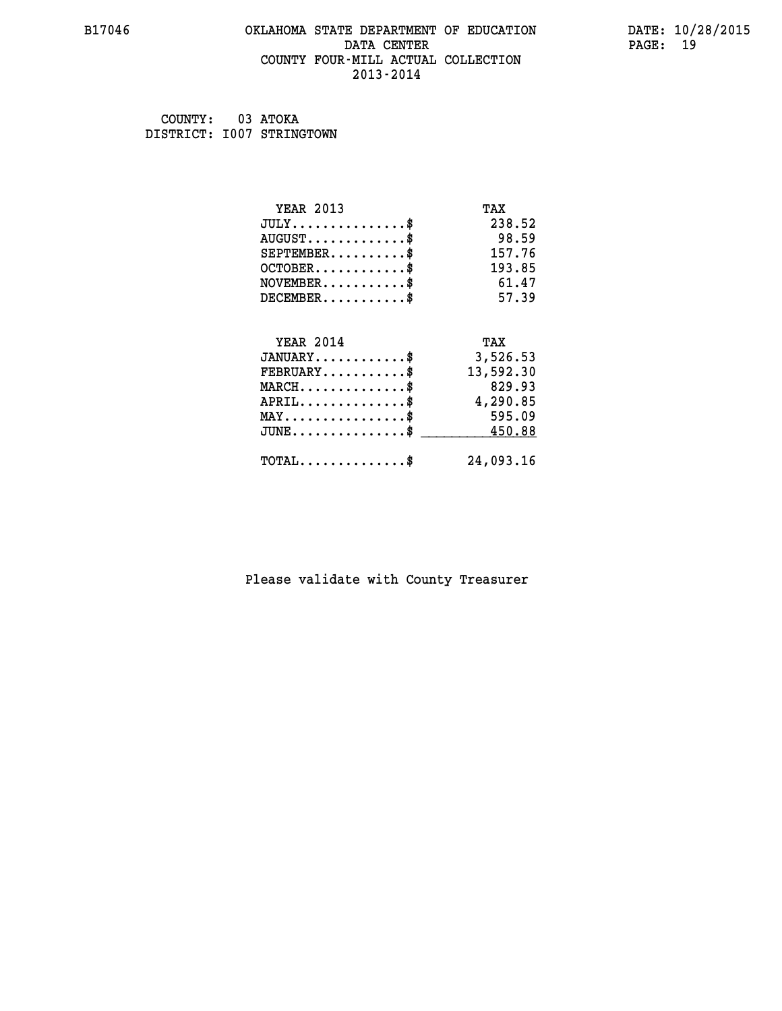# **B17046 OKLAHOMA STATE DEPARTMENT OF EDUCATION DATE: 10/28/2015 DATA CENTER PAGE: 19 COUNTY FOUR-MILL ACTUAL COLLECTION 2013-2014**

 **COUNTY: 03 ATOKA DISTRICT: I007 STRINGTOWN**

| <b>YEAR 2013</b>                           | TAX       |
|--------------------------------------------|-----------|
| $JULY$ \$                                  | 238.52    |
| $AUGUST$ \$                                | 98.59     |
| $SEPTEMBER$ \$                             | 157.76    |
| $OCTOBER$ \$                               | 193.85    |
| $NOVEMBER$ \$                              | 61.47     |
| $DECEMBER$ \$                              | 57.39     |
|                                            |           |
| <b>YEAR 2014</b>                           | TAX       |
| $JANUARY$ \$                               | 3,526.53  |
| $FEBRUARY$                                 | 13,592.30 |
| $MARCH$ \$                                 | 829.93    |
| $APRIL$ \$                                 | 4,290.85  |
| $MAX \dots \dots \dots \dots \$            | 595.09    |
| $JUNE$ \$                                  | 450.88    |
| $\texttt{TOTAL} \dots \dots \dots \dots \$ | 24,093.16 |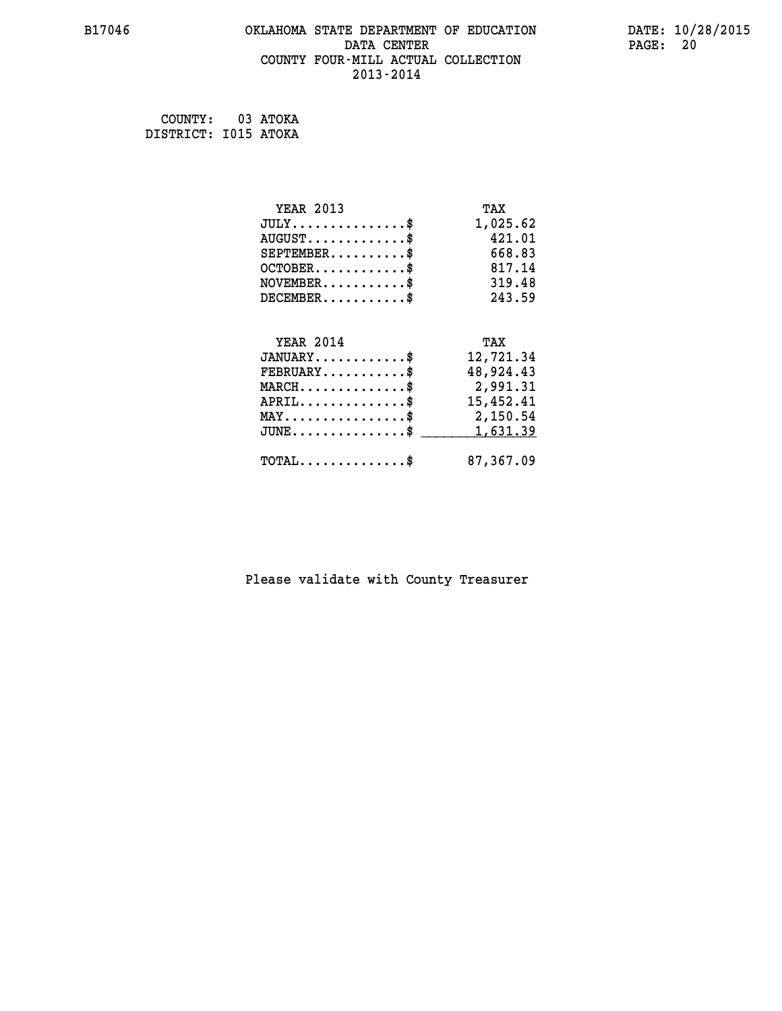#### **B17046 OKLAHOMA STATE DEPARTMENT OF EDUCATION DATE: 10/28/2015 DATA CENTER** PAGE: 20  **COUNTY FOUR-MILL ACTUAL COLLECTION 2013-2014**

 **COUNTY: 03 ATOKA DISTRICT: I015 ATOKA**

| <b>YEAR 2013</b>                               | TAX       |
|------------------------------------------------|-----------|
| $JULY$ \$                                      | 1,025.62  |
| $AUGUST$ \$                                    | 421.01    |
| $SEPTEMBER$ \$                                 | 668.83    |
| $OCTOBER$ \$                                   | 817.14    |
| $NOVEMBER$ \$                                  | 319.48    |
| $DECEMBER$ \$                                  | 243.59    |
|                                                |           |
| <b>YEAR 2014</b>                               | TAX       |
| $JANUARY$ \$                                   | 12,721.34 |
| $FEBRUARY$                                     | 48,924.43 |
| $MARCH$ \$                                     | 2,991.31  |
| $APRIL$ \$                                     | 15,452.41 |
| $\texttt{MAX} \dots \dots \dots \dots \dots \$ | 2,150.54  |
| $JUNE$ \$                                      | 1,631.39  |
| $\texttt{TOTAL} \dots \dots \dots \dots \$     | 87,367.09 |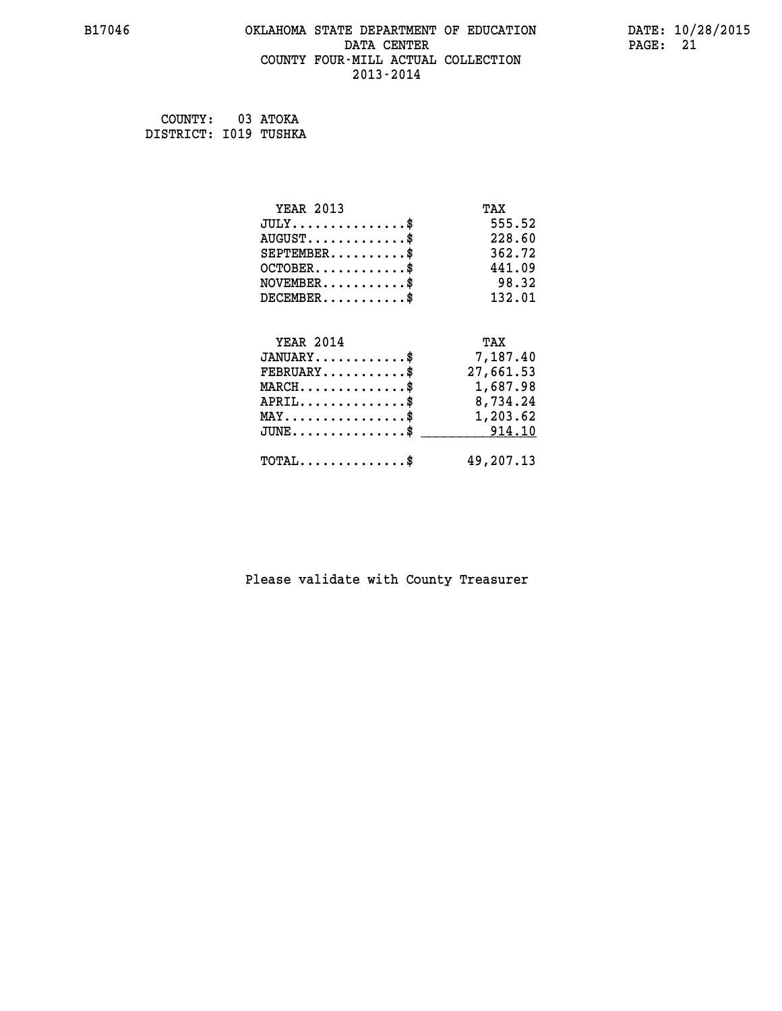#### **B17046 OKLAHOMA STATE DEPARTMENT OF EDUCATION DATE: 10/28/2015 DATA CENTER** PAGE: 21  **COUNTY FOUR-MILL ACTUAL COLLECTION 2013-2014**

 **COUNTY: 03 ATOKA DISTRICT: I019 TUSHKA**

| <b>YEAR 2013</b>                                 | TAX       |
|--------------------------------------------------|-----------|
| $JULY$ \$                                        | 555.52    |
| $AUGUST$ \$                                      | 228.60    |
| $SEPTEMBER$ \$                                   | 362.72    |
| $OCTOBER$ \$                                     | 441.09    |
| $NOVEMBER$ \$                                    | 98.32     |
| $DECEMBER$ \$                                    | 132.01    |
|                                                  |           |
| <b>YEAR 2014</b>                                 | TAX       |
| $JANUARY$                                        | 7,187.40  |
| $FEBRUARY$ \$                                    | 27,661.53 |
| $\texttt{MARCH}\ldots\ldots\ldots\ldots\text{*}$ | 1,687.98  |
| $APRIL \ldots \ldots \ldots \ldots \$            | 8,734.24  |
| MAY\$ 1,203.62                                   |           |
| $\texttt{JUNE} \dots \dots \dots \dots \dots \$$ | 914.10    |
| $\texttt{TOTAL} \dots \dots \dots \dots$ \$      | 49,207.13 |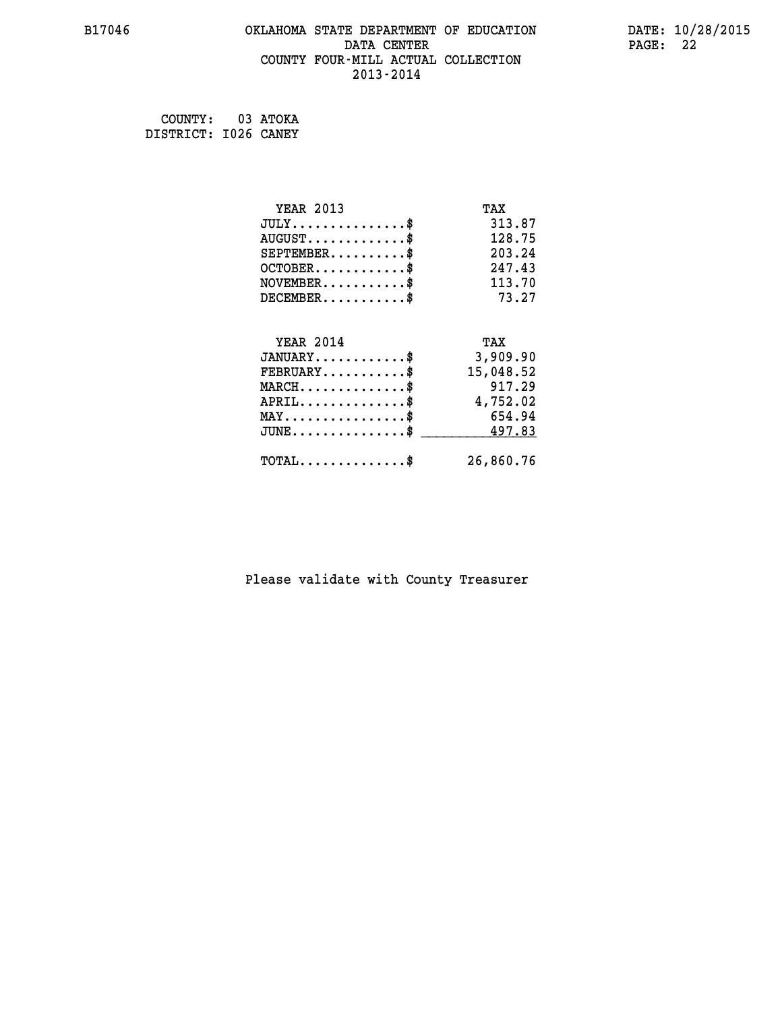#### **B17046 OKLAHOMA STATE DEPARTMENT OF EDUCATION DATE: 10/28/2015 DATA CENTER** PAGE: 22  **COUNTY FOUR-MILL ACTUAL COLLECTION 2013-2014**

 **COUNTY: 03 ATOKA DISTRICT: I026 CANEY**

| <b>YEAR 2013</b>                           | TAX       |
|--------------------------------------------|-----------|
| $JULY$ \$                                  | 313.87    |
| $AUGUST$ \$                                | 128.75    |
| $SEPTEMBER$ \$                             | 203.24    |
| $OCTOBER$ \$                               | 247.43    |
| $NOVEMBER$ \$                              | 113.70    |
| $DECEMBER$ \$                              | 73.27     |
| <b>YEAR 2014</b>                           | TAX       |
| $JANUARY$ \$                               | 3,909.90  |
| $FEBRUARY$                                 | 15,048.52 |
| $MARCH$ \$                                 | 917.29    |
| $APRIL$ \$                                 | 4,752.02  |
| $MAX \dots \dots \dots \dots \$            | 654.94    |
| $JUNE$ \$                                  | 497.83    |
| $\texttt{TOTAL} \dots \dots \dots \dots \$ | 26,860.76 |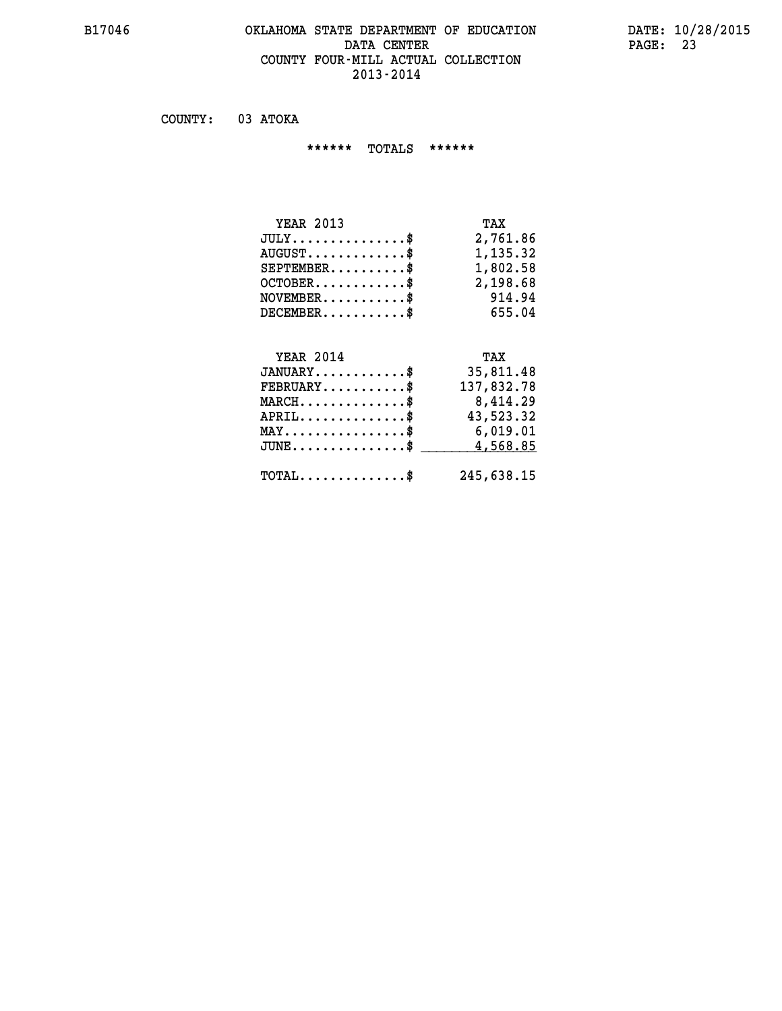### **B17046 OKLAHOMA STATE DEPARTMENT OF EDUCATION DATE: 10/28/2015 DATA CENTER** PAGE: 23  **COUNTY FOUR-MILL ACTUAL COLLECTION 2013-2014**

 **COUNTY: 03 ATOKA**

 **\*\*\*\*\*\* TOTALS \*\*\*\*\*\***

| <b>YEAR 2013</b>                 | TAX      |
|----------------------------------|----------|
| $JULY$                           | 2,761.86 |
| $AUGUST \ldots \ldots \ldots$ \$ | 1,135.32 |
| $SEPTEMBER$ $\$                  | 1,802.58 |
| $OCTOBER$ \$                     | 2,198.68 |
| $NOVEMBER$ \$                    | 914.94   |
| $DECEMBER$ \$                    | 655.04   |

#### **YEAR 2014 THEAR** 2014 **TANUARY 1998 12014**<br>TANUARY **35,811.48**

| UANUARI                                    | <b>PRITIO</b> 'CC |
|--------------------------------------------|-------------------|
| $FEBRUARY$                                 | 137,832.78        |
| $MARCH$ \$                                 | 8,414.29          |
| $APRIL$ \$                                 | 43,523.32         |
| $MAX \dots \dots \dots \dots \$            | 6,019.01          |
| $\texttt{JUNE}\dots\dots\dots\dots\dots\$  | 4,568.85          |
| $\texttt{TOTAL} \dots \dots \dots \dots \$ | 245,638.15        |
|                                            |                   |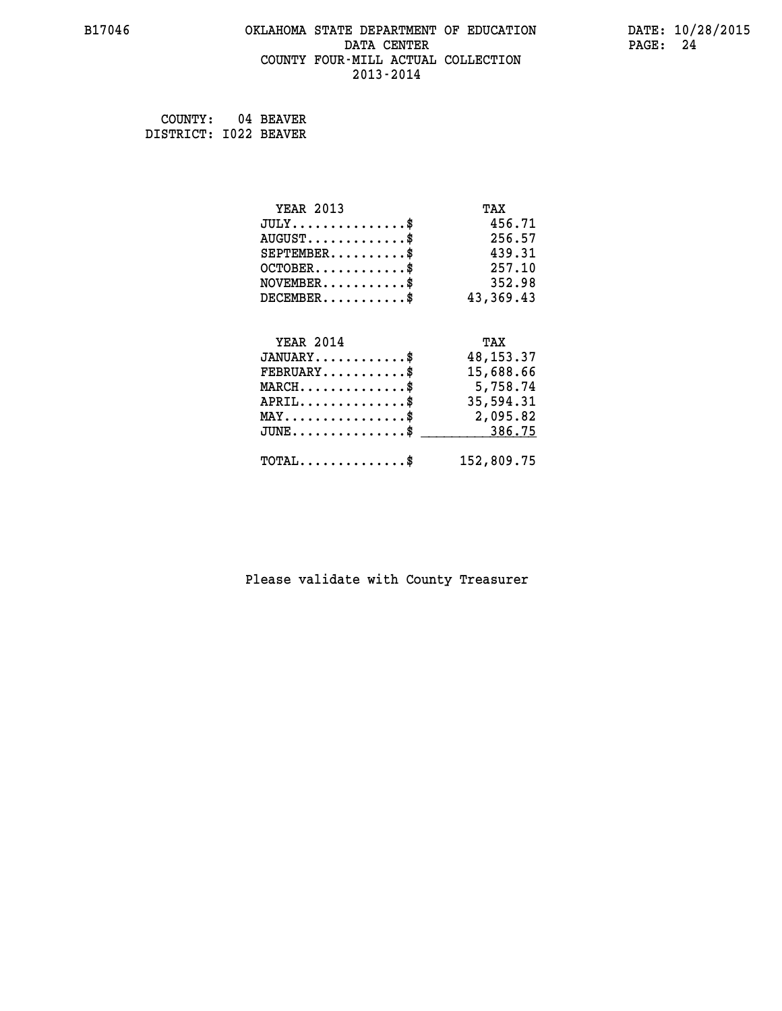#### **B17046 OKLAHOMA STATE DEPARTMENT OF EDUCATION DATE: 10/28/2015 DATA CENTER** PAGE: 24  **COUNTY FOUR-MILL ACTUAL COLLECTION 2013-2014**

 **COUNTY: 04 BEAVER DISTRICT: I022 BEAVER**

| <b>YEAR 2013</b>                                 | TAX         |
|--------------------------------------------------|-------------|
| $JULY$ \$                                        | 456.71      |
| $AUGUST$ \$                                      | 256.57      |
| $SEPTEMBER$ \$                                   | 439.31      |
| $OCTOBER$ \$                                     | 257.10      |
| $\texttt{NOVEMBER} \dots \dots \dots \$          | 352.98      |
| $DECEMBER$ \$                                    | 43,369.43   |
|                                                  |             |
| <b>YEAR 2014</b>                                 | TAX         |
| $JANUARY$                                        | 48, 153. 37 |
| $FEBRUARY$                                       | 15,688.66   |
| $\texttt{MARCH}\ldots\ldots\ldots\ldots\text{*}$ | 5,758.74    |
| $APRIL \ldots \ldots \ldots \ldots *$            | 35,594.31   |
| MAY\$ 2,095.82                                   |             |
| $JUNE$ \$                                        | 386.75      |
| $\texttt{TOTAL} \dots \dots \dots \dots \$       | 152,809.75  |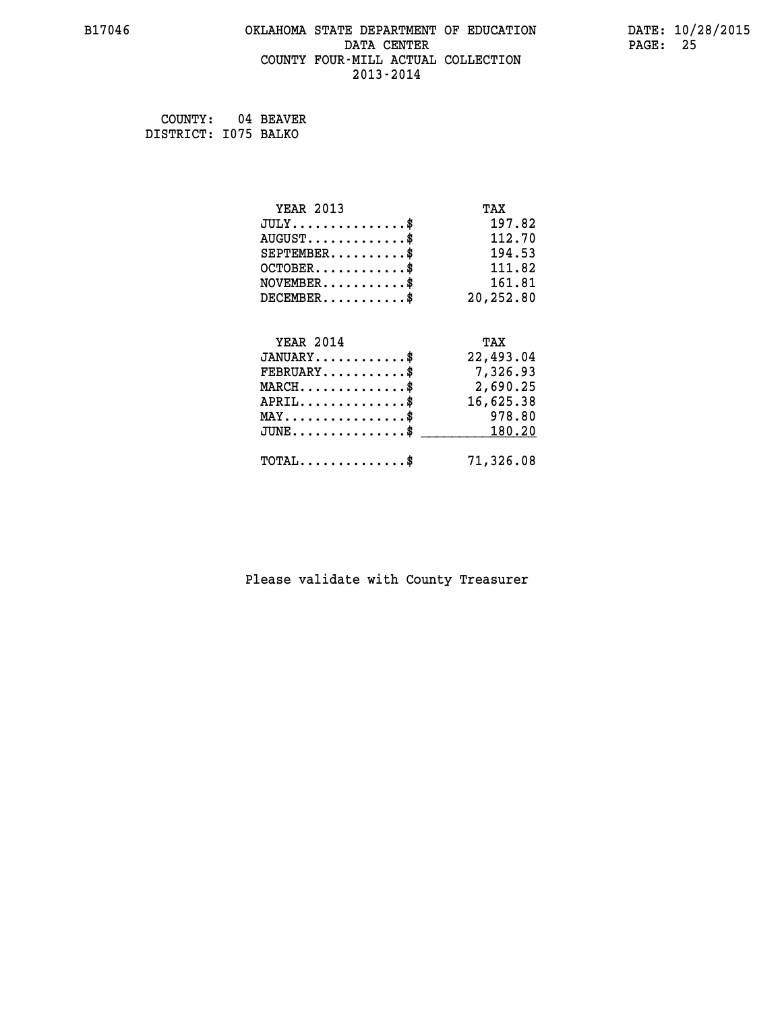#### **B17046 OKLAHOMA STATE DEPARTMENT OF EDUCATION DATE: 10/28/2015 DATA CENTER** PAGE: 25  **COUNTY FOUR-MILL ACTUAL COLLECTION 2013-2014**

 **COUNTY: 04 BEAVER DISTRICT: I075 BALKO**

| <b>YEAR 2013</b>                                 | TAX       |
|--------------------------------------------------|-----------|
| $JULY$ \$                                        | 197.82    |
| $AUGUST$ \$                                      | 112.70    |
| $SEPTEMBER$ \$                                   | 194.53    |
| $OCTOBER$ \$                                     | 111.82    |
| $\texttt{NOVEMBER} \dots \dots \dots \$          | 161.81    |
| $DECEMBER$ \$                                    | 20,252.80 |
|                                                  |           |
| <b>YEAR 2014</b>                                 | TAX       |
| $JANUARY$ \$                                     | 22,493.04 |
| $FEBRUARY$                                       | 7,326.93  |
| $\texttt{MARCH}\ldots\ldots\ldots\ldots\text{*}$ | 2,690.25  |
| $APRIL \ldots \ldots \ldots \ldots$              | 16,625.38 |
| $\texttt{MAX} \dots \dots \dots \dots \dots \$   | 978.80    |
|                                                  |           |
| $\texttt{JUNE} \dots \dots \dots \dots \dots \$$ | 180.20    |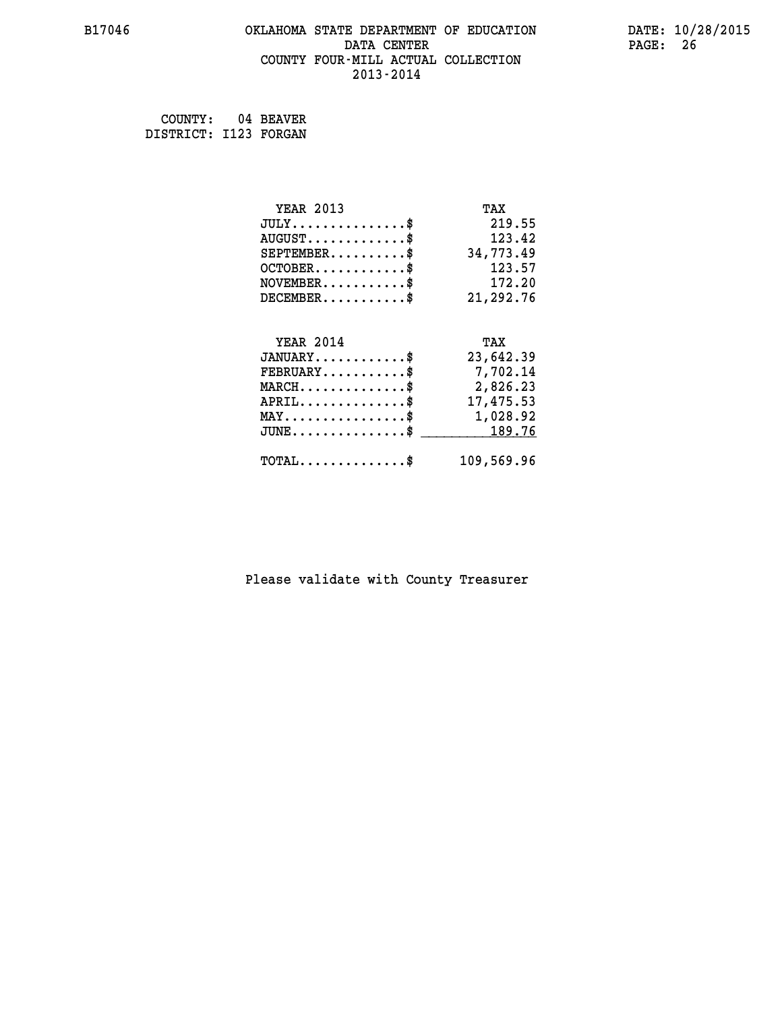#### **B17046 OKLAHOMA STATE DEPARTMENT OF EDUCATION DATE: 10/28/2015 DATA CENTER** PAGE: 26  **COUNTY FOUR-MILL ACTUAL COLLECTION 2013-2014**

 **COUNTY: 04 BEAVER DISTRICT: I123 FORGAN**

| <b>YEAR 2013</b>                               | TAX        |
|------------------------------------------------|------------|
| $JULY$ \$                                      | 219.55     |
| $AUGUST$ \$                                    | 123.42     |
| $SEPTEMBER$ \$                                 | 34,773.49  |
| $OCTOBER$ \$                                   | 123.57     |
| $NOVEMBER.$ \$                                 | 172.20     |
| $DECEMBER$ \$                                  | 21,292.76  |
|                                                |            |
| <b>YEAR 2014</b>                               | TAX        |
| $JANUARY$ \$                                   | 23,642.39  |
| $\texttt{FEBRUARY} \dots \dots \dots \$        | 7,702.14   |
| $MARCH \ldots \ldots \ldots \ldots \$          | 2,826.23   |
| $APRIL$ \$                                     | 17,475.53  |
| $\texttt{MAX} \dots \dots \dots \dots \dots \$ | 1,028.92   |
| $JUNE$ \$                                      | 189.76     |
| $TOTAL$ \$                                     | 109,569.96 |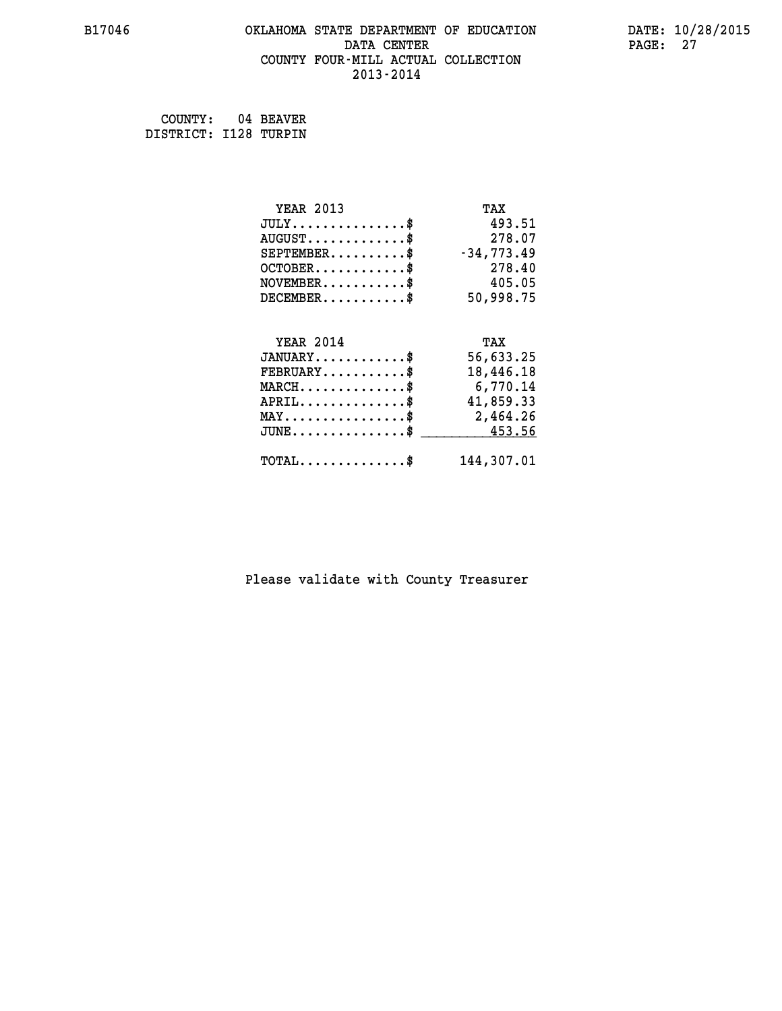#### **B17046 OKLAHOMA STATE DEPARTMENT OF EDUCATION DATE: 10/28/2015 DATA CENTER** PAGE: 27  **COUNTY FOUR-MILL ACTUAL COLLECTION 2013-2014**

 **COUNTY: 04 BEAVER DISTRICT: I128 TURPIN**

| <b>YEAR 2013</b>                               | TAX          |
|------------------------------------------------|--------------|
| $JULY$ \$                                      | 493.51       |
| $AUGUST$ \$                                    | 278.07       |
| $SEPTEMBER$ \$                                 | $-34,773.49$ |
| $OCTOBER$ \$                                   | 278.40       |
| $NOVEMBER$ \$                                  | 405.05       |
| $DECEMBER$ \$                                  | 50,998.75    |
|                                                |              |
| <b>YEAR 2014</b>                               | TAX          |
| $JANUARY$ \$                                   | 56,633.25    |
| $FEBRUARY$ \$                                  | 18,446.18    |
| $MARCH$ \$                                     | 6,770.14     |
| $APRIL$ \$                                     | 41,859.33    |
| $\texttt{MAX} \dots \dots \dots \dots \dots \$ | 2,464.26     |
| $JUNE$ \$                                      | 453.56       |
| $TOTAL$ \$                                     | 144,307.01   |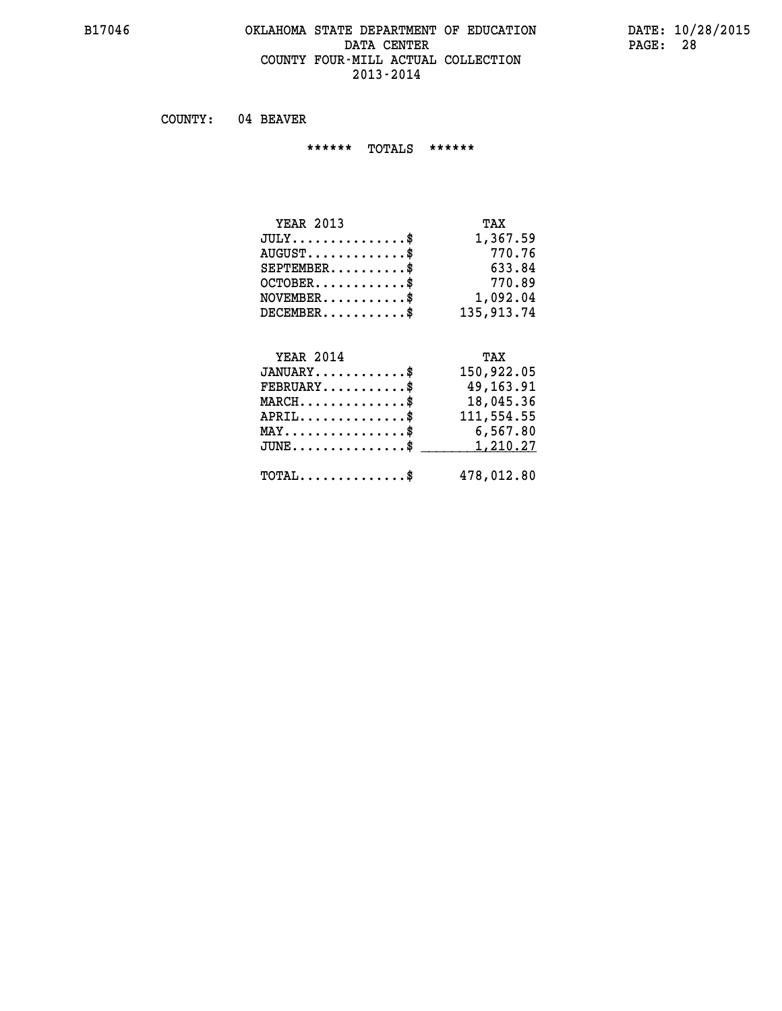#### **B17046 OKLAHOMA STATE DEPARTMENT OF EDUCATION DATE: 10/28/2015 DATA CENTER PAGE: 28 COUNTY FOUR-MILL ACTUAL COLLECTION 2013-2014**

 **COUNTY: 04 BEAVER**

 **\*\*\*\*\*\* TOTALS \*\*\*\*\*\***

| <b>YEAR 2013</b>                     | TAX        |
|--------------------------------------|------------|
| $JULY \ldots \ldots \ldots \ldots \$ | 1,367.59   |
| $AUGUST$                             | 770.76     |
| $SEPTEMBER$                          | 633.84     |
| $OCTOBER$ $\frac{1}{2}$              | 770.89     |
| $NOVEMBER$ \$                        | 1,092.04   |
| $DECEMBER$ \$                        | 135,913.74 |

#### **YEAR 2014 TAX JANUARY............\$ 150,922.05 FEBRUARY...........\$ 49,163.91 MARCH..............\$ 18,045.36 APRIL..............\$ 111,554.55 MAY................\$ 6,567.80 JUNE................\$** <u>1,210.27</u>

 **TOTAL..............\$ 478,012.80**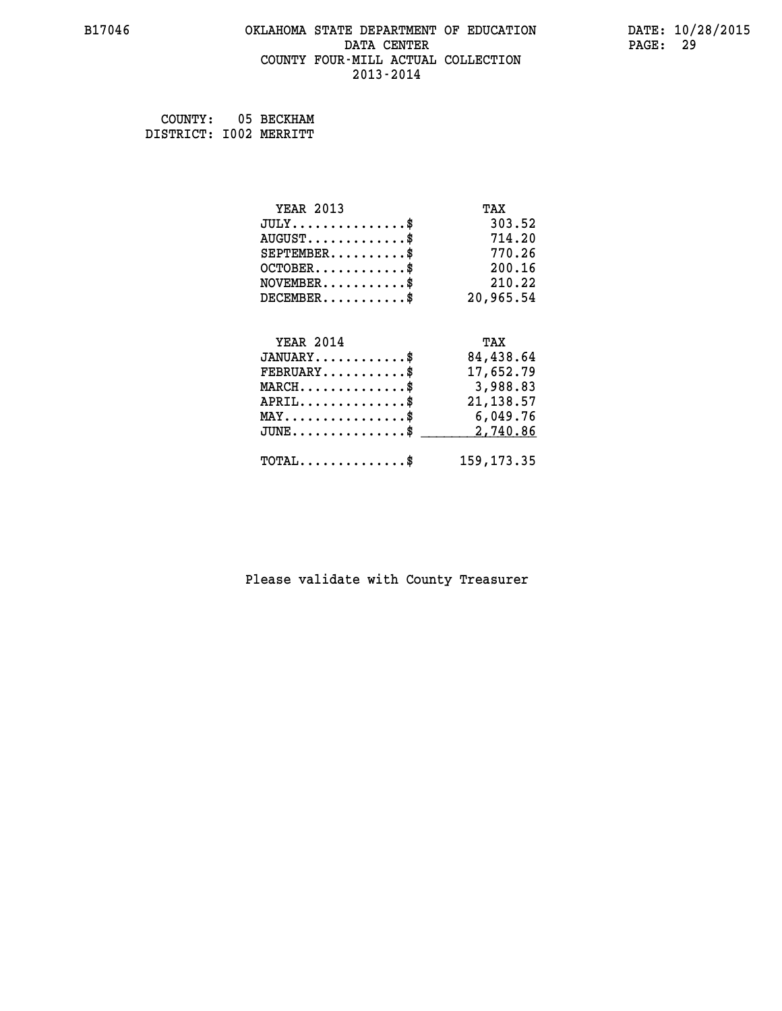#### **B17046 OKLAHOMA STATE DEPARTMENT OF EDUCATION DATE: 10/28/2015 DATA CENTER** PAGE: 29  **COUNTY FOUR-MILL ACTUAL COLLECTION 2013-2014**

 **COUNTY: 05 BECKHAM DISTRICT: I002 MERRITT**

| <b>YEAR 2013</b>                           | TAX          |
|--------------------------------------------|--------------|
| $JULY$ \$                                  | 303.52       |
| $AUGUST$ \$                                | 714.20       |
| $SEPTEMENT.$ \$                            | 770.26       |
| $OCTOBER$ \$                               | 200.16       |
| $\texttt{NOVEMBER} \dots \dots \dots \$    | 210.22       |
| $DECEMBER$ \$                              | 20,965.54    |
|                                            |              |
| <b>YEAR 2014</b>                           | TAX          |
| $JANUARY$ \$                               | 84,438.64    |
| $FEBRUARY$                                 | 17,652.79    |
| $MARCH$ \$                                 | 3,988.83     |
| $APRIL \ldots \ldots \ldots \ldots$ \$     | 21, 138.57   |
| MAY\$ 6,049.76                             |              |
| $JUNE$ \$                                  | 2,740.86     |
| $\texttt{TOTAL} \dots \dots \dots \dots \$ | 159, 173. 35 |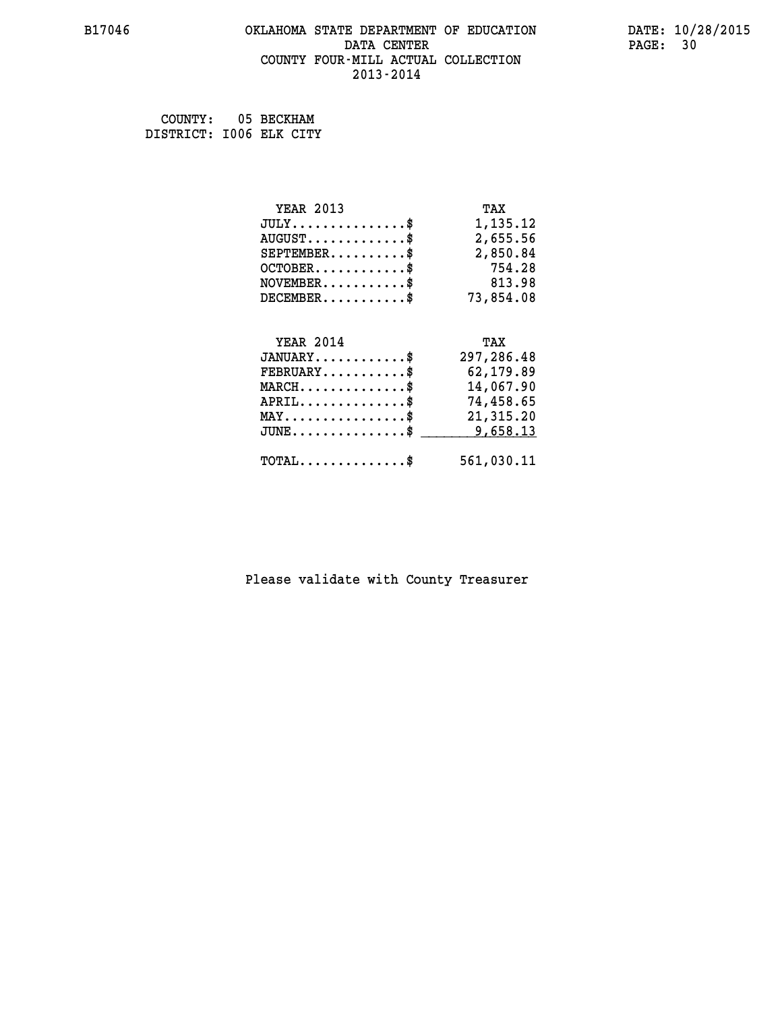#### **B17046 OKLAHOMA STATE DEPARTMENT OF EDUCATION DATE: 10/28/2015 DATA CENTER** PAGE: 30  **COUNTY FOUR-MILL ACTUAL COLLECTION 2013-2014**

 **COUNTY: 05 BECKHAM DISTRICT: I006 ELK CITY**

| <b>YEAR 2013</b>                               | TAX        |
|------------------------------------------------|------------|
| $JULY$ \$                                      | 1,135.12   |
| $AUGUST$ \$                                    | 2,655.56   |
| $SEPTEMBER$ \$                                 | 2,850.84   |
| $OCTOBER$ \$                                   | 754.28     |
| $NOVEMBER.$ \$                                 | 813.98     |
| $DECEMBER$ \$                                  | 73,854.08  |
|                                                |            |
| <b>YEAR 2014</b>                               | TAX        |
| $JANUARY$ \$                                   | 297,286.48 |
| $FEBRUARY$                                     | 62,179.89  |
| $MARCH$ \$                                     | 14,067.90  |
| $APRIL$ \$                                     | 74,458.65  |
| $\texttt{MAX} \dots \dots \dots \dots \dots \$ | 21,315.20  |
| $JUNE$ $\text{\$}$                             | 9,658.13   |
| $\texttt{TOTAL} \dots \dots \dots \dots \$     | 561,030.11 |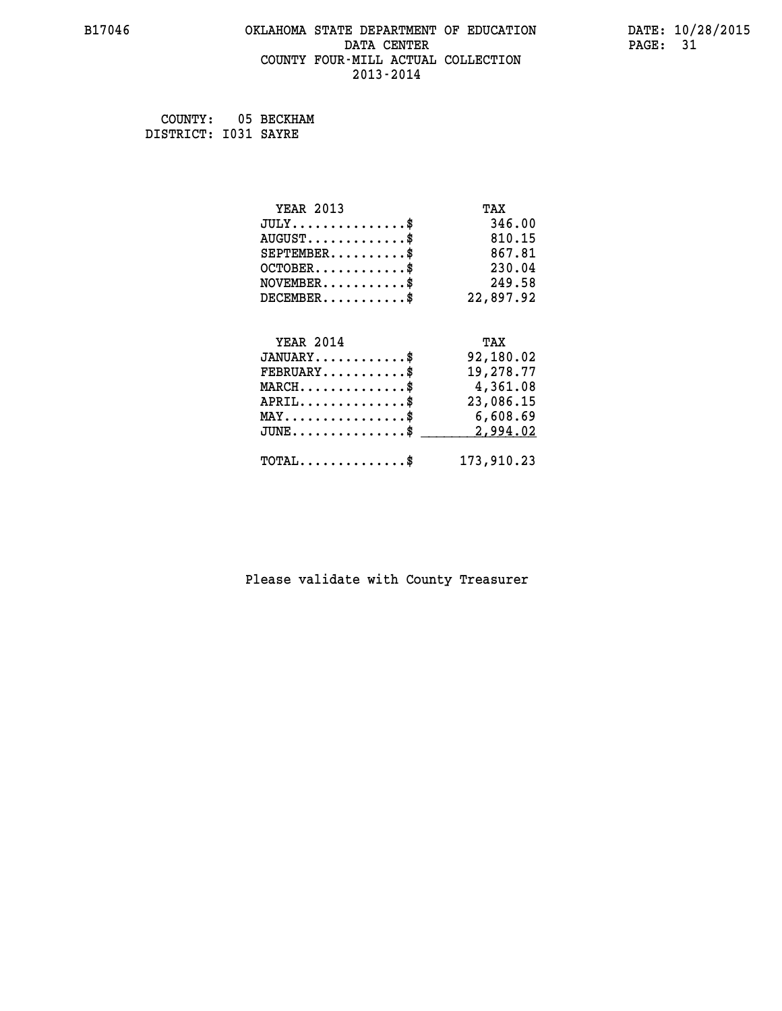#### **B17046 OKLAHOMA STATE DEPARTMENT OF EDUCATION DATE: 10/28/2015 DATA CENTER** PAGE: 31  **COUNTY FOUR-MILL ACTUAL COLLECTION 2013-2014**

 **COUNTY: 05 BECKHAM DISTRICT: I031 SAYRE**

| <b>YEAR 2013</b>                               | TAX        |
|------------------------------------------------|------------|
| $JULY$ \$                                      | 346.00     |
| $AUGUST$ \$                                    | 810.15     |
| $SEPTEMBER$ \$                                 | 867.81     |
| $OCTOBER$ \$                                   | 230.04     |
| $\texttt{NOVEMBER} \dots \dots \dots \$        | 249.58     |
| $DECEMBER$ \$                                  | 22,897.92  |
|                                                |            |
| <b>YEAR 2014</b>                               | TAX        |
| $JANUARY$ \$                                   | 92,180.02  |
| $FEBRUARY$                                     | 19,278.77  |
| $MARCH$ \$                                     | 4,361.08   |
| $APRIL$ \$                                     | 23,086.15  |
| $\texttt{MAX} \dots \dots \dots \dots \dots \$ | 6,608.69   |
| $JUNE$ \$                                      | 2,994.02   |
| $\texttt{TOTAL} \dots \dots \dots \dots \$     | 173,910.23 |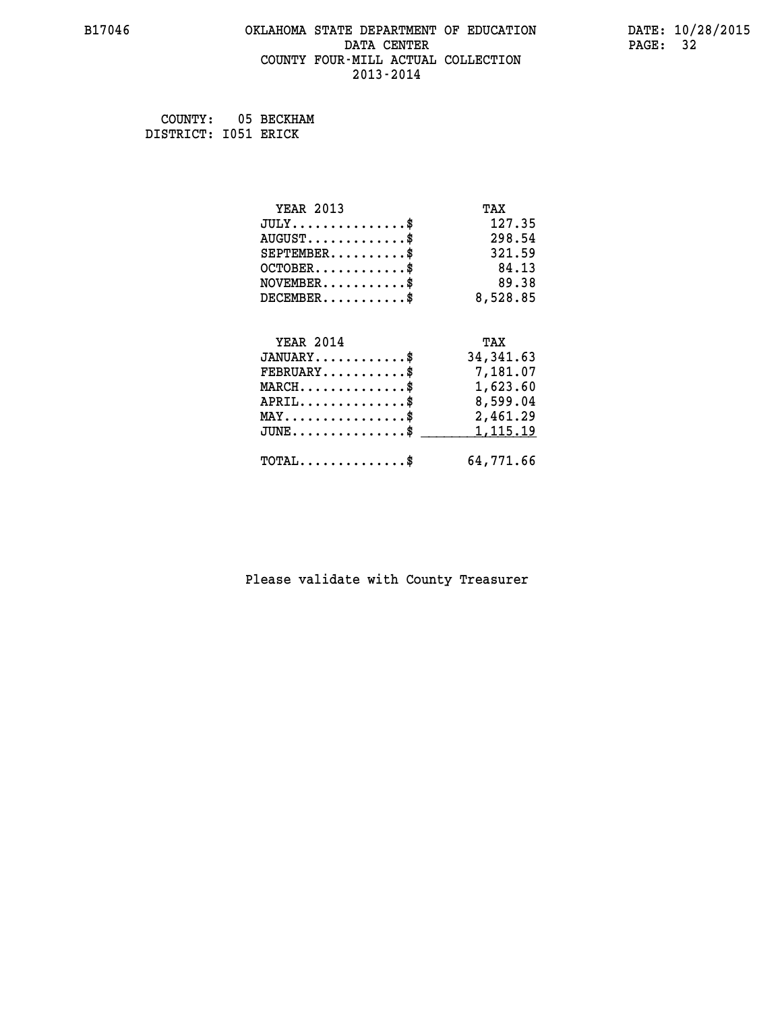#### **B17046 OKLAHOMA STATE DEPARTMENT OF EDUCATION DATE: 10/28/2015 DATA CENTER** PAGE: 32  **COUNTY FOUR-MILL ACTUAL COLLECTION 2013-2014**

 **COUNTY: 05 BECKHAM DISTRICT: I051 ERICK**

| <b>YEAR 2013</b>                                   | TAX        |
|----------------------------------------------------|------------|
| $JULY$ \$                                          | 127.35     |
| $AUGUST$ \$                                        | 298.54     |
| $SEPTEMENT.$ \$                                    | 321.59     |
| $OCTOBER$ \$                                       | 84.13      |
| $NOVEMBER$ \$                                      | 89.38      |
| $DECEMBER$ \$                                      | 8,528.85   |
|                                                    |            |
| <b>YEAR 2014</b>                                   | TAX        |
| $JANUARY$ \$                                       | 34, 341.63 |
| $FEBRUARY$                                         | 7,181.07   |
| $MARCH$ \$                                         | 1,623.60   |
| $APRIL \ldots \ldots \ldots \ldots *$              | 8,599.04   |
| $\texttt{MAX} \dots \dots \dots \dots \dots \$     | 2,461.29   |
| $\texttt{JUNE} \dots \dots \dots \dots \texttt{S}$ | 1,115.19   |
| $\texttt{TOTAL} \dots \dots \dots \dots$ \$        | 64,771.66  |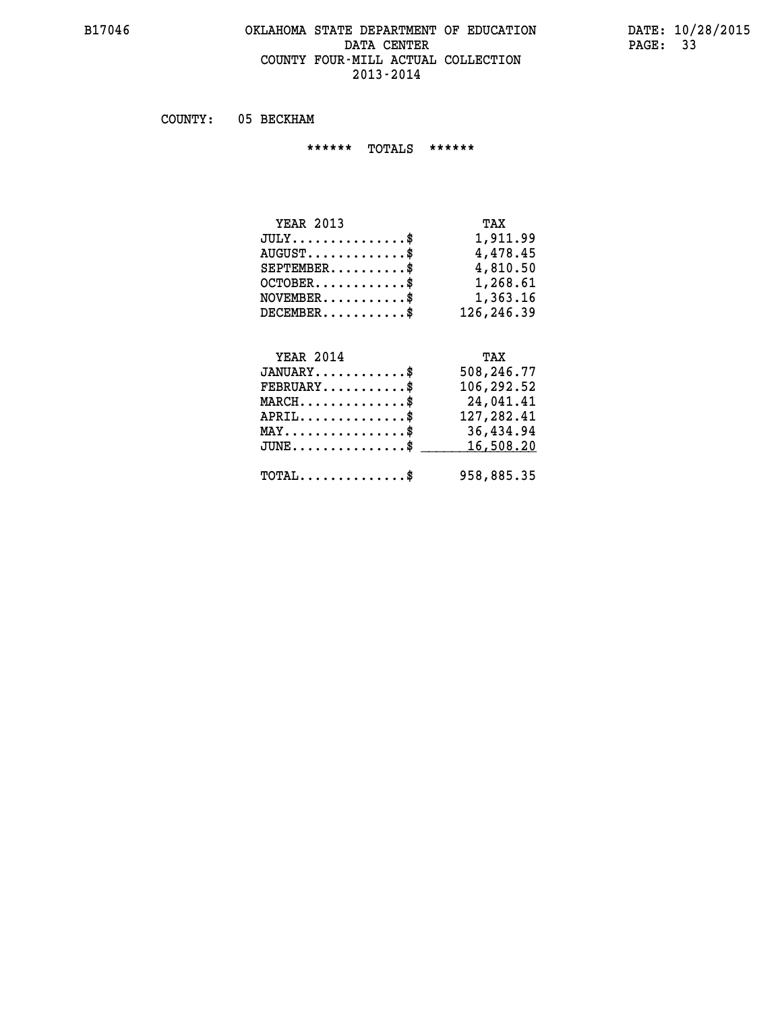### **B17046 OKLAHOMA STATE DEPARTMENT OF EDUCATION DATE: 10/28/2015** DATA CENTER PAGE: 33  **COUNTY FOUR-MILL ACTUAL COLLECTION 2013-2014**

 **COUNTY: 05 BECKHAM**

 **\*\*\*\*\*\* TOTALS \*\*\*\*\*\***

| <b>YEAR 2013</b>                 | TAX        |
|----------------------------------|------------|
| $JULY$                           | 1,911.99   |
| $AUGUST \ldots \ldots \ldots$ \$ | 4,478.45   |
| $SEPTEMBER$                      | 4,810.50   |
| $OCTOBER$                        | 1,268.61   |
| $NOVEMBER$ $\$                   | 1,363.16   |
| $DECEMBER$                       | 126,246.39 |

# **YEAR 2014 TAX**

| $JANUARY$                                           | 508,246.77 |
|-----------------------------------------------------|------------|
| $\texttt{FEBRUARY} \dots \dots \dots \$             | 106,292.52 |
| $MARCH$ \$                                          | 24,041.41  |
| $APRIL$                                             | 127,282.41 |
| $MAX \dots \dots \dots \dots \dots$                 | 36,434.94  |
| $JUNE \ldots \ldots \ldots \ldots$ \$ 16,508.20     |            |
| $\texttt{TOTAL} \dots \dots \dots \dots \texttt{S}$ | 958,885.35 |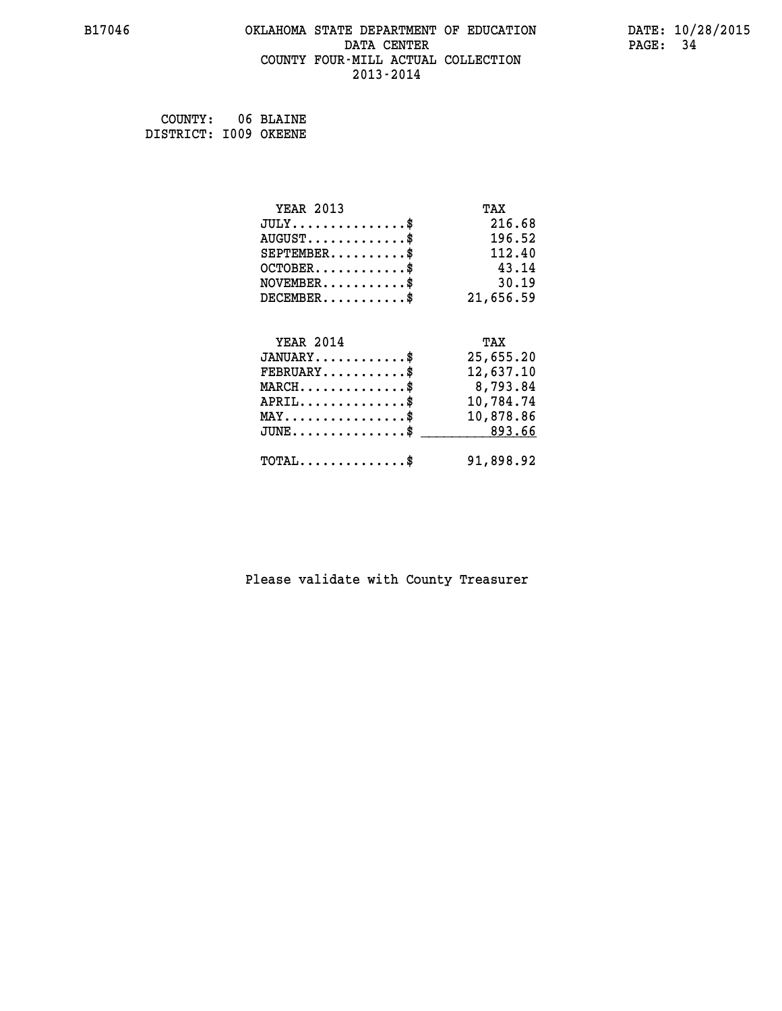#### **B17046 OKLAHOMA STATE DEPARTMENT OF EDUCATION DATE: 10/28/2015 DATA CENTER** PAGE: 34  **COUNTY FOUR-MILL ACTUAL COLLECTION 2013-2014**

 **COUNTY: 06 BLAINE DISTRICT: I009 OKEENE**

| <b>YEAR 2013</b>                               | TAX       |
|------------------------------------------------|-----------|
| $JULY$ \$                                      | 216.68    |
| $AUGUST$ \$                                    | 196.52    |
| $SEPTEMBER$ \$                                 | 112.40    |
| $OCTOBER$ \$                                   | 43.14     |
| $\texttt{NOVEMBER} \dots \dots \dots \$        | 30.19     |
| $DECEMBER$ \$                                  | 21,656.59 |
|                                                |           |
| <b>YEAR 2014</b>                               | TAX       |
| $JANUARY$                                      | 25,655.20 |
| $FEBRUARY$                                     | 12,637.10 |
| $MARCH$ \$                                     | 8,793.84  |
| $APRIL \ldots \ldots \ldots \ldots \$          | 10,784.74 |
| $\texttt{MAX} \dots \dots \dots \dots \dots \$ | 10,878.86 |
| $JUNE \ldots \ldots \ldots \ldots \ast$        | 893.66    |
| $\texttt{TOTAL} \dots \dots \dots \dots \$     | 91,898.92 |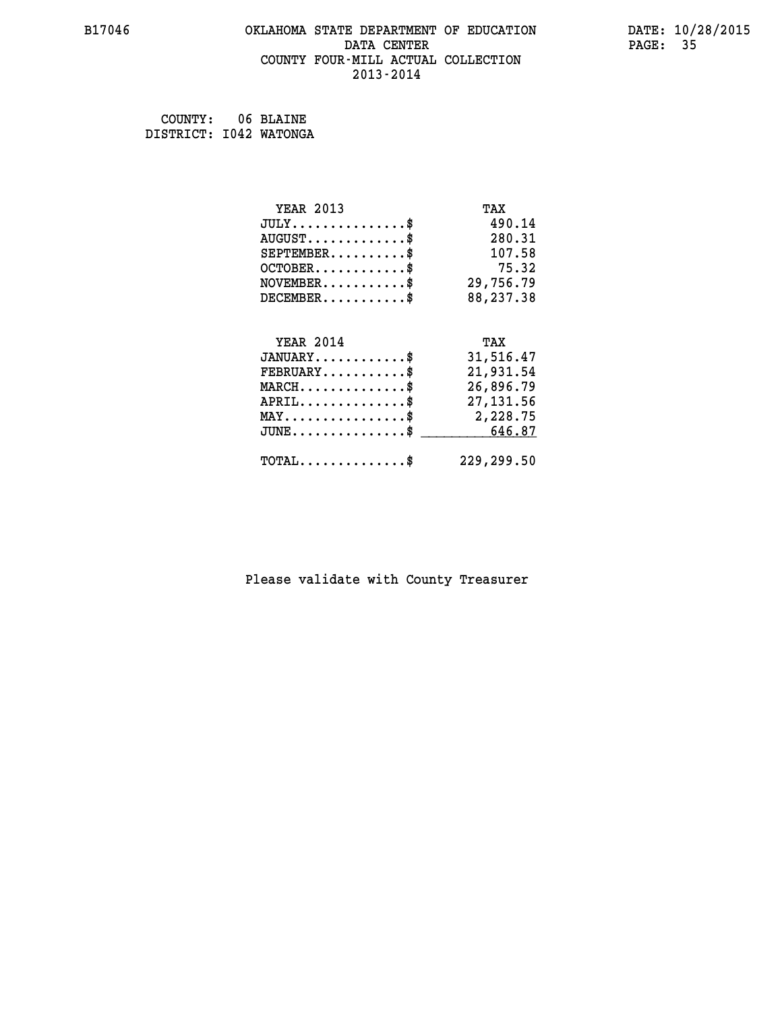#### **B17046 OKLAHOMA STATE DEPARTMENT OF EDUCATION DATE: 10/28/2015 DATA CENTER** PAGE: 35  **COUNTY FOUR-MILL ACTUAL COLLECTION 2013-2014**

 **COUNTY: 06 BLAINE DISTRICT: I042 WATONGA**

| <b>YEAR 2013</b>                                 | TAX        |
|--------------------------------------------------|------------|
| $JULY$ \$                                        | 490.14     |
| $AUGUST$ \$                                      | 280.31     |
| $SEPTEMBER$ \$                                   | 107.58     |
| $OCTOBER$ \$                                     | 75.32      |
| $\texttt{NOVEMBER} \dots \dots \dots \$          | 29,756.79  |
| $DECEMBER$ \$                                    | 88,237.38  |
|                                                  |            |
| <b>YEAR 2014</b>                                 | TAX        |
| $JANUARY$ \$                                     | 31,516.47  |
| $FEBRUARY$                                       | 21,931.54  |
| $\texttt{MARCH}\ldots\ldots\ldots\ldots\text{*}$ | 26,896.79  |
| $APRIL \ldots \ldots \ldots \ldots$ \$           | 27, 131.56 |
| MAY\$ 2,228.75                                   |            |
| $JUNE$ \$                                        | 646.87     |
| $\texttt{TOTAL} \dots \dots \dots \dots \$       | 229,299.50 |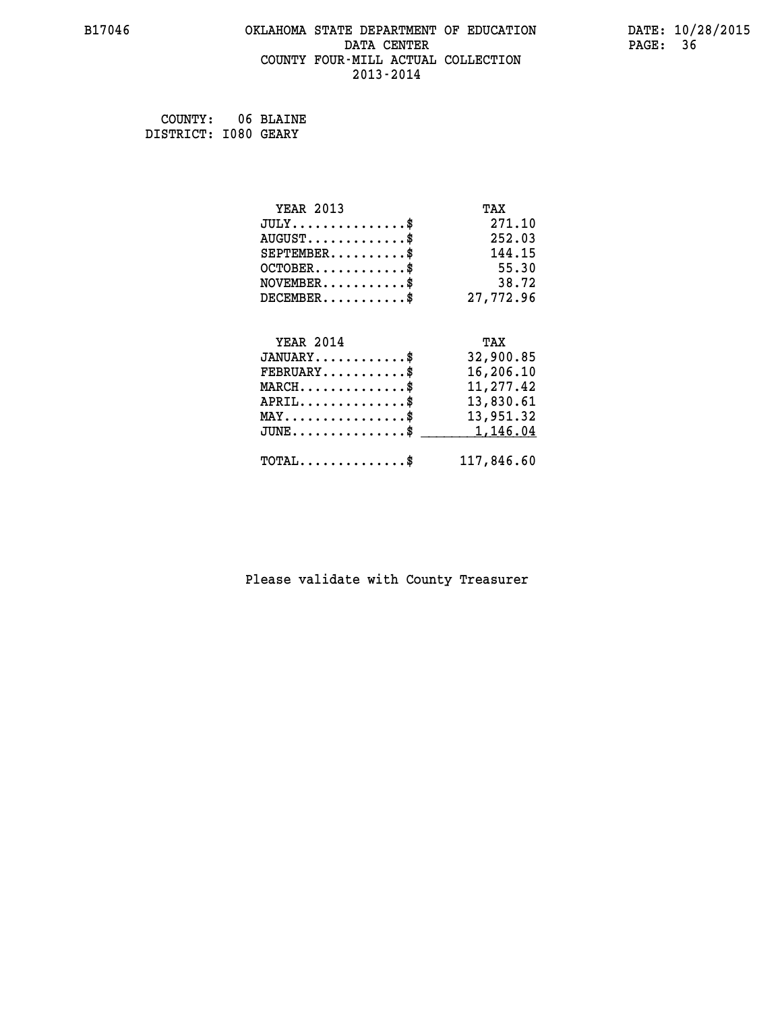#### **B17046 OKLAHOMA STATE DEPARTMENT OF EDUCATION DATE: 10/28/2015 DATA CENTER** PAGE: 36  **COUNTY FOUR-MILL ACTUAL COLLECTION 2013-2014**

 **COUNTY: 06 BLAINE DISTRICT: I080 GEARY**

| <b>YEAR 2013</b>                               | TAX        |
|------------------------------------------------|------------|
| $JULY$ \$                                      | 271.10     |
| $AUGUST$ \$                                    | 252.03     |
| $SEPTEMENT.$ \$                                | 144.15     |
| $OCTOBER$ \$                                   | 55.30      |
| $NOVEMBER$ \$                                  | 38.72      |
| $DECEMBER$ \$                                  | 27,772.96  |
|                                                |            |
| <b>YEAR 2014</b>                               | TAX        |
| $JANUARY$ \$                                   | 32,900.85  |
| $FEBRUARY$                                     | 16,206.10  |
| $MARCH$ \$                                     | 11,277.42  |
| $APRIL$ \$                                     | 13,830.61  |
| $\texttt{MAX} \dots \dots \dots \dots \dots \$ | 13,951.32  |
| $JUNE$ $\text{\$}$                             | 1,146.04   |
| $\texttt{TOTAL} \dots \dots \dots \dots \$     | 117,846.60 |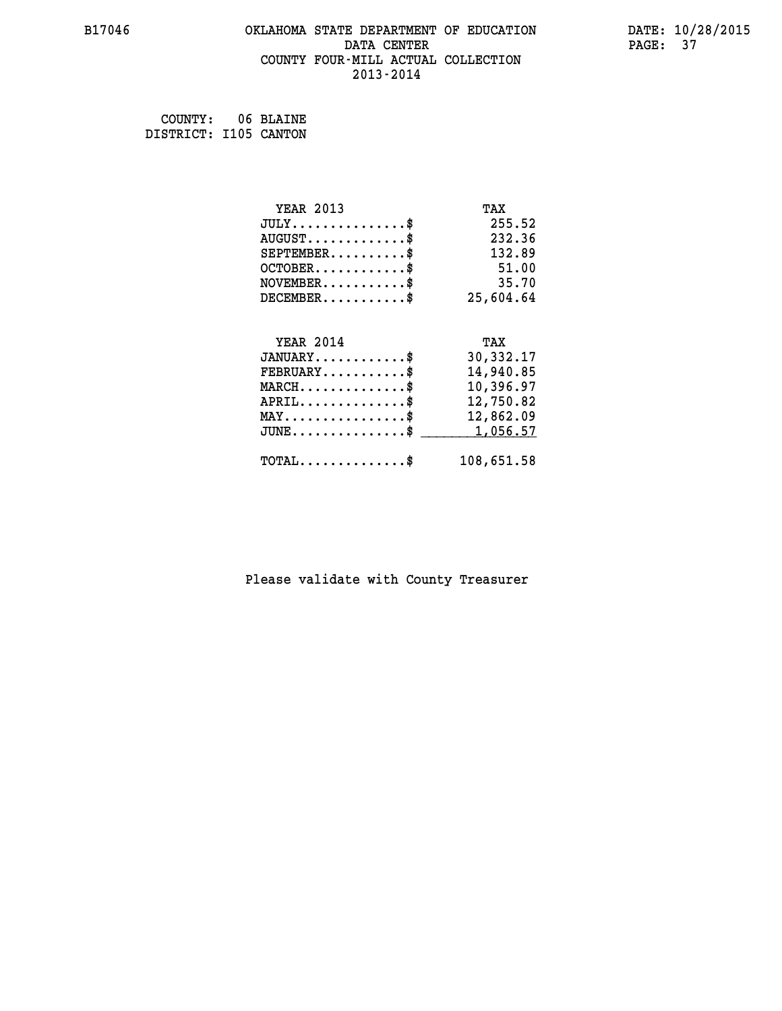#### **B17046 OKLAHOMA STATE DEPARTMENT OF EDUCATION DATE: 10/28/2015 DATA CENTER** PAGE: 37  **COUNTY FOUR-MILL ACTUAL COLLECTION 2013-2014**

 **COUNTY: 06 BLAINE DISTRICT: I105 CANTON**

| <b>YEAR 2013</b>                               | TAX        |
|------------------------------------------------|------------|
| $JULY$ \$                                      | 255.52     |
| $AUGUST$ \$                                    | 232.36     |
| $SEPTEMBER$ \$                                 | 132.89     |
| $OCTOBER$ \$                                   | 51.00      |
| $NOVEMBER$ \$                                  | 35.70      |
| $DECEMBER$ \$                                  | 25,604.64  |
|                                                |            |
| <b>YEAR 2014</b>                               | TAX        |
| $JANUARY$ \$                                   | 30,332.17  |
| $FEBRUARY$                                     | 14,940.85  |
| $MARCH$ \$                                     | 10,396.97  |
| $APRIL$ \$                                     | 12,750.82  |
| $\texttt{MAX} \dots \dots \dots \dots \dots \$ | 12,862.09  |
| $JUNE$ \$                                      | 1,056.57   |
| $\texttt{TOTAL} \dots \dots \dots \dots \$     | 108,651.58 |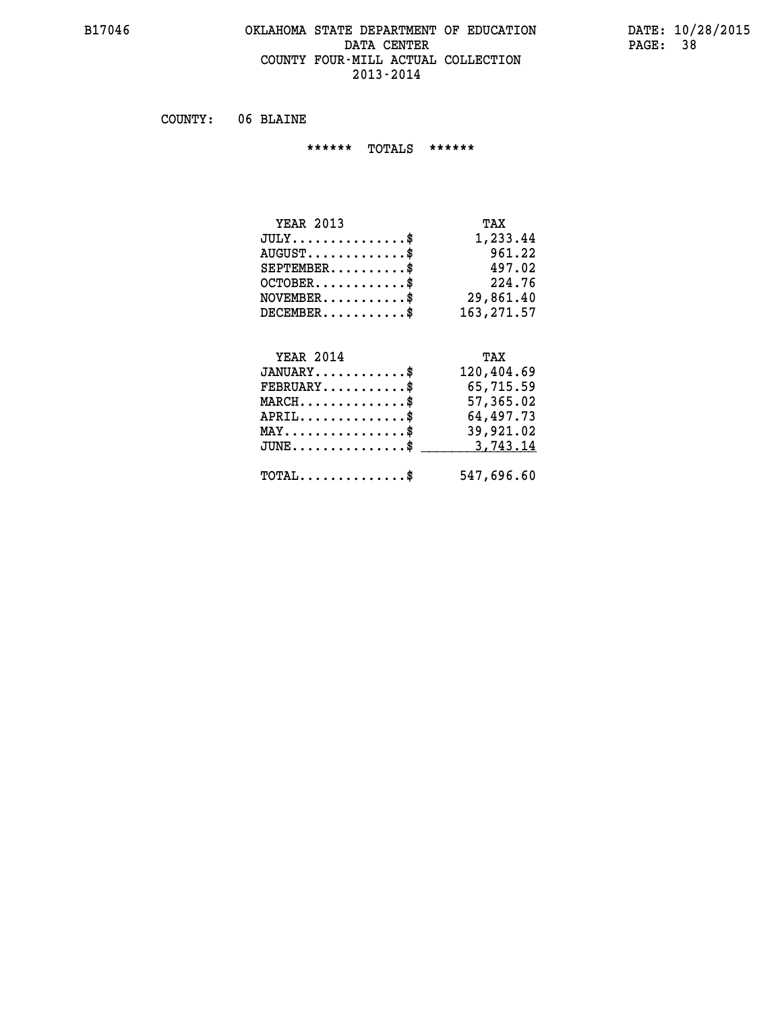#### **B17046 OKLAHOMA STATE DEPARTMENT OF EDUCATION DATE: 10/28/2015 DATA CENTER** PAGE: 38  **COUNTY FOUR-MILL ACTUAL COLLECTION 2013-2014**

 **COUNTY: 06 BLAINE**

 **\*\*\*\*\*\* TOTALS \*\*\*\*\*\***

| <b>YEAR 2013</b>                     | TAX        |
|--------------------------------------|------------|
| $JULY \ldots \ldots \ldots \ldots \$ | 1,233.44   |
| $AUGUST$                             | 961.22     |
| $SEPTEMBER$                          | 497.02     |
| $OCTOBER$ \$                         | 224.76     |
| $NOVEMBER$ $\$\$                     | 29,861.40  |
| $DECEMBER$ \$                        | 163,271.57 |

## **YEAR 2014 TAX**

| $JANUARY$                                     | 120,404.69 |
|-----------------------------------------------|------------|
| $\texttt{FEBRUARY} \dots \dots \dots \$       | 65,715.59  |
| $MARCH$ \$                                    | 57,365.02  |
| $APRIL$                                       | 64,497.73  |
| $MAX \dots \dots \dots \dots \dots \$         | 39,921.02  |
| $JUNE \ldots \ldots \ldots \ldots \$ 3,743.14 |            |
| $\text{TOTAL} \dots \dots \dots \dots \dots$  | 547,696.60 |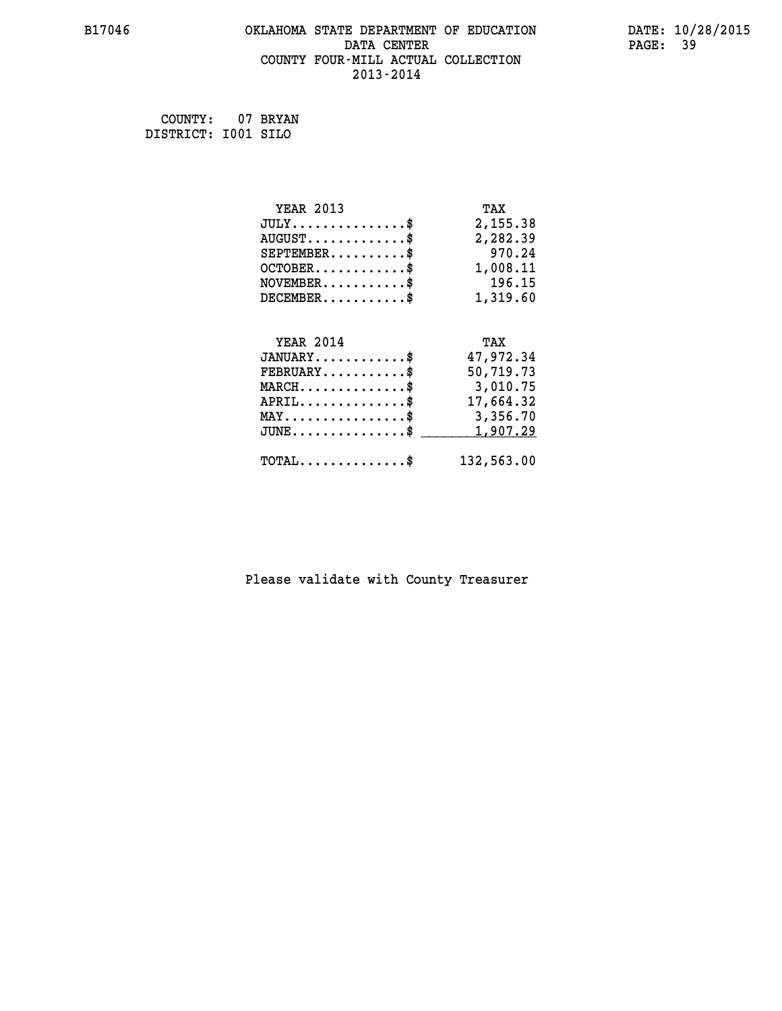#### **B17046 OKLAHOMA STATE DEPARTMENT OF EDUCATION DATE: 10/28/2015 DATA CENTER** PAGE: 39  **COUNTY FOUR-MILL ACTUAL COLLECTION 2013-2014**

 **COUNTY: 07 BRYAN DISTRICT: I001 SILO**

| <b>YEAR 2013</b>                                 | TAX        |
|--------------------------------------------------|------------|
| $JULY$ \$                                        | 2,155.38   |
| $AUGUST$ \$                                      | 2,282.39   |
| $SEPTEMBER$ \$                                   | 970.24     |
| $OCTOBER$ \$                                     | 1,008.11   |
| $\texttt{NOVEMBER} \dots \dots \dots \$          | 196.15     |
| $DECEMBER$ \$                                    | 1,319.60   |
|                                                  |            |
| <b>YEAR 2014</b>                                 | TAX        |
| $JANUARY$ \$                                     | 47,972.34  |
| $FEBRUARY$                                       | 50,719.73  |
| $\texttt{MARCH}\ldots\ldots\ldots\ldots\text{*}$ | 3,010.75   |
| $APRIL \ldots \ldots \ldots \ldots$ \$           | 17,664.32  |
| $\texttt{MAX} \dots \dots \dots \dots \dots \$   | 3,356.70   |
| $JUNE$ \$                                        | 1,907.29   |
| $\texttt{TOTAL} \dots \dots \dots \dots \$       | 132,563.00 |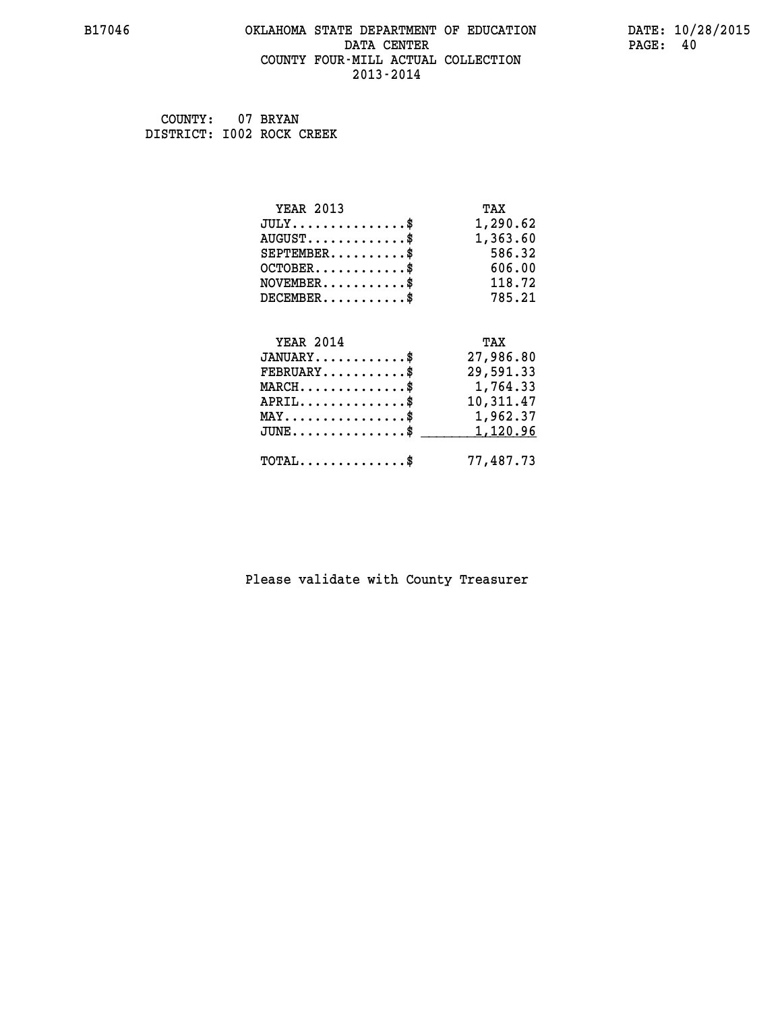#### **B17046 OKLAHOMA STATE DEPARTMENT OF EDUCATION DATE: 10/28/2015 DATA CENTER** PAGE: 40  **COUNTY FOUR-MILL ACTUAL COLLECTION 2013-2014**

 **COUNTY: 07 BRYAN DISTRICT: I002 ROCK CREEK**

| <b>YEAR 2013</b>                               | TAX       |
|------------------------------------------------|-----------|
| $JULY$ \$                                      | 1,290.62  |
| $AUGUST$ \$                                    | 1,363.60  |
| $SEPTEMBER$ \$                                 | 586.32    |
| $OCTOBER$ \$                                   | 606.00    |
| $NOVEMBER$ \$                                  | 118.72    |
| $DECEMBER$ \$                                  | 785.21    |
|                                                |           |
| <b>YEAR 2014</b>                               | TAX       |
| $JANUARY$ \$                                   | 27,986.80 |
| $FEBRUARY$                                     | 29,591.33 |
| $MARCH$ \$                                     | 1,764.33  |
| $APRIL$ \$                                     | 10,311.47 |
| $\texttt{MAX} \dots \dots \dots \dots \dots \$ | 1,962.37  |
| $JUNE$ \$                                      | 1,120.96  |
| $\texttt{TOTAL} \dots \dots \dots \dots \$     | 77,487.73 |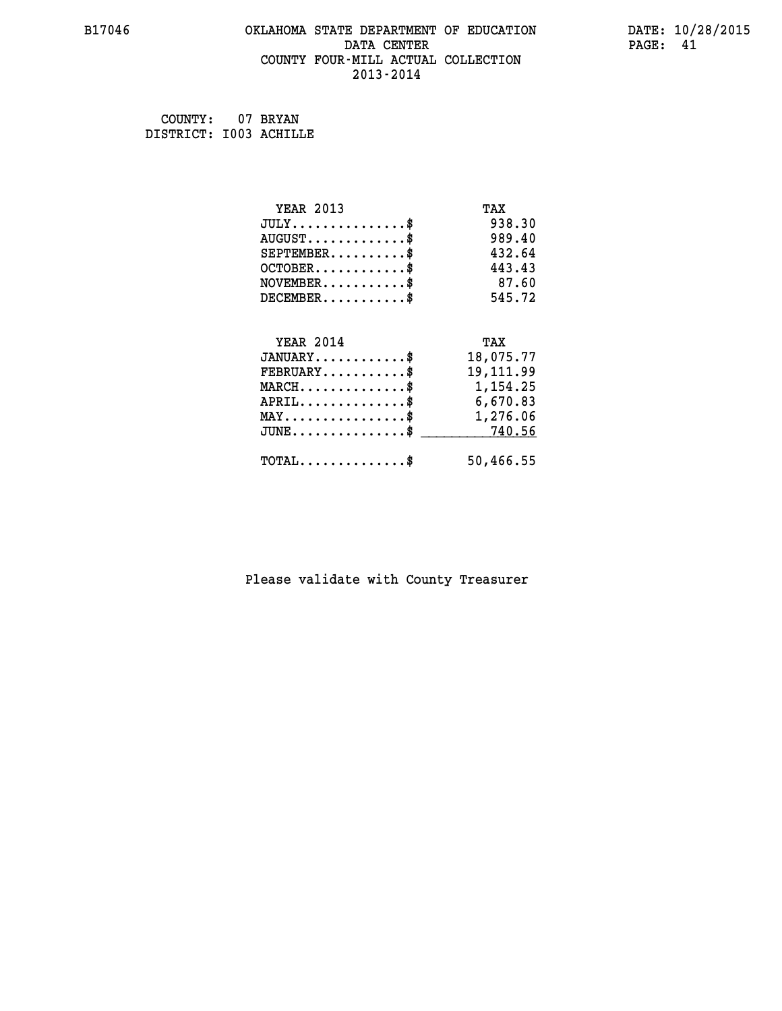#### **B17046 OKLAHOMA STATE DEPARTMENT OF EDUCATION DATE: 10/28/2015 DATA CENTER** PAGE: 41  **COUNTY FOUR-MILL ACTUAL COLLECTION 2013-2014**

 **COUNTY: 07 BRYAN DISTRICT: I003 ACHILLE**

| <b>YEAR 2013</b>                            | TAX         |
|---------------------------------------------|-------------|
| $JULY$ \$                                   | 938.30      |
| $AUGUST$ \$                                 | 989.40      |
| $SEPTEMBER$ \$                              | 432.64      |
| $OCTOBER$ \$                                | 443.43      |
| $NOVEMBER$ \$                               | 87.60       |
| $DECEMBER$ \$                               | 545.72      |
|                                             |             |
| <b>YEAR 2014</b>                            | TAX         |
| $JANUARY$ \$                                | 18,075.77   |
| $FEBRUARY$                                  | 19, 111, 99 |
| $MARCH$ \$                                  | 1,154.25    |
| $APRIL \ldots \ldots \ldots \ldots \$       | 6,670.83    |
| MAY\$ 1,276.06                              |             |
| $JUNE \dots \dots \dots \dots \$ 740.56     |             |
| $\texttt{TOTAL} \dots \dots \dots \dots$ \$ | 50,466.55   |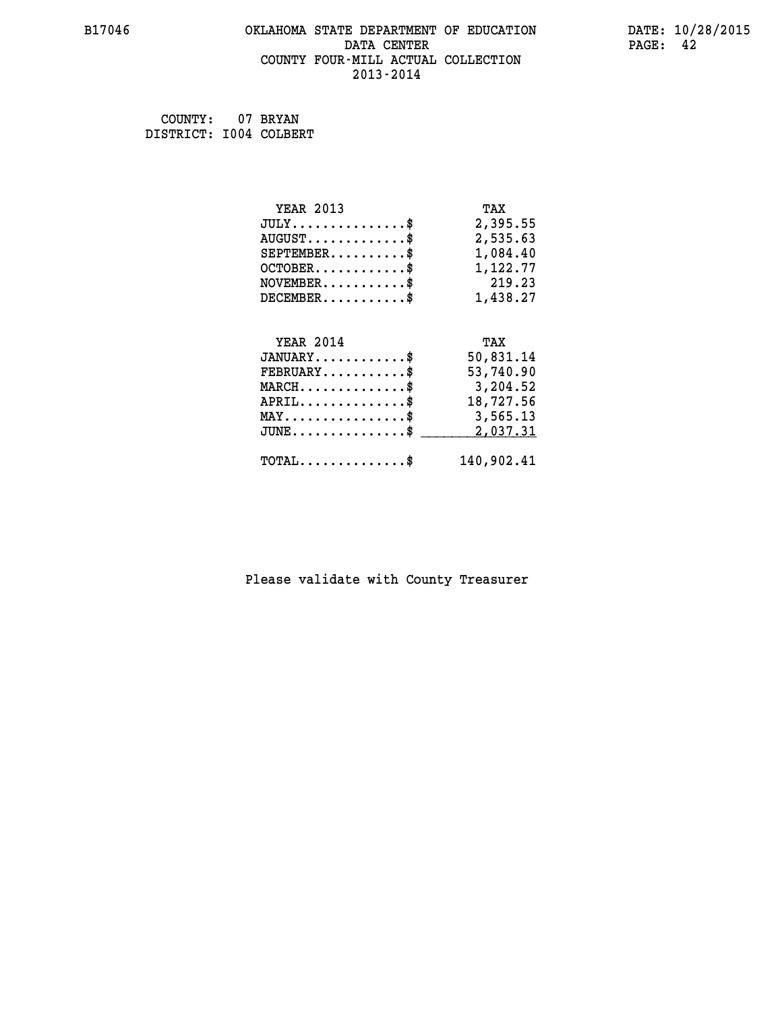#### **B17046 OKLAHOMA STATE DEPARTMENT OF EDUCATION DATE: 10/28/2015 DATA CENTER** PAGE: 42  **COUNTY FOUR-MILL ACTUAL COLLECTION 2013-2014**

 **COUNTY: 07 BRYAN DISTRICT: I004 COLBERT**

| <b>YEAR 2013</b>                                   | TAX        |
|----------------------------------------------------|------------|
| $JULY$ \$                                          | 2,395.55   |
| $AUGUST$ \$                                        | 2,535.63   |
| $SEPTEMENT.$ $\frac{1}{2}$                         | 1,084.40   |
| $OCTOBER$ \$                                       | 1,122.77   |
| $NOVEMBER$ \$                                      | 219.23     |
| $DECEMBER$                                         | 1,438.27   |
| <b>YEAR 2014</b>                                   | TAX        |
| $JANUARY$ \$                                       | 50,831.14  |
| $FEBRUARY$                                         | 53,740.90  |
| $MARCH$ \$                                         | 3,204.52   |
| $APRIL$ \$                                         | 18,727.56  |
| $\texttt{MAX} \dots \dots \dots \dots \dots \$     | 3,565.13   |
| $\texttt{JUNE} \dots \dots \dots \dots \texttt{S}$ | 2,037.31   |
| $\texttt{TOTAL} \dots \dots \dots \dots \$         | 140,902.41 |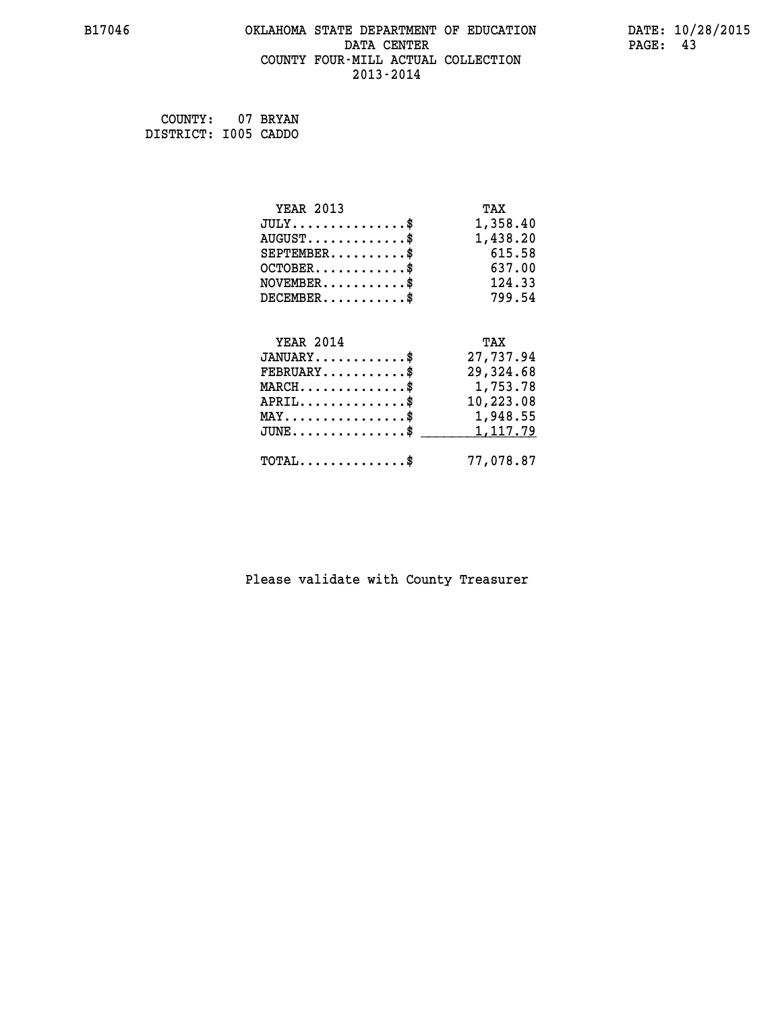#### **B17046 OKLAHOMA STATE DEPARTMENT OF EDUCATION DATE: 10/28/2015 DATA CENTER** PAGE: 43  **COUNTY FOUR-MILL ACTUAL COLLECTION 2013-2014**

 **COUNTY: 07 BRYAN DISTRICT: I005 CADDO**

| <b>YEAR 2013</b>                                 | TAX       |
|--------------------------------------------------|-----------|
| $JULY$ \$                                        | 1,358.40  |
| $AUGUST$ \$                                      | 1,438.20  |
| $SEPTEMBER$ \$                                   | 615.58    |
| $OCTOBER$ \$                                     | 637.00    |
| $\texttt{NOVEMBER} \dots \dots \dots \$          | 124.33    |
| $DECEMBER$ \$                                    | 799.54    |
|                                                  |           |
| <b>YEAR 2014</b>                                 | TAX       |
| $JANUARY$ \$                                     | 27,737.94 |
| $FEBRUARY$                                       | 29,324.68 |
| $\texttt{MARCH}\ldots\ldots\ldots\ldots\text{*}$ | 1,753.78  |
| $APRIL \ldots \ldots \ldots \ldots$              | 10,223.08 |
| $\texttt{MAX} \dots \dots \dots \dots \dots \$   | 1,948.55  |
| $\texttt{JUNE} \dots \dots \dots \dots \$        | 1,117.79  |
| $\texttt{TOTAL} \dots \dots \dots \dots \$       | 77,078.87 |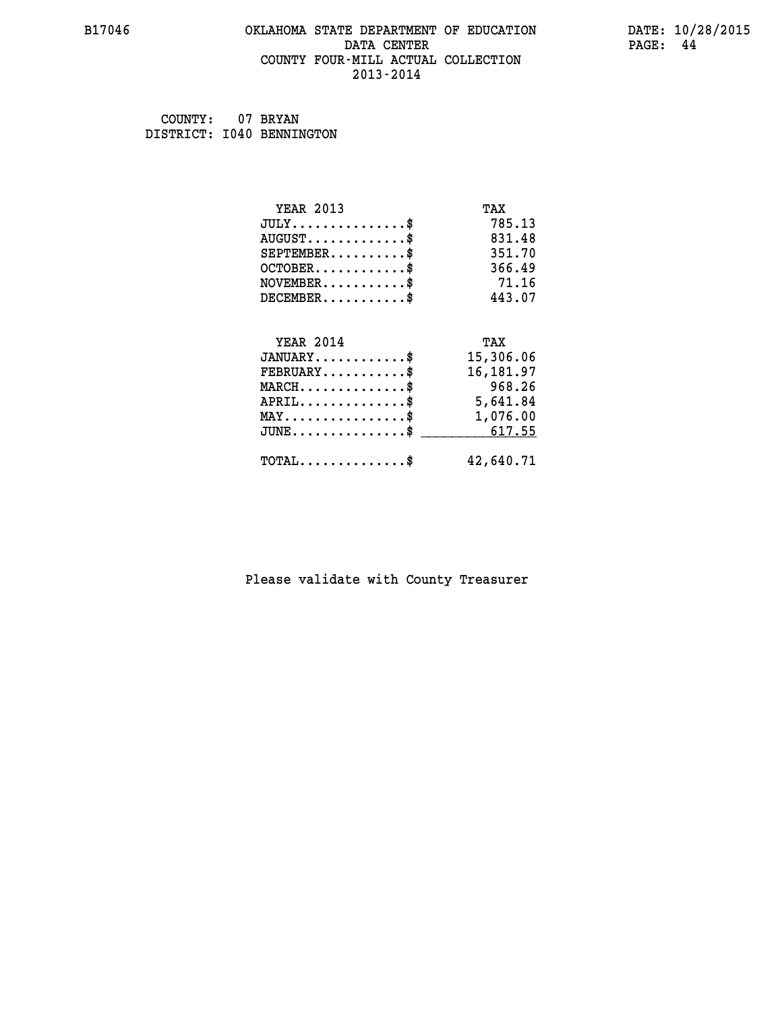#### **B17046 OKLAHOMA STATE DEPARTMENT OF EDUCATION DATE: 10/28/2015 DATA CENTER** PAGE: 44  **COUNTY FOUR-MILL ACTUAL COLLECTION 2013-2014**

 **COUNTY: 07 BRYAN DISTRICT: I040 BENNINGTON**

| <b>YEAR 2013</b>                               | TAX       |
|------------------------------------------------|-----------|
| $JULY$ \$                                      | 785.13    |
| $AUGUST$ \$                                    | 831.48    |
| $SEPTEMENT.$ \$                                | 351.70    |
| $OCTOBER$ \$                                   | 366.49    |
| $NOVEMBER$ \$                                  | 71.16     |
| $DECEMBER$ \$                                  | 443.07    |
|                                                |           |
| <b>YEAR 2014</b>                               | TAX       |
| $JANUARY$ \$                                   | 15,306.06 |
| $FEBRUARY$                                     | 16,181.97 |
| $MARCH$ \$                                     | 968.26    |
| $APRIL \ldots \ldots \ldots \ldots$ \$         | 5,641.84  |
| $\texttt{MAX} \dots \dots \dots \dots \dots \$ | 1,076.00  |
| $JUNE$ \$                                      | 617.55    |
| $TOTAL$ \$                                     | 42,640.71 |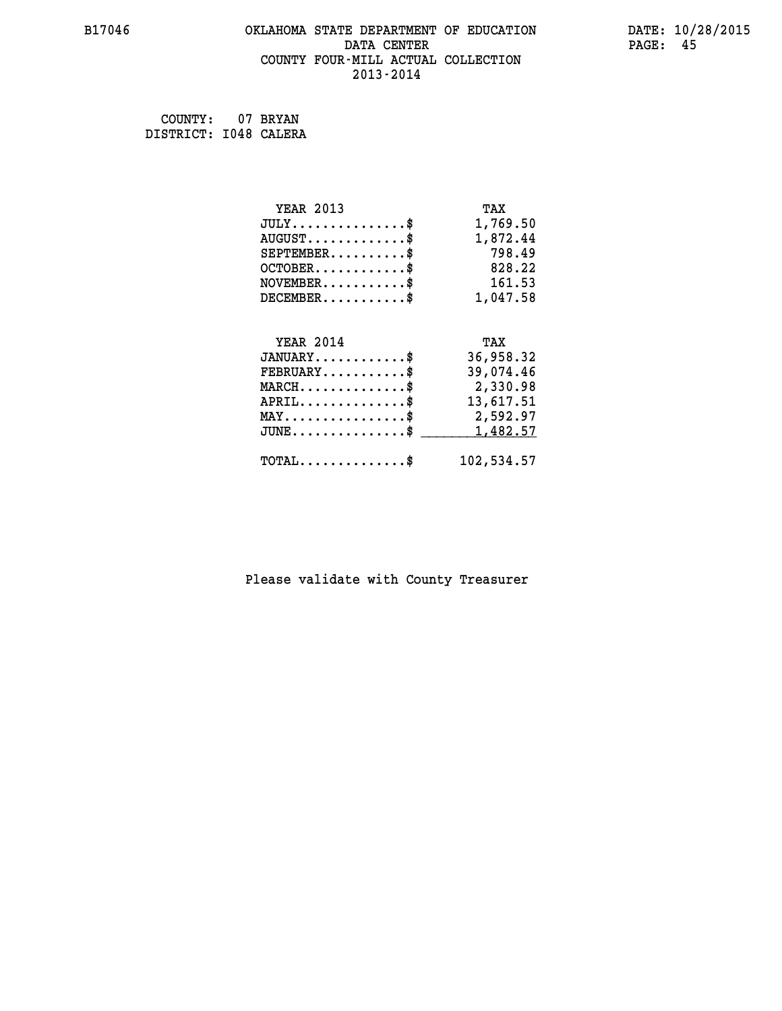#### **B17046 OKLAHOMA STATE DEPARTMENT OF EDUCATION DATE: 10/28/2015 DATA CENTER** PAGE: 45  **COUNTY FOUR-MILL ACTUAL COLLECTION 2013-2014**

 **COUNTY: 07 BRYAN DISTRICT: I048 CALERA**

| <b>YEAR 2013</b>                               | TAX        |
|------------------------------------------------|------------|
| $JULY$ \$                                      | 1,769.50   |
| $AUGUST$ \$                                    | 1,872.44   |
| $SEPTEMBER$ \$                                 | 798.49     |
| $OCTOBER$ \$                                   | 828.22     |
| $NOVEMBER$ \$                                  | 161.53     |
| $DECEMBER$ \$                                  | 1,047.58   |
|                                                |            |
| <b>YEAR 2014</b>                               | TAX        |
| $JANUARY$ \$                                   | 36,958.32  |
| $FEBRUARY$                                     | 39,074.46  |
| $MARCH$ \$                                     | 2,330.98   |
| $APRIL$ \$                                     | 13,617.51  |
| $\texttt{MAX} \dots \dots \dots \dots \dots \$ | 2,592.97   |
| $JUNE$ \$                                      | 1,482.57   |
| $\texttt{TOTAL} \dots \dots \dots \dots \$     | 102,534.57 |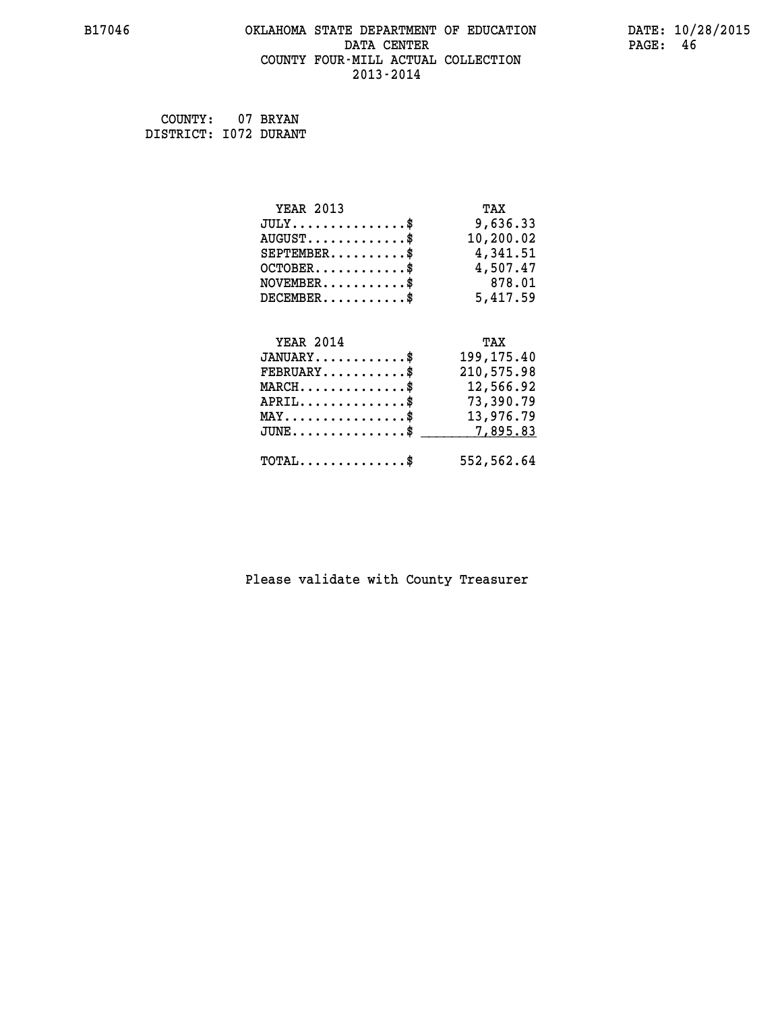#### **B17046 OKLAHOMA STATE DEPARTMENT OF EDUCATION DATE: 10/28/2015 DATA CENTER** PAGE: 46  **COUNTY FOUR-MILL ACTUAL COLLECTION 2013-2014**

 **COUNTY: 07 BRYAN DISTRICT: I072 DURANT**

| <b>YEAR 2013</b>                               | TAX        |
|------------------------------------------------|------------|
| $JULY$ \$                                      | 9,636.33   |
| $AUGUST$ \$                                    | 10,200.02  |
| $SEPTEMBER$ \$                                 | 4,341.51   |
| $OCTOBER$ \$                                   | 4,507.47   |
| $\texttt{NOVEMBER} \dots \dots \dots \$        | 878.01     |
| $DECEMBER$ \$                                  | 5,417.59   |
|                                                |            |
| <b>YEAR 2014</b>                               | TAX        |
| $JANUARY$ \$                                   | 199,175.40 |
| $FEBRUARY$                                     | 210,575.98 |
| $MARCH$ \$                                     | 12,566.92  |
| $APRIL$ \$                                     | 73,390.79  |
| $\texttt{MAX} \dots \dots \dots \dots \dots \$ | 13,976.79  |
| $JUNE$ $\text{\$}$                             | 7,895.83   |
| $\texttt{TOTAL} \dots \dots \dots \dots \$     | 552,562.64 |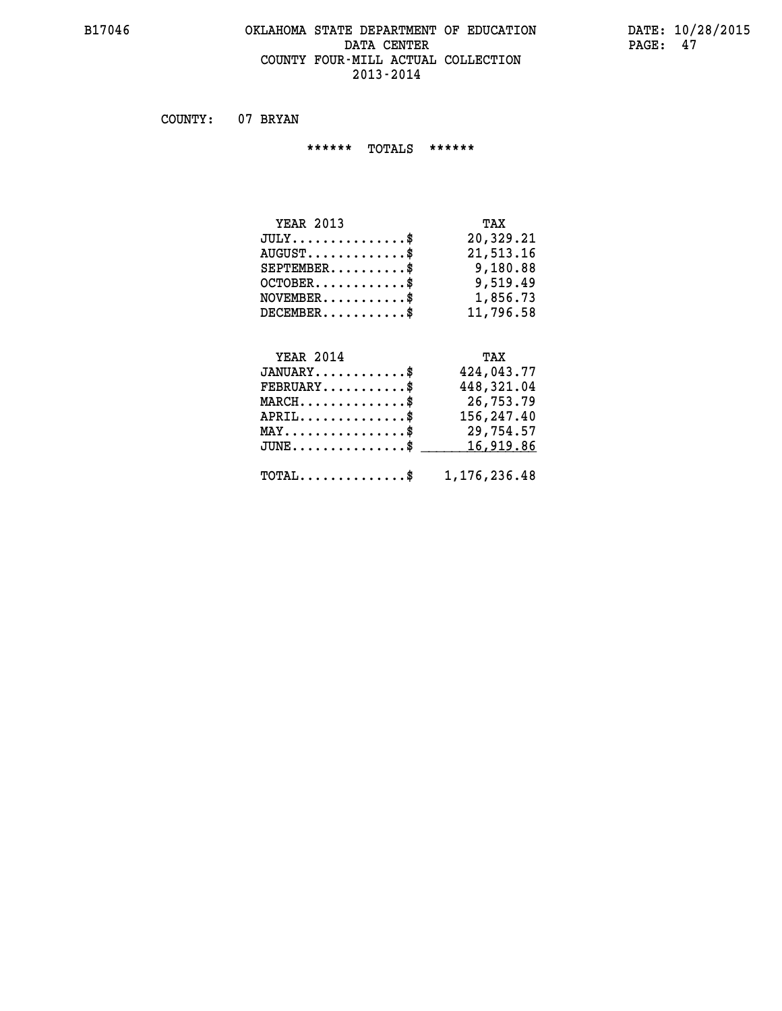#### **B17046 OKLAHOMA STATE DEPARTMENT OF EDUCATION DATE: 10/28/2015 DATA CENTER** PAGE: 47  **COUNTY FOUR-MILL ACTUAL COLLECTION 2013-2014**

 **COUNTY: 07 BRYAN**

 **\*\*\*\*\*\* TOTALS \*\*\*\*\*\***

| <b>YEAR 2013</b>              | TAX       |
|-------------------------------|-----------|
| $JULY \ldots \ldots \ldots \$ | 20,329.21 |
| $AUGUST$ \$                   | 21,513.16 |
| $SEPTEMBER$ $\$               | 9,180.88  |
| $OCTOBER$ \$                  | 9,519.49  |
| $NOVEMBER$ \$                 | 1,856.73  |
| $DECEMBER$                    | 11,796.58 |

## **YEAR 2014**

| <b>YEAR 2014</b>                                        | TAX        |
|---------------------------------------------------------|------------|
| $JANUARY$ \$                                            | 424,043.77 |
| $FEBRUARY$ \$                                           | 448,321.04 |
| $MARCH$                                                 | 26,753.79  |
| $APRIL$ \$                                              | 156,247.40 |
| $\texttt{MAX} \dots \dots \dots \dots \dots \$          | 29,754.57  |
| $JUNE \ldots \ldots \ldots \ldots$ \$ 16,919.86         |            |
| $\texttt{TOTAL} \dots \dots \dots \dots \$ 1,176,236.48 |            |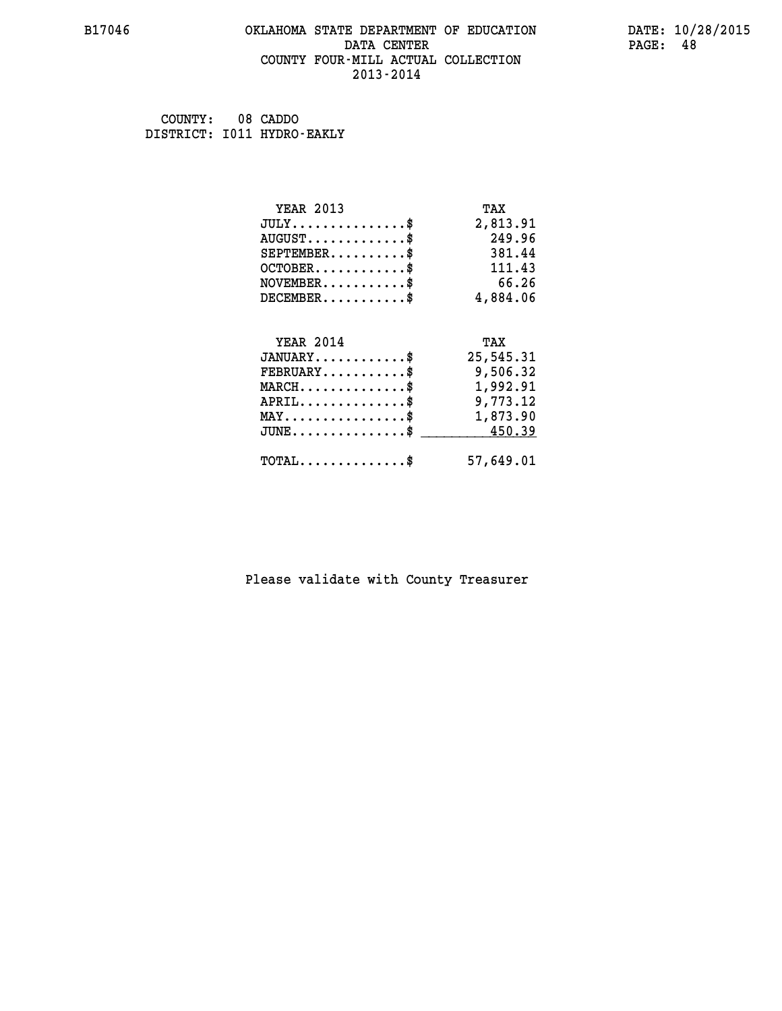#### **B17046 OKLAHOMA STATE DEPARTMENT OF EDUCATION DATE: 10/28/2015 DATA CENTER** PAGE: 48  **COUNTY FOUR-MILL ACTUAL COLLECTION 2013-2014**

 **COUNTY: 08 CADDO DISTRICT: I011 HYDRO-EAKLY**

| <b>YEAR 2013</b>                                   | TAX       |
|----------------------------------------------------|-----------|
| $JULY$ \$                                          | 2,813.91  |
| $AUGUST$ \$                                        | 249.96    |
| $SEPTEMBER$ \$                                     | 381.44    |
| $OCTOBER$ \$                                       | 111.43    |
| $NOVEMBER$ \$                                      | 66.26     |
| $DECEMBER$ \$                                      | 4,884.06  |
|                                                    |           |
| <b>YEAR 2014</b>                                   | TAX       |
| $JANUARY$                                          | 25,545.31 |
| $FEBRUARY$                                         | 9,506.32  |
| $MARCH$ \$                                         | 1,992.91  |
| $APRIL \ldots \ldots \ldots \ldots \$              | 9,773.12  |
| $\texttt{MAX} \dots \dots \dots \dots \dots \$     | 1,873.90  |
| $\texttt{JUNE} \dots \dots \dots \dots \texttt{S}$ | 450.39    |
| $\texttt{TOTAL} \dots \dots \dots \dots$ \$        | 57,649.01 |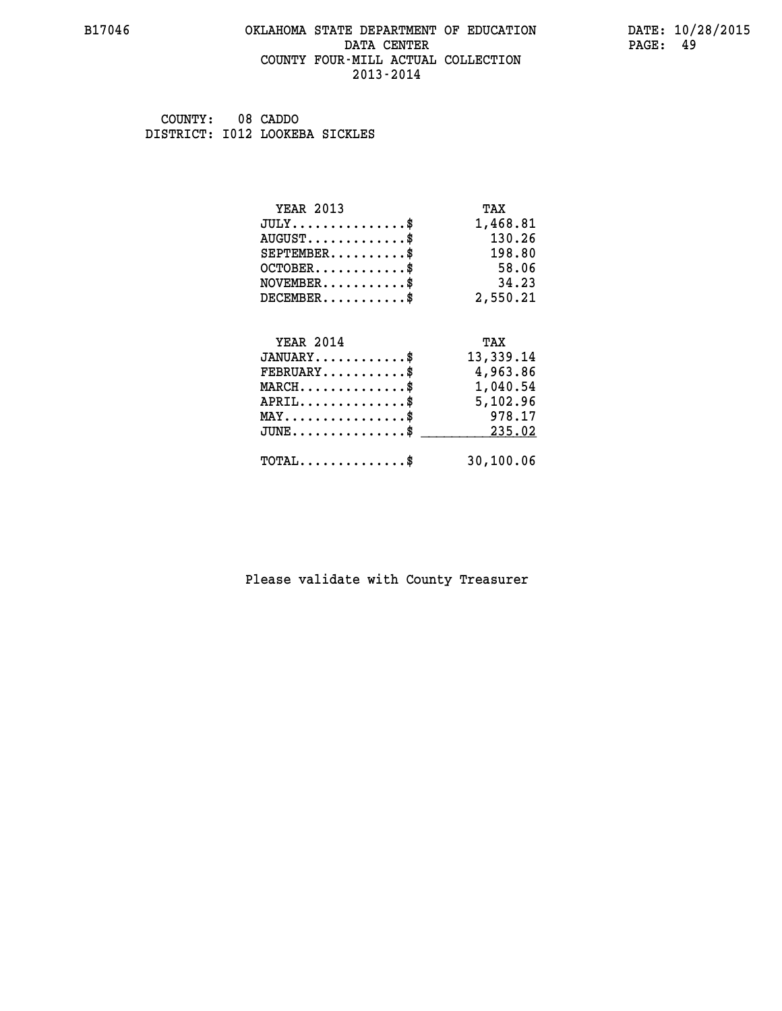#### **B17046 OKLAHOMA STATE DEPARTMENT OF EDUCATION DATE: 10/28/2015 DATA CENTER** PAGE: 49  **COUNTY FOUR-MILL ACTUAL COLLECTION 2013-2014**

 **COUNTY: 08 CADDO DISTRICT: I012 LOOKEBA SICKLES**

| <b>YEAR 2013</b>                    | TAX       |
|-------------------------------------|-----------|
| $JULY$ \$                           | 1,468.81  |
| $AUGUST$ \$                         | 130.26    |
| $SEPTEMBER$ \$                      | 198.80    |
| $OCTOBER$ \$                        | 58.06     |
| $NOVEMBER$ \$                       | 34.23     |
| $DECEMBER$ \$                       | 2,550.21  |
|                                     |           |
| <b>YEAR 2014</b>                    | TAX       |
| $JANUARY$ \$                        | 13,339.14 |
| $FEBRUARY$                          | 4,963.86  |
| $MARCH$ \$                          | 1,040.54  |
|                                     | 5,102.96  |
| $APRIL$ \$                          |           |
| $MAX \dots \dots \dots \dots \dots$ | 978.17    |
| $JUNE$ \$                           | 235.02    |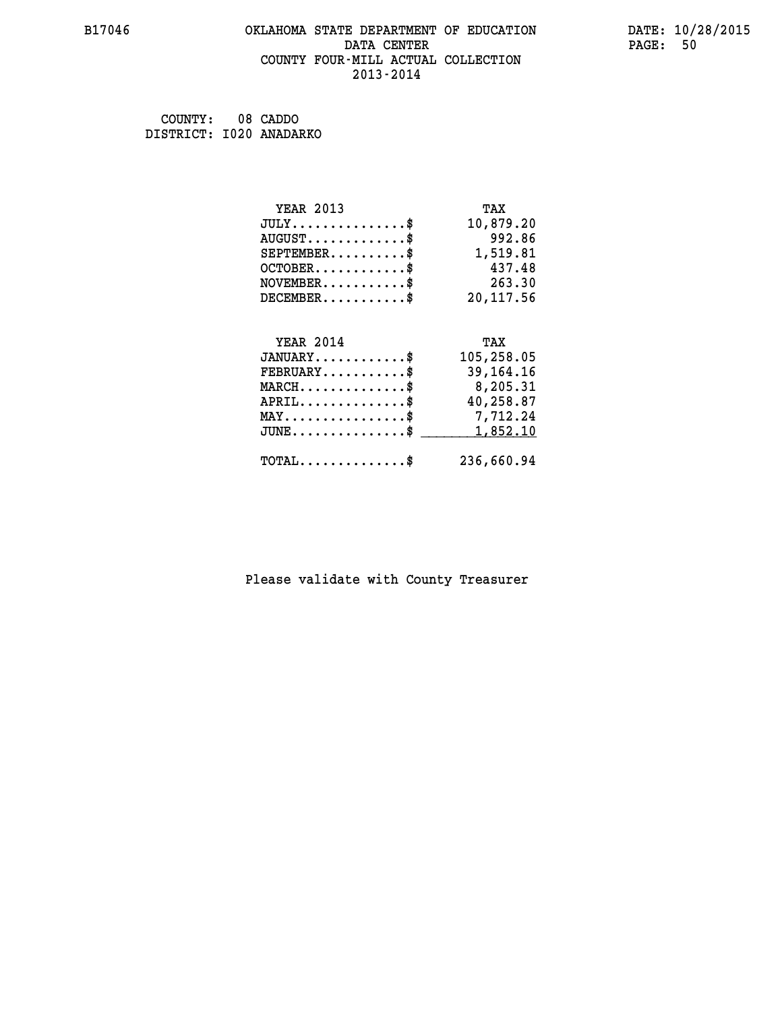#### **B17046 OKLAHOMA STATE DEPARTMENT OF EDUCATION DATE: 10/28/2015 DATA CENTER** PAGE: 50  **COUNTY FOUR-MILL ACTUAL COLLECTION 2013-2014**

 **COUNTY: 08 CADDO DISTRICT: I020 ANADARKO**

| <b>YEAR 2013</b>                           | TAX         |
|--------------------------------------------|-------------|
| $JULY$ \$                                  | 10,879.20   |
| $AUGUST$ \$                                | 992.86      |
| $SEPTEMENT.$ \$                            | 1,519.81    |
| $OCTOBER$ \$                               | 437.48      |
| $NOVEMBER$ \$                              | 263.30      |
| $DECEMBER$ \$                              | 20, 117.56  |
|                                            |             |
| <b>YEAR 2014</b>                           | TAX         |
| $JANUARY$ \$                               | 105,258.05  |
| $FEBRUARY$                                 | 39, 164. 16 |
| $MARCH$ \$                                 | 8,205.31    |
| $APRIL$ \$                                 | 40,258.87   |
| $MAX \dots \dots \dots \dots \dots$        | 7,712.24    |
| $JUNE$                                     | 1,852.10    |
| $\texttt{TOTAL} \dots \dots \dots \dots \$ | 236,660.94  |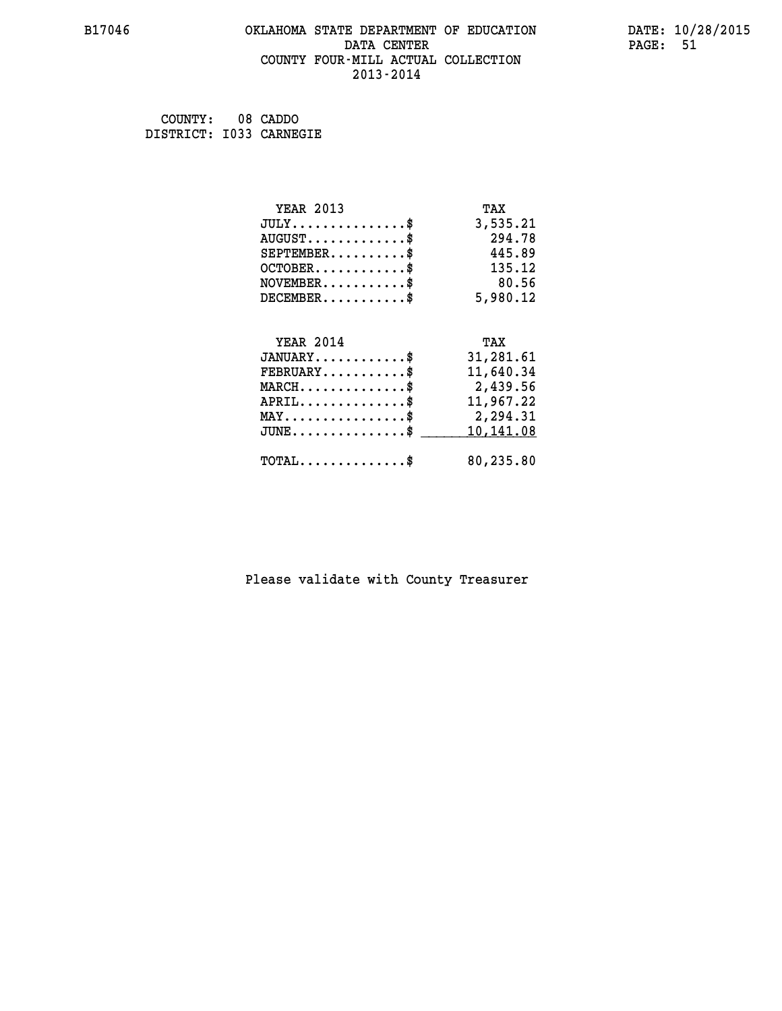#### **B17046 OKLAHOMA STATE DEPARTMENT OF EDUCATION DATE: 10/28/2015 DATA CENTER** PAGE: 51  **COUNTY FOUR-MILL ACTUAL COLLECTION 2013-2014**

 **COUNTY: 08 CADDO DISTRICT: I033 CARNEGIE**

| <b>YEAR 2013</b>                           | TAX       |
|--------------------------------------------|-----------|
| $JULY$ \$                                  | 3,535.21  |
| $AUGUST$ \$                                | 294.78    |
| $SEPTEMBER$ \$                             | 445.89    |
| $OCTOBER$ \$                               | 135.12    |
| $NOVEMENTER$ \$                            | 80.56     |
| $DECEMBER$ \$                              | 5,980.12  |
|                                            |           |
| <b>YEAR 2014</b>                           | TAX       |
| $JANUARY$ \$                               | 31,281.61 |
| $FEBRUARY$                                 | 11,640.34 |
| $MARCH$ \$                                 | 2,439.56  |
| $APRIL$ \$                                 | 11,967.22 |
| $MAX \dots \dots \dots \dots \dots$        | 2,294.31  |
| $JUNE$                                     | 10,141.08 |
| $\texttt{TOTAL} \dots \dots \dots \dots \$ | 80,235.80 |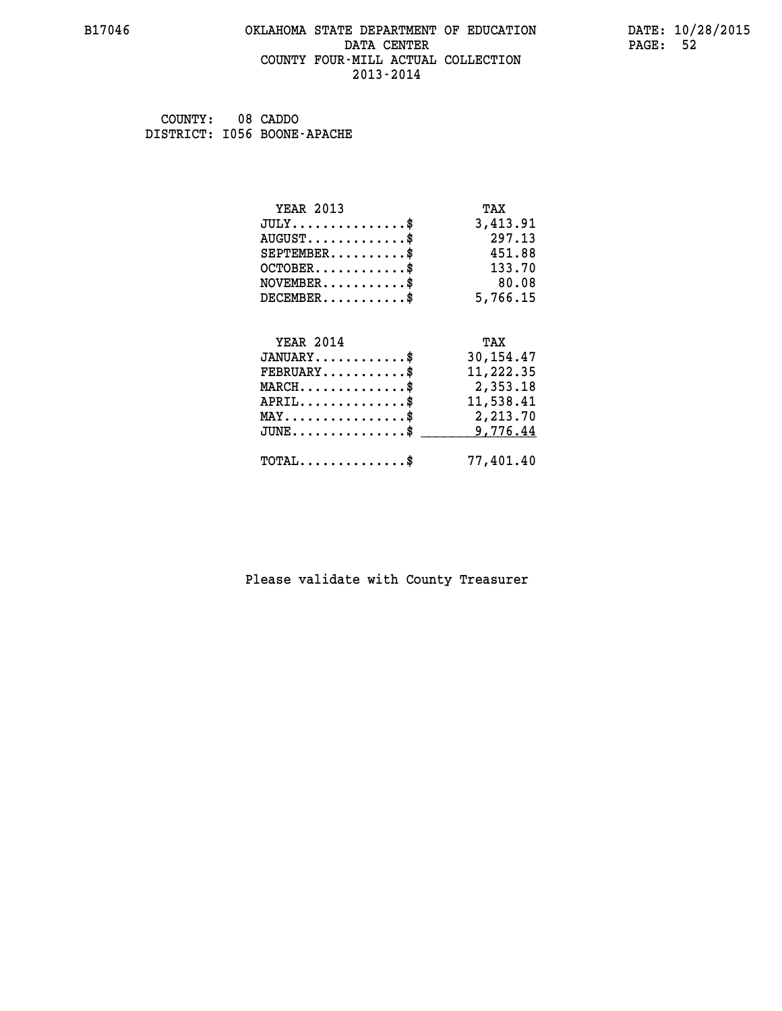#### **B17046 OKLAHOMA STATE DEPARTMENT OF EDUCATION DATE: 10/28/2015 DATA CENTER** PAGE: 52  **COUNTY FOUR-MILL ACTUAL COLLECTION 2013-2014**

 **COUNTY: 08 CADDO DISTRICT: I056 BOONE-APACHE**

| <b>YEAR 2013</b>                               | TAX         |
|------------------------------------------------|-------------|
| $JULY$ \$                                      | 3,413.91    |
| $AUGUST$ \$                                    | 297.13      |
| $SEPTEMBER$ \$                                 | 451.88      |
| $OCTOBER$ \$                                   | 133.70      |
| $NOVEMBER$ \$                                  | 80.08       |
| $DECEMBER$ \$                                  | 5,766.15    |
| <b>YEAR 2014</b>                               | TAX         |
|                                                |             |
| $JANUARY$ \$                                   | 30, 154. 47 |
| $FEBRUARY$                                     | 11,222.35   |
| $MARCH$ \$                                     | 2,353.18    |
| $APRIL$ \$                                     | 11,538.41   |
| $\texttt{MAX} \dots \dots \dots \dots \dots \$ | 2,213.70    |
| $JUNE$                                         | 9,776.44    |
| $\texttt{TOTAL} \dots \dots \dots \dots \$     | 77,401.40   |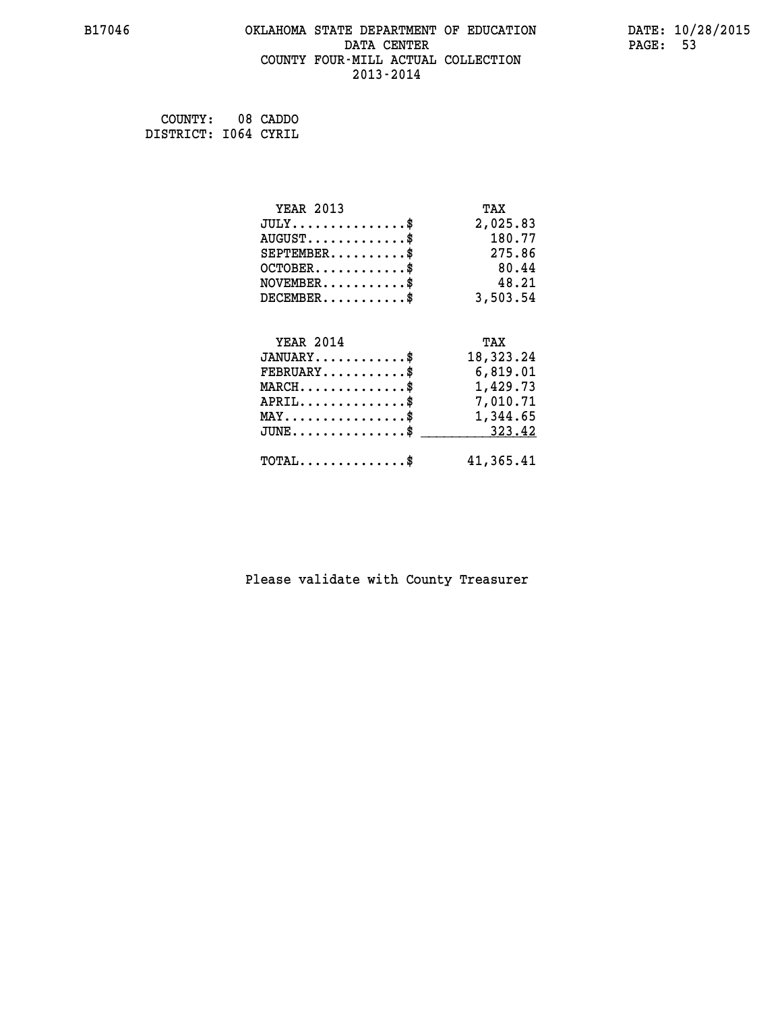#### **B17046 OKLAHOMA STATE DEPARTMENT OF EDUCATION DATE: 10/28/2015 DATA CENTER** PAGE: 53  **COUNTY FOUR-MILL ACTUAL COLLECTION 2013-2014**

 **COUNTY: 08 CADDO DISTRICT: I064 CYRIL**

| <b>YEAR 2013</b>                                 | TAX       |
|--------------------------------------------------|-----------|
| $JULY$ \$                                        | 2,025.83  |
| $AUGUST$ \$                                      | 180.77    |
| $SEPTEMBER$ \$                                   | 275.86    |
| $OCTOBER$ \$                                     | 80.44     |
| $NOVEMBER$ \$                                    | 48.21     |
| $DECEMBER$ \$                                    | 3,503.54  |
|                                                  |           |
| <b>YEAR 2014</b>                                 | TAX       |
| $JANUARY$ \$                                     | 18,323.24 |
| $FEBRUARY$                                       | 6,819.01  |
| $MARCH$ \$                                       | 1,429.73  |
| $APRIL \ldots \ldots \ldots \ldots \$            | 7,010.71  |
| $\texttt{MAX} \dots \dots \dots \dots \dots \$   | 1,344.65  |
| $\texttt{JUNE} \dots \dots \dots \dots \dots \$$ | 323.42    |
| $\texttt{TOTAL} \dots \dots \dots \dots \$       | 41,365.41 |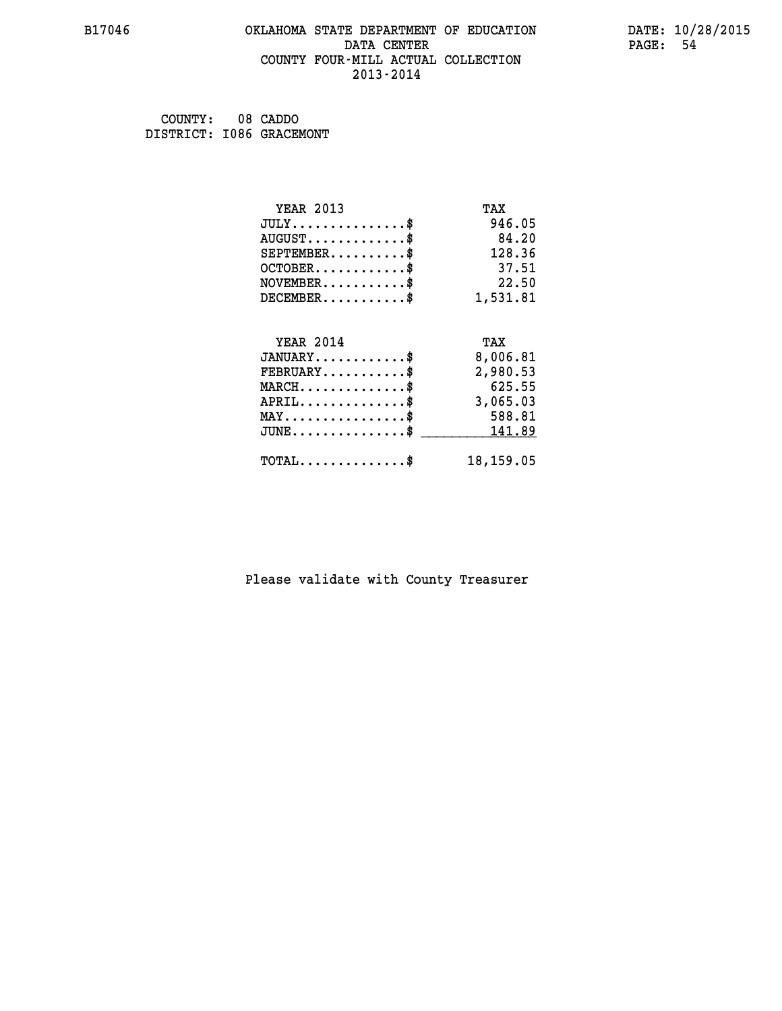#### **B17046 OKLAHOMA STATE DEPARTMENT OF EDUCATION DATE: 10/28/2015 DATA CENTER** PAGE: 54  **COUNTY FOUR-MILL ACTUAL COLLECTION 2013-2014**

 **COUNTY: 08 CADDO DISTRICT: I086 GRACEMONT**

| <b>YEAR 2013</b>                           | TAX       |
|--------------------------------------------|-----------|
| $JULY$ \$                                  | 946.05    |
| $AUGUST$ \$                                | 84.20     |
| $SEPTEMENT.$ \$                            | 128.36    |
| $OCTOBER$ \$                               | 37.51     |
| $NOVEMBER$ \$                              | 22.50     |
| $DECEMBER$ \$                              | 1,531.81  |
|                                            |           |
| <b>YEAR 2014</b>                           | TAX       |
| $JANUARY$ \$                               | 8,006.81  |
| $FEBRUARY$                                 | 2,980.53  |
| $MARCH$ \$                                 | 625.55    |
| $APRIL$ \$                                 | 3,065.03  |
| $MAX \dots \dots \dots \dots \dots$        | 588.81    |
| $JUNE$ \$                                  | 141.89    |
| $\texttt{TOTAL} \dots \dots \dots \dots \$ | 18,159.05 |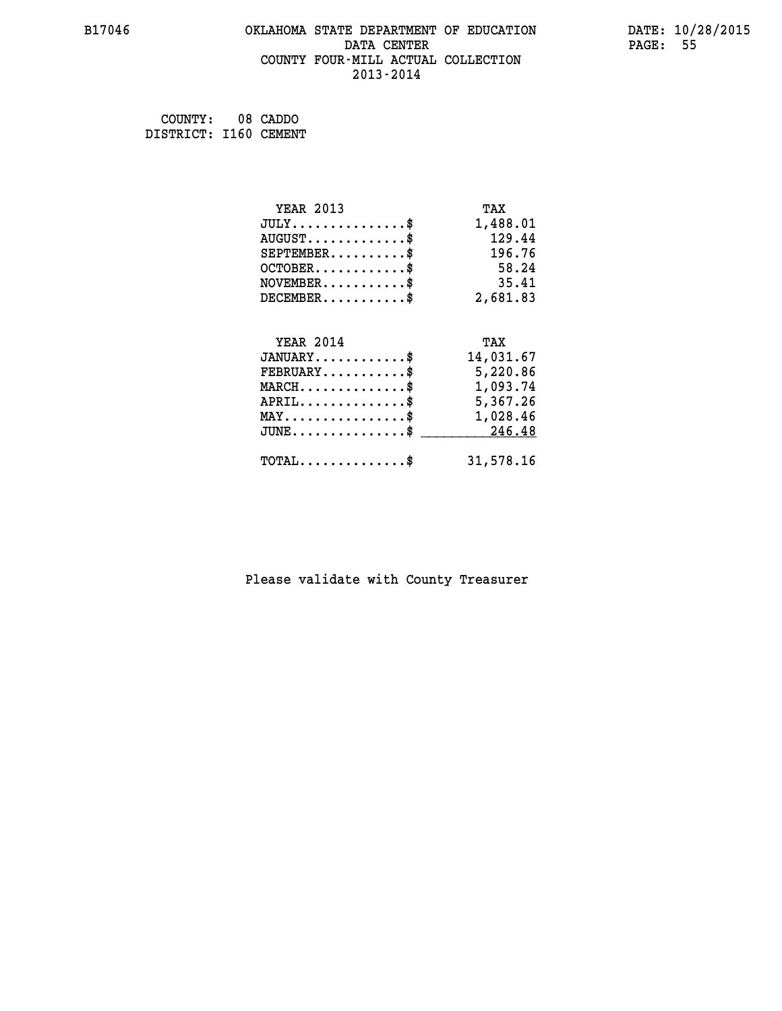#### **B17046 OKLAHOMA STATE DEPARTMENT OF EDUCATION DATE: 10/28/2015 DATA CENTER** PAGE: 55  **COUNTY FOUR-MILL ACTUAL COLLECTION 2013-2014**

 **COUNTY: 08 CADDO DISTRICT: I160 CEMENT**

| <b>YEAR 2013</b>                                 | TAX       |
|--------------------------------------------------|-----------|
| $JULY$ \$                                        | 1,488.01  |
| $AUGUST$ \$                                      | 129.44    |
| $SEPTEMBER$ \$                                   | 196.76    |
| $OCTOBER$ \$                                     | 58.24     |
| $\texttt{NOVEMBER} \dots \dots \dots \$          | 35.41     |
| $DECEMBER$ \$                                    | 2,681.83  |
|                                                  |           |
| <b>YEAR 2014</b>                                 | TAX       |
| $JANUARY$ \$                                     | 14,031.67 |
| $FEBRUARY$                                       | 5,220.86  |
| $\texttt{MARCH}\ldots\ldots\ldots\ldots\text{*}$ | 1,093.74  |
| $APRIL \ldots \ldots \ldots \ldots \$            | 5,367.26  |
| $\texttt{MAX} \dots \dots \dots \dots \dots \$   | 1,028.46  |
| $\texttt{JUNE} \dots \dots \dots \dots \dots \$$ | 246.48    |
| $\texttt{TOTAL} \dots \dots \dots \dots$         | 31,578.16 |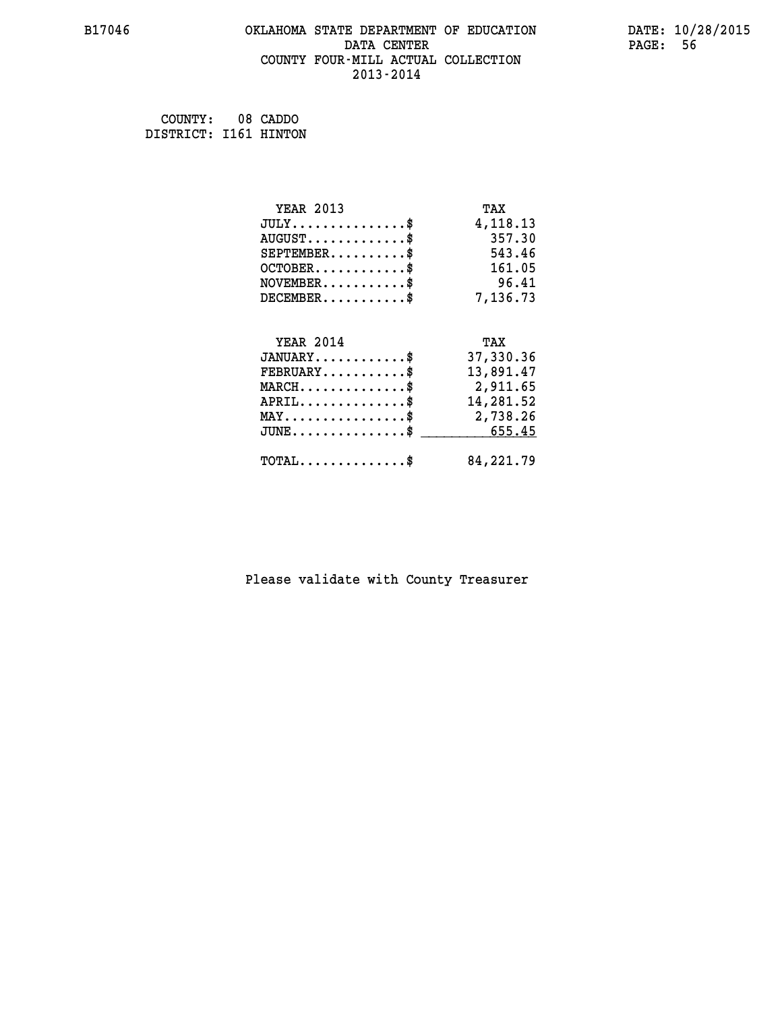#### **B17046 OKLAHOMA STATE DEPARTMENT OF EDUCATION DATE: 10/28/2015 DATA CENTER** PAGE: 56  **COUNTY FOUR-MILL ACTUAL COLLECTION 2013-2014**

 **COUNTY: 08 CADDO DISTRICT: I161 HINTON**

| <b>YEAR 2013</b>                               | TAX       |
|------------------------------------------------|-----------|
| $JULY$ \$                                      | 4,118.13  |
| $AUGUST$ \$                                    | 357.30    |
| $SEPTEMBER$ \$                                 | 543.46    |
| $OCTOBER$ \$                                   | 161.05    |
| $\texttt{NOVEMBER} \dots \dots \dots \$        | 96.41     |
| $DECEMBER$ \$                                  | 7,136.73  |
|                                                |           |
| <b>YEAR 2014</b>                               | TAX       |
| $JANUARY$ \$                                   | 37,330.36 |
| $FEBRUARY$                                     | 13,891.47 |
| $MARCH$ \$                                     | 2,911.65  |
| $APRIL \ldots \ldots \ldots \ldots$            | 14,281.52 |
| $\texttt{MAX} \dots \dots \dots \dots \dots \$ | 2,738.26  |
| $JUNE \ldots \ldots \ldots \ldots \ast$        | 655.45    |
| $\texttt{TOTAL} \dots \dots \dots \dots \$     | 84,221.79 |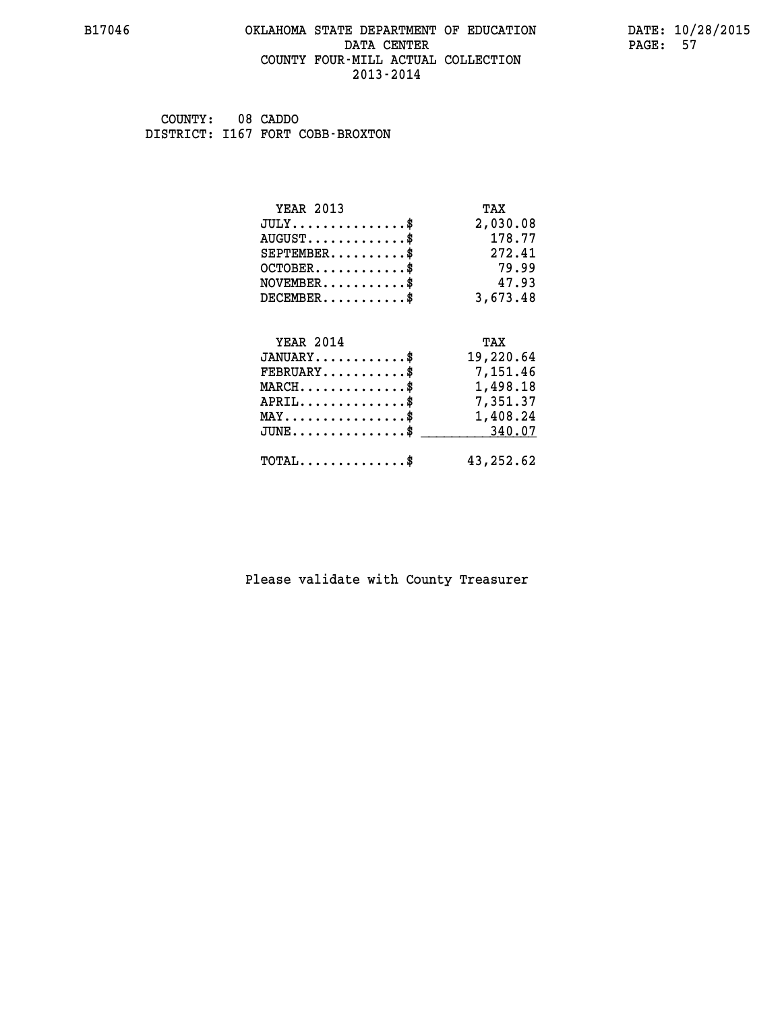#### **B17046 OKLAHOMA STATE DEPARTMENT OF EDUCATION DATE: 10/28/2015 DATA CENTER** PAGE: 57  **COUNTY FOUR-MILL ACTUAL COLLECTION 2013-2014**

 **COUNTY: 08 CADDO DISTRICT: I167 FORT COBB-BROXTON**

| <b>YEAR 2013</b>                               | TAX        |
|------------------------------------------------|------------|
| $JULY$ \$                                      | 2,030.08   |
| $AUGUST$ \$                                    | 178.77     |
| $SEPTEMBER$ \$                                 | 272.41     |
| $OCTOBER$ \$                                   | 79.99      |
| $NOVEMBER$ \$                                  | 47.93      |
| $DECEMBER$ \$                                  | 3,673.48   |
|                                                |            |
| <b>YEAR 2014</b>                               | TAX        |
| $JANUARY$ \$                                   | 19,220.64  |
| $FEBRUARY$                                     | 7,151.46   |
| $MARCH$ \$                                     | 1,498.18   |
| $APRIL \ldots \ldots \ldots \ldots \$          | 7,351.37   |
| $\texttt{MAX} \dots \dots \dots \dots \dots \$ | 1,408.24   |
| $JUNE$ \$                                      | 340.07     |
| $\texttt{TOTAL} \dots \dots \dots \dots \$     | 43, 252.62 |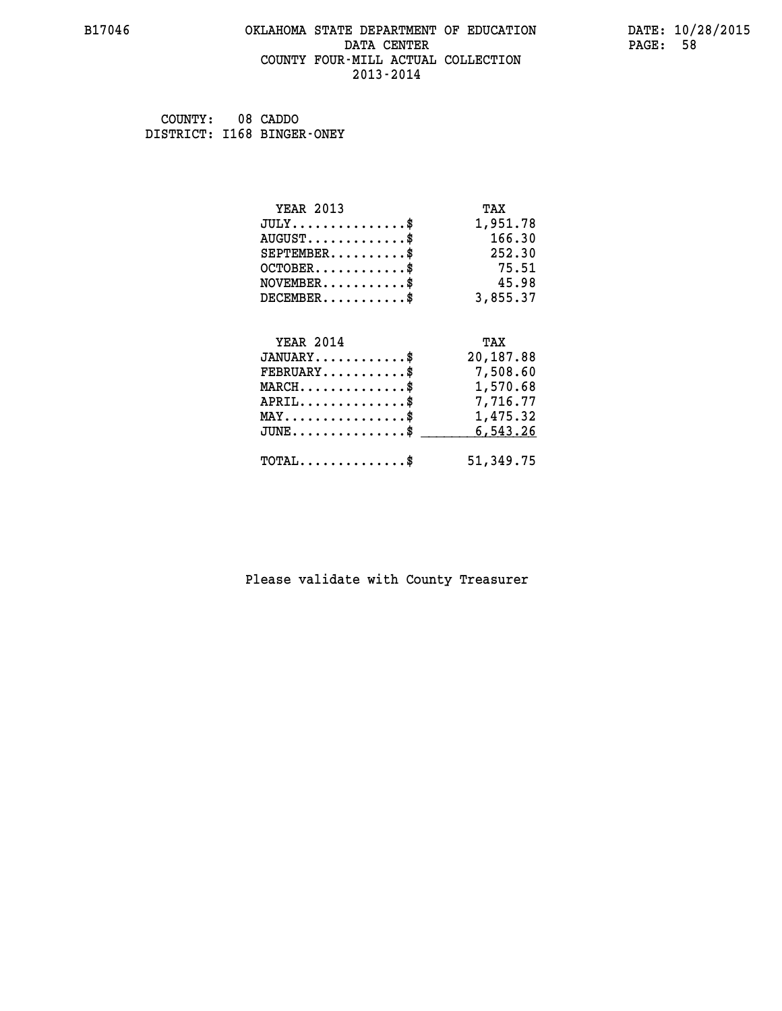#### **B17046 OKLAHOMA STATE DEPARTMENT OF EDUCATION DATE: 10/28/2015 DATA CENTER** PAGE: 58  **COUNTY FOUR-MILL ACTUAL COLLECTION 2013-2014**

 **COUNTY: 08 CADDO DISTRICT: I168 BINGER-ONEY**

| <b>YEAR 2013</b>                               | TAX       |
|------------------------------------------------|-----------|
| $JULY$ \$                                      | 1,951.78  |
| $AUGUST$ \$                                    | 166.30    |
| $SEPTEMENT.$ \$                                | 252.30    |
| $OCTOBER$ \$                                   | 75.51     |
| $NOVEMBER$ \$                                  | 45.98     |
| $DECEMBER$ \$                                  | 3,855.37  |
|                                                |           |
| <b>YEAR 2014</b>                               | TAX       |
| $JANUARY$                                      | 20,187.88 |
| $FEBRUARY$                                     | 7,508.60  |
| $MARCH$ \$                                     | 1,570.68  |
| $APRIL \ldots \ldots \ldots \ldots \$          | 7,716.77  |
| $\texttt{MAX} \dots \dots \dots \dots \dots \$ | 1,475.32  |
| $JUNE$ \$                                      | 6,543.26  |
| $\texttt{TOTAL} \dots \dots \dots \dots \$     | 51,349.75 |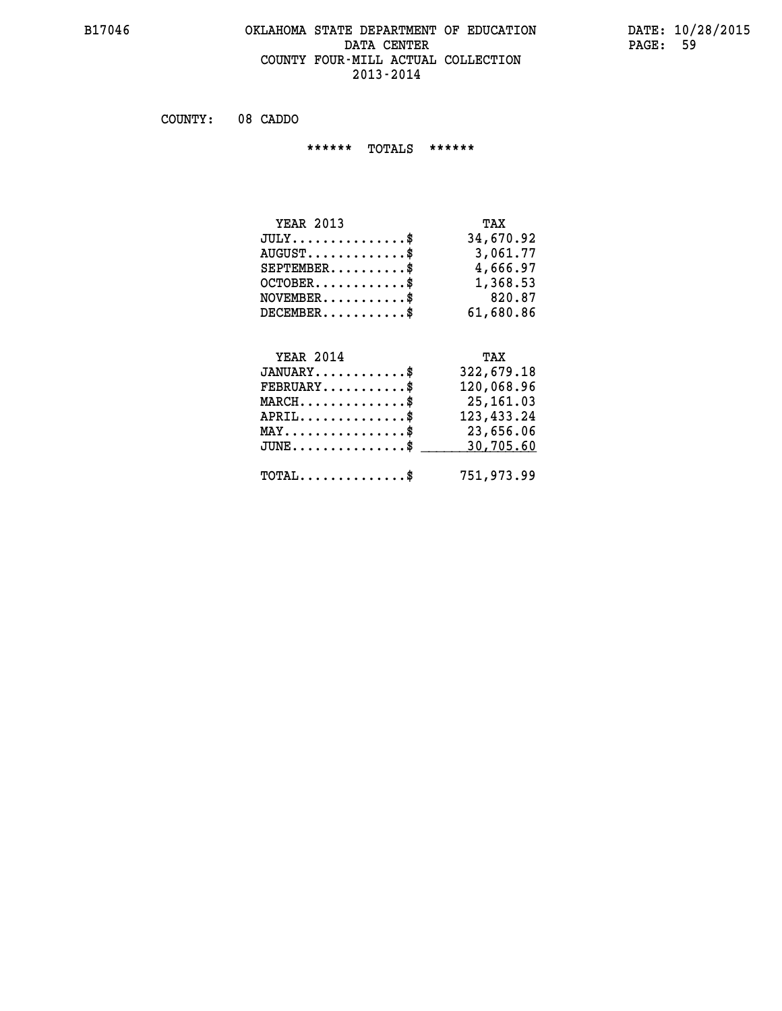#### **B17046 OKLAHOMA STATE DEPARTMENT OF EDUCATION DATE: 10/28/2015 DATA CENTER** PAGE: 59  **COUNTY FOUR-MILL ACTUAL COLLECTION 2013-2014**

 **COUNTY: 08 CADDO**

 **\*\*\*\*\*\* TOTALS \*\*\*\*\*\***

| <b>YEAR 2013</b>                     | TAX       |
|--------------------------------------|-----------|
| $JULY \ldots \ldots \ldots \ldots \$ | 34,670.92 |
| $AUGUST$ \$                          | 3,061.77  |
| $SEPTEMBER$                          | 4,666.97  |
| $OCTOBER$ \$                         | 1,368.53  |
| $NOVEMBER$ \$                        | 820.87    |
| $DECEMBER$                           | 61,680.86 |

## **YEAR 2014**

| <b>YEAR 2014</b>                           | TAX          |
|--------------------------------------------|--------------|
| $JANUARY$ \$                               | 322,679.18   |
| $FEBRUARY$ \$                              | 120,068.96   |
| $MARCH$ \$                                 | 25, 161.03   |
| $APRIL$ \$                                 | 123, 433. 24 |
| $MAX \dots \dots \dots \dots \$            | 23,656.06    |
| $JUNE$ \$                                  | 30,705.60    |
| $\texttt{TOTAL} \dots \dots \dots \dots \$ | 751,973.99   |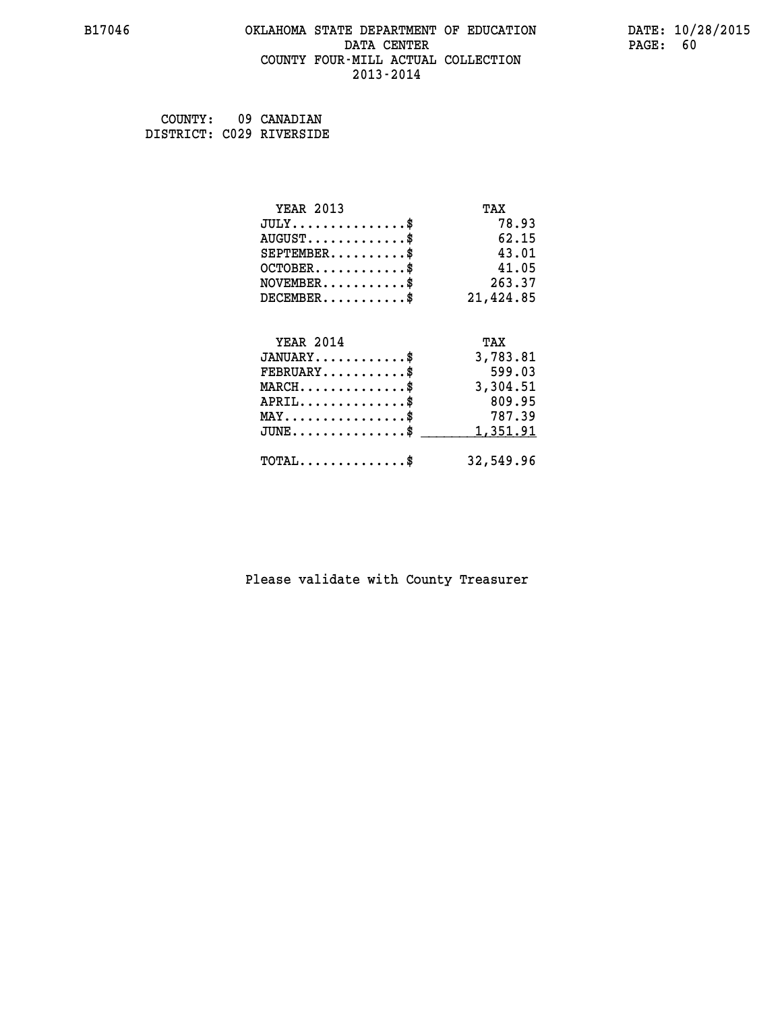#### **B17046 OKLAHOMA STATE DEPARTMENT OF EDUCATION DATE: 10/28/2015 DATA CENTER** PAGE: 60  **COUNTY FOUR-MILL ACTUAL COLLECTION 2013-2014**

 **COUNTY: 09 CANADIAN DISTRICT: C029 RIVERSIDE**

| <b>YEAR 2013</b>                           | TAX       |
|--------------------------------------------|-----------|
| $JULY$ \$                                  | 78.93     |
| $AUGUST$ \$                                | 62.15     |
| $SEPTEMENT.$ \$                            | 43.01     |
| $OCTOBER$ \$                               | 41.05     |
| $NOVEMBER$ \$                              | 263.37    |
| $DECEMBER$ \$                              | 21,424.85 |
|                                            |           |
| <b>YEAR 2014</b>                           | TAX       |
| $JANUARY$                                  | 3,783.81  |
| $FEBRUARY$                                 | 599.03    |
| $MARCH$ \$                                 | 3,304.51  |
| $APRIL$ \$                                 | 809.95    |
| $MAX \dots \dots \dots \dots \dots$        | 787.39    |
| $JUNE$ \$                                  | 1,351.91  |
| $\texttt{TOTAL} \dots \dots \dots \dots \$ | 32,549.96 |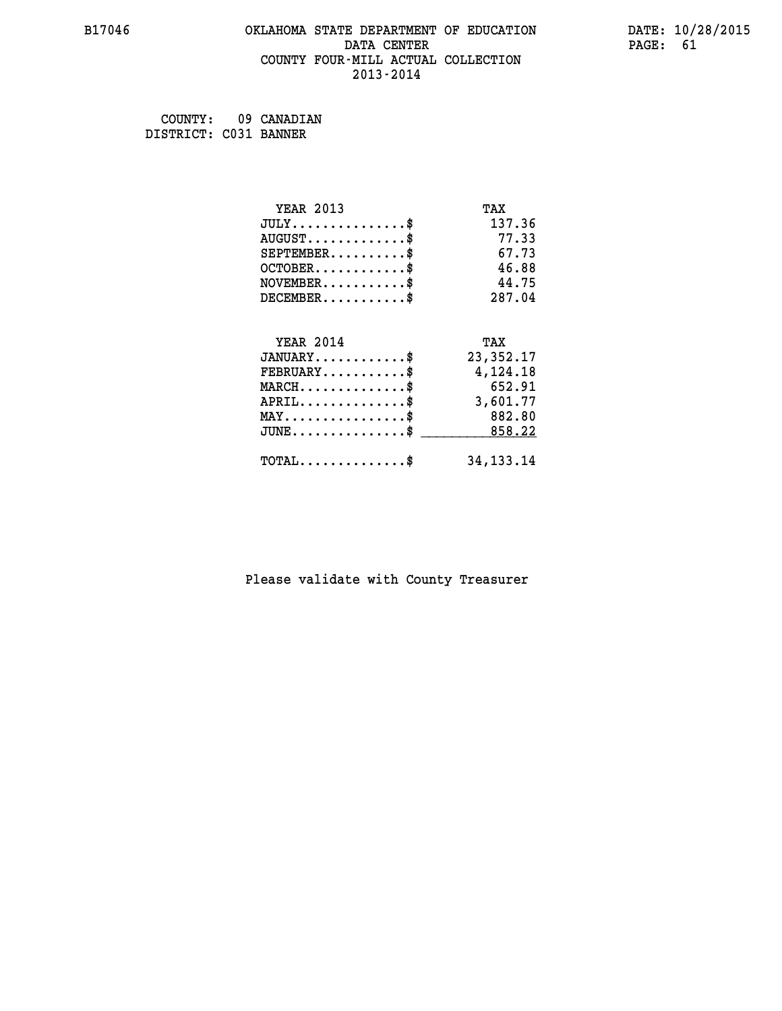#### **B17046 OKLAHOMA STATE DEPARTMENT OF EDUCATION DATE: 10/28/2015 DATA CENTER** PAGE: 61  **COUNTY FOUR-MILL ACTUAL COLLECTION 2013-2014**

 **COUNTY: 09 CANADIAN DISTRICT: C031 BANNER**

| <b>YEAR 2013</b>                                 | TAX         |
|--------------------------------------------------|-------------|
| $JULY$ \$                                        | 137.36      |
| $AUGUST$ \$                                      | 77.33       |
| $SEPTEMBER$ \$                                   | 67.73       |
| $OCTOBER$ \$                                     | 46.88       |
| $NOVEMBER$ \$                                    | 44.75       |
| $DECEMBER$ \$                                    | 287.04      |
|                                                  |             |
| <b>YEAR 2014</b>                                 | TAX         |
| $JANUARY$ \$                                     | 23, 352. 17 |
| $FEBRUARY$                                       | 4,124.18    |
| $MARCH$ \$                                       | 652.91      |
| $APRIL$ \$                                       | 3,601.77    |
| $MAX \dots \dots \dots \dots \dots$              | 882.80      |
| $\texttt{JUNE} \dots \dots \dots \dots \dots \$$ | 858.22      |
| $TOTAL$ \$                                       | 34, 133. 14 |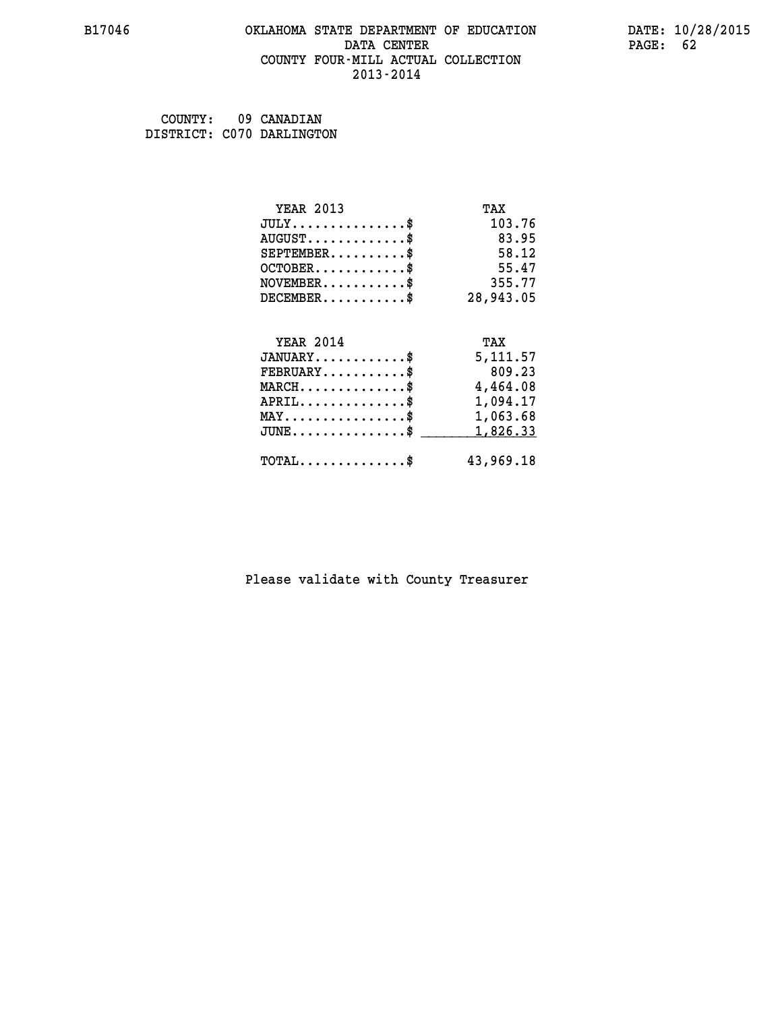#### **B17046 OKLAHOMA STATE DEPARTMENT OF EDUCATION DATE: 10/28/2015 DATA CENTER** PAGE: 62  **COUNTY FOUR-MILL ACTUAL COLLECTION 2013-2014**

 **COUNTY: 09 CANADIAN DISTRICT: C070 DARLINGTON**

| <b>YEAR 2013</b>                                 | TAX       |
|--------------------------------------------------|-----------|
| $JULY$ \$                                        | 103.76    |
| $AUGUST$ \$                                      | 83.95     |
| $SEPTEMBER$ \$                                   | 58.12     |
| $OCTOBER$ \$                                     | 55.47     |
| $NOVEMBER.$ \$                                   | 355.77    |
| $DECEMBER$ \$                                    | 28,943.05 |
|                                                  |           |
| <b>YEAR 2014</b>                                 | TAX       |
| $JANUARY$ \$                                     | 5,111.57  |
| $FEBRUARY$                                       | 809.23    |
| $\texttt{MARCH}\ldots\ldots\ldots\ldots\cdots\$  | 4,464.08  |
| $APRIL \ldots \ldots \ldots \ldots$              | 1,094.17  |
| $\texttt{MAX} \dots \dots \dots \dots \dots \$   | 1,063.68  |
| $\texttt{JUNE} \dots \dots \dots \dots \dots \$$ | 1,826.33  |
| $\texttt{TOTAL} \dots \dots \dots \dots \$       | 43,969.18 |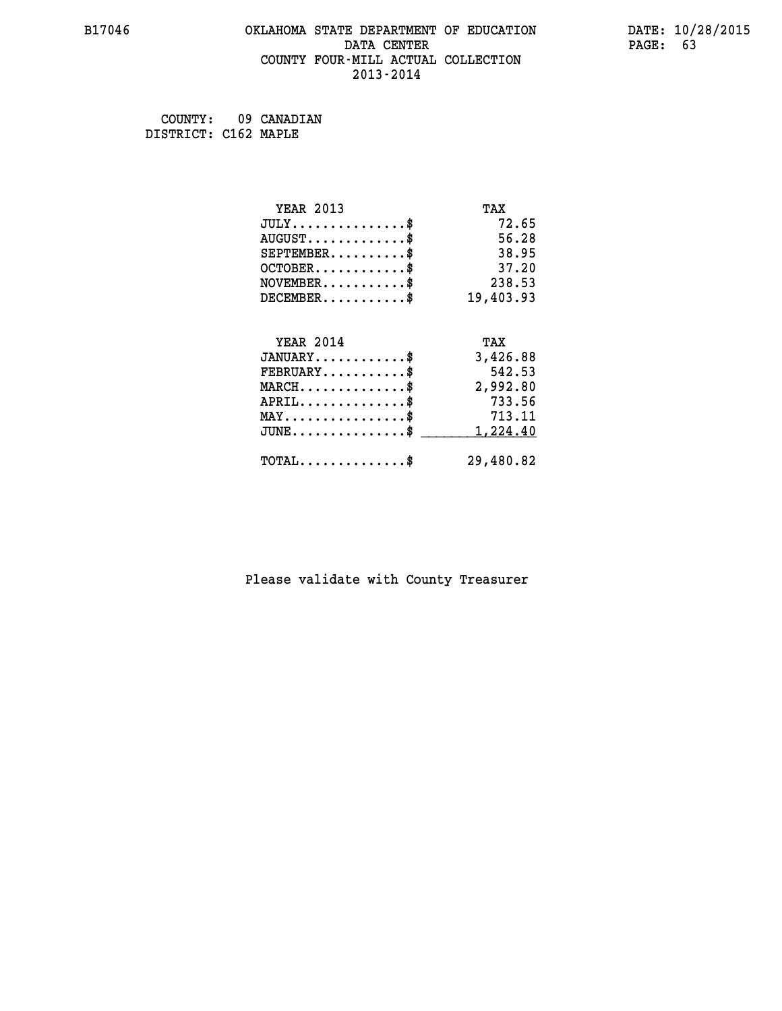#### **B17046 OKLAHOMA STATE DEPARTMENT OF EDUCATION DATE: 10/28/2015 DATA CENTER** PAGE: 63  **COUNTY FOUR-MILL ACTUAL COLLECTION 2013-2014**

 **COUNTY: 09 CANADIAN DISTRICT: C162 MAPLE**

| <b>YEAR 2013</b>                           | TAX       |
|--------------------------------------------|-----------|
| $JULY$ \$                                  | 72.65     |
| $AUGUST$ \$                                | 56.28     |
| $SEPTEMBER$                                | 38.95     |
| $OCTOBER$ \$                               | 37.20     |
| $NOVEMBER$ \$                              | 238.53    |
| $DECEMBER$ \$                              | 19,403.93 |
|                                            |           |
| <b>YEAR 2014</b>                           | TAX       |
| $JANUARY$ \$                               | 3,426.88  |
| $FEBRUARY$                                 | 542.53    |
| $MARCH$ \$                                 | 2,992.80  |
| $APRIL$ \$                                 | 733.56    |
| $MAX \dots \dots \dots \dots \dots$        | 713.11    |
| $JUNE$                                     | 1,224.40  |
| $\texttt{TOTAL} \dots \dots \dots \dots \$ | 29,480.82 |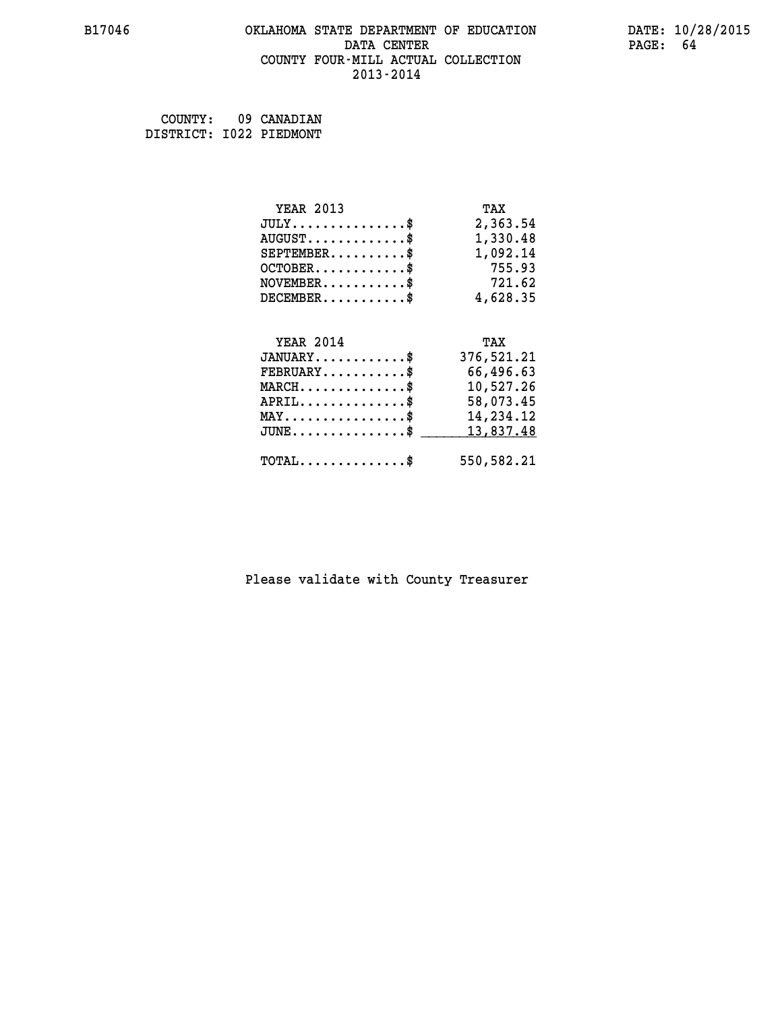#### **B17046 OKLAHOMA STATE DEPARTMENT OF EDUCATION DATE: 10/28/2015 DATA CENTER** PAGE: 64  **COUNTY FOUR-MILL ACTUAL COLLECTION 2013-2014**

 **COUNTY: 09 CANADIAN DISTRICT: I022 PIEDMONT**

| <b>YEAR 2013</b>                               | TAX        |
|------------------------------------------------|------------|
| $JULY$                                         | 2,363.54   |
| $AUGUST$ \$                                    | 1,330.48   |
| $SEPTEMBER$ \$                                 | 1,092.14   |
| $OCTOBER$ \$                                   | 755.93     |
| $NOVEMBER$ \$                                  | 721.62     |
| $DECEMBER$                                     | 4,628.35   |
| <b>YEAR 2014</b>                               | TAX        |
| $JANUARY$ \$                                   | 376,521.21 |
| $FEBRUARY$ \$                                  | 66,496.63  |
| $MARCH$ \$                                     | 10,527.26  |
| $APRIL$ \$                                     | 58,073.45  |
| $\texttt{MAX} \dots \dots \dots \dots \dots \$ | 14,234.12  |
| $JUNE$ \$                                      | 13,837.48  |
| $\texttt{TOTAL} \dots \dots \dots \dots \$     | 550,582.21 |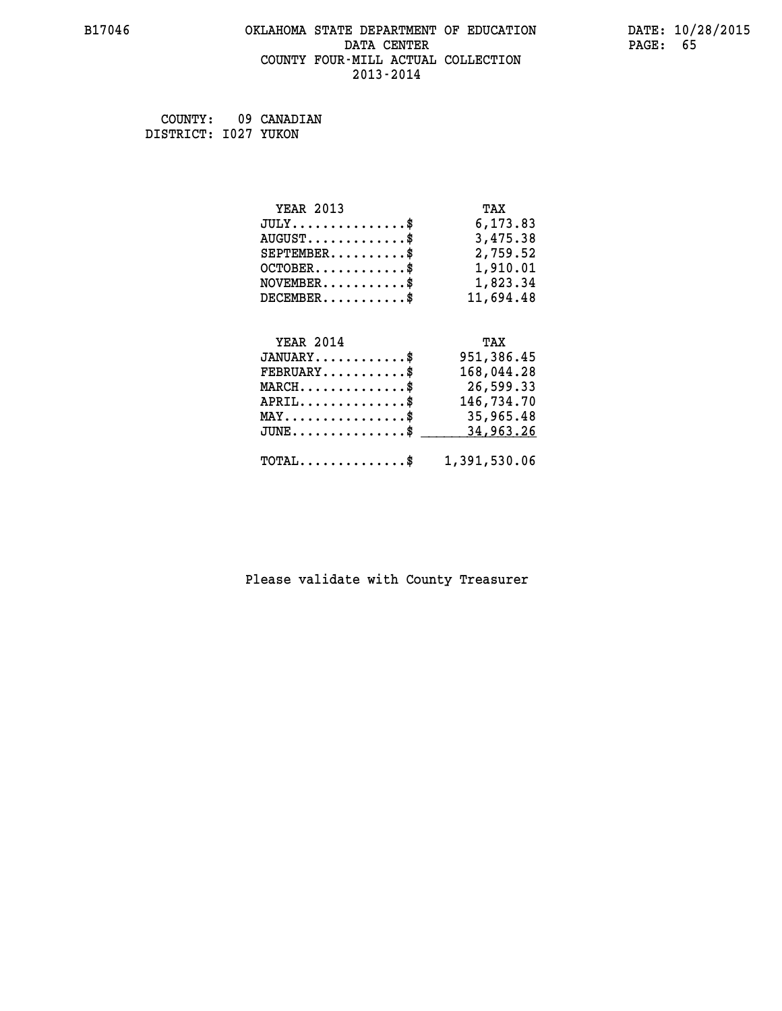#### **B17046 OKLAHOMA STATE DEPARTMENT OF EDUCATION DATE: 10/28/2015 DATA CENTER** PAGE: 65  **COUNTY FOUR-MILL ACTUAL COLLECTION 2013-2014**

 **COUNTY: 09 CANADIAN DISTRICT: I027 YUKON**

| <b>YEAR 2013</b>                                 | TAX          |
|--------------------------------------------------|--------------|
| $JULY$ \$                                        | 6,173.83     |
| $AUGUST$ $\$                                     | 3,475.38     |
| $SEPTEMBER$ \$                                   | 2,759.52     |
| $OCTOBER$ $\$                                    | 1,910.01     |
| $NOVEMBER.$ \$                                   | 1,823.34     |
| $DECEMBER$ \$                                    | 11,694.48    |
|                                                  |              |
| <b>YEAR 2014</b>                                 | TAX          |
| $JANUARY$ \$                                     | 951,386.45   |
| $FEBRUARY \ldots \ldots \ldots \$                | 168,044.28   |
| $\texttt{MARCH}\ldots\ldots\ldots\ldots\text{*}$ | 26,599.33    |
| $APRIL$ \$                                       | 146,734.70   |
| $\texttt{MAX} \dots \dots \dots \dots \dots \$   | 35,965.48    |
| $JUNE$ \$                                        | 34,963.26    |
| $\texttt{TOTAL} \dots \dots \dots \dots \dots \$ | 1,391,530.06 |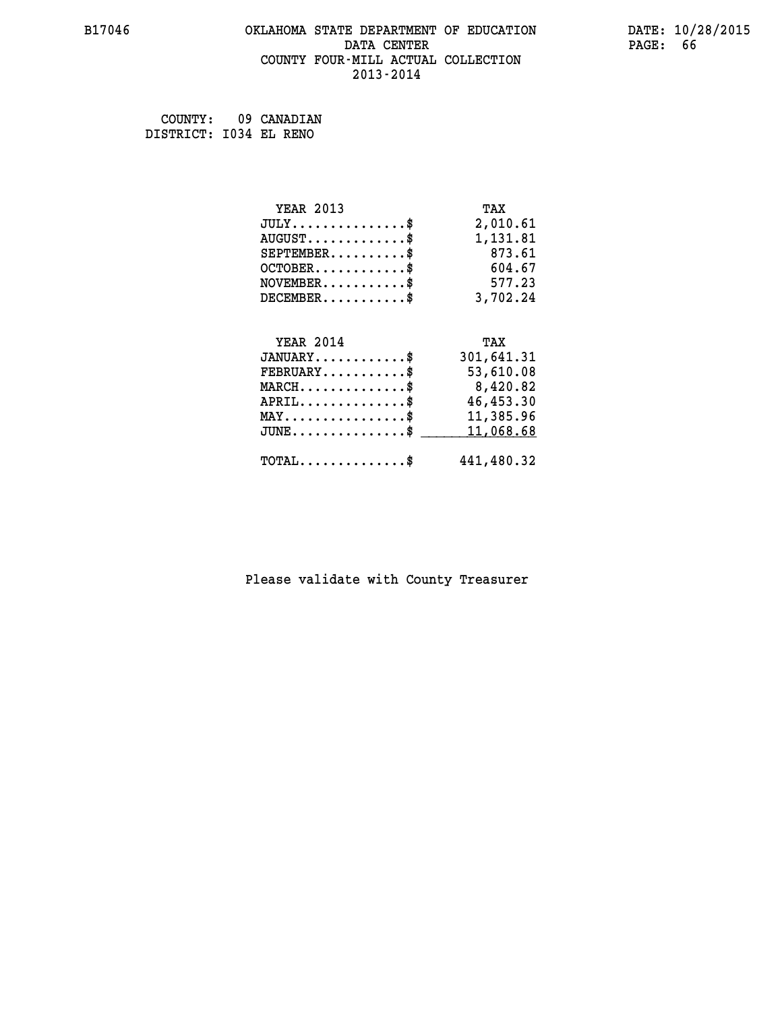#### **B17046 OKLAHOMA STATE DEPARTMENT OF EDUCATION DATE: 10/28/2015 DATA CENTER PAGE: 66 COUNTY FOUR-MILL ACTUAL COLLECTION 2013-2014**

 **COUNTY: 09 CANADIAN DISTRICT: I034 EL RENO**

| <b>YEAR 2013</b>                                 | TAX        |
|--------------------------------------------------|------------|
| $JULY$                                           | 2,010.61   |
| $AUGUST$ \$                                      | 1,131.81   |
| $SEPTEMBER$ \$                                   | 873.61     |
| $OCTOBER$ \$                                     | 604.67     |
| $NOVEMBER$ \$                                    | 577.23     |
| $DECEMENTER$                                     | 3,702.24   |
|                                                  |            |
| <b>YEAR 2014</b>                                 | TAX        |
| $JANUARY$                                        | 301,641.31 |
| $FEBRUARY$ \$                                    | 53,610.08  |
| $MARCH$ \$                                       | 8,420.82   |
| $APRIL$ \$                                       | 46,453.30  |
| $MAX \dots \dots \dots \dots \dots$              | 11,385.96  |
| $JUNE$ \$                                        | 11,068.68  |
| $\texttt{TOTAL} \dots \dots \dots \dots \dots \$ | 441,480.32 |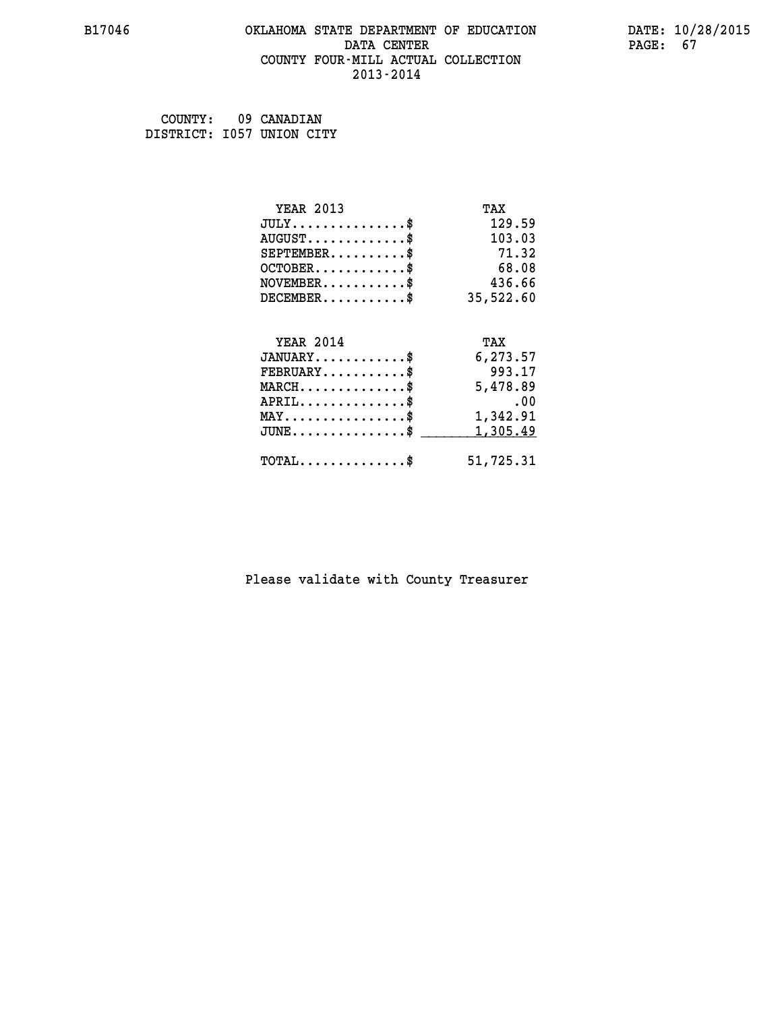#### **B17046 OKLAHOMA STATE DEPARTMENT OF EDUCATION DATE: 10/28/2015 DATA CENTER** PAGE: 67  **COUNTY FOUR-MILL ACTUAL COLLECTION 2013-2014**

 **COUNTY: 09 CANADIAN DISTRICT: I057 UNION CITY**

| <b>YEAR 2013</b>                           | TAX       |
|--------------------------------------------|-----------|
| $JULY$ \$                                  | 129.59    |
| $AUGUST$ \$                                | 103.03    |
| $SEPTEMBER$                                | 71.32     |
| $OCTOBER$ \$                               | 68.08     |
| $NOVEMBER$ \$                              | 436.66    |
| $DECEMBER$ \$                              | 35,522.60 |
|                                            |           |
| <b>YEAR 2014</b>                           | TAX       |
| $JANUARY$                                  | 6,273.57  |
| $FEBRUARY$                                 | 993.17    |
| $MARCH$ \$                                 | 5,478.89  |
| $APRIL$ \$                                 | .00       |
| $MAX \dots \dots \dots \dots \dots$        | 1,342.91  |
| $JUNE$ \$                                  | 1,305.49  |
| $\texttt{TOTAL} \dots \dots \dots \dots \$ | 51,725.31 |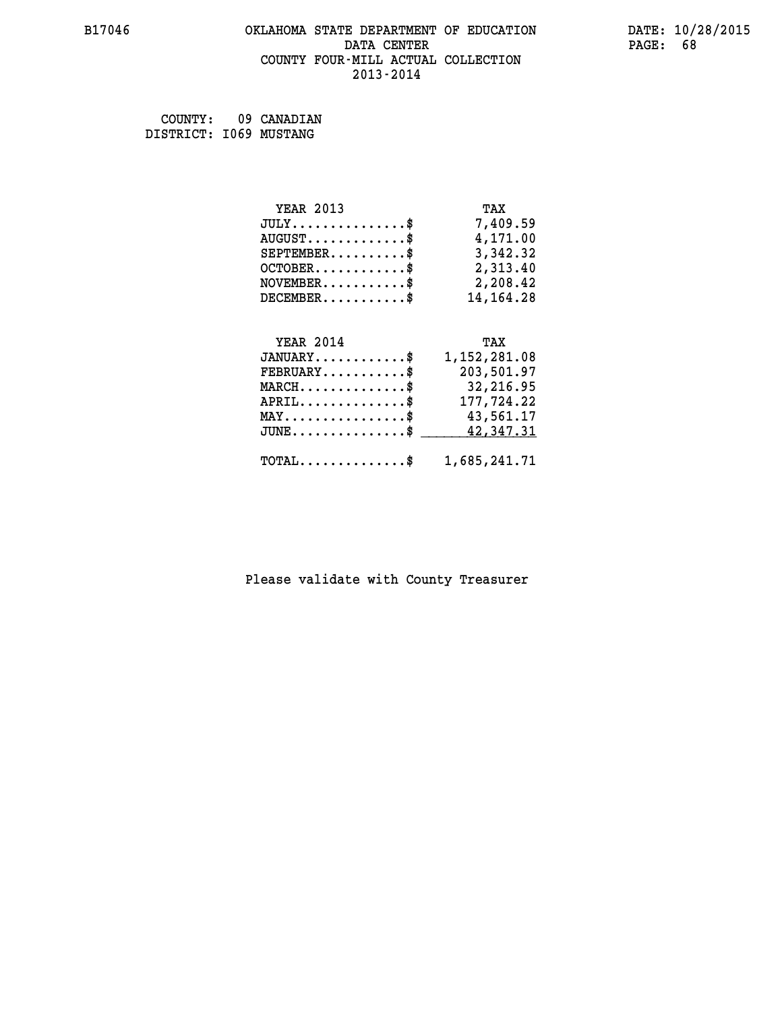#### **B17046 OKLAHOMA STATE DEPARTMENT OF EDUCATION DATE: 10/28/2015 DATA CENTER** PAGE: 68  **COUNTY FOUR-MILL ACTUAL COLLECTION 2013-2014**

 **COUNTY: 09 CANADIAN DISTRICT: I069 MUSTANG**

| <b>YEAR 2013</b>                            | TAX         |
|---------------------------------------------|-------------|
| $JULY \ldots \ldots \ldots \$               | 7,409.59    |
| $\texttt{AUGUST} \dots \dots \dots \dots \$ | 4,171.00    |
| $SEPTEMBER$ \$                              | 3,342.32    |
| $OCTOBER$ \$                                | 2,313.40    |
| $NOVEMBER$ \$                               | 2,208.42    |
| $DECEMBER$ \$                               | 14, 164. 28 |
| <b>YEAR 2014</b>                            | TAX         |

| $JANUARY$ \$                                            | 1,152,281.08 |
|---------------------------------------------------------|--------------|
| $\texttt{FEBRUARY} \dots \dots \dots \$                 | 203,501.97   |
| $\texttt{MARCH}\ldots\ldots\ldots\ldots\text{*}$        | 32,216.95    |
| $APRIL$ \$                                              | 177,724.22   |
| $\texttt{MAX} \dots \dots \dots \dots \dots \text{*}$   | 43,561.17    |
| JUNE\$ 42,347.31                                        |              |
|                                                         |              |
| $\texttt{TOTAL} \dots \dots \dots \dots \$ 1,685,241.71 |              |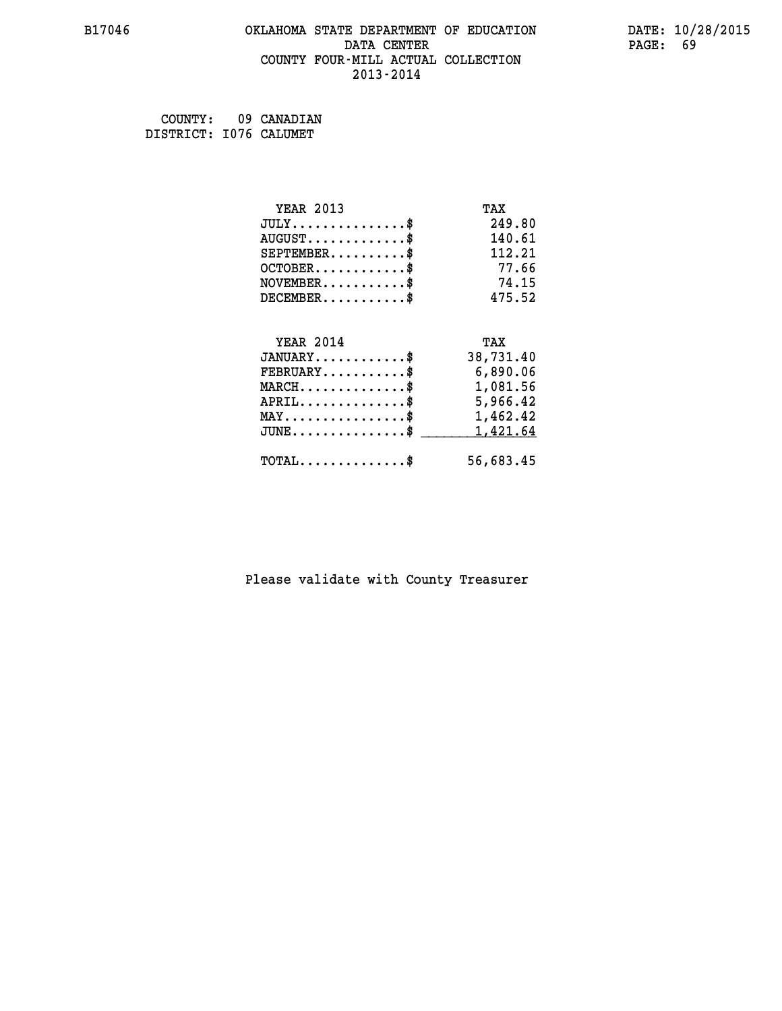#### **B17046 OKLAHOMA STATE DEPARTMENT OF EDUCATION DATE: 10/28/2015 DATA CENTER** PAGE: 69  **COUNTY FOUR-MILL ACTUAL COLLECTION 2013-2014**

 **COUNTY: 09 CANADIAN DISTRICT: I076 CALUMET**

| <b>YEAR 2013</b>                               | TAX       |
|------------------------------------------------|-----------|
| $JULY$ \$                                      | 249.80    |
| $AUGUST$ \$                                    | 140.61    |
| $SEPTEMBER$ \$                                 | 112.21    |
| $OCTOBER$ \$                                   | 77.66     |
| $NOVEMBER$ \$                                  | 74.15     |
| $DECEMBER$ \$                                  | 475.52    |
|                                                |           |
| <b>YEAR 2014</b>                               | TAX       |
| $JANUARY$ \$                                   | 38,731.40 |
| $FEBRUARY$                                     | 6,890.06  |
| $\texttt{MARCH}\ldots\ldots\ldots\ldots\$      | 1,081.56  |
| $APRIL \ldots \ldots \ldots \ldots \$          | 5,966.42  |
| $\texttt{MAX} \dots \dots \dots \dots \dots \$ | 1,462.42  |
| $JUNE$ \$                                      | 1,421.64  |
| $\texttt{TOTAL} \dots \dots \dots \dots \$     | 56,683.45 |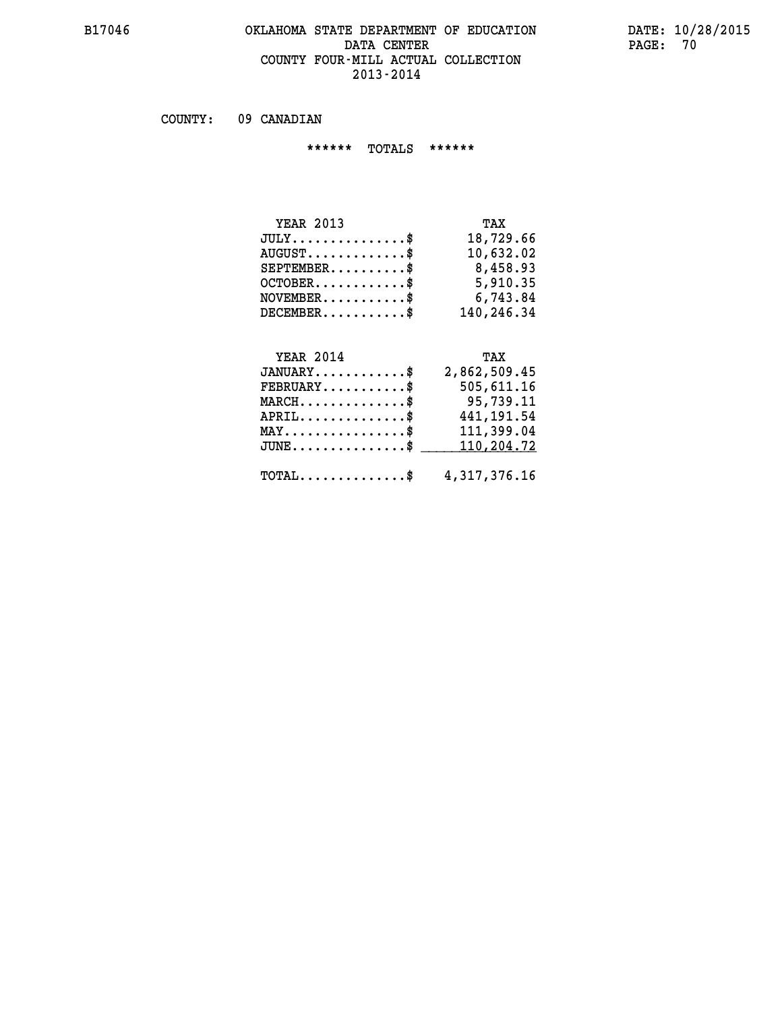#### **B17046 OKLAHOMA STATE DEPARTMENT OF EDUCATION DATE: 10/28/2015 DATA CENTER** PAGE: 70  **COUNTY FOUR-MILL ACTUAL COLLECTION 2013-2014**

 **COUNTY: 09 CANADIAN**

 **\*\*\*\*\*\* TOTALS \*\*\*\*\*\***

| <b>YEAR 2013</b> | TAX        |
|------------------|------------|
| $JULY$           | 18,729.66  |
| $AUGUST$ $\$\$   | 10,632.02  |
| $SEPTEMBER$ $\$  | 8,458.93   |
| $OCTOBER$ \$     | 5,910.35   |
| $NOVEMBER$ $\$\$ | 6,743.84   |
| $DECEMBER$       | 140,246.34 |

# **YEAR 2014** TAX

| $JANUARY$ \$                                            | 2,862,509.45 |
|---------------------------------------------------------|--------------|
| $\texttt{FEBRUARY} \dots \dots \dots \$                 | 505,611.16   |
| $MARCH$ \$                                              | 95,739.11    |
| $APRIL$ \$                                              | 441,191.54   |
| $MAX \dots \dots \dots \dots \$                         | 111,399.04   |
| $\texttt{JUNE} \dots \dots \dots \dots \dots \$$        | 110,204.72   |
| $\texttt{TOTAL} \dots \dots \dots \dots \$ 4,317,376.16 |              |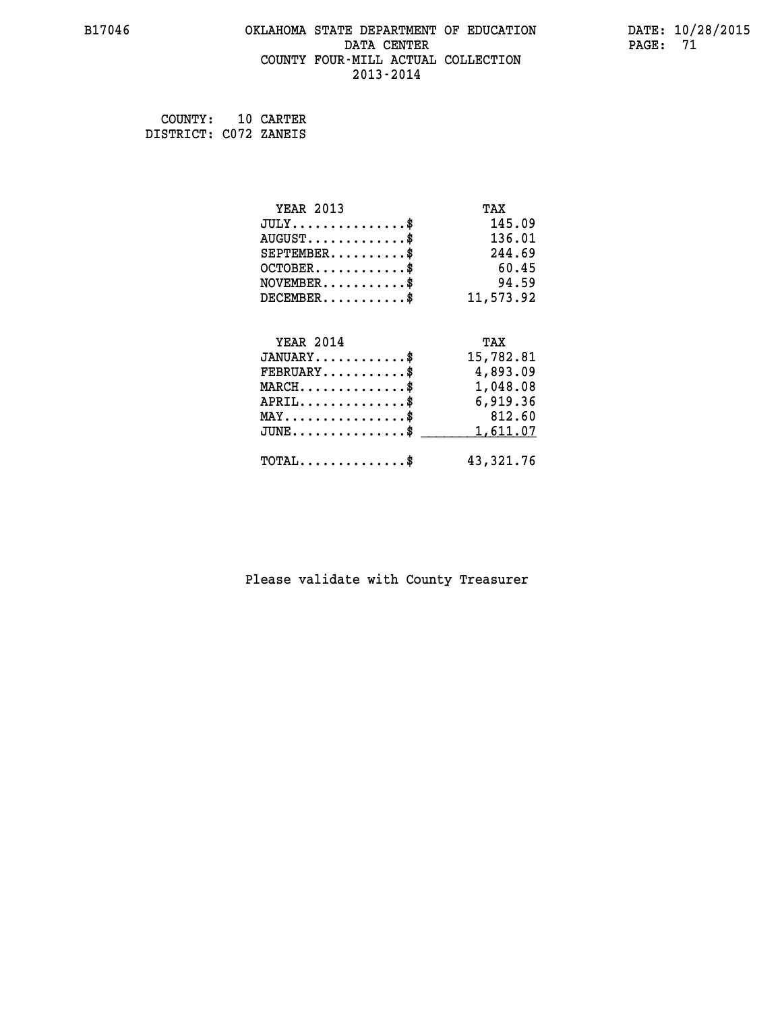#### **B17046 OKLAHOMA STATE DEPARTMENT OF EDUCATION DATE: 10/28/2015 DATA CENTER** PAGE: 71  **COUNTY FOUR-MILL ACTUAL COLLECTION 2013-2014**

 **COUNTY: 10 CARTER DISTRICT: C072 ZANEIS**

| <b>YEAR 2013</b>                           | TAX       |
|--------------------------------------------|-----------|
| $JULY$ \$                                  | 145.09    |
| $AUGUST$ \$                                | 136.01    |
| $SEPTEMENT.$ \$                            | 244.69    |
| $OCTOBER$ \$                               | 60.45     |
| $NOVEMBER$ \$                              | 94.59     |
| $DECEMBER$ \$                              | 11,573.92 |
|                                            |           |
| <b>YEAR 2014</b>                           | TAX       |
| $JANUARY$ \$                               | 15,782.81 |
| $FEBRUARY$                                 | 4,893.09  |
| $MARCH$ \$                                 | 1,048.08  |
| $APRIL$ \$                                 | 6,919.36  |
| $MAX \dots \dots \dots \dots \dots$        | 812.60    |
| $JUNE$ \$                                  | 1,611.07  |
| $\texttt{TOTAL} \dots \dots \dots \dots \$ | 43,321.76 |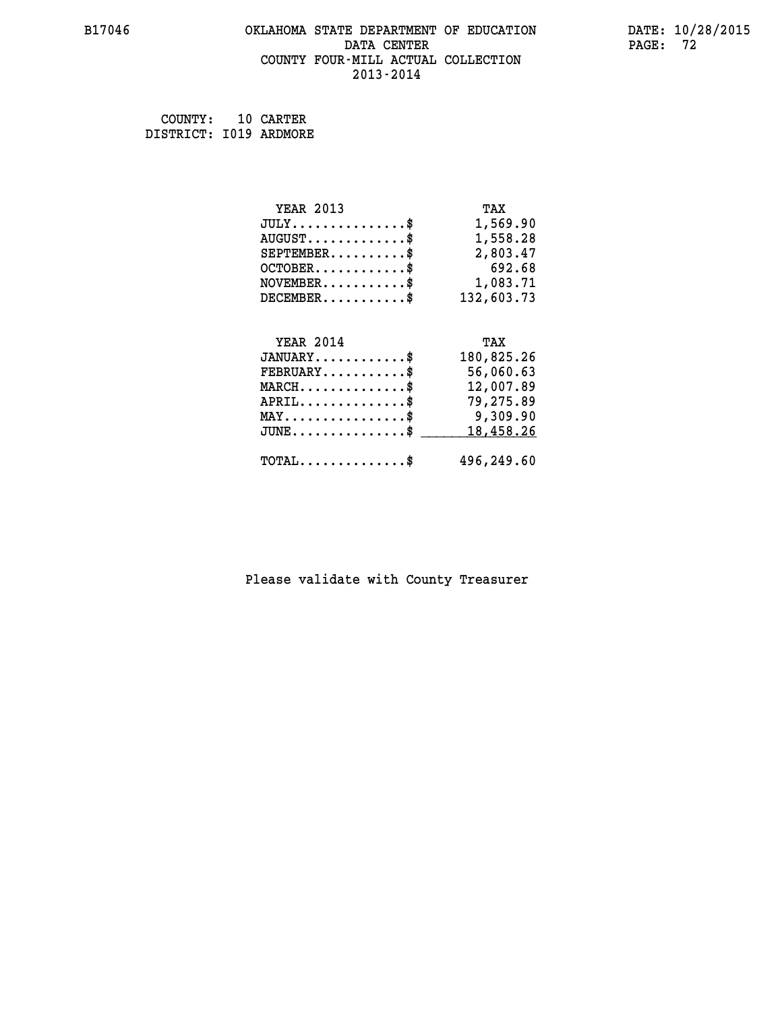#### **B17046 OKLAHOMA STATE DEPARTMENT OF EDUCATION DATE: 10/28/2015 DATA CENTER PAGE: 72 COUNTY FOUR-MILL ACTUAL COLLECTION 2013-2014**

 **COUNTY: 10 CARTER DISTRICT: I019 ARDMORE**

| <b>YEAR 2013</b>                                 | TAX        |
|--------------------------------------------------|------------|
| $JULY$ \$                                        | 1,569.90   |
| $AUGUST$ $\$                                     | 1,558.28   |
| $SEPTEMBER$ \$                                   | 2,803.47   |
| $OCTOBER.$ \$                                    | 692.68     |
| $NOVEMBER.$ \$                                   | 1,083.71   |
| $DECEMBER$ \$                                    | 132,603.73 |
|                                                  |            |
| <b>YEAR 2014</b>                                 | TAX        |
| $JANUARY$ \$                                     | 180,825.26 |
| $\texttt{FEBRUARY} \dots \dots \dots \$          | 56,060.63  |
| $\texttt{MARCH}\ldots\ldots\ldots\ldots\text{*}$ | 12,007.89  |
| $APRIL$ \$                                       | 79,275.89  |
| $\texttt{MAX} \dots \dots \dots \dots \dots \$   | 9,309.90   |
| $JUNE$ \$                                        | 18,458.26  |
| $\texttt{TOTAL} \dots \dots \dots \dots \dots$   | 496,249.60 |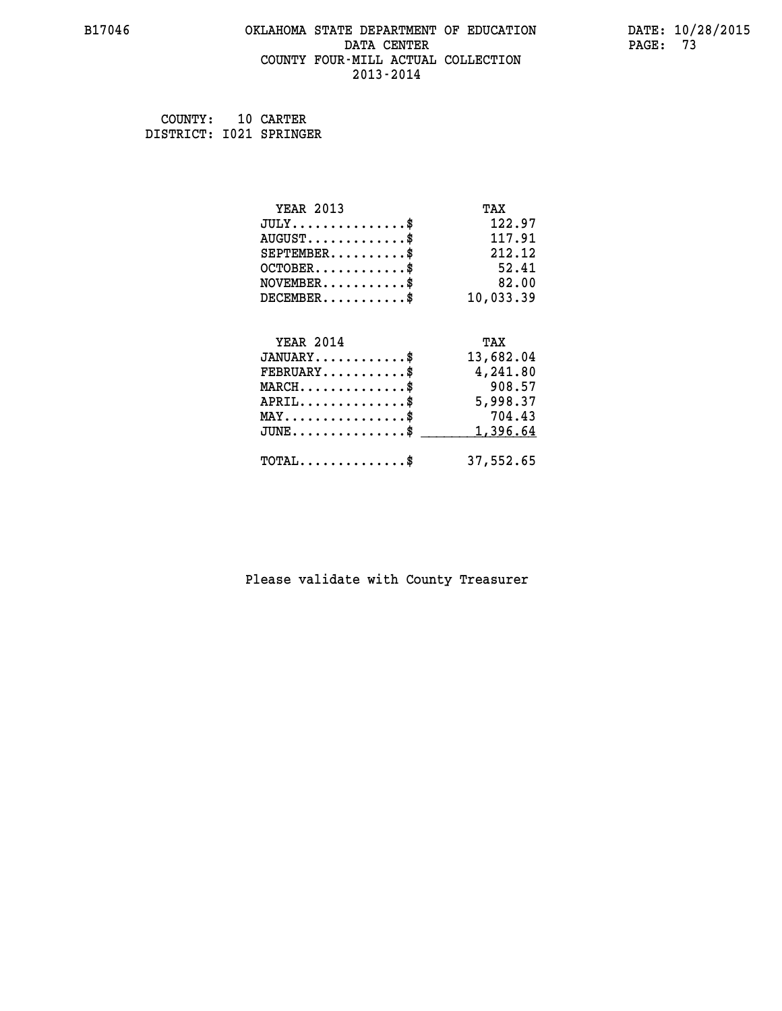### **B17046 OKLAHOMA STATE DEPARTMENT OF EDUCATION DATE: 10/28/2015 DATA CENTER** PAGE: 73  **COUNTY FOUR-MILL ACTUAL COLLECTION 2013-2014**

 **COUNTY: 10 CARTER DISTRICT: I021 SPRINGER**

| <b>YEAR 2013</b>                           | TAX       |
|--------------------------------------------|-----------|
| $JULY$                                     | 122.97    |
| $AUGUST$ \$                                | 117.91    |
| $SEPTEMENT.$                               | 212.12    |
| $OCTOBER$ \$                               | 52.41     |
| $NOVEMBER$ \$                              | 82.00     |
| $DECEMENT.$                                | 10,033.39 |
| <b>YEAR 2014</b>                           | TAX       |
| $JANUARY$ \$                               | 13,682.04 |
| $FEBRUARY$ \$                              | 4,241.80  |
| $MARCH$ \$                                 | 908.57    |
| $APRIL$ \$                                 | 5,998.37  |
| $MAX \dots \dots \dots \dots \dots$        | 704.43    |
| $JUNE$ \$                                  | 1,396.64  |
| $\texttt{TOTAL} \dots \dots \dots \dots \$ | 37,552.65 |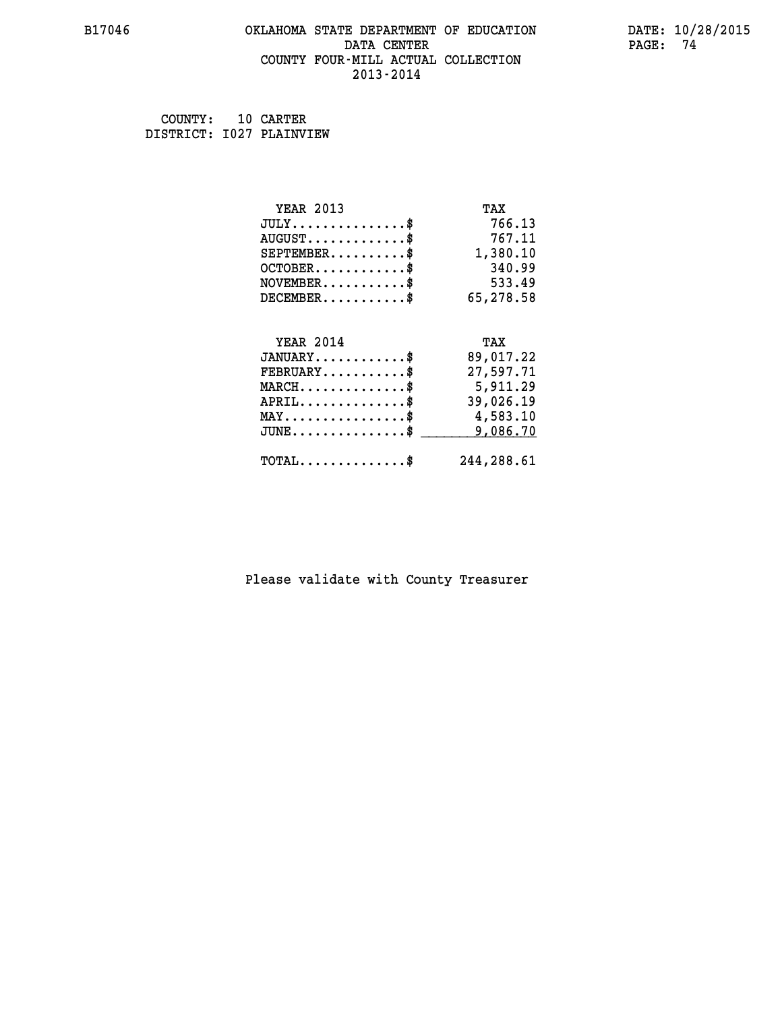### **B17046 OKLAHOMA STATE DEPARTMENT OF EDUCATION DATE: 10/28/2015 DATA CENTER PAGE: 74 COUNTY FOUR-MILL ACTUAL COLLECTION 2013-2014**

| COUNTY:                  | 10 CARTER |
|--------------------------|-----------|
| DISTRICT: 1027 PLAINVIEW |           |

| <b>YEAR 2013</b>                               | TAX        |
|------------------------------------------------|------------|
| $JULY$ \$                                      | 766.13     |
| $AUGUST$ \$                                    | 767.11     |
| $SEPTEMBER$ \$                                 | 1,380.10   |
| $OCTOBER$ \$                                   | 340.99     |
| $NOVEMBER.$ \$                                 | 533.49     |
| $DECEMBER$ \$                                  | 65,278.58  |
|                                                |            |
| <b>YEAR 2014</b>                               | TAX        |
| $JANUARY$ \$                                   | 89,017.22  |
| $FEBRUARY$ \$                                  | 27,597.71  |
| $MARCH$ \$                                     | 5,911.29   |
| $APRIL$ \$                                     | 39,026.19  |
| $\texttt{MAX} \dots \dots \dots \dots \dots \$ | 4,583.10   |
| $JUNE$ \$                                      | 9,086.70   |
| $\texttt{TOTAL} \dots \dots \dots \dots \$     | 244,288.61 |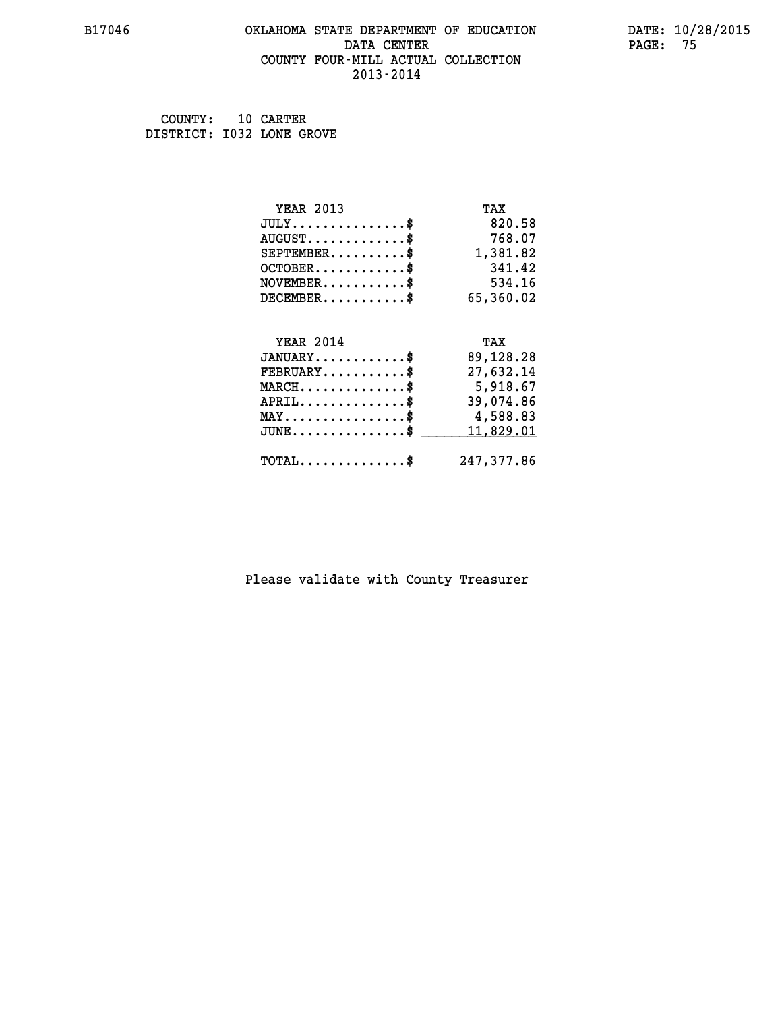### **B17046 OKLAHOMA STATE DEPARTMENT OF EDUCATION DATE: 10/28/2015 DATA CENTER** PAGE: 75  **COUNTY FOUR-MILL ACTUAL COLLECTION 2013-2014**

 **COUNTY: 10 CARTER DISTRICT: I032 LONE GROVE**

| <b>YEAR 2013</b>                               | TAX       |
|------------------------------------------------|-----------|
| $JULY$ \$                                      | 820.58    |
| $AUGUST$ \$                                    | 768.07    |
| $SEPTEMBER$                                    | 1,381.82  |
| $OCTOBER$ \$                                   | 341.42    |
| $NOVEMBER$ \$                                  | 534.16    |
| $DECEMBER$ \$                                  | 65,360.02 |
|                                                |           |
| <b>YEAR 2014</b>                               | TAX       |
| $JANUARY$ \$                                   | 89,128.28 |
| $FEBRUARY$                                     | 27,632.14 |
| $MARCH$ \$                                     | 5,918.67  |
|                                                |           |
| $APRIL$ \$                                     | 39,074.86 |
| $\texttt{MAX} \dots \dots \dots \dots \dots \$ | 4,588.83  |
| $JUNE$ \$                                      | 11,829.01 |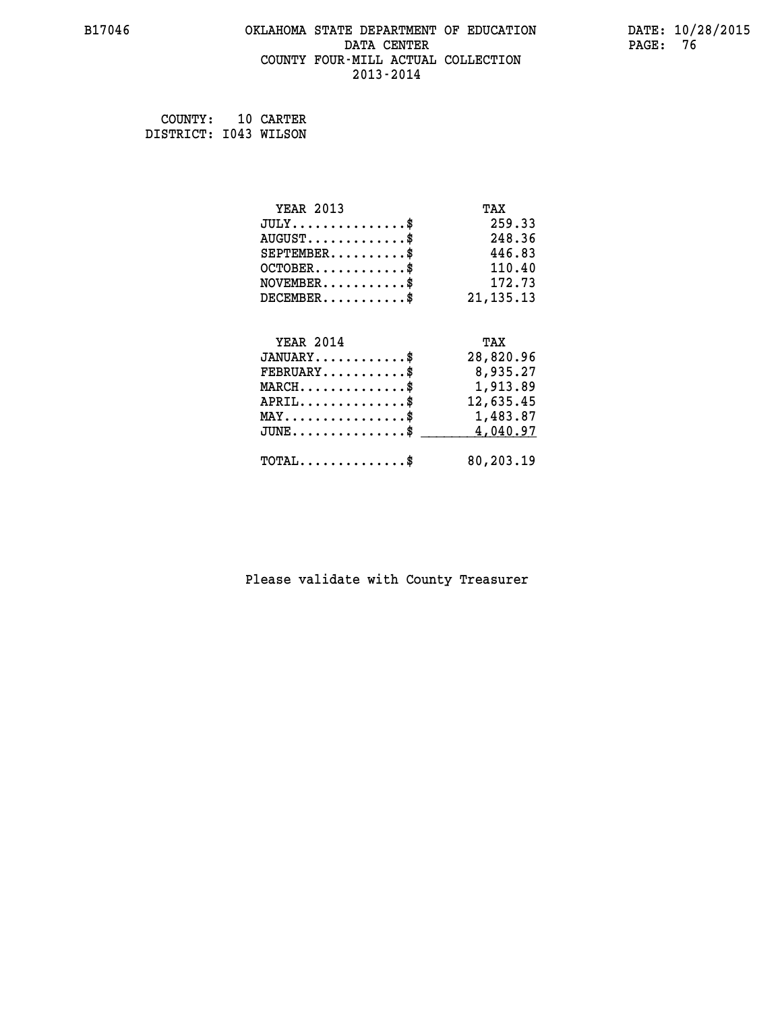### **B17046 OKLAHOMA STATE DEPARTMENT OF EDUCATION DATE: 10/28/2015 DATA CENTER** PAGE: 76  **COUNTY FOUR-MILL ACTUAL COLLECTION 2013-2014**

 **COUNTY: 10 CARTER DISTRICT: I043 WILSON**

| <b>YEAR 2013</b>                               | TAX         |
|------------------------------------------------|-------------|
| $JULY$ \$                                      | 259.33      |
| $AUGUST$ \$                                    | 248.36      |
| $SEPTEMENT.$ \$                                | 446.83      |
| $OCTOBER$ \$                                   | 110.40      |
| $NOVEMBER$ \$                                  | 172.73      |
| $DECEMBER$ \$                                  | 21, 135. 13 |
| <b>YEAR 2014</b>                               |             |
|                                                |             |
|                                                | TAX         |
| $JANUARY$ \$                                   | 28,820.96   |
| $FEBRUARY$                                     | 8,935.27    |
| $MARCH$ \$                                     | 1,913.89    |
| $APRIL$ \$                                     | 12,635.45   |
| $\texttt{MAX} \dots \dots \dots \dots \dots \$ | 1,483.87    |
| $JUNE$ \$                                      | 4,040.97    |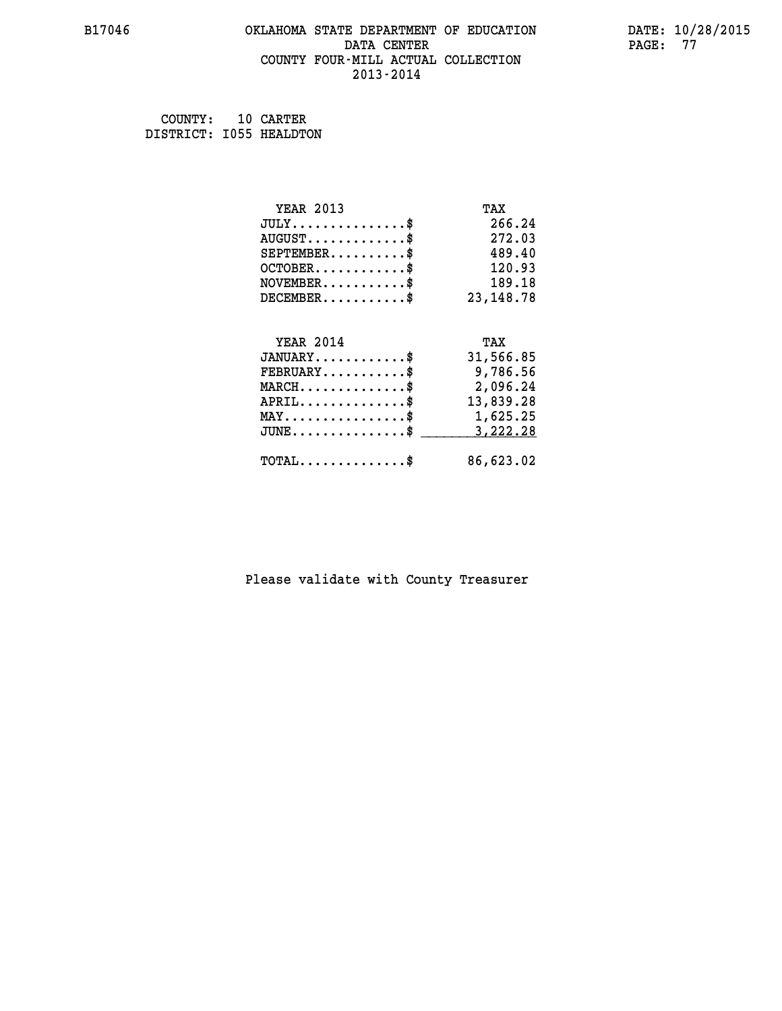### **B17046 OKLAHOMA STATE DEPARTMENT OF EDUCATION DATE: 10/28/2015 DATA CENTER** PAGE: 77  **COUNTY FOUR-MILL ACTUAL COLLECTION 2013-2014**

 **COUNTY: 10 CARTER DISTRICT: I055 HEALDTON**

| <b>YEAR 2013</b>                        | TAX         |
|-----------------------------------------|-------------|
| $JULY$ \$                               | 266.24      |
| $AUGUST$ \$                             | 272.03      |
| $SEPTEMENT.$ \$                         | 489.40      |
| $OCTOBER$ \$                            | 120.93      |
| $\texttt{NOVEMBER} \dots \dots \dots \$ | 189.18      |
| $DECEMBER$ \$                           | 23, 148. 78 |
|                                         |             |
| <b>YEAR 2014</b>                        | TAX         |
| $JANUARY$ \$                            | 31,566.85   |
| $FEBRUARY$                              | 9,786.56    |
| $MARCH$ \$                              | 2,096.24    |
| $APRIL$ \$                              | 13,839.28   |
| MAY\$ 1,625.25                          |             |
|                                         |             |
| $JUNE$ \$                               | 3,222.28    |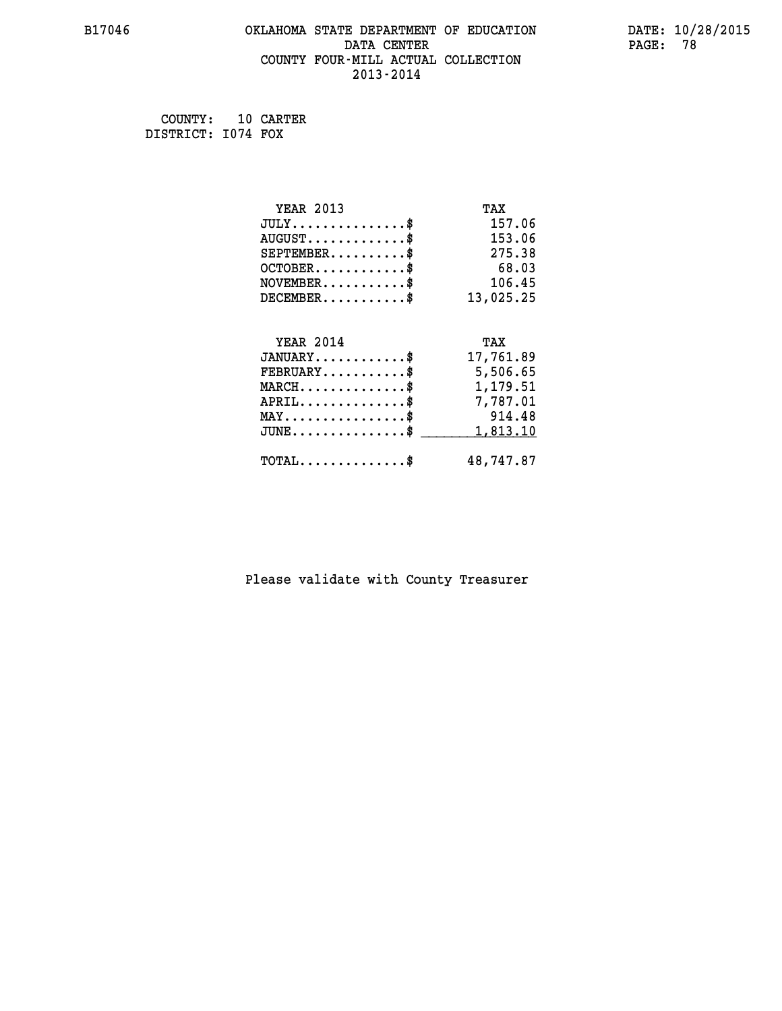### **B17046 OKLAHOMA STATE DEPARTMENT OF EDUCATION DATE: 10/28/2015 DATA CENTER** PAGE: 78  **COUNTY FOUR-MILL ACTUAL COLLECTION 2013-2014**

 **COUNTY: 10 CARTER DISTRICT: I074 FOX**

| <b>YEAR 2013</b>                    | TAX       |
|-------------------------------------|-----------|
| $JULY$ \$                           | 157.06    |
| $AUGUST$ \$                         | 153.06    |
| $SEPTEMBER$                         | 275.38    |
| $OCTOBER$ \$                        | 68.03     |
| $NOVEMBER$ \$                       | 106.45    |
| $DECEMBER$ \$                       | 13,025.25 |
|                                     |           |
| <b>YEAR 2014</b>                    | TAX       |
| $JANUARY$ \$                        | 17,761.89 |
|                                     |           |
| $FEBRUARY$                          | 5,506.65  |
| $MARCH$ \$                          | 1,179.51  |
| $APRIL$ \$                          | 7,787.01  |
| $MAX \dots \dots \dots \dots \dots$ | 914.48    |
| $JUNE$ \$                           | 1,813.10  |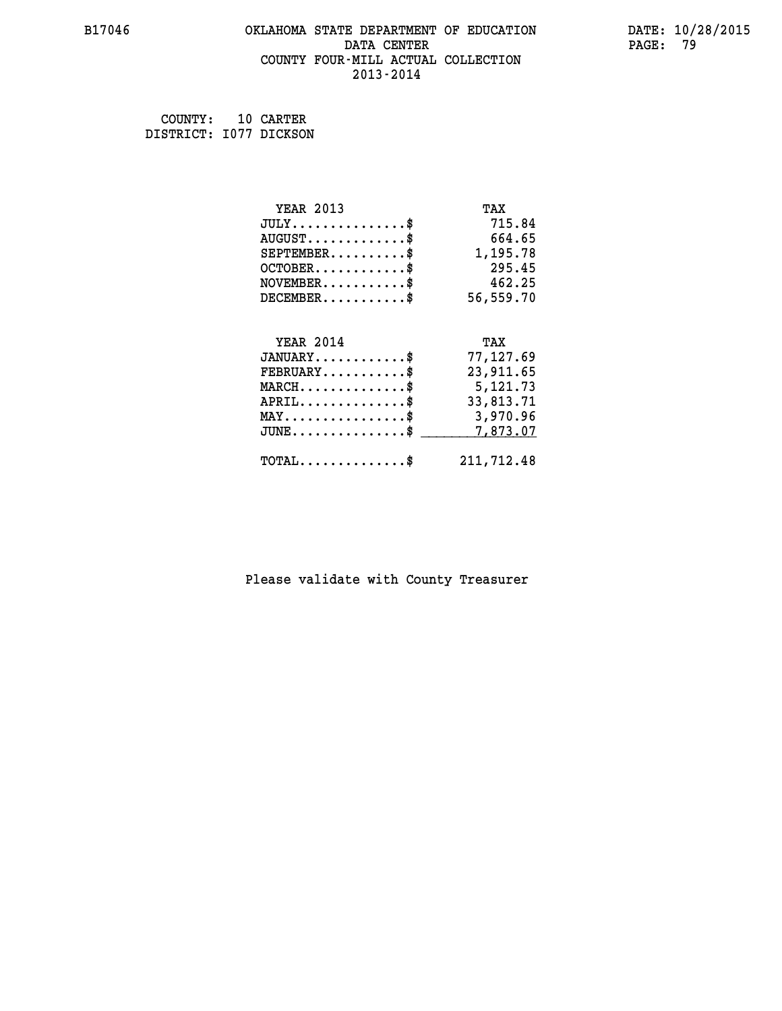### **B17046 OKLAHOMA STATE DEPARTMENT OF EDUCATION DATE: 10/28/2015 DATA CENTER** PAGE: 79  **COUNTY FOUR-MILL ACTUAL COLLECTION 2013-2014**

 **COUNTY: 10 CARTER DISTRICT: I077 DICKSON**

| <b>YEAR 2013</b>                                 | TAX        |
|--------------------------------------------------|------------|
| $JULY$ \$                                        | 715.84     |
| $AUGUST$ \$                                      | 664.65     |
| $SEPTEMBER$ \$                                   | 1,195.78   |
| $OCTOBER$ \$                                     | 295.45     |
| $NOVEMBER$ \$                                    | 462.25     |
| $DECEMBER$ \$                                    | 56,559.70  |
|                                                  |            |
| <b>YEAR 2014</b>                                 | TAX        |
| $JANUARY$ \$                                     | 77,127.69  |
| $FEBRUARY$                                       | 23,911.65  |
| $MARCH$ \$                                       | 5,121.73   |
| $APRIL \ldots \ldots \ldots \ldots \$            | 33,813.71  |
| $\texttt{MAX} \dots \dots \dots \dots \dots \$   | 3,970.96   |
| $\texttt{JUNE} \dots \dots \dots \dots \dots \$$ | 7,873.07   |
| $\texttt{TOTAL} \dots \dots \dots \dots$ \$      | 211,712.48 |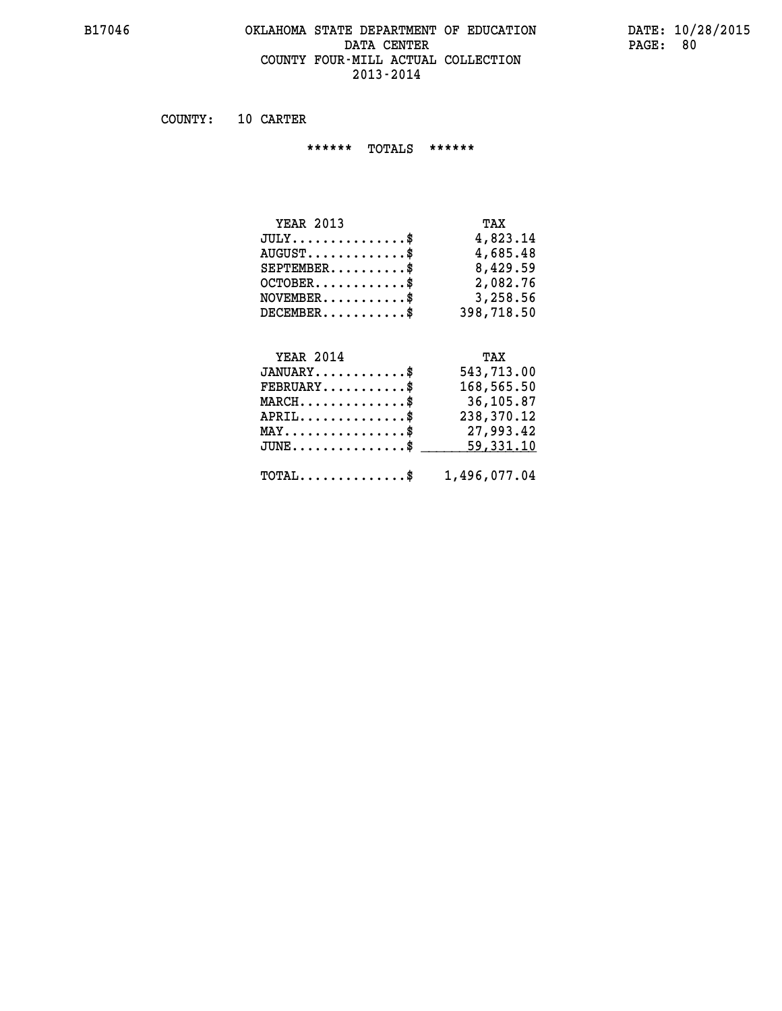## **B17046 OKLAHOMA STATE DEPARTMENT OF EDUCATION DATE: 10/28/2015 DATA CENTER** PAGE: 80  **COUNTY FOUR-MILL ACTUAL COLLECTION 2013-2014**

 **COUNTY: 10 CARTER**

 **\*\*\*\*\*\* TOTALS \*\*\*\*\*\***

| <b>YEAR 2013</b> | TAX        |
|------------------|------------|
| $JULY$           | 4,823.14   |
| $AUGUST$         | 4,685.48   |
| $SEPTEMBER$ \$   | 8,429.59   |
| $OCTOBER$ \$     | 2,082.76   |
| $NOVEMBER$ \$    | 3,258.56   |
| $DECEMENTER$     | 398,718.50 |

### **YEAR 2014**

| <b>YEAR 2014</b>                                        | TAX        |
|---------------------------------------------------------|------------|
| $JANUARY$                                               | 543,713.00 |
| $FEBRUARY$ \$                                           | 168,565.50 |
| $MARCH$ \$                                              | 36,105.87  |
| $APRIL$ \$                                              | 238,370.12 |
| $MAX \dots \dots \dots \dots \$                         | 27,993.42  |
| $JUNE$ \$                                               | 59,331.10  |
| $\texttt{TOTAL} \dots \dots \dots \dots \$ 1,496,077.04 |            |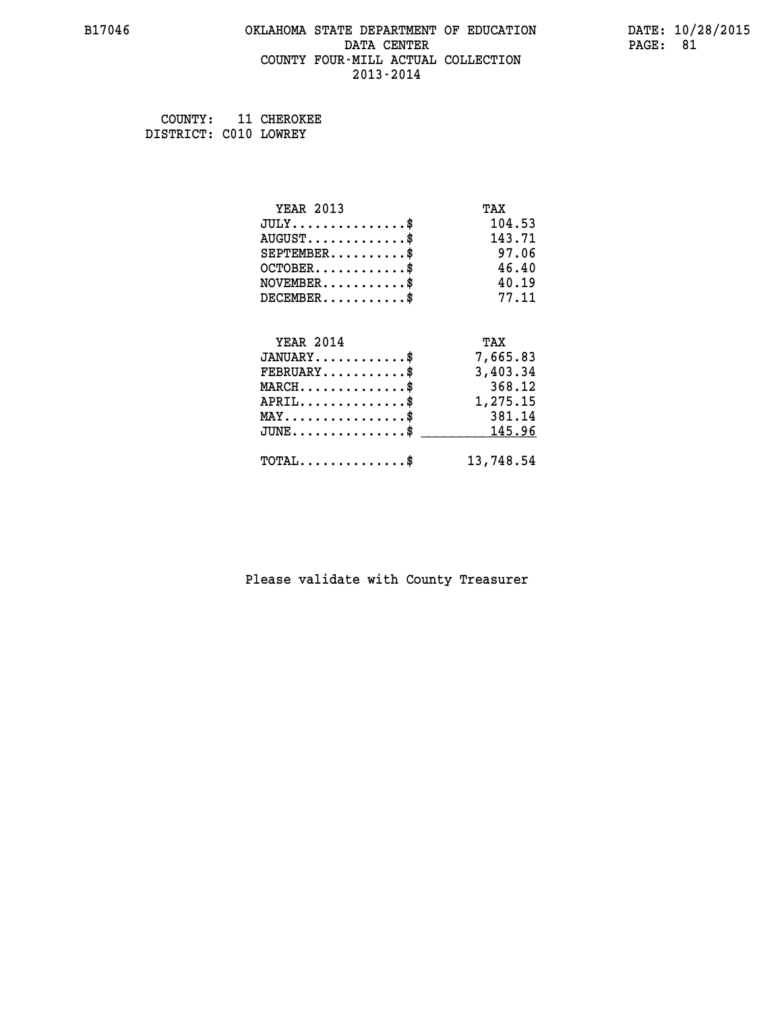### **B17046 OKLAHOMA STATE DEPARTMENT OF EDUCATION DATE: 10/28/2015 DATA CENTER** PAGE: 81  **COUNTY FOUR-MILL ACTUAL COLLECTION 2013-2014**

 **COUNTY: 11 CHEROKEE DISTRICT: C010 LOWREY**

| <b>YEAR 2013</b>                           | TAX       |
|--------------------------------------------|-----------|
| $JULY$ \$                                  | 104.53    |
| $AUGUST$ \$                                | 143.71    |
| $SEPTEMENT.$ \$                            | 97.06     |
| $OCTOBER$ \$                               | 46.40     |
| $NOVEMBER$ \$                              | 40.19     |
| $DECEMBER$ \$                              | 77.11     |
|                                            |           |
| <b>YEAR 2014</b>                           | TAX       |
| $JANUARY$ \$                               | 7,665.83  |
| $FEBRUARY$                                 | 3,403.34  |
| $MARCH$ \$                                 | 368.12    |
| $APRIL \ldots \ldots \ldots \$             | 1,275.15  |
| $MAX \dots \dots \dots \dots \dots$        | 381.14    |
| $JUNE$ \$                                  | 145.96    |
| $\texttt{TOTAL} \dots \dots \dots \dots \$ | 13,748.54 |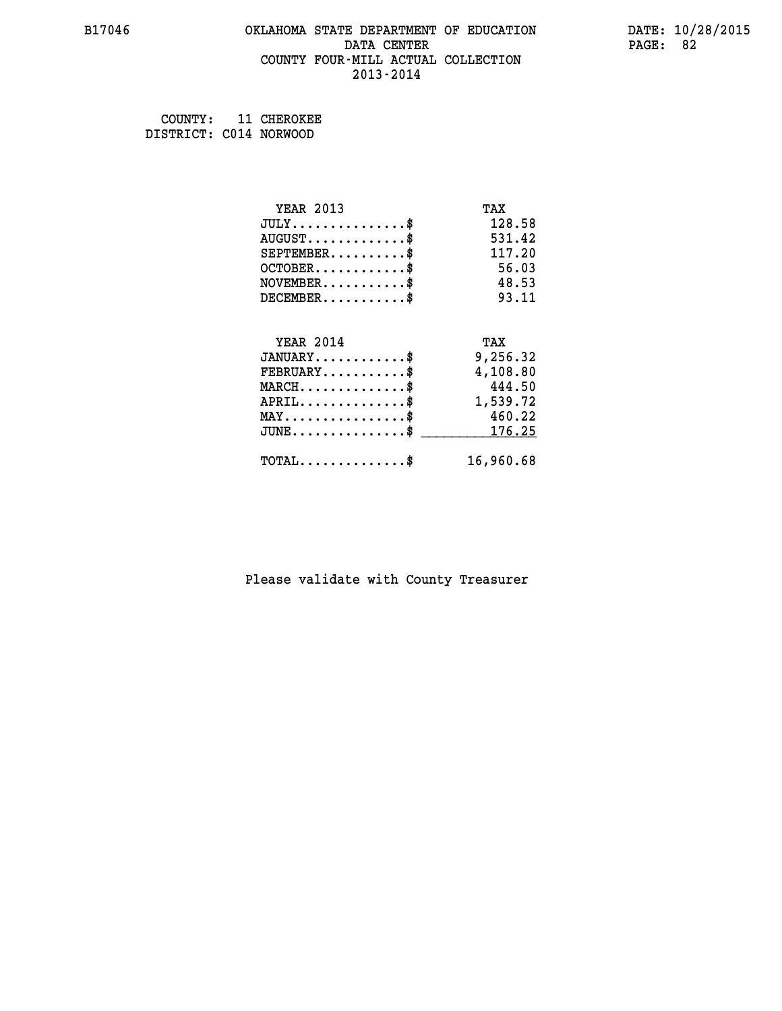### **B17046 OKLAHOMA STATE DEPARTMENT OF EDUCATION DATE: 10/28/2015 DATA CENTER** PAGE: 82  **COUNTY FOUR-MILL ACTUAL COLLECTION 2013-2014**

 **COUNTY: 11 CHEROKEE DISTRICT: C014 NORWOOD**

| <b>YEAR 2013</b>                                 | TAX       |
|--------------------------------------------------|-----------|
| $JULY$ \$                                        | 128.58    |
| $AUGUST$ \$                                      | 531.42    |
| $SEPTEMBER$ \$                                   | 117.20    |
| $OCTOBER$ \$                                     | 56.03     |
| $NOVEMBER$ \$                                    | 48.53     |
| $DECEMBER$ \$                                    | 93.11     |
|                                                  |           |
| <b>YEAR 2014</b>                                 | TAX       |
| $JANUARY$                                        | 9,256.32  |
| $FEBRUARY$ \$                                    | 4,108.80  |
| $MARCH$ \$                                       | 444.50    |
| $APRIL$ \$                                       | 1,539.72  |
| $MAX \dots \dots \dots \dots \dots$              | 460.22    |
| $\texttt{JUNE} \dots \dots \dots \dots \dots \$$ | 176.25    |
| $\texttt{TOTAL} \dots \dots \dots \dots \$       | 16,960.68 |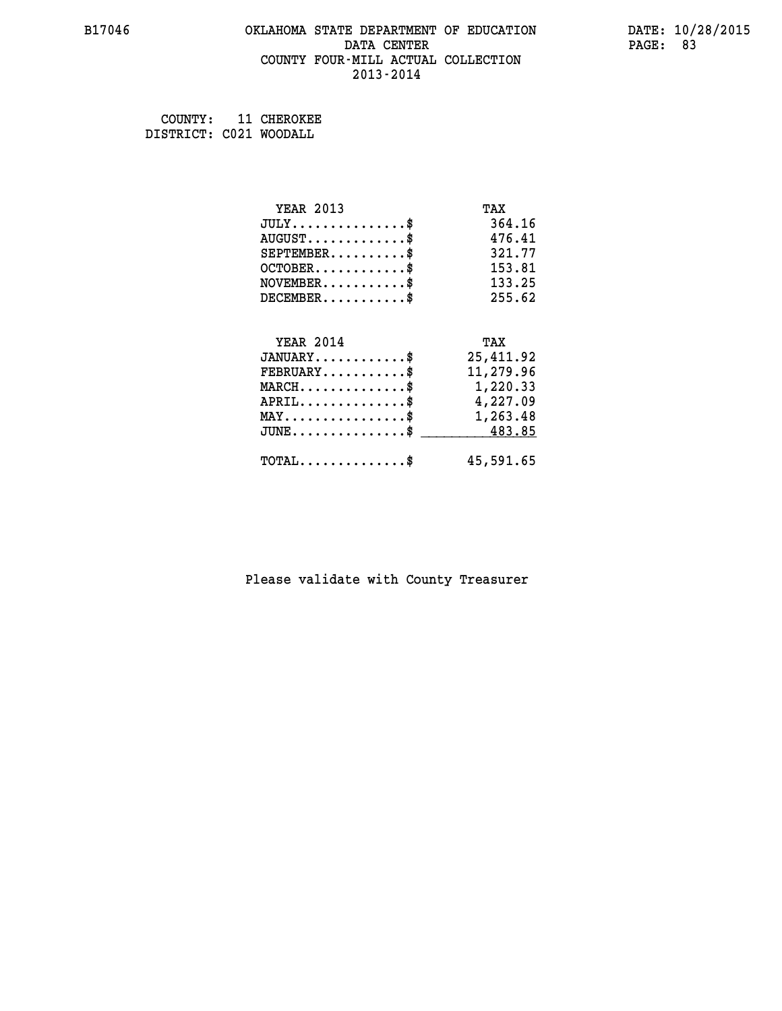### **B17046 OKLAHOMA STATE DEPARTMENT OF EDUCATION DATE: 10/28/2015 DATA CENTER** PAGE: 83  **COUNTY FOUR-MILL ACTUAL COLLECTION 2013-2014**

 **COUNTY: 11 CHEROKEE DISTRICT: C021 WOODALL**

| <b>YEAR 2013</b>                               | TAX       |
|------------------------------------------------|-----------|
| $JULY$ \$                                      | 364.16    |
| $AUGUST$ \$                                    | 476.41    |
| $SEPTEMBER$ \$                                 | 321.77    |
| $OCTOBER$ \$                                   | 153.81    |
| $NOVEMBER$ \$                                  | 133.25    |
| $DECEMBER$ \$                                  | 255.62    |
|                                                |           |
| <b>YEAR 2014</b>                               | TAX       |
| $JANUARY$ \$                                   | 25,411.92 |
| $FEBRUARY$                                     | 11,279.96 |
| $MARCH$ \$                                     | 1,220.33  |
| $APRIL$ \$                                     | 4,227.09  |
| $\texttt{MAX} \dots \dots \dots \dots \dots \$ | 1,263.48  |
| $JUNE$ \$                                      | 483.85    |
| $\texttt{TOTAL} \dots \dots \dots \dots \$     | 45,591.65 |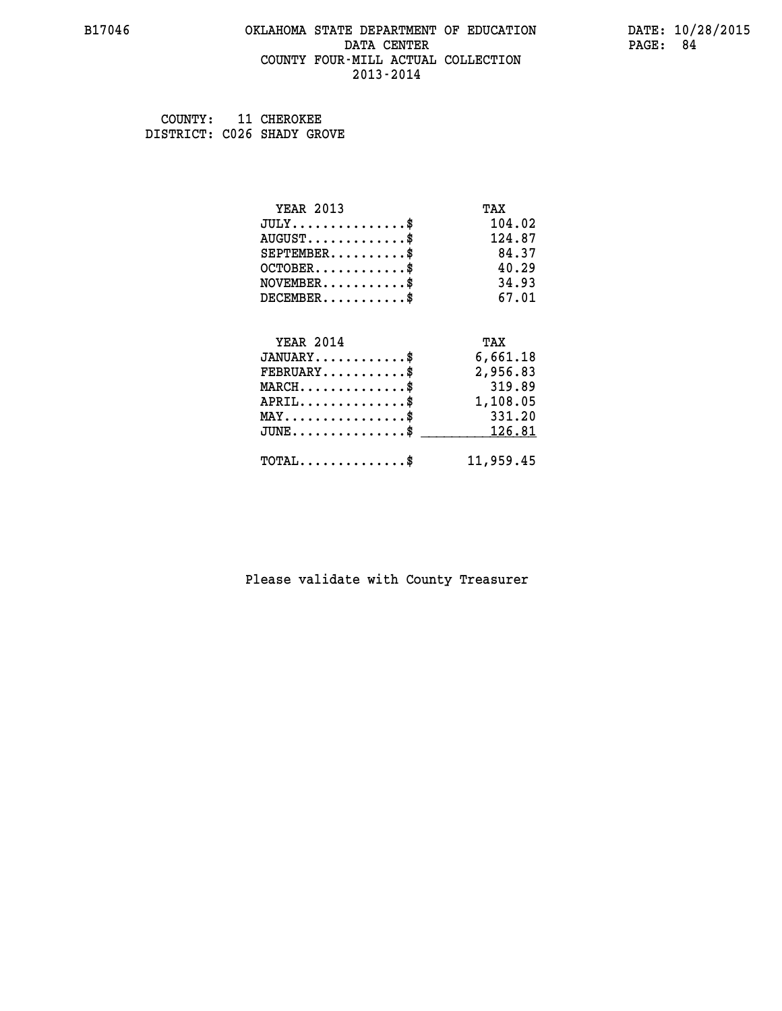### **B17046 OKLAHOMA STATE DEPARTMENT OF EDUCATION DATE: 10/28/2015 DATA CENTER** PAGE: 84  **COUNTY FOUR-MILL ACTUAL COLLECTION 2013-2014**

 **COUNTY: 11 CHEROKEE DISTRICT: C026 SHADY GROVE**

| <b>YEAR 2013</b>                                 | TAX       |
|--------------------------------------------------|-----------|
| $JULY$ \$                                        | 104.02    |
| $AUGUST$ \$                                      | 124.87    |
| $SEPTEMENT.$ \$                                  | 84.37     |
| $OCTOBER$ \$                                     | 40.29     |
| $NOVEMBER$ \$                                    | 34.93     |
| $DECEMBER$ \$                                    | 67.01     |
|                                                  |           |
| <b>YEAR 2014</b>                                 | TAX       |
| $JANUARY$                                        | 6,661.18  |
| $FEBRUARY$                                       | 2,956.83  |
| $MARCH$ \$                                       | 319.89    |
| $APRIL$ \$                                       | 1,108.05  |
| $MAX \dots \dots \dots \dots \dots$              | 331.20    |
| $\texttt{JUNE} \dots \dots \dots \dots \dots \$$ | 126.81    |
| $\texttt{TOTAL} \dots \dots \dots \dots$         | 11,959.45 |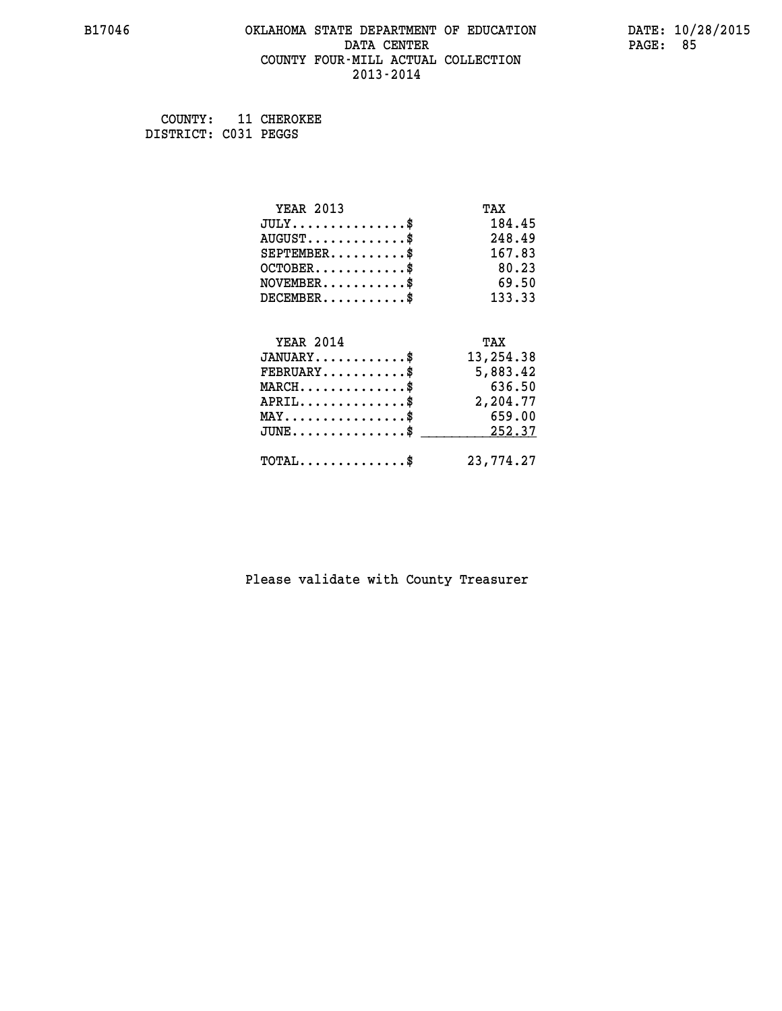### **B17046 OKLAHOMA STATE DEPARTMENT OF EDUCATION DATE: 10/28/2015 DATA CENTER** PAGE: 85  **COUNTY FOUR-MILL ACTUAL COLLECTION 2013-2014**

 **COUNTY: 11 CHEROKEE DISTRICT: C031 PEGGS**

| <b>YEAR 2013</b>                               | TAX       |
|------------------------------------------------|-----------|
| $JULY$ \$                                      | 184.45    |
| $AUGUST$ \$                                    | 248.49    |
| $SEPTEMENT.$ \$                                | 167.83    |
| $OCTOBER$ \$                                   | 80.23     |
| $NOVEMBER$ \$                                  | 69.50     |
| $DECEMBER$ \$                                  | 133.33    |
|                                                |           |
| <b>YEAR 2014</b>                               | TAX       |
| $JANUARY$                                      | 13,254.38 |
| $FEBRUARY$                                     | 5,883.42  |
| $MARCH$ \$                                     | 636.50    |
| $APRIL \ldots \ldots \ldots \$                 | 2,204.77  |
| $MAX \dots \dots \dots \dots \dots$            | 659.00    |
| $\texttt{JUNE}\dots\dots\dots\dots\dots\dots\$ | 252.37    |
| $\texttt{TOTAL} \dots \dots \dots \dots \$     | 23,774.27 |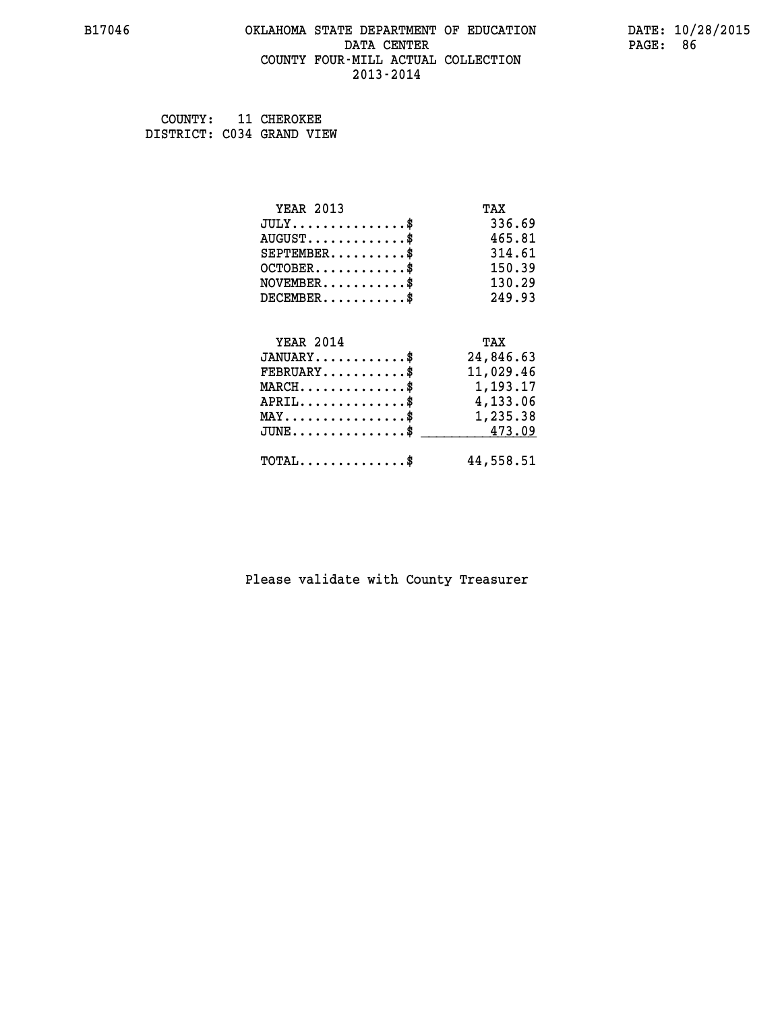### **B17046 OKLAHOMA STATE DEPARTMENT OF EDUCATION DATE: 10/28/2015 DATA CENTER** PAGE: 86  **COUNTY FOUR-MILL ACTUAL COLLECTION 2013-2014**

 **COUNTY: 11 CHEROKEE DISTRICT: C034 GRAND VIEW**

| <b>YEAR 2013</b>                               | TAX       |
|------------------------------------------------|-----------|
| $JULY$ \$                                      | 336.69    |
| $AUGUST$ \$                                    | 465.81    |
| $SEPTEMBER$ \$                                 | 314.61    |
| $OCTOBER$ \$                                   | 150.39    |
| $\texttt{NOVEMBER} \dots \dots \dots \$        | 130.29    |
| $DECEMBER$ \$                                  | 249.93    |
|                                                |           |
| <b>YEAR 2014</b>                               | TAX       |
| $JANUARY$ \$                                   | 24,846.63 |
|                                                |           |
| $FEBRUARY$                                     | 11,029.46 |
| $MARCH$ \$                                     | 1,193.17  |
| $APRIL \ldots \ldots \ldots \ldots \$          | 4,133.06  |
| $\texttt{MAX} \dots \dots \dots \dots \dots \$ | 1,235.38  |
| $JUNE \ldots \ldots \ldots \ldots \ast$        | 473.09    |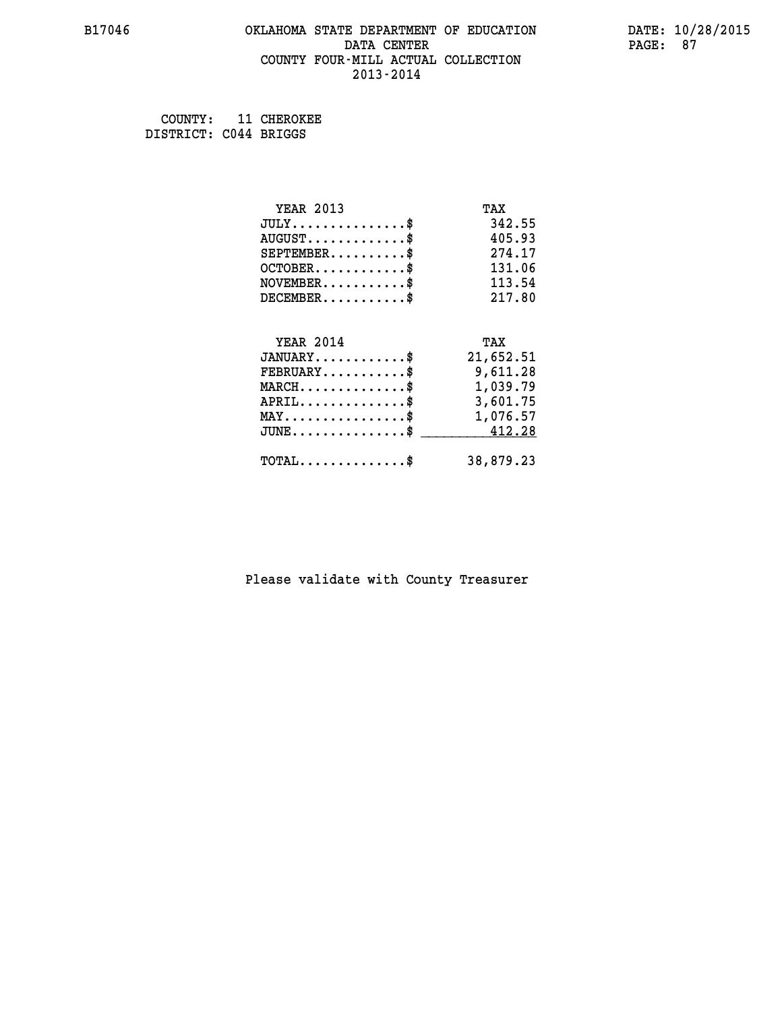### **B17046 OKLAHOMA STATE DEPARTMENT OF EDUCATION DATE: 10/28/2015 DATA CENTER** PAGE: 87  **COUNTY FOUR-MILL ACTUAL COLLECTION 2013-2014**

 **COUNTY: 11 CHEROKEE DISTRICT: C044 BRIGGS**

| <b>YEAR 2013</b>                                  | TAX       |
|---------------------------------------------------|-----------|
| $JULY$ \$                                         | 342.55    |
| $AUGUST$ \$                                       | 405.93    |
| $SEPTEMBER$ \$                                    | 274.17    |
| $OCTOBER$ \$                                      | 131.06    |
| $NOVEMBER.$ \$                                    | 113.54    |
| $DECEMBER$ \$                                     | 217.80    |
|                                                   |           |
| <b>YEAR 2014</b>                                  | TAX       |
| $JANUARY$ \$                                      | 21,652.51 |
| $FEBRUARY$                                        | 9,611.28  |
| $\texttt{MARCH}\ldots\ldots\ldots\ldots\clubsuit$ | 1,039.79  |
| $APRIL \ldots \ldots \ldots \ldots \$             | 3,601.75  |
| $\texttt{MAX} \dots \dots \dots \dots \dots \$    | 1,076.57  |
| $JUNE \ldots \ldots \ldots \ldots$ \$ 412.28      |           |
| $\texttt{TOTAL} \dots \dots \dots \dots \$        | 38,879.23 |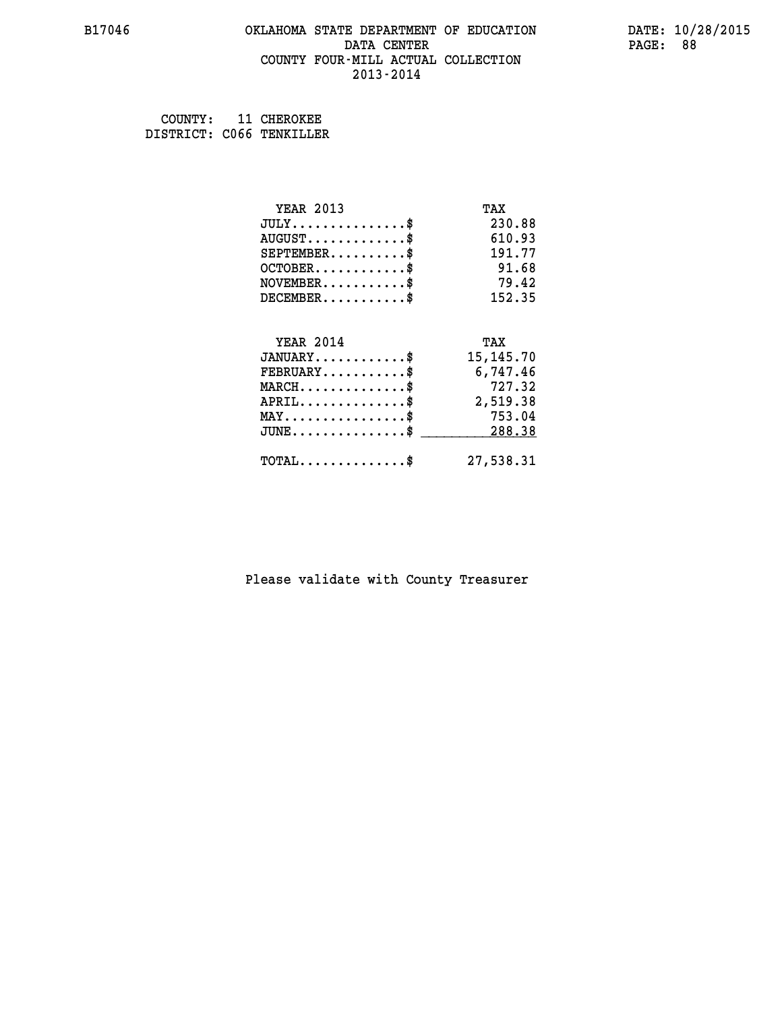### **B17046 OKLAHOMA STATE DEPARTMENT OF EDUCATION DATE: 10/28/2015 DATA CENTER** PAGE: 88  **COUNTY FOUR-MILL ACTUAL COLLECTION 2013-2014**

 **COUNTY: 11 CHEROKEE DISTRICT: C066 TENKILLER**

| <b>YEAR 2013</b>                           | TAX         |
|--------------------------------------------|-------------|
| $JULY$ \$                                  | 230.88      |
| $AUGUST$ \$                                | 610.93      |
| $SEPTEMBER$ \$                             | 191.77      |
| $OCTOBER$ \$                               | 91.68       |
| $NOVEMBER$ \$                              | 79.42       |
| $DECEMBER$ \$                              | 152.35      |
|                                            |             |
| <b>YEAR 2014</b>                           | TAX         |
| $JANUARY$ \$                               | 15, 145. 70 |
| $FEBRUARY$                                 | 6,747.46    |
| $MARCH$ \$                                 | 727.32      |
| $APRIL$ \$                                 | 2,519.38    |
| $MAX \dots \dots \dots \dots \dots$        | 753.04      |
| $JUNE$ \$                                  | 288.38      |
| $\texttt{TOTAL} \dots \dots \dots \dots \$ | 27,538.31   |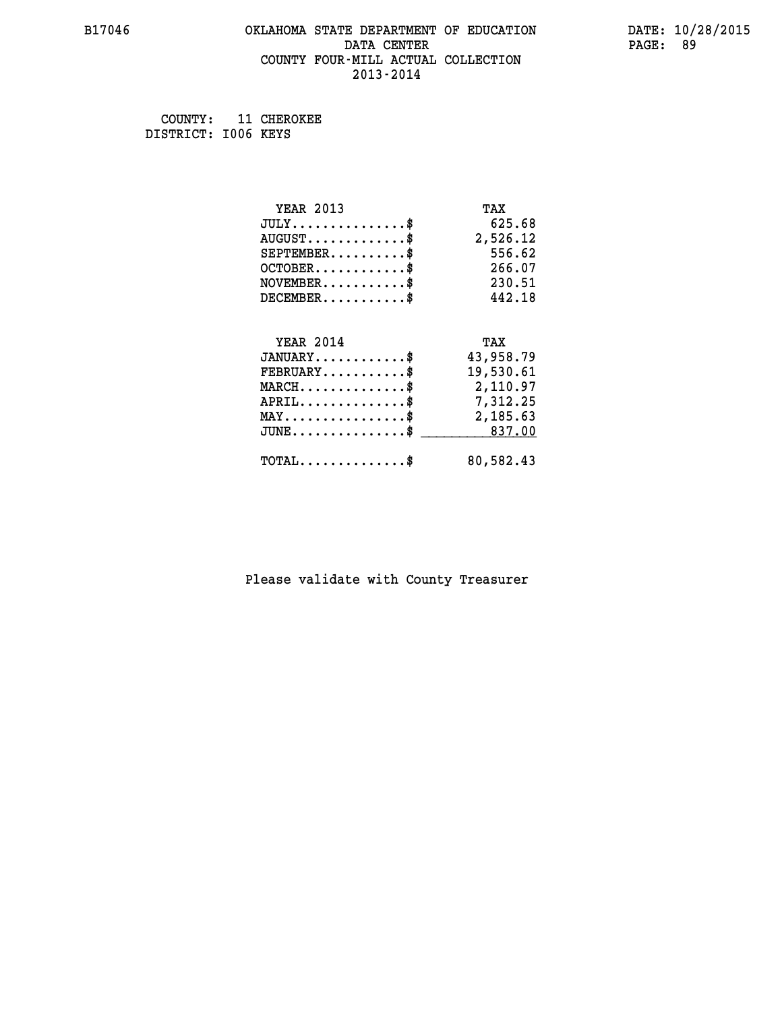### **B17046 OKLAHOMA STATE DEPARTMENT OF EDUCATION DATE: 10/28/2015 DATA CENTER** PAGE: 89  **COUNTY FOUR-MILL ACTUAL COLLECTION 2013-2014**

 **COUNTY: 11 CHEROKEE DISTRICT: I006 KEYS**

| <b>YEAR 2013</b>                                   | TAX       |
|----------------------------------------------------|-----------|
| $JULY$ \$                                          | 625.68    |
| $AUGUST$ \$                                        | 2,526.12  |
| $SEPTEMBER$ \$                                     | 556.62    |
| $OCTOBER$ \$                                       | 266.07    |
| $NOVEMBER$ \$                                      | 230.51    |
| $DECEMBER$ \$                                      | 442.18    |
|                                                    |           |
| <b>YEAR 2014</b>                                   | TAX       |
| $JANUARY$ \$                                       | 43,958.79 |
| $FEBRUARY$                                         | 19,530.61 |
| $MARCH$ \$                                         | 2,110.97  |
| $APRIL$ \$                                         | 7,312.25  |
| $\texttt{MAX} \dots \dots \dots \dots \dots \$     | 2,185.63  |
| $\texttt{JUNE} \dots \dots \dots \dots \texttt{S}$ | 837.00    |
| $\texttt{TOTAL} \dots \dots \dots \dots \$         | 80,582.43 |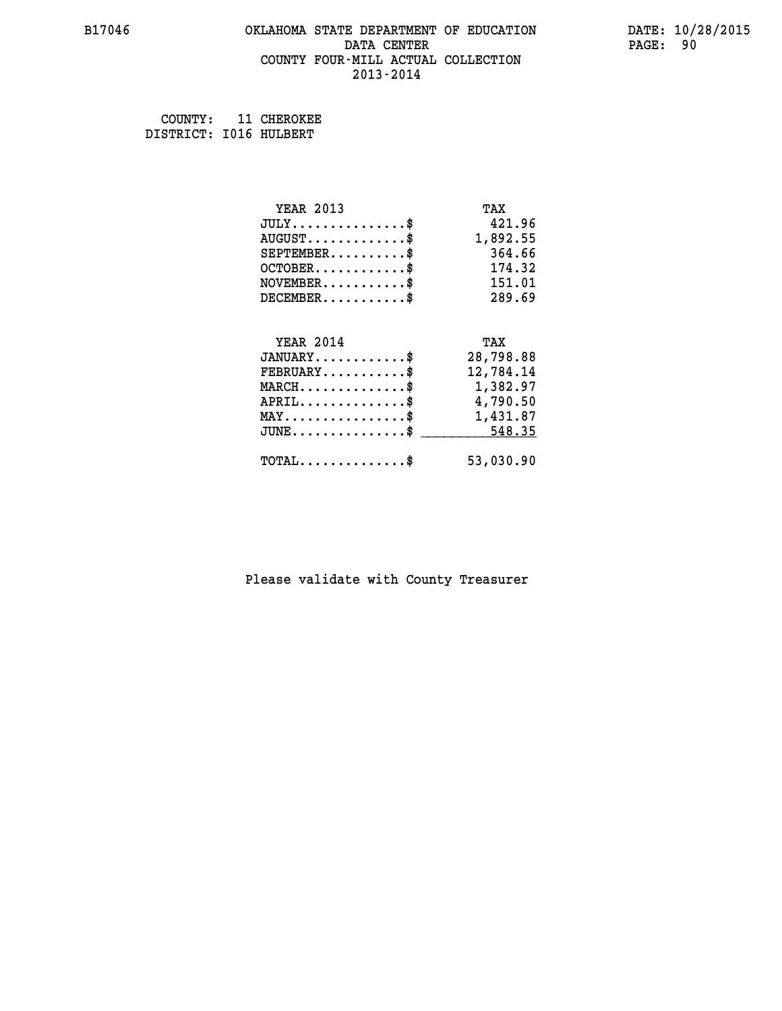### **B17046 OKLAHOMA STATE DEPARTMENT OF EDUCATION DATE: 10/28/2015 DATA CENTER** PAGE: 90  **COUNTY FOUR-MILL ACTUAL COLLECTION 2013-2014**

 **COUNTY: 11 CHEROKEE DISTRICT: I016 HULBERT**

| <b>YEAR 2013</b>                                | TAX       |
|-------------------------------------------------|-----------|
| $JULY$ \$                                       | 421.96    |
| $AUGUST$ \$                                     | 1,892.55  |
| $SEPTEMENT.$ \$                                 | 364.66    |
| $OCTOBER$ \$                                    | 174.32    |
| $NOVEMBER$ \$                                   | 151.01    |
| $DECEMBER$ \$                                   | 289.69    |
|                                                 |           |
| <b>YEAR 2014</b>                                | TAX       |
| $JANUARY$ \$                                    | 28,798.88 |
| $FEBRUARY$                                      | 12,784.14 |
| $MARCH$ \$                                      | 1,382.97  |
| $APRIL$ \$                                      | 4,790.50  |
| $\texttt{MAX} \dots \dots \dots \dots \dots \$$ | 1,431.87  |
| $JUNE$ \$                                       | 548.35    |
| $\texttt{TOTAL} \dots \dots \dots \dots \$      | 53,030.90 |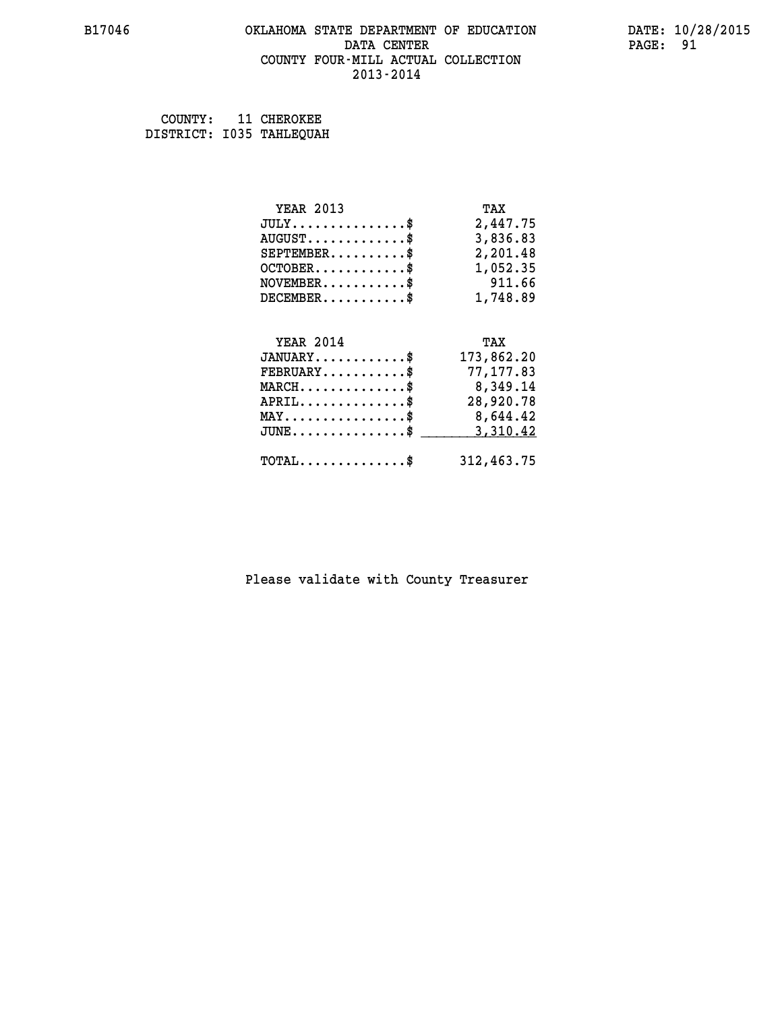### **B17046 OKLAHOMA STATE DEPARTMENT OF EDUCATION DATE: 10/28/2015 DATA CENTER** PAGE: 91  **COUNTY FOUR-MILL ACTUAL COLLECTION 2013-2014**

 **COUNTY: 11 CHEROKEE DISTRICT: I035 TAHLEQUAH**

| <b>YEAR 2013</b>                                                                                                              | TAX        |
|-------------------------------------------------------------------------------------------------------------------------------|------------|
| $JULY$ \$                                                                                                                     | 2,447.75   |
| $AUGUST$ \$                                                                                                                   | 3,836.83   |
| $SEPTEMBER$ \$                                                                                                                | 2,201.48   |
| $OCTOBER$ \$                                                                                                                  | 1,052.35   |
| $\texttt{NOVEMBER} \dots \dots \dots \$                                                                                       | 911.66     |
| $DECEMBER$ \$                                                                                                                 | 1,748.89   |
|                                                                                                                               |            |
| <b>YEAR 2014</b>                                                                                                              | TAX        |
| $JANUARY$ \$                                                                                                                  | 173,862.20 |
| $FEBRUARY$ \$                                                                                                                 | 77,177.83  |
| $\texttt{MARCH}\ldots\ldots\ldots\ldots\overset{\hspace{0.1em}\mathsf{\scriptscriptstyle\$}}{\mathsf{\scriptscriptstyle\$}}}$ | 8,349.14   |
| $APRIL$ \$                                                                                                                    | 28,920.78  |
| $\texttt{MAX} \dots \dots \dots \dots \dots \$                                                                                | 8,644.42   |
| $JUNE$ \$                                                                                                                     | 3,310.42   |
| $\texttt{TOTAL} \dots \dots \dots \dots \$                                                                                    | 312,463.75 |
|                                                                                                                               |            |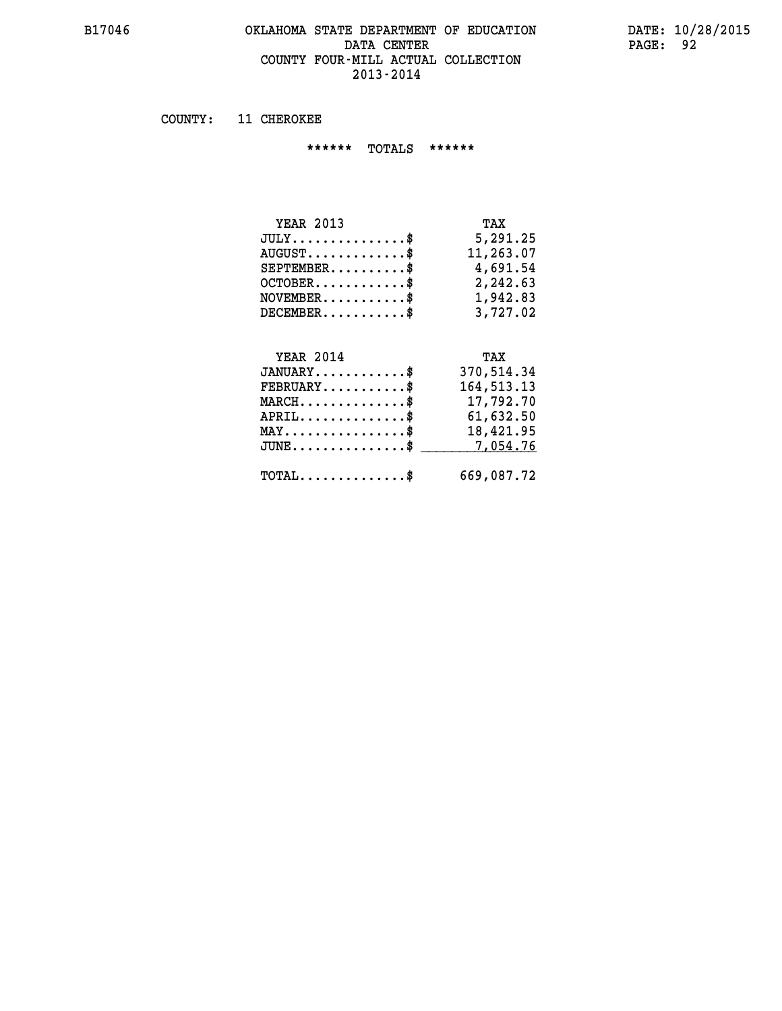### **B17046 OKLAHOMA STATE DEPARTMENT OF EDUCATION DATE: 10/28/2015 DATA CENTER PAGE: 92 COUNTY FOUR-MILL ACTUAL COLLECTION 2013-2014**

 **COUNTY: 11 CHEROKEE**

 **\*\*\*\*\*\* TOTALS \*\*\*\*\*\***

| <b>YEAR 2013</b> | TAX       |
|------------------|-----------|
| $JULY$           | 5,291.25  |
| $AUGUST$         | 11,263.07 |
| $SEPTEMBER$ \$   | 4,691.54  |
| $OCTOBER$ \$     | 2,242.63  |
| $NOVEMBER$ \$    | 1,942.83  |
| $DECEMBER$ \$    | 3,727.02  |

# **YEAR 2014 TAX JANUARY............\$ 370,514.34 FEBRUARY...........\$ 164,513.13 MARCH..............\$ 17,792.70 APRIL..............\$ 61,632.50 MAY................\$ 18,421.95 JUNE................\$** <u>7,054.76</u>

 **TOTAL..............\$ 669,087.72**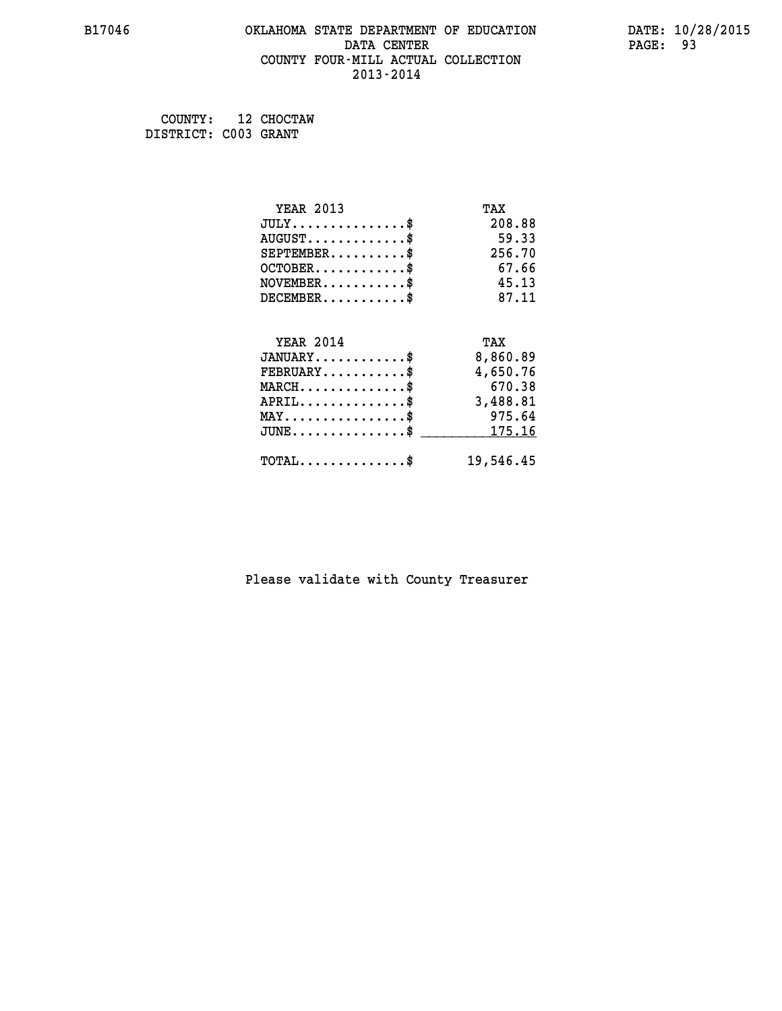### **B17046 OKLAHOMA STATE DEPARTMENT OF EDUCATION DATE: 10/28/2015 DATA CENTER** PAGE: 93  **COUNTY FOUR-MILL ACTUAL COLLECTION 2013-2014**

 **COUNTY: 12 CHOCTAW DISTRICT: C003 GRANT**

| <b>YEAR 2013</b>                           | TAX       |
|--------------------------------------------|-----------|
| $JULY$ \$                                  | 208.88    |
| $AUGUST$ \$                                | 59.33     |
| $SEPTEMENT.$ \$                            | 256.70    |
| $OCTOBER$ \$                               | 67.66     |
| $NOVEMBER$ \$                              | 45.13     |
| $DECEMBER$ \$                              | 87.11     |
|                                            |           |
| <b>YEAR 2014</b>                           | TAX       |
| $JANUARY$ \$                               | 8,860.89  |
| $FEBRUARY$                                 | 4,650.76  |
| $MARCH$ \$                                 | 670.38    |
| $APRIL$ \$                                 | 3,488.81  |
| $MAX \dots \dots \dots \dots \dots$        | 975.64    |
| $JUNE$ \$                                  | 175.16    |
| $\texttt{TOTAL} \dots \dots \dots \dots \$ | 19,546.45 |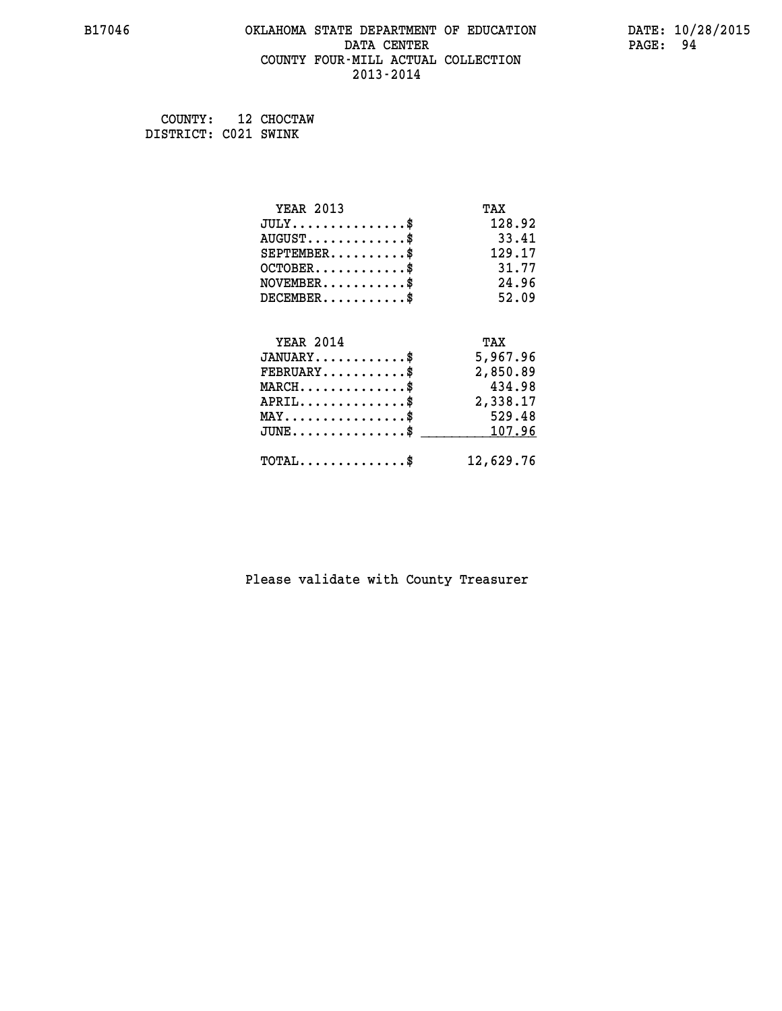### **B17046 OKLAHOMA STATE DEPARTMENT OF EDUCATION DATE: 10/28/2015 DATA CENTER** PAGE: 94  **COUNTY FOUR-MILL ACTUAL COLLECTION 2013-2014**

 **COUNTY: 12 CHOCTAW DISTRICT: C021 SWINK**

| <b>YEAR 2013</b>                           | TAX       |
|--------------------------------------------|-----------|
| $JULY$ \$                                  | 128.92    |
| $AUGUST$ \$                                | 33.41     |
| $SEPTEMENT.$ \$                            | 129.17    |
| $OCTOBER$ \$                               | 31.77     |
| $NOVEMBER$ \$                              | 24.96     |
| $DECEMBER$ \$                              | 52.09     |
|                                            |           |
| <b>YEAR 2014</b>                           | TAX       |
| $JANUARY$ \$                               | 5,967.96  |
| $FEBRUARY$                                 | 2,850.89  |
| $MARCH$ \$                                 | 434.98    |
| $APRIL$ \$                                 | 2,338.17  |
| $MAX \dots \dots \dots \dots \dots$        | 529.48    |
| $JUNE$ \$                                  | 107.96    |
| $\texttt{TOTAL} \dots \dots \dots \dots \$ | 12,629.76 |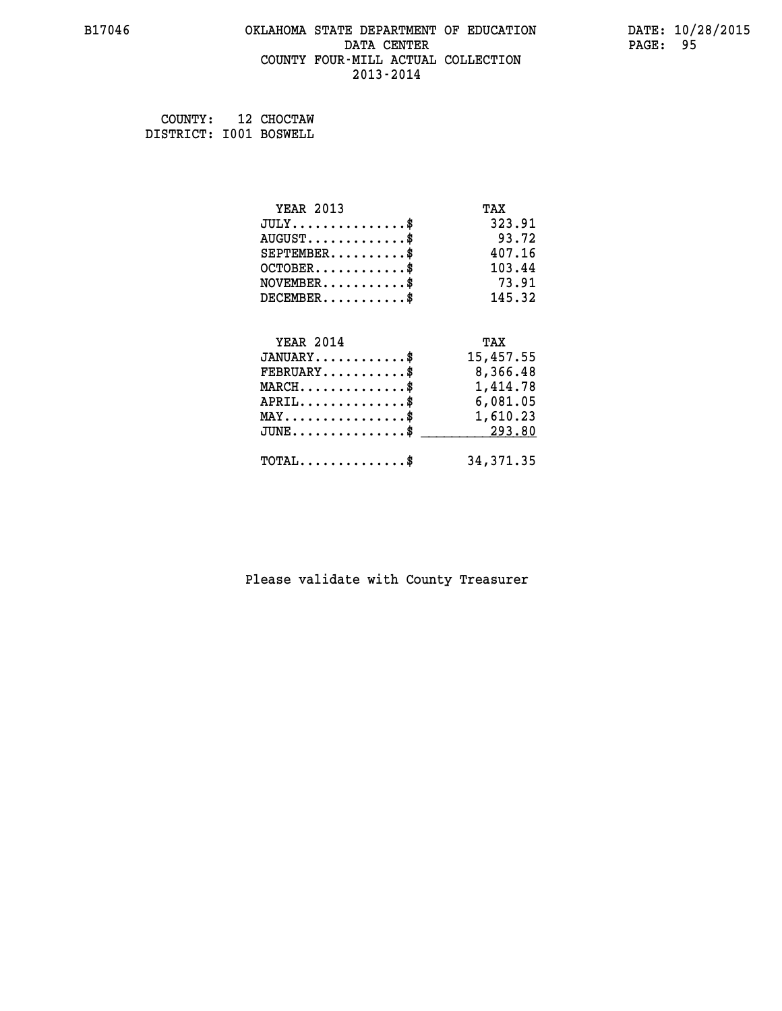### **B17046 OKLAHOMA STATE DEPARTMENT OF EDUCATION DATE: 10/28/2015 DATA CENTER** PAGE: 95  **COUNTY FOUR-MILL ACTUAL COLLECTION 2013-2014**

 **COUNTY: 12 CHOCTAW DISTRICT: I001 BOSWELL**

| <b>YEAR 2013</b>                                 | TAX        |
|--------------------------------------------------|------------|
| $JULY$ \$                                        | 323.91     |
| $AUGUST$ \$                                      | 93.72      |
| $SEPTEMBER$ \$                                   | 407.16     |
| $OCTOBER$ \$                                     | 103.44     |
| $NOVEMBER$ \$                                    | 73.91      |
| $DECEMBER$ \$                                    | 145.32     |
|                                                  |            |
| <b>YEAR 2014</b>                                 | TAX        |
| $JANUARY$ \$                                     | 15,457.55  |
| $FEBRUARY$                                       | 8,366.48   |
| $\texttt{MARCH}\ldots\ldots\ldots\ldots\text{*}$ | 1,414.78   |
| $APRIL \ldots \ldots \ldots \ldots \$            | 6,081.05   |
| $\texttt{MAX} \dots \dots \dots \dots \dots \$   | 1,610.23   |
| $\mathtt{JUNE} \ldots \ldots \ldots \ldots \ast$ | 293.80     |
| $\texttt{TOTAL} \dots \dots \dots \dots \$       | 34, 371.35 |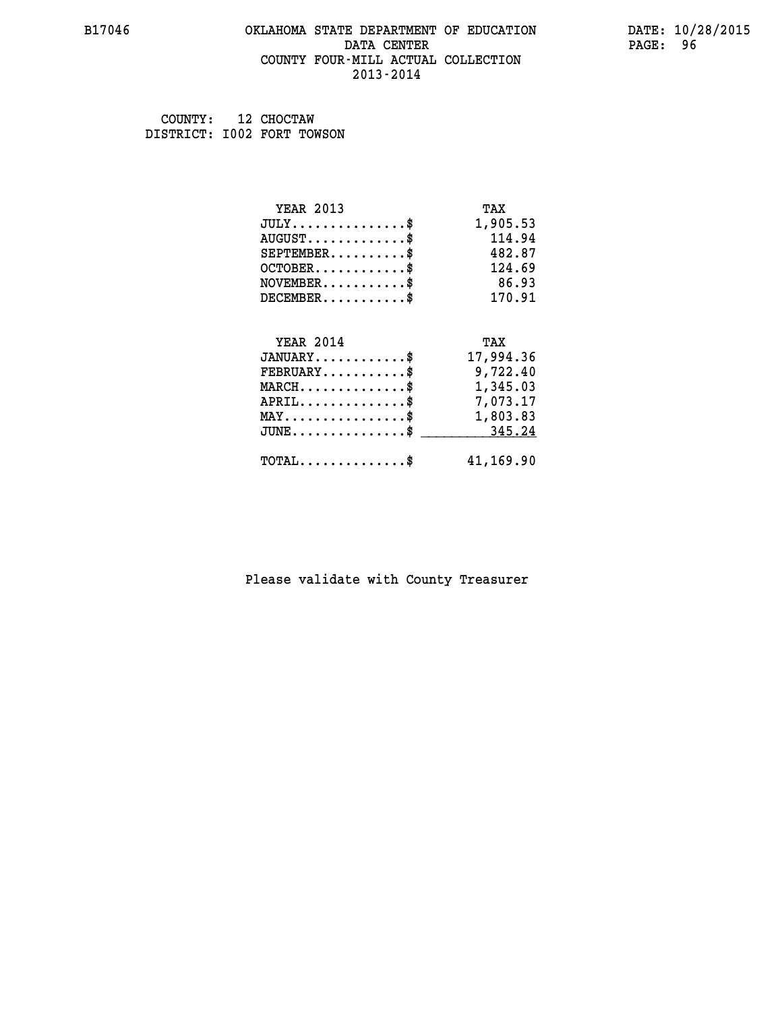### **B17046 OKLAHOMA STATE DEPARTMENT OF EDUCATION DATE: 10/28/2015 DATA CENTER** PAGE: 96  **COUNTY FOUR-MILL ACTUAL COLLECTION 2013-2014**

 **COUNTY: 12 CHOCTAW DISTRICT: I002 FORT TOWSON**

| <b>YEAR 2013</b>                               | TAX       |
|------------------------------------------------|-----------|
| $JULY$ \$                                      | 1,905.53  |
| $AUGUST$ \$                                    | 114.94    |
| $SEPTEMENT.$ \$                                | 482.87    |
| $OCTOBER$ \$                                   | 124.69    |
| $NOVEMBER$ \$                                  | 86.93     |
| $DECEMBER$ \$                                  | 170.91    |
|                                                |           |
| <b>YEAR 2014</b>                               | TAX       |
| $JANUARY$                                      | 17,994.36 |
|                                                |           |
| $FEBRUARY$                                     | 9,722.40  |
| $MARCH$ \$                                     | 1,345.03  |
| $APRIL \ldots \ldots \ldots \ldots \$          | 7,073.17  |
| $\texttt{MAX} \dots \dots \dots \dots \dots \$ | 1,803.83  |
| $JUNE$ \$                                      | 345.24    |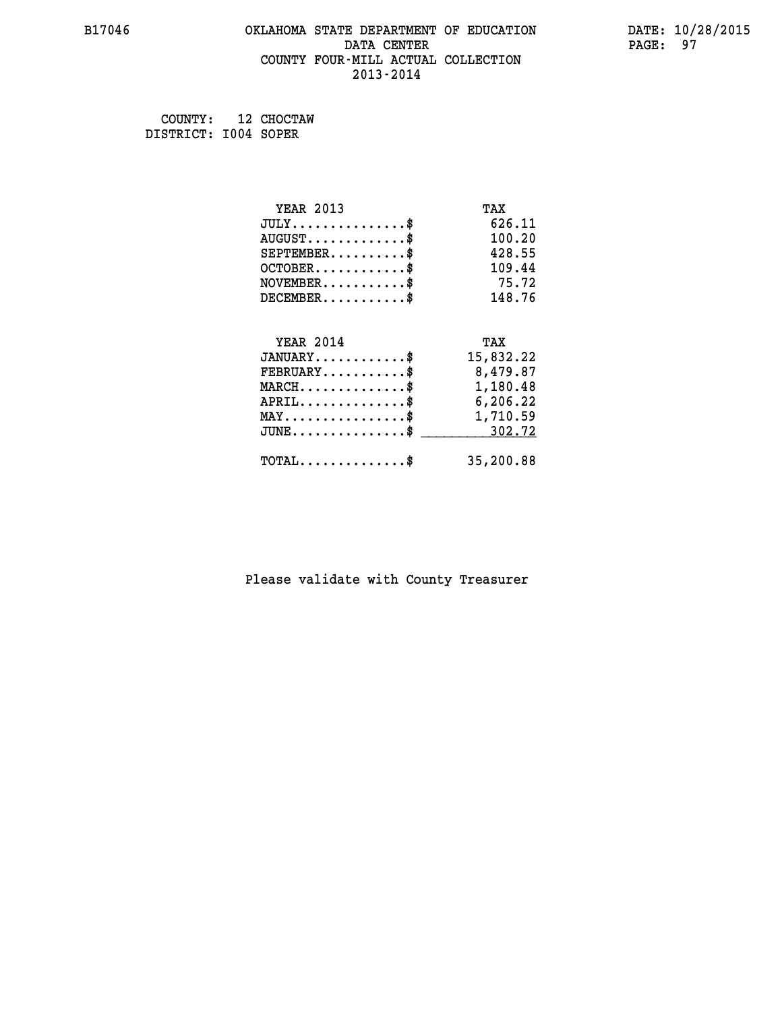### **B17046 OKLAHOMA STATE DEPARTMENT OF EDUCATION DATE: 10/28/2015 DATA CENTER** PAGE: 97  **COUNTY FOUR-MILL ACTUAL COLLECTION 2013-2014**

 **COUNTY: 12 CHOCTAW DISTRICT: I004 SOPER**

| <b>YEAR 2013</b>                                                          | TAX       |
|---------------------------------------------------------------------------|-----------|
| $JULY$ \$                                                                 | 626.11    |
| $AUGUST$ \$                                                               | 100.20    |
| $SEPTEMBER$ \$                                                            | 428.55    |
| $OCTOBER$ \$                                                              | 109.44    |
| $\verb NOVEMBER , \verb , \verb , \verb , \verb , \verb , \verb , \verb $ | 75.72     |
| $DECEMBER$ \$                                                             | 148.76    |
|                                                                           |           |
| <b>YEAR 2014</b>                                                          | TAX       |
| $JANUARY$ \$                                                              | 15,832.22 |
| $FEBRUARY$                                                                | 8,479.87  |
| $\texttt{MARCH}\ldots\ldots\ldots\ldots\text{*}$                          | 1,180.48  |
| $APRIL \ldots \ldots \ldots \ldots \$                                     | 6,206.22  |
| $\texttt{MAX} \dots \dots \dots \dots \dots \$                            | 1,710.59  |
| $JUNE \ldots \ldots \ldots \ldots \ast$                                   | 302.72    |
| $\texttt{TOTAL} \dots \dots \dots \dots$                                  | 35,200.88 |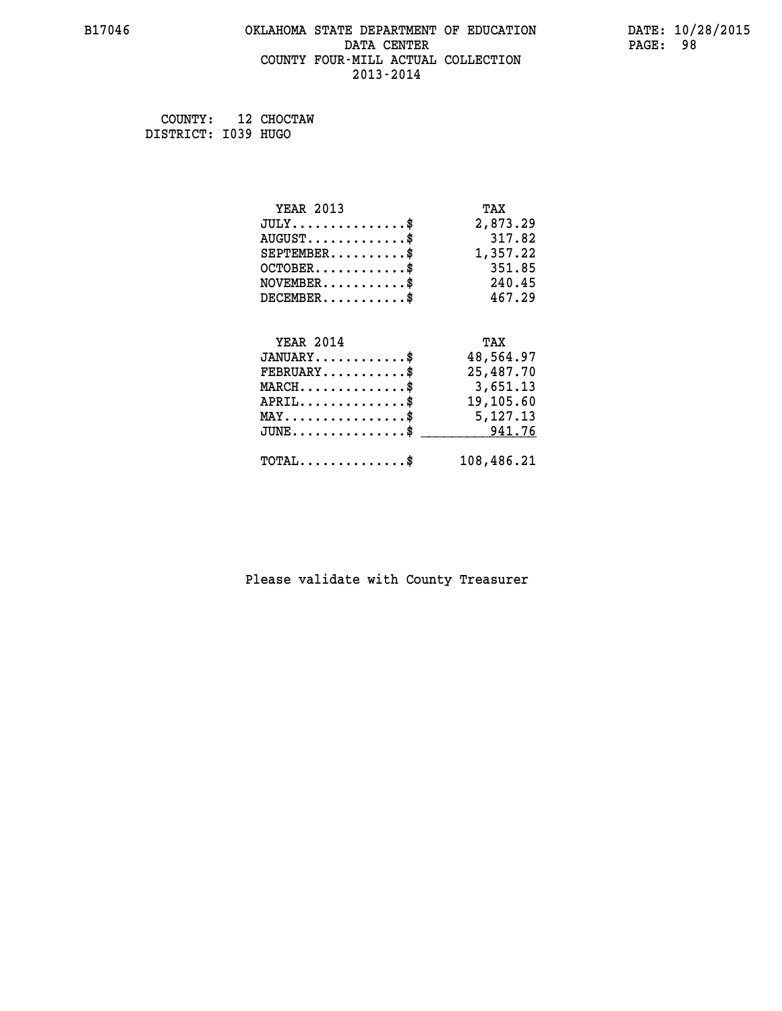### **B17046 OKLAHOMA STATE DEPARTMENT OF EDUCATION DATE: 10/28/2015 DATA CENTER** PAGE: 98  **COUNTY FOUR-MILL ACTUAL COLLECTION 2013-2014**

 **COUNTY: 12 CHOCTAW DISTRICT: I039 HUGO**

| <b>YEAR 2013</b>                                 | TAX        |
|--------------------------------------------------|------------|
| $JULY$ \$                                        | 2,873.29   |
| $AUGUST$ \$                                      | 317.82     |
| $SEPTEMBER$ \$                                   | 1,357.22   |
| $OCTOBER$ \$                                     | 351.85     |
| $\texttt{NOVEMBER} \dots \dots \dots \$          | 240.45     |
| $DECEMBER$ \$                                    | 467.29     |
|                                                  |            |
| <b>YEAR 2014</b>                                 | TAX        |
| $JANUARY$ \$                                     | 48,564.97  |
| $FEBRUARY$ \$                                    | 25,487.70  |
| $MARCH \ldots \ldots \ldots \ldots \$            | 3,651.13   |
| $APRIL$ \$                                       | 19,105.60  |
| $\texttt{MAX} \dots \dots \dots \dots \dots \$   | 5,127.13   |
| $\texttt{JUNE} \dots \dots \dots \dots \dots \$$ | 941.76     |
| $\texttt{TOTAL} \dots \dots \dots \dots \$       | 108,486.21 |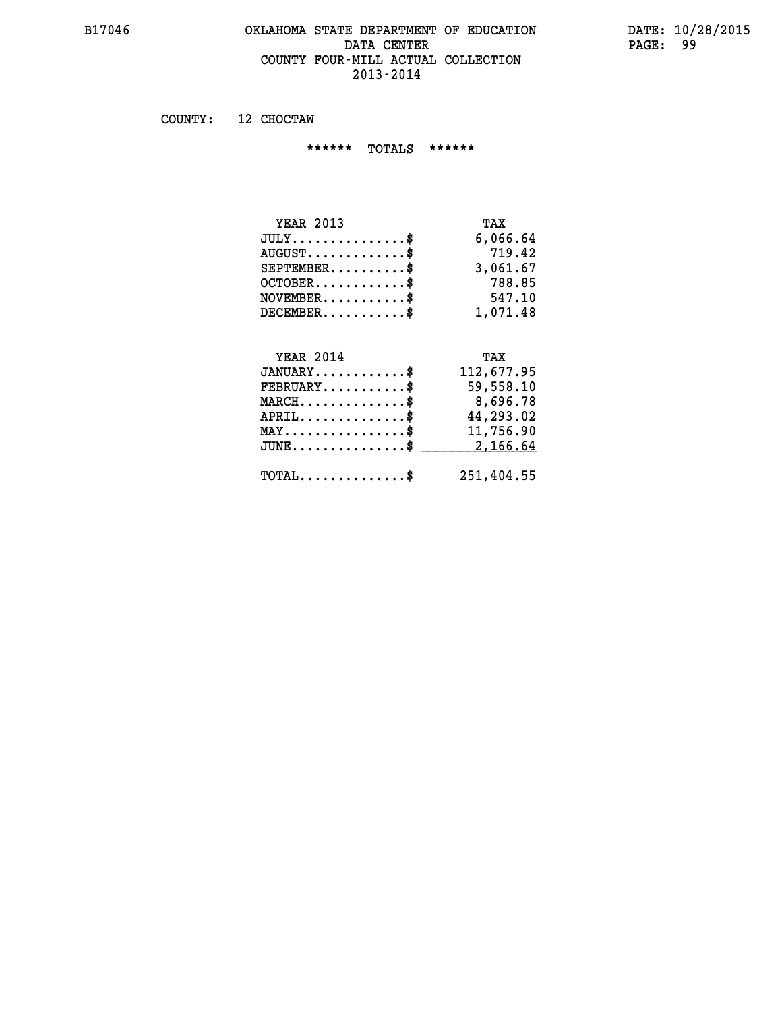### **B17046 OKLAHOMA STATE DEPARTMENT OF EDUCATION DATE: 10/28/2015 DATA CENTER** PAGE: 99  **COUNTY FOUR-MILL ACTUAL COLLECTION 2013-2014**

 **COUNTY: 12 CHOCTAW**

 **\*\*\*\*\*\* TOTALS \*\*\*\*\*\***

| <b>YEAR 2013</b>              | TAX      |
|-------------------------------|----------|
| $JULY \ldots \ldots \ldots \$ | 6,066.64 |
| $AUGUST$                      | 719.42   |
| $SEPTEMBER$                   | 3,061.67 |
| $OCTOBER$ \$                  | 788.85   |
| $NOVEMBER$ $\$                | 547.10   |
| $DECEMBER$ $\$                | 1,071.48 |

#### **YEAR 2014 TAX JANUARY............\$ 112,677.95**

| $FEBRUARY$ \$<br>$MARCH$ \$<br>$APRIL$<br>$\texttt{MAX} \dots \dots \dots \dots \dots \text{*}$<br>$JUNE \dots \dots \dots \dots \$ 2,166.64 | 59,558.10<br>8,696.78<br>44,293.02<br>11,756.90 |
|----------------------------------------------------------------------------------------------------------------------------------------------|-------------------------------------------------|
| $\texttt{TOTAL} \dots \dots \dots \dots \texttt{S}$                                                                                          | 251,404.55                                      |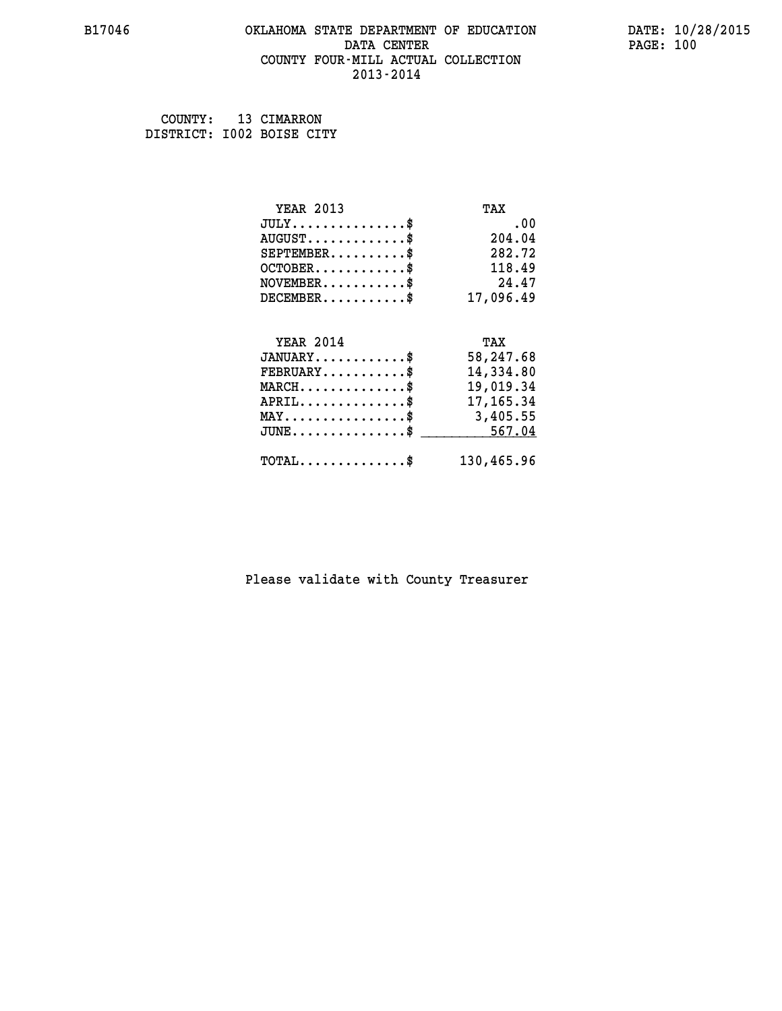### **B17046 OKLAHOMA STATE DEPARTMENT OF EDUCATION DATE: 10/28/2015 DATA CENTER** PAGE: 100  **COUNTY FOUR-MILL ACTUAL COLLECTION 2013-2014**

 **COUNTY: 13 CIMARRON DISTRICT: I002 BOISE CITY**

| <b>YEAR 2013</b>                                 | TAX        |
|--------------------------------------------------|------------|
| $JULY$ \$                                        | .00        |
| $AUGUST$ \$                                      | 204.04     |
| $SEPTEMBER$ \$                                   | 282.72     |
| $OCTOBER$ \$                                     | 118.49     |
| $NOVEMBER.$ \$                                   | 24.47      |
| $DECEMBER$ \$                                    | 17,096.49  |
|                                                  |            |
| <b>YEAR 2014</b>                                 | TAX        |
| $JANUARY$                                        | 58,247.68  |
| $FEBRUARY$                                       | 14,334.80  |
| $\texttt{MARCH}\ldots\ldots\ldots\ldots\cdots\$  | 19,019.34  |
| $APRIL \ldots \ldots \ldots \ldots \$            | 17,165.34  |
| MAY\$ 3,405.55                                   |            |
| $\texttt{JUNE} \dots \dots \dots \dots \dots \$$ | 567.04     |
| $\texttt{TOTAL} \dots \dots \dots \dots \$       | 130,465.96 |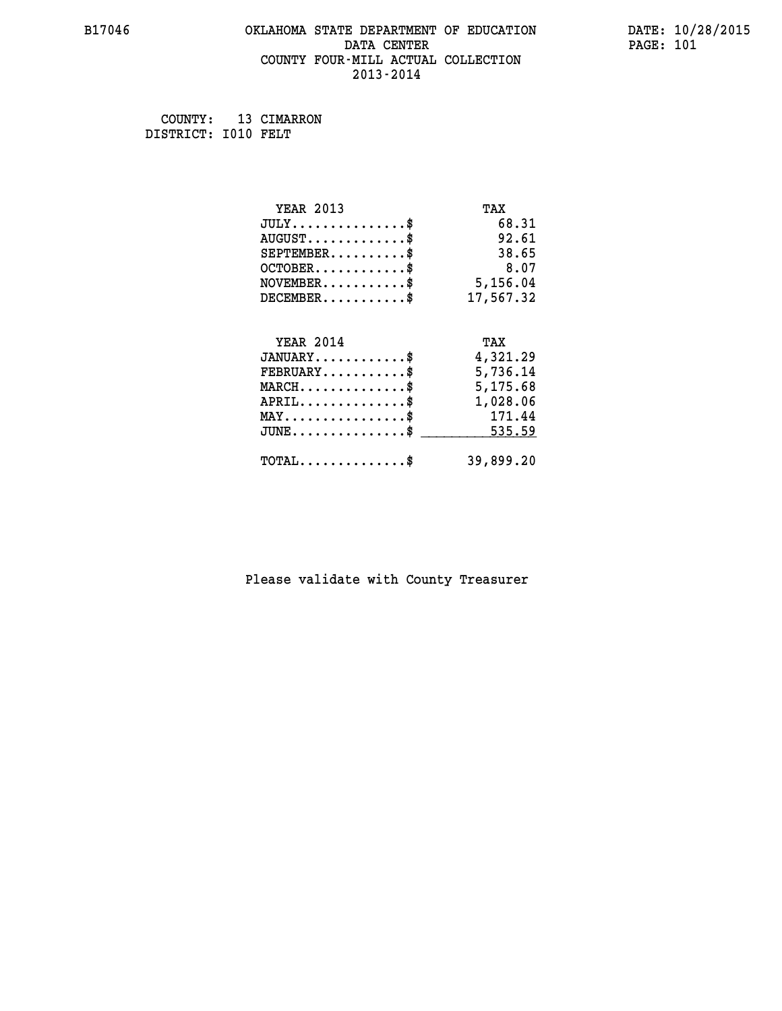### **B17046 OKLAHOMA STATE DEPARTMENT OF EDUCATION DATE: 10/28/2015 DATA CENTER** PAGE: 101  **COUNTY FOUR-MILL ACTUAL COLLECTION 2013-2014**

 **COUNTY: 13 CIMARRON DISTRICT: I010 FELT**

| <b>YEAR 2013</b>                                 | TAX       |
|--------------------------------------------------|-----------|
| $JULY$ \$                                        | 68.31     |
| $AUGUST$ \$                                      | 92.61     |
| $SEPTEMENT.$ \$                                  | 38.65     |
| $OCTOBER$ \$                                     | 8.07      |
| $\texttt{NOVEMBER} \dots \dots \dots \$          | 5,156.04  |
| $DECEMBER$ \$                                    | 17,567.32 |
|                                                  |           |
| <b>YEAR 2014</b>                                 | TAX       |
| $JANUARY$ \$                                     | 4,321.29  |
| $FEBRUARY$                                       | 5,736.14  |
| $\texttt{MARCH}\ldots\ldots\ldots\ldots\text{*}$ | 5,175.68  |
| $APRIL \ldots \ldots \ldots \ldots$              | 1,028.06  |
| $\texttt{MAX} \dots \dots \dots \dots \dots \$   | 171.44    |
| $JUNE$ \$                                        | 535.59    |
| $\texttt{TOTAL} \dots \dots \dots \dots \$       | 39,899.20 |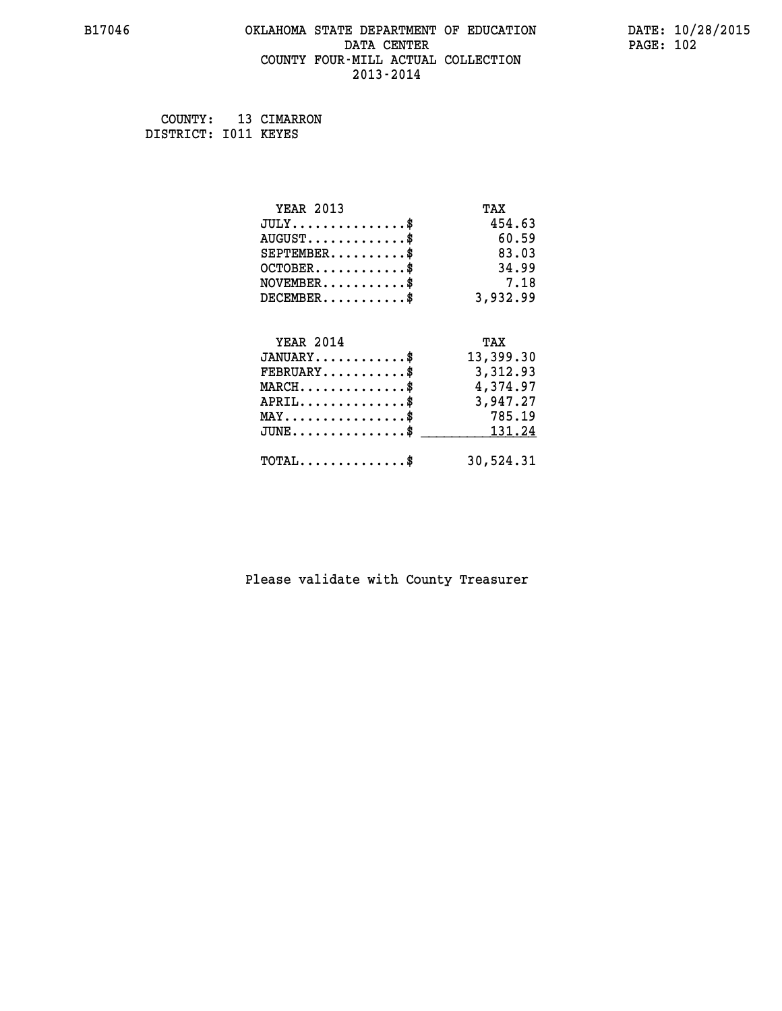### **B17046 OKLAHOMA STATE DEPARTMENT OF EDUCATION DATE: 10/28/2015 DATA CENTER** PAGE: 102  **COUNTY FOUR-MILL ACTUAL COLLECTION 2013-2014**

 **COUNTY: 13 CIMARRON DISTRICT: I011 KEYES**

| <b>YEAR 2013</b>                                 | TAX       |
|--------------------------------------------------|-----------|
| $JULY$ \$                                        | 454.63    |
| $AUGUST$ \$                                      | 60.59     |
| $SEPTEMBER$ \$                                   | 83.03     |
| $OCTOBER$ \$                                     | 34.99     |
| $\texttt{NOVEMBER} \dots \dots \dots \$          | 7.18      |
| $DECEMBER$ \$                                    | 3,932.99  |
|                                                  |           |
| <b>YEAR 2014</b>                                 | TAX       |
| $JANUARY$ \$                                     | 13,399.30 |
| $FEBRUARY$                                       | 3,312.93  |
| $MARCH$ \$                                       | 4,374.97  |
| $APRIL$ \$                                       | 3,947.27  |
| $MAX \dots \dots \dots \dots \dots$              | 785.19    |
| $\texttt{JUNE} \dots \dots \dots \dots \dots \$$ | 131.24    |
| $\texttt{TOTAL} \dots \dots \dots \dots \$       | 30,524.31 |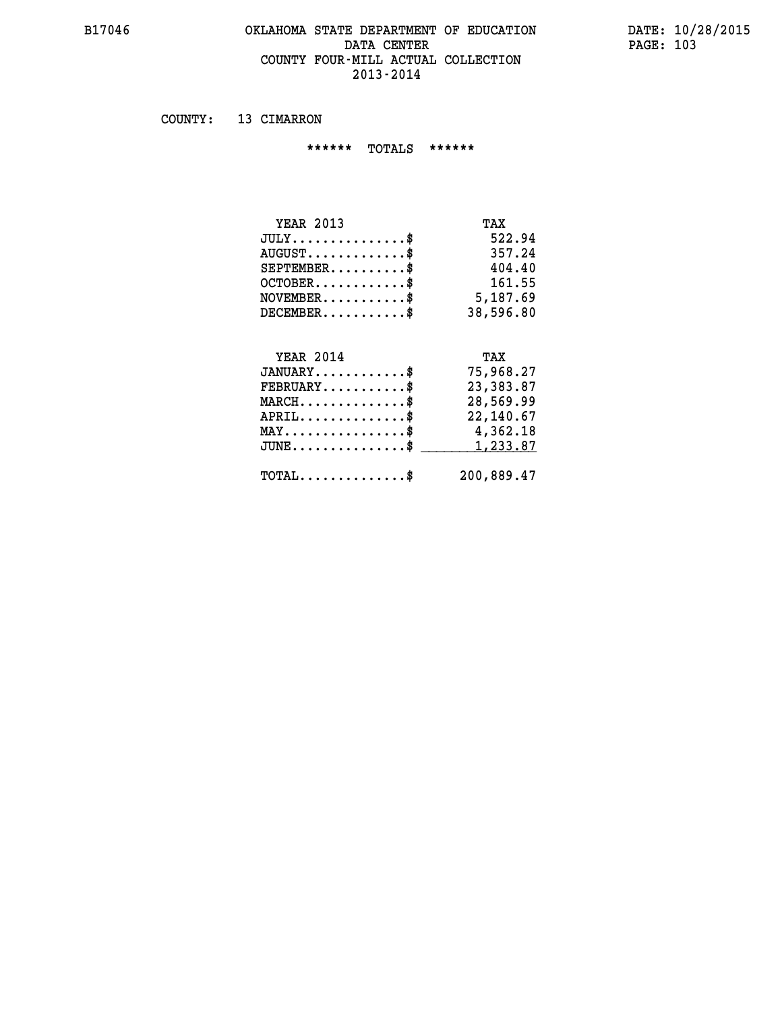### **B17046 OKLAHOMA STATE DEPARTMENT OF EDUCATION DATE: 10/28/2015 DATA CENTER PAGE: 103 COUNTY FOUR-MILL ACTUAL COLLECTION 2013-2014**

 **COUNTY: 13 CIMARRON**

 **\*\*\*\*\*\* TOTALS \*\*\*\*\*\***

| $JULY$          | 522.94    |
|-----------------|-----------|
| $AUGUST$ \$     | 357.24    |
| $SEPTEMENT.$ \$ | 404.40    |
| $OCTOBER$ \$    | 161.55    |
| $NOVEMBER$ \$   | 5,187.69  |
| $DECEMBER$ \$   | 38,596.80 |
|                 |           |

# **YEAR 2014 TAX JANUARY............\$ 75,968.27 FEBRUARY...........\$ 23,383.87 MARCH..............\$ 28,569.99 APRIL..............\$ 22,140.67 MAY................\$ 4,362.18 JUNE................\$** <u>\_\_\_\_\_\_\_\_\_ 1,233.87</u>  **TOTAL..............\$ 200,889.47**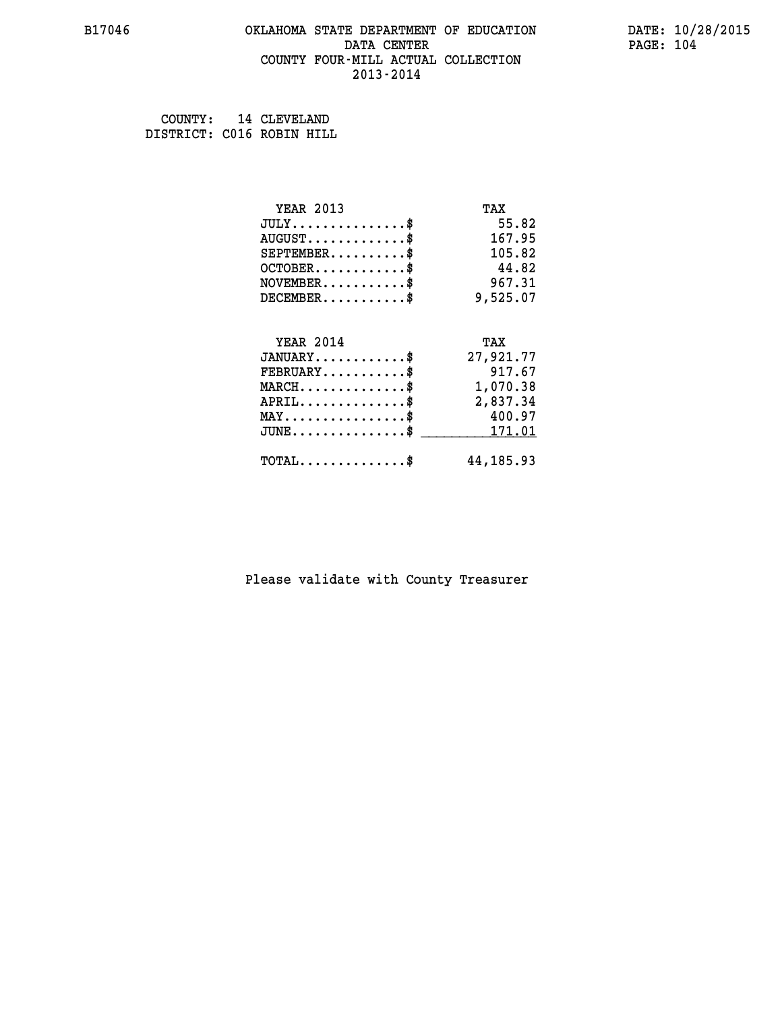### **B17046 OKLAHOMA STATE DEPARTMENT OF EDUCATION DATE: 10/28/2015 DATA CENTER** PAGE: 104  **COUNTY FOUR-MILL ACTUAL COLLECTION 2013-2014**

 **COUNTY: 14 CLEVELAND DISTRICT: C016 ROBIN HILL**

| <b>YEAR 2013</b>                               | TAX         |
|------------------------------------------------|-------------|
| $JULY$ \$                                      | 55.82       |
| $AUGUST$ \$                                    | 167.95      |
| $SEPTEMENT.$ \$                                | 105.82      |
| $OCTOBER$ \$                                   | 44.82       |
| $NOVEMBER$ \$                                  | 967.31      |
| $DECEMBER$ \$                                  | 9,525.07    |
| <b>YEAR 2014</b>                               | TAX         |
| $JANUARY$ \$                                   | 27,921.77   |
| $FEBRUARY$ \$                                  | 917.67      |
| $MARCH \ldots \ldots \ldots \ldots$            | 1,070.38    |
| $APRIL$ \$                                     | 2,837.34    |
| $\texttt{MAX} \dots \dots \dots \dots \dots \$ | 400.97      |
| $JUNE$ \$                                      | 171.01      |
| $\texttt{TOTAL} \dots \dots \dots \dots \$     | 44, 185. 93 |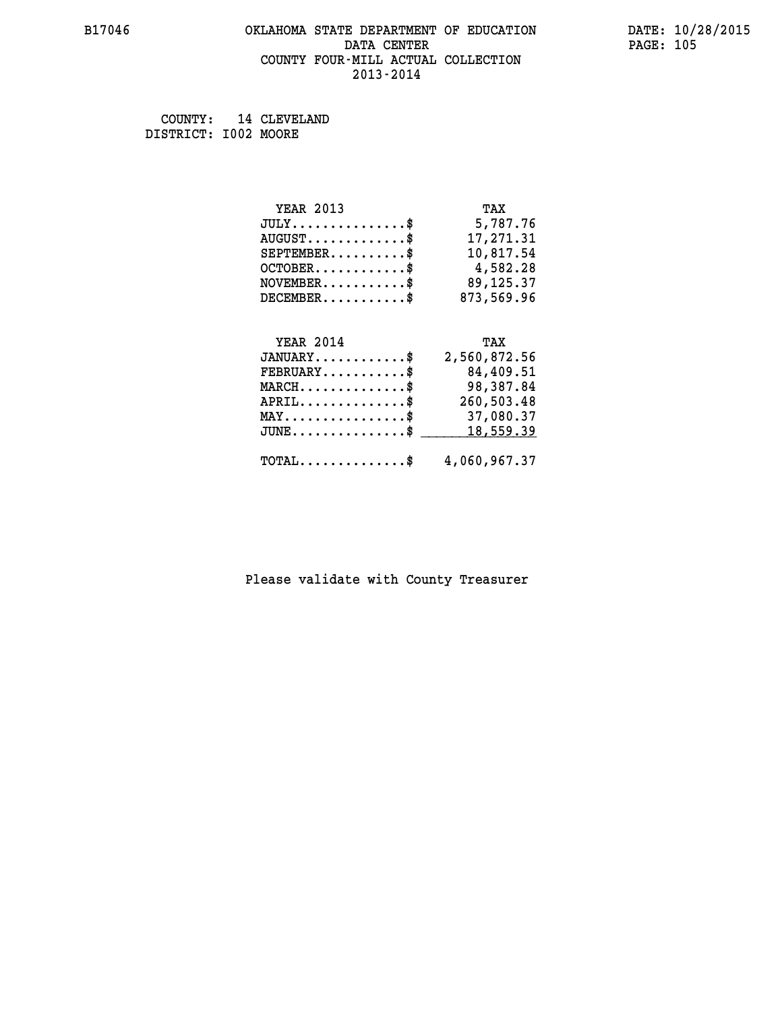### **B17046 OKLAHOMA STATE DEPARTMENT OF EDUCATION DATE: 10/28/2015** DATA CENTER PAGE: 105  **COUNTY FOUR-MILL ACTUAL COLLECTION 2013-2014**

 **COUNTY: 14 CLEVELAND DISTRICT: I002 MOORE**

| <b>YEAR 2013</b>                            | TAX          |
|---------------------------------------------|--------------|
| $JULY$ \$                                   | 5,787.76     |
| $\texttt{AUGUST} \dots \dots \dots \dots \$ | 17,271.31    |
| $SEPTEMBER$ \$                              | 10,817.54    |
| $OCTOBER$ \$                                | 4,582.28     |
| $NOVEMBER$ \$                               | 89, 125. 37  |
| $DECEMBER$ \$                               | 873,569.96   |
| <b>YEAR 2014</b>                            | TAX          |
| $JANUARY$ \$                                | 2,560,872.56 |
| $FEBRUARY$                                  | 84,409.51    |

| $\texttt{FEBRUARY} \dots \dots \dots \$                  | 84,409.51                                               |
|----------------------------------------------------------|---------------------------------------------------------|
| $MARCH$ \$                                               | 98,387.84                                               |
| $APRIL$ \$                                               | 260,503.48                                              |
| $\texttt{MAX} \dots \dots \dots \dots \dots \texttt{\$}$ | 37,080.37                                               |
|                                                          | $JUNE \dots \dots \dots \dots \$ 18,559.39              |
|                                                          | $\texttt{TOTAL} \dots \dots \dots \dots \$ 4,060,967.37 |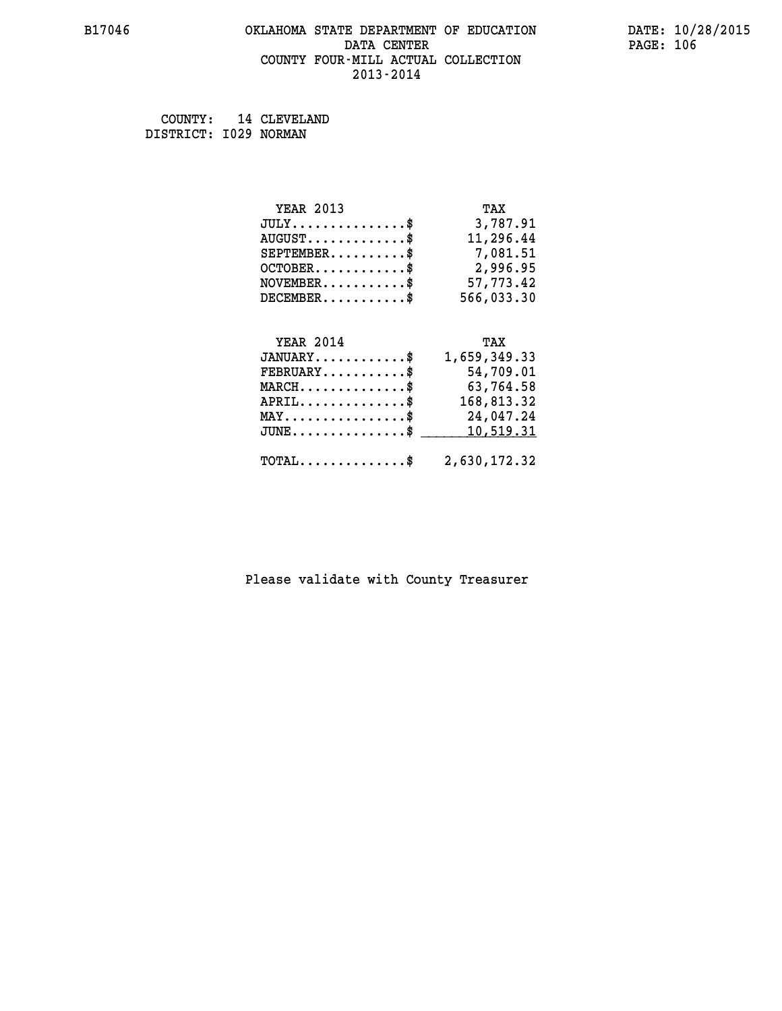### **B17046 OKLAHOMA STATE DEPARTMENT OF EDUCATION DATE: 10/28/2015 DATA CENTER** PAGE: 106  **COUNTY FOUR-MILL ACTUAL COLLECTION 2013-2014**

 **COUNTY: 14 CLEVELAND DISTRICT: I029 NORMAN**

| <b>YEAR 2013</b> | TAX        |
|------------------|------------|
| JULY             | 3,787.91   |
| $AUGUST$         | 11,296.44  |
| $SEPTEMBER$      | 7,081.51   |
| $OCTOBER$ \$     | 2,996.95   |
| $NOVEMBER$ \$    | 57,773.42  |
| $DECEMBER$ \$    | 566,033.30 |
|                  |            |
|                  |            |

| <b>YEAR 2014</b>                                        | TAX          |
|---------------------------------------------------------|--------------|
| $JANUARY$ \$                                            | 1,659,349.33 |
| $\texttt{FEBRUARY} \dots \dots \dots \$                 | 54,709.01    |
| $MARCH$ \$                                              | 63,764.58    |
| $APRIL$ \$                                              | 168,813.32   |
| $MAX \dots \dots \dots \dots \$                         | 24,047.24    |
| JUNE\$ 10,519.31                                        |              |
| $\texttt{TOTAL} \dots \dots \dots \dots \$ 2,630,172.32 |              |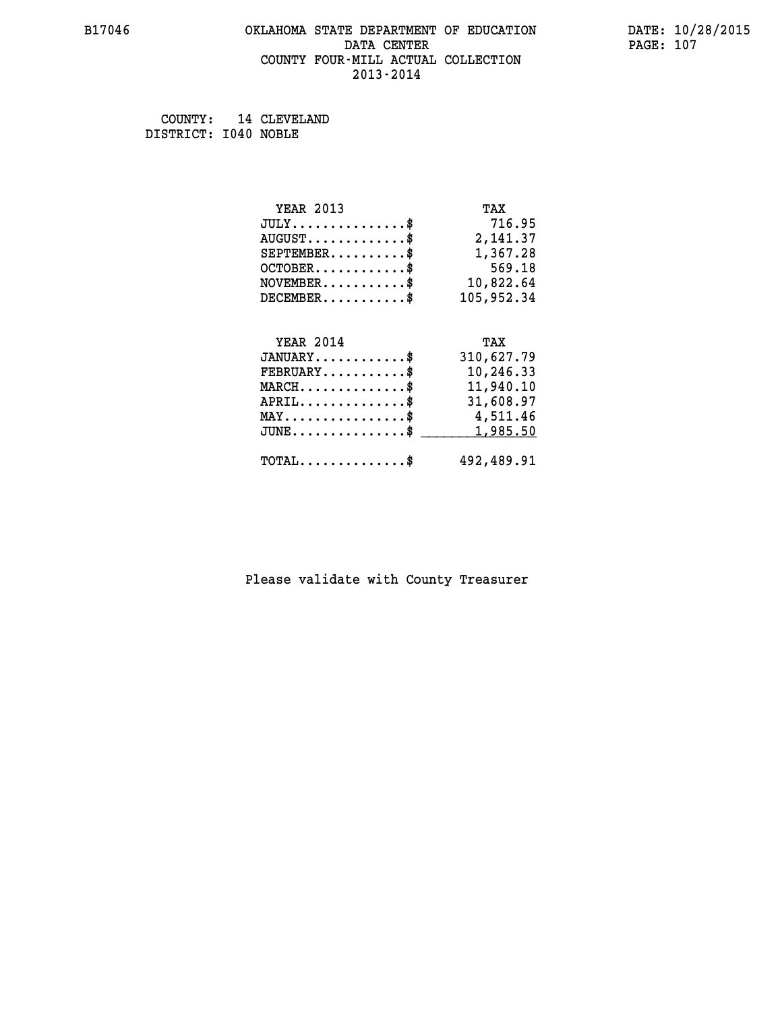### **B17046 OKLAHOMA STATE DEPARTMENT OF EDUCATION DATE: 10/28/2015 DATA CENTER** PAGE: 107  **COUNTY FOUR-MILL ACTUAL COLLECTION 2013-2014**

 **COUNTY: 14 CLEVELAND DISTRICT: I040 NOBLE**

| <b>YEAR 2013</b>                                 | TAX        |
|--------------------------------------------------|------------|
| $JULY$ \$                                        | 716.95     |
| $AUGUST$ \$                                      | 2,141.37   |
| $SEPTEMBER$ \$                                   | 1,367.28   |
| $OCTOBER$ \$                                     | 569.18     |
| $\texttt{NOVEMBER} \dots \dots \dots \$          | 10,822.64  |
| $DECEMBER$ \$                                    | 105,952.34 |
|                                                  |            |
| <b>YEAR 2014</b>                                 | TAX        |
| $JANUARY$ \$                                     | 310,627.79 |
| $FEBRUARY$                                       | 10,246.33  |
| $\texttt{MARCH}\ldots\ldots\ldots\ldots\$        | 11,940.10  |
| $APRIL \ldots \ldots \ldots \ldots$ \$           | 31,608.97  |
| MAY\$ 4,511.46                                   |            |
| $\texttt{JUNE} \dots \dots \dots \dots \dots \$$ | 1,985.50   |
| $\texttt{TOTAL} \dots \dots \dots \dots \$       | 492,489.91 |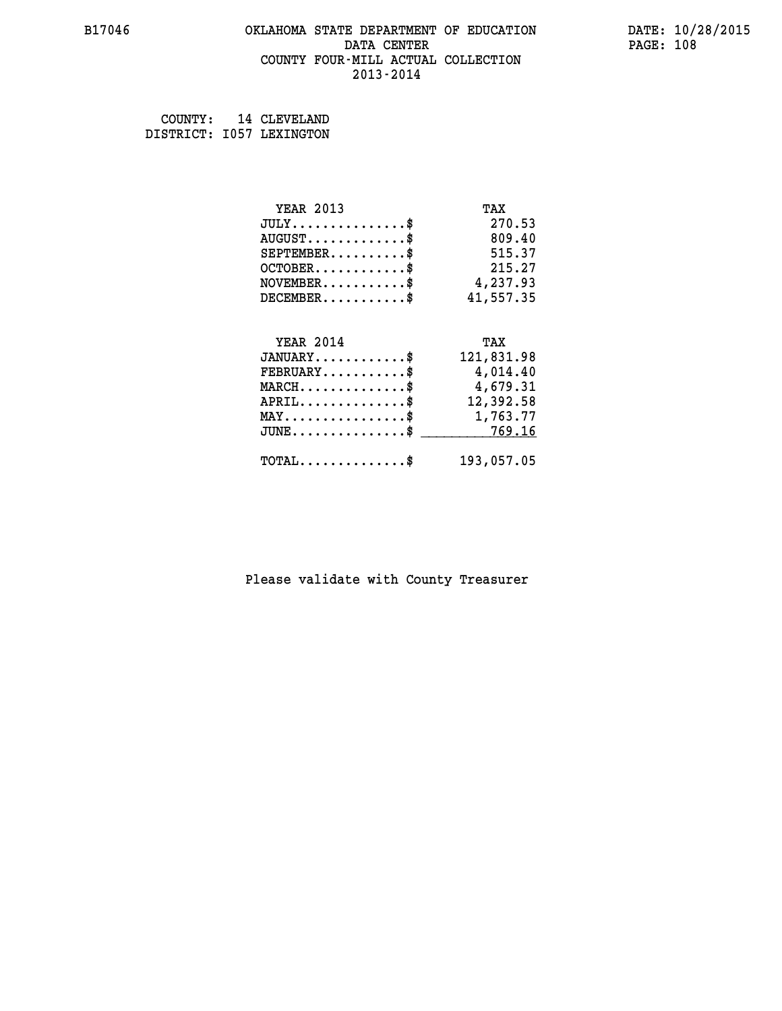### **B17046 OKLAHOMA STATE DEPARTMENT OF EDUCATION DATE: 10/28/2015 DATA CENTER** PAGE: 108  **COUNTY FOUR-MILL ACTUAL COLLECTION 2013-2014**

| COUNTY: | 14 CLEVELAND             |
|---------|--------------------------|
|         | DISTRICT: 1057 LEXINGTON |

| <b>YEAR 2013</b>                                                 | TAX        |
|------------------------------------------------------------------|------------|
| $JULY$ \$                                                        | 270.53     |
| $AUGUST$ \$                                                      | 809.40     |
| $SEPTEMBER$ \$                                                   | 515.37     |
| $OCTOBER$ \$                                                     | 215.27     |
| $NOVEMBER.$ \$                                                   | 4,237.93   |
| $DECEMBER$ \$                                                    | 41,557.35  |
|                                                                  |            |
| <b>YEAR 2014</b>                                                 | TAX        |
| $JANUARY$ \$                                                     | 121,831.98 |
| $FEBRUARY$ \$                                                    | 4,014.40   |
| $\texttt{MARCH}\ldots\ldots\ldots\ldots\footnotesize \texttt{*}$ | 4,679.31   |
| $APRIL \ldots \ldots \ldots \ldots$                              | 12,392.58  |
| MAY\$ 1,763.77                                                   |            |
| $\texttt{JUNE} \dots \dots \dots \dots \texttt{S}$               | 769.16     |
| $\texttt{TOTAL} \dots \dots \dots \dots \$                       | 193,057.05 |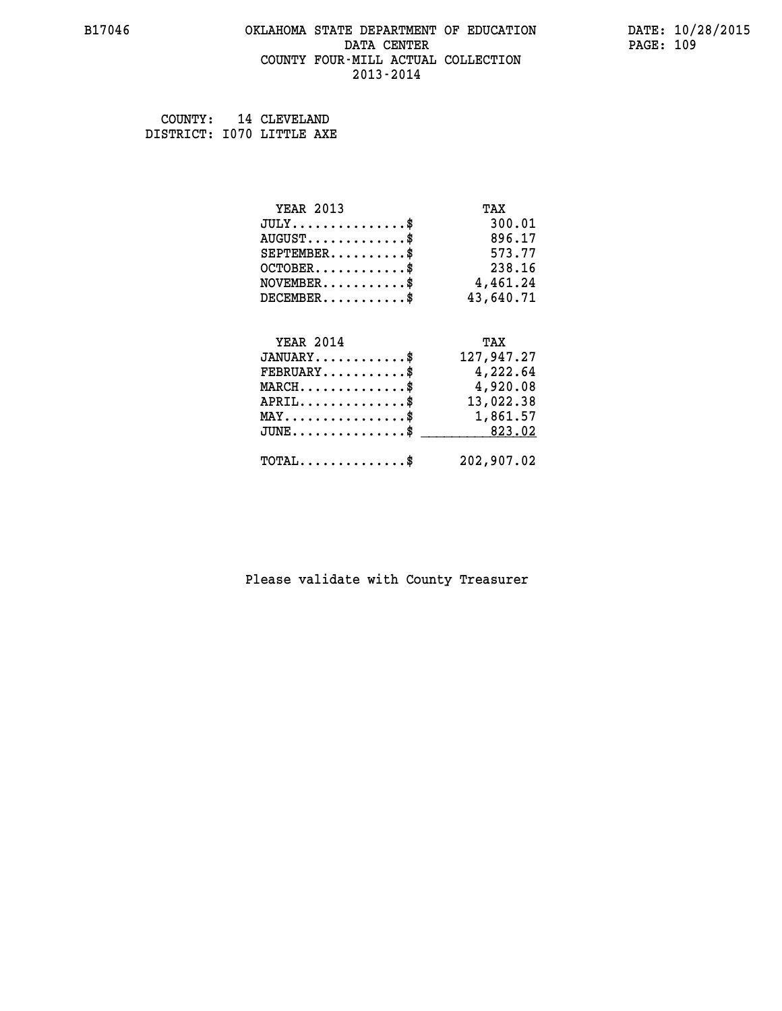#### **B17046 OKLAHOMA STATE DEPARTMENT OF EDUCATION DATE: 10/28/2015 DATA CENTER** PAGE: 109  **COUNTY FOUR-MILL ACTUAL COLLECTION 2013-2014**

 **COUNTY: 14 CLEVELAND DISTRICT: I070 LITTLE AXE**

| <b>YEAR 2013</b>                        | TAX        |
|-----------------------------------------|------------|
| $JULY$ \$                               | 300.01     |
| $AUGUST$ \$                             | 896.17     |
| $SEPTEMBER$ \$                          | 573.77     |
| $OCTOBER$ \$                            | 238.16     |
| $\texttt{NOVEMBER} \dots \dots \dots \$ | 4,461.24   |
| $DECEMBER$ \$                           | 43,640.71  |
|                                         |            |
| <b>YEAR 2014</b>                        | TAX        |
| $JANUARY$ \$                            | 127,947.27 |
| $FEBRUARY$                              | 4,222.64   |
| $MARCH$ \$                              | 4,920.08   |
| $APRIL$ \$                              | 13,022.38  |
| MAY\$ 1,861.57                          |            |
| $JUNE \ldots \ldots \ldots \ldots \ast$ | 823.02     |
|                                         |            |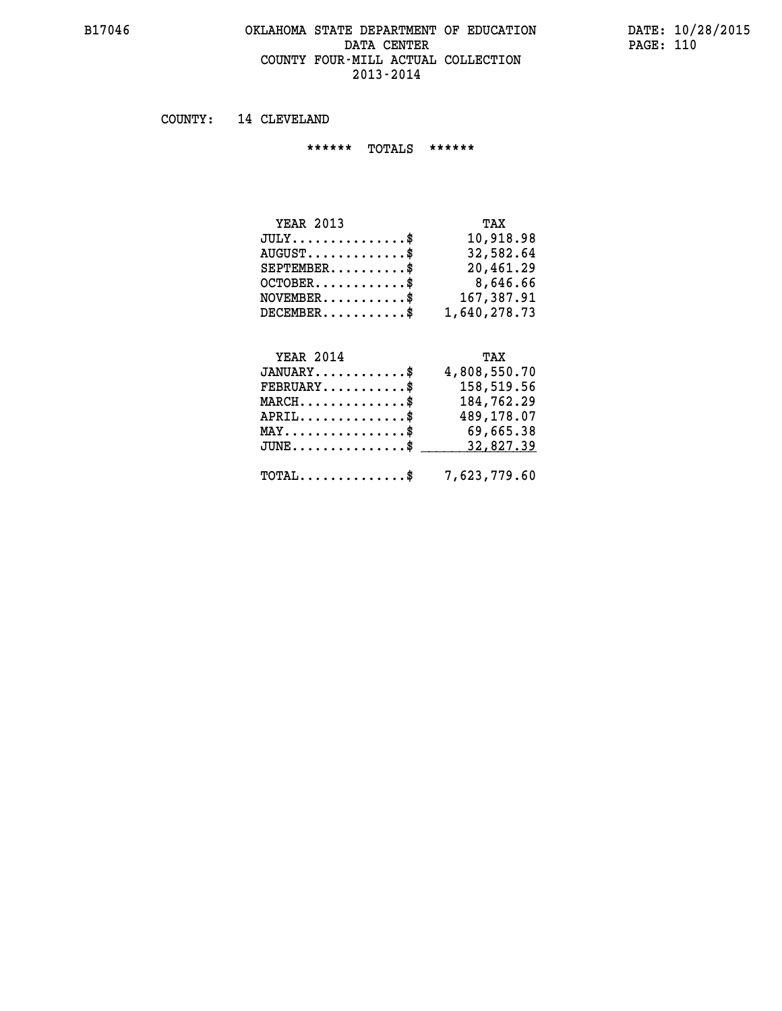#### **B17046 OKLAHOMA STATE DEPARTMENT OF EDUCATION DATE: 10/28/2015 DATA CENTER** PAGE: 110  **COUNTY FOUR-MILL ACTUAL COLLECTION 2013-2014**

 **COUNTY: 14 CLEVELAND**

 **\*\*\*\*\*\* TOTALS \*\*\*\*\*\***

| <b>YEAR 2013</b>        | TAX          |
|-------------------------|--------------|
| $JULY$                  | 10,918.98    |
| $AUGUST$ \$             | 32,582.64    |
| $SEPTEMBER$ $\$         | 20,461.29    |
| $OCTOBER$ $\frac{1}{2}$ | 8,646.66     |
| $NOVEMENTER$ \$         | 167,387.91   |
| $DECEMBER$              | 1,640,278.73 |

#### **YEAR 2014 TAX**

| $JANUARY$ \$                                            | 4,808,550.70 |
|---------------------------------------------------------|--------------|
| $\texttt{FEBRUARY} \dots \dots \dots \$                 | 158,519.56   |
| $MARCH$ \$                                              | 184,762.29   |
| $APRIL$ \$                                              | 489,178.07   |
| $\texttt{MAX} \dots \dots \dots \dots \texttt{S}$       | 69,665.38    |
| JUNE\$ 32,827.39                                        |              |
| $\texttt{TOTAL} \dots \dots \dots \dots \$ 7,623,779.60 |              |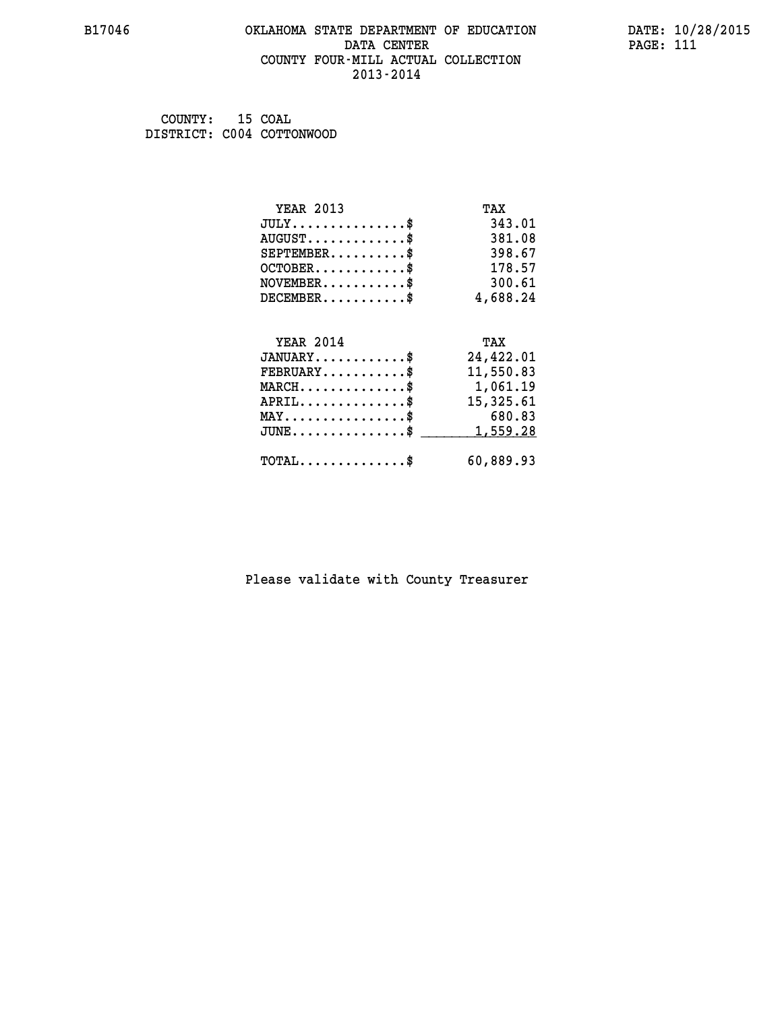#### **B17046 OKLAHOMA STATE DEPARTMENT OF EDUCATION DATE: 10/28/2015 DATA CENTER** PAGE: 111  **COUNTY FOUR-MILL ACTUAL COLLECTION 2013-2014**

| COUNTY: | 15 COAL                   |
|---------|---------------------------|
|         | DISTRICT: C004 COTTONWOOD |

| <b>YEAR 2013</b>                               | TAX       |
|------------------------------------------------|-----------|
| $JULY$ \$                                      | 343.01    |
| $AUGUST$ \$                                    | 381.08    |
| $SEPTEMENT.$ \$                                | 398.67    |
| $OCTOBER$ \$                                   | 178.57    |
| $\texttt{NOVEMBER} \dots \dots \dots \$        | 300.61    |
| $DECEMBER$ \$                                  | 4,688.24  |
|                                                |           |
| <b>YEAR 2014</b>                               | TAX       |
| $JANUARY$ \$                                   | 24,422.01 |
| $FEBRUARY$                                     | 11,550.83 |
| $MARCH$ \$                                     | 1,061.19  |
| $APRIL$ \$                                     | 15,325.61 |
| $\texttt{MAX} \dots \dots \dots \dots \dots \$ | 680.83    |
| $JUNE$ \$                                      | 1,559.28  |
| $\texttt{TOTAL} \dots \dots \dots \dots \$     | 60,889.93 |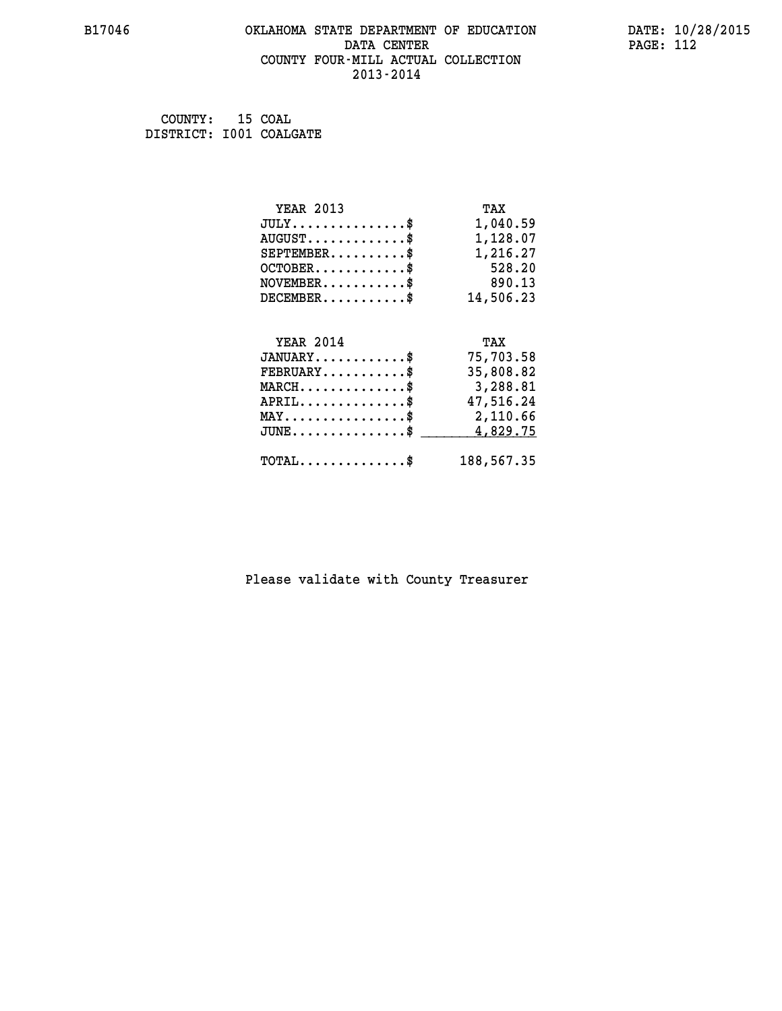#### **B17046 OKLAHOMA STATE DEPARTMENT OF EDUCATION DATE: 10/28/2015 DATA CENTER** PAGE: 112  **COUNTY FOUR-MILL ACTUAL COLLECTION 2013-2014**

 **COUNTY: 15 COAL DISTRICT: I001 COALGATE**

| <b>YEAR 2013</b>                                 | TAX        |
|--------------------------------------------------|------------|
| $JULY$ \$                                        | 1,040.59   |
| $AUGUST$ \$                                      | 1,128.07   |
| $SEPTEMBER$ \$                                   | 1,216.27   |
| $OCTOBER$ \$                                     | 528.20     |
| $\texttt{NOVEMBER} \dots \dots \dots \$          | 890.13     |
| $DECEMBER$ \$                                    | 14,506.23  |
|                                                  |            |
| <b>YEAR 2014</b>                                 | TAX        |
| $JANUARY$ \$                                     | 75,703.58  |
| $FEBRUARY$                                       | 35,808.82  |
| MARCH\$ 3,288.81                                 |            |
| $APRIL \ldots \ldots \ldots \ldots$              | 47,516.24  |
| $\texttt{MAX} \dots \dots \dots \dots \dots \$   | 2,110.66   |
| $\texttt{JUNE} \dots \dots \dots \dots \dots \$$ | 4,829.75   |
| $\texttt{TOTAL} \dots \dots \dots \dots \$       | 188,567.35 |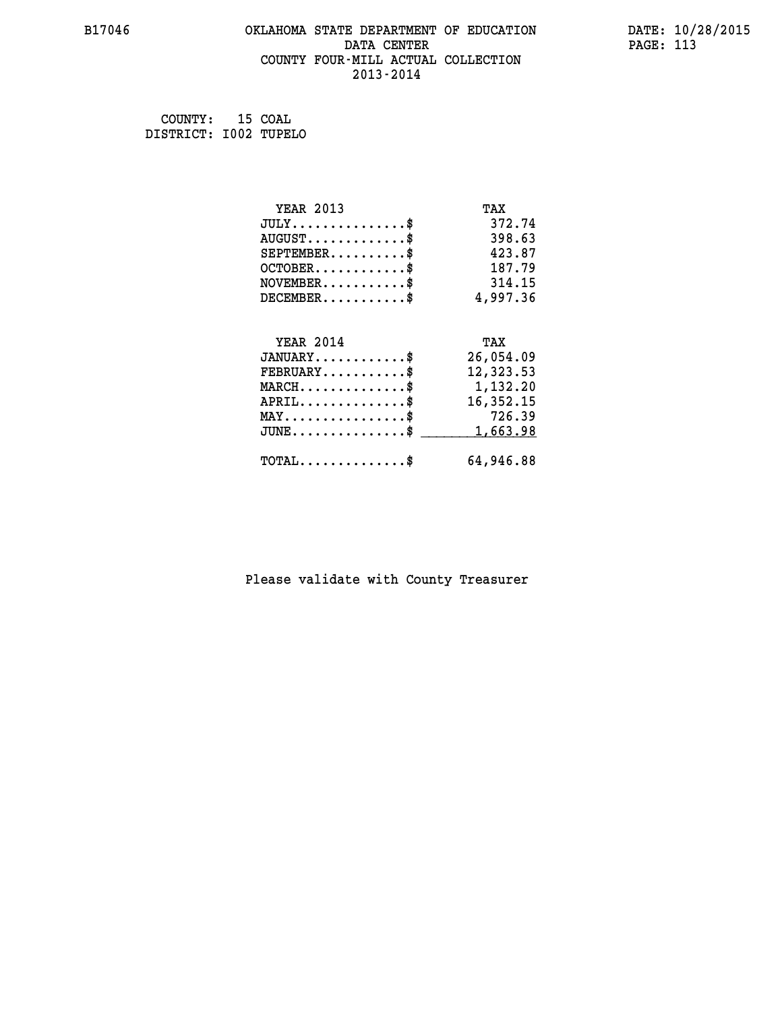#### **B17046 OKLAHOMA STATE DEPARTMENT OF EDUCATION DATE: 10/28/2015 DATA CENTER** PAGE: 113  **COUNTY FOUR-MILL ACTUAL COLLECTION 2013-2014**

 **COUNTY: 15 COAL DISTRICT: I002 TUPELO**

| <b>YEAR 2013</b>                           | TAX       |
|--------------------------------------------|-----------|
| $JULY$ \$                                  | 372.74    |
| $AUGUST$ \$                                | 398.63    |
| $SEPTEMBER$ \$                             | 423.87    |
| $OCTOBER$ \$                               | 187.79    |
| $\texttt{NOVEMBER} \dots \dots \dots \$    | 314.15    |
| $DECEMBER$ \$                              | 4,997.36  |
|                                            |           |
| <b>YEAR 2014</b>                           | TAX       |
| $JANUARY$ \$                               | 26,054.09 |
| $FEBRUARY$                                 | 12,323.53 |
| $MARCH$ \$                                 | 1,132.20  |
| $APRIL$ \$                                 | 16,352.15 |
| $MAX \dots \dots \dots \dots \dots$        | 726.39    |
| $JUNE$ \$                                  | 1,663.98  |
| $\texttt{TOTAL} \dots \dots \dots \dots \$ | 64,946.88 |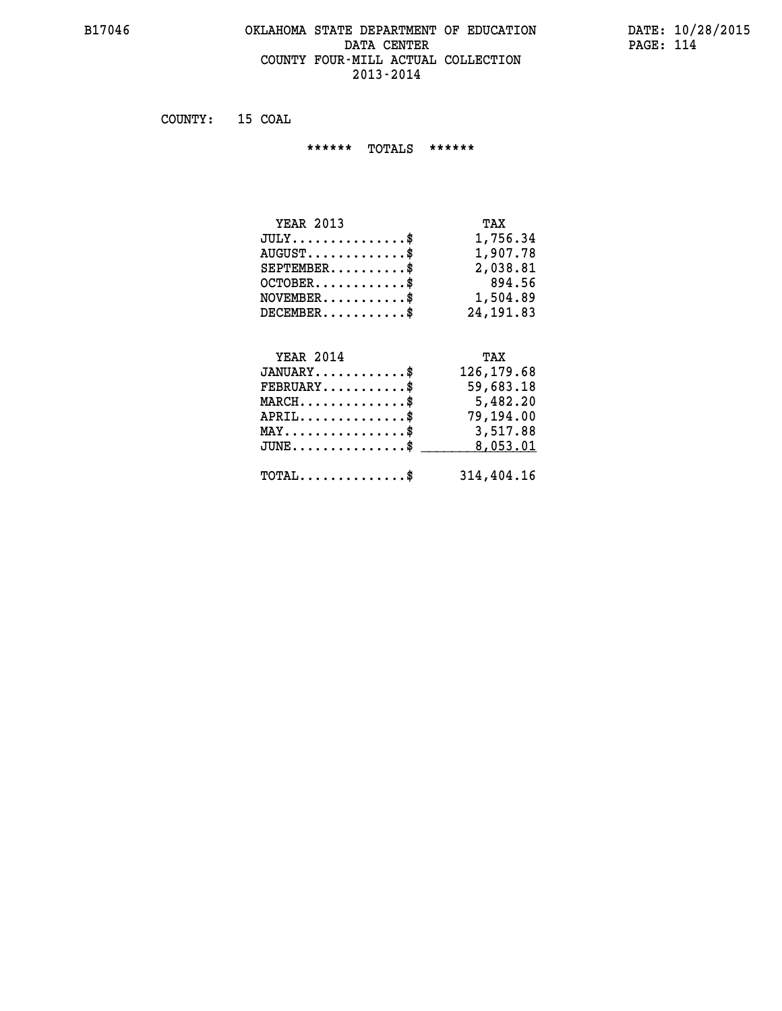#### **B17046 OKLAHOMA STATE DEPARTMENT OF EDUCATION DATE: 10/28/2015 DATA CENTER PAGE: 114 COUNTY FOUR-MILL ACTUAL COLLECTION 2013-2014**

 **COUNTY: 15 COAL**

 **\*\*\*\*\*\* TOTALS \*\*\*\*\*\***

| <b>YEAR 2013</b> | TAX        |
|------------------|------------|
| $JULY$           | 1,756.34   |
| $AUGUST$         | 1,907.78   |
| $SEPTEMBER$ $\$  | 2,038.81   |
| $OCTOBER$ \$     | 894.56     |
| $NOVEMBER$ \$    | 1,504.89   |
| $DECEMBER$       | 24, 191.83 |

## **YEAR 2014 TAX JANUARY............\$ 126,179.68 FEBRUARY...........\$ 59,683.18 MARCH..............\$ 5,482.20 APRIL..............\$ 79,194.00 MAY................\$ 3,517.88 JUNE................\$** \_\_\_\_\_\_\_\_\_ 8,053.01

 **TOTAL..............\$ 314,404.16**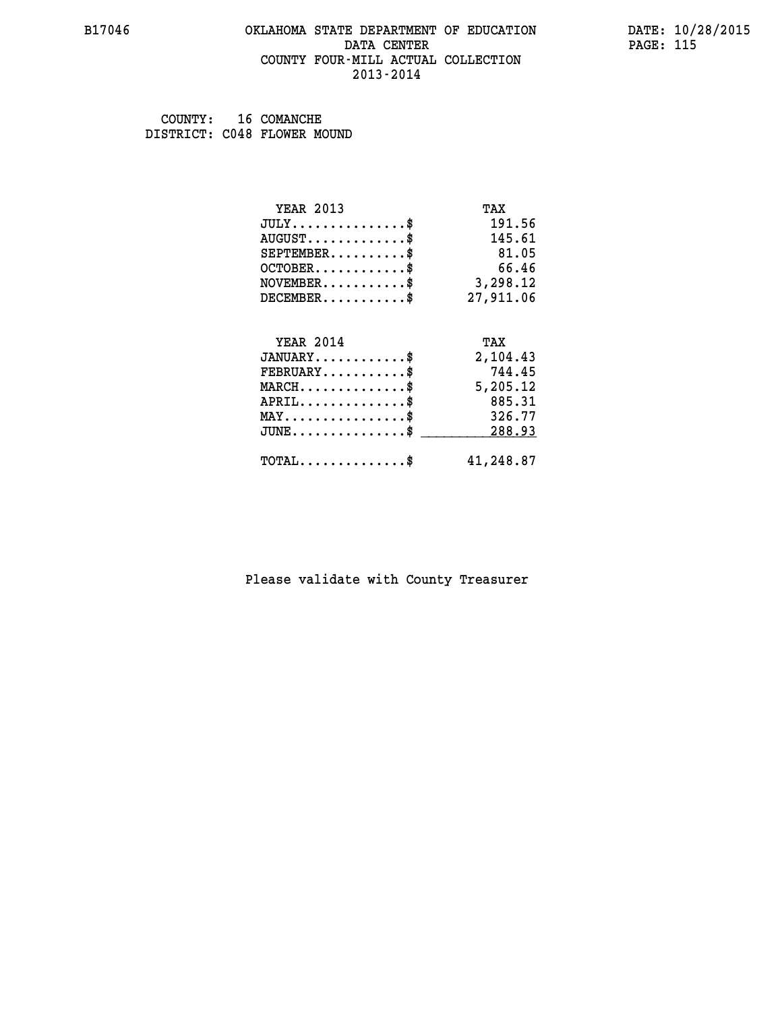#### **B17046 OKLAHOMA STATE DEPARTMENT OF EDUCATION DATE: 10/28/2015 DATA CENTER** PAGE: 115  **COUNTY FOUR-MILL ACTUAL COLLECTION 2013-2014**

 **COUNTY: 16 COMANCHE DISTRICT: C048 FLOWER MOUND**

| <b>YEAR 2013</b>                    | TAX       |
|-------------------------------------|-----------|
| $JULY$ \$                           | 191.56    |
| $AUGUST$ \$                         | 145.61    |
| $SEPTEMBER$                         | 81.05     |
| $OCTOBER$ \$                        | 66.46     |
| $NOVEMBER$ \$                       | 3,298.12  |
| $DECEMBER$ \$                       | 27,911.06 |
|                                     |           |
| <b>YEAR 2014</b>                    | TAX       |
| $JANUARY$                           | 2,104.43  |
| $FEBRUARY$                          | 744.45    |
| $MARCH$ \$                          | 5,205.12  |
| $APRIL$ \$                          | 885.31    |
|                                     |           |
| $MAX \dots \dots \dots \dots \dots$ | 326.77    |
| $JUNE$ \$                           | 288.93    |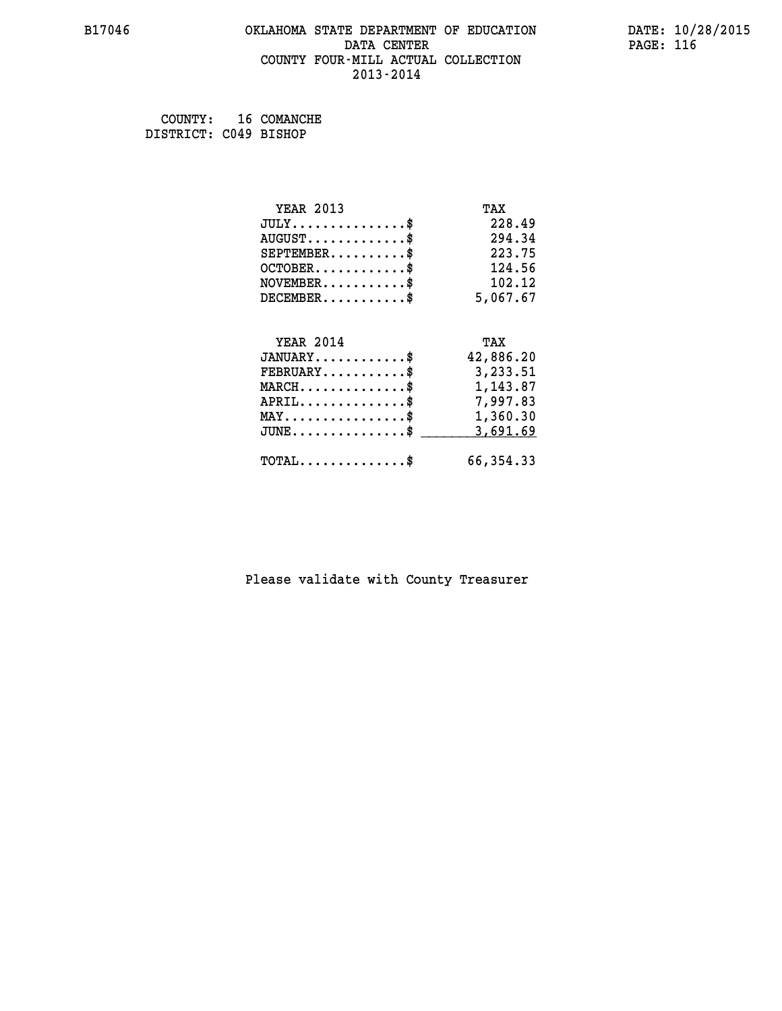#### **B17046 OKLAHOMA STATE DEPARTMENT OF EDUCATION DATE: 10/28/2015 DATA CENTER** PAGE: 116  **COUNTY FOUR-MILL ACTUAL COLLECTION 2013-2014**

 **COUNTY: 16 COMANCHE DISTRICT: C049 BISHOP**

| <b>YEAR 2013</b>                               | TAX       |
|------------------------------------------------|-----------|
| $JULY$ \$                                      | 228.49    |
| $AUGUST$ \$                                    | 294.34    |
| $SEPTEMBER$ \$                                 | 223.75    |
| $OCTOBER$ \$                                   | 124.56    |
| $NOVEMBER.$ \$                                 | 102.12    |
| $DECEMBER$ \$                                  | 5,067.67  |
| <b>YEAR 2014</b>                               | TAX       |
| $JANUARY$ \$                                   | 42,886.20 |
| $FEBRUARY$                                     | 3,233.51  |
| $MARCH$ \$                                     | 1,143.87  |
| $APRIL \ldots \ldots \ldots \ldots \$          | 7,997.83  |
| $\texttt{MAX} \dots \dots \dots \dots \dots \$ | 1,360.30  |
| $JUNE$ \$                                      | 3,691.69  |
| $\texttt{TOTAL} \dots \dots \dots \dots \$     | 66,354.33 |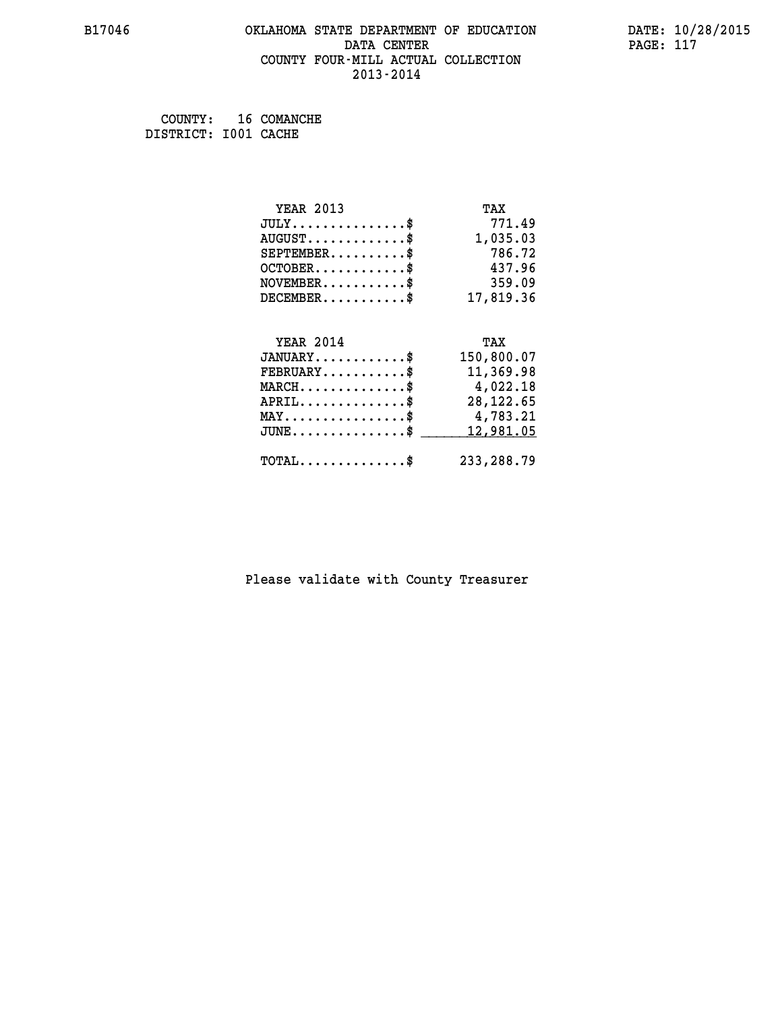#### **B17046 OKLAHOMA STATE DEPARTMENT OF EDUCATION DATE: 10/28/2015 DATA CENTER** PAGE: 117  **COUNTY FOUR-MILL ACTUAL COLLECTION 2013-2014**

 **COUNTY: 16 COMANCHE DISTRICT: I001 CACHE**

| <b>YEAR 2013</b>                               | TAX          |
|------------------------------------------------|--------------|
| $JULY$ \$                                      | 771.49       |
| $AUGUST$ \$                                    | 1,035.03     |
| $SEPTEMENT.$ \$                                | 786.72       |
| $OCTOBER$ \$                                   | 437.96       |
| $NOVEMBER$ \$                                  | 359.09       |
| $DECEMENT.$                                    | 17,819.36    |
| <b>YEAR 2014</b>                               | TAX          |
| $JANUARY$ \$                                   | 150,800.07   |
| $FEBRUARY$                                     | 11,369.98    |
| $MARCH$ \$                                     | 4,022.18     |
| $APRIL$ \$                                     | 28, 122.65   |
| $\texttt{MAX} \dots \dots \dots \dots \dots \$ | 4,783.21     |
| $JUNE$ \$                                      | 12,981.05    |
| $TOTAL$ \$                                     | 233, 288. 79 |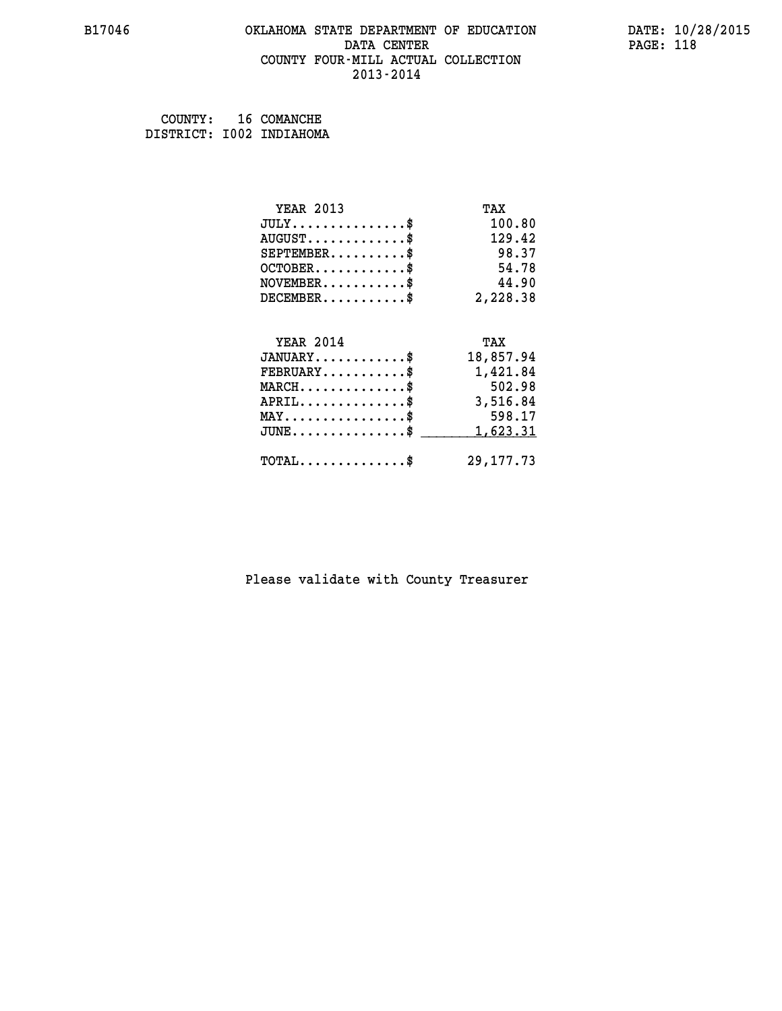#### **B17046 OKLAHOMA STATE DEPARTMENT OF EDUCATION DATE: 10/28/2015 DATA CENTER** PAGE: 118  **COUNTY FOUR-MILL ACTUAL COLLECTION 2013-2014**

 **COUNTY: 16 COMANCHE DISTRICT: I002 INDIAHOMA**

| <b>YEAR 2013</b>                           | TAX         |
|--------------------------------------------|-------------|
| $JULY$ \$                                  | 100.80      |
| $AUGUST$ \$                                | 129.42      |
| $SEPTEMBER$ \$                             | 98.37       |
| $OCTOBER$ \$                               | 54.78       |
| $NOVEMBER$ \$                              | 44.90       |
| $DECEMBER$ \$                              | 2,228.38    |
|                                            |             |
| <b>YEAR 2014</b>                           | TAX         |
| $JANUARY$ \$                               | 18,857.94   |
| $FEBRUARY$                                 | 1,421.84    |
| $MARCH$ \$                                 | 502.98      |
| $APRIL \ldots \ldots \ldots \ldots \$      | 3,516.84    |
| $MAX \dots \dots \dots \dots \dots$        | 598.17      |
| $JUNE$ \$                                  | 1,623.31    |
| $\texttt{TOTAL} \dots \dots \dots \dots \$ | 29, 177. 73 |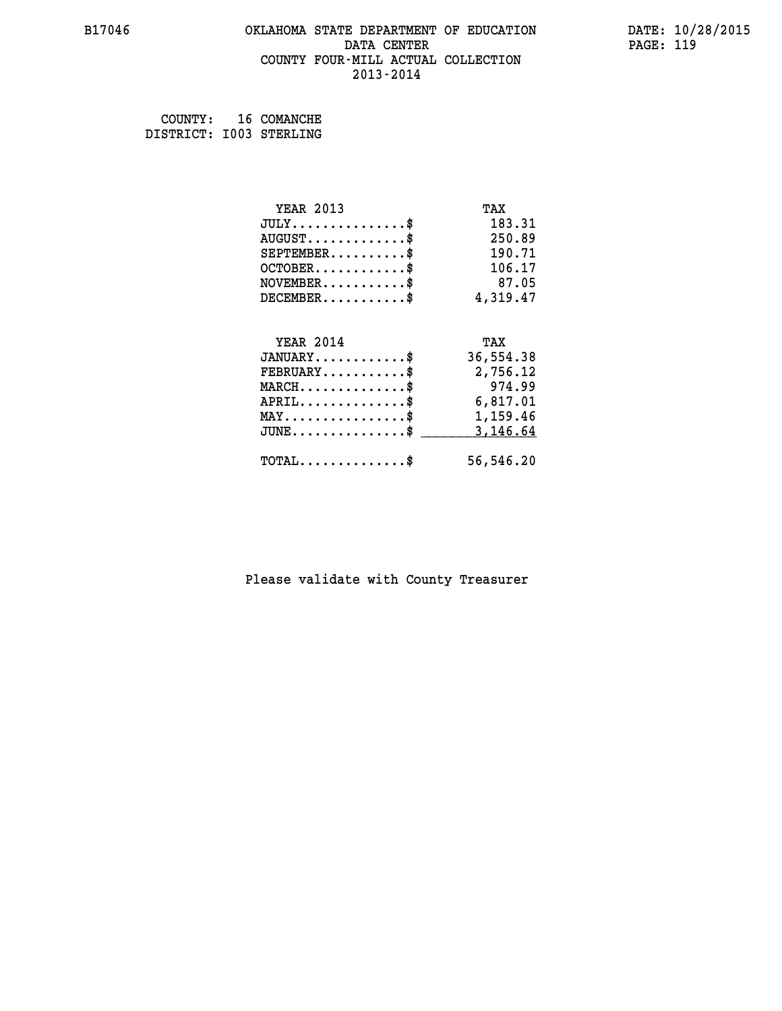#### **B17046 OKLAHOMA STATE DEPARTMENT OF EDUCATION DATE: 10/28/2015 DATA CENTER** PAGE: 119  **COUNTY FOUR-MILL ACTUAL COLLECTION 2013-2014**

 **COUNTY: 16 COMANCHE DISTRICT: I003 STERLING**

| <b>YEAR 2013</b>                               | TAX       |
|------------------------------------------------|-----------|
| $JULY$ \$                                      | 183.31    |
| $AUGUST$ \$                                    | 250.89    |
| $SEPTEMBER$ \$                                 | 190.71    |
| $OCTOBER$ \$                                   | 106.17    |
| $NOVEMBER$ \$                                  | 87.05     |
| $DECEMBER$ \$                                  | 4,319.47  |
|                                                |           |
| <b>YEAR 2014</b>                               | TAX       |
| $JANUARY$ \$                                   | 36,554.38 |
| $FEBRUARY$                                     | 2,756.12  |
| $MARCH$ \$                                     | 974.99    |
| $APRIL$ \$                                     | 6,817.01  |
| $\texttt{MAX} \dots \dots \dots \dots \dots \$ | 1,159.46  |
| $JUNE$ \$                                      | 3,146.64  |
| $\texttt{TOTAL} \dots \dots \dots \dots \$     | 56,546.20 |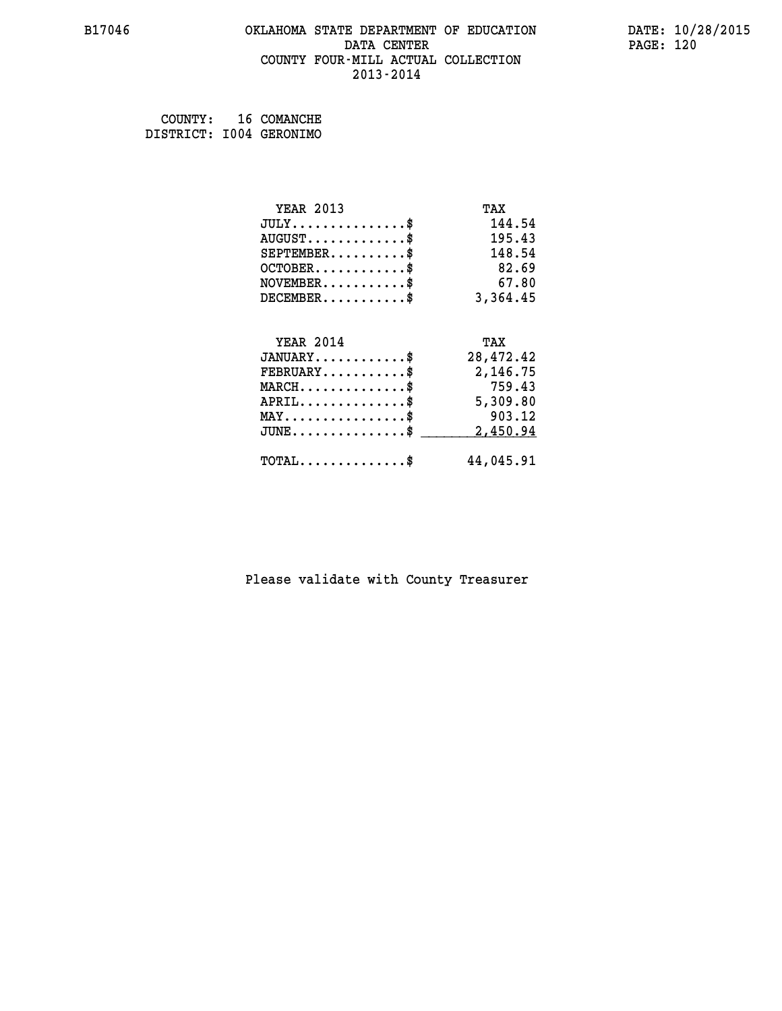#### **B17046 OKLAHOMA STATE DEPARTMENT OF EDUCATION DATE: 10/28/2015 DATA CENTER** PAGE: 120  **COUNTY FOUR-MILL ACTUAL COLLECTION 2013-2014**

 **COUNTY: 16 COMANCHE DISTRICT: I004 GERONIMO**

| <b>YEAR 2013</b>                               | TAX       |
|------------------------------------------------|-----------|
| $JULY$ \$                                      | 144.54    |
| $AUGUST$ \$                                    | 195.43    |
| $SEPTEMENT.$ \$                                | 148.54    |
| $OCTOBER$ \$                                   | 82.69     |
| $\texttt{NOVEMBER} \dots \dots \dots \$        | 67.80     |
| $DECEMBER$ \$                                  | 3,364.45  |
|                                                |           |
| <b>YEAR 2014</b>                               | TAX       |
|                                                |           |
| $JANUARY$ \$                                   | 28,472.42 |
| $FEBRUARY$                                     | 2,146.75  |
| $MARCH$ \$                                     | 759.43    |
| $APRIL \ldots \ldots \ldots \ldots \$          | 5,309.80  |
| $\texttt{MAX} \dots \dots \dots \dots \dots \$ | 903.12    |
| $JUNE \ldots \ldots \ldots \ldots \ldots$ \$   | 2,450.94  |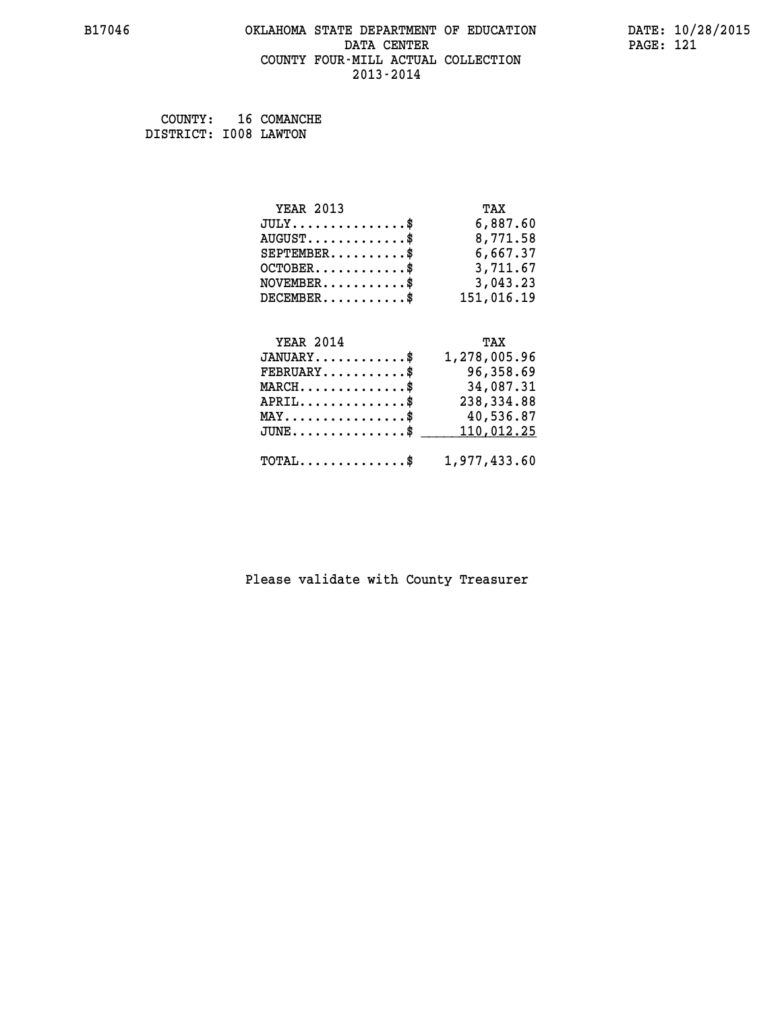#### **B17046 OKLAHOMA STATE DEPARTMENT OF EDUCATION DATE: 10/28/2015 DATA CENTER** PAGE: 121  **COUNTY FOUR-MILL ACTUAL COLLECTION 2013-2014**

 **COUNTY: 16 COMANCHE DISTRICT: I008 LAWTON**

| <b>YEAR 2013</b> | TAX        |
|------------------|------------|
| JULY             | 6,887.60   |
| $AUGUST$ \$      | 8,771.58   |
| $SEPTEMENT.$ \$  | 6,667.37   |
| $OCTOBER$ \$     | 3,711.67   |
| $NOVEMBER$ \$    | 3,043.23   |
| $DECEMBER$ \$    | 151,016.19 |
|                  |            |
|                  |            |

| <b>YEAR 2014</b>                                        | TAX          |
|---------------------------------------------------------|--------------|
| $JANUARY$ \$                                            | 1,278,005.96 |
| $\texttt{FEBRUARY} \dots \dots \dots \$$                | 96,358.69    |
| MARCH\$ 34,087.31                                       |              |
| APRIL\$ 238,334.88                                      |              |
| $\texttt{MAX} \dots \dots \dots \dots \dots \$$         | 40,536.87    |
| JUNE\$ 110,012.25                                       |              |
| $\texttt{TOTAL} \dots \dots \dots \dots \$ 1,977,433.60 |              |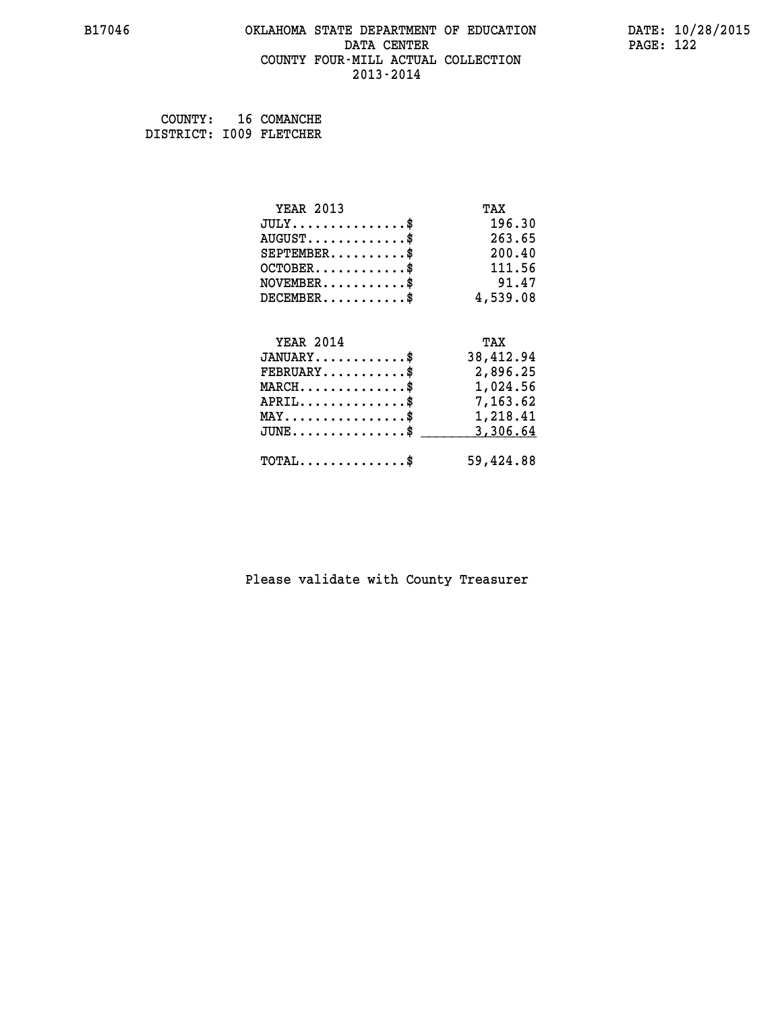#### **B17046 OKLAHOMA STATE DEPARTMENT OF EDUCATION DATE: 10/28/2015 DATA CENTER** PAGE: 122  **COUNTY FOUR-MILL ACTUAL COLLECTION 2013-2014**

 **COUNTY: 16 COMANCHE DISTRICT: I009 FLETCHER**

| <b>YEAR 2013</b>                                                          | TAX       |
|---------------------------------------------------------------------------|-----------|
| $JULY$ \$                                                                 | 196.30    |
| $AUGUST$ \$                                                               | 263.65    |
| $SEPTEMBER$ \$                                                            | 200.40    |
| $OCTOBER$ \$                                                              | 111.56    |
| $\verb NOVEMBER , \verb , \verb , \verb , \verb , \verb , \verb , \verb $ | 91.47     |
| $DECEMBER$ \$                                                             | 4,539.08  |
|                                                                           |           |
| <b>YEAR 2014</b>                                                          | TAX       |
| $JANUARY$ \$                                                              | 38,412.94 |
| $FEBRUARY$                                                                | 2,896.25  |
| $\texttt{MARCH}\ldots\ldots\ldots\ldots\text{*}$                          | 1,024.56  |
| $APRIL \ldots \ldots \ldots \ldots \$                                     | 7,163.62  |
| $\texttt{MAX} \dots \dots \dots \dots \dots \$                            | 1,218.41  |
| $JUNE$ \$                                                                 | 3,306.64  |
| $\texttt{TOTAL} \dots \dots \dots \dots \$                                | 59,424.88 |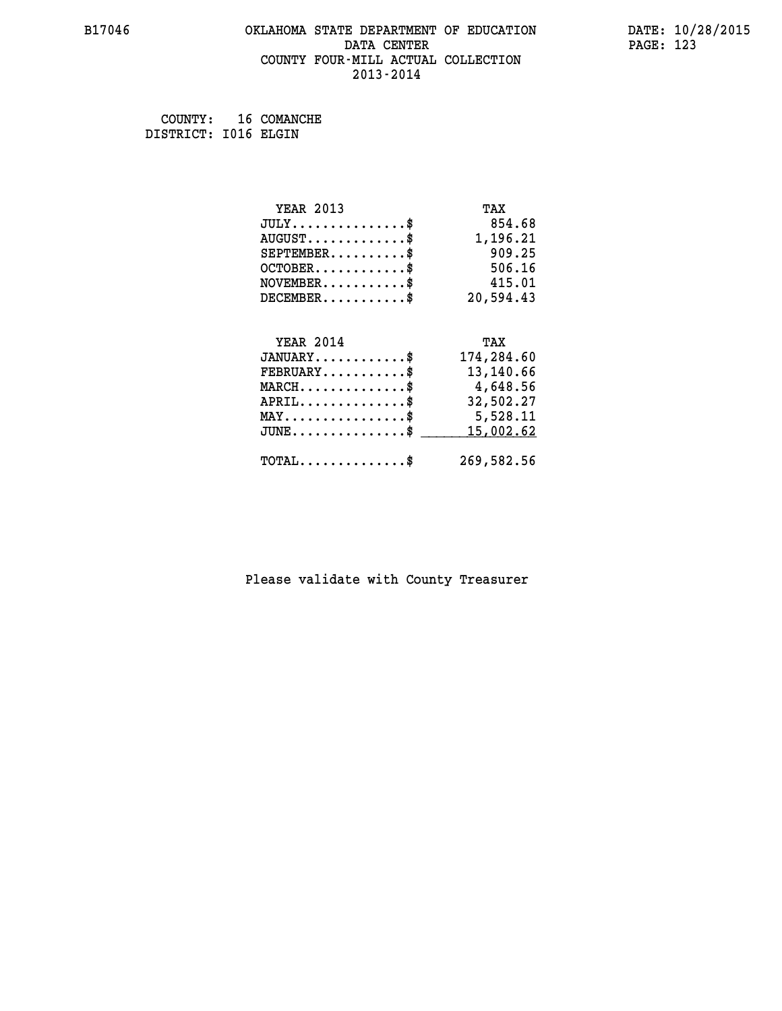#### **B17046 OKLAHOMA STATE DEPARTMENT OF EDUCATION DATE: 10/28/2015 DATA CENTER** PAGE: 123  **COUNTY FOUR-MILL ACTUAL COLLECTION 2013-2014**

 **COUNTY: 16 COMANCHE DISTRICT: I016 ELGIN**

| <b>YEAR 2013</b>                           | TAX        |
|--------------------------------------------|------------|
| $JULY$ \$                                  | 854.68     |
| $AUGUST$ \$                                | 1,196.21   |
| $SEPTEMBER$ \$                             | 909.25     |
| $OCTOBER$ \$                               | 506.16     |
| $NOVEMBER$ \$                              | 415.01     |
| $DECEMBER$ \$                              | 20,594.43  |
|                                            |            |
| <b>YEAR 2014</b>                           | TAX        |
| $JANUARY$ \$                               | 174,284.60 |
| $FEBRUARY$                                 | 13,140.66  |
| $MARCH$ \$                                 | 4,648.56   |
| $APRIL$ \$                                 | 32,502.27  |
| $MAX \dots \dots \dots \dots \dots$        | 5,528.11   |
| $JUNE$                                     | 15,002.62  |
| $\texttt{TOTAL} \dots \dots \dots \dots \$ | 269,582.56 |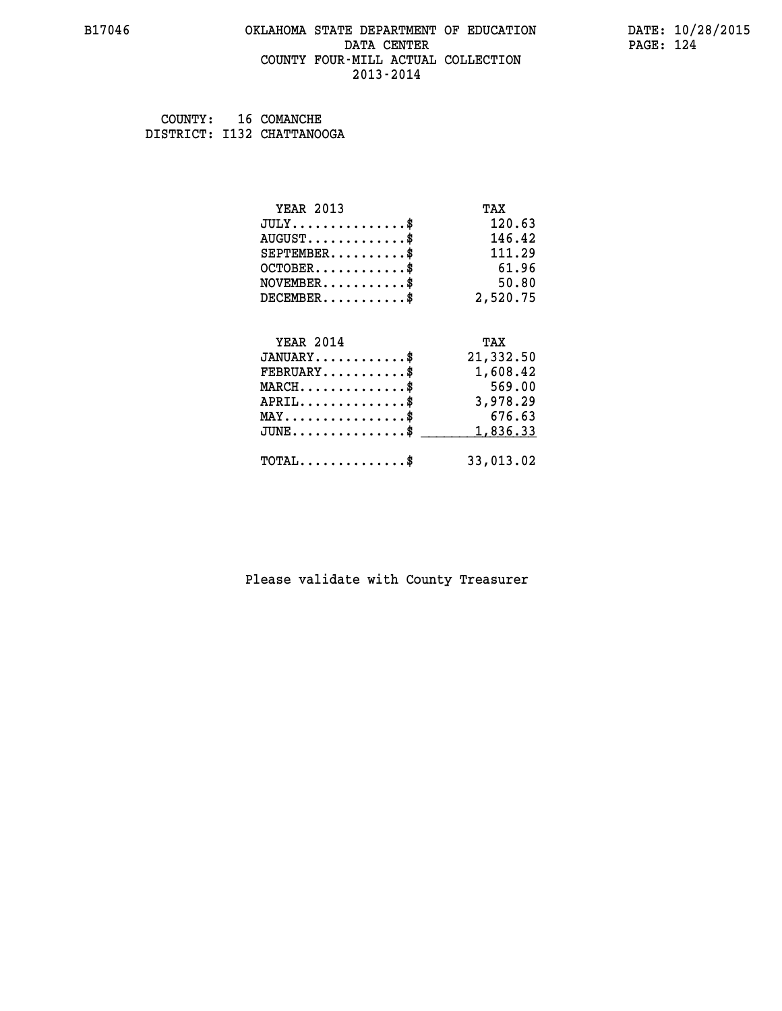#### **B17046 OKLAHOMA STATE DEPARTMENT OF EDUCATION DATE: 10/28/2015 DATA CENTER** PAGE: 124  **COUNTY FOUR-MILL ACTUAL COLLECTION 2013-2014**

 **COUNTY: 16 COMANCHE DISTRICT: I132 CHATTANOOGA**

| <b>YEAR 2013</b>                           | TAX       |
|--------------------------------------------|-----------|
| $JULY$ \$                                  | 120.63    |
| $AUGUST$ \$                                | 146.42    |
| $SEPTEMENT.$ \$                            | 111.29    |
| $OCTOBER$ \$                               | 61.96     |
| $NOVEMBER$ \$                              | 50.80     |
| $DECEMBER$ \$                              | 2,520.75  |
|                                            |           |
| <b>YEAR 2014</b>                           | TAX       |
| $JANUARY$ \$                               | 21,332.50 |
| $FEBRUARY$                                 | 1,608.42  |
| $MARCH$ \$                                 | 569.00    |
| $APRIL$ \$                                 | 3,978.29  |
| $MAX \dots \dots \dots \dots \dots$        | 676.63    |
| $JUNE$ \$                                  | 1,836.33  |
| $\texttt{TOTAL} \dots \dots \dots \dots \$ | 33,013.02 |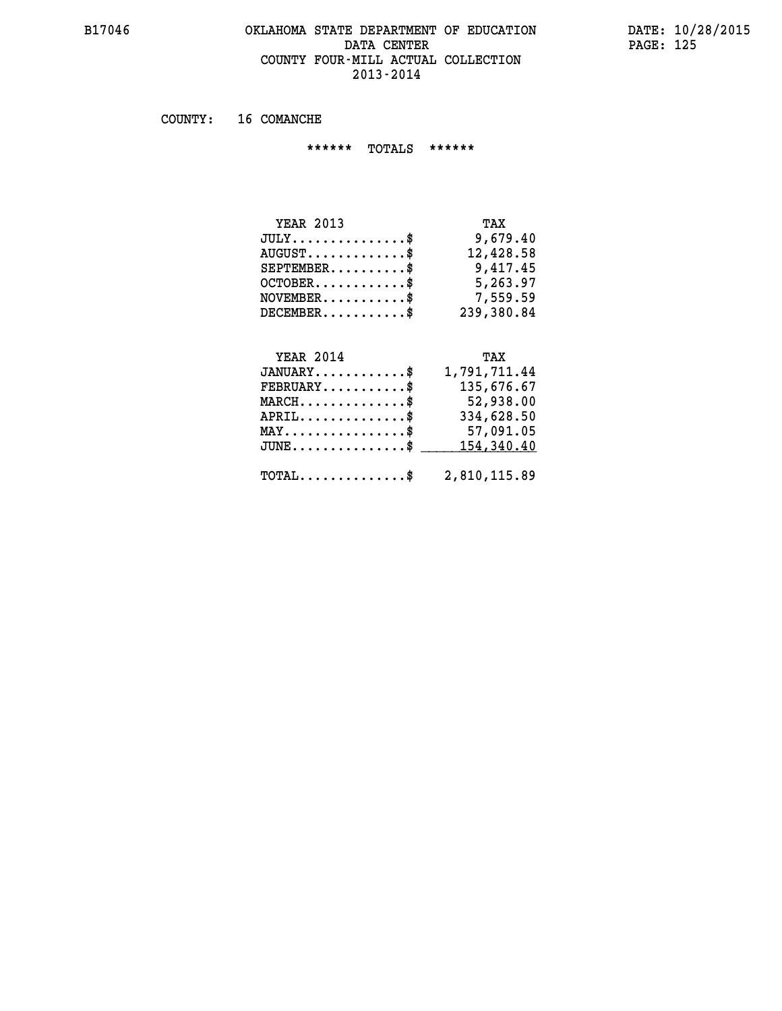#### **B17046 OKLAHOMA STATE DEPARTMENT OF EDUCATION DATE: 10/28/2015 DATA CENTER** PAGE: 125  **COUNTY FOUR-MILL ACTUAL COLLECTION 2013-2014**

 **COUNTY: 16 COMANCHE**

 **\*\*\*\*\*\* TOTALS \*\*\*\*\*\***

| <b>YEAR 2013</b>        | TAX        |
|-------------------------|------------|
| $JULY$                  | 9,679.40   |
| $AUGUST$ $\$\$          | 12,428.58  |
| $SEPTEMENT.$ \$         | 9,417.45   |
| $OCTOBER$ $\frac{1}{2}$ | 5,263.97   |
| $NOVEMENTER$ \$         | 7,559.59   |
| $DECEMBER$              | 239,380.84 |

# **YEAR 2014** TAX

| $JANUARY$ \$                                            | 1,791,711.44 |
|---------------------------------------------------------|--------------|
| $FEBRUARY$                                              | 135,676.67   |
| $MARCH$ \$                                              | 52,938.00    |
| $APRIL$ \$                                              | 334,628.50   |
| $\texttt{MAX} \dots \dots \dots \dots \dots \text{*}$   | 57,091.05    |
| $JUNE \ldots \ldots \ldots \ldots \$ 154,340.40         |              |
| $\texttt{TOTAL} \dots \dots \dots \dots \$ 2,810,115.89 |              |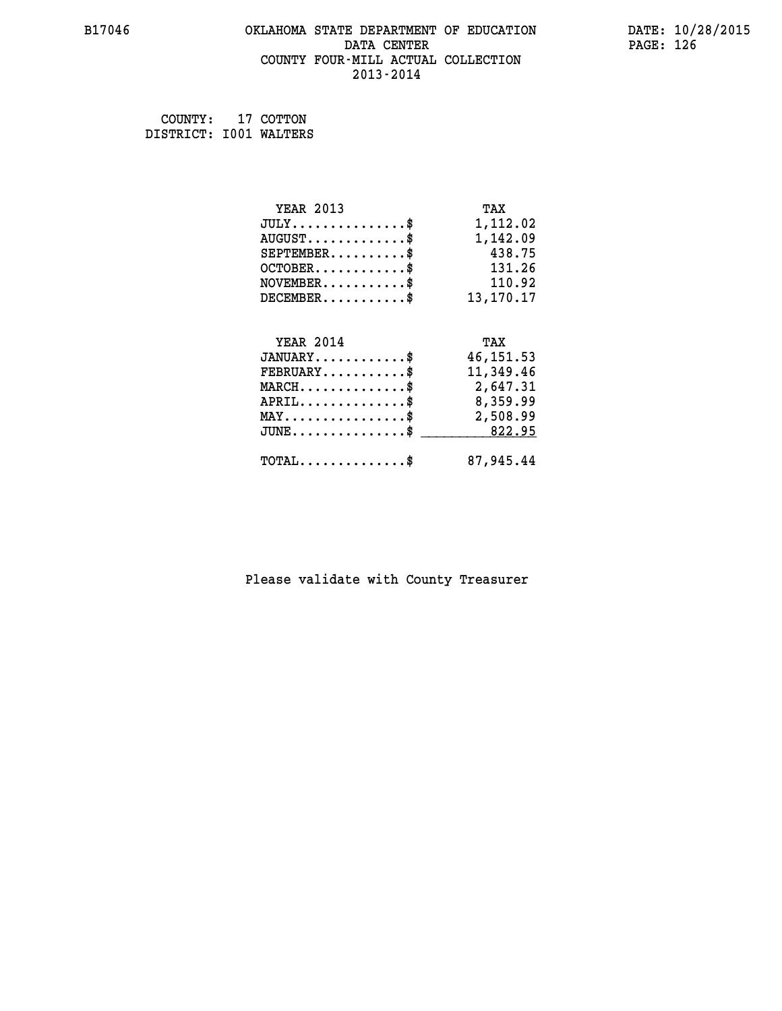#### **B17046 OKLAHOMA STATE DEPARTMENT OF EDUCATION DATE: 10/28/2015 DATA CENTER** PAGE: 126  **COUNTY FOUR-MILL ACTUAL COLLECTION 2013-2014**

 **COUNTY: 17 COTTON DISTRICT: I001 WALTERS**

| <b>YEAR 2013</b>                                 | TAX        |
|--------------------------------------------------|------------|
| $JULY$ \$                                        | 1,112.02   |
| $AUGUST$ \$                                      | 1,142.09   |
| $SEPTEMBER$ \$                                   | 438.75     |
| $OCTOBER$ \$                                     | 131.26     |
| $\texttt{NOVEMBER} \dots \dots \dots \$          | 110.92     |
| $DECEMBER$ \$                                    | 13,170.17  |
|                                                  |            |
| <b>YEAR 2014</b>                                 | TAX        |
| $JANUARY$ \$                                     | 46, 151.53 |
| $FEBRUARY$ \$                                    | 11,349.46  |
| MARCH\$ 2,647.31                                 |            |
| $APRIL \ldots \ldots \ldots \ldots \$            | 8,359.99   |
| $\texttt{MAX} \dots \dots \dots \dots \dots \$   | 2,508.99   |
| $\texttt{JUNE} \dots \dots \dots \dots \dots \$$ | 822.95     |
| $\texttt{TOTAL} \dots \dots \dots \dots \$       | 87,945.44  |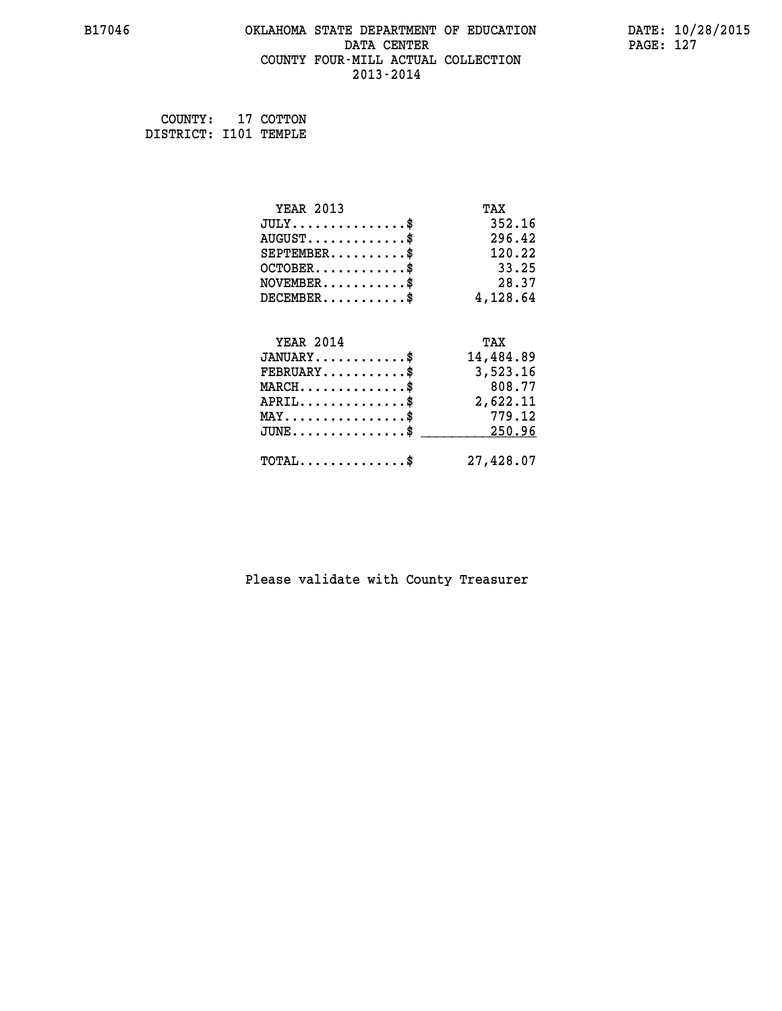#### **B17046 OKLAHOMA STATE DEPARTMENT OF EDUCATION DATE: 10/28/2015 DATA CENTER** PAGE: 127  **COUNTY FOUR-MILL ACTUAL COLLECTION 2013-2014**

 **COUNTY: 17 COTTON DISTRICT: I101 TEMPLE**

| <b>YEAR 2013</b>                        | TAX       |
|-----------------------------------------|-----------|
| $JULY$ \$                               | 352.16    |
| $AUGUST$ \$                             | 296.42    |
| $SEPTEMBER$ \$                          | 120.22    |
| $OCTOBER$ \$                            | 33.25     |
| $\texttt{NOVEMBER} \dots \dots \dots \$ | 28.37     |
| $DECEMBER$ \$                           | 4,128.64  |
|                                         |           |
| <b>YEAR 2014</b>                        | TAX       |
| $JANUARY$ \$                            | 14,484.89 |
| $FEBRUARY$                              | 3,523.16  |
| $MARCH$ \$                              | 808.77    |
| $APRIL \ldots \ldots \ldots \ldots \$   | 2,622.11  |
| $MAX \dots \dots \dots \dots \dots$     | 779.12    |
| $JUNE$ \$                               | 250.96    |
| $TOTAL$ \$                              | 27,428.07 |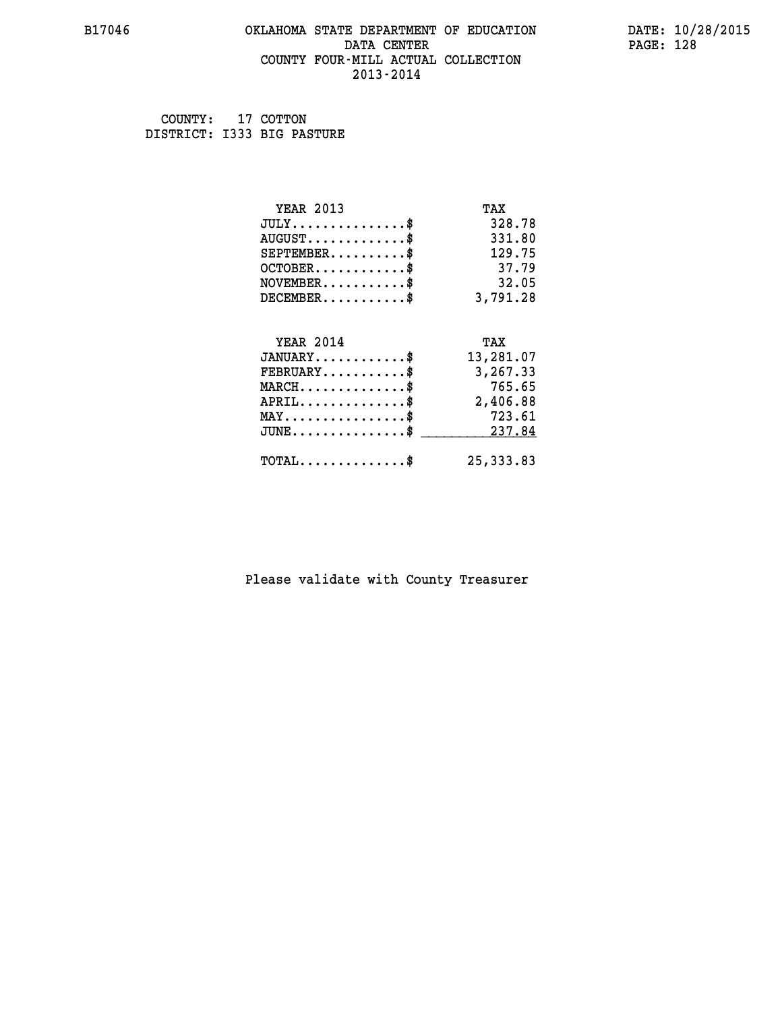#### **B17046 OKLAHOMA STATE DEPARTMENT OF EDUCATION DATE: 10/28/2015 DATA CENTER** PAGE: 128  **COUNTY FOUR-MILL ACTUAL COLLECTION 2013-2014**

 **COUNTY: 17 COTTON DISTRICT: I333 BIG PASTURE**

| <b>YEAR 2013</b>                           | TAX        |
|--------------------------------------------|------------|
| $JULY$ \$                                  | 328.78     |
| $AUGUST$ \$                                | 331.80     |
| $SEPTEMENT.$ \$                            | 129.75     |
| $OCTOBER$ \$                               | 37.79      |
| $NOVEMBER$ \$                              | 32.05      |
| $DECEMBER$ \$                              | 3,791.28   |
|                                            |            |
| <b>YEAR 2014</b>                           | TAX        |
| $JANUARY$ \$                               | 13,281.07  |
| $FEBRUARY$                                 | 3,267.33   |
| $MARCH$ \$                                 | 765.65     |
| $APRIL$ \$                                 | 2,406.88   |
| $MAX \dots \dots \dots \dots \dots$        | 723.61     |
| $JUNE$ \$                                  | 237.84     |
| $\texttt{TOTAL} \dots \dots \dots \dots \$ | 25, 333.83 |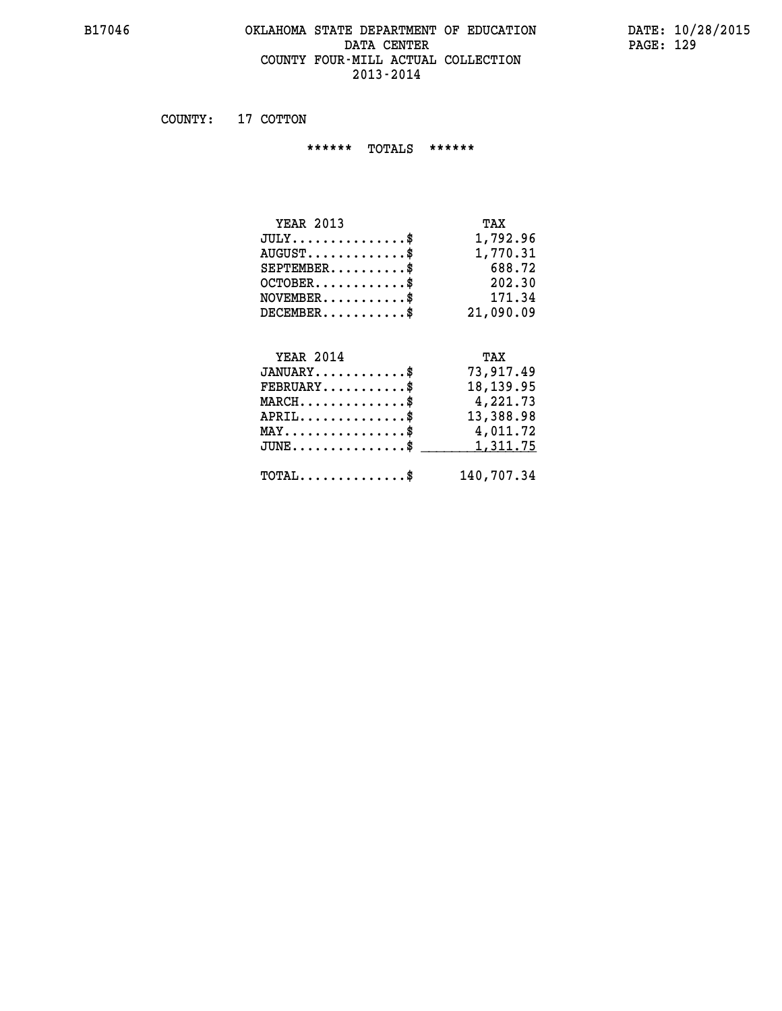#### **B17046 OKLAHOMA STATE DEPARTMENT OF EDUCATION DATE: 10/28/2015 DATA CENTER PAGE: 129 COUNTY FOUR-MILL ACTUAL COLLECTION 2013-2014**

 **COUNTY: 17 COTTON**

 **\*\*\*\*\*\* TOTALS \*\*\*\*\*\***

| <b>YEAR 2013</b>                     | TAX       |
|--------------------------------------|-----------|
| $JULY \ldots \ldots \ldots \ldots \$ | 1,792.96  |
| $AUGUST$ \$                          | 1,770.31  |
| $SEPTEMBER$ \$                       | 688.72    |
| $OCTOBER$ \$                         | 202.30    |
| $NOVEMBER$ \$                        | 171.34    |
| $DECEMBER$ \$                        | 21,090.09 |
|                                      |           |

## **YEAR 2014 TAX**

| $JANUARY$                                      | 73,917.49  |
|------------------------------------------------|------------|
| $FEBRUARY$                                     | 18, 139.95 |
| $MARCH$ \$                                     | 4,221.73   |
| $APRIL$                                        | 13,388.98  |
| $MAX \dots \dots \dots \dots \dots \$          | 4,011.72   |
| $JUNE \ldots \ldots \ldots \ldots$ \$ 1,311.75 |            |
| $\text{TOTAL} \dots \dots \dots \dots \dots$   | 140,707.34 |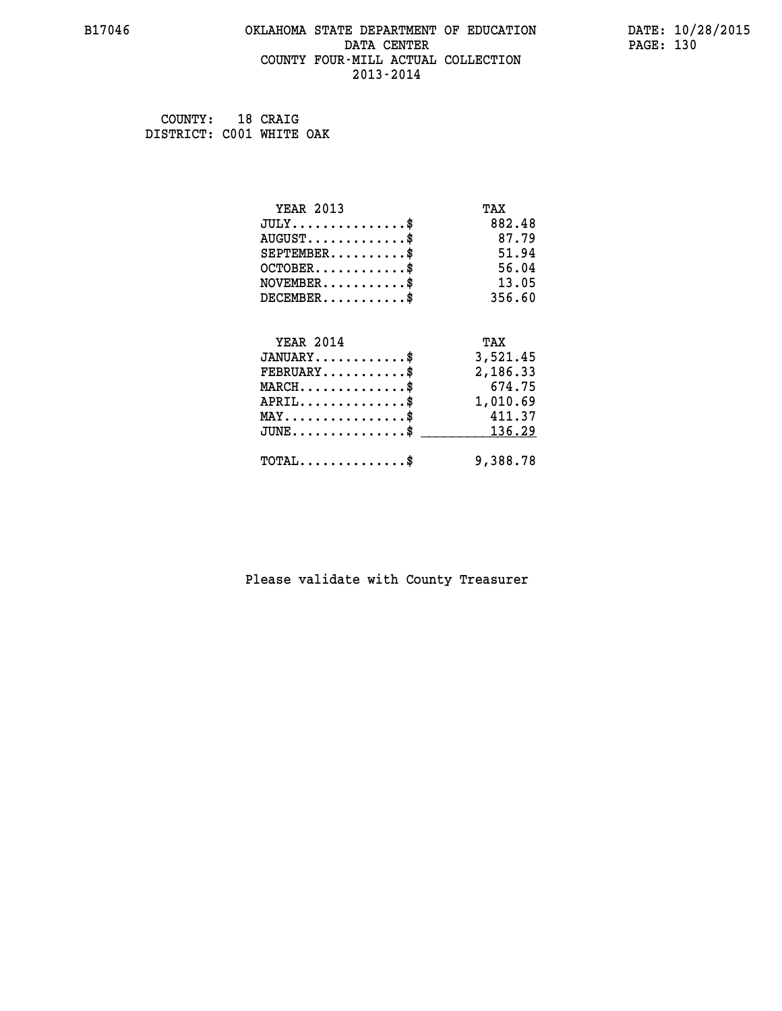#### **B17046 OKLAHOMA STATE DEPARTMENT OF EDUCATION DATE: 10/28/2015 DATA CENTER** PAGE: 130  **COUNTY FOUR-MILL ACTUAL COLLECTION 2013-2014**

 **COUNTY: 18 CRAIG DISTRICT: C001 WHITE OAK**

| <b>YEAR 2013</b>                    | TAX      |
|-------------------------------------|----------|
| $JULY$ \$                           | 882.48   |
| $AUGUST$ \$                         | 87.79    |
| $SEPTEMBER$ \$                      | 51.94    |
| $OCTOBER$ \$                        | 56.04    |
| $NOVEMBER$ \$                       | 13.05    |
| $DECEMBER$ \$                       | 356.60   |
|                                     |          |
| <b>YEAR 2014</b>                    | TAX      |
|                                     |          |
| $JANUARY$ \$                        | 3,521.45 |
| $FEBRUARY$                          | 2,186.33 |
| $MARCH$ \$                          | 674.75   |
| $APRIL$ \$                          | 1,010.69 |
| $MAX \dots \dots \dots \dots \dots$ | 411.37   |
| $JUNE$ \$                           | 136.29   |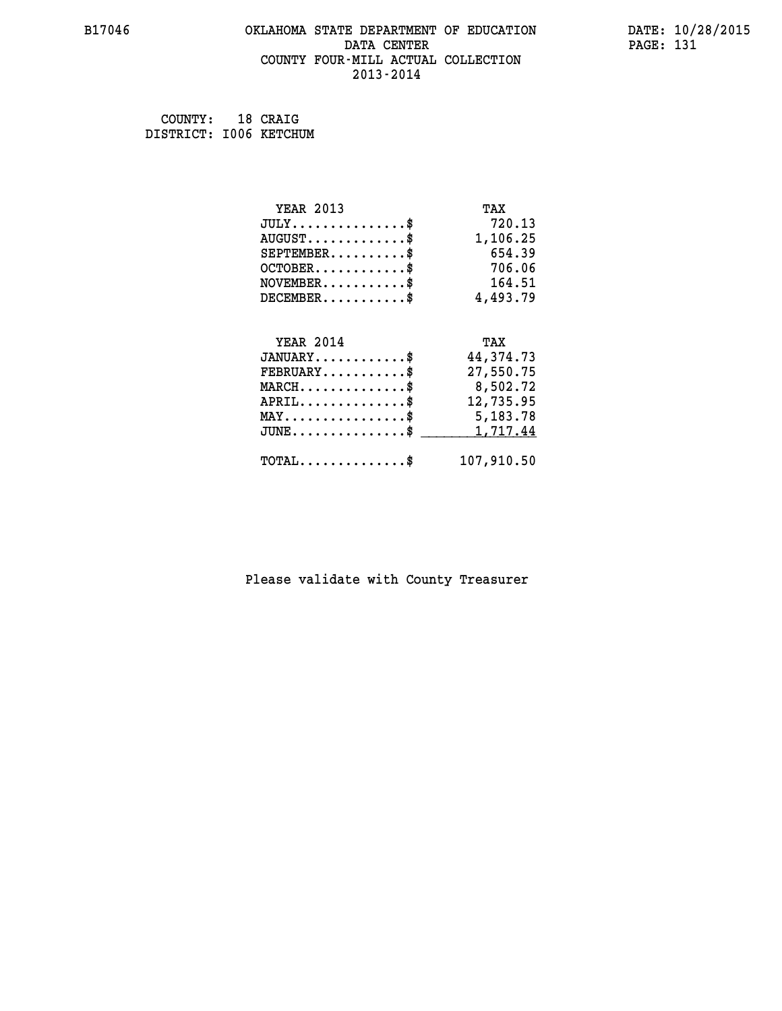#### **B17046 OKLAHOMA STATE DEPARTMENT OF EDUCATION DATE: 10/28/2015 DATA CENTER** PAGE: 131  **COUNTY FOUR-MILL ACTUAL COLLECTION 2013-2014**

| COUNTY:                | 18 CRAIG |
|------------------------|----------|
| DISTRICT: 1006 KETCHUM |          |

| <b>YEAR 2013</b>                                                                                                              | TAX         |
|-------------------------------------------------------------------------------------------------------------------------------|-------------|
| $JULY$ \$                                                                                                                     | 720.13      |
| $AUGUST$ \$                                                                                                                   | 1,106.25    |
| $SEPTEMBER$ \$                                                                                                                | 654.39      |
| $OCTOBER$ \$                                                                                                                  | 706.06      |
| $\texttt{NOVEMBER} \dots \dots \dots \$                                                                                       | 164.51      |
| $DECEMBER$ \$                                                                                                                 | 4,493.79    |
|                                                                                                                               |             |
| <b>YEAR 2014</b>                                                                                                              | TAX         |
| $JANUARY$ \$                                                                                                                  | 44, 374. 73 |
| $\texttt{FEBRUARY} \dots \dots \dots \$                                                                                       | 27,550.75   |
| $\texttt{MARCH}\ldots\ldots\ldots\ldots\overset{\hspace{0.1em}\mathsf{\scriptscriptstyle\$}}{\mathsf{\scriptscriptstyle\$}}}$ | 8,502.72    |
| $APRIL$ \$                                                                                                                    | 12,735.95   |
| $\texttt{MAX} \dots \dots \dots \dots \dots \$                                                                                | 5,183.78    |
| $JUNE$ \$                                                                                                                     | 1,717.44    |
| $TOTAL$ \$                                                                                                                    | 107,910.50  |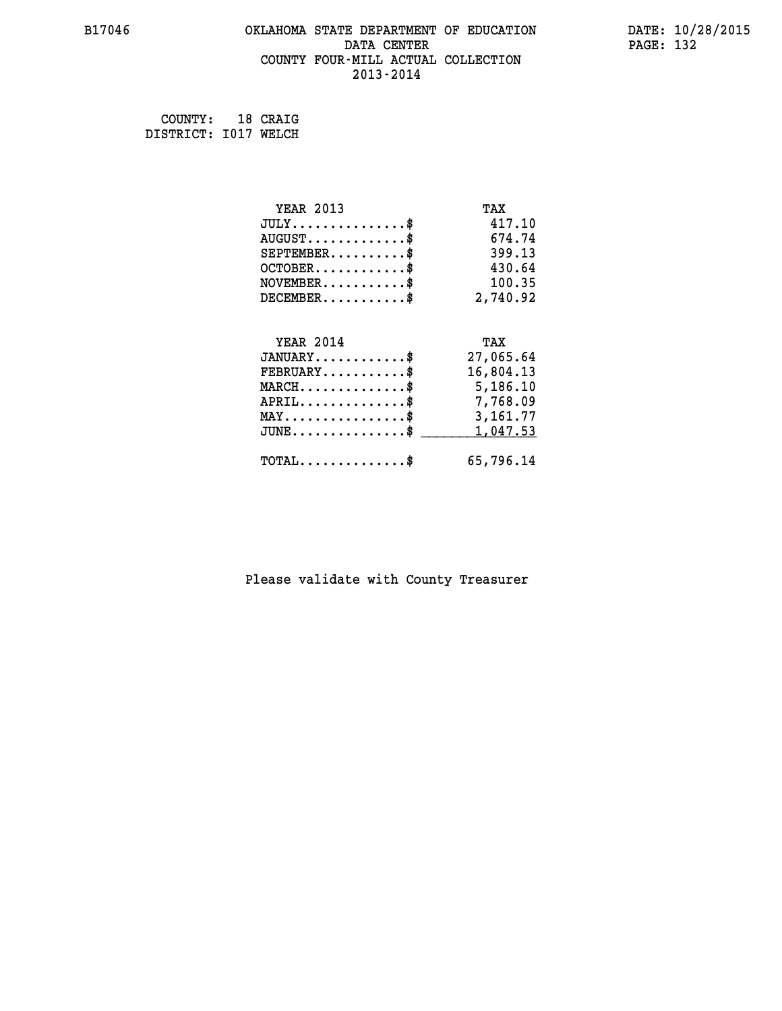#### **B17046 OKLAHOMA STATE DEPARTMENT OF EDUCATION DATE: 10/28/2015 DATA CENTER** PAGE: 132  **COUNTY FOUR-MILL ACTUAL COLLECTION 2013-2014**

 **COUNTY: 18 CRAIG DISTRICT: I017 WELCH**

| <b>YEAR 2013</b>                               | TAX       |
|------------------------------------------------|-----------|
| $JULY$ \$                                      | 417.10    |
| $AUGUST$ \$                                    | 674.74    |
| $SEPTEMENT.$ \$                                | 399.13    |
| $OCTOBER$ \$                                   | 430.64    |
| $\texttt{NOVEMBER} \dots \dots \dots \$        | 100.35    |
| $DECEMBER$ \$                                  | 2,740.92  |
|                                                |           |
| <b>YEAR 2014</b>                               | TAX       |
| $JANUARY$ \$                                   | 27,065.64 |
| $FEBRUARY$                                     | 16,804.13 |
| $MARCH$ \$                                     | 5,186.10  |
| $APRIL$ \$                                     | 7,768.09  |
| $\texttt{MAX} \dots \dots \dots \dots \dots \$ | 3,161.77  |
| $JUNE \ldots \ldots \ldots \ldots \ldots$ \$   | 1,047.53  |
| $\texttt{TOTAL} \dots \dots \dots \dots \$     | 65,796.14 |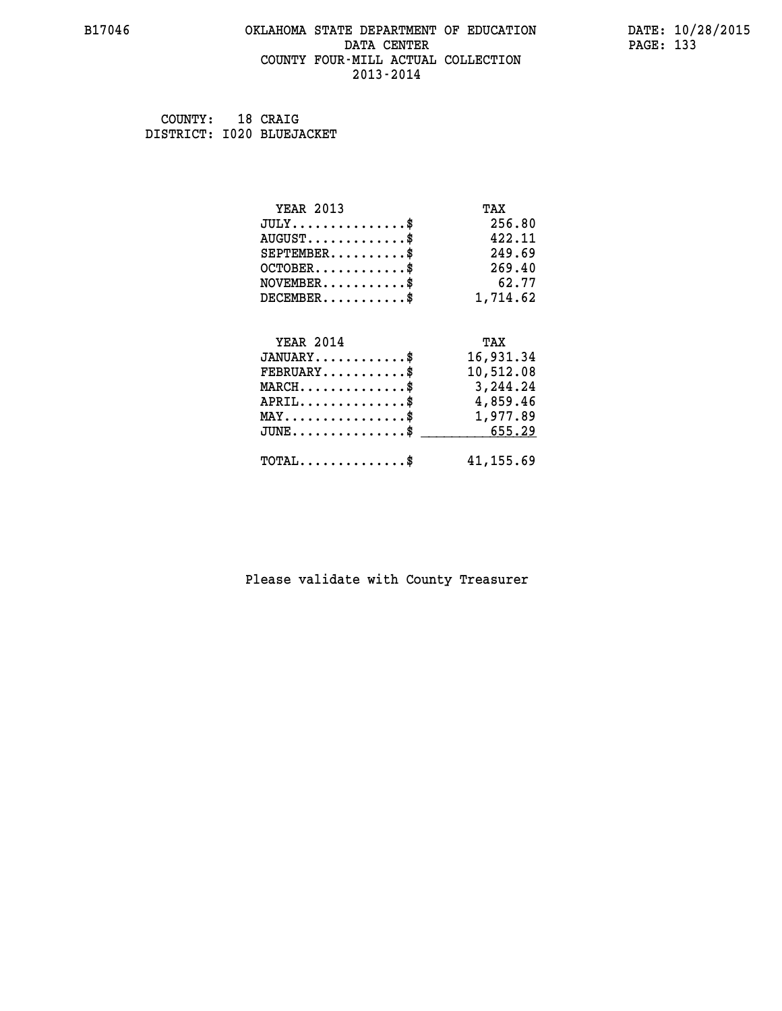#### **B17046 OKLAHOMA STATE DEPARTMENT OF EDUCATION DATE: 10/28/2015 DATA CENTER** PAGE: 133  **COUNTY FOUR-MILL ACTUAL COLLECTION 2013-2014**

 **COUNTY: 18 CRAIG DISTRICT: I020 BLUEJACKET**

| <b>YEAR 2013</b>                               | TAX       |
|------------------------------------------------|-----------|
| $JULY$ \$                                      | 256.80    |
| $AUGUST$ \$                                    | 422.11    |
| $SEPTEMBER$ \$                                 | 249.69    |
| $OCTOBER$ \$                                   | 269.40    |
| $NOVEMBER$ \$                                  | 62.77     |
| $DECEMBER$ \$                                  | 1,714.62  |
| <b>YEAR 2014</b>                               | TAX       |
| $JANUARY$ \$                                   | 16,931.34 |
| $FEBRUARY$                                     |           |
|                                                | 10,512.08 |
| $MARCH$ \$                                     | 3,244.24  |
| $APRIL \ldots \ldots \ldots \ldots$            | 4,859.46  |
| $\texttt{MAX} \dots \dots \dots \dots \dots \$ | 1,977.89  |
| $JUNE \ldots \ldots \ldots \ldots \$ 655.29    |           |
| $\texttt{TOTAL} \dots \dots \dots \dots$       | 41,155.69 |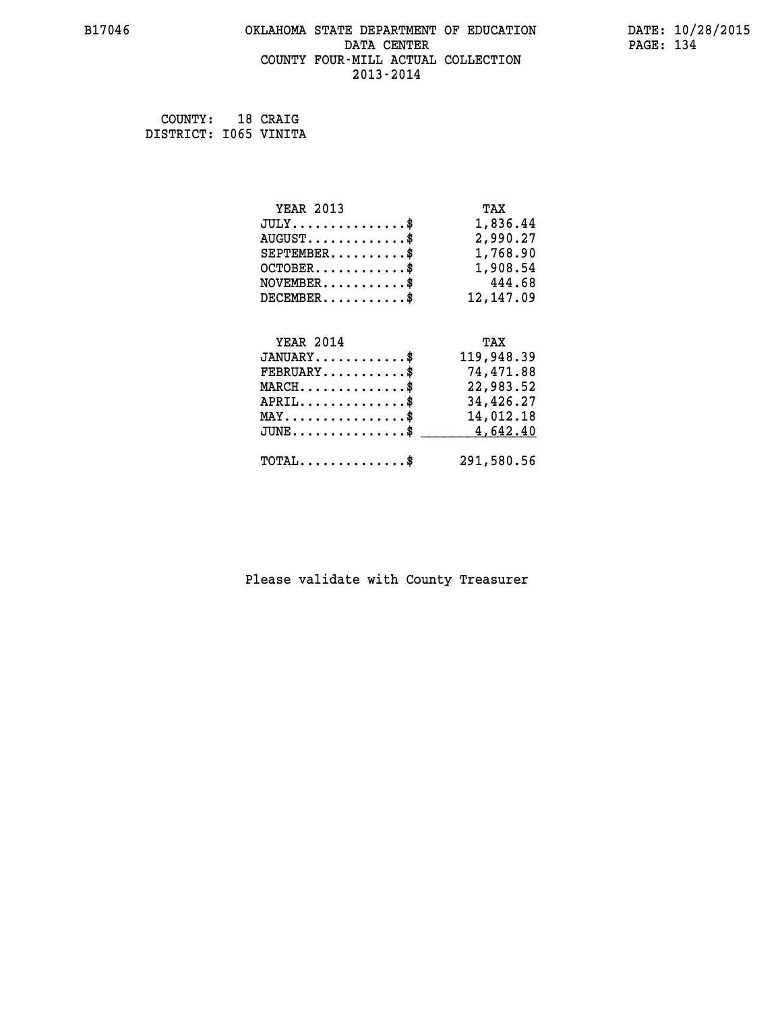#### **B17046 OKLAHOMA STATE DEPARTMENT OF EDUCATION DATE: 10/28/2015 DATA CENTER** PAGE: 134  **COUNTY FOUR-MILL ACTUAL COLLECTION 2013-2014**

 **COUNTY: 18 CRAIG DISTRICT: I065 VINITA**

| <b>YEAR 2013</b>                               | TAX        |
|------------------------------------------------|------------|
| $JULY$ \$                                      | 1,836.44   |
| $AUGUST$ \$                                    | 2,990.27   |
| $SEPTEMENT.$ \$                                | 1,768.90   |
| $OCTOBER$ \$                                   | 1,908.54   |
| $\texttt{NOVEMBER} \dots \dots \dots \$        | 444.68     |
| $DECEMBER$ \$                                  | 12, 147.09 |
|                                                |            |
| <b>YEAR 2014</b>                               | TAX        |
| $JANUARY$ \$                                   | 119,948.39 |
| $FEBRUARY$                                     | 74,471.88  |
| $MARCH$ \$                                     | 22,983.52  |
| $APRIL$ \$                                     | 34,426.27  |
| $\texttt{MAX} \dots \dots \dots \dots \dots \$ | 14,012.18  |
| $JUNE \ldots \ldots \ldots \ldots \ldots$ \$   | 4,642.40   |
| $\texttt{TOTAL} \dots \dots \dots \dots \$     | 291,580.56 |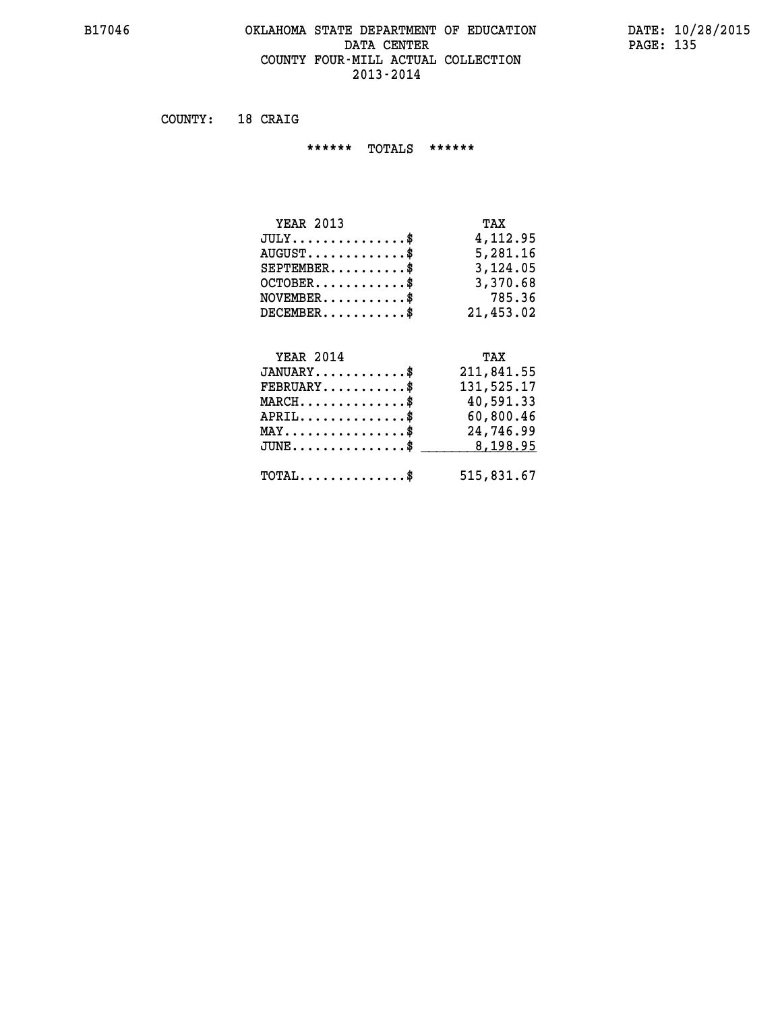#### **B17046 OKLAHOMA STATE DEPARTMENT OF EDUCATION DATE: 10/28/2015** DATA CENTER PAGE: 135  **COUNTY FOUR-MILL ACTUAL COLLECTION 2013-2014**

 **COUNTY: 18 CRAIG**

 **\*\*\*\*\*\* TOTALS \*\*\*\*\*\***

| <b>YEAR 2013</b>                 | TAX       |
|----------------------------------|-----------|
| $JULY$                           | 4,112,95  |
| $AUGUST \ldots \ldots \ldots$ \$ | 5,281.16  |
| $SEPTEMBER$ \$                   | 3,124.05  |
| $OCTOBER$ \$                     | 3,370.68  |
| $NOVEMBER$ $\$                   | 785.36    |
| $DECEMBER$                       | 21,453.02 |

## **YEAR 2014 TAX**

| $JANUARY$ \$                                 | 211,841.55 |
|----------------------------------------------|------------|
| $FEBRUARY$ \$                                | 131,525.17 |
| $MARCH$ \$                                   | 40,591.33  |
| $APRIL$                                      | 60,800.46  |
| $MAX \dots \dots \dots \dots \$              | 24,746.99  |
| $JUNE$ \$                                    | 8,198.95   |
| $\text{TOTAL} \dots \dots \dots \dots \dots$ | 515,831.67 |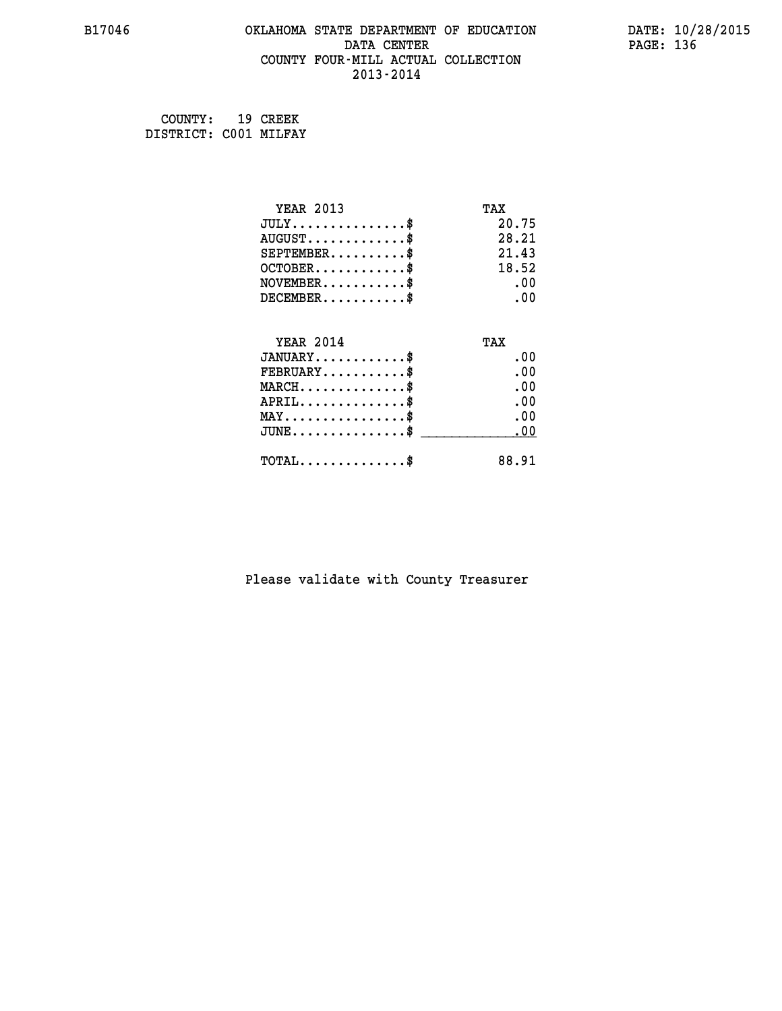#### **B17046 OKLAHOMA STATE DEPARTMENT OF EDUCATION DATE: 10/28/2015 DATA CENTER** PAGE: 136  **COUNTY FOUR-MILL ACTUAL COLLECTION 2013-2014**

 **COUNTY: 19 CREEK DISTRICT: C001 MILFAY**

| <b>YEAR 2013</b>                       | TAX   |
|----------------------------------------|-------|
| $JULY$ \$                              | 20.75 |
| $AUGUST$ \$                            | 28.21 |
| $SEPTEMENT.$                           | 21.43 |
| $OCTOBER$ \$                           | 18.52 |
| $NOVEMBER$ \$                          | .00   |
| $DECEMENT.$                            | .00   |
| <b>YEAR 2014</b>                       | TAX   |
| $JANUARY$ \$                           | .00   |
| $FEBRUARY$                             | .00   |
| $MARCH$ \$                             | .00   |
| $APRIL$ \$                             | .00   |
| $MAX \dots \dots \dots \dots \dots$ \$ | .00   |
| $JUNE$ \$                              | .00   |
|                                        |       |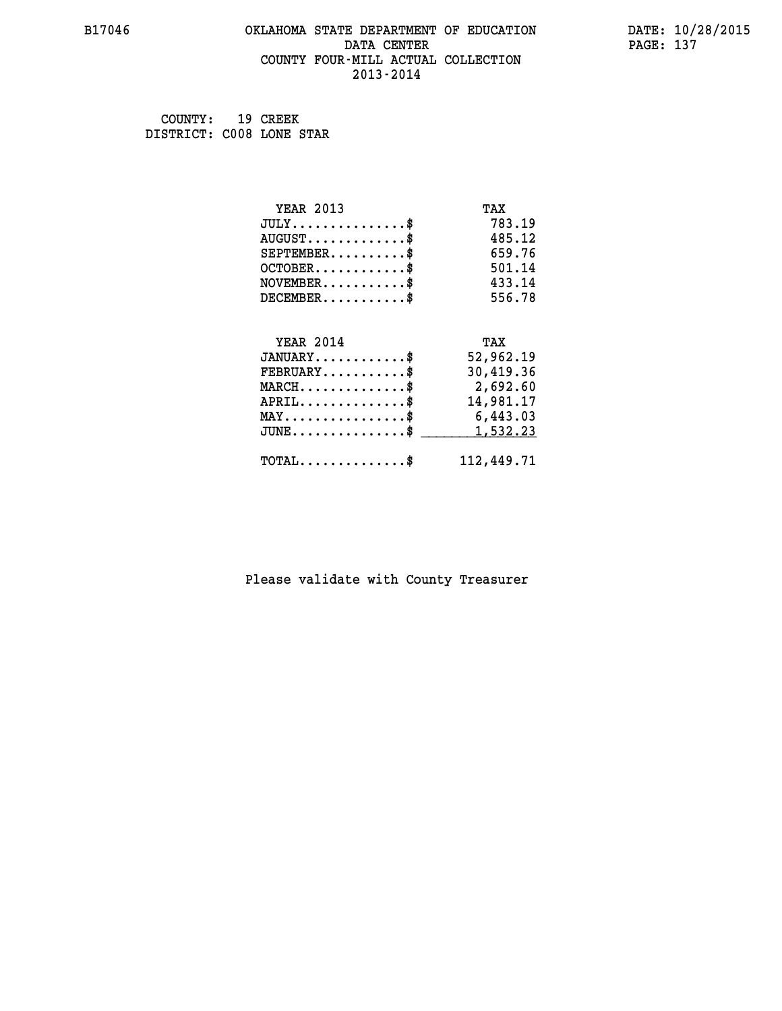#### **B17046 OKLAHOMA STATE DEPARTMENT OF EDUCATION DATE: 10/28/2015 DATA CENTER** PAGE: 137  **COUNTY FOUR-MILL ACTUAL COLLECTION 2013-2014**

 **COUNTY: 19 CREEK DISTRICT: C008 LONE STAR**

| <b>YEAR 2013</b>                               | TAX        |
|------------------------------------------------|------------|
| $JULY$ \$                                      | 783.19     |
| $AUGUST$ \$                                    | 485.12     |
| $SEPTEMBER$ \$                                 | 659.76     |
| $OCTOBER$ \$                                   | 501.14     |
| $NOVEMBER$ \$                                  | 433.14     |
| $DECEMBER$ \$                                  | 556.78     |
|                                                |            |
| <b>YEAR 2014</b>                               | TAX        |
| $JANUARY$ \$                                   | 52,962.19  |
| $FEBRUARY$                                     | 30,419.36  |
| $MARCH$ \$                                     | 2,692.60   |
| $APRIL$ \$                                     | 14,981.17  |
| $\texttt{MAX} \dots \dots \dots \dots \dots \$ | 6,443.03   |
| $JUNE \dots \dots \dots \dots \$               | 1,532.23   |
| $\texttt{TOTAL} \dots \dots \dots \dots \$     | 112,449.71 |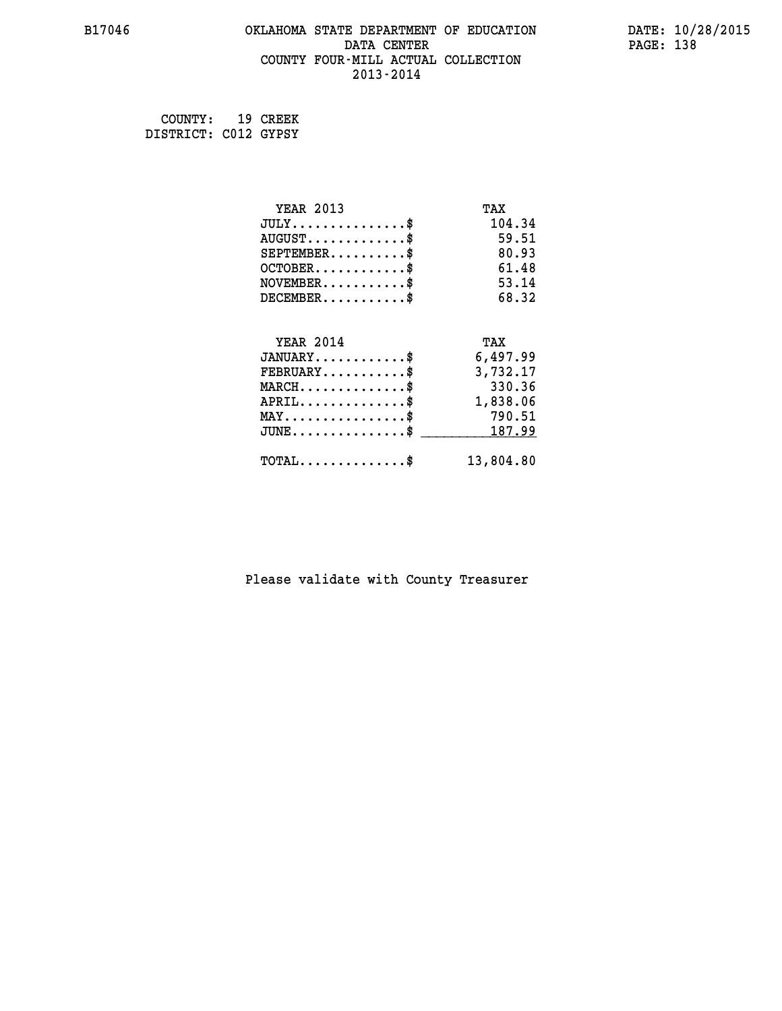#### **B17046 OKLAHOMA STATE DEPARTMENT OF EDUCATION DATE: 10/28/2015 DATA CENTER** PAGE: 138  **COUNTY FOUR-MILL ACTUAL COLLECTION 2013-2014**

 **COUNTY: 19 CREEK DISTRICT: C012 GYPSY**

| <b>YEAR 2013</b>                           | TAX       |
|--------------------------------------------|-----------|
| $JULY$ \$                                  | 104.34    |
| $AUGUST$ \$                                | 59.51     |
| $SEPTEMBER$ \$                             | 80.93     |
| $OCTOBER$ \$                               | 61.48     |
| $NOVEMBER$ \$                              | 53.14     |
| $DECEMBER$ \$                              | 68.32     |
|                                            |           |
| <b>YEAR 2014</b>                           | TAX       |
| $JANUARY$ \$                               | 6,497.99  |
| $FEBRUARY$                                 | 3,732.17  |
| $MARCH$ \$                                 | 330.36    |
| $APRIL$ \$                                 | 1,838.06  |
| $MAX \dots \dots \dots \dots \dots$        | 790.51    |
| $JUNE \ldots \ldots \ldots \ldots \$       | 187.99    |
| $\texttt{TOTAL} \dots \dots \dots \dots \$ | 13,804.80 |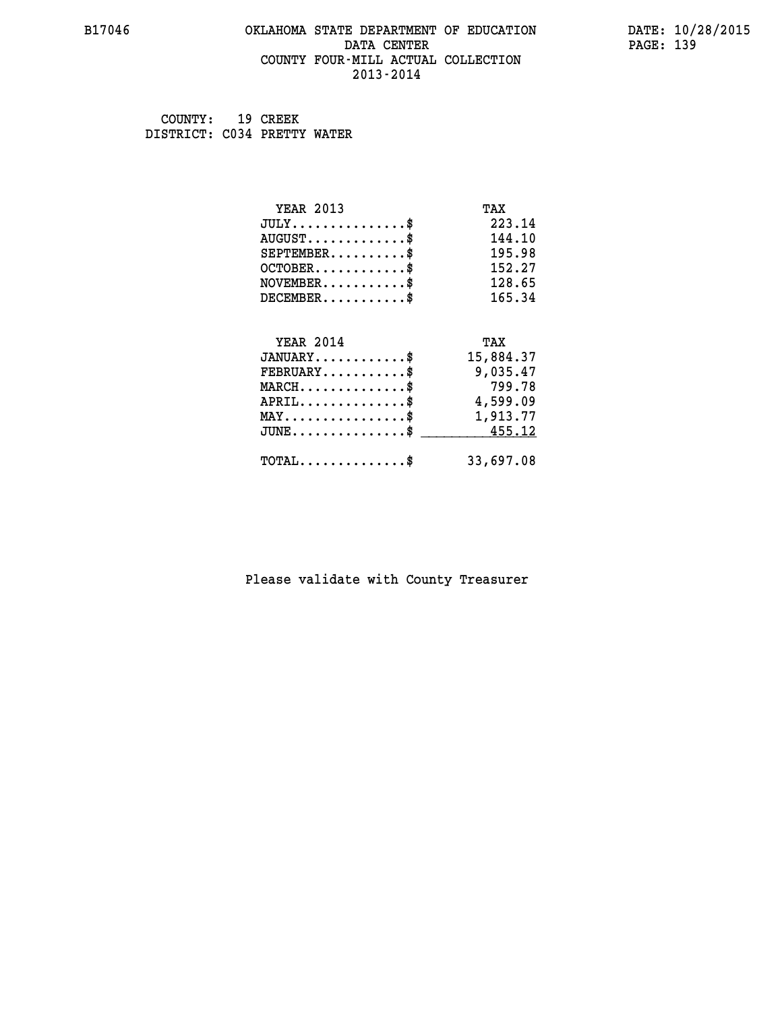#### **B17046 OKLAHOMA STATE DEPARTMENT OF EDUCATION DATE: 10/28/2015 DATA CENTER** PAGE: 139  **COUNTY FOUR-MILL ACTUAL COLLECTION 2013-2014**

 **COUNTY: 19 CREEK DISTRICT: C034 PRETTY WATER**

| <b>YEAR 2013</b>                               | TAX       |
|------------------------------------------------|-----------|
| $JULY$ \$                                      | 223.14    |
| $AUGUST$ \$                                    | 144.10    |
| $SEPTEMBER$ \$                                 | 195.98    |
| $OCTOBER$ \$                                   | 152.27    |
| $\texttt{NOVEMBER} \dots \dots \dots \$        | 128.65    |
| $DECEMBER$ \$                                  | 165.34    |
|                                                |           |
| <b>YEAR 2014</b>                               | TAX       |
| $JANUARY$ \$                                   | 15,884.37 |
| $FEBRUARY$                                     | 9,035.47  |
| $MARCH$ \$                                     | 799.78    |
| $APRIL \ldots \ldots \ldots \$                 | 4,599.09  |
| $\texttt{MAX} \dots \dots \dots \dots \dots \$ | 1,913.77  |
| $JUNE$ \$                                      | 455.12    |
| $\texttt{TOTAL} \dots \dots \dots \dots \$     | 33,697.08 |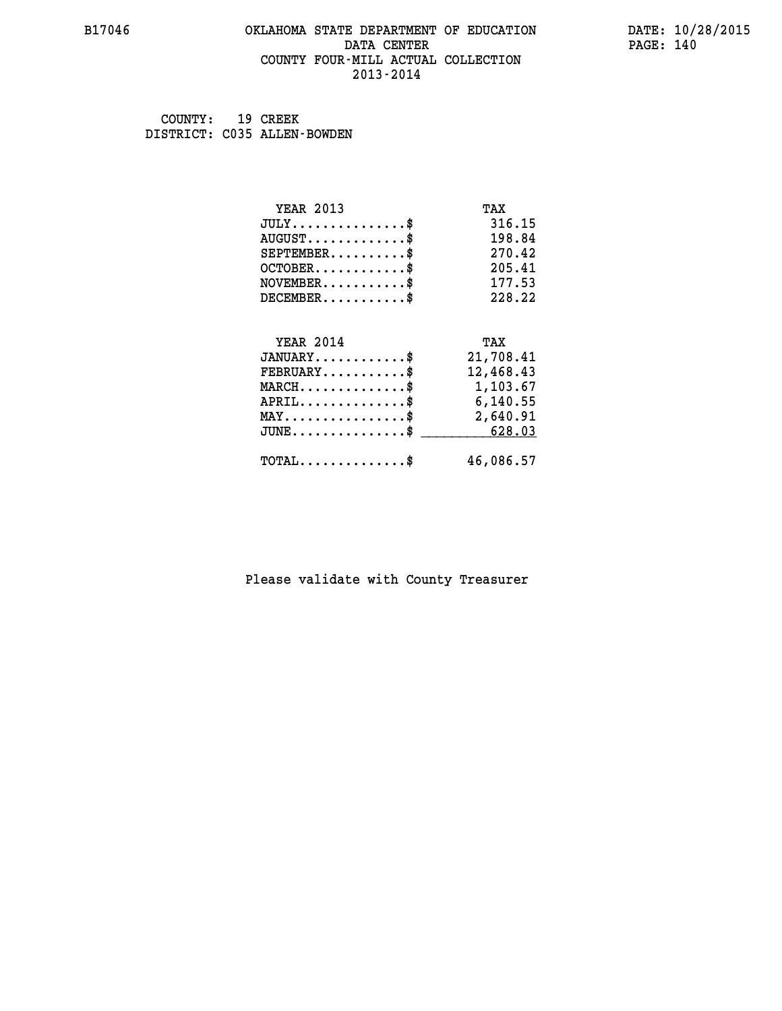#### **B17046 OKLAHOMA STATE DEPARTMENT OF EDUCATION DATE: 10/28/2015 DATA CENTER** PAGE: 140  **COUNTY FOUR-MILL ACTUAL COLLECTION 2013-2014**

 **COUNTY: 19 CREEK DISTRICT: C035 ALLEN-BOWDEN**

| <b>YEAR 2013</b>                                | TAX       |
|-------------------------------------------------|-----------|
| $JULY$ \$                                       | 316.15    |
| $AUGUST$ \$                                     | 198.84    |
| $SEPTEMENT.$ \$                                 | 270.42    |
| $OCTOBER$ \$                                    | 205.41    |
| $\texttt{NOVEMBER} \dots \dots \dots \$         | 177.53    |
| $DECEMBER$ \$                                   | 228.22    |
|                                                 |           |
| <b>YEAR 2014</b>                                | TAX       |
| $JANUARY$ \$                                    | 21,708.41 |
| $FEBRUARY$                                      | 12,468.43 |
| $MARCH$ \$                                      | 1,103.67  |
| $APRIL \ldots \ldots \ldots \ldots *$           | 6,140.55  |
| $\texttt{MAX} \dots \dots \dots \dots \dots \$$ | 2,640.91  |
| $JUNE$ \$                                       | 628.03    |
| $\texttt{TOTAL} \dots \dots \dots \dots$        | 46,086.57 |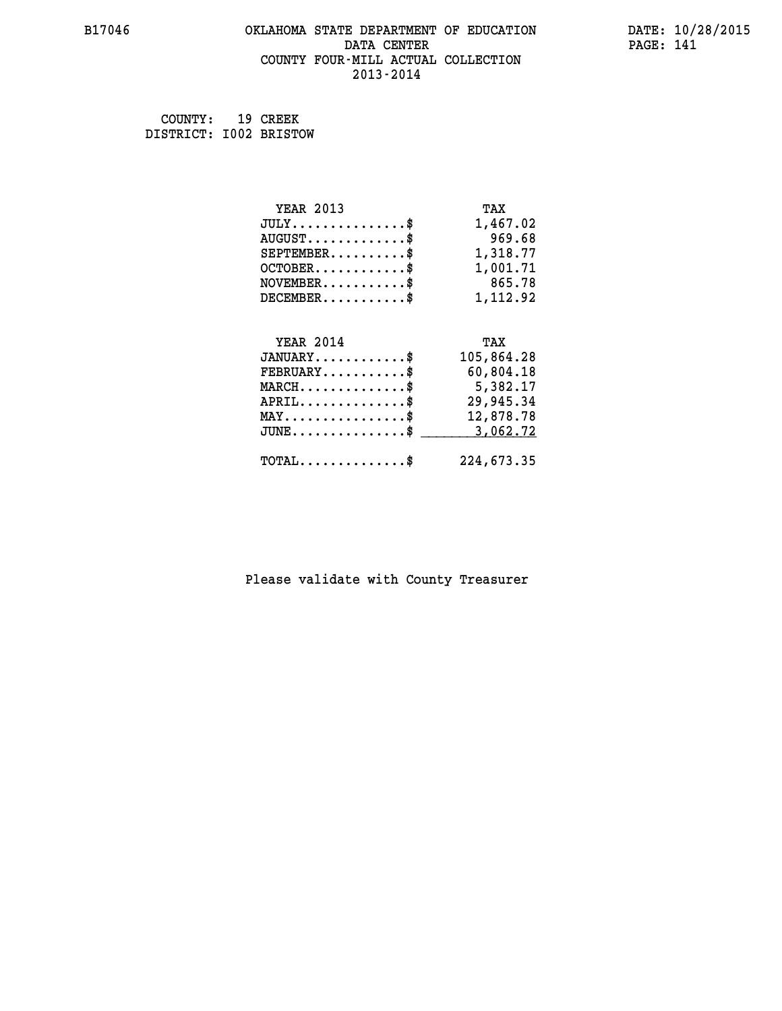#### **B17046 OKLAHOMA STATE DEPARTMENT OF EDUCATION DATE: 10/28/2015 DATA CENTER** PAGE: 141  **COUNTY FOUR-MILL ACTUAL COLLECTION 2013-2014**

 **COUNTY: 19 CREEK DISTRICT: I002 BRISTOW**

| <b>YEAR 2013</b>                                | TAX        |
|-------------------------------------------------|------------|
| $JULY$ \$                                       | 1,467.02   |
| $AUGUST$ \$                                     | 969.68     |
| $SEPTEMBER$ \$                                  | 1,318.77   |
| $OCTOBER$ \$                                    | 1,001.71   |
| $NOVEMBER$ \$                                   | 865.78     |
| $DECEMBER$ \$                                   | 1,112.92   |
|                                                 |            |
| <b>YEAR 2014</b>                                | TAX        |
| $JANUARY$ \$                                    | 105,864.28 |
| $FEBRUARY$ \$                                   | 60,804.18  |
| $MARCH$ \$                                      | 5,382.17   |
| $APRIL$ \$                                      | 29,945.34  |
| $\texttt{MAX} \dots \dots \dots \dots \dots$ \$ | 12,878.78  |
| $JUNE$ \$                                       | 3,062.72   |
| $TOTAL$ \$                                      | 224,673.35 |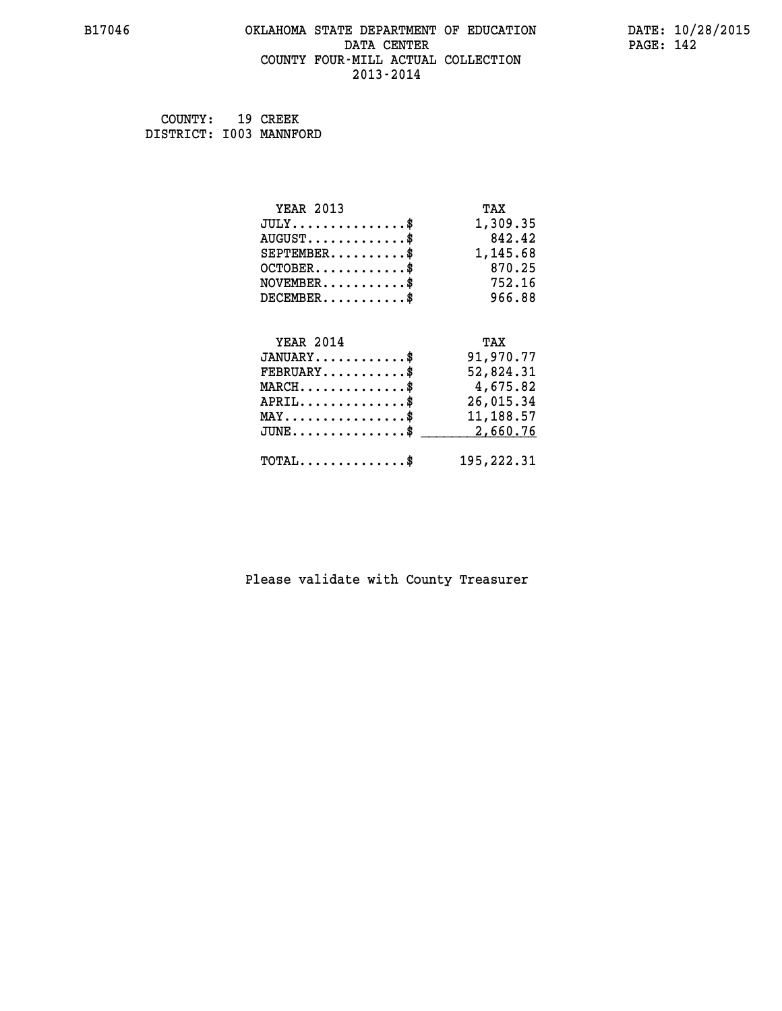#### **B17046 OKLAHOMA STATE DEPARTMENT OF EDUCATION DATE: 10/28/2015 DATA CENTER** PAGE: 142  **COUNTY FOUR-MILL ACTUAL COLLECTION 2013-2014**

 **COUNTY: 19 CREEK DISTRICT: I003 MANNFORD**

| <b>YEAR 2013</b>                               | TAX        |
|------------------------------------------------|------------|
| $JULY$ \$                                      | 1,309.35   |
| $AUGUST$ \$                                    | 842.42     |
| $SEPTEMBER$ \$                                 | 1,145.68   |
| $OCTOBER$ \$                                   | 870.25     |
| $NOVEMBER$ \$                                  | 752.16     |
| $DECEMBER$ \$                                  | 966.88     |
|                                                |            |
| <b>YEAR 2014</b>                               | TAX        |
| $JANUARY$ \$                                   | 91,970.77  |
| $FEBRUARY$                                     | 52,824.31  |
| $MARCH$ \$                                     | 4,675.82   |
| $APRIL$ \$                                     | 26,015.34  |
| $\texttt{MAX} \dots \dots \dots \dots \dots \$ | 11,188.57  |
| $JUNE$ \$                                      | 2,660.76   |
| $\texttt{TOTAL} \dots \dots \dots \dots \$     | 195,222.31 |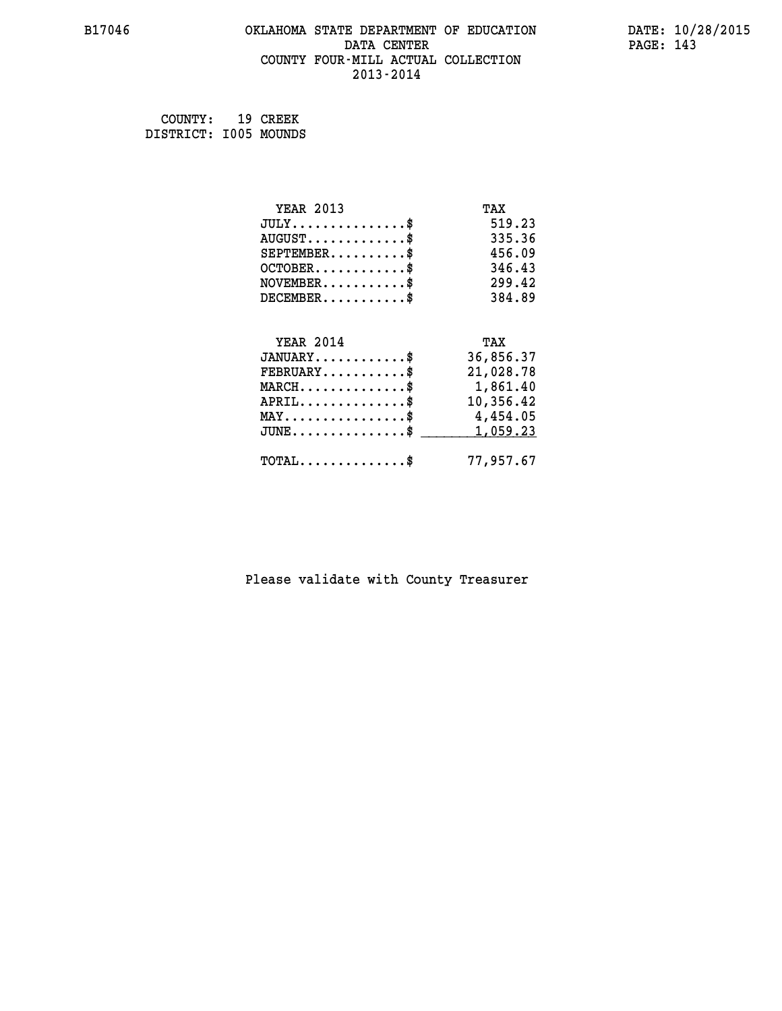#### **B17046 OKLAHOMA STATE DEPARTMENT OF EDUCATION DATE: 10/28/2015 DATA CENTER** PAGE: 143  **COUNTY FOUR-MILL ACTUAL COLLECTION 2013-2014**

 **COUNTY: 19 CREEK DISTRICT: I005 MOUNDS**

| <b>YEAR 2013</b>                           | TAX       |
|--------------------------------------------|-----------|
| $JULY$ \$                                  | 519.23    |
| $AUGUST$ \$                                | 335.36    |
| $SEPTEMBER$ \$                             | 456.09    |
| $OCTOBER$ \$                               | 346.43    |
| $NOVEMBER$ \$                              | 299.42    |
| $DECEMBER$ \$                              | 384.89    |
|                                            |           |
| <b>YEAR 2014</b>                           | TAX       |
| $JANUARY$ \$                               | 36,856.37 |
| $FEBRUARY$                                 | 21,028.78 |
| $MARCH$ \$                                 | 1,861.40  |
| $APRIL$ \$                                 | 10,356.42 |
| $MAX \dots \dots \dots \dots \dots$        | 4,454.05  |
| $JUNE$ \$                                  | 1,059.23  |
| $\texttt{TOTAL} \dots \dots \dots \dots \$ | 77,957.67 |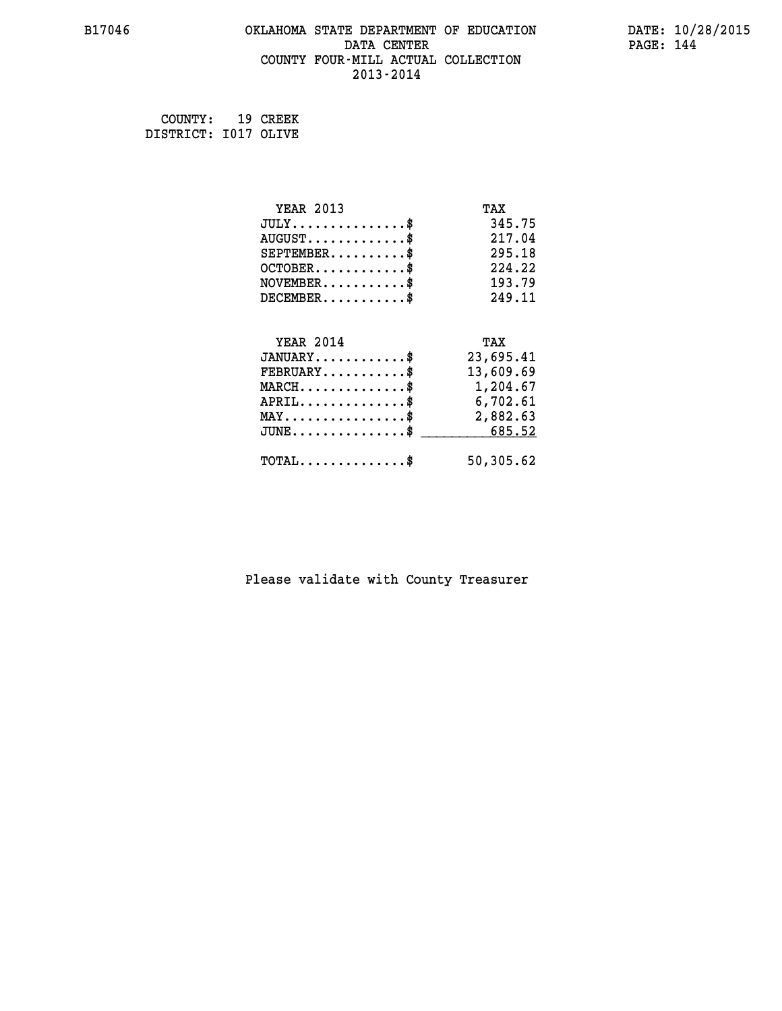#### **B17046 OKLAHOMA STATE DEPARTMENT OF EDUCATION DATE: 10/28/2015 DATA CENTER** PAGE: 144  **COUNTY FOUR-MILL ACTUAL COLLECTION 2013-2014**

 **COUNTY: 19 CREEK DISTRICT: I017 OLIVE**

| <b>YEAR 2013</b>                                      | TAX       |
|-------------------------------------------------------|-----------|
| $JULY$ \$                                             | 345.75    |
| $AUGUST$ \$                                           | 217.04    |
| $SEPTEMBER$ \$                                        | 295.18    |
| $OCTOBER$ \$                                          | 224.22    |
| $NOVEMBER$ \$                                         | 193.79    |
| $DECEMBER$ \$                                         | 249.11    |
|                                                       |           |
| <b>YEAR 2014</b>                                      | TAX       |
| $JANUARY$ \$                                          | 23,695.41 |
| $FEBRUARY$                                            | 13,609.69 |
| $MARCH$ \$                                            | 1,204.67  |
| $APRIL$ \$                                            | 6,702.61  |
| $\texttt{MAX} \dots \dots \dots \dots \dots \text{*}$ | 2,882.63  |
| $\texttt{JUNE} \dots \dots \dots \dots \dots \$$      | 685.52    |
| $\texttt{TOTAL} \dots \dots \dots \dots \$            | 50,305.62 |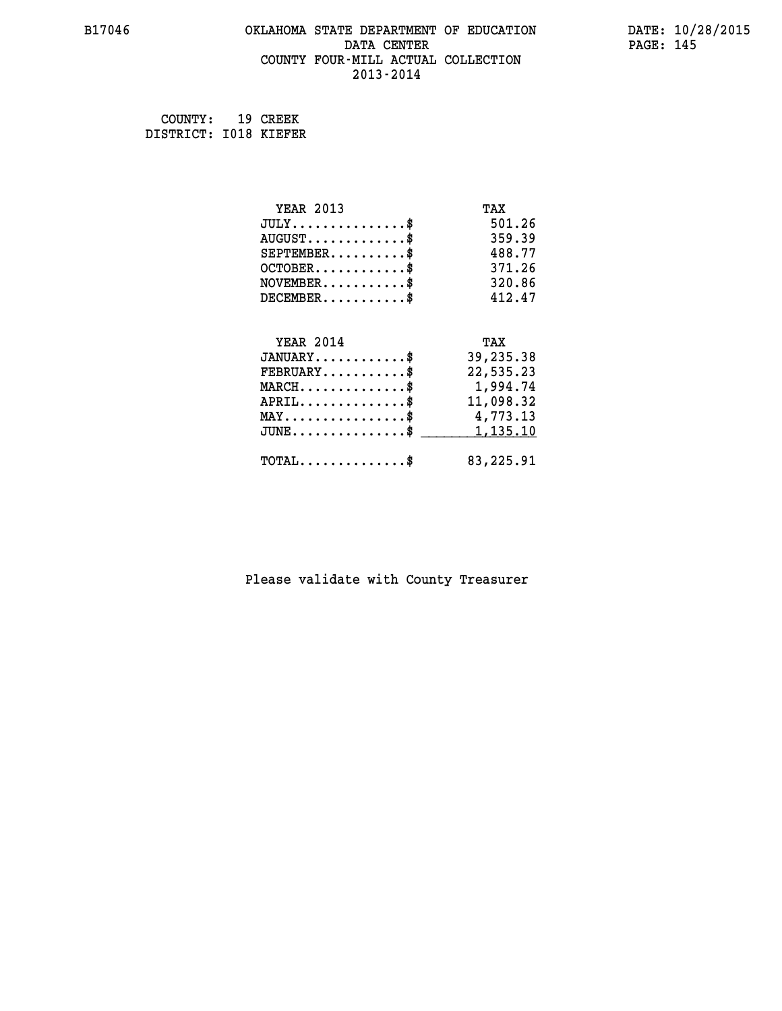#### **B17046 OKLAHOMA STATE DEPARTMENT OF EDUCATION DATE: 10/28/2015 DATA CENTER** PAGE: 145  **COUNTY FOUR-MILL ACTUAL COLLECTION 2013-2014**

 **COUNTY: 19 CREEK DISTRICT: I018 KIEFER**

| <b>YEAR 2013</b>                               | TAX       |
|------------------------------------------------|-----------|
| $JULY$ \$                                      | 501.26    |
| $AUGUST$ \$                                    | 359.39    |
| $SEPTEMBER$ \$                                 | 488.77    |
| $OCTOBER$ \$                                   | 371.26    |
| $NOVEMBER$ \$                                  | 320.86    |
| $DECEMBER$ \$                                  | 412.47    |
|                                                |           |
| <b>YEAR 2014</b>                               | TAX       |
| $JANUARY$ \$                                   | 39,235.38 |
| $FEBRUARY$                                     | 22,535.23 |
| $MARCH$ \$                                     | 1,994.74  |
| $APRIL$ \$                                     | 11,098.32 |
| $\texttt{MAX} \dots \dots \dots \dots \dots \$ | 4,773.13  |
| $JUNE$ $$$                                     | 1,135.10  |
| $\texttt{TOTAL} \dots \dots \dots \dots \$     | 83,225.91 |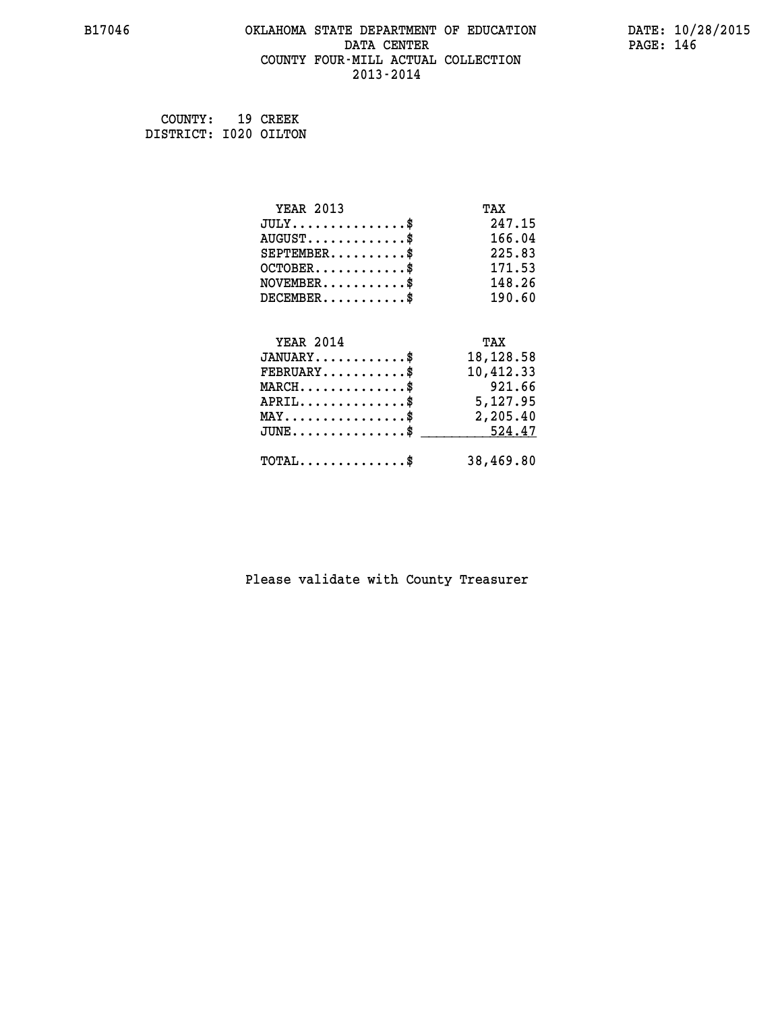#### **B17046 OKLAHOMA STATE DEPARTMENT OF EDUCATION DATE: 10/28/2015 DATA CENTER** PAGE: 146  **COUNTY FOUR-MILL ACTUAL COLLECTION 2013-2014**

 **COUNTY: 19 CREEK DISTRICT: I020 OILTON**

| <b>YEAR 2013</b>                                   | TAX       |
|----------------------------------------------------|-----------|
| $JULY$ \$                                          | 247.15    |
| $AUGUST$ \$                                        | 166.04    |
| $SEPTEMBER$ \$                                     | 225.83    |
| $OCTOBER$ \$                                       | 171.53    |
| $NOVEMBER.$ \$                                     | 148.26    |
| $DECEMBER$ \$                                      | 190.60    |
|                                                    |           |
| <b>YEAR 2014</b>                                   | TAX       |
| $JANUARY$ \$                                       | 18,128.58 |
| $FEBRUARY$                                         | 10,412.33 |
| $MARCH$ \$                                         | 921.66    |
| $APRIL \ldots \ldots \ldots \ldots \$              | 5,127.95  |
| $\texttt{MAX} \dots \dots \dots \dots \dots \$     | 2,205.40  |
| $\texttt{JUNE} \dots \dots \dots \dots \texttt{S}$ | 524.47    |
| $\texttt{TOTAL} \dots \dots \dots \dots$           | 38,469.80 |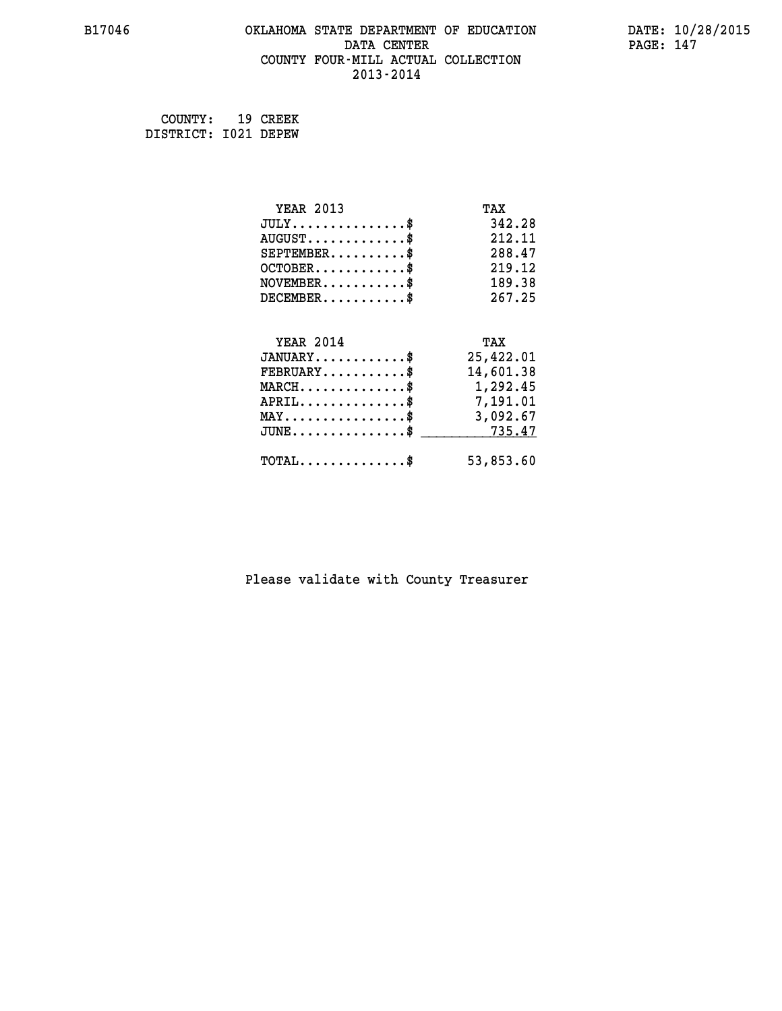#### **B17046 OKLAHOMA STATE DEPARTMENT OF EDUCATION DATE: 10/28/2015 DATA CENTER** PAGE: 147  **COUNTY FOUR-MILL ACTUAL COLLECTION 2013-2014**

 **COUNTY: 19 CREEK DISTRICT: I021 DEPEW**

| <b>YEAR 2013</b>                               | TAX       |
|------------------------------------------------|-----------|
| $JULY$ \$                                      | 342.28    |
| $AUGUST$ \$                                    | 212.11    |
| $SEPTEMBER$ \$                                 | 288.47    |
| $OCTOBER$ \$                                   | 219.12    |
| $NOVEMBER$ \$                                  | 189.38    |
| $DECEMBER$ \$                                  | 267.25    |
|                                                |           |
| <b>YEAR 2014</b>                               | TAX       |
| $JANUARY$ \$                                   | 25,422.01 |
| $FEBRUARY$                                     | 14,601.38 |
| $MARCH$ \$                                     | 1,292.45  |
| $APRIL$ \$                                     | 7,191.01  |
| $\texttt{MAX} \dots \dots \dots \dots \dots \$ | 3,092.67  |
| $JUNE \ldots \ldots \ldots \ldots \ldots$ \$   | 735.47    |
| $\texttt{TOTAL} \dots \dots \dots \dots \$     | 53,853.60 |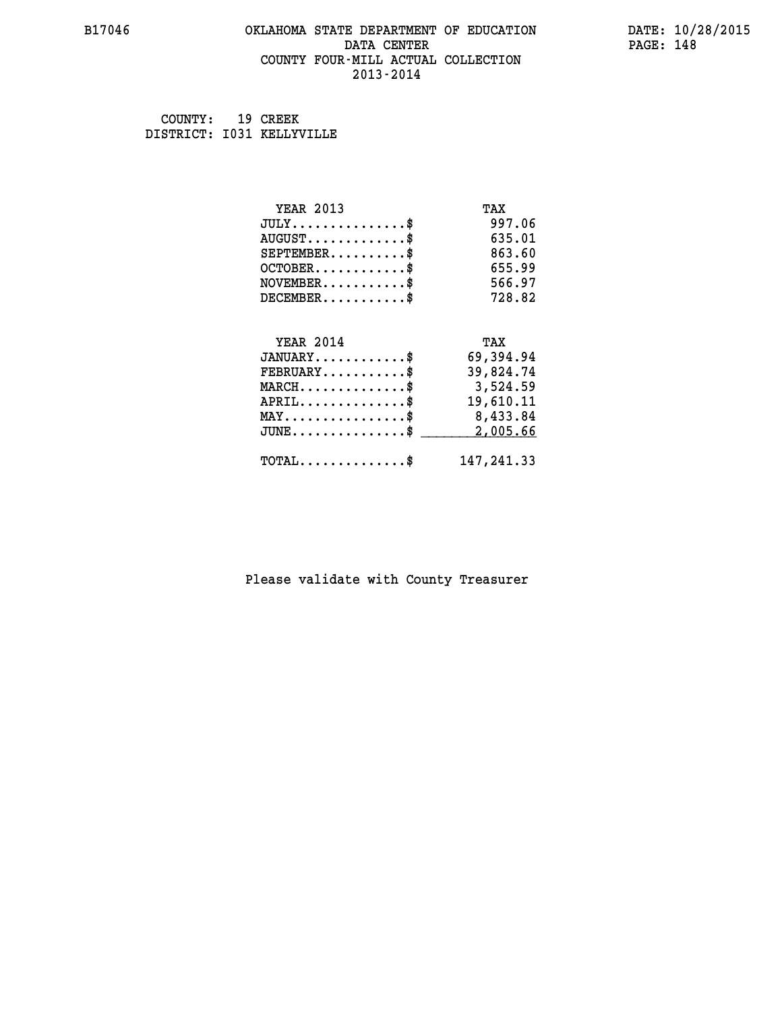#### **B17046 OKLAHOMA STATE DEPARTMENT OF EDUCATION DATE: 10/28/2015 DATA CENTER** PAGE: 148  **COUNTY FOUR-MILL ACTUAL COLLECTION 2013-2014**

 **COUNTY: 19 CREEK DISTRICT: I031 KELLYVILLE**

| <b>YEAR 2013</b>                                   | TAX         |
|----------------------------------------------------|-------------|
| $JULY$ \$                                          | 997.06      |
| $AUGUST$ \$                                        | 635.01      |
| $SEPTEMENT.$ \$                                    | 863.60      |
| $OCTOBER$ \$                                       | 655.99      |
| $NOVEMBER$ \$                                      | 566.97      |
| $DECEMBER$ \$                                      | 728.82      |
|                                                    |             |
| <b>YEAR 2014</b>                                   | TAX         |
| $JANUARY$ \$                                       | 69,394.94   |
| $FEBRUARY$                                         | 39,824.74   |
| $MARCH$ \$                                         | 3,524.59    |
| $APRIL$ \$                                         | 19,610.11   |
| MAY\$ 8,433.84                                     |             |
| $\texttt{JUNE} \dots \dots \dots \dots \texttt{S}$ | 2,005.66    |
| $\texttt{TOTAL} \dots \dots \dots \dots \$         | 147, 241.33 |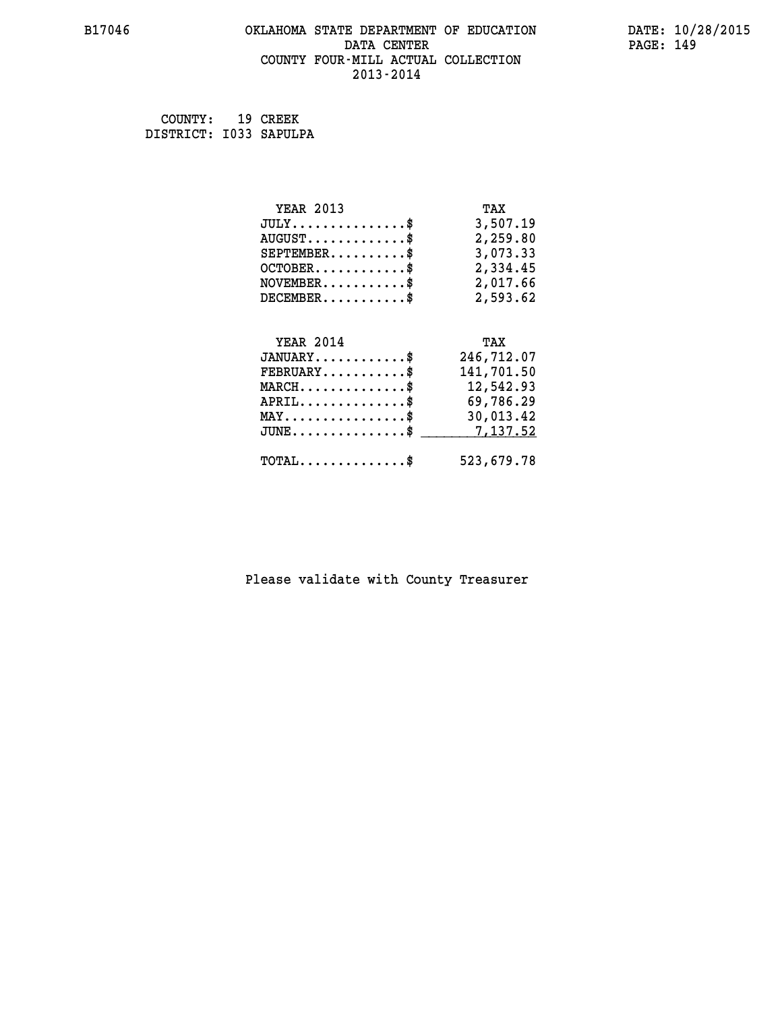#### **B17046 OKLAHOMA STATE DEPARTMENT OF EDUCATION DATE: 10/28/2015 DATA CENTER** PAGE: 149  **COUNTY FOUR-MILL ACTUAL COLLECTION 2013-2014**

 **COUNTY: 19 CREEK DISTRICT: I033 SAPULPA**

| <b>YEAR 2013</b>                                                          | TAX        |
|---------------------------------------------------------------------------|------------|
| $JULY$ \$                                                                 | 3,507.19   |
| $AUGUST$ \$                                                               | 2,259.80   |
| $SEPTEMBER$ \$                                                            | 3,073.33   |
| $OCTOBER$ \$                                                              | 2,334.45   |
| $\verb NOVEMBER , \verb , \verb , \verb , \verb , \verb , \verb , \verb $ | 2,017.66   |
| $DECEMBER$ \$                                                             | 2,593.62   |
|                                                                           |            |
| <b>YEAR 2014</b>                                                          | TAX        |
| $JANUARY$ \$                                                              | 246,712.07 |
| $FEBRUARY$ \$                                                             | 141,701.50 |
|                                                                           |            |
| $\texttt{MARCH}\ldots\ldots\ldots\ldots\text{*}$                          | 12,542.93  |
| $APRIL \ldots \ldots \ldots \ldots *$                                     | 69,786.29  |
| $\texttt{MAX} \dots \dots \dots \dots \dots \$                            | 30,013.42  |
| $\texttt{JUNE} \dots \dots \dots \dots \dots \$$                          | 7,137.52   |
| $\texttt{TOTAL} \dots \dots \dots \dots$ \$                               | 523,679.78 |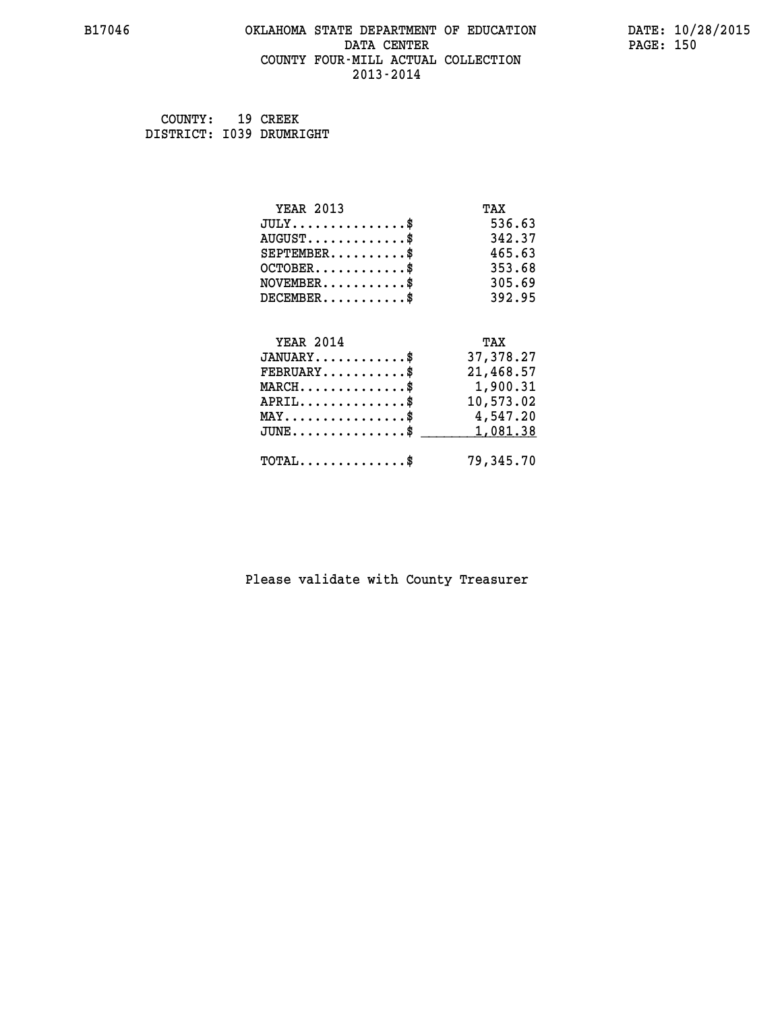#### **B17046 OKLAHOMA STATE DEPARTMENT OF EDUCATION DATE: 10/28/2015 DATA CENTER** PAGE: 150  **COUNTY FOUR-MILL ACTUAL COLLECTION 2013-2014**

| COUNTY:                  | 19 CREEK |
|--------------------------|----------|
| DISTRICT: 1039 DRUMRIGHT |          |

| <b>YEAR 2013</b>                                 | TAX       |
|--------------------------------------------------|-----------|
| $JULY$ \$                                        | 536.63    |
| $AUGUST$ \$                                      | 342.37    |
| $SEPTEMBER$ \$                                   | 465.63    |
| $OCTOBER$ \$                                     | 353.68    |
| $NOVEMBER.$ \$                                   | 305.69    |
| $DECEMBER$ \$                                    | 392.95    |
|                                                  |           |
| <b>YEAR 2014</b>                                 | TAX       |
| $JANUARY$ \$                                     | 37,378.27 |
| $FEBRUARY$                                       | 21,468.57 |
| $\texttt{MARCH}\ldots\ldots\ldots\ldots\text{*}$ | 1,900.31  |
| $APRIL \ldots \ldots \ldots \ldots \$            | 10,573.02 |
| MAY\$ 4,547.20                                   |           |
| $\texttt{JUNE} \dots \dots \dots \dots \dots \$$ | 1,081.38  |
| $\texttt{TOTAL} \dots \dots \dots \dots$ \$      | 79,345.70 |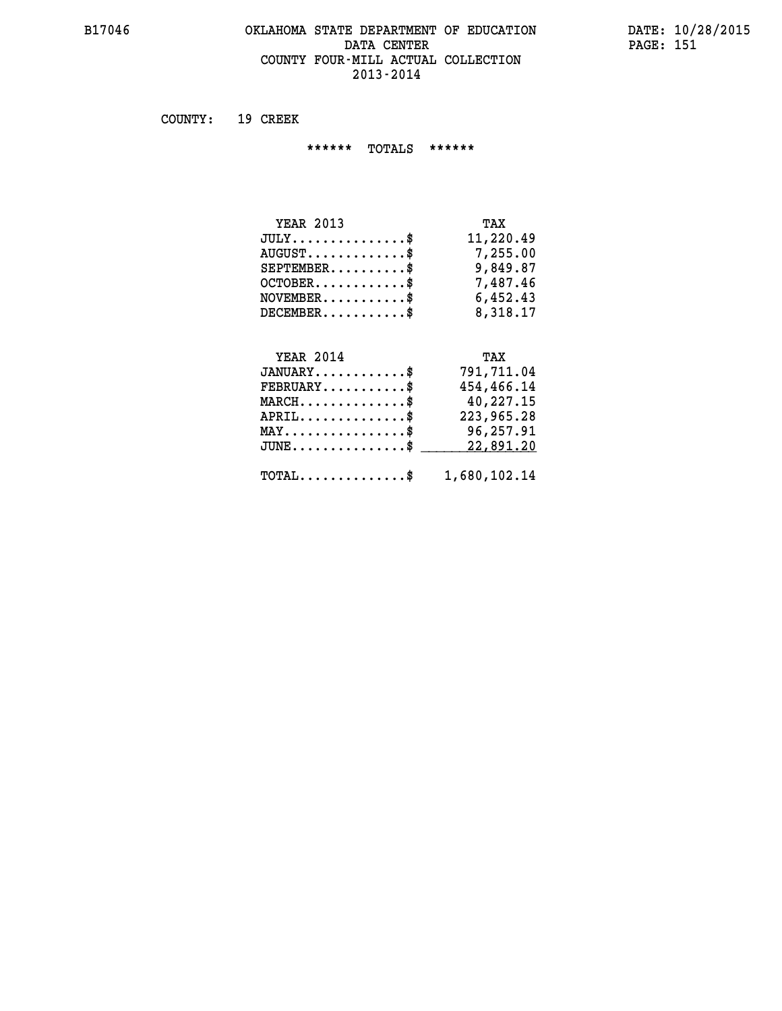### **B17046 OKLAHOMA STATE DEPARTMENT OF EDUCATION DATE: 10/28/2015** DATA CENTER PAGE: 151  **COUNTY FOUR-MILL ACTUAL COLLECTION 2013-2014**

 **COUNTY: 19 CREEK**

 **\*\*\*\*\*\* TOTALS \*\*\*\*\*\***

| <b>YEAR 2013</b> | TAX       |
|------------------|-----------|
| $JULY$           | 11,220.49 |
| $AUGUST$ $\$\$   | 7,255.00  |
| $SEPTEMBER$      | 9,849.87  |
| $OCTOBER$ \$     | 7,487.46  |
| $NOVEMENTER$ \$  | 6,452.43  |
| $DECEMBER$       | 8,318.17  |

# **YEAR 2014 TAX**

| $JANUARY$                                               | 791,711.04 |
|---------------------------------------------------------|------------|
| $FEBRUARY$                                              | 454,466.14 |
| $MARCH$ \$                                              | 40,227.15  |
| $APRIL$ \$                                              | 223,965.28 |
| $MAX \dots \dots \dots \dots \$                         | 96,257.91  |
| $JUNE \dots \dots \dots \dots \$ 22,891.20              |            |
| $\texttt{TOTAL} \dots \dots \dots \dots \$ 1,680,102.14 |            |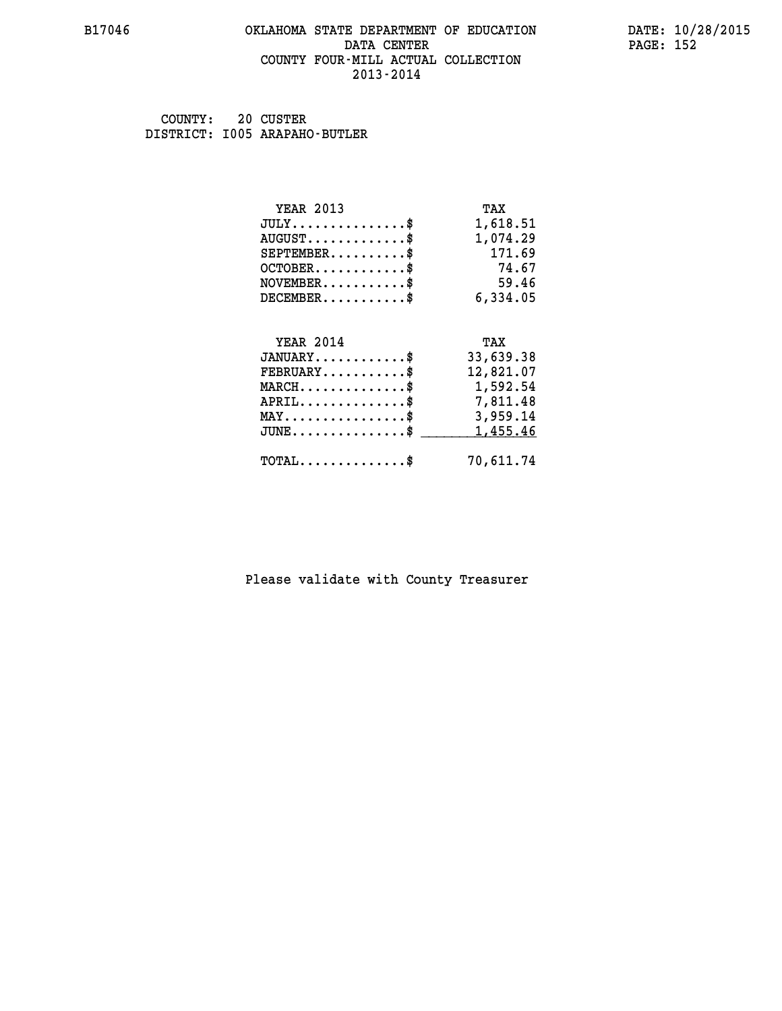#### **B17046 OKLAHOMA STATE DEPARTMENT OF EDUCATION DATE: 10/28/2015 DATA CENTER** PAGE: 152  **COUNTY FOUR-MILL ACTUAL COLLECTION 2013-2014**

 **COUNTY: 20 CUSTER DISTRICT: I005 ARAPAHO-BUTLER**

| <b>YEAR 2013</b>                               | TAX       |
|------------------------------------------------|-----------|
| $JULY$ \$                                      | 1,618.51  |
| $AUGUST$ \$                                    | 1,074.29  |
| $SEPTEMBER$ \$                                 | 171.69    |
| $OCTOBER$ \$                                   | 74.67     |
| $NOVEMBER$ \$                                  | 59.46     |
| $DECEMBER$ \$                                  | 6,334.05  |
|                                                |           |
| <b>YEAR 2014</b>                               | TAX       |
| $JANUARY$                                      | 33,639.38 |
| $FEBRUARY$                                     | 12,821.07 |
| $MARCH$ \$                                     | 1,592.54  |
| $APRIL$ \$ 7,811.48                            |           |
| $\texttt{MAX} \dots \dots \dots \dots \dots \$ | 3,959.14  |
| $JUNE$ \$                                      | 1,455.46  |
| $\texttt{TOTAL} \dots \dots \dots \dots \$     | 70,611.74 |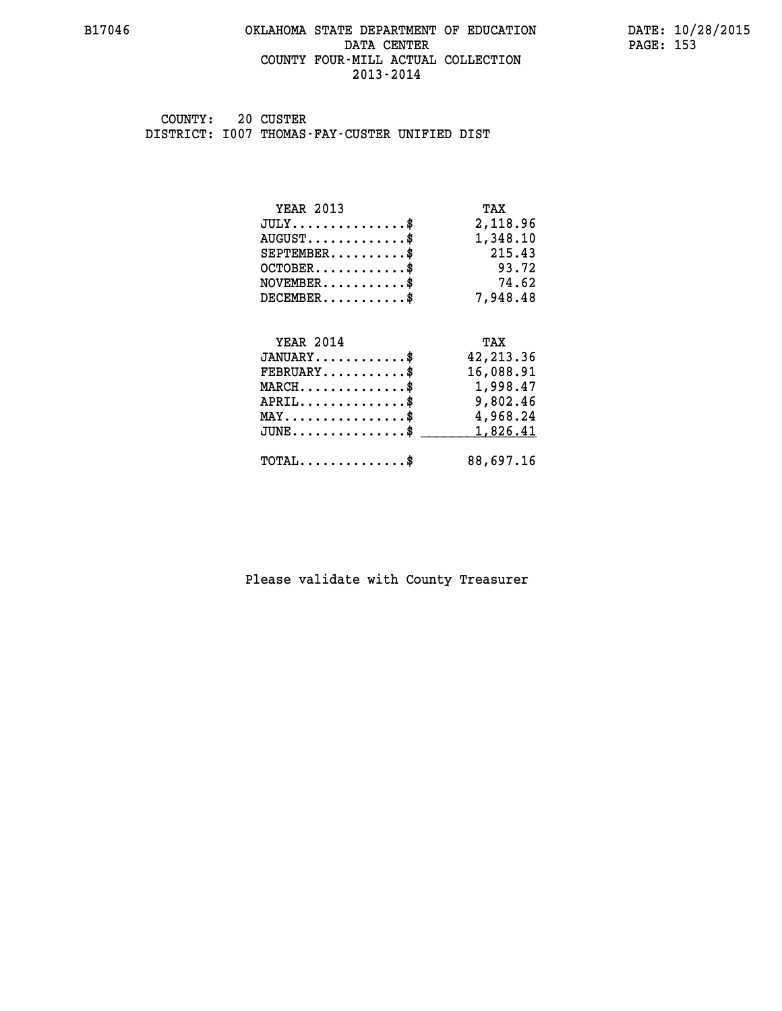#### **B17046 OKLAHOMA STATE DEPARTMENT OF EDUCATION DATE: 10/28/2015 DATA CENTER** PAGE: 153  **COUNTY FOUR-MILL ACTUAL COLLECTION 2013-2014**

 **COUNTY: 20 CUSTER DISTRICT: I007 THOMAS-FAY-CUSTER UNIFIED DIST**

| <b>YEAR 2013</b>                               | TAX        |
|------------------------------------------------|------------|
| $JULY$ \$                                      | 2,118.96   |
| $AUGUST$ \$                                    | 1,348.10   |
| $SEPTEMBER$ \$                                 | 215.43     |
| $OCTOBER$ \$                                   | 93.72      |
| $NOVEMBER$ \$                                  | 74.62      |
| $DECEMBER$ \$                                  | 7,948.48   |
|                                                |            |
| <b>YEAR 2014</b>                               | TAX        |
| $JANUARY$ \$                                   | 42, 213.36 |
| $FEBRUARY$                                     | 16,088.91  |
| $MARCH$ \$                                     | 1,998.47   |
| $APRIL$ \$                                     | 9,802.46   |
| $\texttt{MAX} \dots \dots \dots \dots \dots \$ | 4,968.24   |
| $JUNE$ \$                                      | 1,826.41   |
| $\texttt{TOTAL} \dots \dots \dots \dots \$     | 88,697.16  |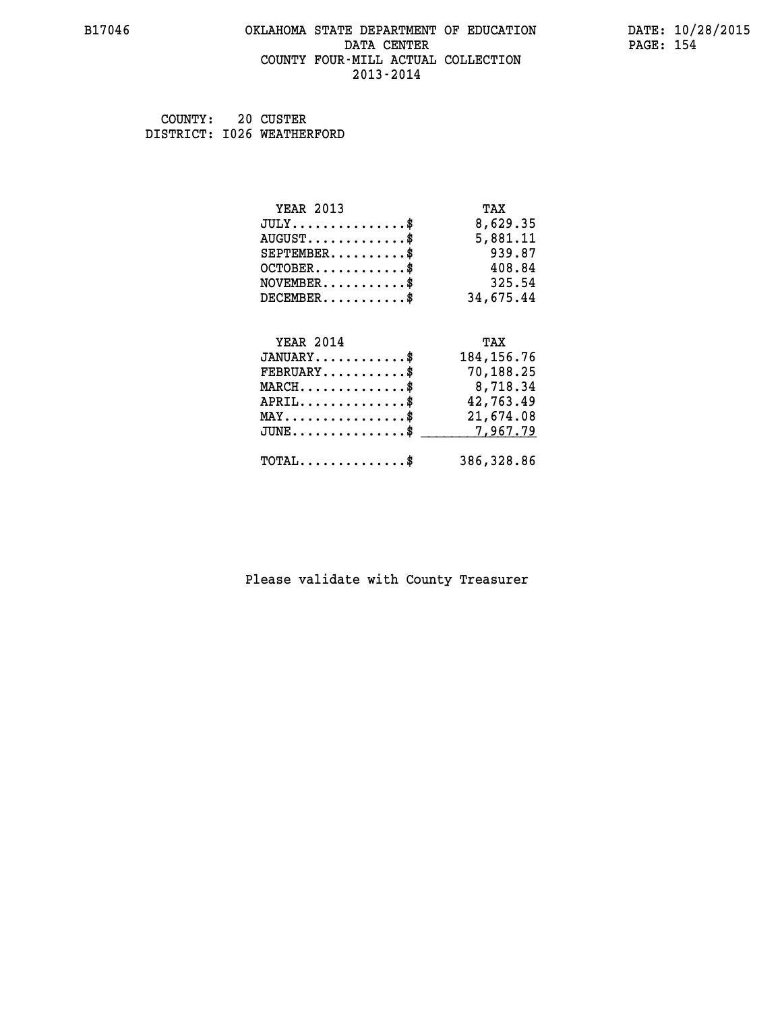#### **B17046 OKLAHOMA STATE DEPARTMENT OF EDUCATION DATE: 10/28/2015 DATA CENTER** PAGE: 154  **COUNTY FOUR-MILL ACTUAL COLLECTION 2013-2014**

 **COUNTY: 20 CUSTER DISTRICT: I026 WEATHERFORD**

| <b>YEAR 2013</b>                               | TAX          |
|------------------------------------------------|--------------|
| $JULY$ \$                                      | 8,629.35     |
| $AUGUST$ \$                                    | 5,881.11     |
| $SEPTEMBER$                                    | 939.87       |
| $OCTOBER$ \$                                   | 408.84       |
| $NOVEMBER$ \$                                  | 325.54       |
| $DECEMBER$ \$                                  | 34,675.44    |
|                                                |              |
| <b>YEAR 2014</b>                               | TAX          |
| $JANUARY$ \$                                   | 184, 156. 76 |
| $FEBRUARY$                                     | 70,188.25    |
| $MARCH$ \$                                     | 8,718.34     |
|                                                | 42,763.49    |
| $APRIL$ \$                                     |              |
| $\texttt{MAX} \dots \dots \dots \dots \dots \$ | 21,674.08    |
| $JUNE$ \$                                      | 7,967.79     |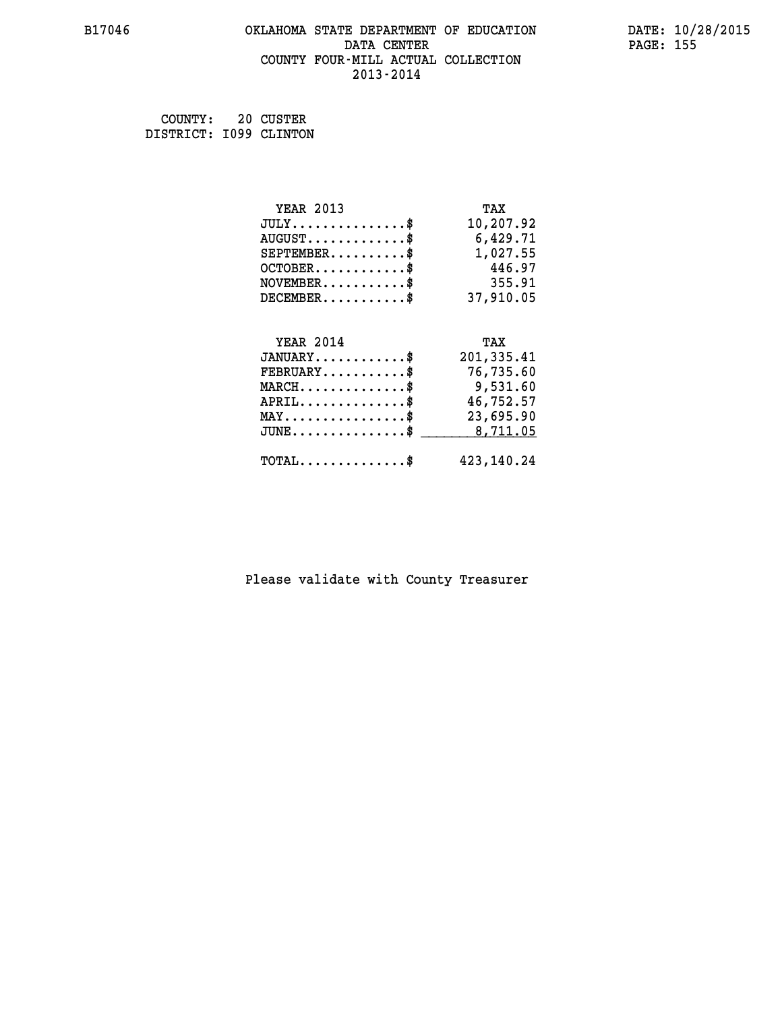#### **B17046 OKLAHOMA STATE DEPARTMENT OF EDUCATION DATE: 10/28/2015 DATA CENTER** PAGE: 155  **COUNTY FOUR-MILL ACTUAL COLLECTION 2013-2014**

 **COUNTY: 20 CUSTER**

| COUNTY:                | ZU CUSTER |
|------------------------|-----------|
| DISTRICT: 1099 CLINTON |           |

| <b>YEAR 2013</b>                                | TAX        |
|-------------------------------------------------|------------|
| $JULY$ \$                                       | 10,207.92  |
| $AUGUST$ \$                                     | 6,429.71   |
| $SEPTEMBER$ \$                                  | 1,027.55   |
| $OCTOBER$ \$                                    | 446.97     |
| $NOVEMBER$ \$                                   | 355.91     |
| $DECEMBER$ \$                                   | 37,910.05  |
|                                                 |            |
| <b>YEAR 2014</b>                                | TAX        |
| $JANUARY$ \$                                    | 201,335.41 |
| $FEBRUARY$                                      | 76,735.60  |
| $MARCH$ \$                                      | 9,531.60   |
| $APRIL$ \$                                      | 46,752.57  |
| $\texttt{MAX} \dots \dots \dots \dots \dots$ \$ | 23,695.90  |
| $JUNE$ $$$                                      | 8,711.05   |
|                                                 |            |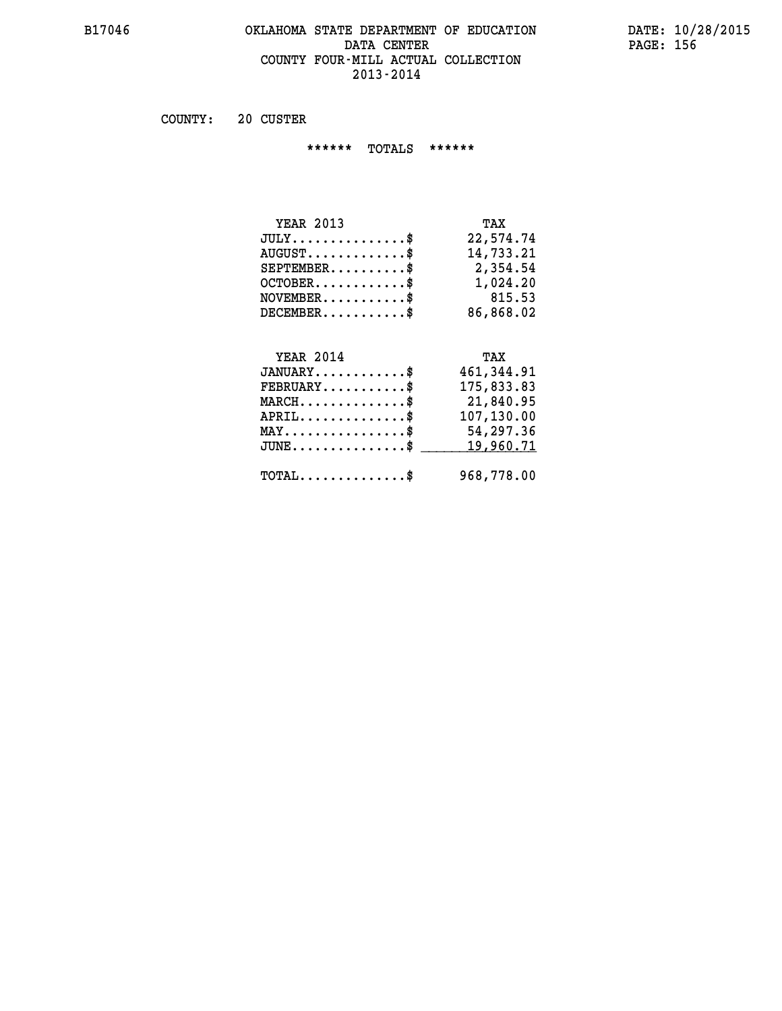#### **B17046 OKLAHOMA STATE DEPARTMENT OF EDUCATION DATE: 10/28/2015 DATA CENTER** PAGE: 156  **COUNTY FOUR-MILL ACTUAL COLLECTION 2013-2014**

 **COUNTY: 20 CUSTER**

 **\*\*\*\*\*\* TOTALS \*\*\*\*\*\***

| <b>YEAR 2013</b>        | TAX       |
|-------------------------|-----------|
| $JULY$                  | 22,574.74 |
| $AUGUST$ \$             | 14,733.21 |
| $SEPTEMBER$ $\$         | 2,354.54  |
| $OCTOBER$ $\frac{1}{2}$ | 1,024.20  |
| $NOVEMBER$ $\$          | 815.53    |
| $DECEMBER$ \$           | 86,868.02 |

# **YEAR 2014**

| <b>YEAR 2014</b>                           | TAX         |
|--------------------------------------------|-------------|
| $JANUARY$ \$                               | 461, 344.91 |
| $FEBRUARY$ \$                              | 175,833.83  |
| $MARCH$ \$                                 | 21,840.95   |
| $APRIL$                                    | 107,130.00  |
| $MAX \dots \dots \dots \dots \$            | 54,297.36   |
| JUNE\$ 19,960.71                           |             |
| $\texttt{TOTAL} \dots \dots \dots \dots \$ | 968,778.00  |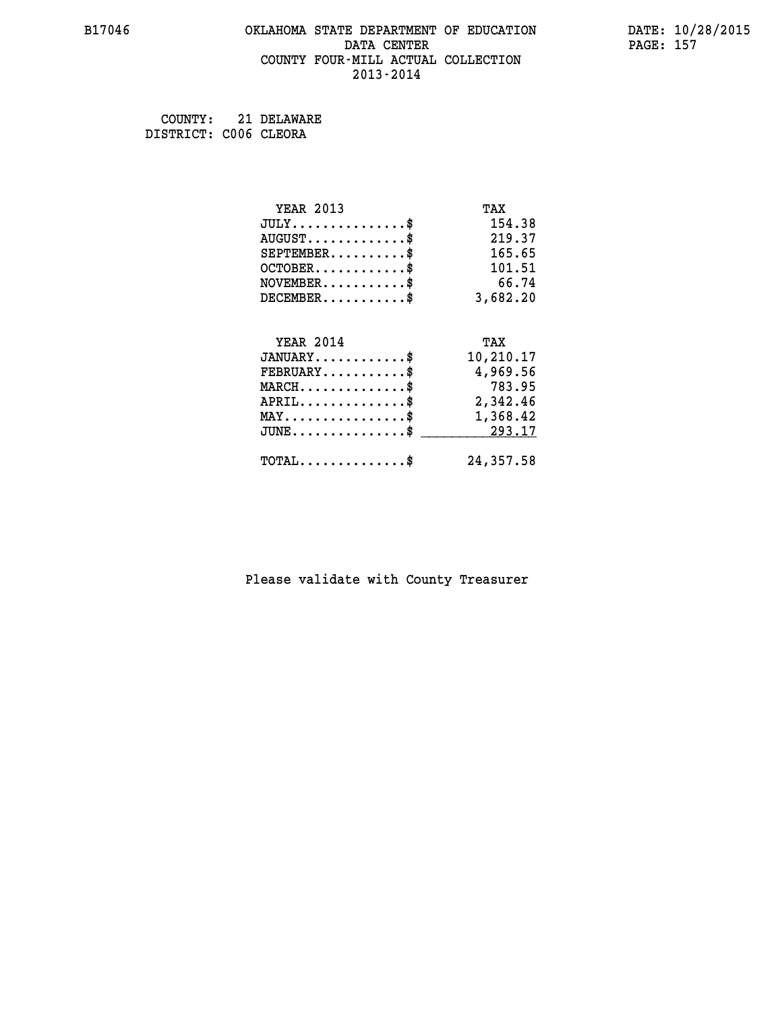#### **B17046 OKLAHOMA STATE DEPARTMENT OF EDUCATION DATE: 10/28/2015 DATA CENTER** PAGE: 157  **COUNTY FOUR-MILL ACTUAL COLLECTION 2013-2014**

 **COUNTY: 21 DELAWARE DISTRICT: C006 CLEORA**

| <b>YEAR 2013</b>                               | TAX       |
|------------------------------------------------|-----------|
| $JULY$ \$                                      | 154.38    |
| $AUGUST$ \$                                    | 219.37    |
| $SEPTEMENT.$ \$                                | 165.65    |
| $OCTOBER$ \$                                   | 101.51    |
| $NOVEMBER$ \$                                  | 66.74     |
| $DECEMBER$ \$                                  | 3,682.20  |
|                                                |           |
| <b>YEAR 2014</b>                               | TAX       |
| $JANUARY$ \$                                   | 10,210.17 |
| $FEBRUARY$                                     | 4,969.56  |
| $MARCH$ \$                                     | 783.95    |
| $APRIL$ \$                                     | 2,342.46  |
| $\texttt{MAX} \dots \dots \dots \dots \dots \$ | 1,368.42  |
| $JUNE$ \$                                      | 293.17    |
| $\texttt{TOTAL} \dots \dots \dots \dots \$     | 24,357.58 |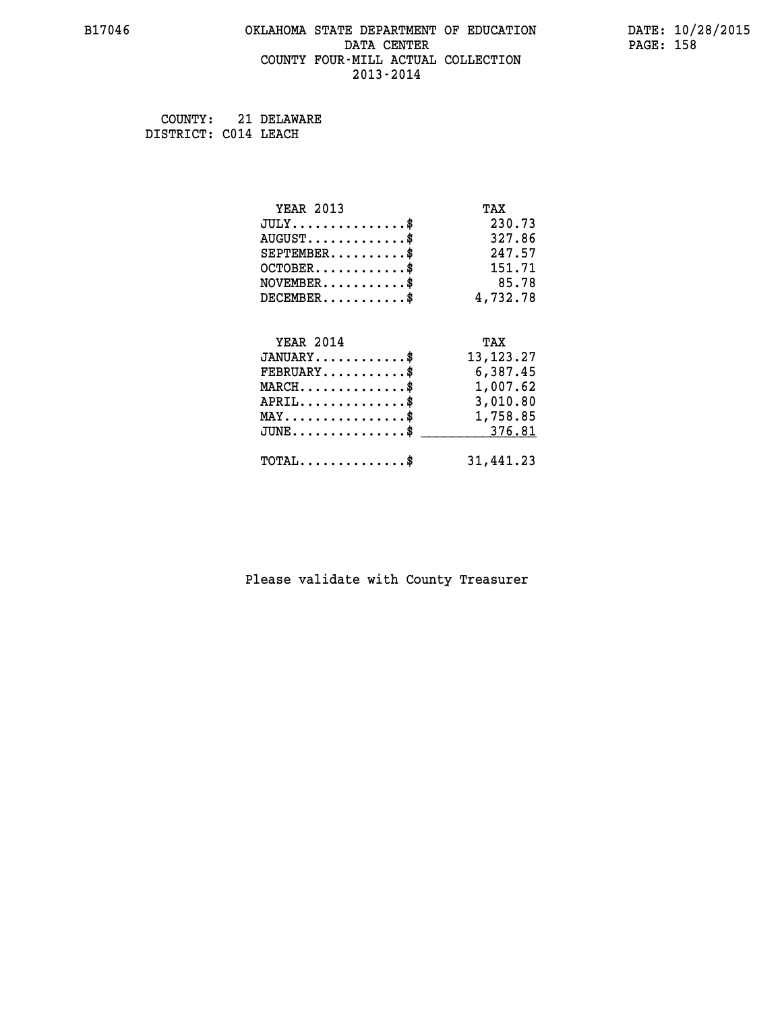#### **B17046 OKLAHOMA STATE DEPARTMENT OF EDUCATION DATE: 10/28/2015 DATA CENTER** PAGE: 158  **COUNTY FOUR-MILL ACTUAL COLLECTION 2013-2014**

 **COUNTY: 21 DELAWARE DISTRICT: C014 LEACH**

| <b>YEAR 2013</b>                                   | TAX         |
|----------------------------------------------------|-------------|
| $JULY$ \$                                          | 230.73      |
| $AUGUST$ \$                                        | 327.86      |
| $SEPTEMBER$ \$                                     | 247.57      |
| $OCTOBER$ \$                                       | 151.71      |
| $NOVEMBER$ \$                                      | 85.78       |
| $DECEMBER$ \$                                      | 4,732.78    |
|                                                    |             |
| <b>YEAR 2014</b>                                   | TAX         |
| $JANUARY$ \$                                       | 13, 123. 27 |
| $FEBRUARY$                                         | 6,387.45    |
| $\texttt{MARCH}\ldots\ldots\ldots\ldots\$          | 1,007.62    |
| $APRIL \ldots \ldots \ldots \ldots$                | 3,010.80    |
| $\texttt{MAX} \dots \dots \dots \dots \dots \$     | 1,758.85    |
| $\texttt{JUNE} \dots \dots \dots \dots \texttt{S}$ | 376.81      |
| $\texttt{TOTAL} \dots \dots \dots \dots \$         | 31,441.23   |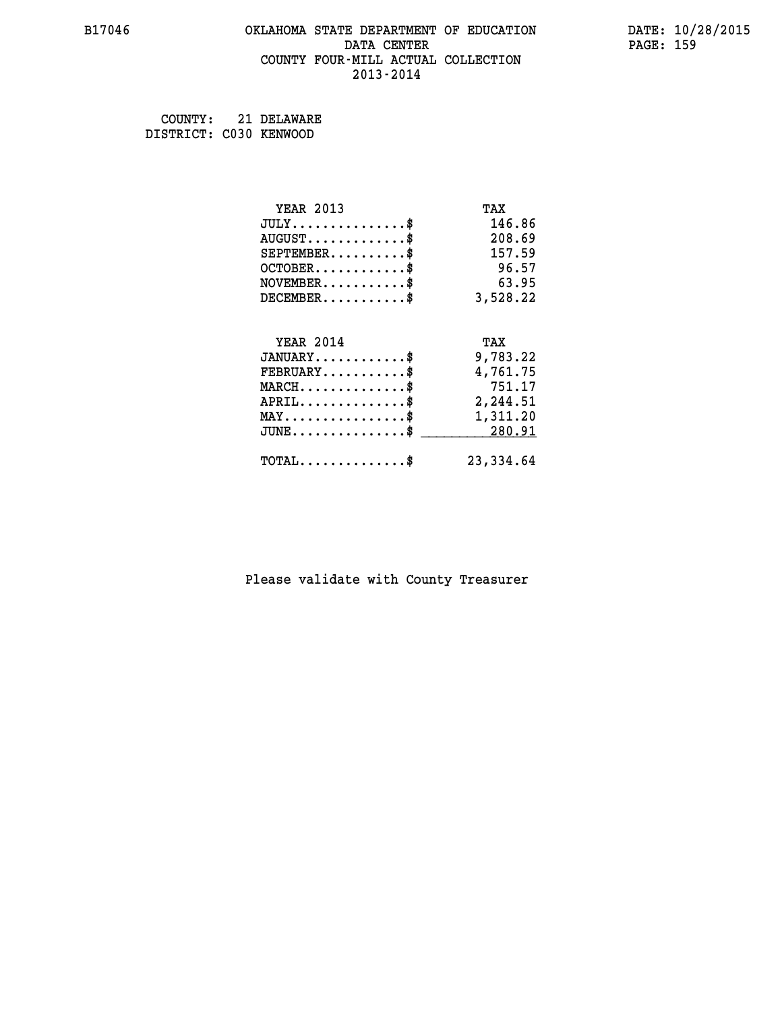#### **B17046 OKLAHOMA STATE DEPARTMENT OF EDUCATION DATE: 10/28/2015 DATA CENTER** PAGE: 159  **COUNTY FOUR-MILL ACTUAL COLLECTION 2013-2014**

 **COUNTY: 21 DELAWARE DISTRICT: C030 KENWOOD**

| <b>YEAR 2013</b>                                 | TAX        |
|--------------------------------------------------|------------|
| $JULY$ \$                                        | 146.86     |
| $AUGUST$ \$                                      | 208.69     |
| $SEPTEMENT.$ \$                                  | 157.59     |
| $OCTOBER$ \$                                     | 96.57      |
| $NOVEMBER$ \$                                    | 63.95      |
| $DECEMBER$ \$                                    | 3,528.22   |
| <b>YEAR 2014</b>                                 | TAX        |
| $JANUARY$ \$                                     | 9,783.22   |
| $FEBRUARY$                                       | 4,761.75   |
| $MARCH$ \$                                       | 751.17     |
| $APRIL$ \$                                       | 2,244.51   |
| $\texttt{MAX} \dots \dots \dots \dots \dots \$   | 1,311.20   |
| $\texttt{JUNE} \dots \dots \dots \dots \dots \$$ | 280.91     |
| $\texttt{TOTAL} \dots \dots \dots \dots \$       | 23, 334.64 |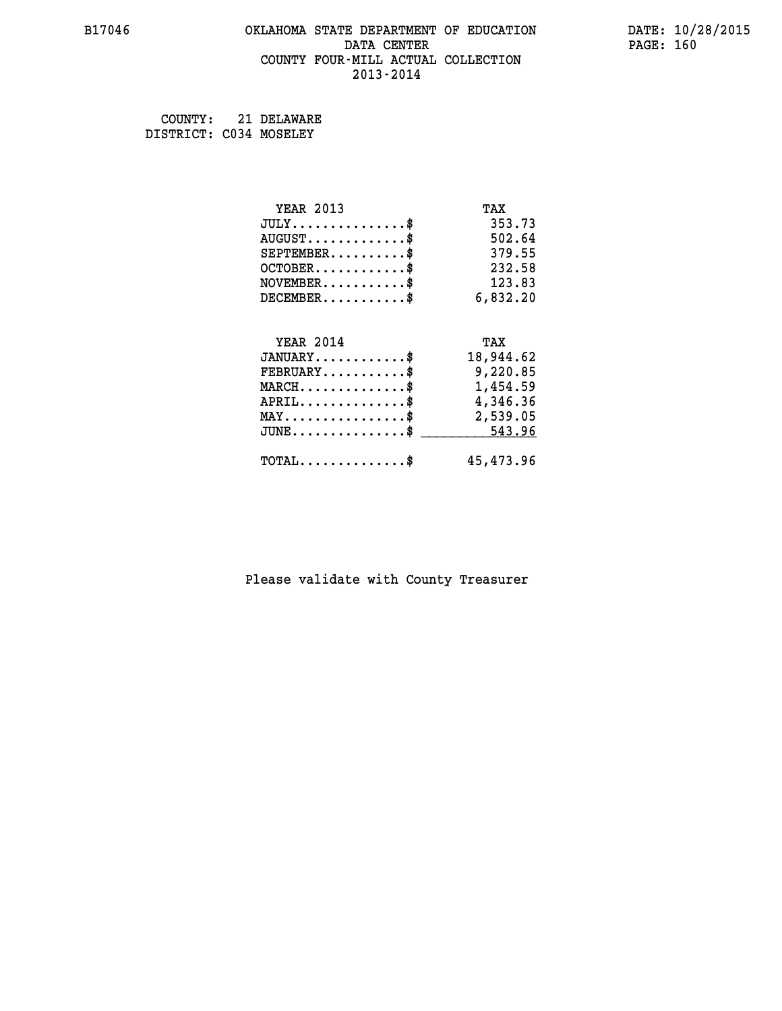#### **B17046 OKLAHOMA STATE DEPARTMENT OF EDUCATION DATE: 10/28/2015 DATA CENTER** PAGE: 160  **COUNTY FOUR-MILL ACTUAL COLLECTION 2013-2014**

 **COUNTY: 21 DELAWARE DISTRICT: C034 MOSELEY**

| <b>YEAR 2013</b>                                                          | TAX       |
|---------------------------------------------------------------------------|-----------|
| $JULY$ \$                                                                 | 353.73    |
| $AUGUST$ \$                                                               | 502.64    |
| $SEPTEMBER$ \$                                                            | 379.55    |
| $OCTOBER$ \$                                                              | 232.58    |
| $\verb NOVEMBER , \verb , \verb , \verb , \verb , \verb , \verb , \verb $ | 123.83    |
| $DECEMBER$ \$                                                             | 6,832.20  |
|                                                                           |           |
| <b>YEAR 2014</b>                                                          | TAX       |
| $JANUARY$ \$                                                              | 18,944.62 |
| $FEBRUARY$                                                                | 9,220.85  |
| $\texttt{MARCH} \dots \dots \dots \dots \$$                               | 1,454.59  |
| $APRIL \ldots \ldots \ldots \ldots$                                       | 4,346.36  |
| $\texttt{MAX} \dots \dots \dots \dots \dots \$                            | 2,539.05  |
| $JUNE \ldots \ldots \ldots \ldots \ast$                                   | 543.96    |
| $\texttt{TOTAL} \dots \dots \dots \dots \$                                | 45,473.96 |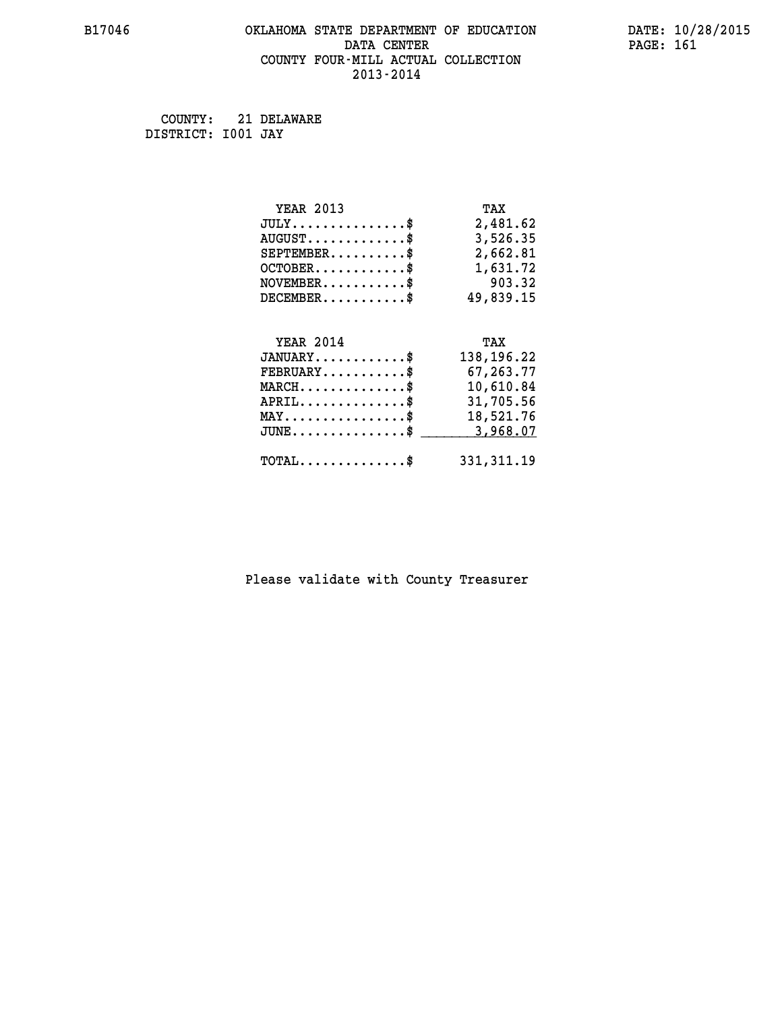#### **B17046 OKLAHOMA STATE DEPARTMENT OF EDUCATION DATE: 10/28/2015 DATA CENTER** PAGE: 161  **COUNTY FOUR-MILL ACTUAL COLLECTION 2013-2014**

 **COUNTY: 21 DELAWARE DISTRICT: I001 JAY**

| <b>YEAR 2013</b>                               | TAX        |
|------------------------------------------------|------------|
| $JULY$ \$                                      | 2,481.62   |
| $AUGUST$ \$                                    | 3,526.35   |
| $SEPTEMENT.$ \$                                | 2,662.81   |
| $OCTOBER$ \$                                   | 1,631.72   |
| $NOVEMBER$ \$                                  | 903.32     |
| $DECEMBER$ \$                                  | 49,839.15  |
|                                                |            |
| <b>YEAR 2014</b>                               | TAX        |
| $JANUARY$ \$                                   | 138,196.22 |
| $FEBRUARY$                                     | 67,263.77  |
| $MARCH$ \$                                     | 10,610.84  |
| $APRIL$ \$                                     | 31,705.56  |
| $\texttt{MAX} \dots \dots \dots \dots \dots \$ | 18,521.76  |
| $JUNE$ $$$                                     | 3,968.07   |
|                                                |            |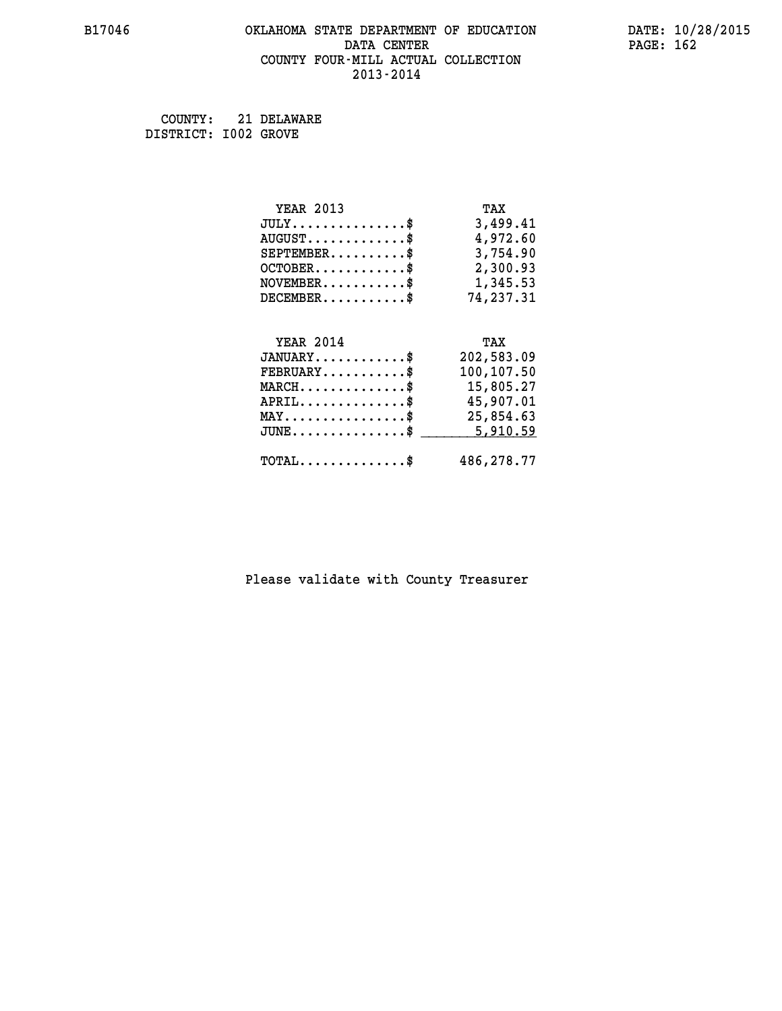## **B17046 OKLAHOMA STATE DEPARTMENT OF EDUCATION DATE: 10/28/2015 DATA CENTER PAGE: 162 COUNTY FOUR-MILL ACTUAL COLLECTION 2013-2014**

 **COUNTY: 21 DELAWARE DISTRICT: I002 GROVE**

| <b>YEAR 2013</b>                               | TAX        |
|------------------------------------------------|------------|
| $JULY$ \$                                      | 3,499.41   |
| $AUGUST$ \$                                    | 4,972.60   |
| $SEPTEMBER$ \$                                 | 3,754.90   |
| $OCTOBER$ \$                                   | 2,300.93   |
| $\texttt{NOVEMBER} \dots \dots \dots \$        | 1,345.53   |
| $DECEMBER$ \$                                  | 74,237.31  |
|                                                |            |
| <b>YEAR 2014</b>                               | TAX        |
| $JANUARY$ \$                                   | 202,583.09 |
| $FEBRUARY$ \$                                  | 100,107.50 |
| $MARCH$ \$                                     | 15,805.27  |
| $APRIL \ldots \ldots \ldots \ldots \$          | 45,907.01  |
| $\texttt{MAX} \dots \dots \dots \dots \dots \$ | 25,854.63  |
| $JUNE$ \$                                      | 5,910.59   |
| $\texttt{TOTAL} \dots \dots \dots \dots \$     | 486,278.77 |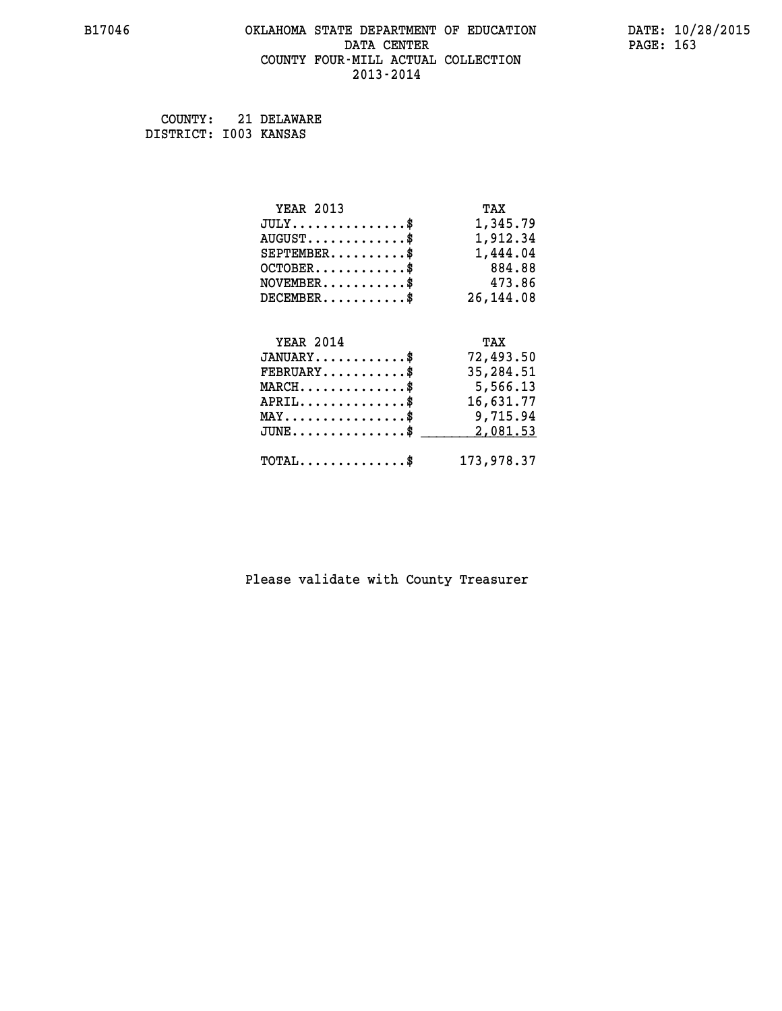#### **B17046 OKLAHOMA STATE DEPARTMENT OF EDUCATION DATE: 10/28/2015 DATA CENTER** PAGE: 163  **COUNTY FOUR-MILL ACTUAL COLLECTION 2013-2014**

 **COUNTY: 21 DELAWARE DISTRICT: I003 KANSAS**

| <b>YEAR 2013</b>                               | TAX        |
|------------------------------------------------|------------|
| $JULY$ \$                                      | 1,345.79   |
| $AUGUST$ \$                                    | 1,912.34   |
| $SEPTEMBER$ \$                                 | 1,444.04   |
| $OCTOBER$ \$                                   | 884.88     |
| $NOVEMBER$ \$                                  | 473.86     |
| $DECEMBER$ \$                                  | 26, 144.08 |
| <b>YEAR 2014</b>                               | TAX        |
| $JANUARY$ \$                                   | 72,493.50  |
| $FEBRUARY$ \$                                  | 35,284.51  |
| $MARCH$ \$                                     | 5,566.13   |
| $APRIL$ \$                                     | 16,631.77  |
| $\texttt{MAX} \dots \dots \dots \dots \dots \$ | 9,715.94   |
| $JUNE$ \$                                      | 2,081.53   |
| $\texttt{TOTAL} \dots \dots \dots \dots \$     | 173,978.37 |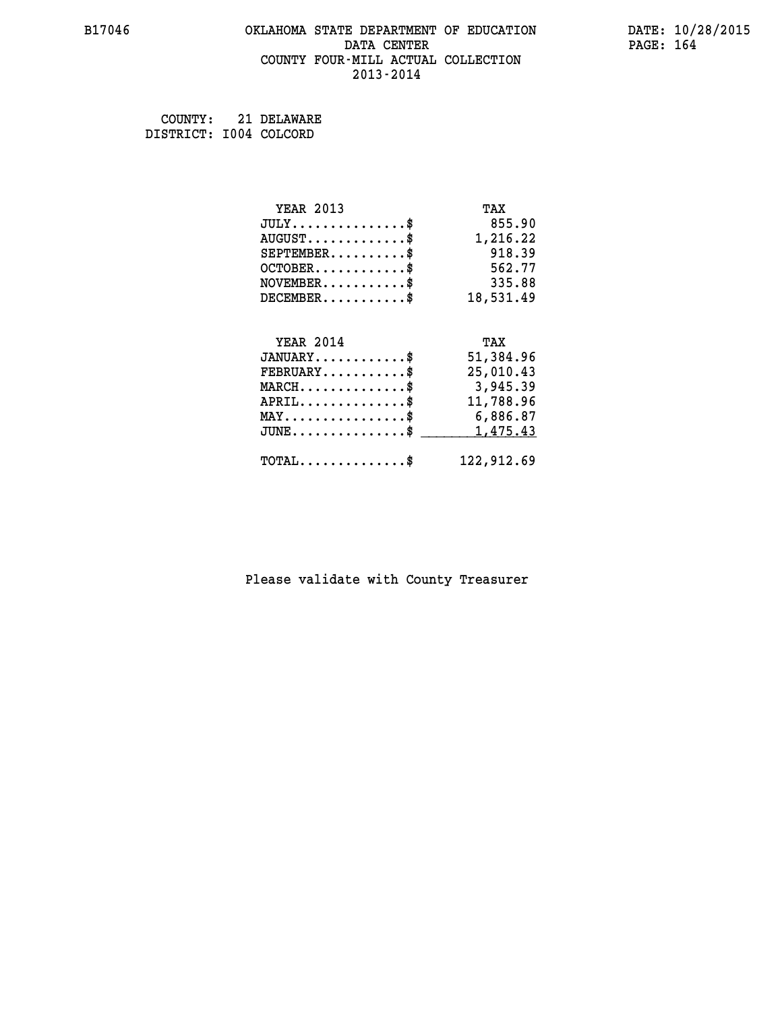#### **B17046 OKLAHOMA STATE DEPARTMENT OF EDUCATION DATE: 10/28/2015 DATA CENTER** PAGE: 164  **COUNTY FOUR-MILL ACTUAL COLLECTION 2013-2014**

 **COUNTY: 21 DELAWARE DISTRICT: I004 COLCORD**

| <b>YEAR 2013</b>                               | TAX        |
|------------------------------------------------|------------|
| $JULY$ \$                                      | 855.90     |
| $AUGUST$ \$                                    | 1,216.22   |
| $SEPTEMBER$                                    | 918.39     |
| $OCTOBER$ \$                                   | 562.77     |
| $NOVEMBER$ \$                                  | 335.88     |
| $DECEMBER$ \$                                  | 18,531.49  |
|                                                |            |
| <b>YEAR 2014</b>                               | TAX        |
| $JANUARY$                                      | 51,384.96  |
| $FEBRUARY$ \$                                  | 25,010.43  |
| $MARCH$ \$                                     | 3,945.39   |
| $APRIL$ \$                                     | 11,788.96  |
| $\texttt{MAX} \dots \dots \dots \dots \dots \$ | 6,886.87   |
| $JUNE$ \$                                      | 1,475.43   |
| $\texttt{TOTAL} \dots \dots \dots \dots \$     | 122,912.69 |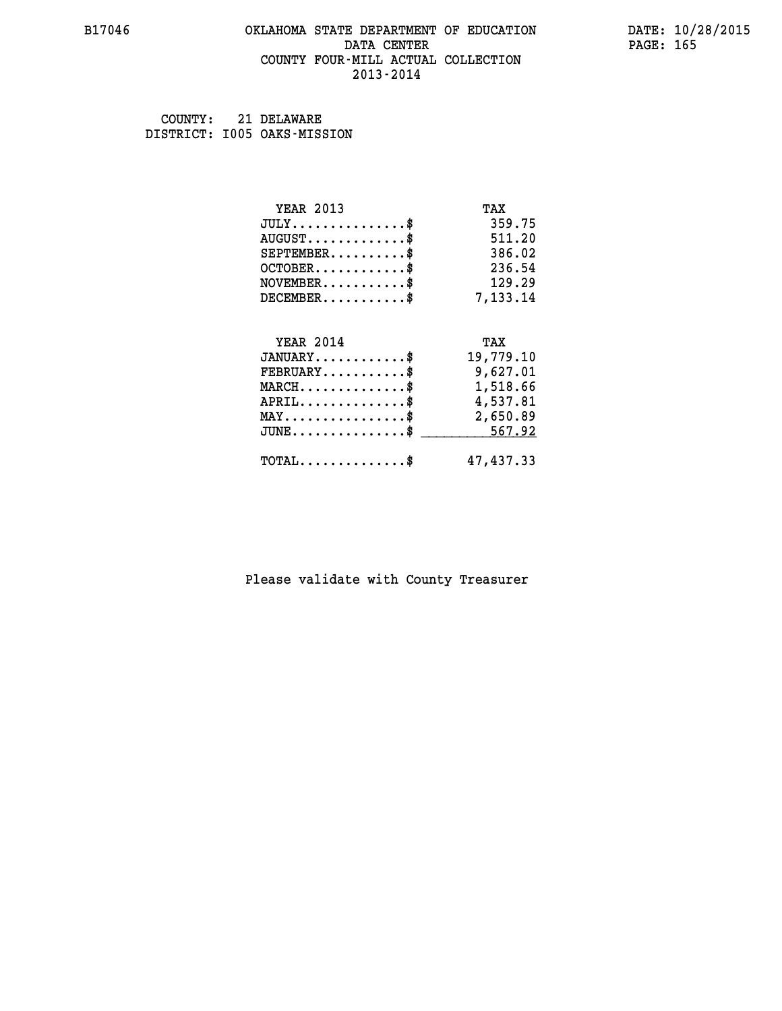#### **B17046 OKLAHOMA STATE DEPARTMENT OF EDUCATION DATE: 10/28/2015 DATA CENTER** PAGE: 165  **COUNTY FOUR-MILL ACTUAL COLLECTION 2013-2014**

 **COUNTY: 21 DELAWARE DISTRICT: I005 OAKS-MISSION**

| <b>YEAR 2013</b>                                 | TAX       |
|--------------------------------------------------|-----------|
| $JULY$ \$                                        | 359.75    |
| $AUGUST$ \$                                      | 511.20    |
| $SEPTEMBER$ \$                                   | 386.02    |
| $OCTOBER$ \$                                     | 236.54    |
| $\texttt{NOVEMBER} \dots \dots \dots \$          | 129.29    |
| $DECEMBER$ \$                                    | 7,133.14  |
|                                                  |           |
| <b>YEAR 2014</b>                                 | TAX       |
| $JANUARY$ \$                                     | 19,779.10 |
| $FEBRUARY$ \$                                    | 9,627.01  |
| $\texttt{MARCH}\ldots\ldots\ldots\ldots\text{*}$ | 1,518.66  |
| $APRIL \ldots \ldots \ldots \ldots \$            | 4,537.81  |
| $\texttt{MAX} \dots \dots \dots \dots \dots \$   | 2,650.89  |
| $\texttt{JUNE} \dots \dots \dots \dots \dots \$$ | 567.92    |
| $\texttt{TOTAL} \dots \dots \dots \dots \$       | 47,437.33 |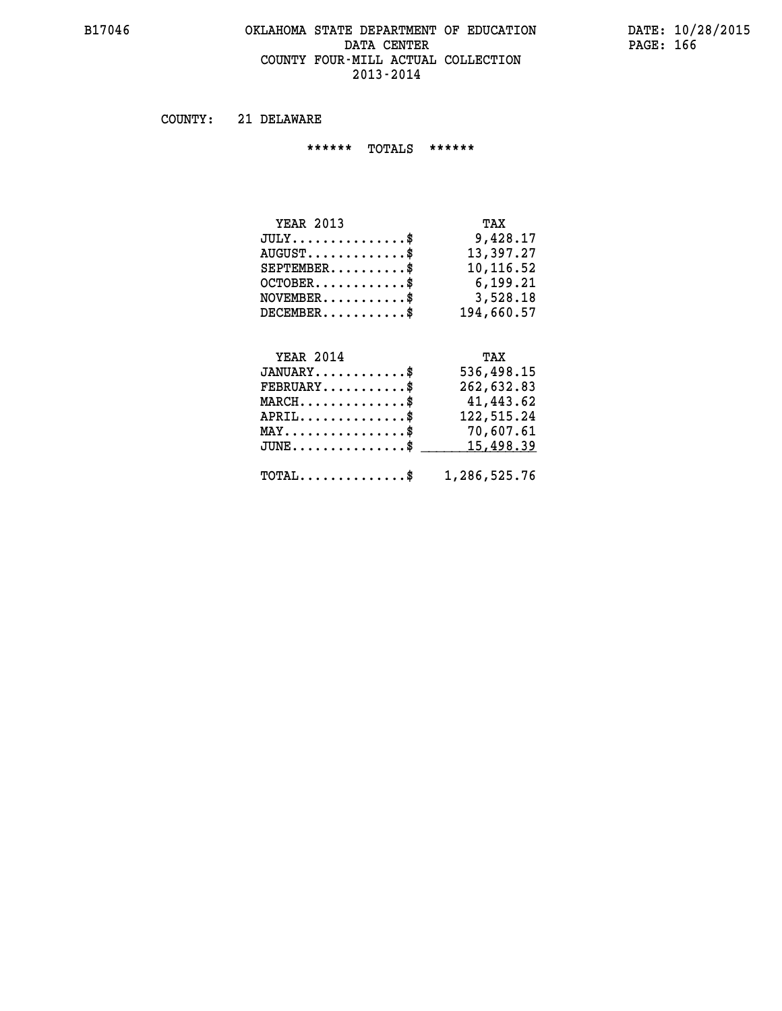#### **B17046 OKLAHOMA STATE DEPARTMENT OF EDUCATION DATE: 10/28/2015 DATA CENTER** PAGE: 166  **COUNTY FOUR-MILL ACTUAL COLLECTION 2013-2014**

 **COUNTY: 21 DELAWARE**

 **\*\*\*\*\*\* TOTALS \*\*\*\*\*\***

| <b>YEAR 2013</b>       | TAX        |
|------------------------|------------|
| $JULY$                 | 9,428.17   |
| $AUGUST$ $\frac{1}{2}$ | 13,397.27  |
| $SEPTEMBER$            | 10,116.52  |
| $OCTOBER$ \$           | 6,199.21   |
| $NOVEMBER$ \$          | 3,528.18   |
| $DECEMBER$ \$          | 194,660.57 |

# **YEAR 2014**

| <b>YEAR 2014</b>                           | TAX          |
|--------------------------------------------|--------------|
| $JANUARY$ \$                               | 536,498.15   |
| $FEBRUARY$ \$                              | 262,632.83   |
| $MARCH$ \$                                 | 41,443.62    |
| $APRIL$ \$                                 | 122,515.24   |
| $MAX \dots \dots \dots \dots \dots \$      | 70,607.61    |
| $JUNE$ \$                                  | 15,498.39    |
|                                            |              |
| $\texttt{TOTAL} \dots \dots \dots \dots \$ | 1,286,525.76 |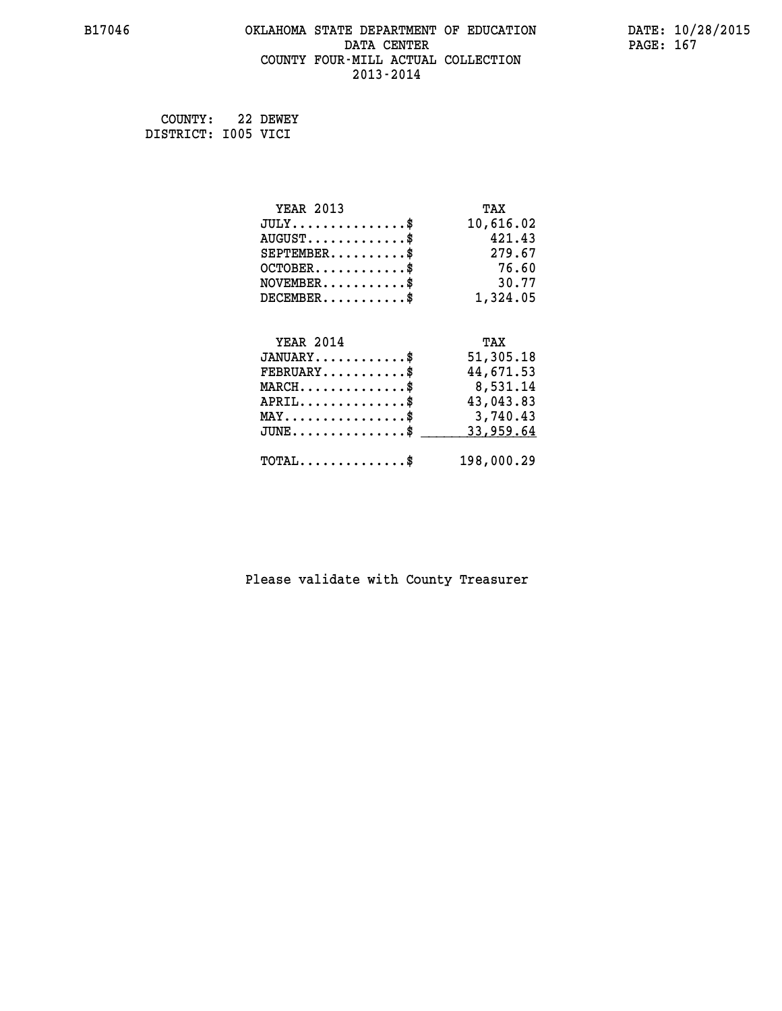#### **B17046 OKLAHOMA STATE DEPARTMENT OF EDUCATION DATE: 10/28/2015 DATA CENTER** PAGE: 167  **COUNTY FOUR-MILL ACTUAL COLLECTION 2013-2014**

 **COUNTY: 22 DEWEY DISTRICT: I005 VICI**

| <b>YEAR 2013</b>                               | TAX        |
|------------------------------------------------|------------|
| $JULY$ \$                                      | 10,616.02  |
| $AUGUST$ \$                                    | 421.43     |
| $SEPTEMBER$ \$                                 | 279.67     |
| $OCTOBER$                                      | 76.60      |
| $\texttt{NOVEMBER} \dots \dots \dots \$        | 30.77      |
| $DECEMBER$ \$                                  | 1,324.05   |
|                                                |            |
| <b>YEAR 2014</b>                               | TAX        |
| $JANUARY$ \$                                   | 51,305.18  |
| $FEBRUARY$                                     | 44,671.53  |
| $MARCH$ \$                                     | 8,531.14   |
| $APRIL$ \$                                     | 43,043.83  |
| $\texttt{MAX} \dots \dots \dots \dots \dots \$ | 3,740.43   |
| $JUNE$ \$                                      | 33,959.64  |
| $\texttt{TOTAL} \dots \dots \dots \dots \$     | 198,000.29 |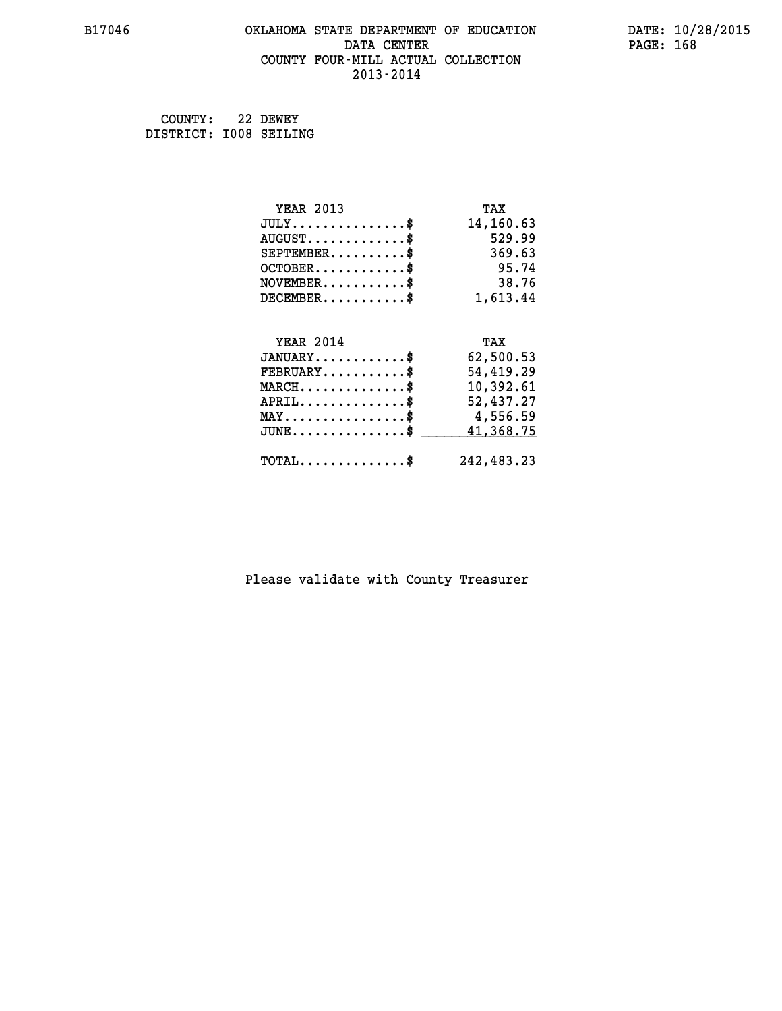#### **B17046 OKLAHOMA STATE DEPARTMENT OF EDUCATION DATE: 10/28/2015 DATA CENTER** PAGE: 168  **COUNTY FOUR-MILL ACTUAL COLLECTION 2013-2014**

 **COUNTY: 22 DEWEY DISTRICT: I008 SEILING**

| <b>YEAR 2013</b>                             | TAX        |
|----------------------------------------------|------------|
| $JULY$ \$                                    | 14,160.63  |
| $AUGUST$ \$                                  | 529.99     |
| $SEPTEMBER$ \$                               | 369.63     |
| $OCTOBER$ \$                                 | 95.74      |
| $NOVEMBER.$ \$                               | 38.76      |
| $DECEMBER$ \$                                | 1,613.44   |
|                                              |            |
| <b>YEAR 2014</b>                             | TAX        |
| $JANUARY$ \$                                 | 62,500.53  |
| $FEBRUARY$                                   | 54,419.29  |
| $MARCH$ \$                                   | 10,392.61  |
| $APRIL$ \$                                   | 52,437.27  |
| $MAX \dots \dots \dots \dots \dots$          | 4,556.59   |
| $JUNE \ldots \ldots \ldots \ldots \ldots$ \$ | 41,368.75  |
| $\texttt{TOTAL} \dots \dots \dots \dots \$   | 242,483.23 |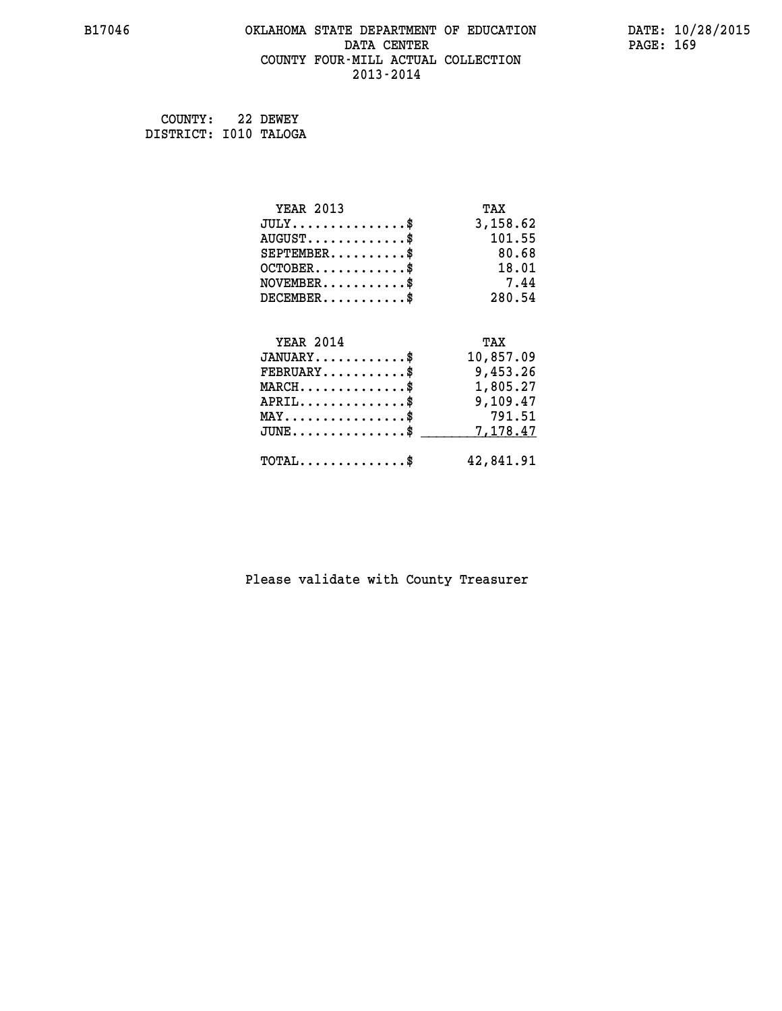#### **B17046 OKLAHOMA STATE DEPARTMENT OF EDUCATION DATE: 10/28/2015 DATA CENTER** PAGE: 169  **COUNTY FOUR-MILL ACTUAL COLLECTION 2013-2014**

 **COUNTY: 22 DEWEY DISTRICT: I010 TALOGA**

| <b>YEAR 2013</b>                           | TAX       |
|--------------------------------------------|-----------|
| $JULY$ \$                                  | 3,158.62  |
| $AUGUST$ \$                                | 101.55    |
| $SEPTEMBER$ \$                             | 80.68     |
| $OCTOBER$ \$                               | 18.01     |
| $NOVEMBER$ \$                              | 7.44      |
| $DECEMBER$ \$                              | 280.54    |
|                                            |           |
| <b>YEAR 2014</b>                           | TAX       |
| $JANUARY$ \$                               | 10,857.09 |
| $FEBRUARY$                                 | 9,453.26  |
| $MARCH$ \$                                 | 1,805.27  |
| $APRIL$ \$                                 | 9,109.47  |
| $MAX \dots \dots \dots \dots \dots$        | 791.51    |
| $JUNE$ \$                                  | 7,178.47  |
| $\texttt{TOTAL} \dots \dots \dots \dots \$ | 42,841.91 |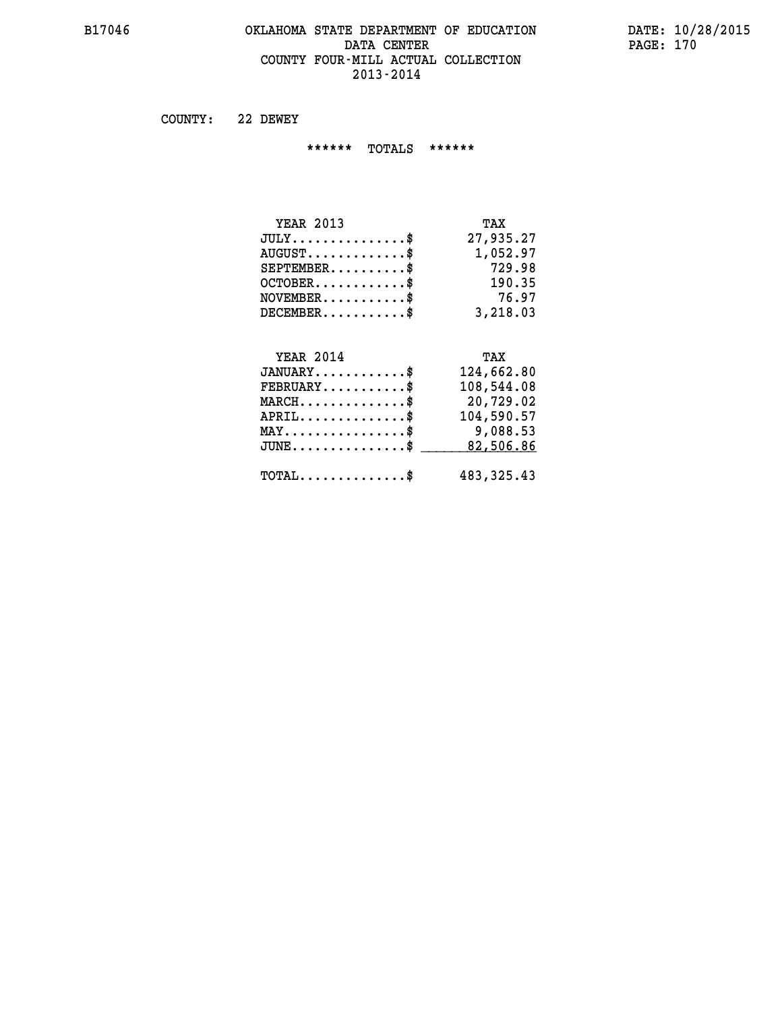#### **B17046 OKLAHOMA STATE DEPARTMENT OF EDUCATION DATE: 10/28/2015 DATA CENTER** PAGE: 170  **COUNTY FOUR-MILL ACTUAL COLLECTION 2013-2014**

 **COUNTY: 22 DEWEY**

 **\*\*\*\*\*\* TOTALS \*\*\*\*\*\***

| <b>YEAR 2013</b>                       | TAX       |
|----------------------------------------|-----------|
| $JULY \ldots \ldots \ldots \mathbb{S}$ | 27,935.27 |
| $AUGUST$ \$                            | 1,052.97  |
| $SEPTEMBER$                            | 729.98    |
| $OCTOBER$ \$                           | 190.35    |
| $NOVEMBER$ \$                          | 76.97     |
| $DECEMBER$ \$                          | 3,218,03  |

# **YEAR 2014**

| <b>YEAR 2014</b>                           | TAX          |
|--------------------------------------------|--------------|
| $JANUARY$ \$                               | 124,662.80   |
| $FEBRUARY$ \$                              | 108,544.08   |
| $MARCH$ \$                                 | 20,729.02    |
| $APRIL$                                    | 104,590.57   |
| $MAX \dots \dots \dots \dots \$            | 9,088.53     |
| $JUNE$ \$                                  | 82,506.86    |
| $\texttt{TOTAL} \dots \dots \dots \dots \$ | 483, 325. 43 |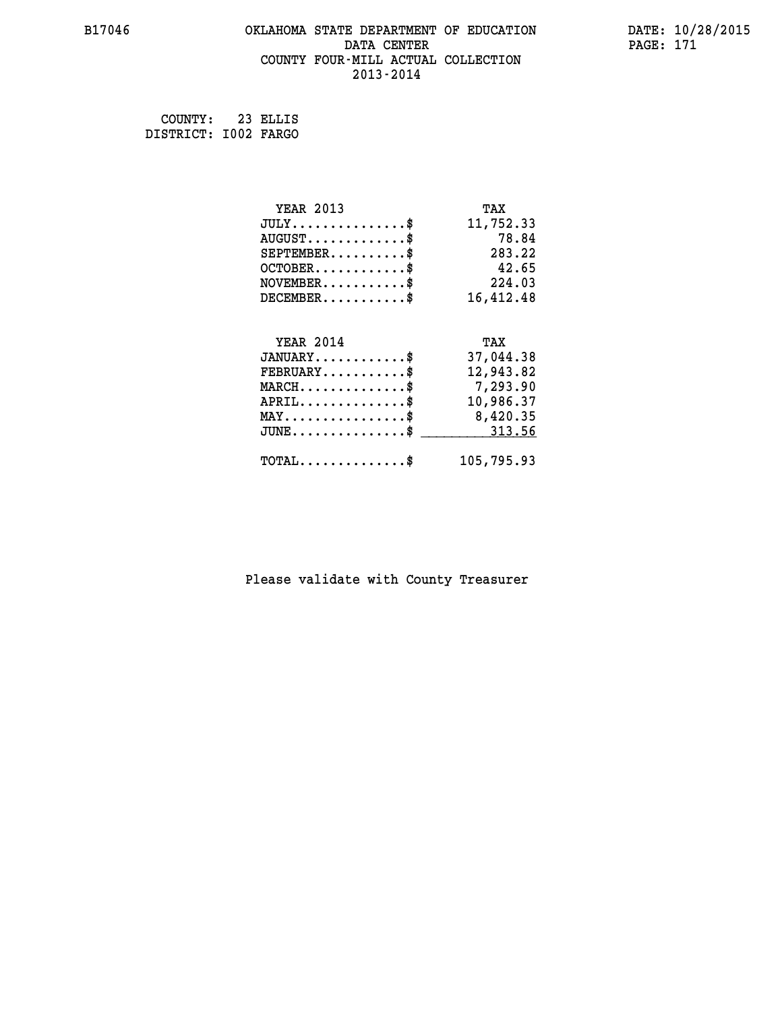#### **B17046 OKLAHOMA STATE DEPARTMENT OF EDUCATION DATE: 10/28/2015 DATA CENTER** PAGE: 171  **COUNTY FOUR-MILL ACTUAL COLLECTION 2013-2014**

 **COUNTY: 23 ELLIS DISTRICT: I002 FARGO**

| <b>YEAR 2013</b>                                   | TAX        |
|----------------------------------------------------|------------|
| $JULY$ \$                                          | 11,752.33  |
| $AUGUST$ \$                                        | 78.84      |
| $SEPTEMBER$ \$                                     | 283.22     |
| $OCTOBER$ \$                                       | 42.65      |
| $\texttt{NOVEMBER} \dots \dots \dots \$            | 224.03     |
| $DECEMBER$ \$                                      | 16,412.48  |
|                                                    |            |
| <b>YEAR 2014</b>                                   | TAX        |
| $JANUARY$ \$                                       | 37,044.38  |
| $FEBRUARY$ \$                                      | 12,943.82  |
| $\texttt{MARCH}\ldots\ldots\ldots\ldots\text{*}$   | 7,293.90   |
| $APRIL \ldots \ldots \ldots \ldots \$              | 10,986.37  |
| $\texttt{MAX} \dots \dots \dots \dots \dots \$     | 8,420.35   |
| $\texttt{JUNE} \dots \dots \dots \dots \texttt{S}$ | 313.56     |
| $\texttt{TOTAL} \dots \dots \dots \dots \$         | 105,795.93 |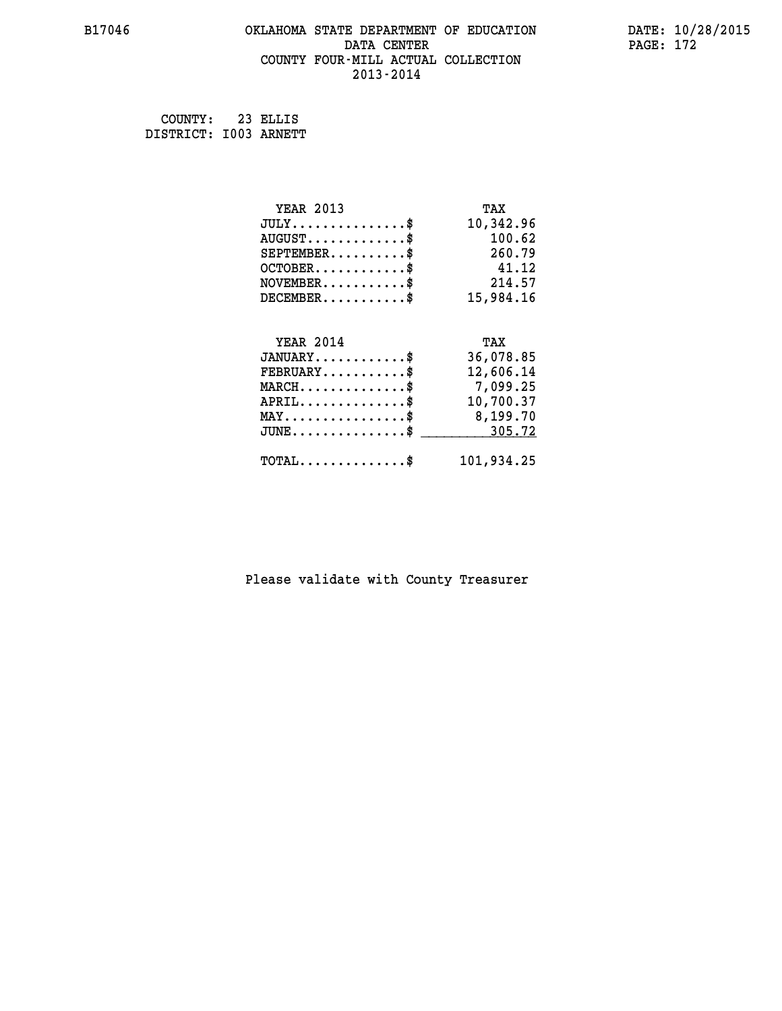#### **B17046 OKLAHOMA STATE DEPARTMENT OF EDUCATION DATE: 10/28/2015 DATA CENTER** PAGE: 172  **COUNTY FOUR-MILL ACTUAL COLLECTION 2013-2014**

 **COUNTY: 23 ELLIS DISTRICT: I003 ARNETT**

| <b>YEAR 2013</b>                                 | TAX        |
|--------------------------------------------------|------------|
| $JULY$ \$                                        | 10,342.96  |
| $AUGUST$ \$                                      | 100.62     |
| $SEPTEMBER$ \$                                   | 260.79     |
| $OCTOBER$ \$                                     | 41.12      |
| $\texttt{NOVEMBER} \dots \dots \dots \$          | 214.57     |
| $DECEMBER$ \$                                    | 15,984.16  |
|                                                  |            |
| <b>YEAR 2014</b>                                 | TAX        |
| $JANUARY$ \$                                     | 36,078.85  |
| $FEBRUARY$                                       | 12,606.14  |
| $MARCH$ \$                                       | 7,099.25   |
| $APRIL$ \$                                       | 10,700.37  |
| $\texttt{MAX} \dots \dots \dots \dots \dots \$   | 8,199.70   |
| $\texttt{JUNE} \dots \dots \dots \dots \dots \$$ | 305.72     |
| $\texttt{TOTAL} \dots \dots \dots \dots \$       | 101,934.25 |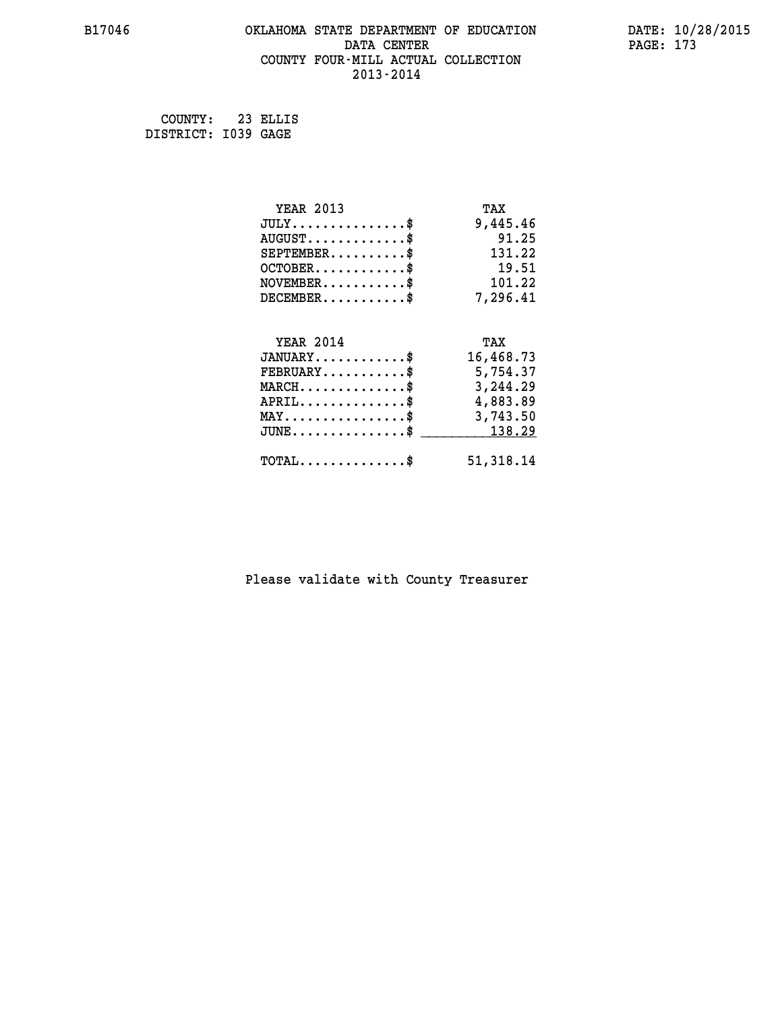#### **B17046 OKLAHOMA STATE DEPARTMENT OF EDUCATION DATE: 10/28/2015 DATA CENTER** PAGE: 173  **COUNTY FOUR-MILL ACTUAL COLLECTION 2013-2014**

 **COUNTY: 23 ELLIS DISTRICT: I039 GAGE**

| <b>YEAR 2013</b>                                   | TAX       |
|----------------------------------------------------|-----------|
| $JULY$ \$                                          | 9,445.46  |
| $AUGUST$ \$                                        | 91.25     |
| $SEPTEMBER$ \$                                     | 131.22    |
| $OCTOBER$ \$                                       | 19.51     |
| $\texttt{NOVEMBER} \dots \dots \dots \$            | 101.22    |
| $DECEMBER$ \$                                      | 7,296.41  |
|                                                    |           |
| <b>YEAR 2014</b>                                   | TAX       |
| $JANUARY$ \$                                       | 16,468.73 |
| $FEBRUARY$ \$                                      | 5,754.37  |
| $\texttt{MARCH}\ldots\ldots\ldots\ldots\text{*}$   | 3,244.29  |
| $APRIL \ldots \ldots \ldots \ldots \$              | 4,883.89  |
| $\texttt{MAX} \dots \dots \dots \dots \dots \$     | 3,743.50  |
| $\texttt{JUNE} \dots \dots \dots \dots \texttt{S}$ | 138.29    |
| $\texttt{TOTAL} \dots \dots \dots \dots \$         | 51,318.14 |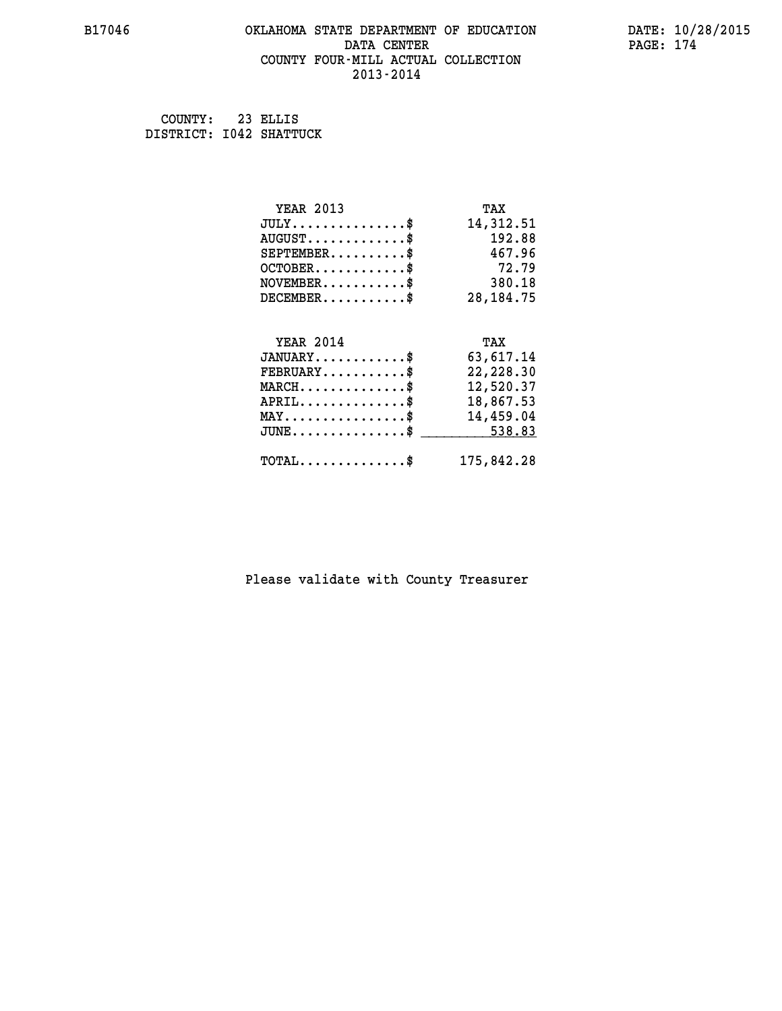## **B17046 OKLAHOMA STATE DEPARTMENT OF EDUCATION DATE: 10/28/2015 DATA CENTER PAGE: 174 COUNTY FOUR-MILL ACTUAL COLLECTION 2013-2014**

 **COUNTY: 23 ELLIS DISTRICT: I042 SHATTUCK**

| <b>YEAR 2013</b>                                 | TAX         |
|--------------------------------------------------|-------------|
| $JULY$ \$                                        | 14,312.51   |
| $AUGUST$ \$                                      | 192.88      |
| $SEPTEMBER$ \$                                   | 467.96      |
| $OCTOBER$ \$                                     | 72.79       |
| $NOVEMBER.$ \$                                   | 380.18      |
| $DECEMBER$ \$                                    | 28, 184. 75 |
|                                                  |             |
| <b>YEAR 2014</b>                                 | TAX         |
| $JANUARY$ \$                                     | 63,617.14   |
| $FEBRUARY$ \$                                    | 22,228.30   |
| $MARCH$ \$                                       | 12,520.37   |
| $APRIL \ldots \ldots \ldots \ldots$              | 18,867.53   |
| $\texttt{MAX} \dots \dots \dots \dots \dots \$   | 14,459.04   |
| $\texttt{JUNE} \dots \dots \dots \dots \dots \$$ | 538.83      |
| $\texttt{TOTAL} \dots \dots \dots \dots \$       | 175,842.28  |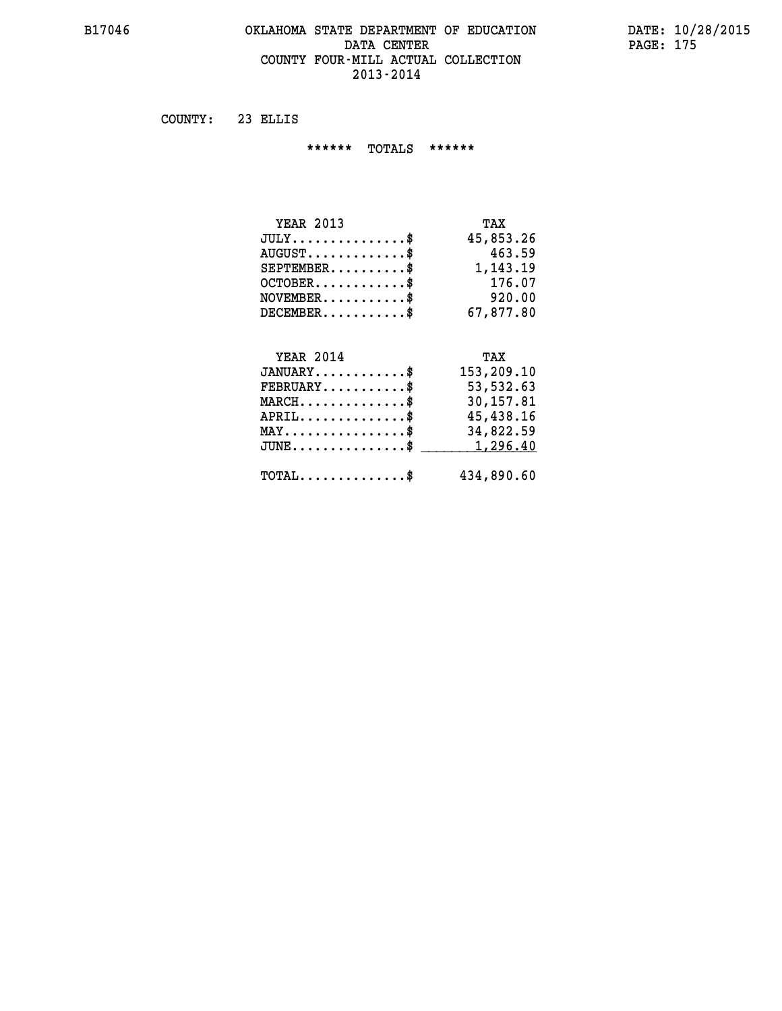## **B17046 OKLAHOMA STATE DEPARTMENT OF EDUCATION DATE: 10/28/2015** DATA CENTER PAGE: 175  **COUNTY FOUR-MILL ACTUAL COLLECTION 2013-2014**

 **COUNTY: 23 ELLIS**

 **\*\*\*\*\*\* TOTALS \*\*\*\*\*\***

| <b>YEAR 2013</b>                       | TAX       |
|----------------------------------------|-----------|
| $JULY \ldots \ldots \ldots \mathbb{S}$ | 45,853.26 |
| $AUGUST$ \$                            | 463.59    |
| $SEPTEMBER$                            | 1,143.19  |
| $OCTOBER$ \$                           | 176.07    |
| $NOVEMBER$ \$                          | 920.00    |
| $DECEMBER$ \$                          | 67,877.80 |

# **YEAR 2014 TAX**

| $JANUARY$                                     | 153,209.10 |
|-----------------------------------------------|------------|
| $\texttt{FEBRUARY} \dots \dots \dots \$       | 53,532.63  |
| $MARCH$ \$                                    | 30,157.81  |
| $APRIL$ \$                                    | 45,438.16  |
| $MAX \dots \dots \dots \dots \dots \$         | 34,822.59  |
| $JUNE \ldots \ldots \ldots \ldots \$ 1,296.40 |            |
| $\text{TOTAL} \dots \dots \dots \dots \dots$  | 434,890.60 |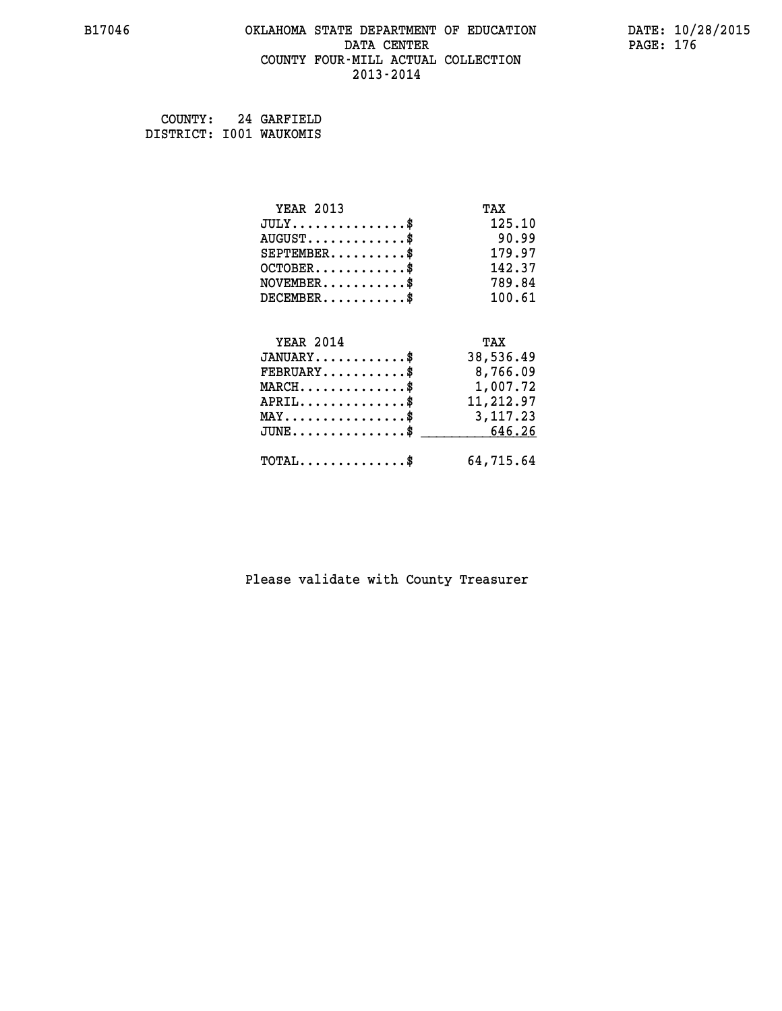#### **B17046 OKLAHOMA STATE DEPARTMENT OF EDUCATION DATE: 10/28/2015 DATA CENTER** PAGE: 176  **COUNTY FOUR-MILL ACTUAL COLLECTION 2013-2014**

 **COUNTY: 24 GARFIELD DISTRICT: I001 WAUKOMIS**

| <b>YEAR 2013</b>                                   | TAX       |
|----------------------------------------------------|-----------|
| $JULY$ \$                                          | 125.10    |
| $AUGUST$ \$                                        | 90.99     |
| $SEPTEMENT.$ \$                                    | 179.97    |
| $OCTOBER$ \$                                       | 142.37    |
| $NOVEMBER.$ \$                                     | 789.84    |
| $DECEMBER$ \$                                      | 100.61    |
|                                                    |           |
| <b>YEAR 2014</b>                                   | TAX       |
| $JANUARY$ \$                                       | 38,536.49 |
| $FEBRUARY$                                         | 8,766.09  |
| $MARCH$ \$                                         | 1,007.72  |
| $APRIL \ldots \ldots \ldots \ldots$                | 11,212.97 |
| $\texttt{MAX} \dots \dots \dots \dots \dots \$     | 3,117.23  |
| $\texttt{JUNE} \dots \dots \dots \dots \texttt{S}$ | 646.26    |
| $TOTAL$ \$                                         | 64,715.64 |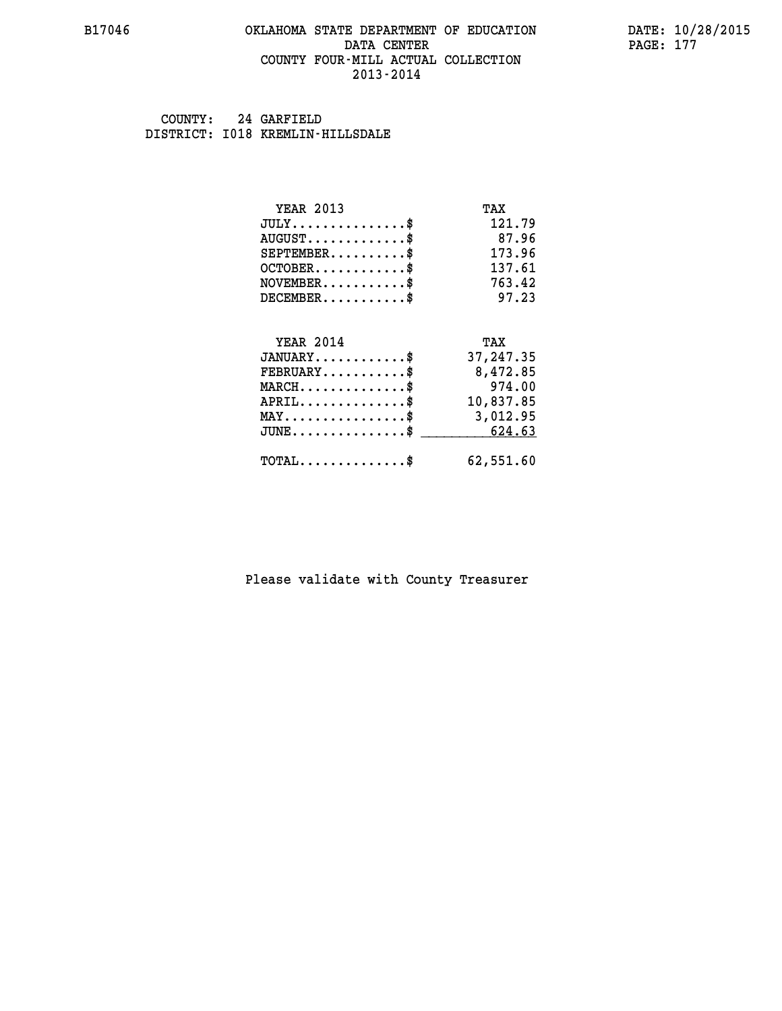#### **B17046 OKLAHOMA STATE DEPARTMENT OF EDUCATION DATE: 10/28/2015 DATA CENTER** PAGE: 177  **COUNTY FOUR-MILL ACTUAL COLLECTION 2013-2014**

 **COUNTY: 24 GARFIELD DISTRICT: I018 KREMLIN-HILLSDALE**

| <b>YEAR 2013</b>                                 | TAX       |
|--------------------------------------------------|-----------|
| $JULY$ \$                                        | 121.79    |
| $AUGUST$ \$                                      | 87.96     |
| $SEPTEMENT.$ \$                                  | 173.96    |
| $OCTOBER$ \$                                     | 137.61    |
| $NOVEMBER$ \$                                    | 763.42    |
| $DECEMBER$ \$                                    | 97.23     |
|                                                  |           |
| <b>YEAR 2014</b>                                 | TAX       |
| $JANUARY$                                        | 37,247.35 |
| $FEBRUARY$                                       | 8,472.85  |
| $MARCH$ \$                                       | 974.00    |
| $APRIL$ \$                                       | 10,837.85 |
| $\texttt{MAX} \dots \dots \dots \dots \dots \$   | 3,012.95  |
| $\texttt{JUNE} \dots \dots \dots \dots \dots \$$ | 624.63    |
| $\texttt{TOTAL} \dots \dots \dots \dots \$       | 62,551.60 |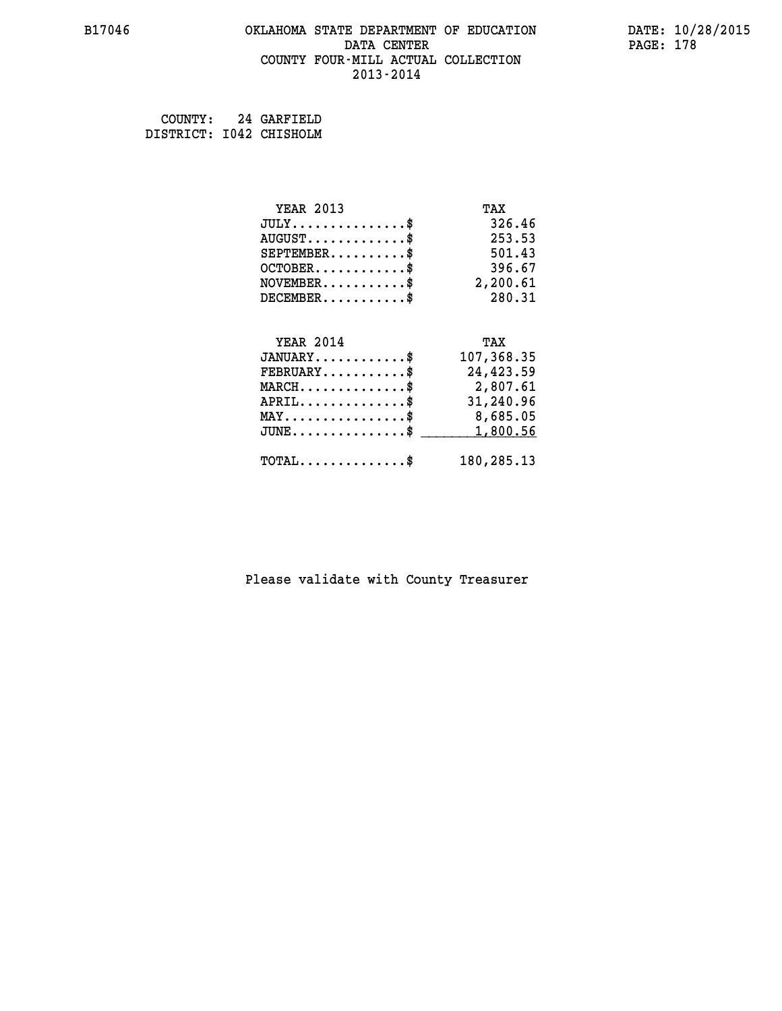#### **B17046 OKLAHOMA STATE DEPARTMENT OF EDUCATION DATE: 10/28/2015 DATA CENTER** PAGE: 178  **COUNTY FOUR-MILL ACTUAL COLLECTION 2013-2014**

| COUNTY:                 | 24 GARFIELD |
|-------------------------|-------------|
| DISTRICT: 1042 CHISHOLM |             |

| <b>YEAR 2013</b>                                 | TAX        |
|--------------------------------------------------|------------|
| $JULY$ \$                                        | 326.46     |
| $AUGUST$ \$                                      | 253.53     |
| $SEPTEMENT.$ \$                                  | 501.43     |
| $OCTOBER$ \$                                     | 396.67     |
| $\texttt{NOVEMBER} \dots \dots \dots \$$         | 2,200.61   |
| $DECEMBER$ \$                                    | 280.31     |
|                                                  |            |
| <b>YEAR 2014</b>                                 | TAX        |
| $JANUARY$ \$                                     | 107,368.35 |
| $FEBRUARY$ \$                                    | 24,423.59  |
| $MARCH$ \$                                       | 2,807.61   |
| $APRIL$ \$                                       | 31,240.96  |
| MAY\$ 8,685.05                                   |            |
| $\texttt{JUNE} \dots \dots \dots \dots \dots \$$ | 1,800.56   |
|                                                  |            |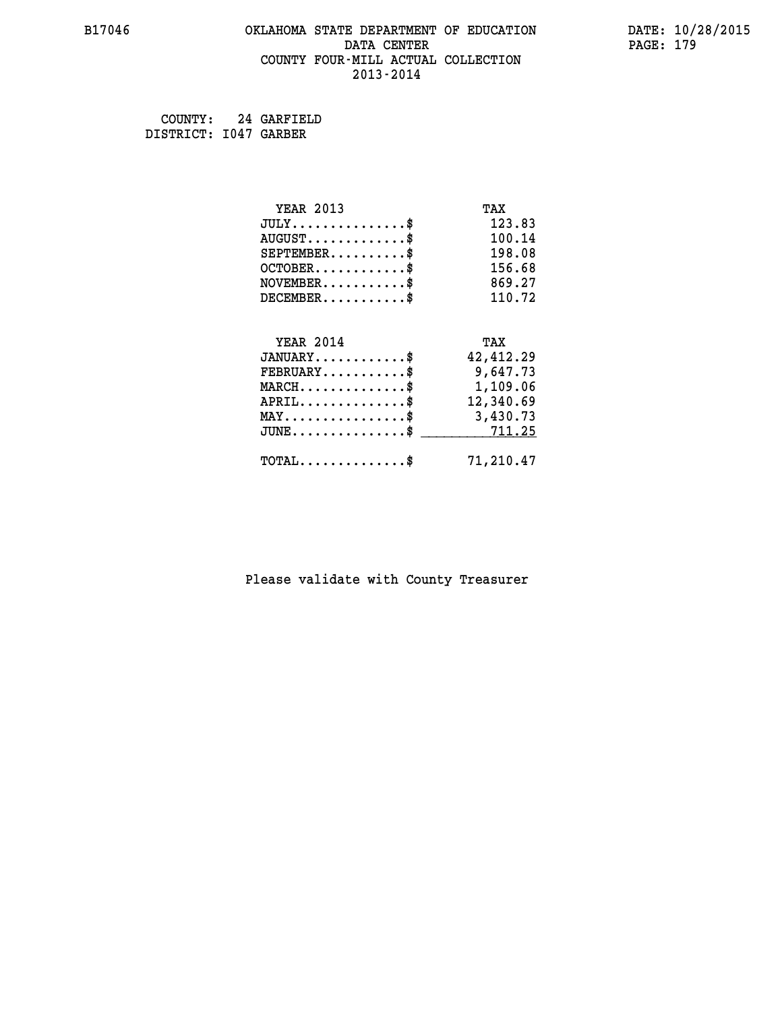#### **B17046 OKLAHOMA STATE DEPARTMENT OF EDUCATION DATE: 10/28/2015 DATA CENTER** PAGE: 179  **COUNTY FOUR-MILL ACTUAL COLLECTION 2013-2014**

 **COUNTY: 24 GARFIELD DISTRICT: I047 GARBER**

| <b>YEAR 2013</b>                                 | TAX       |
|--------------------------------------------------|-----------|
| $JULY$ \$                                        | 123.83    |
| $AUGUST$ \$                                      | 100.14    |
| $SEPTEMBER$ \$                                   | 198.08    |
| $OCTOBER$ \$                                     | 156.68    |
| $NOVEMBER$ \$                                    | 869.27    |
| $DECEMBER$ \$                                    | 110.72    |
|                                                  |           |
| <b>YEAR 2014</b>                                 | TAX       |
| $JANUARY$ \$                                     | 42,412.29 |
| $FEBRUARY$ \$                                    | 9,647.73  |
| $\texttt{MARCH}\ldots\ldots\ldots\ldots\text{*}$ | 1,109.06  |
| $APRIL \ldots \ldots \ldots \ldots$              | 12,340.69 |
| MAY\$ 3,430.73                                   |           |
| $JUNE \ldots \ldots \ldots \ldots \$ 711.25      |           |
| $\texttt{TOTAL} \dots \dots \dots \dots$         | 71,210.47 |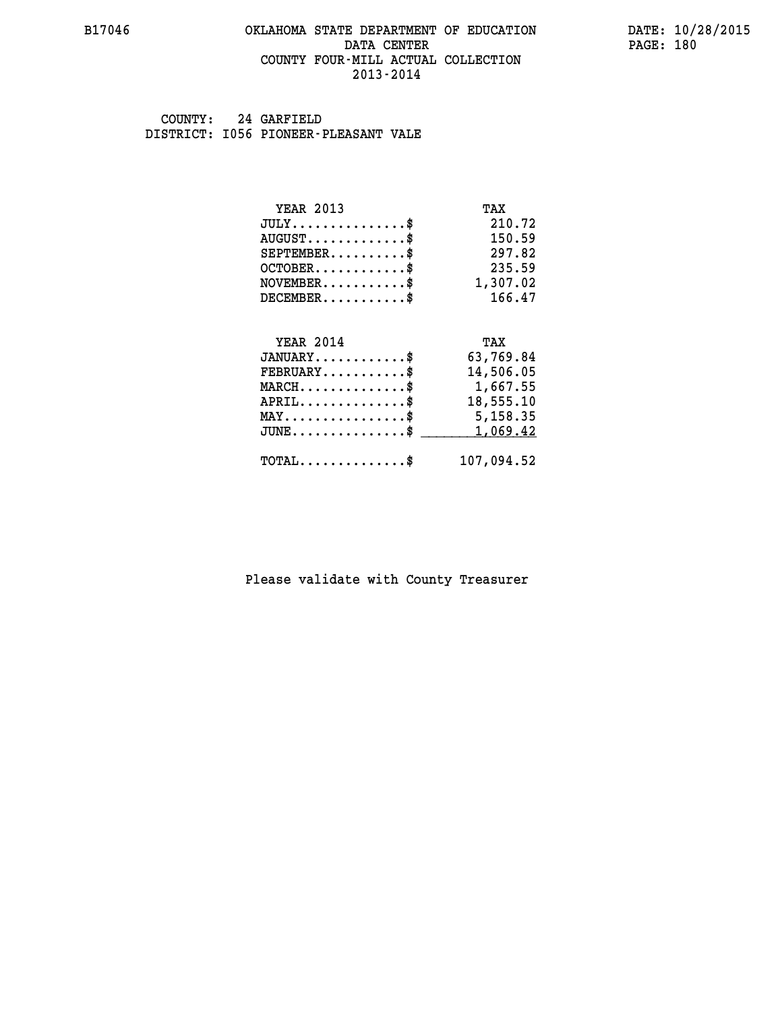#### **B17046 OKLAHOMA STATE DEPARTMENT OF EDUCATION DATE: 10/28/2015 DATA CENTER** PAGE: 180  **COUNTY FOUR-MILL ACTUAL COLLECTION 2013-2014**

 **COUNTY: 24 GARFIELD DISTRICT: I056 PIONEER-PLEASANT VALE**

| <b>YEAR 2013</b>                               | TAX        |
|------------------------------------------------|------------|
| $JULY$ \$                                      | 210.72     |
| $AUGUST$ \$                                    | 150.59     |
| $SEPTEMENT.$ \$                                | 297.82     |
| $OCTOBER$ \$                                   | 235.59     |
| $\texttt{NOVEMBER} \dots \dots \dots \$        | 1,307.02   |
| $DECEMBER$ \$                                  | 166.47     |
|                                                |            |
| <b>YEAR 2014</b>                               | TAX        |
| $JANUARY$ \$                                   | 63,769.84  |
| $FEBRUARY$                                     | 14,506.05  |
| $MARCH$ \$                                     | 1,667.55   |
| $APRIL$ \$                                     | 18,555.10  |
| $\texttt{MAX} \dots \dots \dots \dots \dots \$ | 5,158.35   |
| $JUNE$ \$                                      | 1,069.42   |
| $\texttt{TOTAL} \dots \dots \dots \dots \$     | 107,094.52 |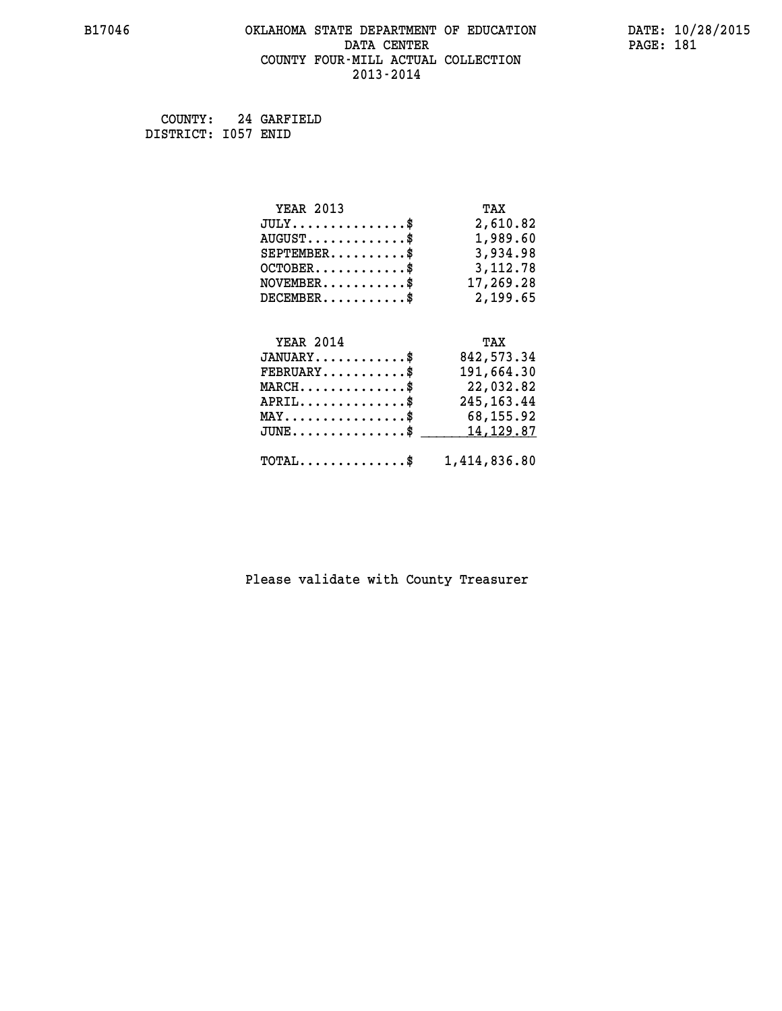#### **B17046 OKLAHOMA STATE DEPARTMENT OF EDUCATION DATE: 10/28/2015 DATA CENTER** PAGE: 181  **COUNTY FOUR-MILL ACTUAL COLLECTION 2013-2014**

 **COUNTY: 24 GARFIELD DISTRICT: I057 ENID**

| <b>YEAR 2013</b>                                   | TAX          |
|----------------------------------------------------|--------------|
| $JULY$ \$                                          | 2,610.82     |
| $AUGUST$ \$                                        | 1,989.60     |
| $SEPTEMBER$ \$                                     | 3,934.98     |
| $OCTOBER$ \$                                       | 3,112.78     |
| $\texttt{NOVEMBER} \dots \dots \dots \$            | 17,269.28    |
| $DECEMBER$ \$                                      | 2,199.65     |
|                                                    |              |
| <b>YEAR 2014</b>                                   | TAX          |
| $JANUARY$ \$                                       | 842, 573.34  |
| $FEBRUARY$ \$                                      | 191,664.30   |
| $MARCH$ \$                                         | 22,032.82    |
| $APRIL$ \$                                         | 245, 163. 44 |
| $\texttt{MAX} \dots \dots \dots \dots \dots \$     | 68,155.92    |
| $\texttt{JUNE} \dots \dots \dots \dots \texttt{S}$ | 14, 129.87   |
| $\texttt{TOTAL} \dots \dots \dots \dots$ \$        | 1,414,836.80 |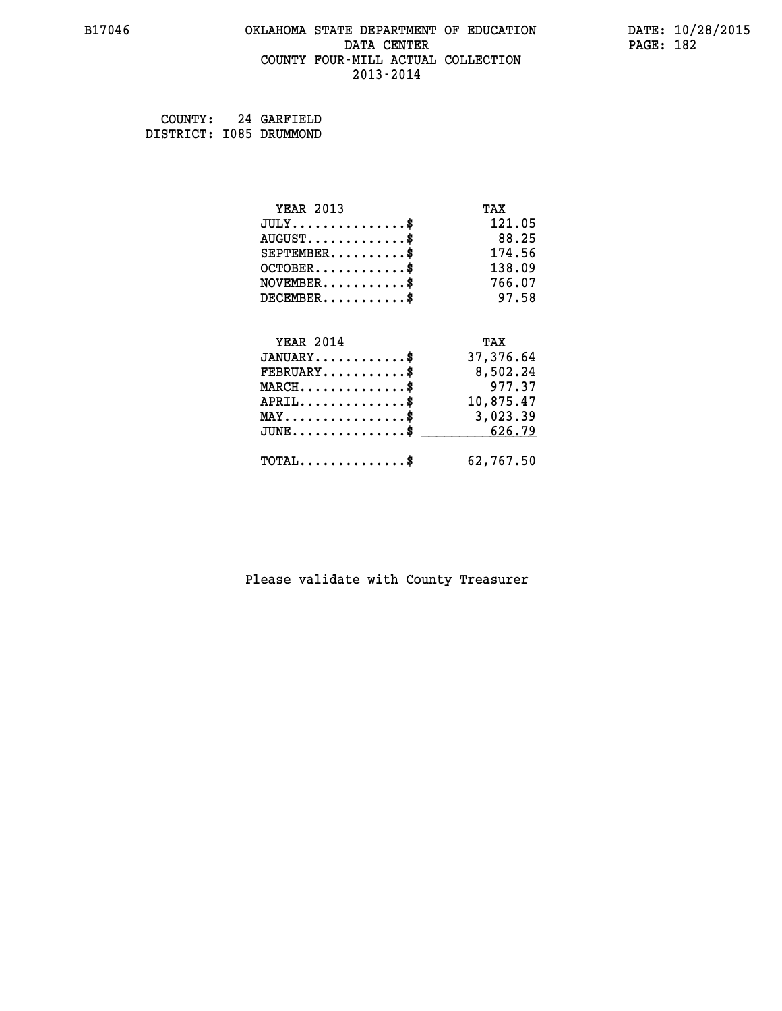#### **B17046 OKLAHOMA STATE DEPARTMENT OF EDUCATION DATE: 10/28/2015 DATA CENTER** PAGE: 182  **COUNTY FOUR-MILL ACTUAL COLLECTION 2013-2014**

 **COUNTY: 24 GARFIELD DISTRICT: I085 DRUMMOND**

| <b>YEAR 2013</b>                               | TAX       |
|------------------------------------------------|-----------|
| $JULY$ \$                                      | 121.05    |
| $AUGUST$ \$                                    | 88.25     |
| $SEPTEMBER$ \$                                 | 174.56    |
| $OCTOBER$ \$                                   | 138.09    |
| $\texttt{NOVEMBER} \dots \dots \dots \$        | 766.07    |
| $DECEMBER$ \$                                  | 97.58     |
|                                                |           |
| <b>YEAR 2014</b>                               | TAX       |
| $JANUARY$ \$                                   | 37,376.64 |
| $FEBRUARY$                                     | 8,502.24  |
| $MARCH$ \$                                     | 977.37    |
| $APRIL$ \$                                     | 10,875.47 |
| $\texttt{MAX} \dots \dots \dots \dots \dots \$ | 3,023.39  |
| $JUNE$ \$                                      | 626.79    |
| $TOTAL$ \$                                     | 62,767.50 |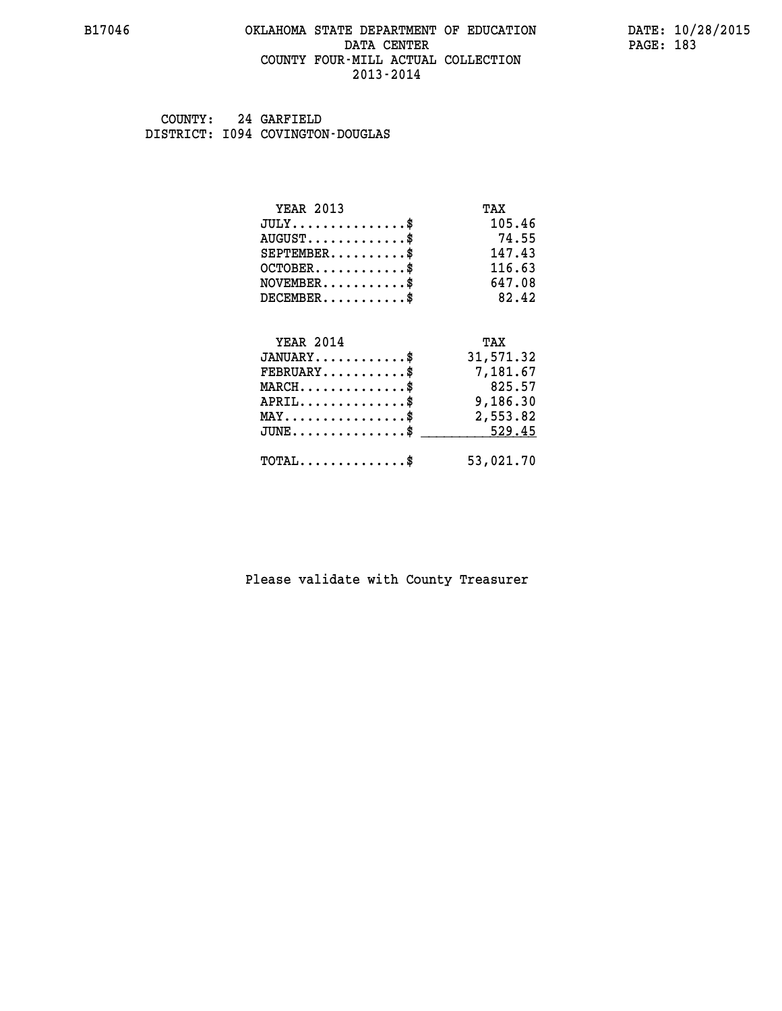#### **B17046 OKLAHOMA STATE DEPARTMENT OF EDUCATION DATE: 10/28/2015 DATA CENTER** PAGE: 183  **COUNTY FOUR-MILL ACTUAL COLLECTION 2013-2014**

 **COUNTY: 24 GARFIELD DISTRICT: I094 COVINGTON-DOUGLAS**

| <b>YEAR 2013</b>                           | TAX       |
|--------------------------------------------|-----------|
| $JULY$ \$                                  | 105.46    |
| $AUGUST$ \$                                | 74.55     |
| $SEPTEMENT.$                               | 147.43    |
| $OCTOBER$ \$                               | 116.63    |
| $NOVEMBER$                                 | 647.08    |
| $DECEMBER$ \$                              | 82.42     |
| <b>YEAR 2014</b>                           | TAX       |
| $JANUARY$ \$                               | 31,571.32 |
| $FEBRUARY$                                 | 7,181.67  |
| $MARCH$ \$                                 | 825.57    |
| $APRIL$ \$                                 | 9,186.30  |
| $MAX \dots \dots \dots \dots \$            | 2,553.82  |
| JUNE\$                                     | 529.45    |
| $\texttt{TOTAL} \dots \dots \dots \dots \$ | 53,021.70 |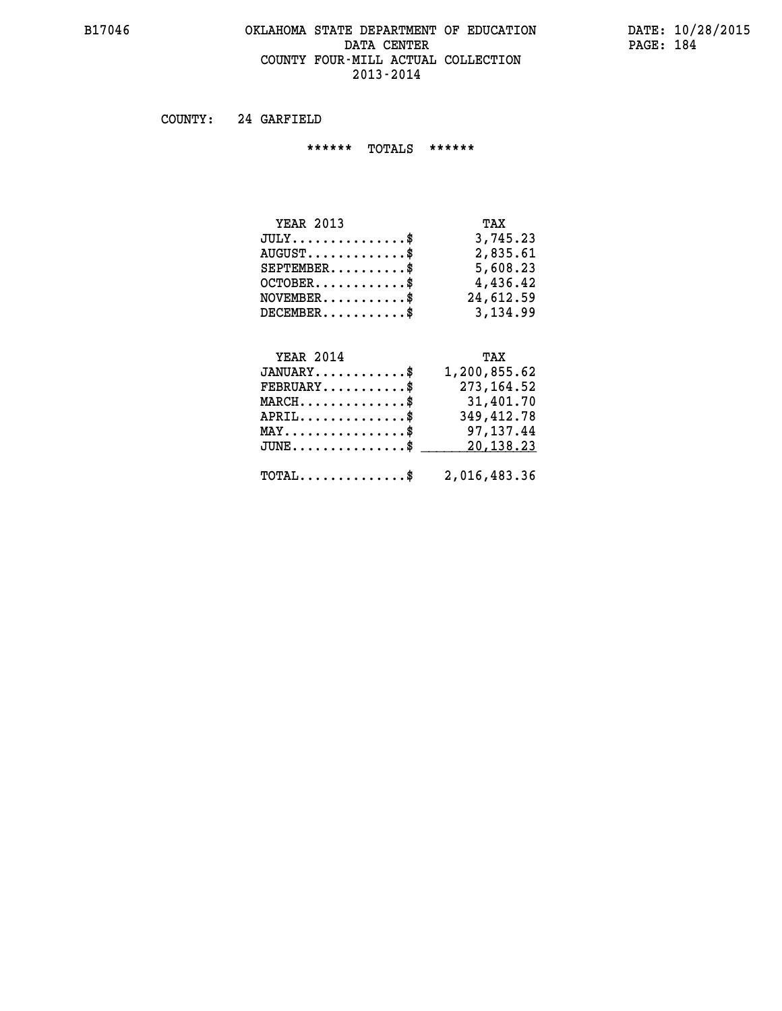# **B17046 OKLAHOMA STATE DEPARTMENT OF EDUCATION DATE: 10/28/2015** DATA CENTER PAGE: 184  **COUNTY FOUR-MILL ACTUAL COLLECTION 2013-2014**

 **COUNTY: 24 GARFIELD**

 **\*\*\*\*\*\* TOTALS \*\*\*\*\*\***

| <b>YEAR 2013</b>                          | TAX       |
|-------------------------------------------|-----------|
| $JULY$                                    | 3,745.23  |
| $\text{AUGUST} \dots \dots \dots \dots \$ | 2,835.61  |
| $SEPTEMENT.$ \$                           | 5,608.23  |
| $OCTOBER$ \$                              | 4,436.42  |
| $NOVEMBER$ \$                             | 24,612.59 |
| $DECEMBER$ \$                             | 3,134.99  |

#### **YEAR 2014 TAX**

| $JANUARY$ \$                                            | 1,200,855.62 |
|---------------------------------------------------------|--------------|
| $\texttt{FEBRUARY} \dots \dots \dots \$                 | 273,164.52   |
| $MARCH$ \$                                              | 31,401.70    |
| $APRIL$ \$                                              | 349,412.78   |
| $MAX \dots \dots \dots \dots \dots \$                   | 97,137.44    |
| $JUNE \ldots \ldots \ldots \ldots$ \$ 20,138.23         |              |
| $\texttt{TOTAL} \dots \dots \dots \dots \$ 2,016,483.36 |              |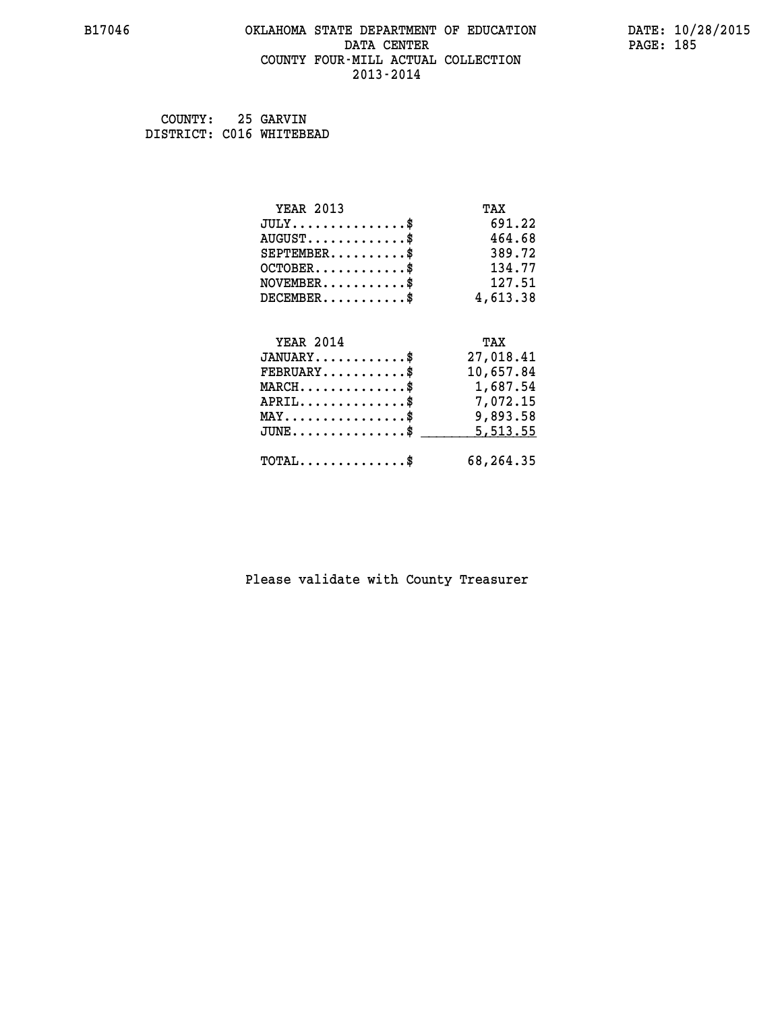#### **B17046 OKLAHOMA STATE DEPARTMENT OF EDUCATION DATE: 10/28/2015 DATA CENTER** PAGE: 185  **COUNTY FOUR-MILL ACTUAL COLLECTION 2013-2014**

| COUNTY:                  | 25 GARVIN |
|--------------------------|-----------|
| DISTRICT: C016 WHITEBEAD |           |

| <b>YEAR 2013</b>                                 | TAX       |
|--------------------------------------------------|-----------|
| $JULY$ \$                                        | 691.22    |
| $AUGUST$ \$                                      | 464.68    |
| $SEPTEMBER$ \$                                   | 389.72    |
| $OCTOBER$ \$                                     | 134.77    |
| $\texttt{NOVEMBER} \dots \dots \dots \$          | 127.51    |
| $DECEMBER$ \$                                    | 4,613.38  |
|                                                  |           |
| <b>YEAR 2014</b>                                 | TAX       |
| $JANUARY$ \$                                     | 27,018.41 |
| $FEBRUARY$ \$                                    | 10,657.84 |
| MARCH\$ 1,687.54                                 |           |
| $APRIL$ \$ 7,072.15                              |           |
| $\texttt{MAX} \dots \dots \dots \dots \dots \$   | 9,893.58  |
| $\texttt{JUNE} \dots \dots \dots \dots \dots \$$ | 5,513.55  |
| $\texttt{TOTAL} \dots \dots \dots \dots \$       | 68,264.35 |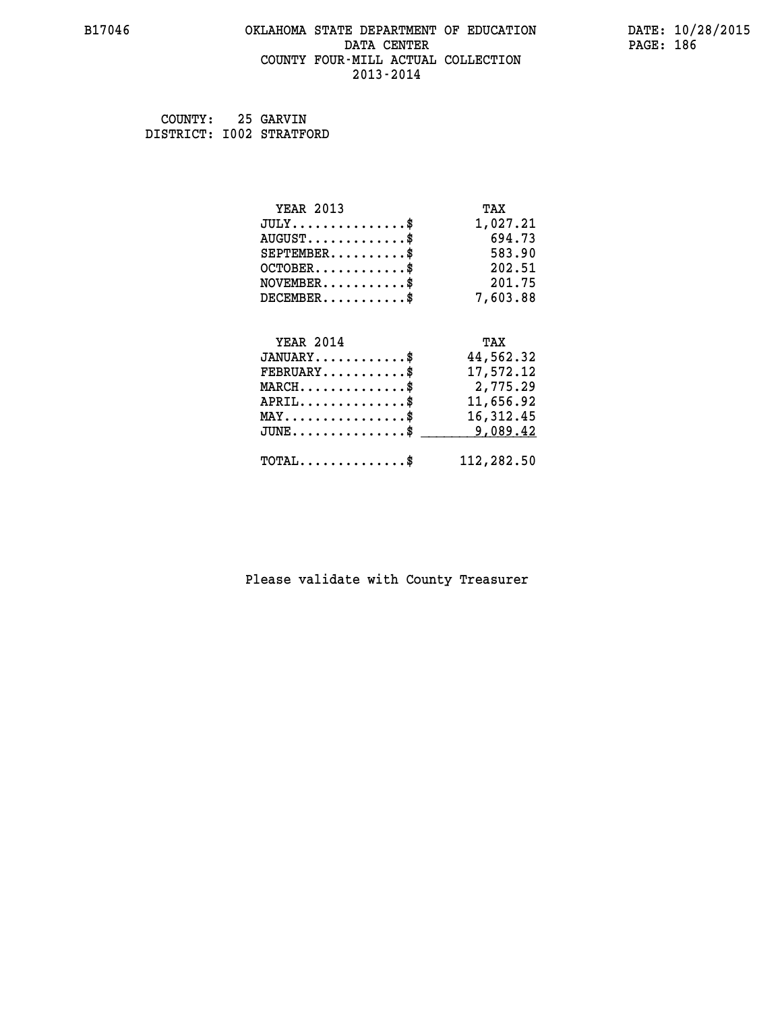#### **B17046 OKLAHOMA STATE DEPARTMENT OF EDUCATION DATE: 10/28/2015 DATA CENTER** PAGE: 186  **COUNTY FOUR-MILL ACTUAL COLLECTION 2013-2014**

 **COUNTY: 25 GARVIN DISTRICT: I002 STRATFORD**

| <b>YEAR 2013</b>                               | TAX        |
|------------------------------------------------|------------|
| $JULY$ \$                                      | 1,027.21   |
| $AUGUST$ \$                                    | 694.73     |
| $SEPTEMBER$ \$                                 | 583.90     |
| $OCTOBER$ \$                                   | 202.51     |
| $\texttt{NOVEMBER} \dots \dots \dots \$        | 201.75     |
| $DECEMBER$ \$                                  | 7,603.88   |
|                                                |            |
| <b>YEAR 2014</b>                               | TAX        |
| $JANUARY$ \$                                   | 44,562.32  |
| $FEBRUARY$                                     | 17,572.12  |
| $MARCH$ \$                                     | 2,775.29   |
| $APRIL \ldots \ldots \ldots \ldots \$          | 11,656.92  |
| $\texttt{MAX} \dots \dots \dots \dots \dots \$ | 16,312.45  |
| $JUNE$ \$                                      | 9,089.42   |
| $\texttt{TOTAL} \dots \dots \dots \dots \$     | 112,282.50 |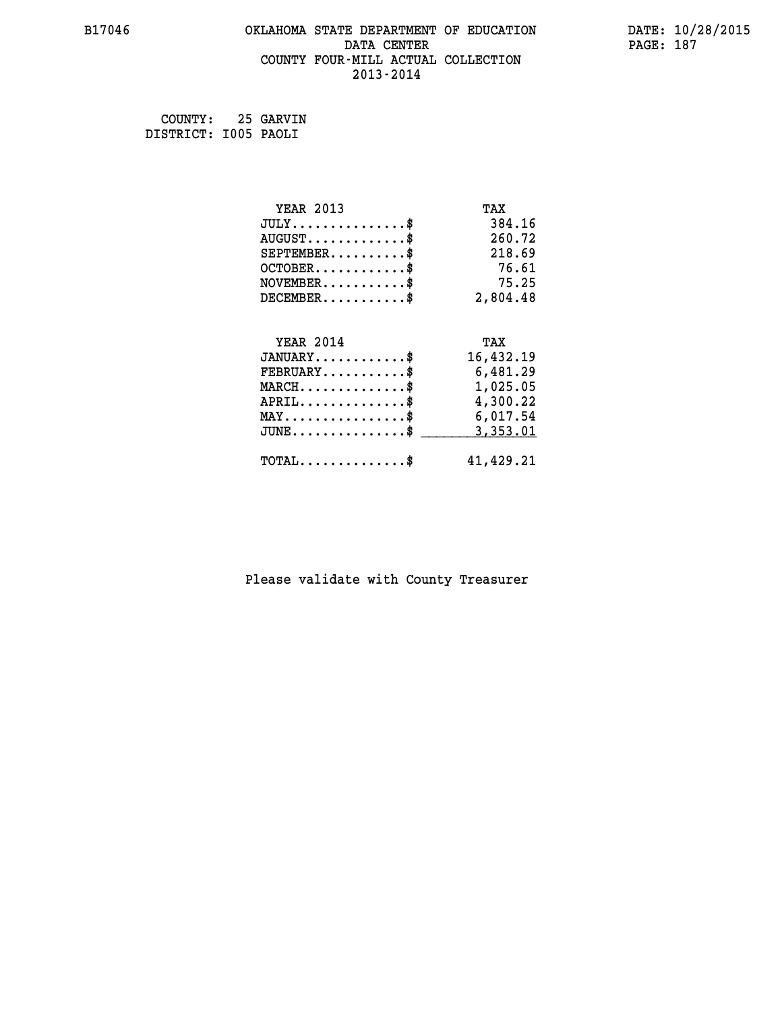#### **B17046 OKLAHOMA STATE DEPARTMENT OF EDUCATION DATE: 10/28/2015 DATA CENTER** PAGE: 187  **COUNTY FOUR-MILL ACTUAL COLLECTION 2013-2014**

 **COUNTY: 25 GARVIN DISTRICT: I005 PAOLI**

| <b>YEAR 2013</b>                                                          | TAX       |
|---------------------------------------------------------------------------|-----------|
| $JULY$ \$                                                                 | 384.16    |
| $AUGUST$ \$                                                               | 260.72    |
| $SEPTEMENT.$ \$                                                           | 218.69    |
| $OCTOBER$ \$                                                              | 76.61     |
| $\verb NOVEMBER , \verb , \verb , \verb , \verb , \verb , \verb , \verb $ | 75.25     |
| $DECEMBER$ \$                                                             | 2,804.48  |
|                                                                           |           |
| <b>YEAR 2014</b>                                                          | TAX       |
| $JANUARY$ \$                                                              | 16,432.19 |
| $FEBRUARY$                                                                | 6,481.29  |
| $MARCH$ \$                                                                | 1,025.05  |
| $APRIL \ldots \ldots \ldots \ldots \$                                     | 4,300.22  |
| $\texttt{MAX} \dots \dots \dots \dots \dots \$                            | 6,017.54  |
| $JUNE$ \$                                                                 | 3,353.01  |
| $\texttt{TOTAL} \dots \dots \dots \dots \$                                | 41,429.21 |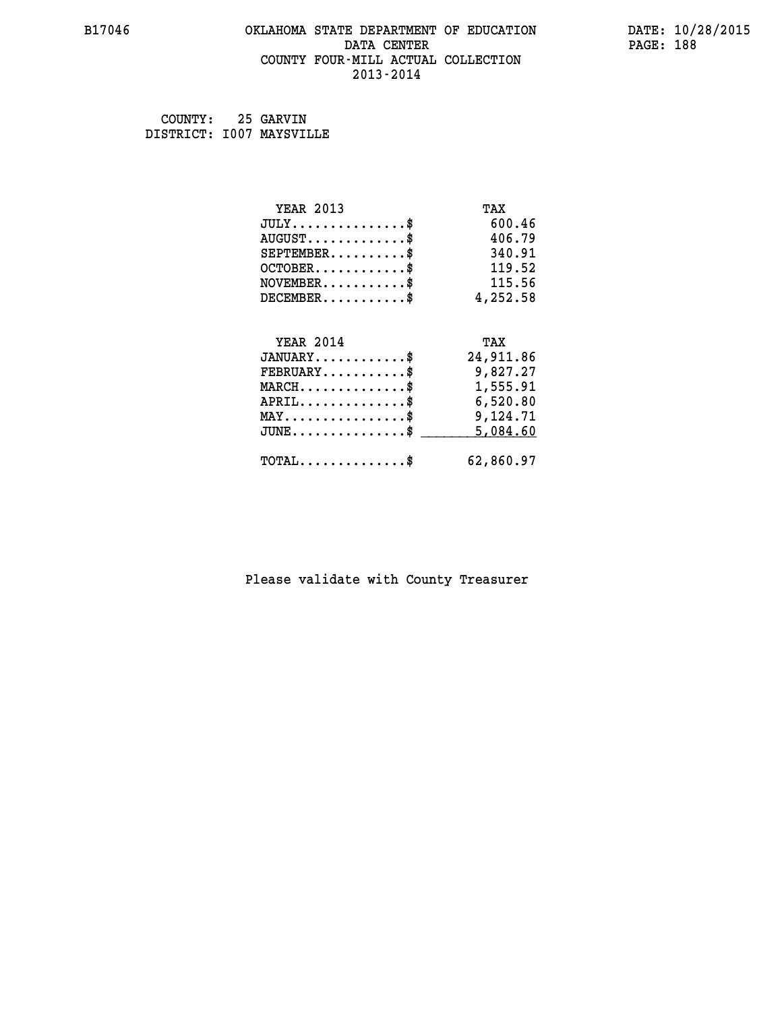#### **B17046 OKLAHOMA STATE DEPARTMENT OF EDUCATION DATE: 10/28/2015 DATA CENTER** PAGE: 188  **COUNTY FOUR-MILL ACTUAL COLLECTION 2013-2014**

 **COUNTY: 25 GARVIN DISTRICT: I007 MAYSVILLE**

| <b>YEAR 2013</b>                                 | TAX       |
|--------------------------------------------------|-----------|
| $JULY$ \$                                        | 600.46    |
| $AUGUST$ \$                                      | 406.79    |
| $SEPTEMBER$ \$                                   | 340.91    |
| $OCTOBER$ \$                                     | 119.52    |
| $\texttt{NOVEMBER} \dots \dots \dots \$          | 115.56    |
| $DECEMBER$ \$                                    | 4,252.58  |
|                                                  |           |
| <b>YEAR 2014</b>                                 | TAX       |
| $JANUARY$ \$                                     | 24,911.86 |
| $FEBRUARY$                                       | 9,827.27  |
| $\texttt{MARCH}\ldots\ldots\ldots\ldots\text{*}$ | 1,555.91  |
| $APRIL \ldots \ldots \ldots \ldots \$            | 6,520.80  |
| $\texttt{MAX} \dots \dots \dots \dots \dots \$   | 9,124.71  |
| $JUNE$ \$                                        | 5,084.60  |
| $\texttt{TOTAL} \dots \dots \dots \dots \$       | 62,860.97 |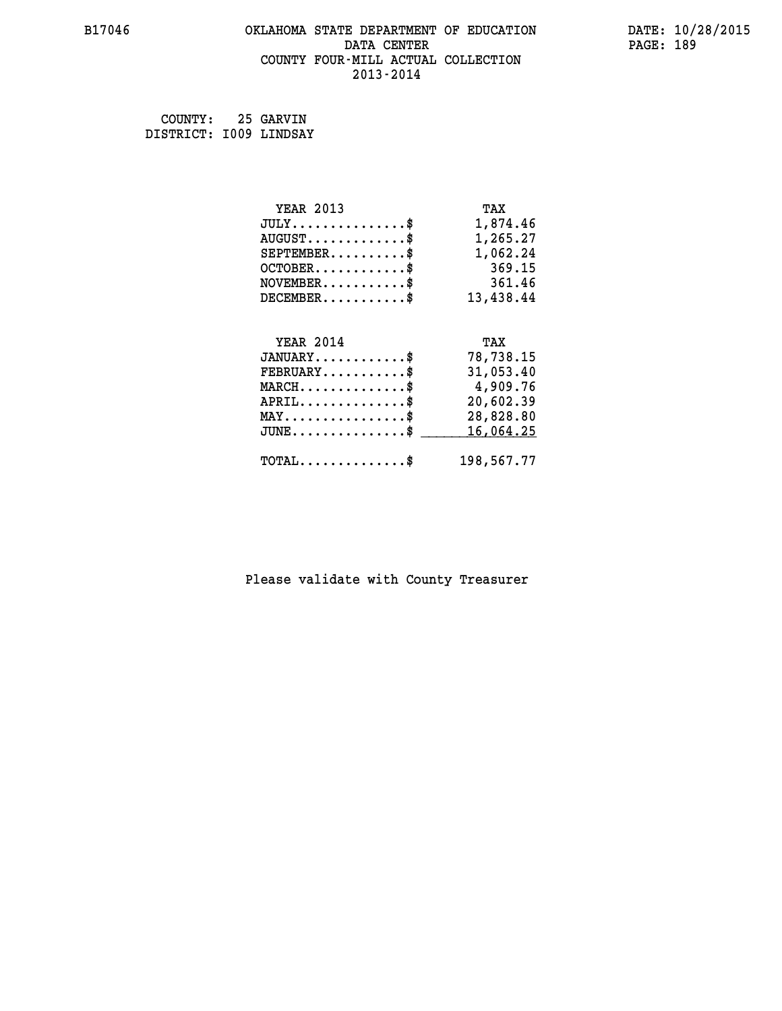## **B17046 OKLAHOMA STATE DEPARTMENT OF EDUCATION DATE: 10/28/2015 DATA CENTER PAGE: 189 COUNTY FOUR-MILL ACTUAL COLLECTION 2013-2014**

 **COUNTY: 25 GARVIN DISTRICT: I009 LINDSAY**

| <b>YEAR 2013</b>                               | TAX        |
|------------------------------------------------|------------|
| $JULY$ \$                                      | 1,874.46   |
| $AUGUST$ \$                                    | 1,265.27   |
| $SEPTEMBER$ \$                                 | 1,062.24   |
| $OCTOBER.$ \$                                  | 369.15     |
| $NOVEMBER.$ \$                                 | 361.46     |
| $DECEMBER$ \$                                  | 13,438.44  |
|                                                |            |
| <b>YEAR 2014</b>                               | TAX        |
| $JANUARY$ \$                                   | 78,738.15  |
| $\texttt{FEBRUARY} \dots \dots \dots \$        | 31,053.40  |
| $MARCH$ \$                                     | 4,909.76   |
| $APRIL$ \$                                     | 20,602.39  |
| $\texttt{MAX} \dots \dots \dots \dots \dots \$ | 28,828.80  |
| $JUNE$ \$                                      | 16,064.25  |
| $\texttt{TOTAL} \dots \dots \dots \dots \dots$ | 198,567.77 |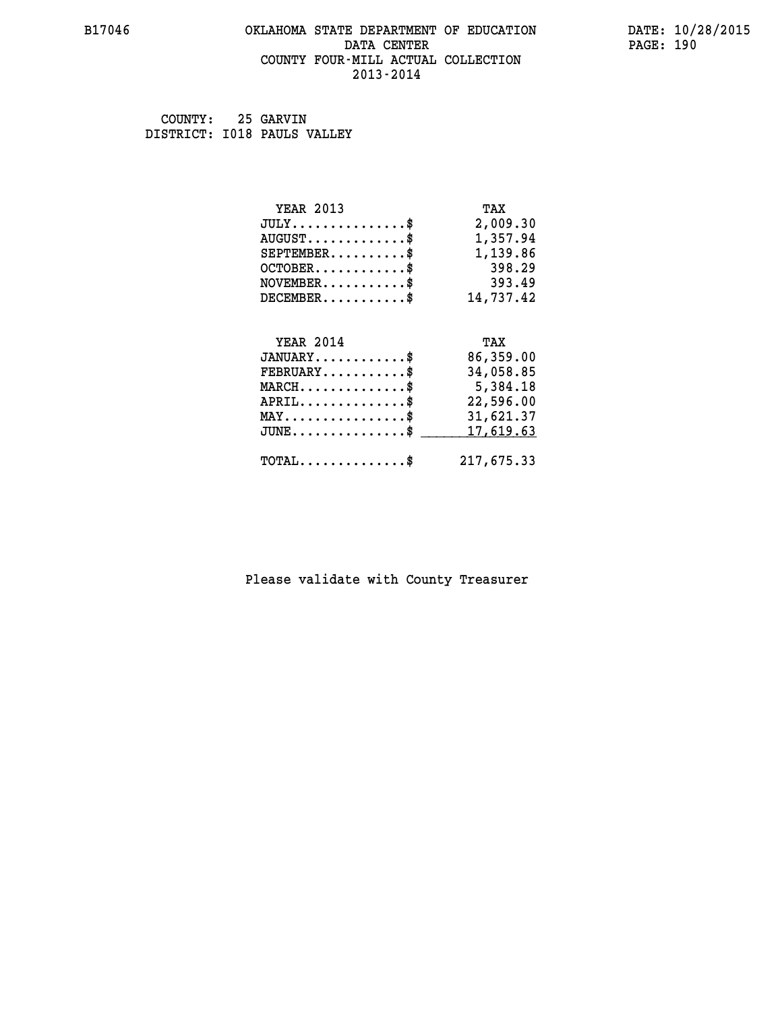#### **B17046 OKLAHOMA STATE DEPARTMENT OF EDUCATION DATE: 10/28/2015 DATA CENTER** PAGE: 190  **COUNTY FOUR-MILL ACTUAL COLLECTION 2013-2014**

 **COUNTY: 25 GARVIN DISTRICT: I018 PAULS VALLEY**

| <b>YEAR 2013</b>                                                          | TAX       |
|---------------------------------------------------------------------------|-----------|
| $JULY$ \$                                                                 | 2,009.30  |
| $AUGUST$ \$                                                               | 1,357.94  |
| $SEPTEMBER$                                                               | 1,139.86  |
| $OCTOBER$ \$                                                              | 398.29    |
| $\verb NOVEMBER , \verb , \verb , \verb , \verb , \verb , \verb , \verb $ | 393.49    |
| $DECEMBER$ \$                                                             | 14,737.42 |
|                                                                           |           |
| <b>YEAR 2014</b>                                                          | TAX       |
| $JANUARY$ \$                                                              | 86,359.00 |
|                                                                           |           |
| $FEBRUARY$                                                                | 34,058.85 |
| $MARCH$ \$                                                                | 5,384.18  |
| $APRIL$ \$                                                                | 22,596.00 |
| $\texttt{MAX} \dots \dots \dots \dots \dots \$                            | 31,621.37 |
| $JUNE$ \$                                                                 | 17,619.63 |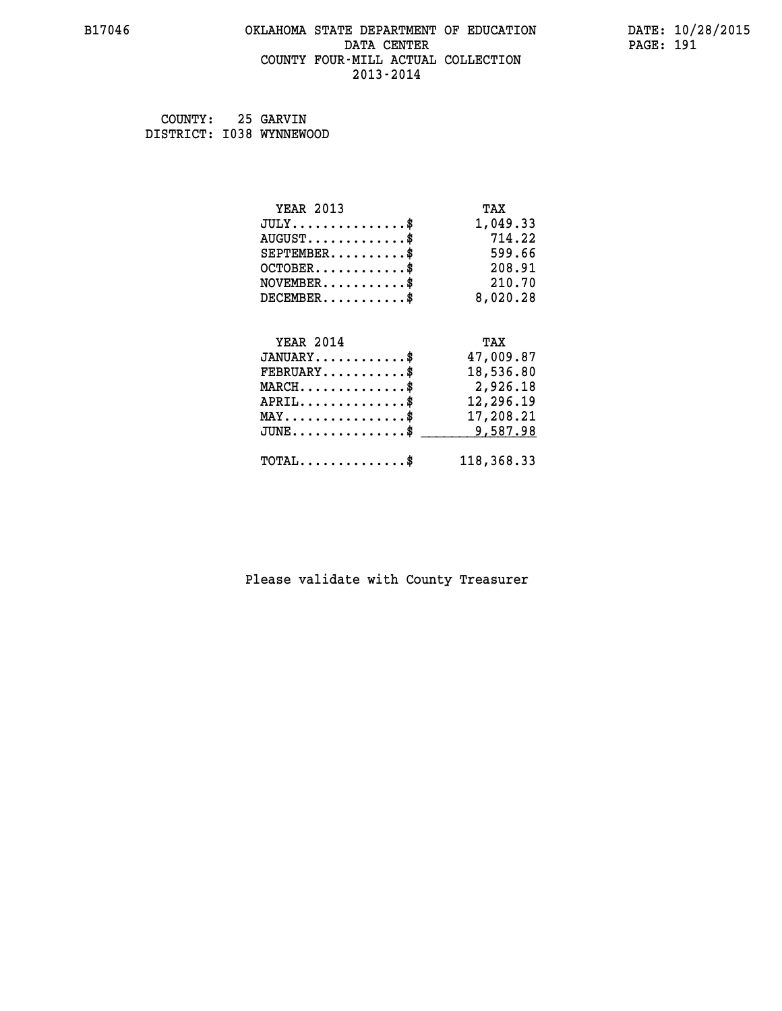#### **B17046 OKLAHOMA STATE DEPARTMENT OF EDUCATION DATE: 10/28/2015 DATA CENTER** PAGE: 191  **COUNTY FOUR-MILL ACTUAL COLLECTION 2013-2014**

 **COUNTY: 25 GARVIN DISTRICT: I038 WYNNEWOOD**

| <b>YEAR 2013</b>                               | TAX        |
|------------------------------------------------|------------|
| $JULY$ \$                                      | 1,049.33   |
| $AUGUST$ \$                                    | 714.22     |
| $SEPTEMBER$ \$                                 | 599.66     |
| $OCTOBER$ \$                                   | 208.91     |
| $NOVEMBER$ \$                                  | 210.70     |
| $DECEMBER$ \$                                  | 8,020.28   |
|                                                |            |
| <b>YEAR 2014</b>                               | TAX        |
| $JANUARY$ \$                                   | 47,009.87  |
| $FEBRUARY$                                     | 18,536.80  |
| $MARCH$ \$                                     | 2,926.18   |
| $APRIL$ \$                                     | 12,296.19  |
| $\texttt{MAX} \dots \dots \dots \dots \dots \$ | 17,208.21  |
| $JUNE$ \$                                      | 9,587.98   |
| $\texttt{TOTAL} \dots \dots \dots \dots \$     | 118,368.33 |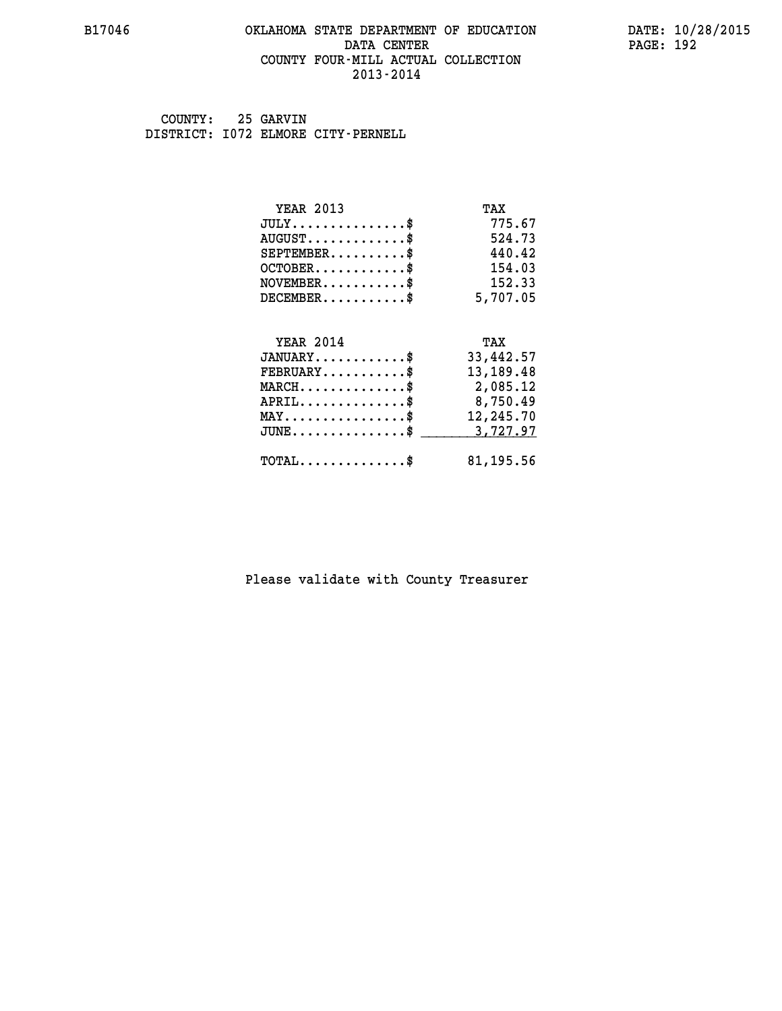#### **B17046 OKLAHOMA STATE DEPARTMENT OF EDUCATION DATE: 10/28/2015 DATA CENTER** PAGE: 192  **COUNTY FOUR-MILL ACTUAL COLLECTION 2013-2014**

 **COUNTY: 25 GARVIN DISTRICT: I072 ELMORE CITY-PERNELL**

| <b>YEAR 2013</b>                           | TAX       |
|--------------------------------------------|-----------|
| $JULY$ \$                                  | 775.67    |
| $AUGUST$ \$                                | 524.73    |
| $SEPTEMBER$ \$                             | 440.42    |
| $OCTOBER$ \$                               | 154.03    |
| $NOVEMBER$ \$                              | 152.33    |
| $DECEMBER$ \$                              | 5,707.05  |
|                                            |           |
| <b>YEAR 2014</b>                           | TAX       |
| $JANUARY$ \$                               | 33,442.57 |
| $FEBRUARY$                                 | 13,189.48 |
| $MARCH$ \$                                 | 2,085.12  |
| $APRIL$ \$                                 | 8,750.49  |
| $MAX \dots \dots \dots \dots \dots$        | 12,245.70 |
| $JUNE$ \$                                  | 3,727.97  |
| $\texttt{TOTAL} \dots \dots \dots \dots \$ | 81,195.56 |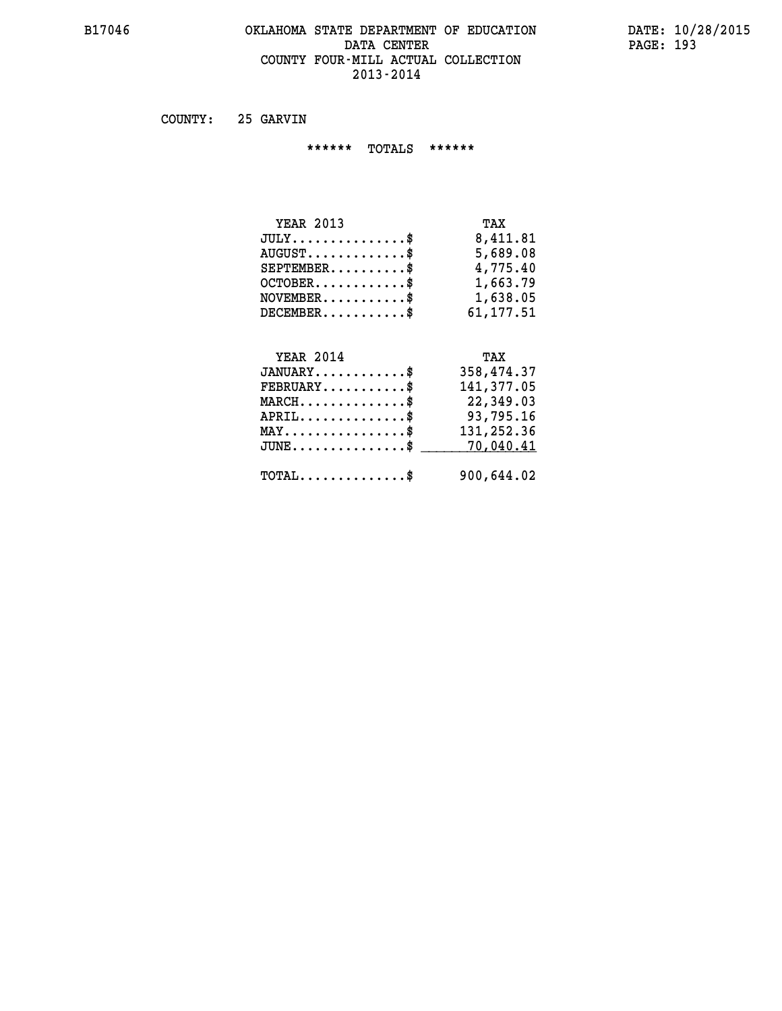#### **B17046 OKLAHOMA STATE DEPARTMENT OF EDUCATION DATE: 10/28/2015 DATA CENTER** PAGE: 193  **COUNTY FOUR-MILL ACTUAL COLLECTION 2013-2014**

 **COUNTY: 25 GARVIN**

 **\*\*\*\*\*\* TOTALS \*\*\*\*\*\***

| <b>YEAR 2013</b>                     | TAX       |
|--------------------------------------|-----------|
| $JULY \ldots \ldots \ldots \ldots \$ | 8,411.81  |
| $AUGUST$ \$                          | 5,689.08  |
| $SEPTEMBER$                          | 4,775.40  |
| $OCTOBER$ \$                         | 1,663.79  |
| $NOVEMBER$ \$                        | 1,638.05  |
| $DECEMBER$                           | 61,177.51 |

# **YEAR 2014 TAX**

| $JANUARY$                                  | 358,474.37 |
|--------------------------------------------|------------|
| $FEBRUARY$                                 | 141,377.05 |
| $MARCH$ \$                                 | 22,349.03  |
| $APRIL$ \$                                 | 93,795.16  |
| $MAX \dots \dots \dots \dots \dots \$      | 131,252.36 |
| $JUNE \dots \dots \dots \dots \$ 70,040.41 |            |
| $\texttt{TOTAL} \dots \dots \dots \dots \$ | 900,644.02 |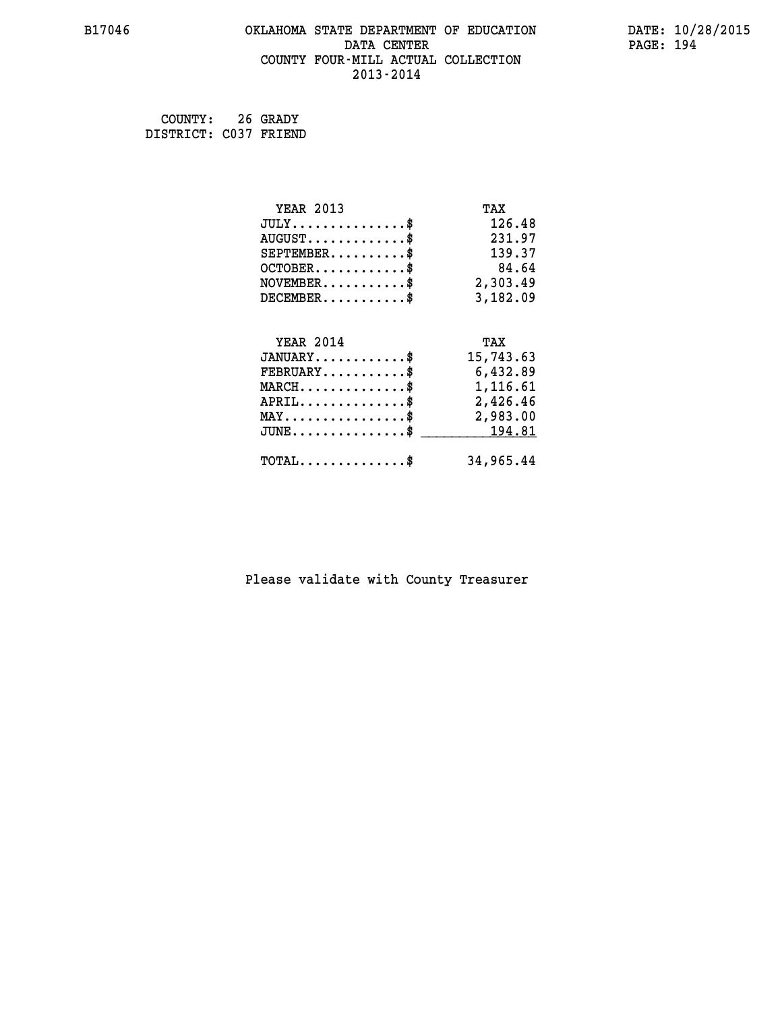#### **B17046 OKLAHOMA STATE DEPARTMENT OF EDUCATION DATE: 10/28/2015 DATA CENTER** PAGE: 194  **COUNTY FOUR-MILL ACTUAL COLLECTION 2013-2014**

 **COUNTY: 26 GRADY DISTRICT: C037 FRIEND**

| <b>YEAR 2013</b>                                                          | TAX       |
|---------------------------------------------------------------------------|-----------|
| $JULY$ \$                                                                 | 126.48    |
| $AUGUST$ \$                                                               | 231.97    |
| $SEPTEMENT.$ \$                                                           | 139.37    |
| $OCTOBER$ \$                                                              | 84.64     |
| $\verb NOVEMBER , \verb , \verb , \verb , \verb , \verb , \verb , \verb $ | 2,303.49  |
| $DECEMBER$ \$                                                             | 3,182.09  |
|                                                                           |           |
| <b>YEAR 2014</b>                                                          | TAX       |
| $JANUARY$ \$                                                              | 15,743.63 |
| $FEBRUARY$                                                                | 6,432.89  |
| $MARCH$ \$                                                                | 1,116.61  |
| $APRIL \ldots \ldots \ldots \ldots *$                                     | 2,426.46  |
| $\texttt{MAX} \dots \dots \dots \dots \dots \$$                           | 2,983.00  |
| $JUNE$ \$                                                                 | 194.81    |
|                                                                           |           |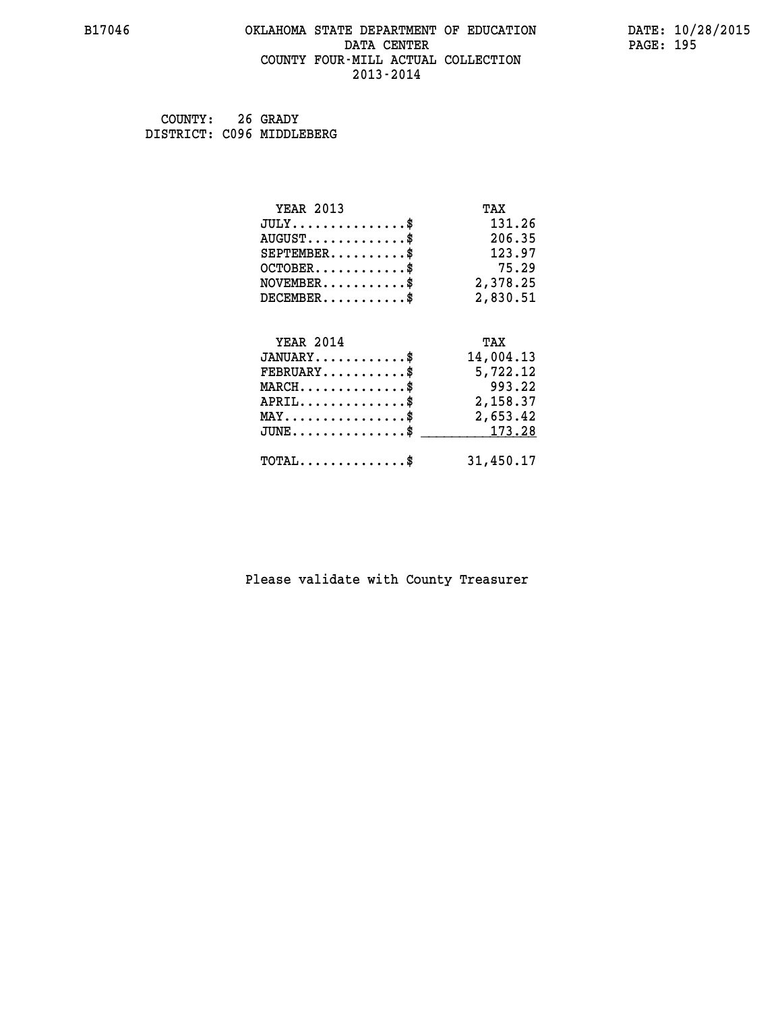#### **B17046 OKLAHOMA STATE DEPARTMENT OF EDUCATION DATE: 10/28/2015 DATA CENTER** PAGE: 195  **COUNTY FOUR-MILL ACTUAL COLLECTION 2013-2014**

 **COUNTY: 26 GRADY DISTRICT: C096 MIDDLEBERG**

| <b>YEAR 2013</b>                               | TAX       |
|------------------------------------------------|-----------|
| $JULY$ \$                                      | 131.26    |
| $AUGUST$ \$                                    | 206.35    |
| $SEPTEMBER$ \$                                 | 123.97    |
| $OCTOBER$ \$                                   | 75.29     |
| $NOVEMBER$ \$                                  | 2,378.25  |
| $DECEMBER$ \$                                  | 2,830.51  |
|                                                |           |
| <b>YEAR 2014</b>                               | TAX       |
| $JANUARY$ \$                                   | 14,004.13 |
| $FEBRUARY$                                     | 5,722.12  |
| $MARCH$ \$                                     | 993.22    |
| $APRIL$ \$                                     | 2,158.37  |
| $\texttt{MAX} \dots \dots \dots \dots \dots \$ | 2,653.42  |
| $JUNE$ \$                                      | 173.28    |
| $\texttt{TOTAL} \dots \dots \dots \dots \$     | 31,450.17 |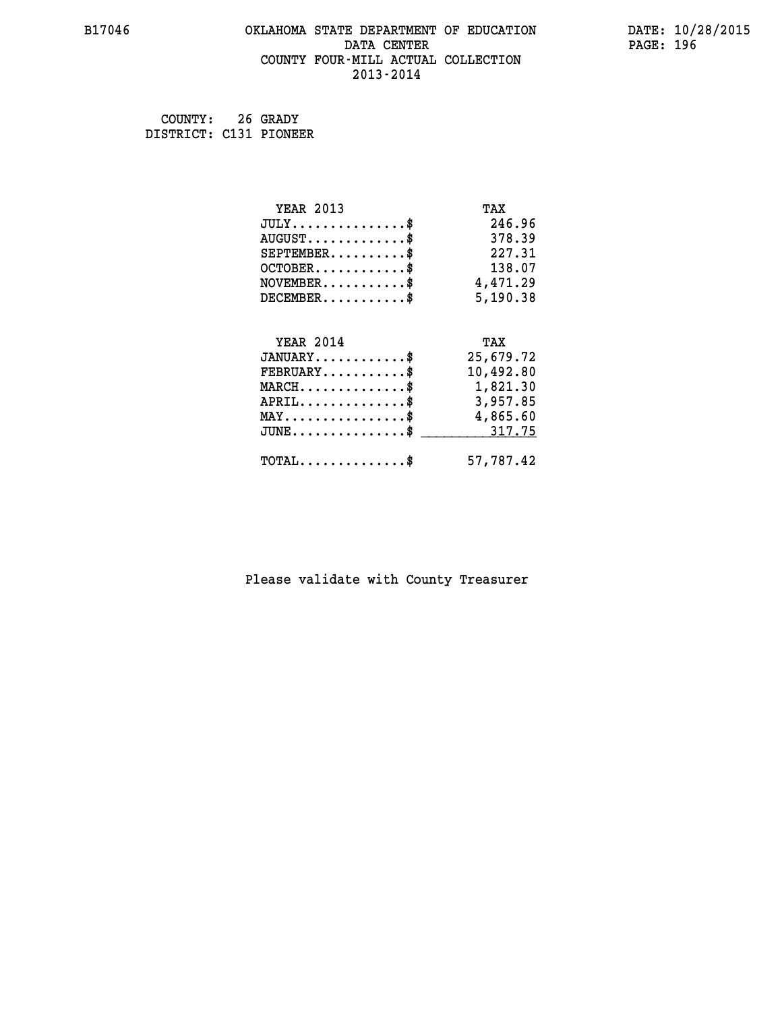#### **B17046 OKLAHOMA STATE DEPARTMENT OF EDUCATION DATE: 10/28/2015 DATA CENTER** PAGE: 196  **COUNTY FOUR-MILL ACTUAL COLLECTION 2013-2014**

 **COUNTY: 26 GRADY DISTRICT: C131 PIONEER**

| <b>YEAR 2013</b>                                   | TAX       |
|----------------------------------------------------|-----------|
| $JULY$ \$                                          | 246.96    |
| $AUGUST$ \$                                        | 378.39    |
| $SEPTEMBER$ \$                                     | 227.31    |
| $OCTOBER$ \$                                       | 138.07    |
| $\texttt{NOVEMBER} \dots \dots \dots \$            | 4,471.29  |
| $DECEMBER$ \$                                      | 5,190.38  |
|                                                    |           |
| <b>YEAR 2014</b>                                   | TAX       |
| $JANUARY$ \$                                       | 25,679.72 |
| $FEBRUARY$                                         | 10,492.80 |
| $\texttt{MARCH}\ldots\ldots\ldots\ldots\text{*}$   | 1,821.30  |
| $APRIL \ldots \ldots \ldots \ldots \$              | 3,957.85  |
| $\texttt{MAX} \dots \dots \dots \dots \dots \$     | 4,865.60  |
| $\texttt{JUNE} \dots \dots \dots \dots \texttt{S}$ | 317.75    |
| $\texttt{TOTAL} \dots \dots \dots \dots \$         | 57,787.42 |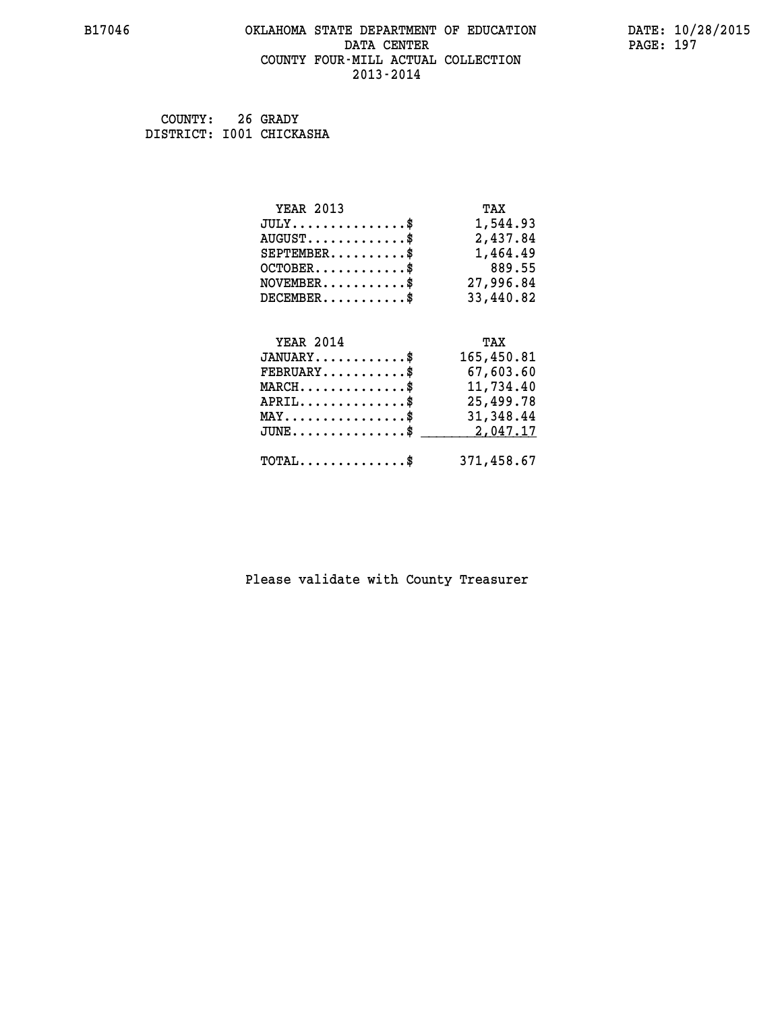#### **B17046 OKLAHOMA STATE DEPARTMENT OF EDUCATION DATE: 10/28/2015 DATA CENTER** PAGE: 197  **COUNTY FOUR-MILL ACTUAL COLLECTION 2013-2014**

 **COUNTY: 26 GRADY DISTRICT: I001 CHICKASHA**

| <b>YEAR 2013</b>                               | TAX        |
|------------------------------------------------|------------|
| $JULY$ \$                                      | 1,544.93   |
| $AUGUST$ \$                                    | 2,437.84   |
| $SEPTEMBER$ \$                                 | 1,464.49   |
| $OCTOBER$ \$                                   | 889.55     |
| $\texttt{NOVEMBER} \dots \dots \dots \$        | 27,996.84  |
| $DECEMBER$ \$                                  | 33,440.82  |
|                                                |            |
| <b>YEAR 2014</b>                               | TAX        |
| $JANUARY$ \$                                   | 165,450.81 |
| $FEBRUARY$                                     | 67,603.60  |
| $\texttt{MARCH}\ldots\ldots\ldots\ldots\$      | 11,734.40  |
| $APRIL \ldots \ldots \ldots \ldots$ \$         | 25,499.78  |
| $\texttt{MAX} \dots \dots \dots \dots \dots \$ | 31,348.44  |
| $JUNE$ \$                                      | 2,047.17   |
| $\texttt{TOTAL} \dots \dots \dots \dots$       | 371,458.67 |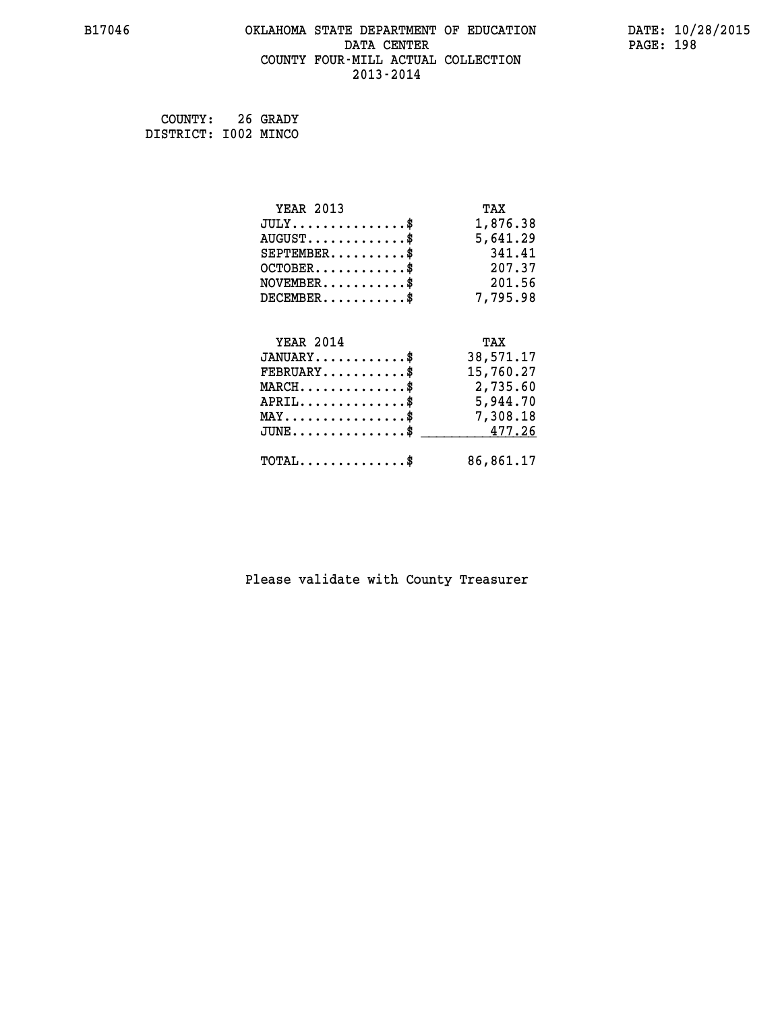## **B17046 OKLAHOMA STATE DEPARTMENT OF EDUCATION DATE: 10/28/2015 DATA CENTER PAGE: 198 COUNTY FOUR-MILL ACTUAL COLLECTION 2013-2014**

 **COUNTY: 26 GRADY DISTRICT: I002 MINCO**

| <b>YEAR 2013</b>                                 | TAX       |
|--------------------------------------------------|-----------|
| $JULY$ \$                                        | 1,876.38  |
| $AUGUST$ \$                                      | 5,641.29  |
| $SEPTEMBER$ \$                                   | 341.41    |
| $OCTOBER$ \$                                     | 207.37    |
| $\texttt{NOVEMBER} \dots \dots \dots \$          | 201.56    |
| $DECEMBER$ \$                                    | 7,795.98  |
|                                                  |           |
| <b>YEAR 2014</b>                                 | TAX       |
| $JANUARY$ \$                                     | 38,571.17 |
| $FEBRUARY$ \$                                    | 15,760.27 |
| $\texttt{MARCH}\ldots\ldots\ldots\ldots\text{*}$ | 2,735.60  |
| $APRIL \ldots \ldots \ldots \ldots \$            | 5,944.70  |
| $\texttt{MAX} \dots \dots \dots \dots \dots \$   | 7,308.18  |
| $\texttt{JUNE} \dots \dots \dots \dots \dots \$$ | 477.26    |
| $\texttt{TOTAL} \dots \dots \dots \dots \$       | 86,861.17 |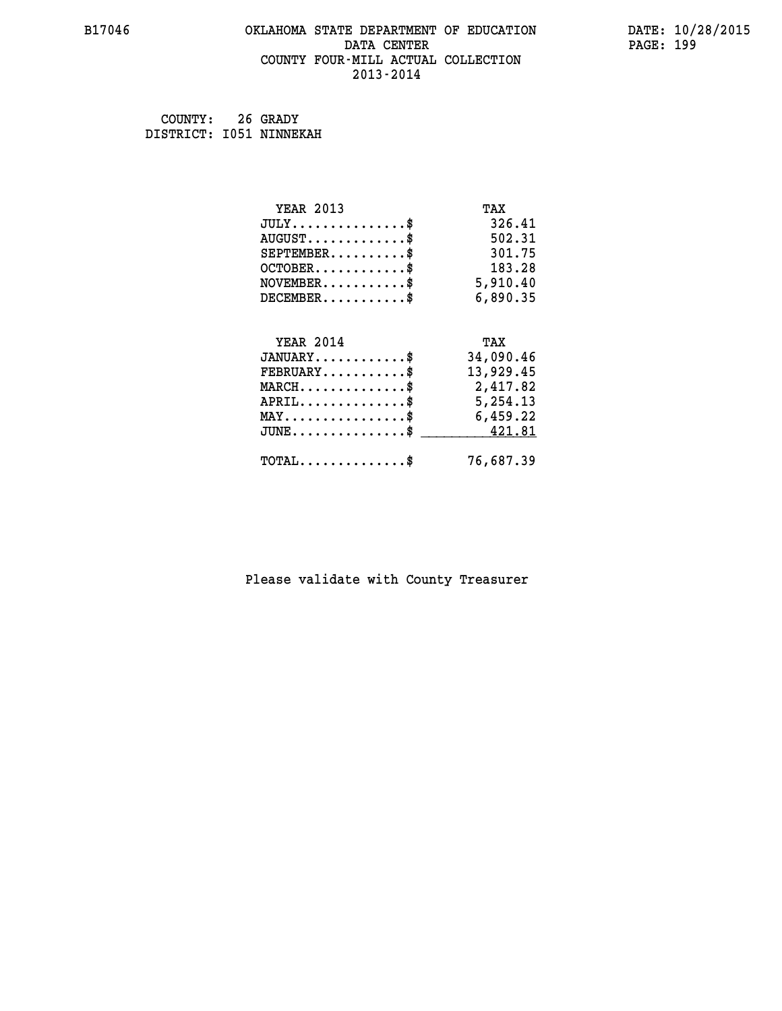#### **B17046 OKLAHOMA STATE DEPARTMENT OF EDUCATION DATE: 10/28/2015 DATA CENTER** PAGE: 199  **COUNTY FOUR-MILL ACTUAL COLLECTION 2013-2014**

 **COUNTY: 26 GRADY DISTRICT: I051 NINNEKAH**

| <b>YEAR 2013</b>                                                          | TAX       |
|---------------------------------------------------------------------------|-----------|
| $JULY$ \$                                                                 | 326.41    |
| $AUGUST$ \$                                                               | 502.31    |
| $SEPTEMBER$ \$                                                            | 301.75    |
| $OCTOBER$ \$                                                              | 183.28    |
| $\verb NOVEMBER , \verb , \verb , \verb , \verb , \verb , \verb + \verb $ | 5,910.40  |
| $DECEMBER$ \$                                                             | 6,890.35  |
|                                                                           |           |
| <b>YEAR 2014</b>                                                          | TAX       |
| $JANUARY$ \$                                                              | 34,090.46 |
| $FEBRUARY$ \$                                                             | 13,929.45 |
| $MARCH$ \$                                                                | 2,417.82  |
| $APRIL \ldots \ldots \ldots \ldots \$                                     | 5,254.13  |
| $\texttt{MAX} \dots \dots \dots \dots \dots \$                            | 6,459.22  |
| $\texttt{JUNE} \dots \dots \dots \dots \dots \$$                          | 421.81    |
| $\texttt{TOTAL} \dots \dots \dots \dots \$                                | 76,687.39 |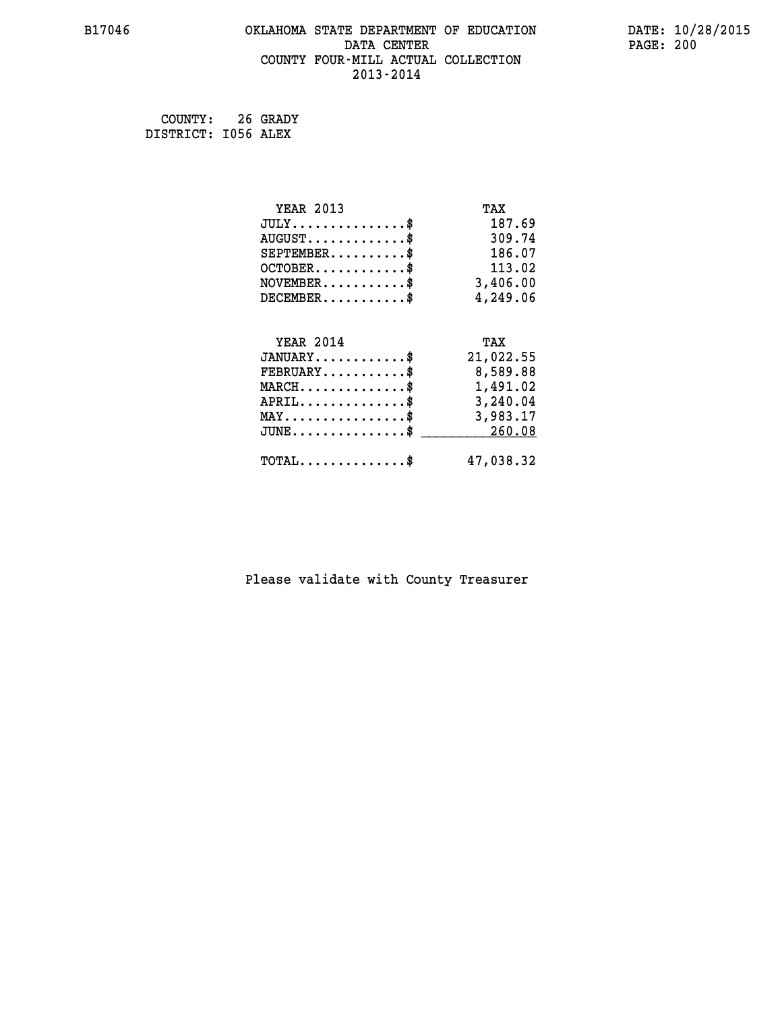#### **B17046 OKLAHOMA STATE DEPARTMENT OF EDUCATION DATE: 10/28/2015 DATA CENTER** PAGE: 200  **COUNTY FOUR-MILL ACTUAL COLLECTION 2013-2014**

 **COUNTY: 26 GRADY DISTRICT: I056 ALEX**

| <b>YEAR 2013</b>                                                          | TAX       |
|---------------------------------------------------------------------------|-----------|
| $JULY$ \$                                                                 | 187.69    |
| $AUGUST$ \$                                                               | 309.74    |
| $SEPTEMBER$ \$                                                            | 186.07    |
| $OCTOBER$ \$                                                              | 113.02    |
| $\verb NOVEMBER , \verb , \verb , \verb , \verb , \verb , \verb , \verb $ | 3,406.00  |
| $DECEMBER$ \$                                                             | 4,249.06  |
|                                                                           |           |
| <b>YEAR 2014</b>                                                          | TAX       |
| $JANUARY$ \$                                                              | 21,022.55 |
| $FEBRUARY$                                                                | 8,589.88  |
| $\texttt{MARCH} \dots \dots \dots \dots \$$                               | 1,491.02  |
| $\texttt{APRIL} \dots \dots \dots \dots \$                                | 3,240.04  |
| $\texttt{MAX} \dots \dots \dots \dots \dots \$                            | 3,983.17  |
| $\texttt{JUNE} \dots \dots \dots \dots \texttt{S}$                        | 260.08    |
| $\texttt{TOTAL} \dots \dots \dots \dots \$                                | 47,038.32 |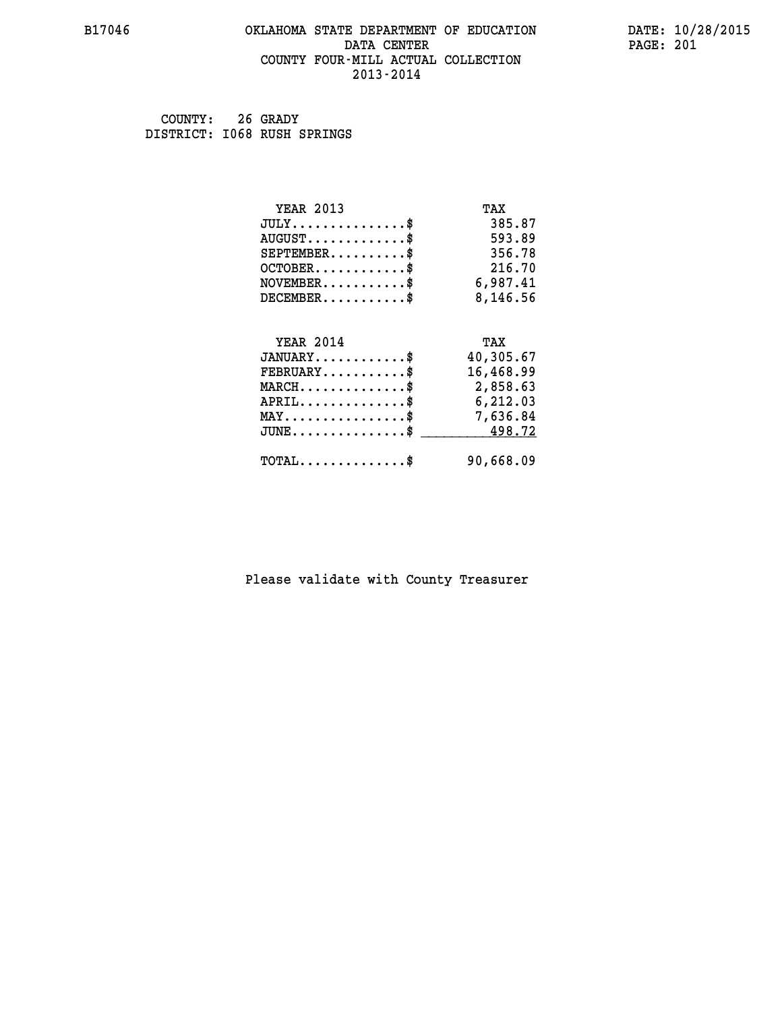#### **B17046 OKLAHOMA STATE DEPARTMENT OF EDUCATION DATE: 10/28/2015 DATA CENTER** PAGE: 201  **COUNTY FOUR-MILL ACTUAL COLLECTION 2013-2014**

 **COUNTY: 26 GRADY DISTRICT: I068 RUSH SPRINGS**

| <b>YEAR 2013</b>                               | TAX       |
|------------------------------------------------|-----------|
| $JULY$ \$                                      | 385.87    |
| $AUGUST$ \$                                    | 593.89    |
| $SEPTEMBER$ \$                                 | 356.78    |
| $OCTOBER$ \$                                   | 216.70    |
| $NOVEMBER$ \$                                  | 6,987.41  |
| $DECEMBER$ \$                                  | 8,146.56  |
|                                                |           |
| <b>YEAR 2014</b>                               | TAX       |
| $JANUARY$ \$                                   | 40,305.67 |
| $FEBRUARY$                                     | 16,468.99 |
| $MARCH$ \$                                     | 2,858.63  |
| $APRIL$ \$                                     | 6,212.03  |
| $\texttt{MAX} \dots \dots \dots \dots \dots \$ | 7,636.84  |
| $JUNE$ \$                                      | 498.72    |
| $\texttt{TOTAL} \dots \dots \dots \dots \$     | 90,668.09 |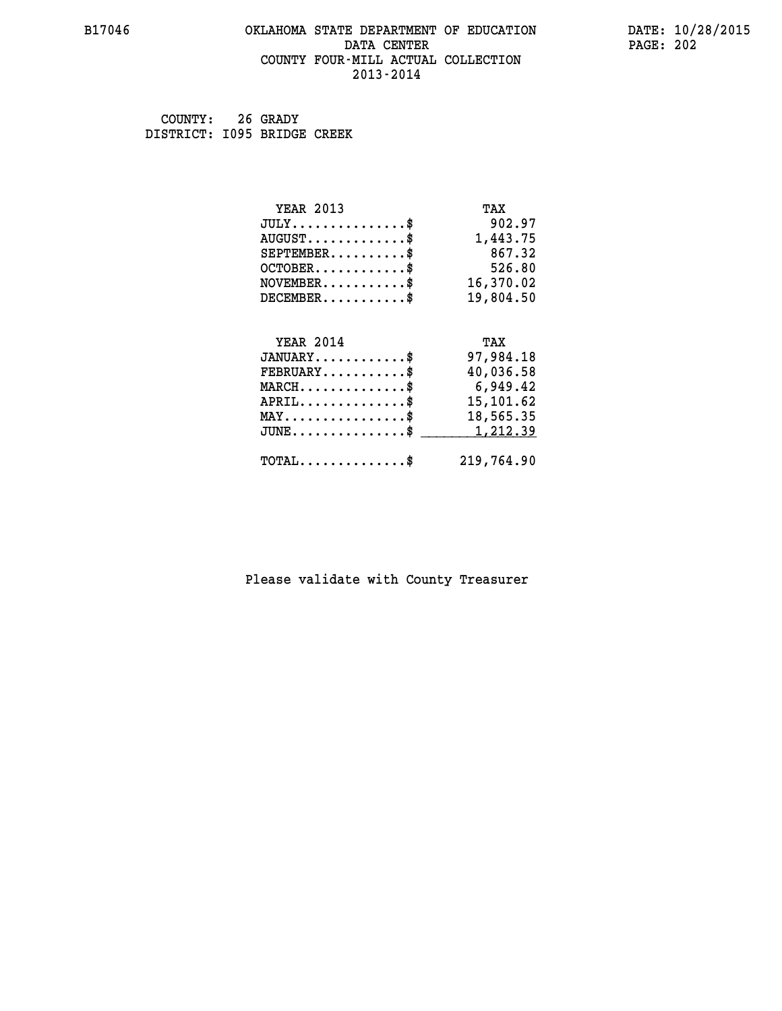#### **B17046 OKLAHOMA STATE DEPARTMENT OF EDUCATION DATE: 10/28/2015 DATA CENTER** PAGE: 202  **COUNTY FOUR-MILL ACTUAL COLLECTION 2013-2014**

 **COUNTY: 26 GRADY DISTRICT: I095 BRIDGE CREEK**

| <b>YEAR 2013</b>                               | TAX        |
|------------------------------------------------|------------|
| $JULY$ \$                                      | 902.97     |
| $AUGUST$ \$                                    | 1,443.75   |
| $SEPTEMBER$ \$                                 | 867.32     |
| $OCTOBER$ \$                                   | 526.80     |
| $\texttt{NOVEMBER} \dots \dots \dots \$        | 16,370.02  |
| $DECEMBER$ \$                                  | 19,804.50  |
|                                                |            |
| <b>YEAR 2014</b>                               | TAX        |
| $JANUARY$ \$                                   | 97,984.18  |
| $FEBRUARY$                                     | 40,036.58  |
| $MARCH$ \$                                     | 6,949.42   |
| $APRIL \ldots \ldots \ldots \ldots \$          | 15,101.62  |
| $\texttt{MAX} \dots \dots \dots \dots \dots \$ | 18,565.35  |
| $JUNE$ \$                                      | 1,212.39   |
| $\texttt{TOTAL} \dots \dots \dots \dots \$     | 219,764.90 |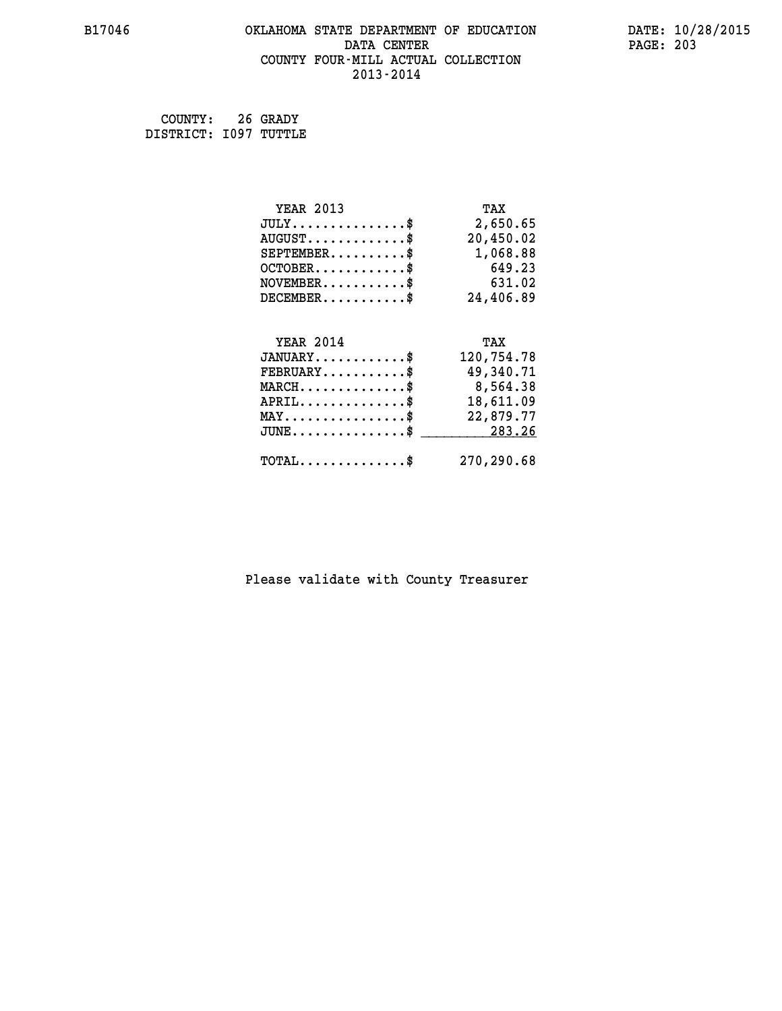#### **B17046 OKLAHOMA STATE DEPARTMENT OF EDUCATION DATE: 10/28/2015 DATA CENTER** PAGE: 203  **COUNTY FOUR-MILL ACTUAL COLLECTION 2013-2014**

 **COUNTY: 26 GRADY DISTRICT: I097 TUTTLE**

| <b>YEAR 2013</b>                               | TAX        |
|------------------------------------------------|------------|
| $JULY$ \$                                      | 2,650.65   |
| $AUGUST$ \$                                    | 20,450.02  |
| $SEPTEMBER$                                    | 1,068.88   |
| $OCTOBER$ \$                                   | 649.23     |
| $NOVEMBER$ \$                                  | 631.02     |
| $DECEMBER$ \$                                  | 24,406.89  |
|                                                |            |
| <b>YEAR 2014</b>                               | TAX        |
| $JANUARY$ \$                                   | 120,754.78 |
| $FEBRUARY$                                     | 49,340.71  |
| $MARCH$ \$                                     | 8,564.38   |
| $APRIL$ \$                                     | 18,611.09  |
| $\texttt{MAX} \dots \dots \dots \dots \dots \$ | 22,879.77  |
| $JUNE$ \$                                      | 283.26     |
| $\texttt{TOTAL} \dots \dots \dots \dots \$     | 270,290.68 |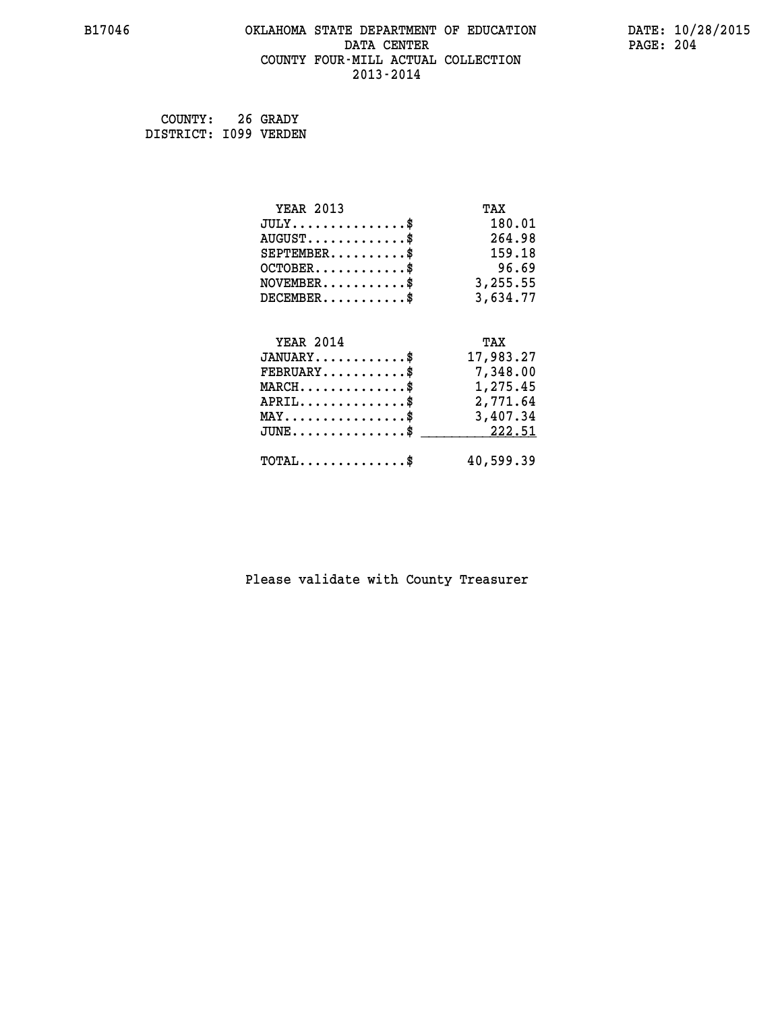#### **B17046 OKLAHOMA STATE DEPARTMENT OF EDUCATION DATE: 10/28/2015 DATA CENTER** PAGE: 204  **COUNTY FOUR-MILL ACTUAL COLLECTION 2013-2014**

 **COUNTY: 26 GRADY DISTRICT: I099 VERDEN**

| <b>YEAR 2013</b>                                                          | TAX       |
|---------------------------------------------------------------------------|-----------|
| $JULY$ \$                                                                 | 180.01    |
| $AUGUST$ \$                                                               | 264.98    |
| $SEPTEMENT.$ \$                                                           | 159.18    |
| $OCTOBER$ \$                                                              | 96.69     |
| $\verb NOVEMBER , \verb , \verb , \verb , \verb , \verb , \verb , \verb $ | 3,255.55  |
| $DECEMBER$ \$                                                             | 3,634.77  |
|                                                                           |           |
| <b>YEAR 2014</b>                                                          | TAX       |
| $JANUARY$ \$                                                              | 17,983.27 |
| $FEBRUARY$                                                                | 7,348.00  |
| $MARCH$ \$                                                                | 1,275.45  |
| $APRIL \ldots \ldots \ldots \ldots \$                                     | 2,771.64  |
| $\texttt{MAX} \dots \dots \dots \dots \dots \$                            | 3,407.34  |
| $\texttt{JUNE} \dots \dots \dots \dots \$$                                | 222.51    |
| $\texttt{TOTAL} \dots \dots \dots \dots \$                                | 40,599.39 |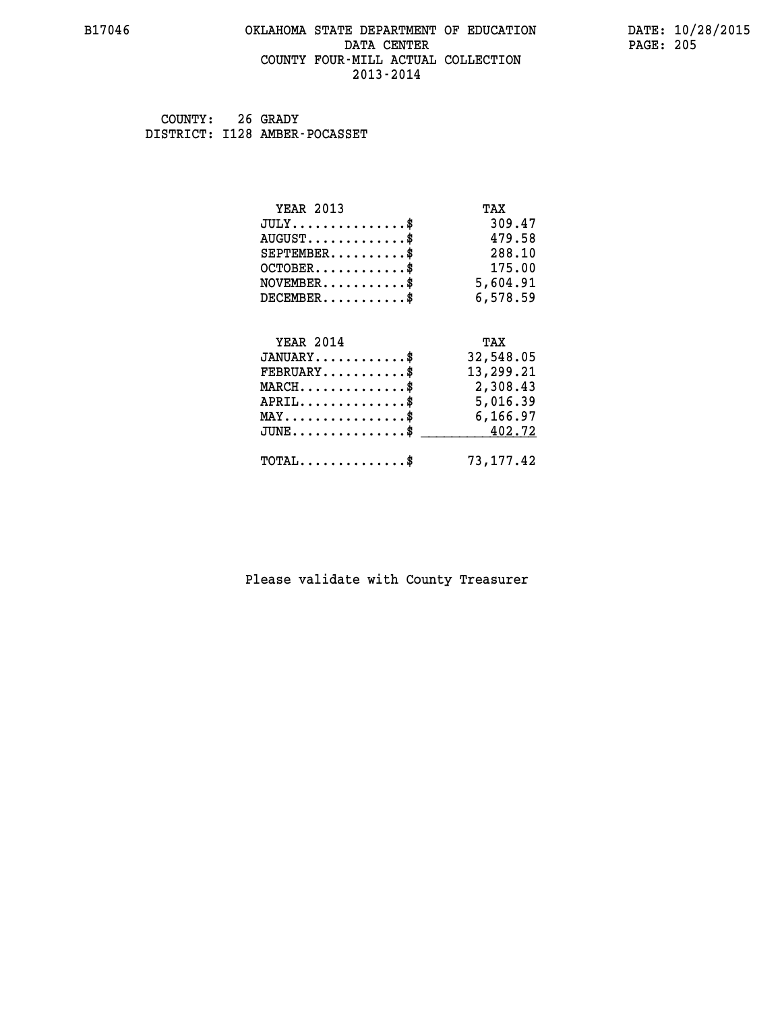#### **B17046 OKLAHOMA STATE DEPARTMENT OF EDUCATION DATE: 10/28/2015 DATA CENTER** PAGE: 205  **COUNTY FOUR-MILL ACTUAL COLLECTION 2013-2014**

 **COUNTY: 26 GRADY DISTRICT: I128 AMBER-POCASSET**

| <b>YEAR 2013</b>                               | TAX       |
|------------------------------------------------|-----------|
| $JULY$ \$                                      | 309.47    |
| $AUGUST$ \$                                    | 479.58    |
| $SEPTEMBER$ \$                                 | 288.10    |
| $OCTOBER$ \$                                   | 175.00    |
| $NOVEMBER$ \$                                  | 5,604.91  |
| $DECEMBER$ \$                                  | 6,578.59  |
|                                                |           |
| <b>YEAR 2014</b>                               | TAX       |
| $JANUARY$                                      | 32,548.05 |
| $FEBRUARY$ \$                                  | 13,299.21 |
| $MARCH$ \$                                     | 2,308.43  |
| $APRIL$ \$                                     | 5,016.39  |
| $\texttt{MAX} \dots \dots \dots \dots \dots \$ | 6,166.97  |
|                                                |           |
| $JUNE$ \$                                      | 402.72    |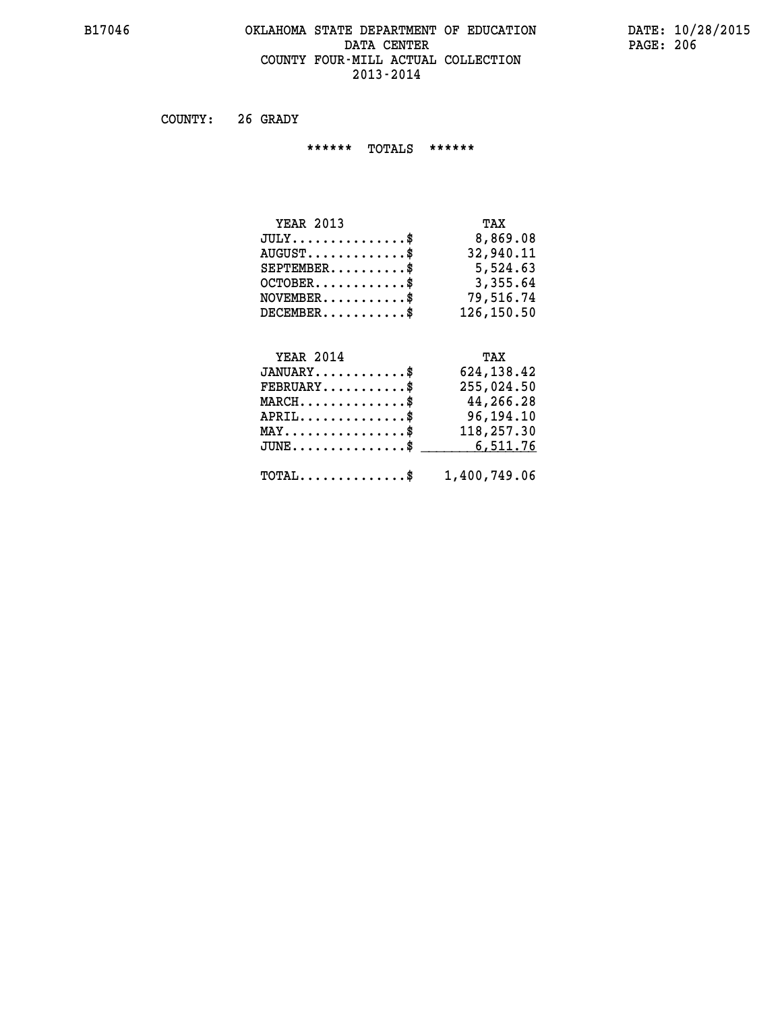#### **B17046 OKLAHOMA STATE DEPARTMENT OF EDUCATION DATE: 10/28/2015 DATA CENTER** PAGE: 206  **COUNTY FOUR-MILL ACTUAL COLLECTION 2013-2014**

 **COUNTY: 26 GRADY**

 **\*\*\*\*\*\* TOTALS \*\*\*\*\*\***

| <b>YEAR 2013</b>                 | TAX        |
|----------------------------------|------------|
| $JULY \ldots \ldots \ldots \$    | 8,869.08   |
| $AUGUST \ldots \ldots \ldots$ \$ | 32,940.11  |
| $SEPTEMENT.$ \$                  | 5,524.63   |
| $OCTOBER$ \$                     | 3,355.64   |
| $NOVEMBER$ \$                    | 79,516.74  |
| $DECEMBER$                       | 126,150.50 |

# **YEAR 2014**

| <b>YEAR 2014</b>                                        | TAX         |
|---------------------------------------------------------|-------------|
| $JANUARY$ \$                                            | 624, 138.42 |
| $FEBRUARY$ \$                                           | 255,024.50  |
| $MARCH$ \$                                              | 44,266.28   |
| $APRIL$ \$                                              | 96,194.10   |
| $MAX \dots \dots \dots \dots \dots$                     | 118,257.30  |
| JUNE\$ 6,511.76                                         |             |
|                                                         |             |
| $\texttt{TOTAL} \dots \dots \dots \dots \$ 1,400,749.06 |             |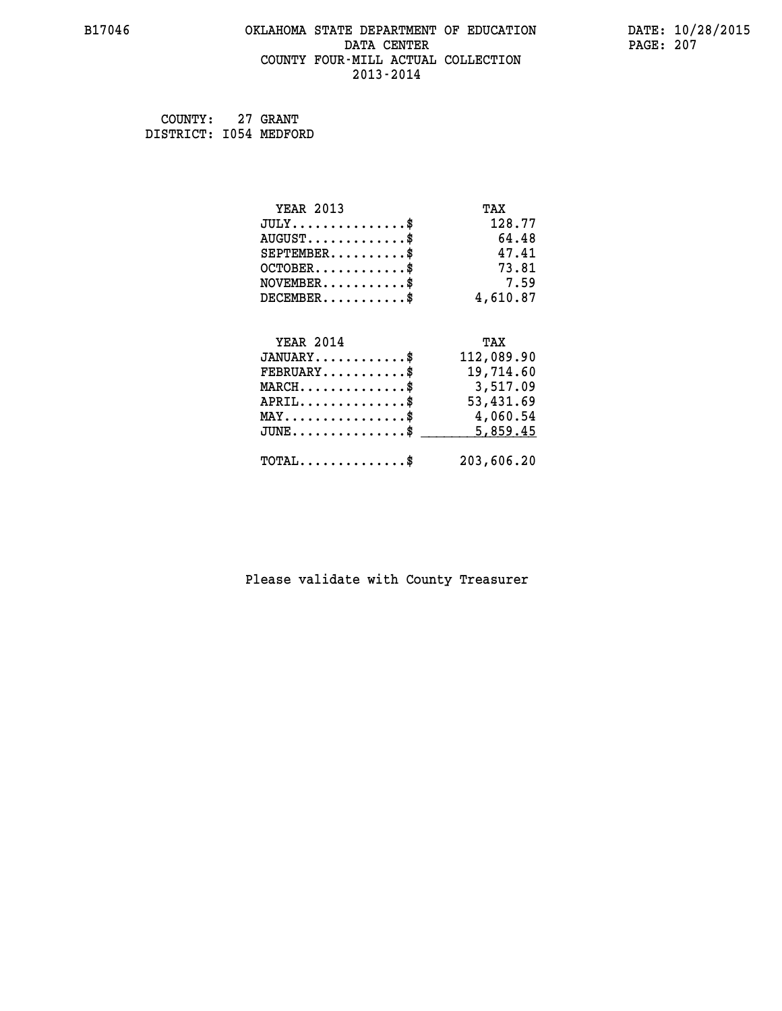## **B17046 OKLAHOMA STATE DEPARTMENT OF EDUCATION DATE: 10/28/2015 DATA CENTER PAGE: 207 COUNTY FOUR-MILL ACTUAL COLLECTION 2013-2014**

 **COUNTY: 27 GRANT DISTRICT: I054 MEDFORD**

| <b>YEAR 2013</b>                               | TAX        |
|------------------------------------------------|------------|
| $JULY$ \$                                      | 128.77     |
| $AUGUST$ \$                                    | 64.48      |
| $SEPTEMENT.$ \$                                | 47.41      |
| $OCTOBER$ \$                                   | 73.81      |
| $NOVEMBER$ \$                                  | 7.59       |
| $DECEMBER$ \$                                  | 4,610.87   |
|                                                |            |
| <b>YEAR 2014</b>                               | TAX        |
|                                                | 112,089.90 |
| $JANUARY$ \$                                   |            |
| $FEBRUARY$                                     | 19,714.60  |
| $MARCH$ \$                                     | 3,517.09   |
| $APRIL$ \$                                     | 53,431.69  |
| $\texttt{MAX} \dots \dots \dots \dots \dots \$ | 4,060.54   |
| $JUNE$ \$                                      | 5,859.45   |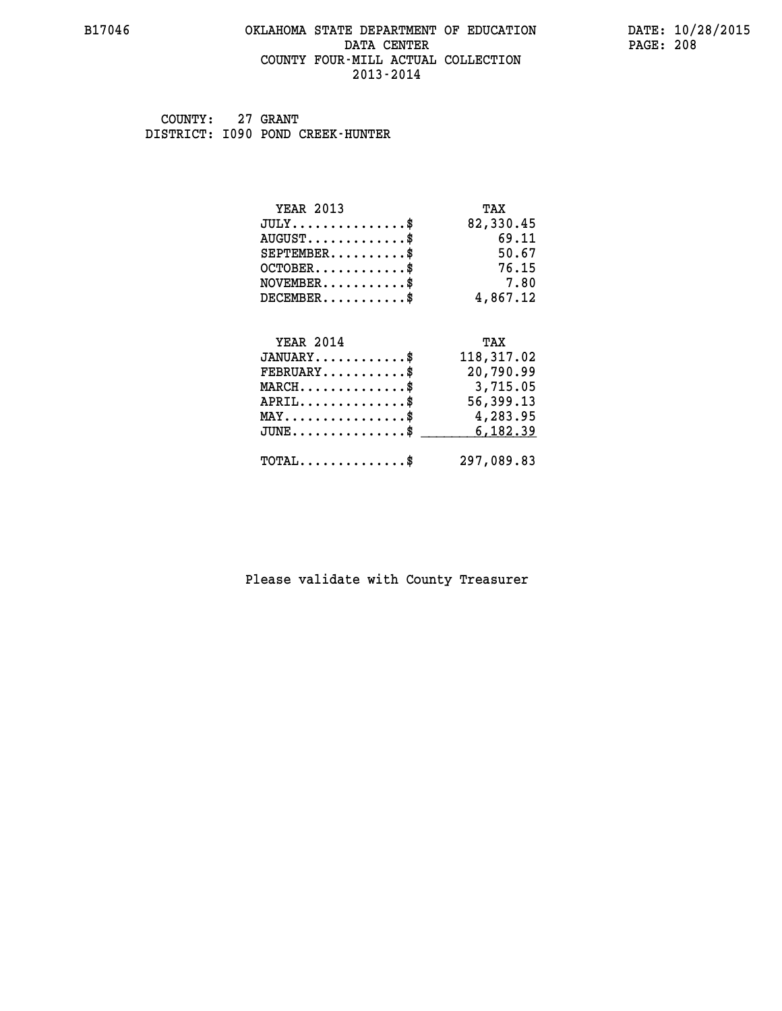#### **B17046 OKLAHOMA STATE DEPARTMENT OF EDUCATION DATE: 10/28/2015 DATA CENTER** PAGE: 208  **COUNTY FOUR-MILL ACTUAL COLLECTION 2013-2014**

 **COUNTY: 27 GRANT DISTRICT: I090 POND CREEK-HUNTER**

| <b>YEAR 2013</b>                           | TAX        |
|--------------------------------------------|------------|
| $JULY$ \$                                  | 82,330.45  |
| $AUGUST$ \$                                | 69.11      |
| $SEPTEMBER$ \$                             | 50.67      |
| $OCTOBER$ \$                               | 76.15      |
| $NOVEMBER$ \$                              | 7.80       |
| $DECEMBER$ \$                              | 4,867.12   |
|                                            |            |
| <b>YEAR 2014</b>                           | TAX        |
| $JANUARY$ \$                               | 118,317.02 |
| $FEBRUARY$                                 | 20,790.99  |
| $MARCH$ \$                                 | 3,715.05   |
| $APRIL$ \$                                 | 56,399.13  |
| $MAX \dots \dots \dots \dots \dots$        | 4,283.95   |
| $JUNE$ \$                                  | 6,182.39   |
| $\texttt{TOTAL} \dots \dots \dots \dots \$ | 297,089.83 |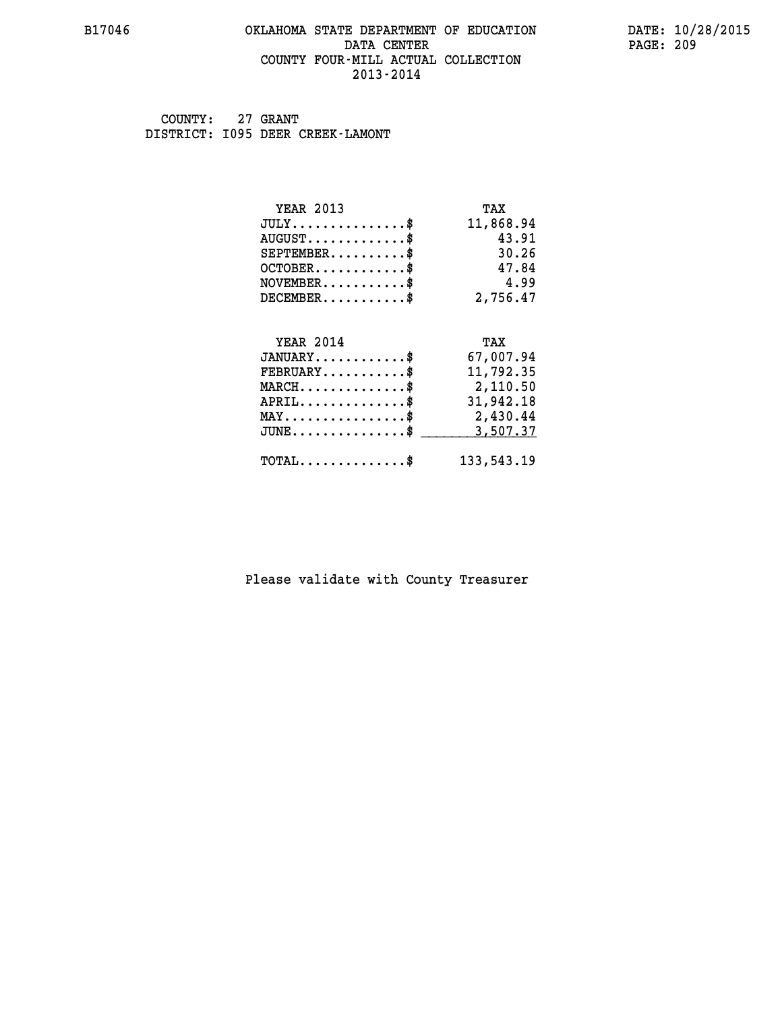#### **B17046 OKLAHOMA STATE DEPARTMENT OF EDUCATION DATE: 10/28/2015 DATA CENTER** PAGE: 209  **COUNTY FOUR-MILL ACTUAL COLLECTION 2013-2014**

 **COUNTY: 27 GRANT DISTRICT: I095 DEER CREEK-LAMONT**

| <b>YEAR 2013</b>                           | TAX        |
|--------------------------------------------|------------|
| $JULY$ \$                                  | 11,868.94  |
| $AUGUST$ \$                                | 43.91      |
| $SEPTEMBER$ \$                             | 30.26      |
| $OCTOBER$ \$                               | 47.84      |
| $NOVEMBER$ \$                              | 4.99       |
| $DECEMBER$ \$                              | 2,756.47   |
|                                            |            |
| <b>YEAR 2014</b>                           | TAX        |
| $JANUARY$ \$                               | 67,007.94  |
| $FEBRUARY$                                 | 11,792.35  |
| $MARCH$ \$                                 | 2,110.50   |
| $APRIL$ \$                                 | 31,942.18  |
| $MAX \dots \dots \dots \dots \dots$        | 2,430.44   |
| $JUNE$ \$                                  | 3,507.37   |
| $\texttt{TOTAL} \dots \dots \dots \dots \$ | 133,543.19 |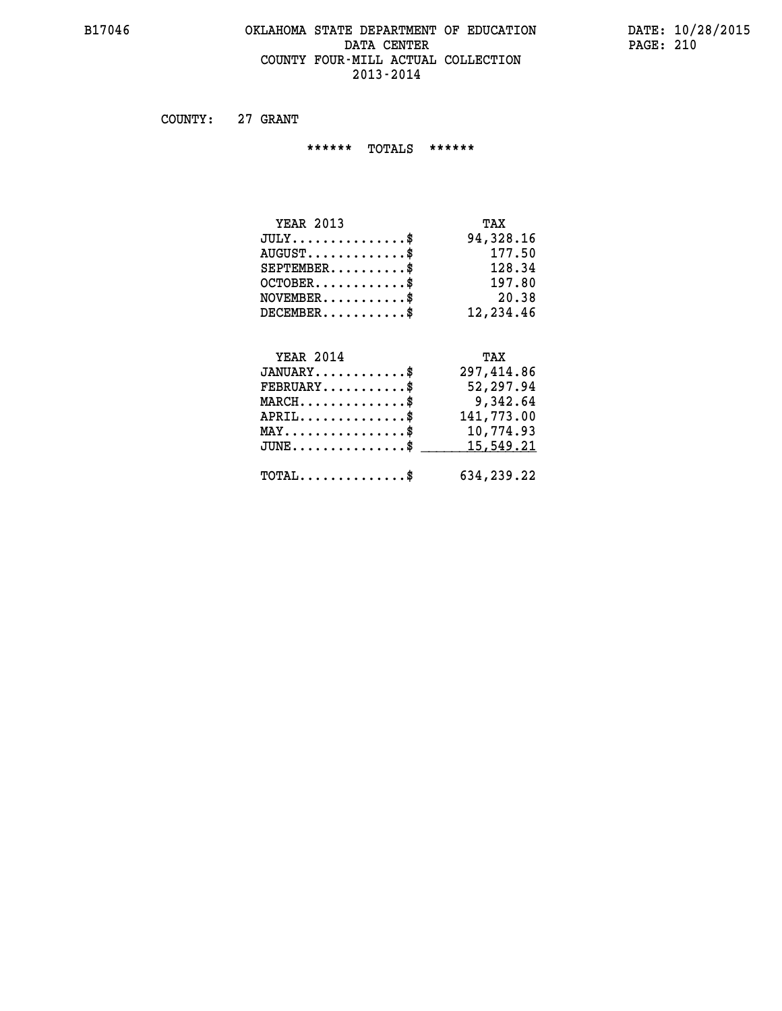#### **B17046 OKLAHOMA STATE DEPARTMENT OF EDUCATION DATE: 10/28/2015 DATA CENTER** PAGE: 210  **COUNTY FOUR-MILL ACTUAL COLLECTION 2013-2014**

 **COUNTY: 27 GRANT**

 **\*\*\*\*\*\* TOTALS \*\*\*\*\*\***

| <b>YEAR 2013</b>                     | TAX       |
|--------------------------------------|-----------|
| $JULY \ldots \ldots \ldots \ldots \$ | 94,328.16 |
| $AUGUST$ \$                          | 177.50    |
| $SEPTEMBER$ $\$                      | 128.34    |
| $OCTOBER$ \$                         | 197.80    |
| $NOVEMBER$ \$                        | 20.38     |
| $DECEMBER$ \$                        | 12,234.46 |

# **YEAR 2014**

| <b>YEAR 2014</b>                               | TAX        |
|------------------------------------------------|------------|
| $JANUARY$ \$                                   | 297,414.86 |
| $FEBRUARY$ \$                                  | 52,297.94  |
| $MARCH$ \$                                     | 9,342.64   |
| $APRIL$ \$                                     | 141,773.00 |
| $\texttt{MAX} \dots \dots \dots \dots \dots \$ | 10,774.93  |
| JUNE\$ 15,549.21                               |            |
| $\texttt{TOTAL} \dots \dots \dots \dots \$     | 634,239.22 |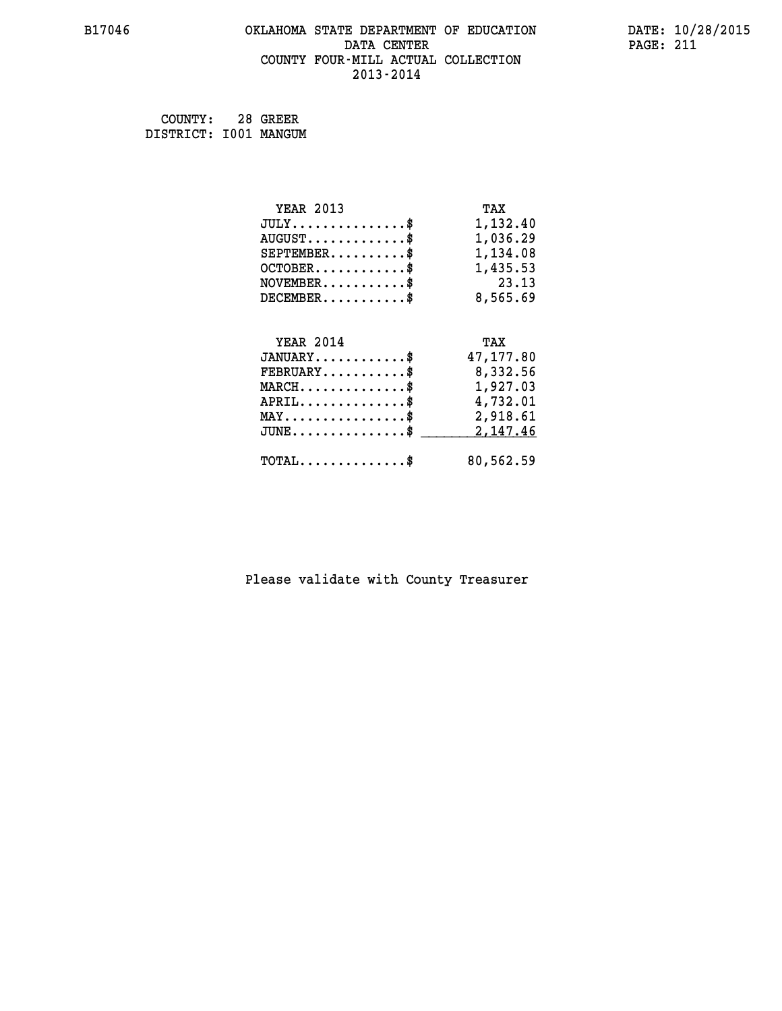## **B17046 OKLAHOMA STATE DEPARTMENT OF EDUCATION DATE: 10/28/2015 DATA CENTER PAGE: 211 COUNTY FOUR-MILL ACTUAL COLLECTION 2013-2014**

 **COUNTY: 28 GREER DISTRICT: I001 MANGUM**

| <b>YEAR 2013</b>                               | TAX       |
|------------------------------------------------|-----------|
| $JULY$ \$                                      | 1,132.40  |
| $AUGUST$ \$                                    | 1,036.29  |
| $SEPTEMBER$ \$                                 | 1,134.08  |
| $OCTOBER$ \$                                   | 1,435.53  |
| $\texttt{NOVEMBER} \dots \dots \dots \$        | 23.13     |
| $DECEMBER$ \$                                  | 8,565.69  |
|                                                |           |
| <b>YEAR 2014</b>                               | TAX       |
| $JANUARY$ \$                                   | 47,177.80 |
| $FEBRUARY$                                     | 8,332.56  |
| $MARCH$ \$                                     | 1,927.03  |
| $APRIL \ldots \ldots \ldots \ldots \$          | 4,732.01  |
| $\texttt{MAX} \dots \dots \dots \dots \dots \$ | 2,918.61  |
| $JUNE$ \$                                      | 2,147.46  |
| $\texttt{TOTAL} \dots \dots \dots \dots \$     | 80,562.59 |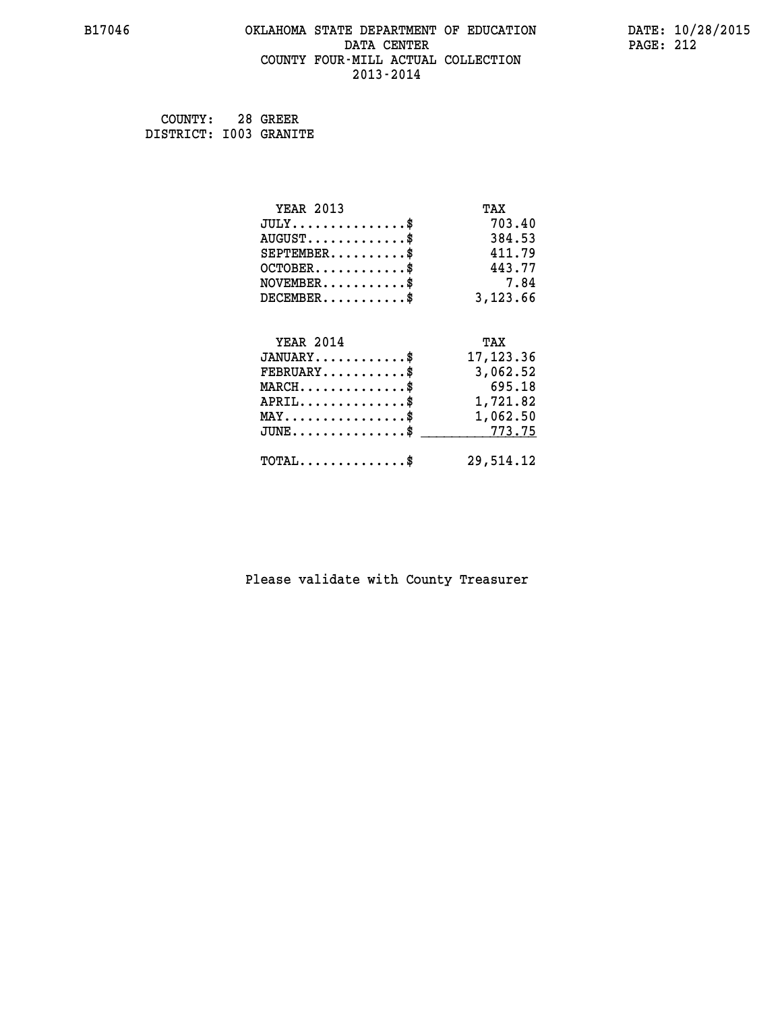#### **B17046 OKLAHOMA STATE DEPARTMENT OF EDUCATION DATE: 10/28/2015 DATA CENTER** PAGE: 212  **COUNTY FOUR-MILL ACTUAL COLLECTION 2013-2014**

 **COUNTY: 28 GREER DISTRICT: I003 GRANITE**

| <b>YEAR 2013</b>                                 | TAX        |
|--------------------------------------------------|------------|
| $JULY$ \$                                        | 703.40     |
| $AUGUST$ \$                                      | 384.53     |
| $SEPTEMBER$ \$                                   | 411.79     |
| $OCTOBER$ \$                                     | 443.77     |
| $NOVEMBER$ \$                                    | 7.84       |
| $DECEMBER$ \$                                    | 3,123.66   |
|                                                  |            |
| <b>YEAR 2014</b>                                 | TAX        |
| $JANUARY$ \$                                     | 17, 123.36 |
| $FEBRUARY$                                       | 3,062.52   |
| $MARCH$ \$                                       | 695.18     |
| $APRIL \ldots \ldots \ldots \ldots \$            | 1,721.82   |
| $\texttt{MAX} \dots \dots \dots \dots \dots \$   | 1,062.50   |
| $\texttt{JUNE} \dots \dots \dots \dots \dots \$$ | 773.75     |
| $\texttt{TOTAL} \dots \dots \dots \dots \$       | 29,514.12  |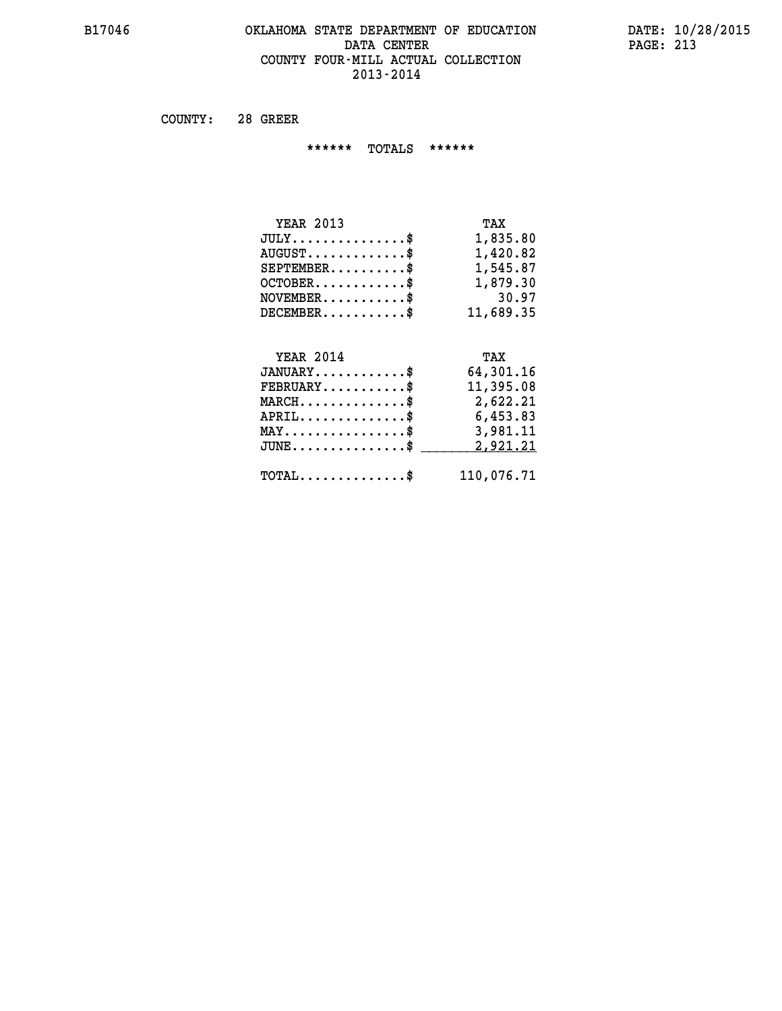#### **B17046 OKLAHOMA STATE DEPARTMENT OF EDUCATION DATE: 10/28/2015 DATA CENTER PAGE: 213 COUNTY FOUR-MILL ACTUAL COLLECTION 2013-2014**

 **COUNTY: 28 GREER**

 **\*\*\*\*\*\* TOTALS \*\*\*\*\*\***

| <b>YEAR 2013</b>                     | TAX       |
|--------------------------------------|-----------|
| $JULY \ldots \ldots \ldots \ldots \$ | 1,835.80  |
| $AUGUST$ \$                          | 1,420.82  |
| $SEPTEMBER$ \$                       | 1,545.87  |
| $OCTOBER$ $\$                        | 1,879.30  |
| $NOVEMBER$ \$                        | 30.97     |
| $DECEMBER$ \$                        | 11,689.35 |
|                                      |           |

# **YEAR 2014 TAX**

| $JANUARY$<br>$\texttt{FEBRUARY} \dots \dots \dots \$ | 64,301.16<br>11,395.08 |
|------------------------------------------------------|------------------------|
| $MARCH$ \$                                           | 2,622.21               |
| $APRIL$                                              | 6,453.83               |
| $MAX \dots \dots \dots \dots \$                      | 3,981.11               |
| $JUNE$ \$                                            | 2,921.21               |
| $\text{TOTAL} \dots \dots \dots \dots \dots$         | 110,076.71             |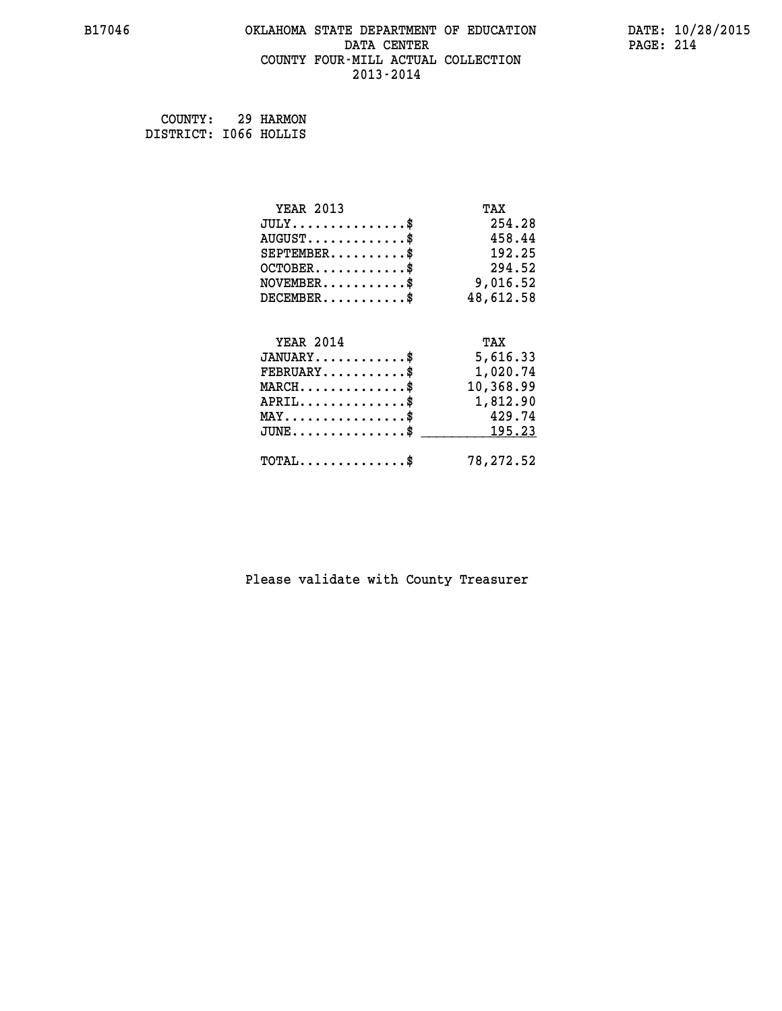#### **B17046 OKLAHOMA STATE DEPARTMENT OF EDUCATION DATE: 10/28/2015 DATA CENTER** PAGE: 214  **COUNTY FOUR-MILL ACTUAL COLLECTION 2013-2014**

 **COUNTY: 29 HARMON DISTRICT: I066 HOLLIS**

| <b>YEAR 2013</b>                                 | TAX       |
|--------------------------------------------------|-----------|
| $JULY$ \$                                        | 254.28    |
| $AUGUST$ \$                                      | 458.44    |
| $SEPTEMBER$ \$                                   | 192.25    |
| $OCTOBER$ \$                                     | 294.52    |
| $\texttt{NOVEMBER} \dots \dots \dots \$          | 9,016.52  |
| $DECEMBER$ \$                                    | 48,612.58 |
|                                                  |           |
| <b>YEAR 2014</b>                                 | TAX       |
| $JANUARY$ \$                                     | 5,616.33  |
| $FEBRUARY$                                       | 1,020.74  |
| $\texttt{MARCH} \dots \dots \dots \dots \$       | 10,368.99 |
| $APRIL \ldots \ldots \ldots \ldots \$            | 1,812.90  |
| $\texttt{MAX} \dots \dots \dots \dots \dots \$   | 429.74    |
| $\texttt{JUNE} \dots \dots \dots \dots \dots \$$ | 195.23    |
|                                                  |           |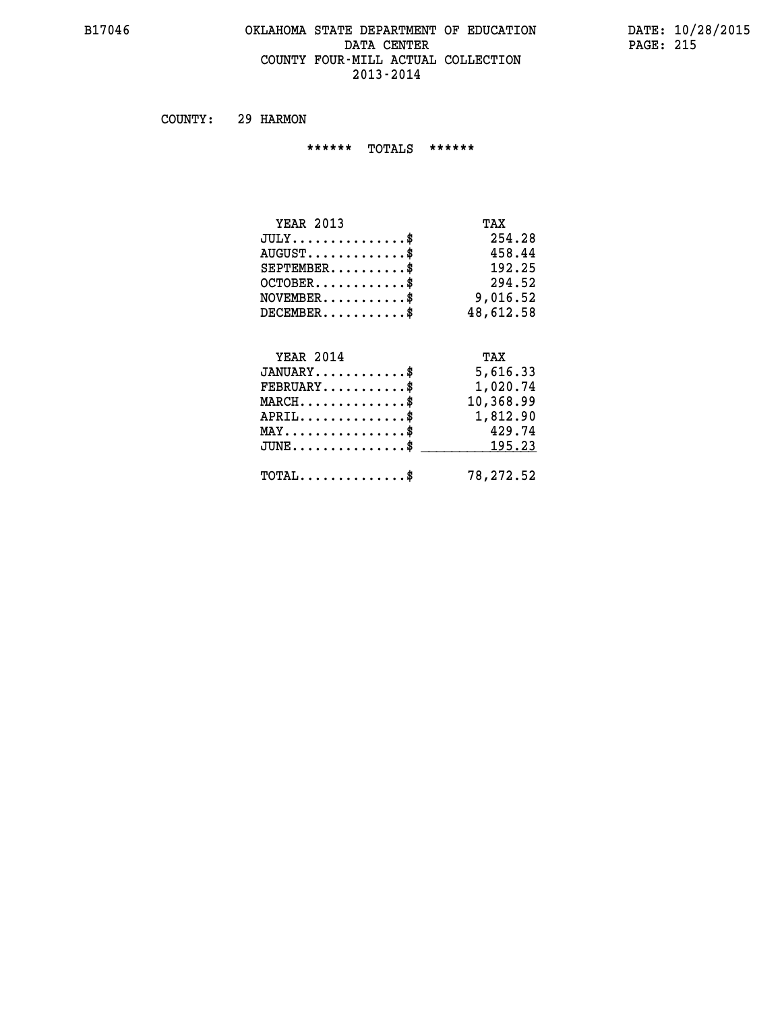#### **B17046 OKLAHOMA STATE DEPARTMENT OF EDUCATION DATE: 10/28/2015 DATA CENTER** PAGE: 215  **COUNTY FOUR-MILL ACTUAL COLLECTION 2013-2014**

 **COUNTY: 29 HARMON**

 **\*\*\*\*\*\* TOTALS \*\*\*\*\*\***

| <b>YEAR 2013</b> | TAX       |
|------------------|-----------|
| $JULY$ \$        | 254.28    |
| $AUGUST$ \$      | 458.44    |
| $SEPTEMBER$ \$   | 192.25    |
| $OCTOBER$ \$     | 294.52    |
| $NOVEMBER$ \$    | 9,016.52  |
| $DECEMBER$ \$    | 48,612.58 |
| <b>YEAR 2014</b> | TAX       |
| $JANUARY$ \$     | 5,616.33  |

| JANUARY                                             | 5,616.33                                |
|-----------------------------------------------------|-----------------------------------------|
| $FEBRUARY$                                          | 1,020.74                                |
| $MARCH$ \$                                          | 10,368.99                               |
| $APRIL$ \$                                          | 1,812.90                                |
| $MAX \dots \dots \dots \dots \dots$                 | 429.74                                  |
|                                                     | $JUNE \dots \dots \dots \dots \$ 195.23 |
| $\texttt{TOTAL} \dots \dots \dots \dots \texttt{S}$ | 78,272.52                               |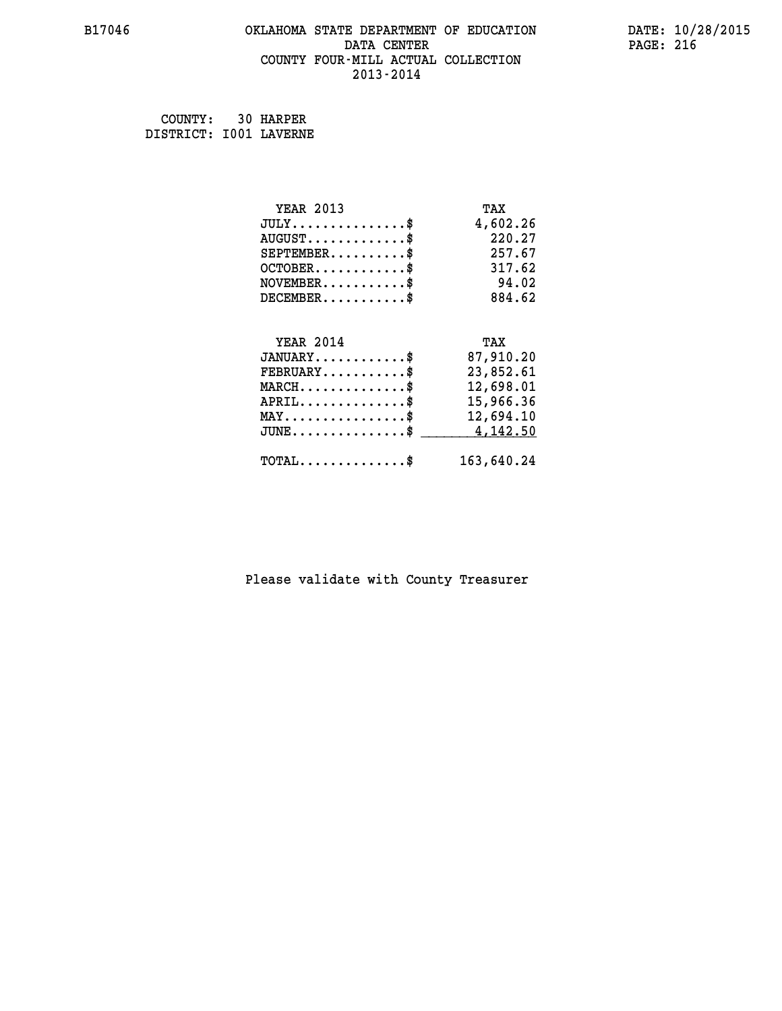#### **B17046 OKLAHOMA STATE DEPARTMENT OF EDUCATION DATE: 10/28/2015 DATA CENTER** PAGE: 216  **COUNTY FOUR-MILL ACTUAL COLLECTION 2013-2014**

| COUNTY: 30 HARPER      |  |
|------------------------|--|
| DISTRICT: I001 LAVERNE |  |

| <b>YEAR 2013</b>                                   | TAX        |
|----------------------------------------------------|------------|
| $JULY$ \$                                          | 4,602.26   |
| $AUGUST$ \$                                        | 220.27     |
| $SEPTEMBER$ \$                                     | 257.67     |
| $OCTOBER$ \$                                       | 317.62     |
| $NOVEMBER$ \$                                      | 94.02      |
| $DECEMBER$ \$                                      | 884.62     |
|                                                    |            |
| <b>YEAR 2014</b>                                   | TAX        |
| $JANUARY$                                          | 87,910.20  |
| $FEBRUARY$ \$                                      | 23,852.61  |
| $MARCH$ \$                                         | 12,698.01  |
| $APRIL \ldots \ldots \ldots \ldots *$              | 15,966.36  |
| $\texttt{MAX} \dots \dots \dots \dots \dots \$     | 12,694.10  |
| $\texttt{JUNE} \dots \dots \dots \dots \texttt{S}$ | 4,142.50   |
| $\texttt{TOTAL} \dots \dots \dots \dots \$         | 163,640.24 |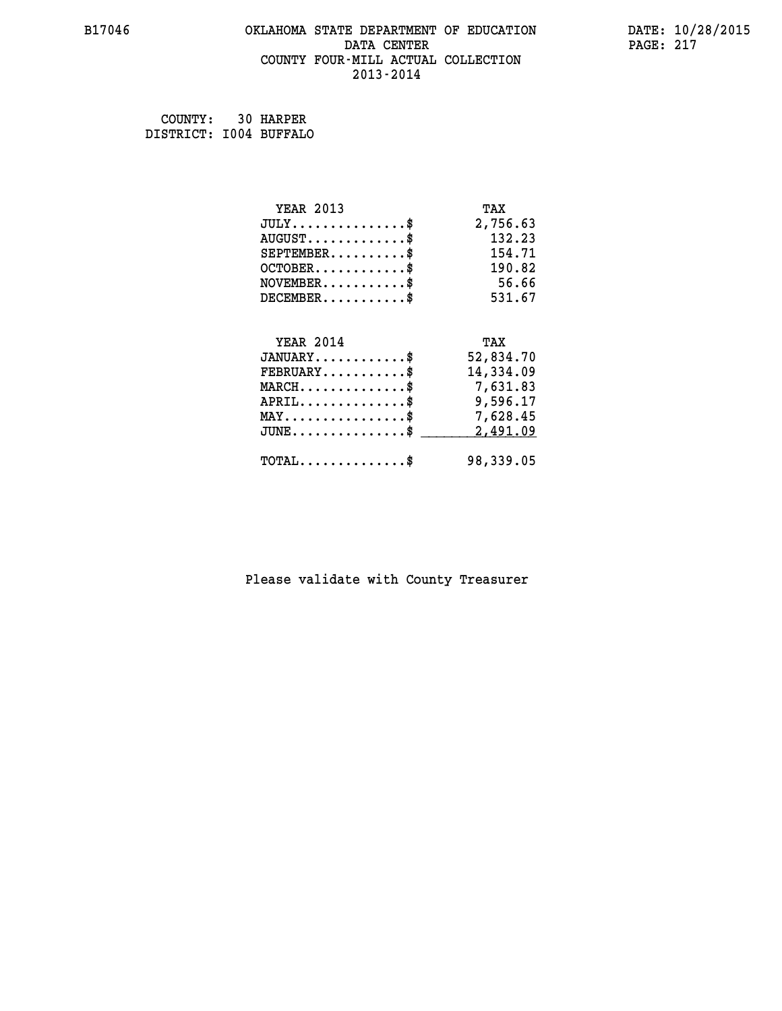#### **B17046 OKLAHOMA STATE DEPARTMENT OF EDUCATION DATE: 10/28/2015 DATA CENTER** PAGE: 217  **COUNTY FOUR-MILL ACTUAL COLLECTION 2013-2014**

| COUNTY: 30 HARPER      |  |
|------------------------|--|
| DISTRICT: 1004 BUFFALO |  |

| <b>YEAR 2013</b>                                 | TAX       |
|--------------------------------------------------|-----------|
| $JULY$ \$                                        | 2,756.63  |
| $AUGUST$ \$                                      | 132.23    |
| $SEPTEMBER$ \$                                   | 154.71    |
| $OCTOBER$ \$                                     | 190.82    |
| $NOVEMBER \dots \dots \dots \$                   | 56.66     |
| $DECEMBER$ \$                                    | 531.67    |
|                                                  |           |
| <b>YEAR 2014</b>                                 | TAX       |
| $JANUARY$ \$                                     | 52,834.70 |
| $FEBRUARY$ \$                                    | 14,334.09 |
| $\texttt{MARCH}\ldots\ldots\ldots\ldots\text{*}$ | 7,631.83  |
| $APRIL \ldots \ldots \ldots \ldots *$            | 9,596.17  |
| $\texttt{MAX} \dots \dots \dots \dots \dots \$   | 7,628.45  |
| $JUNE$ \$                                        | 2,491.09  |
| $\texttt{TOTAL} \dots \dots \dots \dots \$       | 98,339.05 |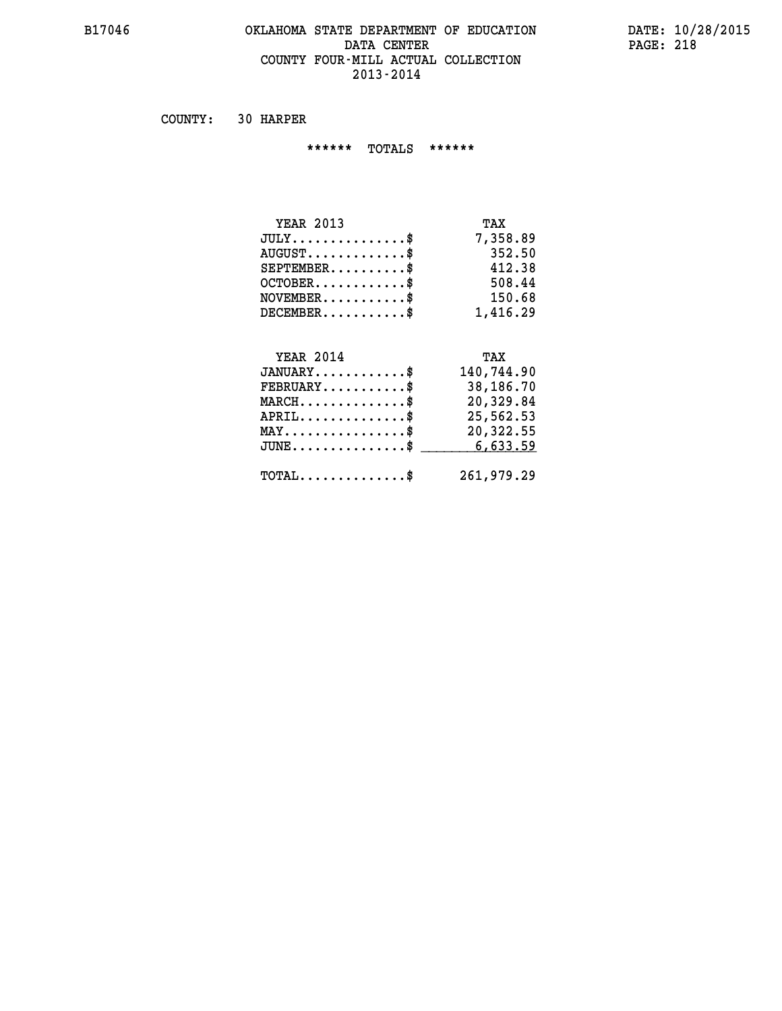#### **B17046 OKLAHOMA STATE DEPARTMENT OF EDUCATION DATE: 10/28/2015 DATA CENTER PAGE: 218 COUNTY FOUR-MILL ACTUAL COLLECTION 2013-2014**

 **COUNTY: 30 HARPER**

 **\*\*\*\*\*\* TOTALS \*\*\*\*\*\***

| <b>YEAR 2013</b>                     | TAX      |
|--------------------------------------|----------|
| $JULY \ldots \ldots \ldots \ldots \$ | 7,358.89 |
| $AUGUST$ \$                          | 352.50   |
| $SEPTEMBER$                          | 412.38   |
| $OCTOBER$ \$                         | 508.44   |
| $NOVEMBER$ \$                        | 150.68   |
| $DECEMBER$ \$                        | 1,416.29 |

#### **YEAR 2014 TAX JANUARY............\$ 140,744.90 FEBRUARY...........\$ 38,186.70 MARCH..............\$ 20,329.84 APRIL..............\$ 25,562.53 MAY................\$ 20,322.55 JUNE................\$** \_\_\_\_\_\_\_\_\_\_\_6,633.59

 **TOTAL..............\$ 261,979.29**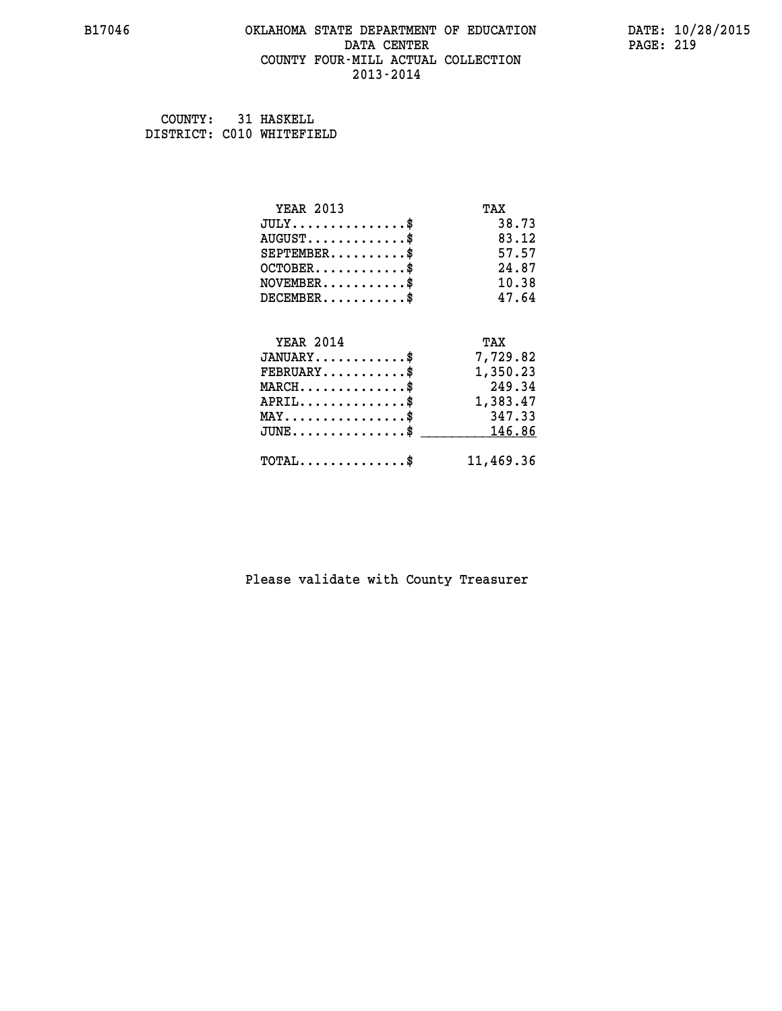## **B17046 OKLAHOMA STATE DEPARTMENT OF EDUCATION DATE: 10/28/2015 DATA CENTER** PAGE: 219  **COUNTY FOUR-MILL ACTUAL COLLECTION 2013-2014**

 **COUNTY: 31 HASKELL DISTRICT: C010 WHITEFIELD**

| <b>YEAR 2013</b>                               | TAX       |
|------------------------------------------------|-----------|
| $JULY$ \$                                      | 38.73     |
| $AUGUST$ \$                                    | 83.12     |
| $SEPTEMENT.$ \$                                | 57.57     |
| $OCTOBER$ \$                                   | 24.87     |
| $NOVEMBER$ \$                                  | 10.38     |
| $DECEMBER$ \$                                  | 47.64     |
|                                                |           |
| <b>YEAR 2014</b>                               | TAX       |
| $JANUARY$                                      | 7,729.82  |
| $FEBRUARY$                                     | 1,350.23  |
| $MARCH$ \$                                     | 249.34    |
| $APRIL \ldots \ldots \ldots \$                 | 1,383.47  |
| $\texttt{MAX} \dots \dots \dots \dots \dots \$ | 347.33    |
| $\texttt{JUNE}\dots\dots\dots\dots\dots\$      | 146.86    |
| $\texttt{TOTAL} \dots \dots \dots \dots \$     | 11,469.36 |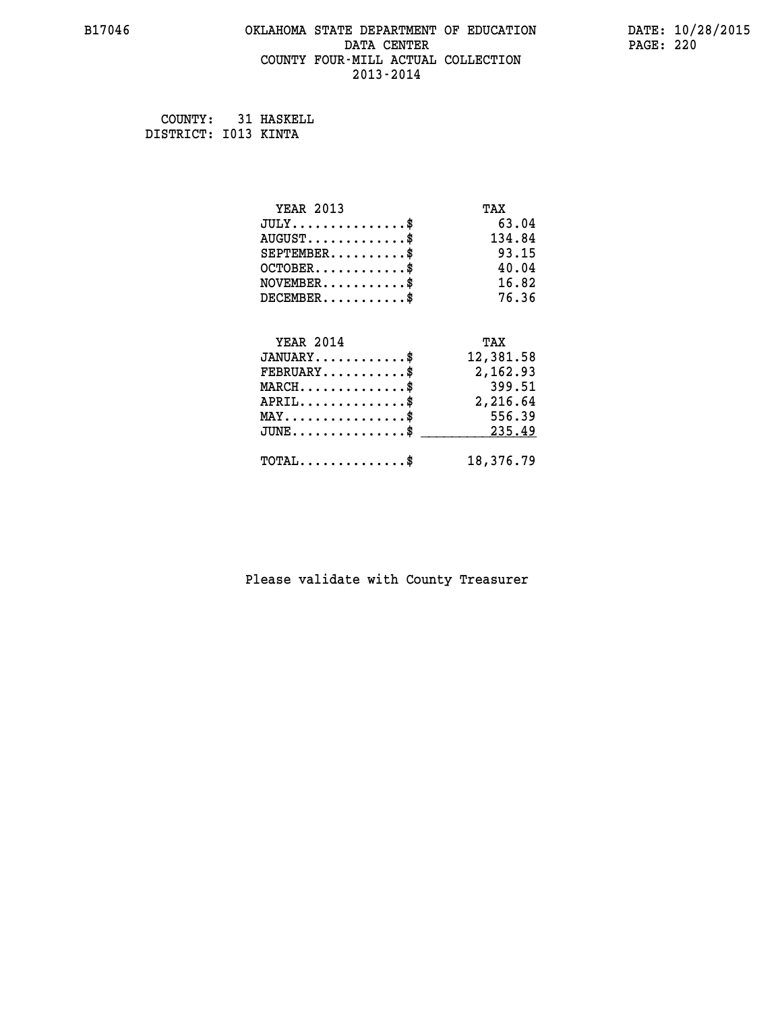## **B17046 OKLAHOMA STATE DEPARTMENT OF EDUCATION DATE: 10/28/2015 DATA CENTER** PAGE: 220  **COUNTY FOUR-MILL ACTUAL COLLECTION 2013-2014**

 **COUNTY: 31 HASKELL DISTRICT: I013 KINTA**

| <b>YEAR 2013</b>                             | TAX       |
|----------------------------------------------|-----------|
| $JULY$ \$                                    | 63.04     |
| $AUGUST$ \$                                  | 134.84    |
| $SEPTEMENT.$ \$                              | 93.15     |
| $OCTOBER$ \$                                 | 40.04     |
| $NOVEMBER$ \$                                | 16.82     |
| $DECEMBER$ \$                                | 76.36     |
|                                              |           |
| <b>YEAR 2014</b>                             | TAX       |
| $JANUARY$ \$                                 | 12,381.58 |
| $FEBRUARY$                                   | 2,162.93  |
| $MARCH$ \$                                   | 399.51    |
| $APRIL$ \$                                   | 2,216.64  |
| $MAX \dots \dots \dots \dots \dots$          | 556.39    |
| $JUNE \ldots \ldots \ldots \ldots \ldots$ \$ | 235.49    |
| $\texttt{TOTAL} \dots \dots \dots \dots \$   | 18,376.79 |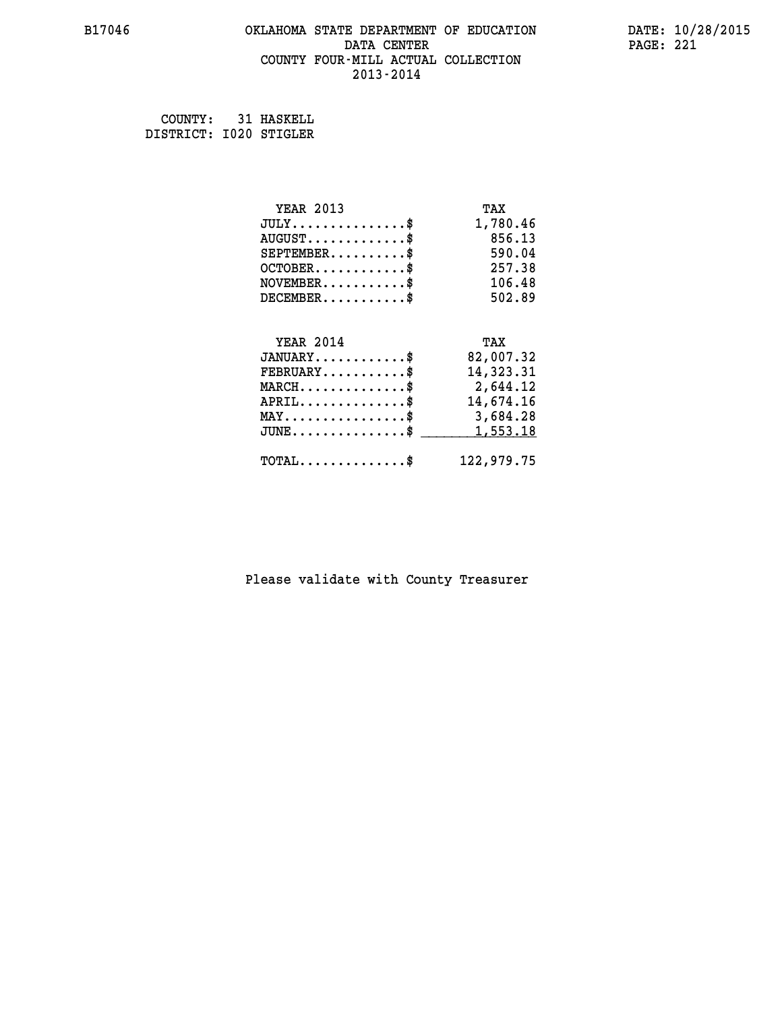## **B17046 OKLAHOMA STATE DEPARTMENT OF EDUCATION DATE: 10/28/2015 DATA CENTER** PAGE: 221  **COUNTY FOUR-MILL ACTUAL COLLECTION 2013-2014**

 **COUNTY: 31 HASKELL DISTRICT: I020 STIGLER**

| <b>YEAR 2013</b>                           | TAX        |
|--------------------------------------------|------------|
| $JULY$ \$                                  | 1,780.46   |
| $AUGUST$ \$                                | 856.13     |
| $SEPTEMBER$ \$                             | 590.04     |
| $OCTOBER$ \$                               | 257.38     |
| $\texttt{NOVEMBER} \dots \dots \dots \$    | 106.48     |
| $DECEMBER$ \$                              | 502.89     |
|                                            |            |
| <b>YEAR 2014</b>                           | TAX        |
| $JANUARY$ \$                               | 82,007.32  |
| $FEBRUARY$                                 | 14,323.31  |
| $MARCH$ \$                                 | 2,644.12   |
| $APRIL$ \$                                 | 14,674.16  |
| MAY\$ 3,684.28                             |            |
| $JUNE$ \$                                  | 1,553.18   |
| $\texttt{TOTAL} \dots \dots \dots \dots \$ | 122,979.75 |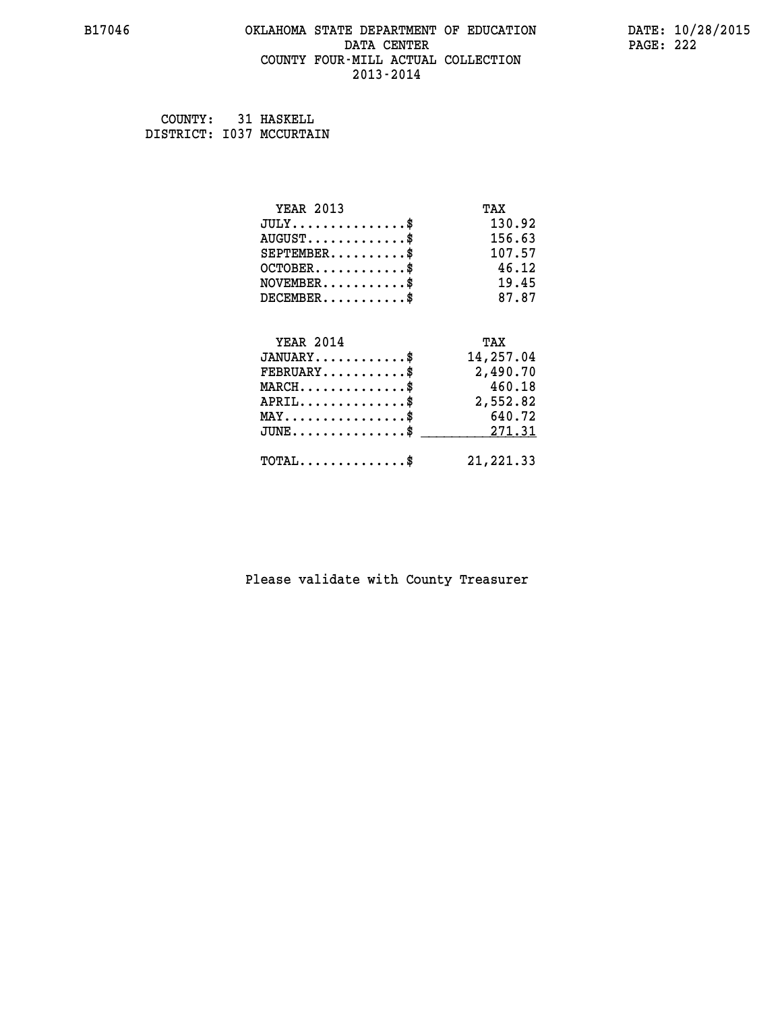## **B17046 OKLAHOMA STATE DEPARTMENT OF EDUCATION DATE: 10/28/2015 DATA CENTER** PAGE: 222  **COUNTY FOUR-MILL ACTUAL COLLECTION 2013-2014**

 **COUNTY: 31 HASKELL DISTRICT: I037 MCCURTAIN**

| <b>YEAR 2013</b>                    | TAX        |
|-------------------------------------|------------|
| $JULY$ \$                           | 130.92     |
| $AUGUST$ \$                         | 156.63     |
| $SEPTEMBER$ \$                      | 107.57     |
| $OCTOBER$ \$                        | 46.12      |
| $NOVEMBER$ \$                       | 19.45      |
| $DECEMBER$ \$                       | 87.87      |
|                                     |            |
| <b>YEAR 2014</b>                    | TAX        |
| $JANUARY$ \$                        | 14,257.04  |
| $FEBRUARY$                          | 2,490.70   |
| $MARCH$ \$                          | 460.18     |
| $APRIL$ \$                          | 2,552.82   |
| $MAX \dots \dots \dots \dots \dots$ | 640.72     |
| $JUNE$ \$                           | 271.31     |
| $TOTAL$ \$                          | 21, 221.33 |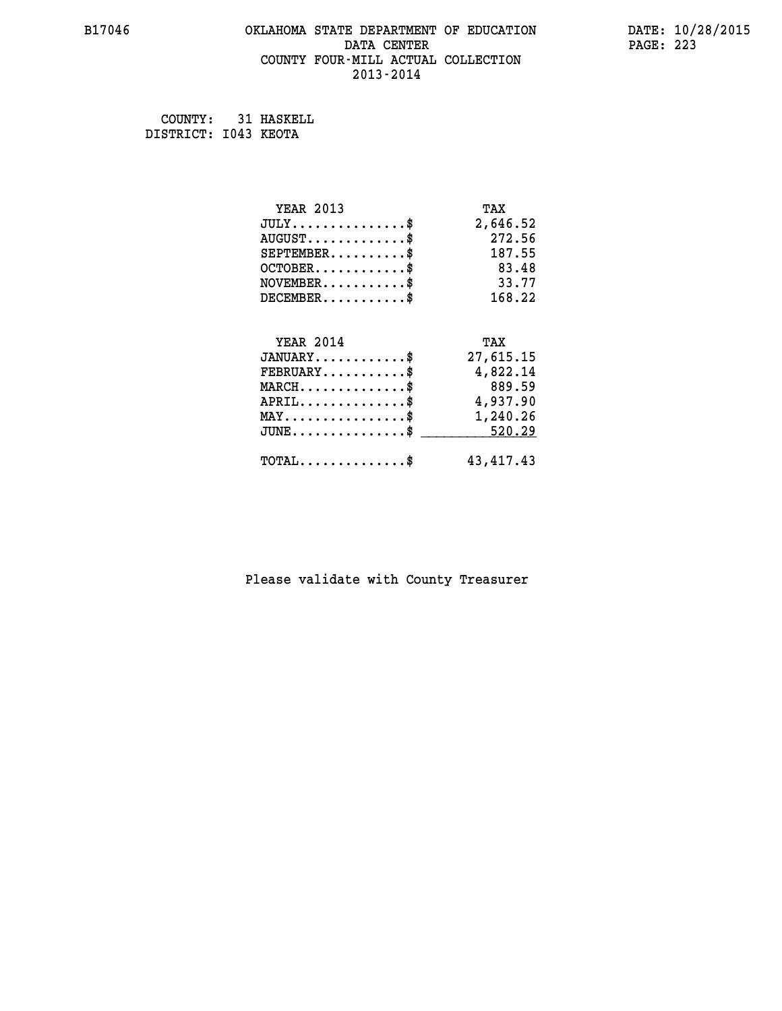## **B17046 OKLAHOMA STATE DEPARTMENT OF EDUCATION DATE: 10/28/2015 DATA CENTER** PAGE: 223  **COUNTY FOUR-MILL ACTUAL COLLECTION 2013-2014**

 **COUNTY: 31 HASKELL DISTRICT: I043 KEOTA**

| <b>YEAR 2013</b>                                 | TAX         |
|--------------------------------------------------|-------------|
| $JULY$ \$                                        | 2,646.52    |
| $AUGUST$ \$                                      | 272.56      |
| $SEPTEMBER$ \$                                   | 187.55      |
| $OCTOBER$ \$                                     | 83.48       |
| $NOVEMBER$ \$                                    | 33.77       |
| $DECEMBER$ \$                                    | 168.22      |
|                                                  |             |
| <b>YEAR 2014</b>                                 | TAX         |
| $JANUARY$ \$                                     | 27,615.15   |
| $FEBRUARY$                                       | 4,822.14    |
| $MARCH$ \$                                       | 889.59      |
| $APRIL$ \$                                       | 4,937.90    |
| $\texttt{MAX} \dots \dots \dots \dots \dots \$   | 1,240.26    |
| $\texttt{JUNE} \dots \dots \dots \dots \dots \$$ | 520.29      |
| $\texttt{TOTAL} \dots \dots \dots \dots \$       | 43, 417. 43 |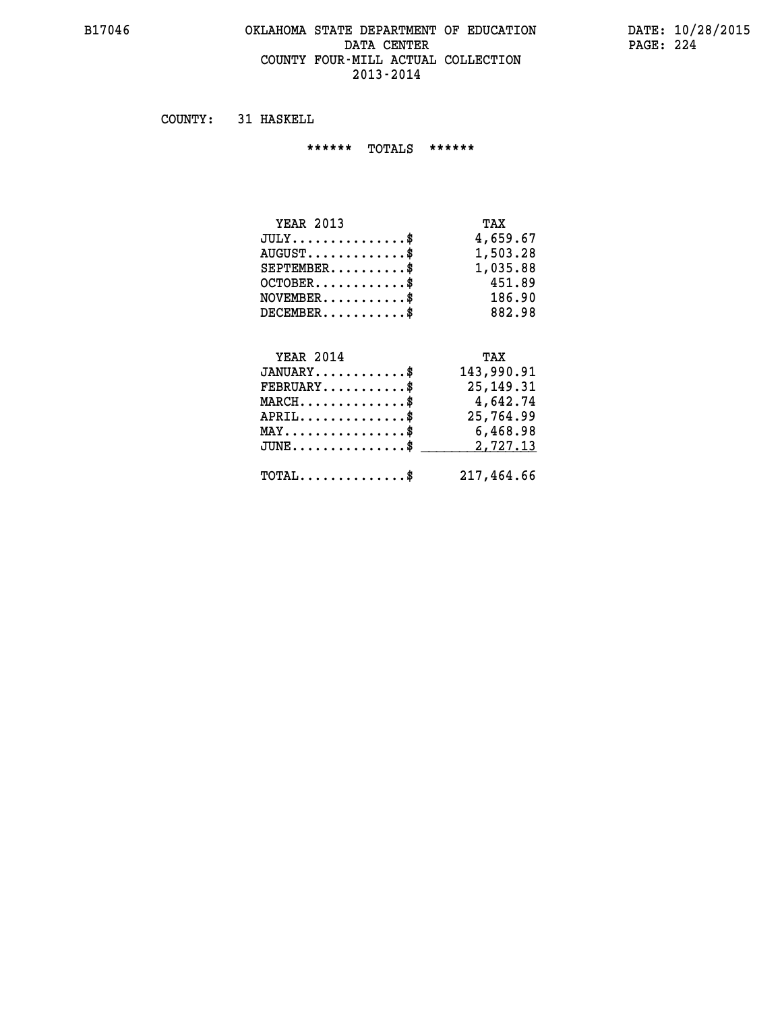#### **B17046 OKLAHOMA STATE DEPARTMENT OF EDUCATION DATE: 10/28/2015 DATA CENTER PAGE: 224 COUNTY FOUR-MILL ACTUAL COLLECTION 2013-2014**

 **COUNTY: 31 HASKELL**

 **\*\*\*\*\*\* TOTALS \*\*\*\*\*\***

| <b>YEAR 2013</b>                | TAX      |
|---------------------------------|----------|
| $JULY \ldots \ldots \ldots \$   | 4,659.67 |
| $AUGUST \ldots \ldots \ldots \$ | 1,503.28 |
| $SEPTEMBER$ \$                  | 1,035.88 |
| $OCTOBER$                       | 451.89   |
| $NOVEMBER$ \$                   | 186.90   |
| $DECEMBER$                      | 882.98   |

#### **YEAR 2014 TAX JANUARY............\$ 143,990.91 FEBRUARY...........\$ 25,149.31 MARCH..............\$ 4,642.74 APRIL..............\$ 25,764.99 MAY................\$ 6,468.98 JUNE...............\$ 2,727.13 \_\_\_\_\_\_\_\_\_\_\_\_\_\_\_**

 **TOTAL..............\$ 217,464.66**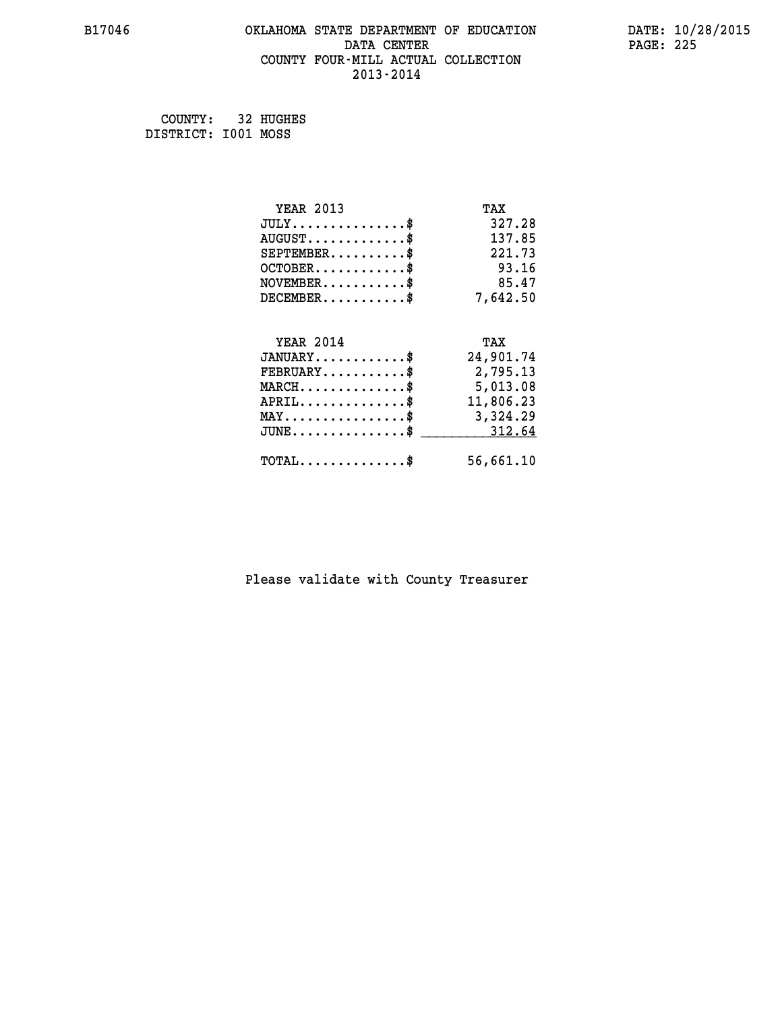## **B17046 OKLAHOMA STATE DEPARTMENT OF EDUCATION DATE: 10/28/2015 DATA CENTER** PAGE: 225  **COUNTY FOUR-MILL ACTUAL COLLECTION 2013-2014**

 **COUNTY: 32 HUGHES DISTRICT: I001 MOSS**

| <b>YEAR 2013</b>                                 | TAX       |
|--------------------------------------------------|-----------|
| $JULY$ \$                                        | 327.28    |
| $AUGUST$ \$                                      | 137.85    |
| $SEPTEMENT.$ \$                                  | 221.73    |
| $OCTOBER$ \$                                     | 93.16     |
| $NOVEMBER$ \$                                    | 85.47     |
| $DECEMBER$ \$                                    | 7,642.50  |
|                                                  |           |
| <b>YEAR 2014</b>                                 | TAX       |
| $JANUARY$ \$                                     | 24,901.74 |
| $FEBRUARY$                                       | 2,795.13  |
| $\texttt{MARCH}\ldots\ldots\ldots\ldots\text{*}$ | 5,013.08  |
| $APRIL \ldots \ldots \ldots \ldots$              | 11,806.23 |
| $\texttt{MAX} \dots \dots \dots \dots \dots \$   | 3,324.29  |
| $\texttt{JUNE} \dots \dots \dots \dots \dots \$$ | 312.64    |
| $\texttt{TOTAL} \dots \dots \dots \dots \$       | 56,661.10 |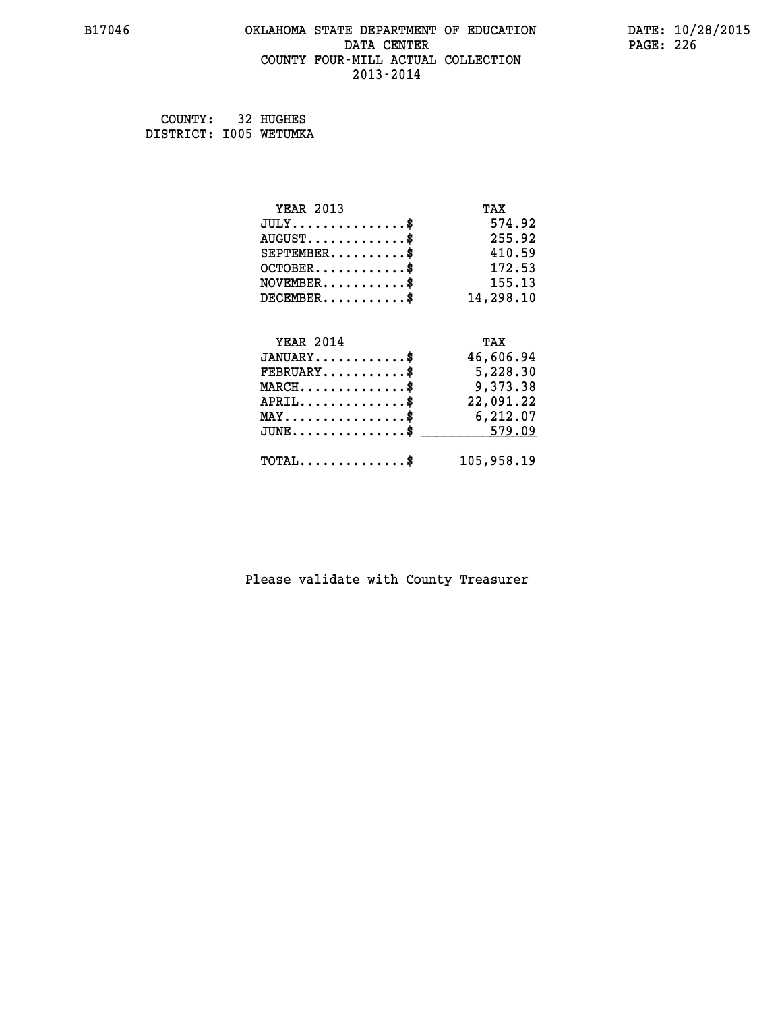#### **B17046 OKLAHOMA STATE DEPARTMENT OF EDUCATION DATE: 10/28/2015 DATA CENTER** PAGE: 226  **COUNTY FOUR-MILL ACTUAL COLLECTION 2013-2014**

| COUNTY:                | 32 HUGHES |
|------------------------|-----------|
| DISTRICT: 1005 WETUMKA |           |

| <b>YEAR 2013</b>                                 | TAX        |
|--------------------------------------------------|------------|
| $JULY$ \$                                        | 574.92     |
| $AUGUST$ \$                                      | 255.92     |
| $SEPTEMBER$ \$                                   | 410.59     |
| $OCTOBER$ \$                                     | 172.53     |
| $NOVEMBER.$ \$                                   | 155.13     |
| $DECEMBER$ \$                                    | 14,298.10  |
|                                                  |            |
| <b>YEAR 2014</b>                                 | TAX        |
| $JANUARY$ \$                                     | 46,606.94  |
| $FEBRUARY$ \$                                    | 5,228.30   |
| $\texttt{MARCH}\ldots\ldots\ldots\ldots\cdots\$  | 9,373.38   |
| $APRIL$ \$                                       | 22,091.22  |
| $\texttt{MAX} \dots \dots \dots \dots \dots \$   | 6,212.07   |
| $\texttt{JUNE} \dots \dots \dots \dots \dots \$$ | 579.09     |
| $\texttt{TOTAL} \dots \dots \dots \dots$ \$      | 105,958.19 |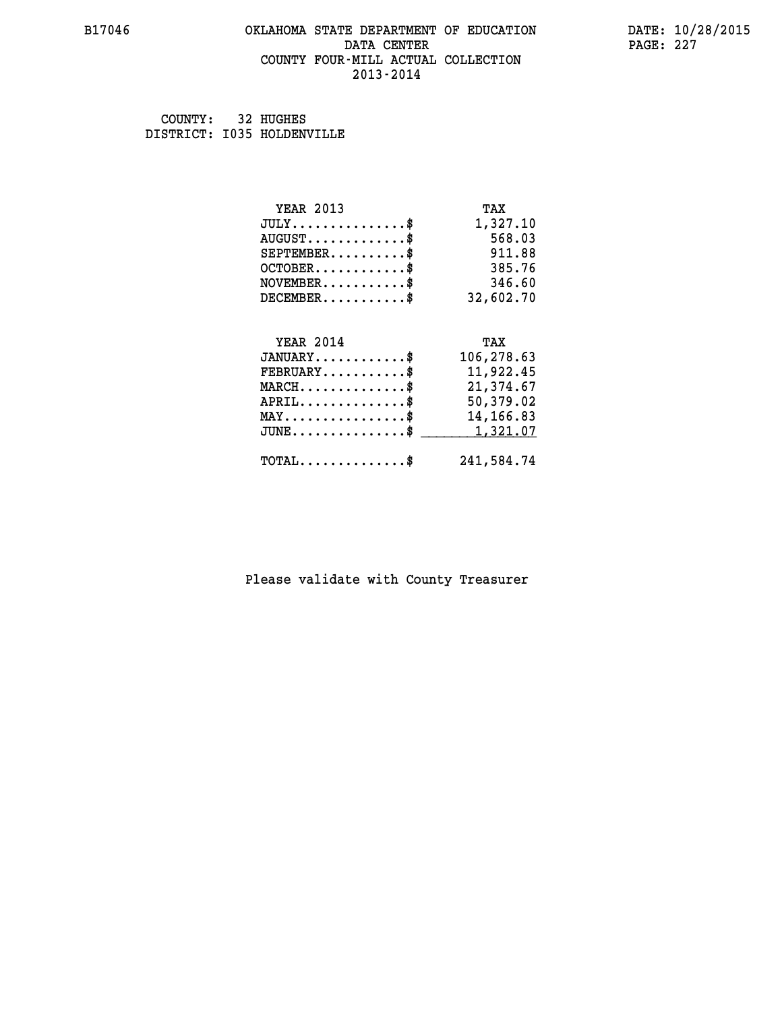## **B17046 OKLAHOMA STATE DEPARTMENT OF EDUCATION DATE: 10/28/2015 DATA CENTER** PAGE: 227  **COUNTY FOUR-MILL ACTUAL COLLECTION 2013-2014**

 **COUNTY: 32 HUGHES DISTRICT: I035 HOLDENVILLE**

| <b>YEAR 2013</b>                               | TAX        |
|------------------------------------------------|------------|
| $JULY$ \$                                      | 1,327.10   |
| $AUGUST$ \$                                    | 568.03     |
| $SEPTEMBER$ \$                                 | 911.88     |
| $OCTOBER$ \$                                   | 385.76     |
| $NOVEMBER$ \$                                  | 346.60     |
| $DECEMBER$ \$                                  | 32,602.70  |
|                                                |            |
|                                                |            |
| <b>YEAR 2014</b>                               | TAX        |
| $JANUARY$ \$                                   | 106,278.63 |
| $FEBRUARY$                                     | 11,922.45  |
| $MARCH$ \$                                     | 21,374.67  |
| $APRIL$ \$                                     | 50,379.02  |
| $\texttt{MAX} \dots \dots \dots \dots \dots \$ | 14, 166.83 |
| $JUNE$ \$                                      | 1,321.07   |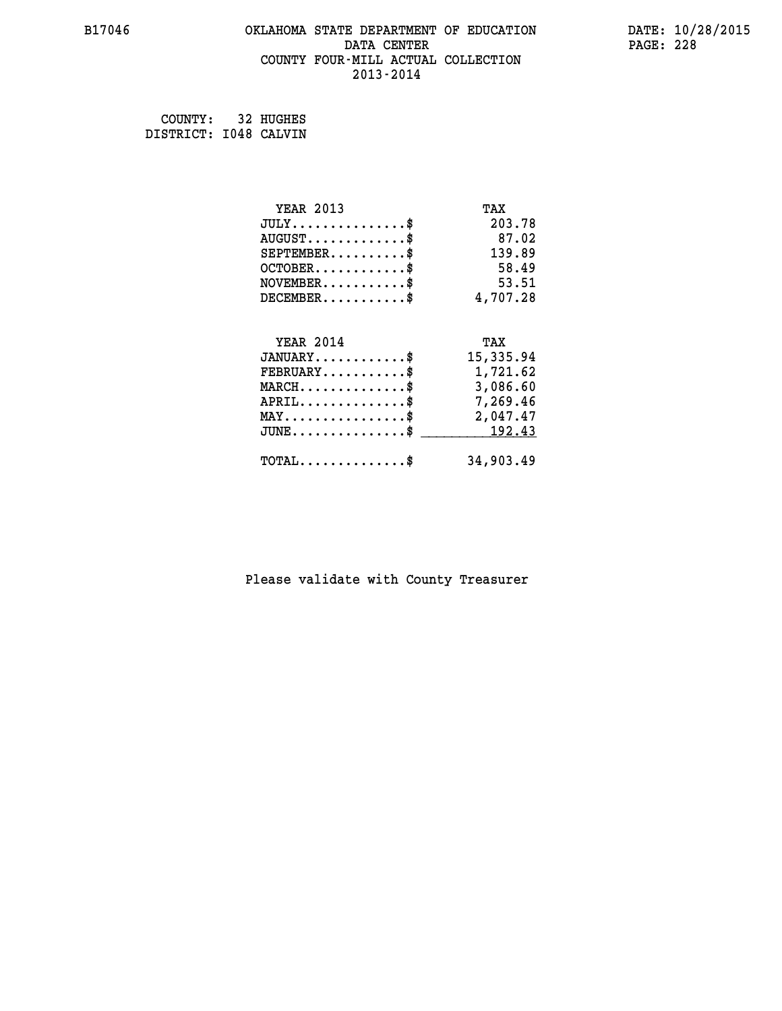## **B17046 OKLAHOMA STATE DEPARTMENT OF EDUCATION DATE: 10/28/2015 DATA CENTER** PAGE: 228  **COUNTY FOUR-MILL ACTUAL COLLECTION 2013-2014**

 **COUNTY: 32 HUGHES DISTRICT: I048 CALVIN**

| <b>YEAR 2013</b>                                   | TAX       |
|----------------------------------------------------|-----------|
| $JULY$ \$                                          | 203.78    |
| $AUGUST$ \$                                        | 87.02     |
| $SEPTEMBER$ \$                                     | 139.89    |
| $OCTOBER$ \$                                       | 58.49     |
| $\texttt{NOVEMBER} \dots \dots \dots \$            | 53.51     |
| $DECEMBER$ \$                                      | 4,707.28  |
|                                                    |           |
| <b>YEAR 2014</b>                                   | TAX       |
| $JANUARY$ \$                                       | 15,335.94 |
| $FEBRUARY$                                         | 1,721.62  |
| $\texttt{MARCH}\ldots\ldots\ldots\ldots\text{*}$   | 3,086.60  |
| $APRIL \ldots \ldots \ldots \ldots$                | 7,269.46  |
| $\texttt{MAX} \dots \dots \dots \dots \dots \$     | 2,047.47  |
| $\texttt{JUNE} \dots \dots \dots \dots \texttt{S}$ | 192.43    |
| $\texttt{TOTAL} \dots \dots \dots \dots \$         | 34,903.49 |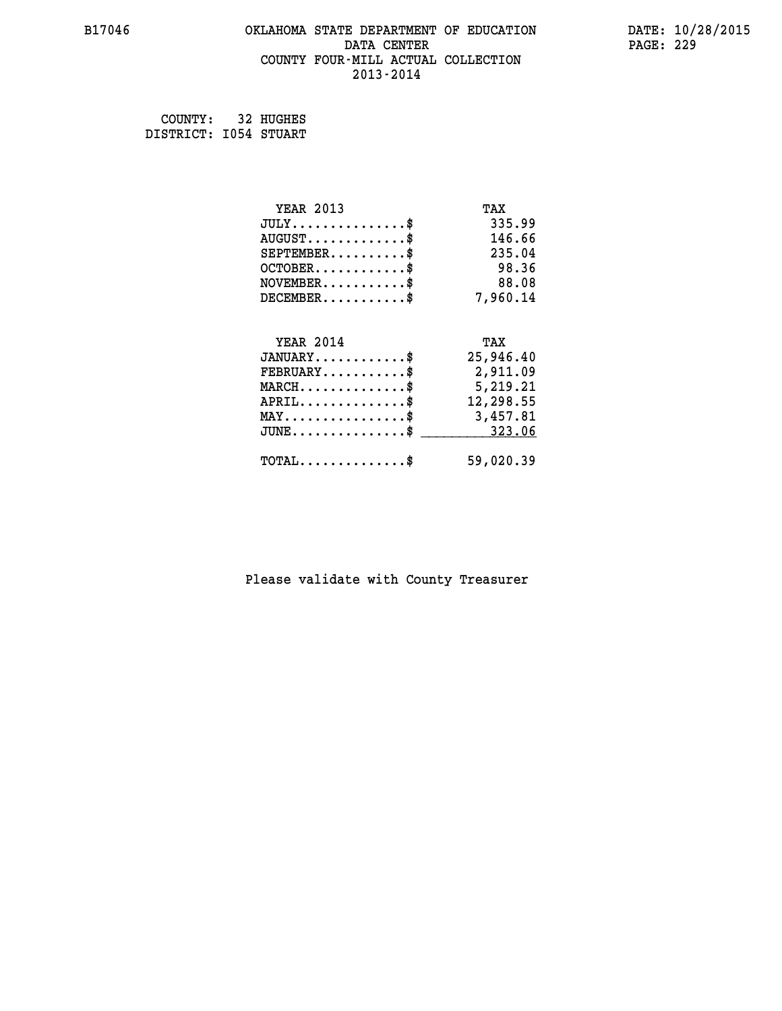## **B17046 OKLAHOMA STATE DEPARTMENT OF EDUCATION DATE: 10/28/2015 DATA CENTER** PAGE: 229  **COUNTY FOUR-MILL ACTUAL COLLECTION 2013-2014**

 **COUNTY: 32 HUGHES DISTRICT: I054 STUART**

| <b>YEAR 2013</b>                             | TAX       |
|----------------------------------------------|-----------|
| $JULY$ \$                                    | 335.99    |
| $AUGUST$ \$                                  | 146.66    |
| $SEPTEMBER$ \$                               | 235.04    |
| $OCTOBER$ \$                                 | 98.36     |
| $\texttt{NOVEMBER} \dots \dots \dots \$      | 88.08     |
| $DECEMBER$ \$                                | 7,960.14  |
|                                              |           |
| <b>YEAR 2014</b>                             | TAX       |
| $JANUARY$ \$                                 | 25,946.40 |
| $FEBRUARY$                                   | 2,911.09  |
| $\texttt{MARCH} \dots \dots \dots \dots \$$  | 5,219.21  |
| $APRIL \ldots \ldots \ldots \ldots \$        | 12,298.55 |
| MAY\$ 3,457.81                               |           |
| $JUNE \ldots \ldots \ldots \ldots$ \$ 323.06 |           |
| $\texttt{TOTAL} \dots \dots \dots \dots \$   | 59,020.39 |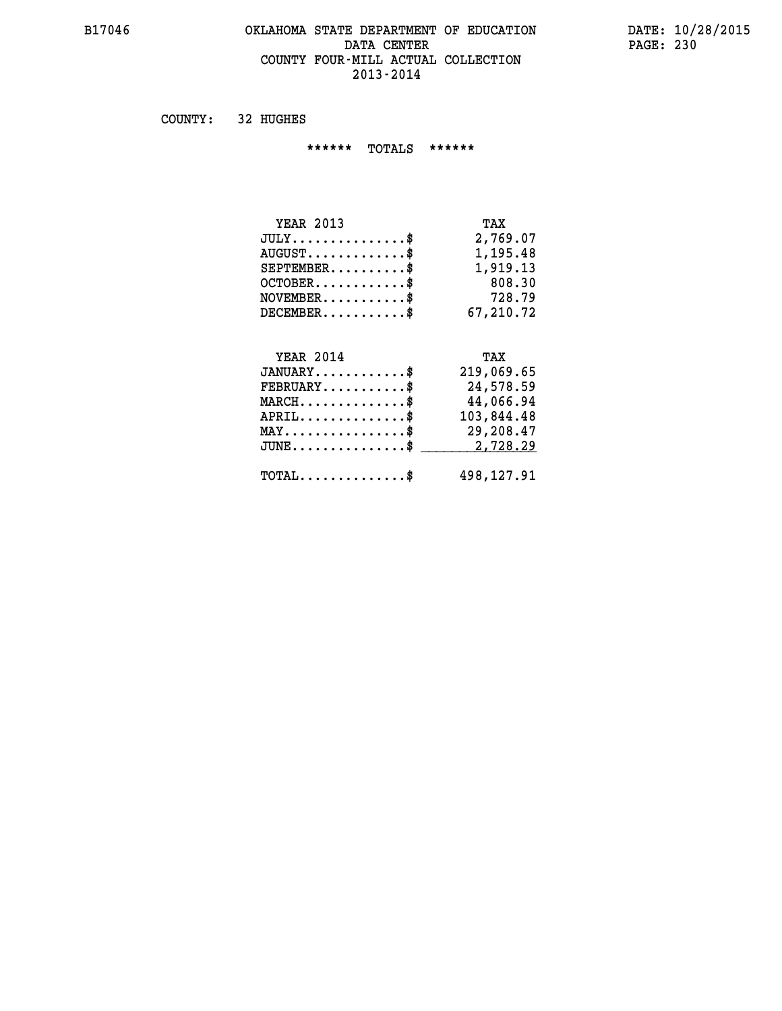#### **B17046 OKLAHOMA STATE DEPARTMENT OF EDUCATION DATE: 10/28/2015 DATA CENTER PAGE: 230 COUNTY FOUR-MILL ACTUAL COLLECTION 2013-2014**

 **COUNTY: 32 HUGHES**

 **\*\*\*\*\*\* TOTALS \*\*\*\*\*\***

| <b>YEAR 2013</b>                     | TAX       |
|--------------------------------------|-----------|
| $JULY \ldots \ldots \ldots \ldots \$ | 2,769.07  |
| $AUGUST$ \$                          | 1,195.48  |
| $SEPTEMBER$                          | 1,919.13  |
| $OCTOBER$ $\frac{1}{2}$              | 808.30    |
| $NOVEMBER$ \$                        | 728.79    |
| $DECEMBER$                           | 67,210,72 |

# **YEAR 2014 TAX JANUARY............\$ 219,069.65 FEBRUARY...........\$ 24,578.59 MARCH..............\$ 44,066.94 APRIL..............\$ 103,844.48 MAY................\$ 29,208.47 JUNE................\$** 2,728.29

 **TOTAL..............\$ 498,127.91**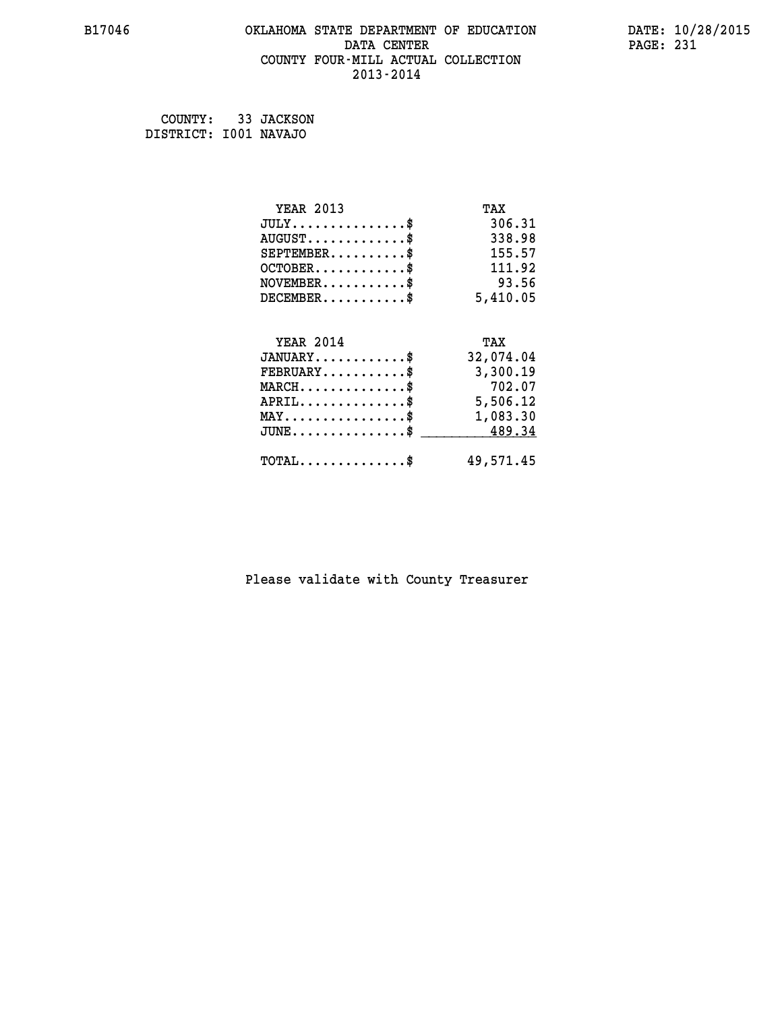## **B17046 OKLAHOMA STATE DEPARTMENT OF EDUCATION DATE: 10/28/2015 DATA CENTER** PAGE: 231  **COUNTY FOUR-MILL ACTUAL COLLECTION 2013-2014**

 **COUNTY: 33 JACKSON DISTRICT: I001 NAVAJO**

| <b>YEAR 2013</b>                                   | TAX       |
|----------------------------------------------------|-----------|
| $JULY$ \$                                          | 306.31    |
| $AUGUST$ \$                                        | 338.98    |
| $SEPTEMBER$ \$                                     | 155.57    |
| $OCTOBER$ \$                                       | 111.92    |
| $NOVEMBER$ \$                                      | 93.56     |
| $DECEMBER$ \$                                      | 5,410.05  |
|                                                    |           |
| <b>YEAR 2014</b>                                   | TAX       |
| $JANUARY$ \$                                       | 32,074.04 |
| $\texttt{FEBRUARY} \dots \dots \dots \$            | 3,300.19  |
| $MARCH$ \$                                         | 702.07    |
| $APRIL \ldots \ldots \ldots \ldots \$              | 5,506.12  |
| $\texttt{MAX} \dots \dots \dots \dots \dots \$     | 1,083.30  |
| $\texttt{JUNE} \dots \dots \dots \dots \texttt{S}$ | 489.34    |
| $\texttt{TOTAL} \dots \dots \dots \dots \$         | 49,571.45 |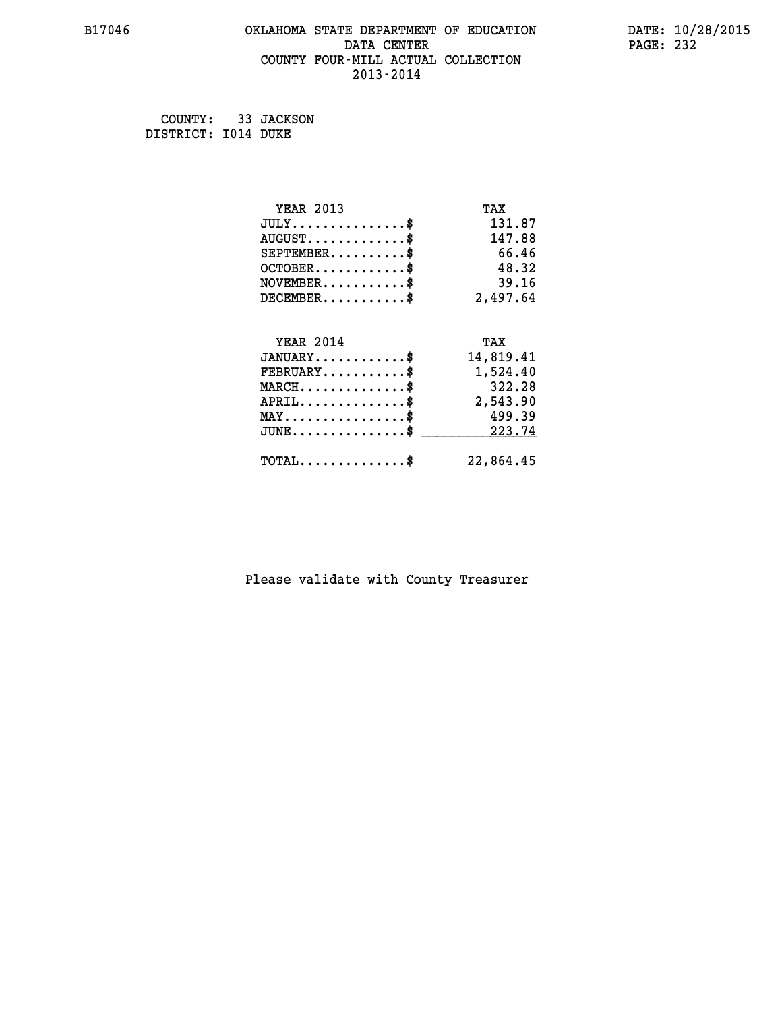## **B17046 OKLAHOMA STATE DEPARTMENT OF EDUCATION DATE: 10/28/2015 DATA CENTER** PAGE: 232  **COUNTY FOUR-MILL ACTUAL COLLECTION 2013-2014**

 **COUNTY: 33 JACKSON DISTRICT: I014 DUKE**

| <b>YEAR 2013</b>                           | TAX       |
|--------------------------------------------|-----------|
| $JULY$ \$                                  | 131.87    |
| $AUGUST$ \$                                | 147.88    |
| $SEPTEMBER$ \$                             | 66.46     |
| $OCTOBER$ \$                               | 48.32     |
| $\texttt{NOVEMBER} \dots \dots \dots \$    | 39.16     |
| $DECEMBER$ \$                              | 2,497.64  |
| <b>YEAR 2014</b>                           | TAX       |
| $JANUARY$ \$                               | 14,819.41 |
| $FEBRUARY$                                 | 1,524.40  |
| $MARCH$ \$                                 | 322.28    |
| $APRIL.$ \$                                | 2,543.90  |
| $MAX \dots \dots \dots \dots \dots$        | 499.39    |
| $JUNE$ \$                                  | 223.74    |
| $\texttt{TOTAL} \dots \dots \dots \dots \$ | 22,864.45 |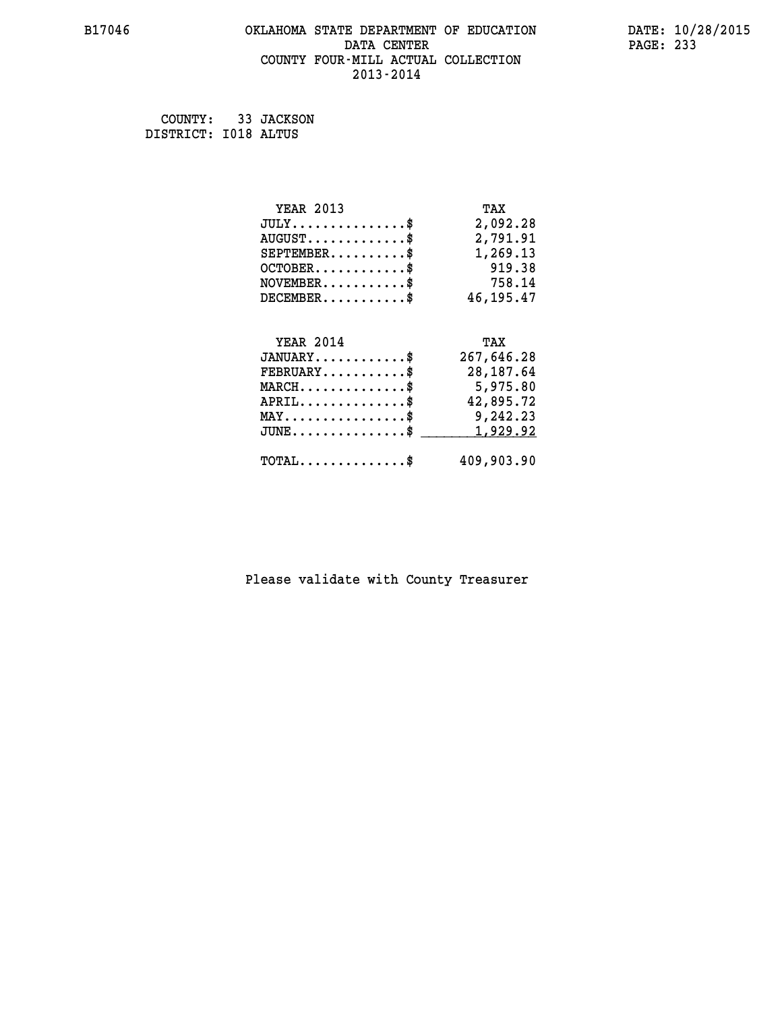## **B17046 OKLAHOMA STATE DEPARTMENT OF EDUCATION DATE: 10/28/2015 DATA CENTER** PAGE: 233  **COUNTY FOUR-MILL ACTUAL COLLECTION 2013-2014**

 **COUNTY: 33 JACKSON DISTRICT: I018 ALTUS**

| <b>YEAR 2013</b>                               | TAX        |
|------------------------------------------------|------------|
| $JULY$ \$                                      | 2,092.28   |
| $AUGUST$ \$                                    | 2,791.91   |
| $SEPTEMBER$ \$                                 | 1,269.13   |
| $OCTOBER.$ \$                                  | 919.38     |
| $\texttt{NOVEMBER} \dots \dots \dots \$        | 758.14     |
| $DECEMBER$ \$                                  | 46,195.47  |
|                                                |            |
| <b>YEAR 2014</b>                               | TAX        |
| $JANUARY$ \$                                   | 267,646.28 |
| $FEBRUARY$ \$                                  | 28, 187.64 |
| $MARCH$ \$                                     | 5,975.80   |
| $APRIL$ \$                                     | 42,895.72  |
| $\texttt{MAX} \dots \dots \dots \dots \dots \$ | 9,242.23   |
| $JUNE$ \$                                      | 1,929.92   |
| $\texttt{TOTAL} \dots \dots \dots \dots \$     | 409,903.90 |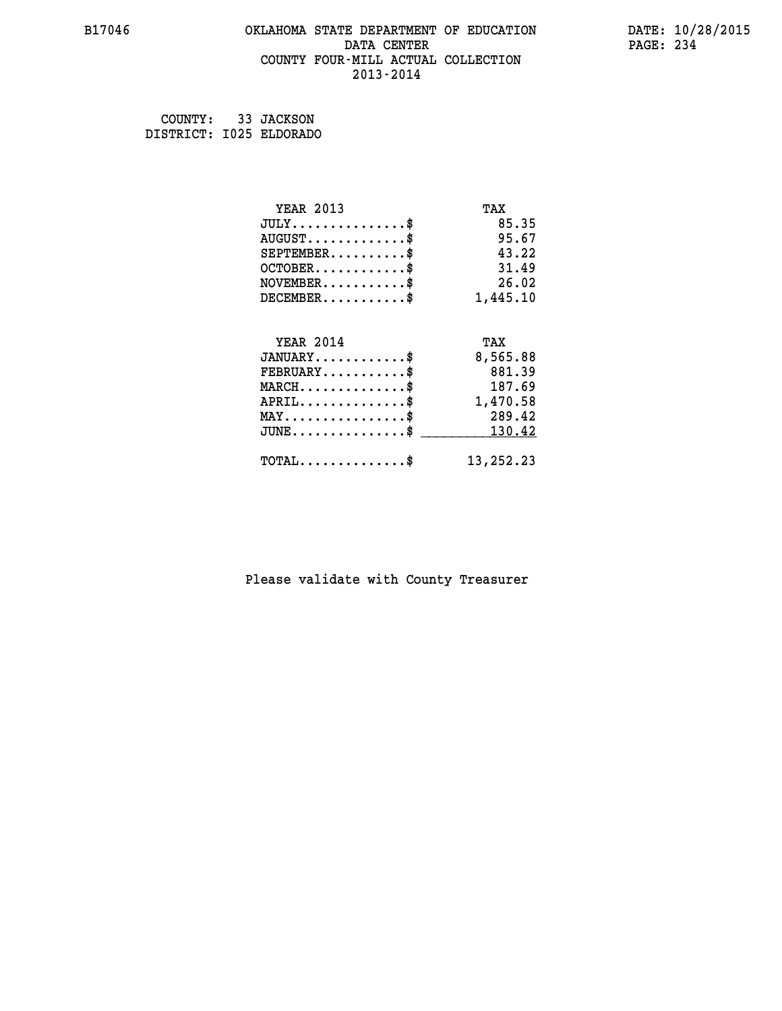#### **B17046 OKLAHOMA STATE DEPARTMENT OF EDUCATION DATE: 10/28/2015 DATA CENTER** PAGE: 234  **COUNTY FOUR-MILL ACTUAL COLLECTION 2013-2014**

| COUNTY:                 | 33 JACKSON |
|-------------------------|------------|
| DISTRICT: I025 ELDORADO |            |

| <b>YEAR 2013</b>                           | TAX       |
|--------------------------------------------|-----------|
| $JULY$ \$                                  | 85.35     |
| $AUGUST$ \$                                | 95.67     |
| $SEPTEMBER$ \$                             | 43.22     |
| $OCTOBER$ \$                               | 31.49     |
| $\texttt{NOVEMBER} \dots \dots \dots \$    | 26.02     |
| $DECEMBER$ \$                              | 1,445.10  |
| <b>YEAR 2014</b>                           | TAX       |
| $JANUARY$ \$                               | 8,565.88  |
|                                            |           |
| $FEBRUARY$ \$                              | 881.39    |
| $MARCH$ \$                                 | 187.69    |
| $APRIL$ \$                                 | 1,470.58  |
| $MAX \dots \dots \dots \dots \$            | 289.42    |
| $JUNE$                                     | 130.42    |
| $\texttt{TOTAL} \dots \dots \dots \dots \$ | 13,252.23 |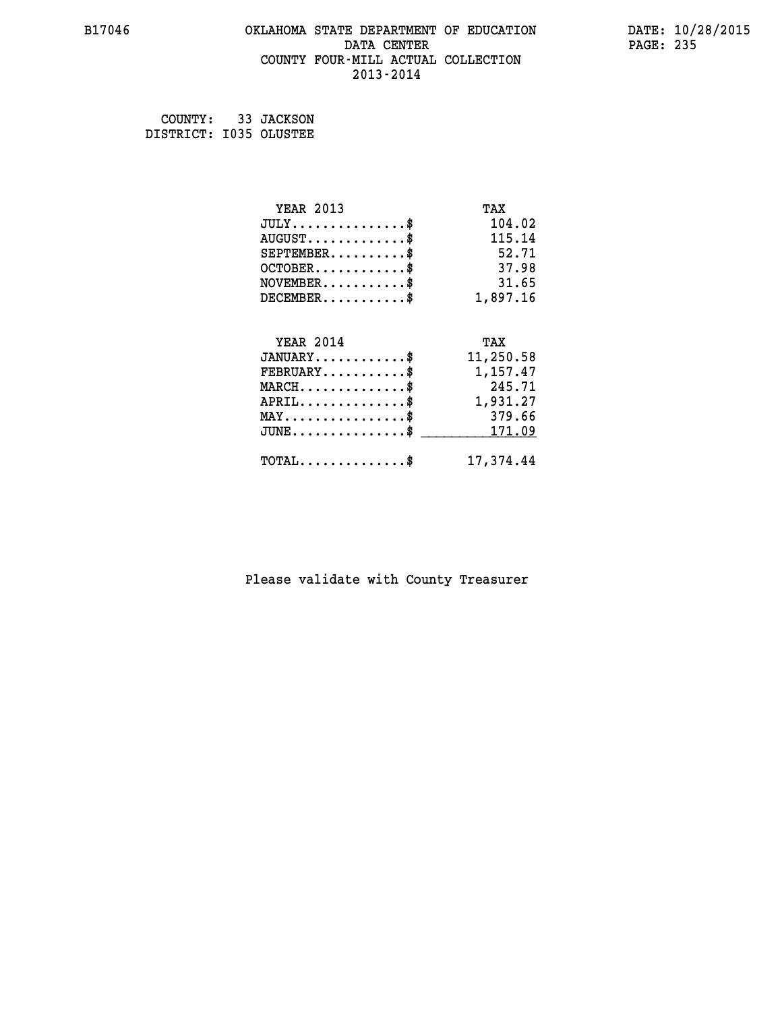## **B17046 OKLAHOMA STATE DEPARTMENT OF EDUCATION DATE: 10/28/2015 DATA CENTER** PAGE: 235  **COUNTY FOUR-MILL ACTUAL COLLECTION 2013-2014**

 **COUNTY: 33 JACKSON DISTRICT: I035 OLUSTEE**

| <b>YEAR 2013</b>                                   | TAX       |
|----------------------------------------------------|-----------|
| $JULY$ \$                                          | 104.02    |
| $AUGUST$ \$                                        | 115.14    |
| $SEPTEMENT.$ \$                                    | 52.71     |
| $OCTOBER$ \$                                       | 37.98     |
| $NOVEMBER$ \$                                      | 31.65     |
| $DECEMBER$ \$                                      | 1,897.16  |
|                                                    |           |
| <b>YEAR 2014</b>                                   | TAX       |
| $JANUARY$                                          | 11,250.58 |
| $\texttt{FEBRUARY} \dots \dots \dots \$            | 1,157.47  |
| $MARCH$ \$                                         | 245.71    |
| $APRIL$ \$                                         | 1,931.27  |
| $MAX \dots \dots \dots \dots \dots$                | 379.66    |
| $\texttt{JUNE} \dots \dots \dots \dots \texttt{S}$ | 171.09    |
| $\texttt{TOTAL} \dots \dots \dots \dots \$         | 17,374.44 |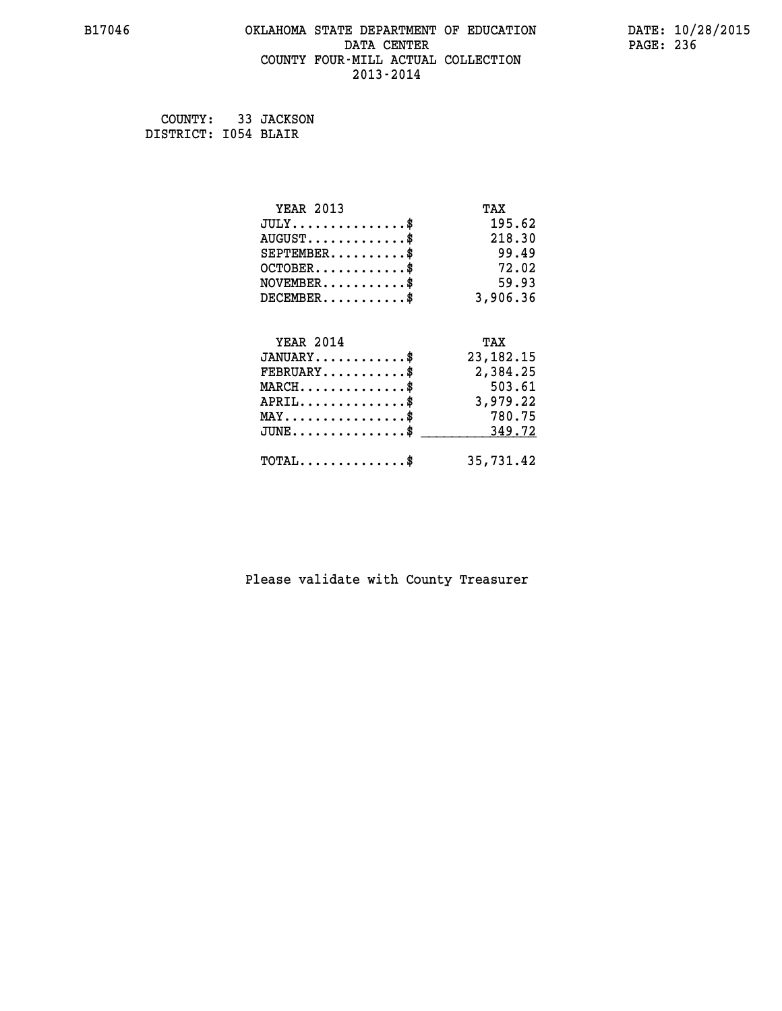## **B17046 OKLAHOMA STATE DEPARTMENT OF EDUCATION DATE: 10/28/2015 DATA CENTER** PAGE: 236  **COUNTY FOUR-MILL ACTUAL COLLECTION 2013-2014**

 **COUNTY: 33 JACKSON DISTRICT: I054 BLAIR**

| <b>YEAR 2013</b>                           | TAX         |
|--------------------------------------------|-------------|
| $JULY$ \$                                  | 195.62      |
| $AUGUST$ \$                                | 218.30      |
| $SEPTEMBER$ \$                             | 99.49       |
| $OCTOBER$ \$                               | 72.02       |
| $NOVEMBER$ \$                              | 59.93       |
| $DECEMBER$ \$                              | 3,906.36    |
|                                            |             |
| <b>YEAR 2014</b>                           | TAX         |
| $JANUARY$ \$                               | 23, 182. 15 |
| $FEBRUARY$                                 | 2,384.25    |
| $MARCH$ \$                                 | 503.61      |
| $APRIL \ldots \ldots \ldots \ldots \$      | 3,979.22    |
| $MAX \dots \dots \dots \dots \dots$        | 780.75      |
| $\texttt{JUNE}\dots\dots\dots\dots\dots\$  | 349.72      |
| $\texttt{TOTAL} \dots \dots \dots \dots \$ | 35,731.42   |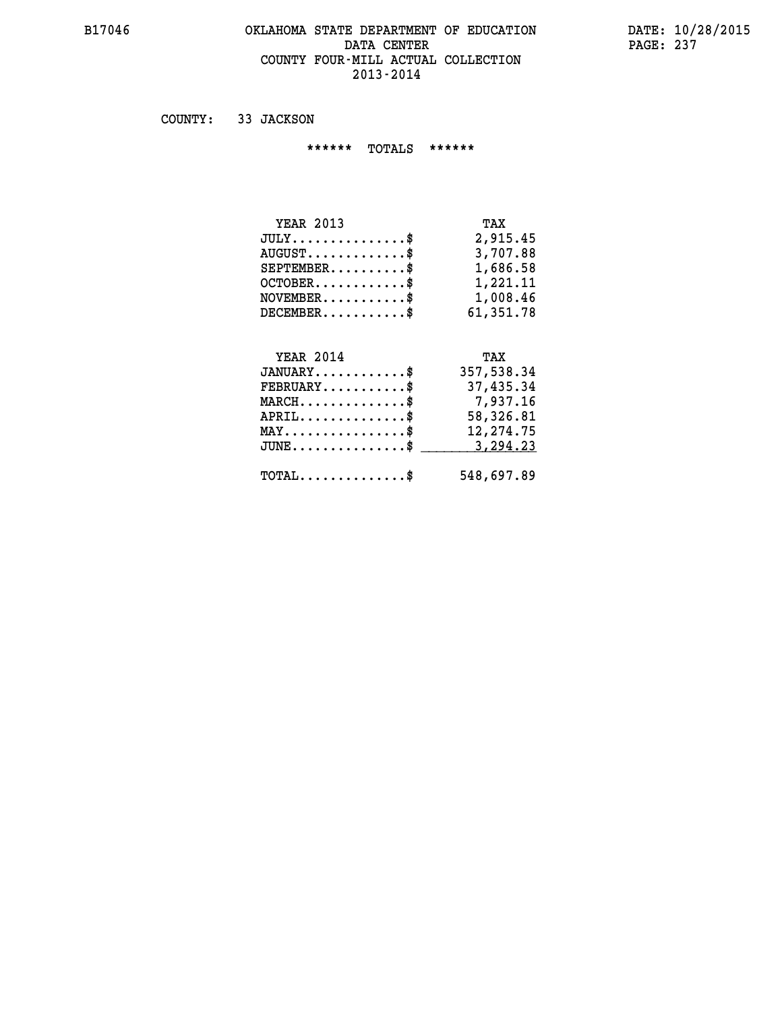#### **B17046 OKLAHOMA STATE DEPARTMENT OF EDUCATION DATE: 10/28/2015 DATA CENTER** PAGE: 237  **COUNTY FOUR-MILL ACTUAL COLLECTION 2013-2014**

 **COUNTY: 33 JACKSON**

 **\*\*\*\*\*\* TOTALS \*\*\*\*\*\***

| <b>YEAR 2013</b>                       | TAX       |
|----------------------------------------|-----------|
| $JULY \ldots \ldots \ldots \mathbb{S}$ | 2,915.45  |
| $AUGUST$ \$                            | 3,707.88  |
| $SEPTEMBER$ $\$                        | 1,686.58  |
| $OCTOBER$ \$                           | 1,221,11  |
| $NOVEMBER$ \$                          | 1,008.46  |
| $DECEMBER$                             | 61,351.78 |

#### **YEAR 2014 TAX JANUARY............\$ 357,538.34 FEBRUARY...........\$ 37,435.34 MARCH..............\$ 7,937.16 APRIL..............\$ 58,326.81**

| $\texttt{MAX} \dots \dots \dots \dots \dots \$<br>$JUNE \dots \dots \dots \dots \$ 3, 294.23 | 12,274.75  |
|----------------------------------------------------------------------------------------------|------------|
| $\texttt{TOTAL} \dots \dots \dots \dots \$                                                   | 548,697.89 |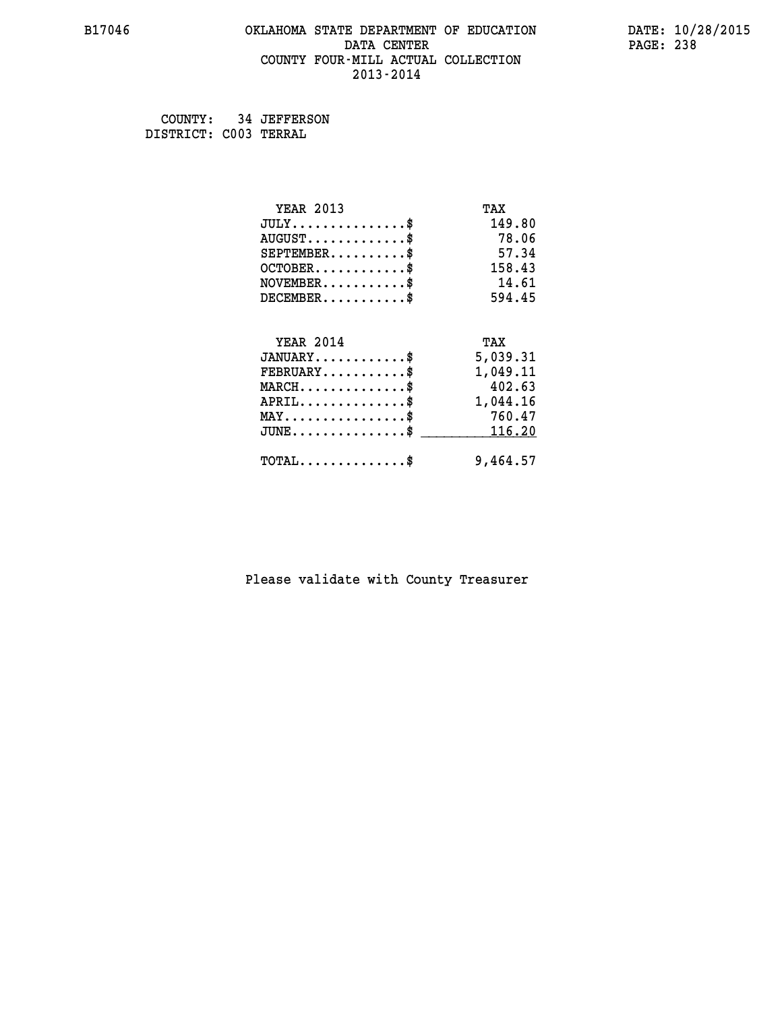## **B17046 OKLAHOMA STATE DEPARTMENT OF EDUCATION DATE: 10/28/2015 DATA CENTER** PAGE: 238  **COUNTY FOUR-MILL ACTUAL COLLECTION 2013-2014**

 **COUNTY: 34 JEFFERSON DISTRICT: C003 TERRAL**

| <b>YEAR 2013</b>                           | TAX      |
|--------------------------------------------|----------|
| $JULY$ \$                                  | 149.80   |
| $AUGUST$ \$                                | 78.06    |
| $SEPTEMENT.$ \$                            | 57.34    |
| $OCTOBER$ \$                               | 158.43   |
| $NOVEMBER$ \$                              | 14.61    |
| $DECEMBER$ \$                              | 594.45   |
|                                            |          |
| <b>YEAR 2014</b>                           | TAX      |
| $JANUARY$                                  | 5,039.31 |
| $FEBRUARY$                                 | 1,049.11 |
| $MARCH$ \$                                 | 402.63   |
| $APRIL \ldots \ldots \ldots \ldots \$      | 1,044.16 |
| $MAX \dots \dots \dots \dots \dots$        | 760.47   |
| $JUNE$ \$                                  | 116.20   |
| $\texttt{TOTAL} \dots \dots \dots \dots \$ | 9,464.57 |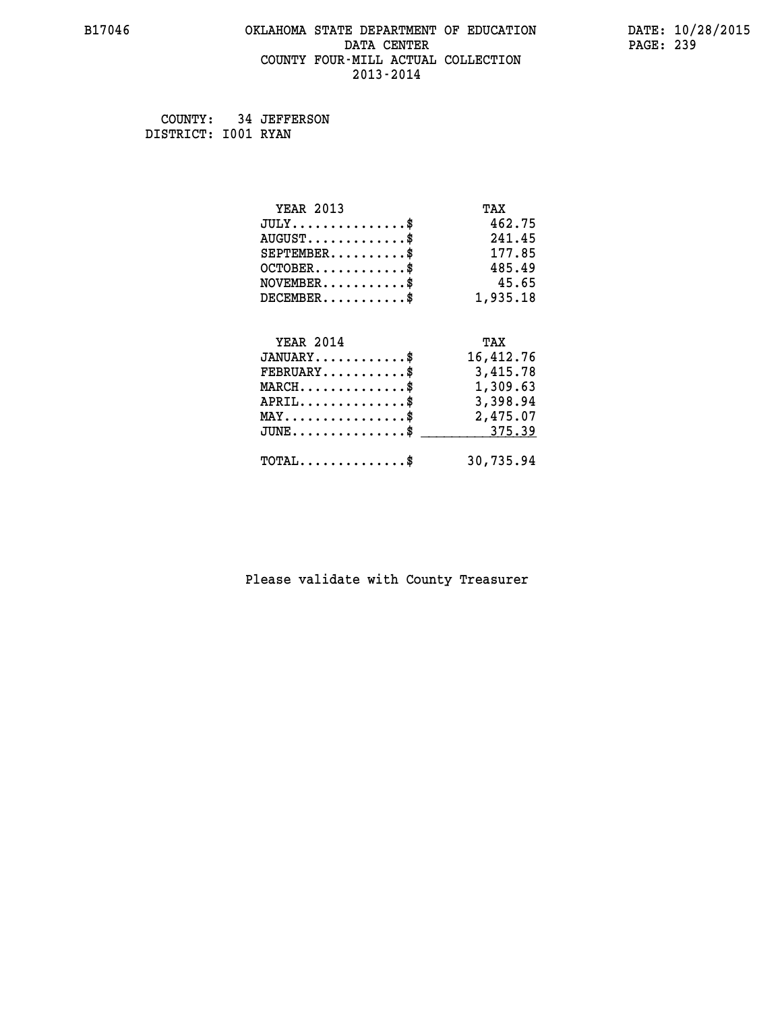## **B17046 OKLAHOMA STATE DEPARTMENT OF EDUCATION DATE: 10/28/2015 DATA CENTER** PAGE: 239  **COUNTY FOUR-MILL ACTUAL COLLECTION 2013-2014**

 **COUNTY: 34 JEFFERSON DISTRICT: I001 RYAN**

| <b>YEAR 2013</b>                                 | TAX       |
|--------------------------------------------------|-----------|
| $JULY$ \$                                        | 462.75    |
| $AUGUST$ \$                                      | 241.45    |
| $SEPTEMBER$ \$                                   | 177.85    |
| $OCTOBER$ \$                                     | 485.49    |
| $\texttt{NOVEMBER} \dots \dots \dots \$          | 45.65     |
| $DECEMBER$ \$                                    | 1,935.18  |
|                                                  |           |
| <b>YEAR 2014</b>                                 | TAX       |
| $JANUARY$ \$                                     | 16,412.76 |
| $FEBRUARY$                                       | 3,415.78  |
| $\texttt{MARCH}\ldots\ldots\ldots\ldots\text{*}$ | 1,309.63  |
| $APRIL \ldots \ldots \ldots \ldots \$            | 3,398.94  |
| $\texttt{MAX} \dots \dots \dots \dots \dots \$   | 2,475.07  |
| $\texttt{JUNE} \dots \dots \dots \dots \dots \$$ | 375.39    |
| $\texttt{TOTAL} \dots \dots \dots \dots \$       | 30,735.94 |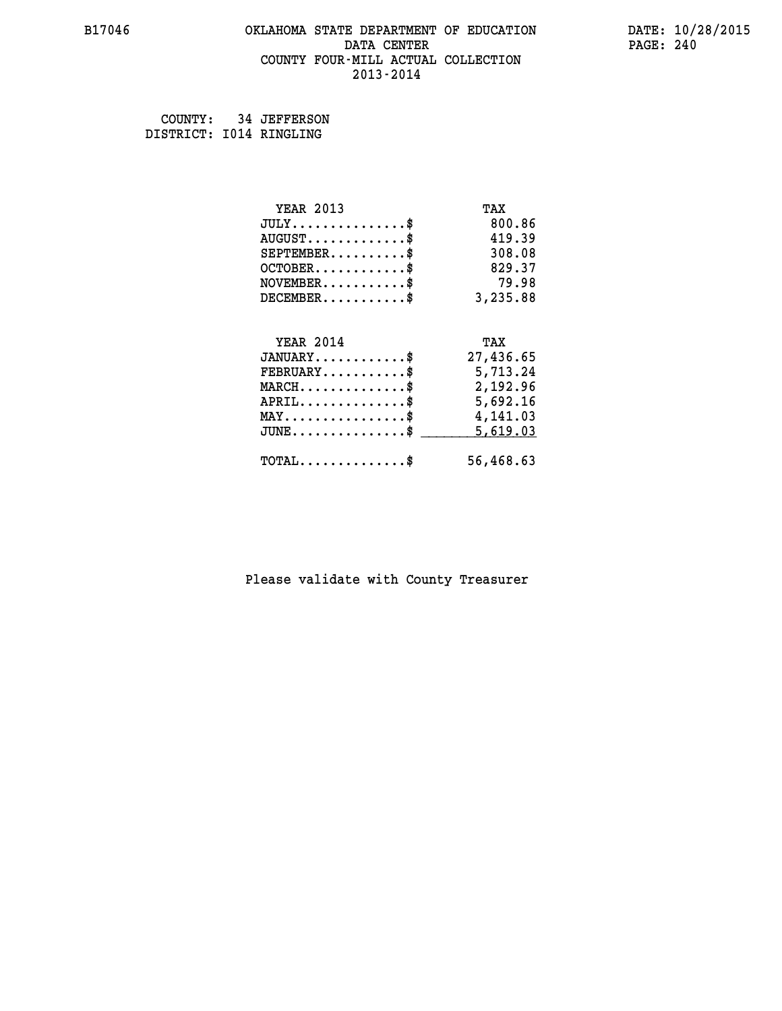## **B17046 OKLAHOMA STATE DEPARTMENT OF EDUCATION DATE: 10/28/2015 DATA CENTER** PAGE: 240  **COUNTY FOUR-MILL ACTUAL COLLECTION 2013-2014**

 **COUNTY: 34 JEFFERSON DISTRICT: I014 RINGLING**

| <b>YEAR 2013</b>                                  | TAX       |
|---------------------------------------------------|-----------|
| $JULY$ \$                                         | 800.86    |
| $AUGUST$ \$                                       | 419.39    |
| $SEPTEMBER$ \$                                    | 308.08    |
| $OCTOBER$ \$                                      | 829.37    |
| $NOVEMBER.$ \$                                    | 79.98     |
| $DECEMBER$ \$                                     | 3,235.88  |
| <b>YEAR 2014</b>                                  | TAX       |
| $JANUARY$                                         | 27,436.65 |
| $FEBRUARY$                                        | 5,713.24  |
| $\texttt{MARCH}\ldots\ldots\ldots\ldots\clubsuit$ | 2,192.96  |
| $APRIL \ldots \ldots \ldots \ldots \$             | 5,692.16  |
| $\texttt{MAX} \dots \dots \dots \dots \dots \$    | 4,141.03  |
| $\texttt{JUNE} \dots \dots \dots \dots \dots \$$  | 5,619.03  |
|                                                   |           |
| $\texttt{TOTAL} \dots \dots \dots \dots \$        | 56,468.63 |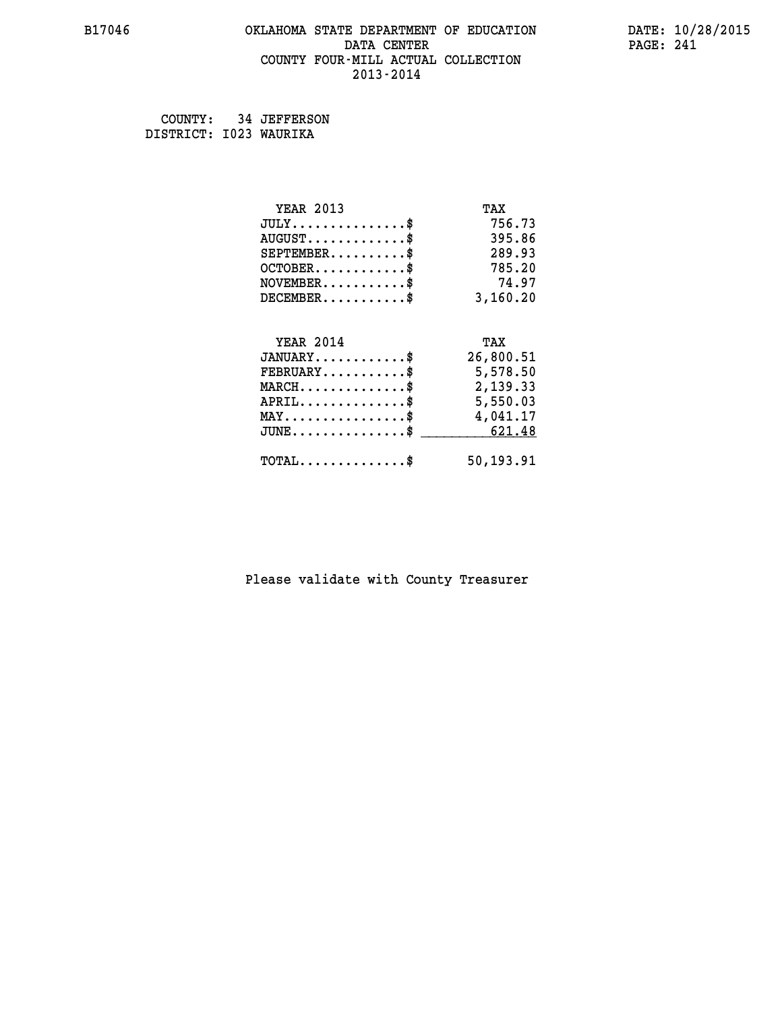## **B17046 OKLAHOMA STATE DEPARTMENT OF EDUCATION DATE: 10/28/2015 DATA CENTER** PAGE: 241  **COUNTY FOUR-MILL ACTUAL COLLECTION 2013-2014**

 **COUNTY: 34 JEFFERSON DISTRICT: I023 WAURIKA**

| <b>YEAR 2013</b>                               | TAX       |
|------------------------------------------------|-----------|
| $JULY$ \$                                      | 756.73    |
| $AUGUST$ \$                                    | 395.86    |
| $SEPTEMBER$ \$                                 | 289.93    |
| $OCTOBER$ \$                                   | 785.20    |
| $NOVEMBER$ \$                                  | 74.97     |
| $DECEMBER$ \$                                  | 3,160.20  |
| <b>YEAR 2014</b>                               | TAX       |
|                                                |           |
| $JANUARY$ \$                                   | 26,800.51 |
| $FEBRUARY$                                     | 5,578.50  |
| $MARCH$ \$                                     | 2,139.33  |
| $APRIL$ \$                                     | 5,550.03  |
| $\texttt{MAX} \dots \dots \dots \dots \dots \$ | 4,041.17  |
| $\texttt{JUNE} \dots \dots \dots \dots \$$     | 621.48    |
| $\texttt{TOTAL} \dots \dots \dots \dots \$     | 50,193.91 |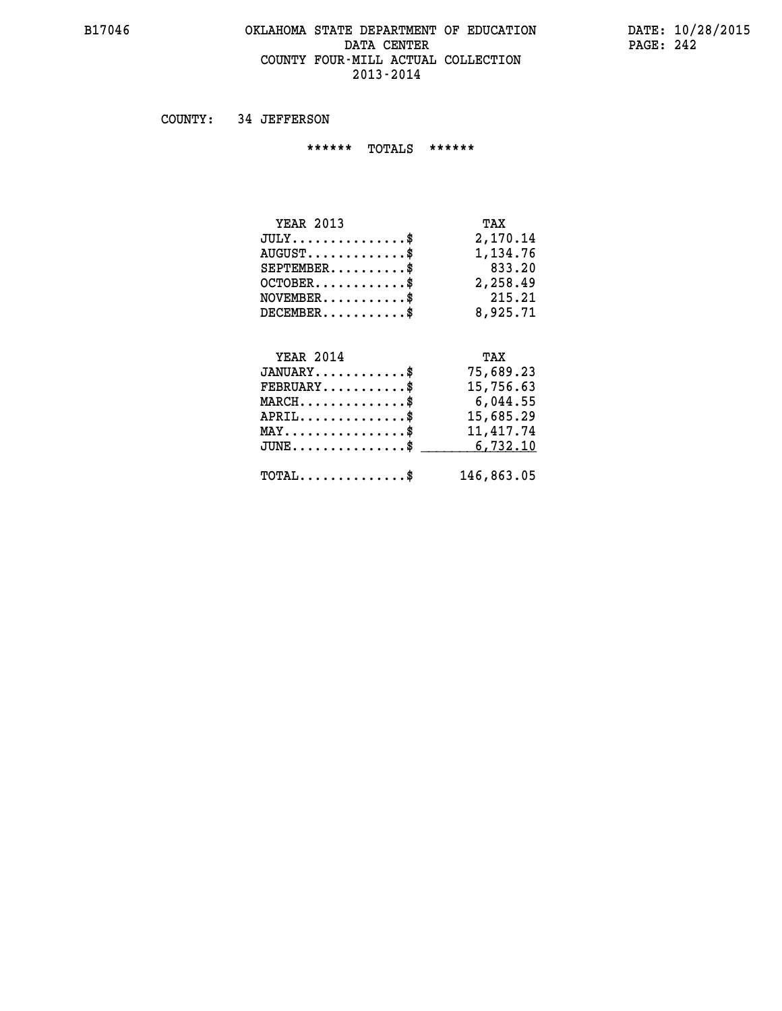## **B17046 OKLAHOMA STATE DEPARTMENT OF EDUCATION DATE: 10/28/2015 DATA CENTER** PAGE: 242  **COUNTY FOUR-MILL ACTUAL COLLECTION 2013-2014**

 **COUNTY: 34 JEFFERSON**

 **\*\*\*\*\*\* TOTALS \*\*\*\*\*\***

| <b>YEAR 2013</b>                       | TAX      |
|----------------------------------------|----------|
| $JULY \ldots \ldots \ldots \mathbb{S}$ | 2,170.14 |
| $AUGUST$ $\frac{1}{2}$                 | 1,134.76 |
| $SEPTEMBER$ $\$                        | 833.20   |
| $OCTOBER$ \$                           | 2,258.49 |
| $NOVEMBER$ \$                          | 215.21   |
| $DECEMBER$                             | 8,925.71 |

## **YEAR 2014 TAX**

| $JANUARY$ \$                                 | 75,689.23  |
|----------------------------------------------|------------|
| $FEBRUARY$ \$                                | 15,756.63  |
| $MARCH$ \$                                   | 6,044.55   |
| $APRIL$ \$                                   | 15,685.29  |
| $MAX \dots \dots \dots \dots \dots \$        | 11,417.74  |
| $JUNE \dots \dots \dots \dots \dots$ \$      | 6,732.10   |
| $\text{TOTAL} \dots \dots \dots \dots \dots$ | 146,863.05 |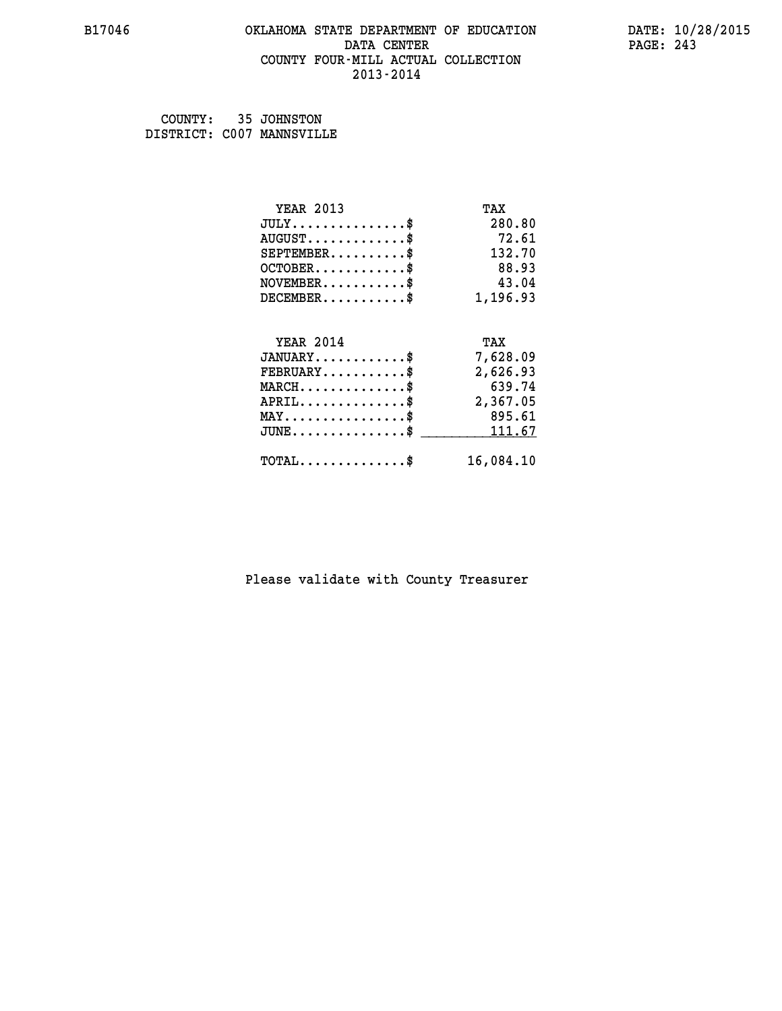## **B17046 OKLAHOMA STATE DEPARTMENT OF EDUCATION DATE: 10/28/2015 DATA CENTER** PAGE: 243  **COUNTY FOUR-MILL ACTUAL COLLECTION 2013-2014**

 **COUNTY: 35 JOHNSTON DISTRICT: C007 MANNSVILLE**

| <b>YEAR 2013</b>                           | TAX       |
|--------------------------------------------|-----------|
| $JULY$ \$                                  | 280.80    |
| $AUGUST$ \$                                | 72.61     |
| $SEPTEMENT.$ \$                            | 132.70    |
| $OCTOBER$ \$                               | 88.93     |
| $NOVEMBER$ \$                              | 43.04     |
| $DECEMBER$ \$                              | 1,196.93  |
|                                            |           |
| <b>YEAR 2014</b>                           | TAX       |
| $JANUARY$ \$                               | 7,628.09  |
| $FEBRUARY$                                 | 2,626.93  |
| $MARCH$ \$                                 | 639.74    |
| $APRIL$ \$                                 | 2,367.05  |
| $MAX \dots \dots \dots \dots \dots$        | 895.61    |
| $JUNE$ \$                                  | 111.67    |
| $\texttt{TOTAL} \dots \dots \dots \dots \$ | 16,084.10 |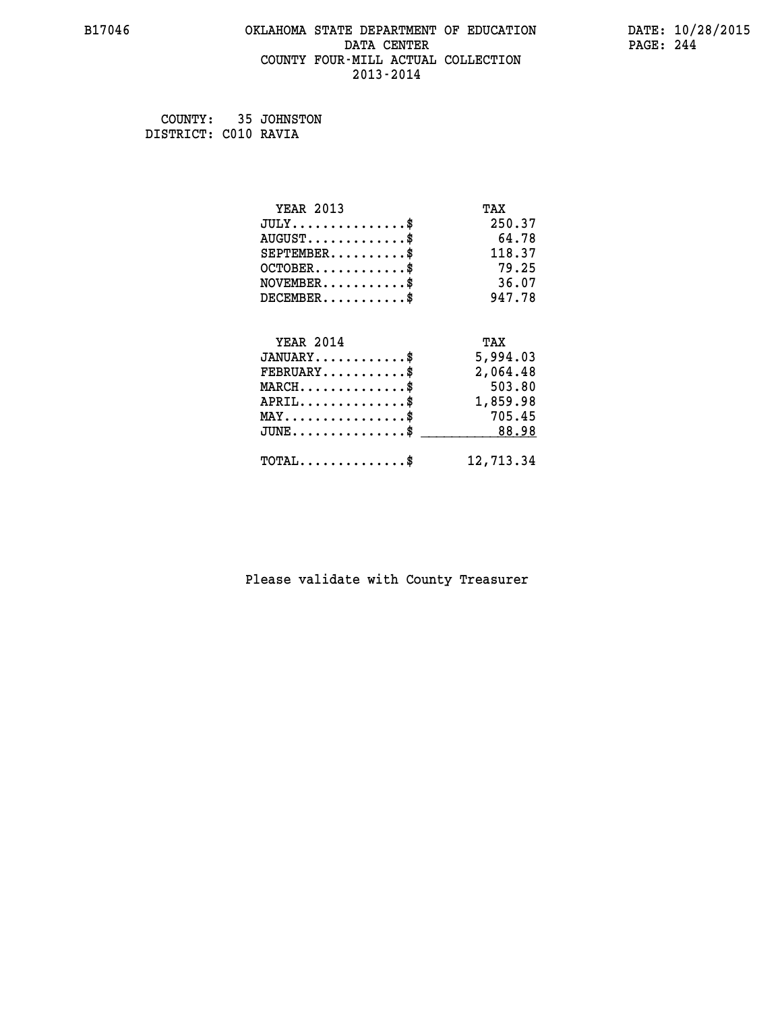## **B17046 OKLAHOMA STATE DEPARTMENT OF EDUCATION DATE: 10/28/2015 DATA CENTER** PAGE: 244  **COUNTY FOUR-MILL ACTUAL COLLECTION 2013-2014**

 **COUNTY: 35 JOHNSTON DISTRICT: C010 RAVIA**

| <b>YEAR 2013</b>                           | TAX       |
|--------------------------------------------|-----------|
| $JULY$ \$                                  | 250.37    |
| $AUGUST$ \$                                | 64.78     |
| $SEPTEMENT.$ \$                            | 118.37    |
| $OCTOBER$ \$                               | 79.25     |
| $NOVEMBER$ \$                              | 36.07     |
| $DECEMBER$ \$                              | 947.78    |
|                                            |           |
| <b>YEAR 2014</b>                           | TAX       |
| $JANUARY$ \$                               | 5,994.03  |
| $FEBRUARY$                                 | 2,064.48  |
| $MARCH$ \$                                 | 503.80    |
| $APRIL$ \$                                 | 1,859.98  |
| $MAX \dots \dots \dots \dots \dots$        | 705.45    |
| $JUNE$ \$                                  | 88.98     |
| $\texttt{TOTAL} \dots \dots \dots \dots \$ | 12,713.34 |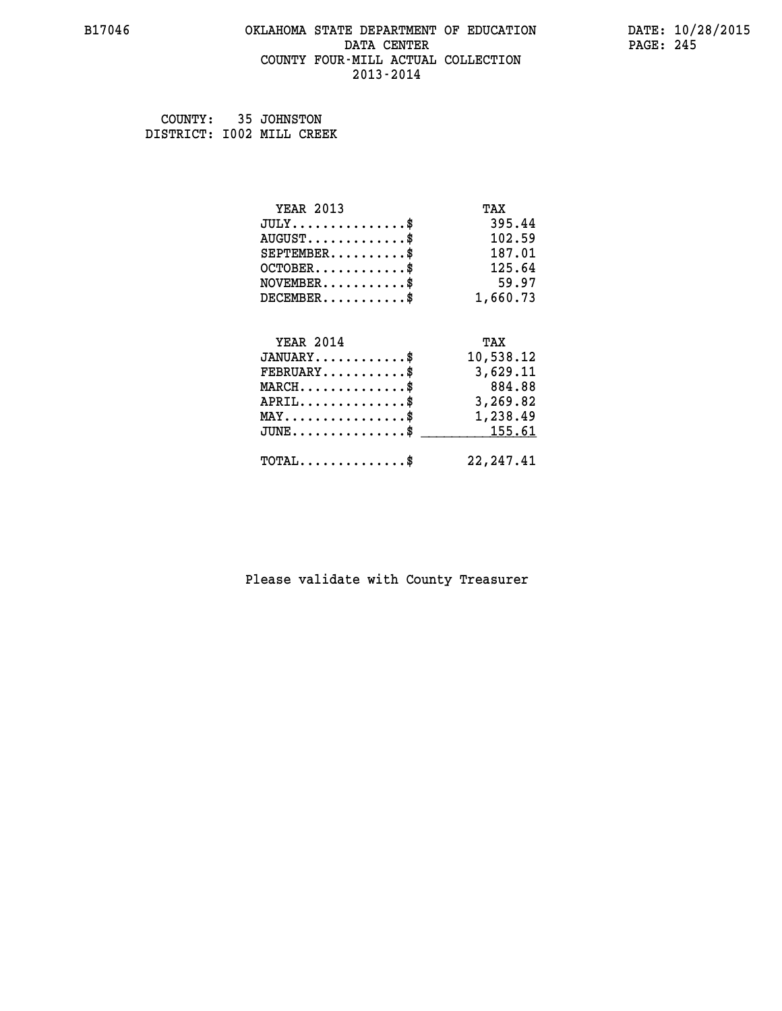## **B17046 OKLAHOMA STATE DEPARTMENT OF EDUCATION DATE: 10/28/2015 DATA CENTER** PAGE: 245  **COUNTY FOUR-MILL ACTUAL COLLECTION 2013-2014**

 **COUNTY: 35 JOHNSTON DISTRICT: I002 MILL CREEK**

| <b>YEAR 2013</b>                               | TAX        |
|------------------------------------------------|------------|
| $JULY$ \$                                      | 395.44     |
| $AUGUST$ \$                                    | 102.59     |
| $SEPTEMBER$ \$                                 | 187.01     |
| $OCTOBER$ \$                                   | 125.64     |
| $NOVEMBER$ \$                                  | 59.97      |
| $DECEMBER$ \$                                  | 1,660.73   |
| <b>YEAR 2014</b>                               |            |
|                                                | TAX        |
| $JANUARY$ \$                                   | 10,538.12  |
| $FEBRUARY$                                     | 3,629.11   |
| $MARCH$ \$                                     | 884.88     |
| $APRIL$ \$                                     | 3,269.82   |
| $\texttt{MAX} \dots \dots \dots \dots \dots \$ | 1,238.49   |
| $JUNE$ \$                                      | 155.61     |
| $\texttt{TOTAL} \dots \dots \dots \dots$ \$    | 22, 247.41 |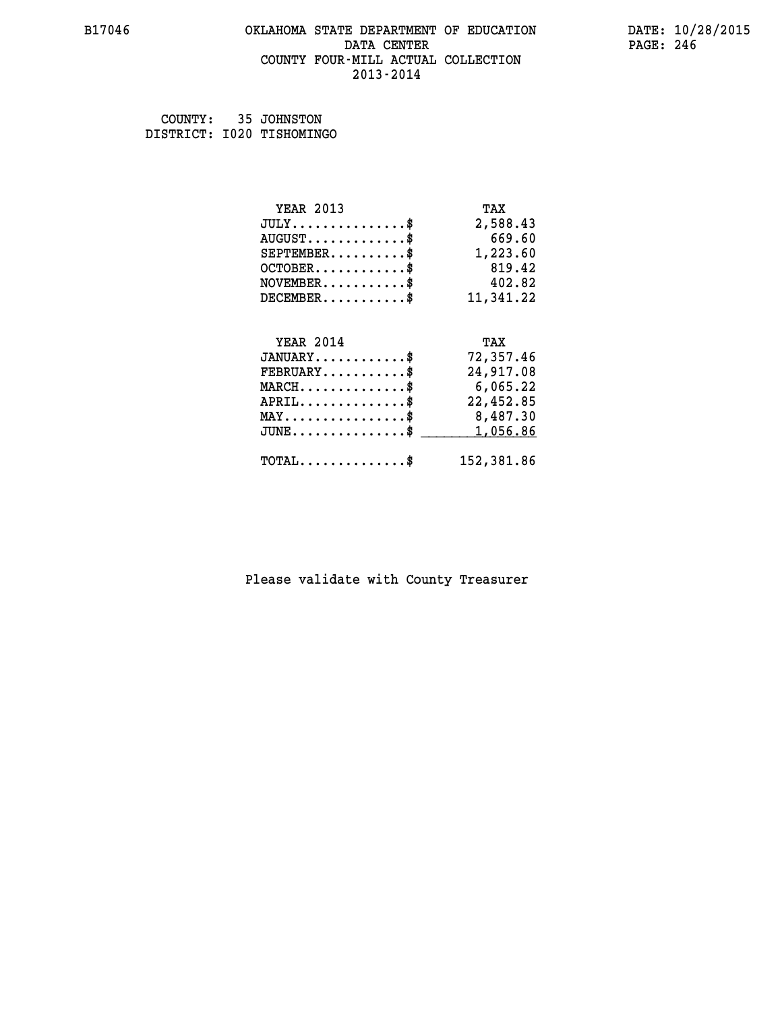## **B17046 OKLAHOMA STATE DEPARTMENT OF EDUCATION DATE: 10/28/2015 DATA CENTER** PAGE: 246  **COUNTY FOUR-MILL ACTUAL COLLECTION 2013-2014**

 **COUNTY: 35 JOHNSTON DISTRICT: I020 TISHOMINGO**

| <b>YEAR 2013</b>                               | TAX        |
|------------------------------------------------|------------|
| $JULY$ \$                                      | 2,588.43   |
| $AUGUST$ \$                                    | 669.60     |
| $SEPTEMENT.$ \$                                | 1,223.60   |
| $OCTOBER$ \$                                   | 819.42     |
| $NOVEMBER$ \$                                  | 402.82     |
| $DECEMBER$ \$                                  | 11,341.22  |
|                                                |            |
| <b>YEAR 2014</b>                               | TAX        |
| $JANUARY$ \$                                   | 72,357.46  |
| $FEBRUARY$                                     | 24,917.08  |
| $MARCH$ \$                                     | 6,065.22   |
| $APRIL$ \$                                     | 22,452.85  |
| $\texttt{MAX} \dots \dots \dots \dots \dots \$ | 8,487.30   |
| $JUNE$ \$                                      | 1,056.86   |
| $\texttt{TOTAL} \dots \dots \dots \dots \$     | 152,381.86 |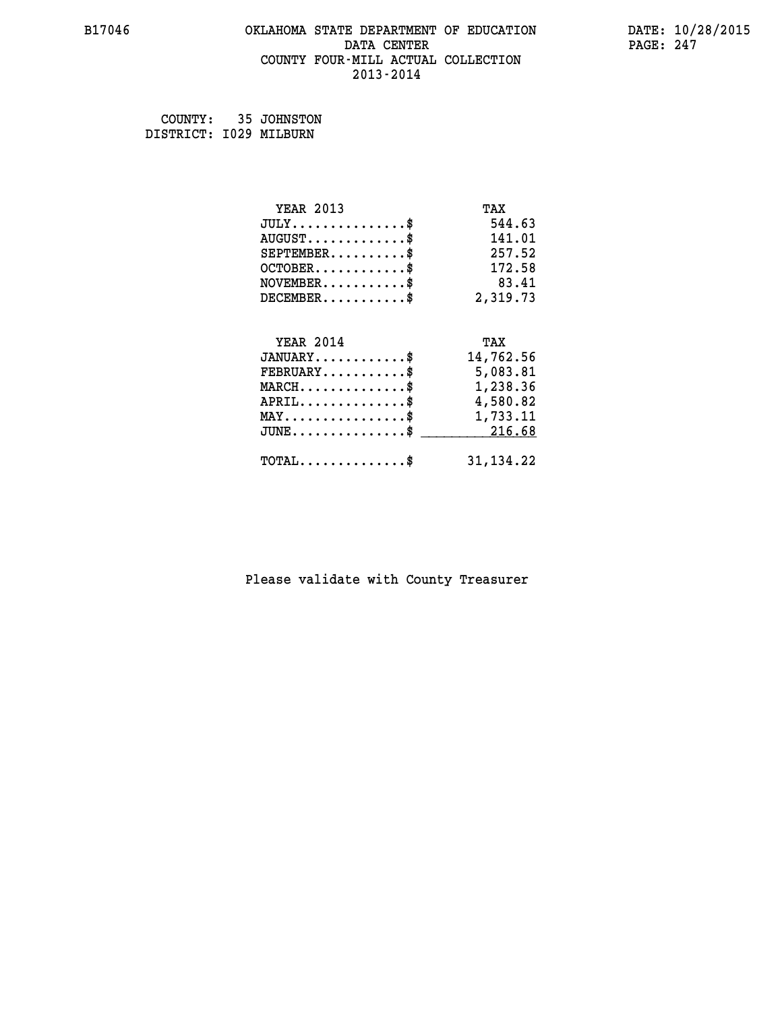## **B17046 OKLAHOMA STATE DEPARTMENT OF EDUCATION DATE: 10/28/2015 DATA CENTER** PAGE: 247  **COUNTY FOUR-MILL ACTUAL COLLECTION 2013-2014**

 **COUNTY: 35 JOHNSTON DISTRICT: I029 MILBURN**

| <b>YEAR 2013</b>                                  | TAX         |
|---------------------------------------------------|-------------|
| $JULY$ \$                                         | 544.63      |
| $AUGUST$ \$                                       | 141.01      |
| $SEPTEMBER$ \$                                    | 257.52      |
| $OCTOBER$ \$                                      | 172.58      |
| $NOVEMBER.$ \$                                    | 83.41       |
| $DECEMBER$ \$                                     | 2,319.73    |
| <b>YEAR 2014</b>                                  | TAX         |
| $JANUARY$                                         | 14,762.56   |
| $FEBRUARY$                                        | 5,083.81    |
| $\texttt{MARCH}\ldots\ldots\ldots\ldots\clubsuit$ | 1,238.36    |
| $APRIL \ldots \ldots \ldots \ldots$               | 4,580.82    |
| $\texttt{MAX} \dots \dots \dots \dots \dots \$    | 1,733.11    |
| $\texttt{JUNE} \dots \dots \dots \dots \dots \$$  | 216.68      |
| $\texttt{TOTAL} \dots \dots \dots \dots \$        | 31, 134. 22 |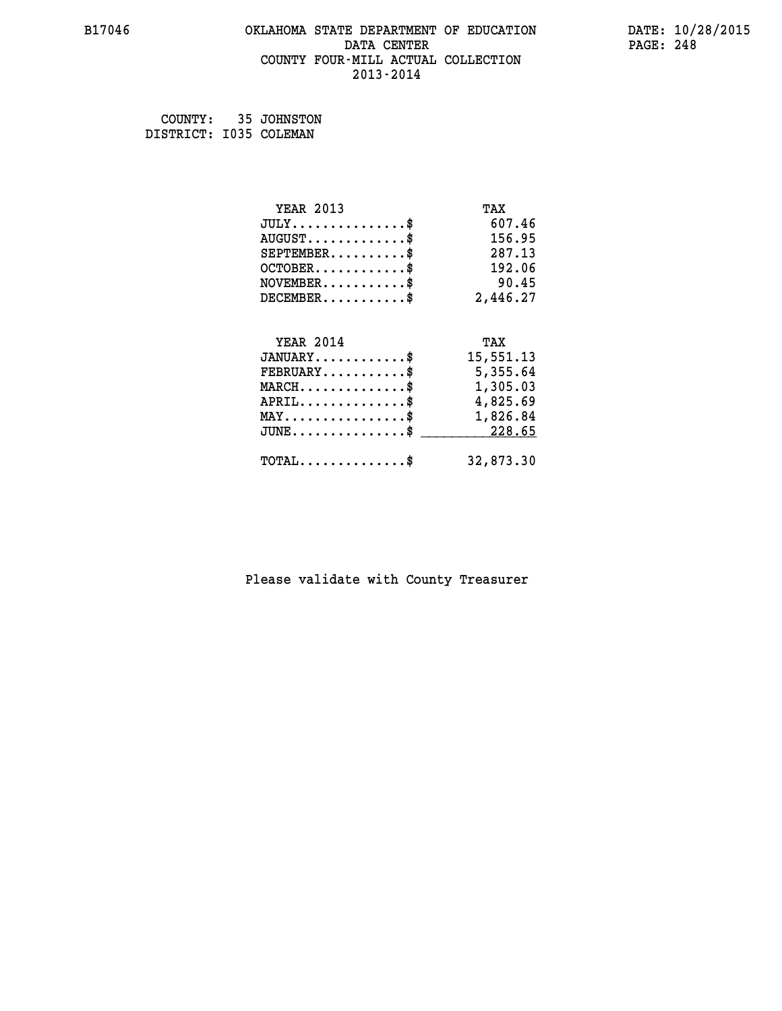#### **B17046 OKLAHOMA STATE DEPARTMENT OF EDUCATION DATE: 10/28/2015 DATA CENTER PAGE: 248 COUNTY FOUR-MILL ACTUAL COLLECTION 2013-2014**

 **COUNTY: 35 JOHNSTON DISTRICT: I035 COLEMAN**

> **YEAR 2013 TAX JULY...............\$ 607.46 AUGUST.............\$ 156.95 SEPTEMBER..........\$ 287.13 OCTOBER............\$ 192.06 NOVEMBER...........\$** 90.45  **DECEMBER...........\$ 2,446.27 YEAR 2014 TAX JANUARY............\$ 15,551.13 FEBRUARY...........\$ 5,355.64 MARCH..............\$ 1,305.03 APRIL..............\$ 4,825.69 MAY................\$ 1,826.84 JUNE...............\$ 228.65 \_\_\_\_\_\_\_\_\_\_\_\_\_\_\_ TOTAL..............\$ 32,873.30**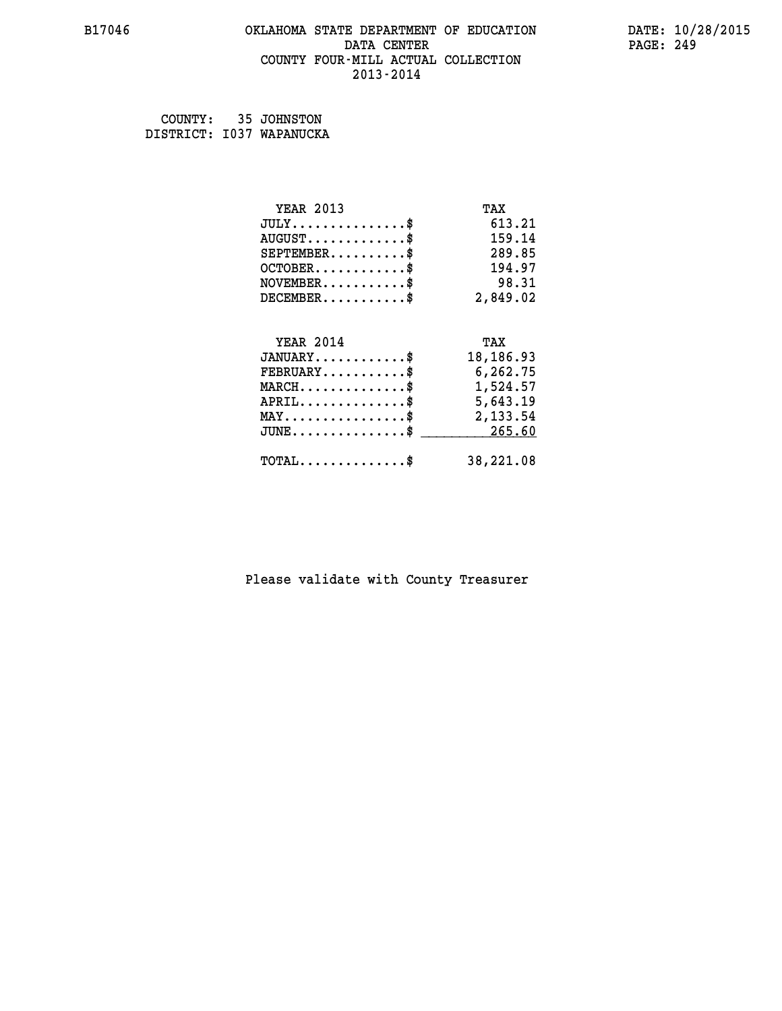## **B17046 OKLAHOMA STATE DEPARTMENT OF EDUCATION DATE: 10/28/2015 DATA CENTER** PAGE: 249  **COUNTY FOUR-MILL ACTUAL COLLECTION 2013-2014**

 **COUNTY: 35 JOHNSTON DISTRICT: I037 WAPANUCKA**

| <b>YEAR 2013</b>                                 | TAX       |
|--------------------------------------------------|-----------|
| $JULY$ \$                                        | 613.21    |
| $AUGUST$ \$                                      | 159.14    |
| $SEPTEMBER$ \$                                   | 289.85    |
| $OCTOBER$ \$                                     | 194.97    |
| $NOVEMBER$ \$                                    | 98.31     |
| $DECEMBER$ \$                                    | 2,849.02  |
|                                                  |           |
| <b>YEAR 2014</b>                                 | TAX       |
| $JANUARY$ \$                                     | 18,186.93 |
| $FEBRUARY$                                       | 6,262.75  |
| $\texttt{MARCH}\ldots\ldots\ldots\ldots\text{*}$ | 1,524.57  |
| $APRIL \ldots \ldots \ldots \ldots$              | 5,643.19  |
| $\texttt{MAX} \dots \dots \dots \dots \dots \$   | 2,133.54  |
| $\texttt{JUNE} \dots \dots \dots \dots \dots \$$ | 265.60    |
| $\texttt{TOTAL} \dots \dots \dots \dots \$       | 38,221.08 |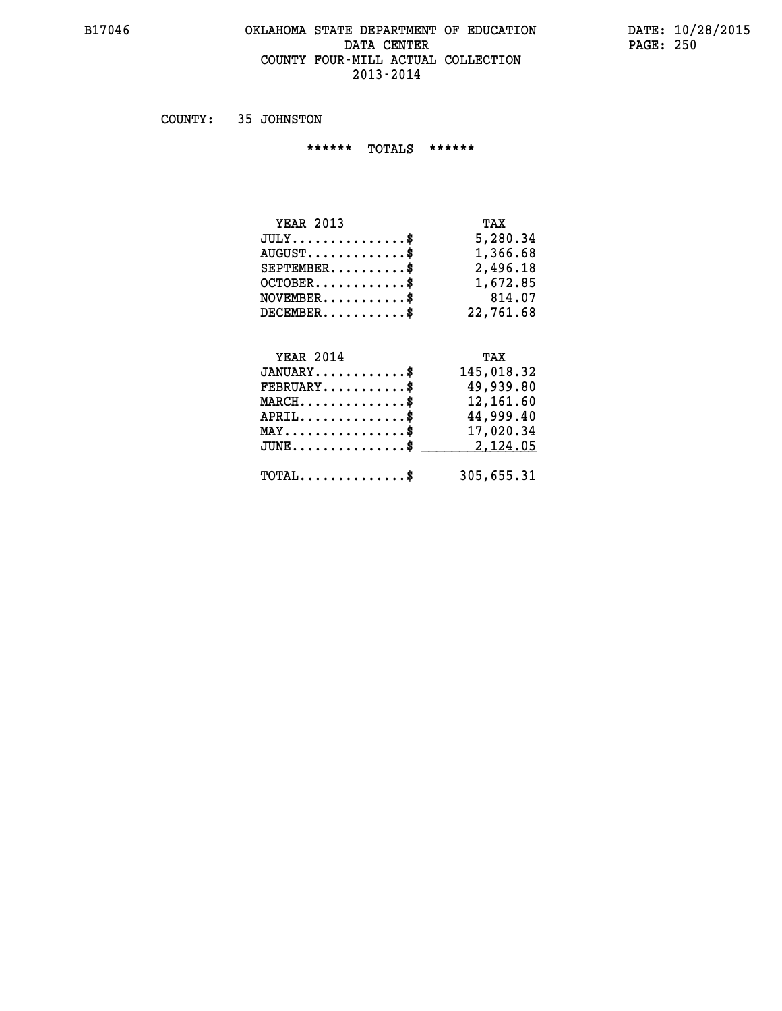#### **B17046 OKLAHOMA STATE DEPARTMENT OF EDUCATION DATE: 10/28/2015 DATA CENTER PAGE: 250 COUNTY FOUR-MILL ACTUAL COLLECTION 2013-2014**

 **COUNTY: 35 JOHNSTON**

 **\*\*\*\*\*\* TOTALS \*\*\*\*\*\***

| <b>YEAR 2013</b> | TAX       |
|------------------|-----------|
| $JULY$           | 5,280.34  |
| $AUGUST$ $\$\$   | 1,366.68  |
| $SEPTEMBER$      | 2,496.18  |
| $OCTOBER$ \$     | 1,672.85  |
| $NOVEMBER$ \$    | 814.07    |
| $DECEMBER$       | 22,761.68 |

## **YEAR 2014 TAX JANUARY............\$ 145,018.32 FEBRUARY...........\$ 49,939.80 MARCH..............\$ 12,161.60 APRIL..............\$ 44,999.40 MAY................\$ 17,020.34 JUNE................\$** 2,124.05

 **TOTAL..............\$ 305,655.31**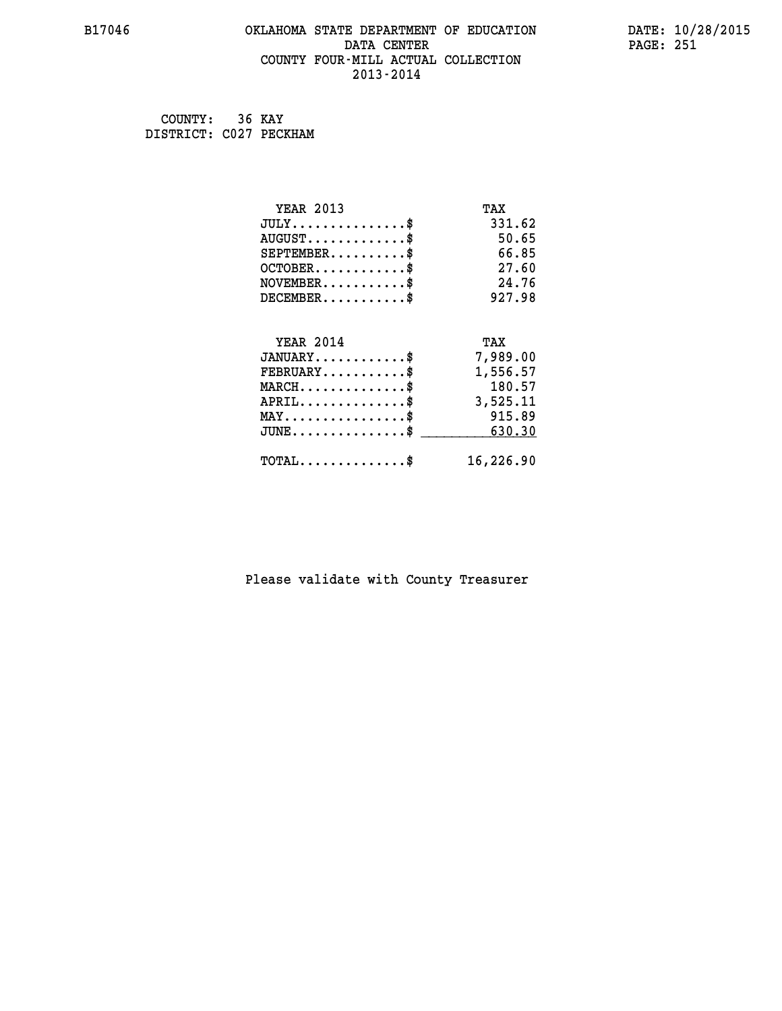## **B17046 OKLAHOMA STATE DEPARTMENT OF EDUCATION DATE: 10/28/2015 DATA CENTER** PAGE: 251  **COUNTY FOUR-MILL ACTUAL COLLECTION 2013-2014**

 **COUNTY: 36 KAY DISTRICT: C027 PECKHAM**

| <b>YEAR 2013</b>                    | TAX       |
|-------------------------------------|-----------|
| $JULY$ \$                           | 331.62    |
| $AUGUST$ \$                         | 50.65     |
| $SEPTEMBER$ \$                      | 66.85     |
| $OCTOBER$ \$                        | 27.60     |
| $NOVEMBER$ \$                       | 24.76     |
| $DECEMBER$ \$                       | 927.98    |
|                                     |           |
| <b>YEAR 2014</b>                    | TAX       |
| $JANUARY$ \$                        | 7,989.00  |
| $FEBRUARY$                          | 1,556.57  |
| $MARCH$ \$                          | 180.57    |
| $APRIL$ \$                          | 3,525.11  |
| $MAX \dots \dots \dots \dots \dots$ | 915.89    |
| $JUNE$ \$                           | 630.30    |
| $TOTAL$ \$                          | 16,226.90 |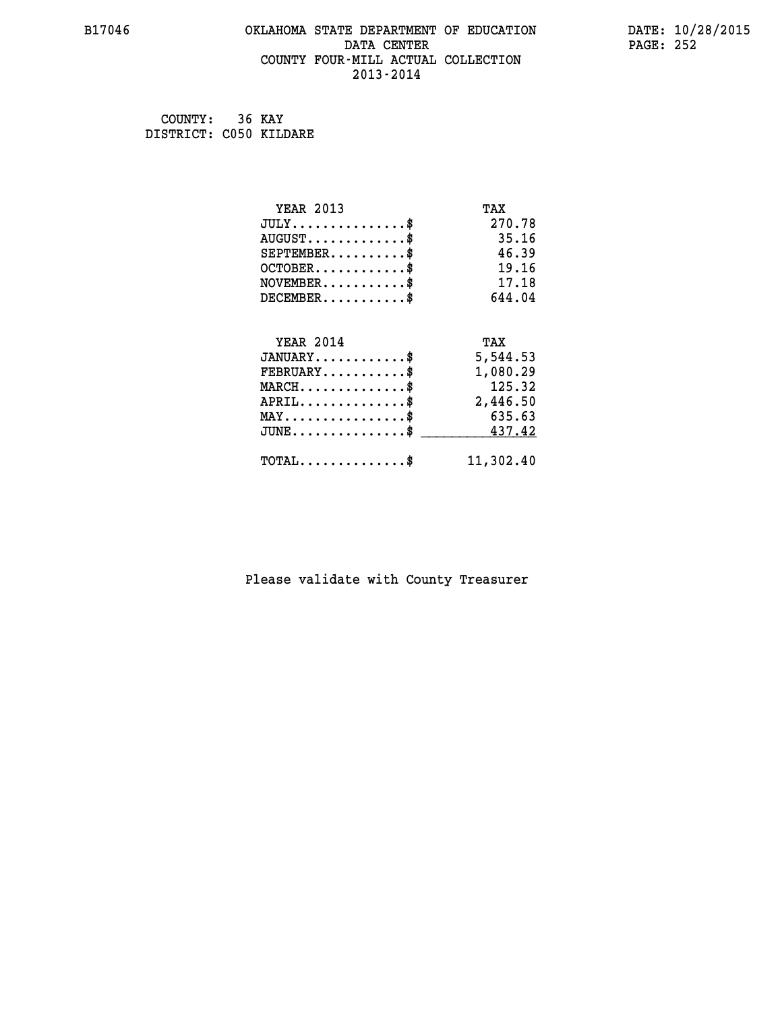## **B17046 OKLAHOMA STATE DEPARTMENT OF EDUCATION DATE: 10/28/2015 DATA CENTER** PAGE: 252  **COUNTY FOUR-MILL ACTUAL COLLECTION 2013-2014**

 **COUNTY: 36 KAY DISTRICT: C050 KILDARE**

| <b>YEAR 2013</b>                           | TAX       |
|--------------------------------------------|-----------|
| $JULY$ \$                                  | 270.78    |
| $AUGUST$ \$                                | 35.16     |
| $SEPTEMENT.$ \$                            | 46.39     |
| $OCTOBER$ \$                               | 19.16     |
| $NOVEMBER$ \$                              | 17.18     |
| $DECEMBER$ \$                              | 644.04    |
|                                            |           |
| <b>YEAR 2014</b>                           | TAX       |
| $JANUARY$ \$                               | 5,544.53  |
| $FEBRUARY$                                 | 1,080.29  |
| $MARCH$ \$                                 | 125.32    |
| $APRIL$ \$                                 | 2,446.50  |
| $MAX \dots \dots \dots \dots \$            | 635.63    |
| $JUNE$ \$                                  | 437.42    |
| $\texttt{TOTAL} \dots \dots \dots \dots \$ | 11,302.40 |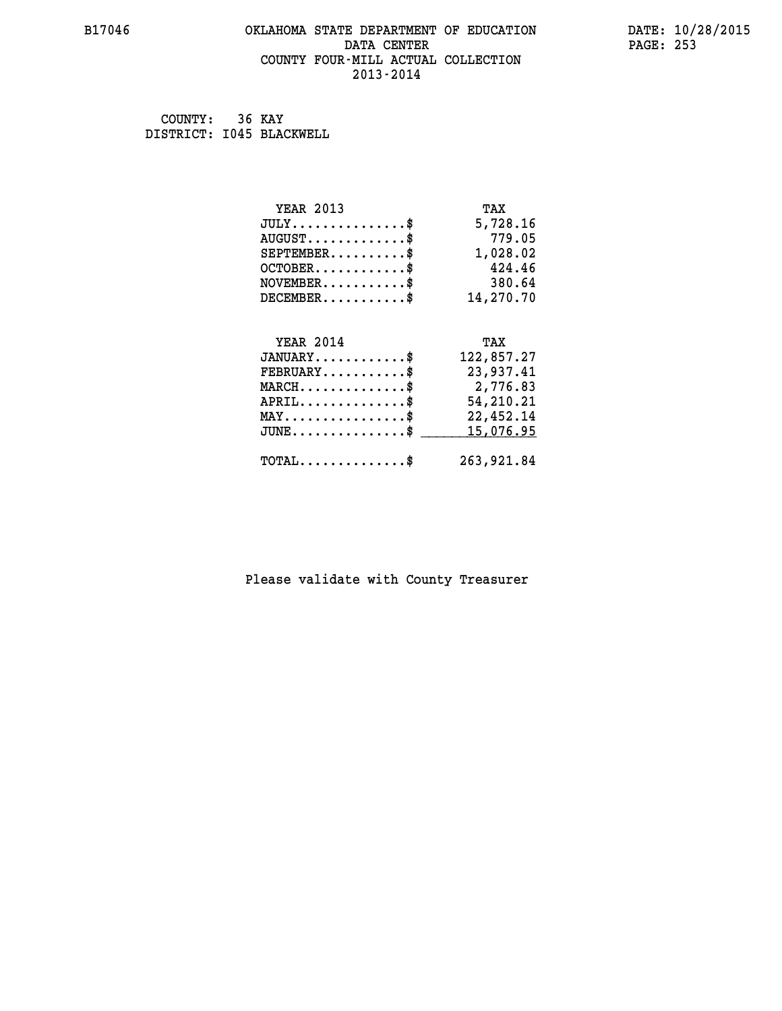## **B17046 OKLAHOMA STATE DEPARTMENT OF EDUCATION DATE: 10/28/2015** DATA CENTER PAGE: 253  **COUNTY FOUR-MILL ACTUAL COLLECTION 2013-2014**

 **COUNTY: 36 KAY DISTRICT: I045 BLACKWELL**

| <b>YEAR 2013</b>                               | TAX        |
|------------------------------------------------|------------|
| $JULY$ \$                                      | 5,728.16   |
| $AUGUST$ \$                                    | 779.05     |
| $SEPTEMBER$ \$                                 | 1,028.02   |
| $OCTOBER$ \$                                   | 424.46     |
| $NOVEMBER$ \$                                  | 380.64     |
| $DECEMBER$ \$                                  | 14,270.70  |
|                                                |            |
| <b>YEAR 2014</b>                               | TAX        |
| $JANUARY$ \$                                   | 122,857.27 |
| $FEBRUARY$                                     | 23,937.41  |
| $MARCH$ \$                                     | 2,776.83   |
|                                                |            |
| $APRIL$ \$                                     | 54,210.21  |
| $\texttt{MAX} \dots \dots \dots \dots \dots \$ | 22,452.14  |
| $JUNE$ \$                                      | 15,076.95  |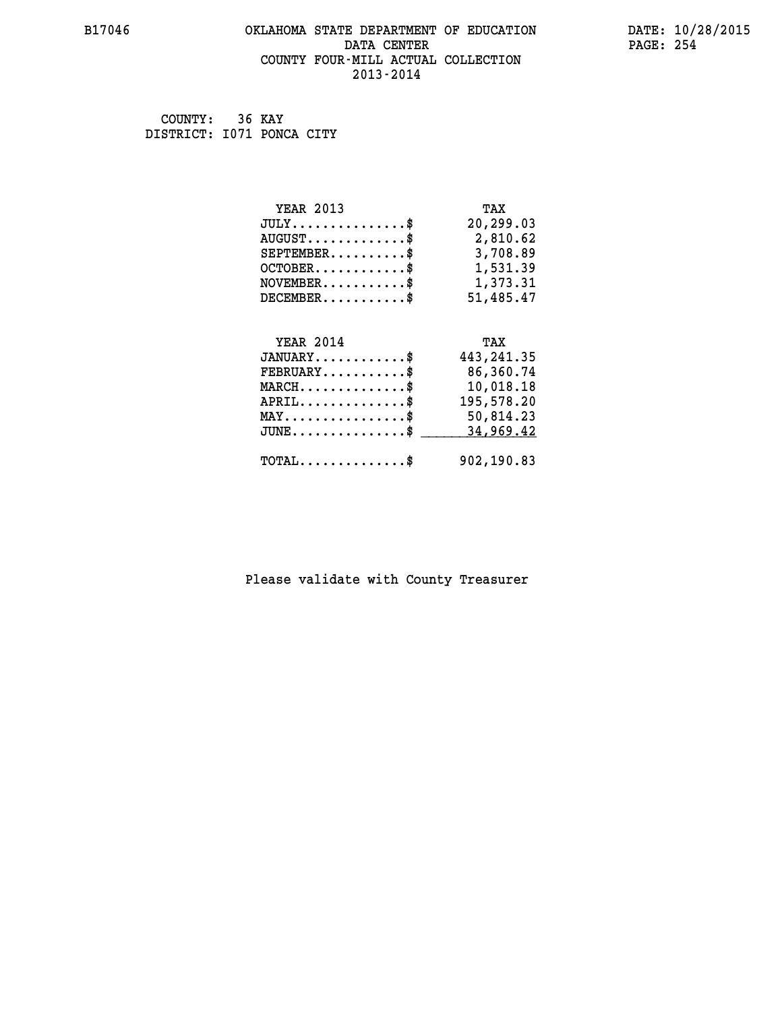#### **B17046 OKLAHOMA STATE DEPARTMENT OF EDUCATION DATE: 10/28/2015 DATA CENTER** PAGE: 254  **COUNTY FOUR-MILL ACTUAL COLLECTION 2013-2014**

 **COUNTY: 36 KAY DISTRICT: I071 PONCA CITY**

| <b>YEAR 2013</b>                                  | TAX         |
|---------------------------------------------------|-------------|
| $JULY$ \$                                         | 20,299.03   |
| $AUGUST$ \$                                       | 2,810.62    |
| $SEPTEMBER$ \$                                    | 3,708.89    |
| $OCTOBER$ \$                                      | 1,531.39    |
| $NOVEMBER$ \$                                     | 1,373.31    |
| $DECEMBER$ \$                                     | 51,485.47   |
|                                                   |             |
| <b>YEAR 2014</b>                                  | TAX         |
| $JANUARY$ \$                                      | 443, 241.35 |
| $FEBRUARY$                                        | 86,360.74   |
| $MARCH$ \$                                        | 10,018.18   |
| $APRIL$ \$                                        | 195,578.20  |
| $\texttt{MAX} \dots \dots \dots \dots \texttt{*}$ | 50,814.23   |
| $JUNE \ldots \ldots \ldots \ldots \ldots$ \$      | 34,969.42   |
| $\texttt{TOTAL} \dots \dots \dots \dots \$        | 902,190.83  |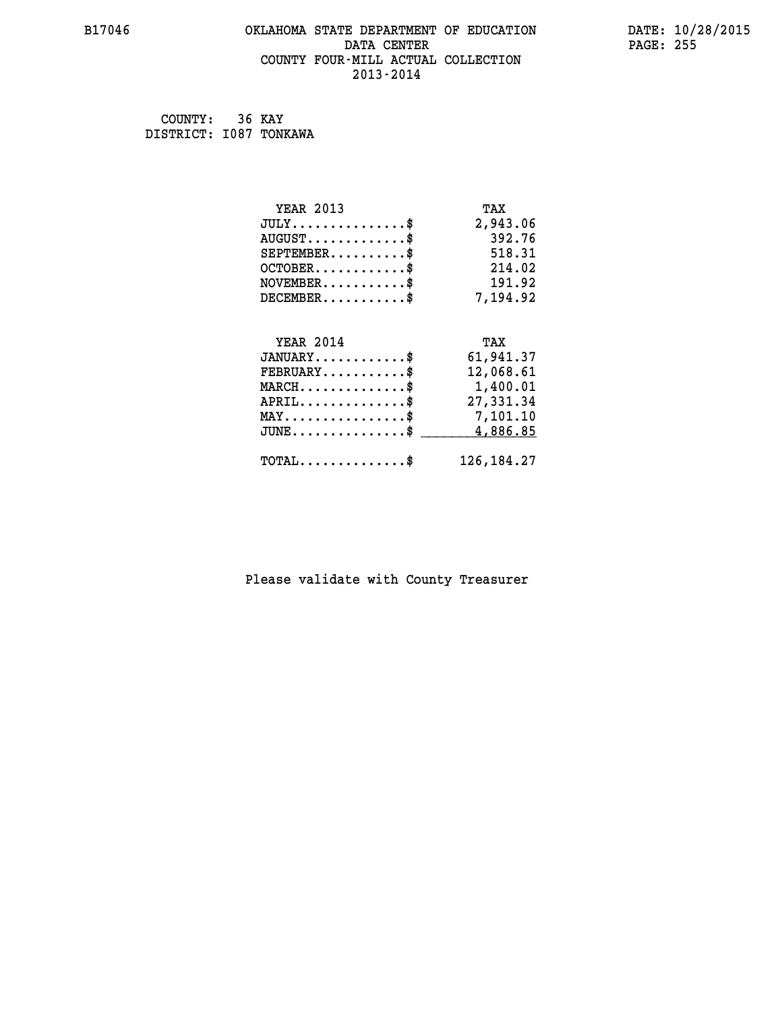#### **B17046 OKLAHOMA STATE DEPARTMENT OF EDUCATION DATE: 10/28/2015 DATA CENTER** PAGE: 255  **COUNTY FOUR-MILL ACTUAL COLLECTION 2013-2014**

 **COUNTY: 36 KAY DISTRICT: I087 TONKAWA**

| <b>YEAR 2013</b>                               | TAX          |
|------------------------------------------------|--------------|
| $JULY$ \$                                      | 2,943.06     |
| $AUGUST$ \$                                    | 392.76       |
| $SEPTEMBER$ \$                                 | 518.31       |
| $OCTOBER$ \$                                   | 214.02       |
| $NOVEMBER$ \$                                  | 191.92       |
| $DECEMBER$ \$                                  | 7,194.92     |
|                                                |              |
| <b>YEAR 2014</b>                               | TAX          |
| $JANUARY$ \$                                   | 61,941.37    |
| $FEBRUARY$                                     | 12,068.61    |
| $MARCH$ \$                                     | 1,400.01     |
| $APRIL$ \$                                     | 27,331.34    |
| $\texttt{MAX} \dots \dots \dots \dots \dots \$ | 7,101.10     |
| $JUNE$                                         | 4,886.85     |
| $\texttt{TOTAL} \dots \dots \dots \dots \$     | 126, 184. 27 |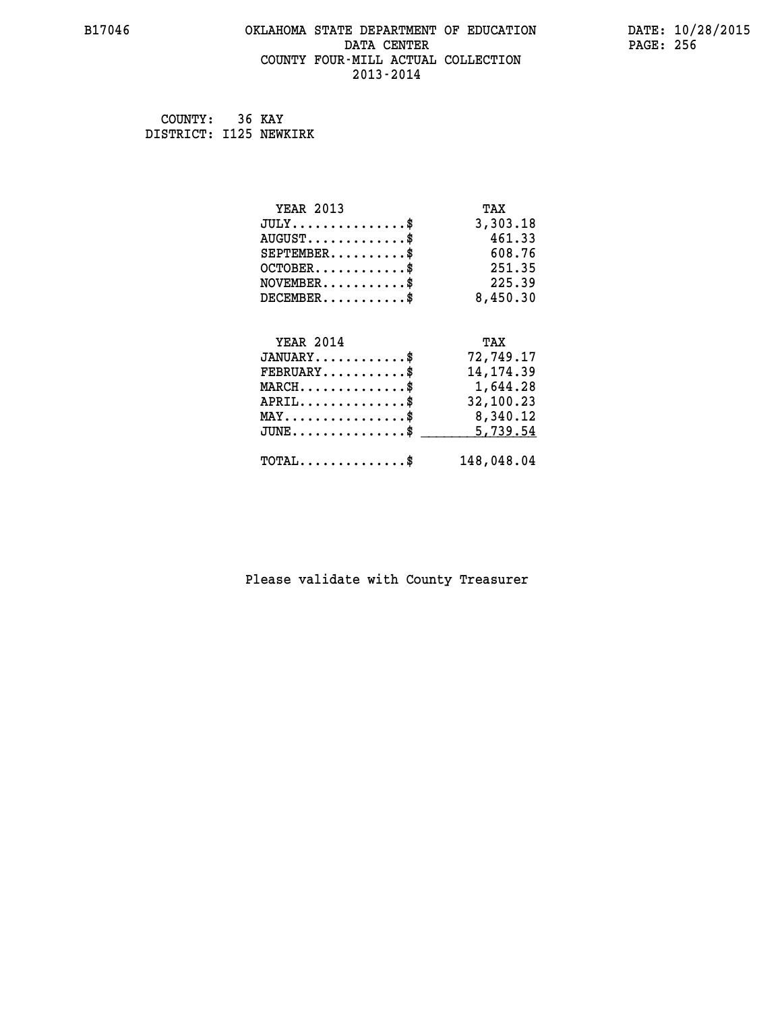#### **B17046 OKLAHOMA STATE DEPARTMENT OF EDUCATION DATE: 10/28/2015 DATA CENTER** PAGE: 256  **COUNTY FOUR-MILL ACTUAL COLLECTION 2013-2014**

 **COUNTY: 36 KAY DISTRICT: I125 NEWKIRK**

| <b>YEAR 2013</b>                               | TAX        |
|------------------------------------------------|------------|
| $JULY$ \$                                      | 3,303.18   |
| $AUGUST$ \$                                    | 461.33     |
| $SEPTEMBER$ \$                                 | 608.76     |
| $OCTOBER$ \$                                   | 251.35     |
| $NOVEMBER$ \$                                  | 225.39     |
| $DECEMBER$ \$                                  | 8,450.30   |
|                                                |            |
| <b>YEAR 2014</b>                               | TAX        |
| $JANUARY$ \$                                   | 72,749.17  |
| $FEBRUARY$                                     | 14, 174.39 |
| $MARCH$ \$                                     | 1,644.28   |
| $APRIL$ \$                                     | 32,100.23  |
| $\texttt{MAX} \dots \dots \dots \dots \dots \$ | 8,340.12   |
| $JUNE \ldots \ldots \ldots \ldots \ldots$ \$   | 5,739.54   |
| $\texttt{TOTAL} \dots \dots \dots \dots \$     | 148,048.04 |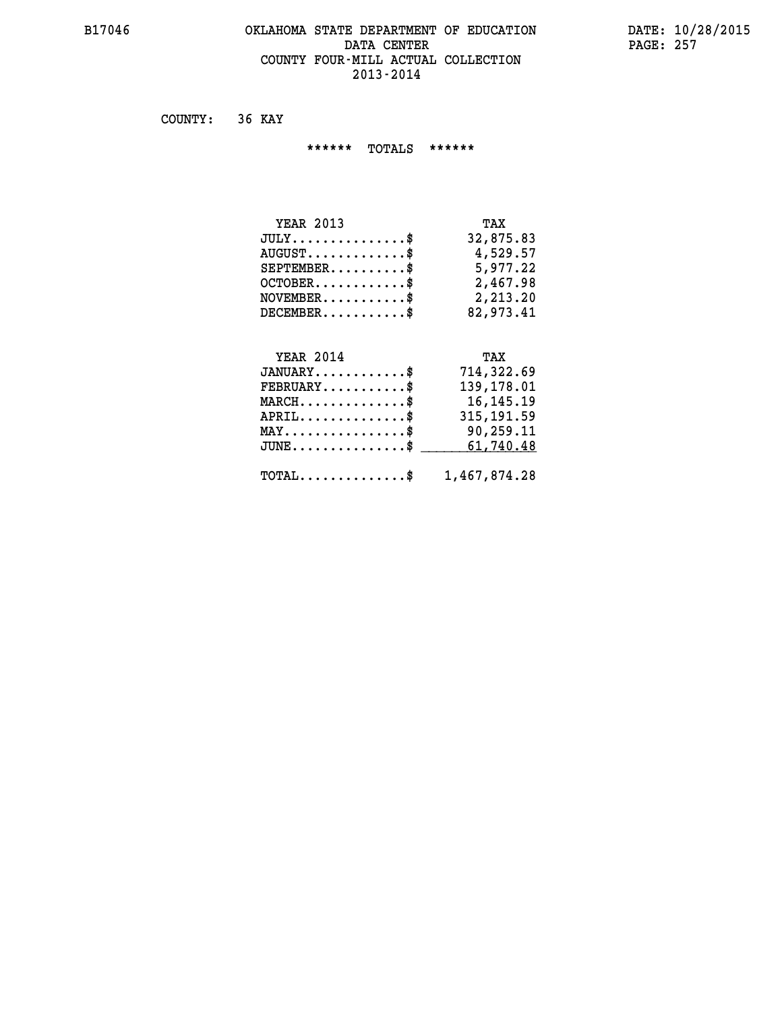#### **B17046 OKLAHOMA STATE DEPARTMENT OF EDUCATION DATE: 10/28/2015 DATA CENTER** PAGE: 257  **COUNTY FOUR-MILL ACTUAL COLLECTION 2013-2014**

 **COUNTY: 36 KAY**

 **\*\*\*\*\*\* TOTALS \*\*\*\*\*\***

| <b>YEAR 2013</b>                 | TAX       |
|----------------------------------|-----------|
| $JULY$                           | 32,875.83 |
| $AUGUST \ldots \ldots \ldots$ \$ | 4,529.57  |
| $SEPTEMBER$ $\$                  | 5,977.22  |
| $OCTOBER$ \$                     | 2,467.98  |
| $NOVEMBER.$ $\frac{\$}{}$        | 2,213.20  |
| $DECEMBER$ \$                    | 82,973.41 |

#### **YEAR 2014 TAX JANUARY............\$ 714,322.69 FEBRUARY...........\$ 139,178.01**

| $\texttt{MARCH}\ldots\ldots\ldots\ldots\$               | 16,145.19  |
|---------------------------------------------------------|------------|
| $APRIL$ \$                                              | 315,191.59 |
| $\texttt{MAX} \dots \dots \dots \dots \dots \$          | 90,259.11  |
| $JUNE \ldots \ldots \ldots \ldots$ \$ 61,740.48         |            |
|                                                         |            |
| $\texttt{TOTAL} \dots \dots \dots \dots \$ 1,467,874.28 |            |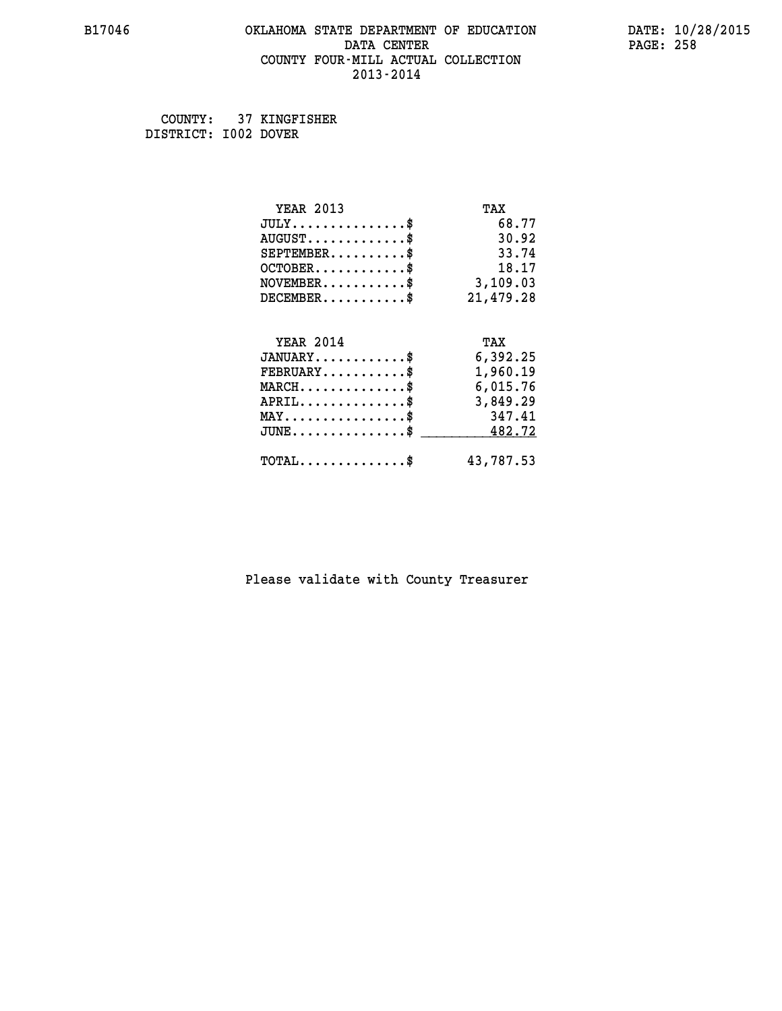#### **B17046 OKLAHOMA STATE DEPARTMENT OF EDUCATION DATE: 10/28/2015 DATA CENTER** PAGE: 258  **COUNTY FOUR-MILL ACTUAL COLLECTION 2013-2014**

 **COUNTY: 37 KINGFISHER DISTRICT: I002 DOVER**

| <b>YEAR 2013</b>                                 | TAX       |
|--------------------------------------------------|-----------|
| $JULY$ \$                                        | 68.77     |
| $AUGUST$ \$                                      | 30.92     |
| $SEPTEMBER$ \$                                   | 33.74     |
| $OCTOBER$ \$                                     | 18.17     |
| $\texttt{NOVEMBER} \dots \dots \dots \$          | 3,109.03  |
| $DECEMBER$ \$                                    | 21,479.28 |
|                                                  |           |
| <b>YEAR 2014</b>                                 | TAX       |
| $JANUARY$ \$                                     | 6,392.25  |
| $FEBRUARY$                                       | 1,960.19  |
| $\texttt{MARCH}\ldots\ldots\ldots\ldots\text{*}$ | 6,015.76  |
| $APRIL \ldots \ldots \ldots \ldots \$            | 3,849.29  |
| $\texttt{MAX} \dots \dots \dots \dots \dots \$   | 347.41    |
| $\texttt{JUNE} \dots \dots \dots \dots \dots \$$ | 482.72    |
| $\texttt{TOTAL} \dots \dots \dots \dots \$       | 43,787.53 |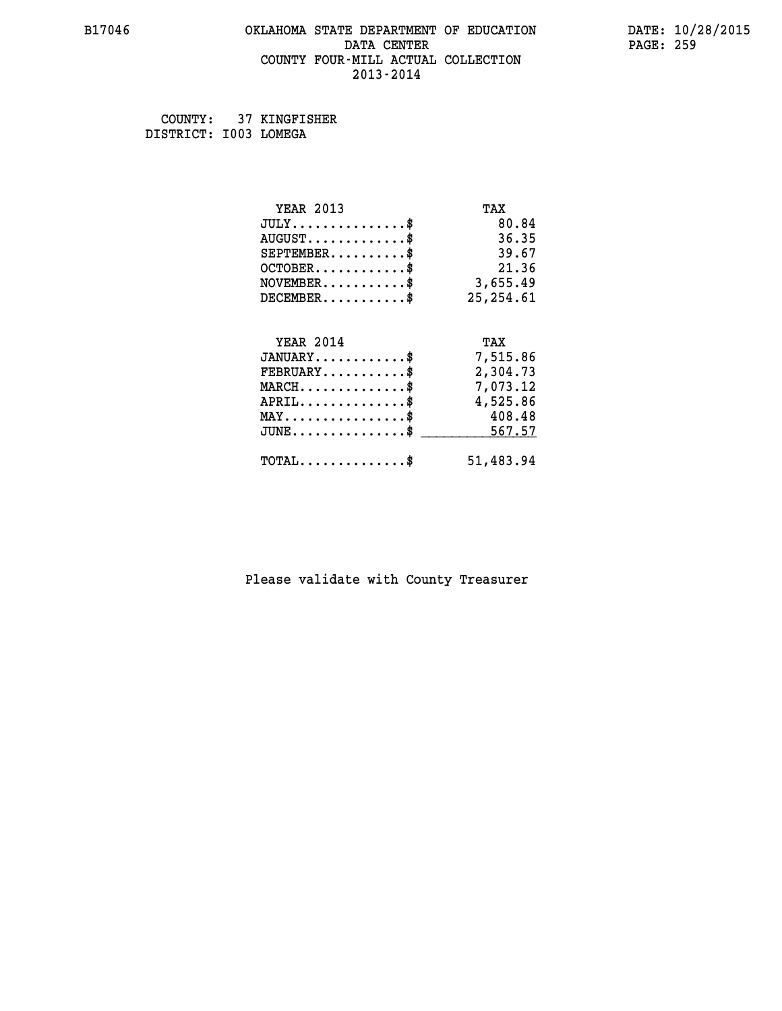#### **B17046 OKLAHOMA STATE DEPARTMENT OF EDUCATION DATE: 10/28/2015 DATA CENTER** PAGE: 259  **COUNTY FOUR-MILL ACTUAL COLLECTION 2013-2014**

 **COUNTY: 37 KINGFISHER DISTRICT: I003 LOMEGA**

| <b>YEAR 2013</b>                                                          | TAX        |
|---------------------------------------------------------------------------|------------|
| $JULY$ \$                                                                 | 80.84      |
| $AUGUST$ \$                                                               | 36.35      |
| $SEPTEMENT.$ \$                                                           | 39.67      |
| $OCTOBER$ \$                                                              | 21.36      |
| $\verb NOVEMBER , \verb , \verb , \verb , \verb , \verb , \verb , \verb $ | 3,655.49   |
| $DECEMBER$ \$                                                             | 25, 254.61 |
|                                                                           |            |
| <b>YEAR 2014</b>                                                          | TAX        |
| $JANUARY$ \$                                                              | 7,515.86   |
| $FEBRUARY$                                                                | 2,304.73   |
| $MARCH$ \$                                                                | 7,073.12   |
| $APRIL$ \$                                                                | 4,525.86   |
| $MAX \dots \dots \dots \dots \dots$                                       | 408.48     |
| $JUNE \ldots \ldots \ldots \ldots \bullet$                                | 567.57     |
| $\texttt{TOTAL} \dots \dots \dots \dots \$                                | 51,483.94  |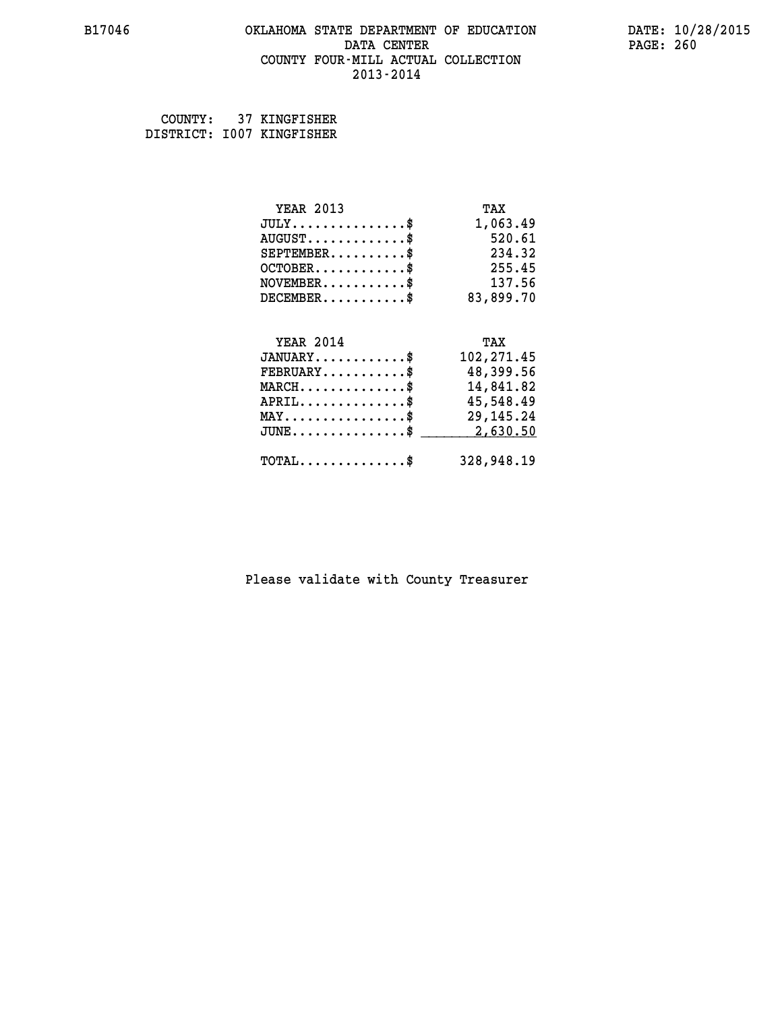#### **B17046 OKLAHOMA STATE DEPARTMENT OF EDUCATION DATE: 10/28/2015 DATA CENTER** PAGE: 260  **COUNTY FOUR-MILL ACTUAL COLLECTION 2013-2014**

 **COUNTY: 37 KINGFISHER DISTRICT: I007 KINGFISHER**

| <b>YEAR 2013</b>                               | TAX         |
|------------------------------------------------|-------------|
| $JULY$ \$                                      | 1,063.49    |
| $AUGUST$ \$                                    | 520.61      |
| $SEPTEMBER$ \$                                 | 234.32      |
| $OCTOBER$ \$                                   | 255.45      |
| $\texttt{NOVEMBER} \dots \dots \dots \$        | 137.56      |
| $DECEMBER$ \$                                  | 83,899.70   |
|                                                |             |
| <b>YEAR 2014</b>                               | TAX         |
| $JANUARY$                                      | 102, 271.45 |
| $FEBRUARY$                                     | 48,399.56   |
| $MARCH$ \$                                     | 14,841.82   |
| $APRIL$ \$                                     | 45,548.49   |
| $\texttt{MAX} \dots \dots \dots \dots \dots \$ | 29, 145. 24 |
| $JUNE$ \$                                      | 2,630.50    |
| $\texttt{TOTAL} \dots \dots \dots \dots \$     | 328,948.19  |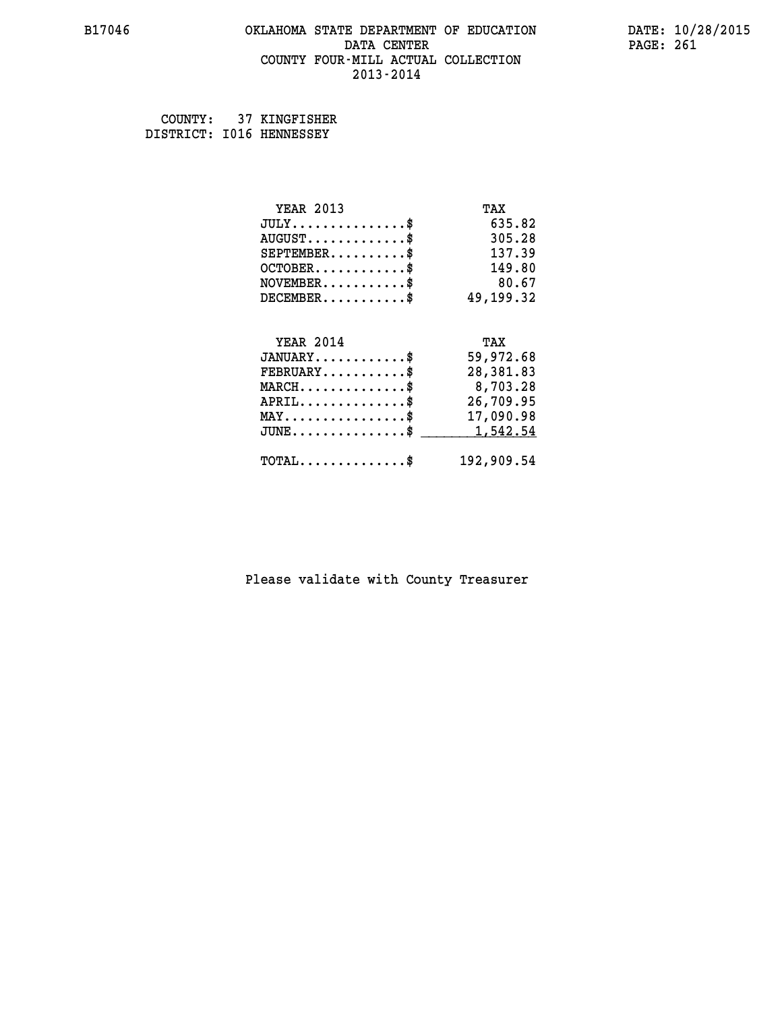# **B17046 OKLAHOMA STATE DEPARTMENT OF EDUCATION DATE: 10/28/2015 DATA CENTER** PAGE: 261  **COUNTY FOUR-MILL ACTUAL COLLECTION**

 **2013-2014**

 **COUNTY: 37 KINGFISHER DISTRICT: I016 HENNESSEY**

| <b>YEAR 2013</b>                                | TAX        |
|-------------------------------------------------|------------|
| $JULY$ \$                                       | 635.82     |
| $AUGUST$ \$                                     | 305.28     |
| $SEPTEMENT.$ \$                                 | 137.39     |
| $OCTOBER$ \$                                    | 149.80     |
| $NOVEMBER$ \$                                   | 80.67      |
| $DECEMBER$ \$                                   | 49,199.32  |
|                                                 |            |
| <b>YEAR 2014</b>                                | TAX        |
| $JANUARY$ \$                                    | 59,972.68  |
| $FEBRUARY$                                      | 28,381.83  |
| $MARCH$ \$                                      | 8,703.28   |
| $APRIL$ \$                                      | 26,709.95  |
| $\texttt{MAX} \dots \dots \dots \dots \dots \$$ | 17,090.98  |
| $JUNE$ \$                                       | 1,542.54   |
| $TOTAL$ \$                                      | 192,909.54 |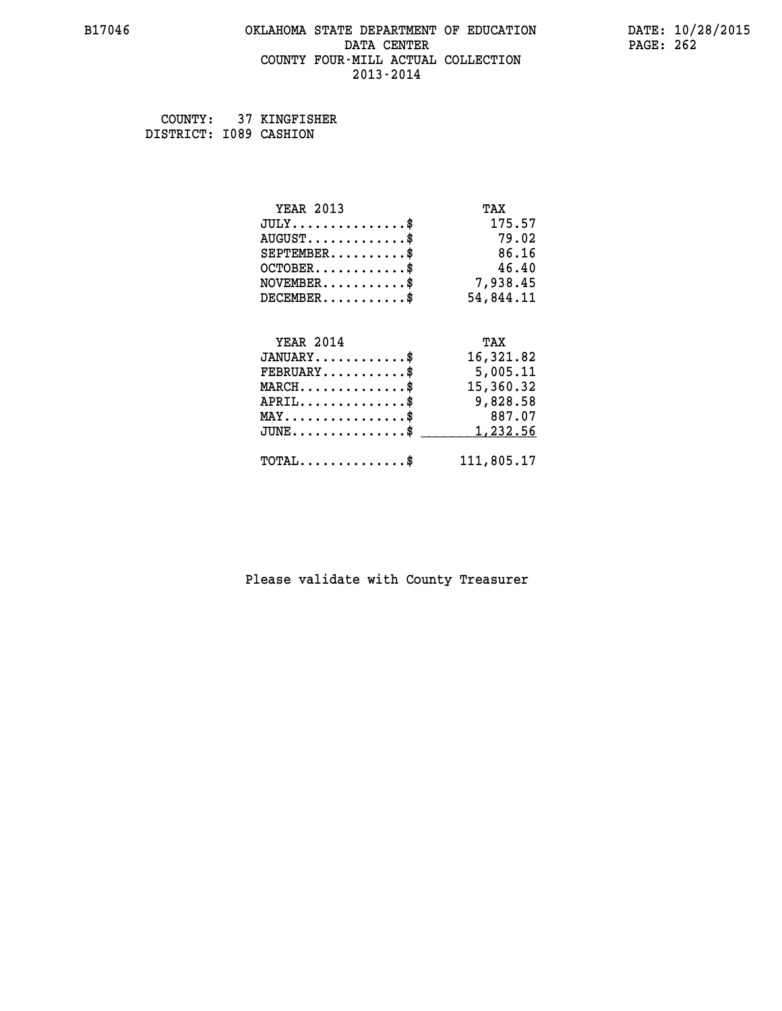#### **B17046 OKLAHOMA STATE DEPARTMENT OF EDUCATION DATE: 10/28/2015 DATA CENTER** PAGE: 262  **COUNTY FOUR-MILL ACTUAL COLLECTION 2013-2014**

 **COUNTY: 37 KINGFISHER DISTRICT: I089 CASHION**

| <b>YEAR 2013</b>                           | TAX        |
|--------------------------------------------|------------|
| $JULY$ \$                                  | 175.57     |
| $AUGUST$ \$                                | 79.02      |
| $SEPTEMENT.$ \$                            | 86.16      |
| $OCTOBER$ \$                               | 46.40      |
| $NOVEMBER$ \$                              | 7,938.45   |
| $DECEMBER$ \$                              | 54,844.11  |
|                                            |            |
| <b>YEAR 2014</b>                           | TAX        |
| $JANUARY$ \$                               | 16,321.82  |
| $FEBRUARY$                                 | 5,005.11   |
| $MARCH$ \$                                 | 15,360.32  |
| $APRIL$ \$                                 | 9,828.58   |
| $MAX \dots \dots \dots \dots \dots$        | 887.07     |
| $JUNE$                                     | 1,232.56   |
| $\texttt{TOTAL} \dots \dots \dots \dots \$ | 111,805.17 |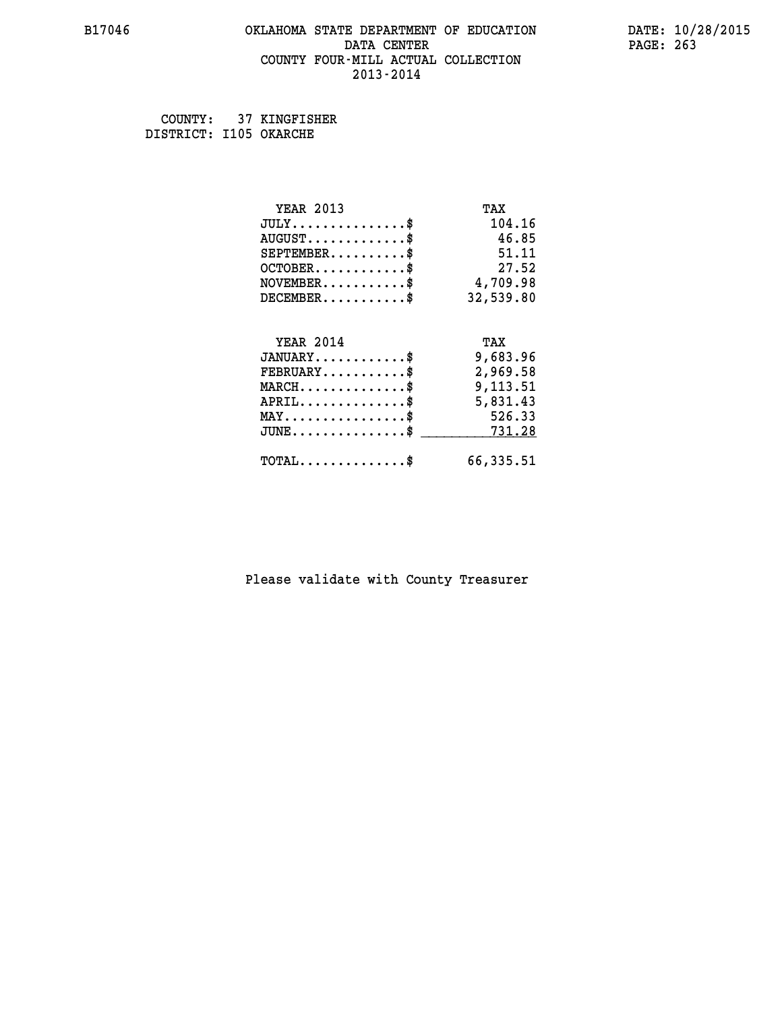#### **B17046 OKLAHOMA STATE DEPARTMENT OF EDUCATION DATE: 10/28/2015 DATA CENTER** PAGE: 263  **COUNTY FOUR-MILL ACTUAL COLLECTION 2013-2014**

 **COUNTY: 37 KINGFISHER DISTRICT: I105 OKARCHE**

| <b>YEAR 2013</b>                               | TAX       |
|------------------------------------------------|-----------|
| $JULY$ \$                                      | 104.16    |
| $AUGUST$ \$                                    | 46.85     |
| $SEPTEMENT.$ \$                                | 51.11     |
| $OCTOBER$ \$                                   | 27.52     |
| $\texttt{NOVEMBER} \dots \dots \dots \$        | 4,709.98  |
| $DECEMBER$ \$                                  | 32,539.80 |
|                                                |           |
| <b>YEAR 2014</b>                               | TAX       |
| $JANUARY$                                      | 9,683.96  |
| $FEBRUARY$ \$                                  | 2,969.58  |
| $MARCH$ \$                                     | 9,113.51  |
| $APRIL \ldots \ldots \ldots \ldots \$          | 5,831.43  |
| $\texttt{MAX} \dots \dots \dots \dots \dots \$ | 526.33    |
| $JUNE$ \$                                      | 731.28    |
| $\texttt{TOTAL} \dots \dots \dots \dots$ \$    | 66,335.51 |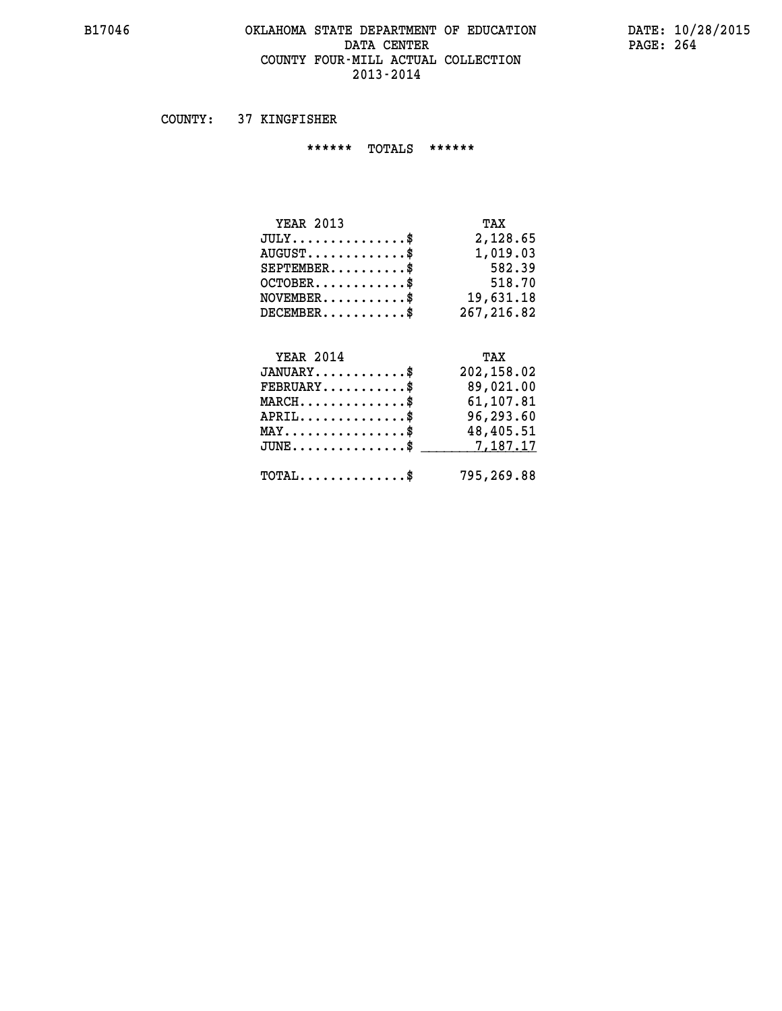#### **B17046 OKLAHOMA STATE DEPARTMENT OF EDUCATION DATE: 10/28/2015** DATA CENTER PAGE: 264  **COUNTY FOUR-MILL ACTUAL COLLECTION 2013-2014**

 **COUNTY: 37 KINGFISHER**

 **\*\*\*\*\*\* TOTALS \*\*\*\*\*\***

| <b>YEAR 2013</b> | TAX         |
|------------------|-------------|
| $JULY$ \$        | 2,128.65    |
| $AUGUST$ \$      | 1,019.03    |
| $SEPTEMBER$ \$   | 582.39      |
| $OCTOBER$ \$     | 518.70      |
| $NOVEMBER$ \$    | 19,631.18   |
| $DECEMBER$ \$    | 267, 216.82 |

# **YEAR 2014 TAX JANUARY............\$ 202,158.02 FEBRUARY...........\$ 89,021.00 MARCH..............\$ 61,107.81 APRIL..............\$ 96,293.60 MAY................\$ 48,405.51 JUNE................\$** \_\_\_\_\_\_\_\_\_\_7,187.17

 **TOTAL..............\$ 795,269.88**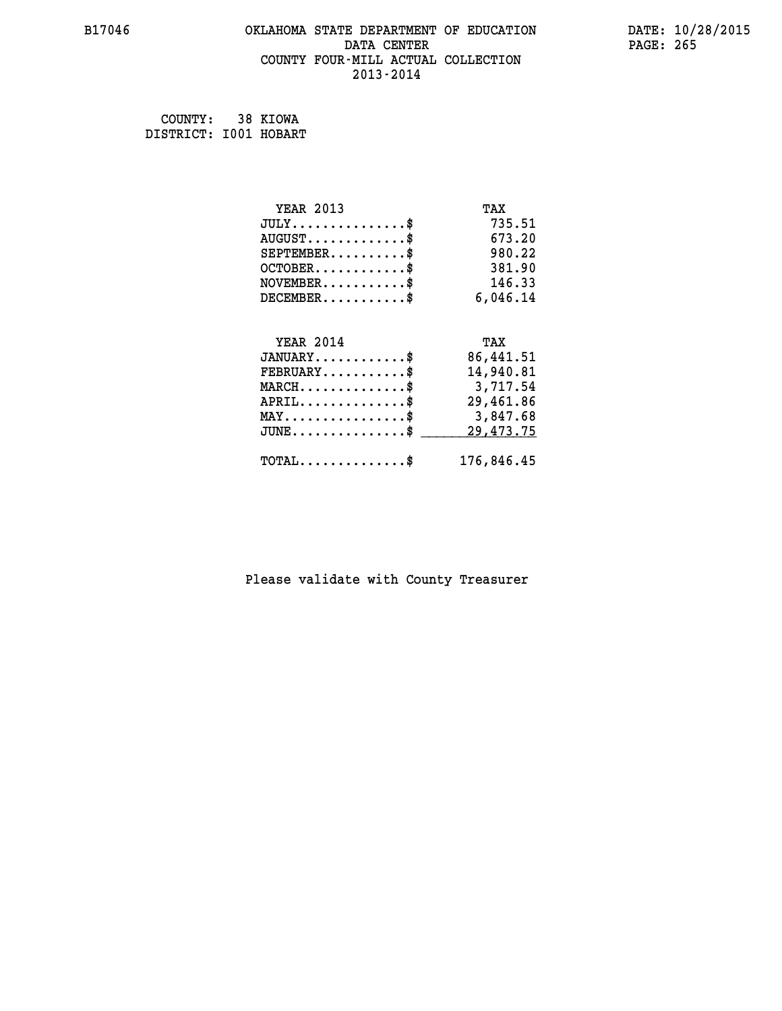#### **B17046 OKLAHOMA STATE DEPARTMENT OF EDUCATION DATE: 10/28/2015 DATA CENTER** PAGE: 265  **COUNTY FOUR-MILL ACTUAL COLLECTION 2013-2014**

 **COUNTY: 38 KIOWA DISTRICT: I001 HOBART**

| <b>YEAR 2013</b>                                  | TAX       |
|---------------------------------------------------|-----------|
| $JULY$ \$                                         | 735.51    |
| $AUGUST$ \$                                       | 673.20    |
| $SEPTEMBER$                                       | 980.22    |
| $OCTOBER$ \$                                      | 381.90    |
| $\texttt{NOVEMBER} \dots \dots \dots \$           | 146.33    |
| $DECEMBER$ \$                                     | 6,046.14  |
|                                                   |           |
| <b>YEAR 2014</b>                                  | TAX       |
| $JANUARY$ \$                                      | 86,441.51 |
| $FEBRUARY$                                        | 14,940.81 |
| $MARCH$ \$                                        | 3,717.54  |
| $APRIL$ \$                                        | 29,461.86 |
| $\texttt{MAX} \dots \dots \dots \dots \texttt{*}$ | 3,847.68  |
|                                                   | 29,473.75 |
| $JUNE$ \$                                         |           |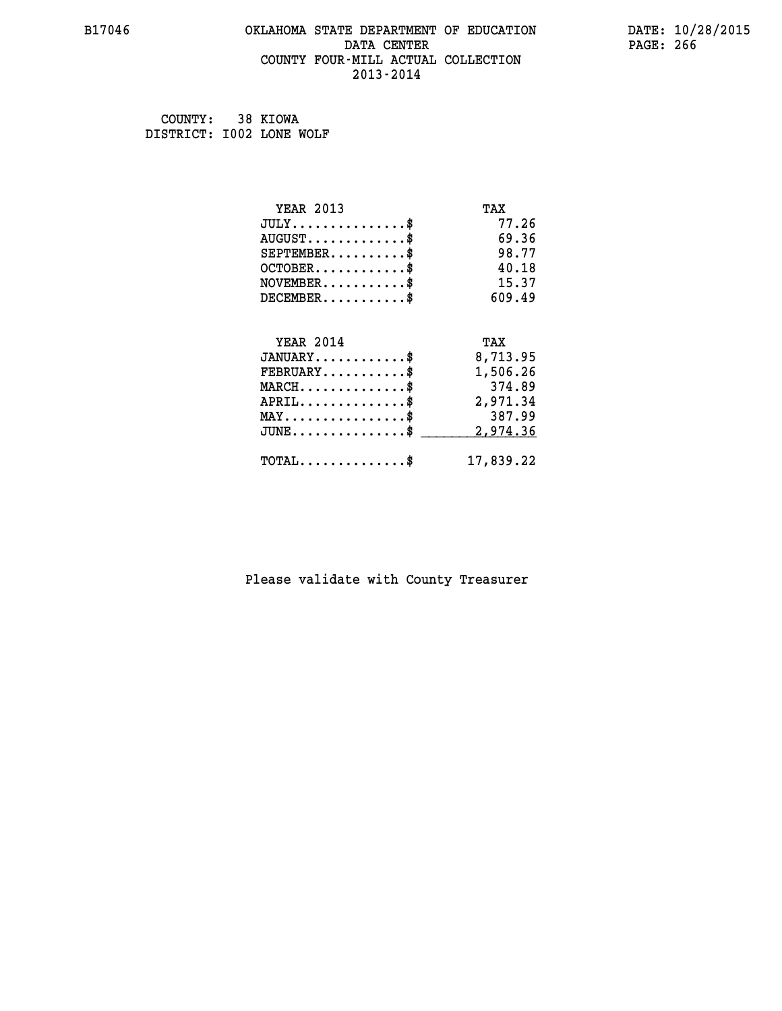#### **B17046 OKLAHOMA STATE DEPARTMENT OF EDUCATION DATE: 10/28/2015 DATA CENTER** PAGE: 266  **COUNTY FOUR-MILL ACTUAL COLLECTION 2013-2014**

 **COUNTY: 38 KIOWA DISTRICT: I002 LONE WOLF**

| <b>YEAR 2013</b>                           | TAX       |
|--------------------------------------------|-----------|
| $JULY$ \$                                  | 77.26     |
| $AUGUST$ \$                                | 69.36     |
| $SEPTEMBER$ \$                             | 98.77     |
| $OCTOBER$ \$                               | 40.18     |
| $NOVEMBER$ \$                              | 15.37     |
| $DECEMBER$ \$                              | 609.49    |
|                                            |           |
| <b>YEAR 2014</b>                           | TAX       |
| $JANUARY$ \$                               | 8,713.95  |
| $FEBRUARY$                                 | 1,506.26  |
| $MARCH$ \$                                 | 374.89    |
| $APRIL$ \$                                 | 2,971.34  |
| $MAX \dots \dots \dots \dots \dots$        | 387.99    |
| $JUNE$ \$                                  | 2,974.36  |
| $\texttt{TOTAL} \dots \dots \dots \dots \$ | 17,839.22 |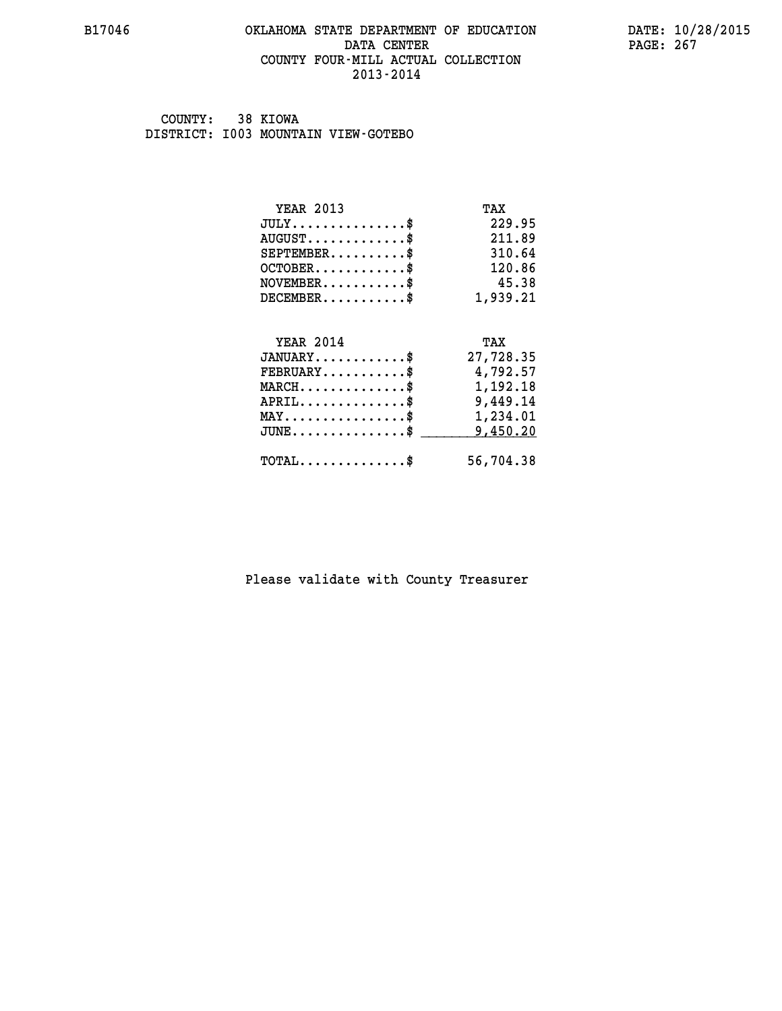#### **B17046 OKLAHOMA STATE DEPARTMENT OF EDUCATION DATE: 10/28/2015 DATA CENTER** PAGE: 267  **COUNTY FOUR-MILL ACTUAL COLLECTION 2013-2014**

 **COUNTY: 38 KIOWA DISTRICT: I003 MOUNTAIN VIEW-GOTEBO**

| <b>YEAR 2013</b>                    | TAX       |
|-------------------------------------|-----------|
| $JULY$ \$                           | 229.95    |
| $AUGUST$ \$                         | 211.89    |
| $SEPTEMENT.$ \$                     | 310.64    |
| $OCTOBER$ \$                        | 120.86    |
| $NOVEMBER$ \$                       | 45.38     |
| $DECEMBER$ \$                       | 1,939.21  |
|                                     |           |
| <b>YEAR 2014</b>                    | TAX       |
| $JANUARY$                           | 27,728.35 |
| $FEBRUARY$                          | 4,792.57  |
|                                     |           |
| $MARCH$ \$                          | 1,192.18  |
| $APRIL$ \$                          | 9,449.14  |
| $MAX \dots \dots \dots \dots \dots$ | 1,234.01  |
| $JUNE$ \$                           | 9,450.20  |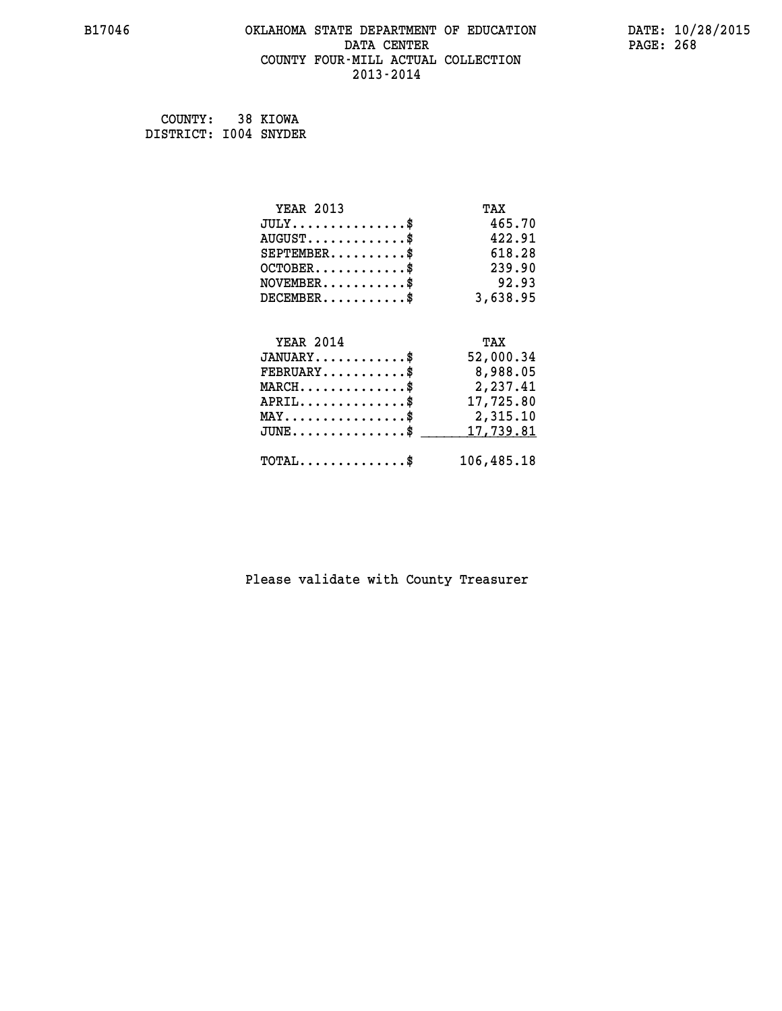#### **B17046 OKLAHOMA STATE DEPARTMENT OF EDUCATION DATE: 10/28/2015 DATA CENTER** PAGE: 268  **COUNTY FOUR-MILL ACTUAL COLLECTION 2013-2014**

 **COUNTY: 38 KIOWA DISTRICT: I004 SNYDER**

| <b>YEAR 2013</b>                           | TAX        |
|--------------------------------------------|------------|
| $JULY$ \$                                  | 465.70     |
| $AUGUST$ \$                                | 422.91     |
| $SEPTEMENT.$ \$                            | 618.28     |
| $OCTOBER$ \$                               | 239.90     |
| $\texttt{NOVEMBER} \dots \dots \dots \$    | 92.93      |
| $DECEMBER$ \$                              | 3,638.95   |
|                                            |            |
| <b>YEAR 2014</b>                           | TAX        |
| $JANUARY$ \$                               | 52,000.34  |
| $FEBRUARY$                                 | 8,988.05   |
| $MARCH$ \$                                 | 2,237.41   |
| $APRIL.$ \$                                | 17,725.80  |
| MAY\$ 2,315.10                             |            |
| $JUNE$ \$                                  | 17,739.81  |
| $\texttt{TOTAL} \dots \dots \dots \dots \$ | 106,485.18 |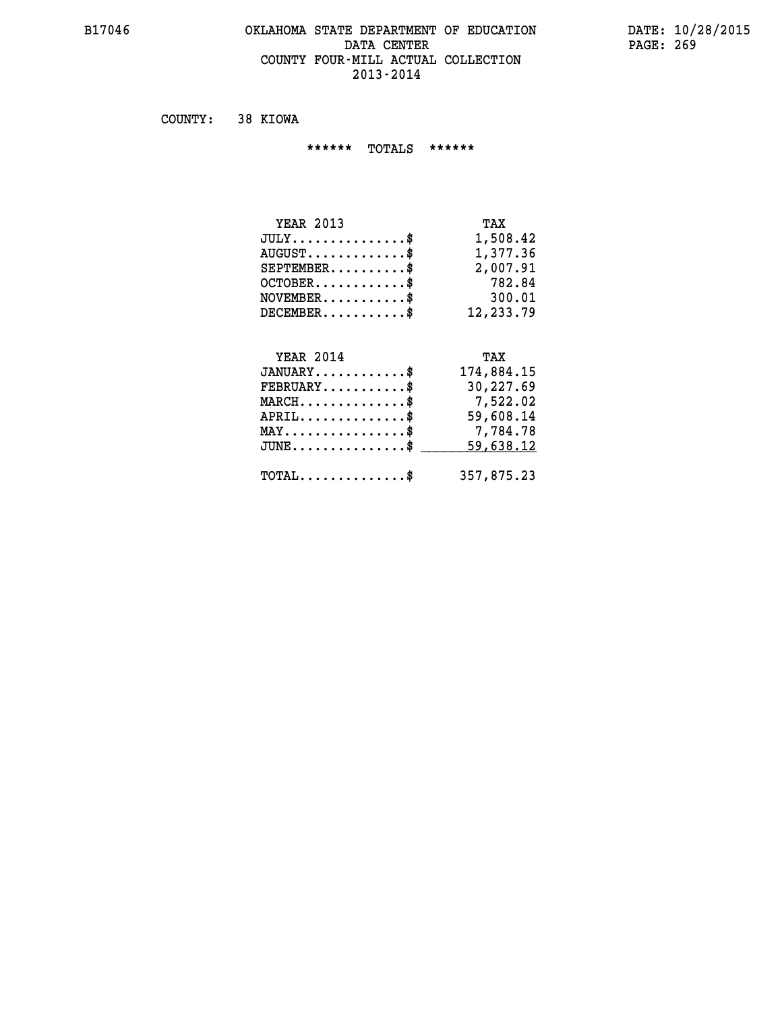#### **B17046 OKLAHOMA STATE DEPARTMENT OF EDUCATION DATE: 10/28/2015 DATA CENTER** PAGE: 269  **COUNTY FOUR-MILL ACTUAL COLLECTION 2013-2014**

 **COUNTY: 38 KIOWA**

 **\*\*\*\*\*\* TOTALS \*\*\*\*\*\***

| <b>YEAR 2013</b> | TAX       |
|------------------|-----------|
| $JULY$           | 1,508.42  |
| $AUGUST$         | 1,377.36  |
| $SEPTEMBER$ \$   | 2,007.91  |
| $OCTOBER$ \$     | 782.84    |
| $NOVEMBER$ \$    | 300.01    |
| $DECEMBER$       | 12,233.79 |

#### **YEAR 2014 TAX JANUARY............\$ 174,884.15 FEBRUARY...........\$ 30,227.69**

| $MARCH$ \$                                  | 7,522.02   |
|---------------------------------------------|------------|
| $APRIL$ \$                                  | 59,608.14  |
| $MAX \dots \dots \dots \dots \dots \$       | 7,784.78   |
| $JUNE \dots \dots \dots \dots \$ 59,638.12  |            |
|                                             | 357,875.23 |
| $\texttt{TOTAL} \dots \dots \dots \dots \$$ |            |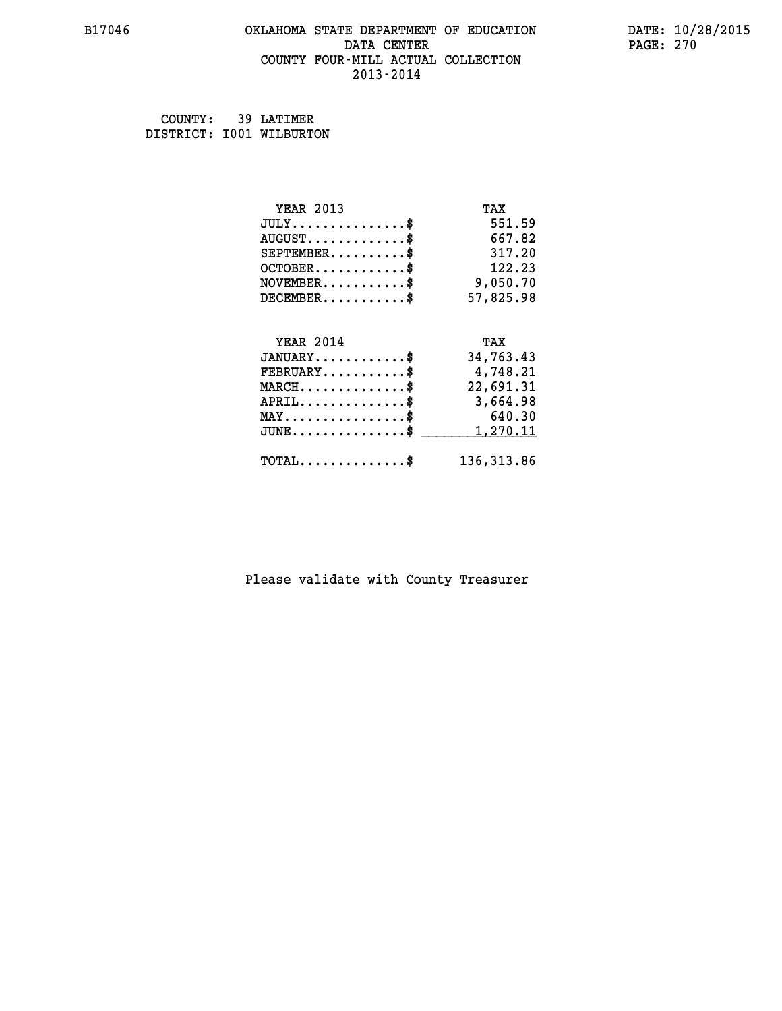## **B17046 OKLAHOMA STATE DEPARTMENT OF EDUCATION DATE: 10/28/2015 DATA CENTER PAGE: 270 COUNTY FOUR-MILL ACTUAL COLLECTION 2013-2014**

 **COUNTY: 39 LATIMER DISTRICT: I001 WILBURTON**

| <b>YEAR 2013</b>                           | TAX         |
|--------------------------------------------|-------------|
| $JULY$ \$                                  | 551.59      |
| $AUGUST$ \$                                | 667.82      |
| $SEPTEMBER$ \$                             | 317.20      |
| $OCTOBER$ \$                               | 122.23      |
| $\texttt{NOVEMBER} \dots \dots \dots \$    | 9,050.70    |
| $DECEMBER$ \$                              | 57,825.98   |
|                                            |             |
| <b>YEAR 2014</b>                           | TAX         |
| $JANUARY$ \$                               | 34,763.43   |
| $FEBRUARY$                                 | 4,748.21    |
| $MARCH$ \$                                 | 22,691.31   |
| $APRIL$                                    | 3,664.98    |
| $MAX \dots \dots \dots \dots \dots$        | 640.30      |
| $JUNE$ $$$                                 | 1,270.11    |
| $\texttt{TOTAL} \dots \dots \dots \dots \$ | 136, 313.86 |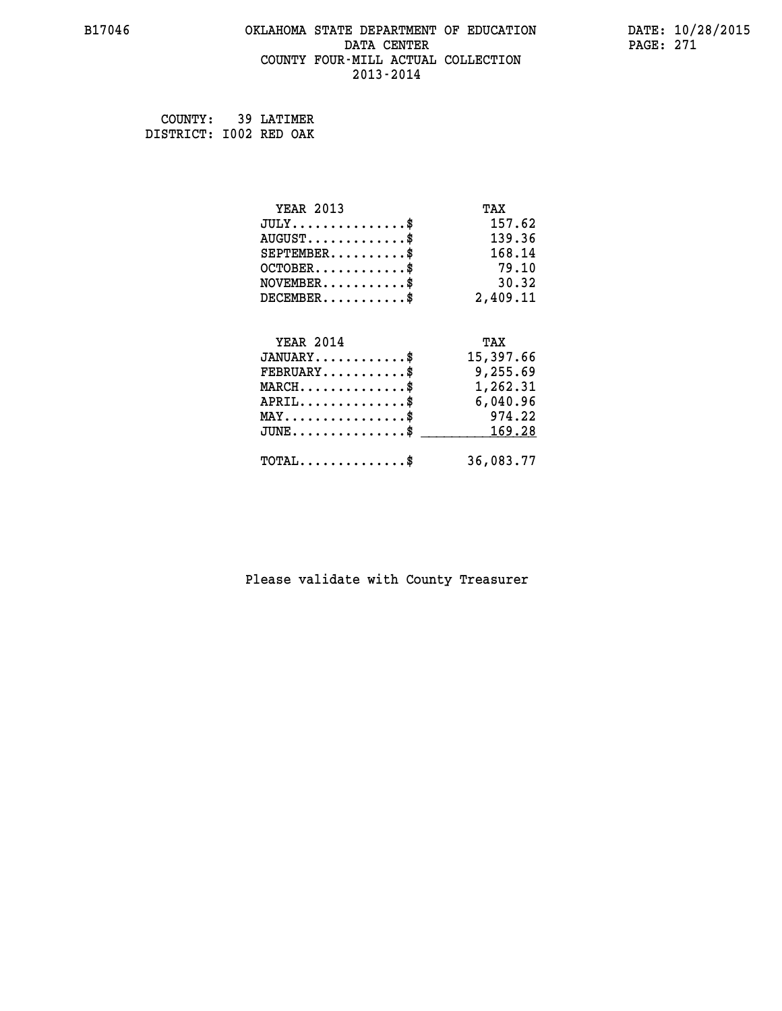#### **B17046 OKLAHOMA STATE DEPARTMENT OF EDUCATION DATE: 10/28/2015 DATA CENTER** PAGE: 271  **COUNTY FOUR-MILL ACTUAL COLLECTION 2013-2014**

 **COUNTY: 39 LATIMER DISTRICT: I002 RED OAK**

| <b>YEAR 2013</b>                                 | TAX       |
|--------------------------------------------------|-----------|
| $JULY$ \$                                        | 157.62    |
| $AUGUST$ \$                                      | 139.36    |
| $SEPTEMBER$ \$                                   | 168.14    |
| $OCTOBER$ \$                                     | 79.10     |
| $\texttt{NOVEMBER} \dots \dots \dots \$          | 30.32     |
| $DECEMBER$ \$                                    | 2,409.11  |
|                                                  |           |
| <b>YEAR 2014</b>                                 | TAX       |
| $JANUARY$ \$                                     | 15,397.66 |
| $FEBRUARY$                                       | 9,255.69  |
| $\texttt{MARCH}\ldots\ldots\ldots\ldots\text{*}$ | 1,262.31  |
| $APRIL \ldots \ldots \ldots \ldots \$            | 6,040.96  |
| $MAX \dots \dots \dots \dots \$                  | 974.22    |
| $\texttt{JUNE} \dots \dots \dots \dots \dots \$$ | 169.28    |
| $\texttt{TOTAL} \dots \dots \dots \dots \$       | 36,083.77 |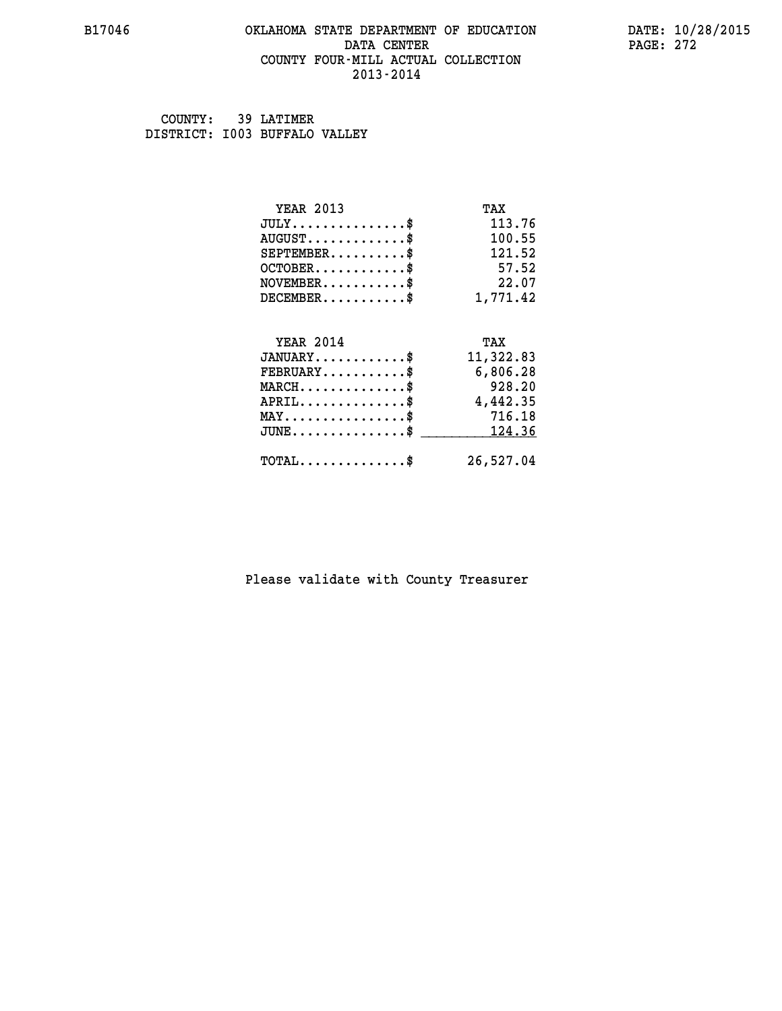#### **B17046 OKLAHOMA STATE DEPARTMENT OF EDUCATION DATE: 10/28/2015 DATA CENTER** PAGE: 272  **COUNTY FOUR-MILL ACTUAL COLLECTION 2013-2014**

 **COUNTY: 39 LATIMER DISTRICT: I003 BUFFALO VALLEY**

| <b>YEAR 2013</b>                           | TAX       |
|--------------------------------------------|-----------|
| $JULY$ \$                                  | 113.76    |
| $AUGUST$ \$                                | 100.55    |
| $SEPTEMBER$ \$                             | 121.52    |
| $OCTOBER$ \$                               | 57.52     |
| $NOVEMBER$ \$                              | 22.07     |
| $DECEMBER$ \$                              | 1,771.42  |
|                                            |           |
| <b>YEAR 2014</b>                           | TAX       |
| $JANUARY$ \$                               | 11,322.83 |
| $FEBRUARY$                                 | 6,806.28  |
| $MARCH$ \$                                 | 928.20    |
| $APRIL$ \$                                 | 4,442.35  |
| $MAX \dots \dots \dots \dots \dots$        | 716.18    |
| $JUNE$ \$                                  | 124.36    |
| $\texttt{TOTAL} \dots \dots \dots \dots \$ | 26,527.04 |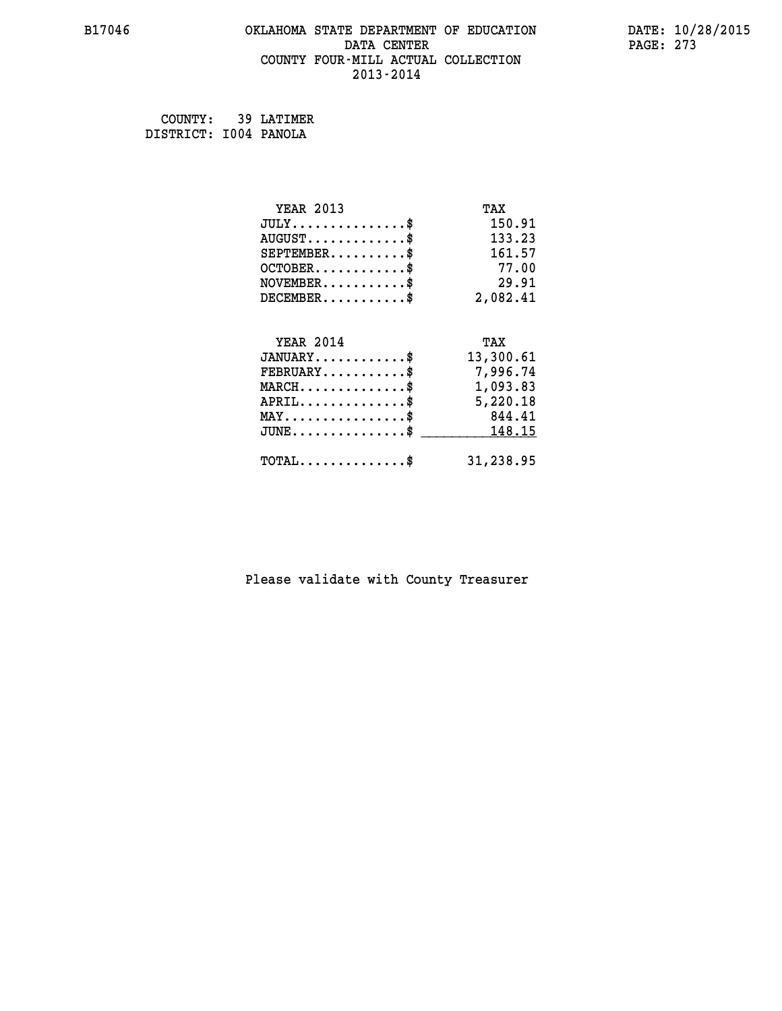#### **B17046 OKLAHOMA STATE DEPARTMENT OF EDUCATION DATE: 10/28/2015 DATA CENTER** PAGE: 273  **COUNTY FOUR-MILL ACTUAL COLLECTION 2013-2014**

 **COUNTY: 39 LATIMER DISTRICT: I004 PANOLA**

| <b>YEAR 2013</b>                           | TAX       |
|--------------------------------------------|-----------|
| $JULY$ \$                                  | 150.91    |
| $AUGUST$ \$                                | 133.23    |
| $SEPTEMENT.$ \$                            | 161.57    |
| $OCTOBER$ \$                               | 77.00     |
| NOVEMENT.                                  | 29.91     |
| $DECEMBER$ \$                              | 2,082.41  |
| <b>YEAR 2014</b>                           | TAX       |
| $JANUARY$ \$                               | 13,300.61 |
| $FEBRUARY$                                 | 7,996.74  |
| $MARCH$ \$                                 | 1,093.83  |
| $APRIL$ \$                                 | 5,220.18  |
| $MAX \dots \dots \dots \dots \$            | 844.41    |
| $JUNE$ \$                                  | 148.15    |
| $\texttt{TOTAL} \dots \dots \dots \dots \$ | 31,238.95 |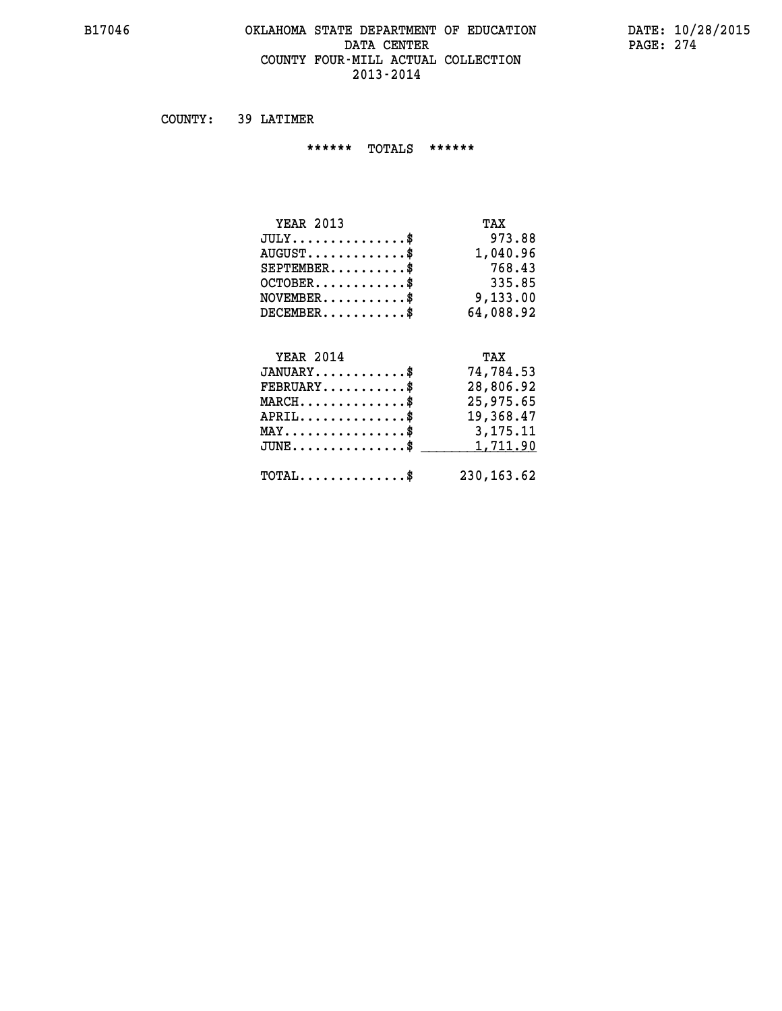#### **B17046 OKLAHOMA STATE DEPARTMENT OF EDUCATION DATE: 10/28/2015 DATA CENTER** PAGE: 274  **COUNTY FOUR-MILL ACTUAL COLLECTION 2013-2014**

 **COUNTY: 39 LATIMER**

 **\*\*\*\*\*\* TOTALS \*\*\*\*\*\***

| <b>YEAR 2013</b>              | TAX       |
|-------------------------------|-----------|
| $JULY \ldots \ldots \ldots \$ | 973.88    |
| $AUGUST$ \$                   | 1,040.96  |
| $SEPTEMENT.$ \$               | 768.43    |
| $OCTOBER$ \$                  | 335.85    |
| $NOVEMBER$ \$                 | 9,133.00  |
| $DECEMBER$ \$                 | 64,088.92 |
|                               |           |
| <b>YEAR 2014</b>              | TAX       |

| $JANUARY$<br>$\texttt{FEBRUARY} \dots \dots \dots \$ | 74,784.53<br>28,806.92 |
|------------------------------------------------------|------------------------|
| $MARCH$ \$                                           | 25,975.65              |
| APRIL<br>$MAX \dots \dots \dots \dots \dots \$       | 19,368.47<br>3,175.11  |
| $JUNE \ldots \ldots \ldots \ldots$ \$ 1,711.90       |                        |
| $\text{TOTAL} \dots \dots \dots \dots \dots$         | 230,163.62             |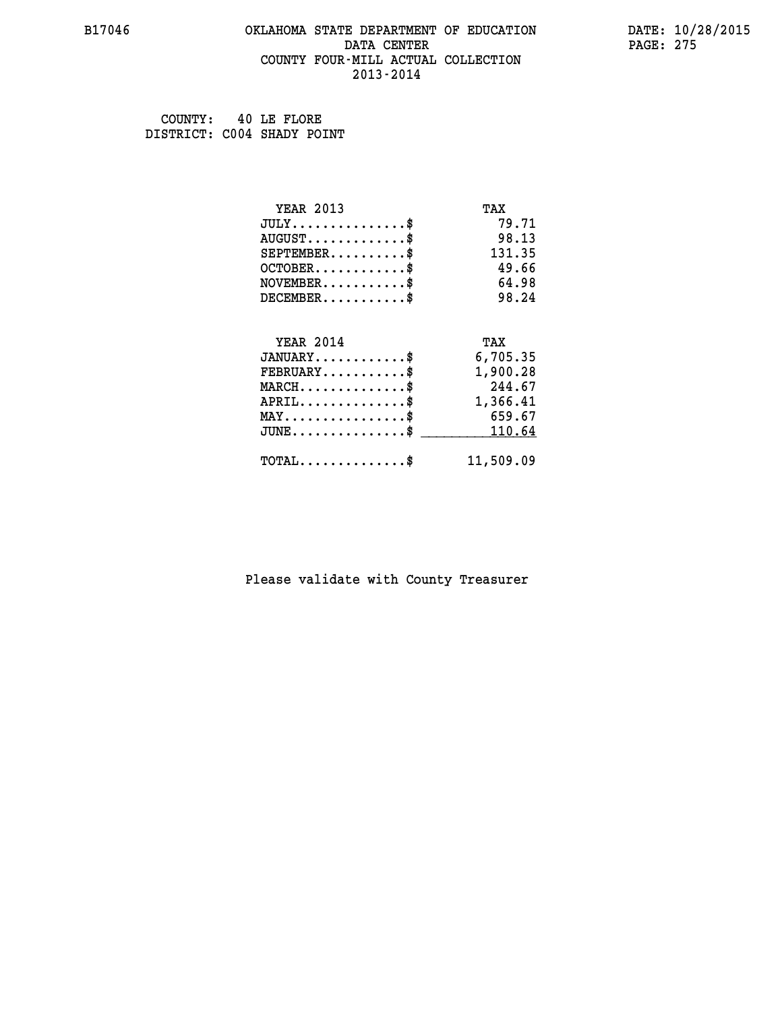#### **B17046 OKLAHOMA STATE DEPARTMENT OF EDUCATION DATE: 10/28/2015 DATA CENTER** PAGE: 275  **COUNTY FOUR-MILL ACTUAL COLLECTION 2013-2014**

 **COUNTY: 40 LE FLORE DISTRICT: C004 SHADY POINT**

| <b>YEAR 2013</b>                            | TAX       |
|---------------------------------------------|-----------|
| $JULY$ \$                                   | 79.71     |
| $AUGUST$ \$                                 | 98.13     |
| $SEPTEMENT.$ \$                             | 131.35    |
| $OCTOBER$ \$                                | 49.66     |
| $NOVEMBER$ \$                               | 64.98     |
| $DECEMBER$ \$                               | 98.24     |
|                                             |           |
| <b>YEAR 2014</b>                            | TAX       |
| $JANUARY$ \$                                | 6,705.35  |
| $FEBRUARY$                                  | 1,900.28  |
| $MARCH$ \$                                  | 244.67    |
| $APRIL$ \$                                  | 1,366.41  |
| $MAX \dots \dots \dots \dots \dots$         | 659.67    |
| $JUNE$ \$                                   | 110.64    |
| $\texttt{TOTAL} \dots \dots \dots \dots$ \$ | 11,509.09 |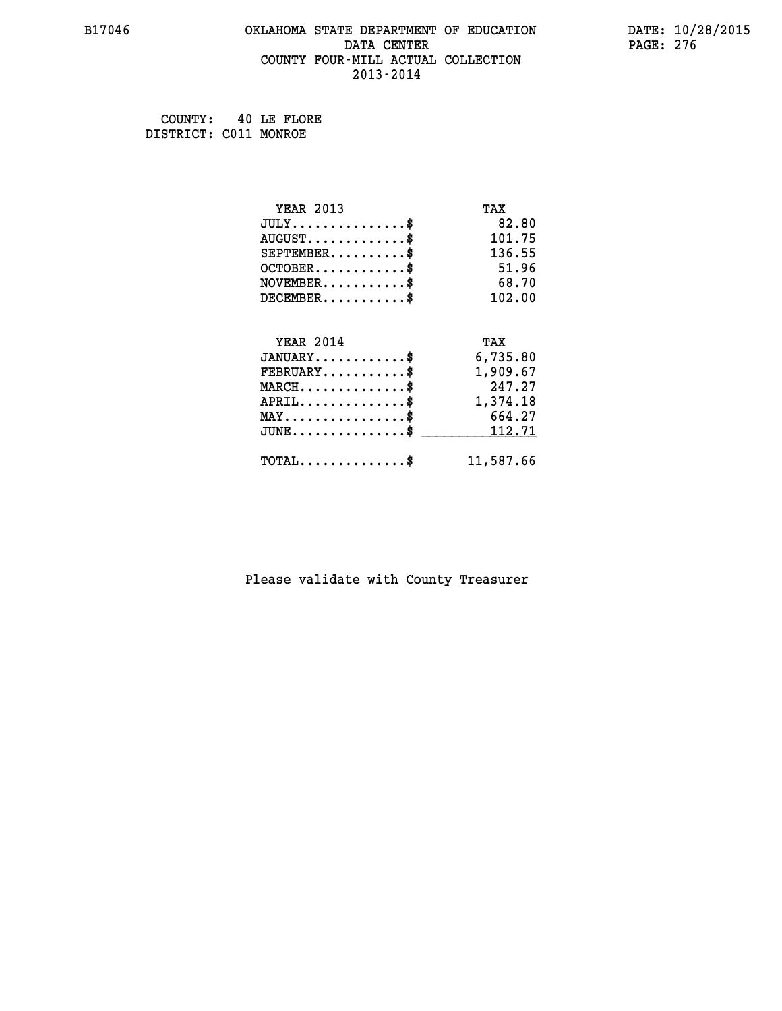#### **B17046 OKLAHOMA STATE DEPARTMENT OF EDUCATION DATE: 10/28/2015 DATA CENTER** PAGE: 276  **COUNTY FOUR-MILL ACTUAL COLLECTION 2013-2014**

 **COUNTY: 40 LE FLORE DISTRICT: C011 MONROE**

| <b>YEAR 2013</b>                           | TAX       |
|--------------------------------------------|-----------|
| $JULY$ \$                                  | 82.80     |
| $AUGUST$ \$                                | 101.75    |
| $SEPTEMBER$ \$                             | 136.55    |
| $OCTOBER$ \$                               | 51.96     |
| $NOVEMBER$ \$                              | 68.70     |
| $DECEMBER$ \$                              | 102.00    |
| <b>YEAR 2014</b>                           | TAX       |
| $JANUARY$ \$                               | 6,735.80  |
| $FEBRUARY$                                 | 1,909.67  |
| $MARCH$ \$                                 | 247.27    |
| $APRIL$ \$                                 | 1,374.18  |
| $MAX \dots \dots \dots \dots \$            | 664.27    |
| $JUNE$                                     | 112.71    |
| $\texttt{TOTAL} \dots \dots \dots \dots \$ | 11,587.66 |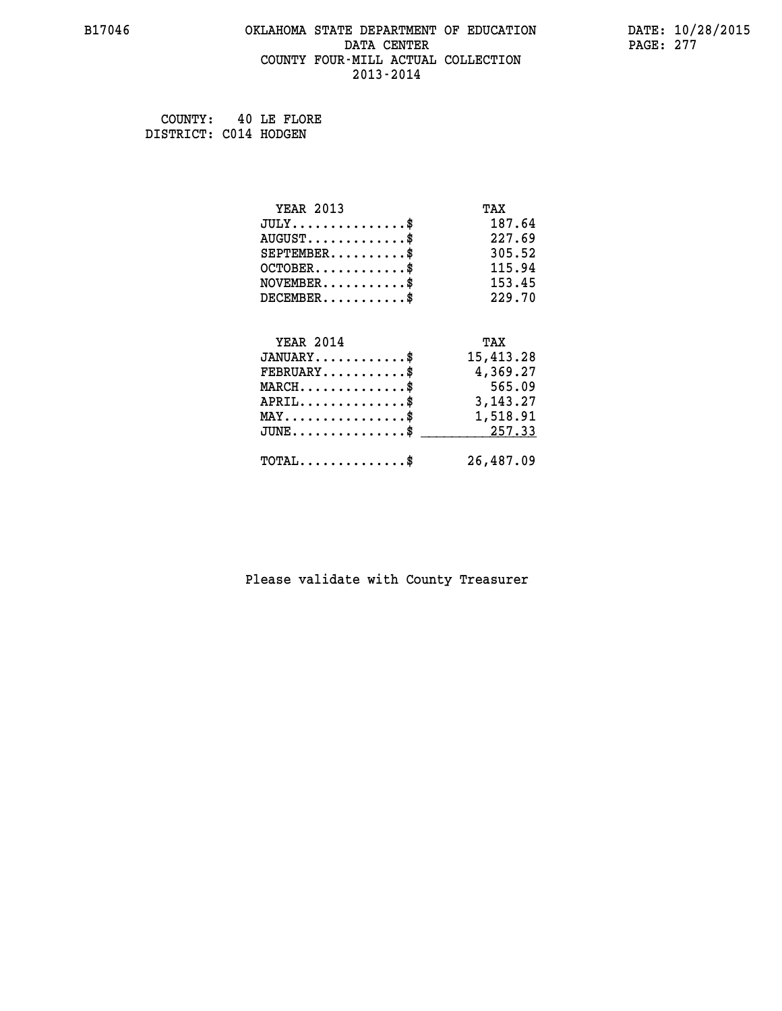#### **B17046 OKLAHOMA STATE DEPARTMENT OF EDUCATION DATE: 10/28/2015 DATA CENTER** PAGE: 277  **COUNTY FOUR-MILL ACTUAL COLLECTION 2013-2014**

 **COUNTY: 40 LE FLORE DISTRICT: C014 HODGEN**

| <b>YEAR 2013</b>                                 | TAX        |
|--------------------------------------------------|------------|
| $JULY$ \$                                        | 187.64     |
| $AUGUST$ \$                                      | 227.69     |
| $SEPTEMBER$ \$                                   | 305.52     |
| $OCTOBER$ \$                                     | 115.94     |
| $\texttt{NOVEMBER} \dots \dots \dots \$          | 153.45     |
| $DECEMBER$ \$                                    | 229.70     |
|                                                  |            |
| <b>YEAR 2014</b>                                 | TAX        |
| $JANUARY$                                        | 15,413.28  |
| $FEBRUARY$                                       | 4,369.27   |
| $MARCH$ \$                                       | 565.09     |
| $APRIL \ldots \ldots \ldots \ldots \$            | 3, 143. 27 |
| $\texttt{MAX} \dots \dots \dots \dots \dots \$   | 1,518.91   |
| $\texttt{JUNE} \dots \dots \dots \dots \dots \$$ | 257.33     |
| $\texttt{TOTAL} \dots \dots \dots \dots \$       | 26,487.09  |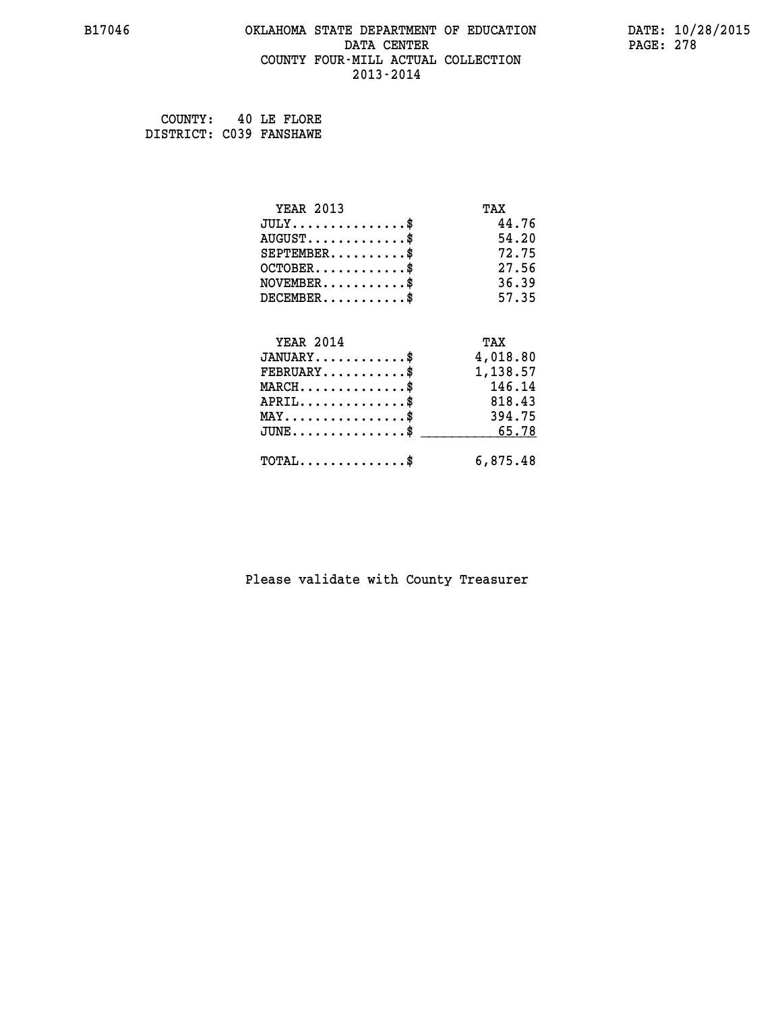#### **B17046 OKLAHOMA STATE DEPARTMENT OF EDUCATION DATE: 10/28/2015 DATA CENTER PAGE: 278 COUNTY FOUR-MILL ACTUAL COLLECTION 2013-2014**

 **COUNTY: 40 LE FLORE DISTRICT: C039 FANSHAWE**

> **YEAR 2013 TAX JULY...............\$ 44.76 AUGUST.............\$ 54.20 SEPTEMBER..........\$ 72.75 OCTOBER............\$ 27.56 NOVEMBER...........\$ 36.39 DECEMBER...........\$ 57.35 YEAR 2014 TAX JANUARY............\$ 4,018.80 FEBRUARY...........\$ 1,138.57 MARCH..............\$ 146.14 APRIL..............\$ 818.43 MAY................\$ 394.75 JUNE...............\$ 65.78 \_\_\_\_\_\_\_\_\_\_\_\_\_\_\_ TOTAL..............\$ 6,875.48**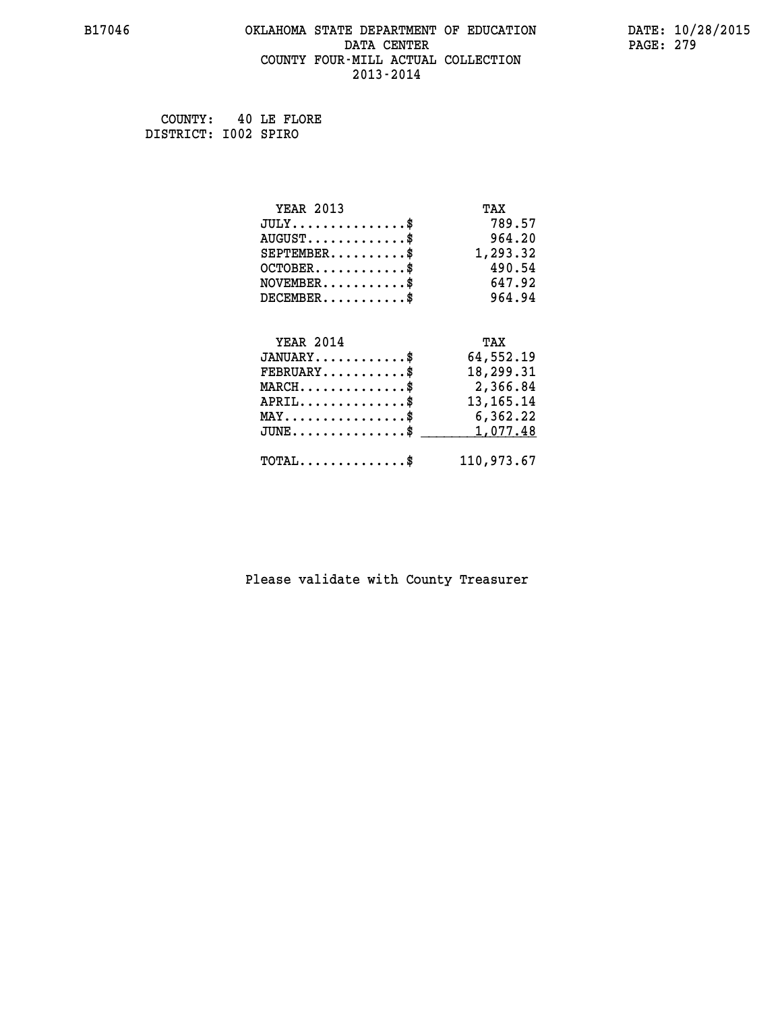#### **B17046 OKLAHOMA STATE DEPARTMENT OF EDUCATION DATE: 10/28/2015 DATA CENTER** PAGE: 279  **COUNTY FOUR-MILL ACTUAL COLLECTION 2013-2014**

 **COUNTY: 40 LE FLORE DISTRICT: I002 SPIRO**

| <b>YEAR 2013</b>                               | TAX         |
|------------------------------------------------|-------------|
| $JULY$ \$                                      | 789.57      |
| $AUGUST$ \$                                    | 964.20      |
| $SEPTEMBER$ \$                                 | 1,293.32    |
| $OCTOBER$ \$                                   | 490.54      |
| $NOVEMBER.$ \$                                 | 647.92      |
| $DECEMBER$ \$                                  | 964.94      |
|                                                |             |
| <b>YEAR 2014</b>                               | TAX         |
| $JANUARY$ \$                                   | 64,552.19   |
| $FEBRUARY$ \$                                  | 18,299.31   |
| $\texttt{MARCH}\ldots\ldots\ldots\ldots\$      | 2,366.84    |
| $APRIL \ldots \ldots \ldots \ldots$            | 13, 165. 14 |
| $\texttt{MAX} \dots \dots \dots \dots \dots \$ | 6,362.22    |
| $JUNE$ \$                                      | 1,077.48    |
| $\texttt{TOTAL} \dots \dots \dots \dots \$     | 110,973.67  |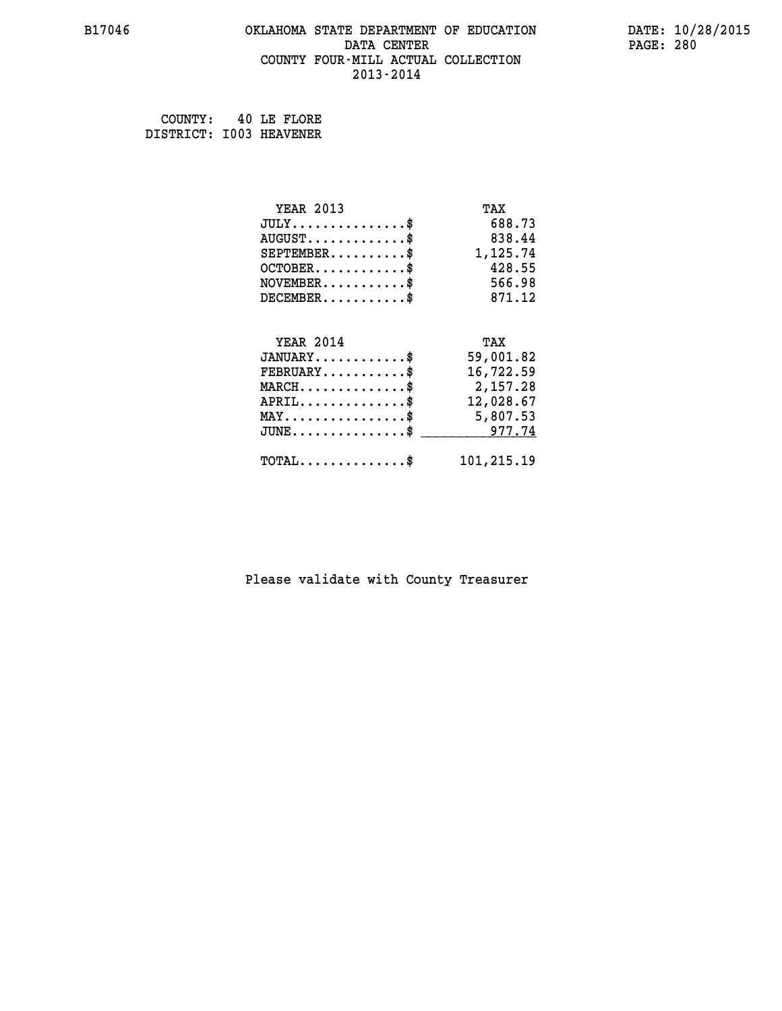#### **B17046 OKLAHOMA STATE DEPARTMENT OF EDUCATION DATE: 10/28/2015 DATA CENTER** PAGE: 280  **COUNTY FOUR-MILL ACTUAL COLLECTION 2013-2014**

 **COUNTY: 40 LE FLORE DISTRICT: I003 HEAVENER**

| <b>YEAR 2013</b>                               | TAX        |
|------------------------------------------------|------------|
| $JULY$ \$                                      | 688.73     |
| $AUGUST$ \$                                    | 838.44     |
| $SEPTEMBER$ \$                                 | 1,125.74   |
| $OCTOBER$ \$                                   | 428.55     |
| $NOVEMBER$ \$                                  | 566.98     |
| $DECEMBER$ \$                                  | 871.12     |
|                                                |            |
| <b>YEAR 2014</b>                               | TAX        |
| $JANUARY$ \$                                   | 59,001.82  |
| $FEBRUARY$                                     | 16,722.59  |
| $MARCH$ \$                                     | 2,157.28   |
| $APRIL \ldots \ldots \ldots \ldots \$          | 12,028.67  |
| $\texttt{MAX} \dots \dots \dots \dots \dots \$ | 5,807.53   |
| $JUNE \ldots \ldots \ldots \ldots \ast$        | 977.74     |
| $\texttt{TOTAL} \dots \dots \dots \dots \$     | 101,215.19 |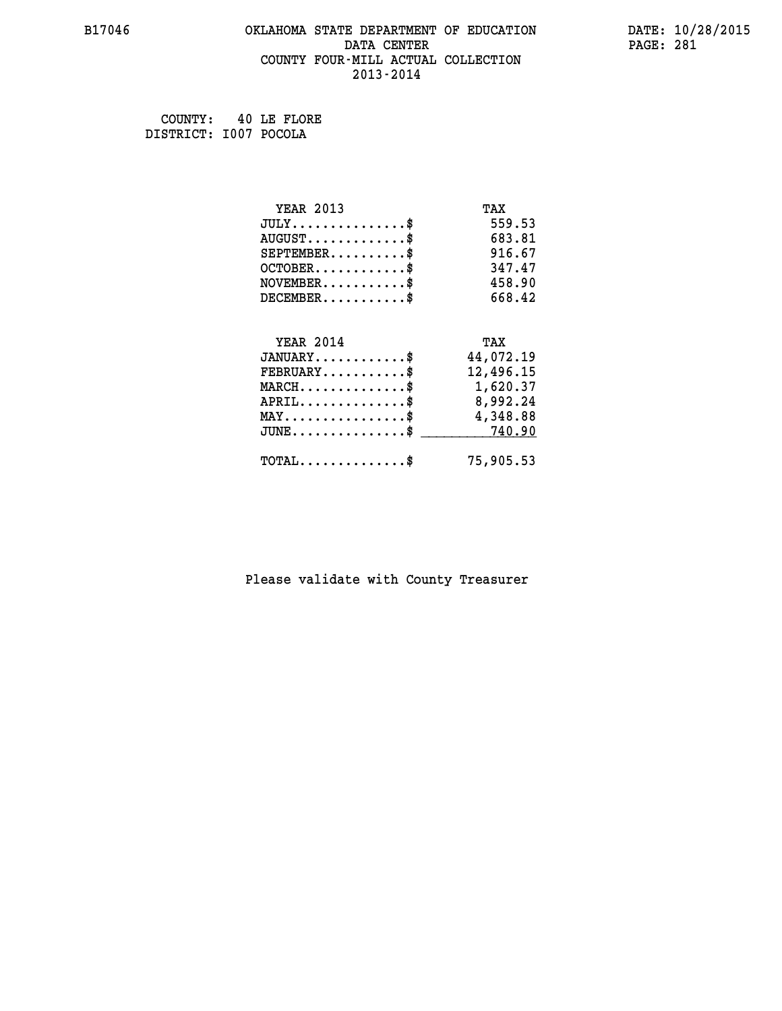#### **B17046 OKLAHOMA STATE DEPARTMENT OF EDUCATION DATE: 10/28/2015 DATA CENTER** PAGE: 281  **COUNTY FOUR-MILL ACTUAL COLLECTION 2013-2014**

 **COUNTY: 40 LE FLORE DISTRICT: I007 POCOLA**

| <b>YEAR 2013</b>                           | TAX       |
|--------------------------------------------|-----------|
| $JULY$ \$                                  | 559.53    |
| $AUGUST$ \$                                | 683.81    |
| $SEPTEMBER$ \$                             | 916.67    |
| $OCTOBER$ \$                               | 347.47    |
| $\texttt{NOVEMBER} \dots \dots \dots \$    | 458.90    |
| $DECEMBER$ \$                              | 668.42    |
|                                            |           |
| <b>YEAR 2014</b>                           | TAX       |
| $JANUARY$ \$                               | 44,072.19 |
| $FEBRUARY$                                 | 12,496.15 |
| $MARCH$ \$                                 | 1,620.37  |
| $APRIL \ldots \ldots \ldots \ldots \$      | 8,992.24  |
| MAY\$ 4,348.88                             |           |
| $JUNE \dots \dots \dots \dots \$ 740.90    |           |
| $\texttt{TOTAL} \dots \dots \dots \dots \$ | 75,905.53 |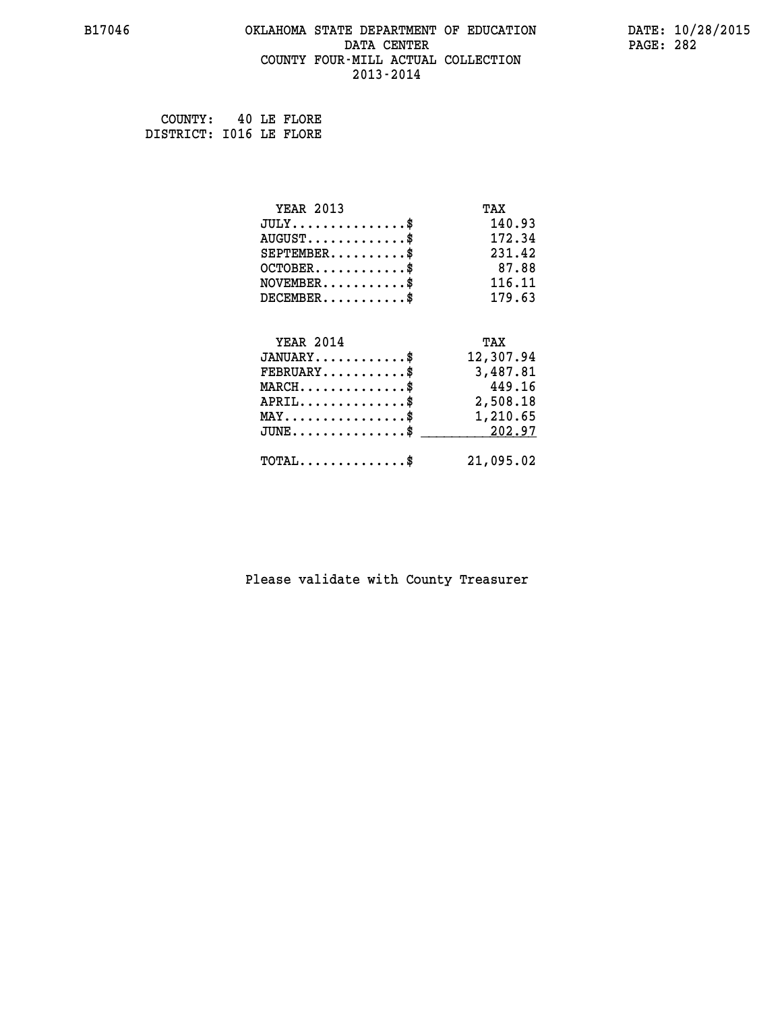#### **B17046 OKLAHOMA STATE DEPARTMENT OF EDUCATION DATE: 10/28/2015 DATA CENTER** PAGE: 282  **COUNTY FOUR-MILL ACTUAL COLLECTION 2013-2014**

 **COUNTY: 40 LE FLORE DISTRICT: I016 LE FLORE**

| <b>YEAR 2013</b>                               | TAX       |
|------------------------------------------------|-----------|
| $JULY$ \$                                      | 140.93    |
| $AUGUST$ \$                                    | 172.34    |
| $SEPTEMBER$                                    | 231.42    |
| $OCTOBER$ \$                                   | 87.88     |
| $\texttt{NOVEMBER} \dots \dots \dots \$        | 116.11    |
| $DECEMBER$ \$                                  | 179.63    |
|                                                |           |
| <b>YEAR 2014</b>                               | TAX       |
| $JANUARY$ \$                                   | 12,307.94 |
| $FEBRUARY$                                     | 3,487.81  |
| $MARCH$ \$                                     | 449.16    |
| $APRIL$ \$                                     | 2,508.18  |
| $\texttt{MAX} \dots \dots \dots \dots \dots \$ | 1,210.65  |
| $JUNE$ \$                                      | 202.97    |
| $\texttt{TOTAL} \dots \dots \dots \dots \$     | 21,095.02 |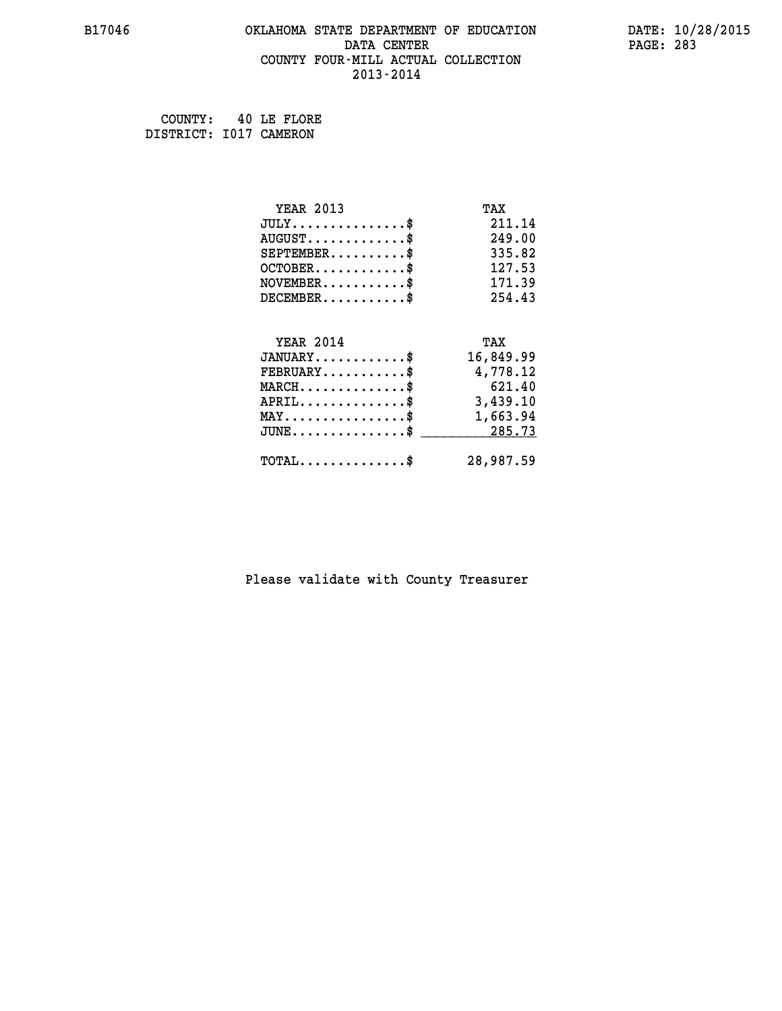#### **B17046 OKLAHOMA STATE DEPARTMENT OF EDUCATION DATE: 10/28/2015 DATA CENTER** PAGE: 283  **COUNTY FOUR-MILL ACTUAL COLLECTION 2013-2014**

 **COUNTY: 40 LE FLORE DISTRICT: I017 CAMERON**

| <b>YEAR 2013</b>                                | TAX       |
|-------------------------------------------------|-----------|
| $JULY$ \$                                       | 211.14    |
| $AUGUST$ \$                                     | 249.00    |
| $SEPTEMBER$ \$                                  | 335.82    |
| $OCTOBER$ \$                                    | 127.53    |
| $\texttt{NOVEMBER} \dots \dots \dots \$         | 171.39    |
| $DECEMBER$ \$                                   | 254.43    |
|                                                 |           |
| <b>YEAR 2014</b>                                | TAX       |
| $JANUARY$ \$                                    | 16,849.99 |
| $FEBRUARY$                                      | 4,778.12  |
| $MARCH$ \$                                      | 621.40    |
| $APRIL$ \$                                      | 3,439.10  |
| $\texttt{MAX} \dots \dots \dots \dots \dots \$$ | 1,663.94  |
| $JUNE$ \$                                       | 285.73    |
| $TOTAL$ \$                                      | 28,987.59 |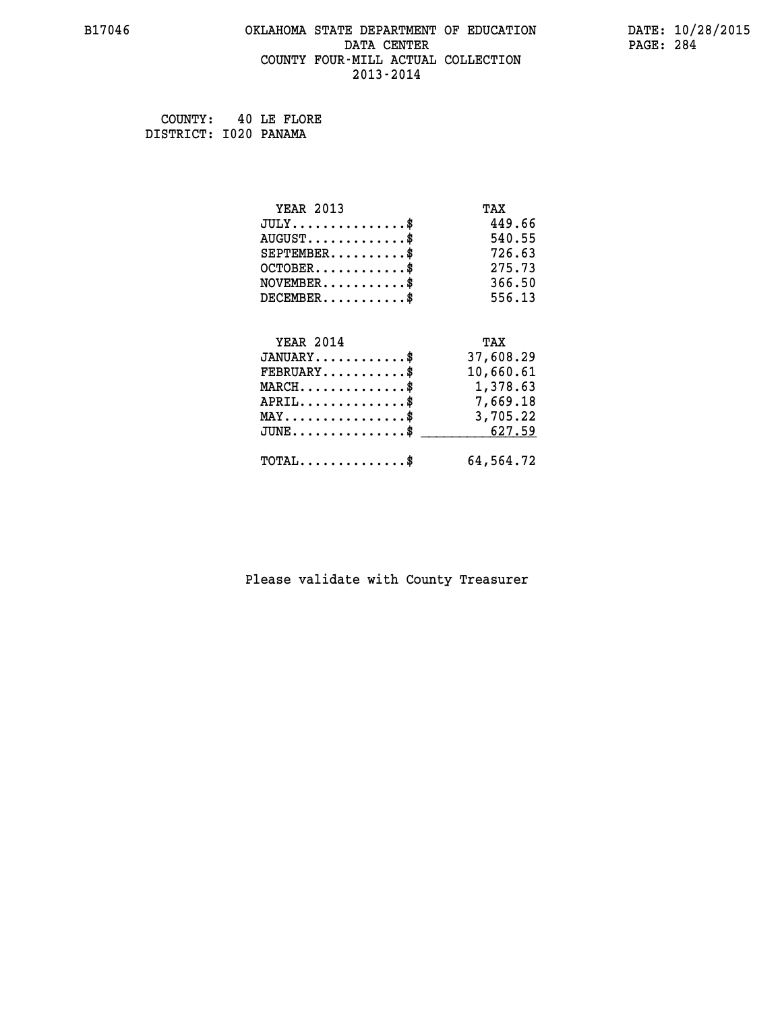#### **B17046 OKLAHOMA STATE DEPARTMENT OF EDUCATION DATE: 10/28/2015 DATA CENTER** PAGE: 284  **COUNTY FOUR-MILL ACTUAL COLLECTION 2013-2014**

 **COUNTY: 40 LE FLORE DISTRICT: I020 PANAMA**

| <b>YEAR 2013</b>                                 | TAX       |
|--------------------------------------------------|-----------|
| $JULY$ \$                                        | 449.66    |
| $AUGUST$ \$                                      | 540.55    |
| $SEPTEMBER$ \$                                   | 726.63    |
| $OCTOBER$ \$                                     | 275.73    |
| $\texttt{NOVEMBER} \dots \dots \dots \$          | 366.50    |
| $DECEMBER$ \$                                    | 556.13    |
|                                                  |           |
| <b>YEAR 2014</b>                                 | TAX       |
| $JANUARY$ \$                                     | 37,608.29 |
| $FEBRUARY$                                       | 10,660.61 |
| $\texttt{MARCH}\ldots\ldots\ldots\ldots\text{*}$ | 1,378.63  |
| $APRIL \ldots \ldots \ldots \ldots \$            | 7,669.18  |
| $\texttt{MAX} \dots \dots \dots \dots \dots \$   | 3,705.22  |
| $\texttt{JUNE} \dots \dots \dots \dots \$$       | 627.59    |
| $\texttt{TOTAL} \dots \dots \dots \dots$ \$      | 64,564.72 |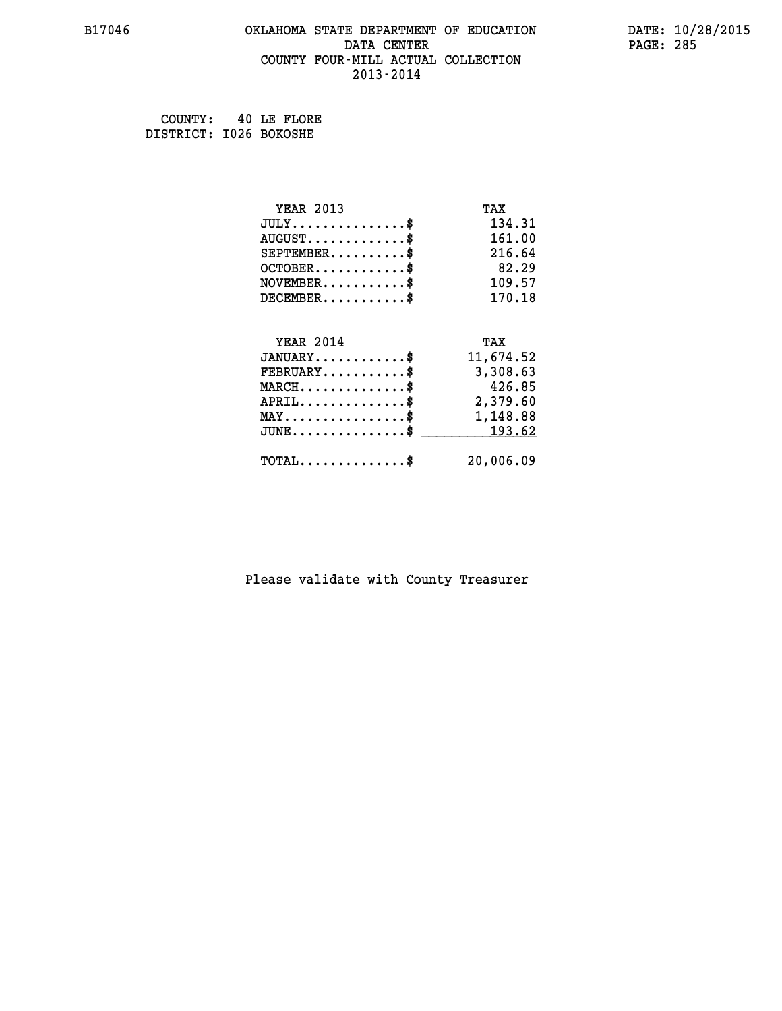#### **B17046 OKLAHOMA STATE DEPARTMENT OF EDUCATION DATE: 10/28/2015 DATA CENTER** PAGE: 285  **COUNTY FOUR-MILL ACTUAL COLLECTION 2013-2014**

 **COUNTY: 40 LE FLORE DISTRICT: I026 BOKOSHE**

| <b>YEAR 2013</b>                               | TAX       |
|------------------------------------------------|-----------|
| $JULY$ \$                                      | 134.31    |
| $AUGUST$ \$                                    | 161.00    |
| $SEPTEMBER$ \$                                 | 216.64    |
| $OCTOBER$ \$                                   | 82.29     |
| $\texttt{NOVEMBER} \dots \dots \dots \$        | 109.57    |
| $DECEMBER$ \$                                  | 170.18    |
|                                                |           |
| <b>YEAR 2014</b>                               | TAX       |
| $JANUARY$ \$                                   | 11,674.52 |
| $FEBRUARY$                                     | 3,308.63  |
| $MARCH$ \$                                     | 426.85    |
| $APRIL \ldots \ldots \ldots \ldots \$          | 2,379.60  |
| $\texttt{MAX} \dots \dots \dots \dots \dots \$ | 1,148.88  |
| $JUNE \dots \dots \dots \dots \$ 193.62        |           |
| $\texttt{TOTAL} \dots \dots \dots \dots \$     | 20,006.09 |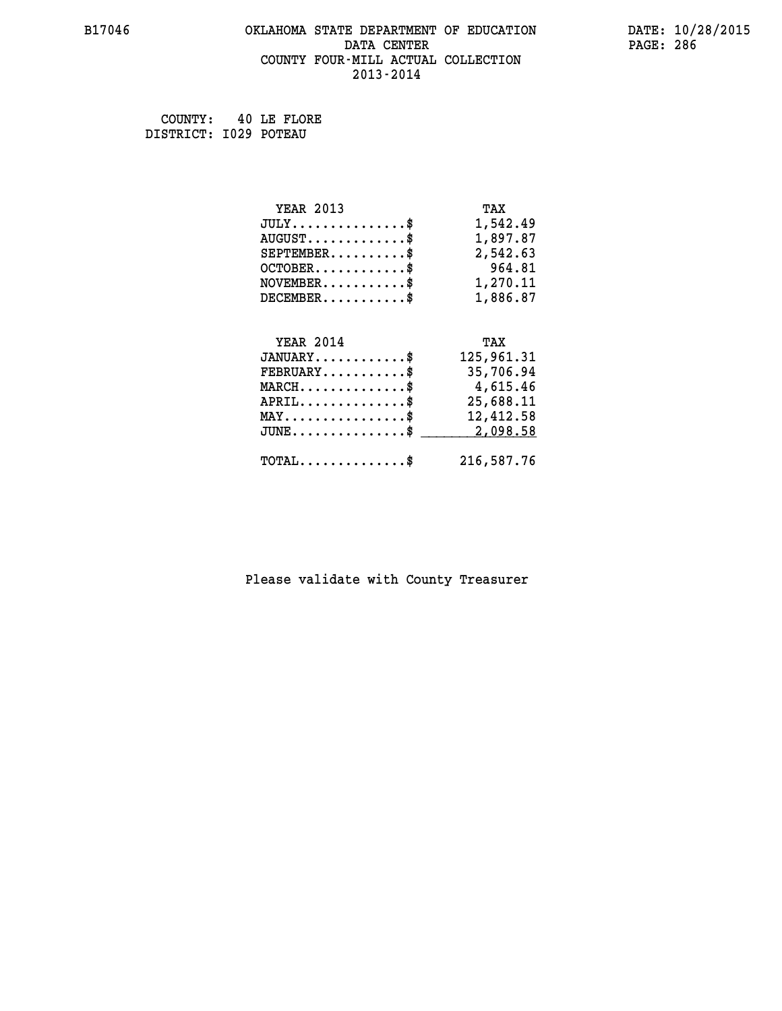#### **B17046 OKLAHOMA STATE DEPARTMENT OF EDUCATION DATE: 10/28/2015 DATA CENTER** PAGE: 286  **COUNTY FOUR-MILL ACTUAL COLLECTION 2013-2014**

 **COUNTY: 40 LE FLORE DISTRICT: I029 POTEAU**

| <b>YEAR 2013</b>                                                                                                              | TAX        |
|-------------------------------------------------------------------------------------------------------------------------------|------------|
| $JULY$ \$                                                                                                                     | 1,542.49   |
| $AUGUST$ \$                                                                                                                   | 1,897.87   |
| $SEPTEMBER$ \$                                                                                                                | 2,542.63   |
| $OCTOBER$ \$                                                                                                                  | 964.81     |
| $NOVEMBER.$ \$                                                                                                                | 1,270.11   |
| $DECEMBER$ \$                                                                                                                 | 1,886.87   |
|                                                                                                                               |            |
| <b>YEAR 2014</b>                                                                                                              | TAX        |
| $JANUARY$ \$                                                                                                                  | 125,961.31 |
| $FEBRUARY$ \$                                                                                                                 | 35,706.94  |
| $\texttt{MARCH}\ldots\ldots\ldots\ldots\overset{\hspace{0.1em}\mathsf{\scriptscriptstyle\$}}{\mathsf{\scriptscriptstyle\$}}}$ | 4,615.46   |
| $APRIL \ldots \ldots \ldots \ldots$ \$                                                                                        | 25,688.11  |
| $\texttt{MAX} \dots \dots \dots \dots \dots \$                                                                                | 12,412.58  |
| $JUNE$ \$                                                                                                                     | 2,098.58   |
| $\texttt{TOTAL} \dots \dots \dots \dots \$                                                                                    | 216,587.76 |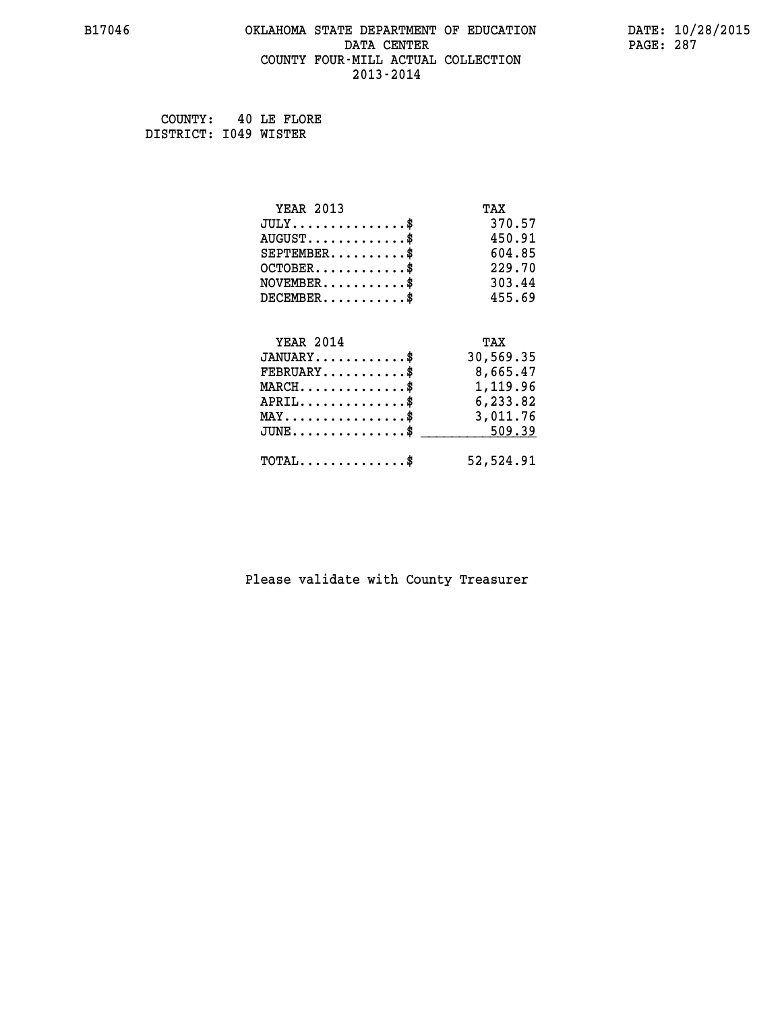#### **B17046 OKLAHOMA STATE DEPARTMENT OF EDUCATION DATE: 10/28/2015 DATA CENTER** PAGE: 287  **COUNTY FOUR-MILL ACTUAL COLLECTION 2013-2014**

 **COUNTY: 40 LE FLORE DISTRICT: I049 WISTER**

| <b>YEAR 2013</b>                               | TAX       |
|------------------------------------------------|-----------|
| $JULY$ \$                                      | 370.57    |
| $AUGUST$ \$                                    | 450.91    |
| $SEPTEMENT.$ \$                                | 604.85    |
| $OCTOBER$ \$                                   | 229.70    |
| $\texttt{NOVEMBER} \dots \dots \dots \$        | 303.44    |
| $DECEMBER$ \$                                  | 455.69    |
| <b>YEAR 2014</b>                               | TAX       |
| $JANUARY$ \$                                   | 30,569.35 |
|                                                |           |
| $FEBRUARY$                                     | 8,665.47  |
| $MARCH$ \$                                     | 1,119.96  |
| $APRIL$ \$                                     | 6,233.82  |
| $\texttt{MAX} \dots \dots \dots \dots \dots \$ | 3,011.76  |
| $JUNE \ldots \ldots \ldots \ldots \ast$        | 509.39    |
|                                                |           |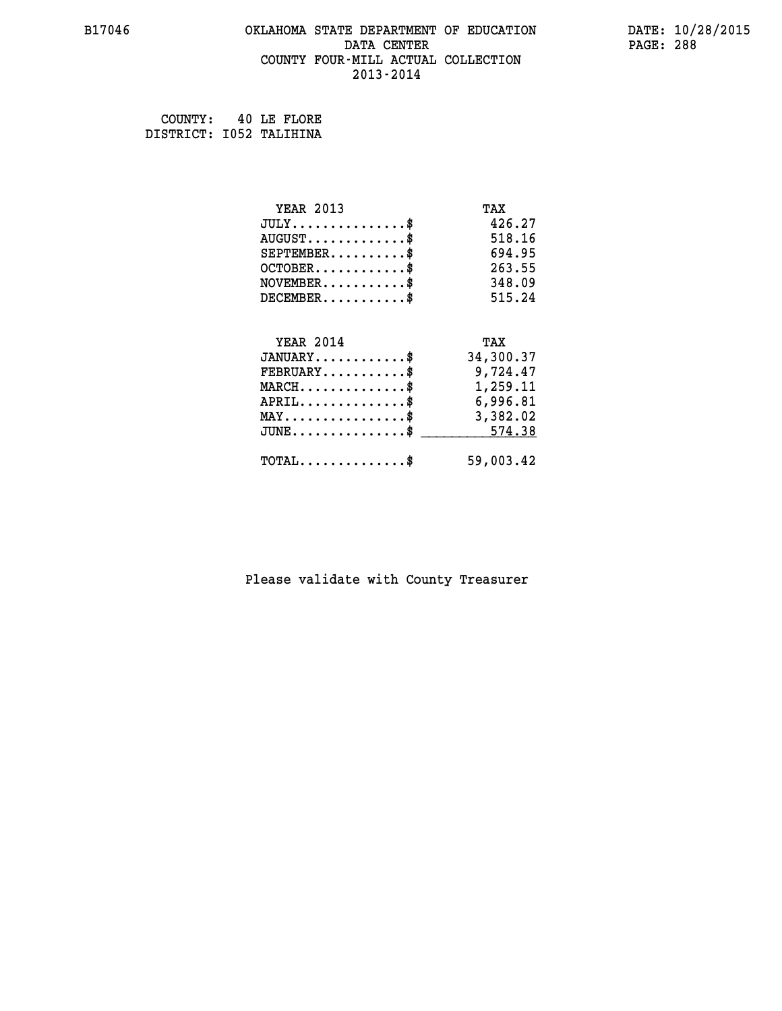## **B17046 OKLAHOMA STATE DEPARTMENT OF EDUCATION DATE: 10/28/2015 DATA CENTER PAGE: 288 COUNTY FOUR-MILL ACTUAL COLLECTION 2013-2014**

 **COUNTY: 40 LE FLORE DISTRICT: I052 TALIHINA**

| <b>YEAR 2013</b>                                 | TAX       |
|--------------------------------------------------|-----------|
| $JULY$ \$                                        | 426.27    |
| $AUGUST$ \$                                      | 518.16    |
| $SEPTEMBER$ \$                                   | 694.95    |
| $OCTOBER$ \$                                     | 263.55    |
| $\texttt{NOVEMBER} \dots \dots \dots \$          | 348.09    |
| $DECEMBER$ \$                                    | 515.24    |
|                                                  |           |
| <b>YEAR 2014</b>                                 | TAX       |
| $JANUARY$ \$                                     | 34,300.37 |
| $FEBRUARY$                                       | 9,724.47  |
| $MARCH$ \$                                       | 1,259.11  |
| $APRIL$ \$                                       | 6,996.81  |
| $\texttt{MAX} \dots \dots \dots \dots \dots \$   | 3,382.02  |
| $\texttt{JUNE} \dots \dots \dots \dots \dots \$$ | 574.38    |
|                                                  |           |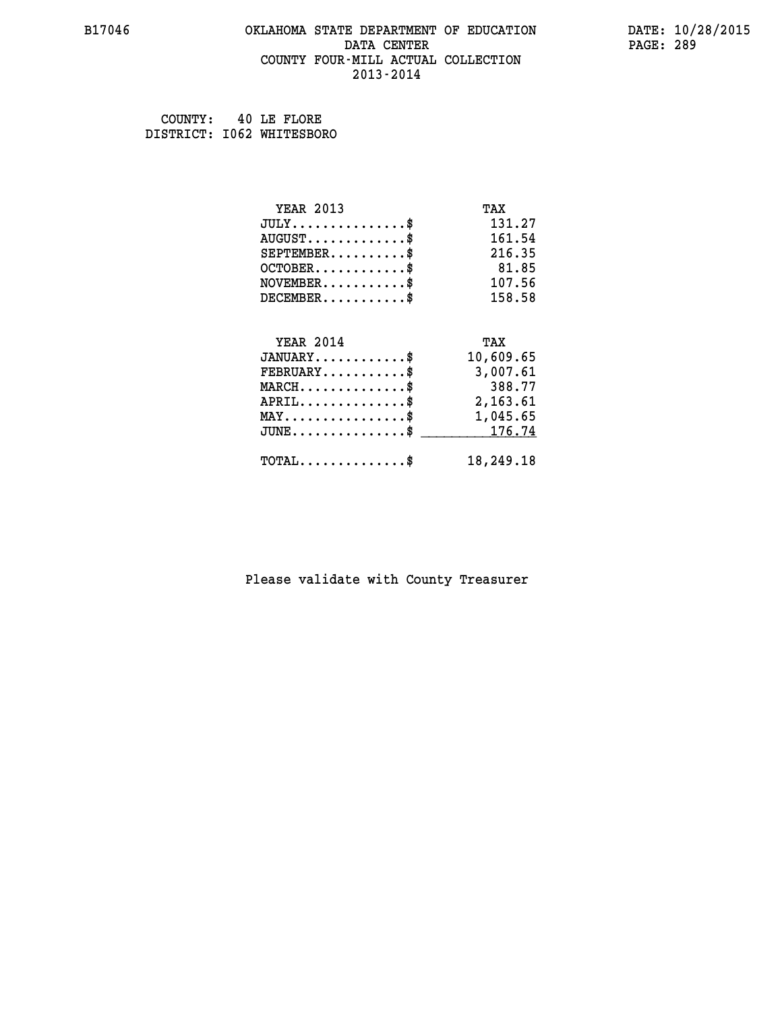#### **B17046 OKLAHOMA STATE DEPARTMENT OF EDUCATION DATE: 10/28/2015 DATA CENTER** PAGE: 289  **COUNTY FOUR-MILL ACTUAL COLLECTION 2013-2014**

 **COUNTY: 40 LE FLORE DISTRICT: I062 WHITESBORO**

| <b>YEAR 2013</b>                               | TAX       |
|------------------------------------------------|-----------|
| $JULY$ \$                                      | 131.27    |
| $AUGUST$ \$                                    | 161.54    |
| $SEPTEMBER$ \$                                 | 216.35    |
| $OCTOBER$ \$                                   | 81.85     |
| $NOVEMBER$ \$                                  | 107.56    |
| $DECEMBER$ \$                                  | 158.58    |
|                                                |           |
| <b>YEAR 2014</b>                               | TAX       |
| $JANUARY$ \$                                   | 10,609.65 |
| $FEBRUARY$                                     | 3,007.61  |
| $MARCH$ \$                                     | 388.77    |
| $APRIL$ \$                                     | 2,163.61  |
| $\texttt{MAX} \dots \dots \dots \dots \dots \$ | 1,045.65  |
| $JUNE \ldots \ldots \ldots \ldots \ast$        | 176.74    |
| $\texttt{TOTAL} \dots \dots \dots \dots \$     | 18,249.18 |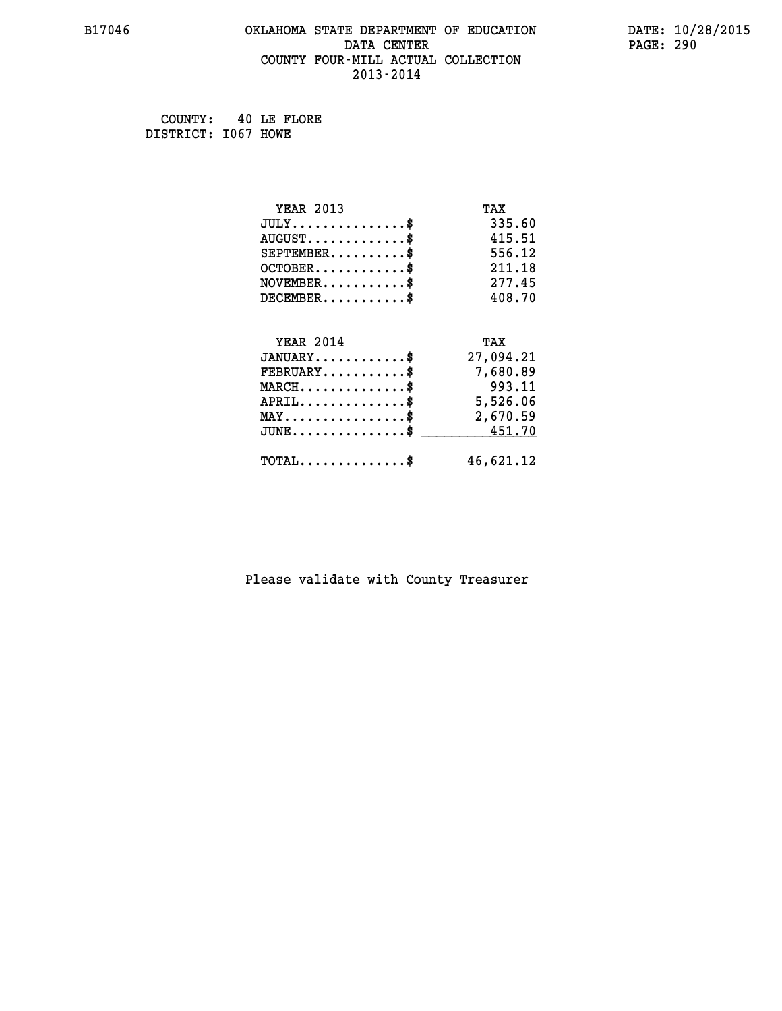#### **B17046 OKLAHOMA STATE DEPARTMENT OF EDUCATION DATE: 10/28/2015 DATA CENTER** PAGE: 290  **COUNTY FOUR-MILL ACTUAL COLLECTION 2013-2014**

 **COUNTY: 40 LE FLORE DISTRICT: I067 HOWE**

| <b>YEAR 2013</b>                               | TAX       |
|------------------------------------------------|-----------|
| $JULY$ \$                                      | 335.60    |
| $AUGUST$ \$                                    | 415.51    |
| $SEPTEMBER$ \$                                 | 556.12    |
| $OCTOBER$ \$                                   | 211.18    |
| $NOVEMBER$ \$                                  | 277.45    |
| $DECEMBER$ \$                                  | 408.70    |
|                                                |           |
| <b>YEAR 2014</b>                               | TAX       |
| $JANUARY$ \$                                   | 27,094.21 |
| $FEBRUARY$                                     | 7,680.89  |
| $MARCH$ \$                                     | 993.11    |
| $APRIL \ldots \ldots \ldots \ldots \$          | 5,526.06  |
| $\texttt{MAX} \dots \dots \dots \dots \dots \$ | 2,670.59  |
| $JUNE \ldots \ldots \ldots \ldots \ast$        | 451.70    |
| $\texttt{TOTAL} \dots \dots \dots \dots \$     | 46,621.12 |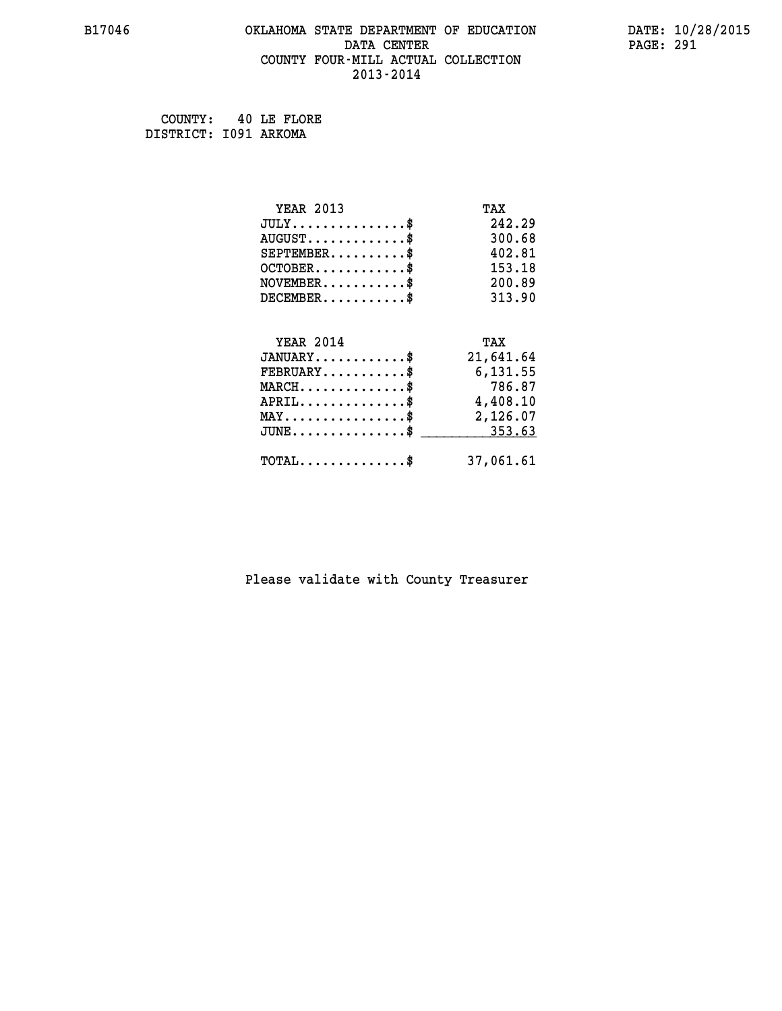#### **B17046 OKLAHOMA STATE DEPARTMENT OF EDUCATION DATE: 10/28/2015 DATA CENTER** PAGE: 291  **COUNTY FOUR-MILL ACTUAL COLLECTION 2013-2014**

 **COUNTY: 40 LE FLORE DISTRICT: I091 ARKOMA**

| <b>YEAR 2013</b>                               | TAX       |
|------------------------------------------------|-----------|
| $JULY$ \$                                      | 242.29    |
| $AUGUST$ \$                                    | 300.68    |
| $SEPTEMENT.$ \$                                | 402.81    |
| $OCTOBER$ \$                                   | 153.18    |
| $\texttt{NOVEMBER} \dots \dots \dots \$        | 200.89    |
| $DECEMBER$ \$                                  | 313.90    |
|                                                |           |
| <b>YEAR 2014</b>                               | TAX       |
|                                                |           |
| $JANUARY$ \$                                   | 21,641.64 |
| $FEBRUARY$ \$                                  | 6,131.55  |
| $MARCH$ \$                                     | 786.87    |
| $APRIL$ \$                                     | 4,408.10  |
| $\texttt{MAX} \dots \dots \dots \dots \dots \$ | 2,126.07  |
| $JUNE$ \$                                      | 353.63    |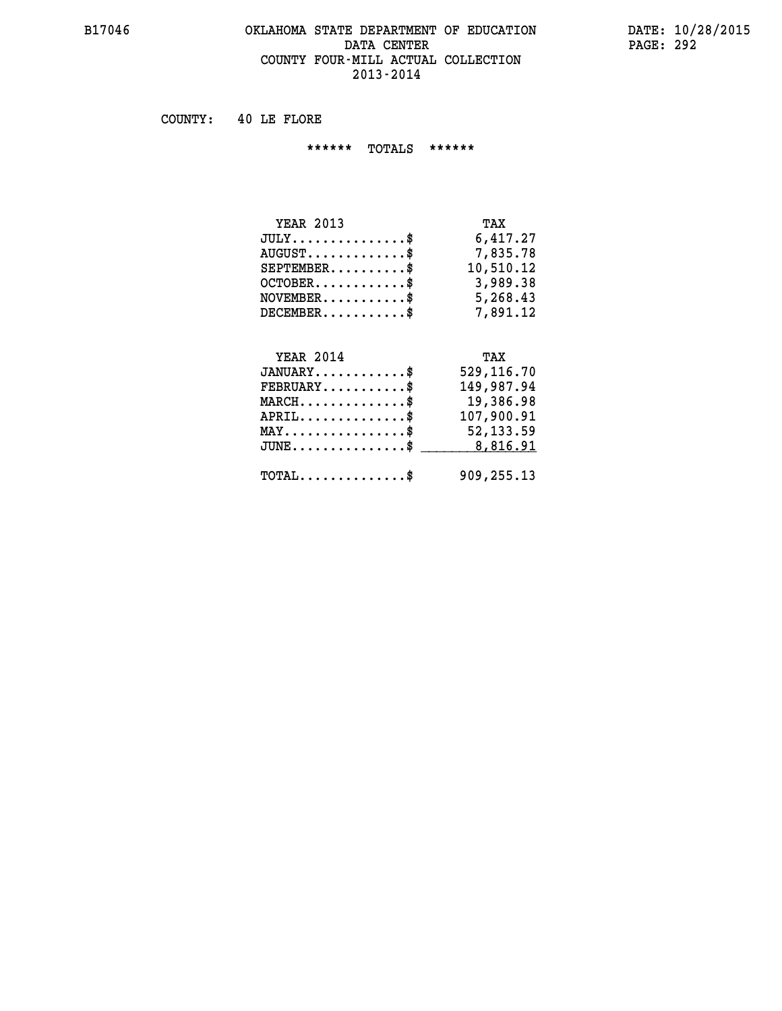#### **B17046 OKLAHOMA STATE DEPARTMENT OF EDUCATION DATE: 10/28/2015 DATA CENTER** PAGE: 292 **COUNTY FOUR-MILL ACTUAL COLLECTION 2013-2014**

 **COUNTY: 40 LE FLORE**

 **\*\*\*\*\*\* TOTALS \*\*\*\*\*\***

| <b>YEAR 2013</b>                 | TAX       |
|----------------------------------|-----------|
| $JULY$                           | 6,417.27  |
| $AUGUST \ldots \ldots \ldots$ \$ | 7,835.78  |
| $SEPTEMBER$ $\$                  | 10,510.12 |
| $OCTOBER$ \$                     | 3,989.38  |
| $NOVEMBER$ \$                    | 5,268.43  |
| $DECEMBER$                       | 7,891.12  |

#### **YEAR 2014 TAX JANUARY............\$ 529,116.70 FEBRUARY...........\$ 149,987.94**

| $\texttt{MARCH}\ldots\ldots\ldots\ldots\text{*}$ | 19,386.98  |
|--------------------------------------------------|------------|
| $APRIL$ \$                                       | 107,900.91 |
| $\texttt{MAX} \dots \dots \dots \dots \dots \$   | 52,133.59  |
| $JUNE \dots \dots \dots \dots \$ 8,816.91        |            |
|                                                  |            |
| $\texttt{TOTAL} \dots \dots \dots \dots \$$      | 909,255.13 |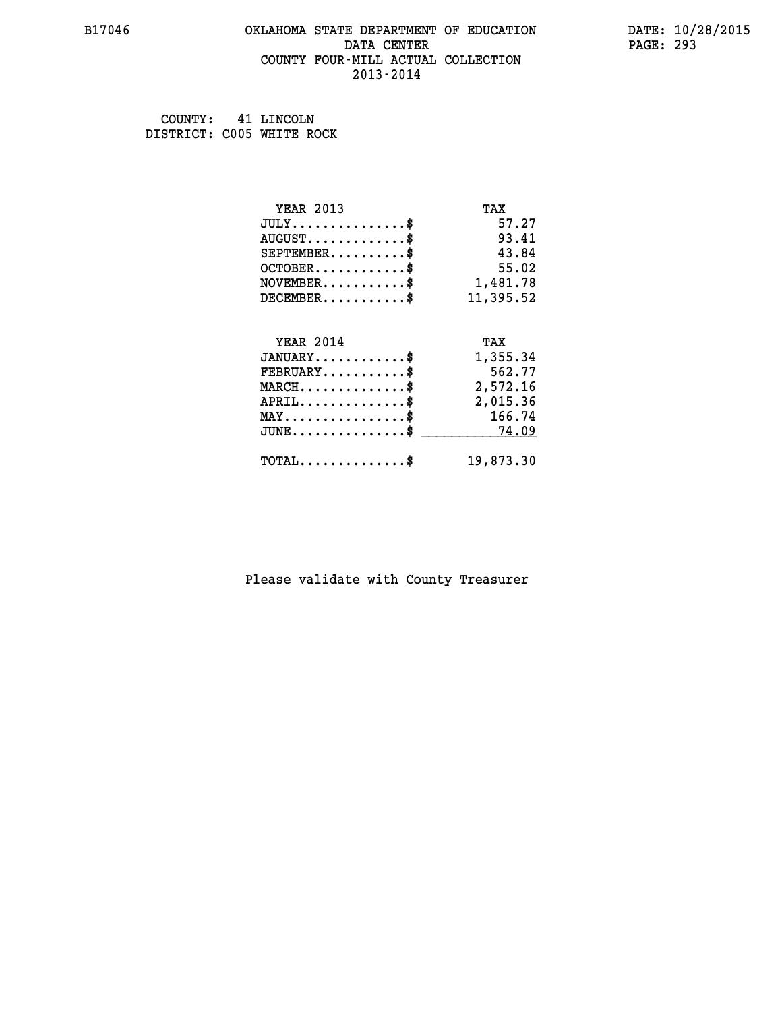#### **B17046 OKLAHOMA STATE DEPARTMENT OF EDUCATION DATE: 10/28/2015 DATA CENTER** PAGE: 293  **COUNTY FOUR-MILL ACTUAL COLLECTION 2013-2014**

 **COUNTY: 41 LINCOLN DISTRICT: C005 WHITE ROCK**

| <b>YEAR 2013</b>                               | TAX       |
|------------------------------------------------|-----------|
| $JULY$ \$                                      | 57.27     |
| $AUGUST$ \$                                    | 93.41     |
| $SEPTEMENT.$ \$                                | 43.84     |
| $OCTOBER$ \$                                   | 55.02     |
| $NOVEMBER.$ \$                                 | 1,481.78  |
| $DECEMBER$ \$                                  | 11,395.52 |
|                                                |           |
| <b>YEAR 2014</b>                               | TAX       |
| $JANUARY$ \$                                   | 1,355.34  |
| $FEBRUARY$                                     | 562.77    |
| $MARCH$ \$                                     | 2,572.16  |
| $APRIL$ \$                                     | 2,015.36  |
| $\texttt{MAX} \dots \dots \dots \dots \dots \$ | 166.74    |
| $JUNE$ \$                                      | 74.09     |
| $TOTAL$ \$                                     | 19,873.30 |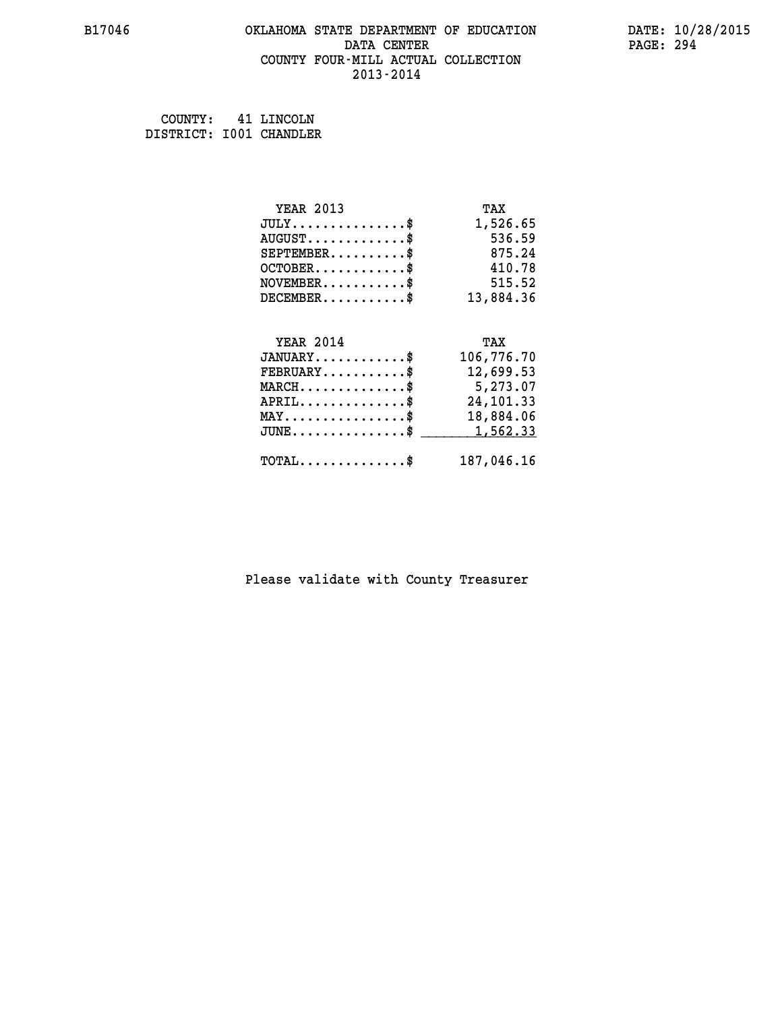#### **B17046 OKLAHOMA STATE DEPARTMENT OF EDUCATION DATE: 10/28/2015 DATA CENTER** PAGE: 294  **COUNTY FOUR-MILL ACTUAL COLLECTION 2013-2014**

 **COUNTY: 41 LINCOLN DISTRICT: I001 CHANDLER**

| <b>YEAR 2013</b>                           | TAX        |
|--------------------------------------------|------------|
| $JULY$ \$                                  | 1,526.65   |
| $AUGUST$ \$                                | 536.59     |
| $SEPTEMBER$ \$                             | 875.24     |
| $OCTOBER$ \$                               | 410.78     |
| $NOVEMBER$ \$                              | 515.52     |
| $DECEMBER$ \$                              | 13,884.36  |
|                                            |            |
| <b>YEAR 2014</b>                           | TAX        |
| $JANUARY$ \$                               | 106,776.70 |
| $FEBRUARY$                                 | 12,699.53  |
| $MARCH$ \$                                 | 5,273.07   |
| $APRIL$ \$                                 | 24, 101.33 |
| $MAX \dots \dots \dots \dots \dots$        | 18,884.06  |
| $JUNE \ldots \ldots \ldots \ldots \$       | 1,562.33   |
| $\texttt{TOTAL} \dots \dots \dots \dots \$ | 187,046.16 |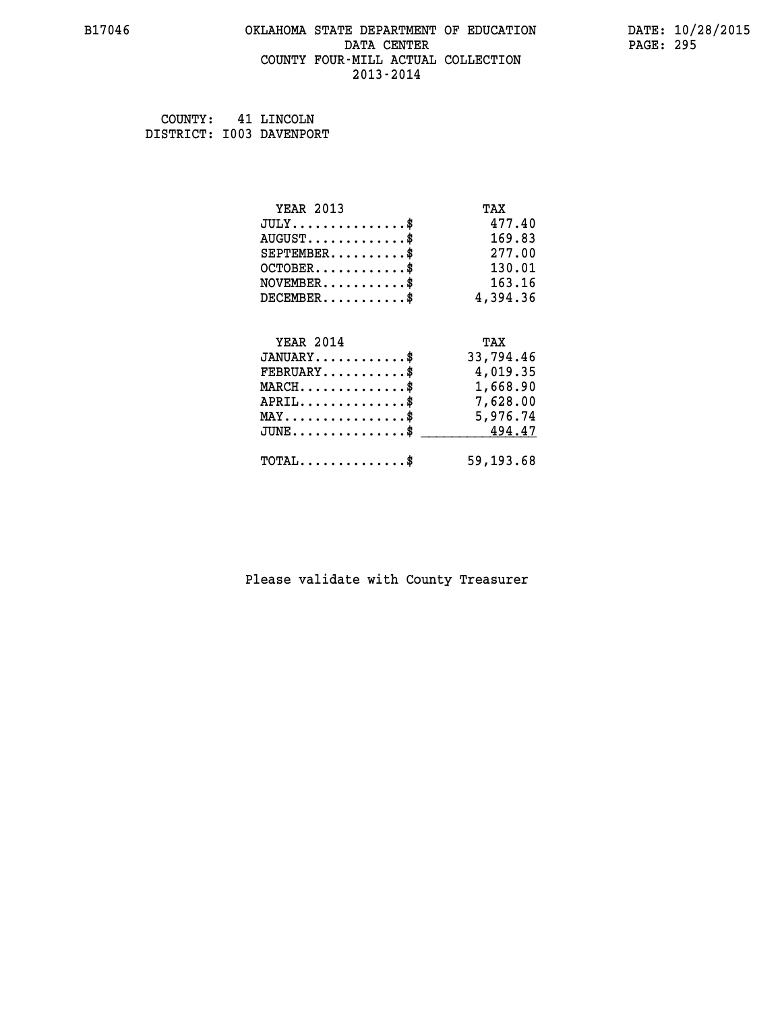#### **B17046 OKLAHOMA STATE DEPARTMENT OF EDUCATION DATE: 10/28/2015 DATA CENTER** PAGE: 295  **COUNTY FOUR-MILL ACTUAL COLLECTION 2013-2014**

 **COUNTY: 41 LINCOLN DISTRICT: I003 DAVENPORT**

| <b>YEAR 2013</b>                                 | TAX        |
|--------------------------------------------------|------------|
| $JULY$ \$                                        | 477.40     |
| $AUGUST$ \$                                      | 169.83     |
| $SEPTEMBER$ \$                                   | 277.00     |
| $OCTOBER$ \$                                     | 130.01     |
| $\texttt{NOVEMBER} \dots \dots \dots \$          | 163.16     |
| $DECEMBER$ \$                                    | 4,394.36   |
|                                                  |            |
| <b>YEAR 2014</b>                                 | TAX        |
| $JANUARY$ \$                                     | 33,794.46  |
| $FEBRUARY$ \$                                    | 4,019.35   |
| $\texttt{MARCH}\ldots\ldots\ldots\ldots\text{*}$ | 1,668.90   |
| $APRIL \ldots \ldots \ldots \ldots$              | 7,628.00   |
| $\texttt{MAX} \dots \dots \dots \dots \dots \$   | 5,976.74   |
| $\texttt{JUNE} \dots \dots \dots \dots \dots \$$ | 494.47     |
| $\texttt{TOTAL} \dots \dots \dots \dots \$       | 59, 193.68 |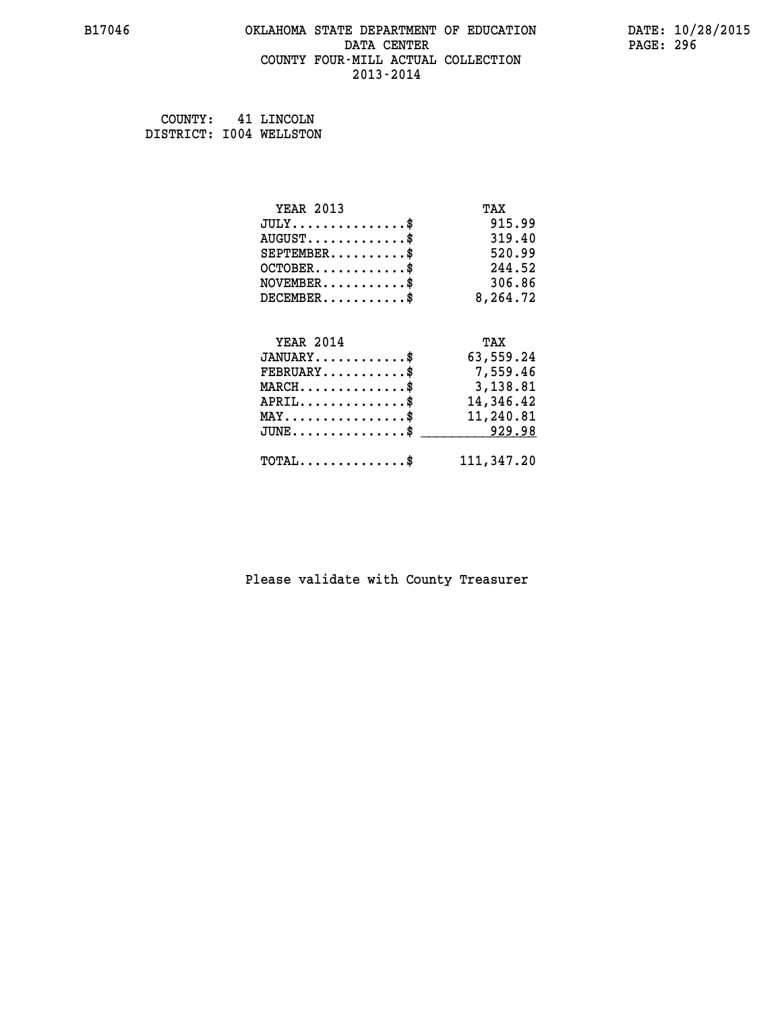#### **B17046 OKLAHOMA STATE DEPARTMENT OF EDUCATION DATE: 10/28/2015 DATA CENTER** PAGE: 296  **COUNTY FOUR-MILL ACTUAL COLLECTION 2013-2014**

 **COUNTY: 41 LINCOLN DISTRICT: I004 WELLSTON**

| <b>YEAR 2013</b>                                 | TAX        |
|--------------------------------------------------|------------|
| $JULY$ \$                                        | 915.99     |
| $AUGUST$ \$                                      | 319.40     |
| $SEPTEMBER$ \$                                   | 520.99     |
| $OCTOBER$ \$                                     | 244.52     |
| $\texttt{NOVEMBER} \dots \dots \dots \$          | 306.86     |
| $DECEMBER$ \$                                    | 8,264.72   |
|                                                  |            |
| <b>YEAR 2014</b>                                 | TAX        |
| $JANUARY$ \$                                     | 63,559.24  |
| $FEBRUARY$                                       | 7,559.46   |
| $\texttt{MARCH}\ldots\ldots\ldots\ldots\text{*}$ | 3,138.81   |
| $APRIL \ldots \ldots \ldots \ldots$              | 14,346.42  |
| $\texttt{MAX} \dots \dots \dots \dots \dots \$   | 11,240.81  |
| $\texttt{JUNE} \dots \dots \dots \dots \dots \$$ | 929.98     |
| $\texttt{TOTAL} \dots \dots \dots \dots \$       | 111,347.20 |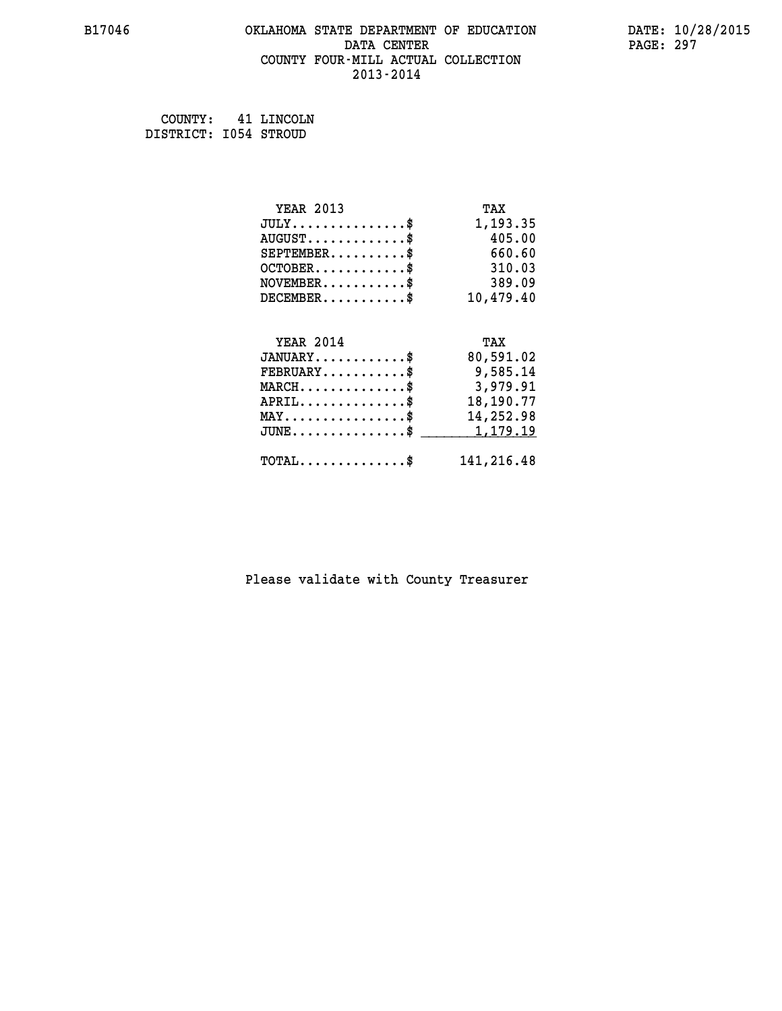#### **B17046 OKLAHOMA STATE DEPARTMENT OF EDUCATION DATE: 10/28/2015 DATA CENTER** PAGE: 297  **COUNTY FOUR-MILL ACTUAL COLLECTION 2013-2014**

 **COUNTY: 41 LINCOLN DISTRICT: I054 STROUD**

| <b>YEAR 2013</b>                               | TAX        |
|------------------------------------------------|------------|
| $JULY$ \$                                      | 1,193.35   |
| $AUGUST$ \$                                    | 405.00     |
| $SEPTEMBER$ \$                                 | 660.60     |
| $OCTOBER$ \$                                   | 310.03     |
| $NOVEMBER.$ \$                                 | 389.09     |
| $DECEMBER$ \$                                  | 10,479.40  |
|                                                |            |
| <b>YEAR 2014</b>                               | TAX        |
| $JANUARY$ \$                                   | 80,591.02  |
| $FEBRUARY$ \$                                  | 9,585.14   |
| $MARCH$ \$                                     | 3,979.91   |
| $APRIL \ldots \ldots \ldots \ldots$ \$         | 18,190.77  |
| $\texttt{MAX} \dots \dots \dots \dots \dots \$ | 14,252.98  |
| $JUNE$ \$                                      | 1,179.19   |
| $\texttt{TOTAL} \dots \dots \dots \dots \$     | 141,216.48 |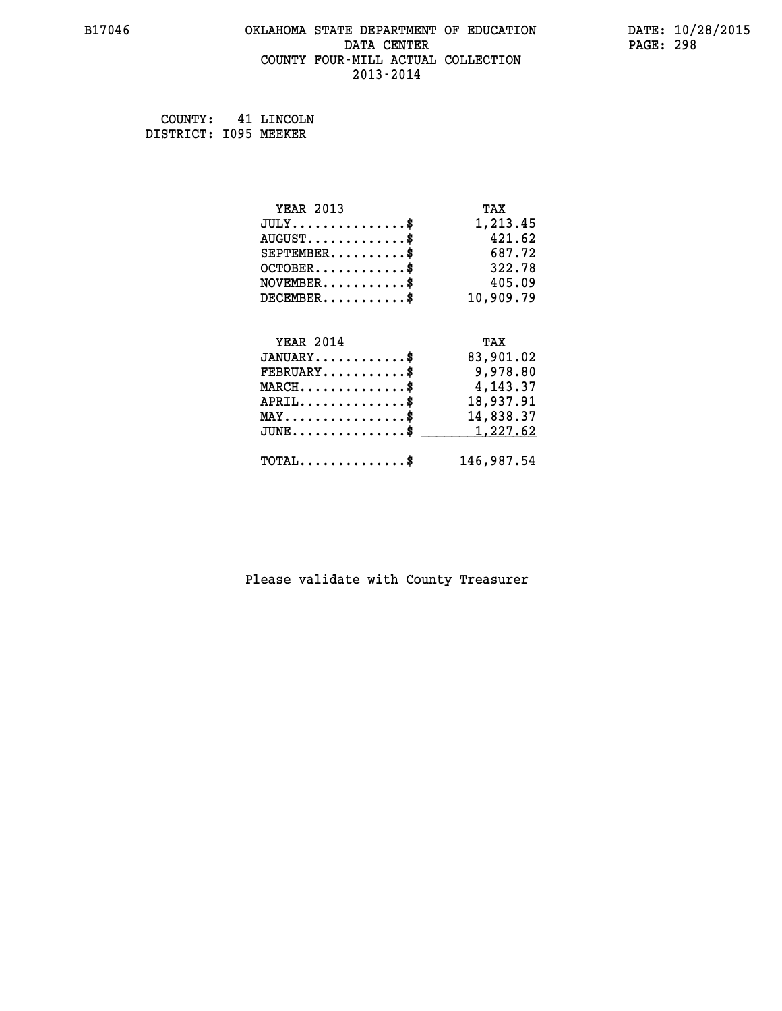#### **B17046 OKLAHOMA STATE DEPARTMENT OF EDUCATION DATE: 10/28/2015 DATA CENTER PAGE: 298 COUNTY FOUR-MILL ACTUAL COLLECTION 2013-2014**

 **COUNTY: 41 LINCOLN DISTRICT: I095 MEEKER**

| <b>YEAR 2013</b>                               | TAX        |
|------------------------------------------------|------------|
| $JULY$ \$                                      | 1,213.45   |
| $AUGUST$ \$                                    | 421.62     |
| $SEPTEMBER$ \$                                 | 687.72     |
| $OCTOBER$ \$                                   | 322.78     |
| $NOVEMBER$ \$                                  | 405.09     |
| $DECEMBER$ \$                                  | 10,909.79  |
|                                                |            |
| <b>YEAR 2014</b>                               | TAX        |
| $JANUARY$ \$                                   | 83,901.02  |
| $FEBRUARY$                                     | 9,978.80   |
| $MARCH$ \$                                     | 4,143.37   |
| $APRIL \ldots \ldots \ldots \ldots \$          | 18,937.91  |
| $\texttt{MAX} \dots \dots \dots \dots \dots \$ | 14,838.37  |
| $JUNE$ \$                                      | 1,227.62   |
| $\texttt{TOTAL} \dots \dots \dots \dots \$     | 146,987.54 |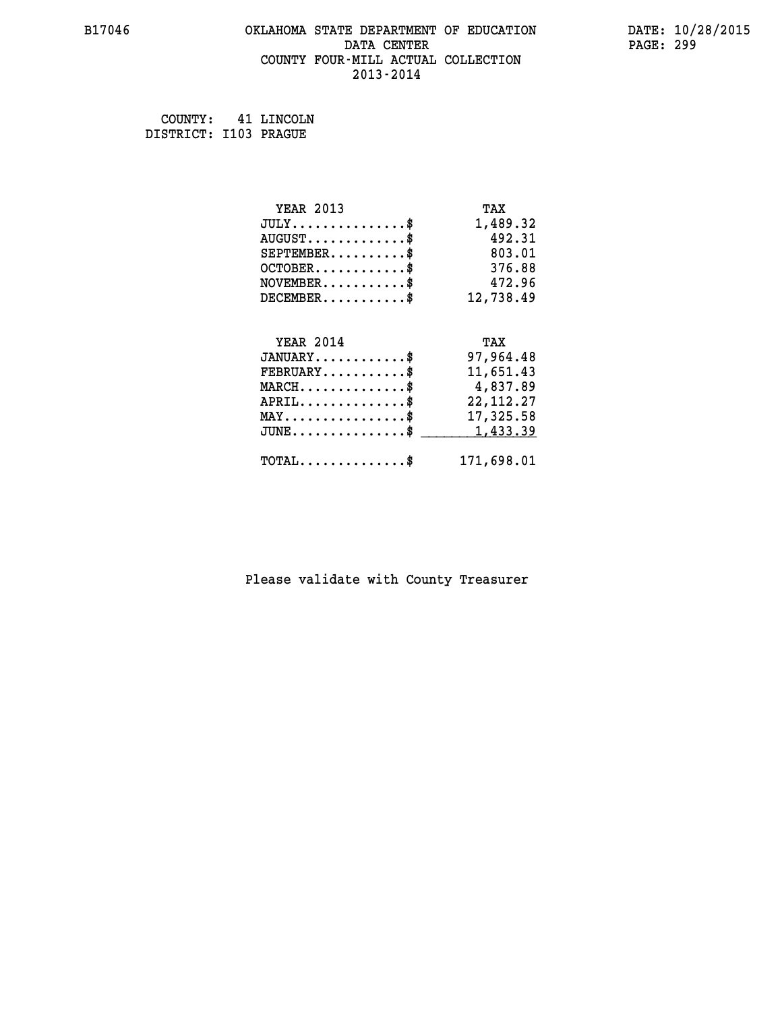#### **B17046 OKLAHOMA STATE DEPARTMENT OF EDUCATION DATE: 10/28/2015 DATA CENTER** PAGE: 299  **COUNTY FOUR-MILL ACTUAL COLLECTION 2013-2014**

 **COUNTY: 41 LINCOLN DISTRICT: I103 PRAGUE**

| <b>YEAR 2013</b>                                  | TAX         |
|---------------------------------------------------|-------------|
| $JULY$ \$                                         | 1,489.32    |
| $AUGUST$ \$                                       | 492.31      |
| $SEPTEMBER$ \$                                    | 803.01      |
| $OCTOBER$ \$                                      | 376.88      |
| $\texttt{NOVEMBER} \dots \dots \dots \$           | 472.96      |
| $DECEMBER$ \$                                     | 12,738.49   |
|                                                   |             |
| <b>YEAR 2014</b>                                  | TAX         |
| $JANUARY$ \$                                      | 97,964.48   |
| $FEBRUARY$                                        | 11,651.43   |
| $MARCH$ \$                                        | 4,837.89    |
| $APRIL \ldots \ldots \ldots \ldots$ \$            | 22, 112. 27 |
| $\texttt{MAX} \dots \dots \dots \dots \texttt{*}$ | 17,325.58   |
| $JUNE$ \$                                         | 1,433.39    |
| $\texttt{TOTAL} \dots \dots \dots \dots \$        | 171,698.01  |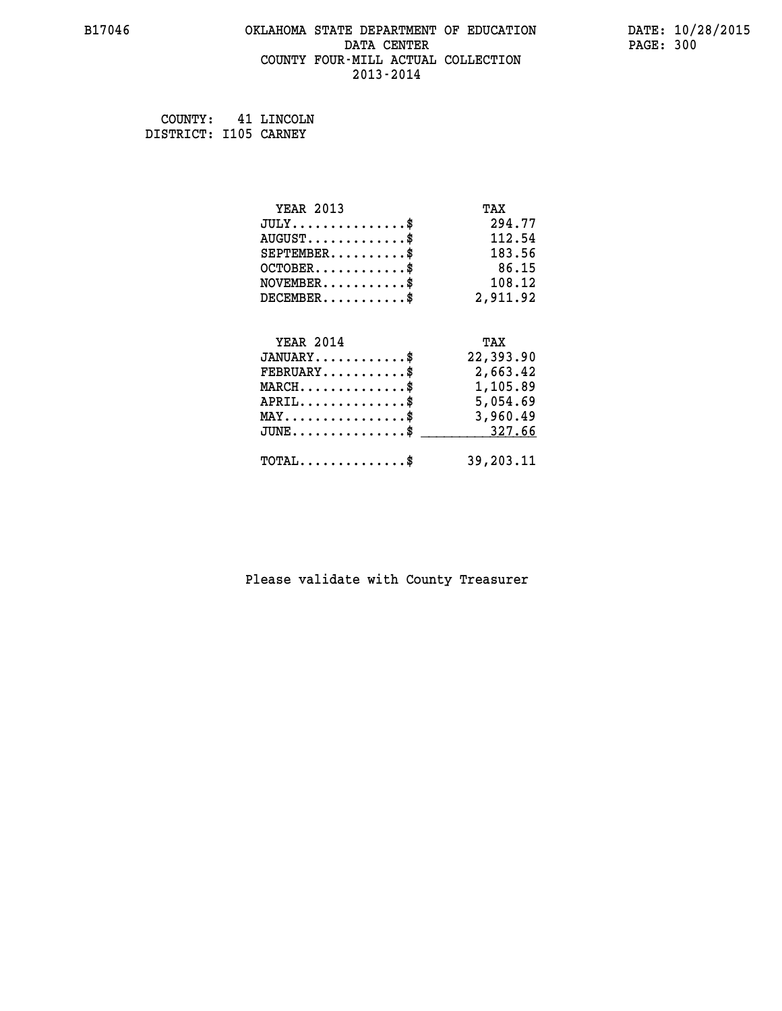#### **B17046 OKLAHOMA STATE DEPARTMENT OF EDUCATION DATE: 10/28/2015 DATA CENTER** PAGE: 300  **COUNTY FOUR-MILL ACTUAL COLLECTION 2013-2014**

 **COUNTY: 41 LINCOLN DISTRICT: I105 CARNEY**

| <b>YEAR 2013</b>                                 | TAX       |
|--------------------------------------------------|-----------|
| $JULY$ \$                                        | 294.77    |
| $AUGUST$ \$                                      | 112.54    |
| $SEPTEMENT.$ \$                                  | 183.56    |
| $OCTOBER$ \$                                     | 86.15     |
| $\texttt{NOVEMBER} \dots \dots \dots \$          | 108.12    |
| $DECEMBER$ \$                                    | 2,911.92  |
|                                                  |           |
| <b>YEAR 2014</b>                                 | TAX       |
| $JANUARY$ \$                                     | 22,393.90 |
| $FEBRUARY$                                       | 2,663.42  |
| $MARCH$ \$                                       | 1,105.89  |
| $APRIL \ldots \ldots \ldots \ldots \$            | 5,054.69  |
| $\texttt{MAX} \dots \dots \dots \dots \dots \$$  | 3,960.49  |
| $\texttt{JUNE} \dots \dots \dots \dots \dots \$$ | 327.66    |
| $\texttt{TOTAL} \dots \dots \dots \dots \$       | 39,203.11 |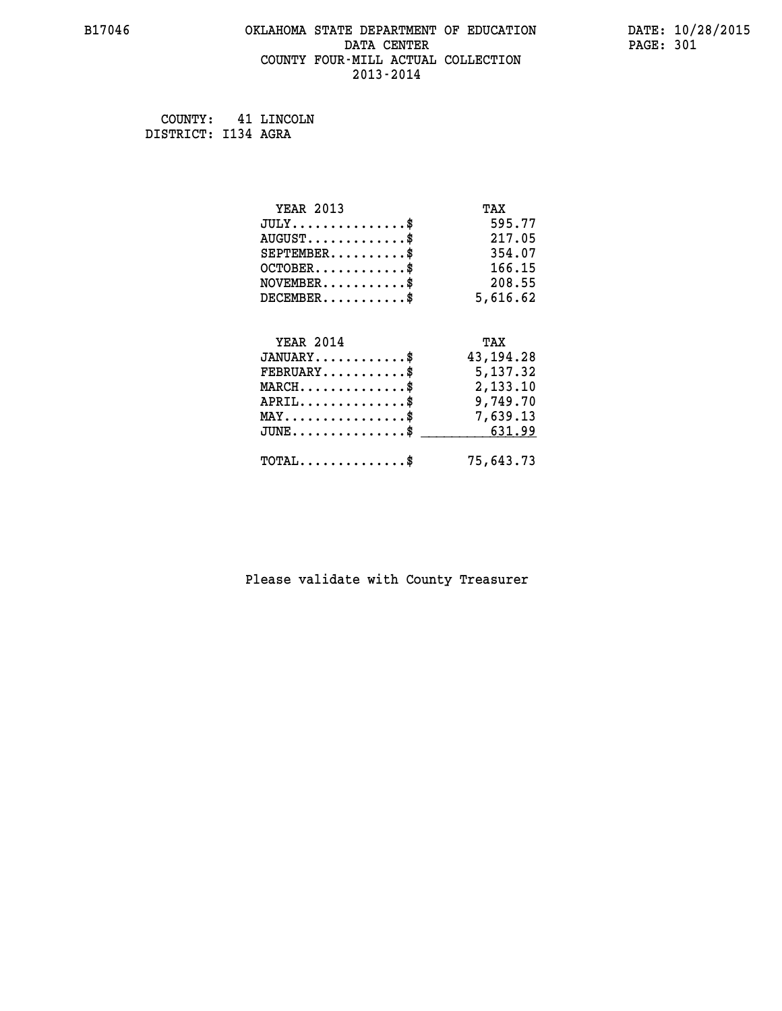#### **B17046 OKLAHOMA STATE DEPARTMENT OF EDUCATION DATE: 10/28/2015 DATA CENTER** PAGE: 301  **COUNTY FOUR-MILL ACTUAL COLLECTION 2013-2014**

 **COUNTY: 41 LINCOLN DISTRICT: I134 AGRA**

| <b>YEAR 2013</b>                                 | TAX         |
|--------------------------------------------------|-------------|
| $JULY$ \$                                        | 595.77      |
| $AUGUST$ \$                                      | 217.05      |
| $SEPTEMBER$ \$                                   | 354.07      |
| $OCTOBER$ \$                                     | 166.15      |
| $\texttt{NOVEMBER} \dots \dots \dots \$          | 208.55      |
| $DECEMBER$ \$                                    | 5,616.62    |
|                                                  |             |
| <b>YEAR 2014</b>                                 | TAX         |
| $JANUARY$ \$                                     | 43, 194. 28 |
| $\texttt{FEBRUARY} \dots \dots \dots \$          | 5,137.32    |
| $\texttt{MARCH}\ldots\ldots\ldots\ldots\text{*}$ | 2,133.10    |
| $APRIL \ldots \ldots \ldots \ldots \$            | 9,749.70    |
| $\texttt{MAX} \dots \dots \dots \dots \dots \$   | 7,639.13    |
| $\texttt{JUNE} \dots \dots \dots \dots \dots \$$ | 631.99      |
| $\texttt{TOTAL} \dots \dots \dots \dots \$       | 75,643.73   |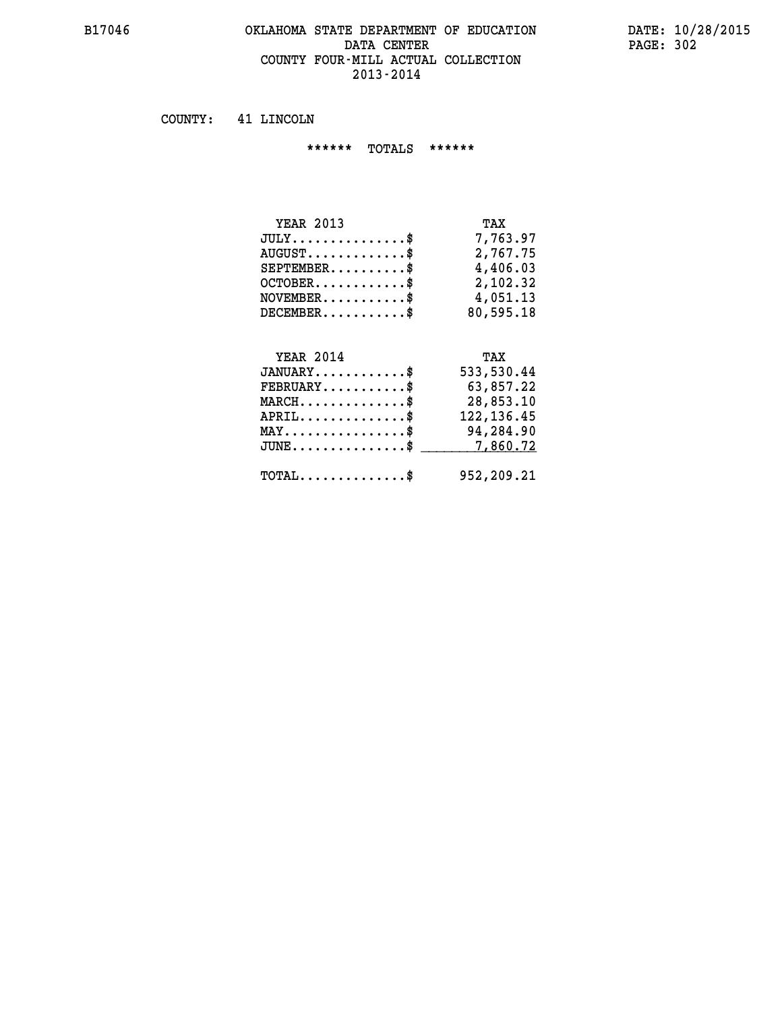#### **B17046 OKLAHOMA STATE DEPARTMENT OF EDUCATION DATE: 10/28/2015 DATA CENTER PAGE: 302 COUNTY FOUR-MILL ACTUAL COLLECTION 2013-2014**

 **COUNTY: 41 LINCOLN**

 **\*\*\*\*\*\* TOTALS \*\*\*\*\*\***

| TAX       |
|-----------|
| 7,763.97  |
| 2,767.75  |
| 4,406.03  |
| 2,102.32  |
| 4,051.13  |
| 80,595.18 |
|           |

#### **YEAR 2014 TAX JANUARY............\$ 533,530.44 FEBRUARY...........\$ 63,857.22 MARCH..............\$ 28,853.10 APRIL..............\$ 122,136.45 MAY................\$ 94,284.90** JUNE..............\$ <u>\_\_\_\_\_\_\_\_\_\_\_\_7,860.72</u>

 **TOTAL..............\$ 952,209.21**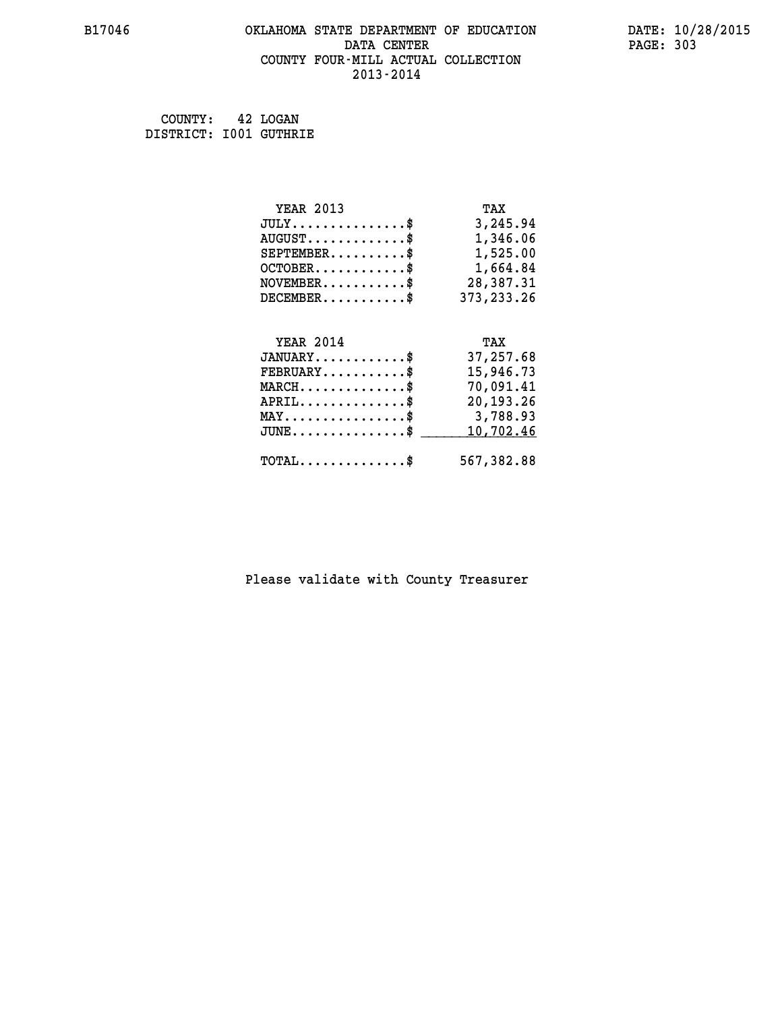#### **B17046 OKLAHOMA STATE DEPARTMENT OF EDUCATION DATE: 10/28/2015 DATA CENTER** PAGE: 303  **COUNTY FOUR-MILL ACTUAL COLLECTION 2013-2014**

 **COUNTY: 42 LOGAN DISTRICT: I001 GUTHRIE**

| <b>YEAR 2013</b>                                                          | TAX          |
|---------------------------------------------------------------------------|--------------|
| $JULY$ \$                                                                 | 3,245.94     |
| $AUGUST$ \$                                                               | 1,346.06     |
| $SEPTEMBER$ \$                                                            | 1,525.00     |
| OCTOBER\$ 1,664.84                                                        |              |
| $\verb NOVEMBER , \verb , \verb , \verb , \verb , \verb , \verb , \verb $ | 28,387.31    |
| $DECEMBER$ \$                                                             | 373, 233. 26 |
|                                                                           |              |
| <b>YEAR 2014</b>                                                          | TAX          |
| $JANUARY$ \$                                                              | 37,257.68    |
| $FEBRUARY$                                                                | 15,946.73    |
| $MARCH$ \$                                                                | 70,091.41    |
| $APRIL \ldots \ldots \ldots \ldots *$                                     | 20,193.26    |
| MAY\$ 3,788.93                                                            |              |
| $\texttt{JUNE} \dots \dots \dots \dots \$                                 | 10,702.46    |
| $\texttt{TOTAL} \dots \dots \dots \dots \$                                | 567,382.88   |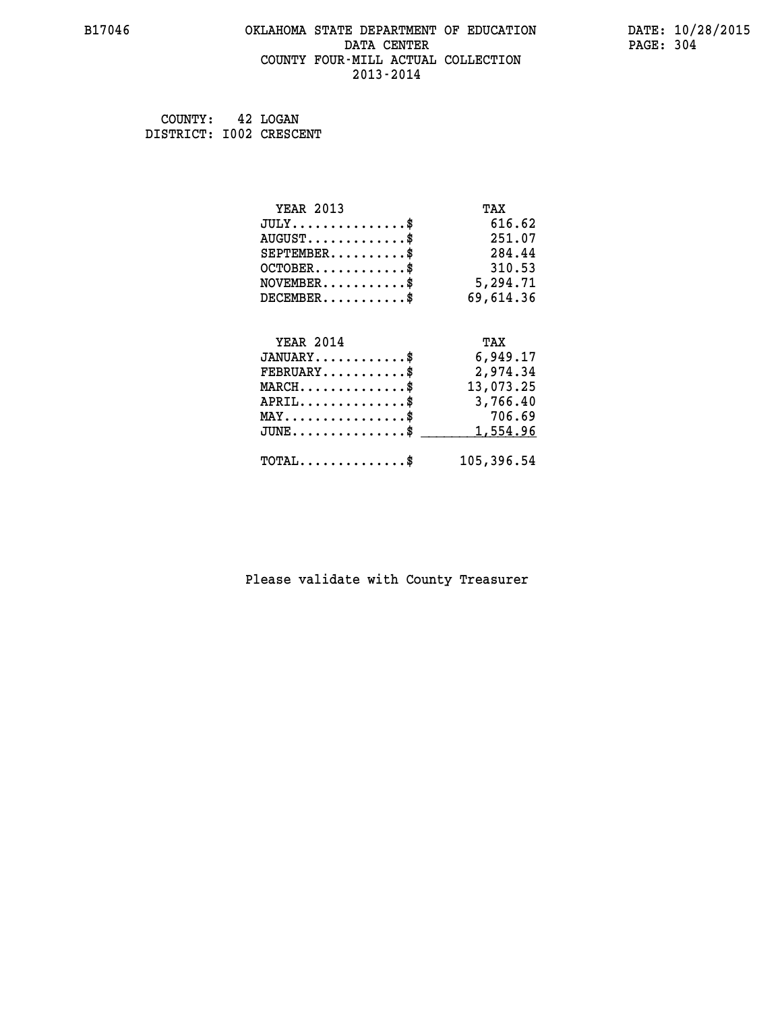# **B17046 OKLAHOMA STATE DEPARTMENT OF EDUCATION DATE: 10/28/2015** DATA CENTER PAGE: 304  **COUNTY FOUR-MILL ACTUAL COLLECTION 2013-2014**

 **COUNTY: 42 LOGAN DISTRICT: I002 CRESCENT**

| <b>YEAR 2013</b>                                                          | TAX       |
|---------------------------------------------------------------------------|-----------|
| $JULY$ \$                                                                 | 616.62    |
| $AUGUST$ \$                                                               | 251.07    |
| $SEPTEMENT.$ \$                                                           | 284.44    |
| $OCTOBER$ \$                                                              | 310.53    |
| $\verb NOVEMBER , \verb , \verb , \verb , \verb , \verb , \verb , \verb $ | 5,294.71  |
| $DECEMBER$ \$                                                             | 69,614.36 |
|                                                                           |           |
| <b>YEAR 2014</b>                                                          | TAX       |
| $JANUARY$ \$                                                              | 6,949.17  |
| $FEBRUARY$                                                                | 2,974.34  |
| $MARCH$ \$                                                                | 13,073.25 |
| $APRIL \ldots \ldots \ldots \ldots \$                                     | 3,766.40  |
| $MAX \dots \dots \dots \dots \dots \$ 706.69                              |           |
|                                                                           |           |
| $JUNE \ldots \ldots \ldots \ldots \ldots$ \$                              | 1,554.96  |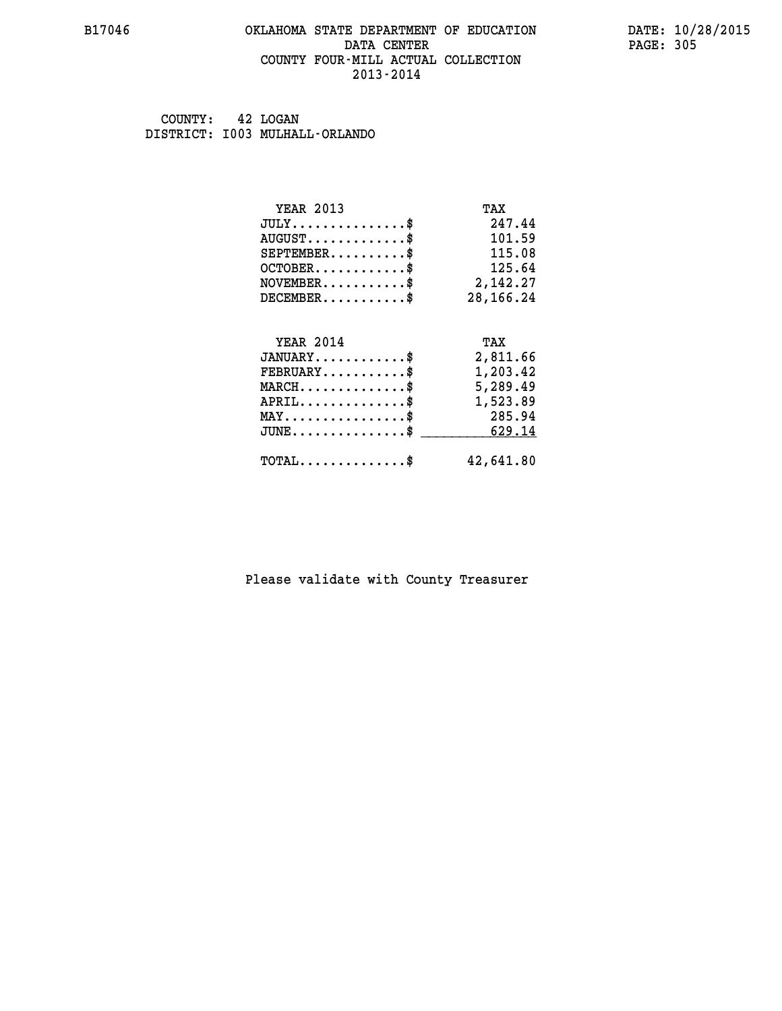#### **B17046 OKLAHOMA STATE DEPARTMENT OF EDUCATION DATE: 10/28/2015 DATA CENTER** PAGE: 305  **COUNTY FOUR-MILL ACTUAL COLLECTION 2013-2014**

 **COUNTY: 42 LOGAN DISTRICT: I003 MULHALL-ORLANDO**

| <b>YEAR 2013</b>                        | TAX         |
|-----------------------------------------|-------------|
| $JULY$ \$                               | 247.44      |
| $AUGUST$ \$                             | 101.59      |
| $SEPTEMENT.$ \$                         | 115.08      |
| $OCTOBER$ \$                            | 125.64      |
| $\texttt{NOVEMBER} \dots \dots \dots \$ | 2,142.27    |
| $DECEMBER$ \$                           | 28, 166. 24 |
|                                         |             |
| <b>YEAR 2014</b>                        | TAX         |
| $JANUARY$                               | 2,811.66    |
| $FEBRUARY$ \$                           | 1,203.42    |
|                                         |             |
| $MARCH$ \$                              | 5,289.49    |
| $APRIL$ \$                              | 1,523.89    |
| $MAX \dots \dots \dots \dots \dots$     | 285.94      |
| $JUNE$ \$                               | 629.14      |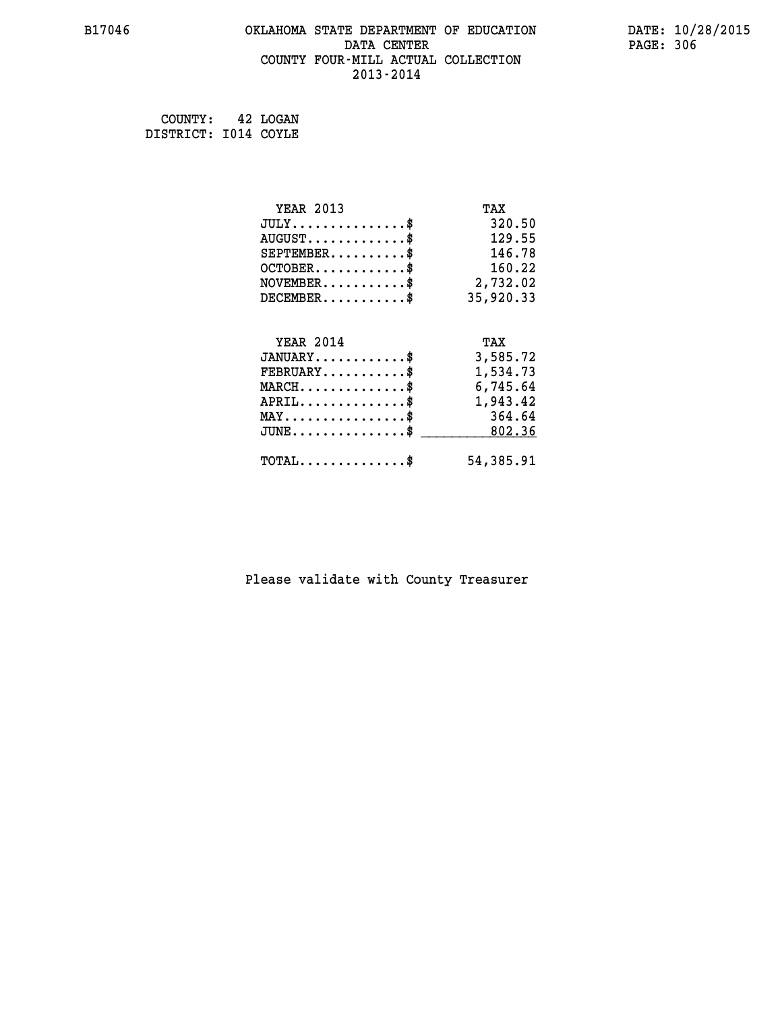#### **B17046 OKLAHOMA STATE DEPARTMENT OF EDUCATION DATE: 10/28/2015 DATA CENTER** PAGE: 306  **COUNTY FOUR-MILL ACTUAL COLLECTION 2013-2014**

 **COUNTY: 42 LOGAN DISTRICT: I014 COYLE**

| <b>YEAR 2013</b>                                                          | TAX       |
|---------------------------------------------------------------------------|-----------|
| $JULY$ \$                                                                 | 320.50    |
| $AUGUST$ \$                                                               | 129.55    |
| $SEPTEMBER$ \$                                                            | 146.78    |
| $OCTOBER$ \$                                                              | 160.22    |
| $\verb NOVEMBER , \verb , \verb , \verb , \verb , \verb , \verb , \verb $ | 2,732.02  |
| $DECEMBER$ \$                                                             | 35,920.33 |
|                                                                           |           |
| <b>YEAR 2014</b>                                                          | TAX       |
| $JANUARY$ \$                                                              | 3,585.72  |
| $FEBRUARY$                                                                | 1,534.73  |
| $MARCH$ \$                                                                | 6,745.64  |
| $APRIL$ \$                                                                | 1,943.42  |
| $MAX \dots \dots \dots \dots \dots$                                       | 364.64    |
| $JUNE \ldots \ldots \ldots \ldots \bullet$                                | 802.36    |
| $\texttt{TOTAL} \dots \dots \dots \dots \$                                | 54,385.91 |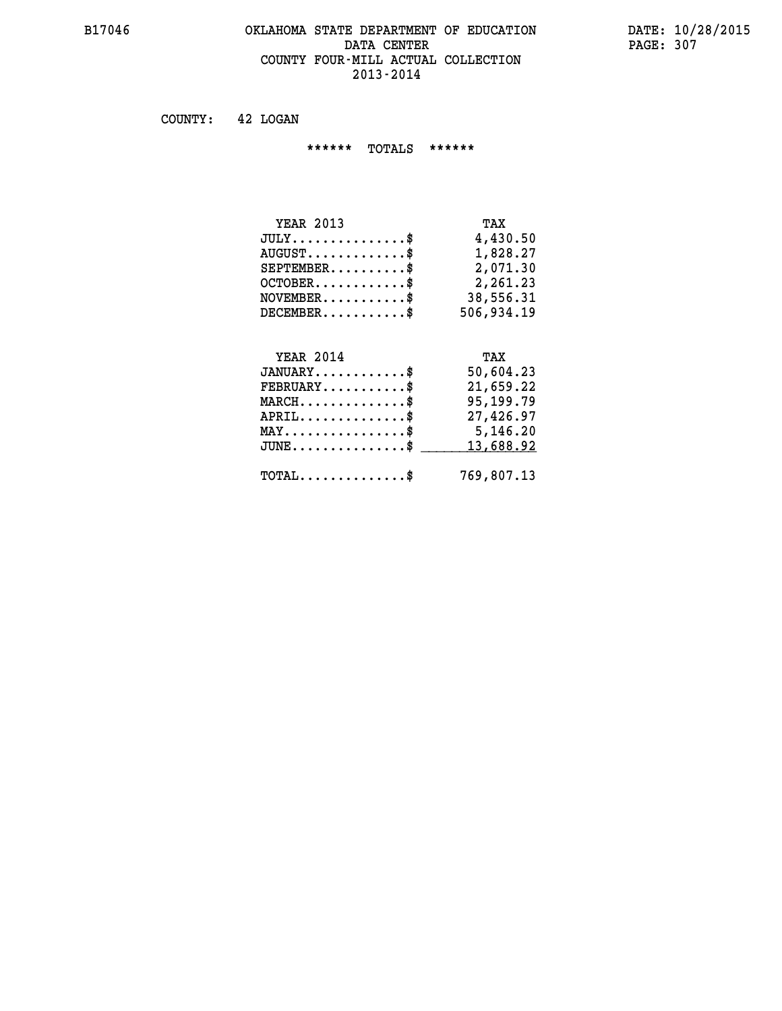### **B17046 OKLAHOMA STATE DEPARTMENT OF EDUCATION DATE: 10/28/2015 DATA CENTER PAGE: 307 COUNTY FOUR-MILL ACTUAL COLLECTION 2013-2014**

 **COUNTY: 42 LOGAN**

 **\*\*\*\*\*\* TOTALS \*\*\*\*\*\***

| <b>YEAR 2013</b> | TAX        |
|------------------|------------|
| $JULY$           | 4,430.50   |
| $AUGUST$ \$      | 1,828.27   |
| $SEPTEMBER$      | 2,071.30   |
| $OCTOBER$ \$     | 2,261.23   |
| $NOVEMBER$ \$    | 38,556.31  |
| $DECEMBER$       | 506,934.19 |

# **YEAR 2014 TAX**

| $JANUARY$<br>$\texttt{FEBRUARY} \dots \dots \dots \$ | 50,604.23<br>21,659.22 |
|------------------------------------------------------|------------------------|
| $MARCH$ \$                                           | 95, 199. 79            |
| APRIL                                                | 27,426.97              |
| $MAX \dots \dots \dots \dots \$                      | 5,146.20               |
| $JUNE \ldots \ldots \ldots \ldots$ \$ 13,688.92      |                        |
| $\texttt{TOTAL} \dots \dots \dots \dots \text{*}$    | 769,807.13             |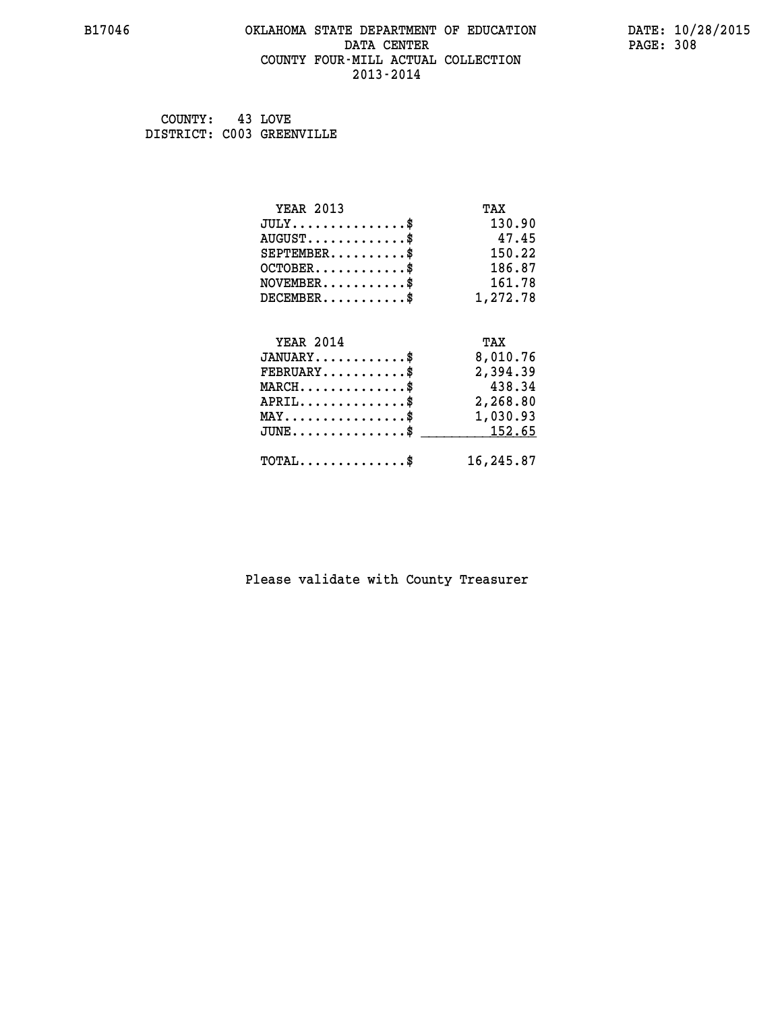#### **B17046 OKLAHOMA STATE DEPARTMENT OF EDUCATION DATE: 10/28/2015 DATA CENTER** PAGE: 308  **COUNTY FOUR-MILL ACTUAL COLLECTION 2013-2014**

 **COUNTY: 43 LOVE DISTRICT: C003 GREENVILLE**

| <b>YEAR 2013</b>                               | TAX       |
|------------------------------------------------|-----------|
| $JULY$ \$                                      | 130.90    |
| $AUGUST$ \$                                    | 47.45     |
| $SEPTEMENT.$ \$                                | 150.22    |
| $OCTOBER$ \$                                   | 186.87    |
| $NOVEMBER.$ \$                                 | 161.78    |
| $DECEMBER$ \$                                  | 1,272.78  |
| <b>YEAR 2014</b>                               | TAX       |
| $JANUARY$ \$                                   | 8,010.76  |
| $FEBRUARY$ \$                                  | 2,394.39  |
| $MARCH$ \$                                     | 438.34    |
| $APRIL$ \$                                     | 2,268.80  |
| $\texttt{MAX} \dots \dots \dots \dots \dots \$ | 1,030.93  |
| $JUNE$ \$                                      | 152.65    |
| $\texttt{TOTAL} \dots \dots \dots \dots \$     | 16,245.87 |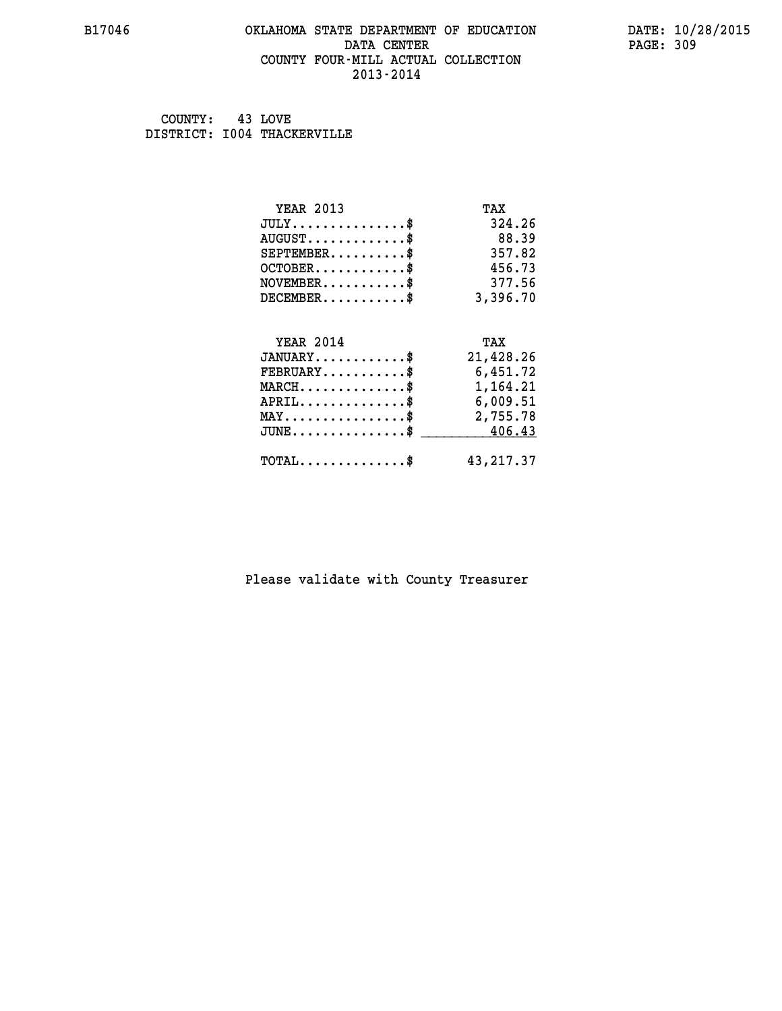#### **B17046 OKLAHOMA STATE DEPARTMENT OF EDUCATION DATE: 10/28/2015 DATA CENTER** PAGE: 309  **COUNTY FOUR-MILL ACTUAL COLLECTION 2013-2014**

 **COUNTY: 43 LOVE DISTRICT: I004 THACKERVILLE**

| <b>YEAR 2013</b>                                 | TAX        |
|--------------------------------------------------|------------|
| $JULY$ \$                                        | 324.26     |
| $AUGUST$ \$                                      | 88.39      |
| $SEPTEMBER$ \$                                   | 357.82     |
| $OCTOBER$ \$                                     | 456.73     |
| $\texttt{NOVEMBER} \dots \dots \dots \$          | 377.56     |
| $DECEMBER$ \$                                    | 3,396.70   |
|                                                  |            |
| <b>YEAR 2014</b>                                 | TAX        |
| $JANUARY$ \$                                     | 21,428.26  |
| $FEBRUARY$ \$                                    | 6,451.72   |
| $\texttt{MARCH}\ldots\ldots\ldots\ldots\text{*}$ | 1,164.21   |
| $APRIL \ldots \ldots \ldots \ldots$ \$           | 6,009.51   |
| $\texttt{MAX} \dots \dots \dots \dots \dots \$   | 2,755.78   |
| $\texttt{JUNE} \dots \dots \dots \dots \dots \$$ | 406.43     |
| $\texttt{TOTAL} \dots \dots \dots \dots \$       | 43, 217.37 |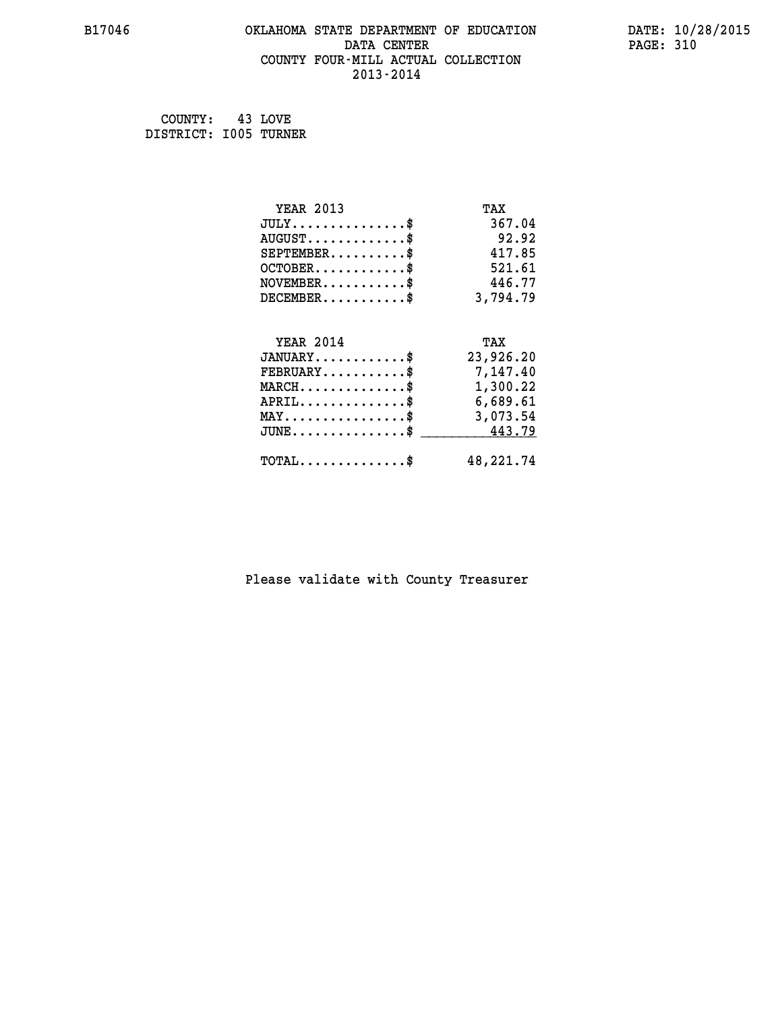#### **B17046 OKLAHOMA STATE DEPARTMENT OF EDUCATION DATE: 10/28/2015 DATA CENTER** PAGE: 310  **COUNTY FOUR-MILL ACTUAL COLLECTION 2013-2014**

 **COUNTY: 43 LOVE DISTRICT: I005 TURNER**

| <b>YEAR 2013</b>                                 | TAX       |
|--------------------------------------------------|-----------|
| $JULY$ \$                                        | 367.04    |
| $AUGUST$ \$                                      | 92.92     |
| $SEPTEMBER$ \$                                   | 417.85    |
| $OCTOBER$ \$                                     | 521.61    |
| $\texttt{NOVEMBER} \dots \dots \dots \$          | 446.77    |
| $DECEMBER$ \$                                    | 3,794.79  |
|                                                  |           |
| <b>YEAR 2014</b>                                 | TAX       |
| $JANUARY$ \$                                     | 23,926.20 |
| $FEBRUARY$ \$                                    | 7,147.40  |
| $\texttt{MARCH}\ldots\ldots\ldots\ldots\$        | 1,300.22  |
| $APRIL \ldots \ldots \ldots \ldots$              | 6,689.61  |
| $\texttt{MAX} \dots \dots \dots \dots \dots \$   | 3,073.54  |
| $\texttt{JUNE} \dots \dots \dots \dots \dots \$$ | 443.79    |
| $\texttt{TOTAL} \dots \dots \dots \dots \$       | 48,221.74 |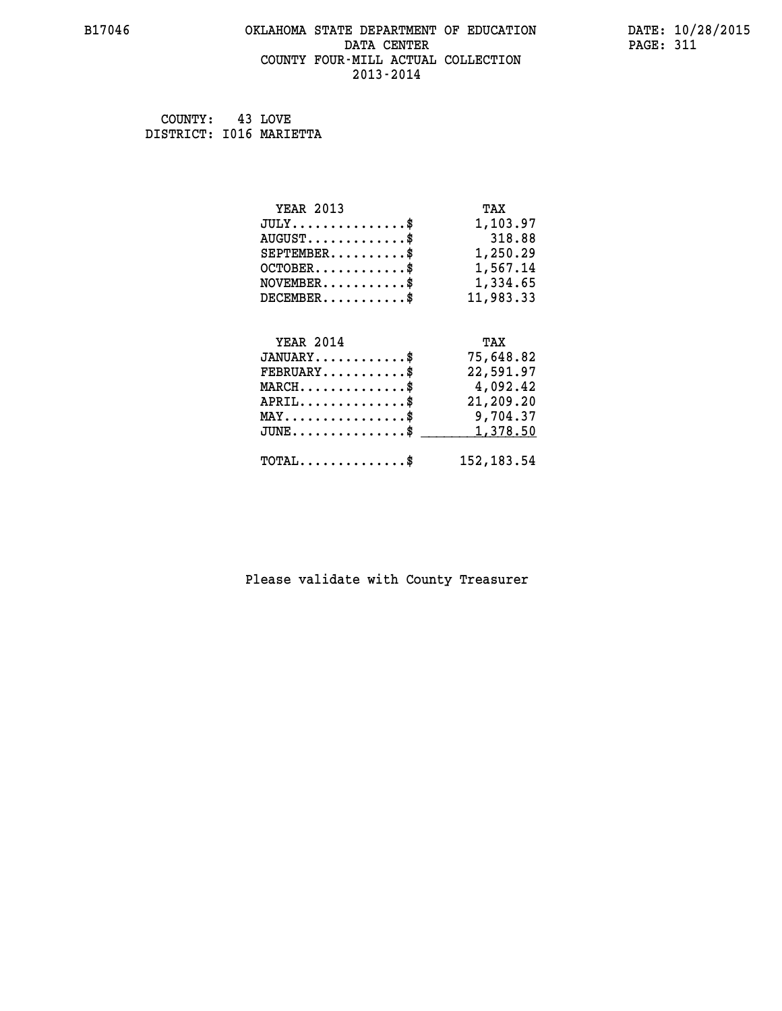#### **B17046 OKLAHOMA STATE DEPARTMENT OF EDUCATION DATE: 10/28/2015 DATA CENTER** PAGE: 311  **COUNTY FOUR-MILL ACTUAL COLLECTION 2013-2014**

 **COUNTY: 43 LOVE DISTRICT: I016 MARIETTA**

| <b>YEAR 2013</b>                                                          | TAX         |
|---------------------------------------------------------------------------|-------------|
| $JULY$ \$                                                                 | 1,103.97    |
| $AUGUST$ \$                                                               | 318.88      |
| $SEPTEMBER$ \$                                                            | 1,250.29    |
| $OCTOBER$ \$                                                              | 1,567.14    |
| $\verb NOVEMBER , \verb , \verb , \verb , \verb , \verb , \verb , \verb $ | 1,334.65    |
| $DECEMBER$ \$                                                             | 11,983.33   |
|                                                                           |             |
| <b>YEAR 2014</b>                                                          | TAX         |
| $JANUARY$ \$                                                              | 75,648.82   |
| $FEBRUARY$                                                                | 22,591.97   |
| $\texttt{MARCH}\ldots\ldots\ldots\ldots\ast$                              | 4,092.42    |
| $APRIL \ldots \ldots \ldots \ldots \$                                     | 21,209.20   |
| $\texttt{MAX} \dots \dots \dots \dots \dots \$                            | 9,704.37    |
| $\texttt{JUNE} \dots \dots \dots \dots \dots \$$                          | 1,378.50    |
| $\texttt{TOTAL} \dots \dots \dots \dots$                                  | 152, 183.54 |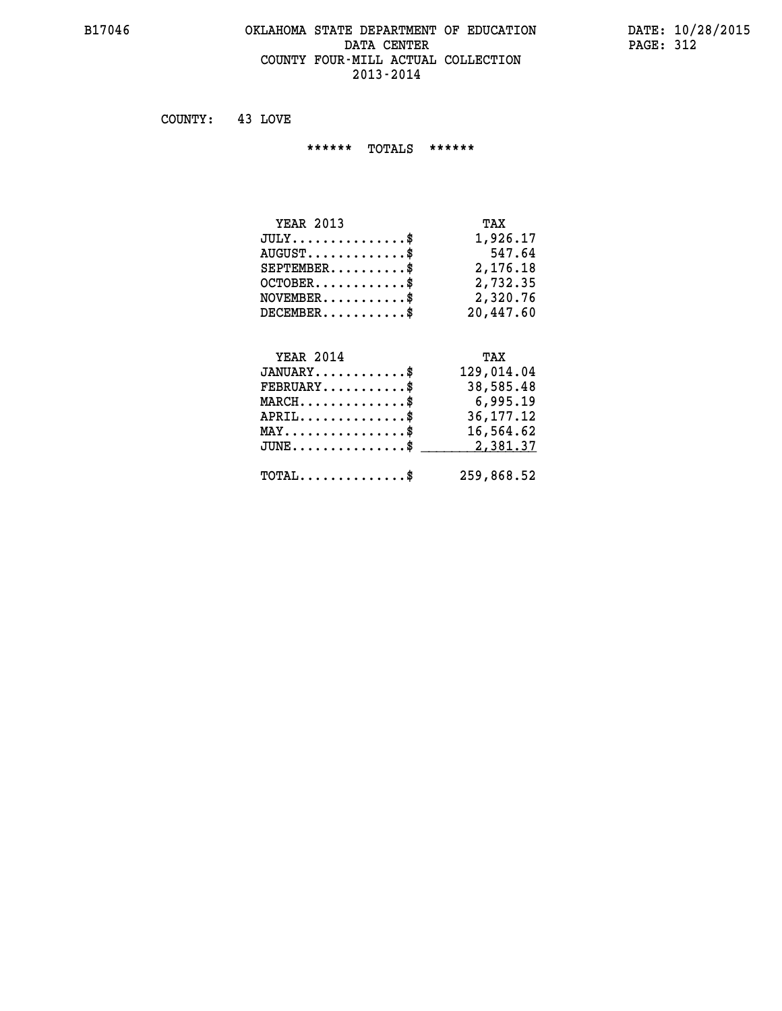#### **B17046 OKLAHOMA STATE DEPARTMENT OF EDUCATION DATE: 10/28/2015 DATA CENTER** PAGE: 312  **COUNTY FOUR-MILL ACTUAL COLLECTION 2013-2014**

 **COUNTY: 43 LOVE**

 **\*\*\*\*\*\* TOTALS \*\*\*\*\*\***

| <b>YEAR 2013</b>       | TAX       |
|------------------------|-----------|
| $JULY$                 | 1,926.17  |
| $AUGUST$ $\frac{1}{2}$ | 547.64    |
| $SEPTEMBER$ $\$        | 2,176.18  |
| $OCTOBER$ \$           | 2,732.35  |
| $NOVEMBER$ $\$\$       | 2,320.76  |
| $DECEMBER$ \$          | 20,447.60 |

# **YEAR 2014**

| <b>YEAR 2014</b>                               | TAX         |
|------------------------------------------------|-------------|
| $JANUARY$ \$                                   | 129,014.04  |
| $\texttt{FEBRUARY} \dots \dots \dots \$        | 38,585.48   |
| $MARCH$ \$                                     | 6,995.19    |
| $APRIL$ \$                                     | 36, 177. 12 |
| $\texttt{MAX} \dots \dots \dots \dots \dots \$ | 16,564.62   |
| JUNE\$ 2,381.37                                |             |
| $\texttt{TOTAL} \dots \dots \dots \dots \$     | 259,868.52  |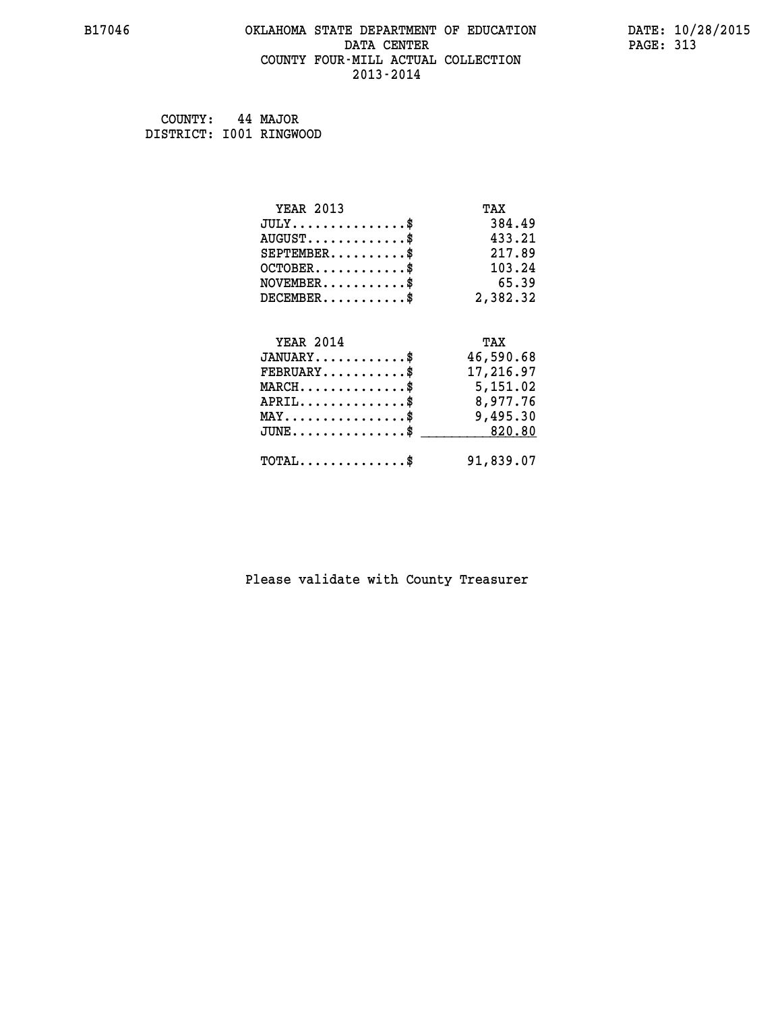#### **B17046 OKLAHOMA STATE DEPARTMENT OF EDUCATION DATE: 10/28/2015 DATA CENTER** PAGE: 313  **COUNTY FOUR-MILL ACTUAL COLLECTION 2013-2014**

 **COUNTY: 44 MAJOR DISTRICT: I001 RINGWOOD**

| <b>YEAR 2013</b>                                 | TAX       |
|--------------------------------------------------|-----------|
| $JULY$ \$                                        | 384.49    |
| $AUGUST$ \$                                      | 433.21    |
| $SEPTEMBER$ \$                                   | 217.89    |
| $OCTOBER$ \$                                     | 103.24    |
| $NOVEMBER$ \$                                    | 65.39     |
| $DECEMBER$ \$                                    | 2,382.32  |
|                                                  |           |
| <b>YEAR 2014</b>                                 | TAX       |
| $JANUARY$ \$                                     | 46,590.68 |
| $FEBRUARY$                                       | 17,216.97 |
| $MARCH$ \$                                       | 5,151.02  |
| $APRIL \ldots \ldots \ldots \ldots$              | 8,977.76  |
| $\texttt{MAX} \dots \dots \dots \dots \dots \$   | 9,495.30  |
| $\texttt{JUNE} \dots \dots \dots \dots \dots \$$ | 820.80    |
| $\texttt{TOTAL} \dots \dots \dots \dots \$       | 91,839.07 |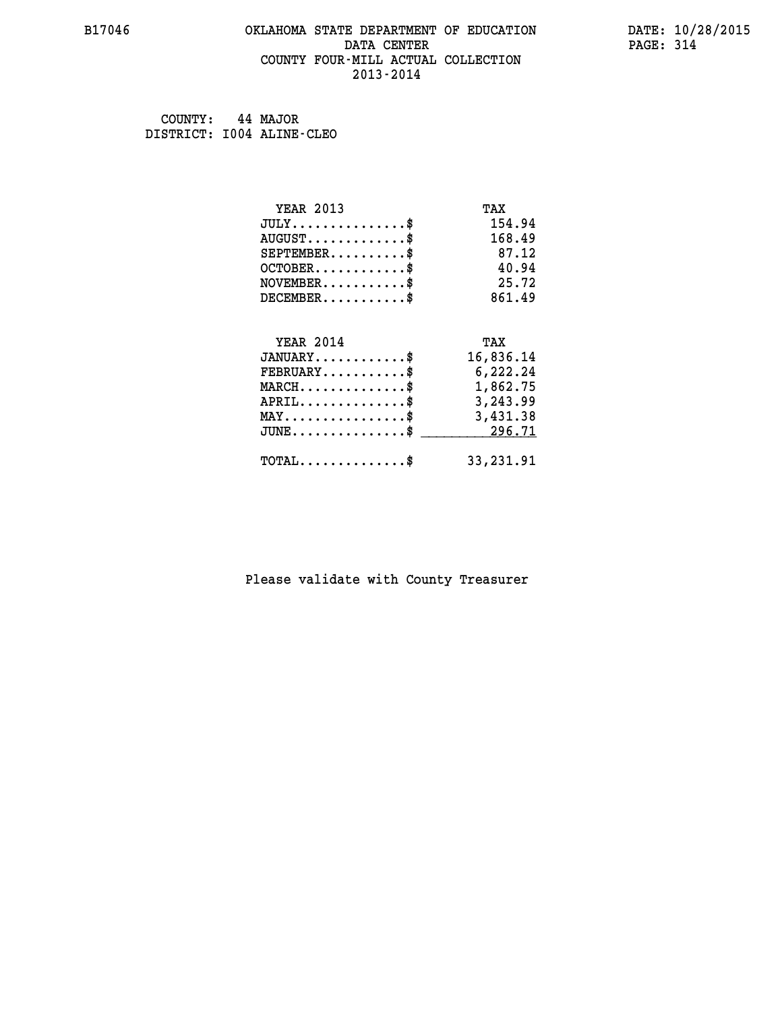#### **B17046 OKLAHOMA STATE DEPARTMENT OF EDUCATION DATE: 10/28/2015 DATA CENTER** PAGE: 314  **COUNTY FOUR-MILL ACTUAL COLLECTION 2013-2014**

 **COUNTY: 44 MAJOR DISTRICT: I004 ALINE-CLEO**

| <b>YEAR 2013</b>                                | TAX       |
|-------------------------------------------------|-----------|
| $JULY$ \$                                       | 154.94    |
| $AUGUST$ \$                                     | 168.49    |
| $SEPTEMENT.$ \$                                 | 87.12     |
| $OCTOBER$ \$                                    | 40.94     |
| $NOVEMBER$ \$                                   | 25.72     |
| $DECEMBER$ \$                                   | 861.49    |
|                                                 |           |
| <b>YEAR 2014</b>                                | TAX       |
| $JANUARY$ \$                                    | 16,836.14 |
| $FEBRUARY$                                      | 6,222.24  |
| $MARCH$ \$                                      | 1,862.75  |
| $APRIL \ldots \ldots \ldots \ldots$             | 3,243.99  |
| $\texttt{MAX} \dots \dots \dots \dots \dots \$$ | 3,431.38  |
| $JUNE$ \$                                       | 296.71    |
| $\texttt{TOTAL} \dots \dots \dots \dots \$      | 33,231.91 |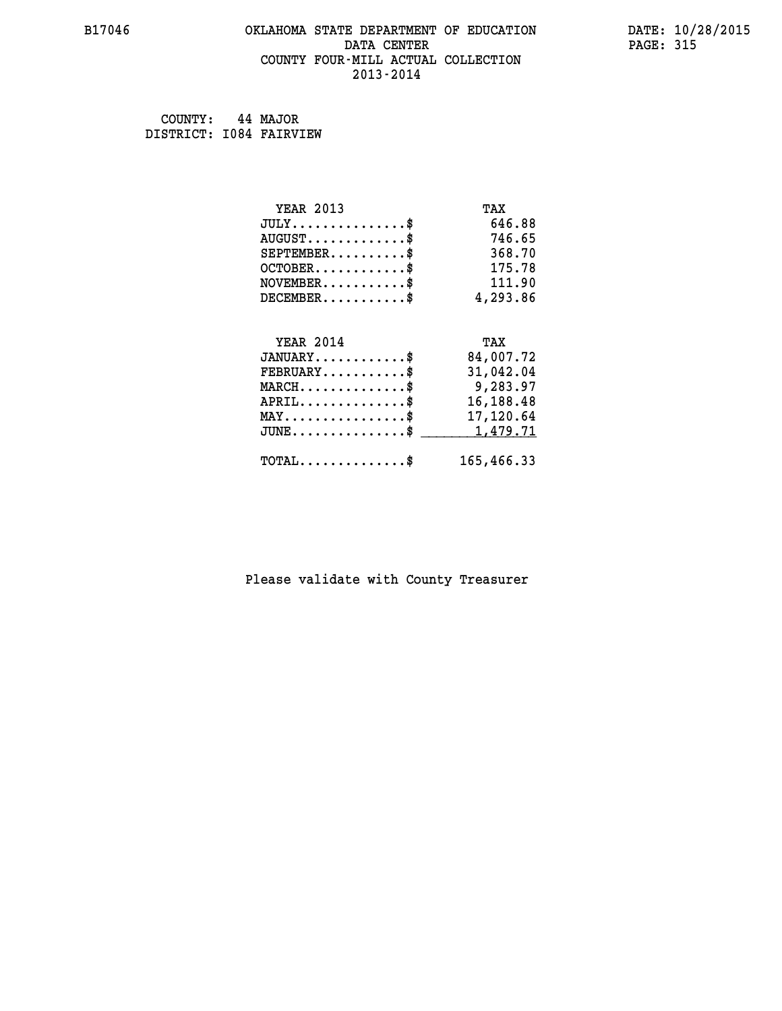#### **B17046 OKLAHOMA STATE DEPARTMENT OF EDUCATION DATE: 10/28/2015 DATA CENTER** PAGE: 315  **COUNTY FOUR-MILL ACTUAL COLLECTION 2013-2014**

 **COUNTY: 44 MAJOR DISTRICT: I084 FAIRVIEW**

| <b>YEAR 2013</b>                               | TAX        |
|------------------------------------------------|------------|
| $JULY$ \$                                      | 646.88     |
| $AUGUST$ \$                                    | 746.65     |
| $SEPTEMBER$ \$                                 | 368.70     |
| $OCTOBER$ \$                                   | 175.78     |
| $NOVEMBER$ \$                                  | 111.90     |
| $DECEMBER$ \$                                  | 4,293.86   |
|                                                |            |
| <b>YEAR 2014</b>                               | TAX        |
| $JANUARY$ \$                                   | 84,007.72  |
| $FEBRUARY$ \$                                  | 31,042.04  |
| $MARCH$ \$                                     | 9,283.97   |
| $APRIL$ \$                                     | 16,188.48  |
| $\texttt{MAX} \dots \dots \dots \dots \dots \$ | 17,120.64  |
| $JUNE$ \$                                      | 1,479.71   |
| $\texttt{TOTAL} \dots \dots \dots \dots \$     | 165,466.33 |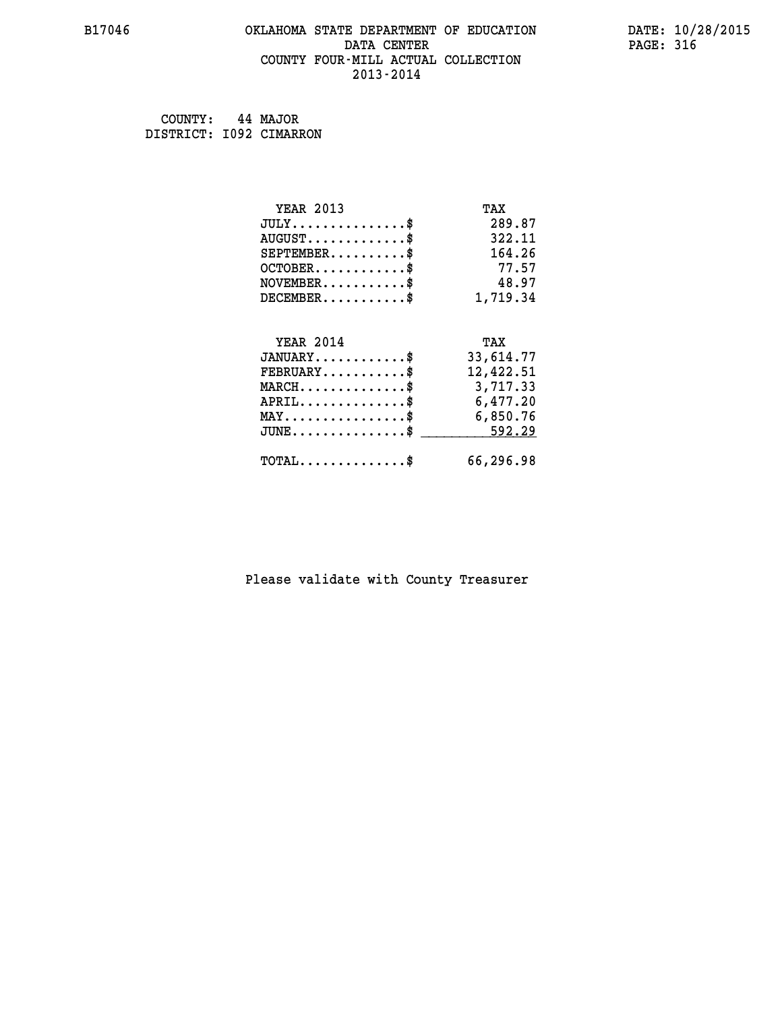#### **B17046 OKLAHOMA STATE DEPARTMENT OF EDUCATION DATE: 10/28/2015 DATA CENTER** PAGE: 316  **COUNTY FOUR-MILL ACTUAL COLLECTION 2013-2014**

 **COUNTY: 44 MAJOR DISTRICT: I092 CIMARRON**

| <b>YEAR 2013</b>                                 | TAX       |
|--------------------------------------------------|-----------|
| $JULY$ \$                                        | 289.87    |
| $AUGUST$ \$                                      | 322.11    |
| $SEPTEMBER$ \$                                   | 164.26    |
| $OCTOBER$ \$                                     | 77.57     |
| $NOVEMBER$ \$                                    | 48.97     |
| $DECEMBER$ \$                                    | 1,719.34  |
|                                                  |           |
| <b>YEAR 2014</b>                                 | TAX       |
| $JANUARY$ \$                                     | 33,614.77 |
| $FEBRUARY$                                       | 12,422.51 |
| $MARCH$ \$                                       | 3,717.33  |
| $APRIL \ldots \ldots \ldots \ldots \$            | 6,477.20  |
| $\texttt{MAX} \dots \dots \dots \dots \dots \$   | 6,850.76  |
| $\texttt{JUNE} \dots \dots \dots \dots \dots \$$ | 592.29    |
| $\texttt{TOTAL} \dots \dots \dots \dots \$       | 66,296.98 |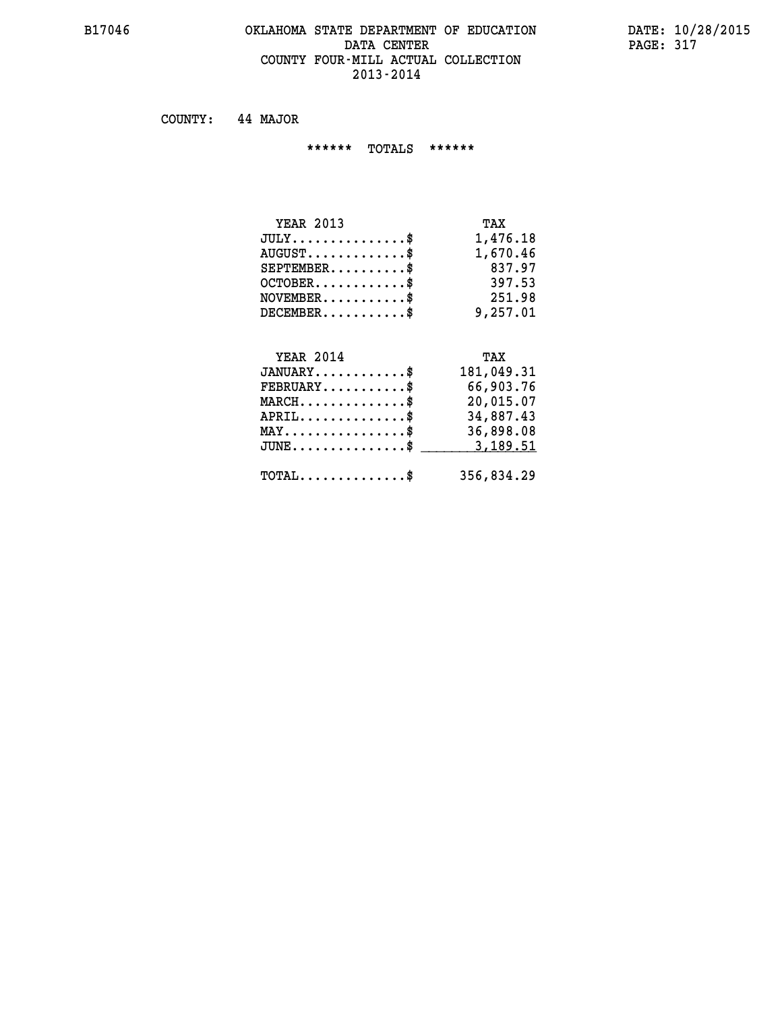#### **B17046 OKLAHOMA STATE DEPARTMENT OF EDUCATION DATE: 10/28/2015 DATA CENTER PAGE: 317 COUNTY FOUR-MILL ACTUAL COLLECTION 2013-2014**

 **COUNTY: 44 MAJOR**

 **\*\*\*\*\*\* TOTALS \*\*\*\*\*\***

| <b>YEAR 2013</b>                     | TAX      |
|--------------------------------------|----------|
| $JULY \ldots \ldots \ldots \ldots \$ | 1,476.18 |
| $AUGUST$ \$                          | 1,670.46 |
| $SEPTEMBER$                          | 837.97   |
| $OCTOBER$ \$                         | 397.53   |
| $NOVEMBER$ \$                        | 251.98   |
| $DECEMBER$ \$                        | 9,257.01 |

#### **YEAR 2014 TAX JANUARY............\$ 181,049.31 FEBRUARY...........\$ 66,903.76 MARCH..............\$ 20,015.07 APRIL..............\$ 34,887.43 MAY................\$ 36,898.08 JUNE...............\$ 3,189.51 \_\_\_\_\_\_\_\_\_\_\_\_\_\_\_**

 **TOTAL..............\$ 356,834.29**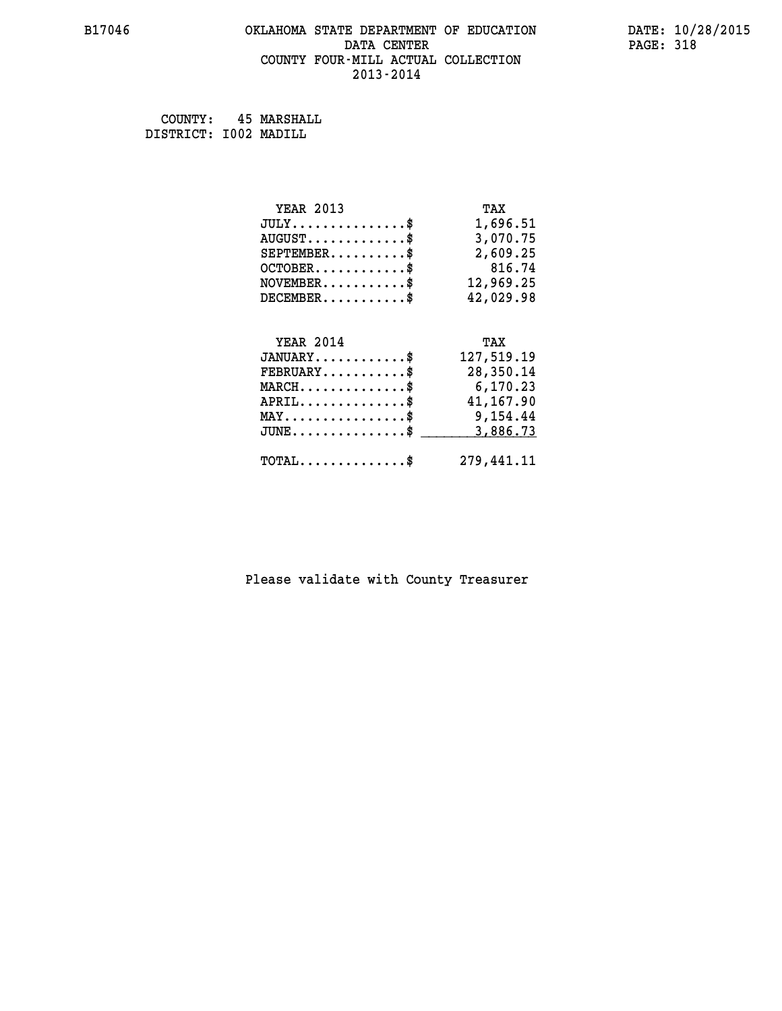#### **B17046 OKLAHOMA STATE DEPARTMENT OF EDUCATION DATE: 10/28/2015 DATA CENTER** PAGE: 318  **COUNTY FOUR-MILL ACTUAL COLLECTION 2013-2014**

 **COUNTY: 45 MARSHALL DISTRICT: I002 MADILL**

| <b>YEAR 2013</b>                           | TAX        |
|--------------------------------------------|------------|
| $JULY$ \$                                  | 1,696.51   |
| $AUGUST$ \$                                | 3,070.75   |
| $SEPTEMBER$ \$                             | 2,609.25   |
| $OCTOBER$ \$                               | 816.74     |
| $NOVEMBER$ \$                              | 12,969.25  |
| $DECEMBER$ \$                              | 42,029.98  |
|                                            |            |
|                                            |            |
| <b>YEAR 2014</b>                           | TAX        |
| $JANUARY$ \$                               | 127,519.19 |
| $FEBRUARY$                                 | 28,350.14  |
| $MARCH$ \$                                 | 6,170.23   |
| $APRIL$ \$                                 | 41,167.90  |
| MAY\$ 9,154.44                             |            |
| $JUNE$ \$                                  | 3,886.73   |
| $\texttt{TOTAL} \dots \dots \dots \dots \$ | 279,441.11 |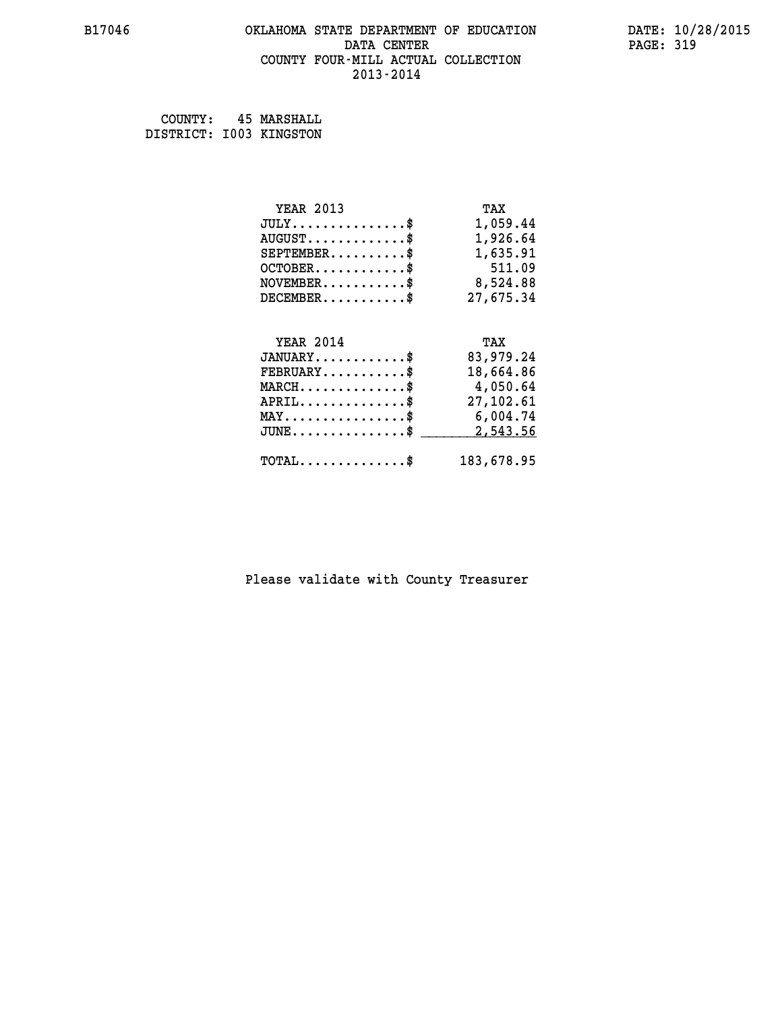# **B17046 OKLAHOMA STATE DEPARTMENT OF EDUCATION DATE: 10/28/2015** DATA CENTER PAGE: 319  **COUNTY FOUR-MILL ACTUAL COLLECTION 2013-2014**

 **COUNTY: 45 MARSHALL DISTRICT: I003 KINGSTON**

| <b>YEAR 2013</b>                               | TAX        |
|------------------------------------------------|------------|
| $JULY$ \$                                      | 1,059.44   |
| $AUGUST$ \$                                    | 1,926.64   |
| $SEPTEMBER$ \$                                 | 1,635.91   |
| $OCTOBER$ \$                                   | 511.09     |
| $\texttt{NOVEMBER} \dots \dots \dots \$        | 8,524.88   |
| $DECEMBER$ \$                                  | 27,675.34  |
|                                                |            |
| <b>YEAR 2014</b>                               | TAX        |
| $JANUARY$ \$                                   | 83,979.24  |
| $FEBRUARY$                                     | 18,664.86  |
| $MARCH \ldots \ldots \ldots \ldots \$          | 4,050.64   |
| $APRIL$ \$                                     | 27,102.61  |
| $\texttt{MAX} \dots \dots \dots \dots \dots \$ | 6,004.74   |
| $J\texttt{UNE} \dots \dots \dots \dots \$      | 2,543.56   |
| $\texttt{TOTAL} \dots \dots \dots \dots$       | 183,678.95 |
|                                                |            |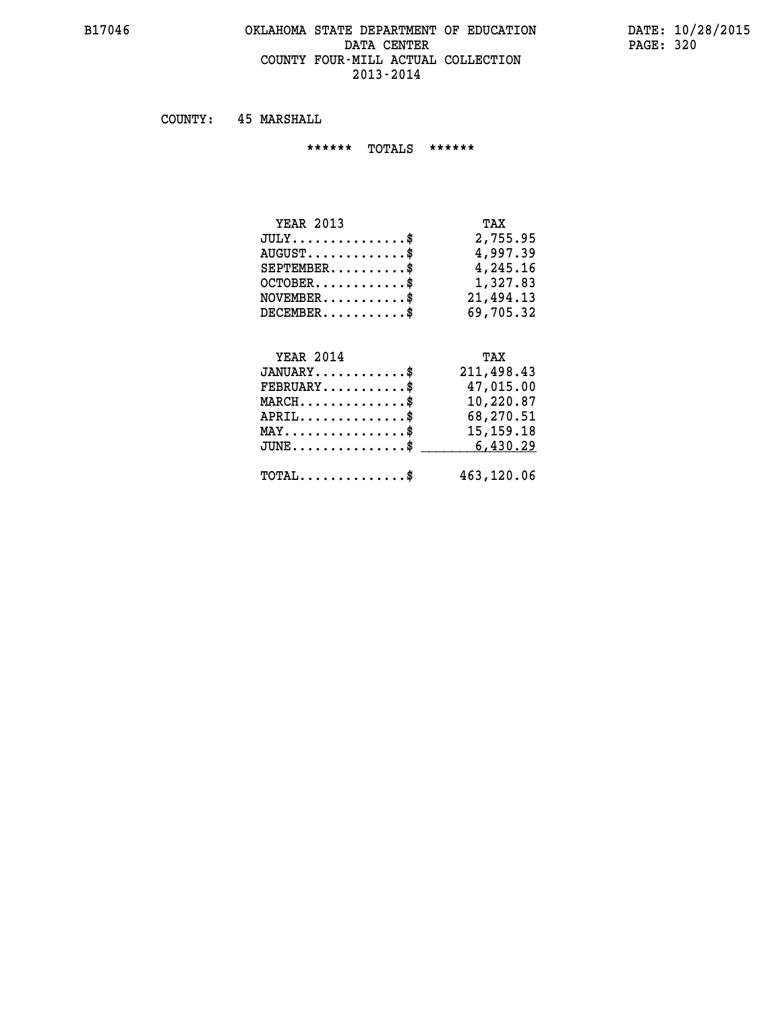#### **B17046 OKLAHOMA STATE DEPARTMENT OF EDUCATION DATE: 10/28/2015 DATA CENTER** PAGE: 320  **COUNTY FOUR-MILL ACTUAL COLLECTION 2013-2014**

 **COUNTY: 45 MARSHALL**

 **\*\*\*\*\*\* TOTALS \*\*\*\*\*\***

| <b>YEAR 2013</b>                 | TAX       |
|----------------------------------|-----------|
| $JULY$                           | 2,755.95  |
| $AUGUST \ldots \ldots \ldots$ \$ | 4,997.39  |
| $SEPTEMBER$ $\$                  | 4,245.16  |
| $OCTOBER$ \$                     | 1,327.83  |
| $NOVEMBER$ \$                    | 21,494.13 |
| $DECEMBER$ \$                    | 69,705.32 |

# **YEAR 2014 TAX JANUARY............\$ 211,498.43 FEBRUARY...........\$ 47,015.00 MARCH..............\$ 10,220.87 APRIL..............\$ 68,270.51 MAY................\$ 15,159.18 JUNE...............\$ 6,430.29 \_\_\_\_\_\_\_\_\_\_\_\_\_\_\_**

 **TOTAL..............\$ 463,120.06**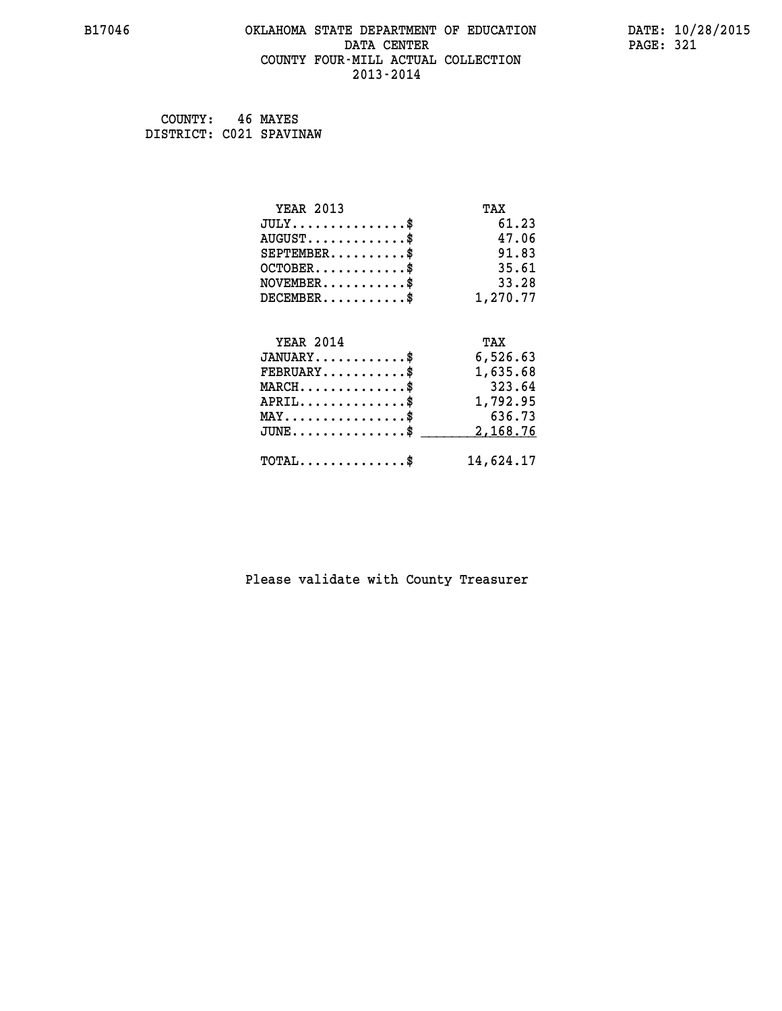#### **B17046 OKLAHOMA STATE DEPARTMENT OF EDUCATION DATE: 10/28/2015 DATA CENTER** PAGE: 321  **COUNTY FOUR-MILL ACTUAL COLLECTION 2013-2014**

 **COUNTY: 46 MAYES DISTRICT: C021 SPAVINAW**

| <b>YEAR 2013</b>                           | TAX        |
|--------------------------------------------|------------|
| $JULY$ \$                                  | 61.23      |
| $AUGUST$ \$                                | 47.06      |
| $SEPTEMBER$ \$                             | 91.83      |
| $OCTOBER$ \$                               | 35.61      |
| $NOVEMBER$ \$                              | 33.28      |
| $DECEMBER$ \$                              | 1,270.77   |
| <b>YEAR 2014</b>                           | TAX        |
| $JANUARY$                                  | 6,526.63   |
| $FEBRUARY$                                 | 1,635.68   |
| $MARCH$ \$                                 | 323.64     |
| $APRIL$ \$                                 | 1,792.95   |
| $MAX \dots \dots \dots \dots \dots$        | 636.73     |
| $JUNE$ \$                                  | 2, 168. 76 |
| $\texttt{TOTAL} \dots \dots \dots \dots \$ | 14,624.17  |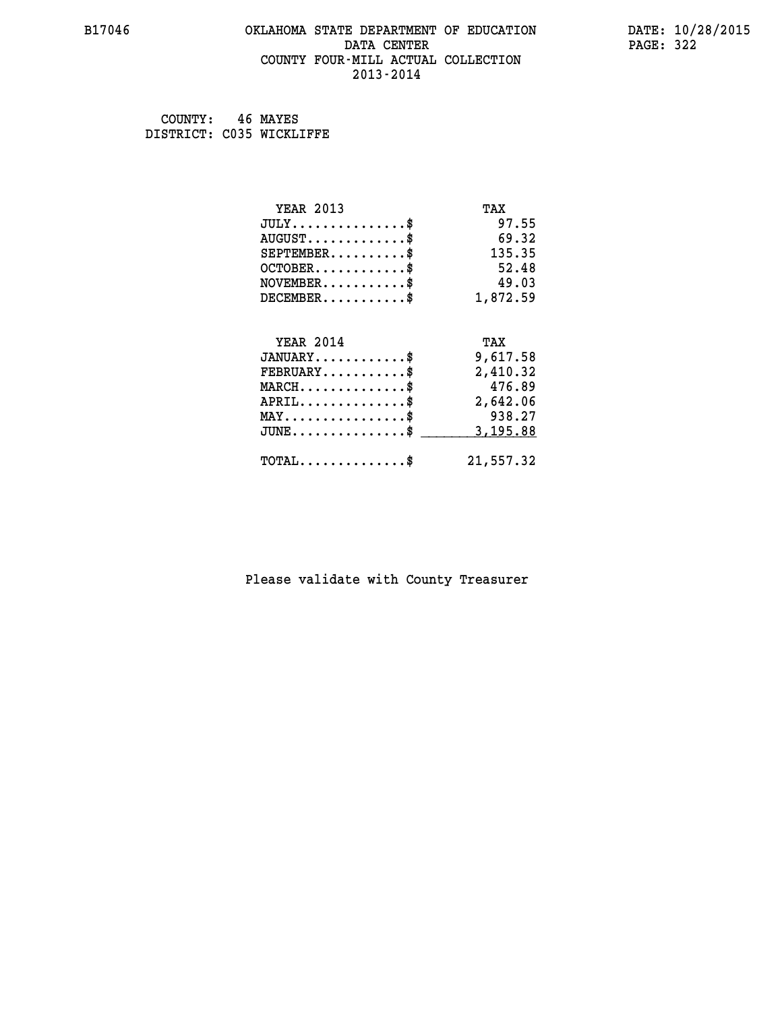#### **B17046 OKLAHOMA STATE DEPARTMENT OF EDUCATION DATE: 10/28/2015 DATA CENTER** PAGE: 322  **COUNTY FOUR-MILL ACTUAL COLLECTION 2013-2014**

 **COUNTY: 46 MAYES DISTRICT: C035 WICKLIFFE**

| <b>YEAR 2013</b>                           | TAX       |
|--------------------------------------------|-----------|
| $JULY$ \$                                  | 97.55     |
| $AUGUST$ \$                                | 69.32     |
| $SEPTEMBER$ \$                             | 135.35    |
| $OCTOBER$ \$                               | 52.48     |
| $NOVEMBER$ \$                              | 49.03     |
| $DECEMBER$ \$                              | 1,872.59  |
|                                            |           |
| <b>YEAR 2014</b>                           | TAX       |
| $JANUARY$ \$                               | 9,617.58  |
| $FEBRUARY$                                 | 2,410.32  |
| $MARCH$ \$                                 | 476.89    |
| $APRIL$ \$                                 | 2,642.06  |
| $MAX \dots \dots \dots \dots \dots$        | 938.27    |
| $JUNE$ \$                                  | 3,195.88  |
| $\texttt{TOTAL} \dots \dots \dots \dots \$ | 21,557.32 |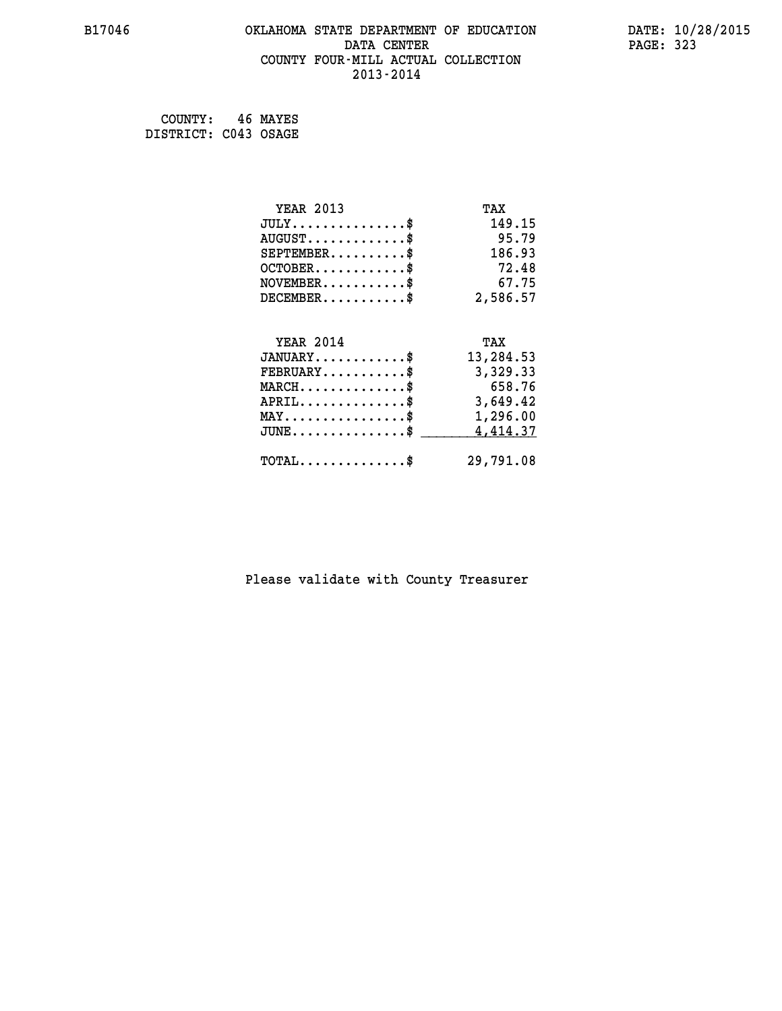#### **B17046 OKLAHOMA STATE DEPARTMENT OF EDUCATION DATE: 10/28/2015 DATA CENTER** PAGE: 323  **COUNTY FOUR-MILL ACTUAL COLLECTION 2013-2014**

 **COUNTY: 46 MAYES DISTRICT: C043 OSAGE**

| <b>YEAR 2013</b>                               | TAX       |
|------------------------------------------------|-----------|
| $JULY$ \$                                      | 149.15    |
| $AUGUST$ \$                                    | 95.79     |
| $SEPTEMBER$ \$                                 | 186.93    |
| $OCTOBER$ \$                                   | 72.48     |
| $NOVEMBER$ \$                                  | 67.75     |
| $DECEMBER$ \$                                  | 2,586.57  |
|                                                |           |
| <b>YEAR 2014</b>                               | TAX       |
| $JANUARY$ \$                                   | 13,284.53 |
| $FEBRUARY$                                     | 3,329.33  |
| $MARCH$ \$                                     | 658.76    |
| $APRIL \ldots \ldots \ldots \ldots \$          | 3,649.42  |
| $\texttt{MAX} \dots \dots \dots \dots \dots \$ | 1,296.00  |
| $JUNE$ \$                                      | 4,414.37  |
| $\texttt{TOTAL} \dots \dots \dots \dots \$     | 29,791.08 |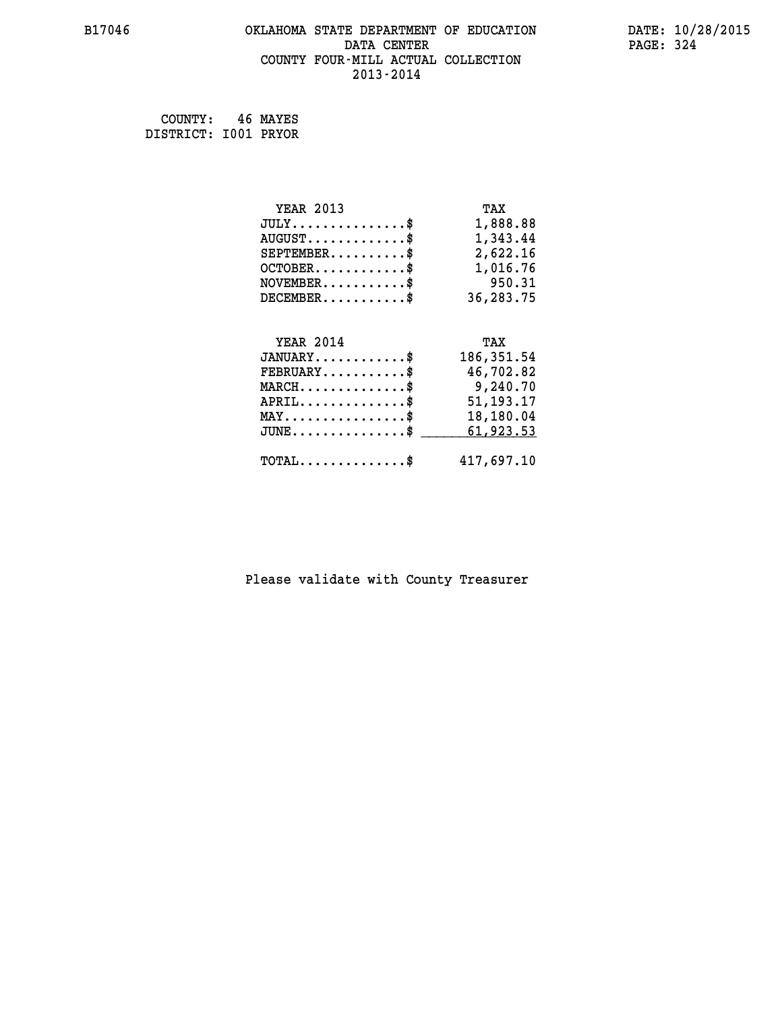#### **B17046 OKLAHOMA STATE DEPARTMENT OF EDUCATION DATE: 10/28/2015 DATA CENTER** PAGE: 324  **COUNTY FOUR-MILL ACTUAL COLLECTION 2013-2014**

 **COUNTY: 46 MAYES DISTRICT: I001 PRYOR**

| <b>YEAR 2013</b>                               | TAX         |
|------------------------------------------------|-------------|
| $JULY$ \$                                      | 1,888.88    |
| $AUGUST$ \$                                    | 1,343.44    |
| $SEPTEMBER$ \$                                 | 2,622.16    |
| $OCTOBER$ \$                                   | 1,016.76    |
| $NOVEMBER.$ \$                                 | 950.31      |
| $DECEMBER$ \$                                  | 36,283.75   |
|                                                |             |
|                                                |             |
| <b>YEAR 2014</b>                               | TAX         |
| $JANUARY$ \$                                   | 186, 351.54 |
| $FEBRUARY$                                     | 46,702.82   |
| $MARCH$ \$                                     | 9,240.70    |
| $APRIL$ \$                                     | 51, 193. 17 |
| $\texttt{MAX} \dots \dots \dots \dots \dots \$ | 18,180.04   |
| $JUNE$ $$$                                     | 61,923.53   |
| $\texttt{TOTAL} \dots \dots \dots \dots \$     | 417,697.10  |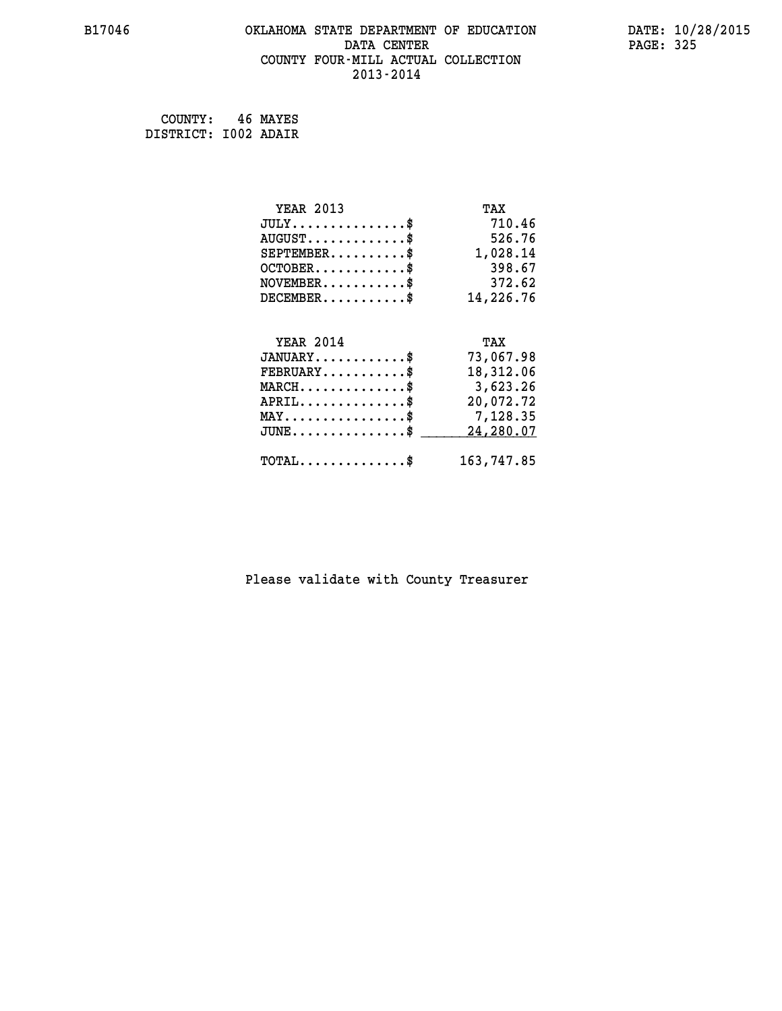## **B17046 OKLAHOMA STATE DEPARTMENT OF EDUCATION DATE: 10/28/2015 DATA CENTER** PAGE: 325  **COUNTY FOUR-MILL ACTUAL COLLECTION 2013-2014**

 **COUNTY: 46 MAYES DISTRICT: I002 ADAIR**

| <b>YEAR 2013</b>                               | TAX        |
|------------------------------------------------|------------|
| $JULY$ \$                                      | 710.46     |
| $AUGUST$ \$                                    | 526.76     |
| $SEPTEMBER$ \$                                 | 1,028.14   |
| $OCTOBER$ \$                                   | 398.67     |
| $NOVEMBER$ \$                                  | 372.62     |
| $DECEMBER$ \$                                  | 14,226.76  |
|                                                |            |
| <b>YEAR 2014</b>                               | TAX        |
| $JANUARY$ \$                                   | 73,067.98  |
| $FEBRUARY$                                     | 18,312.06  |
| $MARCH$ \$                                     | 3,623.26   |
| $APRIL$ \$                                     | 20,072.72  |
| $\texttt{MAX} \dots \dots \dots \dots \dots \$ | 7,128.35   |
| $JUNE$ \$                                      | 24,280.07  |
| $\texttt{TOTAL} \dots \dots \dots \dots \$     | 163,747.85 |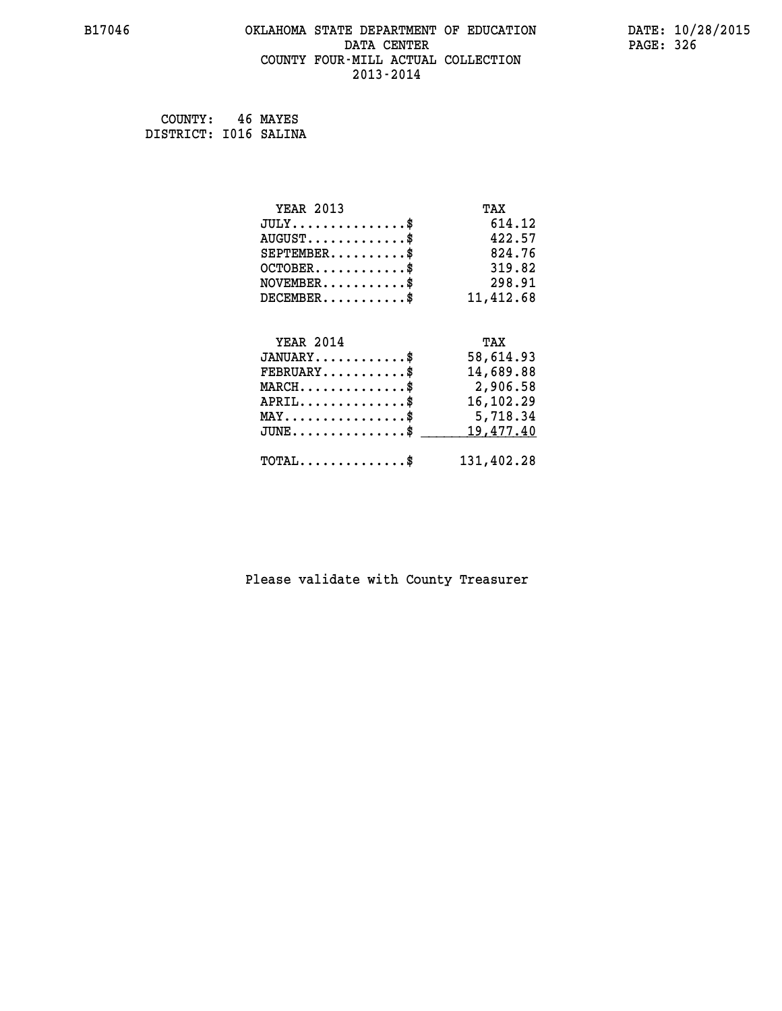## **B17046 OKLAHOMA STATE DEPARTMENT OF EDUCATION DATE: 10/28/2015 DATA CENTER** PAGE: 326  **COUNTY FOUR-MILL ACTUAL COLLECTION 2013-2014**

 **COUNTY: 46 MAYES DISTRICT: I016 SALINA**

| <b>YEAR 2013</b>                               | TAX        |
|------------------------------------------------|------------|
| $JULY$ \$                                      | 614.12     |
| $AUGUST$ \$                                    | 422.57     |
| $SEPTEMBER$ \$                                 | 824.76     |
| $OCTOBER$ \$                                   | 319.82     |
| $\texttt{NOVEMBER} \dots \dots \dots \$        | 298.91     |
| $DECEMBER$ \$                                  | 11,412.68  |
|                                                |            |
| <b>YEAR 2014</b>                               | TAX        |
| $JANUARY$ \$                                   | 58,614.93  |
| $FEBRUARY$                                     | 14,689.88  |
| $MARCH$ \$                                     | 2,906.58   |
| $APRIL$ \$                                     | 16,102.29  |
| $\texttt{MAX} \dots \dots \dots \dots \dots \$ | 5,718.34   |
| $JUNE$                                         | 19,477.40  |
| $\texttt{TOTAL} \dots \dots \dots \dots \$     | 131,402.28 |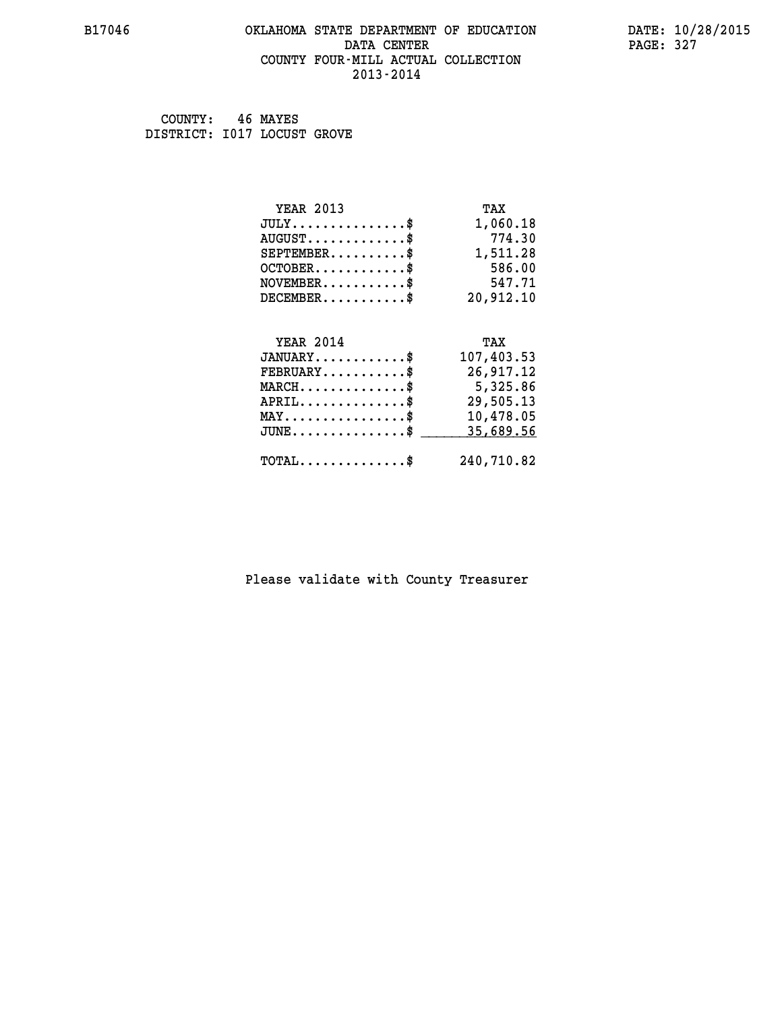## **B17046 OKLAHOMA STATE DEPARTMENT OF EDUCATION DATE: 10/28/2015 DATA CENTER** PAGE: 327  **COUNTY FOUR-MILL ACTUAL COLLECTION 2013-2014**

 **COUNTY: 46 MAYES DISTRICT: I017 LOCUST GROVE**

| <b>YEAR 2013</b>                    | TAX        |
|-------------------------------------|------------|
| $JULY$ \$                           | 1,060.18   |
| $AUGUST$ \$                         | 774.30     |
| $SEPTEMBER$ \$                      | 1,511.28   |
| $OCTOBER$ \$                        | 586.00     |
| $NOVEMBER$ \$                       | 547.71     |
| $DECEMBER$ \$                       | 20,912.10  |
|                                     |            |
| <b>YEAR 2014</b>                    | TAX        |
|                                     |            |
| $JANUARY$ \$                        | 107,403.53 |
| $FEBRUARY$                          | 26,917.12  |
| $MARCH$ \$                          | 5,325.86   |
| $APRIL$ \$                          | 29,505.13  |
| $MAX \dots \dots \dots \dots \dots$ | 10,478.05  |
| $JUNE$ \$                           | 35,689.56  |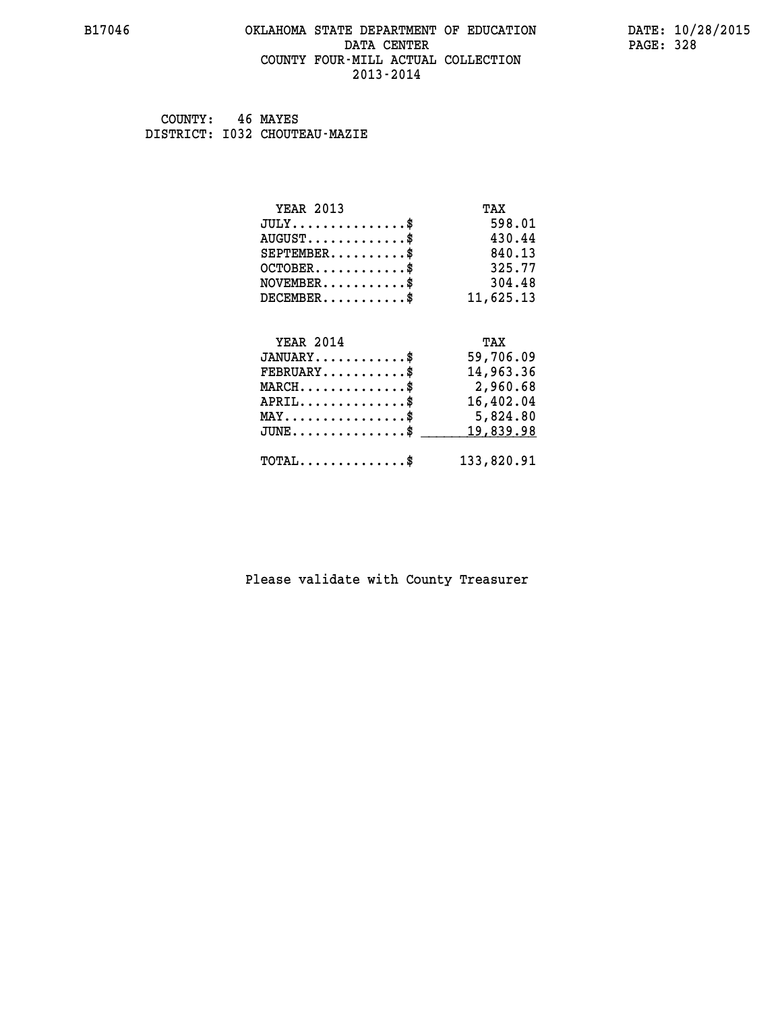## **B17046 OKLAHOMA STATE DEPARTMENT OF EDUCATION DATE: 10/28/2015 DATA CENTER** PAGE: 328  **COUNTY FOUR-MILL ACTUAL COLLECTION 2013-2014**

 **COUNTY: 46 MAYES DISTRICT: I032 CHOUTEAU-MAZIE**

| <b>YEAR 2013</b>                           | TAX        |
|--------------------------------------------|------------|
| $JULY$ \$                                  | 598.01     |
| $AUGUST$ \$                                | 430.44     |
| $SEPTEMBER$ \$                             | 840.13     |
| $OCTOBER$ \$                               | 325.77     |
| $NOVEMBER$ \$                              | 304.48     |
| $DECEMBER$ \$                              | 11,625.13  |
|                                            |            |
| <b>YEAR 2014</b>                           | TAX        |
| $JANUARY$ \$                               | 59,706.09  |
| $FEBRUARY$                                 | 14,963.36  |
| $MARCH$ \$                                 | 2,960.68   |
| $APRIL$ \$                                 | 16,402.04  |
| $MAX \dots \dots \dots \dots \dots$        | 5,824.80   |
| $JUNE$                                     | 19,839.98  |
| $\texttt{TOTAL} \dots \dots \dots \dots \$ | 133,820.91 |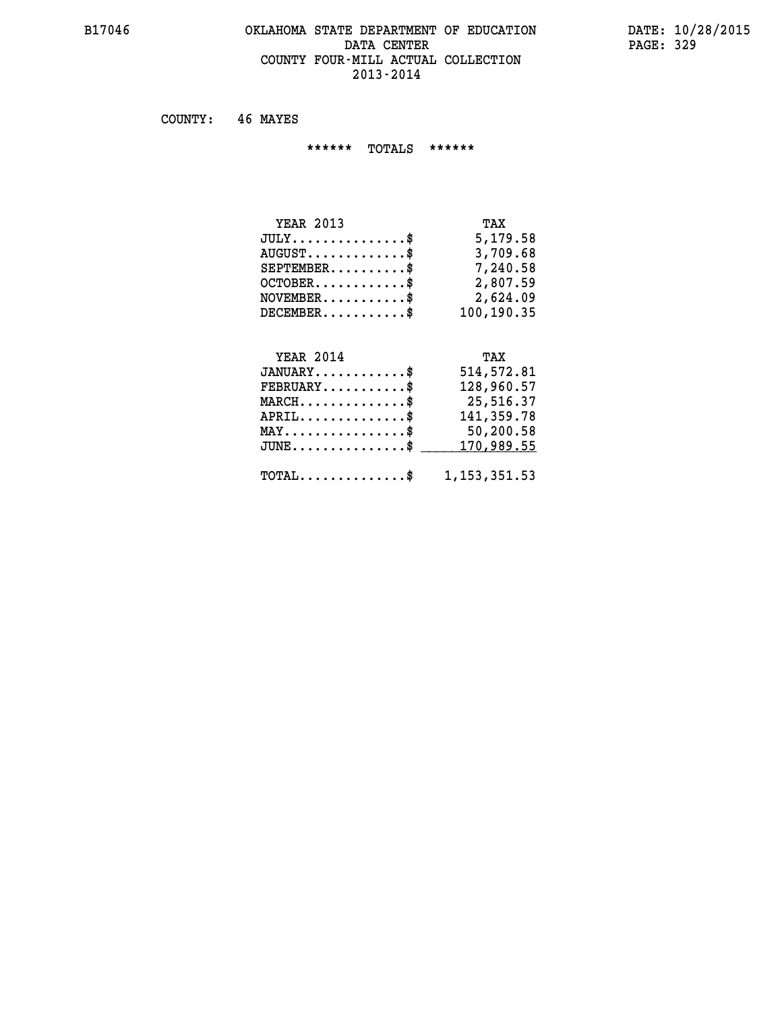## **B17046 OKLAHOMA STATE DEPARTMENT OF EDUCATION DATE: 10/28/2015** DATA CENTER PAGE: 329  **COUNTY FOUR-MILL ACTUAL COLLECTION 2013-2014**

 **COUNTY: 46 MAYES**

 **\*\*\*\*\*\* TOTALS \*\*\*\*\*\***

| <b>YEAR 2013</b>                 | TAX        |
|----------------------------------|------------|
| $JULY$                           | 5,179.58   |
| $AUGUST \ldots \ldots \ldots$ \$ | 3,709.68   |
| $SEPTEMBER$                      | 7,240.58   |
| $OCTOBER$                        | 2,807.59   |
| $NOVEMBER$ \$                    | 2,624.09   |
| $DECEMBER$                       | 100,190.35 |

# **YEAR 2014 TAX**

| $JANUARY$ \$                                              | 514,572.81 |
|-----------------------------------------------------------|------------|
| $\texttt{FEBRUARY} \dots \dots \dots \$                   | 128,960.57 |
| $MARCH$ \$                                                | 25,516.37  |
| $APRIL \ldots \ldots \ldots$ \$                           | 141,359.78 |
| $\texttt{MAX} \dots \dots \dots \dots \texttt{S}$         | 50,200.58  |
| $JUNE \ldots \ldots \ldots \ldots$ \$ 170,989.55          |            |
|                                                           |            |
| $\texttt{TOTAL} \dots \dots \dots \dots \$ 1, 153, 351.53 |            |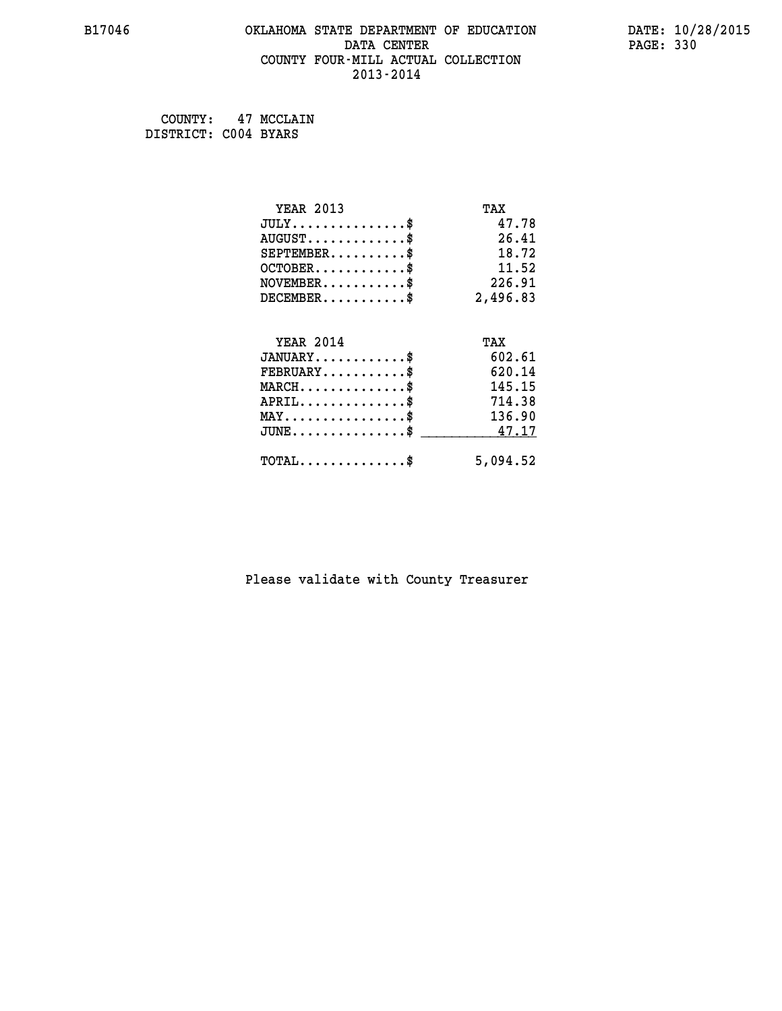## **B17046 OKLAHOMA STATE DEPARTMENT OF EDUCATION DATE: 10/28/2015 DATA CENTER** PAGE: 330  **COUNTY FOUR-MILL ACTUAL COLLECTION 2013-2014**

 **COUNTY: 47 MCCLAIN DISTRICT: C004 BYARS**

| <b>YEAR 2013</b>                                 | TAX      |
|--------------------------------------------------|----------|
| $JULY$ \$                                        | 47.78    |
| $AUGUST$ \$                                      | 26.41    |
| $SEPTEMENT.$ \$                                  | 18.72    |
| $OCTOBER$ \$                                     | 11.52    |
| $\texttt{NOVEMBER} \dots \dots \dots \$          | 226.91   |
| $DECEMBER$ \$                                    | 2,496.83 |
|                                                  |          |
| <b>YEAR 2014</b>                                 | TAX      |
| $JANUARY$ \$                                     | 602.61   |
| $FEBRUARY$                                       | 620.14   |
| $MARCH$ \$                                       | 145.15   |
| $APRIL$ \$                                       | 714.38   |
| $MAX \dots \dots \dots \dots \dots$              | 136.90   |
| $\texttt{JUNE} \dots \dots \dots \dots \dots \$$ | 47.17    |
| $\texttt{TOTAL} \dots \dots \dots \dots \$       | 5,094.52 |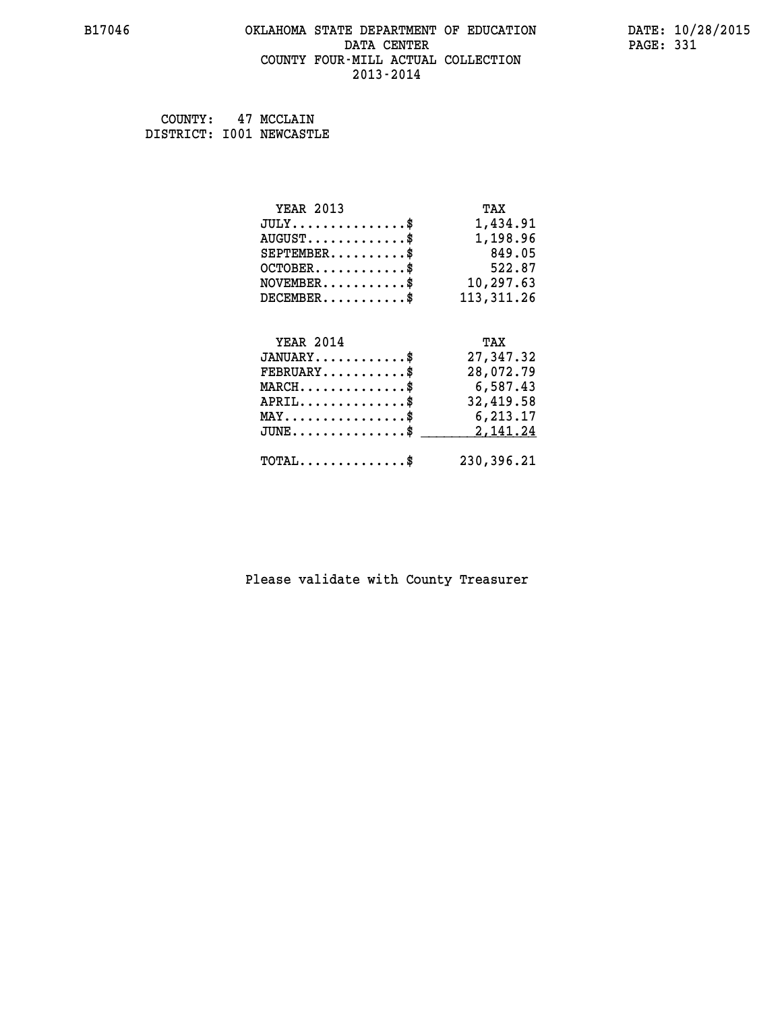## **B17046 OKLAHOMA STATE DEPARTMENT OF EDUCATION DATE: 10/28/2015 DATA CENTER** PAGE: 331  **COUNTY FOUR-MILL ACTUAL COLLECTION 2013-2014**

 **COUNTY: 47 MCCLAIN DISTRICT: I001 NEWCASTLE**

| <b>YEAR 2013</b>                                   | TAX         |
|----------------------------------------------------|-------------|
| $JULY$ \$                                          | 1,434.91    |
| $AUGUST$ \$                                        | 1,198.96    |
| $SEPTEMBER$ \$                                     | 849.05      |
| $OCTOBER$ \$                                       | 522.87      |
| $\texttt{NOVEMBER} \dots \dots \dots \$            | 10,297.63   |
| $DECEMBER$ \$                                      | 113, 311.26 |
|                                                    |             |
| <b>YEAR 2014</b>                                   | TAX         |
| $JANUARY$ \$                                       | 27,347.32   |
| $FEBRUARY$                                         | 28,072.79   |
| $\texttt{MARCH}\ldots\ldots\ldots\ldots\text{*}$   | 6,587.43    |
| $APRIL \ldots \ldots \ldots \ldots$ \$             | 32,419.58   |
| $\texttt{MAX} \dots \dots \dots \dots \dots \$     | 6,213.17    |
| $\texttt{JUNE} \dots \dots \dots \dots \texttt{S}$ | 2,141.24    |
| $\texttt{TOTAL} \dots \dots \dots \dots \$         | 230,396.21  |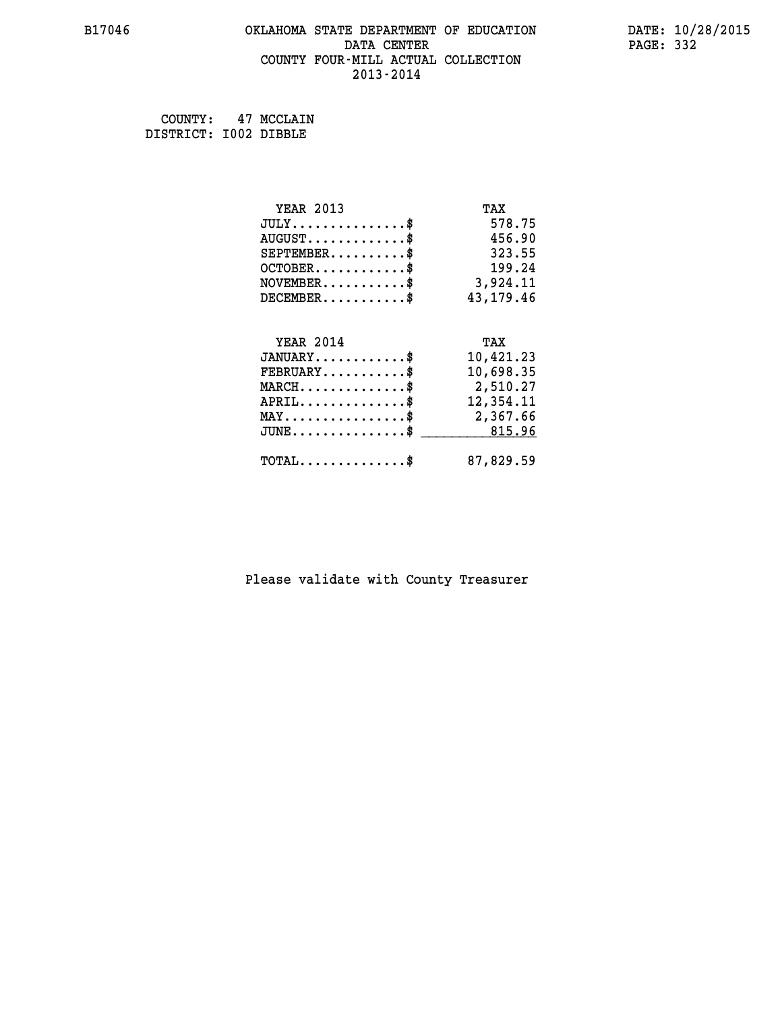## **B17046 OKLAHOMA STATE DEPARTMENT OF EDUCATION DATE: 10/28/2015 DATA CENTER** PAGE: 332  **COUNTY FOUR-MILL ACTUAL COLLECTION 2013-2014**

 **COUNTY: 47 MCCLAIN DISTRICT: I002 DIBBLE**

| <b>YEAR 2013</b>                                 | TAX         |
|--------------------------------------------------|-------------|
| $JULY$ \$                                        | 578.75      |
| $AUGUST$ \$                                      | 456.90      |
| $SEPTEMENT.$ \$                                  | 323.55      |
| $OCTOBER$ \$                                     | 199.24      |
| $\texttt{NOVEMBER} \dots \dots \dots \$          | 3,924.11    |
| $DECEMBER$ \$                                    | 43, 179. 46 |
|                                                  |             |
| <b>YEAR 2014</b>                                 | TAX         |
| $JANUARY$ \$                                     | 10,421.23   |
| $FEBRUARY$                                       | 10,698.35   |
| $\texttt{MARCH}\ldots\ldots\ldots\ldots\text{*}$ | 2,510.27    |
| $APRIL \ldots \ldots \ldots \ldots \$            | 12,354.11   |
| MAY\$ 2,367.66                                   |             |
| $JUNE \dots \dots \dots \dots \$ 815.96          |             |
| $\texttt{TOTAL} \dots \dots \dots \dots \$       | 87,829.59   |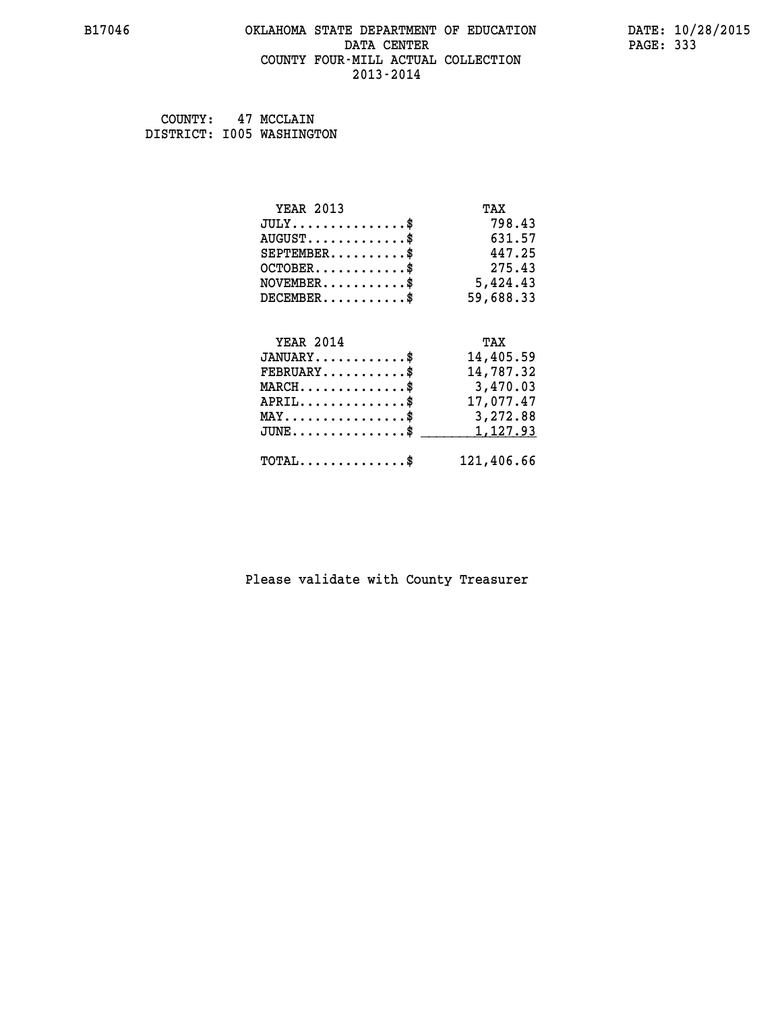## **B17046 OKLAHOMA STATE DEPARTMENT OF EDUCATION DATE: 10/28/2015 DATA CENTER** PAGE: 333  **COUNTY FOUR-MILL ACTUAL COLLECTION 2013-2014**

 **COUNTY: 47 MCCLAIN DISTRICT: I005 WASHINGTON**

| <b>YEAR 2013</b>                                 | TAX        |
|--------------------------------------------------|------------|
| $JULY$ \$                                        | 798.43     |
| $AUGUST$ \$                                      | 631.57     |
| $SEPTEMENT.$ \$                                  | 447.25     |
| $OCTOBER$ \$                                     | 275.43     |
| $NOVEMBER$ \$                                    | 5,424.43   |
| $DECEMBER$ \$                                    | 59,688.33  |
|                                                  |            |
| <b>YEAR 2014</b>                                 | TAX        |
| $JANUARY$ \$                                     | 14,405.59  |
| $FEBRUARY$                                       | 14,787.32  |
| $\texttt{MARCH}\ldots\ldots\ldots\ldots\text{*}$ | 3,470.03   |
| $APRIL \ldots \ldots \ldots \ldots$              | 17,077.47  |
| $\texttt{MAX} \dots \dots \dots \dots \dots \$   | 3,272.88   |
| $JUNE$ \$                                        | 1,127.93   |
| $\texttt{TOTAL} \dots \dots \dots \dots$ \$      | 121,406.66 |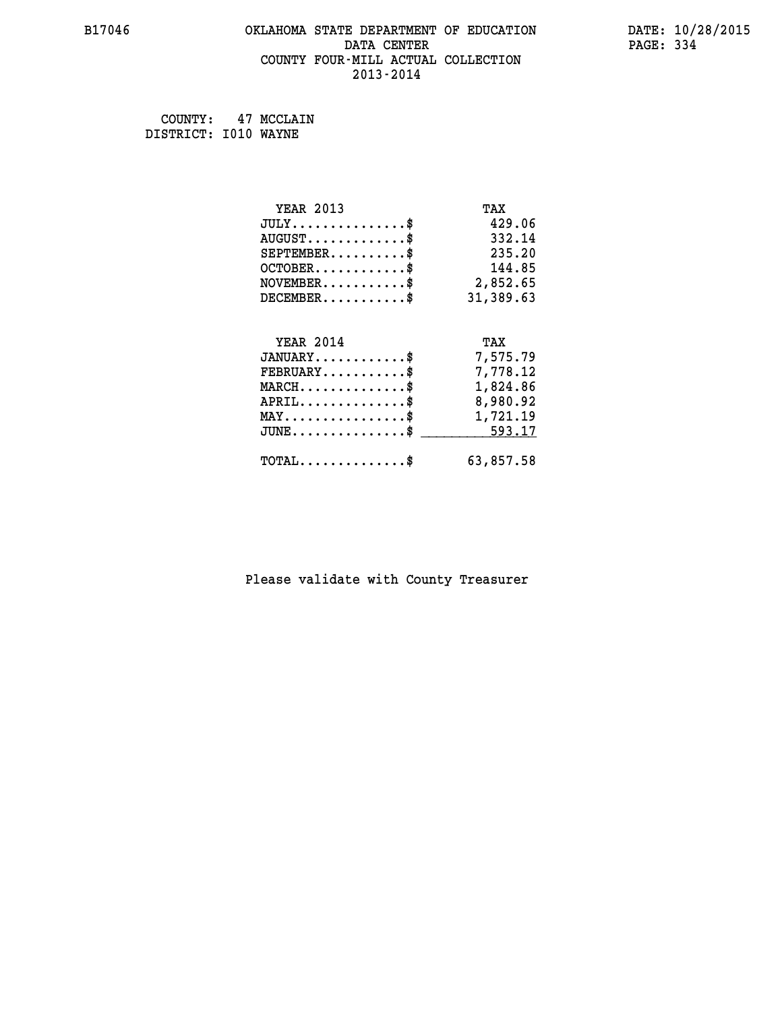## **B17046 OKLAHOMA STATE DEPARTMENT OF EDUCATION DATE: 10/28/2015 DATA CENTER** PAGE: 334  **COUNTY FOUR-MILL ACTUAL COLLECTION 2013-2014**

 **COUNTY: 47 MCCLAIN DISTRICT: I010 WAYNE**

| <b>YEAR 2013</b>                                   | TAX       |
|----------------------------------------------------|-----------|
| $JULY$ \$                                          | 429.06    |
| $AUGUST$ \$                                        | 332.14    |
| $SEPTEMBER$ \$                                     | 235.20    |
| $OCTOBER$ \$                                       | 144.85    |
| $\texttt{NOVEMBER} \dots \dots \dots \$            | 2,852.65  |
| $DECEMBER$ \$                                      | 31,389.63 |
|                                                    |           |
| <b>YEAR 2014</b>                                   | TAX       |
| $JANUARY$ \$                                       | 7,575.79  |
| $FEBRUARY$ \$                                      | 7,778.12  |
| $MARCH$ \$                                         | 1,824.86  |
| $APRIL$ \$                                         | 8,980.92  |
| $\texttt{MAX} \dots \dots \dots \dots \dots \$     | 1,721.19  |
| $\texttt{JUNE} \dots \dots \dots \dots \texttt{S}$ | 593.17    |
| $\texttt{TOTAL} \dots \dots \dots \dots \$         | 63,857.58 |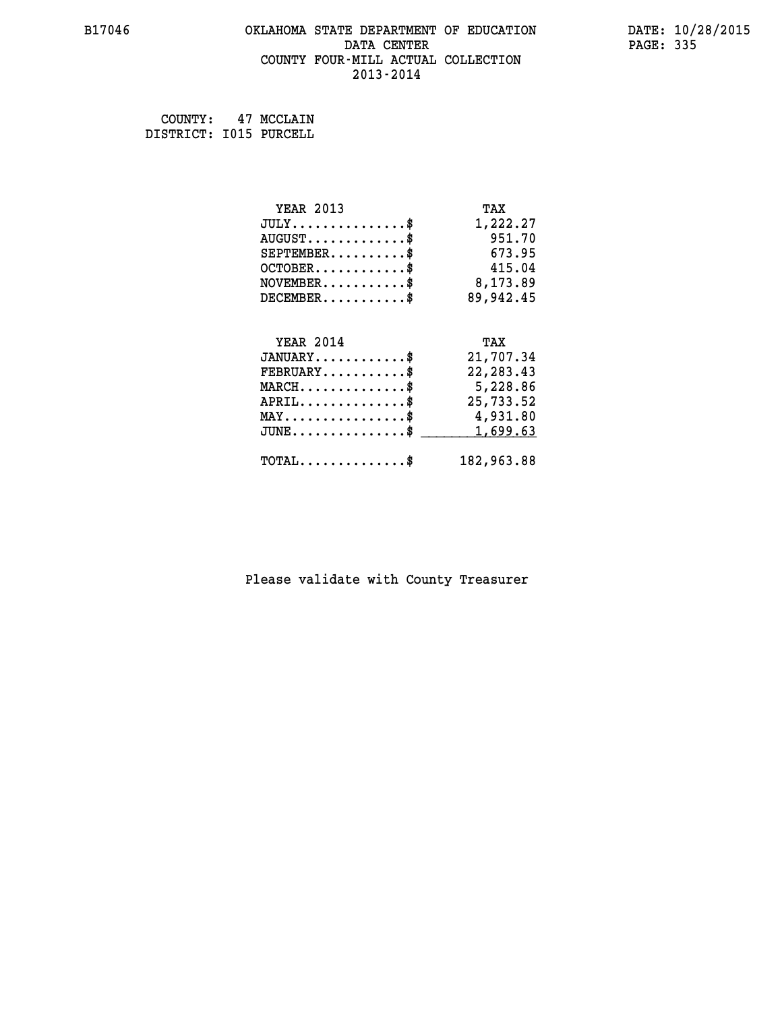## **B17046 OKLAHOMA STATE DEPARTMENT OF EDUCATION DATE: 10/28/2015 DATA CENTER** PAGE: 335  **COUNTY FOUR-MILL ACTUAL COLLECTION 2013-2014**

 **COUNTY: 47 MCCLAIN DISTRICT: I015 PURCELL**

| <b>YEAR 2013</b>                               | TAX        |
|------------------------------------------------|------------|
| $JULY$ \$                                      | 1,222.27   |
| $AUGUST$ \$                                    | 951.70     |
| $SEPTEMBER$ \$                                 | 673.95     |
| $OCTOBER$ \$                                   | 415.04     |
| $\texttt{NOVEMBER} \dots \dots \dots \$        | 8,173.89   |
| $DECEMBER$ \$                                  | 89,942.45  |
|                                                |            |
| <b>YEAR 2014</b>                               | TAX        |
| $JANUARY$ \$                                   | 21,707.34  |
| $FEBRUARY$                                     | 22, 283.43 |
| $MARCH$ \$                                     | 5,228.86   |
| $APRIL \ldots \ldots \ldots \ldots$            | 25,733.52  |
| $\texttt{MAX} \dots \dots \dots \dots \dots \$ | 4,931.80   |
| $JUNE$ \$                                      | 1,699.63   |
| $\texttt{TOTAL} \dots \dots \dots \dots \$     | 182,963.88 |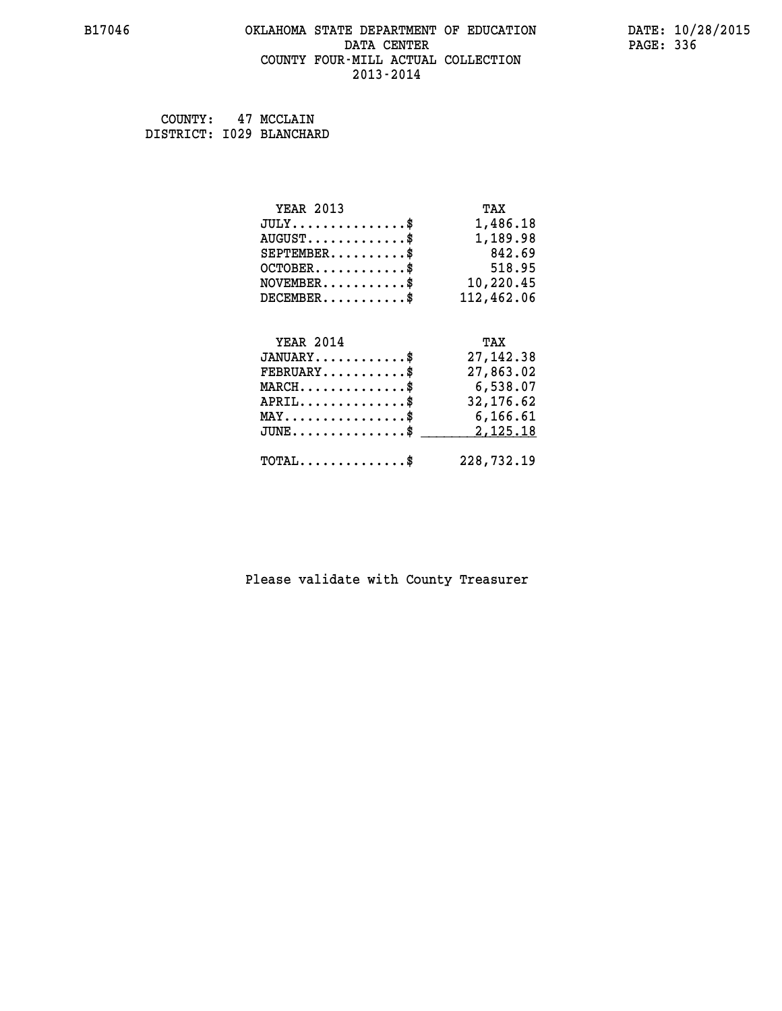## **B17046 OKLAHOMA STATE DEPARTMENT OF EDUCATION DATE: 10/28/2015 DATA CENTER** PAGE: 336  **COUNTY FOUR-MILL ACTUAL COLLECTION 2013-2014**

 **COUNTY: 47 MCCLAIN DISTRICT: I029 BLANCHARD**

| <b>YEAR 2013</b>                               | TAX        |
|------------------------------------------------|------------|
| $JULY$ \$                                      | 1,486.18   |
| $AUGUST$ \$                                    | 1,189.98   |
| $SEPTEMBER$ \$                                 | 842.69     |
| $OCTOBER$ \$                                   | 518.95     |
| $\texttt{NOVEMBER} \dots \dots \dots \$        | 10,220.45  |
| $DECEMBER$ \$                                  | 112,462.06 |
|                                                |            |
| <b>YEAR 2014</b>                               | TAX        |
| $JANUARY$ \$                                   | 27, 142.38 |
| $FEBRUARY$ \$                                  | 27,863.02  |
| $MARCH$ \$                                     | 6,538.07   |
| $APRIL$ \$                                     | 32, 176.62 |
| $\texttt{MAX} \dots \dots \dots \dots \dots \$ | 6,166.61   |
| $JUNE$ \$                                      | 2,125.18   |
| $\texttt{TOTAL} \dots \dots \dots \dots$       | 228,732.19 |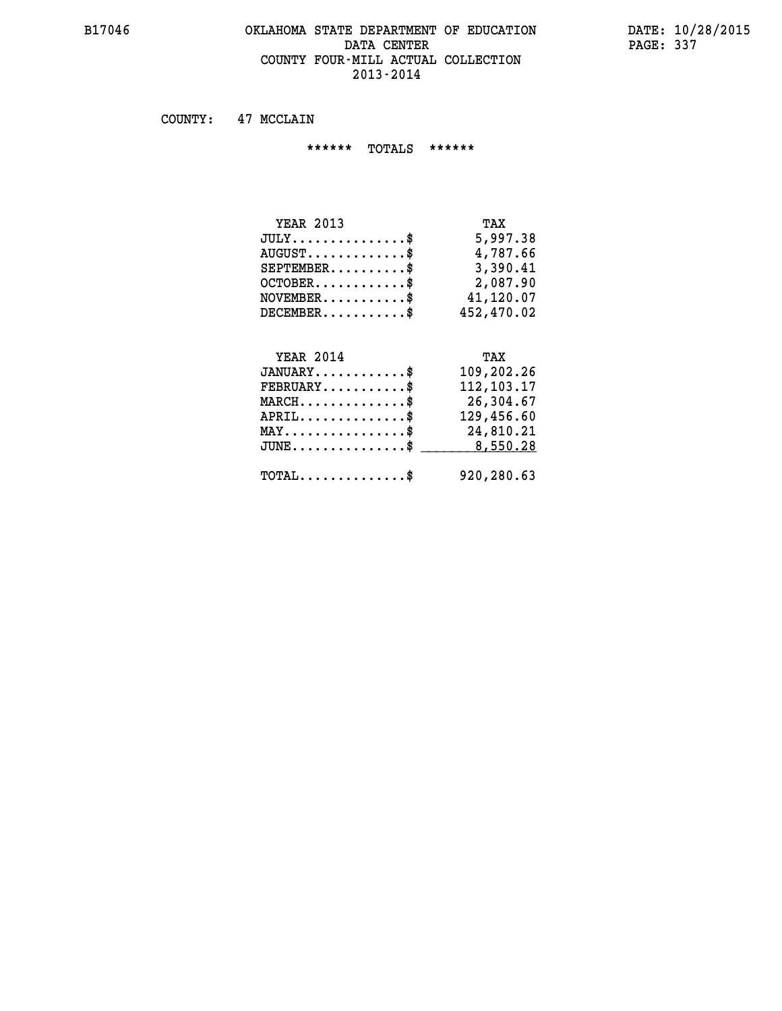#### **B17046 OKLAHOMA STATE DEPARTMENT OF EDUCATION DATE: 10/28/2015 DATA CENTER** PAGE: 337  **COUNTY FOUR-MILL ACTUAL COLLECTION 2013-2014**

 **COUNTY: 47 MCCLAIN**

 **\*\*\*\*\*\* TOTALS \*\*\*\*\*\***

| <b>YEAR 2013</b> | TAX        |
|------------------|------------|
| $JULY$ \$        | 5,997.38   |
| $AUGUST$         | 4,787.66   |
| $SEPTEMENT.$ \$  | 3,390.41   |
| $OCTOBER$ \$     | 2,087.90   |
| $NOVEMBER$ \$    | 41,120.07  |
| $DECEMBER$       | 452,470.02 |

#### **YEAR 2014 TAX JANUARY............\$ 109,202.26 FEBRUARY...........\$ 112,103.17 MARCH..............\$ 26,304.67 APRIL..............\$ 129,456.60 MAY................\$ 24,810.21 JUNE................\$** \_\_\_\_\_\_\_\_\_ 8,550.28

 **TOTAL..............\$ 920,280.63**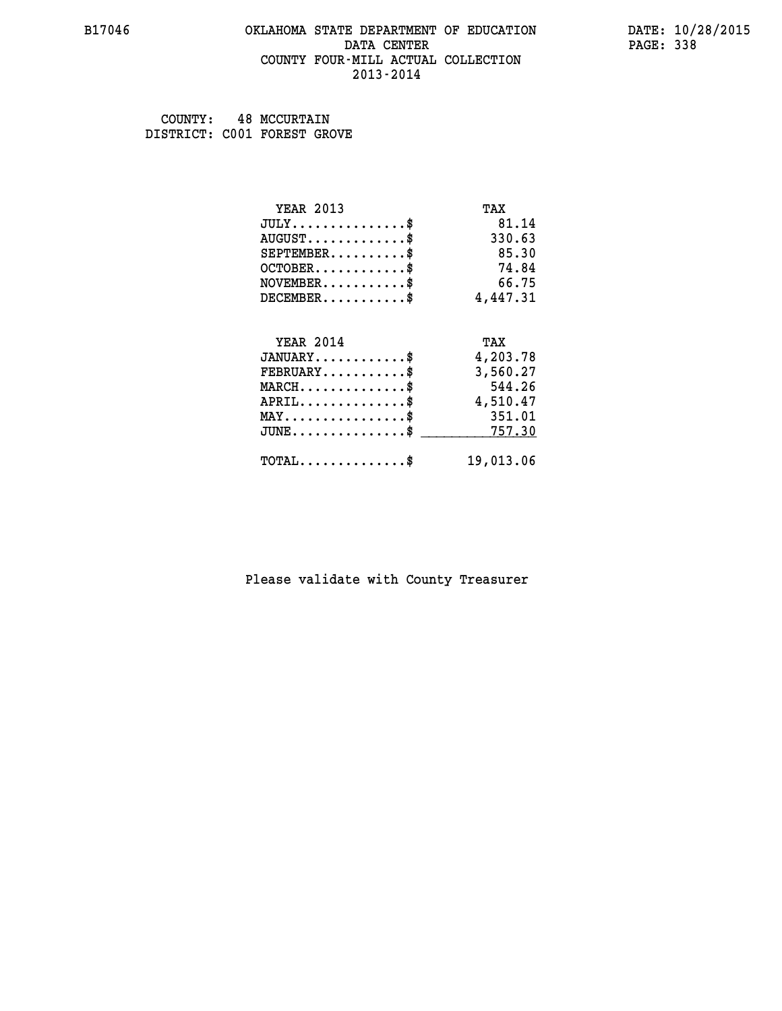## **B17046 OKLAHOMA STATE DEPARTMENT OF EDUCATION DATE: 10/28/2015 DATA CENTER** PAGE: 338  **COUNTY FOUR-MILL ACTUAL COLLECTION 2013-2014**

 **COUNTY: 48 MCCURTAIN DISTRICT: C001 FOREST GROVE**

| <b>YEAR 2013</b>                           | TAX       |
|--------------------------------------------|-----------|
| $JULY$ \$                                  | 81.14     |
| $AUGUST$ \$                                | 330.63    |
| $SEPTEMBER$                                | 85.30     |
| $OCTOBER$ \$                               | 74.84     |
| $NOVEMBER$ \$                              | 66.75     |
| $DECEMBER$ \$                              | 4,447.31  |
|                                            |           |
| <b>YEAR 2014</b>                           | TAX       |
| $JANUARY$ \$                               | 4,203.78  |
| $FEBRUARY$ \$                              | 3,560.27  |
| $MARCH$ \$                                 | 544.26    |
| $APRIL$ \$                                 | 4,510.47  |
| $MAX \dots \dots \dots \dots \dots$        | 351.01    |
| $JUNE$ \$                                  | 757.30    |
| $\texttt{TOTAL} \dots \dots \dots \dots \$ | 19,013.06 |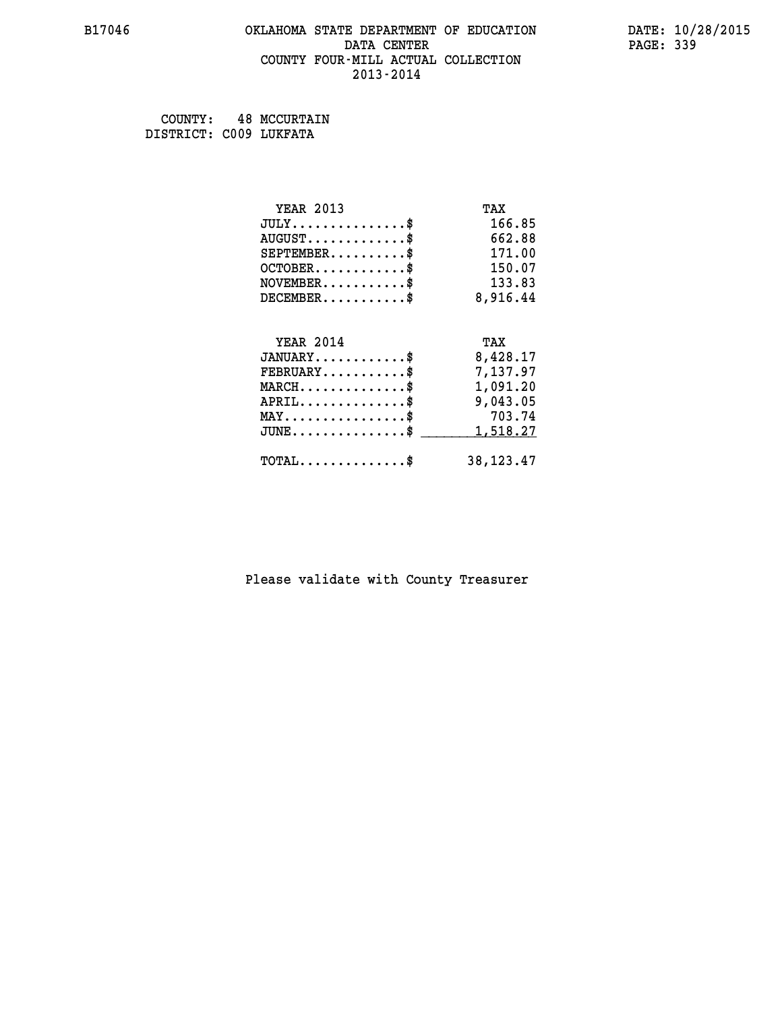## **B17046 OKLAHOMA STATE DEPARTMENT OF EDUCATION DATE: 10/28/2015 DATA CENTER** PAGE: 339  **COUNTY FOUR-MILL ACTUAL COLLECTION 2013-2014**

 **COUNTY: 48 MCCURTAIN DISTRICT: C009 LUKFATA**

| <b>YEAR 2013</b>                           | TAX         |
|--------------------------------------------|-------------|
| $JULY$ \$                                  | 166.85      |
| $AUGUST$ \$                                | 662.88      |
| $SEPTEMBER$ \$                             | 171.00      |
| $OCTOBER$ \$                               | 150.07      |
| $NOVEMBER$ \$                              | 133.83      |
| $DECEMBER$ \$                              | 8,916.44    |
|                                            |             |
| <b>YEAR 2014</b>                           | TAX         |
| $JANUARY$ \$                               | 8,428.17    |
| $FEBRUARY$                                 | 7,137.97    |
| $MARCH$ \$                                 | 1,091.20    |
| $APRIL$ \$                                 | 9,043.05    |
| $MAX \dots \dots \dots \dots \dots$        | 703.74      |
| $JUNE$                                     | 1,518.27    |
| $\texttt{TOTAL} \dots \dots \dots \dots \$ | 38, 123. 47 |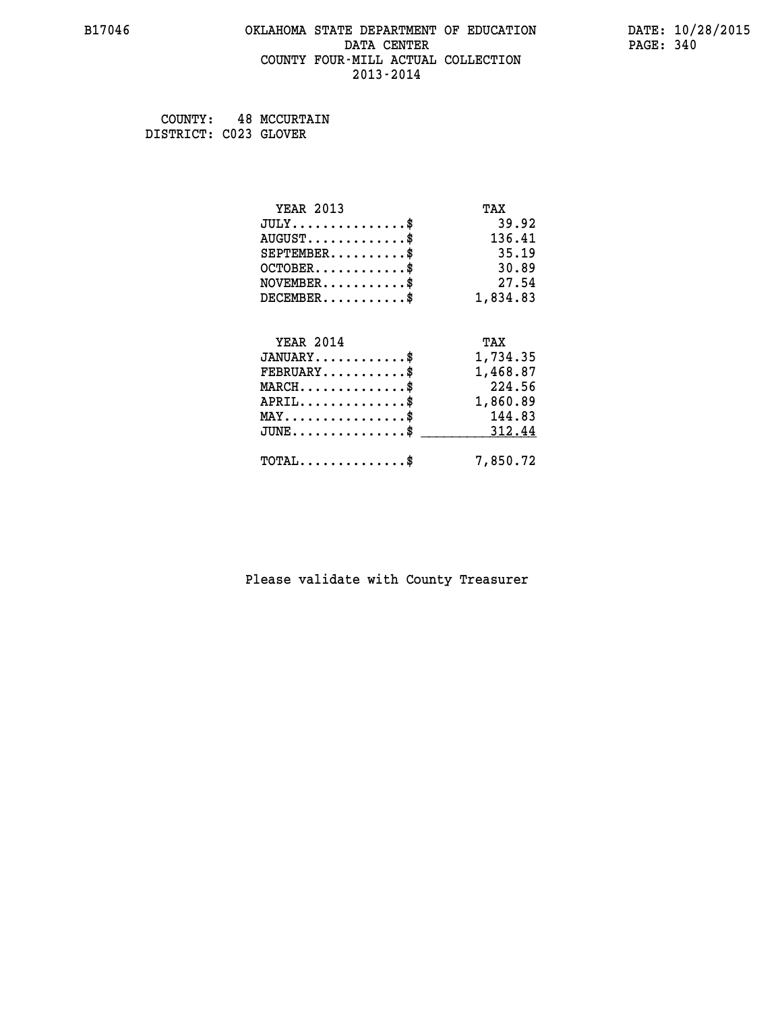## **B17046 OKLAHOMA STATE DEPARTMENT OF EDUCATION DATE: 10/28/2015 DATA CENTER** PAGE: 340  **COUNTY FOUR-MILL ACTUAL COLLECTION 2013-2014**

 **COUNTY: 48 MCCURTAIN DISTRICT: C023 GLOVER**

| <b>YEAR 2013</b>                           | TAX      |
|--------------------------------------------|----------|
| $JULY$ \$                                  | 39.92    |
| $AUGUST$ \$                                | 136.41   |
| $SEPTEMBER$ \$                             | 35.19    |
| $OCTOBER$ \$                               | 30.89    |
| $\texttt{NOVEMBER} \dots \dots \dots \$    | 27.54    |
| $DECEMBER$ \$                              | 1,834.83 |
|                                            |          |
| <b>YEAR 2014</b>                           | TAX      |
| $JANUARY$ \$                               | 1,734.35 |
| $FEBRUARY$                                 | 1,468.87 |
| $MARCH$ \$                                 | 224.56   |
| $\texttt{APRIL} \dots \dots \dots \dots \$ | 1,860.89 |
| $MAX \dots \dots \dots \dots \dots$        | 144.83   |
| $JUNE$ \$                                  | 312.44   |
| $TOTAL$ \$                                 | 7,850.72 |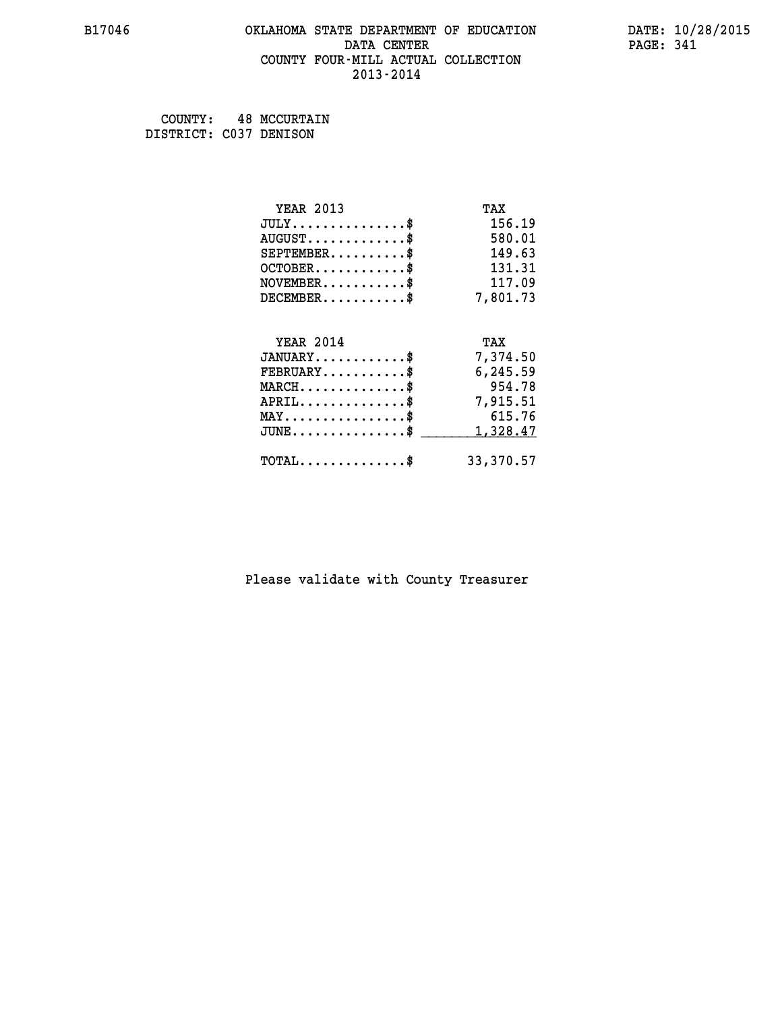## **B17046 OKLAHOMA STATE DEPARTMENT OF EDUCATION DATE: 10/28/2015 DATA CENTER** PAGE: 341  **COUNTY FOUR-MILL ACTUAL COLLECTION 2013-2014**

 **COUNTY: 48 MCCURTAIN DISTRICT: C037 DENISON**

| <b>YEAR 2013</b>                           | TAX       |
|--------------------------------------------|-----------|
| $JULY$ \$                                  | 156.19    |
| $AUGUST$ \$                                | 580.01    |
| $SEPTEMBER$ \$                             | 149.63    |
| $OCTOBER$ \$                               | 131.31    |
| $\texttt{NOVEMBER} \dots \dots \dots \$    | 117.09    |
| $DECEMBER$ \$                              | 7,801.73  |
|                                            |           |
| <b>YEAR 2014</b>                           | TAX       |
| $JANUARY$ \$                               | 7,374.50  |
| $FEBRUARY$                                 | 6,245.59  |
| $MARCH$ \$                                 | 954.78    |
| $APRIL$ \$                                 | 7,915.51  |
| $MAX \dots \dots \dots \dots \dots$        | 615.76    |
| $JUNE$ \$                                  | 1,328.47  |
| $\texttt{TOTAL} \dots \dots \dots \dots \$ | 33,370.57 |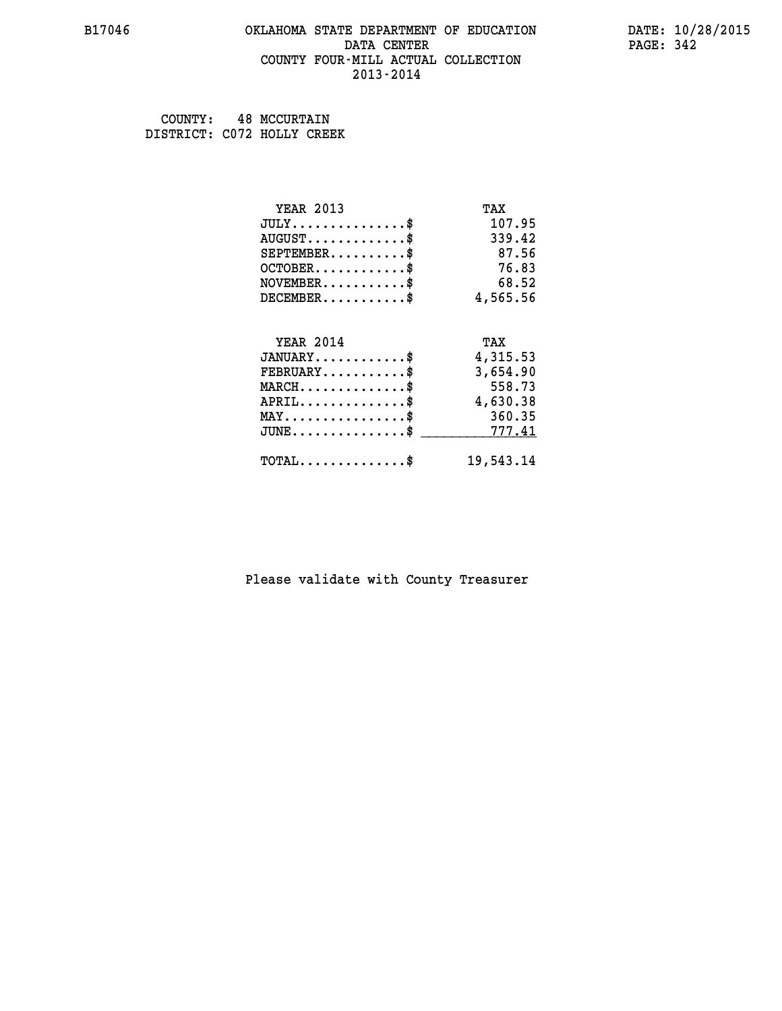## **B17046 OKLAHOMA STATE DEPARTMENT OF EDUCATION DATE: 10/28/2015 DATA CENTER** PAGE: 342  **COUNTY FOUR-MILL ACTUAL COLLECTION 2013-2014**

 **COUNTY: 48 MCCURTAIN DISTRICT: C072 HOLLY CREEK**

| <b>YEAR 2013</b>                           | TAX       |
|--------------------------------------------|-----------|
| $JULY$ \$                                  | 107.95    |
| $AUGUST$ \$                                | 339.42    |
| $SEPTEMENT.$ \$                            | 87.56     |
| $OCTOBER$ \$                               | 76.83     |
| $NOVEMBER$ \$                              | 68.52     |
| $DECEMBER$ \$                              | 4,565.56  |
|                                            |           |
| <b>YEAR 2014</b>                           | TAX       |
| $JANUARY$ \$                               | 4,315.53  |
| $FEBRUARY$ \$                              | 3,654.90  |
| $MARCH$ \$                                 | 558.73    |
| $APRIL$ \$                                 | 4,630.38  |
| $MAX \dots \dots \dots \dots \dots$        | 360.35    |
| $JUNE$                                     | 777.41    |
| $\texttt{TOTAL} \dots \dots \dots \dots \$ | 19,543.14 |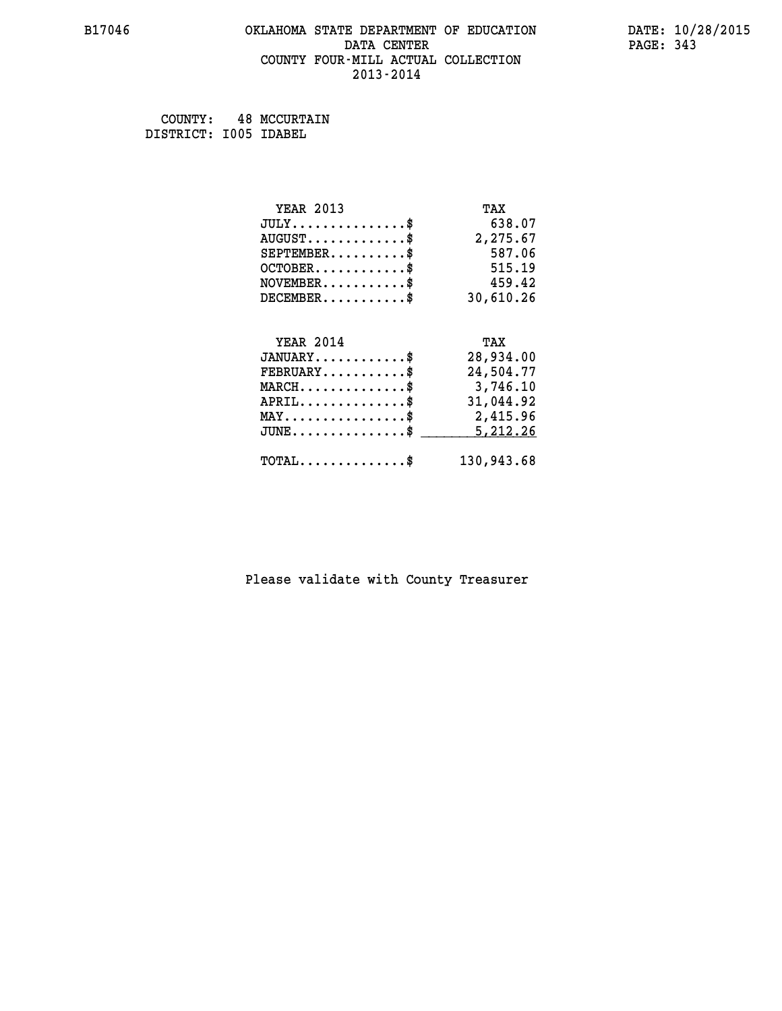## **B17046 OKLAHOMA STATE DEPARTMENT OF EDUCATION DATE: 10/28/2015 DATA CENTER** PAGE: 343  **COUNTY FOUR-MILL ACTUAL COLLECTION 2013-2014**

 **COUNTY: 48 MCCURTAIN DISTRICT: I005 IDABEL**

| <b>YEAR 2013</b>                               | TAX        |
|------------------------------------------------|------------|
| $JULY$ \$                                      | 638.07     |
| $AUGUST$ \$                                    | 2,275.67   |
| $SEPTEMENT.$ \$                                | 587.06     |
| $OCTOBER$ \$                                   | 515.19     |
| $NOVEMBER$ \$                                  | 459.42     |
| $DECEMBER$ \$                                  | 30,610.26  |
|                                                |            |
| <b>YEAR 2014</b>                               | TAX        |
| $JANUARY$                                      | 28,934.00  |
| $FEBRUARY$                                     | 24,504.77  |
| $MARCH$ \$                                     | 3,746.10   |
| $APRIL$ \$                                     | 31,044.92  |
| $\texttt{MAX} \dots \dots \dots \dots \dots \$ | 2,415.96   |
| $JUNE$ \$                                      | 5,212.26   |
| $\texttt{TOTAL} \dots \dots \dots \dots \$     | 130,943.68 |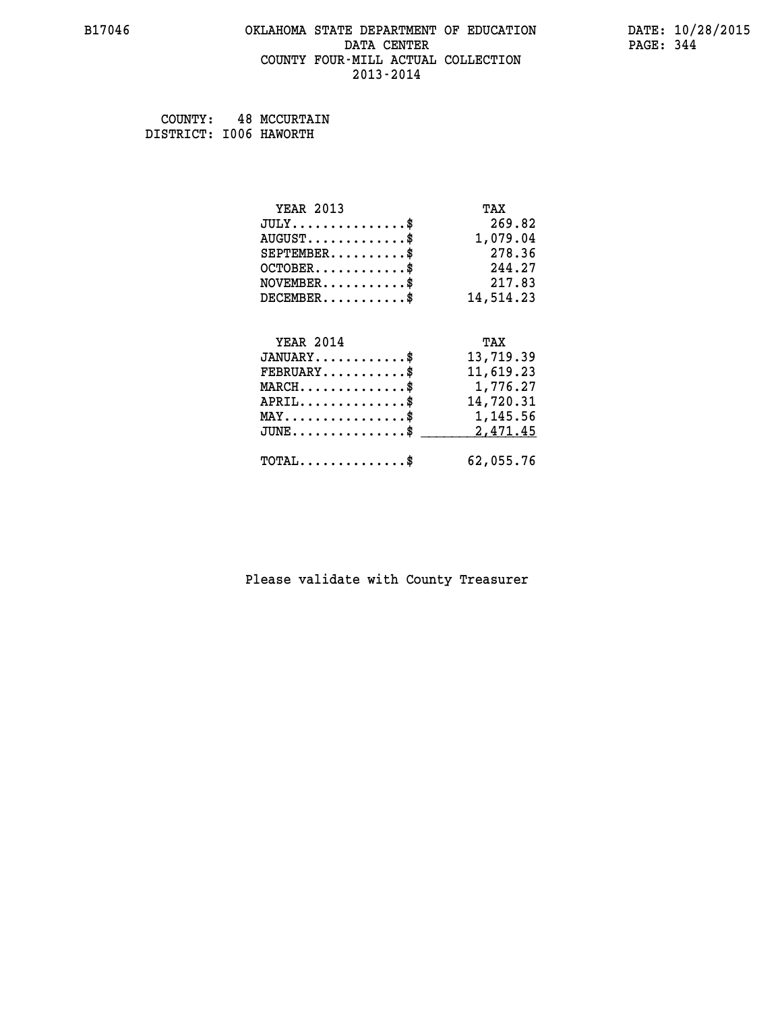## **B17046 OKLAHOMA STATE DEPARTMENT OF EDUCATION DATE: 10/28/2015 DATA CENTER** PAGE: 344  **COUNTY FOUR-MILL ACTUAL COLLECTION 2013-2014**

 **COUNTY: 48 MCCURTAIN DISTRICT: I006 HAWORTH**

| <b>YEAR 2013</b> | TAX       |
|------------------|-----------|
| $JULY$ \$        | 269.82    |
| $AUGUST$ \$      | 1,079.04  |
| $SEPTEMBER$ \$   | 278.36    |
| $OCTOBER$ \$     | 244.27    |
| $NOVEMBER$ \$    | 217.83    |
| $DECEMBER$ \$    | 14,514.23 |
|                  |           |
| <b>YEAR 2014</b> | TAX       |
| $JANUARY$        | 13,719.39 |
| $FEBRUARY$       | 11,619.23 |
| $MARCH$ \$       | 1,776.27  |
| $APRIL$ \$       | 14,720.31 |
| MAY\$ 1,145.56   |           |
| $JUNE$ \$        | 2,471.45  |
| $TOTAL$ \$       | 62,055.76 |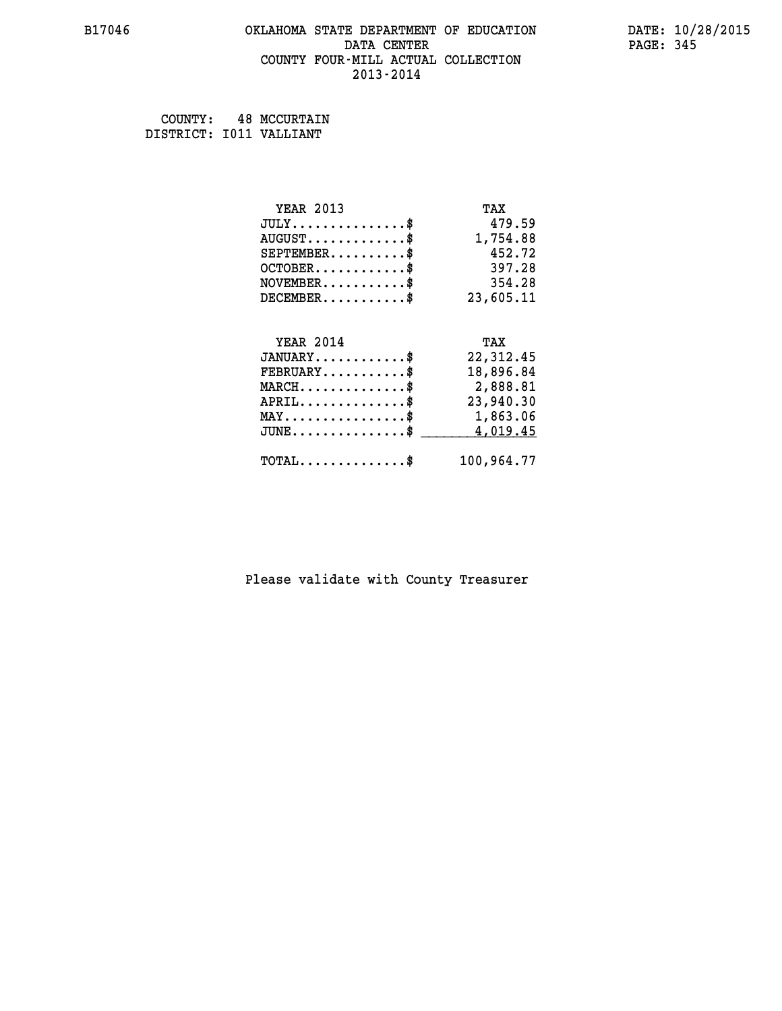## **B17046 OKLAHOMA STATE DEPARTMENT OF EDUCATION DATE: 10/28/2015 DATA CENTER** PAGE: 345  **COUNTY FOUR-MILL ACTUAL COLLECTION 2013-2014**

 **COUNTY: 48 MCCURTAIN DISTRICT: I011 VALLIANT**

| <b>YEAR 2013</b>                               | TAX        |
|------------------------------------------------|------------|
| $JULY$ \$                                      | 479.59     |
| $AUGUST$ \$                                    | 1,754.88   |
| $SEPTEMENT.$ \$                                | 452.72     |
| $OCTOBER$ \$                                   | 397.28     |
| $\texttt{NOVEMBER} \dots \dots \dots \$        | 354.28     |
| $DECEMBER$ \$                                  | 23,605.11  |
|                                                |            |
| <b>YEAR 2014</b>                               | TAX        |
| $JANUARY$ \$                                   | 22,312.45  |
| $FEBRUARY$                                     | 18,896.84  |
| $MARCH$ \$                                     | 2,888.81   |
| $APRIL$ \$                                     | 23,940.30  |
| $\texttt{MAX} \dots \dots \dots \dots \dots \$ | 1,863.06   |
| $JUNE$ \$                                      | 4,019.45   |
| $\texttt{TOTAL} \dots \dots \dots \dots \$     | 100,964.77 |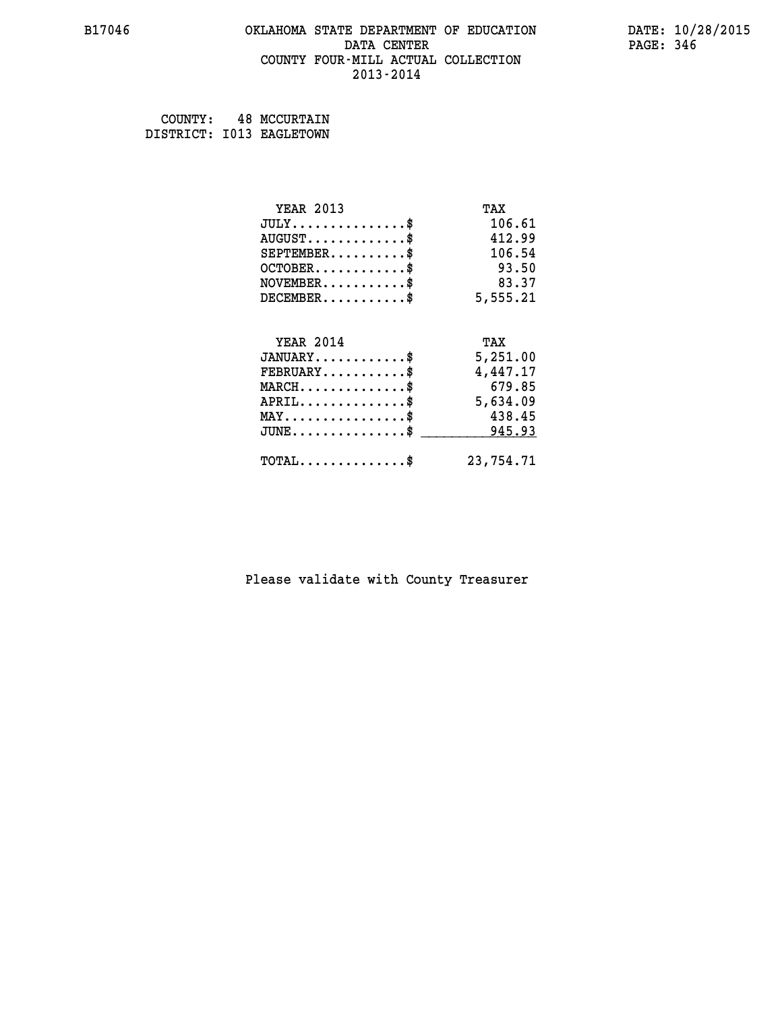## **B17046 OKLAHOMA STATE DEPARTMENT OF EDUCATION DATE: 10/28/2015 DATA CENTER** PAGE: 346  **COUNTY FOUR-MILL ACTUAL COLLECTION 2013-2014**

 **COUNTY: 48 MCCURTAIN DISTRICT: I013 EAGLETOWN**

| <b>YEAR 2013</b>                | TAX       |
|---------------------------------|-----------|
| $JULY$ \$                       | 106.61    |
| $AUGUST$ \$                     | 412.99    |
| $SEPTEMENT.$ \$                 | 106.54    |
| $OCTOBER$ \$                    | 93.50     |
| $NOVEMBER$ \$                   | 83.37     |
| $DECEMBER$ \$                   | 5,555.21  |
| <b>YEAR 2014</b>                | TAX       |
| $JANUARY$ \$                    | 5,251.00  |
| $FEBRUARY$                      | 4,447.17  |
| $MARCH$ \$                      | 679.85    |
| $APRIL$ \$                      | 5,634.09  |
| $MAX \dots \dots \dots \dots \$ | 438.45    |
| $JUNE$ \$                       | 945.93    |
| $TOTAL$ \$                      | 23,754.71 |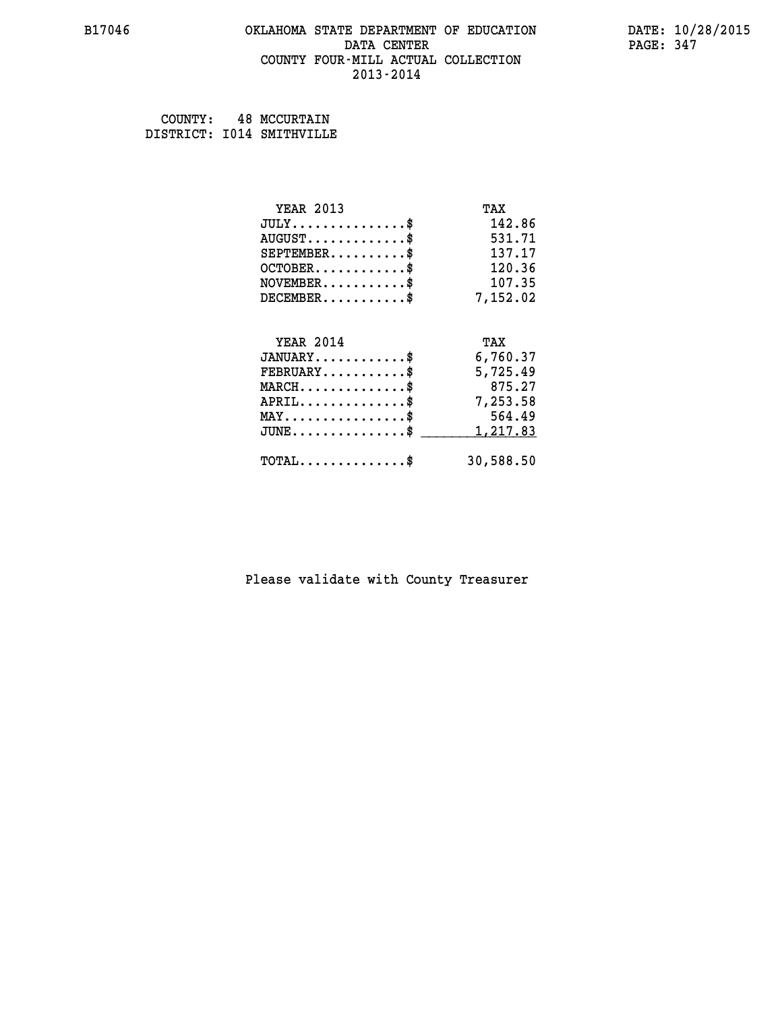#### **B17046 OKLAHOMA STATE DEPARTMENT OF EDUCATION DATE: 10/28/2015 DATA CENTER** PAGE: 347  **COUNTY FOUR-MILL ACTUAL COLLECTION 2013-2014**

| COUNTY: | <b>48 MCCURTAIN</b>       |
|---------|---------------------------|
|         | DISTRICT: I014 SMITHVILLE |

| <b>YEAR 2013</b>                           | TAX       |
|--------------------------------------------|-----------|
| $JULY$ \$                                  | 142.86    |
| $AUGUST$ \$                                | 531.71    |
| $SEPTEMBER$ \$                             | 137.17    |
| $OCTOBER$ \$                               | 120.36    |
| $\texttt{NOVEMBER} \dots \dots \dots \$    | 107.35    |
| $DECEMBER$ \$                              | 7,152.02  |
|                                            |           |
| <b>YEAR 2014</b>                           | TAX       |
| $JANUARY$ \$                               | 6,760.37  |
| $FEBRUARY$                                 | 5,725.49  |
| $MARCH$ \$                                 | 875.27    |
| $APRIL$ \$                                 | 7,253.58  |
| $MAX \dots \dots \dots \dots \dots$        | 564.49    |
| $JUNE$ \$                                  | 1,217.83  |
| $\texttt{TOTAL} \dots \dots \dots \dots \$ | 30,588.50 |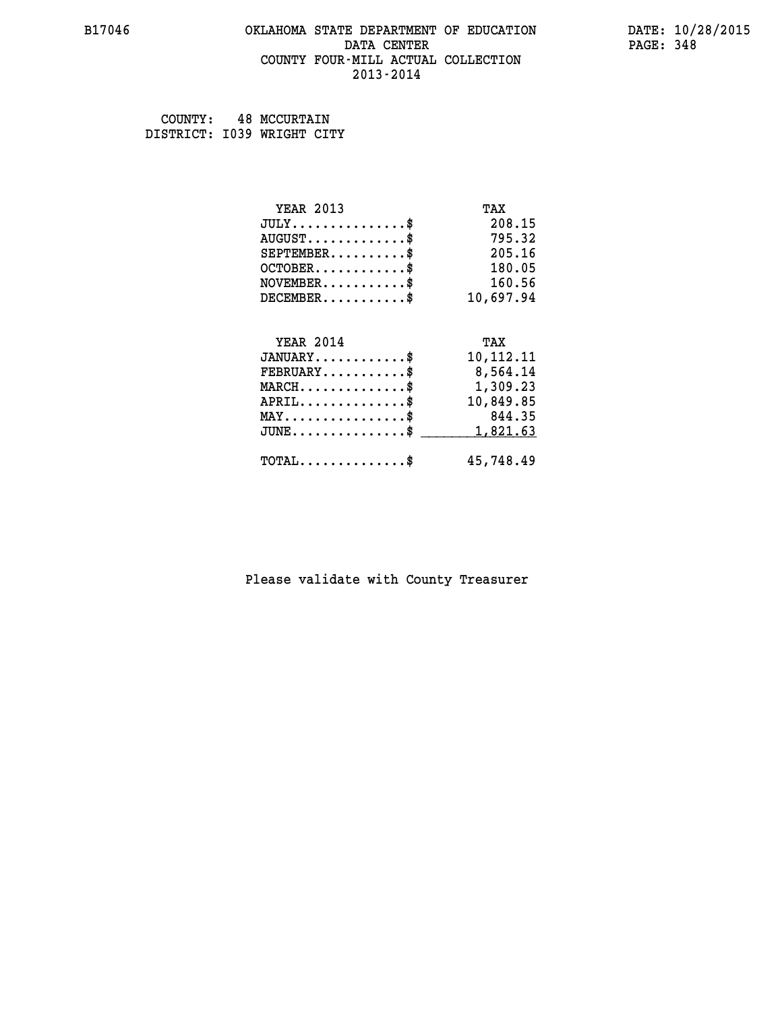## **B17046 OKLAHOMA STATE DEPARTMENT OF EDUCATION DATE: 10/28/2015 DATA CENTER** PAGE: 348  **COUNTY FOUR-MILL ACTUAL COLLECTION 2013-2014**

 **COUNTY: 48 MCCURTAIN DISTRICT: I039 WRIGHT CITY**

| <b>YEAR 2013</b>                    | TAX       |
|-------------------------------------|-----------|
| $JULY$ \$                           | 208.15    |
| $AUGUST$ \$                         | 795.32    |
| $SEPTEMBER$                         | 205.16    |
| $OCTOBER$ \$                        | 180.05    |
| $NOVEMBER$ \$                       | 160.56    |
| $DECEMBER$ \$                       | 10,697.94 |
|                                     |           |
|                                     |           |
| <b>YEAR 2014</b>                    | TAX       |
| $JANUARY$ \$                        | 10,112.11 |
| $FEBRUARY$                          | 8,564.14  |
| $MARCH$ \$                          | 1,309.23  |
| $APRIL$ \$                          | 10,849.85 |
| $MAX \dots \dots \dots \dots \dots$ | 844.35    |
| $JUNE$ \$                           | 1,821.63  |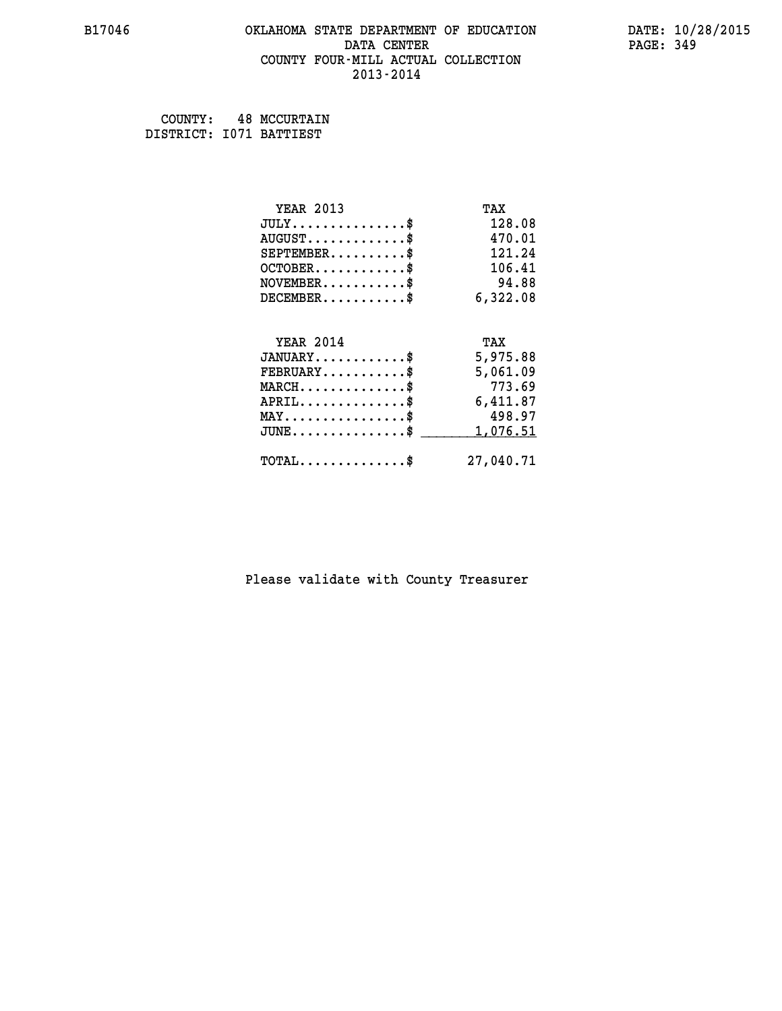## **B17046 OKLAHOMA STATE DEPARTMENT OF EDUCATION DATE: 10/28/2015 DATA CENTER** PAGE: 349  **COUNTY FOUR-MILL ACTUAL COLLECTION 2013-2014**

 **COUNTY: 48 MCCURTAIN DISTRICT: I071 BATTIEST**

| <b>YEAR 2013</b>                           | TAX       |
|--------------------------------------------|-----------|
| $JULY$ \$                                  | 128.08    |
| $AUGUST$ \$                                | 470.01    |
| $SEPTEMENT.$ \$                            | 121.24    |
| $OCTOBER$ \$                               | 106.41    |
| $NOVEMBER$ \$                              | 94.88     |
| $DECEMBER$ \$                              | 6,322.08  |
|                                            |           |
| <b>YEAR 2014</b>                           | TAX       |
| $JANUARY$ \$                               | 5,975.88  |
| $FEBRUARY$                                 | 5,061.09  |
| $MARCH$ \$                                 | 773.69    |
| $APRIL$ \$                                 | 6,411.87  |
| $MAX \dots \dots \dots \dots \dots$        | 498.97    |
| $JUNE$ \$                                  | 1,076.51  |
| $\texttt{TOTAL} \dots \dots \dots \dots \$ | 27,040.71 |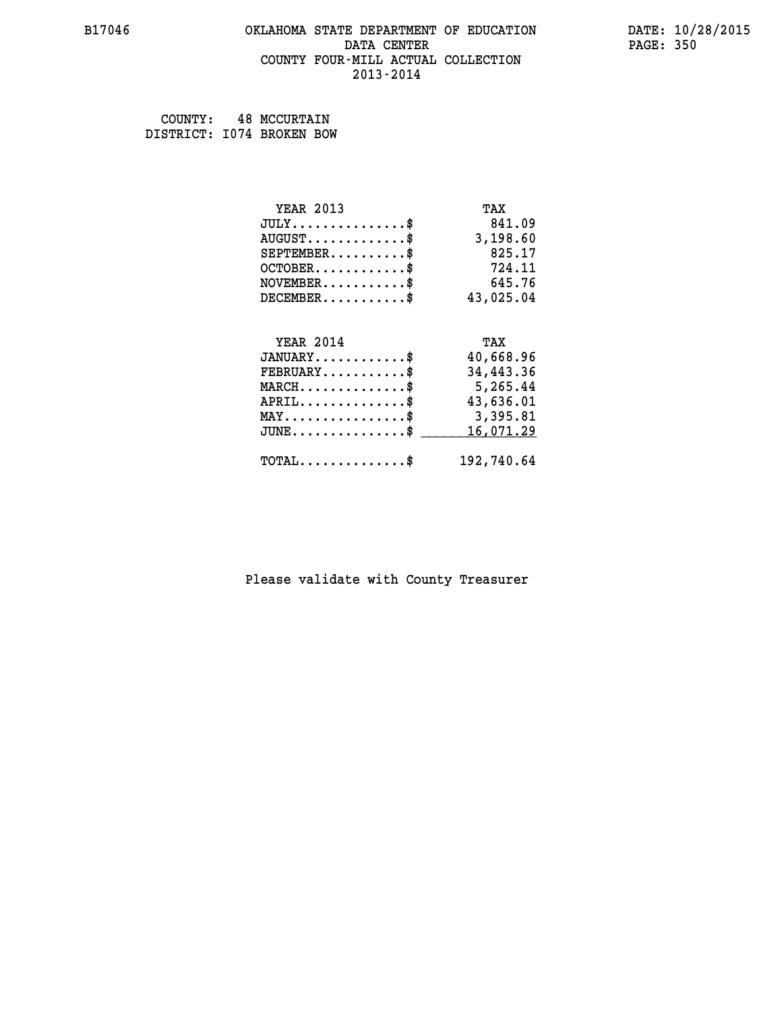## **B17046 OKLAHOMA STATE DEPARTMENT OF EDUCATION DATE: 10/28/2015 DATA CENTER** PAGE: 350  **COUNTY FOUR-MILL ACTUAL COLLECTION 2013-2014**

 **COUNTY: 48 MCCURTAIN DISTRICT: I074 BROKEN BOW**

| <b>YEAR 2013</b>                                   | TAX        |
|----------------------------------------------------|------------|
| $JULY$ \$                                          | 841.09     |
| $AUGUST$ \$                                        | 3,198.60   |
| $SEPTEMBER$ \$                                     | 825.17     |
| $OCTOBER$ \$                                       | 724.11     |
| $\texttt{NOVEMBER} \dots \dots \dots \$            | 645.76     |
| $DECEMBER$ \$                                      | 43,025.04  |
|                                                    |            |
| <b>YEAR 2014</b>                                   | TAX        |
| $JANUARY$ \$                                       | 40,668.96  |
| $FEBRUARY$                                         | 34,443.36  |
| $MARCH$ \$                                         | 5,265.44   |
| $APRIL \ldots \ldots \ldots \ldots$                | 43,636.01  |
| $\texttt{MAX} \dots \dots \dots \dots \dots \$     | 3,395.81   |
| $J\texttt{UNE} \dots \dots \dots \dots \texttt{S}$ | 16,071.29  |
| $\texttt{TOTAL} \dots \dots \dots \dots \$         | 192,740.64 |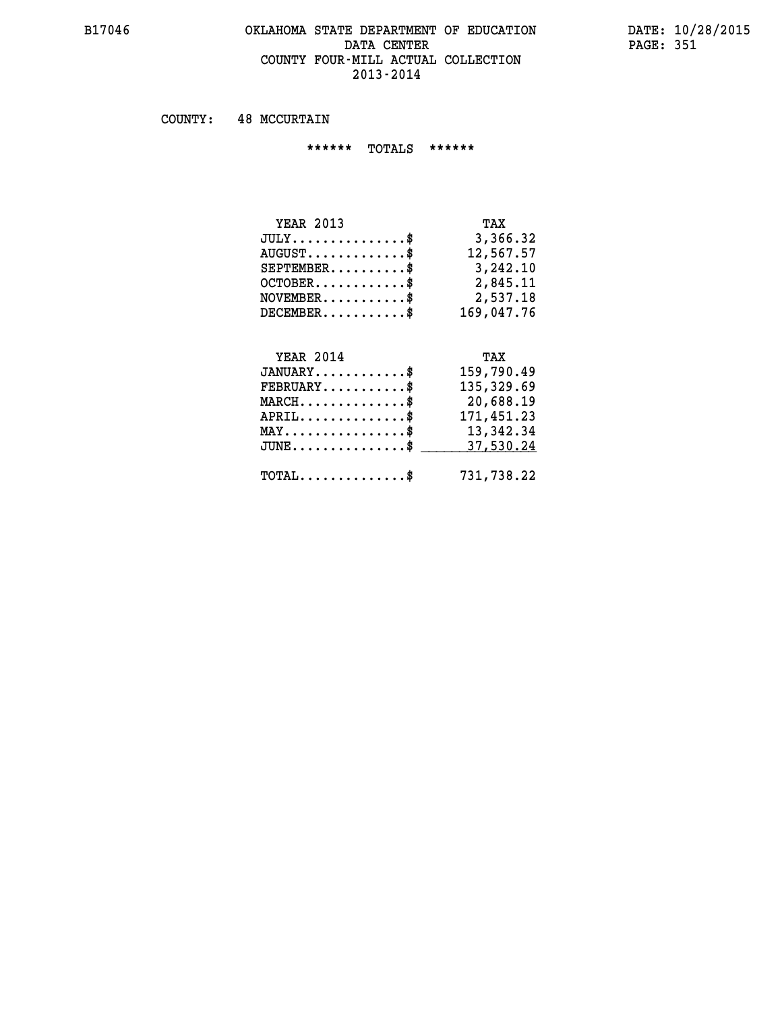# **B17046 OKLAHOMA STATE DEPARTMENT OF EDUCATION DATE: 10/28/2015** DATA CENTER PAGE: 351  **COUNTY FOUR-MILL ACTUAL COLLECTION 2013-2014**

 **COUNTY: 48 MCCURTAIN**

 **\*\*\*\*\*\* TOTALS \*\*\*\*\*\***

| <b>YEAR 2013</b>                       | TAX        |
|----------------------------------------|------------|
| $JULY \ldots \ldots \ldots \mathbb{S}$ | 3,366.32   |
| $AUGUST \ldots \ldots \ldots$ \$       | 12,567.57  |
| $SEPTEMENT.$ \$                        | 3,242.10   |
| $OCTOBER$ \$                           | 2,845.11   |
| $NOVEMBER$ \$                          | 2,537.18   |
| $DECEMBER$                             | 169,047.76 |

# **YEAR 2014 TAX**

| $JANUARY$                                    | 159,790.49 |
|----------------------------------------------|------------|
| $\texttt{FEBRUARY} \dots \dots \dots \$      | 135,329.69 |
| $MARCH$ \$                                   | 20,688.19  |
| $APRIL$                                      | 171,451.23 |
| $MAX \dots \dots \dots \dots \dots \$        | 13,342.34  |
| JUNE\$ 37,530.24                             |            |
| $\text{TOTAL} \dots \dots \dots \dots \dots$ | 731,738.22 |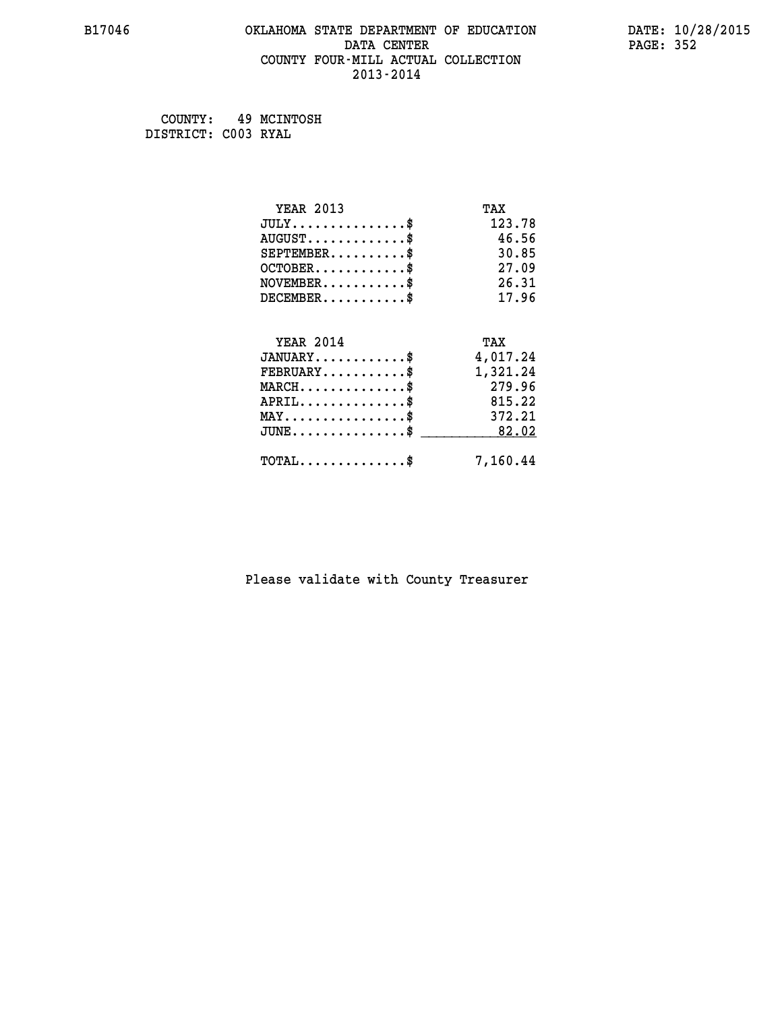## **B17046 OKLAHOMA STATE DEPARTMENT OF EDUCATION DATE: 10/28/2015 DATA CENTER** PAGE: 352  **COUNTY FOUR-MILL ACTUAL COLLECTION 2013-2014**

 **COUNTY: 49 MCINTOSH DISTRICT: C003 RYAL**

| <b>YEAR 2013</b>                            | TAX      |
|---------------------------------------------|----------|
| $JULY$ \$                                   | 123.78   |
| $AUGUST$ \$                                 | 46.56    |
| $SEPTEMBER$ \$                              | 30.85    |
| $OCTOBER$ \$                                | 27.09    |
| $NOVEMBER$ \$                               | 26.31    |
| $DECEMBER$ \$                               | 17.96    |
|                                             |          |
| <b>YEAR 2014</b>                            | TAX      |
| $JANUARY$                                   | 4,017.24 |
| $FEBRUARY$                                  | 1,321.24 |
| $MARCH$ \$                                  | 279.96   |
| $APRIL$ \$                                  | 815.22   |
| $MAX \dots \dots \dots \dots \dots$         | 372.21   |
| $\texttt{JUNE}\dots\dots\dots\dots\dots\$   | 82.02    |
| $\texttt{TOTAL} \dots \dots \dots \dots$ \$ | 7,160.44 |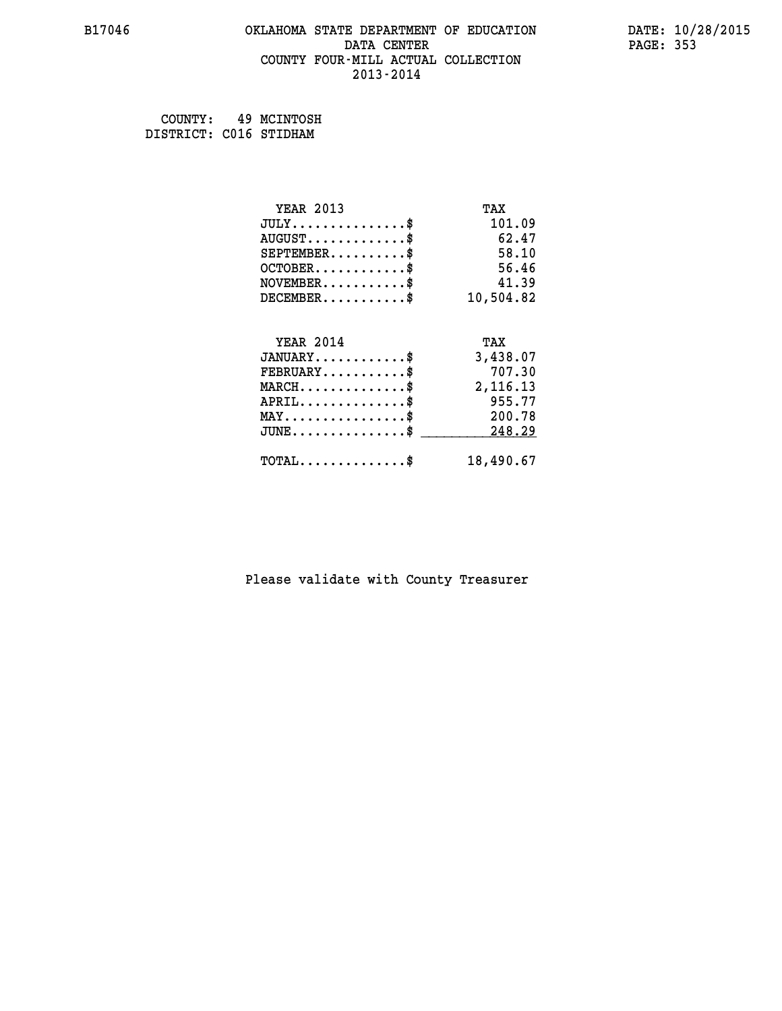## **B17046 OKLAHOMA STATE DEPARTMENT OF EDUCATION DATE: 10/28/2015 DATA CENTER** PAGE: 353  **COUNTY FOUR-MILL ACTUAL COLLECTION 2013-2014**

 **COUNTY: 49 MCINTOSH DISTRICT: C016 STIDHAM**

| <b>YEAR 2013</b>                                | TAX       |
|-------------------------------------------------|-----------|
| $JULY$ \$                                       | 101.09    |
| $AUGUST$ \$                                     | 62.47     |
| $SEPTEMBER$ \$                                  | 58.10     |
| $OCTOBER$ \$                                    | 56.46     |
| $NOVEMBER$ \$                                   | 41.39     |
| $DECEMBER$ \$                                   | 10,504.82 |
|                                                 |           |
| <b>YEAR 2014</b>                                | TAX       |
| $JANUARY$ \$                                    | 3,438.07  |
| $FEBRUARY$ \$                                   | 707.30    |
| $\texttt{MARCH}\ldots\ldots\ldots\ldots\cdots\$ | 2,116.13  |
| $APRIL$ \$                                      | 955.77    |
| $MAX \dots \dots \dots \dots \$                 | 200.78    |
| $JUNE$ \$                                       | 248.29    |
| $TOTAL$ \$                                      | 18,490.67 |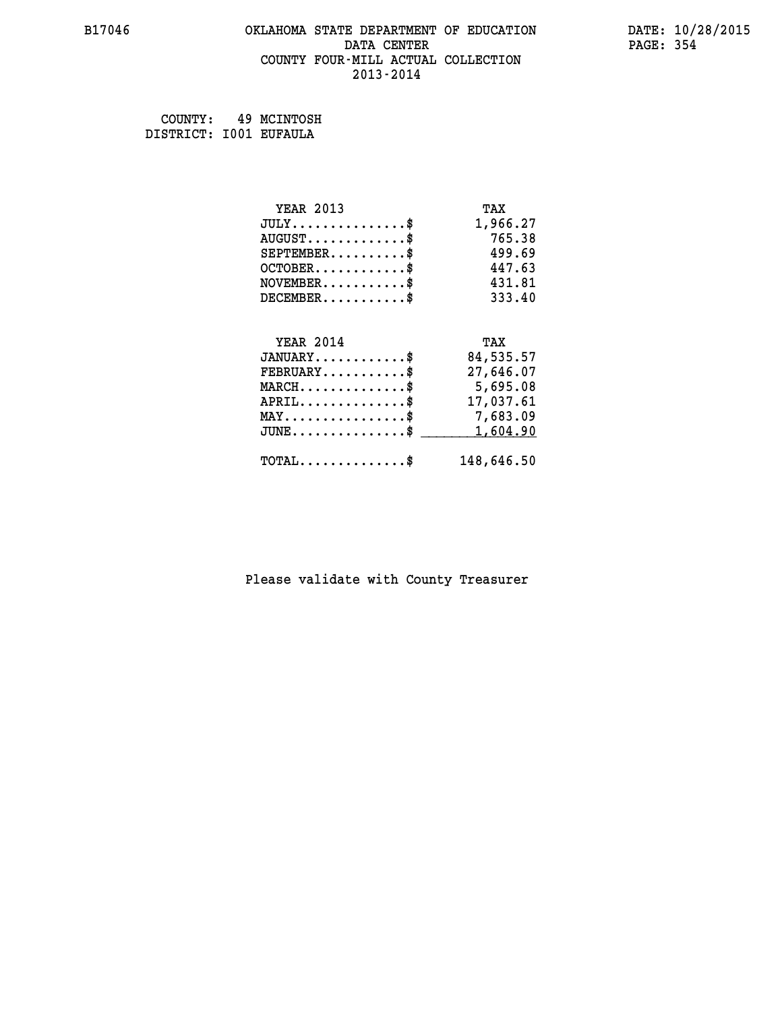## **B17046 OKLAHOMA STATE DEPARTMENT OF EDUCATION DATE: 10/28/2015 DATA CENTER** PAGE: 354  **COUNTY FOUR-MILL ACTUAL COLLECTION 2013-2014**

 **COUNTY: 49 MCINTOSH DISTRICT: I001 EUFAULA**

| <b>YEAR 2013</b>                               | TAX        |
|------------------------------------------------|------------|
| $JULY$ \$                                      | 1,966.27   |
| $AUGUST$ \$                                    | 765.38     |
| $SEPTEMBER$                                    | 499.69     |
| $OCTOBER$ \$                                   | 447.63     |
| $NOVEMBER$ \$                                  | 431.81     |
| $DECEMBER$ \$                                  | 333.40     |
|                                                |            |
| <b>YEAR 2014</b>                               | TAX        |
| $JANUARY$ \$                                   | 84,535.57  |
| $FEBRUARY$                                     | 27,646.07  |
| $MARCH$ \$                                     | 5,695.08   |
| $APRIL$ \$                                     | 17,037.61  |
| $\texttt{MAX} \dots \dots \dots \dots \dots \$ | 7,683.09   |
| $JUNE$ \$                                      | 1,604.90   |
| $\texttt{TOTAL} \dots \dots \dots \dots \$     | 148,646.50 |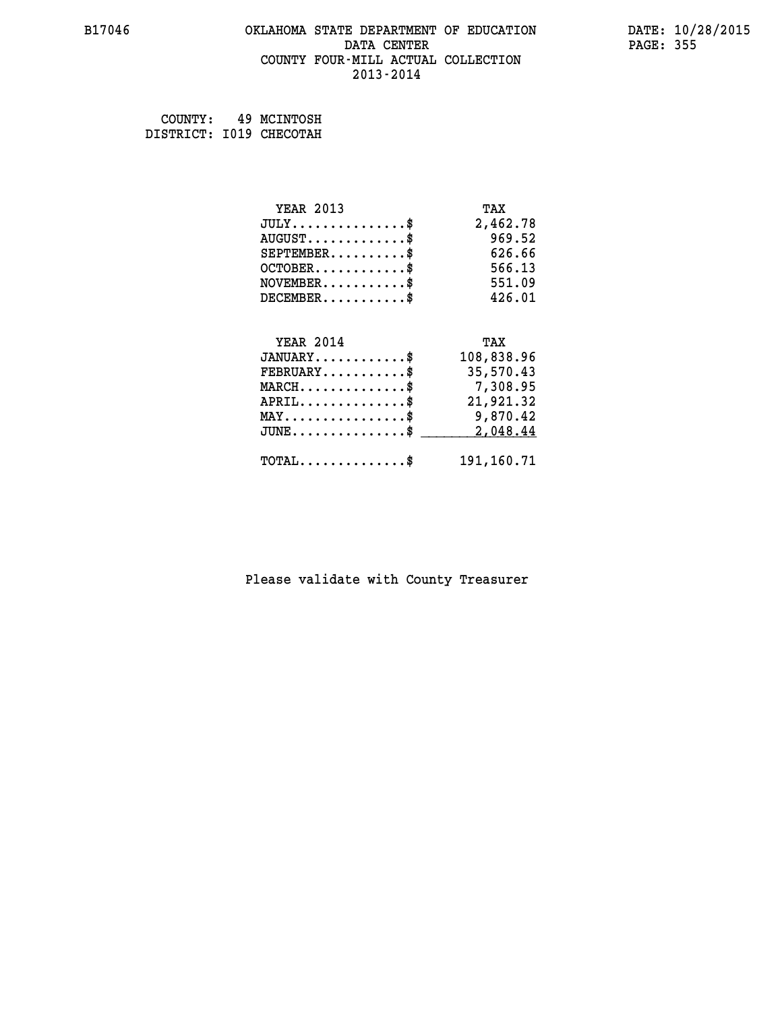## **B17046 OKLAHOMA STATE DEPARTMENT OF EDUCATION DATE: 10/28/2015 DATA CENTER** PAGE: 355  **COUNTY FOUR-MILL ACTUAL COLLECTION 2013-2014**

 **COUNTY: 49 MCINTOSH DISTRICT: I019 CHECOTAH**

| <b>YEAR 2013</b>                           | TAX        |
|--------------------------------------------|------------|
| $JULY$ \$                                  | 2,462.78   |
| $AUGUST$ \$                                | 969.52     |
| $SEPTEMBER$ \$                             | 626.66     |
| $OCTOBER$ \$                               | 566.13     |
| $NOVEMBER$ \$                              | 551.09     |
| $DECEMBER$ \$                              | 426.01     |
|                                            |            |
| <b>YEAR 2014</b>                           | TAX        |
| $JANUARY$ \$                               | 108,838.96 |
| $FEBRUARY$                                 | 35,570.43  |
| $MARCH$ \$                                 | 7,308.95   |
| $APRIL$ \$                                 | 21,921.32  |
| $MAX \dots \dots \dots \dots \dots$        | 9,870.42   |
| $JUNE$ \$                                  | 2,048.44   |
| $\texttt{TOTAL} \dots \dots \dots \dots \$ | 191,160.71 |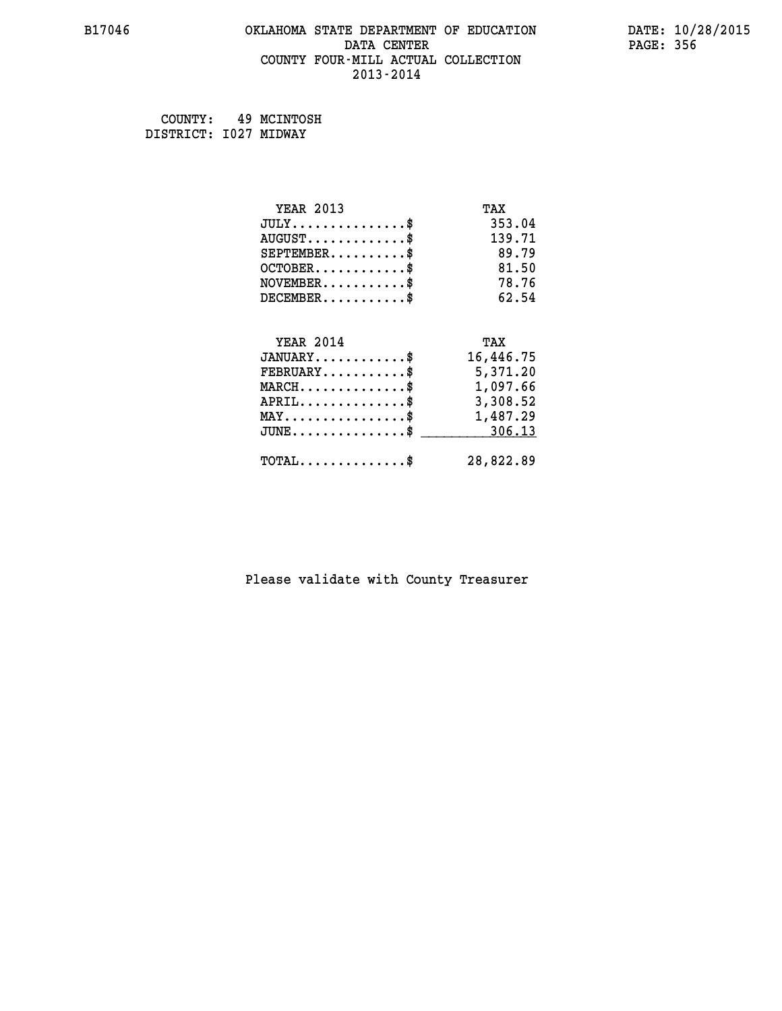## **B17046 OKLAHOMA STATE DEPARTMENT OF EDUCATION DATE: 10/28/2015 DATA CENTER** PAGE: 356  **COUNTY FOUR-MILL ACTUAL COLLECTION 2013-2014**

 **COUNTY: 49 MCINTOSH DISTRICT: I027 MIDWAY**

| <b>YEAR 2013</b>                                | TAX       |
|-------------------------------------------------|-----------|
| $JULY$ \$                                       | 353.04    |
| $AUGUST$ \$                                     | 139.71    |
| $SEPTEMBER$ \$                                  | 89.79     |
| $OCTOBER$ \$                                    | 81.50     |
| $NOVEMBER$ \$                                   | 78.76     |
| $DECEMBER$ \$                                   | 62.54     |
|                                                 |           |
| <b>YEAR 2014</b>                                | TAX       |
| $JANUARY$ \$                                    | 16,446.75 |
| $FEBRUARY$                                      | 5,371.20  |
| $MARCH$ \$                                      | 1,097.66  |
| $APRIL \ldots \ldots \ldots \ldots$             | 3,308.52  |
| $\texttt{MAX} \dots \dots \dots \dots \dots \$$ | 1,487.29  |
| $\texttt{JUNE}\dots\dots\dots\dots\dots\$       | 306.13    |
| $\texttt{TOTAL} \dots \dots \dots \dots$ \$     | 28,822.89 |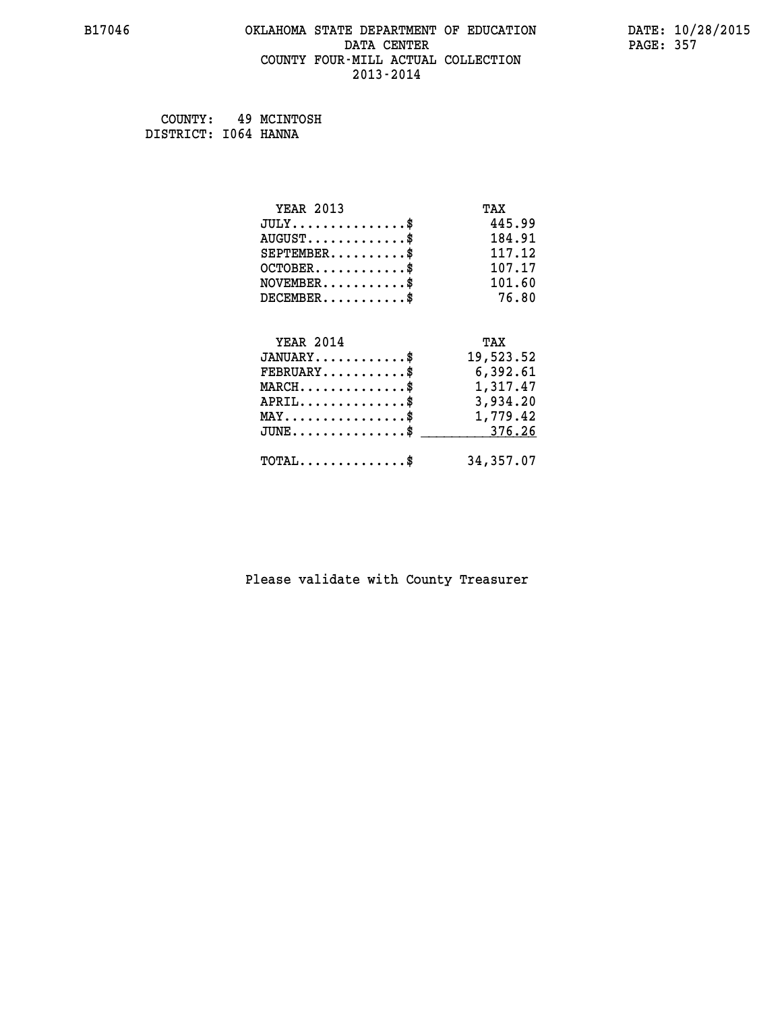## **B17046 OKLAHOMA STATE DEPARTMENT OF EDUCATION DATE: 10/28/2015 DATA CENTER** PAGE: 357  **COUNTY FOUR-MILL ACTUAL COLLECTION 2013-2014**

 **COUNTY: 49 MCINTOSH DISTRICT: I064 HANNA**

| <b>YEAR 2013</b>                               | TAX       |
|------------------------------------------------|-----------|
| $JULY$ \$                                      | 445.99    |
| $AUGUST$ \$                                    | 184.91    |
| $SEPTEMBER$ \$                                 | 117.12    |
| $OCTOBER$ \$                                   | 107.17    |
| $NOVEMBER$ \$                                  | 101.60    |
| $DECEMBER$ \$                                  | 76.80     |
|                                                |           |
| <b>YEAR 2014</b>                               | TAX       |
| $JANUARY$ \$                                   | 19,523.52 |
| $FEBRUARY$                                     | 6,392.61  |
| $MARCH$ \$                                     | 1,317.47  |
| $APRIL \ldots \ldots \ldots \ldots \$          | 3,934.20  |
| $\texttt{MAX} \dots \dots \dots \dots \dots \$ | 1,779.42  |
| $JUNE \ldots \ldots \ldots \ldots \ast$        | 376.26    |
| $\texttt{TOTAL} \dots \dots \dots \dots$ \$    | 34,357.07 |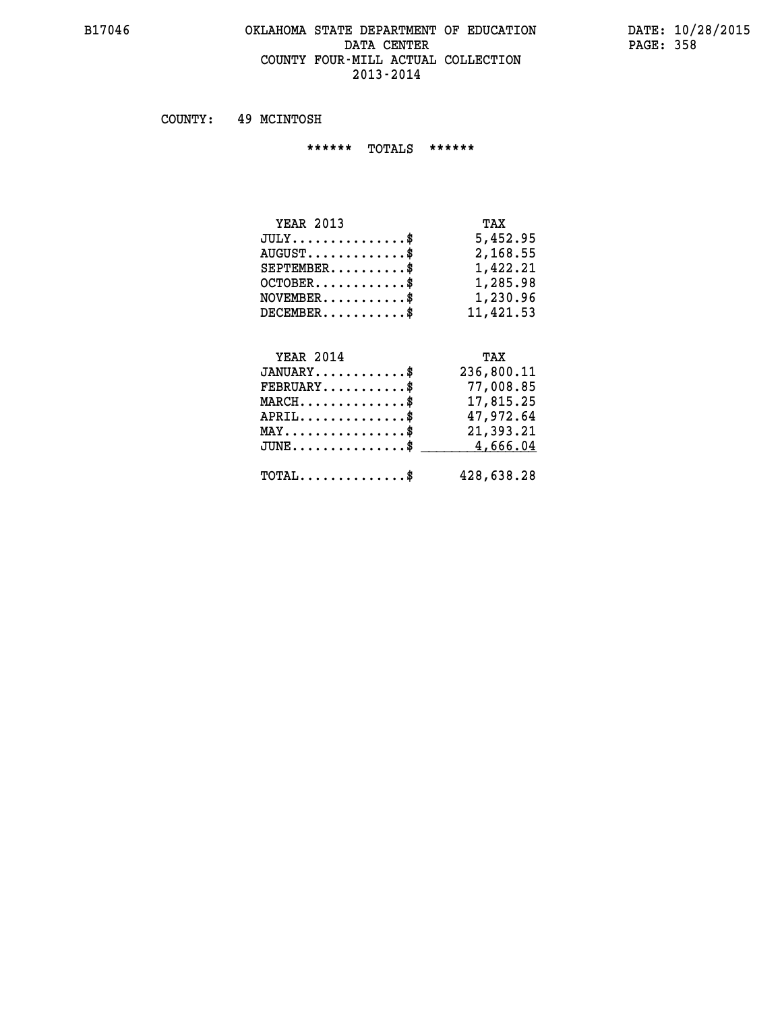#### **B17046 OKLAHOMA STATE DEPARTMENT OF EDUCATION DATE: 10/28/2015 DATA CENTER PAGE: 358 COUNTY FOUR-MILL ACTUAL COLLECTION 2013-2014**

 **COUNTY: 49 MCINTOSH**

 **\*\*\*\*\*\* TOTALS \*\*\*\*\*\***

| <b>YEAR 2013</b>                 | TAX       |
|----------------------------------|-----------|
| $JULY$                           | 5,452.95  |
| $AUGUST \ldots \ldots \ldots$ \$ | 2,168.55  |
| $SEPTEMBER$                      | 1,422.21  |
| $OCTOBER$                        | 1,285.98  |
| $NOVEMBER$ $\$                   | 1,230.96  |
| $DECEMBER$                       | 11,421.53 |

# **YEAR 2014 TAX JANUARY............\$ 236,800.11 FEBRUARY...........\$ 77,008.85 MARCH..............\$ 17,815.25 APRIL..............\$ 47,972.64 MAY................\$ 21,393.21 JUNE................\$** 4,666.04

 **TOTAL..............\$ 428,638.28**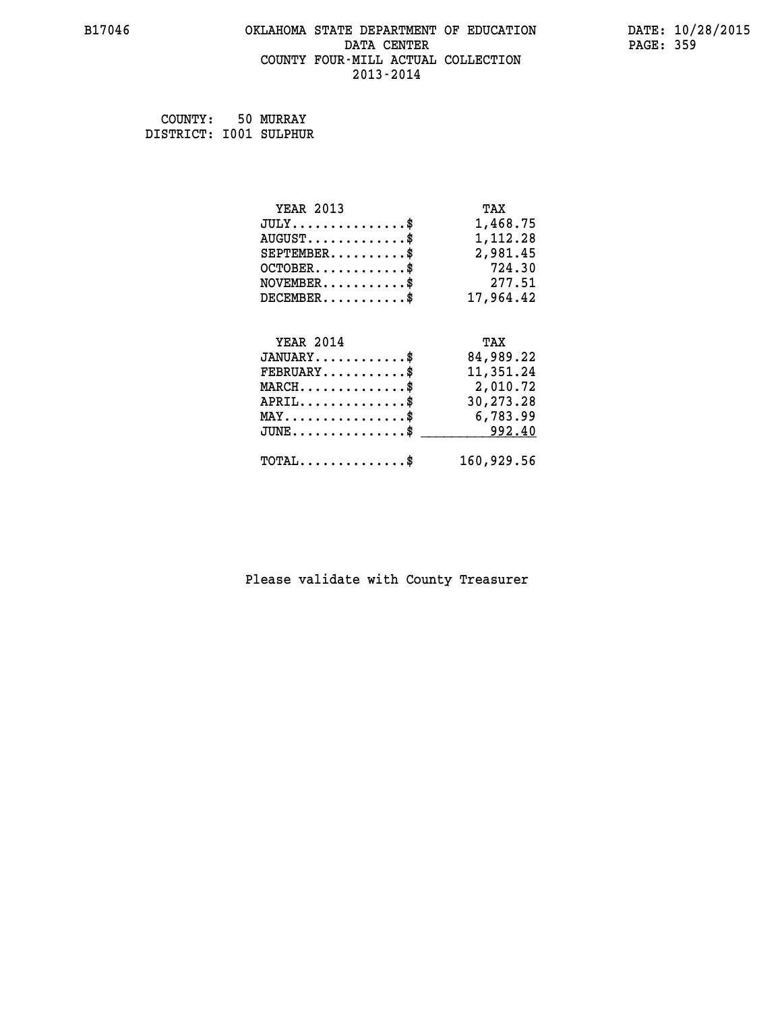# **B17046 OKLAHOMA STATE DEPARTMENT OF EDUCATION DATE: 10/28/2015** DATA CENTER PAGE: 359  **COUNTY FOUR-MILL ACTUAL COLLECTION 2013-2014**

 **COUNTY: 50 MURRAY DISTRICT: I001 SULPHUR**

| <b>YEAR 2013</b>                               | TAX        |
|------------------------------------------------|------------|
| $JULY$ \$                                      | 1,468.75   |
| $AUGUST$ \$                                    | 1,112.28   |
| $SEPTEMBER$ \$                                 | 2,981.45   |
| $OCTOBER$ \$                                   | 724.30     |
| $\texttt{NOVEMBER} \dots \dots \dots \$        | 277.51     |
| $DECEMBER$ \$                                  | 17,964.42  |
|                                                |            |
| <b>YEAR 2014</b>                               | TAX        |
| $JANUARY$ \$                                   | 84,989.22  |
| $FEBRUARY$                                     | 11,351.24  |
| $MARCH$ \$                                     | 2,010.72   |
| $APRIL \ldots \ldots \ldots \ldots$            | 30,273.28  |
| $\texttt{MAX} \dots \dots \dots \dots \dots \$ | 6,783.99   |
| $JUNE$ \$                                      | 992.40     |
| $\texttt{TOTAL} \dots \dots \dots \dots$       | 160,929.56 |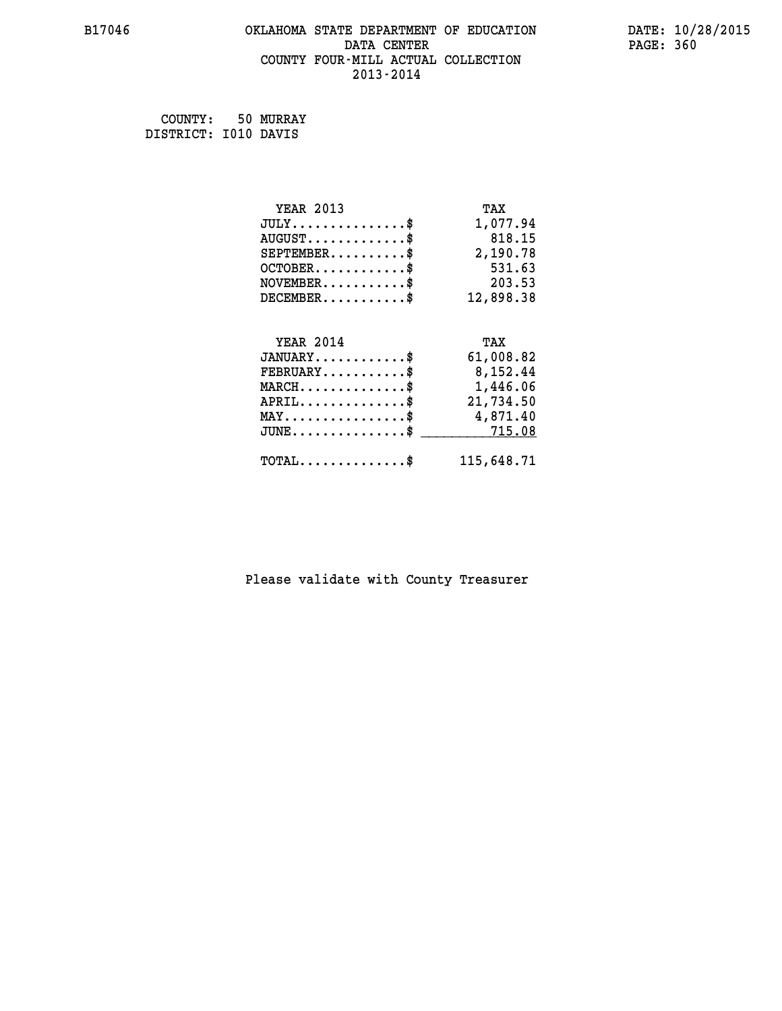## **B17046 OKLAHOMA STATE DEPARTMENT OF EDUCATION DATE: 10/28/2015 DATA CENTER** PAGE: 360  **COUNTY FOUR-MILL ACTUAL COLLECTION 2013-2014**

 **COUNTY: 50 MURRAY DISTRICT: I010 DAVIS**

| <b>YEAR 2013</b>                                 | TAX        |
|--------------------------------------------------|------------|
| $JULY$ \$                                        | 1,077.94   |
| $AUGUST$ \$                                      | 818.15     |
| $SEPTEMBER$ \$                                   | 2,190.78   |
| $OCTOBER$ \$                                     | 531.63     |
| $NOVEMBER.$ \$                                   | 203.53     |
| $DECEMBER$ \$                                    | 12,898.38  |
|                                                  |            |
| <b>YEAR 2014</b>                                 | TAX        |
| $JANUARY$ \$                                     | 61,008.82  |
| $FEBRUARY$ \$                                    | 8,152.44   |
| $MARCH \ldots \ldots \ldots \ldots \$            | 1,446.06   |
| $APRIL$ \$                                       | 21,734.50  |
| $\texttt{MAX} \dots \dots \dots \dots \dots \$   | 4,871.40   |
| $\texttt{JUNE} \dots \dots \dots \dots \dots \$$ | 715.08     |
| $\texttt{TOTAL} \dots \dots \dots \dots \$       | 115,648.71 |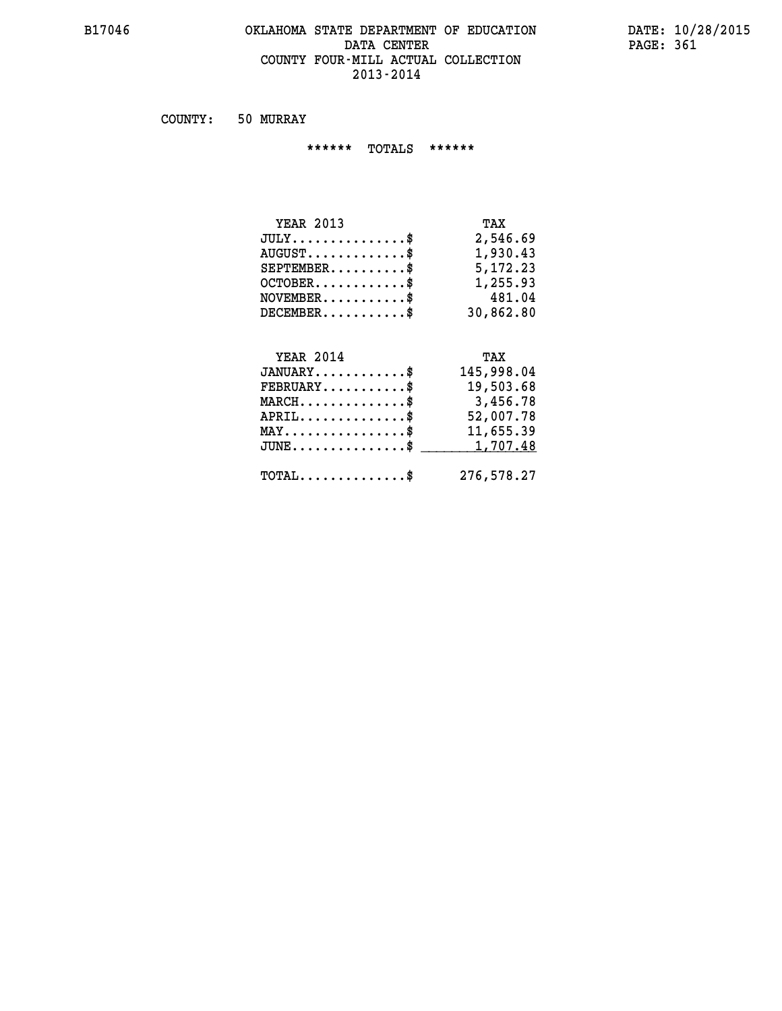#### **B17046 OKLAHOMA STATE DEPARTMENT OF EDUCATION DATE: 10/28/2015** DATA CENTER PAGE: 361  **COUNTY FOUR-MILL ACTUAL COLLECTION 2013-2014**

 **COUNTY: 50 MURRAY**

 **\*\*\*\*\*\* TOTALS \*\*\*\*\*\***

| <b>YEAR 2013</b>                     | TAX       |
|--------------------------------------|-----------|
| $JULY \ldots \ldots \ldots \ldots \$ | 2,546.69  |
| $AUGUST$ \$                          | 1,930.43  |
| $SEPTEMBER$ \$                       | 5,172.23  |
| $OCTOBER$ \$                         | 1,255.93  |
| $NOVEMBER$ \$                        | 481.04    |
| $DECEMBER$                           | 30,862.80 |

## **YEAR 2014 TAX JANUARY............\$ 145,998.04 FEBRUARY...........\$ 19,503.68 MARCH..............\$ 3,456.78 APRIL..............\$ 52,007.78 MAY................\$ 11,655.39 JUNE................\$** <u>1,707.48</u>  **TOTAL..............\$ 276,578.27**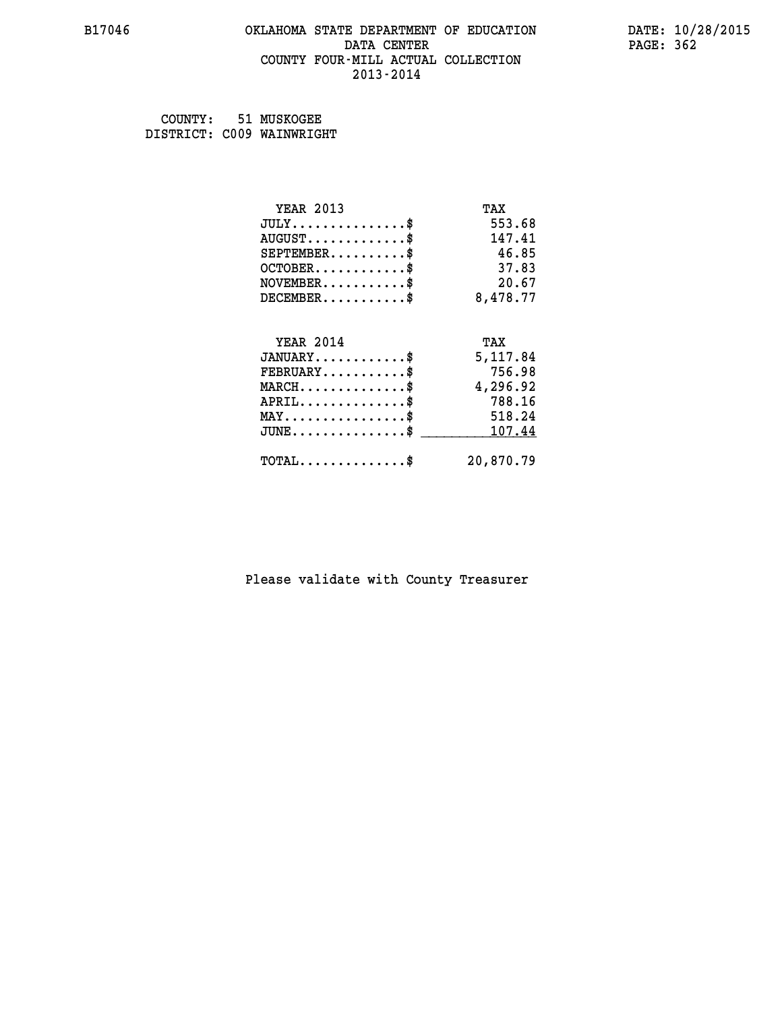#### **B17046 OKLAHOMA STATE DEPARTMENT OF EDUCATION DATE: 10/28/2015 DATA CENTER PAGE: 362 COUNTY FOUR-MILL ACTUAL COLLECTION 2013-2014**

| COUNTY: | 51 MUSKOGEE               |
|---------|---------------------------|
|         | DISTRICT: C009 WAINWRIGHT |

| <b>YEAR 2013</b>                               | TAX       |
|------------------------------------------------|-----------|
| $JULY$ \$                                      | 553.68    |
| $AUGUST$ \$                                    | 147.41    |
| $SEPTEMBER$ \$                                 | 46.85     |
| $OCTOBER$ \$                                   | 37.83     |
| $NOVEMBER$ \$                                  | 20.67     |
| $DECEMBER$ \$                                  | 8,478.77  |
| <b>YEAR 2014</b>                               | TAX       |
| $JANUARY$ \$                                   | 5,117.84  |
| $FEBRUARY$ \$                                  | 756.98    |
| $MARCH$ \$                                     | 4,296.92  |
| $APRIL$ \$                                     | 788.16    |
| $\texttt{MAX} \dots \dots \dots \dots \dots \$ | 518.24    |
| $JUNE$ \$                                      | 107.44    |
| $TOTAL$ \$                                     | 20,870.79 |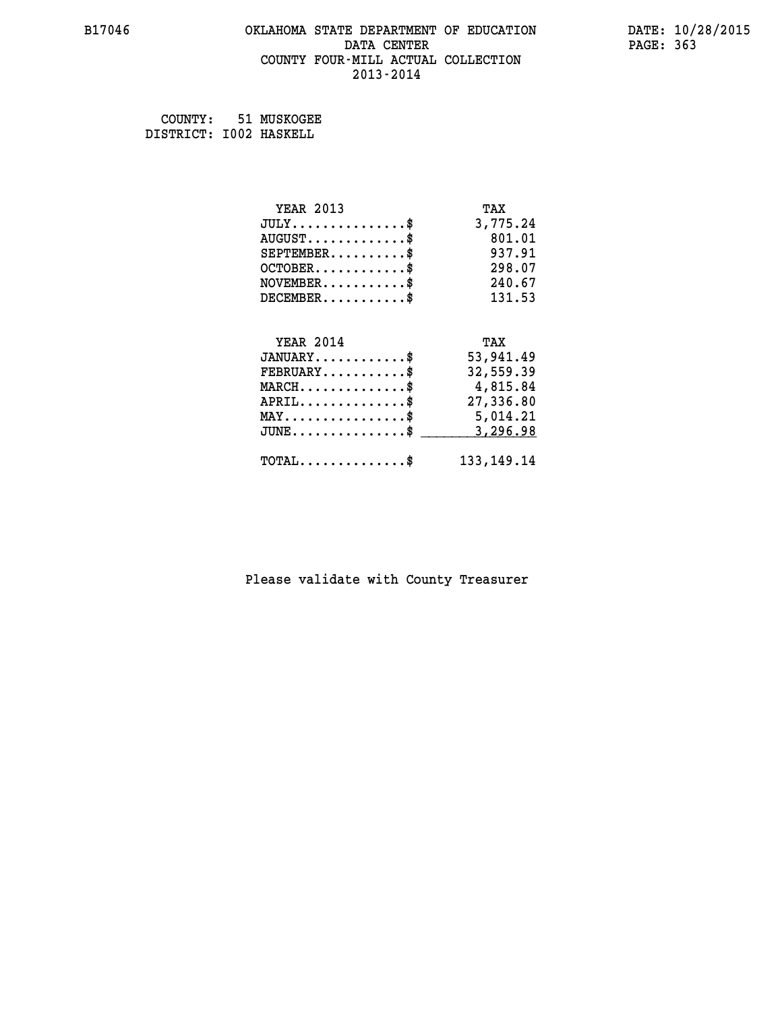#### **B17046 OKLAHOMA STATE DEPARTMENT OF EDUCATION DATE: 10/28/2015 DATA CENTER** PAGE: 363  **COUNTY FOUR-MILL ACTUAL COLLECTION 2013-2014**

 **COUNTY: 51 MUSKOGEE DISTRICT: I002 HASKELL**

| <b>YEAR 2013</b>                               | TAX          |
|------------------------------------------------|--------------|
| $JULY$ \$                                      | 3,775.24     |
| $AUGUST$ \$                                    | 801.01       |
| $SEPTEMBER$ \$                                 | 937.91       |
| $OCTOBER$ \$                                   | 298.07       |
| $NOVEMBER$ \$                                  | 240.67       |
| $DECEMBER$ \$                                  | 131.53       |
|                                                |              |
| <b>YEAR 2014</b>                               | TAX          |
| $JANUARY$ \$                                   | 53,941.49    |
| $FEBRUARY$                                     | 32,559.39    |
| $MARCH$ \$                                     | 4,815.84     |
| $APRIL$ \$                                     | 27,336.80    |
| $\texttt{MAX} \dots \dots \dots \dots \dots \$ | 5,014.21     |
| $JUNE$                                         | 3,296.98     |
| $\texttt{TOTAL} \dots \dots \dots \dots \$     | 133, 149. 14 |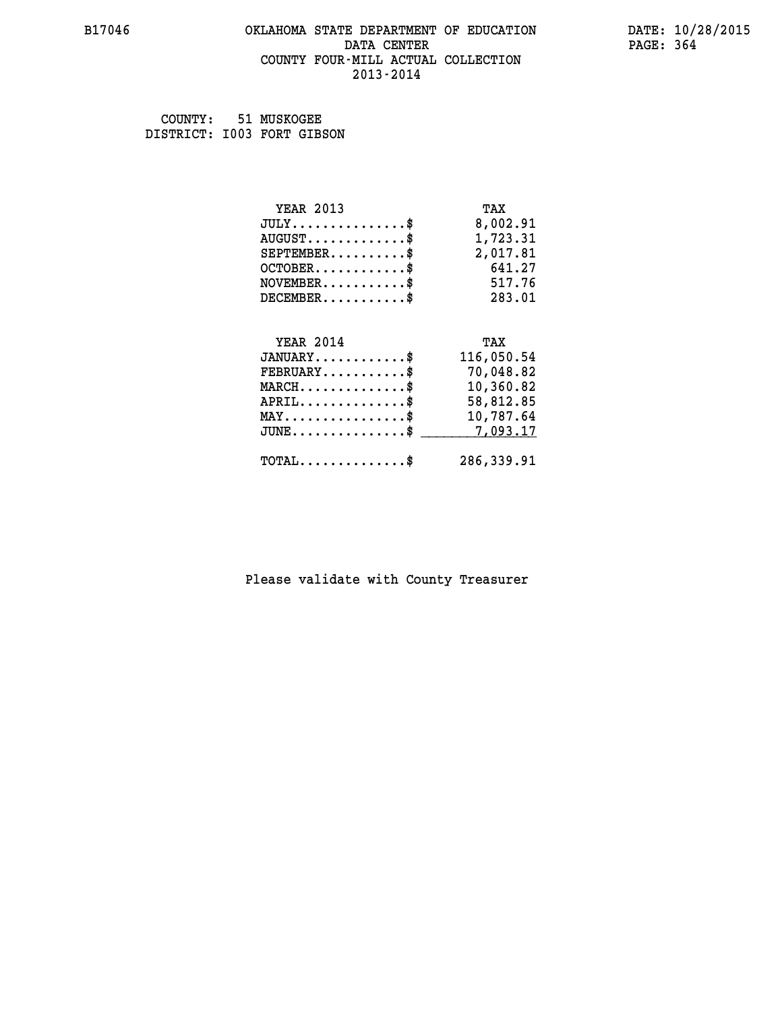#### **B17046 OKLAHOMA STATE DEPARTMENT OF EDUCATION DATE: 10/28/2015 DATA CENTER** PAGE: 364  **COUNTY FOUR-MILL ACTUAL COLLECTION 2013-2014**

 **COUNTY: 51 MUSKOGEE DISTRICT: I003 FORT GIBSON**

| <b>YEAR 2013</b>                               | TAX        |
|------------------------------------------------|------------|
| $JULY$ \$                                      | 8,002.91   |
| $AUGUST$ \$                                    | 1,723.31   |
| $SEPTEMBER$ \$                                 | 2,017.81   |
| $OCTOBER$ \$                                   | 641.27     |
| $\texttt{NOVEMBER} \dots \dots \dots \$        | 517.76     |
| $DECEMBER$ \$                                  | 283.01     |
|                                                |            |
|                                                |            |
| <b>YEAR 2014</b>                               | TAX        |
| $JANUARY$ \$                                   | 116,050.54 |
| $FEBRUARY$                                     | 70,048.82  |
| $MARCH$ \$                                     | 10,360.82  |
| $APRIL \ldots \ldots \ldots \ldots$ \$         | 58,812.85  |
| $\texttt{MAX} \dots \dots \dots \dots \dots \$ | 10,787.64  |
| $JUNE$ \$                                      | 7,093.17   |
| $\texttt{TOTAL} \dots \dots \dots \dots \$     | 286,339.91 |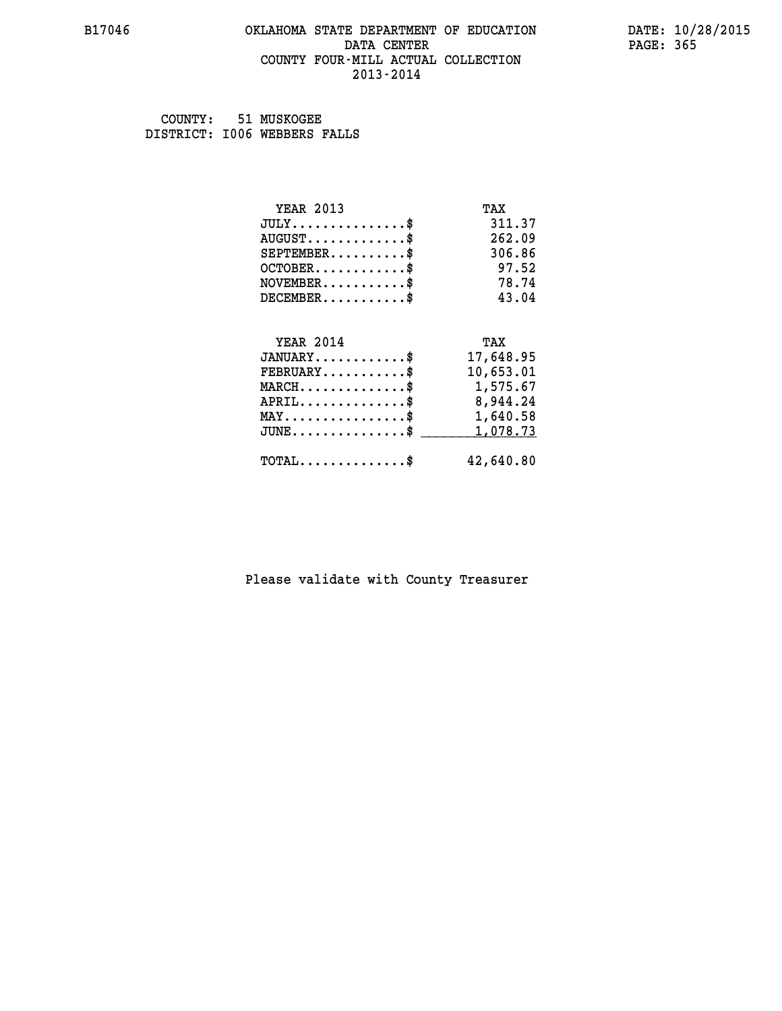#### **B17046 OKLAHOMA STATE DEPARTMENT OF EDUCATION DATE: 10/28/2015 DATA CENTER** PAGE: 365  **COUNTY FOUR-MILL ACTUAL COLLECTION 2013-2014**

 **COUNTY: 51 MUSKOGEE DISTRICT: I006 WEBBERS FALLS**

| <b>YEAR 2013</b>                           | TAX       |
|--------------------------------------------|-----------|
| $JULY$ \$                                  | 311.37    |
| $AUGUST$ \$                                | 262.09    |
| $SEPTEMBER$ \$                             | 306.86    |
| $OCTOBER$ \$                               | 97.52     |
| $NOVEMBER$ \$                              | 78.74     |
| $DECEMBER$ \$                              | 43.04     |
|                                            |           |
| <b>YEAR 2014</b>                           | TAX       |
| $JANUARY$ \$                               | 17,648.95 |
| $FEBRUARY$                                 | 10,653.01 |
| $MARCH$ \$                                 | 1,575.67  |
| $APRIL$ \$                                 | 8,944.24  |
| $MAX \dots \dots \dots \dots \dots$        | 1,640.58  |
| $JUNE$                                     | 1,078.73  |
| $\texttt{TOTAL} \dots \dots \dots \dots \$ | 42,640.80 |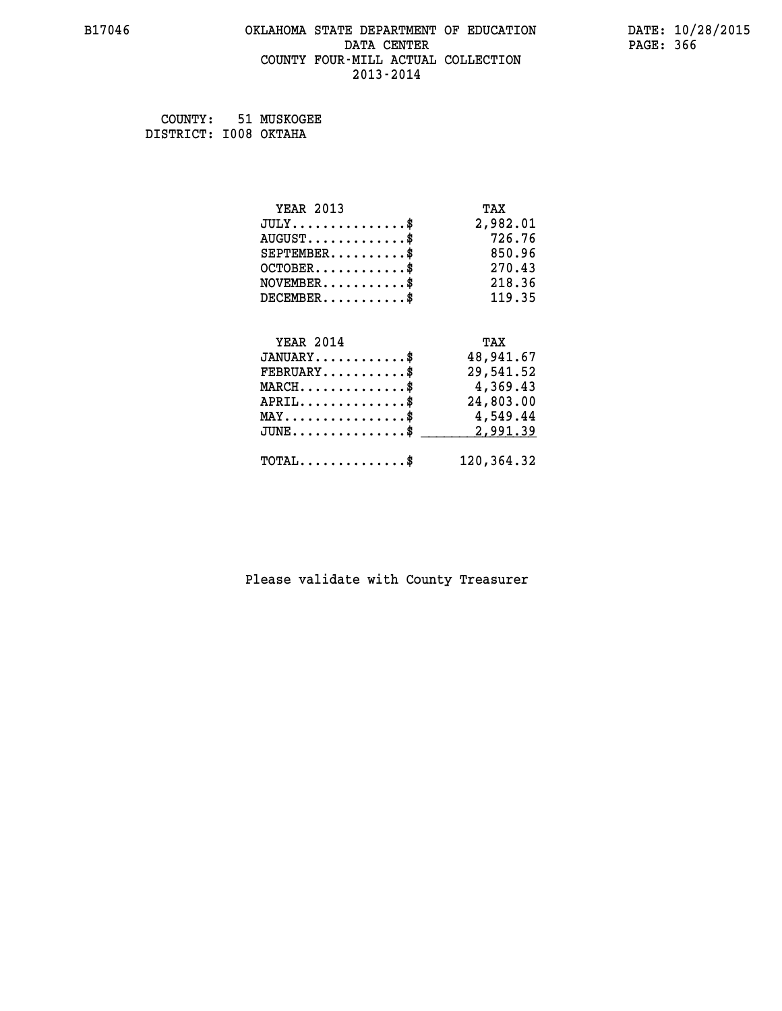#### **B17046 OKLAHOMA STATE DEPARTMENT OF EDUCATION DATE: 10/28/2015 DATA CENTER** PAGE: 366  **COUNTY FOUR-MILL ACTUAL COLLECTION 2013-2014**

 **COUNTY: 51 MUSKOGEE DISTRICT: I008 OKTAHA**

| <b>YEAR 2013</b>                           | TAX        |
|--------------------------------------------|------------|
| $JULY$ \$                                  | 2,982.01   |
| $AUGUST$ \$                                | 726.76     |
| $SEPTEMENT.$ \$                            | 850.96     |
| $OCTOBER$ \$                               | 270.43     |
| $NOVEMBER$ \$                              | 218.36     |
| $DECEMBER$ \$                              | 119.35     |
|                                            |            |
| <b>YEAR 2014</b>                           | TAX        |
| $JANUARY$ \$                               | 48,941.67  |
| $FEBRUARY$                                 | 29,541.52  |
| $MARCH$ \$                                 | 4,369.43   |
| $APRIL$ \$                                 | 24,803.00  |
| $MAX \dots \dots \dots \dots \dots$        | 4,549.44   |
| $JUNE$                                     | 2,991.39   |
| $\texttt{TOTAL} \dots \dots \dots \dots \$ | 120,364.32 |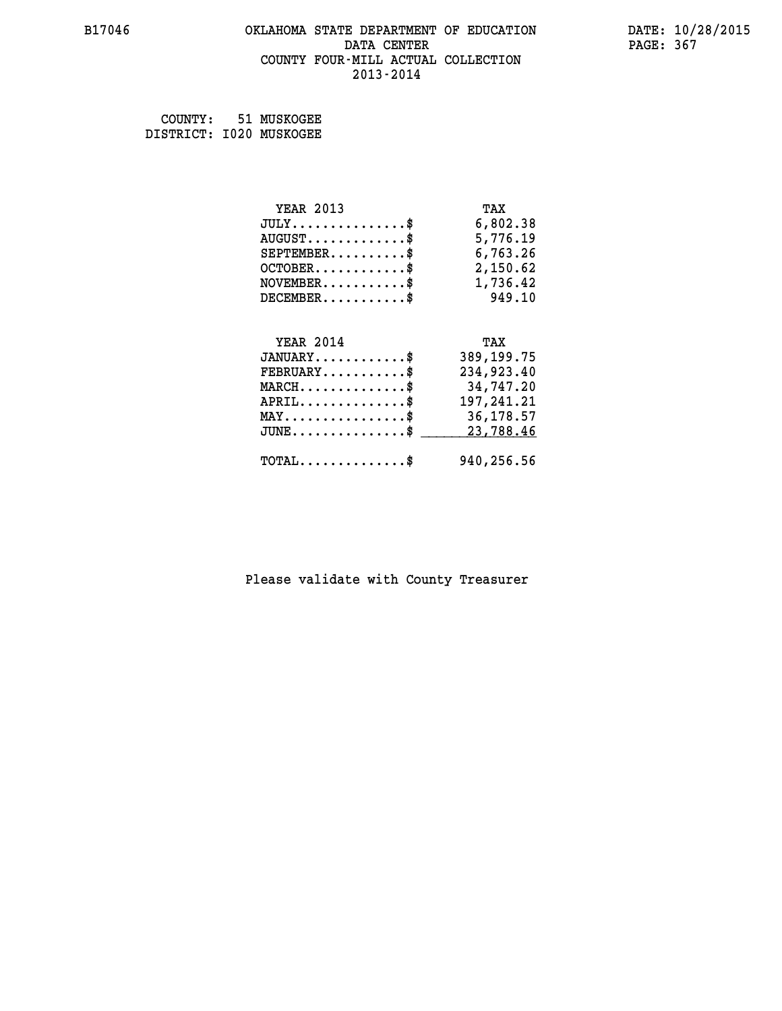#### **B17046 OKLAHOMA STATE DEPARTMENT OF EDUCATION DATE: 10/28/2015 DATA CENTER** PAGE: 367  **COUNTY FOUR-MILL ACTUAL COLLECTION 2013-2014**

 **COUNTY: 51 MUSKOGEE DISTRICT: I020 MUSKOGEE**

| <b>YEAR 2013</b>                                                                                                              | TAX          |
|-------------------------------------------------------------------------------------------------------------------------------|--------------|
| $JULY$ \$                                                                                                                     | 6,802.38     |
| $AUGUST$ \$                                                                                                                   | 5,776.19     |
| $SEPTEMBER$ \$                                                                                                                | 6,763.26     |
| $OCTOBER$ \$                                                                                                                  | 2,150.62     |
| $\texttt{NOVEMBER} \dots \dots \dots \$                                                                                       | 1,736.42     |
| $DECEMBER$ \$                                                                                                                 | 949.10       |
|                                                                                                                               |              |
| <b>YEAR 2014</b>                                                                                                              | TAX          |
| $JANUARY$ \$                                                                                                                  | 389, 199. 75 |
|                                                                                                                               |              |
| $FEBRUARY$ \$                                                                                                                 | 234,923.40   |
| $\texttt{MARCH}\ldots\ldots\ldots\ldots\overset{\hspace{0.1em}\mathsf{\scriptscriptstyle\$}}{\mathsf{\scriptscriptstyle\$}}}$ | 34,747.20    |
| $APRIL \ldots \ldots \ldots \ldots$                                                                                           | 197,241.21   |
| $\texttt{MAX} \dots \dots \dots \dots \dots \$                                                                                | 36,178.57    |
| $JUNE$ \$                                                                                                                     | 23,788.46    |
| $\texttt{TOTAL} \dots \dots \dots \dots \$                                                                                    | 940,256.56   |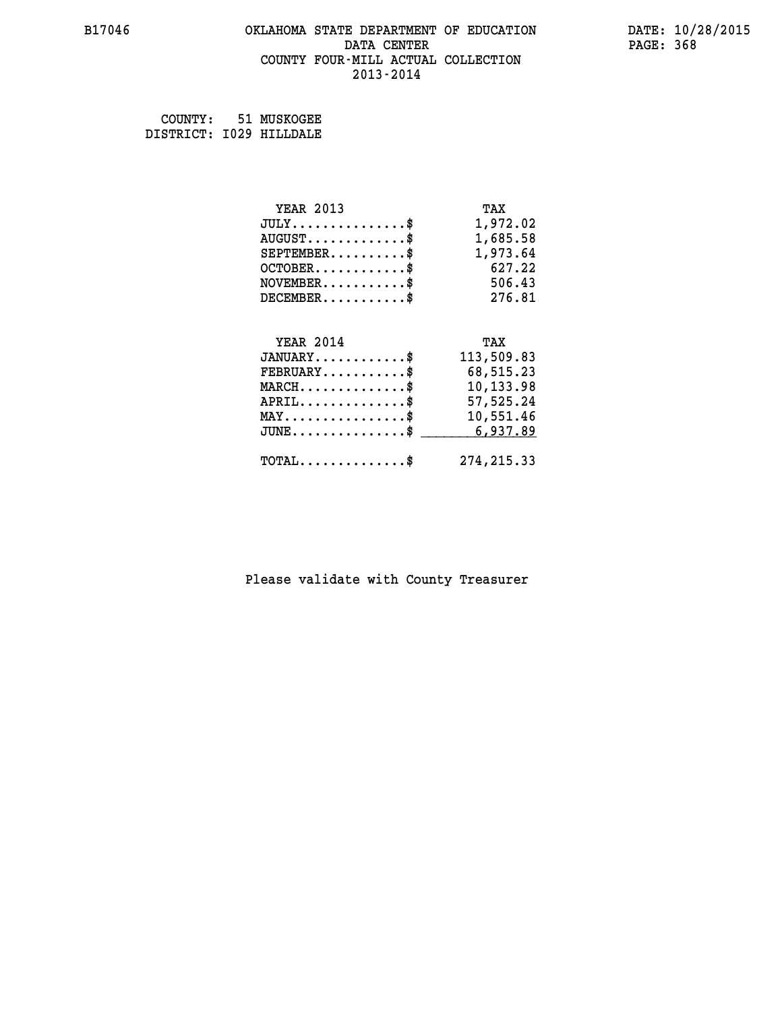#### **B17046 OKLAHOMA STATE DEPARTMENT OF EDUCATION DATE: 10/28/2015 DATA CENTER** PAGE: 368  **COUNTY FOUR-MILL ACTUAL COLLECTION 2013-2014**

 **COUNTY: 51 MUSKOGEE DISTRICT: I029 HILLDALE**

| <b>YEAR 2013</b>                             | TAX         |
|----------------------------------------------|-------------|
| $JULY$ \$                                    | 1,972.02    |
| $AUGUST$ \$                                  | 1,685.58    |
| $SEPTEMENT.$ \$                              | 1,973.64    |
| $OCTOBER$ \$                                 | 627.22      |
| $NOVEMBER$ \$                                | 506.43      |
| $DECEMBER$ \$                                | 276.81      |
|                                              |             |
| <b>YEAR 2014</b>                             | TAX         |
| $JANUARY$ \$                                 | 113,509.83  |
| $FEBRUARY$                                   | 68,515.23   |
| $MARCH$ \$                                   | 10,133.98   |
| $APRIL$ \$                                   | 57,525.24   |
| $\texttt{MAX} \dots \dots \dots \dots \$     | 10,551.46   |
| $JUNE \ldots \ldots \ldots \ldots \ldots$ \$ | 6,937.89    |
| $\texttt{TOTAL} \dots \dots \dots \dots \$   | 274, 215.33 |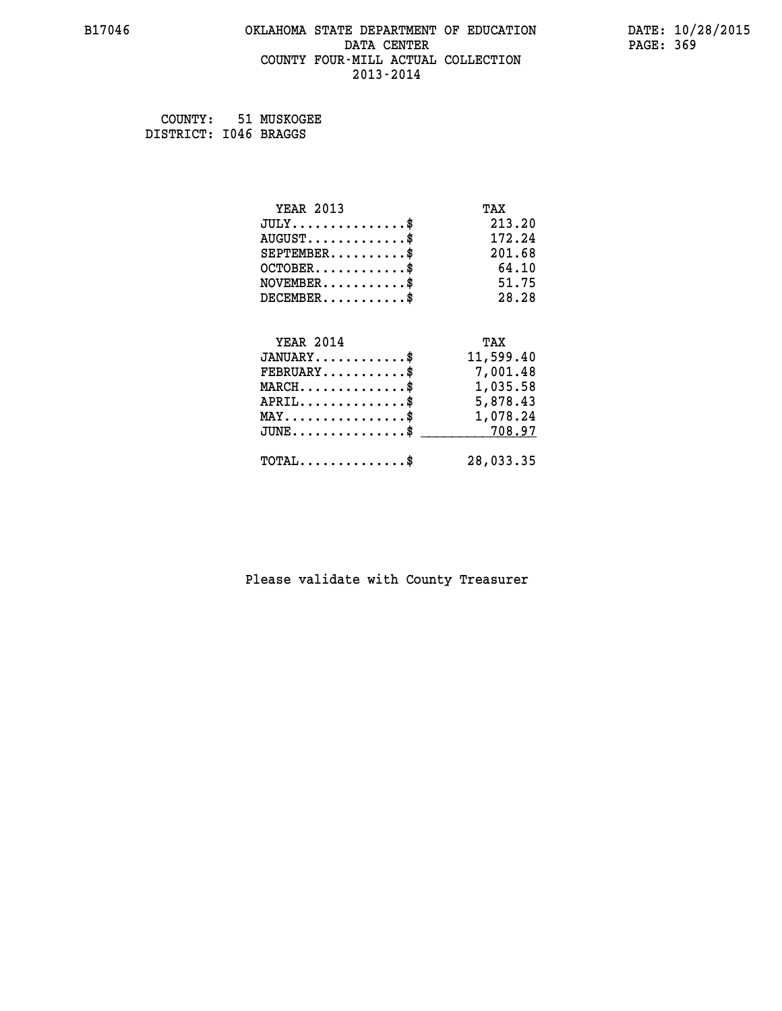#### **B17046 OKLAHOMA STATE DEPARTMENT OF EDUCATION DATE: 10/28/2015 DATA CENTER** PAGE: 369  **COUNTY FOUR-MILL ACTUAL COLLECTION 2013-2014**

 **COUNTY: 51 MUSKOGEE DISTRICT: I046 BRAGGS**

| <b>YEAR 2013</b>                                  | TAX       |
|---------------------------------------------------|-----------|
| $JULY$ \$                                         | 213.20    |
| $AUGUST$ \$                                       | 172.24    |
| $SEPTEMBER$ \$                                    | 201.68    |
| $OCTOBER$ \$                                      | 64.10     |
| $NOVEMBER$ \$                                     | 51.75     |
| $DECEMBER$ \$                                     | 28.28     |
|                                                   |           |
| <b>YEAR 2014</b>                                  | TAX       |
| $JANUARY$ \$                                      | 11,599.40 |
| $FEBRUARY$                                        | 7,001.48  |
| $\texttt{MARCH}\ldots\ldots\ldots\ldots\clubsuit$ | 1,035.58  |
| $APRIL \ldots \ldots \ldots \ldots \$             | 5,878.43  |
| $\texttt{MAX} \dots \dots \dots \dots \dots \$    | 1,078.24  |
| $JUNE$ \$                                         | 708.97    |
| $\texttt{TOTAL} \dots \dots \dots \dots$          | 28,033.35 |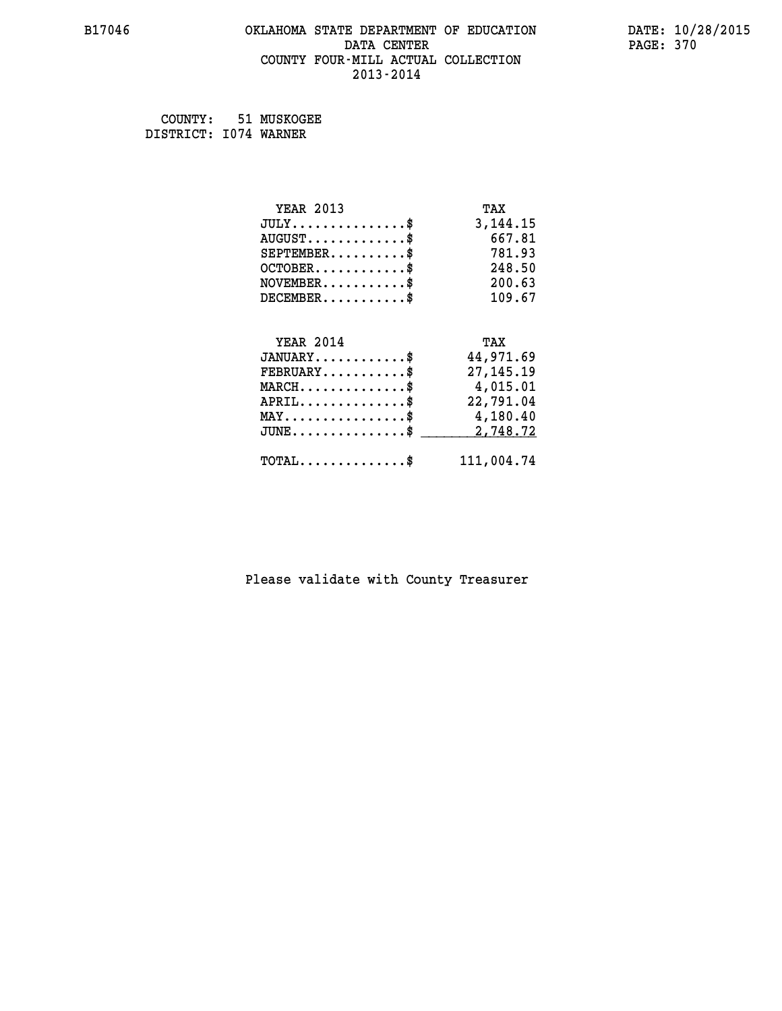#### **B17046 OKLAHOMA STATE DEPARTMENT OF EDUCATION DATE: 10/28/2015 DATA CENTER** PAGE: 370  **COUNTY FOUR-MILL ACTUAL COLLECTION 2013-2014**

 **COUNTY: 51 MUSKOGEE DISTRICT: I074 WARNER**

| <b>YEAR 2013</b>                           | TAX         |
|--------------------------------------------|-------------|
| $JULY$ \$                                  | 3, 144. 15  |
| $AUGUST$ \$                                | 667.81      |
| $SEPTEMBER$ \$                             | 781.93      |
| $OCTOBER$ \$                               | 248.50      |
| $NOVEMBER$ \$                              | 200.63      |
| $DECEMBER$ \$                              | 109.67      |
|                                            |             |
| <b>YEAR 2014</b>                           | TAX         |
| $JANUARY$ \$                               | 44,971.69   |
| $FEBRUARY$                                 | 27, 145. 19 |
| $MARCH$ \$                                 | 4,015.01    |
| $APRIL$ \$                                 | 22,791.04   |
| $\texttt{MAX} \dots \dots \dots \dots \$   | 4,180.40    |
| $JUNE$ \$                                  | 2,748.72    |
| $\texttt{TOTAL} \dots \dots \dots \dots \$ | 111,004.74  |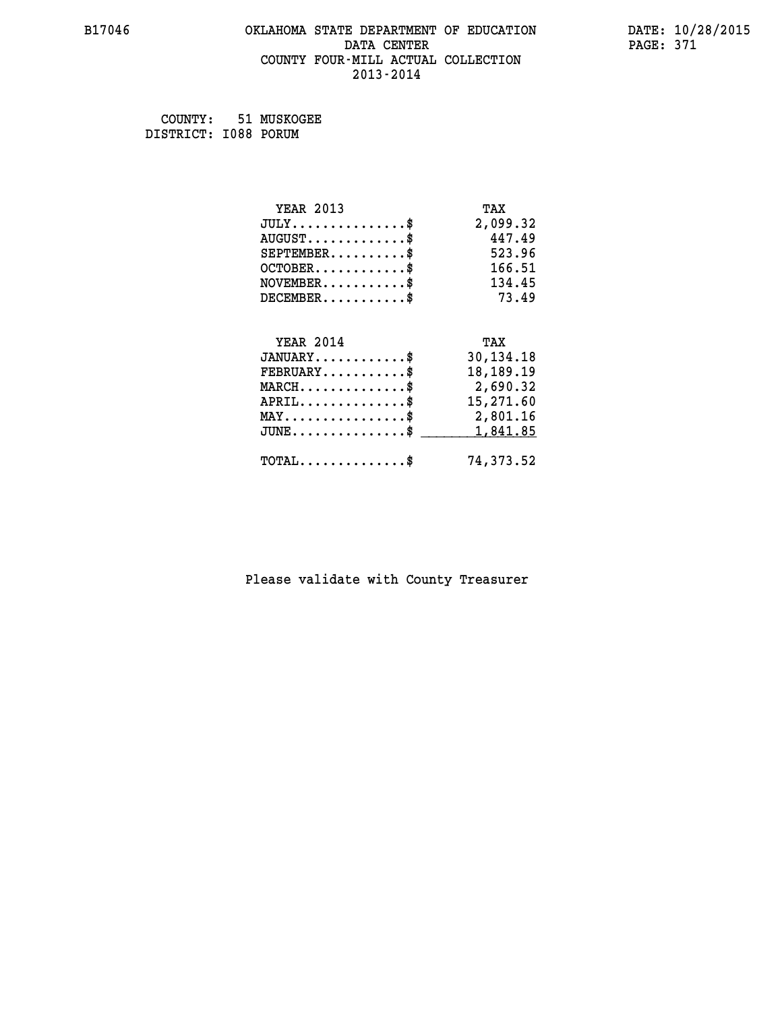#### **B17046 OKLAHOMA STATE DEPARTMENT OF EDUCATION DATE: 10/28/2015 DATA CENTER** PAGE: 371  **COUNTY FOUR-MILL ACTUAL COLLECTION 2013-2014**

 **COUNTY: 51 MUSKOGEE DISTRICT: I088 PORUM**

| <b>YEAR 2013</b>                               | TAX         |
|------------------------------------------------|-------------|
| $JULY$ \$                                      | 2,099.32    |
| $AUGUST$ \$                                    | 447.49      |
| $SEPTEMENT.$ \$                                | 523.96      |
| $OCTOBER$ \$                                   | 166.51      |
| $NOVEMBER$ \$                                  | 134.45      |
| $DECEMBER$ \$                                  | 73.49       |
|                                                |             |
| <b>YEAR 2014</b>                               | TAX         |
| $JANUARY$ \$                                   | 30,134.18   |
| $FEBRUARY$                                     | 18, 189. 19 |
| $MARCH$ \$                                     | 2,690.32    |
| $APRIL$ \$                                     | 15,271.60   |
| $\texttt{MAX} \dots \dots \dots \dots \dots \$ | 2,801.16    |
| $JUNE$                                         | 1,841.85    |
| $\texttt{TOTAL} \dots \dots \dots \dots \$     | 74,373.52   |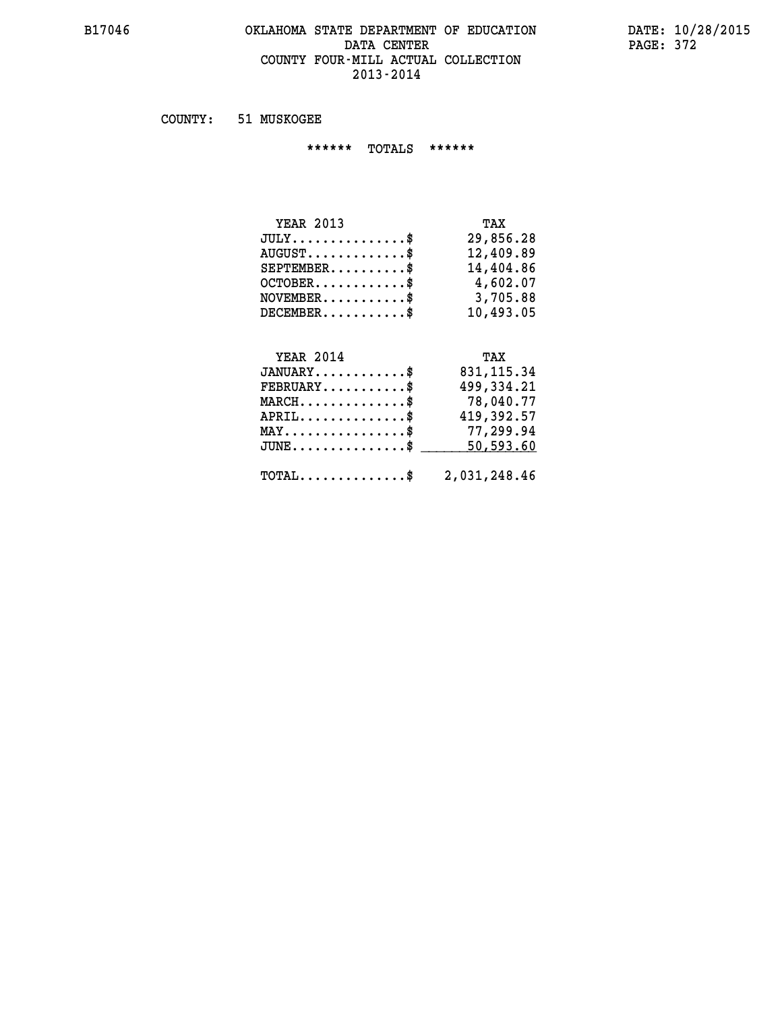#### **B17046 OKLAHOMA STATE DEPARTMENT OF EDUCATION DATE: 10/28/2015 DATA CENTER** PAGE: 372  **COUNTY FOUR-MILL ACTUAL COLLECTION 2013-2014**

 **COUNTY: 51 MUSKOGEE**

 **\*\*\*\*\*\* TOTALS \*\*\*\*\*\***

| <b>YEAR 2013</b>                 | TAX       |
|----------------------------------|-----------|
| $JULY \ldots \ldots \ldots \$    | 29,856.28 |
| $AUGUST \ldots \ldots \ldots$ \$ | 12,409.89 |
| $SEPTEMBER$ $\$                  | 14,404.86 |
| $OCTOBER$ \$                     | 4,602.07  |
| $NOVEMBER$ \$                    | 3,705.88  |
| $DECEMBER$                       | 10,493.05 |

## **YEAR 2014**

| <b>YEAR 2014</b>                                        | TAX         |
|---------------------------------------------------------|-------------|
| $JANUARY$ \$                                            | 831, 115.34 |
| $FEBRUARY$ \$                                           | 499,334.21  |
| $MARCH$ \$                                              | 78,040.77   |
| $APRIL$ \$                                              | 419,392.57  |
| $MAX \dots \dots \dots \dots \$                         | 77,299.94   |
| $JUNE$ $\text{\$}$                                      | 50,593.60   |
|                                                         |             |
| $\texttt{TOTAL} \dots \dots \dots \dots \$ 2,031,248.46 |             |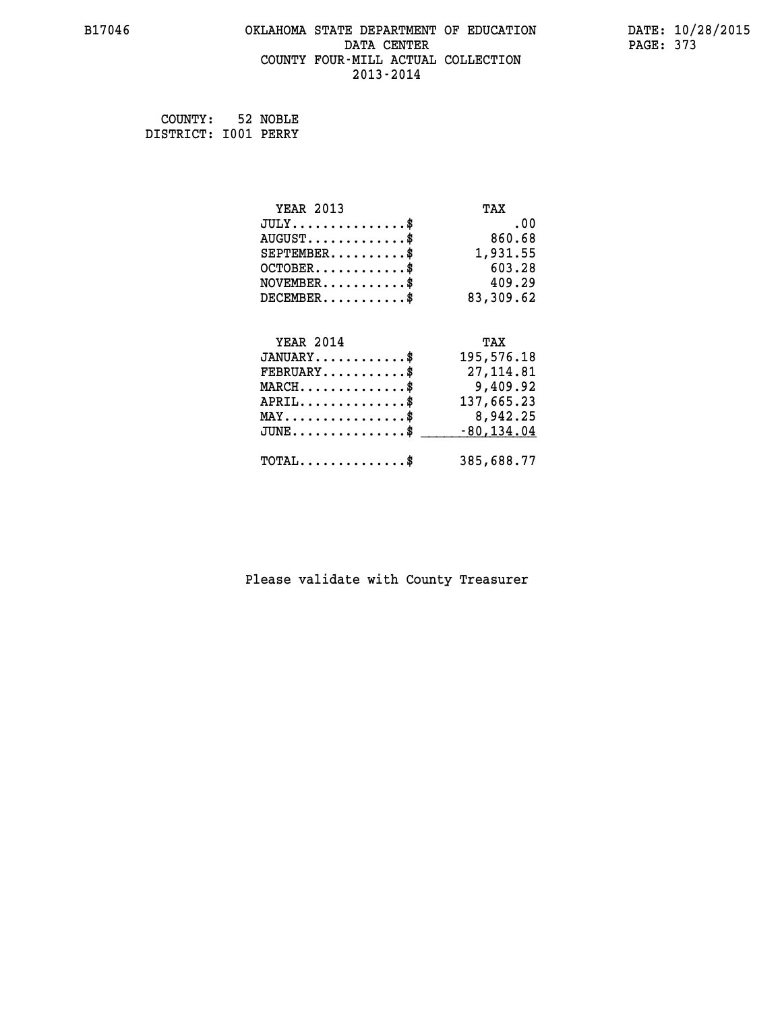#### **B17046 OKLAHOMA STATE DEPARTMENT OF EDUCATION DATE: 10/28/2015 DATA CENTER** PAGE: 373  **COUNTY FOUR-MILL ACTUAL COLLECTION 2013-2014**

 **COUNTY: 52 NOBLE DISTRICT: I001 PERRY**

| <b>YEAR 2013</b>                           | TAX           |
|--------------------------------------------|---------------|
| $JULY$ \$                                  | .00           |
| $AUGUST$ \$                                | 860.68        |
| $SEPTEMENT.$ \$                            | 1,931.55      |
| $OCTOBER$ \$                               | 603.28        |
| $NOVEMBER$ \$                              | 409.29        |
| $DECEMBER$ \$                              | 83,309.62     |
|                                            |               |
|                                            |               |
| <b>YEAR 2014</b>                           | TAX           |
| $JANUARY$ \$                               | 195,576.18    |
| $FEBRUARY$                                 | 27, 114.81    |
| $MARCH$ \$                                 | 9,409.92      |
| $APRIL$                                    | 137,665.23    |
| $MAX \dots \dots \dots \dots \dots$        | 8,942.25      |
| $JUNE$ $$$                                 | $-80, 134.04$ |
| $\texttt{TOTAL} \dots \dots \dots \dots \$ | 385,688.77    |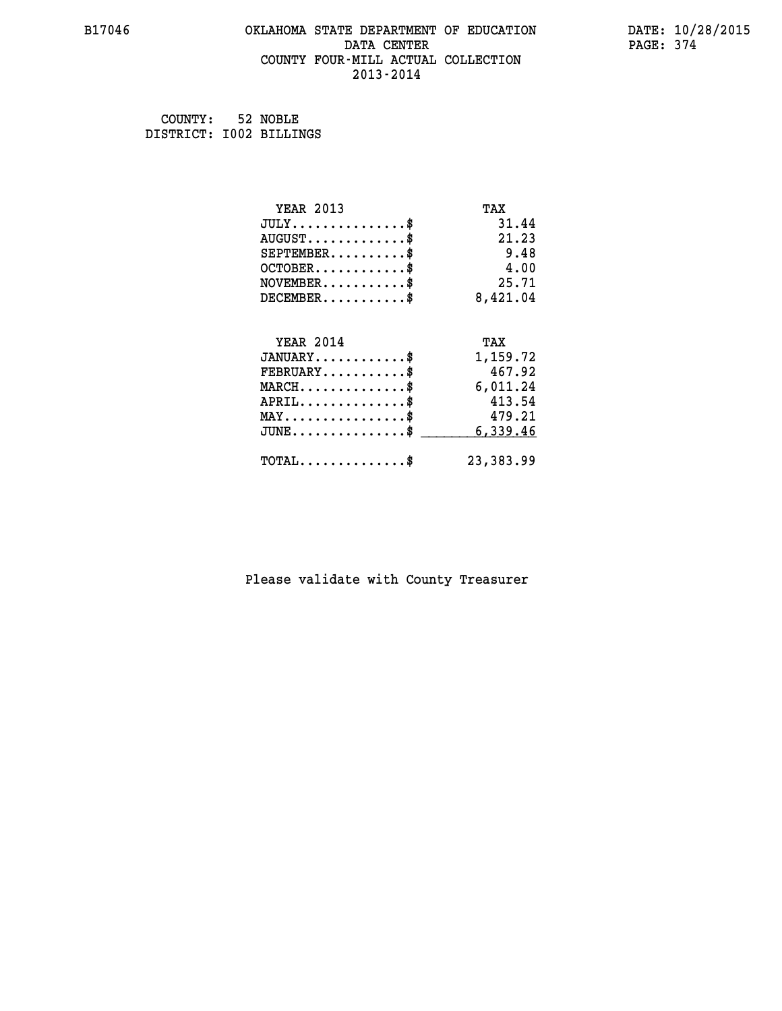#### **B17046 OKLAHOMA STATE DEPARTMENT OF EDUCATION DATE: 10/28/2015 DATA CENTER** PAGE: 374  **COUNTY FOUR-MILL ACTUAL COLLECTION 2013-2014**

| COUNTY: 52 NOBLE        |  |
|-------------------------|--|
| DISTRICT: 1002 BILLINGS |  |

| <b>YEAR 2013</b>                           | TAX       |
|--------------------------------------------|-----------|
| $JULY$ \$                                  | 31.44     |
| $AUGUST$ \$                                | 21.23     |
| $SEPTEMENT.$ \$                            | 9.48      |
| $OCTOBER$ \$                               | 4.00      |
| $NOVEMBER$ \$                              | 25.71     |
| $DECEMBER$ \$                              | 8,421.04  |
|                                            |           |
| <b>YEAR 2014</b>                           | TAX       |
| $JANUARY$ \$                               | 1,159.72  |
| $FEBRUARY$                                 | 467.92    |
| $MARCH$ \$                                 | 6,011.24  |
| $APRIL$ \$                                 | 413.54    |
| $MAX \dots \dots \dots \dots \dots$        | 479.21    |
| $JUNE$ \$                                  | 6,339.46  |
| $\texttt{TOTAL} \dots \dots \dots \dots \$ | 23,383.99 |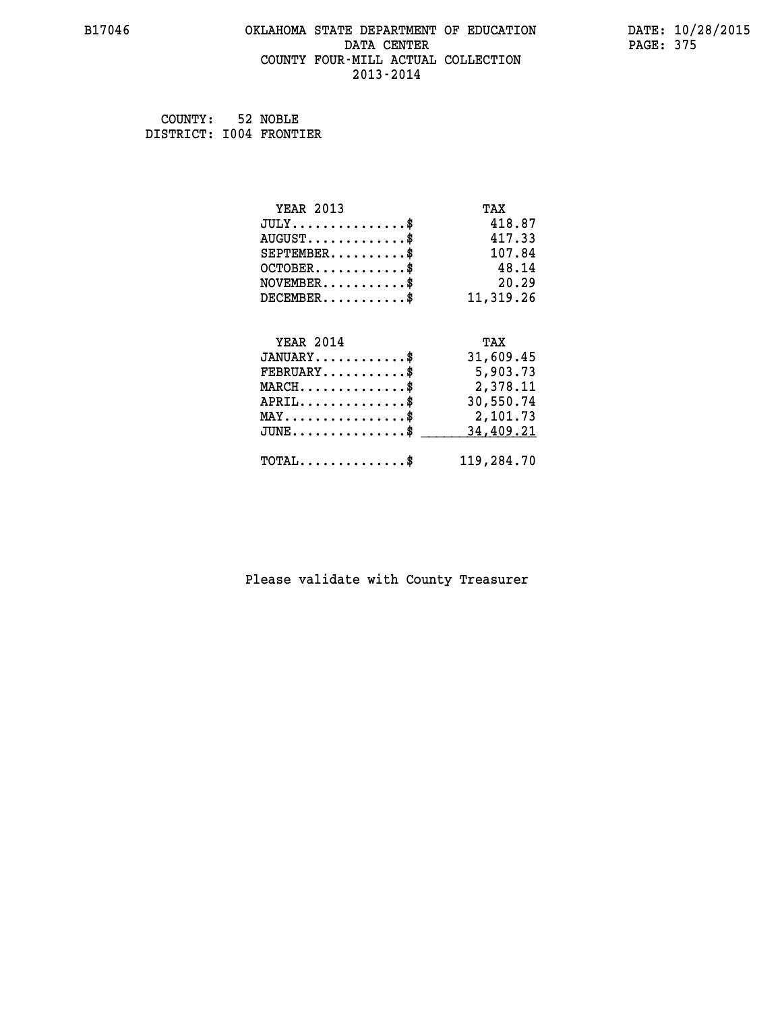#### **B17046 OKLAHOMA STATE DEPARTMENT OF EDUCATION DATE: 10/28/2015 DATA CENTER** PAGE: 375  **COUNTY FOUR-MILL ACTUAL COLLECTION 2013-2014**

 **COUNTY: 52 NOBLE DISTRICT: I004 FRONTIER**

| <b>YEAR 2013</b>                                 | TAX        |
|--------------------------------------------------|------------|
| $JULY$ \$                                        | 418.87     |
| $AUGUST$ \$                                      | 417.33     |
| $SEPTEMBER$ \$                                   | 107.84     |
| $OCTOBER$ \$                                     | 48.14      |
| $NOVEMBER$ \$                                    | 20.29      |
| $DECEMBER$ \$                                    | 11,319.26  |
| <b>YEAR 2014</b>                                 | TAX        |
| $JANUARY$ \$                                     | 31,609.45  |
| $FEBRUARY$                                       | 5,903.73   |
| $MARCH$ \$                                       | 2,378.11   |
| $APRIL$ \$                                       | 30,550.74  |
| $\texttt{MAX} \dots \dots \dots \dots \dots \$   | 2,101.73   |
| $\texttt{JUNE} \dots \dots \dots \dots \dots \$$ | 34,409.21  |
| $\texttt{TOTAL} \dots \dots \dots \dots \$       | 119,284.70 |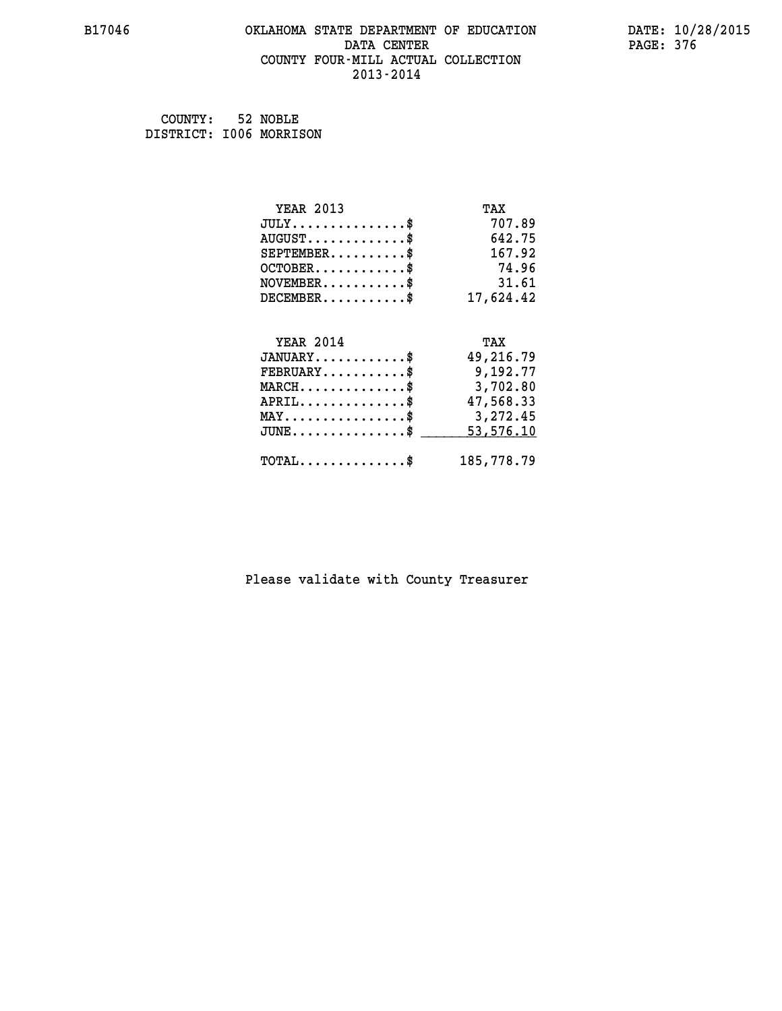#### **B17046 OKLAHOMA STATE DEPARTMENT OF EDUCATION DATE: 10/28/2015 DATA CENTER** PAGE: 376  **COUNTY FOUR-MILL ACTUAL COLLECTION 2013-2014**

 **COUNTY: 52 NOBLE DISTRICT: I006 MORRISON**

| <b>YEAR 2013</b>                                | TAX        |
|-------------------------------------------------|------------|
| $JULY$                                          | 707.89     |
| $AUGUST$ \$                                     | 642.75     |
| $SEPTEMBER$ \$                                  | 167.92     |
| $OCTOBER$ \$                                    | 74.96      |
| $NOVEMBER$ \$                                   | 31.61      |
| $DECEMBER$                                      | 17,624.42  |
| <b>YEAR 2014</b>                                | TAX        |
| $JANUARY$ \$                                    | 49,216.79  |
| $FEBRUARY$ \$                                   | 9,192.77   |
| $MARCH$ \$                                      | 3,702.80   |
| $APRIL$ \$                                      | 47,568.33  |
| $\texttt{MAX} \dots \dots \dots \dots \dots$ \$ | 3,272.45   |
| $JUNE$ \$                                       | 53,576.10  |
| $\texttt{TOTAL} \dots \dots \dots \dots \$      | 185,778.79 |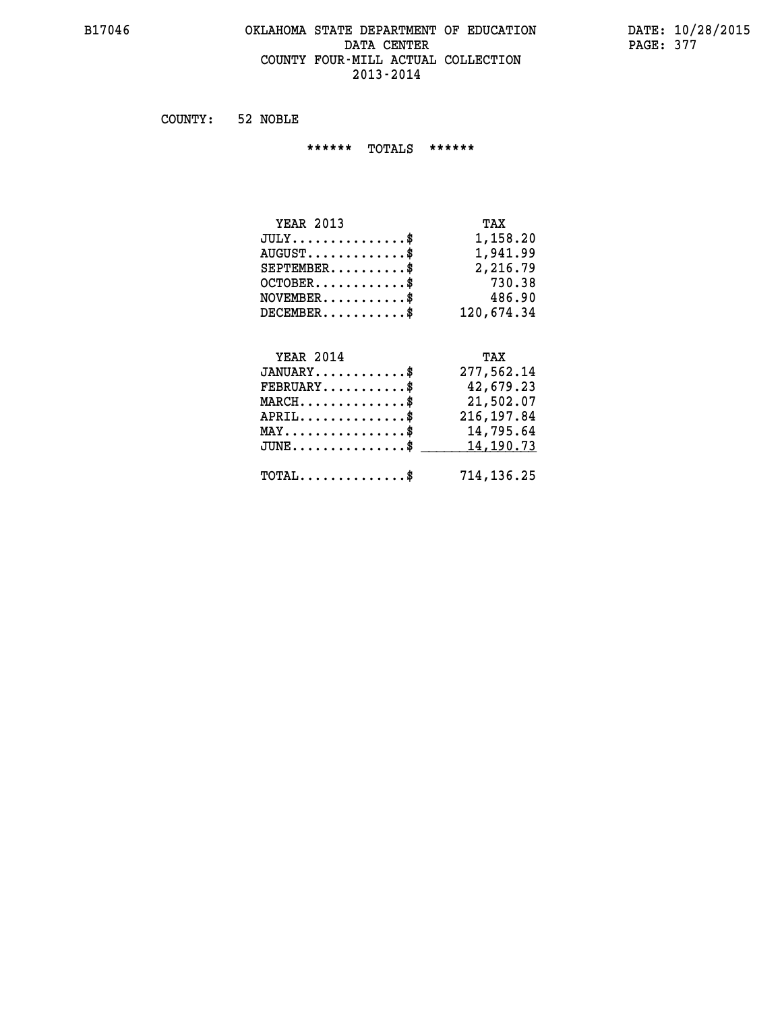## **B17046 OKLAHOMA STATE DEPARTMENT OF EDUCATION DATE: 10/28/2015 DATA CENTER** PAGE: 377  **COUNTY FOUR-MILL ACTUAL COLLECTION 2013-2014**

 **COUNTY: 52 NOBLE**

 **\*\*\*\*\*\* TOTALS \*\*\*\*\*\***

| <b>YEAR 2013</b>                     | TAX        |
|--------------------------------------|------------|
| $JULY \ldots \ldots \ldots \ldots \$ | 1,158.20   |
| $AUGUST$ \$                          | 1,941.99   |
| $SEPTEMBER$ $\$                      | 2,216.79   |
| $OCTOBER$ \$                         | 730.38     |
| $NOVEMBER$ \$                        | 486.90     |
| $DECEMBER$ \$                        | 120,674.34 |

# **YEAR 2014 TAX**

| $JANUARY$                                    | 277,562.14  |
|----------------------------------------------|-------------|
| $FEBRUARY$ \$                                | 42,679.23   |
| $MARCH$ \$                                   | 21,502.07   |
| $APRIL$                                      | 216, 197.84 |
| $MAX \dots \dots \dots \dots \$              | 14,795.64   |
| $JUNE$ \$                                    | 14,190.73   |
| $\text{TOTAL} \dots \dots \dots \dots \dots$ | 714,136.25  |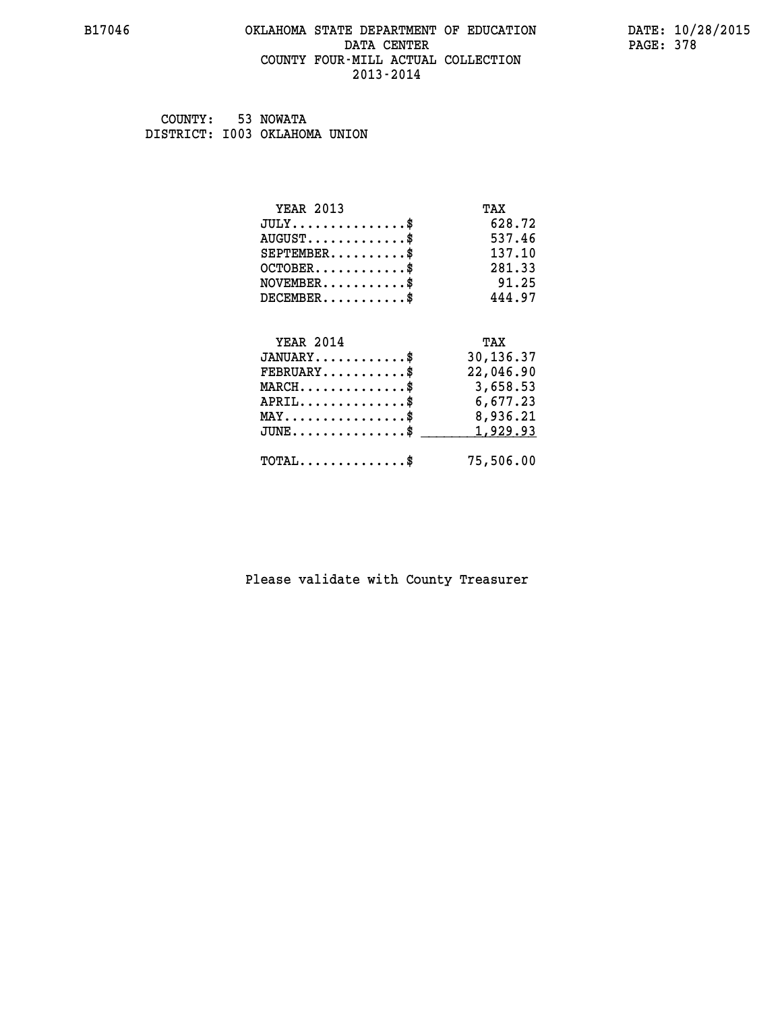## **B17046 OKLAHOMA STATE DEPARTMENT OF EDUCATION DATE: 10/28/2015** DATA CENTER PAGE: 378  **COUNTY FOUR-MILL ACTUAL COLLECTION 2013-2014**

 **COUNTY: 53 NOWATA DISTRICT: I003 OKLAHOMA UNION**

| <b>YEAR 2013</b>                               | TAX       |
|------------------------------------------------|-----------|
| $JULY$ \$                                      | 628.72    |
| $AUGUST$ \$                                    | 537.46    |
| $SEPTEMENT.$ \$                                | 137.10    |
| $OCTOBER$ \$                                   | 281.33    |
| $NOVEMBER$ \$                                  | 91.25     |
| $DECEMBER$ \$                                  | 444.97    |
|                                                |           |
| <b>YEAR 2014</b>                               | TAX       |
| $JANUARY$ \$                                   | 30,136.37 |
| $FEBRUARY$                                     | 22,046.90 |
| $MARCH$ \$                                     | 3,658.53  |
| $APRIL$ \$                                     | 6,677.23  |
| $\texttt{MAX} \dots \dots \dots \dots \dots \$ | 8,936.21  |
| $JUNE$ \$                                      | 1,929.93  |
| $\texttt{TOTAL} \dots \dots \dots \dots \$     | 75,506.00 |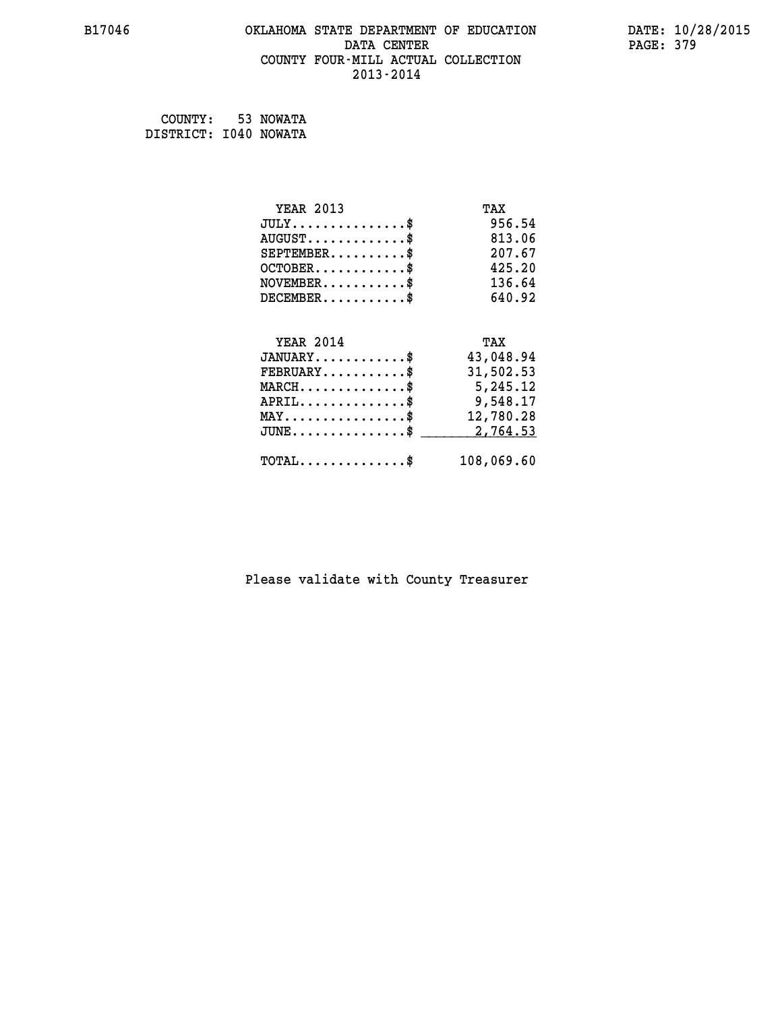#### **B17046 OKLAHOMA STATE DEPARTMENT OF EDUCATION DATE: 10/28/2015 DATA CENTER** PAGE: 379  **COUNTY FOUR-MILL ACTUAL COLLECTION 2013-2014**

 **COUNTY: 53 NOWATA DISTRICT: I040 NOWATA**

| <b>YEAR 2013</b>                                 | TAX        |
|--------------------------------------------------|------------|
| $JULY$ \$                                        | 956.54     |
| $AUGUST$ \$                                      | 813.06     |
| $SEPTEMENT.$ \$                                  | 207.67     |
| $OCTOBER$ \$                                     | 425.20     |
| $NOVEMBER$ \$                                    | 136.64     |
| $DECEMBER$ \$                                    | 640.92     |
|                                                  |            |
| <b>YEAR 2014</b>                                 | TAX        |
| $JANUARY$ \$                                     | 43,048.94  |
| $FEBRUARY$                                       | 31,502.53  |
| $MARCH$ \$                                       | 5,245.12   |
| $APRIL$ \$                                       | 9,548.17   |
| $\texttt{MAX} \dots \dots \dots \dots \dots \$   | 12,780.28  |
| $\texttt{JUNE} \dots \dots \dots \dots \dots \$$ | 2,764.53   |
| $\texttt{TOTAL} \dots \dots \dots \dots \$       | 108,069.60 |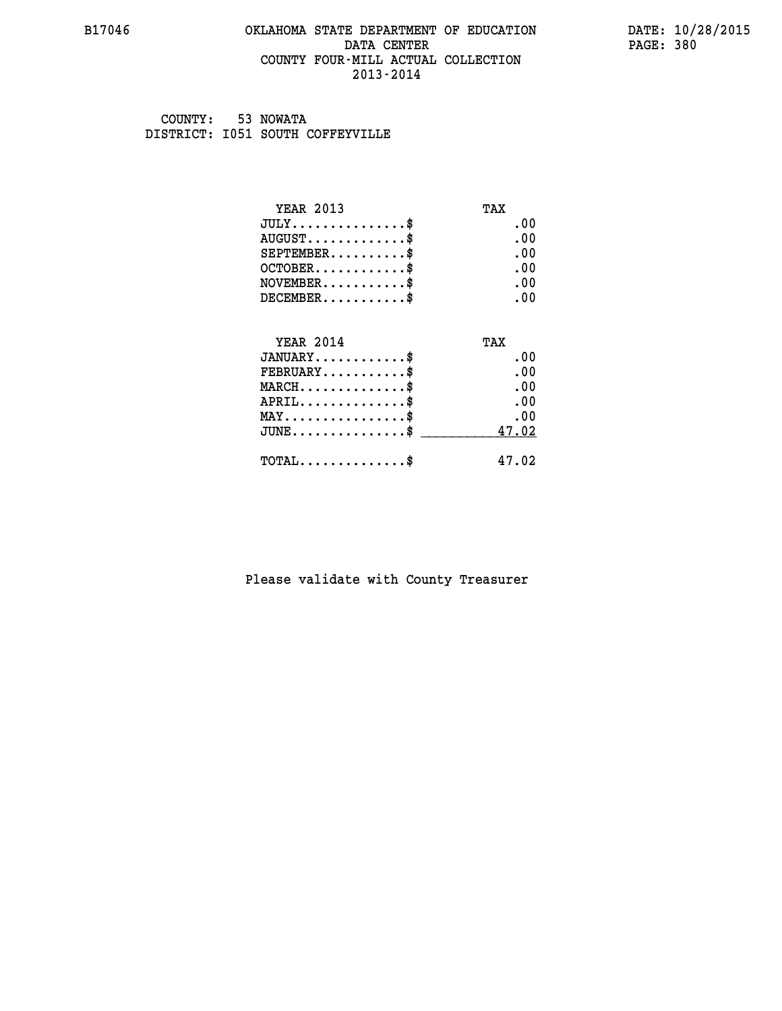#### **B17046 OKLAHOMA STATE DEPARTMENT OF EDUCATION DATE: 10/28/2015 DATA CENTER** PAGE: 380  **COUNTY FOUR-MILL ACTUAL COLLECTION 2013-2014**

 **COUNTY: 53 NOWATA DISTRICT: I051 SOUTH COFFEYVILLE**

| <b>YEAR 2013</b>                       | TAX      |
|----------------------------------------|----------|
| $JULY$                                 | .00      |
| $AUGUST$ \$                            | .00      |
| $SEPTEMBER$ \$                         | $.00 \,$ |
| $OCTOBER$ \$                           | .00      |
| $NOVEMBER$ \$                          | .00      |
| $DECEMBER$ \$                          | .00      |
| <b>YEAR 2014</b>                       | TAX      |
| $JANUARY$ \$                           | .00      |
| $FEBRUARY$                             | .00      |
| $MARCH$ \$                             | .00      |
| $APRIL$ \$                             | .00      |
| $MAX \dots \dots \dots \dots \dots$ \$ | .00      |
| $JUNE$ \$                              | 47.02    |
| $TOTAL$                                | 47.02    |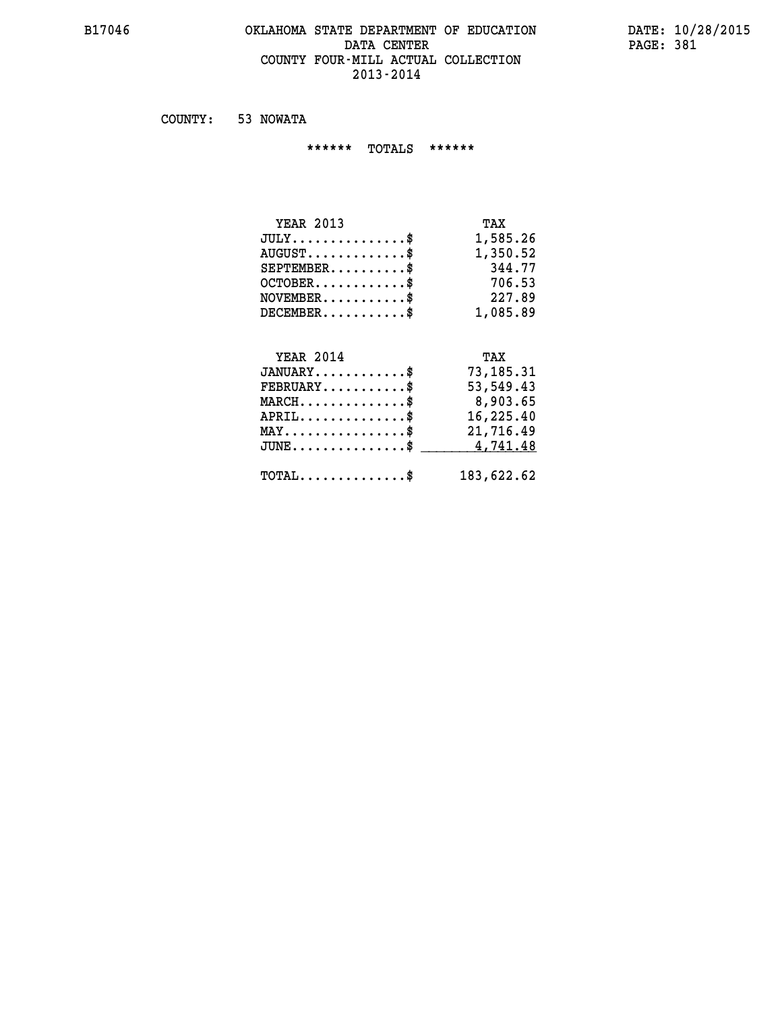#### **B17046 OKLAHOMA STATE DEPARTMENT OF EDUCATION DATE: 10/28/2015 DATA CENTER** PAGE: 381  **COUNTY FOUR-MILL ACTUAL COLLECTION 2013-2014**

 **COUNTY: 53 NOWATA**

 **\*\*\*\*\*\* TOTALS \*\*\*\*\*\***

| TAX      |
|----------|
| 1,585.26 |
| 1,350.52 |
| 344.77   |
| 706.53   |
| 227.89   |
| 1,085.89 |
|          |

# **YEAR 2014 TAX**

| $JANUARY$                                         | 73,185.31  |
|---------------------------------------------------|------------|
| $\texttt{FEBRUARY} \dots \dots \dots \$           | 53,549.43  |
| $MARCH$ \$                                        | 8,903.65   |
| $APRIL$ \$                                        | 16,225.40  |
| $MAX \dots \dots \dots \dots \dots \$             | 21,716.49  |
| JUNE\$ 4,741.48                                   |            |
| $\texttt{TOTAL} \dots \dots \dots \dots \text{*}$ | 183,622.62 |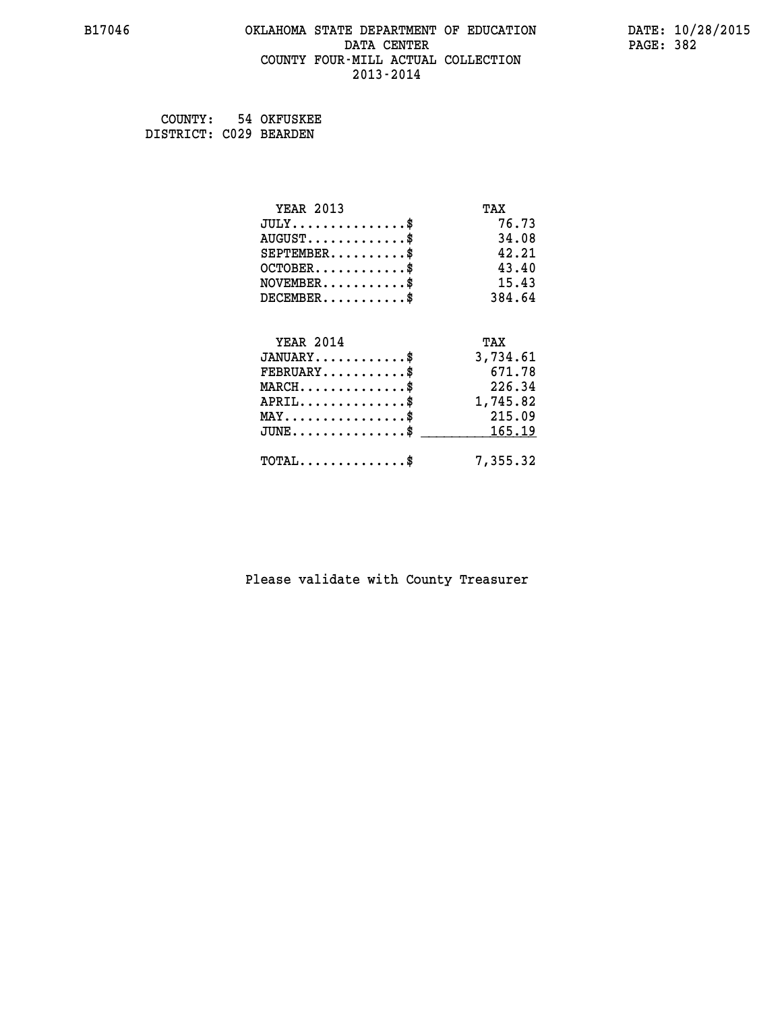#### **B17046 OKLAHOMA STATE DEPARTMENT OF EDUCATION DATE: 10/28/2015 DATA CENTER** PAGE: 382  **COUNTY FOUR-MILL ACTUAL COLLECTION 2013-2014**

 **COUNTY: 54 OKFUSKEE DISTRICT: C029 BEARDEN**

| <b>YEAR 2013</b>                           | TAX      |
|--------------------------------------------|----------|
| $JULY$ \$                                  | 76.73    |
| $AUGUST$ \$                                | 34.08    |
| $SEPTEMBER$ \$                             | 42.21    |
| $OCTOBER$ \$                               | 43.40    |
| $NOVEMBER$ \$                              | 15.43    |
| $DECEMBER$ \$                              | 384.64   |
| <b>YEAR 2014</b>                           | TAX      |
| $JANUARY$ \$                               |          |
|                                            | 3,734.61 |
| $FEBRUARY$                                 | 671.78   |
| $MARCH$ \$                                 | 226.34   |
| $APRIL$ \$                                 | 1,745.82 |
| $MAX \dots \dots \dots \dots \dots$        | 215.09   |
| $JUNE$ \$                                  | 165.19   |
| $\texttt{TOTAL} \dots \dots \dots \dots \$ | 7,355.32 |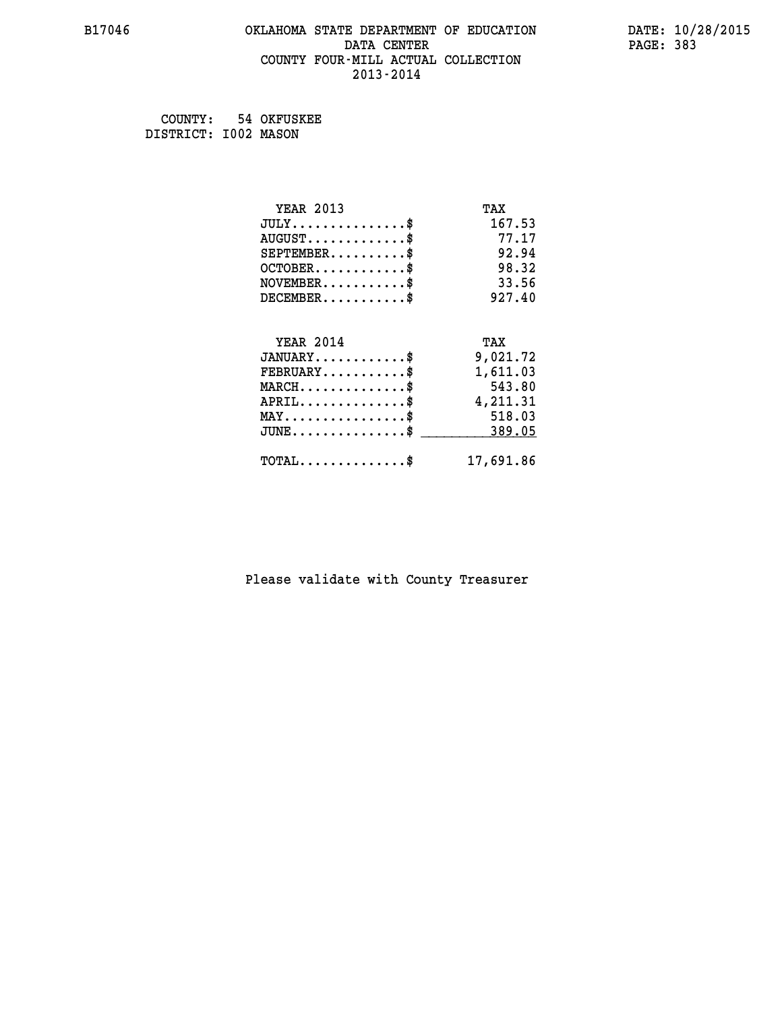#### **B17046 OKLAHOMA STATE DEPARTMENT OF EDUCATION DATE: 10/28/2015 DATA CENTER** PAGE: 383  **COUNTY FOUR-MILL ACTUAL COLLECTION 2013-2014**

 **COUNTY: 54 OKFUSKEE DISTRICT: I002 MASON**

| <b>YEAR 2013</b>                           | TAX       |
|--------------------------------------------|-----------|
| $JULY$ \$                                  | 167.53    |
| $AUGUST$ \$                                | 77.17     |
| $SEPTEMENT.$ \$                            | 92.94     |
| $OCTOBER$ \$                               | 98.32     |
| $NOVEMBER$ \$                              | 33.56     |
| $DECEMBER$ \$                              | 927.40    |
|                                            |           |
| <b>YEAR 2014</b>                           | TAX       |
| $JANUARY$ \$                               | 9,021.72  |
| $FEBRUARY$                                 | 1,611.03  |
| $MARCH$ \$                                 | 543.80    |
| $APRIL$ \$                                 | 4,211.31  |
| $MAX \dots \dots \dots \dots \dots$        | 518.03    |
| $JUNE$ \$                                  | 389.05    |
| $\texttt{TOTAL} \dots \dots \dots \dots \$ | 17,691.86 |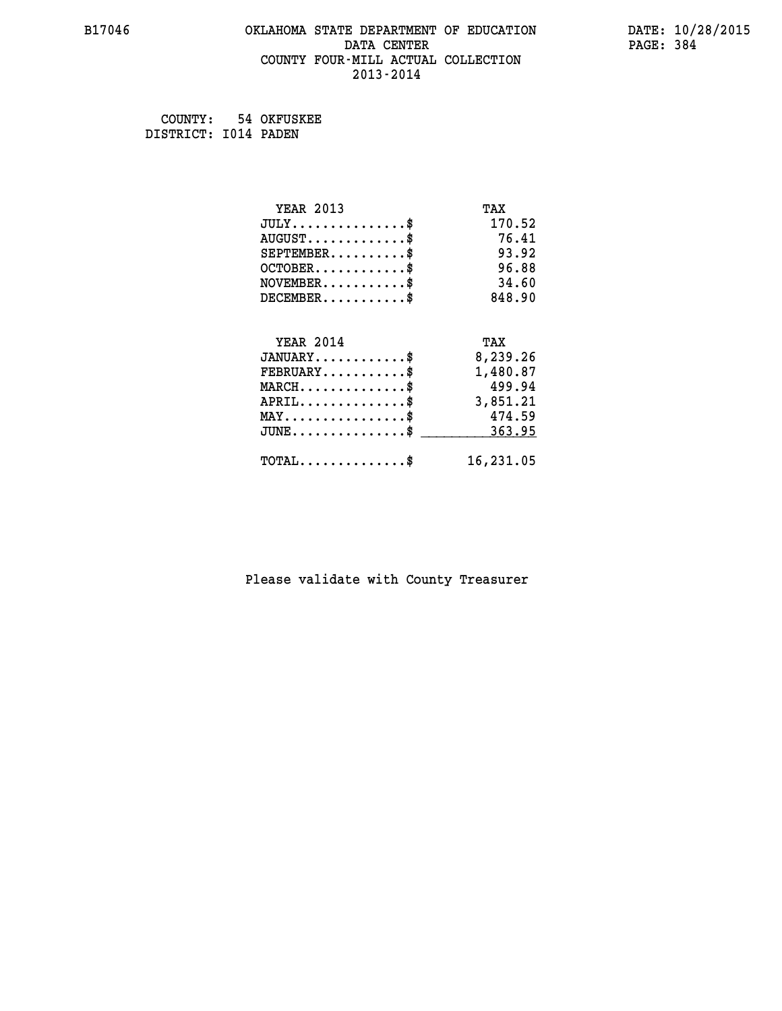#### **B17046 OKLAHOMA STATE DEPARTMENT OF EDUCATION DATE: 10/28/2015 DATA CENTER** PAGE: 384  **COUNTY FOUR-MILL ACTUAL COLLECTION 2013-2014**

 **COUNTY: 54 OKFUSKEE DISTRICT: I014 PADEN**

| <b>YEAR 2013</b>                                   | TAX       |
|----------------------------------------------------|-----------|
| $JULY$ \$                                          | 170.52    |
| $AUGUST$ \$                                        | 76.41     |
| $SEPTEMBER$ \$                                     | 93.92     |
| $OCTOBER$ \$                                       | 96.88     |
| $NOVEMBER$ \$                                      | 34.60     |
| $DECEMBER$ \$                                      | 848.90    |
|                                                    |           |
| <b>YEAR 2014</b>                                   | TAX       |
| $JANUARY$ \$                                       | 8,239.26  |
| $FEBRUARY$                                         | 1,480.87  |
| $MARCH$ \$                                         | 499.94    |
| $APRIL$ \$                                         | 3,851.21  |
| $MAX \dots \dots \dots \dots \dots$                | 474.59    |
| $\texttt{JUNE} \dots \dots \dots \dots \texttt{S}$ | 363.95    |
| $TOTAL$ \$                                         | 16,231.05 |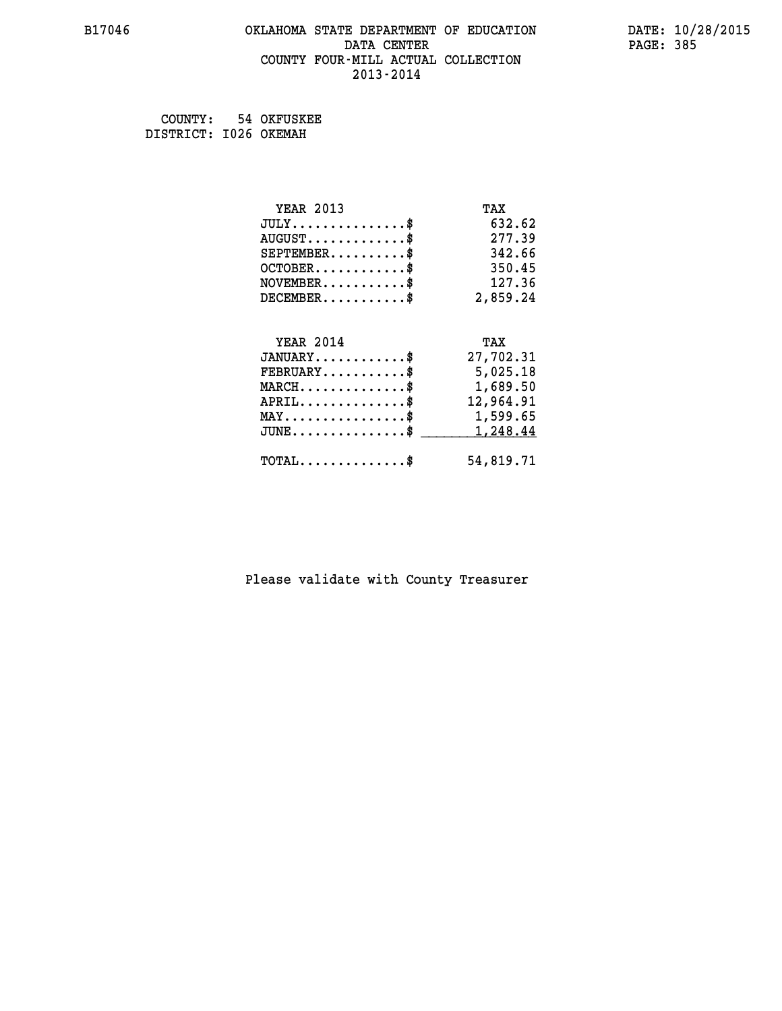#### **B17046 OKLAHOMA STATE DEPARTMENT OF EDUCATION DATE: 10/28/2015 DATA CENTER** PAGE: 385  **COUNTY FOUR-MILL ACTUAL COLLECTION 2013-2014**

 **COUNTY: 54 OKFUSKEE DISTRICT: I026 OKEMAH**

| <b>YEAR 2013</b>                               | TAX       |
|------------------------------------------------|-----------|
| $JULY$ \$                                      | 632.62    |
| $AUGUST$ \$                                    | 277.39    |
| $SEPTEMBER$ \$                                 | 342.66    |
| $OCTOBER$ \$                                   | 350.45    |
| $NOVEMBER$ \$                                  | 127.36    |
| $DECEMBER$ \$                                  | 2,859.24  |
|                                                |           |
| <b>YEAR 2014</b>                               | TAX       |
| $JANUARY$ \$                                   | 27,702.31 |
| $FEBRUARY$                                     | 5,025.18  |
| $MARCH$ \$                                     | 1,689.50  |
| $APRIL$ \$                                     | 12,964.91 |
| $\texttt{MAX} \dots \dots \dots \dots \dots \$ | 1,599.65  |
| $JUNE \ldots \ldots \ldots \ldots \ldots$ \$   | 1,248.44  |
| $\texttt{TOTAL} \dots \dots \dots \dots \$     | 54,819.71 |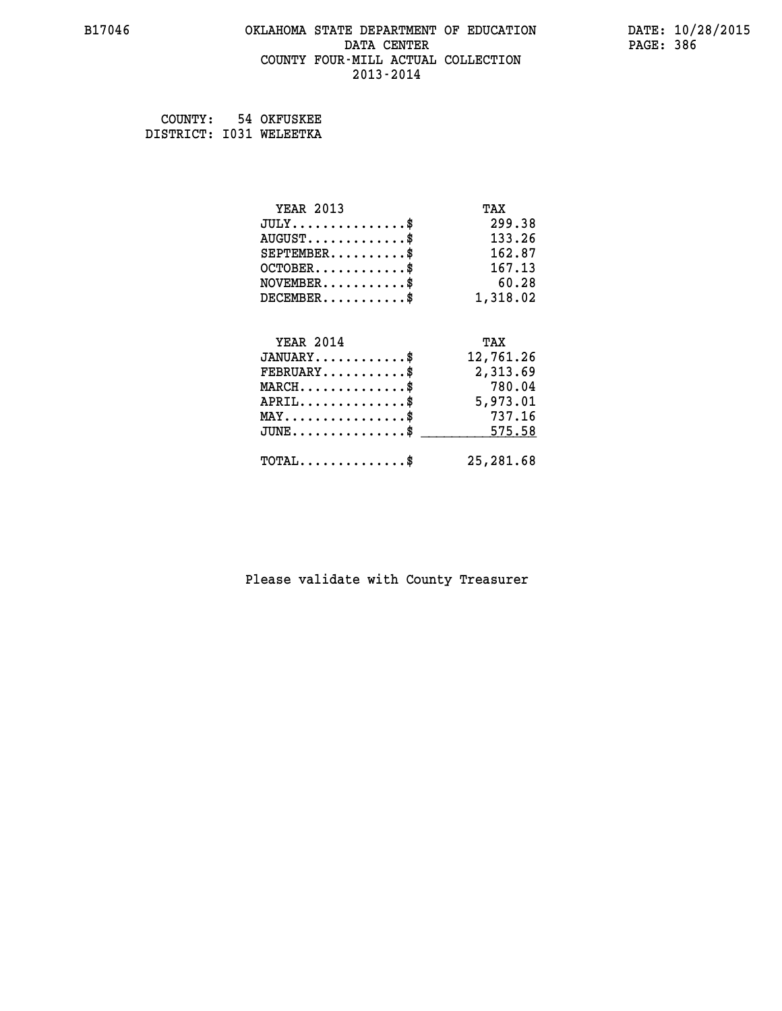#### **B17046 OKLAHOMA STATE DEPARTMENT OF EDUCATION DATE: 10/28/2015 DATA CENTER** PAGE: 386  **COUNTY FOUR-MILL ACTUAL COLLECTION 2013-2014**

 **COUNTY: 54 OKFUSKEE DISTRICT: I031 WELEETKA**

| <b>YEAR 2013</b>                           | TAX       |
|--------------------------------------------|-----------|
| $JULY$ \$                                  | 299.38    |
| $AUGUST$ \$                                | 133.26    |
| $SEPTEMBER$ \$                             | 162.87    |
| $OCTOBER$ \$                               | 167.13    |
| $NOVEMBER$ \$                              | 60.28     |
| $DECEMBER$ \$                              | 1,318.02  |
|                                            |           |
| <b>YEAR 2014</b>                           | TAX       |
| $JANUARY$ \$                               | 12,761.26 |
| $FEBRUARY$                                 | 2,313.69  |
| $MARCH$ \$                                 | 780.04    |
| $APRIL$ \$                                 | 5,973.01  |
| $MAX \dots \dots \dots \dots \dots$        | 737.16    |
| $JUNE \dots \dots \dots \dots \$           | 575.58    |
| $\texttt{TOTAL} \dots \dots \dots \dots \$ | 25,281.68 |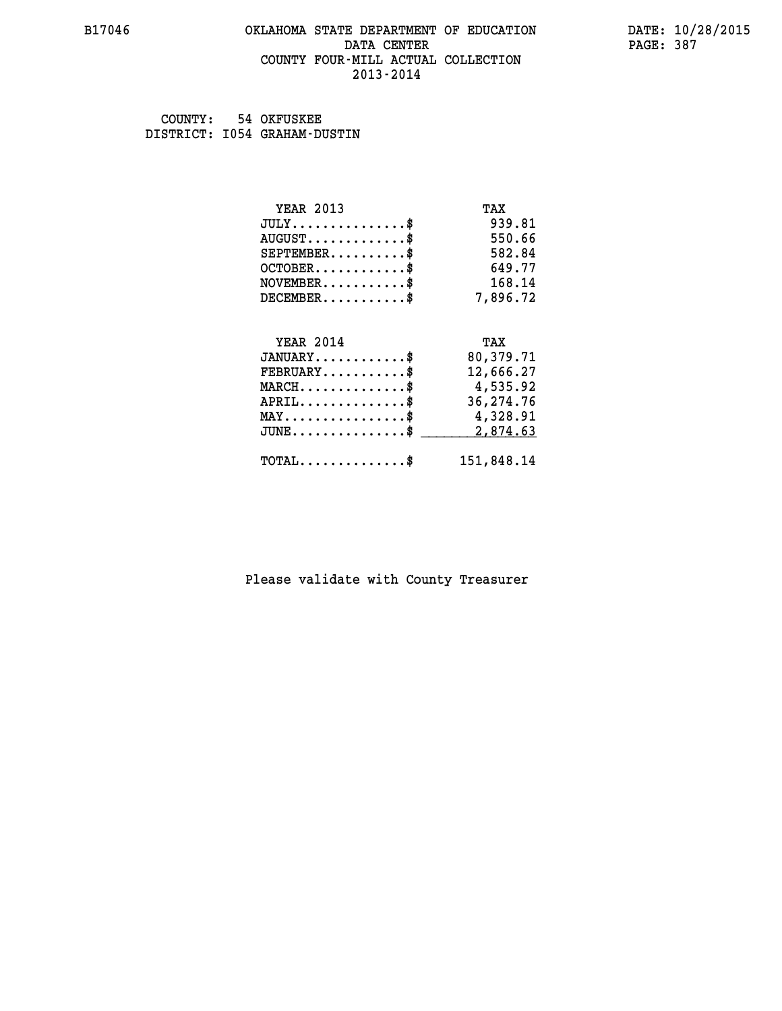#### **B17046 OKLAHOMA STATE DEPARTMENT OF EDUCATION DATE: 10/28/2015 DATA CENTER** PAGE: 387  **COUNTY FOUR-MILL ACTUAL COLLECTION 2013-2014**

 **COUNTY: 54 OKFUSKEE DISTRICT: I054 GRAHAM-DUSTIN**

| <b>YEAR 2013</b>                               | TAX        |
|------------------------------------------------|------------|
| $JULY$ \$                                      | 939.81     |
| $AUGUST$ \$                                    | 550.66     |
| $SEPTEMENT.$ \$                                | 582.84     |
| $OCTOBER$ \$                                   | 649.77     |
| $\texttt{NOVEMBER} \dots \dots \dots \$        | 168.14     |
| $DECEMBER$ \$                                  | 7,896.72   |
|                                                |            |
| <b>YEAR 2014</b>                               | TAX        |
| $JANUARY$ \$                                   | 80,379.71  |
| $FEBRUARY$                                     | 12,666.27  |
| $MARCH$ \$                                     | 4,535.92   |
| $APRIL$ \$                                     | 36,274.76  |
| $\texttt{MAX} \dots \dots \dots \dots \dots \$ | 4,328.91   |
| $JUNE \ldots \ldots \ldots \ldots \bullet$     | 2,874.63   |
| $\texttt{TOTAL} \dots \dots \dots \dots \$     | 151,848.14 |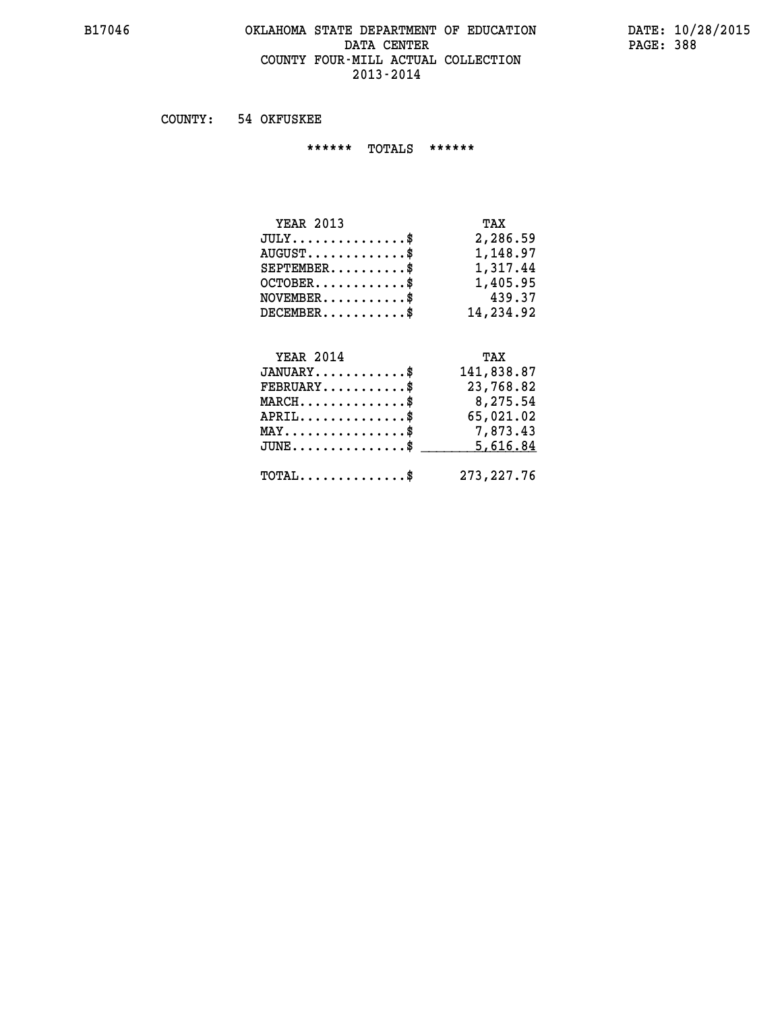#### **B17046 OKLAHOMA STATE DEPARTMENT OF EDUCATION DATE: 10/28/2015** DATA CENTER PAGE: 388  **COUNTY FOUR-MILL ACTUAL COLLECTION 2013-2014**

 **COUNTY: 54 OKFUSKEE**

 **\*\*\*\*\*\* TOTALS \*\*\*\*\*\***

| <b>YEAR 2013</b>              | TAX       |
|-------------------------------|-----------|
| $JULY \ldots \ldots \ldots \$ | 2,286.59  |
| $AUGUST$ \$                   | 1,148.97  |
| $SEPTEMBER$                   | 1,317.44  |
| $OCTOBER$ \$                  | 1,405.95  |
| $NOVEMBER$ \$                 | 439.37    |
| $DECEMBER$                    | 14,234.92 |

# **YEAR 2014 TAX JANUARY............\$ 141,838.87 FEBRUARY...........\$ 23,768.82 MARCH..............\$ 8,275.54 APRIL..............\$ 65,021.02 MAY................\$ 7,873.43 JUNE...............\$ 5,616.84 \_\_\_\_\_\_\_\_\_\_\_\_\_\_\_ TOTAL..............\$ 273,227.76**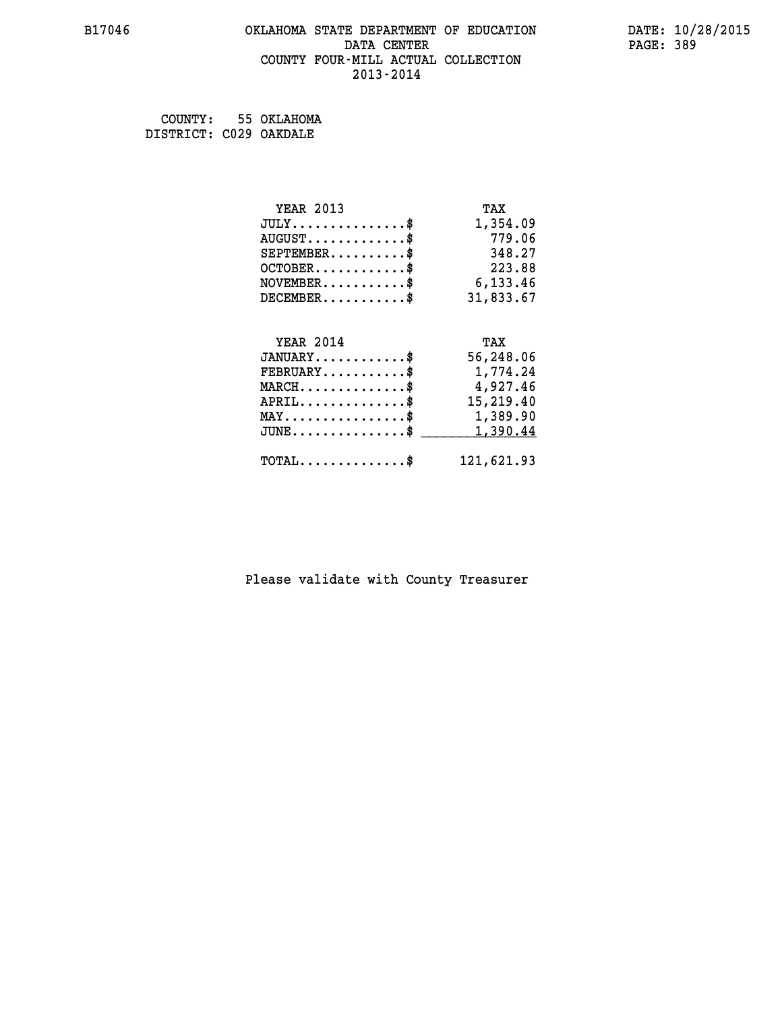#### **B17046 OKLAHOMA STATE DEPARTMENT OF EDUCATION DATE: 10/28/2015 DATA CENTER** PAGE: 389  **COUNTY FOUR-MILL ACTUAL COLLECTION 2013-2014**

 **COUNTY: 55 OKLAHOMA DISTRICT: C029 OAKDALE**

| <b>YEAR 2013</b>                               | TAX       |
|------------------------------------------------|-----------|
| $JULY$ \$                                      | 1,354.09  |
| $AUGUST$ \$                                    | 779.06    |
| $SEPTEMBER$ \$                                 | 348.27    |
| $OCTOBER$ \$                                   | 223.88    |
| $NOVEMBER$ \$                                  | 6,133.46  |
| $DECEMBER$ \$                                  | 31,833.67 |
|                                                |           |
| <b>YEAR 2014</b>                               | TAX       |
| $JANUARY$                                      | 56,248.06 |
| $FEBRUARY$                                     | 1,774.24  |
| $MARCH$ \$                                     | 4,927.46  |
| $APRIL$ \$                                     | 15,219.40 |
| $\texttt{MAX} \dots \dots \dots \dots \dots \$ | 1,389.90  |
| $JUNE$ \$                                      | 1,390.44  |
|                                                |           |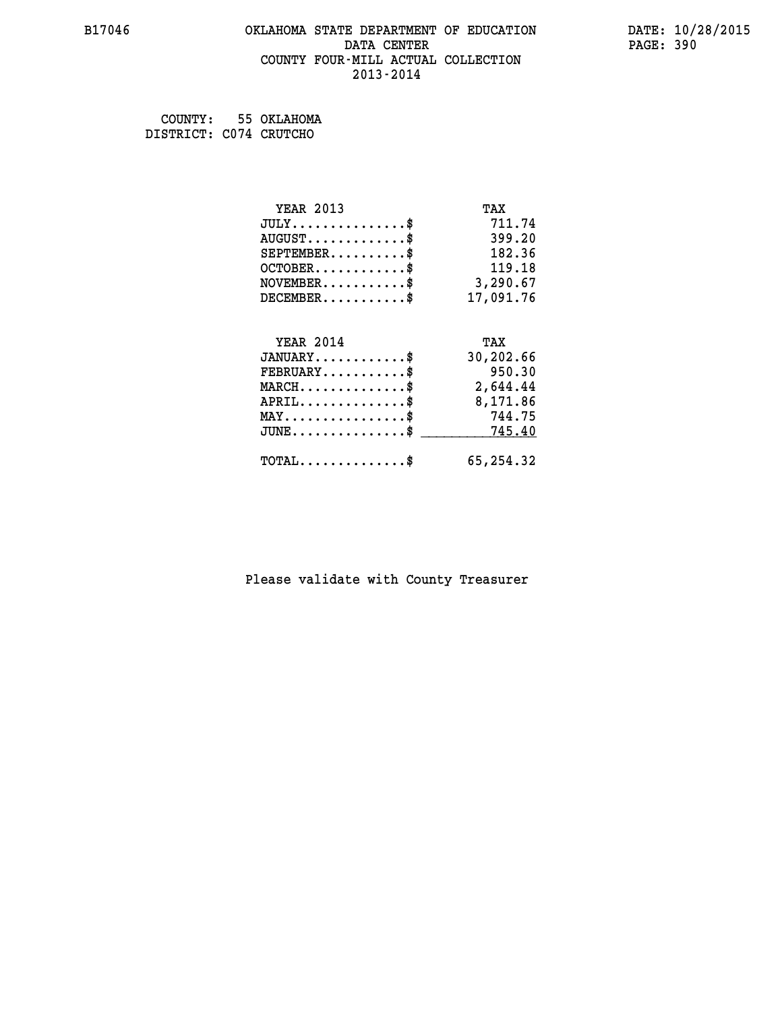#### **B17046 OKLAHOMA STATE DEPARTMENT OF EDUCATION DATE: 10/28/2015 DATA CENTER** PAGE: 390  **COUNTY FOUR-MILL ACTUAL COLLECTION 2013-2014**

 **COUNTY: 55 OKLAHOMA DISTRICT: C074 CRUTCHO**

| <b>YEAR 2013</b>                           | TAX       |
|--------------------------------------------|-----------|
| $JULY$ \$                                  | 711.74    |
| $AUGUST$ \$                                | 399.20    |
| $SEPTEMENT.$ \$                            | 182.36    |
| $OCTOBER$ \$                               | 119.18    |
| $NOVEMBER$ \$                              | 3,290.67  |
| $DECEMBER$ \$                              | 17,091.76 |
|                                            |           |
| <b>YEAR 2014</b>                           | TAX       |
| $JANUARY$ \$                               | 30,202.66 |
| $FEBRUARY$ \$                              | 950.30    |
| $MARCH$ \$                                 | 2,644.44  |
| $APRIL$ \$                                 | 8,171.86  |
| $MAX \dots \dots \dots \dots \dots$        | 744.75    |
| $JUNE$ \$                                  | 745.40    |
| $\texttt{TOTAL} \dots \dots \dots \dots \$ | 65,254.32 |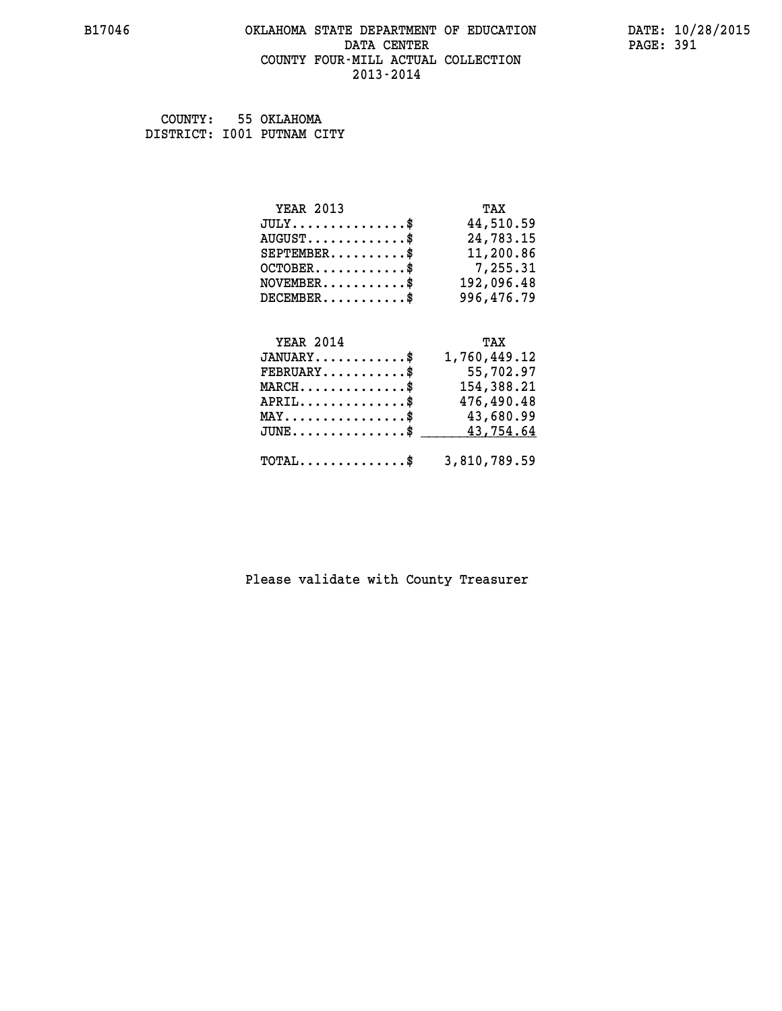#### **B17046 OKLAHOMA STATE DEPARTMENT OF EDUCATION DATE: 10/28/2015 DATA CENTER** PAGE: 391  **COUNTY FOUR-MILL ACTUAL COLLECTION 2013-2014**

 **COUNTY: 55 OKLAHOMA DISTRICT: I001 PUTNAM CITY**

| <b>YEAR 2013</b> | TAX        |
|------------------|------------|
| $JULY$ \$        | 44,510.59  |
| $AUGUST$ \$      | 24,783.15  |
| $SEPTEMBER$ \$   | 11,200.86  |
| $OCTOBER$ \$     | 7,255.31   |
| $NOVEMBER$ \$    | 192,096.48 |
| $DECEMBER$ \$    | 996,476.79 |
|                  |            |

| <b>YEAR 2014</b>                                        | TAX          |
|---------------------------------------------------------|--------------|
| $JANUARY$ \$                                            | 1,760,449.12 |
| $\texttt{FEBRUARY} \dots \dots \dots \$                 | 55,702.97    |
| $MARCH$ \$                                              | 154,388.21   |
| $APRIL$ \$                                              | 476,490.48   |
| $MAX \dots \dots \dots \dots \$                         | 43,680.99    |
| JUNE\$ 43,754.64                                        |              |
| $\texttt{TOTAL} \dots \dots \dots \dots \$ 3,810,789.59 |              |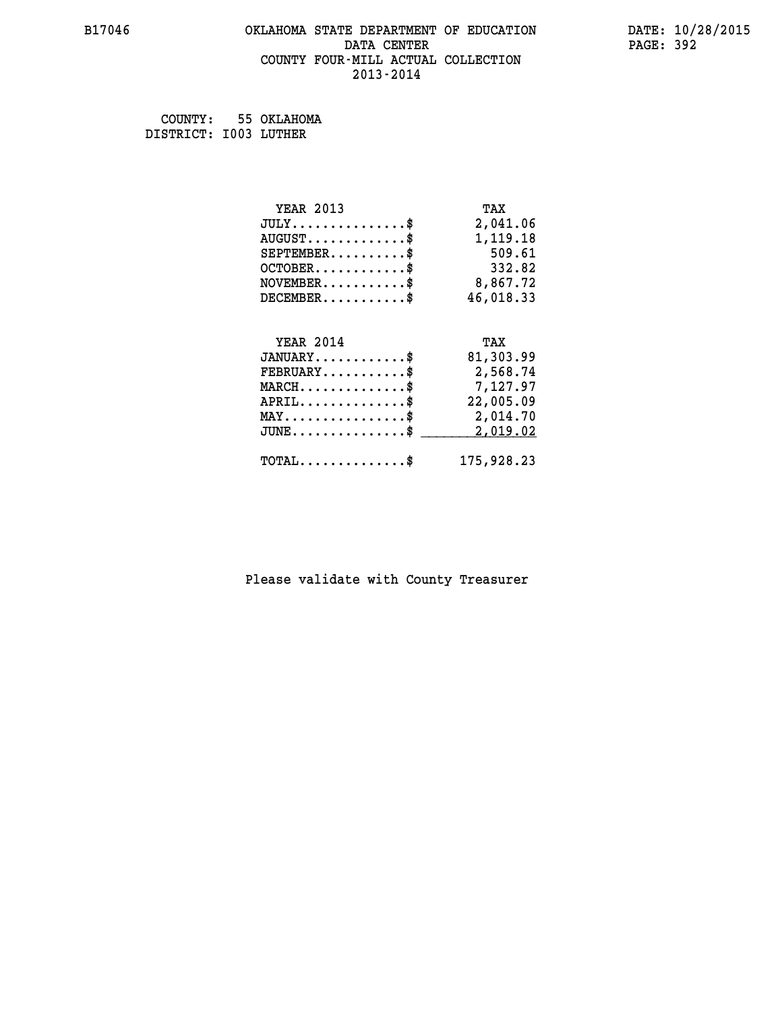#### **B17046 OKLAHOMA STATE DEPARTMENT OF EDUCATION DATE: 10/28/2015 DATA CENTER** PAGE: 392  **COUNTY FOUR-MILL ACTUAL COLLECTION 2013-2014**

 **COUNTY: 55 OKLAHOMA DISTRICT: I003 LUTHER**

| <b>YEAR 2013</b>                               | TAX       |
|------------------------------------------------|-----------|
| $JULY$ \$                                      | 2,041.06  |
| $AUGUST$ \$                                    | 1,119.18  |
| $SEPTEMBER$ \$                                 | 509.61    |
| $OCTOBER$ \$                                   | 332.82    |
| $\texttt{NOVEMBER} \dots \dots \dots \$        | 8,867.72  |
| $DECEMBER$ \$                                  | 46,018.33 |
|                                                |           |
| <b>YEAR 2014</b>                               | TAX       |
| $JANUARY$ \$                                   | 81,303.99 |
| $FEBRUARY$                                     | 2,568.74  |
| $MARCH$ \$                                     | 7,127.97  |
| $APRIL$ \$                                     | 22,005.09 |
| $\texttt{MAX} \dots \dots \dots \dots \dots \$ | 2,014.70  |
|                                                |           |
| $JUNE$ \$                                      | 2,019.02  |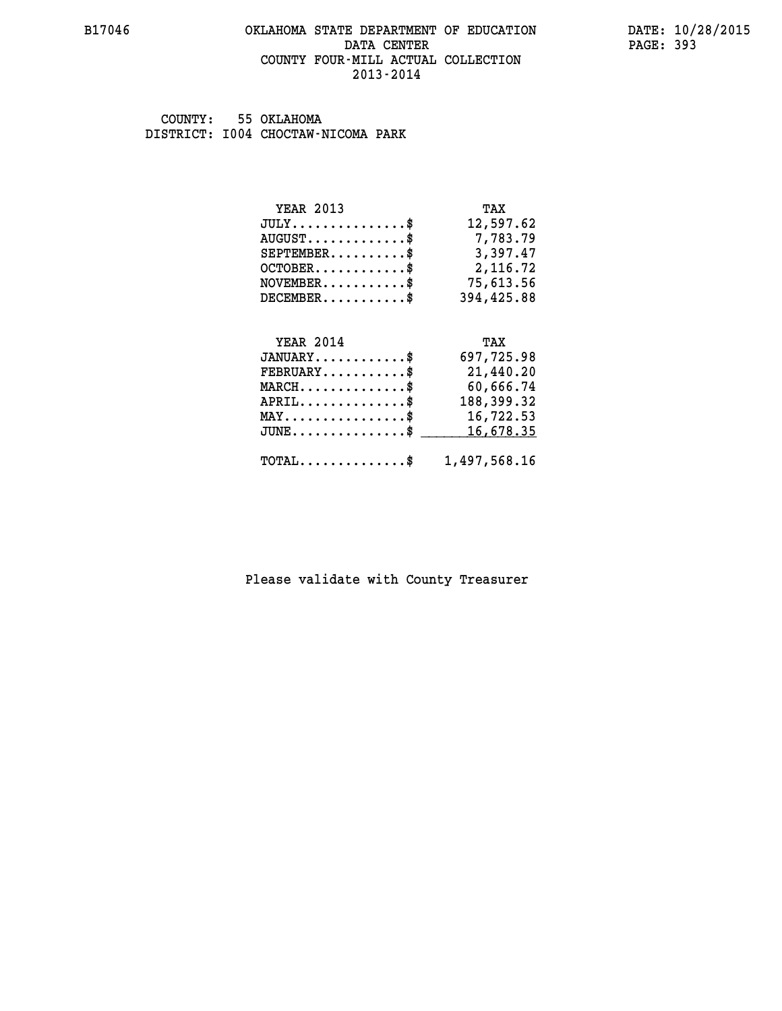#### **B17046 OKLAHOMA STATE DEPARTMENT OF EDUCATION DATE: 10/28/2015 DATA CENTER** PAGE: 393  **COUNTY FOUR-MILL ACTUAL COLLECTION 2013-2014**

 **COUNTY: 55 OKLAHOMA DISTRICT: I004 CHOCTAW-NICOMA PARK**

| <b>YEAR 2013</b>                                | TAX          |
|-------------------------------------------------|--------------|
| $JULY$ \$                                       | 12,597.62    |
| $AUGUST$ \$                                     | 7,783.79     |
| $SEPTEMBER$ \$                                  | 3,397.47     |
| $OCTOBER$ \$                                    | 2,116.72     |
| $NOVEMBER.$ \$                                  | 75,613.56    |
| $DECEMBER$ \$                                   | 394,425.88   |
|                                                 |              |
| <b>YEAR 2014</b>                                | TAX          |
| $JANUARY$ \$                                    | 697,725.98   |
| $FEBRUARY$ \$                                   | 21,440.20    |
| $MARCH$ \$                                      | 60,666.74    |
| $APRIL$ \$                                      | 188,399.32   |
| $\texttt{MAX} \dots \dots \dots \dots \dots \$$ | 16,722.53    |
| $JUNE$ \$                                       | 16,678.35    |
| $\texttt{TOTAL} \dots \dots \dots \dots \$      | 1,497,568.16 |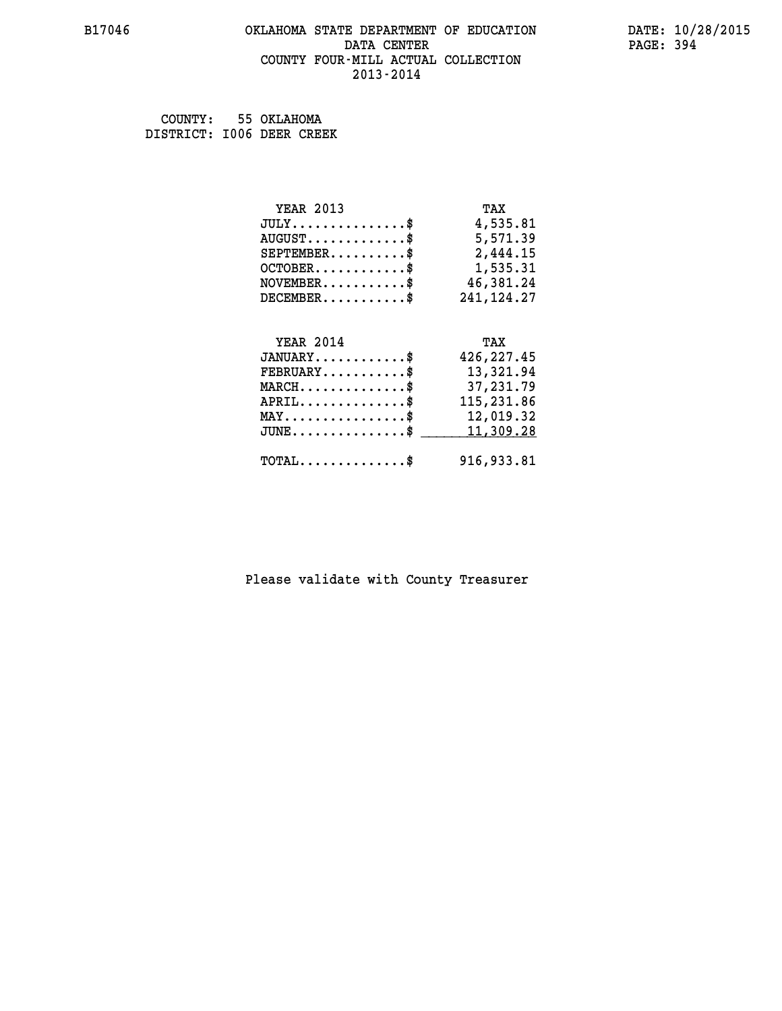#### **B17046 OKLAHOMA STATE DEPARTMENT OF EDUCATION DATE: 10/28/2015 DATA CENTER** PAGE: 394  **COUNTY FOUR-MILL ACTUAL COLLECTION 2013-2014**

 **COUNTY: 55 OKLAHOMA DISTRICT: I006 DEER CREEK**

| <b>YEAR 2013</b>                               | TAX          |
|------------------------------------------------|--------------|
| $JULY$ \$                                      | 4,535.81     |
| $AUGUST$ \$                                    | 5,571.39     |
| $SEPTEMBER$ \$                                 | 2,444.15     |
| $OCTOBER$ \$                                   | 1,535.31     |
| $NOVEMBER.$ \$                                 | 46,381.24    |
| $DECEMBER$ \$                                  | 241, 124. 27 |
|                                                |              |
| <b>YEAR 2014</b>                               | TAX          |
| $JANUARY$ \$                                   | 426, 227.45  |
| $\texttt{FEBRUARY} \dots \dots \dots \$        | 13,321.94    |
| $MARCH$ \$                                     | 37,231.79    |
| $APRIL$ \$                                     | 115,231.86   |
| $\texttt{MAX} \dots \dots \dots \dots \dots \$ | 12,019.32    |
| $JUNE$ \$                                      | 11,309.28    |
| $TOTAL$ \$                                     | 916,933.81   |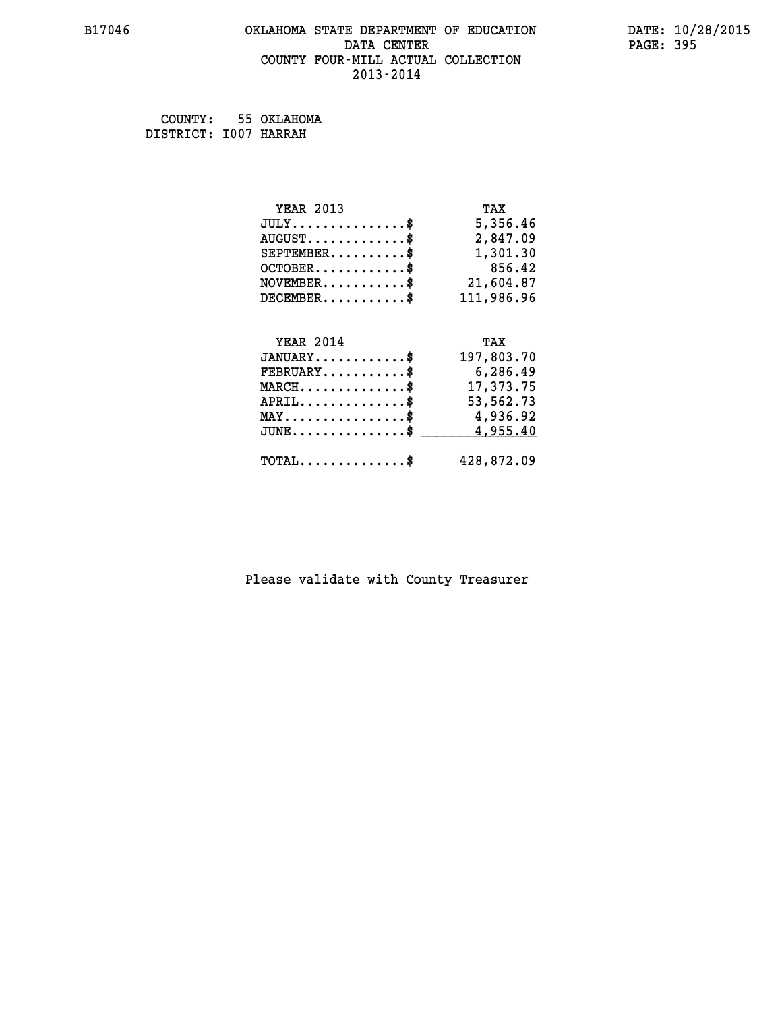#### **B17046 OKLAHOMA STATE DEPARTMENT OF EDUCATION DATE: 10/28/2015 DATA CENTER** PAGE: 395  **COUNTY FOUR-MILL ACTUAL COLLECTION 2013-2014**

 **COUNTY: 55 OKLAHOMA DISTRICT: I007 HARRAH**

| <b>YEAR 2013</b>                               | TAX        |
|------------------------------------------------|------------|
| $JULY$ \$                                      | 5,356.46   |
| $AUGUST$ \$                                    | 2,847.09   |
| $SEPTEMBER$ \$                                 | 1,301.30   |
| $OCTOBER$ \$                                   | 856.42     |
| $NOVEMBER.$ \$                                 | 21,604.87  |
| $DECEMBER$ \$                                  | 111,986.96 |
|                                                |            |
| <b>YEAR 2014</b>                               | TAX        |
| $JANUARY$ \$                                   | 197,803.70 |
| $FEBRUARY$                                     | 6,286.49   |
| $MARCH$ \$                                     | 17,373.75  |
| $APRIL$ \$                                     | 53,562.73  |
| $\texttt{MAX} \dots \dots \dots \dots \dots \$ | 4,936.92   |
| $JUNE$ \$                                      | 4,955.40   |
| $\texttt{TOTAL} \dots \dots \dots \dots \$     | 428,872.09 |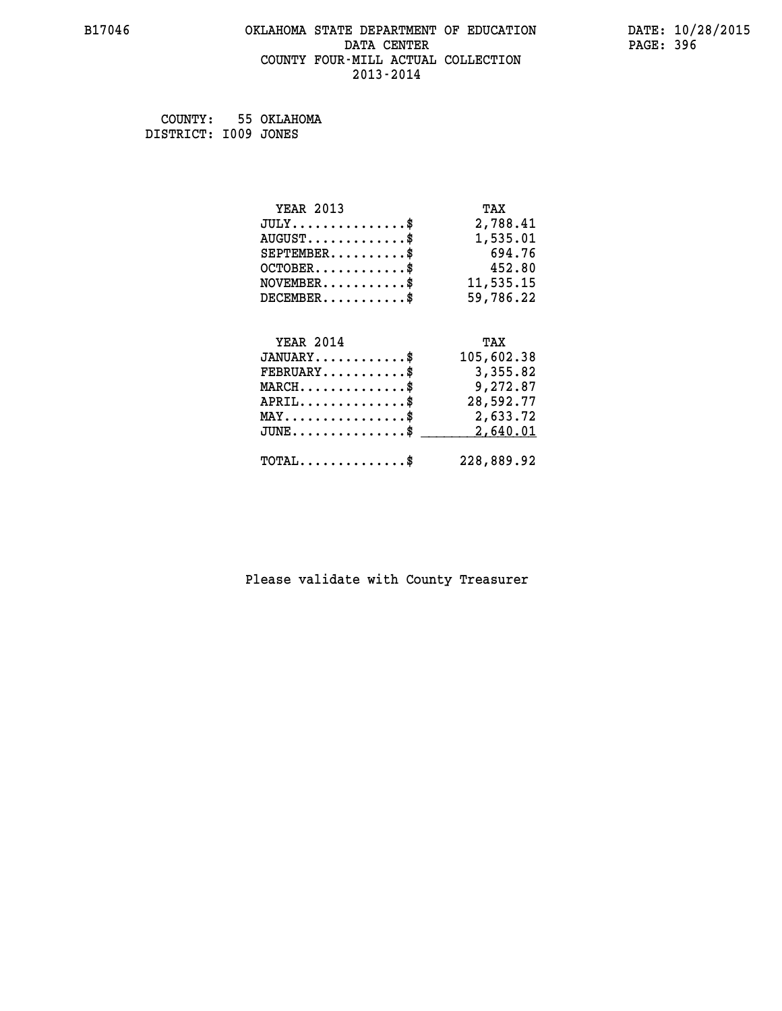#### **B17046 OKLAHOMA STATE DEPARTMENT OF EDUCATION DATE: 10/28/2015 DATA CENTER** PAGE: 396  **COUNTY FOUR-MILL ACTUAL COLLECTION 2013-2014**

 **COUNTY: 55 OKLAHOMA DISTRICT: I009 JONES**

| <b>YEAR 2013</b>                           | TAX        |
|--------------------------------------------|------------|
| $JULY$ \$                                  | 2,788.41   |
| $AUGUST$ \$                                | 1,535.01   |
| $SEPTEMBER$ \$                             | 694.76     |
| $OCTOBER$ \$                               | 452.80     |
| $\texttt{NOVEMBER} \dots \dots \dots \$    | 11,535.15  |
| $DECEMBER$ \$                              | 59,786.22  |
|                                            |            |
| <b>YEAR 2014</b>                           | TAX        |
| $JANUARY$                                  | 105,602.38 |
| $FEBRUARY$                                 | 3,355.82   |
| $MARCH$ \$                                 | 9,272.87   |
| $APRIL$ \$                                 | 28,592.77  |
| MAY\$ 2,633.72                             |            |
| $JUNE$ \$                                  | 2,640.01   |
| $\texttt{TOTAL} \dots \dots \dots \dots \$ | 228,889.92 |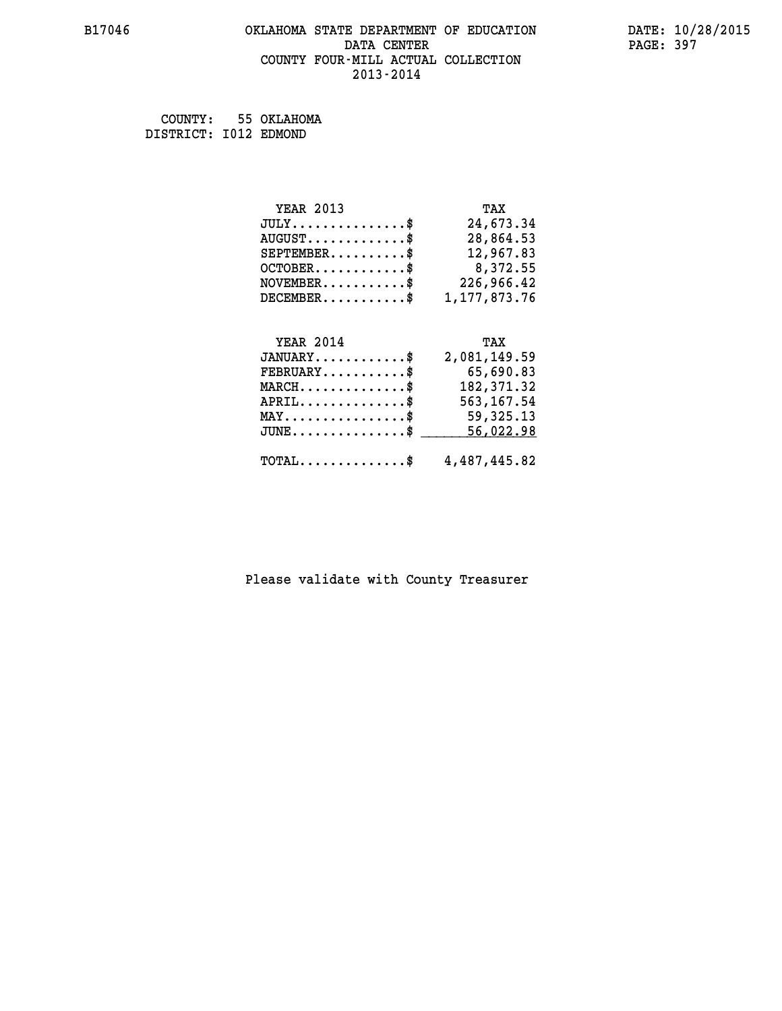#### **B17046 OKLAHOMA STATE DEPARTMENT OF EDUCATION DATE: 10/28/2015 DATA CENTER PAGE: 397 COUNTY FOUR-MILL ACTUAL COLLECTION 2013-2014**

 **COUNTY: 55 OKLAHOMA DISTRICT: I012 EDMOND**

| <b>YEAR 2013</b>                | TAX            |
|---------------------------------|----------------|
| $JULY$ \$                       | 24,673.34      |
| $AUGUST$ \$                     | 28,864.53      |
| $SEPTEMBER$ \$                  | 12,967.83      |
| $OCTOBER$                       | 8,372.55       |
| $NOVEMBER$ \$                   | 226,966.42     |
| $DECEMBER$ \$                   | 1, 177, 873.76 |
|                                 |                |
| <b>YEAR 2014</b>                | TAX            |
| $JANUARY$ \$                    | 2,081,149.59   |
| $FEBRUARY$ \$                   | 65,690.83      |
| $MARCH$ \$                      | 182, 371.32    |
| $APRIL$ \$                      | 563, 167.54    |
| $MAX \dots \dots \dots \dots \$ | 59,325.13      |
| $JUNE$ \$                       | 56,022.98      |

| $JUNE \ldots \ldots \ldots \ldots$ \$ _________56,022.98 |  |
|----------------------------------------------------------|--|
| $\texttt{TOTAL} \dots \dots \dots \dots \$ 4,487,445.82  |  |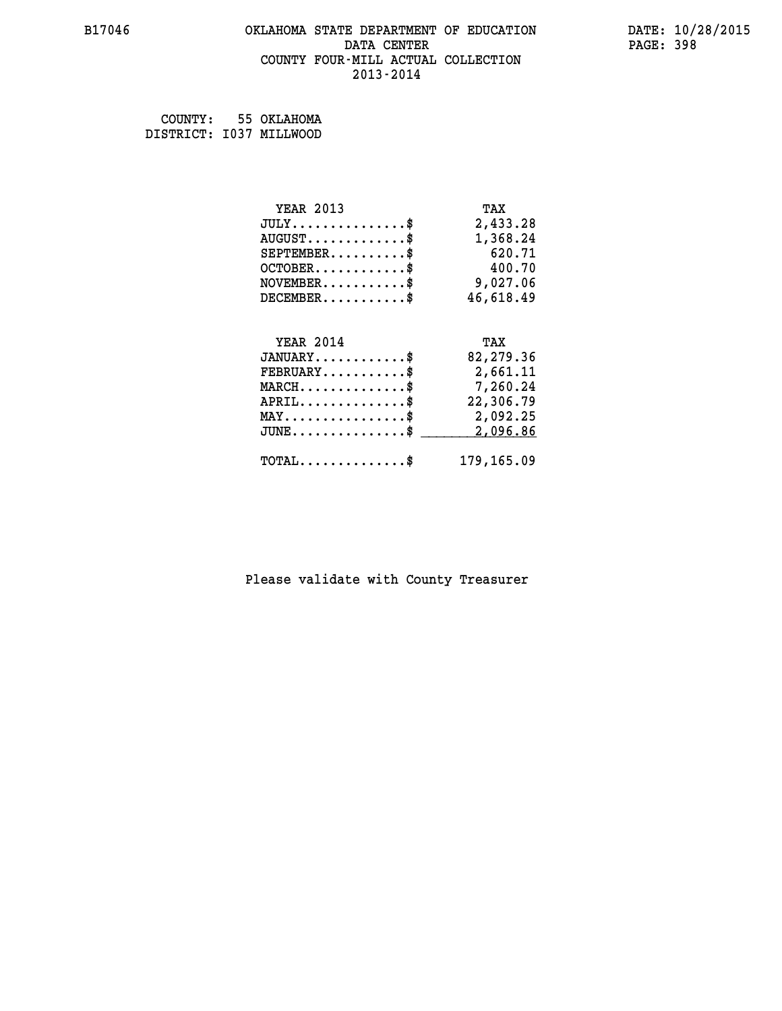#### **B17046 OKLAHOMA STATE DEPARTMENT OF EDUCATION DATE: 10/28/2015 DATA CENTER** PAGE: 398  **COUNTY FOUR-MILL ACTUAL COLLECTION 2013-2014**

 **COUNTY: 55 OKLAHOMA DISTRICT: I037 MILLWOOD**

| <b>YEAR 2013</b>                               | TAX       |
|------------------------------------------------|-----------|
| $JULY$ \$                                      | 2,433.28  |
| $AUGUST$ \$                                    | 1,368.24  |
| $SEPTEMBER$ \$                                 | 620.71    |
| $OCTOBER$ \$                                   | 400.70    |
| $NOVEMBER.$ \$                                 | 9,027.06  |
| $DECEMBER$ \$                                  | 46,618.49 |
|                                                |           |
| <b>YEAR 2014</b>                               | TAX       |
| $JANUARY$ \$                                   | 82,279.36 |
| $FEBRUARY$                                     | 2,661.11  |
|                                                |           |
| $MARCH$ \$                                     | 7,260.24  |
| $APRIL$ \$                                     | 22,306.79 |
| $\texttt{MAX} \dots \dots \dots \dots \dots \$ | 2,092.25  |
| $JUNE$ $\text{\$}$                             | 2,096.86  |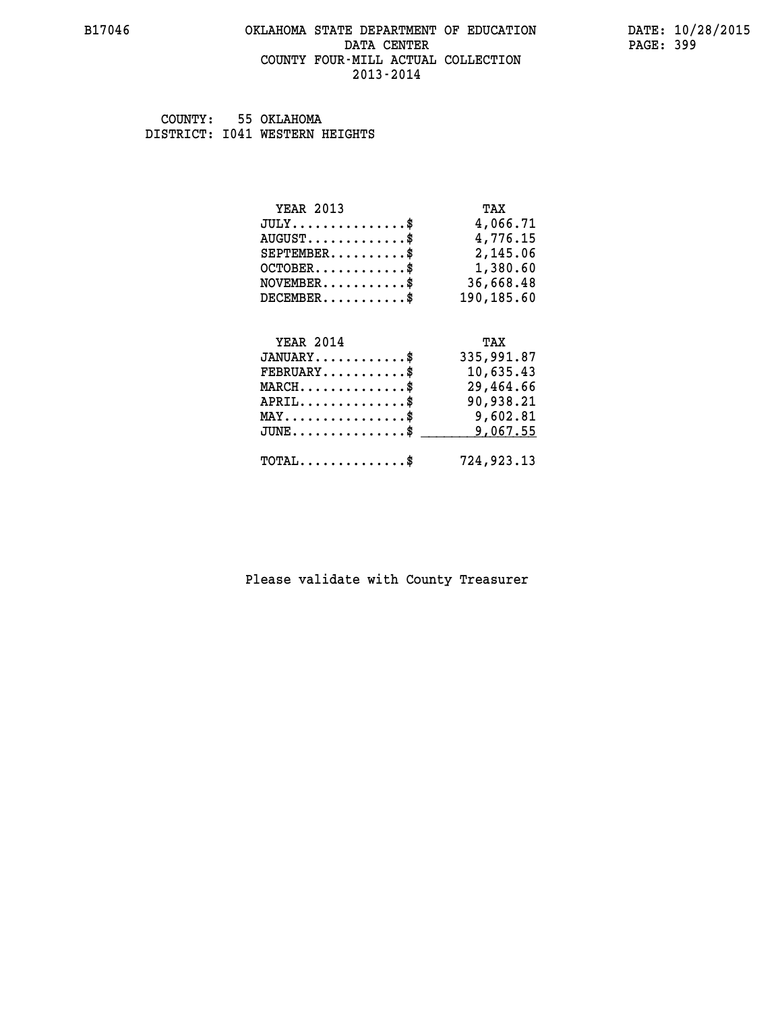#### **B17046 OKLAHOMA STATE DEPARTMENT OF EDUCATION DATE: 10/28/2015 DATA CENTER** PAGE: 399  **COUNTY FOUR-MILL ACTUAL COLLECTION 2013-2014**

 **COUNTY: 55 OKLAHOMA DISTRICT: I041 WESTERN HEIGHTS**

| <b>YEAR 2013</b>                                | TAX        |
|-------------------------------------------------|------------|
| $JULY$                                          | 4,066.71   |
| $AUGUST$ \$                                     | 4,776.15   |
| $SEPTEMBER$ \$                                  | 2,145.06   |
| $OCTOBER$ \$                                    | 1,380.60   |
| $NOVEMBER$ \$                                   | 36,668.48  |
| $DECEMBER$ \$                                   | 190,185.60 |
| <b>YEAR 2014</b>                                | TAX        |
| $JANUARY$ \$                                    | 335,991.87 |
| $FEBRUARY$ \$                                   | 10,635.43  |
| $MARCH$ \$                                      | 29,464.66  |
| $APRIL$ \$                                      | 90,938.21  |
| $\texttt{MAX} \dots \dots \dots \dots \text{*}$ | 9,602.81   |
| $JUNE$ \$                                       | 9,067.55   |
| $TOTAL$ \$                                      | 724,923.13 |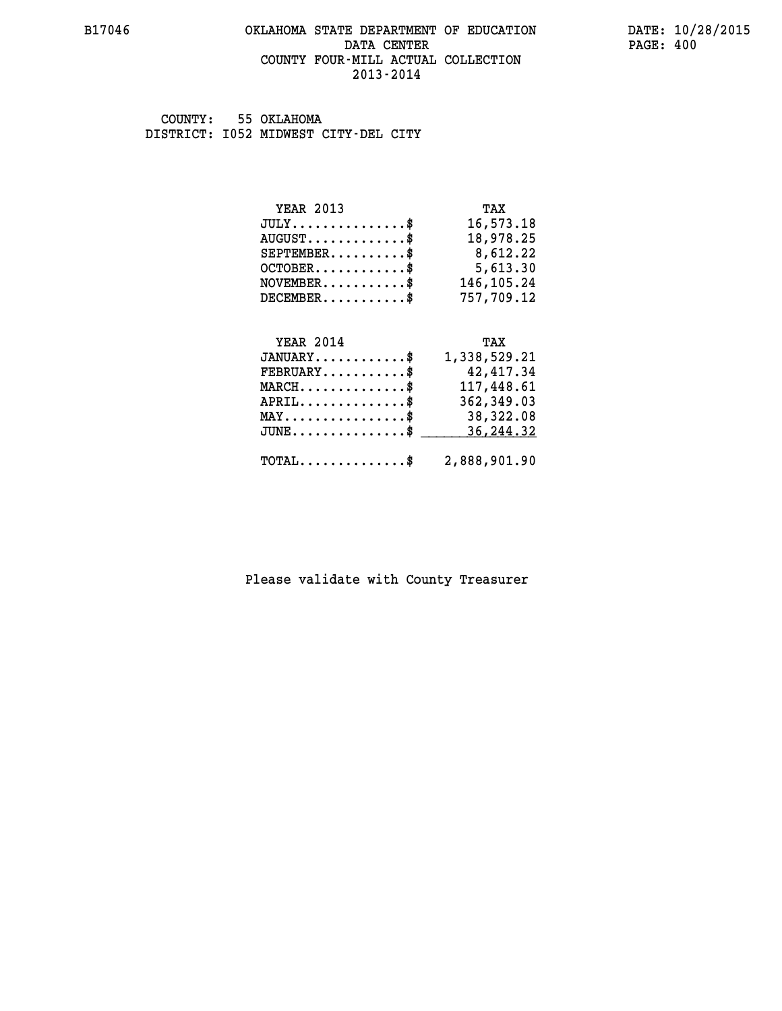#### **B17046 OKLAHOMA STATE DEPARTMENT OF EDUCATION DATE: 10/28/2015 DATA CENTER** PAGE: 400  **COUNTY FOUR-MILL ACTUAL COLLECTION 2013-2014**

 **COUNTY: 55 OKLAHOMA DISTRICT: I052 MIDWEST CITY-DEL CITY**

| <b>YEAR 2013</b>        | TAX        |
|-------------------------|------------|
| $JULY$ \$               | 16,573.18  |
| $AUGUST$                | 18,978.25  |
| $SEPTEMBER$ $\$         | 8,612.22   |
| $OCTOBER$ $\frac{1}{2}$ | 5,613.30   |
| $NOVEMBER$ \$           | 146,105.24 |
| $DECEMBER$ \$           | 757,709.12 |

| <b>YEAR 2014</b>                                        | TAX          |
|---------------------------------------------------------|--------------|
| $JANUARY$ \$                                            | 1,338,529.21 |
| $\texttt{FEBRUARY} \dots \dots \dots \$                 | 42,417.34    |
| $\texttt{MARCH}\ldots\ldots\ldots\ldots\text{*}$        | 117,448.61   |
| $APRIL$ \$                                              | 362,349.03   |
| $\texttt{MAX} \dots \dots \dots \dots \dots \$          | 38,322.08    |
| JUNE\$ 36,244.32                                        |              |
| $\texttt{TOTAL} \dots \dots \dots \dots \$ 2,888,901.90 |              |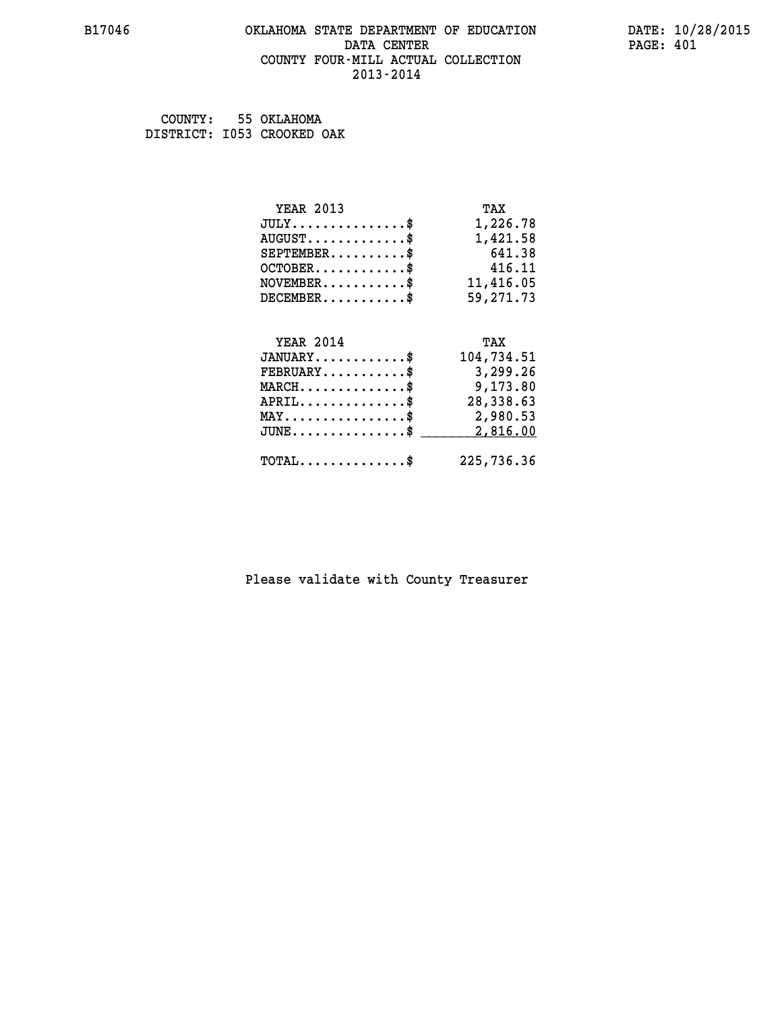#### **B17046 OKLAHOMA STATE DEPARTMENT OF EDUCATION DATE: 10/28/2015 DATA CENTER** PAGE: 401  **COUNTY FOUR-MILL ACTUAL COLLECTION 2013-2014**

 **COUNTY: 55 OKLAHOMA DISTRICT: I053 CROOKED OAK**

| <b>YEAR 2013</b>                               | TAX        |
|------------------------------------------------|------------|
| $JULY$ \$                                      | 1,226.78   |
| $AUGUST$ \$                                    | 1,421.58   |
| $SEPTEMBER$                                    | 641.38     |
| $OCTOBER$ \$                                   | 416.11     |
| $\texttt{NOVEMBER} \dots \dots \dots \$        | 11,416.05  |
| $DECEMBER$ \$                                  | 59,271.73  |
|                                                |            |
| <b>YEAR 2014</b>                               | TAX        |
| $JANUARY$ \$                                   | 104,734.51 |
| $FEBRUARY$ \$                                  | 3,299.26   |
| $MARCH$ \$                                     | 9,173.80   |
| $APRIL$ \$                                     | 28,338.63  |
| $\texttt{MAX} \dots \dots \dots \dots \dots \$ | 2,980.53   |
| $JUNE$ \$                                      | 2,816.00   |
| $TOTAL$ \$                                     | 225,736.36 |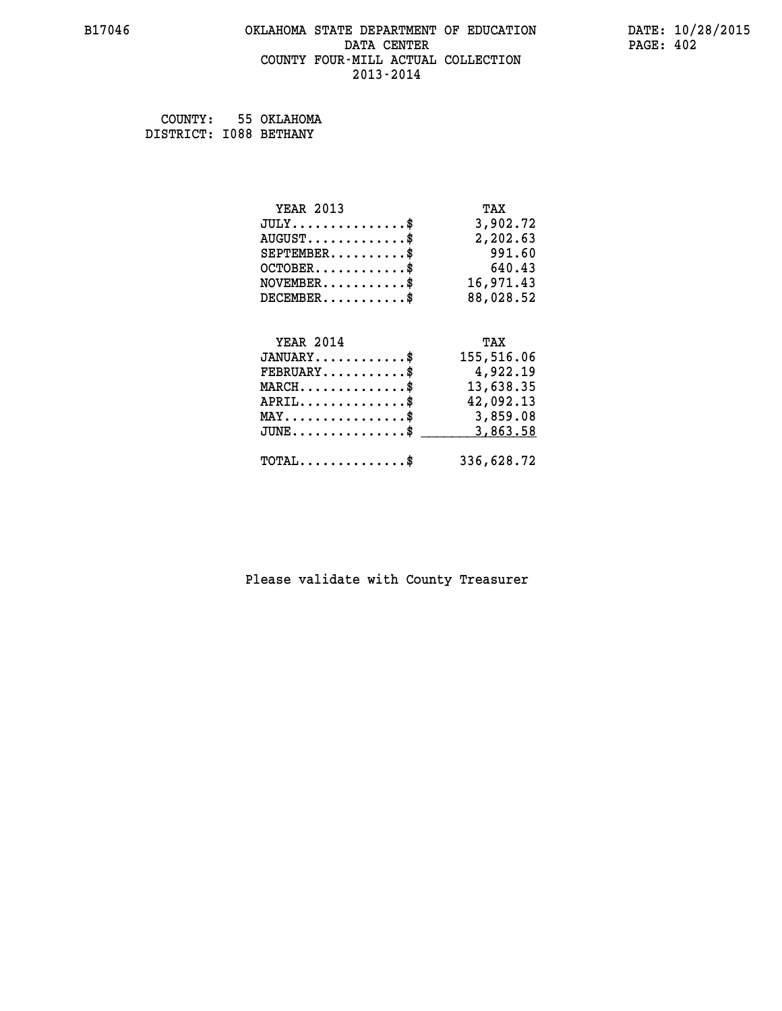## **B17046 OKLAHOMA STATE DEPARTMENT OF EDUCATION DATE: 10/28/2015 DATA CENTER PAGE: 402 COUNTY FOUR-MILL ACTUAL COLLECTION 2013-2014**

 **COUNTY: 55 OKLAHOMA DISTRICT: I088 BETHANY**

| <b>YEAR 2013</b>                        | TAX        |
|-----------------------------------------|------------|
| $JULY$ \$                               | 3,902.72   |
| $AUGUST$ \$                             | 2,202.63   |
| $SEPTEMBER$ \$                          | 991.60     |
| $OCTOBER$ \$                            | 640.43     |
| $\texttt{NOVEMBER} \dots \dots \dots \$ | 16,971.43  |
| $DECEMBER$ \$                           | 88,028.52  |
|                                         |            |
|                                         |            |
| <b>YEAR 2014</b>                        | TAX        |
| $JANUARY$ \$                            | 155,516.06 |
| $FEBRUARY$                              | 4,922.19   |
| $MARCH$ \$                              | 13,638.35  |
| $APRIL$ \$                              | 42,092.13  |
| MAY\$ 3,859.08                          |            |
| $JUNE$ \$                               | 3,863.58   |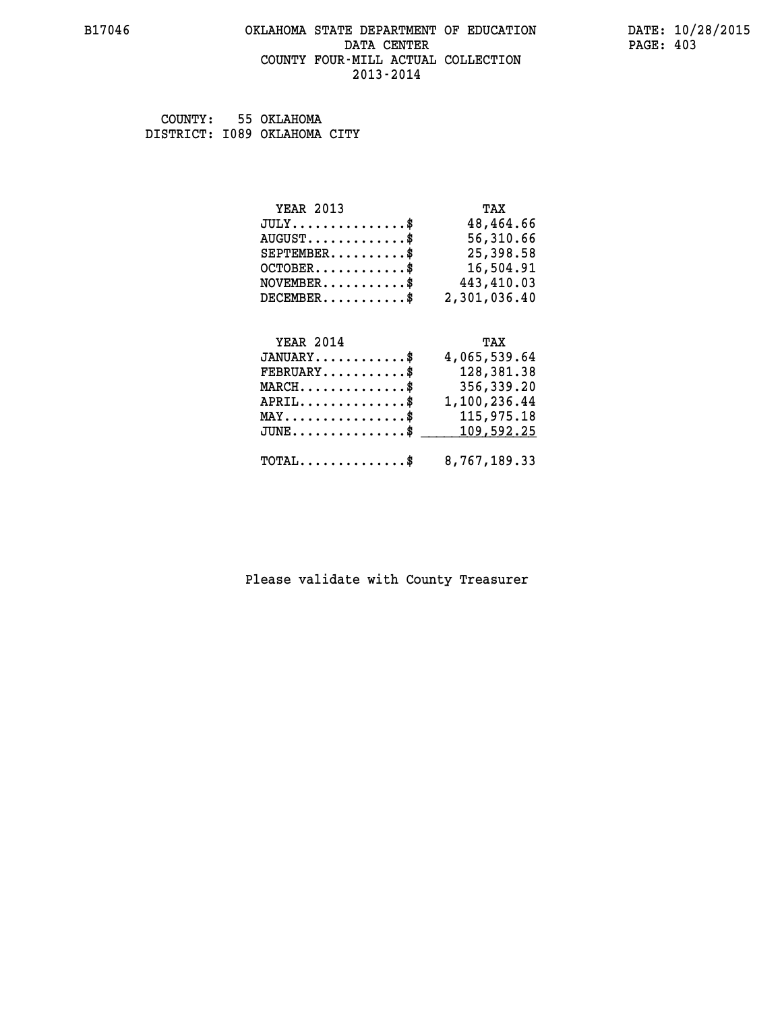#### **B17046 OKLAHOMA STATE DEPARTMENT OF EDUCATION DATE: 10/28/2015 DATA CENTER** PAGE: 403  **COUNTY FOUR-MILL ACTUAL COLLECTION 2013-2014**

 **COUNTY: 55 OKLAHOMA DISTRICT: I089 OKLAHOMA CITY**

| <b>YEAR 2013</b>              | TAX          |
|-------------------------------|--------------|
| $JULY \ldots \ldots \ldots \$ | 48,464.66    |
| $AUGUST$ \$                   | 56,310.66    |
| $SEPTEMBER$ \$                | 25,398.58    |
| $OCTOBER$ $\frac{1}{2}$       | 16,504.91    |
| $NOVEMBER$ \$                 | 443,410.03   |
| $DECEMBER$ \$                 | 2,301,036.40 |
|                               |              |
| <b>VEAR 2014</b>              | TAX          |

| ILAR 4014 | AA                                                                                                                                                                                                           |
|-----------|--------------------------------------------------------------------------------------------------------------------------------------------------------------------------------------------------------------|
|           | 4,065,539.64                                                                                                                                                                                                 |
|           | 128,381.38                                                                                                                                                                                                   |
|           | 356,339.20                                                                                                                                                                                                   |
|           | 1,100,236.44                                                                                                                                                                                                 |
|           | 115,975.18                                                                                                                                                                                                   |
|           |                                                                                                                                                                                                              |
|           |                                                                                                                                                                                                              |
|           |                                                                                                                                                                                                              |
|           | $JANUARY$ \$<br>$\texttt{FEBRUARY} \dots \dots \dots \$<br>$MARCH$ \$<br>$APRIL$ \$<br>$MAX \dots \dots \dots \dots \dots \$<br>JUNE\$ 109,592.25<br>$\texttt{TOTAL} \dots \dots \dots \dots \$ 8,767,189.33 |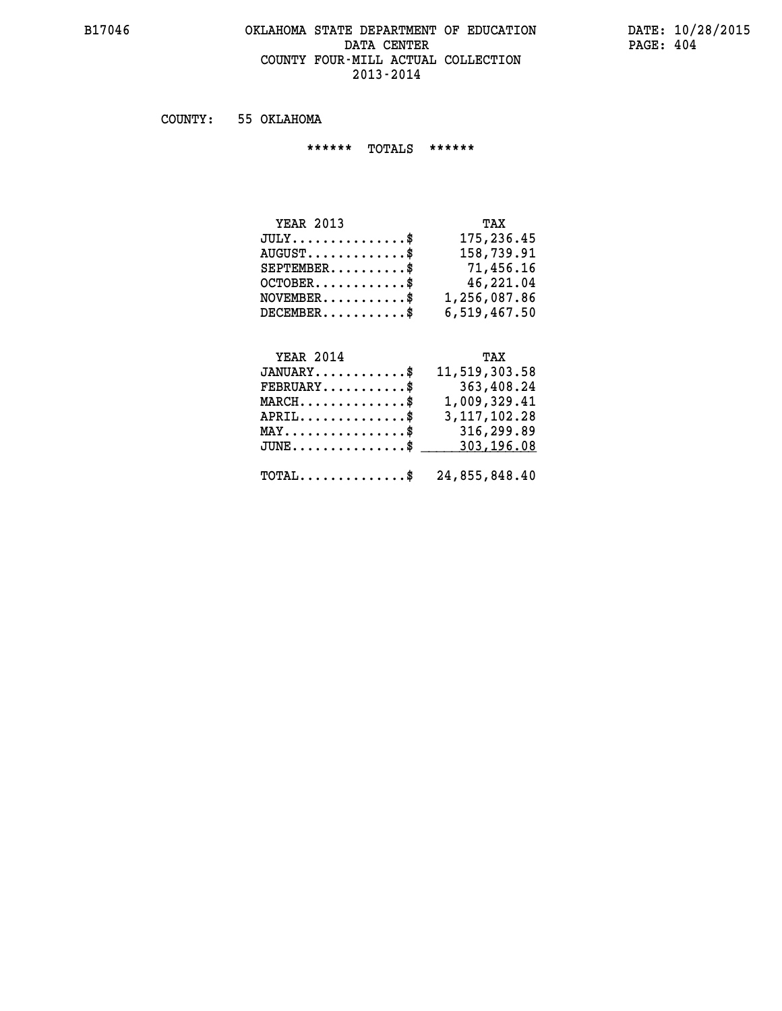## **B17046 OKLAHOMA STATE DEPARTMENT OF EDUCATION DATE: 10/28/2015** DATA CENTER PAGE: 404  **COUNTY FOUR-MILL ACTUAL COLLECTION 2013-2014**

 **COUNTY: 55 OKLAHOMA**

 **\*\*\*\*\*\* TOTALS \*\*\*\*\*\***

| <b>YEAR 2013</b>                     | TAX          |
|--------------------------------------|--------------|
| $JULY \ldots \ldots \ldots \ldots \$ | 175,236.45   |
| $AUGUST \ldots \ldots \ldots$ \$     | 158,739.91   |
| $SEPTEMBER$ $\$                      | 71,456.16    |
| $OCTOBER$ \$                         | 46,221.04    |
| $NOVEMBER.$ $\frac{1}{2}$            | 1,256,087.86 |
| $DECEMBER$ \$                        | 6,519,467.50 |

# **YEAR 2014 TAX**

| $JANUARY$ \$ 11,519,303.58                               |                 |
|----------------------------------------------------------|-----------------|
| $\texttt{FEBRUARY} \dots \dots \dots \$                  | 363,408.24      |
| $MARCH$ \$                                               | 1,009,329.41    |
| $APRIL \ldots \ldots \ldots$ \$                          | 3, 117, 102. 28 |
| $\texttt{MAX} \dots \dots \dots \dots \dots \text{*}$    | 316,299.89      |
| $JUNE \ldots \ldots \ldots \ldots$ \$ 303, 196.08        |                 |
| $\texttt{TOTAL} \dots \dots \dots \dots \$ 24,855,848.40 |                 |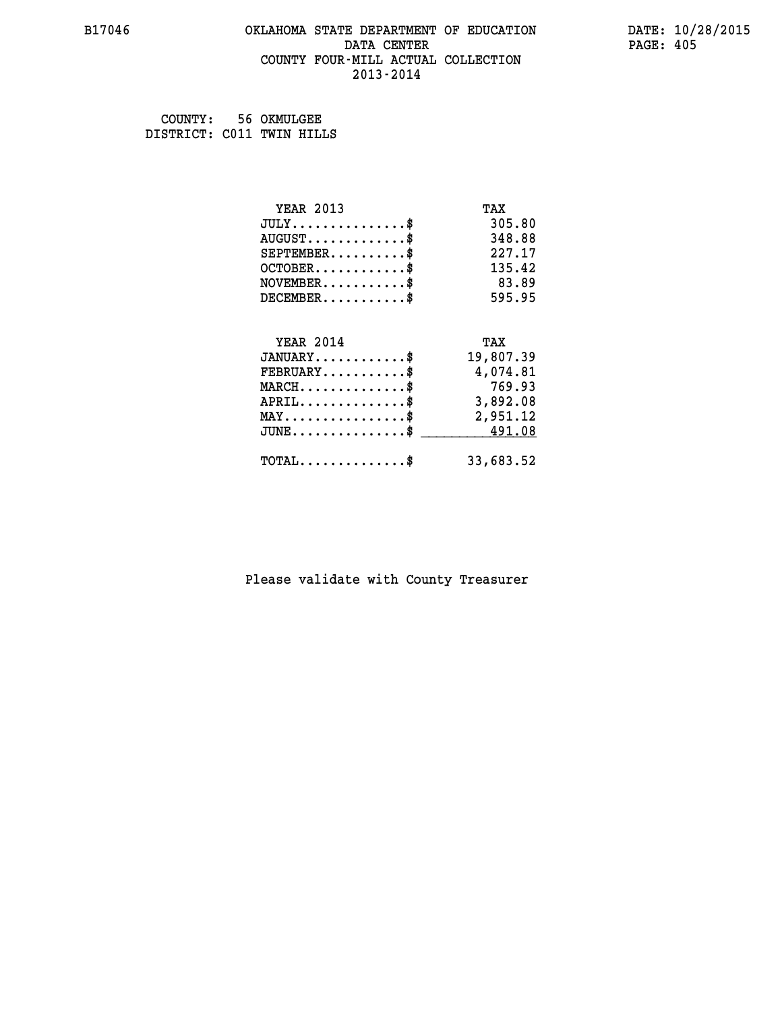#### **B17046 OKLAHOMA STATE DEPARTMENT OF EDUCATION DATE: 10/28/2015 DATA CENTER** PAGE: 405  **COUNTY FOUR-MILL ACTUAL COLLECTION 2013-2014**

 **COUNTY: 56 OKMULGEE DISTRICT: C011 TWIN HILLS**

| <b>YEAR 2013</b>                                | TAX       |
|-------------------------------------------------|-----------|
| $JULY$ \$                                       | 305.80    |
| $AUGUST$ \$                                     | 348.88    |
| $SEPTEMENT.$ \$                                 | 227.17    |
| $OCTOBER$ \$                                    | 135.42    |
| $NOVEMBER$ \$                                   | 83.89     |
| $DECEMBER$ \$                                   | 595.95    |
| <b>YEAR 2014</b>                                | TAX       |
| $JANUARY$ \$                                    | 19,807.39 |
| $FEBRUARY$                                      | 4,074.81  |
| $MARCH$ \$                                      | 769.93    |
| $APRIL$ \$                                      | 3,892.08  |
| $\texttt{MAX} \dots \dots \dots \dots \dots \$$ | 2,951.12  |
| $JUNE$ \$                                       | 491.08    |
| $\texttt{TOTAL} \dots \dots \dots \dots \$      | 33,683.52 |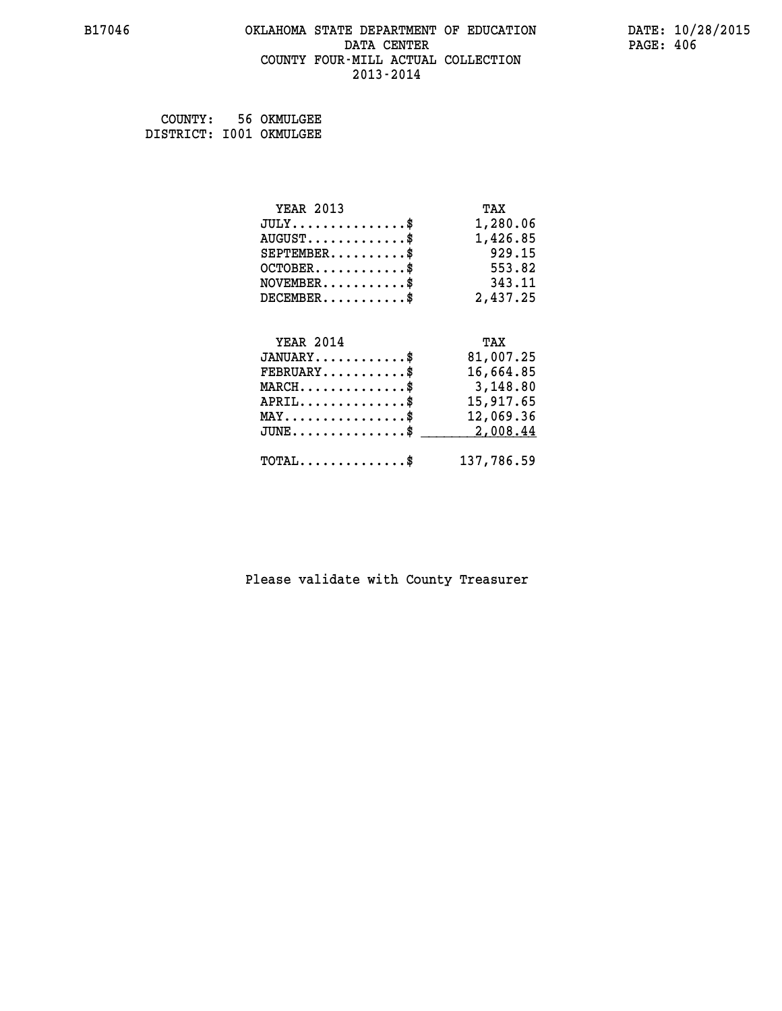#### **B17046 OKLAHOMA STATE DEPARTMENT OF EDUCATION DATE: 10/28/2015 DATA CENTER** PAGE: 406  **COUNTY FOUR-MILL ACTUAL COLLECTION 2013-2014**

 **COUNTY: 56 OKMULGEE DISTRICT: I001 OKMULGEE**

| <b>YEAR 2013</b>                               | TAX        |
|------------------------------------------------|------------|
| $JULY$ \$                                      | 1,280.06   |
| $AUGUST$ \$                                    | 1,426.85   |
| $SEPTEMBER$ \$                                 | 929.15     |
| $OCTOBER$ \$                                   | 553.82     |
| $\texttt{NOVEMBER} \dots \dots \dots \$        | 343.11     |
| $DECEMBER$ \$                                  | 2,437.25   |
|                                                |            |
| <b>YEAR 2014</b>                               | TAX        |
| $JANUARY$ \$                                   | 81,007.25  |
| $FEBRUARY$                                     | 16,664.85  |
| $MARCH$ \$                                     | 3,148.80   |
| $APRIL$ \$                                     | 15,917.65  |
| $\texttt{MAX} \dots \dots \dots \dots \dots \$ | 12,069.36  |
| $JUNE$ $\text{\$}$                             | 2,008.44   |
| $\texttt{TOTAL} \dots \dots \dots \dots \$     | 137,786.59 |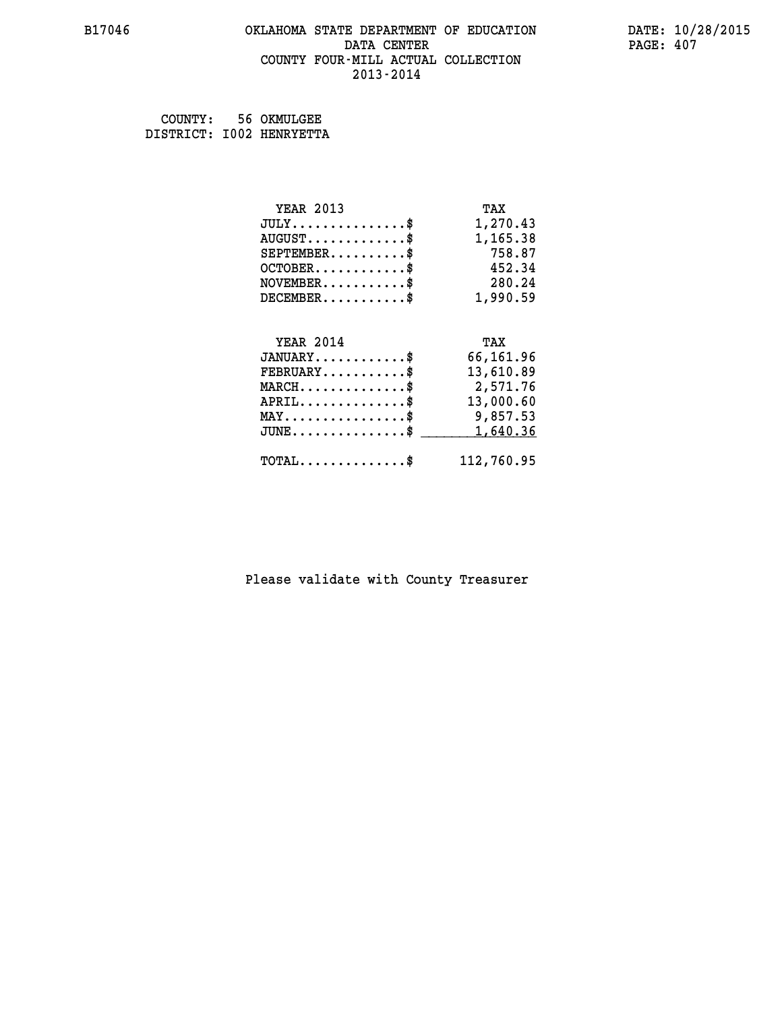#### **B17046 OKLAHOMA STATE DEPARTMENT OF EDUCATION DATE: 10/28/2015 DATA CENTER** PAGE: 407  **COUNTY FOUR-MILL ACTUAL COLLECTION 2013-2014**

 **COUNTY: 56 OKMULGEE DISTRICT: I002 HENRYETTA**

| <b>YEAR 2013</b>                               | TAX        |
|------------------------------------------------|------------|
| $JULY$ \$                                      | 1,270.43   |
| $AUGUST$ \$                                    | 1,165.38   |
| $SEPTEMBER$ \$                                 | 758.87     |
| $OCTOBER$ \$                                   | 452.34     |
| $\texttt{NOVEMBER} \dots \dots \dots \$        | 280.24     |
| $DECEMBER$ \$                                  | 1,990.59   |
|                                                |            |
| <b>YEAR 2014</b>                               | TAX        |
| $JANUARY$ \$                                   | 66,161.96  |
| $FEBRUARY$                                     | 13,610.89  |
| $MARCH$ \$                                     | 2,571.76   |
| $APRIL$ \$                                     | 13,000.60  |
| $\texttt{MAX} \dots \dots \dots \dots \dots \$ | 9,857.53   |
| $JUNE$ \$                                      | 1,640.36   |
| $\texttt{TOTAL} \dots \dots \dots \dots \$     | 112,760.95 |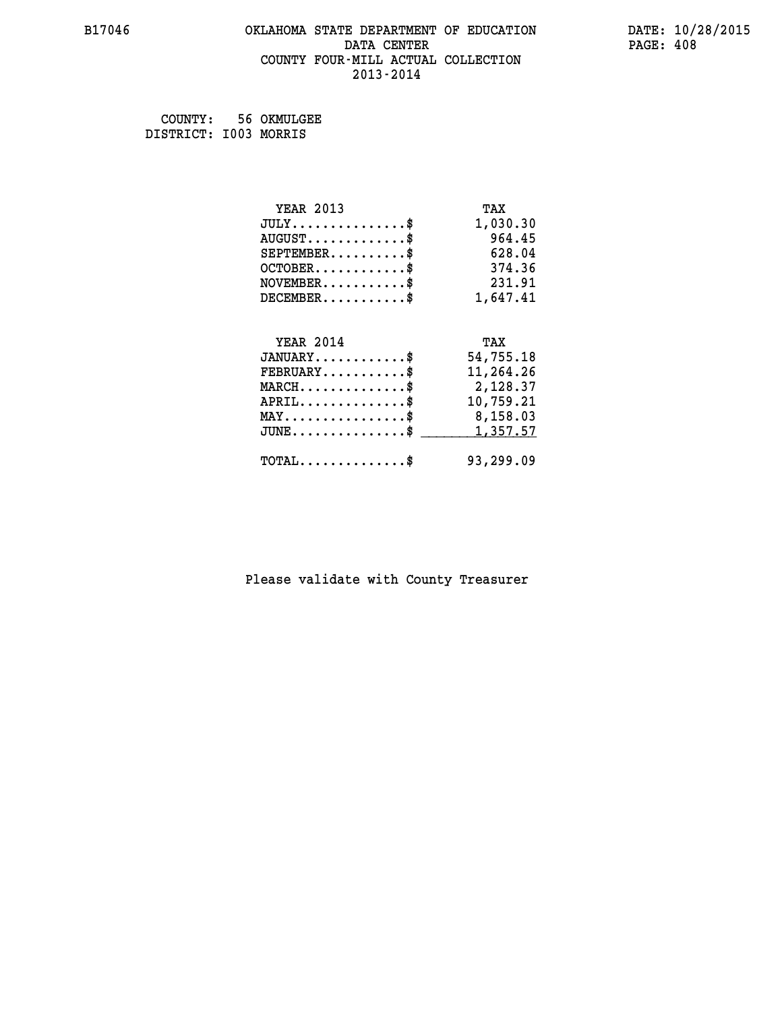#### **B17046 OKLAHOMA STATE DEPARTMENT OF EDUCATION DATE: 10/28/2015 DATA CENTER** PAGE: 408  **COUNTY FOUR-MILL ACTUAL COLLECTION 2013-2014**

 **COUNTY: 56 OKMULGEE DISTRICT: I003 MORRIS**

| <b>YEAR 2013</b>                               | TAX       |
|------------------------------------------------|-----------|
| $JULY$ \$                                      | 1,030.30  |
| $AUGUST$ \$                                    | 964.45    |
| $SEPTEMBER$ \$                                 | 628.04    |
| $OCTOBER$ \$                                   | 374.36    |
| $NOVEMBER$ \$                                  | 231.91    |
| $DECEMBER$ \$                                  | 1,647.41  |
|                                                |           |
| <b>YEAR 2014</b>                               | TAX       |
| $JANUARY$ \$                                   | 54,755.18 |
| $FEBRUARY$                                     | 11,264.26 |
| $MARCH$ \$                                     | 2,128.37  |
| $APRIL$ \$                                     | 10,759.21 |
| $\texttt{MAX} \dots \dots \dots \dots \dots \$ | 8,158.03  |
| $JUNE$ \$                                      | 1,357.57  |
|                                                |           |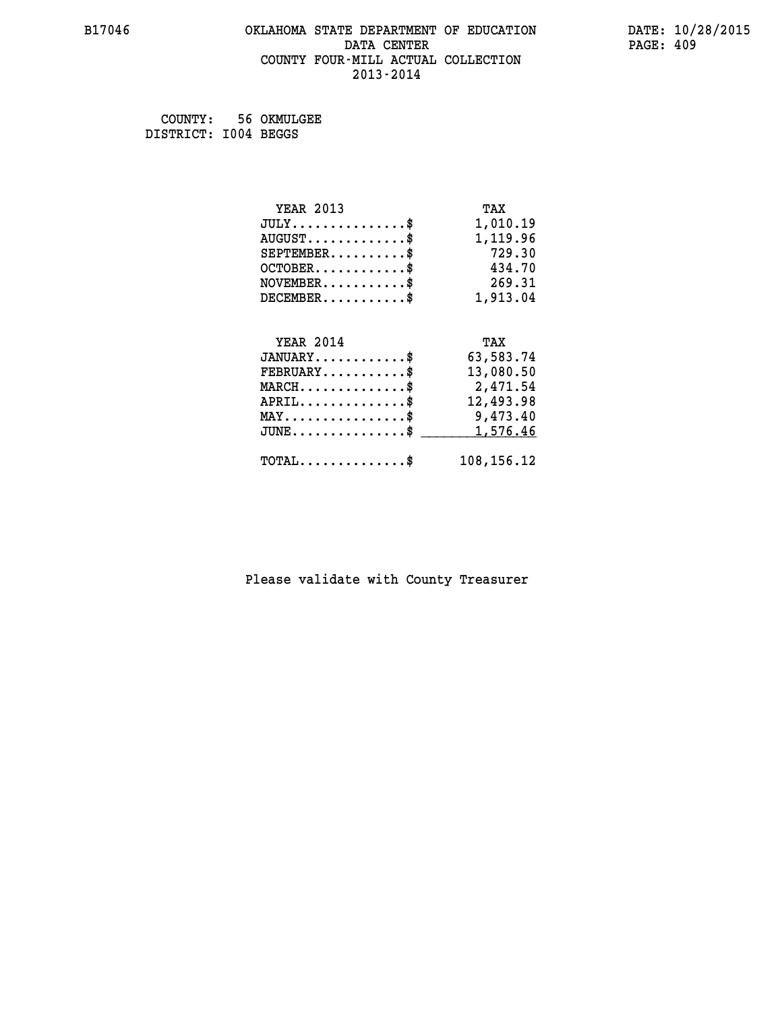## **B17046 OKLAHOMA STATE DEPARTMENT OF EDUCATION DATE: 10/28/2015** DATA CENTER PAGE: 409  **COUNTY FOUR-MILL ACTUAL COLLECTION 2013-2014**

 **COUNTY: 56 OKMULGEE DISTRICT: I004 BEGGS**

| <b>YEAR 2013</b>                               | TAX        |
|------------------------------------------------|------------|
| $JULY$ \$                                      | 1,010.19   |
| $AUGUST$ \$                                    | 1,119.96   |
| $SEPTEMBER$ \$                                 | 729.30     |
| $OCTOBER$ \$                                   | 434.70     |
| $NOVEMBER$ \$                                  | 269.31     |
| $DECEMBER$ \$                                  | 1,913.04   |
|                                                |            |
| <b>YEAR 2014</b>                               | TAX        |
| $JANUARY$ \$                                   | 63,583.74  |
| $FEBRUARY$                                     | 13,080.50  |
| $MARCH$ \$                                     | 2,471.54   |
| $APRIL$ \$                                     | 12,493.98  |
| $\texttt{MAX} \dots \dots \dots \dots \dots \$ | 9,473.40   |
| $JUNE$ \$                                      | 1,576.46   |
| $\texttt{TOTAL} \dots \dots \dots \dots \$     | 108,156.12 |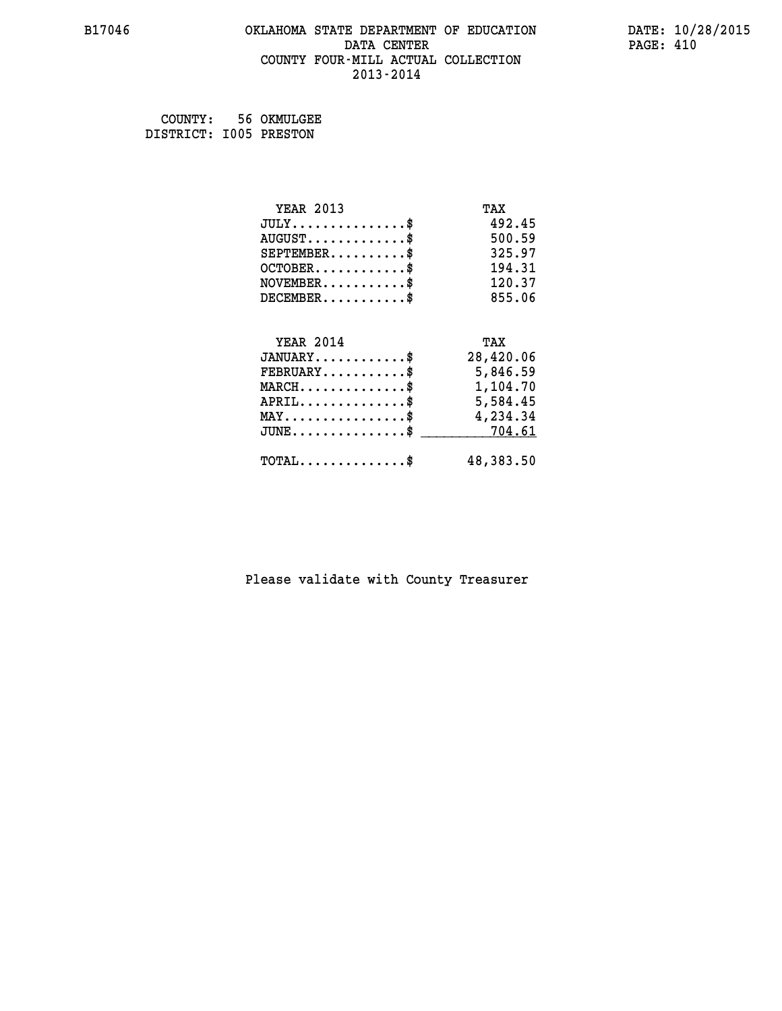#### **B17046 OKLAHOMA STATE DEPARTMENT OF EDUCATION DATE: 10/28/2015 DATA CENTER** PAGE: 410  **COUNTY FOUR-MILL ACTUAL COLLECTION 2013-2014**

 **COUNTY: 56 OKMULGEE DISTRICT: I005 PRESTON**

| <b>YEAR 2013</b>                                                          | TAX       |
|---------------------------------------------------------------------------|-----------|
| $JULY$ \$                                                                 | 492.45    |
| $AUGUST$ \$                                                               | 500.59    |
| $SEPTEMBER$ \$                                                            | 325.97    |
| $OCTOBER$ \$                                                              | 194.31    |
| $\verb NOVEMBER , \verb , \verb , \verb , \verb , \verb , \verb , \verb $ | 120.37    |
| $DECEMBER$ \$                                                             | 855.06    |
| <b>YEAR 2014</b>                                                          | TAX       |
| $JANUARY$                                                                 | 28,420.06 |
| $FEBRUARY$                                                                | 5,846.59  |
|                                                                           |           |
| $\texttt{MARCH} \dots \dots \dots \dots \$$                               | 1,104.70  |
| $APRIL \ldots \ldots \ldots \ldots \$                                     | 5,584.45  |
| MAY\$ 4,234.34                                                            |           |
| $\mathtt{JUNE} \ldots \ldots \ldots \ldots \ast$                          | 704.61    |
| $\texttt{TOTAL} \dots \dots \dots \dots \$                                | 48,383.50 |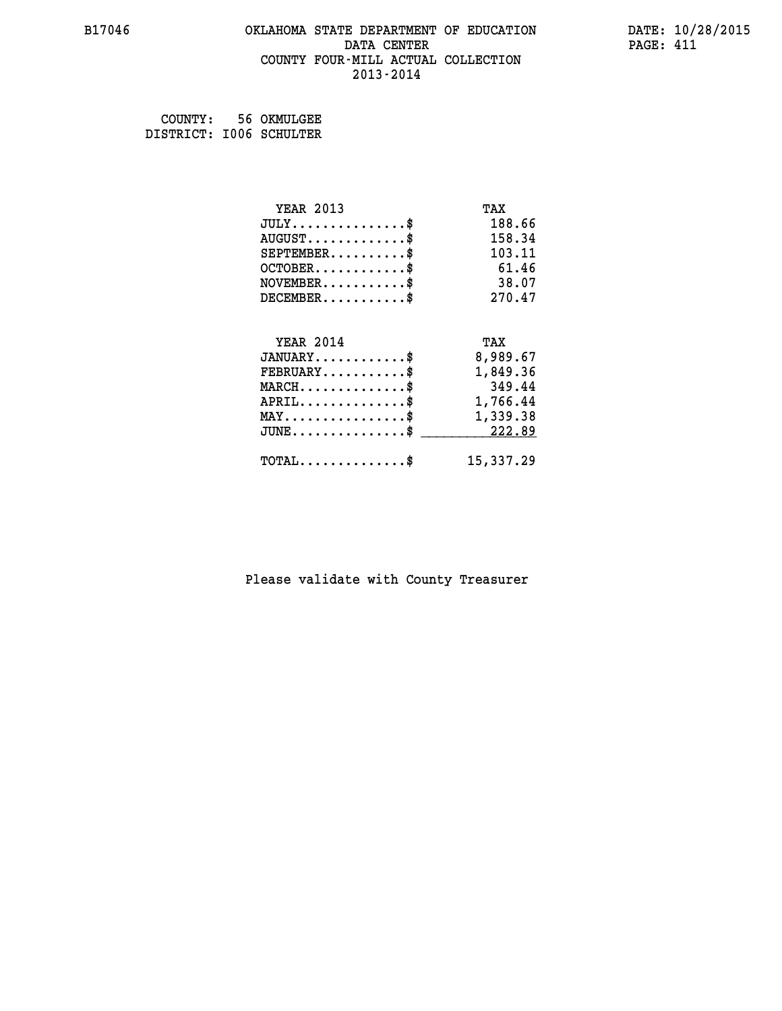#### **B17046 OKLAHOMA STATE DEPARTMENT OF EDUCATION DATE: 10/28/2015 DATA CENTER** PAGE: 411  **COUNTY FOUR-MILL ACTUAL COLLECTION 2013-2014**

 **COUNTY: 56 OKMULGEE DISTRICT: I006 SCHULTER**

| <b>YEAR 2013</b>                               | TAX       |
|------------------------------------------------|-----------|
| $JULY$ \$                                      | 188.66    |
| $AUGUST$ \$                                    | 158.34    |
| $SEPTEMBER$ \$                                 | 103.11    |
| $OCTOBER$ \$                                   | 61.46     |
| $NOVEMBER$ \$                                  | 38.07     |
| $DECEMBER$ \$                                  | 270.47    |
| <b>YEAR 2014</b>                               | TAX       |
| $JANUARY$ \$                                   |           |
|                                                | 8,989.67  |
| $FEBRUARY$                                     | 1,849.36  |
| $MARCH$ \$                                     | 349.44    |
| $APRIL \ldots \ldots \ldots \ldots \$          | 1,766.44  |
| $\texttt{MAX} \dots \dots \dots \dots \dots \$ | 1,339.38  |
| $JUNE$ \$                                      | 222.89    |
| $\texttt{TOTAL} \dots \dots \dots \dots \$     | 15,337.29 |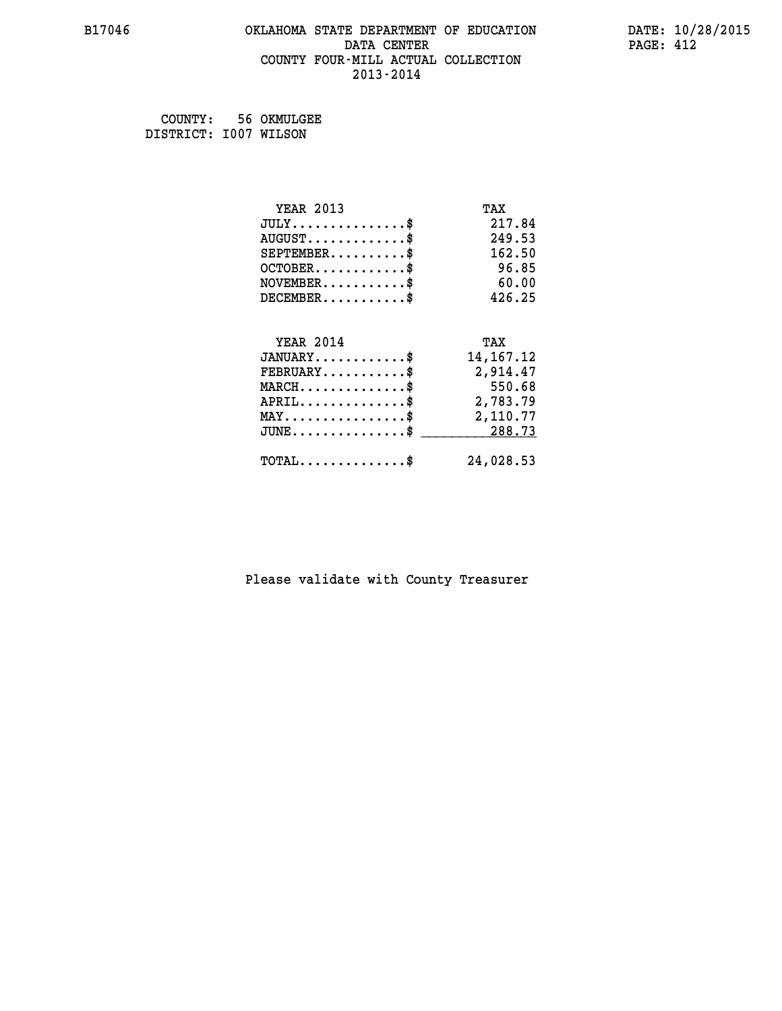#### **B17046 OKLAHOMA STATE DEPARTMENT OF EDUCATION DATE: 10/28/2015 DATA CENTER** PAGE: 412  **COUNTY FOUR-MILL ACTUAL COLLECTION 2013-2014**

 **COUNTY: 56 OKMULGEE DISTRICT: I007 WILSON**

| <b>YEAR 2013</b>                               | TAX         |
|------------------------------------------------|-------------|
| $JULY$ \$                                      | 217.84      |
| $AUGUST$ \$                                    | 249.53      |
| $SEPTEMBER$ \$                                 | 162.50      |
| $OCTOBER$ \$                                   | 96.85       |
| $NOVEMBER$ \$                                  | 60.00       |
| $DECEMBER$ \$                                  | 426.25      |
|                                                |             |
| <b>YEAR 2014</b>                               | TAX         |
| $JANUARY$ \$                                   | 14, 167. 12 |
| $FEBRUARY$                                     | 2,914.47    |
| $MARCH$ \$                                     | 550.68      |
| $APRIL \ldots \ldots \ldots \ldots *$          | 2,783.79    |
| $\texttt{MAX} \dots \dots \dots \dots \dots \$ | 2,110.77    |
| $\texttt{JUNE}\dots\dots\dots\dots\dots\$      | 288.73      |
| $TOTAL$ \$                                     | 24,028.53   |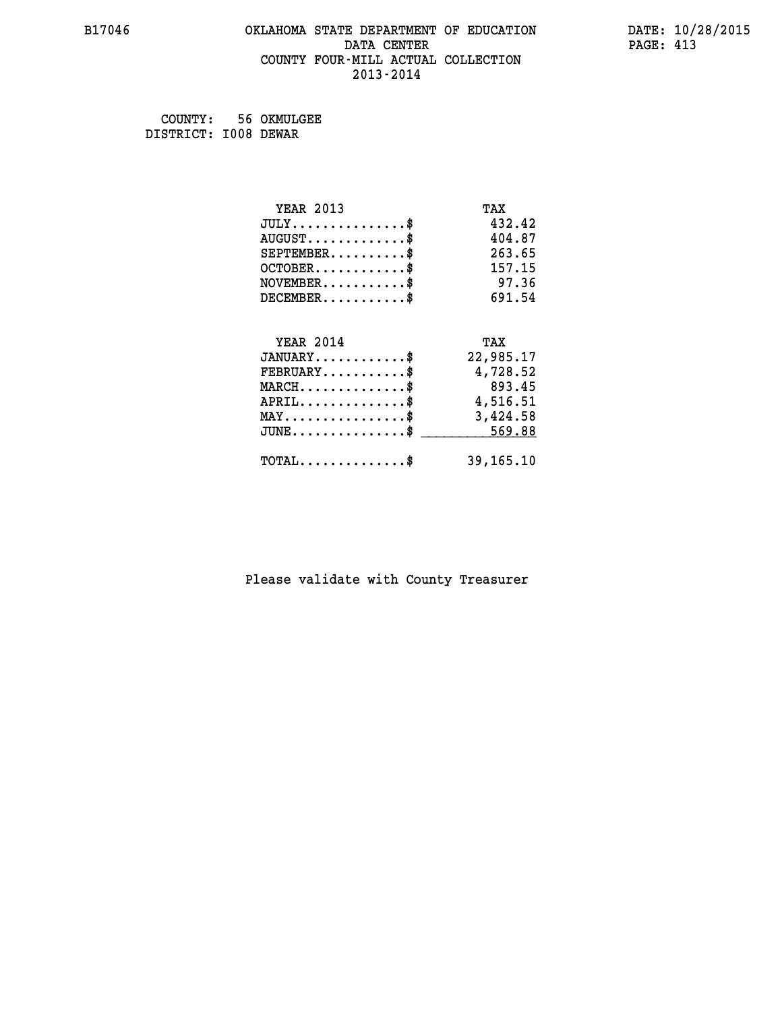#### **B17046 OKLAHOMA STATE DEPARTMENT OF EDUCATION DATE: 10/28/2015 DATA CENTER** PAGE: 413  **COUNTY FOUR-MILL ACTUAL COLLECTION 2013-2014**

 **COUNTY: 56 OKMULGEE DISTRICT: I008 DEWAR**

| <b>YEAR 2013</b>                               | TAX       |
|------------------------------------------------|-----------|
| $JULY$ \$                                      | 432.42    |
| $AUGUST$ \$                                    | 404.87    |
| $SEPTEMENT.$ \$                                | 263.65    |
| $OCTOBER$ \$                                   | 157.15    |
| $NOVEMBER$ \$                                  | 97.36     |
| $DECEMBER$ \$                                  | 691.54    |
|                                                |           |
| <b>YEAR 2014</b>                               | TAX       |
| $JANUARY$ \$                                   | 22,985.17 |
| $FEBRUARY$                                     | 4,728.52  |
| $MARCH$ \$                                     | 893.45    |
| $APRIL$ \$                                     | 4,516.51  |
| $\texttt{MAX} \dots \dots \dots \dots \dots \$ | 3,424.58  |
| $\texttt{JUNE}\dots\dots\dots\dots\dots\dots\$ | 569.88    |
| $\texttt{TOTAL} \dots \dots \dots \dots \$     | 39,165.10 |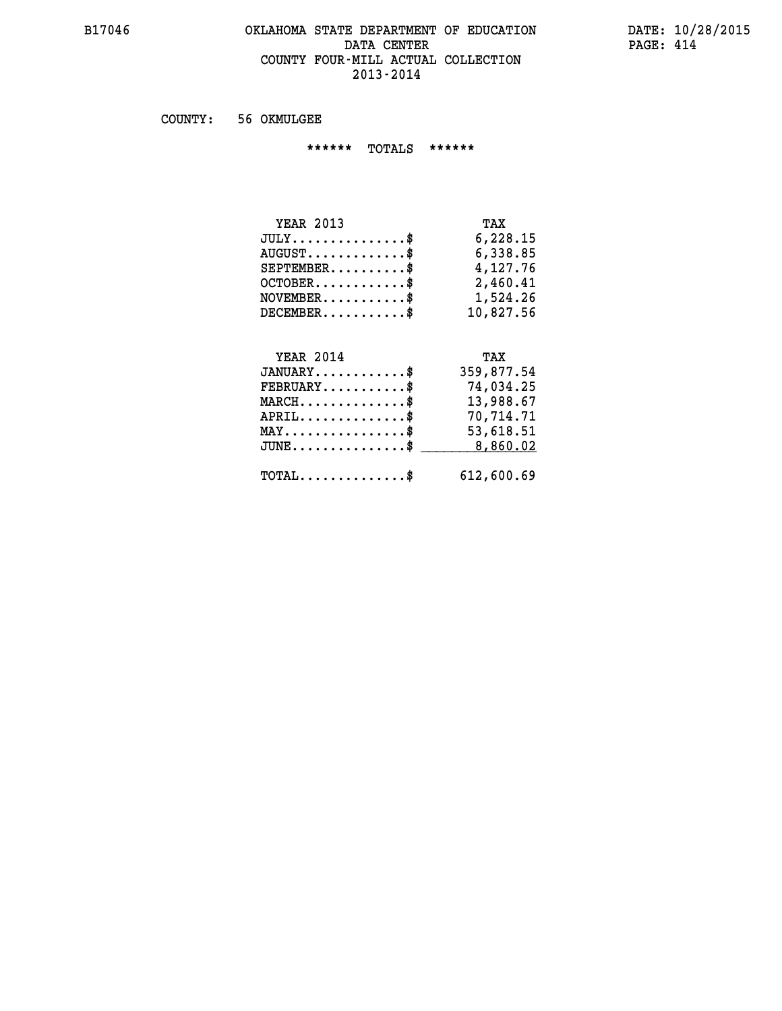#### **B17046 OKLAHOMA STATE DEPARTMENT OF EDUCATION DATE: 10/28/2015 DATA CENTER PAGE: 414 COUNTY FOUR-MILL ACTUAL COLLECTION 2013-2014**

 **COUNTY: 56 OKMULGEE**

 **\*\*\*\*\*\* TOTALS \*\*\*\*\*\***

| <b>YEAR 2013</b>                 | TAX       |
|----------------------------------|-----------|
| $JULY \ldots \ldots \ldots \$    | 6,228.15  |
| $AUGUST \ldots \ldots \ldots$ \$ | 6,338.85  |
| $SEPTEMBER$                      | 4,127.76  |
| $OCTOBER$                        | 2,460.41  |
| $NOVEMBER$ \$                    | 1,524.26  |
| $DECEMBER$                       | 10,827.56 |

# **YEAR 2014 TAX JANUARY............\$ 359,877.54 FEBRUARY...........\$ 74,034.25 MARCH..............\$ 13,988.67 APRIL..............\$ 70,714.71 MAY................\$ 53,618.51 JUNE................\$** 8,860.02  **TOTAL..............\$ 612,600.69**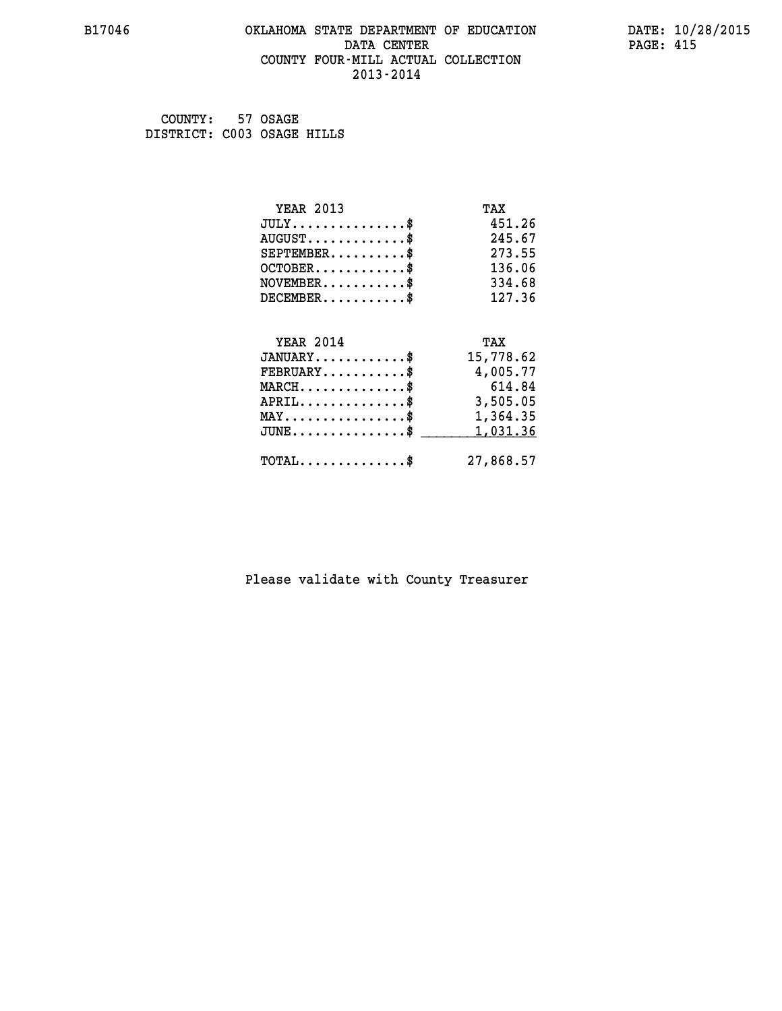#### **B17046 OKLAHOMA STATE DEPARTMENT OF EDUCATION DATE: 10/28/2015 DATA CENTER** PAGE: 415  **COUNTY FOUR-MILL ACTUAL COLLECTION 2013-2014**

 **COUNTY: 57 OSAGE DISTRICT: C003 OSAGE HILLS**

| <b>YEAR 2013</b>                                   | TAX       |
|----------------------------------------------------|-----------|
| $JULY$ \$                                          | 451.26    |
| $AUGUST$ \$                                        | 245.67    |
| $SEPTEMBER$ \$                                     | 273.55    |
| $OCTOBER$ \$                                       | 136.06    |
| $\texttt{NOVEMBER} \dots \dots \dots \$            | 334.68    |
| $DECEMBER$ \$                                      | 127.36    |
|                                                    |           |
| <b>YEAR 2014</b>                                   | TAX       |
| $JANUARY$ \$                                       | 15,778.62 |
| $FEBRUARY$                                         | 4,005.77  |
| $MARCH$ \$                                         | 614.84    |
| $APRIL$ \$                                         | 3,505.05  |
| $\texttt{MAX} \dots \dots \dots \dots \dots \$     | 1,364.35  |
| $\texttt{JUNE} \dots \dots \dots \dots \texttt{S}$ | 1,031.36  |
| $\texttt{TOTAL} \dots \dots \dots \dots \$         | 27,868.57 |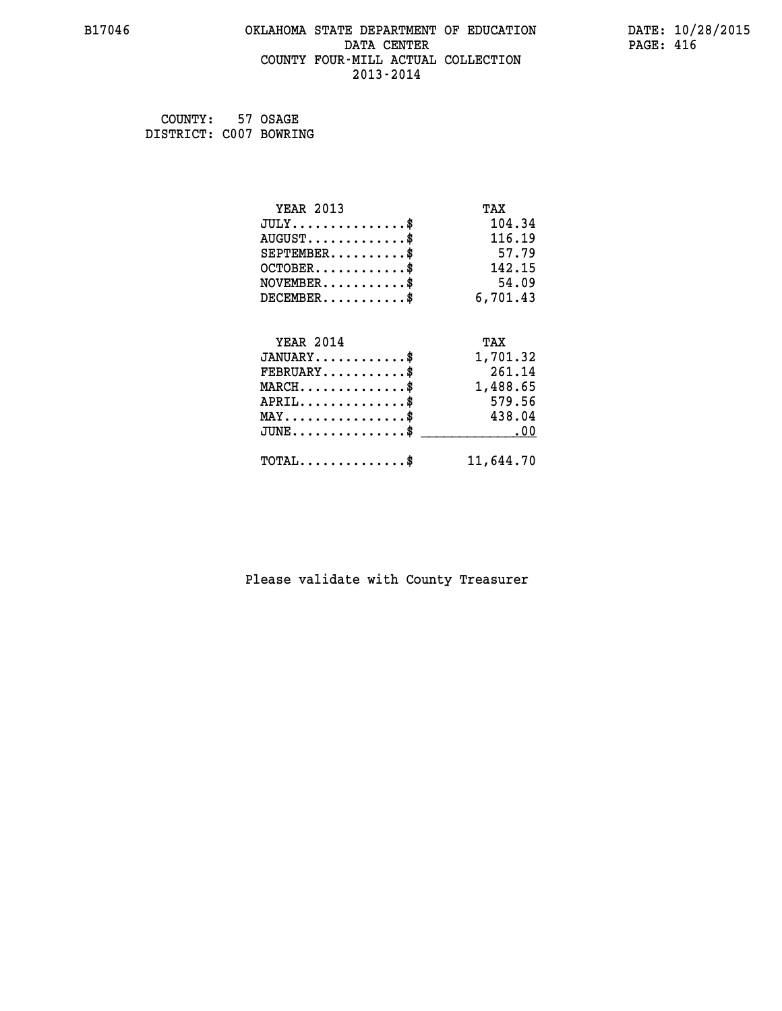#### **B17046 OKLAHOMA STATE DEPARTMENT OF EDUCATION DATE: 10/28/2015 DATA CENTER** PAGE: 416  **COUNTY FOUR-MILL ACTUAL COLLECTION 2013-2014**

 **COUNTY: 57 OSAGE DISTRICT: C007 BOWRING**

| <b>YEAR 2013</b>                | TAX       |
|---------------------------------|-----------|
| $JULY$ \$                       | 104.34    |
| $AUGUST$ \$                     | 116.19    |
| $SEPTEMENT.$ \$                 | 57.79     |
| $OCTOBER$ \$                    | 142.15    |
| $NOVEMBER$ \$                   | 54.09     |
| $DECEMBER$ \$                   | 6,701.43  |
| <b>YEAR 2014</b>                | TAX       |
| $JANUARY$ \$                    | 1,701.32  |
| $FEBRUARY$ \$                   | 261.14    |
| $MARCH$ \$                      | 1,488.65  |
| $APRIL$ \$                      | 579.56    |
| $MAX \dots \dots \dots \dots \$ | 438.04    |
| $JUNE$                          | .00       |
| $TOTAL$ \$                      | 11,644.70 |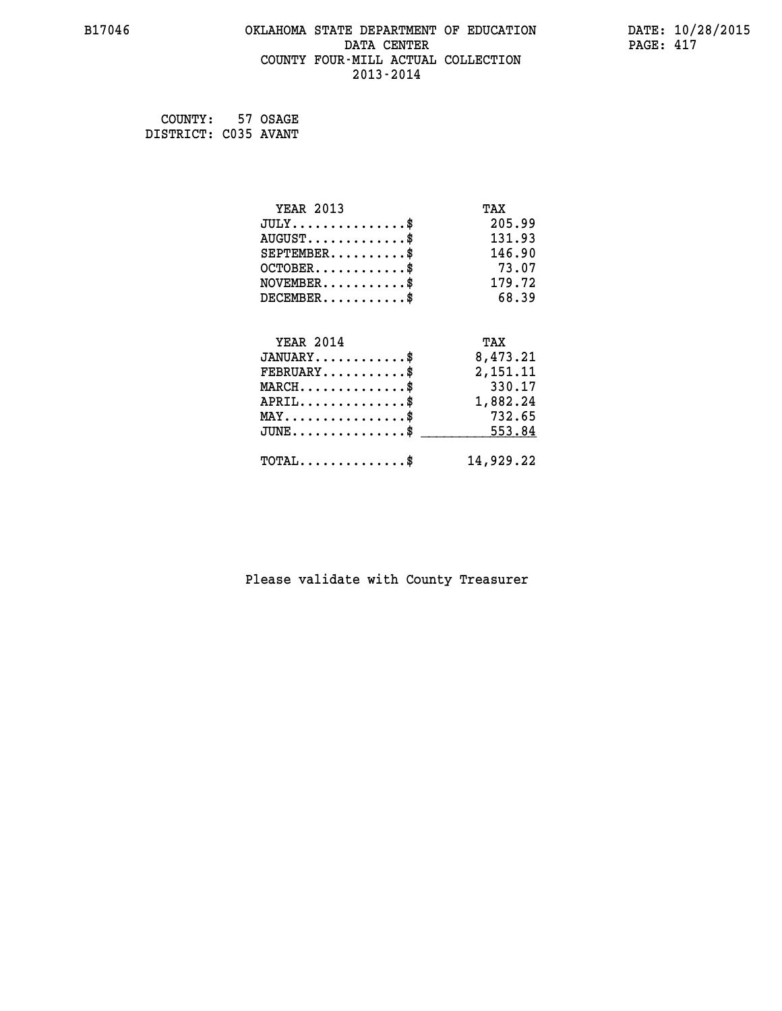#### **B17046 OKLAHOMA STATE DEPARTMENT OF EDUCATION DATE: 10/28/2015 DATA CENTER** PAGE: 417  **COUNTY FOUR-MILL ACTUAL COLLECTION 2013-2014**

 **COUNTY: 57 OSAGE DISTRICT: C035 AVANT**

| <b>YEAR 2013</b>                                   | TAX       |
|----------------------------------------------------|-----------|
| $JULY$ \$                                          | 205.99    |
| $AUGUST$ \$                                        | 131.93    |
| $SEPTEMBER$ \$                                     | 146.90    |
| $OCTOBER$ \$                                       | 73.07     |
| $NOVEMBER$ \$                                      | 179.72    |
| $DECEMBER$ \$                                      | 68.39     |
| <b>YEAR 2014</b>                                   | TAX       |
| $JANUARY$                                          | 8,473.21  |
|                                                    |           |
| $FEBRUARY$                                         | 2,151.11  |
| $MARCH$ \$                                         | 330.17    |
| $APRIL$ \$                                         | 1,882.24  |
| $MAX \dots \dots \dots \dots \dots$                | 732.65    |
| $\texttt{JUNE} \dots \dots \dots \dots \texttt{S}$ | 553.84    |
| $\texttt{TOTAL} \dots \dots \dots \dots \$         | 14,929.22 |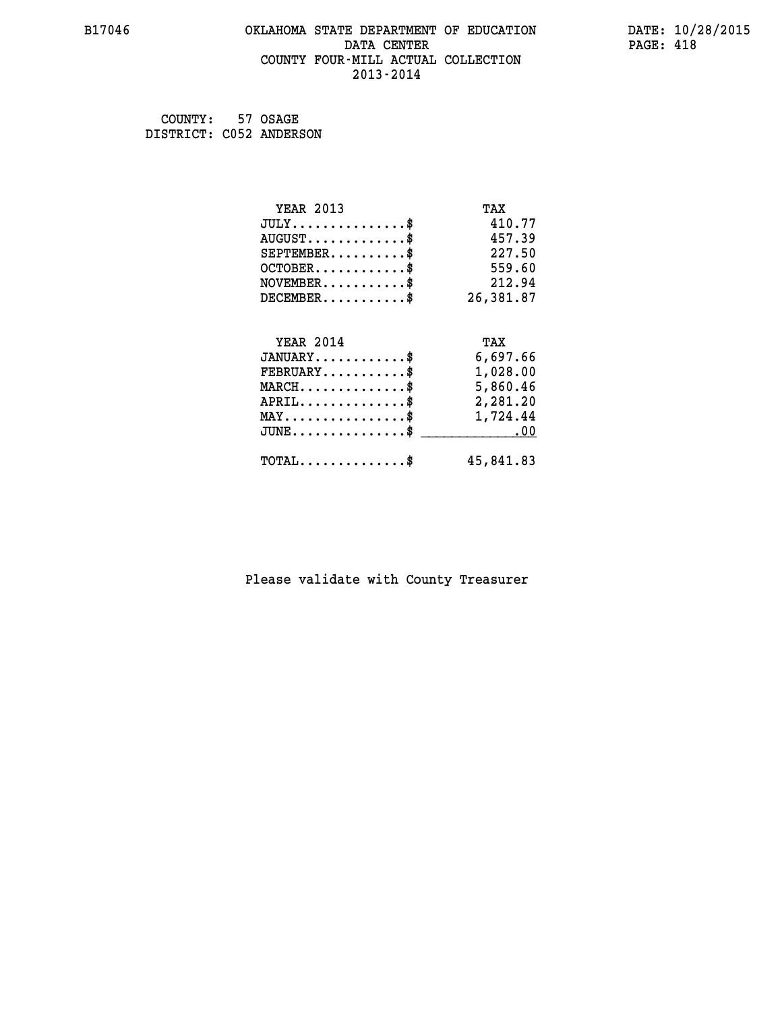#### **B17046 OKLAHOMA STATE DEPARTMENT OF EDUCATION DATE: 10/28/2015 DATA CENTER** PAGE: 418  **COUNTY FOUR-MILL ACTUAL COLLECTION 2013-2014**

 **COUNTY: 57 OSAGE DISTRICT: C052 ANDERSON**

| <b>YEAR 2013</b>                                 | TAX       |
|--------------------------------------------------|-----------|
| $JULY$ \$                                        | 410.77    |
| $AUGUST$ \$                                      | 457.39    |
| $SEPTEMENT.$ \$                                  | 227.50    |
| $OCTOBER$ \$                                     | 559.60    |
| $NOVEMBER.$ \$                                   | 212.94    |
| $DECEMBER$ \$                                    | 26,381.87 |
| <b>YEAR 2014</b>                                 | TAX       |
| $JANUARY$ \$                                     | 6,697.66  |
| $FEBRUARY$ \$                                    | 1,028.00  |
| $\texttt{MARCH}\ldots\ldots\ldots\ldots\text{*}$ | 5,860.46  |
| $APRIL \ldots \ldots \ldots \ldots \$            | 2,281.20  |
| $\texttt{MAX} \dots \dots \dots \dots \dots \$   | 1,724.44  |
| $JUNE$ \$                                        | .00       |
| $\texttt{TOTAL} \dots \dots \dots \dots \$       | 45,841.83 |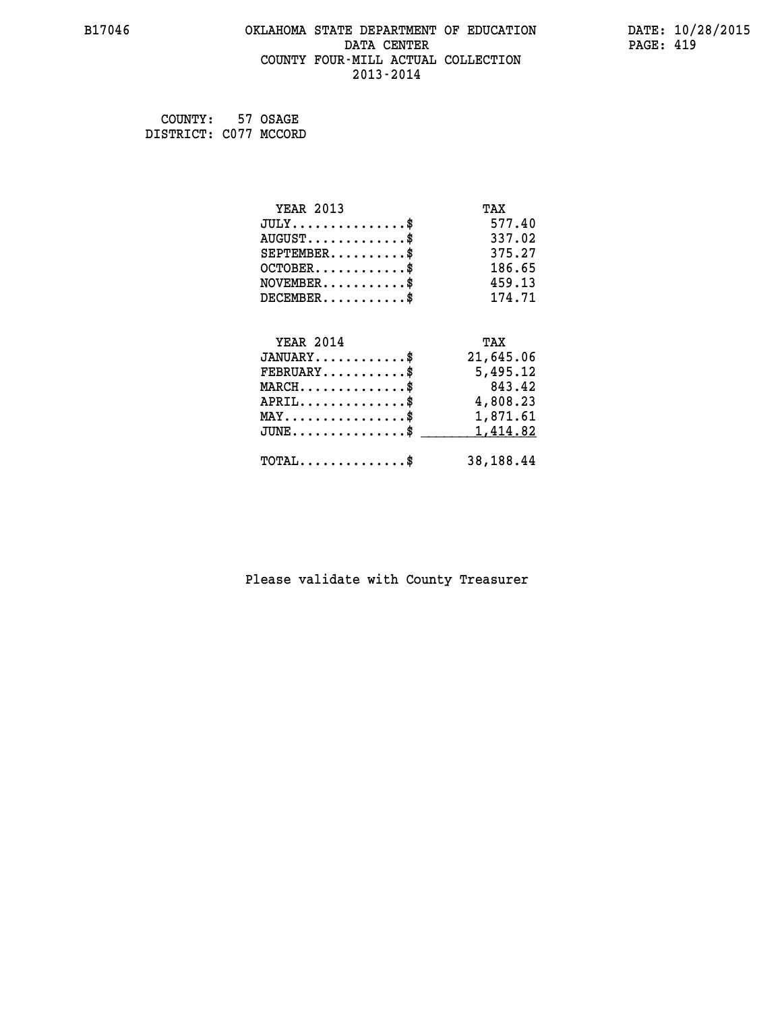#### **B17046 OKLAHOMA STATE DEPARTMENT OF EDUCATION DATE: 10/28/2015 DATA CENTER** PAGE: 419  **COUNTY FOUR-MILL ACTUAL COLLECTION 2013-2014**

 **COUNTY: 57 OSAGE DISTRICT: C077 MCCORD**

| <b>YEAR 2013</b>                                   | TAX       |
|----------------------------------------------------|-----------|
| $JULY$ \$                                          | 577.40    |
| $AUGUST$ \$                                        | 337.02    |
| $SEPTEMENT.$ \$                                    | 375.27    |
| $OCTOBER$ \$                                       | 186.65    |
| $NOVEMBER$ \$                                      | 459.13    |
| $DECEMBER$ \$                                      | 174.71    |
|                                                    |           |
| <b>YEAR 2014</b>                                   | TAX       |
| $JANUARY$ \$                                       | 21,645.06 |
| $FEBRUARY$ \$                                      | 5,495.12  |
|                                                    | 843.42    |
| $MARCH$ \$                                         |           |
| $APRIL$ \$                                         | 4,808.23  |
| $\texttt{MAX} \dots \dots \dots \dots \dots \$     | 1,871.61  |
| $\texttt{JUNE} \dots \dots \dots \dots \texttt{S}$ | 1,414.82  |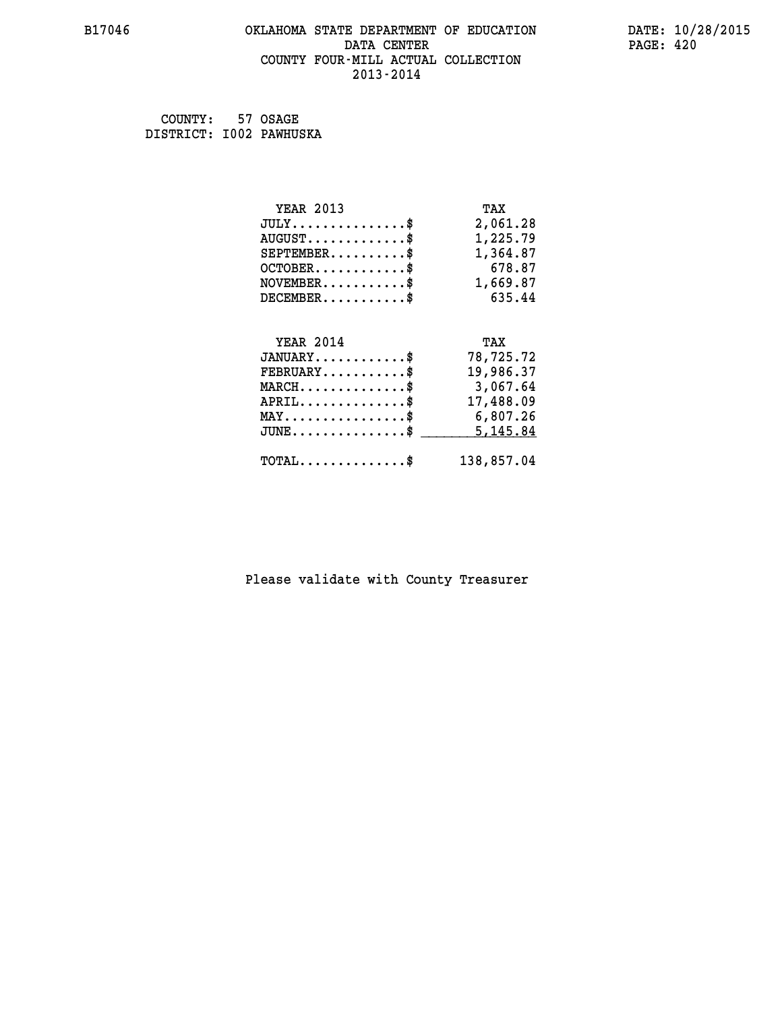#### **B17046 OKLAHOMA STATE DEPARTMENT OF EDUCATION DATE: 10/28/2015 DATA CENTER** PAGE: 420  **COUNTY FOUR-MILL ACTUAL COLLECTION 2013-2014**

 **COUNTY: 57 OSAGE DISTRICT: I002 PAWHUSKA**

| <b>YEAR 2013</b>                               | TAX        |
|------------------------------------------------|------------|
| $JULY$ \$                                      | 2,061.28   |
| $AUGUST$ \$                                    | 1,225.79   |
| $SEPTEMBER$ \$                                 | 1,364.87   |
| $OCTOBER$ \$                                   | 678.87     |
| $\texttt{NOVEMBER} \dots \dots \dots \$        | 1,669.87   |
| $DECEMBER$ \$                                  | 635.44     |
|                                                |            |
| <b>YEAR 2014</b>                               | TAX        |
| $JANUARY$ \$                                   | 78,725.72  |
| $FEBRUARY$                                     | 19,986.37  |
| $MARCH$ \$                                     | 3,067.64   |
| $APRIL$ \$                                     | 17,488.09  |
| $\texttt{MAX} \dots \dots \dots \dots \dots \$ | 6,807.26   |
| $JUNE$ \$                                      | 5,145.84   |
| $\texttt{TOTAL} \dots \dots \dots \dots \$     | 138,857.04 |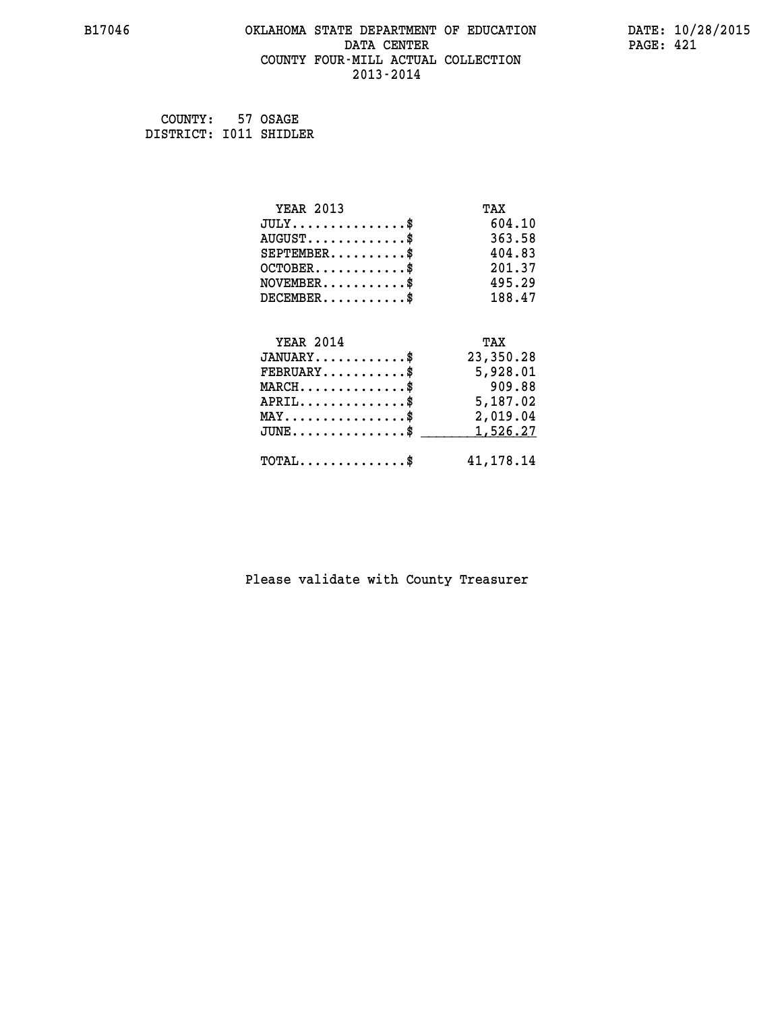#### **B17046 OKLAHOMA STATE DEPARTMENT OF EDUCATION DATE: 10/28/2015 DATA CENTER** PAGE: 421  **COUNTY FOUR-MILL ACTUAL COLLECTION 2013-2014**

 **COUNTY: 57 OSAGE DISTRICT: I011 SHIDLER**

| <b>YEAR 2013</b>                                 | TAX         |
|--------------------------------------------------|-------------|
| $JULY$ \$                                        | 604.10      |
| $AUGUST$ \$                                      | 363.58      |
| $SEPTEMENT.$ \$                                  | 404.83      |
| $OCTOBER$ \$                                     | 201.37      |
| $NOVEMBER$ \$                                    | 495.29      |
| $DECEMBER$ \$                                    | 188.47      |
|                                                  |             |
| <b>YEAR 2014</b>                                 | TAX         |
| $JANUARY$ \$                                     | 23,350.28   |
| $FEBRUARY$                                       | 5,928.01    |
| $MARCH$ \$                                       | 909.88      |
| $APRIL \ldots \ldots \ldots \ldots \$            | 5,187.02    |
| $\texttt{MAX} \dots \dots \dots \dots \dots \$$  | 2,019.04    |
| $\texttt{JUNE} \dots \dots \dots \dots \dots \$$ | 1,526.27    |
| $\texttt{TOTAL} \dots \dots \dots \dots \$       | 41, 178. 14 |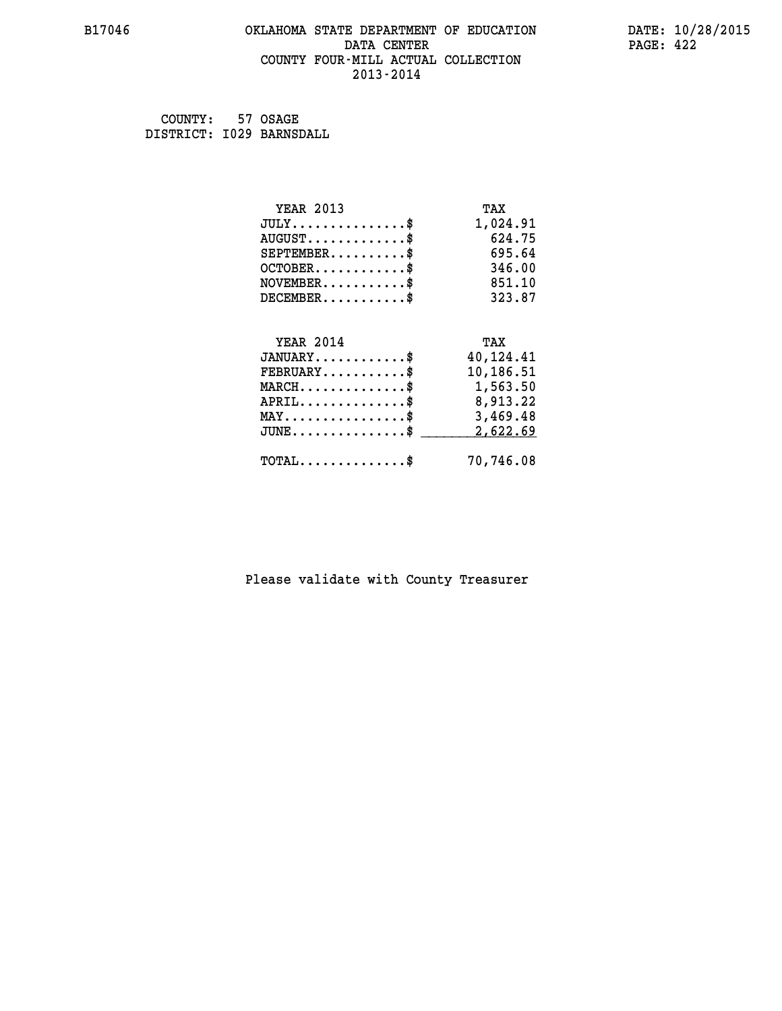#### **B17046 OKLAHOMA STATE DEPARTMENT OF EDUCATION DATE: 10/28/2015 DATA CENTER** PAGE: 422  **COUNTY FOUR-MILL ACTUAL COLLECTION 2013-2014**

 **COUNTY: 57 OSAGE DISTRICT: I029 BARNSDALL**

| <b>YEAR 2013</b>                                 | TAX       |
|--------------------------------------------------|-----------|
| $JULY$ \$                                        | 1,024.91  |
| $AUGUST$ \$                                      | 624.75    |
| $SEPTEMENT.$ $\frac{1}{2}$                       | 695.64    |
| $OCTOBER$                                        | 346.00    |
| NOVEMENT.                                        | 851.10    |
| $DECEMBER$ \$                                    | 323.87    |
| <b>YEAR 2014</b>                                 | TAX       |
| $JANUARY$ \$                                     | 40,124.41 |
| $FEBRUARY$ \$                                    | 10,186.51 |
| $MARCH$ \$                                       | 1,563.50  |
| $APRIL$ \$                                       | 8,913.22  |
| $\texttt{MAX} \dots \dots \dots \dots \dots \$   | 3,469.48  |
| $\texttt{JUNE} \dots \dots \dots \dots \dots \$$ | 2,622.69  |
| $\texttt{TOTAL} \dots \dots \dots \dots \$       | 70,746.08 |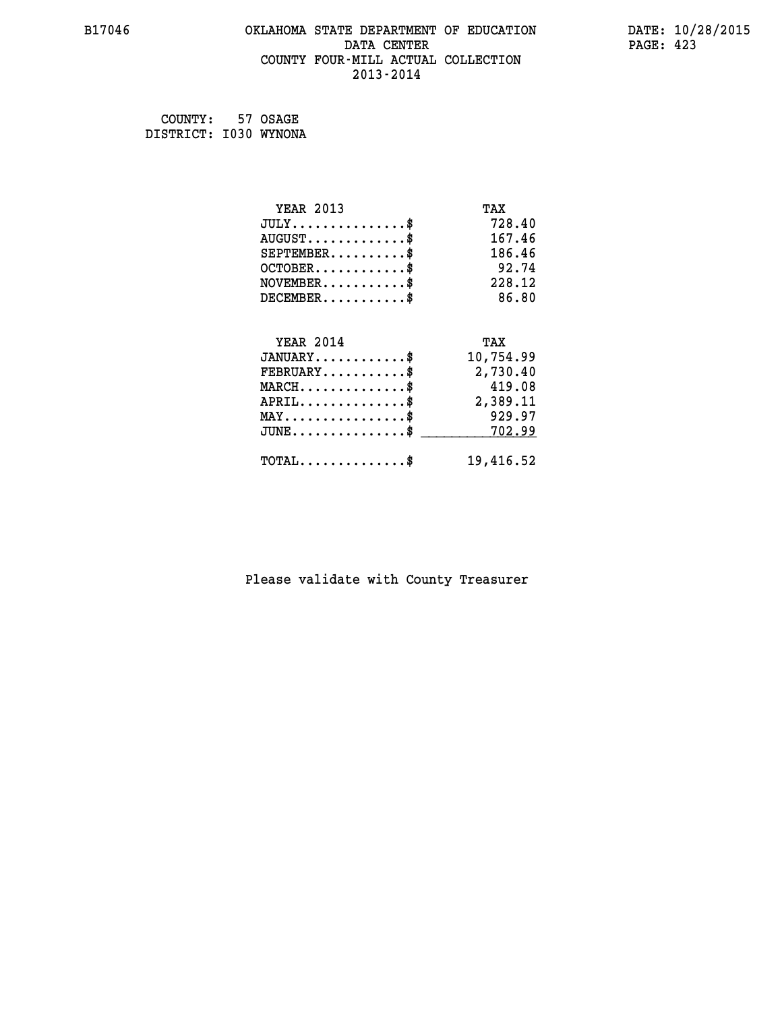#### **B17046 OKLAHOMA STATE DEPARTMENT OF EDUCATION DATE: 10/28/2015 DATA CENTER** PAGE: 423  **COUNTY FOUR-MILL ACTUAL COLLECTION 2013-2014**

 **COUNTY: 57 OSAGE DISTRICT: I030 WYNONA**

| <b>YEAR 2013</b>                    | TAX       |
|-------------------------------------|-----------|
| $JULY$ \$                           | 728.40    |
| $AUGUST$ \$                         | 167.46    |
| $SEPTEMBER$ \$                      | 186.46    |
| $OCTOBER$ \$                        | 92.74     |
| $NOVEMBER$ \$                       | 228.12    |
| $DECEMBER$ \$                       | 86.80     |
|                                     |           |
| <b>YEAR 2014</b>                    | TAX       |
| $JANUARY$                           | 10,754.99 |
| $FEBRUARY$                          | 2,730.40  |
|                                     | 419.08    |
| $MARCH$ \$                          |           |
| $APRIL$ \$                          | 2,389.11  |
| $MAX \dots \dots \dots \dots \dots$ | 929.97    |
| $JUNE$ \$                           | 702.99    |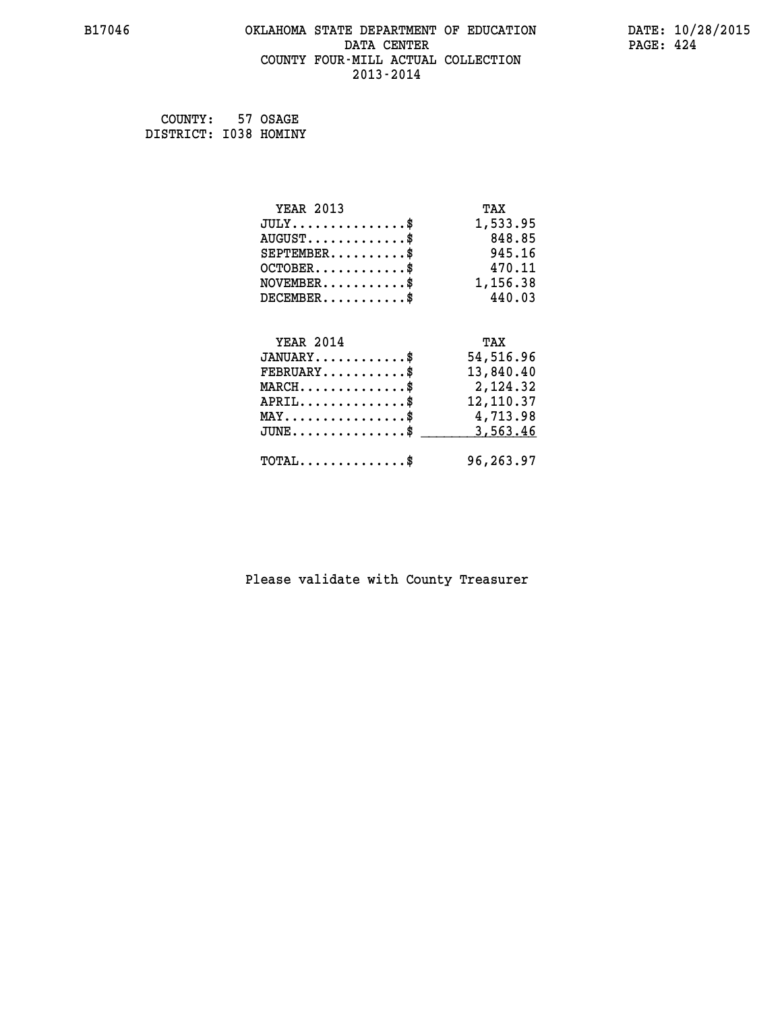#### **B17046 OKLAHOMA STATE DEPARTMENT OF EDUCATION DATE: 10/28/2015 DATA CENTER** PAGE: 424  **COUNTY FOUR-MILL ACTUAL COLLECTION 2013-2014**

 **COUNTY: 57 OSAGE DISTRICT: I038 HOMINY**

| <b>YEAR 2013</b>                               | TAX       |
|------------------------------------------------|-----------|
| $JULY$ \$                                      | 1,533.95  |
| $AUGUST$ \$                                    | 848.85    |
| $SEPTEMBER$ \$                                 | 945.16    |
| $OCTOBER$ \$                                   | 470.11    |
| $NOVEMBER$ \$                                  | 1,156.38  |
| $DECEMBER$ \$                                  | 440.03    |
|                                                |           |
| <b>YEAR 2014</b>                               | TAX       |
| $JANUARY$ \$                                   | 54,516.96 |
| $FEBRUARY$                                     | 13,840.40 |
| $MARCH$ \$                                     | 2,124.32  |
| $APRIL$ \$                                     | 12,110.37 |
| $\texttt{MAX} \dots \dots \dots \dots \dots \$ | 4,713.98  |
| $JUNE$ \$                                      | 3,563.46  |
|                                                |           |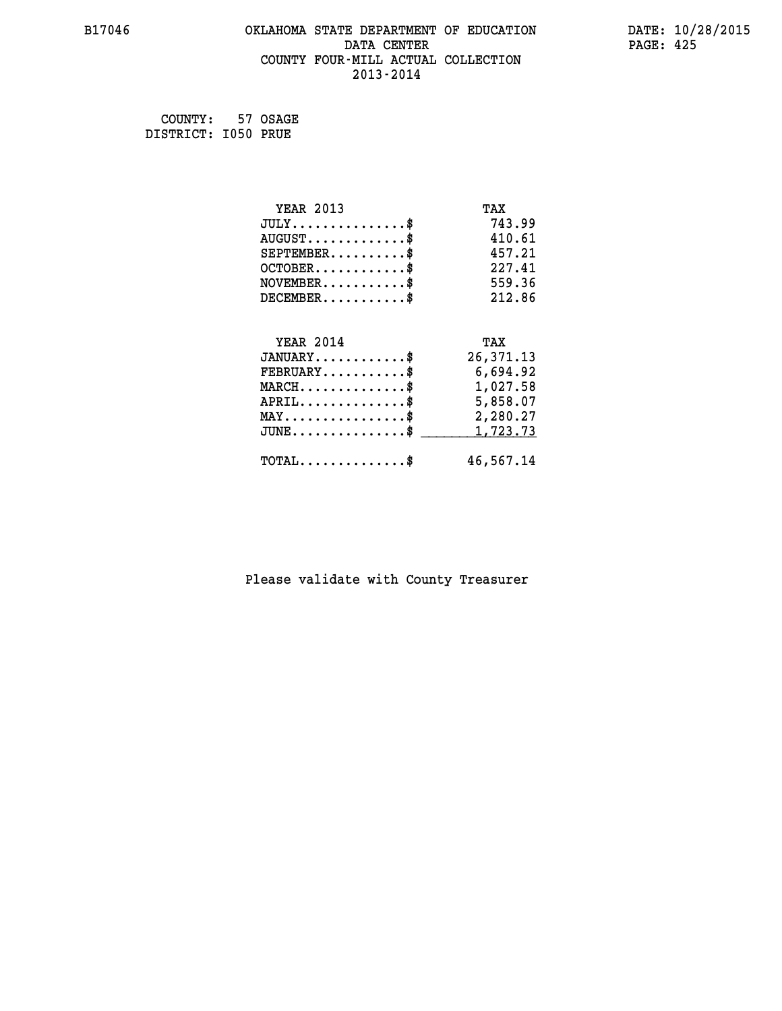#### **B17046 OKLAHOMA STATE DEPARTMENT OF EDUCATION DATE: 10/28/2015 DATA CENTER** PAGE: 425  **COUNTY FOUR-MILL ACTUAL COLLECTION 2013-2014**

 **COUNTY: 57 OSAGE DISTRICT: I050 PRUE**

| <b>YEAR 2013</b>                                | TAX       |
|-------------------------------------------------|-----------|
| $JULY$ \$                                       | 743.99    |
| $AUGUST$ \$                                     | 410.61    |
| $SEPTEMENT.$ \$                                 | 457.21    |
| $OCTOBER$ \$                                    | 227.41    |
| $\texttt{NOVEMBER} \dots \dots \dots \$         | 559.36    |
| $DECEMBER$ \$                                   | 212.86    |
|                                                 |           |
| <b>YEAR 2014</b>                                | TAX       |
| $JANUARY$ \$                                    | 26,371.13 |
| $FEBRUARY$                                      | 6,694.92  |
| $MARCH$ \$                                      | 1,027.58  |
| $APRIL \ldots \ldots \ldots \ldots \$           | 5,858.07  |
|                                                 |           |
| $\texttt{MAX} \dots \dots \dots \dots \dots \$$ | 2,280.27  |
| $JUNE$ \$                                       | 1,723.73  |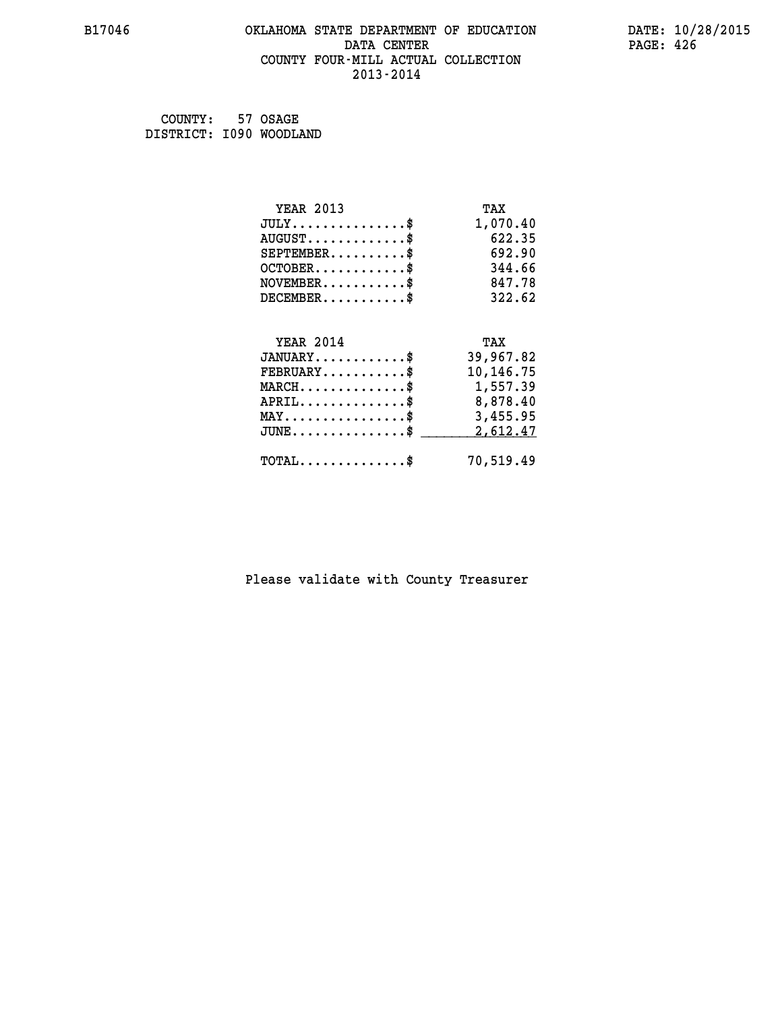#### **B17046 OKLAHOMA STATE DEPARTMENT OF EDUCATION DATE: 10/28/2015 DATA CENTER** PAGE: 426  **COUNTY FOUR-MILL ACTUAL COLLECTION 2013-2014**

 **COUNTY: 57 OSAGE DISTRICT: I090 WOODLAND**

| <b>YEAR 2013</b>                                                           | TAX       |
|----------------------------------------------------------------------------|-----------|
| $JULY$ \$                                                                  | 1,070.40  |
| $AUGUST$ \$                                                                | 622.35    |
| $SEPTEMENT.$ \$                                                            | 692.90    |
| $OCTOBER$ \$                                                               | 344.66    |
| $\verb NOVEMBER , \verb , \verb , \verb , \verb , \verb , \verb , \verb }$ | 847.78    |
| $DECEMBER$ \$                                                              | 322.62    |
|                                                                            |           |
| <b>YEAR 2014</b>                                                           | TAX       |
| $JANUARY$ \$                                                               | 39,967.82 |
| $FEBRUARY$                                                                 | 10,146.75 |
| $MARCH$ \$                                                                 | 1,557.39  |
| $APRIL \ldots \ldots \ldots \ldots \$                                      | 8,878.40  |
| $\texttt{MAX} \dots \dots \dots \dots \dots \$                             | 3,455.95  |
| $JUNE$ \$                                                                  | 2,612.47  |
| $\texttt{TOTAL} \dots \dots \dots \dots \$                                 | 70,519.49 |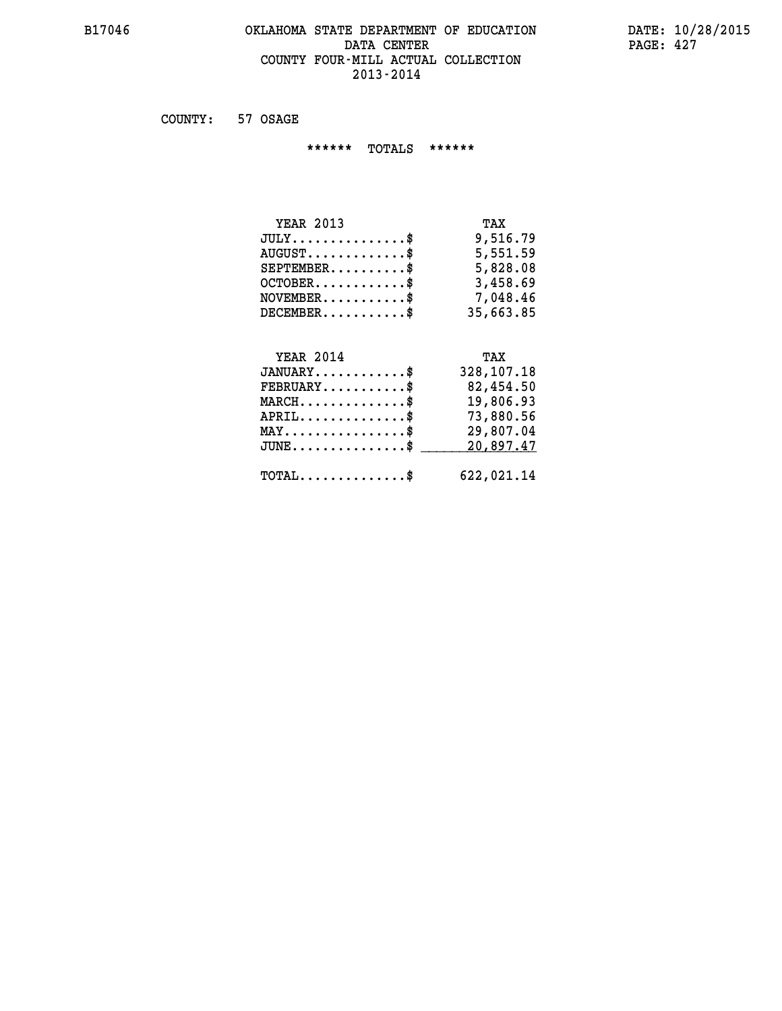#### **B17046 OKLAHOMA STATE DEPARTMENT OF EDUCATION DATE: 10/28/2015 DATA CENTER PAGE: 427 COUNTY FOUR-MILL ACTUAL COLLECTION 2013-2014**

 **COUNTY: 57 OSAGE**

 **\*\*\*\*\*\* TOTALS \*\*\*\*\*\***

| <b>YEAR 2013</b>                   | TAX       |
|------------------------------------|-----------|
| $JULY \ldots \ldots \ldots \ldots$ | 9,516.79  |
| $AUGUST$ \$                        | 5,551.59  |
| $SEPTEMBER$                        | 5,828.08  |
| $OCTOBER$ \$                       | 3,458.69  |
| $NOVEMBER$ \$                      | 7,048.46  |
| $DECEMBER$                         | 35,663.85 |

# **YEAR 2014 TAX JANUARY............\$ 328,107.18 FEBRUARY...........\$ 82,454.50 MARCH..............\$ 19,806.93 APRIL..............\$ 73,880.56 MAY................\$ 29,807.04** JUNE..............\$ <u>\_\_\_\_\_\_\_\_ 20,897.47</u>  **TOTAL..............\$ 622,021.14**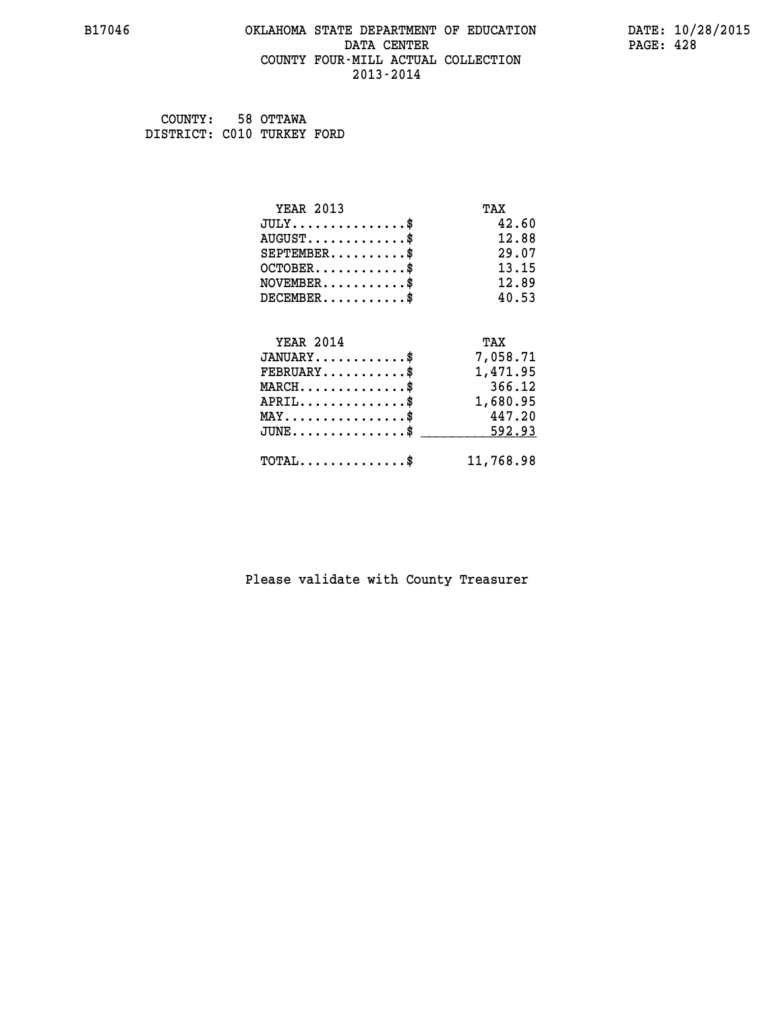#### **B17046 OKLAHOMA STATE DEPARTMENT OF EDUCATION DATE: 10/28/2015 DATA CENTER** PAGE: 428  **COUNTY FOUR-MILL ACTUAL COLLECTION 2013-2014**

 **COUNTY: 58 OTTAWA DISTRICT: C010 TURKEY FORD**

| <b>YEAR 2013</b>                           | TAX       |
|--------------------------------------------|-----------|
| $JULY$ \$                                  | 42.60     |
| $AUGUST$ \$                                | 12.88     |
| $SEPTEMBER$ \$                             | 29.07     |
| $OCTOBER$ \$                               | 13.15     |
| $NOVEMBER$ \$                              | 12.89     |
| $DECEMBER$ \$                              | 40.53     |
|                                            |           |
| <b>YEAR 2014</b>                           | TAX       |
| $JANUARY$ \$                               | 7,058.71  |
| $FEBRUARY$                                 | 1,471.95  |
| $MARCH$ \$                                 | 366.12    |
| $APRIL$ \$                                 | 1,680.95  |
| $MAX \dots \dots \dots \dots \dots$        | 447.20    |
| $JUNE$ \$                                  | 592.93    |
| $\texttt{TOTAL} \dots \dots \dots \dots \$ | 11,768.98 |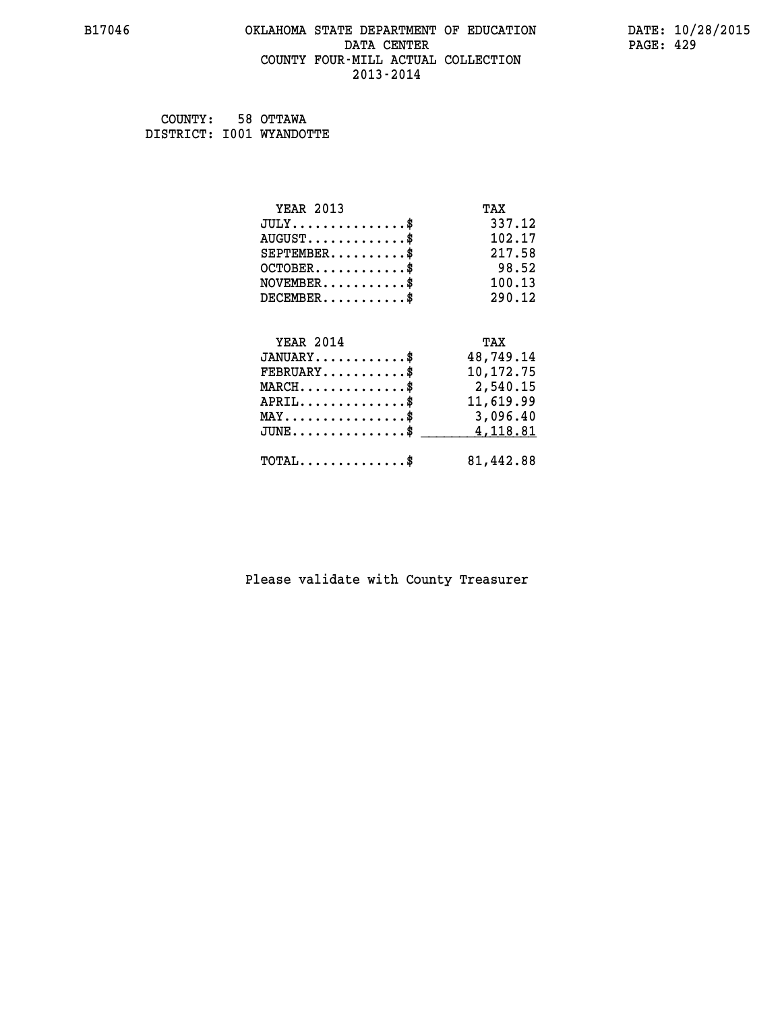#### **B17046 OKLAHOMA STATE DEPARTMENT OF EDUCATION DATE: 10/28/2015 DATA CENTER** PAGE: 429  **COUNTY FOUR-MILL ACTUAL COLLECTION 2013-2014**

 **COUNTY: 58 OTTAWA DISTRICT: I001 WYANDOTTE**

| <b>YEAR 2013</b>                               | TAX       |
|------------------------------------------------|-----------|
| $JULY$ \$                                      | 337.12    |
| $AUGUST$ \$                                    | 102.17    |
| $SEPTEMENT.$ \$                                | 217.58    |
| $OCTOBER$ \$                                   | 98.52     |
| $NOVEMBER$ \$                                  | 100.13    |
| $DECEMBER$ \$                                  | 290.12    |
|                                                |           |
| <b>YEAR 2014</b>                               | TAX       |
| $JANUARY$ \$                                   | 48,749.14 |
| $FEBRUARY$                                     | 10,172.75 |
| $MARCH$ \$                                     | 2,540.15  |
| $APRIL$ \$                                     | 11,619.99 |
| $\texttt{MAX} \dots \dots \dots \dots \dots \$ | 3,096.40  |
| $JUNE$ \$                                      | 4,118.81  |
| $\texttt{TOTAL} \dots \dots \dots \dots \$     | 81,442.88 |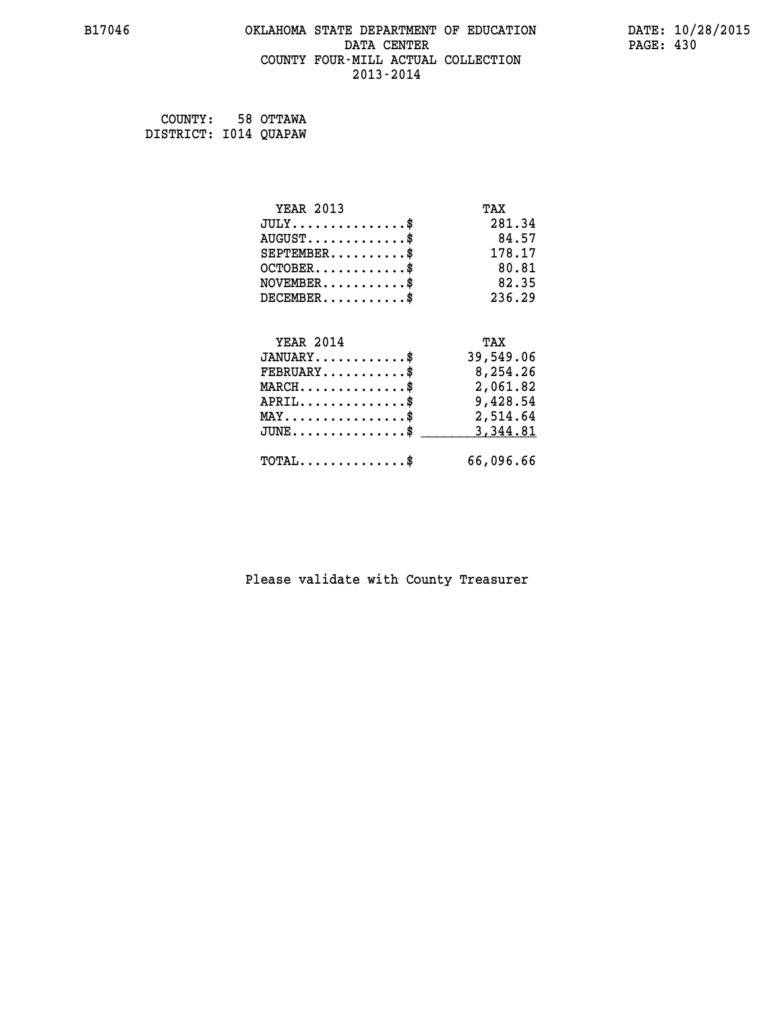#### **B17046 OKLAHOMA STATE DEPARTMENT OF EDUCATION DATE: 10/28/2015 DATA CENTER** PAGE: 430  **COUNTY FOUR-MILL ACTUAL COLLECTION 2013-2014**

 **COUNTY: 58 OTTAWA DISTRICT: I014 QUAPAW**

| <b>YEAR 2013</b>                               | TAX       |
|------------------------------------------------|-----------|
| $JULY$ \$                                      | 281.34    |
| $AUGUST$ \$                                    | 84.57     |
| $SEPTEMBER$ \$                                 | 178.17    |
| $OCTOBER$ \$                                   | 80.81     |
| $NOVEMBER$ \$                                  | 82.35     |
| $DECEMBER$ \$                                  | 236.29    |
|                                                |           |
| <b>YEAR 2014</b>                               | TAX       |
| $JANUARY$ \$                                   | 39,549.06 |
| $FEBRUARY$                                     | 8,254.26  |
| $\texttt{MARCH}\ldots\ldots\ldots\ldots\$      | 2,061.82  |
| $APRIL \ldots \ldots \ldots \ldots \$          | 9,428.54  |
| $\texttt{MAX} \dots \dots \dots \dots \dots \$ | 2,514.64  |
| $JUNE$ \$                                      | 3,344.81  |
| $\texttt{TOTAL} \dots \dots \dots \dots \$     | 66,096.66 |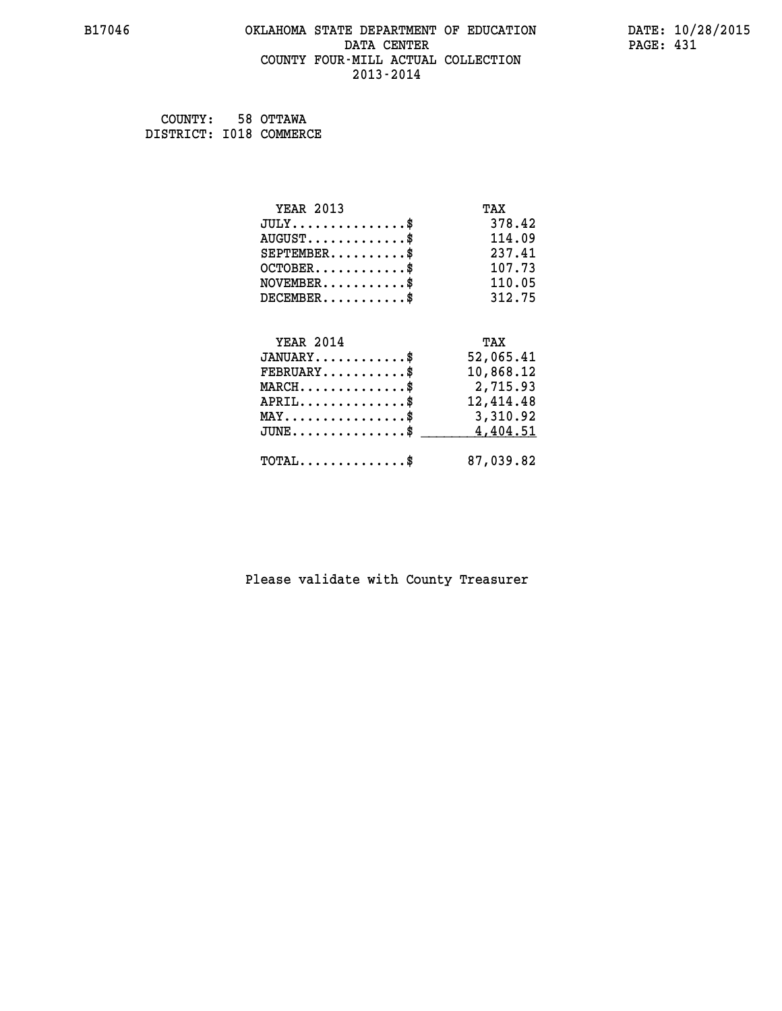#### **B17046 OKLAHOMA STATE DEPARTMENT OF EDUCATION DATE: 10/28/2015 DATA CENTER** PAGE: 431  **COUNTY FOUR-MILL ACTUAL COLLECTION 2013-2014**

 **COUNTY: 58 OTTAWA DISTRICT: I018 COMMERCE**

| <b>YEAR 2013</b>                           | TAX       |
|--------------------------------------------|-----------|
| $JULY$ \$                                  | 378.42    |
| $AUGUST$ \$                                | 114.09    |
| $SEPTEMBER$                                | 237.41    |
| $OCTOBER$ \$                               | 107.73    |
| $NOVEMBER$ \$                              | 110.05    |
| $DECEMBER$ \$                              | 312.75    |
|                                            |           |
| <b>YEAR 2014</b>                           | TAX       |
|                                            |           |
| $JANUARY$ \$                               | 52,065.41 |
| $FEBRUARY$                                 | 10,868.12 |
| $MARCH$ \$                                 | 2,715.93  |
| $APRIL$ \$                                 | 12,414.48 |
| $MAX \dots \dots \dots \dots \dots$        | 3,310.92  |
| $JUNE$ \$                                  | 4,404.51  |
| $\texttt{TOTAL} \dots \dots \dots \dots \$ | 87,039.82 |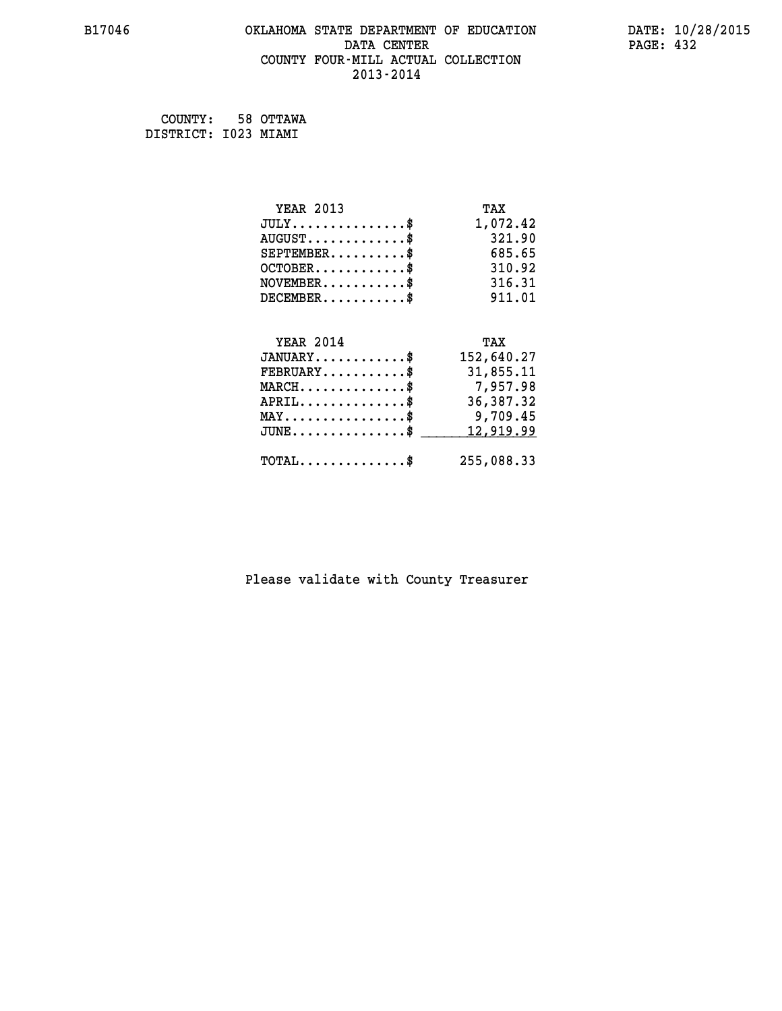#### **B17046 OKLAHOMA STATE DEPARTMENT OF EDUCATION DATE: 10/28/2015 DATA CENTER** PAGE: 432  **COUNTY FOUR-MILL ACTUAL COLLECTION 2013-2014**

 **COUNTY: 58 OTTAWA DISTRICT: I023 MIAMI**

| <b>YEAR 2013</b>                    | TAX         |
|-------------------------------------|-------------|
| $JULY$ \$                           | 1,072.42    |
| $AUGUST$ \$                         | 321.90      |
| $SEPTEMBER$ \$                      | 685.65      |
| $OCTOBER$ \$                        | 310.92      |
| $NOVEMBER$ \$                       | 316.31      |
| $DECEMBER$ \$                       | 911.01      |
|                                     |             |
| <b>YEAR 2014</b>                    | TAX         |
|                                     |             |
| $JANUARY$ \$                        | 152,640.27  |
| $FEBRUARY$                          | 31,855.11   |
| $MARCH$ \$                          | 7,957.98    |
| $APRIL$ \$                          | 36, 387. 32 |
| $MAX \dots \dots \dots \dots \dots$ | 9,709.45    |
| $JUNE$                              | 12,919.99   |
|                                     |             |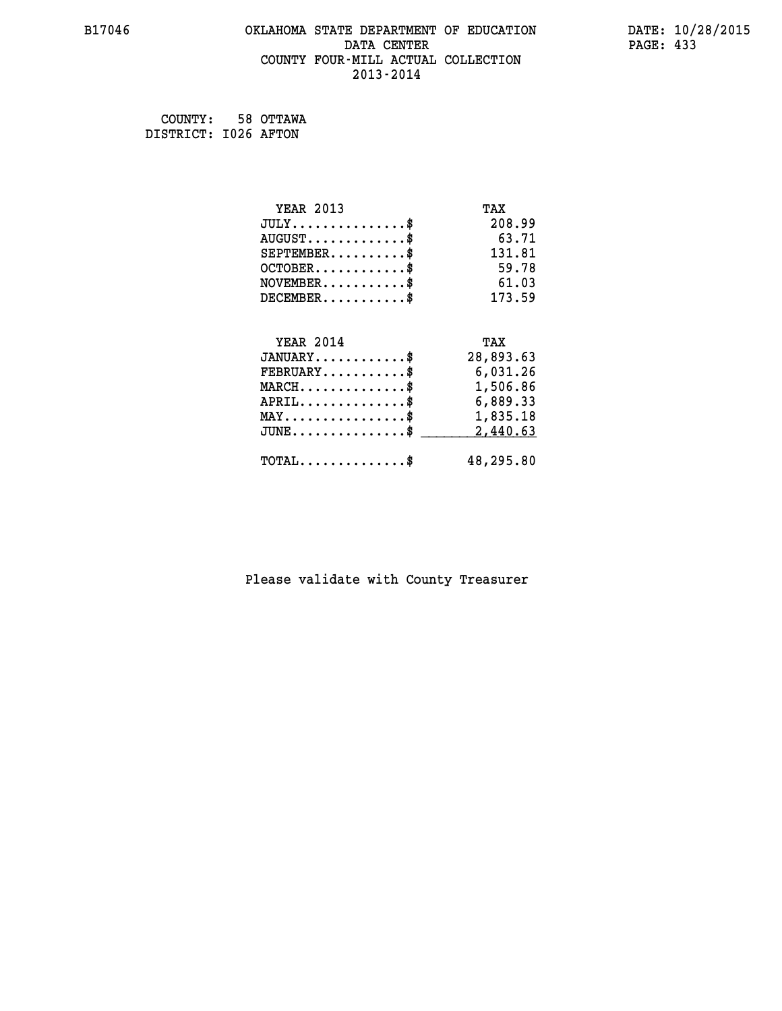#### **B17046 OKLAHOMA STATE DEPARTMENT OF EDUCATION DATE: 10/28/2015 DATA CENTER** PAGE: 433  **COUNTY FOUR-MILL ACTUAL COLLECTION 2013-2014**

 **COUNTY: 58 OTTAWA DISTRICT: I026 AFTON**

| <b>YEAR 2013</b>                               | TAX       |
|------------------------------------------------|-----------|
| $JULY$ \$                                      | 208.99    |
| $AUGUST$ \$                                    | 63.71     |
| $SEPTEMENT.$ \$                                | 131.81    |
| $OCTOBER$ \$                                   | 59.78     |
| $NOVEMBER$ \$                                  | 61.03     |
| $DECEMBER$ \$                                  | 173.59    |
|                                                |           |
| <b>YEAR 2014</b>                               | TAX       |
| $JANUARY$ \$                                   | 28,893.63 |
| $FEBRUARY$                                     | 6,031.26  |
|                                                |           |
| $MARCH$ \$                                     | 1,506.86  |
| $APRIL$ \$                                     | 6,889.33  |
| $\texttt{MAX} \dots \dots \dots \dots \dots \$ | 1,835.18  |
| $JUNE$ \$                                      | 2,440.63  |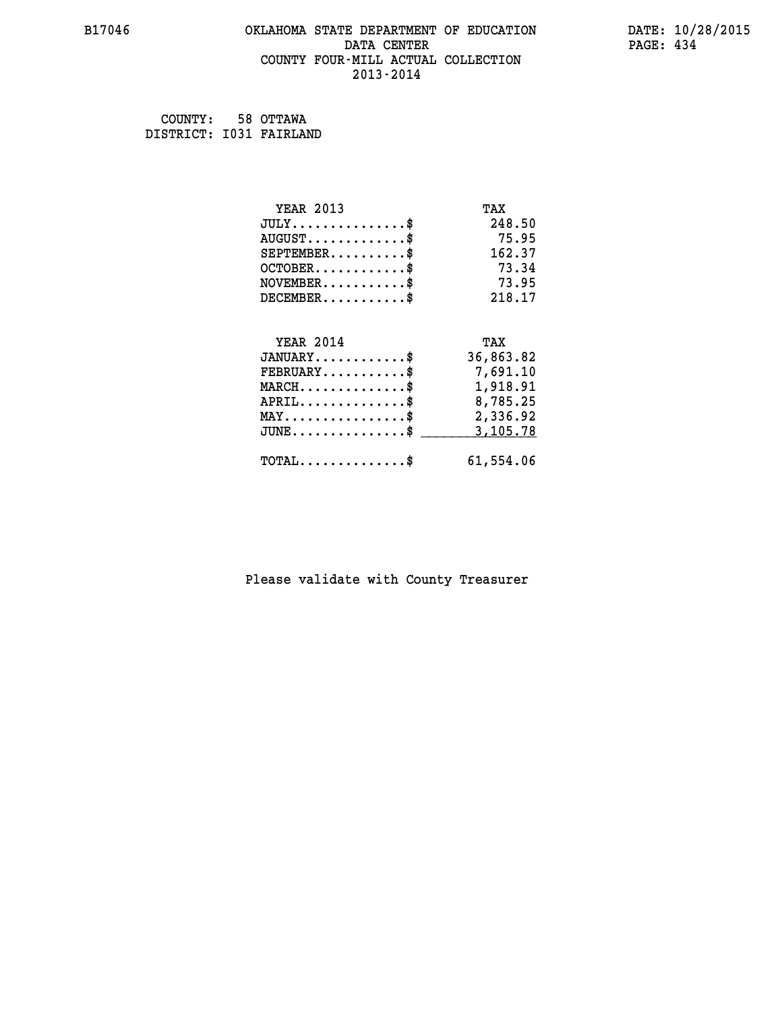#### **B17046 OKLAHOMA STATE DEPARTMENT OF EDUCATION DATE: 10/28/2015 DATA CENTER** PAGE: 434  **COUNTY FOUR-MILL ACTUAL COLLECTION 2013-2014**

 **COUNTY: 58 OTTAWA DISTRICT: I031 FAIRLAND**

| <b>YEAR 2013</b>                               | TAX       |
|------------------------------------------------|-----------|
| $JULY$ \$                                      | 248.50    |
| $AUGUST$ \$                                    | 75.95     |
| $SEPTEMENT.$ \$                                | 162.37    |
| $OCTOBER$ \$                                   | 73.34     |
| $NOVEMBER$ \$                                  | 73.95     |
| $DECEMBER$ \$                                  | 218.17    |
|                                                |           |
| <b>YEAR 2014</b>                               | TAX       |
| $JANUARY$ \$                                   | 36,863.82 |
| $FEBRUARY$                                     | 7,691.10  |
| $MARCH$ \$                                     | 1,918.91  |
|                                                |           |
| $APRIL$ \$                                     | 8,785.25  |
| $\texttt{MAX} \dots \dots \dots \dots \dots \$ | 2,336.92  |
| $JUNE$ \$                                      | 3,105.78  |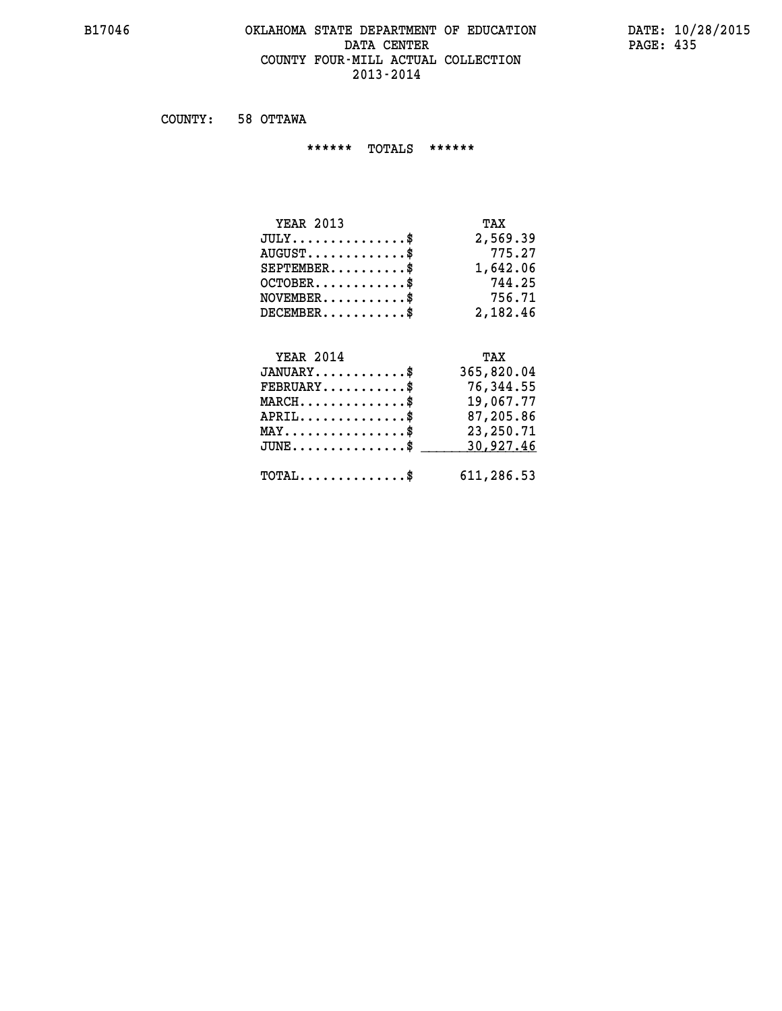#### **B17046 OKLAHOMA STATE DEPARTMENT OF EDUCATION DATE: 10/28/2015** DATA CENTER PAGE: 435  **COUNTY FOUR-MILL ACTUAL COLLECTION 2013-2014**

 **COUNTY: 58 OTTAWA**

 **\*\*\*\*\*\* TOTALS \*\*\*\*\*\***

| <b>YEAR 2013</b>                     | TAX      |
|--------------------------------------|----------|
| $JULY \ldots \ldots \ldots \ldots \$ | 2,569.39 |
| $AUGUST$ \$                          | 775.27   |
| $SEPTEMBER$                          | 1,642.06 |
| $OCTOBER$ \$                         | 744.25   |
| $NOVEMBER$ \$                        | 756.71   |
| $DECEMBER$ \$                        | 2,182,46 |

#### **YEAR 2014 TAX JANUARY............\$ 365,820.04 FEBRUARY...........\$ 76,344.55 MARCH..............\$ 19,067.77 APRIL..............\$ 87,205.86 MAY................\$ 23,250.71 JUNE...............\$ 30,927.46 \_\_\_\_\_\_\_\_\_\_\_\_\_\_\_**

 **TOTAL..............\$ 611,286.53**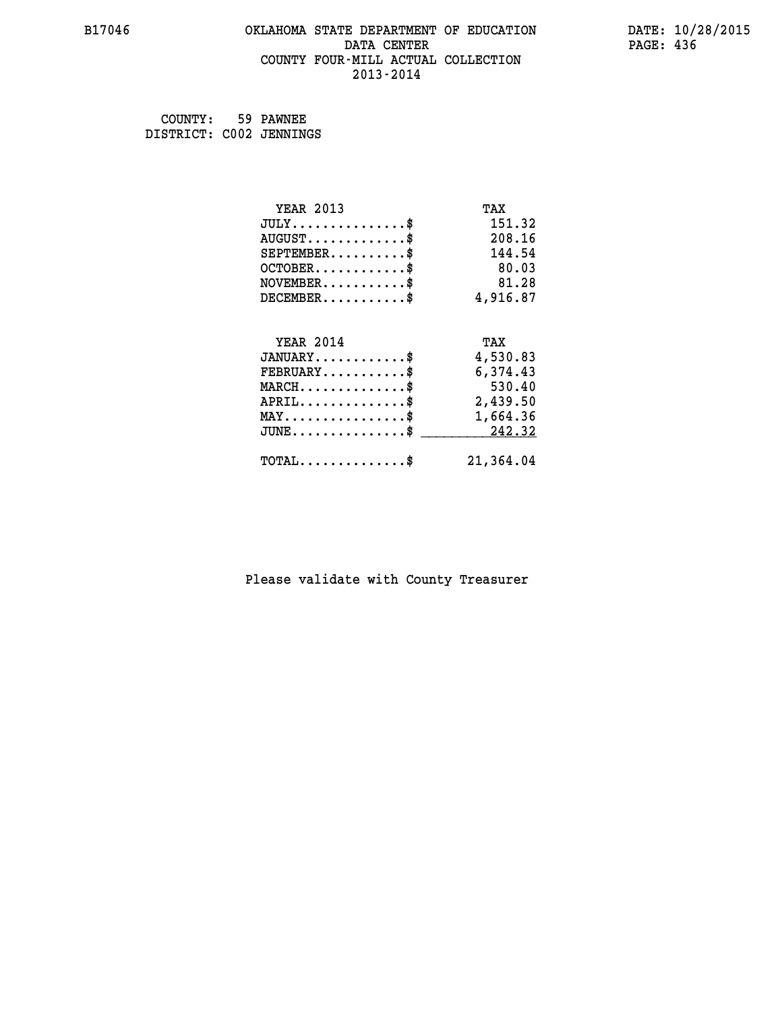## **B17046 OKLAHOMA STATE DEPARTMENT OF EDUCATION DATE: 10/28/2015** DATA CENTER PAGE: 436  **COUNTY FOUR-MILL ACTUAL COLLECTION 2013-2014**

 **COUNTY: 59 PAWNEE DISTRICT: C002 JENNINGS**

| <b>YEAR 2013</b>                                 | TAX       |
|--------------------------------------------------|-----------|
| $JULY$ \$                                        | 151.32    |
| $AUGUST$ \$                                      | 208.16    |
| $SEPTEMBER$ \$                                   | 144.54    |
| $OCTOBER$ \$                                     | 80.03     |
| $\texttt{NOVEMBER} \dots \dots \dots \$          | 81.28     |
| $DECEMBER$ \$                                    | 4,916.87  |
| <b>YEAR 2014</b>                                 | TAX       |
| $JANUARY$ \$                                     | 4,530.83  |
| $FEBRUARY$                                       | 6,374.43  |
| $MARCH$ \$                                       | 530.40    |
| $APRIL \ldots \ldots \ldots \ldots$              | 2,439.50  |
| $\texttt{MAX} \dots \dots \dots \dots \dots \$   | 1,664.36  |
| $\texttt{JUNE} \dots \dots \dots \dots \dots \$$ | 242.32    |
| $TOTAL$ \$                                       | 21,364.04 |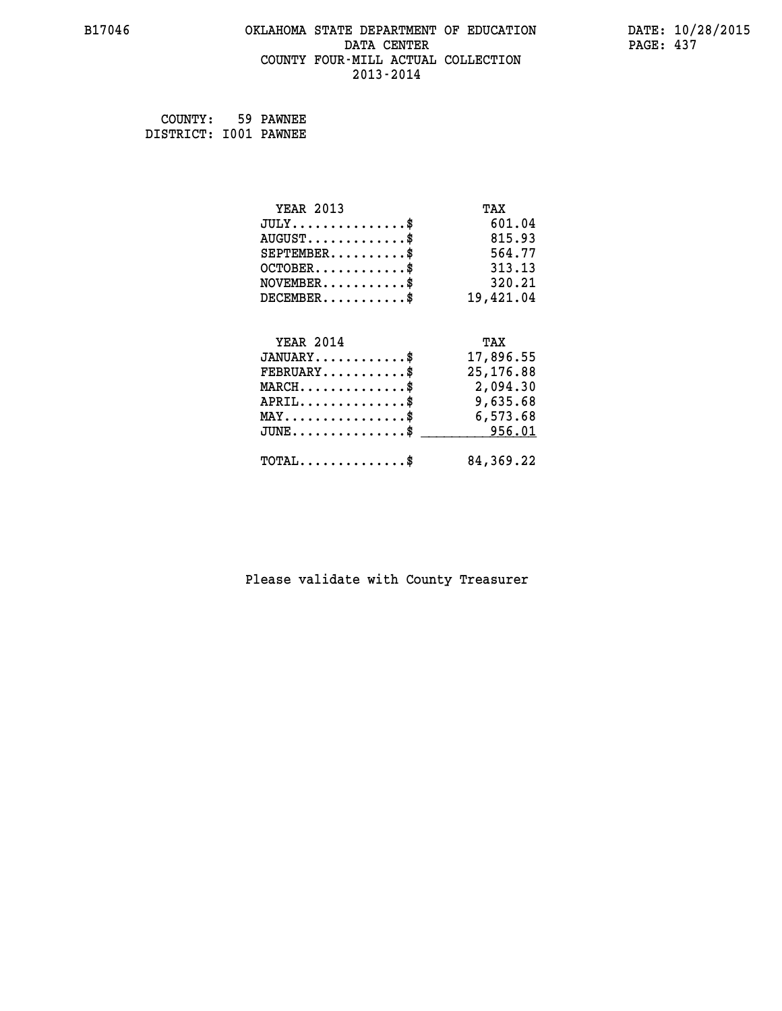#### **B17046 OKLAHOMA STATE DEPARTMENT OF EDUCATION DATE: 10/28/2015 DATA CENTER** PAGE: 437  **COUNTY FOUR-MILL ACTUAL COLLECTION 2013-2014**

 **COUNTY: 59 PAWNEE DISTRICT: I001 PAWNEE**

| <b>YEAR 2013</b>                               | TAX        |
|------------------------------------------------|------------|
| $JULY$ \$                                      | 601.04     |
| $AUGUST$ \$                                    | 815.93     |
| $SEPTEMBER$ \$                                 | 564.77     |
| $OCTOBER$ \$                                   | 313.13     |
| $\texttt{NOVEMBER} \dots \dots \dots \$        | 320.21     |
| $DECEMBER$ \$                                  | 19,421.04  |
|                                                |            |
| <b>YEAR 2014</b>                               | TAX        |
| $JANUARY$ \$                                   | 17,896.55  |
| $FEBRUARY$                                     | 25, 176.88 |
| $MARCH$ \$                                     | 2,094.30   |
| $APRIL \ldots \ldots \ldots \ldots \$          | 9,635.68   |
| $\texttt{MAX} \dots \dots \dots \dots \dots \$ | 6,573.68   |
| $JUNE \ldots \ldots \ldots \ldots \ast$        | 956.01     |
| $\texttt{TOTAL} \dots \dots \dots \dots \$     | 84,369.22  |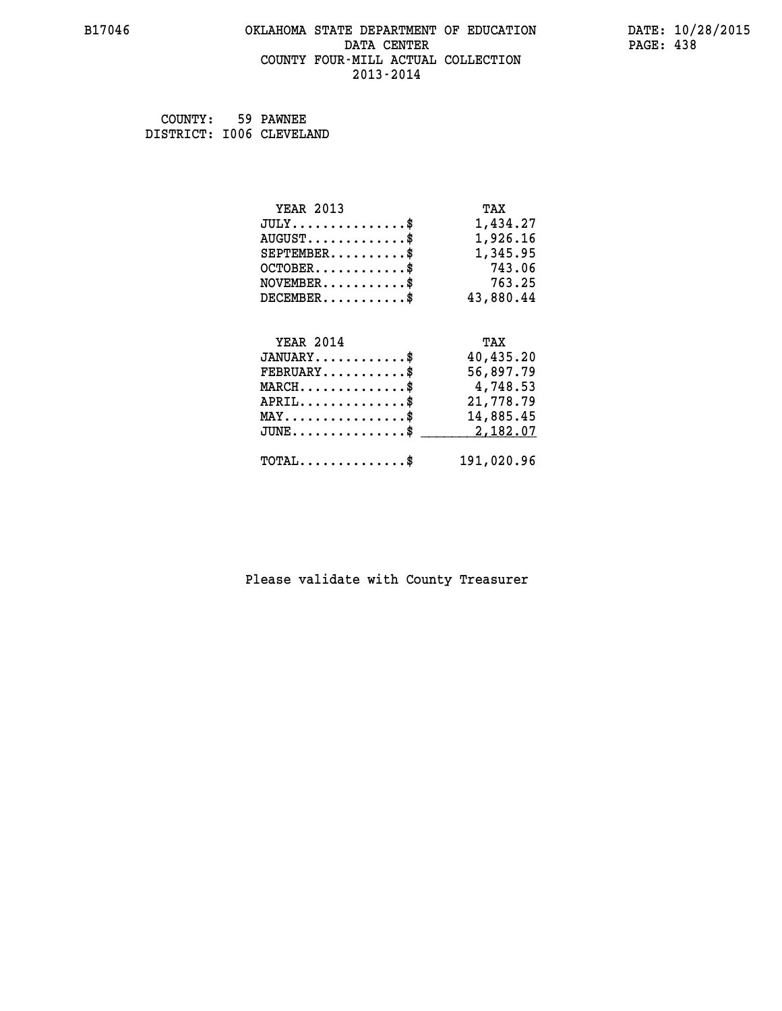## **B17046 OKLAHOMA STATE DEPARTMENT OF EDUCATION DATE: 10/28/2015** DATA CENTER PAGE: 438  **COUNTY FOUR-MILL ACTUAL COLLECTION 2013-2014**

 **COUNTY: 59 PAWNEE DISTRICT: I006 CLEVELAND**

| <b>YEAR 2013</b>                               | TAX        |
|------------------------------------------------|------------|
| $JULY$ \$                                      | 1,434.27   |
| $AUGUST$ \$                                    | 1,926.16   |
| $SEPTEMBER$ \$                                 | 1,345.95   |
| $OCTOBER$ \$                                   | 743.06     |
| $NOVEMBER.$ \$                                 | 763.25     |
| $DECEMBER$ \$                                  | 43,880.44  |
|                                                |            |
| <b>YEAR 2014</b>                               | TAX        |
| $JANUARY$ \$                                   | 40,435.20  |
| $FEBRUARY$ \$                                  | 56,897.79  |
| $MARCH \ldots \ldots \ldots \ldots \$          | 4,748.53   |
| $APRIL$ \$                                     | 21,778.79  |
| $\texttt{MAX} \dots \dots \dots \dots \dots \$ | 14,885.45  |
| $JUNE$ \$                                      | 2,182.07   |
| $\texttt{TOTAL} \dots \dots \dots \dots$ \$    | 191,020.96 |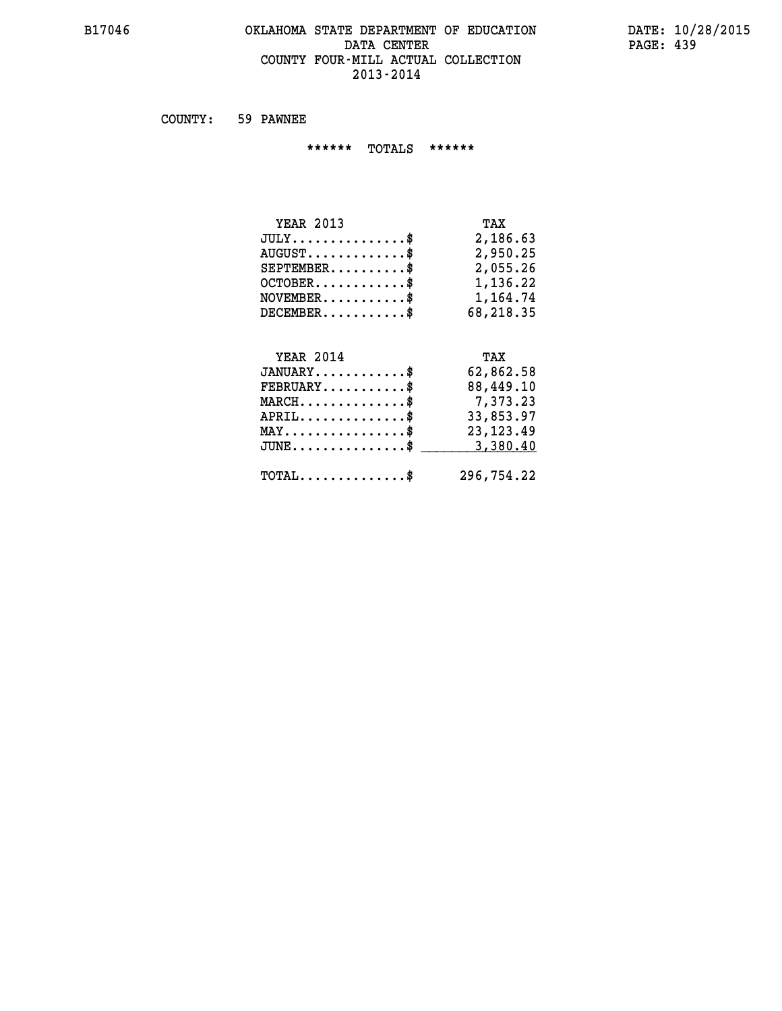#### **B17046 OKLAHOMA STATE DEPARTMENT OF EDUCATION DATE: 10/28/2015** DATA CENTER PAGE: 439  **COUNTY FOUR-MILL ACTUAL COLLECTION 2013-2014**

 **COUNTY: 59 PAWNEE**

 **\*\*\*\*\*\* TOTALS \*\*\*\*\*\***

| <b>YEAR 2013</b> | TAX       |
|------------------|-----------|
| $JULY$ \$        | 2,186.63  |
| $AUGUST$ \$      | 2,950.25  |
| $SEPTEMBER$ \$   | 2,055.26  |
| $OCTOBER$ \$     | 1,136.22  |
| $NOVEMBER$ \$    | 1,164.74  |
| $DECEMBER$ \$    | 68,218.35 |
|                  |           |

# **YEAR 2014 TAX JANUARY............\$ 62,862.58 FEBRUARY...........\$ 88,449.10 MARCH..............\$ 7,373.23 APRIL..............\$ 33,853.97 MAY................\$ 23,123.49 JUNE...............\$ 3,380.40 \_\_\_\_\_\_\_\_\_\_\_\_\_\_\_ TOTAL..............\$ 296,754.22**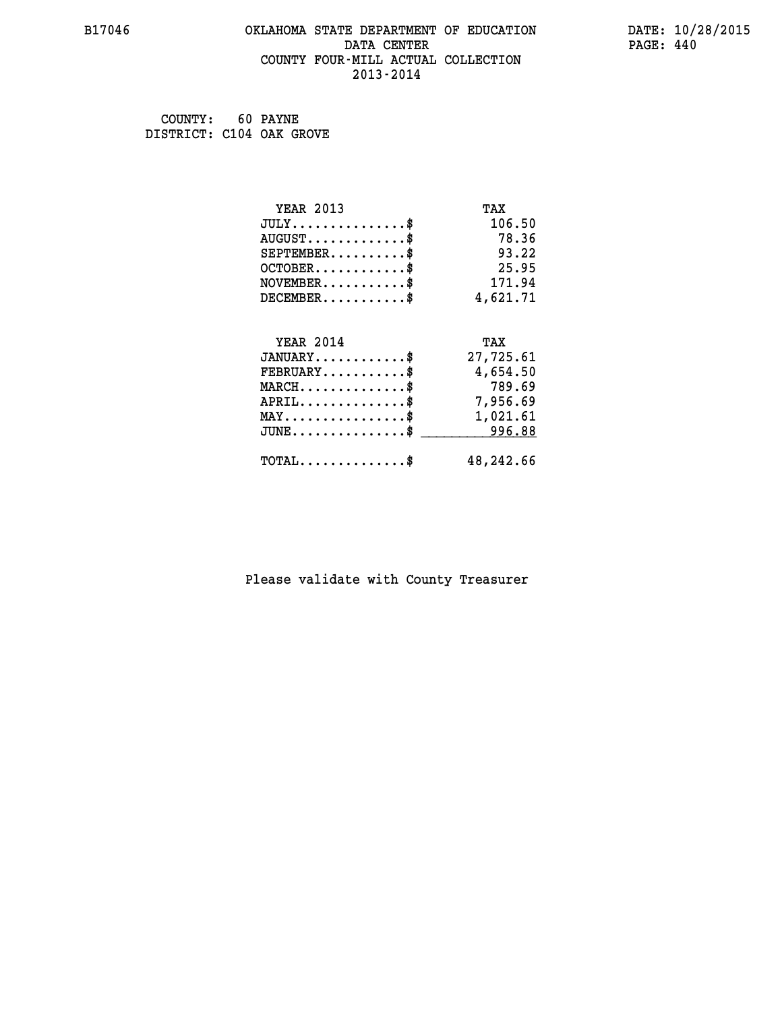#### **B17046 OKLAHOMA STATE DEPARTMENT OF EDUCATION DATE: 10/28/2015 DATA CENTER** PAGE: 440  **COUNTY FOUR-MILL ACTUAL COLLECTION 2013-2014**

 **COUNTY: 60 PAYNE DISTRICT: C104 OAK GROVE**

| <b>YEAR 2013</b>                               | TAX       |
|------------------------------------------------|-----------|
| $JULY$ \$                                      | 106.50    |
| $AUGUST$ \$                                    | 78.36     |
| $SEPTEMBER$ \$                                 | 93.22     |
| $OCTOBER$ \$                                   | 25.95     |
| $NOVEMBER$ \$                                  | 171.94    |
| $DECEMBER$ \$                                  | 4,621.71  |
| <b>YEAR 2014</b>                               | TAX       |
| $JANUARY$ \$                                   | 27,725.61 |
| $FEBRUARY$                                     | 4,654.50  |
| $MARCH$ \$                                     | 789.69    |
| $APRIL$ \$                                     | 7,956.69  |
|                                                |           |
| $\texttt{MAX} \dots \dots \dots \dots \dots \$ | 1,021.61  |
| $JUNE$ \$                                      | 996.88    |
| $TOTAL$ \$                                     | 48,242.66 |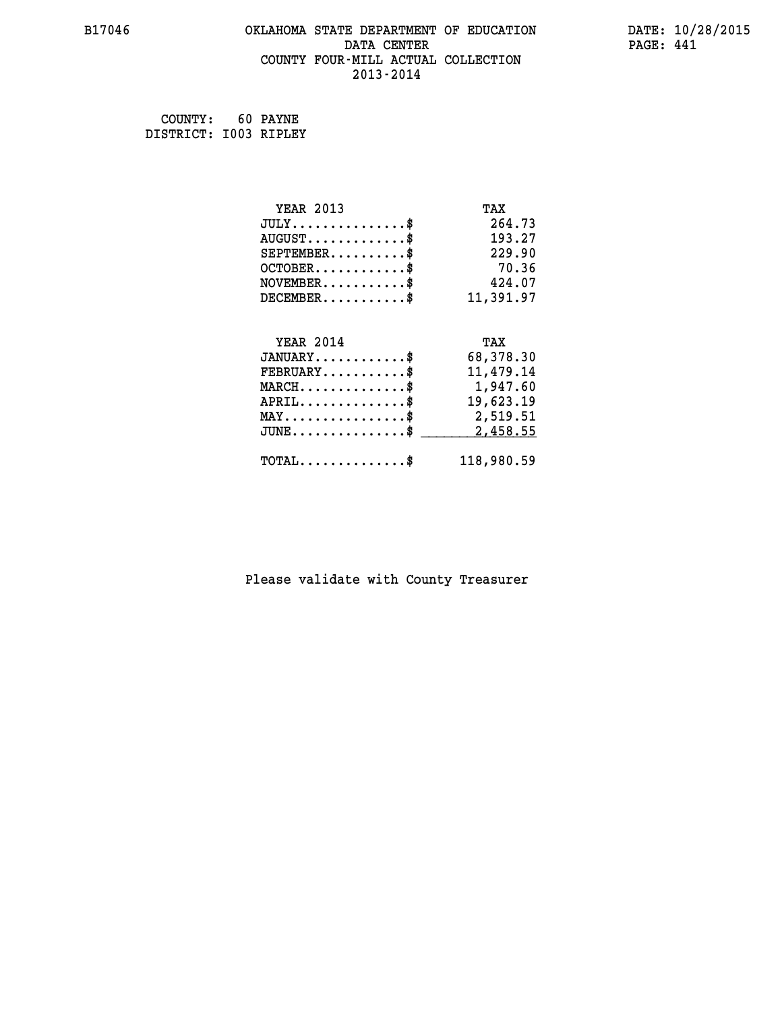#### **B17046 OKLAHOMA STATE DEPARTMENT OF EDUCATION DATE: 10/28/2015 DATA CENTER** PAGE: 441  **COUNTY FOUR-MILL ACTUAL COLLECTION 2013-2014**

 **COUNTY: 60 PAYNE DISTRICT: I003 RIPLEY**

| <b>YEAR 2013</b>                               | TAX        |
|------------------------------------------------|------------|
| $JULY$ \$                                      | 264.73     |
| $AUGUST$ \$                                    | 193.27     |
| $SEPTEMBER$ \$                                 | 229.90     |
| $OCTOBER$ \$                                   | 70.36      |
| $\texttt{NOVEMBER} \dots \dots \dots \$        | 424.07     |
| $DECEMBER$ \$                                  | 11,391.97  |
|                                                |            |
| <b>YEAR 2014</b>                               | TAX        |
| $JANUARY$ \$                                   | 68,378.30  |
| $FEBRUARY$                                     | 11,479.14  |
| $MARCH$ \$                                     | 1,947.60   |
| $APRIL$ \$                                     | 19,623.19  |
| $\texttt{MAX} \dots \dots \dots \dots \dots \$ | 2,519.51   |
| $JUNE$ $$$                                     | 2,458.55   |
| $\texttt{TOTAL} \dots \dots \dots \dots \$     | 118,980.59 |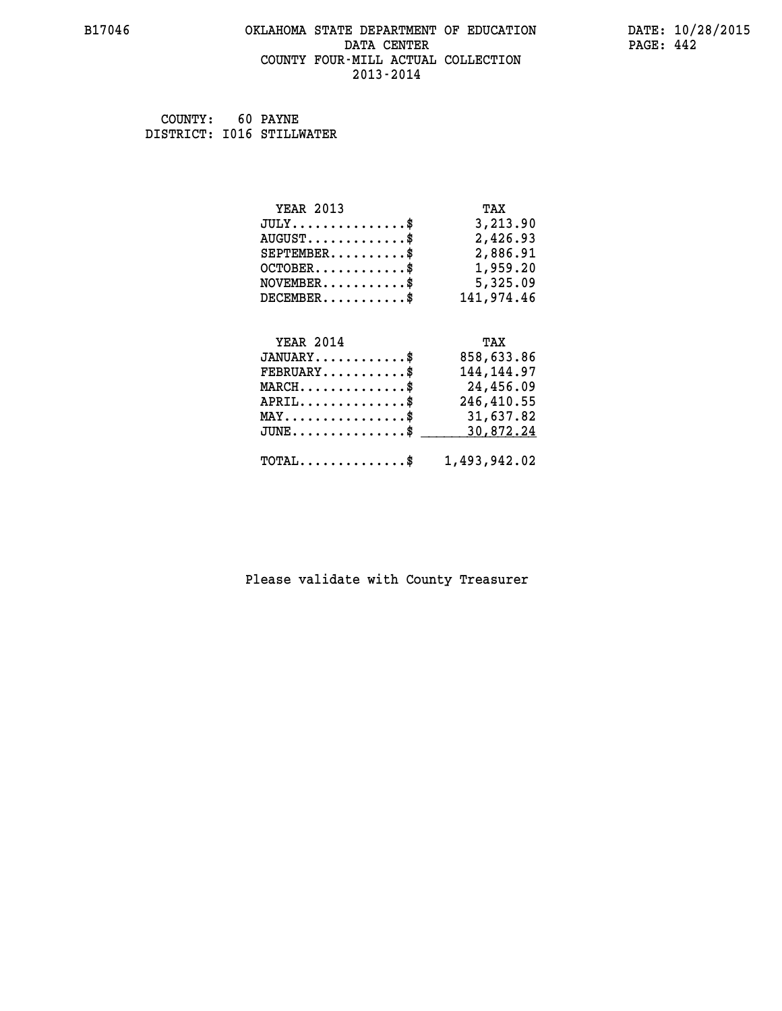#### **B17046 OKLAHOMA STATE DEPARTMENT OF EDUCATION DATE: 10/28/2015 DATA CENTER** PAGE: 442  **COUNTY FOUR-MILL ACTUAL COLLECTION 2013-2014**

 **COUNTY: 60 PAYNE DISTRICT: I016 STILLWATER**

| <b>YEAR 2013</b>                                | TAX          |
|-------------------------------------------------|--------------|
| $JULY$ \$                                       | 3,213.90     |
| $AUGUST$ \$                                     | 2,426.93     |
| $SEPTEMBER$ \$                                  | 2,886.91     |
| $OCTOBER$ \$                                    | 1,959.20     |
| $NOVEMBER.$ \$                                  | 5,325.09     |
| $DECEMBER$ \$                                   | 141,974.46   |
|                                                 |              |
| <b>YEAR 2014</b>                                | TAX          |
| $JANUARY$ \$                                    | 858,633.86   |
| $FEBRUARY$ \$                                   | 144, 144.97  |
| $\texttt{MARCH}\ldots\ldots\ldots\ldots\cdots\$ | 24,456.09    |
| $APRIL$ \$                                      | 246,410.55   |
| $\texttt{MAX} \dots \dots \dots \dots \dots \$  | 31,637.82    |
| $JUNE$ \$                                       | 30,872.24    |
| $\texttt{TOTAL} \dots \dots \dots \dots \$      | 1,493,942.02 |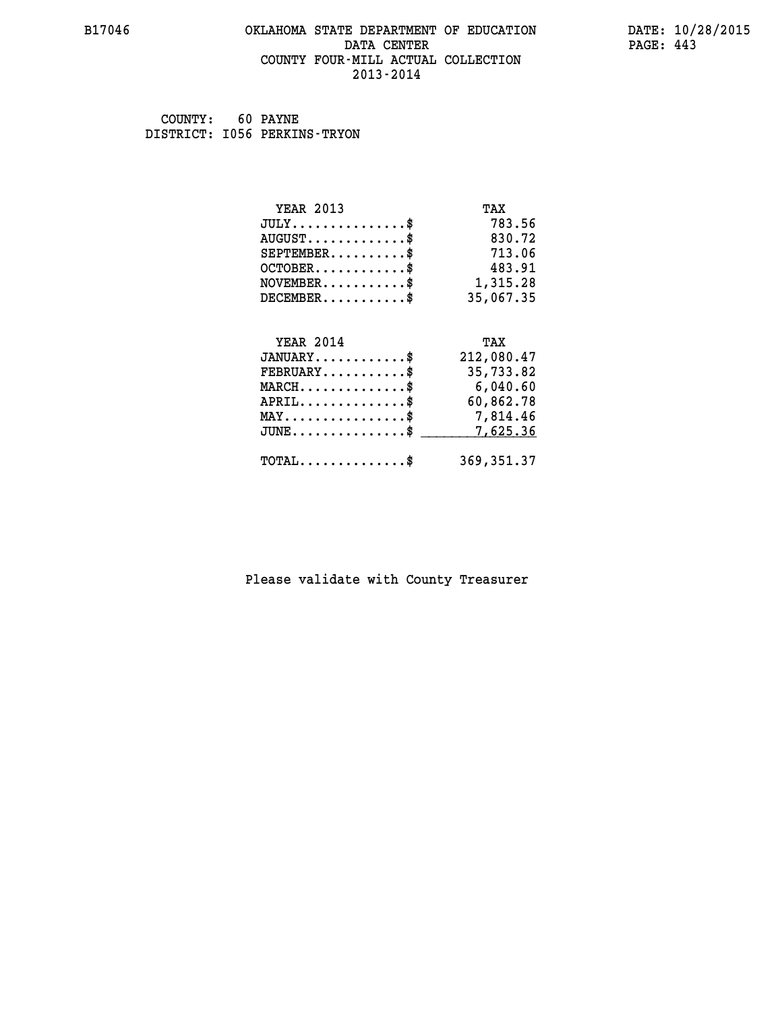#### **B17046 OKLAHOMA STATE DEPARTMENT OF EDUCATION DATE: 10/28/2015 DATA CENTER** PAGE: 443  **COUNTY FOUR-MILL ACTUAL COLLECTION 2013-2014**

 **COUNTY: 60 PAYNE DISTRICT: I056 PERKINS-TRYON**

| <b>YEAR 2013</b>                                                 | TAX         |
|------------------------------------------------------------------|-------------|
| $JULY$ \$                                                        | 783.56      |
| $AUGUST$ \$                                                      | 830.72      |
| $SEPTEMBER$ \$                                                   | 713.06      |
| $OCTOBER$ \$                                                     | 483.91      |
| $NOVEMBER.$ \$                                                   | 1,315.28    |
| $DECEMBER$ \$                                                    | 35,067.35   |
|                                                                  |             |
| <b>YEAR 2014</b>                                                 | TAX         |
| $JANUARY$ \$                                                     | 212,080.47  |
| $FEBRUARY$ \$                                                    | 35,733.82   |
| $\texttt{MARCH}\ldots\ldots\ldots\ldots\footnotesize \texttt{*}$ | 6,040.60    |
| $APRIL$ \$                                                       | 60,862.78   |
| $\texttt{MAX} \dots \dots \dots \dots \dots \$                   | 7,814.46    |
| $JUNE$ \$                                                        | 7,625.36    |
| $\texttt{TOTAL} \dots \dots \dots \dots$                         | 369, 351.37 |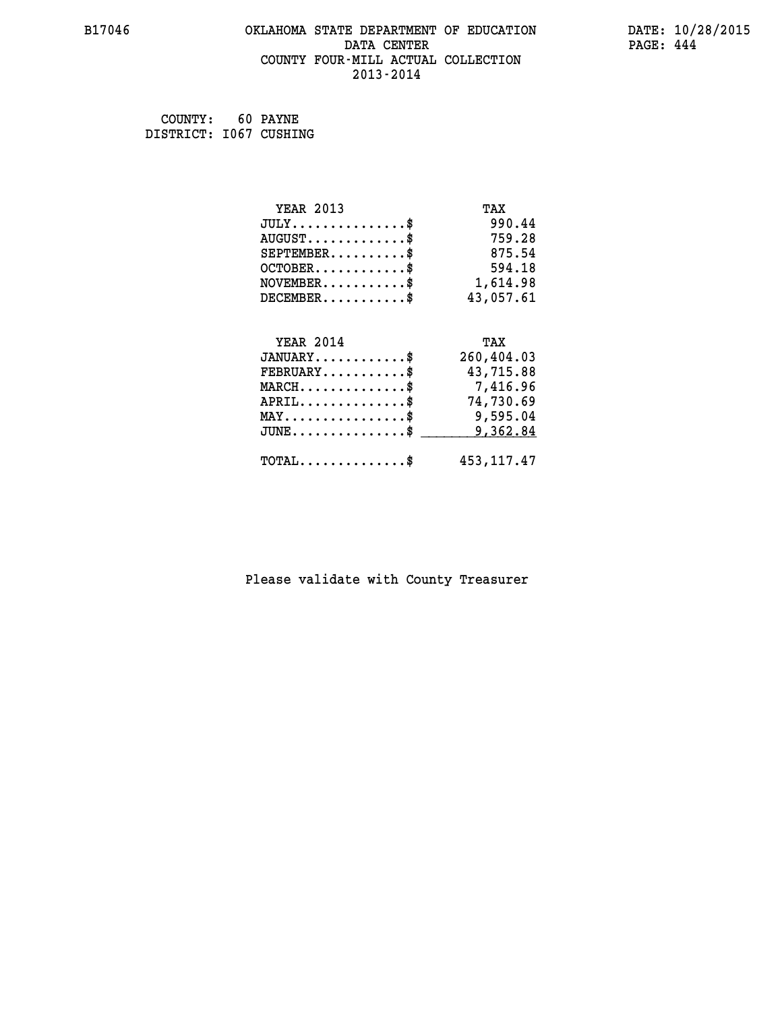#### **B17046 OKLAHOMA STATE DEPARTMENT OF EDUCATION DATE: 10/28/2015 DATA CENTER** PAGE: 444  **COUNTY FOUR-MILL ACTUAL COLLECTION 2013-2014**

 **COUNTY: 60 PAYNE DISTRICT: I067 CUSHING**

| <b>YEAR 2013</b>                           | TAX          |
|--------------------------------------------|--------------|
| $JULY$ \$                                  | 990.44       |
| $AUGUST$ \$                                | 759.28       |
| $SEPTEMENT.$ \$                            | 875.54       |
| $OCTOBER$ \$                               | 594.18       |
| $\texttt{NOVEMBER} \dots \dots \dots \$    | 1,614.98     |
| $DECEMBER$ \$                              | 43,057.61    |
|                                            |              |
| <b>YEAR 2014</b>                           | TAX          |
| $JANUARY$ \$                               | 260,404.03   |
| $FEBRUARY$                                 | 43,715.88    |
| $MARCH$ \$                                 | 7,416.96     |
| $APRIL$ \$                                 | 74,730.69    |
| MAY\$ 9,595.04                             |              |
| $JUNE$ \$                                  | 9,362.84     |
| $\texttt{TOTAL} \dots \dots \dots \dots \$ | 453, 117. 47 |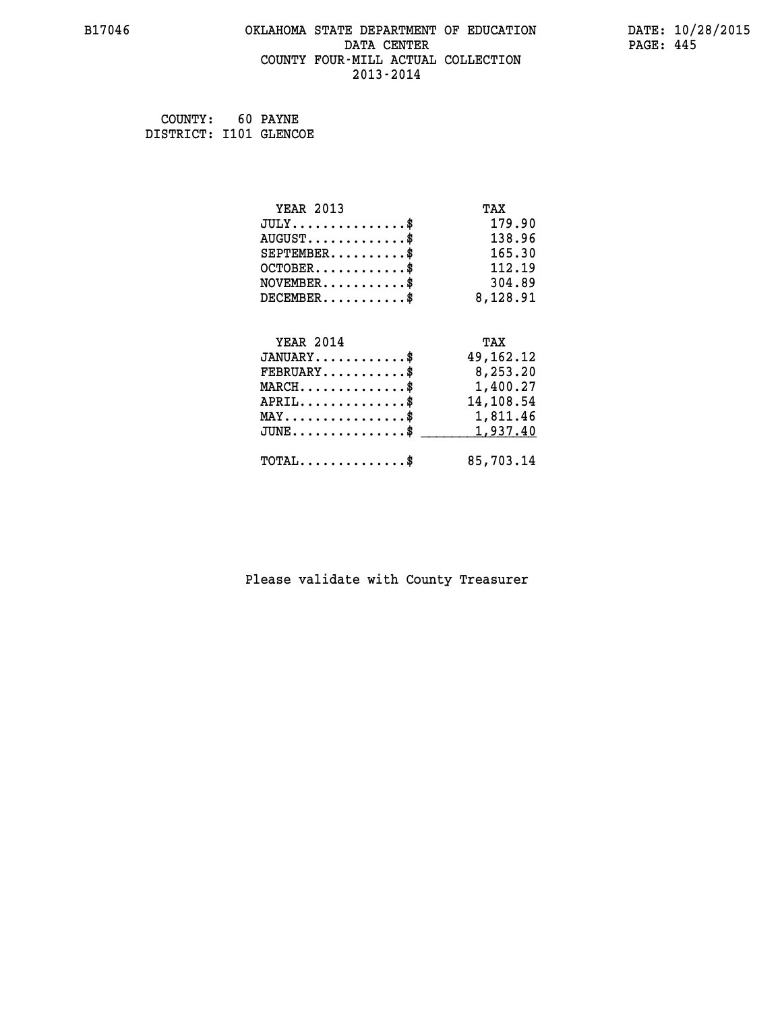#### **B17046 OKLAHOMA STATE DEPARTMENT OF EDUCATION DATE: 10/28/2015 DATA CENTER** PAGE: 445  **COUNTY FOUR-MILL ACTUAL COLLECTION 2013-2014**

 **COUNTY: 60 PAYNE DISTRICT: I101 GLENCOE**

| <b>YEAR 2013</b>                                                          | TAX         |
|---------------------------------------------------------------------------|-------------|
| $JULY$ \$                                                                 | 179.90      |
| $AUGUST$ \$                                                               | 138.96      |
| $SEPTEMBER$ \$                                                            | 165.30      |
| $OCTOBER$ \$                                                              | 112.19      |
| $\verb NOVEMBER , \verb , \verb , \verb , \verb , \verb , \verb , \verb $ | 304.89      |
| $DECEMBER$ \$                                                             | 8,128.91    |
|                                                                           |             |
| <b>YEAR 2014</b>                                                          | TAX         |
| $JANUARY$ \$                                                              | 49, 162. 12 |
|                                                                           |             |
| $FEBRUARY$                                                                | 8,253.20    |
| $\texttt{MARCH}\ldots\ldots\ldots\ldots\text{*}$                          | 1,400.27    |
| $APRIL.$ \$                                                               | 14,108.54   |
| MAY\$ 1,811.46                                                            |             |
| $JUNE$ \$                                                                 | 1,937.40    |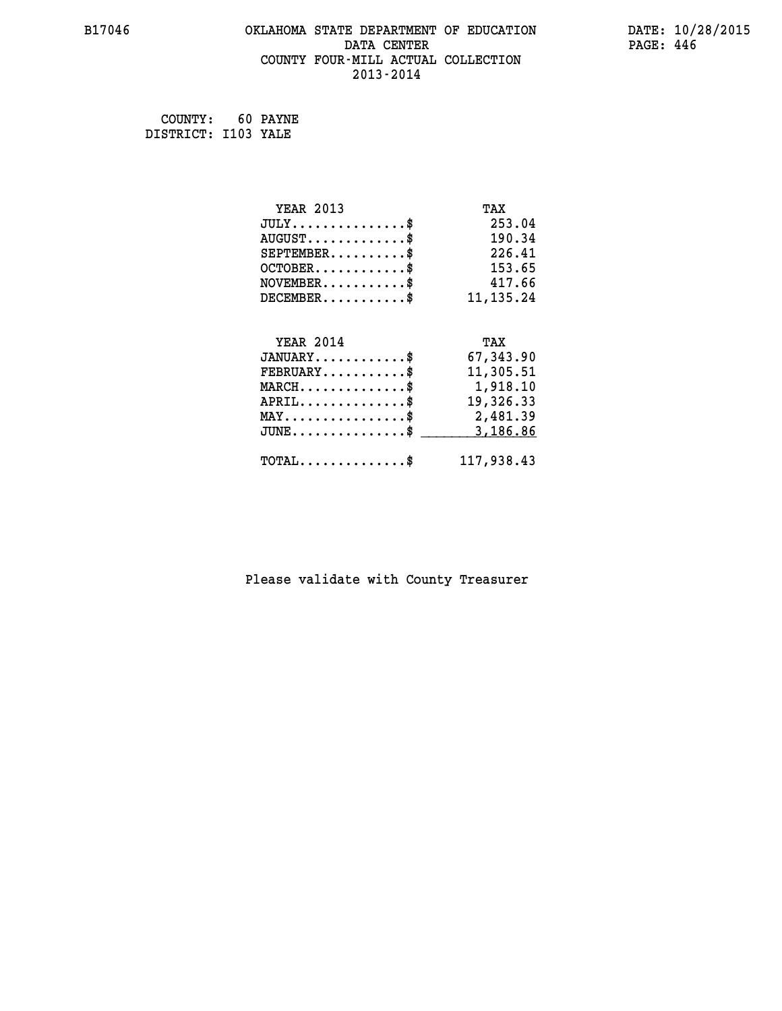#### **B17046 OKLAHOMA STATE DEPARTMENT OF EDUCATION DATE: 10/28/2015 DATA CENTER** PAGE: 446  **COUNTY FOUR-MILL ACTUAL COLLECTION 2013-2014**

 **COUNTY: 60 PAYNE DISTRICT: I103 YALE**

| <b>YEAR 2013</b>                               | TAX         |
|------------------------------------------------|-------------|
| $JULY$ \$                                      | 253.04      |
| $AUGUST$ \$                                    | 190.34      |
| $SEPTEMBER$ \$                                 | 226.41      |
| $OCTOBER$ \$                                   | 153.65      |
| $\texttt{NOVEMBER} \dots \dots \dots \$        | 417.66      |
| $DECEMBER$ \$                                  | 11, 135. 24 |
|                                                |             |
| <b>YEAR 2014</b>                               | TAX         |
| $JANUARY$ \$                                   | 67,343.90   |
| $FEBRUARY$                                     | 11,305.51   |
| $MARCH$ \$                                     | 1,918.10    |
| $APRIL$ \$                                     | 19,326.33   |
| $\texttt{MAX} \dots \dots \dots \dots \dots \$ | 2,481.39    |
| $JUNE$ \$                                      | 3,186.86    |
| $\texttt{TOTAL} \dots \dots \dots \dots \$     | 117,938.43  |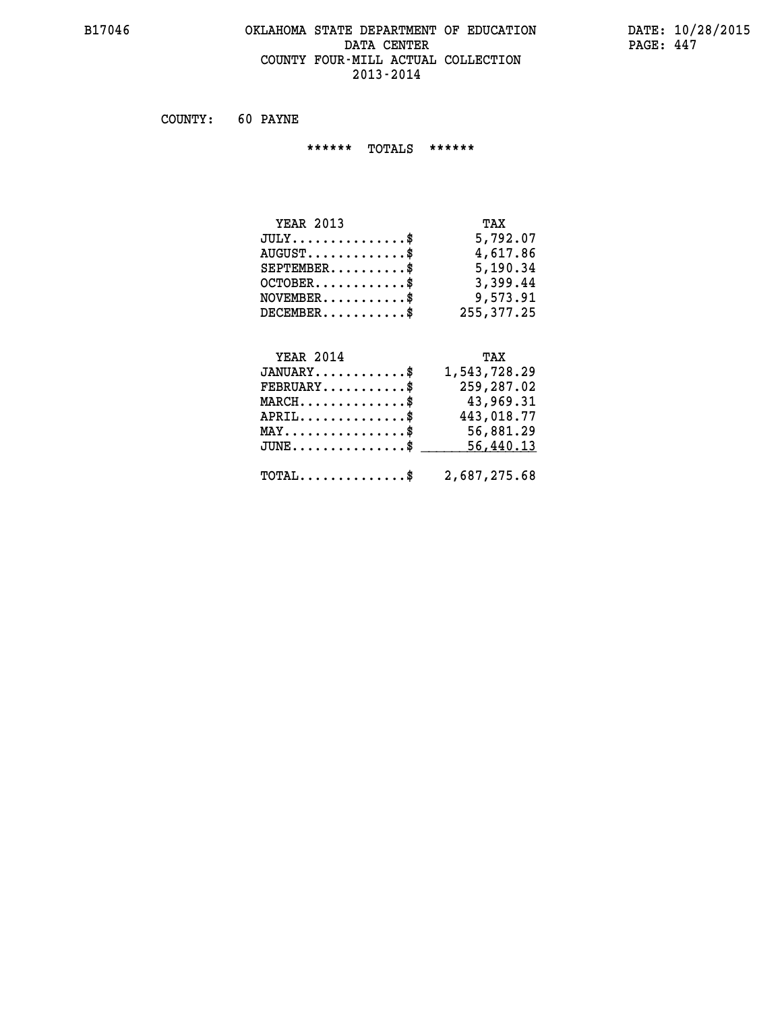#### **B17046 OKLAHOMA STATE DEPARTMENT OF EDUCATION DATE: 10/28/2015 DATA CENTER** PAGE: 447  **COUNTY FOUR-MILL ACTUAL COLLECTION 2013-2014**

 **COUNTY: 60 PAYNE**

 **\*\*\*\*\*\* TOTALS \*\*\*\*\*\***

| <b>YEAR 2013</b>        | TAX        |
|-------------------------|------------|
| $JULY$                  | 5,792.07   |
| $AUGUST$ $\$\$          | 4,617.86   |
| $SEPTEMBER$ $\$         | 5,190.34   |
| $OCTOBER$ $\frac{1}{2}$ | 3,399.44   |
| $NOVEMBER$ \$           | 9,573.91   |
| $DECEMBER$ \$           | 255,377.25 |

# **YEAR 2014 TAX**

| $JANUARY$ \$                                            | 1,543,728.29 |
|---------------------------------------------------------|--------------|
| $FEBRUARY$                                              | 259,287.02   |
| $MARCH$ \$                                              | 43,969.31    |
| $APRIL$ \$                                              | 443,018.77   |
| $MAX \dots \dots \dots \dots \dots \$                   | 56,881.29    |
| JUNE\$ 56,440.13                                        |              |
| $\texttt{TOTAL} \dots \dots \dots \dots \$ 2,687,275.68 |              |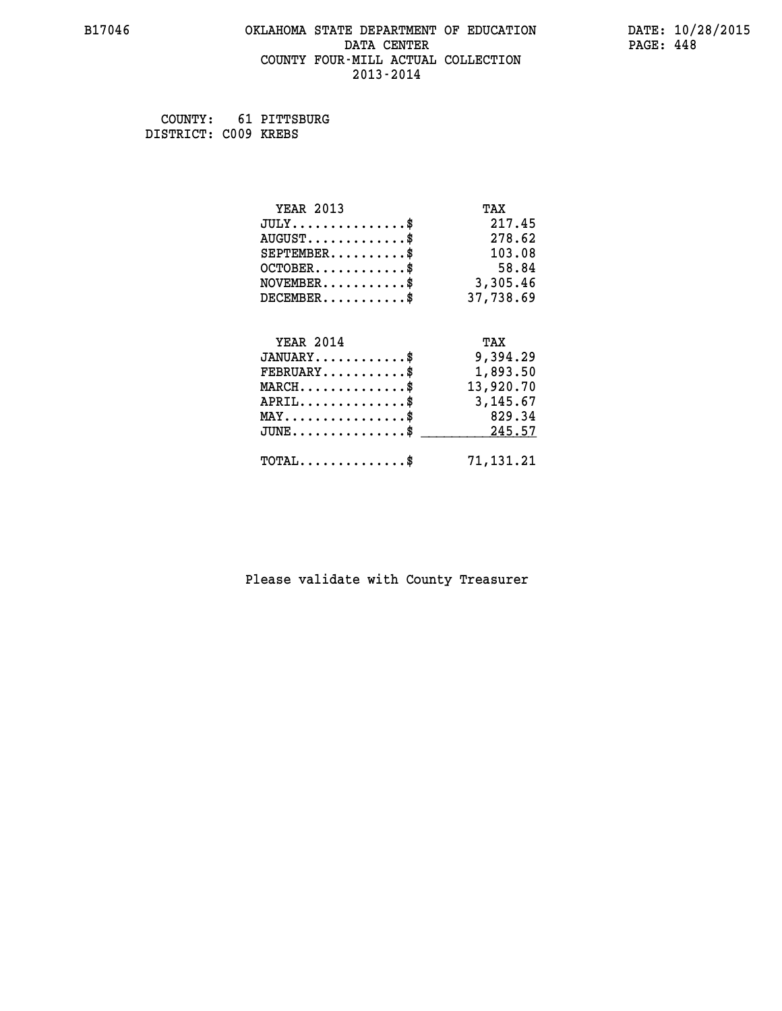#### **B17046 OKLAHOMA STATE DEPARTMENT OF EDUCATION DATE: 10/28/2015 DATA CENTER** PAGE: 448  **COUNTY FOUR-MILL ACTUAL COLLECTION 2013-2014**

 **COUNTY: 61 PITTSBURG DISTRICT: C009 KREBS**

| <b>YEAR 2013</b>                                 | TAX       |
|--------------------------------------------------|-----------|
| $JULY$ \$                                        | 217.45    |
| $AUGUST$ \$                                      | 278.62    |
| $SEPTEMBER$ \$                                   | 103.08    |
| $OCTOBER$ \$                                     | 58.84     |
| $NOVEMBER.$ \$                                   | 3,305.46  |
| $DECEMBER$ \$                                    | 37,738.69 |
|                                                  |           |
| <b>YEAR 2014</b>                                 | TAX       |
| $JANUARY$ \$                                     | 9,394.29  |
| $FEBRUARY$                                       | 1,893.50  |
|                                                  |           |
| $MARCH$ \$                                       | 13,920.70 |
| $APRIL \ldots \ldots \ldots \ldots \$            | 3,145.67  |
| $MAX \dots \dots \dots \dots \dots$              | 829.34    |
| $\texttt{JUNE} \dots \dots \dots \dots \dots \$$ | 245.57    |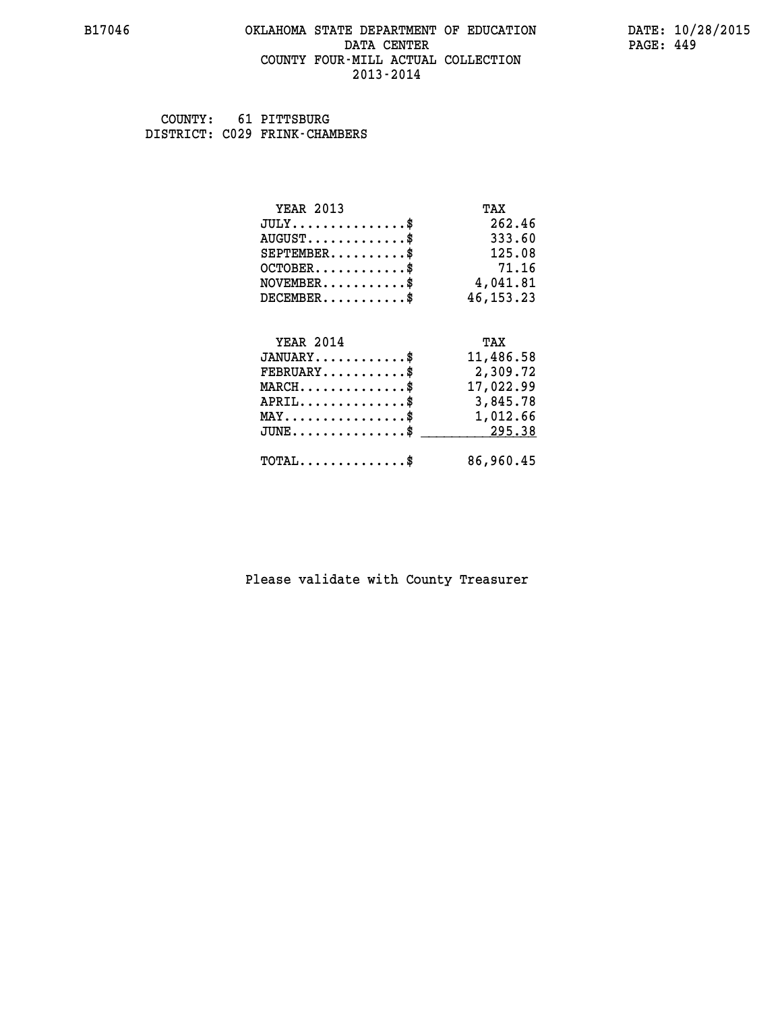#### **B17046 OKLAHOMA STATE DEPARTMENT OF EDUCATION DATE: 10/28/2015 DATA CENTER** PAGE: 449  **COUNTY FOUR-MILL ACTUAL COLLECTION 2013-2014**

 **COUNTY: 61 PITTSBURG DISTRICT: C029 FRINK-CHAMBERS**

| <b>YEAR 2013</b>                                   | TAX         |
|----------------------------------------------------|-------------|
| $JULY$ \$                                          | 262.46      |
| $AUGUST$ \$                                        | 333.60      |
| $SEPTEMBER$ \$                                     | 125.08      |
| $OCTOBER$ \$                                       | 71.16       |
| $NOVEMBER.$ \$                                     | 4,041.81    |
| $DECEMBER$ \$                                      | 46, 153. 23 |
|                                                    |             |
| <b>YEAR 2014</b>                                   | TAX         |
| $JANUARY$ \$                                       | 11,486.58   |
| $FEBRUARY$ \$                                      | 2,309.72    |
| $MARCH$ \$                                         | 17,022.99   |
| $APRIL \ldots \ldots \ldots \ldots$                | 3,845.78    |
| $\texttt{MAX} \dots \dots \dots \dots \dots \$     | 1,012.66    |
| $\texttt{JUNE} \dots \dots \dots \dots \texttt{S}$ | 295.38      |
| $\texttt{TOTAL} \dots \dots \dots \dots \$         | 86,960.45   |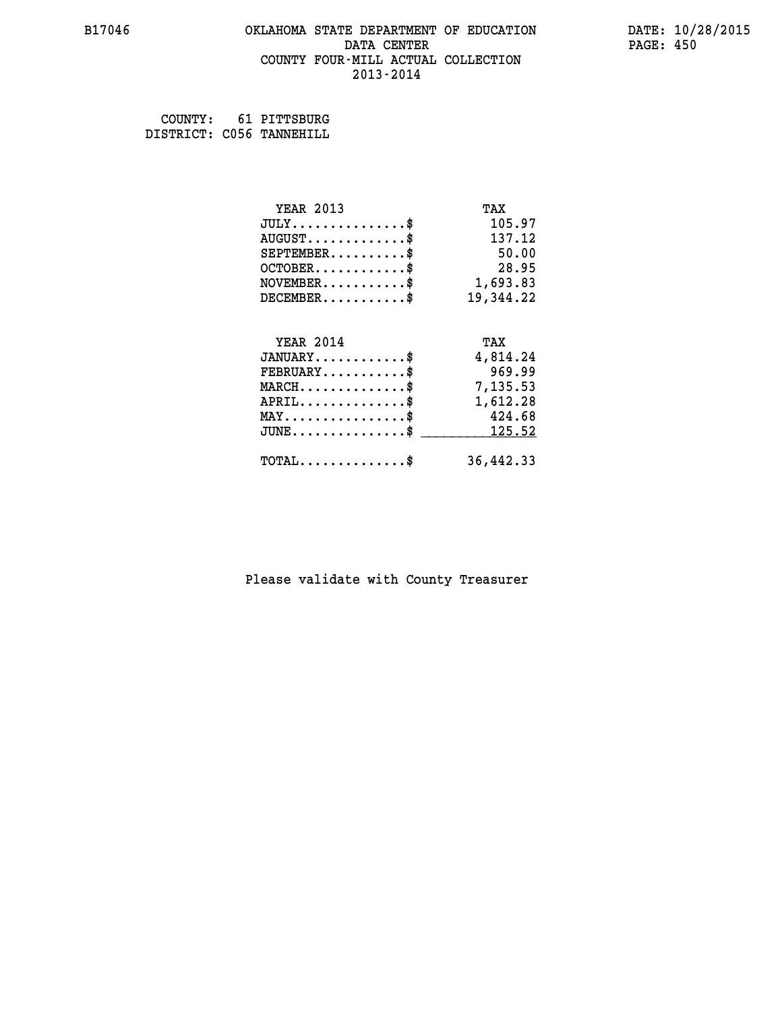#### **B17046 OKLAHOMA STATE DEPARTMENT OF EDUCATION DATE: 10/28/2015 DATA CENTER** PAGE: 450  **COUNTY FOUR-MILL ACTUAL COLLECTION 2013-2014**

 **COUNTY: 61 PITTSBURG DISTRICT: C056 TANNEHILL**

| <b>YEAR 2013</b>                | TAX       |
|---------------------------------|-----------|
| $JULY$ \$                       | 105.97    |
| $AUGUST$ \$                     | 137.12    |
| $SEPTEMBER$ \$                  | 50.00     |
| $OCTOBER$ \$                    | 28.95     |
| $NOVEMBER.$ \$                  | 1,693.83  |
| $DECEMBER$ \$                   | 19,344.22 |
| <b>YEAR 2014</b>                | TAX       |
| $JANUARY$ \$                    | 4,814.24  |
| $FEBRUARY$ \$                   | 969.99    |
| $MARCH$ \$                      | 7,135.53  |
| $APRIL$ \$                      | 1,612.28  |
| $MAX \dots \dots \dots \dots \$ | 424.68    |
| $JUNE$                          | 125.52    |
| $TOTAL$ \$                      | 36,442.33 |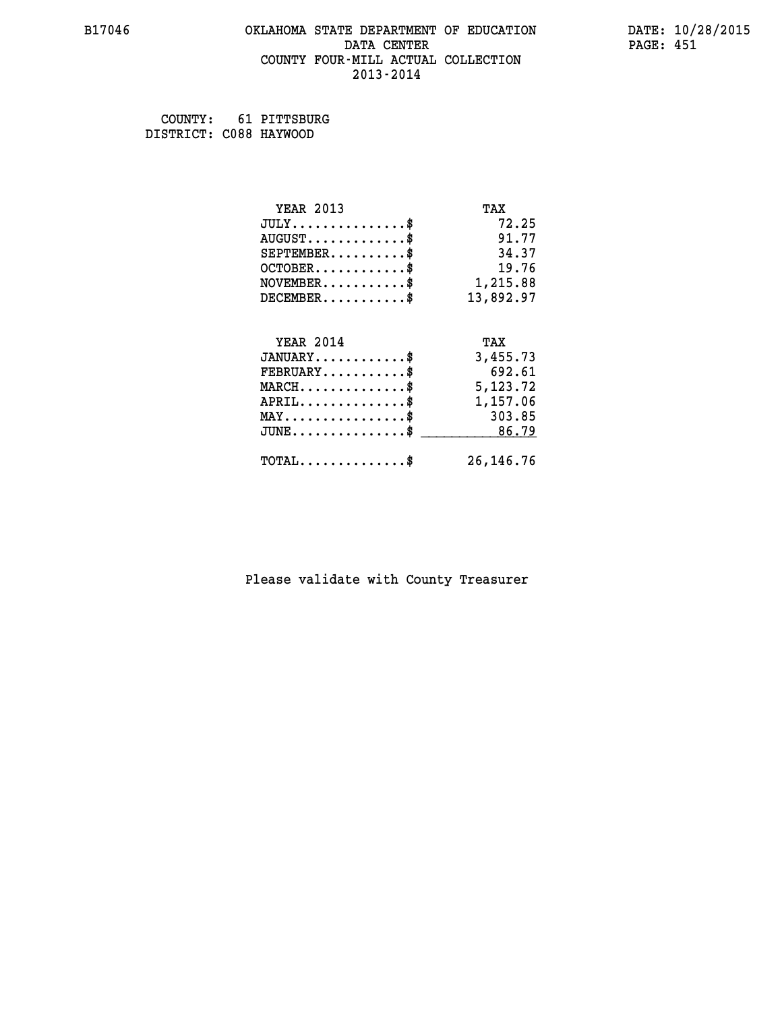#### **B17046 OKLAHOMA STATE DEPARTMENT OF EDUCATION DATE: 10/28/2015 DATA CENTER** PAGE: 451  **COUNTY FOUR-MILL ACTUAL COLLECTION 2013-2014**

 **COUNTY: 61 PITTSBURG DISTRICT: C088 HAYWOOD**

| <b>YEAR 2013</b>                          | TAX         |
|-------------------------------------------|-------------|
| $JULY$ \$                                 | 72.25       |
| $AUGUST$ \$                               | 91.77       |
| $SEPTEMBER$ \$                            | 34.37       |
| $OCTOBER$ \$                              | 19.76       |
| $NOVEMBER.$ \$                            | 1,215.88    |
| $DECEMBER$ \$                             | 13,892.97   |
| <b>YEAR 2014</b>                          | TAX         |
| $JANUARY$ \$                              | 3,455.73    |
| $FEBRUARY$ \$                             | 692.61      |
| $\texttt{MARCH}\ldots\ldots\ldots\ldots\$ | 5,123.72    |
| $APRIL$ \$                                | 1,157.06    |
| $MAX \dots \dots \dots \dots \$           | 303.85      |
| $JUNE$ \$                                 | 86.79       |
| $TOTAL$ \$                                | 26, 146. 76 |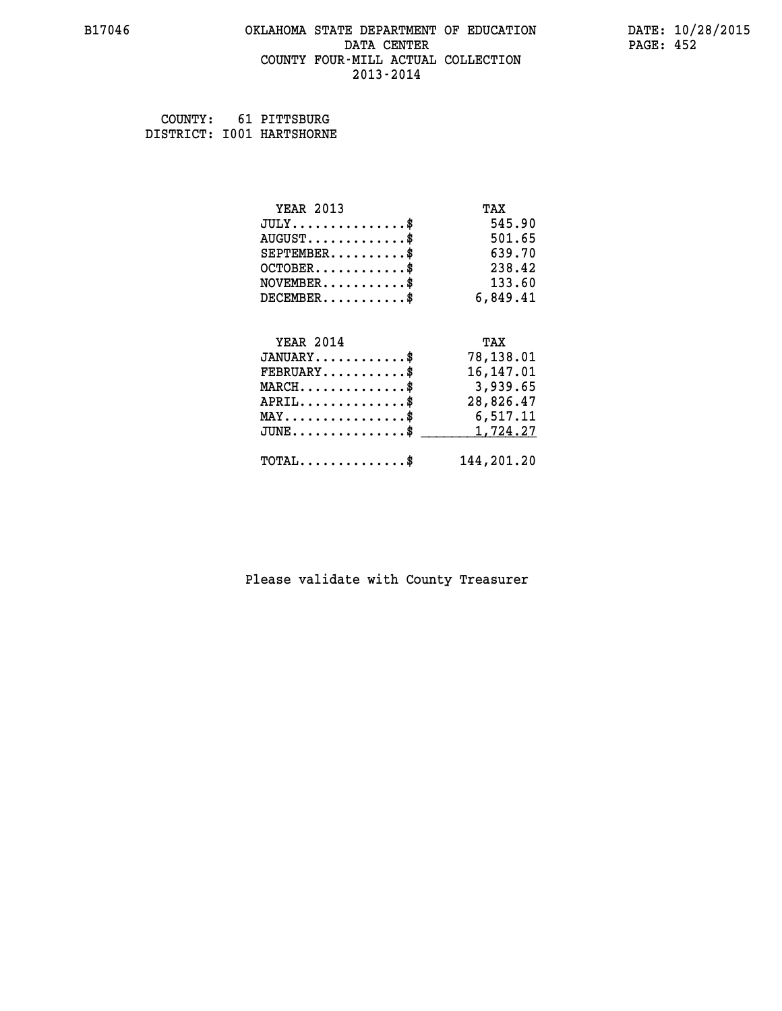## **B17046 OKLAHOMA STATE DEPARTMENT OF EDUCATION DATE: 10/28/2015 DATA CENTER PAGE: 452 COUNTY FOUR-MILL ACTUAL COLLECTION 2013-2014**

 **COUNTY: 61 PITTSBURG DISTRICT: I001 HARTSHORNE**

| <b>YEAR 2013</b>                                 | TAX        |
|--------------------------------------------------|------------|
| $JULY$ \$                                        | 545.90     |
| $AUGUST$ \$                                      | 501.65     |
| $SEPTEMBER$ \$                                   | 639.70     |
| $OCTOBER$ \$                                     | 238.42     |
| $\texttt{NOVEMBER} \dots \dots \dots \$          | 133.60     |
| $DECEMBER$ \$                                    | 6,849.41   |
|                                                  |            |
| <b>YEAR 2014</b>                                 | TAX        |
| $JANUARY$ \$                                     | 78,138.01  |
| $FEBRUARY$                                       | 16,147.01  |
| $MARCH$ \$                                       | 3,939.65   |
| $APRIL$ \$                                       | 28,826.47  |
| MAY\$ 6,517.11                                   |            |
| $\texttt{JUNE} \dots \dots \dots \dots \dots \$$ | 1,724.27   |
| $\texttt{TOTAL} \dots \dots \dots \dots \$       | 144,201.20 |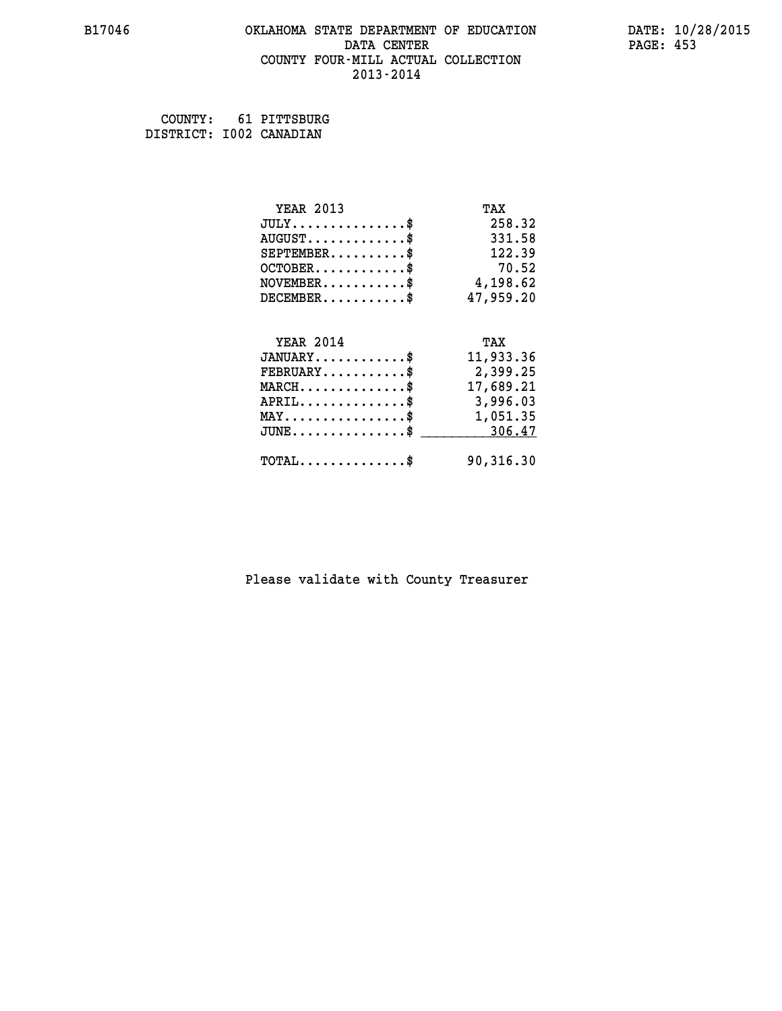#### **B17046 OKLAHOMA STATE DEPARTMENT OF EDUCATION DATE: 10/28/2015 DATA CENTER** PAGE: 453  **COUNTY FOUR-MILL ACTUAL COLLECTION 2013-2014**

 **COUNTY: 61 PITTSBURG**

 **DISTRICT: I002 CANADIAN**

| <b>YEAR 2013</b>                               | TAX       |
|------------------------------------------------|-----------|
| $JULY$ \$                                      | 258.32    |
| $AUGUST$ \$                                    | 331.58    |
| $SEPTEMENT.$ \$                                | 122.39    |
| $OCTOBER$ \$                                   | 70.52     |
| $NOVEMBER$ \$                                  | 4,198.62  |
| $DECEMBER$ \$                                  | 47,959.20 |
|                                                |           |
| <b>YEAR 2014</b>                               | TAX       |
| $JANUARY$ \$                                   | 11,933.36 |
| $FEBRUARY$                                     | 2,399.25  |
|                                                |           |
| $MARCH$ \$                                     | 17,689.21 |
| $APRIL$ \$                                     | 3,996.03  |
| $\texttt{MAX} \dots \dots \dots \dots \dots \$ | 1,051.35  |
| $JUNE$ \$                                      | 306.47    |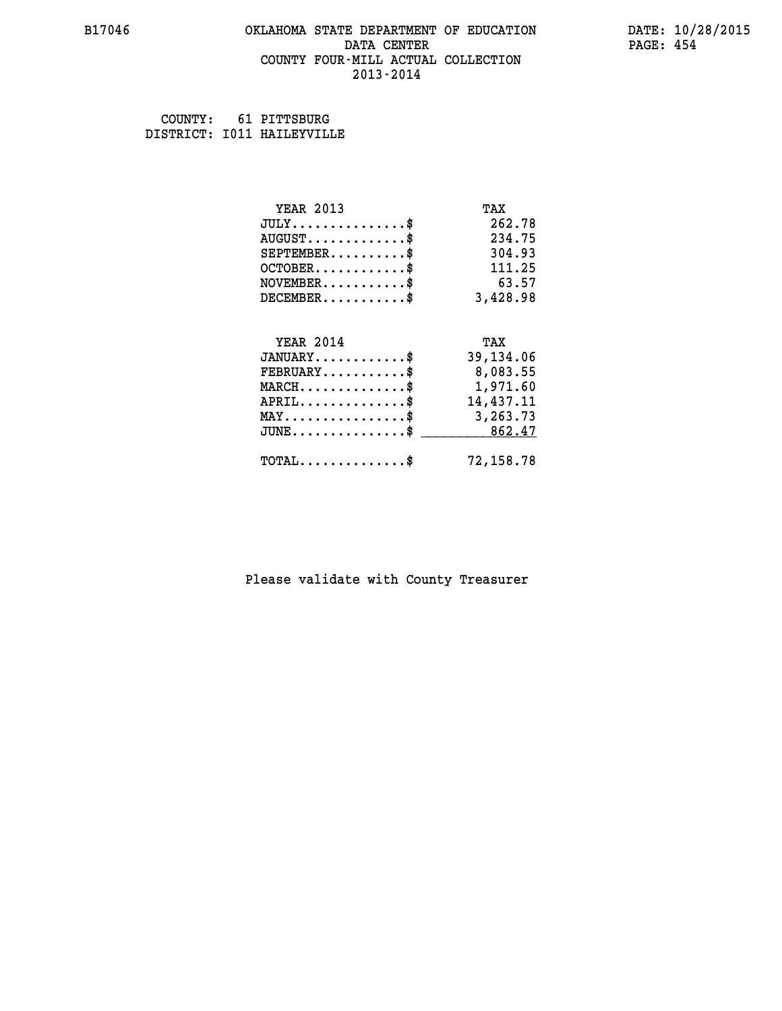#### **B17046 OKLAHOMA STATE DEPARTMENT OF EDUCATION DATE: 10/28/2015 DATA CENTER** PAGE: 454  **COUNTY FOUR-MILL ACTUAL COLLECTION 2013-2014**

 **COUNTY: 61 PITTSBURG DISTRICT: I011 HAILEYVILLE**

| <b>YEAR 2013</b>                                 | TAX       |
|--------------------------------------------------|-----------|
| $JULY$ \$                                        | 262.78    |
| $AUGUST$ \$                                      | 234.75    |
| $SEPTEMBER$ \$                                   | 304.93    |
| $OCTOBER$ \$                                     | 111.25    |
| $NOVEMBER$ \$                                    | 63.57     |
| $DECEMBER$ \$                                    | 3,428.98  |
| <b>YEAR 2014</b>                                 | TAX       |
| $JANUARY$ \$                                     | 39,134.06 |
| $FEBRUARY$ \$                                    | 8,083.55  |
| $MARCH$ \$                                       | 1,971.60  |
| $APRIL$ \$                                       | 14,437.11 |
| $\texttt{MAX} \dots \dots \dots \dots \dots \$   | 3,263.73  |
| $\texttt{JUNE} \dots \dots \dots \dots \dots \$$ | 862.47    |
| $\texttt{TOTAL} \dots \dots \dots \dots \$       | 72,158.78 |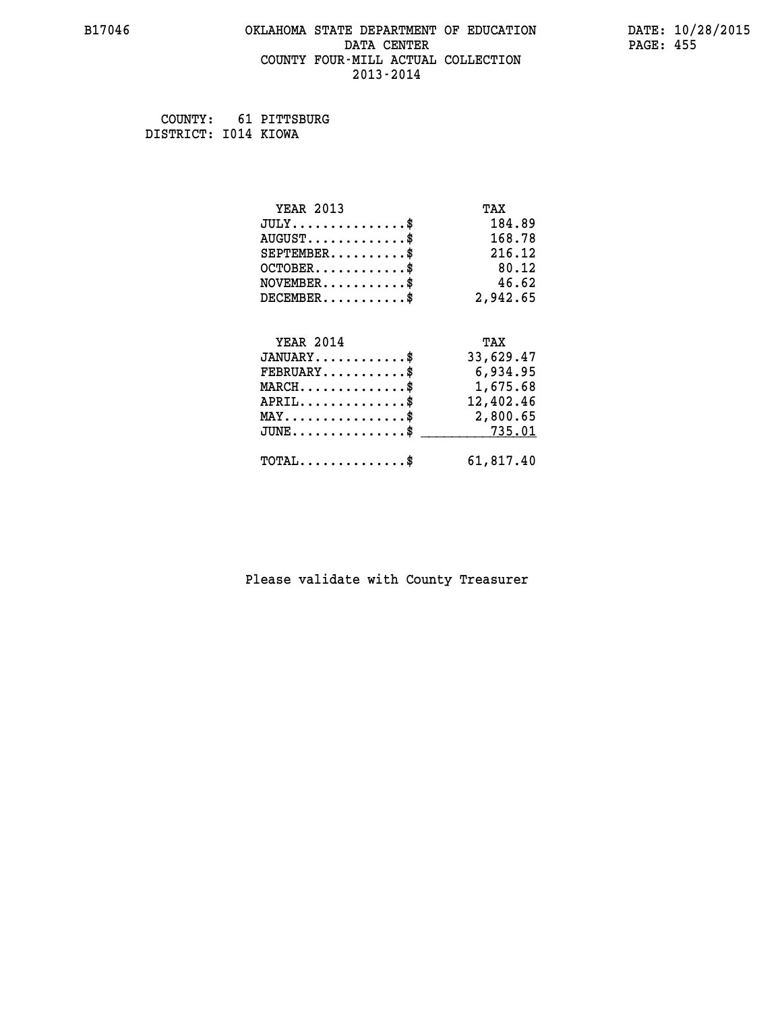#### **B17046 OKLAHOMA STATE DEPARTMENT OF EDUCATION DATE: 10/28/2015 DATA CENTER** PAGE: 455  **COUNTY FOUR-MILL ACTUAL COLLECTION 2013-2014**

 **COUNTY: 61 PITTSBURG DISTRICT: I014 KIOWA**

| <b>YEAR 2013</b>                                 | TAX       |
|--------------------------------------------------|-----------|
| $JULY$ \$                                        | 184.89    |
| $AUGUST$ \$                                      | 168.78    |
| $SEPTEMBER$ \$                                   | 216.12    |
| $OCTOBER$ \$                                     | 80.12     |
| $NOVEMBER$ \$                                    | 46.62     |
| $DECEMBER$ \$                                    | 2,942.65  |
|                                                  |           |
| <b>YEAR 2014</b>                                 | TAX       |
| $JANUARY$ \$                                     | 33,629.47 |
| $FEBRUARY$                                       | 6,934.95  |
| $\texttt{MARCH}\ldots\ldots\ldots\ldots\text{*}$ | 1,675.68  |
| $APRIL \ldots \ldots \ldots \ldots$ \$           | 12,402.46 |
| $\texttt{MAX} \dots \dots \dots \dots \dots \$   | 2,800.65  |
| $\texttt{JUNE}\dots\dots\dots\dots\dots\$        | 735.01    |
| $\texttt{TOTAL} \dots \dots \dots \dots \$       | 61,817.40 |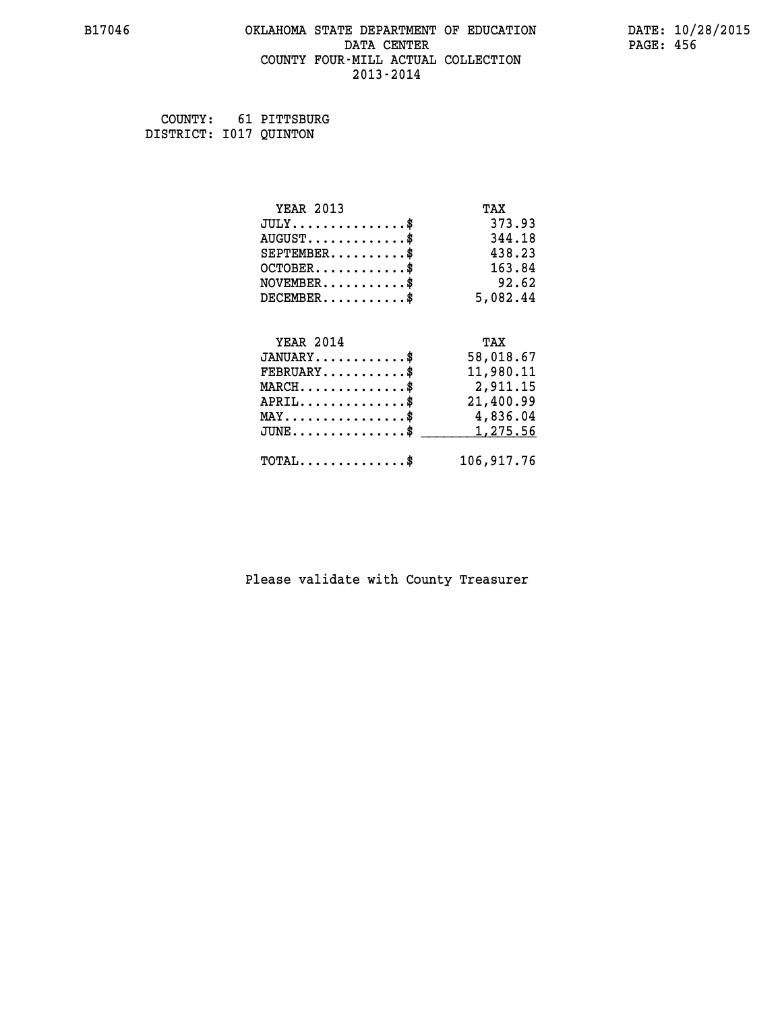#### **B17046 OKLAHOMA STATE DEPARTMENT OF EDUCATION DATE: 10/28/2015 DATA CENTER** PAGE: 456  **COUNTY FOUR-MILL ACTUAL COLLECTION 2013-2014**

 **COUNTY: 61 PITTSBURG DISTRICT: I017 QUINTON**

| <b>YEAR 2013</b>                               | TAX        |
|------------------------------------------------|------------|
| $JULY$ \$                                      | 373.93     |
| $AUGUST$ \$                                    | 344.18     |
| $SEPTEMENT.$ \$                                | 438.23     |
| $OCTOBER$ \$                                   | 163.84     |
| $\texttt{NOVEMBER} \dots \dots \dots \$        | 92.62      |
| $DECEMBER$ \$                                  | 5,082.44   |
|                                                |            |
| <b>YEAR 2014</b>                               | TAX        |
| $JANUARY$ \$                                   | 58,018.67  |
| $FEBRUARY$                                     | 11,980.11  |
| $MARCH$ \$                                     | 2,911.15   |
| $APRIL$ \$                                     | 21,400.99  |
| $\texttt{MAX} \dots \dots \dots \dots \dots \$ | 4,836.04   |
| $JUNE$ \$                                      | 1,275.56   |
| $\texttt{TOTAL} \dots \dots \dots \dots \$     | 106,917.76 |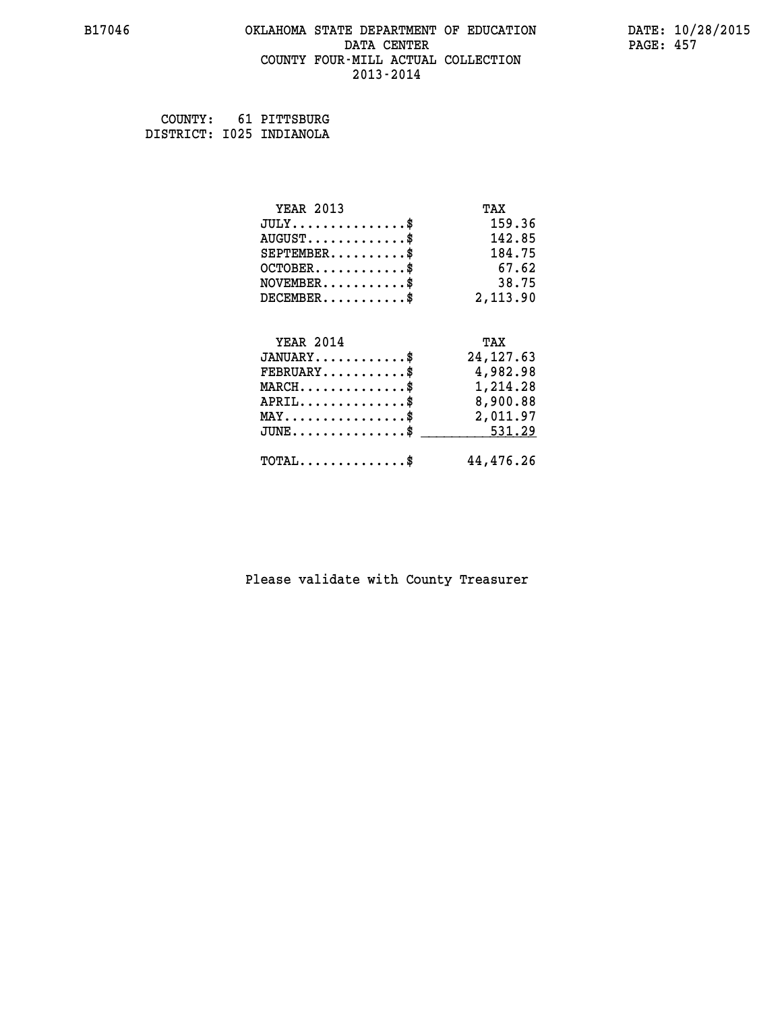#### **B17046 OKLAHOMA STATE DEPARTMENT OF EDUCATION DATE: 10/28/2015 DATA CENTER** PAGE: 457  **COUNTY FOUR-MILL ACTUAL COLLECTION 2013-2014**

 **COUNTY: 61 PITTSBURG DISTRICT: I025 INDIANOLA**

| <b>YEAR 2013</b>                                                          | TAX        |
|---------------------------------------------------------------------------|------------|
| $JULY$ \$                                                                 | 159.36     |
| $AUGUST$ \$                                                               | 142.85     |
| $SEPTEMBER$ \$                                                            | 184.75     |
| $OCTOBER$ \$                                                              | 67.62      |
| $\verb NOVEMBER , \verb , \verb , \verb , \verb , \verb , \verb , \verb $ | 38.75      |
| $DECEMBER$ \$                                                             | 2,113.90   |
| <b>YEAR 2014</b>                                                          | TAX        |
| $JANUARY$ \$                                                              | 24, 127.63 |
| $\texttt{FEBRUARY} \dots \dots \dots \$                                   | 4,982.98   |
| $\texttt{MARCH}\ldots\ldots\ldots\ldots\text{*}$                          | 1,214.28   |
| $APRIL \ldots \ldots \ldots \ldots \$                                     | 8,900.88   |
| $\texttt{MAX} \dots \dots \dots \dots \dots \$                            | 2,011.97   |
| $\texttt{JUNE} \dots \dots \dots \dots \texttt{S}$                        | 531.29     |
| $TOTAL$ \$                                                                | 44,476.26  |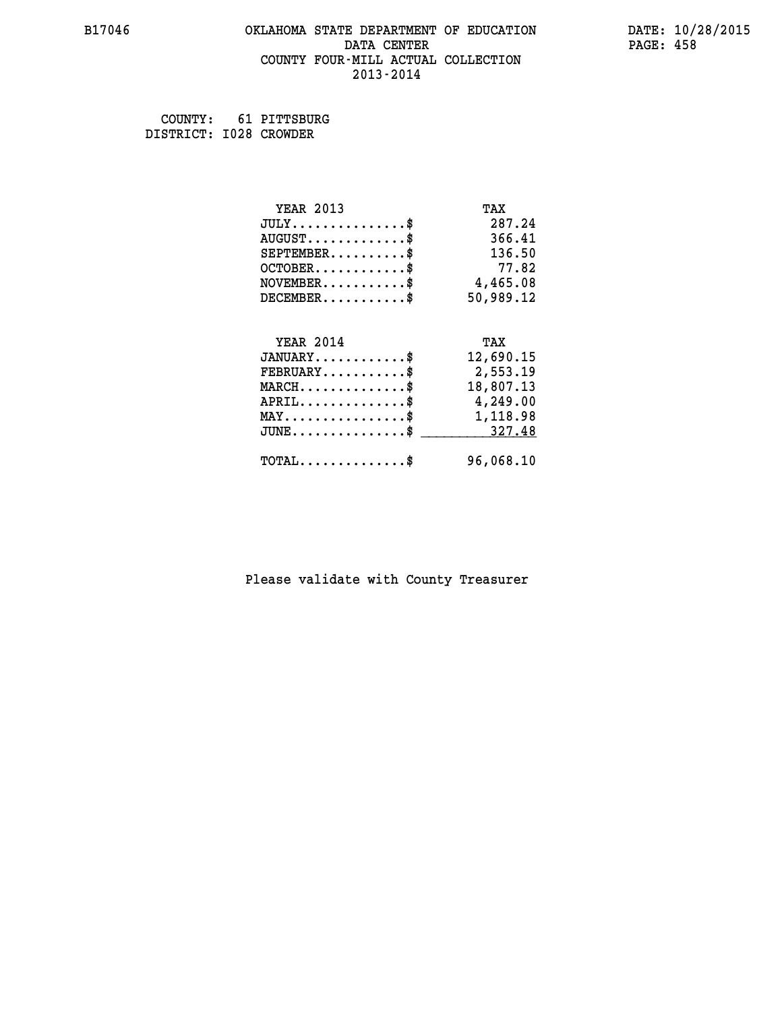#### **B17046 OKLAHOMA STATE DEPARTMENT OF EDUCATION DATE: 10/28/2015 DATA CENTER** PAGE: 458  **COUNTY FOUR-MILL ACTUAL COLLECTION 2013-2014**

 **COUNTY: 61 PITTSBURG DISTRICT: I028 CROWDER**

| <b>YEAR 2013</b>                                   | TAX       |
|----------------------------------------------------|-----------|
| $JULY$ \$                                          | 287.24    |
| $AUGUST$ \$                                        | 366.41    |
| $SEPTEMBER$ \$                                     | 136.50    |
| $OCTOBER$ \$                                       | 77.82     |
| $NOVEMBER$ \$                                      | 4,465.08  |
| $DECEMBER$ \$                                      | 50,989.12 |
|                                                    |           |
| <b>YEAR 2014</b>                                   | TAX       |
| $JANUARY$ \$                                       | 12,690.15 |
| $FEBRUARY$ \$                                      | 2,553.19  |
| $MARCH$ \$                                         | 18,807.13 |
| $APRIL \ldots \ldots \ldots \ldots \$              | 4,249.00  |
| $\texttt{MAX} \dots \dots \dots \dots \dots \$$    | 1,118.98  |
| $\texttt{JUNE} \dots \dots \dots \dots \texttt{S}$ | 327.48    |
| $\texttt{TOTAL} \dots \dots \dots \dots \$         | 96,068.10 |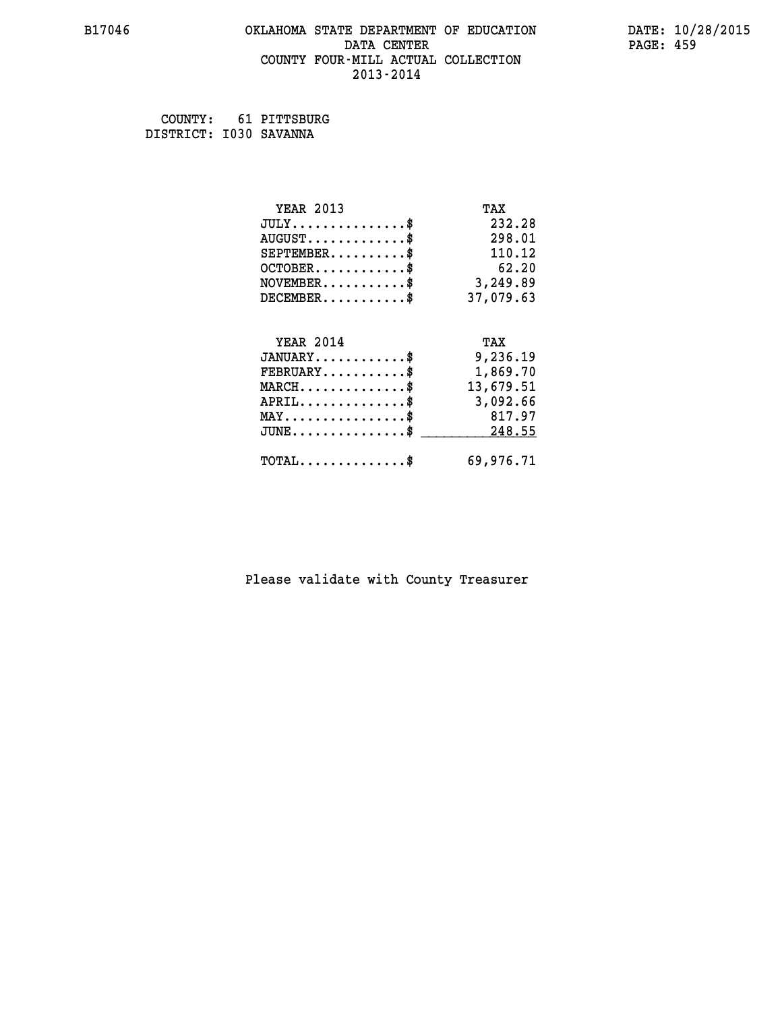#### **B17046 OKLAHOMA STATE DEPARTMENT OF EDUCATION DATE: 10/28/2015 DATA CENTER** PAGE: 459  **COUNTY FOUR-MILL ACTUAL COLLECTION 2013-2014**

 **COUNTY: 61 PITTSBURG DISTRICT: I030 SAVANNA**

| <b>YEAR 2013</b>                                 | TAX       |
|--------------------------------------------------|-----------|
| $JULY$ \$                                        | 232.28    |
| $AUGUST$ \$                                      | 298.01    |
| $SEPTEMBER$ \$                                   | 110.12    |
| $OCTOBER$ \$                                     | 62.20     |
| $NOVEMBER.$ \$                                   | 3,249.89  |
| $DECEMBER$ \$                                    | 37,079.63 |
|                                                  |           |
| <b>YEAR 2014</b>                                 | TAX       |
| $JANUARY$ \$                                     | 9,236.19  |
| $FEBRUARY$                                       | 1,869.70  |
| $MARCH \ldots \ldots \ldots \ldots \$            | 13,679.51 |
| $APRIL \ldots \ldots \ldots \ldots \$            | 3,092.66  |
| $\texttt{MAX} \dots \dots \dots \dots \dots \$   | 817.97    |
| $\texttt{JUNE} \dots \dots \dots \dots \dots \$$ | 248.55    |
| $\texttt{TOTAL} \dots \dots \dots \dots \$       | 69,976.71 |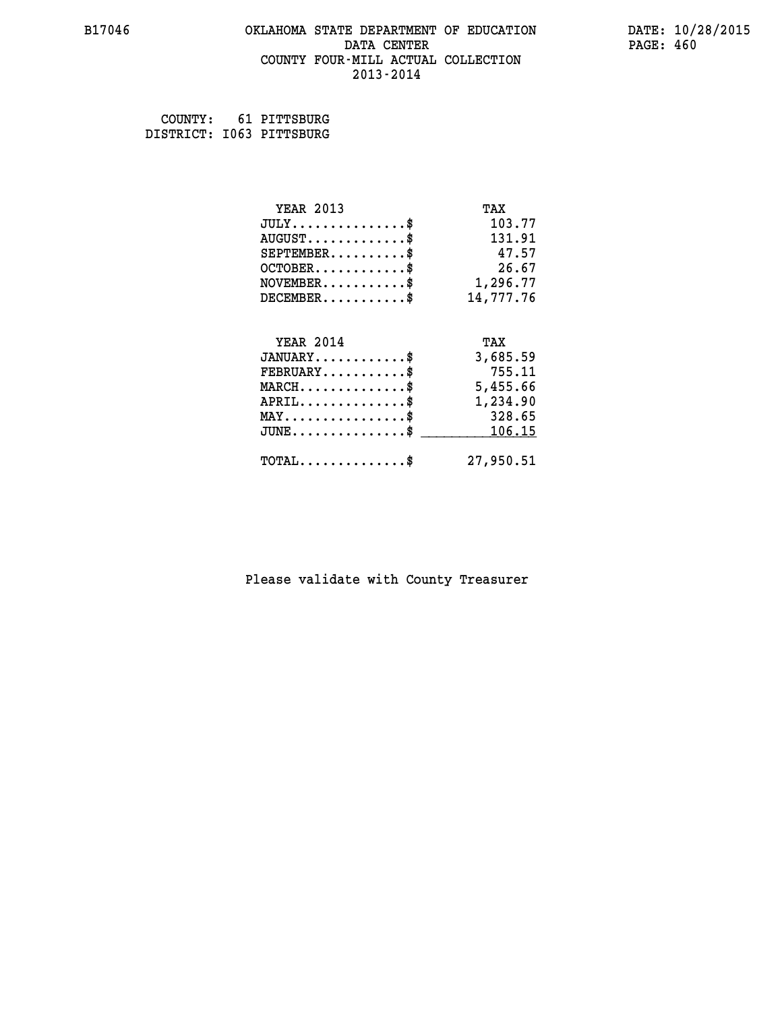#### **B17046 OKLAHOMA STATE DEPARTMENT OF EDUCATION DATE: 10/28/2015 DATA CENTER** PAGE: 460  **COUNTY FOUR-MILL ACTUAL COLLECTION 2013-2014**

 **COUNTY: 61 PITTSBURG DISTRICT: I063 PITTSBURG**

| <b>YEAR 2013</b>                    | TAX       |
|-------------------------------------|-----------|
| $JULY$                              | 103.77    |
| $AUGUST$ $\overline{\ }$            | 131.91    |
| $SEPTEMBER$ \$                      | 47.57     |
| $OCTOBER$                           | 26.67     |
| NOVEMENT.                           | 1,296.77  |
| $DECEMENT.$                         | 14,777.76 |
| <b>YEAR 2014</b>                    | TAX       |
| $JANUARY$ \$                        | 3,685.59  |
| $FEBRUARY$ \$                       | 755.11    |
| $MARCH$ \$                          | 5,455.66  |
| $APRIL$ \$                          | 1,234.90  |
| $MAX \dots \dots \dots \dots \dots$ | 328.65    |
| $JUNE$                              | 106.15    |
| $TOTAL$ \$                          | 27,950.51 |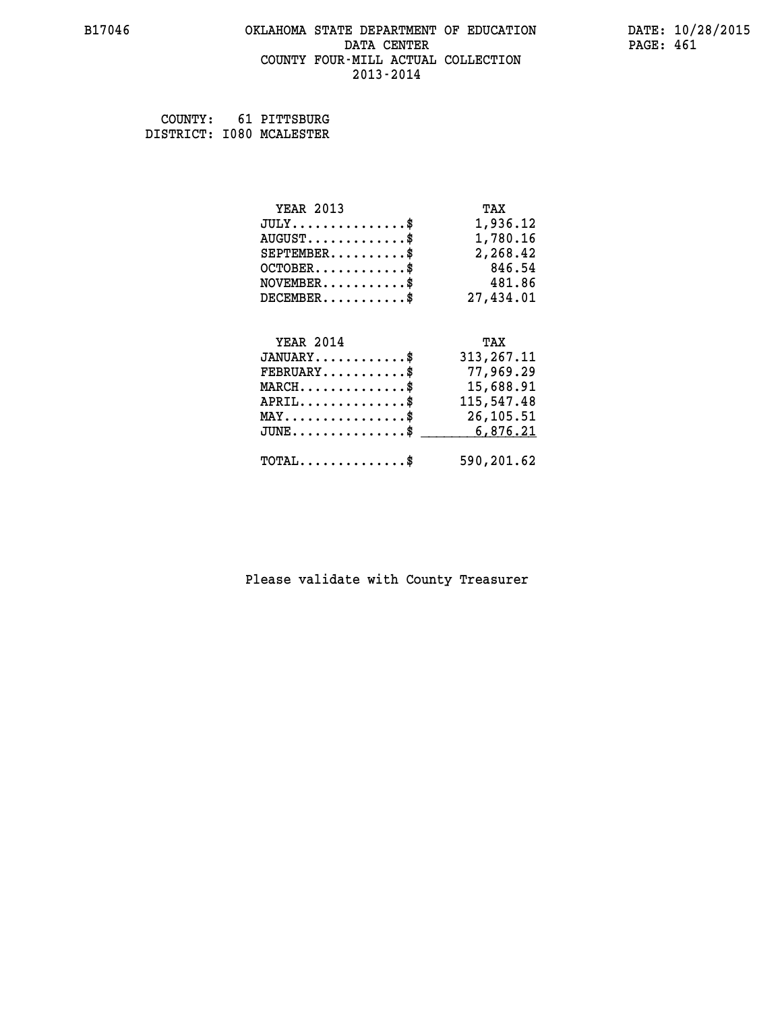#### **B17046 OKLAHOMA STATE DEPARTMENT OF EDUCATION DATE: 10/28/2015 DATA CENTER** PAGE: 461  **COUNTY FOUR-MILL ACTUAL COLLECTION 2013-2014**

 **COUNTY: 61 PITTSBURG DISTRICT: I080 MCALESTER**

| <b>YEAR 2013</b>                               | TAX          |
|------------------------------------------------|--------------|
| $JULY$ \$                                      | 1,936.12     |
| $AUGUST$ \$                                    | 1,780.16     |
| $SEPTEMBER$ \$                                 | 2,268.42     |
| $OCTOBER$ \$                                   | 846.54       |
| $NOVEMBER.$ \$                                 | 481.86       |
| $DECEMBER$ \$                                  | 27,434.01    |
|                                                |              |
| <b>YEAR 2014</b>                               | TAX          |
| $JANUARY$ \$                                   | 313, 267. 11 |
| $FEBRUARY$                                     | 77,969.29    |
| $\texttt{MARCH}\ldots\ldots\ldots\ldots\$      | 15,688.91    |
| $APRIL$ \$                                     | 115,547.48   |
| $\texttt{MAX} \dots \dots \dots \dots \dots \$ | 26,105.51    |
| $JUNE \ldots \ldots \ldots \ldots$ \$ 6,876.21 |              |
| $\texttt{TOTAL} \dots \dots \dots \dots$ \$    | 590,201.62   |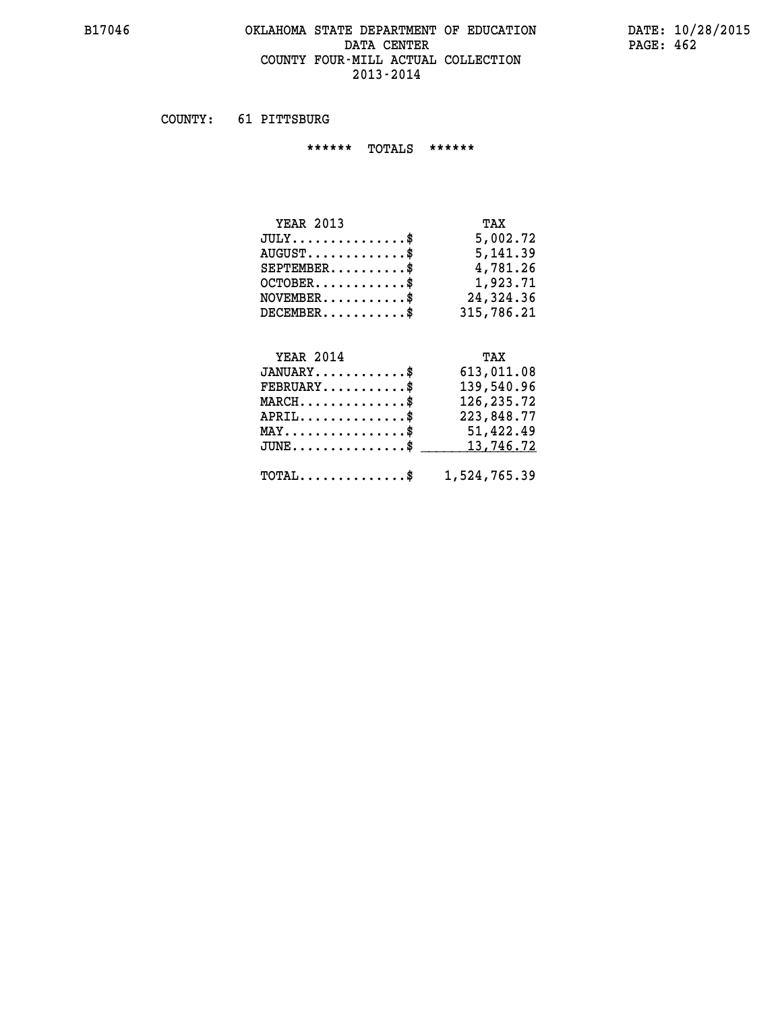#### **B17046 OKLAHOMA STATE DEPARTMENT OF EDUCATION DATE: 10/28/2015 DATA CENTER** PAGE: 462  **COUNTY FOUR-MILL ACTUAL COLLECTION 2013-2014**

 **COUNTY: 61 PITTSBURG**

 **\*\*\*\*\*\* TOTALS \*\*\*\*\*\***

| <b>YEAR 2013</b>                     | TAX        |
|--------------------------------------|------------|
| $JULY \ldots \ldots \ldots \ldots \$ | 5,002.72   |
| $AUGUST$                             | 5, 141.39  |
| $SEPTEMBER$                          | 4,781.26   |
| $OCTOBER$                            | 1,923.71   |
| $NOVEMBER$ \$                        | 24,324.36  |
| $DECEMBER$ \$                        | 315,786.21 |

# **YEAR 2014**

| <b>YEAR 2014</b>                                        | TAX        |
|---------------------------------------------------------|------------|
| $JANUARY$ \$                                            | 613,011.08 |
| $FEBRUARY$ \$                                           | 139,540.96 |
| $MARCH$                                                 | 126,235.72 |
| $APRIL$ \$                                              | 223,848.77 |
| $MAX \dots \dots \dots \dots \$                         | 51,422.49  |
| JUNE\$ 13,746.72                                        |            |
| $\texttt{TOTAL} \dots \dots \dots \dots \$ 1,524,765.39 |            |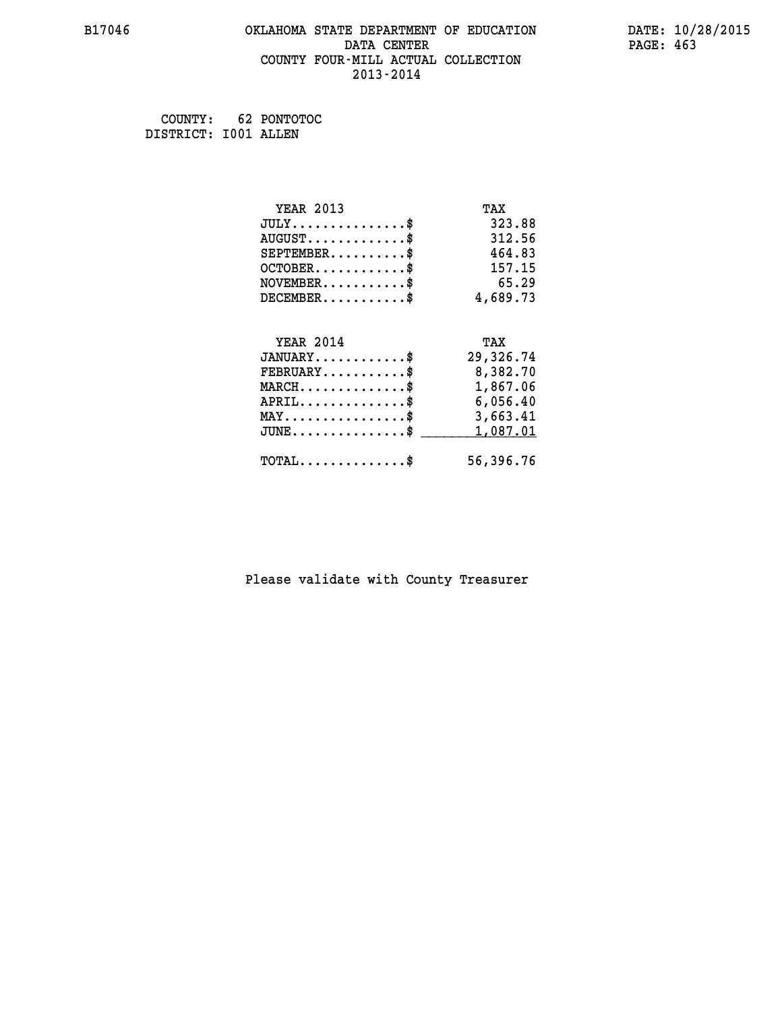#### **B17046 OKLAHOMA STATE DEPARTMENT OF EDUCATION DATE: 10/28/2015 DATA CENTER** PAGE: 463  **COUNTY FOUR-MILL ACTUAL COLLECTION 2013-2014**

 **COUNTY: 62 PONTOTOC DISTRICT: I001 ALLEN**

| <b>YEAR 2013</b>                               | TAX       |
|------------------------------------------------|-----------|
| $JULY$ \$                                      | 323.88    |
| $AUGUST$ \$                                    | 312.56    |
| $SEPTEMBER$ \$                                 | 464.83    |
| $OCTOBER$ \$                                   | 157.15    |
| $NOVEMBER$ \$                                  | 65.29     |
| $DECEMBER$ \$                                  | 4,689.73  |
|                                                |           |
| <b>YEAR 2014</b>                               | TAX       |
| $JANUARY$ \$                                   | 29,326.74 |
| $FEBRUARY$                                     | 8,382.70  |
| $MARCH$ \$                                     | 1,867.06  |
| $APRIL$ \$                                     | 6,056.40  |
| $\texttt{MAX} \dots \dots \dots \dots \dots \$ | 3,663.41  |
| $JUNE$ \$                                      | 1,087.01  |
| $TOTAL$ \$                                     | 56,396.76 |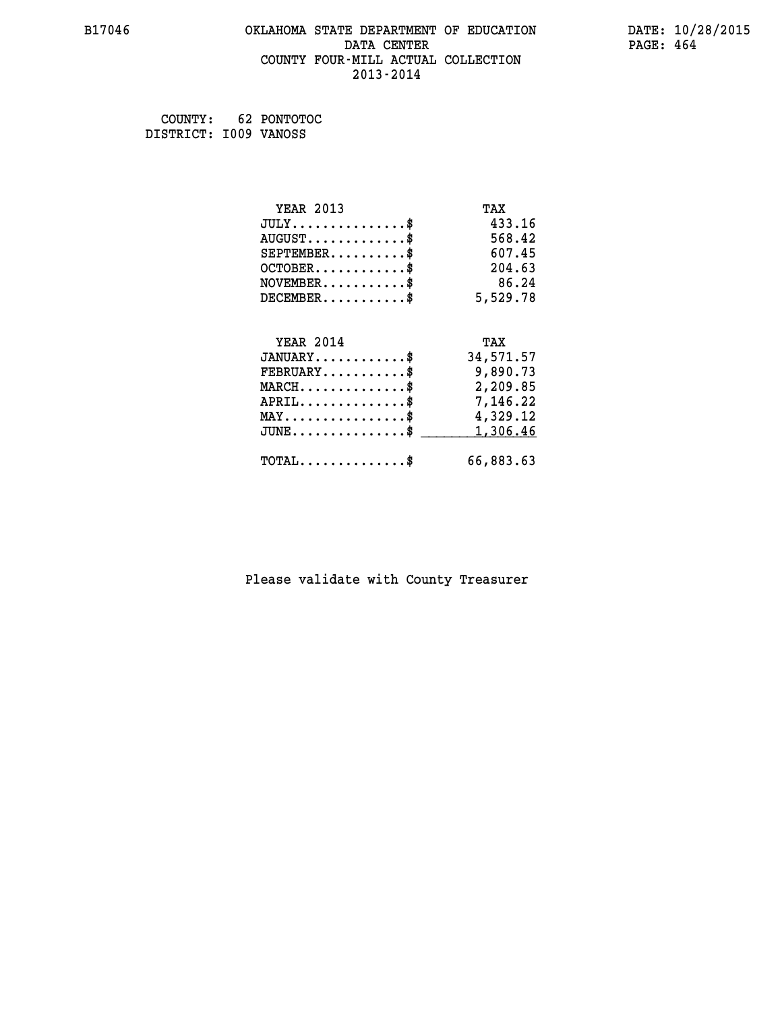#### **B17046 OKLAHOMA STATE DEPARTMENT OF EDUCATION DATE: 10/28/2015 DATA CENTER** PAGE: 464  **COUNTY FOUR-MILL ACTUAL COLLECTION 2013-2014**

 **COUNTY: 62 PONTOTOC DISTRICT: I009 VANOSS**

| <b>YEAR 2013</b>                                 | TAX       |
|--------------------------------------------------|-----------|
| $JULY$ \$                                        | 433.16    |
| $AUGUST$ \$                                      | 568.42    |
| $SEPTEMBER$ \$                                   | 607.45    |
| $OCTOBER$ \$                                     | 204.63    |
| $\texttt{NOVEMBER} \dots \dots \dots \$          | 86.24     |
| $DECEMBER$ \$                                    | 5,529.78  |
|                                                  |           |
| <b>YEAR 2014</b>                                 | TAX       |
| $JANUARY$                                        | 34,571.57 |
| $FEBRUARY$                                       | 9,890.73  |
| $\texttt{MARCH}\ldots\ldots\ldots\ldots\text{*}$ | 2,209.85  |
| $APRIL \ldots \ldots \ldots \ldots \$            | 7,146.22  |
| $\texttt{MAX} \dots \dots \dots \dots \dots \$   | 4,329.12  |
| $JUNE$ \$                                        | 1,306.46  |
| $\texttt{TOTAL} \dots \dots \dots \dots \$       | 66,883.63 |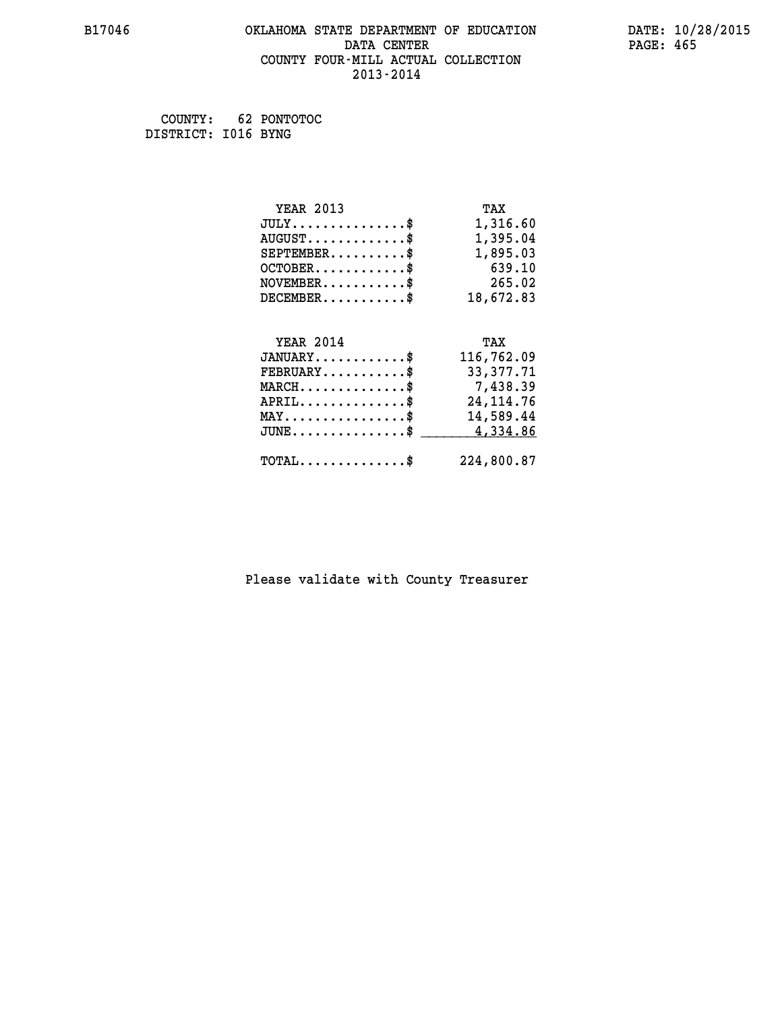#### **B17046 OKLAHOMA STATE DEPARTMENT OF EDUCATION DATE: 10/28/2015 DATA CENTER** PAGE: 465  **COUNTY FOUR-MILL ACTUAL COLLECTION 2013-2014**

 **COUNTY: 62 PONTOTOC DISTRICT: I016 BYNG**

| <b>YEAR 2013</b>                               | TAX        |
|------------------------------------------------|------------|
| $JULY$ \$                                      | 1,316.60   |
| $AUGUST$ \$                                    | 1,395.04   |
| $SEPTEMBER$ \$                                 | 1,895.03   |
| $OCTOBER$ \$                                   | 639.10     |
| $NOVEMBER.$ \$                                 | 265.02     |
| $DECEMBER$ \$                                  | 18,672.83  |
|                                                |            |
| <b>YEAR 2014</b>                               | TAX        |
| $JANUARY$ \$                                   | 116,762.09 |
| $FEBRUARY$                                     | 33,377.71  |
| $MARCH$ \$                                     | 7,438.39   |
| $APRIL$ \$                                     | 24, 114.76 |
| $\texttt{MAX} \dots \dots \dots \dots \dots \$ | 14,589.44  |
| $JUNE$ \$                                      | 4,334.86   |
|                                                |            |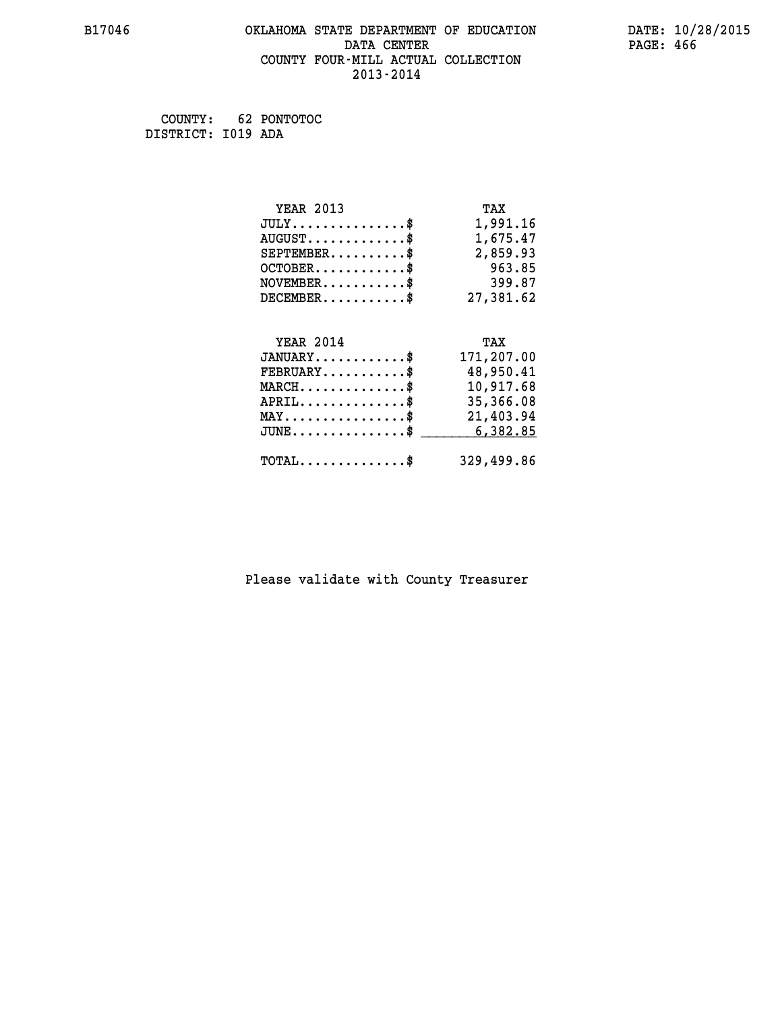#### **B17046 OKLAHOMA STATE DEPARTMENT OF EDUCATION DATE: 10/28/2015 DATA CENTER** PAGE: 466  **COUNTY FOUR-MILL ACTUAL COLLECTION 2013-2014**

 **COUNTY: 62 PONTOTOC DISTRICT: I019 ADA**

| <b>YEAR 2013</b>                               | TAX        |
|------------------------------------------------|------------|
| $JULY$ \$                                      | 1,991.16   |
| $AUGUST$ \$                                    | 1,675.47   |
| $SEPTEMBER$ \$                                 | 2,859.93   |
| $OCTOBER$ \$                                   | 963.85     |
| $NOVEMBER.$ \$                                 | 399.87     |
| $DECEMBER$ \$                                  | 27,381.62  |
|                                                |            |
| <b>YEAR 2014</b>                               | TAX        |
| $JANUARY$ \$                                   | 171,207.00 |
| $FEBRUARY$                                     | 48,950.41  |
| $MARCH$ \$                                     | 10,917.68  |
|                                                |            |
| $APRIL \ldots \ldots \ldots \ldots$            | 35,366.08  |
| $\texttt{MAX} \dots \dots \dots \dots \dots \$ | 21,403.94  |
| $JUNE$ \$                                      | 6,382.85   |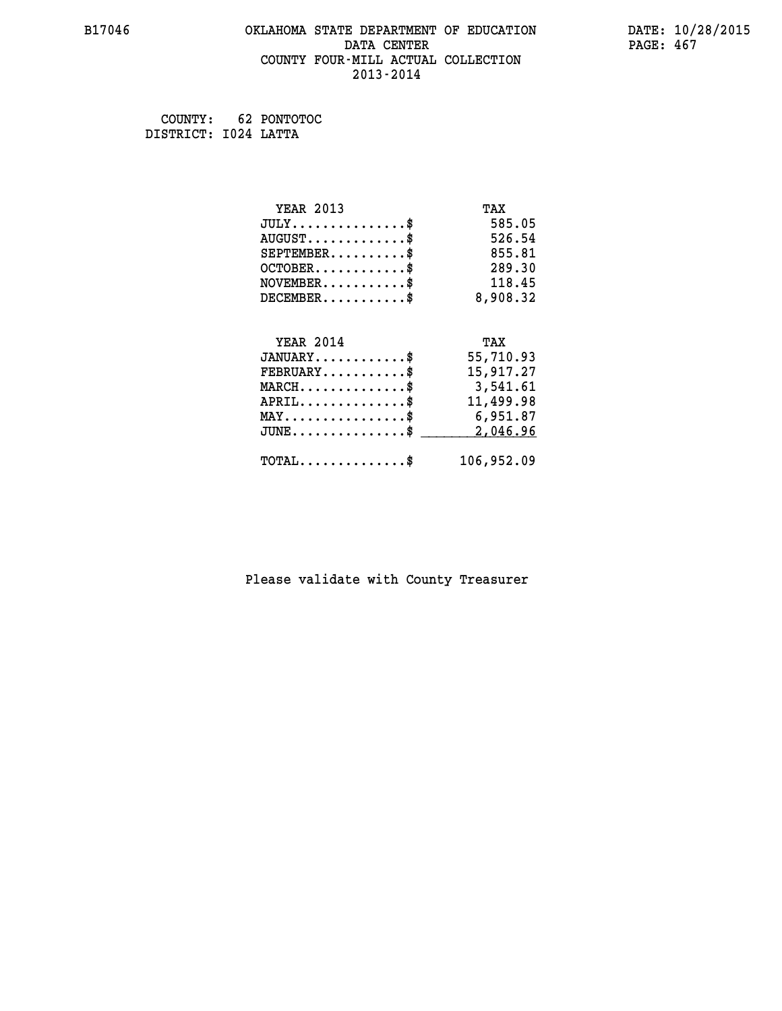#### **B17046 OKLAHOMA STATE DEPARTMENT OF EDUCATION DATE: 10/28/2015 DATA CENTER** PAGE: 467  **COUNTY FOUR-MILL ACTUAL COLLECTION 2013-2014**

 **COUNTY: 62 PONTOTOC DISTRICT: I024 LATTA**

| <b>YEAR 2013</b>                               | TAX        |
|------------------------------------------------|------------|
| $JULY$ \$                                      | 585.05     |
| $AUGUST$ \$                                    | 526.54     |
| $SEPTEMBER$ \$                                 | 855.81     |
| $OCTOBER$ \$                                   | 289.30     |
| $NOVEMBER$ \$                                  | 118.45     |
| $DECEMBER$ \$                                  | 8,908.32   |
|                                                |            |
| <b>YEAR 2014</b>                               | TAX        |
| $JANUARY$ \$                                   | 55,710.93  |
| $FEBRUARY$                                     | 15,917.27  |
| $MARCH$ \$                                     | 3,541.61   |
| $APRIL$ \$                                     | 11,499.98  |
| $\texttt{MAX} \dots \dots \dots \dots \dots \$ | 6,951.87   |
| $JUNE$ \$                                      | 2,046.96   |
| $\texttt{TOTAL} \dots \dots \dots \dots \$     | 106,952.09 |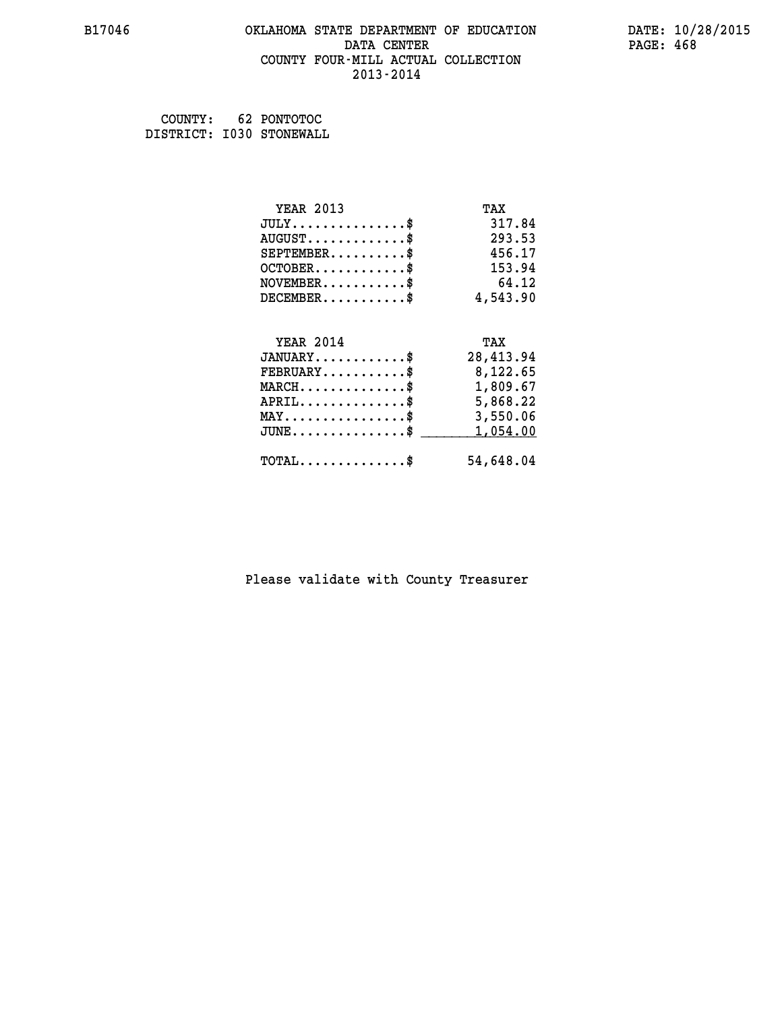#### **B17046 OKLAHOMA STATE DEPARTMENT OF EDUCATION DATE: 10/28/2015 DATA CENTER** PAGE: 468  **COUNTY FOUR-MILL ACTUAL COLLECTION 2013-2014**

 **COUNTY: 62 PONTOTOC DISTRICT: I030 STONEWALL**

| <b>YEAR 2013</b>                                 | TAX       |
|--------------------------------------------------|-----------|
| $JULY$ \$                                        | 317.84    |
| $AUGUST$ \$                                      | 293.53    |
| $SEPTEMBER$ \$                                   | 456.17    |
| $OCTOBER$ \$                                     | 153.94    |
| $\texttt{NOVEMBER} \dots \dots \dots \$          | 64.12     |
| $DECEMBER$ \$                                    | 4,543.90  |
|                                                  |           |
| <b>YEAR 2014</b>                                 | TAX       |
| $JANUARY$ \$                                     | 28,413.94 |
| $\texttt{FEBRUARY} \dots \dots \dots \$          | 8,122.65  |
| $\texttt{MARCH}\ldots\ldots\ldots\ldots\text{*}$ | 1,809.67  |
| $APRIL \ldots \ldots \ldots \ldots \$            | 5,868.22  |
| $\texttt{MAX} \dots \dots \dots \dots \dots \$   | 3,550.06  |
| $\texttt{JUNE} \dots \dots \dots \dots \dots \$$ | 1,054.00  |
| $\texttt{TOTAL} \dots \dots \dots \dots \$       | 54,648.04 |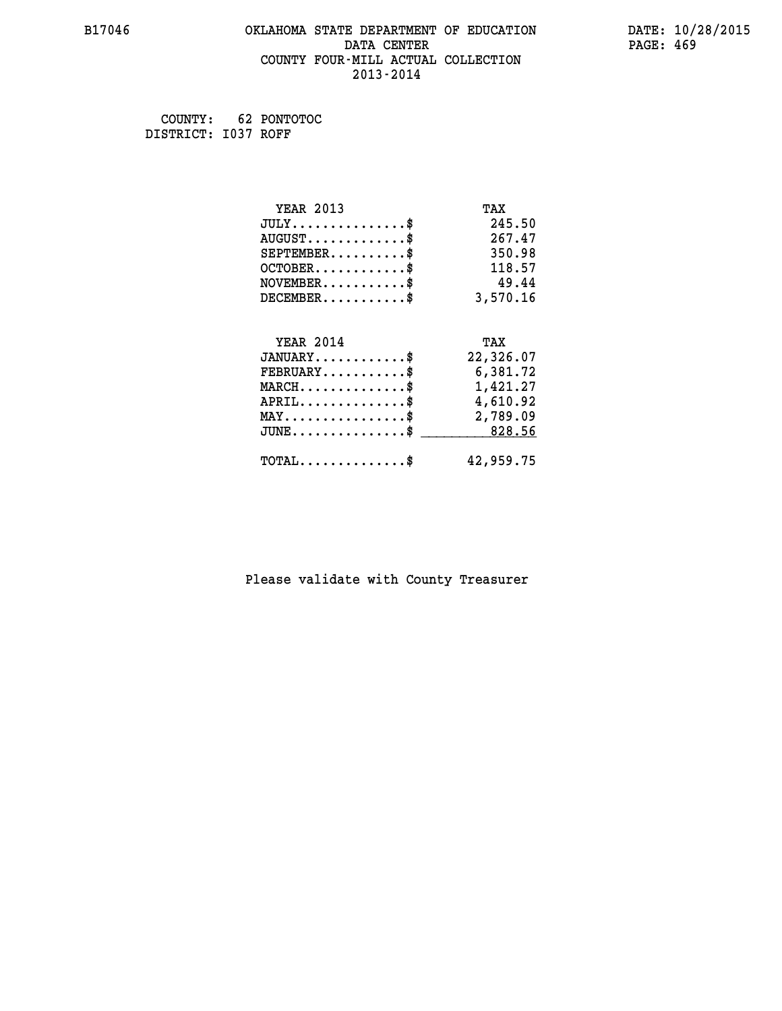### **B17046 OKLAHOMA STATE DEPARTMENT OF EDUCATION DATE: 10/28/2015 DATA CENTER** PAGE: 469  **COUNTY FOUR-MILL ACTUAL COLLECTION 2013-2014**

 **COUNTY: 62 PONTOTOC DISTRICT: I037 ROFF**

| <b>YEAR 2013</b>                                   | TAX       |
|----------------------------------------------------|-----------|
| $JULY$ \$                                          | 245.50    |
| $AUGUST$ \$                                        | 267.47    |
| $SEPTEMBER$ \$                                     | 350.98    |
| $OCTOBER$ \$                                       | 118.57    |
| $NOVEMBER$ \$                                      | 49.44     |
| $DECEMBER$ \$                                      | 3,570.16  |
| <b>YEAR 2014</b>                                   | TAX       |
| $JANUARY$ \$                                       | 22,326.07 |
| $FEBRUARY$                                         | 6,381.72  |
| $MARCH$ \$                                         | 1,421.27  |
| $APRIL$ \$                                         | 4,610.92  |
|                                                    |           |
| $\texttt{MAX} \dots \dots \dots \dots \dots \$     | 2,789.09  |
| $\texttt{JUNE} \dots \dots \dots \dots \texttt{S}$ | 828.56    |
|                                                    |           |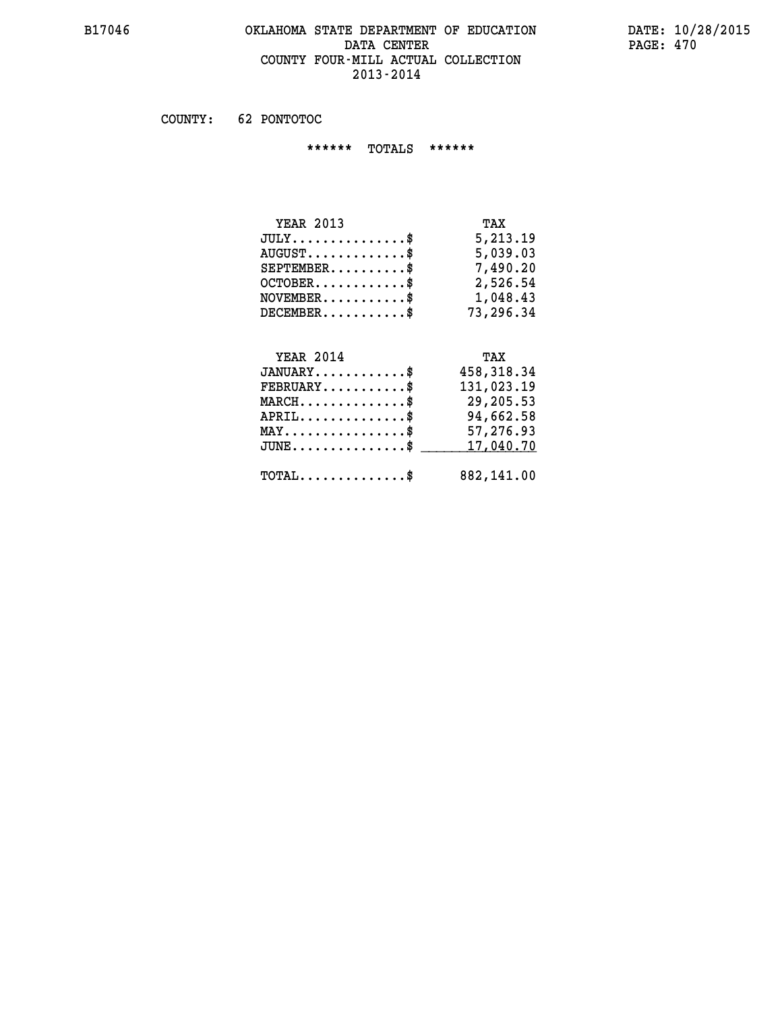#### **B17046 OKLAHOMA STATE DEPARTMENT OF EDUCATION DATE: 10/28/2015 DATA CENTER** PAGE: 470  **COUNTY FOUR-MILL ACTUAL COLLECTION 2013-2014**

 **COUNTY: 62 PONTOTOC**

 **\*\*\*\*\*\* TOTALS \*\*\*\*\*\***

| <b>YEAR 2013</b>                     | TAX       |
|--------------------------------------|-----------|
| $JULY \ldots \ldots \ldots \ldots \$ | 5,213.19  |
| $AUGUST \ldots \ldots \ldots$ \$     | 5,039.03  |
| $SEPTEMBER$                          | 7,490.20  |
| $OCTOBER$ \$                         | 2,526.54  |
| $NOVEMBER$ \$                        | 1,048.43  |
| $DECEMBER$                           | 73,296.34 |

# **YEAR 2014 TAX JANUARY............\$ 458,318.34**

| $\texttt{FEBRUARY} \dots \dots \dots \$              | 131,023.19 |
|------------------------------------------------------|------------|
| $MARCH$ \$                                           | 29,205.53  |
| $APRIL$ \$                                           | 94,662.58  |
| $MAX \dots \dots \dots \dots \dots \$                | 57,276.93  |
| $JUNE \dots \dots \dots \dots \$ 17,040.70           |            |
| $\texttt{TOTAL} \dots \dots \dots \dots \texttt{\$}$ | 882,141.00 |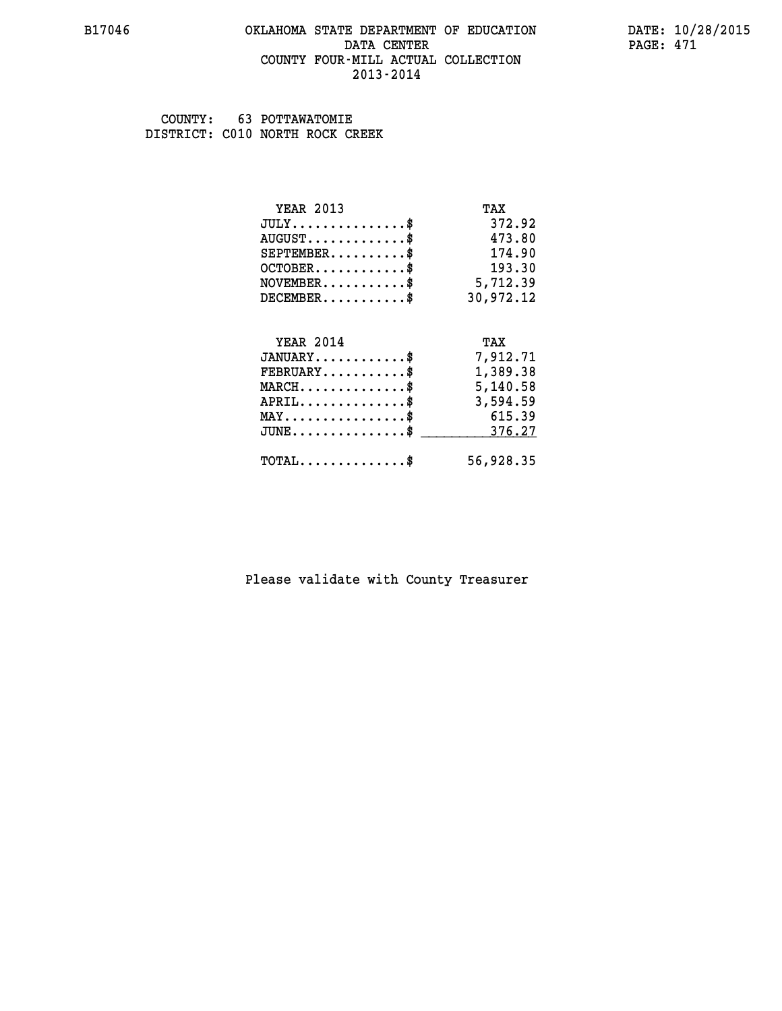### **B17046 OKLAHOMA STATE DEPARTMENT OF EDUCATION DATE: 10/28/2015 DATA CENTER** PAGE: 471  **COUNTY FOUR-MILL ACTUAL COLLECTION 2013-2014**

 **COUNTY: 63 POTTAWATOMIE DISTRICT: C010 NORTH ROCK CREEK**

| <b>YEAR 2013</b>                                                          | TAX       |
|---------------------------------------------------------------------------|-----------|
| $JULY$ \$                                                                 | 372.92    |
| $AUGUST$ \$                                                               | 473.80    |
| $SEPTEMENT.$ \$                                                           | 174.90    |
| $OCTOBER$ \$                                                              | 193.30    |
| $\verb NOVEMBER , \verb , \verb , \verb , \verb , \verb , \verb , \verb $ | 5,712.39  |
| $DECEMBER$ \$                                                             | 30,972.12 |
|                                                                           |           |
| <b>YEAR 2014</b>                                                          | TAX       |
| $JANUARY$ \$                                                              | 7,912.71  |
| $FEBRUARY$ \$                                                             | 1,389.38  |
| $\texttt{MARCH}\ldots\ldots\ldots\ldots\text{*}$                          | 5,140.58  |
| $APRIL \ldots \ldots \ldots \ldots \$                                     | 3,594.59  |
| $\texttt{MAX} \dots \dots \dots \dots \dots \$                            | 615.39    |
| $\texttt{JUNE} \dots \dots \dots \dots \texttt{S}$                        | 376.27    |
| $\texttt{TOTAL} \dots \dots \dots \dots$                                  | 56,928.35 |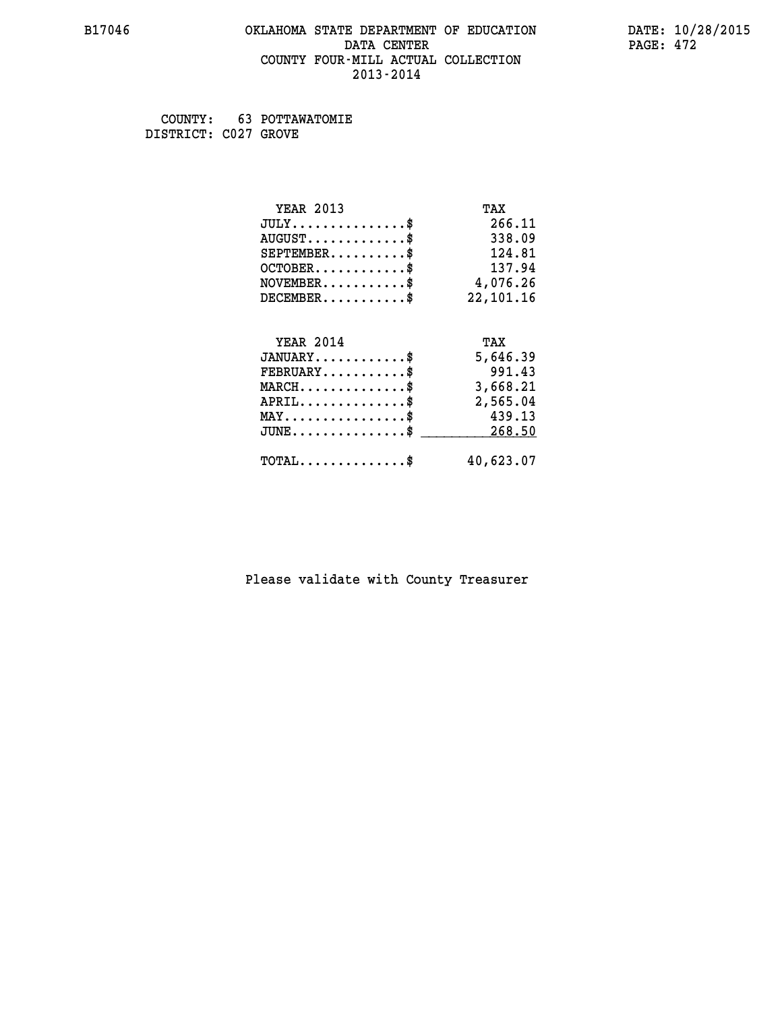### **B17046 OKLAHOMA STATE DEPARTMENT OF EDUCATION DATE: 10/28/2015 DATA CENTER** PAGE: 472  **COUNTY FOUR-MILL ACTUAL COLLECTION 2013-2014**

 **COUNTY: 63 POTTAWATOMIE DISTRICT: C027 GROVE**

| <b>YEAR 2013</b>                                 | TAX         |
|--------------------------------------------------|-------------|
| $JULY$ \$                                        | 266.11      |
| $AUGUST$ \$                                      | 338.09      |
| $SEPTEMBER$ \$                                   | 124.81      |
| $OCTOBER$ \$                                     | 137.94      |
| $NOVEMBER$ \$                                    | 4,076.26    |
| $DECEMBER$ \$                                    | 22, 101. 16 |
|                                                  |             |
| <b>YEAR 2014</b>                                 | TAX         |
| $JANUARY$ \$                                     | 5,646.39    |
| $FEBRUARY$                                       | 991.43      |
| $MARCH$ \$                                       | 3,668.21    |
| $APRIL$ \$                                       | 2,565.04    |
| $MAX \dots \dots \dots \dots \dots$              | 439.13      |
| $\texttt{JUNE} \dots \dots \dots \dots \dots \$$ | 268.50      |
| $\texttt{TOTAL} \dots \dots \dots \dots \$       | 40,623.07   |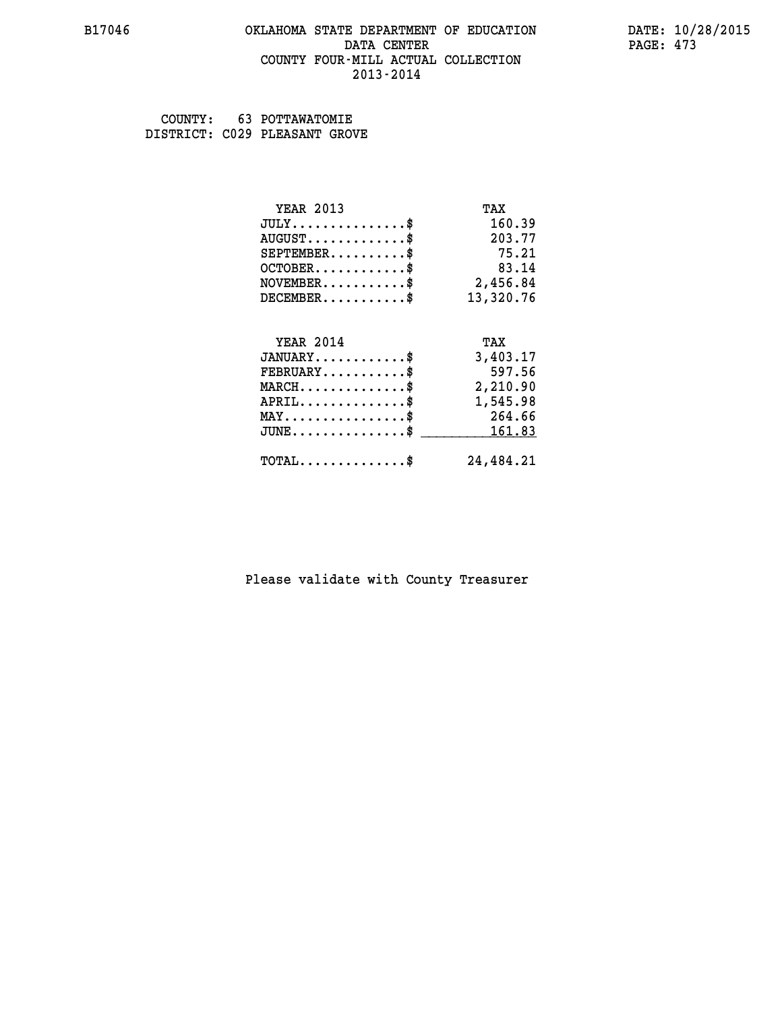### **B17046 OKLAHOMA STATE DEPARTMENT OF EDUCATION DATE: 10/28/2015 DATA CENTER** PAGE: 473  **COUNTY FOUR-MILL ACTUAL COLLECTION 2013-2014**

 **COUNTY: 63 POTTAWATOMIE DISTRICT: C029 PLEASANT GROVE**

| <b>YEAR 2013</b>                           | TAX       |
|--------------------------------------------|-----------|
| $JULY$ \$                                  | 160.39    |
| $AUGUST$ \$                                | 203.77    |
| $SEPTEMENT.$ \$                            | 75.21     |
| $OCTOBER$ \$                               | 83.14     |
| $NOVEMBER.$ \$                             | 2,456.84  |
| $DECEMBER$ \$                              | 13,320.76 |
|                                            |           |
| <b>YEAR 2014</b>                           | TAX       |
| $JANUARY$ \$                               | 3,403.17  |
| $FEBRUARY$                                 | 597.56    |
| $MARCH$ \$                                 | 2,210.90  |
| $APRIL$ \$                                 | 1,545.98  |
| $MAX \dots \dots \dots \dots \$            | 264.66    |
| $JUNE$ \$                                  | 161.83    |
| $\texttt{TOTAL} \dots \dots \dots \dots \$ | 24,484.21 |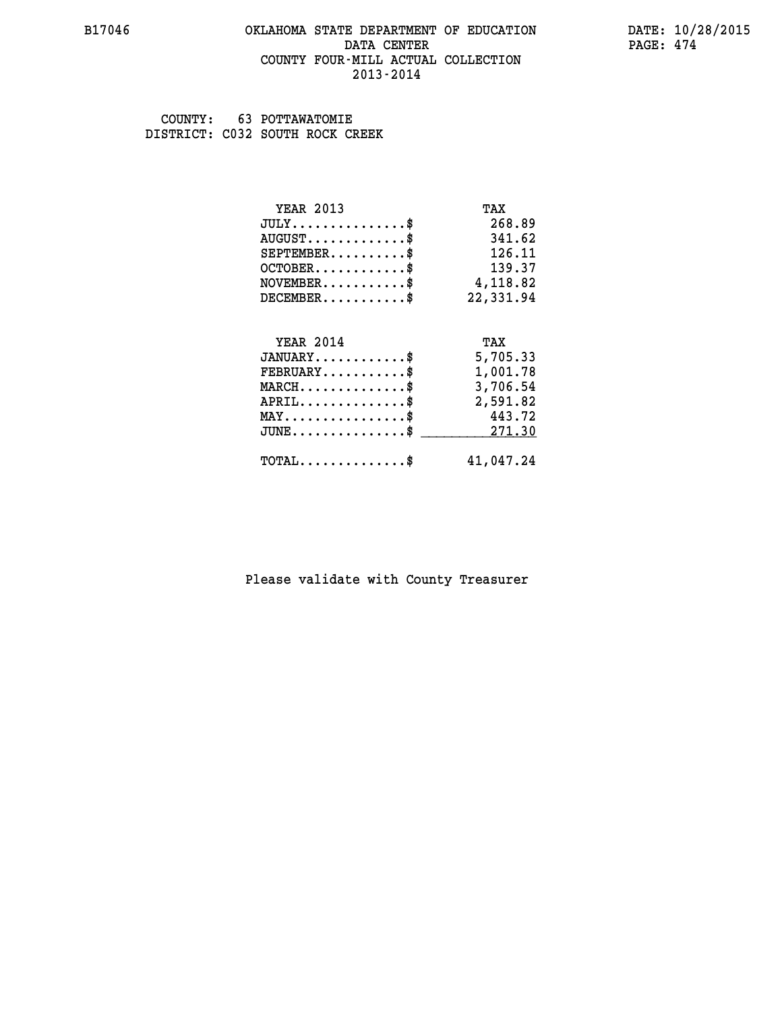### **B17046 OKLAHOMA STATE DEPARTMENT OF EDUCATION DATE: 10/28/2015 DATA CENTER** PAGE: 474  **COUNTY FOUR-MILL ACTUAL COLLECTION 2013-2014**

 **COUNTY: 63 POTTAWATOMIE DISTRICT: C032 SOUTH ROCK CREEK**

| <b>YEAR 2013</b>                                                          | TAX       |
|---------------------------------------------------------------------------|-----------|
| $JULY$ \$                                                                 | 268.89    |
| $AUGUST$ \$                                                               | 341.62    |
| $SEPTEMBER$ \$                                                            | 126.11    |
| $OCTOBER$ \$                                                              | 139.37    |
| $\verb NOVEMBER , \verb , \verb , \verb , \verb , \verb , \verb , \verb $ | 4,118.82  |
| $DECEMBER$ \$                                                             | 22,331.94 |
|                                                                           |           |
| <b>YEAR 2014</b>                                                          | TAX       |
| $JANUARY$ \$                                                              | 5,705.33  |
| $FEBRUARY$                                                                | 1,001.78  |
| $\texttt{MARCH}\ldots\ldots\ldots\ldots\text{*}$                          | 3,706.54  |
| $APRIL \ldots \ldots \ldots \ldots$                                       | 2,591.82  |
| $\texttt{MAX} \dots \dots \dots \dots \dots \$$                           | 443.72    |
| $JUNE$ \$                                                                 | 271.30    |
|                                                                           |           |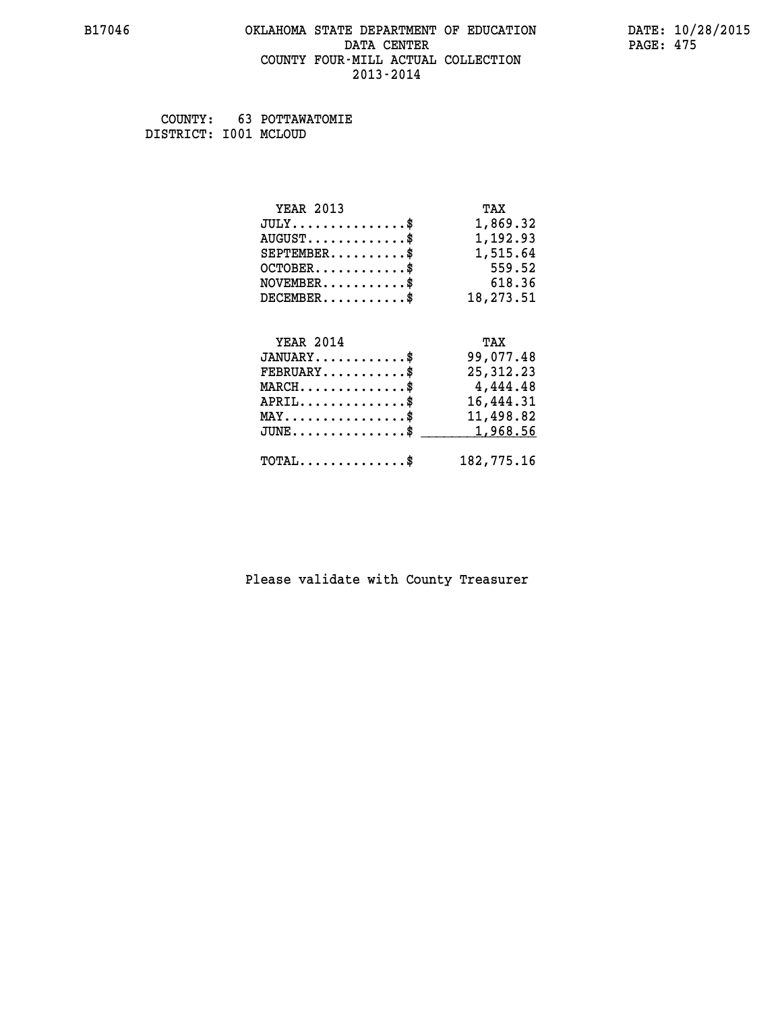### **B17046 OKLAHOMA STATE DEPARTMENT OF EDUCATION DATE: 10/28/2015 DATA CENTER** PAGE: 475  **COUNTY FOUR-MILL ACTUAL COLLECTION 2013-2014**

 **COUNTY: 63 POTTAWATOMIE DISTRICT: I001 MCLOUD**

| <b>YEAR 2013</b>                                   | TAX         |
|----------------------------------------------------|-------------|
| $JULY$ \$                                          | 1,869.32    |
| $AUGUST$ \$                                        | 1,192.93    |
| $SEPTEMBER$ \$                                     | 1,515.64    |
| $OCTOBER$ \$                                       | 559.52      |
| $NOVEMBER.$ \$                                     | 618.36      |
| $DECEMBER$ \$                                      | 18,273.51   |
|                                                    |             |
| <b>YEAR 2014</b>                                   | TAX         |
| $JANUARY$ \$                                       | 99,077.48   |
| $FEBRUARY$ \$                                      | 25, 312. 23 |
| $MARCH$ \$                                         | 4,444.48    |
| $APRIL \ldots \ldots \ldots \ldots \$              | 16,444.31   |
| $\texttt{MAX} \dots \dots \dots \dots \dots \$     | 11,498.82   |
| $\texttt{JUNE} \dots \dots \dots \dots \texttt{S}$ | 1,968.56    |
| $\texttt{TOTAL} \dots \dots \dots \dots \$         | 182,775.16  |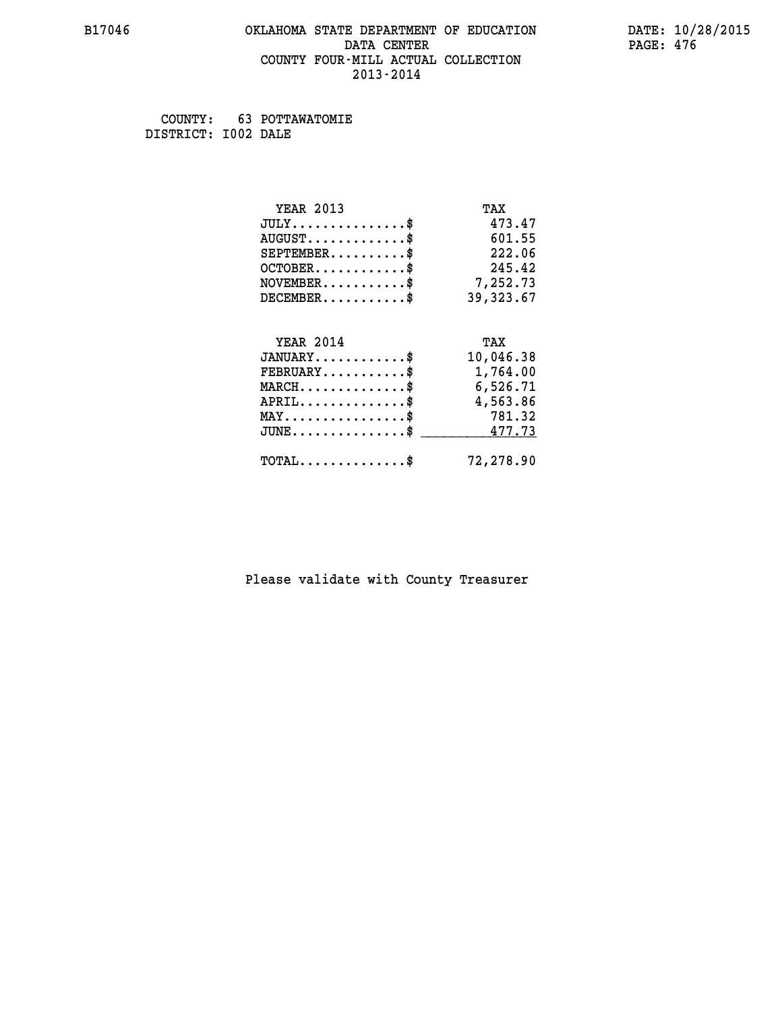### **B17046 OKLAHOMA STATE DEPARTMENT OF EDUCATION DATE: 10/28/2015 DATA CENTER** PAGE: 476  **COUNTY FOUR-MILL ACTUAL COLLECTION 2013-2014**

 **COUNTY: 63 POTTAWATOMIE DISTRICT: I002 DALE**

| <b>YEAR 2013</b>                           | TAX        |
|--------------------------------------------|------------|
| $JULY$ \$                                  | 473.47     |
| $AUGUST$ \$                                | 601.55     |
| $SEPTEMBER$ \$                             | 222.06     |
| $OCTOBER$ \$                               | 245.42     |
| $\texttt{NOVEMBER} \dots \dots \dots \$    | 7,252.73   |
| $DECEMBER$ \$                              | 39, 323.67 |
|                                            |            |
| <b>YEAR 2014</b>                           | TAX        |
| $JANUARY$ \$                               | 10,046.38  |
| $FEBRUARY$                                 | 1,764.00   |
| $MARCH$ \$                                 | 6,526.71   |
| $APRIL \ldots \ldots \ldots \ldots \$      | 4,563.86   |
| $MAX \dots \dots \dots \dots \dots$        | 781.32     |
| $JUNE$ \$                                  | 477.73     |
| $\texttt{TOTAL} \dots \dots \dots \dots \$ | 72,278.90  |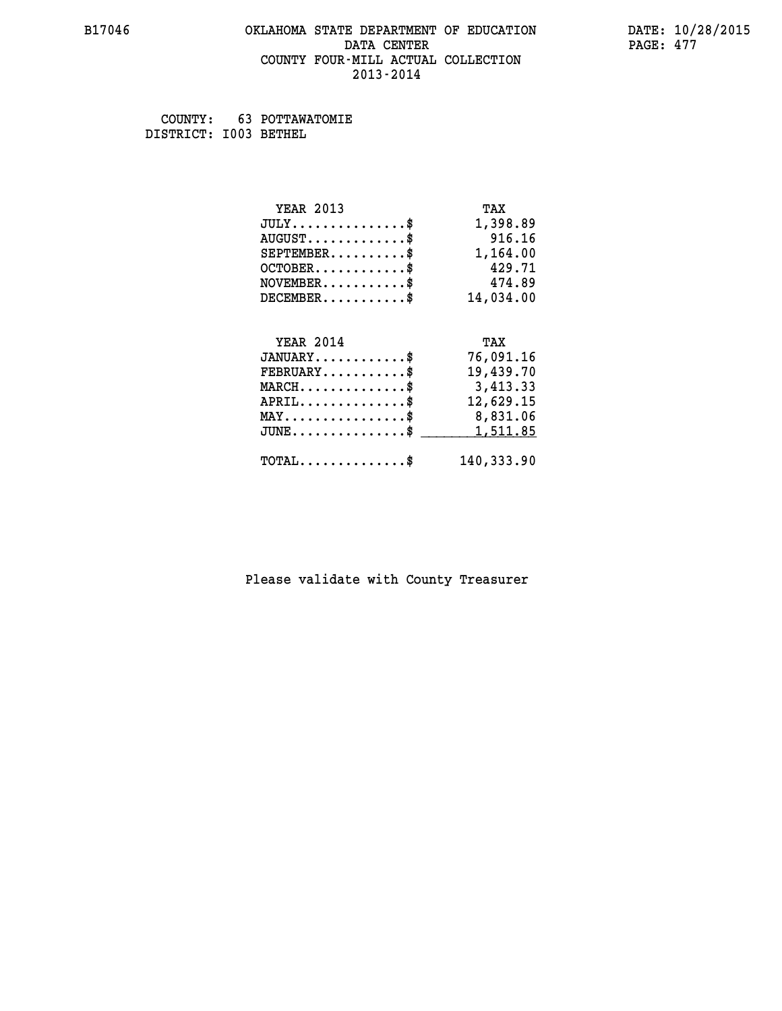### **B17046 OKLAHOMA STATE DEPARTMENT OF EDUCATION DATE: 10/28/2015 DATA CENTER** PAGE: 477  **COUNTY FOUR-MILL ACTUAL COLLECTION 2013-2014**

 **COUNTY: 63 POTTAWATOMIE DISTRICT: I003 BETHEL**

| <b>YEAR 2013</b>                               | TAX        |
|------------------------------------------------|------------|
| $JULY$ \$                                      | 1,398.89   |
| $AUGUST$ \$                                    | 916.16     |
| $SEPTEMBER$ \$                                 | 1,164.00   |
| $OCTOBER$ \$                                   | 429.71     |
| $\texttt{NOVEMBER} \dots \dots \dots \$        | 474.89     |
| $DECEMBER$ \$                                  | 14,034.00  |
|                                                |            |
| <b>YEAR 2014</b>                               | TAX        |
| $JANUARY$ \$                                   | 76,091.16  |
| $FEBRUARY$                                     | 19,439.70  |
| $MARCH$ \$                                     | 3,413.33   |
| $APRIL \ldots \ldots \ldots \ldots$            | 12,629.15  |
| $\texttt{MAX} \dots \dots \dots \dots \dots \$ | 8,831.06   |
| $JUNE$ \$                                      | 1,511.85   |
| $\texttt{TOTAL} \dots \dots \dots \dots \$     | 140,333.90 |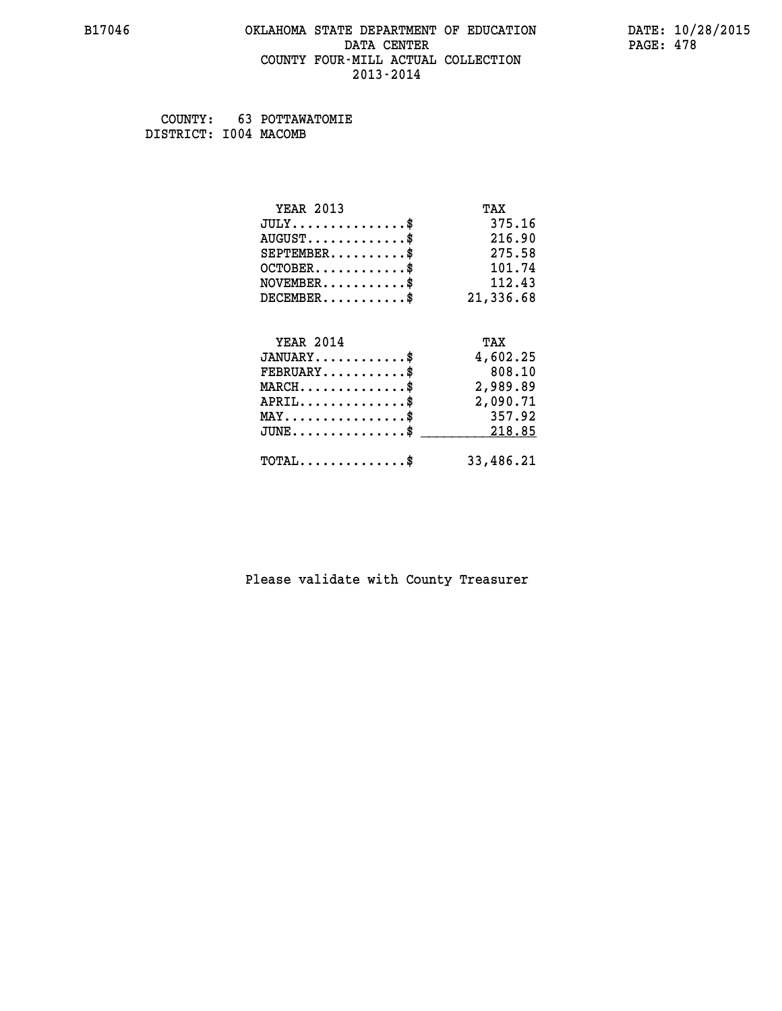### **B17046 OKLAHOMA STATE DEPARTMENT OF EDUCATION DATE: 10/28/2015 DATA CENTER** PAGE: 478  **COUNTY FOUR-MILL ACTUAL COLLECTION 2013-2014**

 **COUNTY: 63 POTTAWATOMIE DISTRICT: I004 MACOMB**

| <b>YEAR 2013</b>                                 | TAX       |
|--------------------------------------------------|-----------|
| $JULY$ \$                                        | 375.16    |
| $AUGUST$ \$                                      | 216.90    |
| $SEPTEMBER$ \$                                   | 275.58    |
| $OCTOBER$ \$                                     | 101.74    |
| $NOVEMBER$ \$                                    | 112.43    |
| $DECEMBER$ \$                                    | 21,336.68 |
| <b>YEAR 2014</b>                                 | TAX       |
| $JANUARY$ \$                                     | 4,602.25  |
| $FEBRUARY$                                       | 808.10    |
| $MARCH$ \$                                       | 2,989.89  |
| $APRIL$ \$                                       | 2,090.71  |
| $MAX \dots \dots \dots \dots \dots$              | 357.92    |
| $\texttt{JUNE} \dots \dots \dots \dots \dots \$$ | 218.85    |
| $\texttt{TOTAL} \dots \dots \dots \dots \$       | 33,486.21 |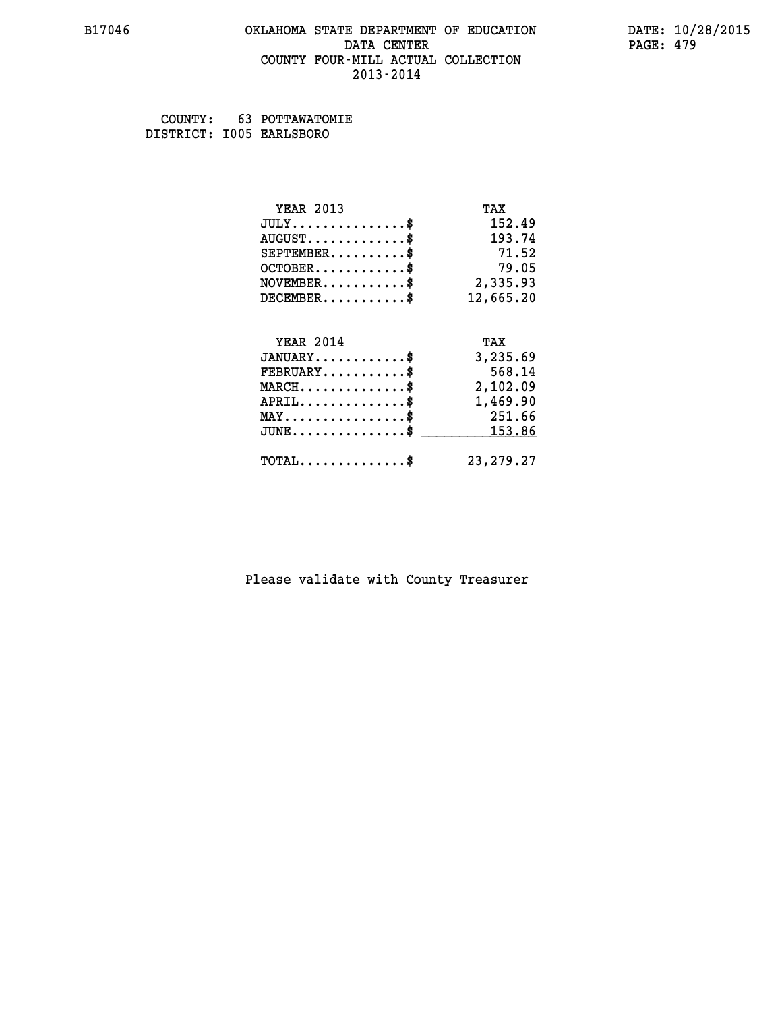### **B17046 OKLAHOMA STATE DEPARTMENT OF EDUCATION DATE: 10/28/2015 DATA CENTER** PAGE: 479  **COUNTY FOUR-MILL ACTUAL COLLECTION 2013-2014**

 **COUNTY: 63 POTTAWATOMIE DISTRICT: I005 EARLSBORO**

| <b>YEAR 2013</b>                               | TAX         |
|------------------------------------------------|-------------|
| $JULY$ \$                                      | 152.49      |
| $AUGUST$ \$                                    | 193.74      |
| $SEPTEMENT.$ \$                                | 71.52       |
| $OCTOBER$ \$                                   | 79.05       |
| $\texttt{NOVEMBER} \dots \dots \dots \$        | 2,335.93    |
| $DECEMBER$ \$                                  | 12,665.20   |
|                                                |             |
| <b>YEAR 2014</b>                               | TAX         |
| $JANUARY$ \$                                   | 3,235.69    |
| $FEBRUARY$                                     | 568.14      |
| $MARCH$ \$                                     | 2,102.09    |
| $APRIL \ldots \ldots \ldots \ldots \$          | 1,469.90    |
| $\texttt{MAX} \dots \dots \dots \dots \dots \$ | 251.66      |
| $JUNE$ \$                                      | 153.86      |
| $\texttt{TOTAL} \dots \dots \dots \dots \$     | 23, 279. 27 |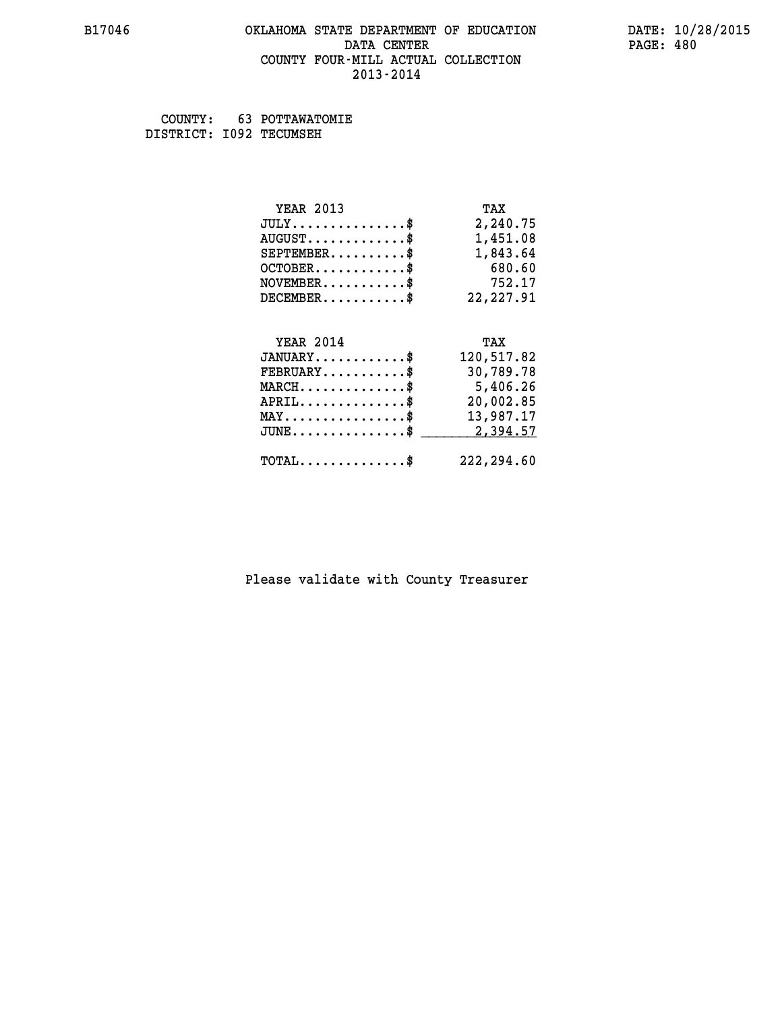### **B17046 OKLAHOMA STATE DEPARTMENT OF EDUCATION DATE: 10/28/2015 DATA CENTER** PAGE: 480  **COUNTY FOUR-MILL ACTUAL COLLECTION 2013-2014**

 **COUNTY: 63 POTTAWATOMIE DISTRICT: I092 TECUMSEH**

| <b>YEAR 2013</b>                               | TAX        |
|------------------------------------------------|------------|
| $JULY$ \$                                      | 2,240.75   |
| $AUGUST$ \$                                    | 1,451.08   |
| $SEPTEMBER$ \$                                 | 1,843.64   |
| $OCTOBER$ \$                                   | 680.60     |
| $NOVEMBER$ \$                                  | 752.17     |
| $DECEMBER$ \$                                  | 22, 227.91 |
|                                                |            |
| <b>YEAR 2014</b>                               | TAX        |
| $JANUARY$ \$                                   | 120,517.82 |
| $FEBRUARY$                                     | 30,789.78  |
| $MARCH$ \$                                     | 5,406.26   |
| $APRIL$ \$                                     | 20,002.85  |
| $\texttt{MAX} \dots \dots \dots \dots \dots \$ | 13,987.17  |
| $JUNE$ \$                                      | 2,394.57   |
| $\texttt{TOTAL} \dots \dots \dots \dots \$     | 222,294.60 |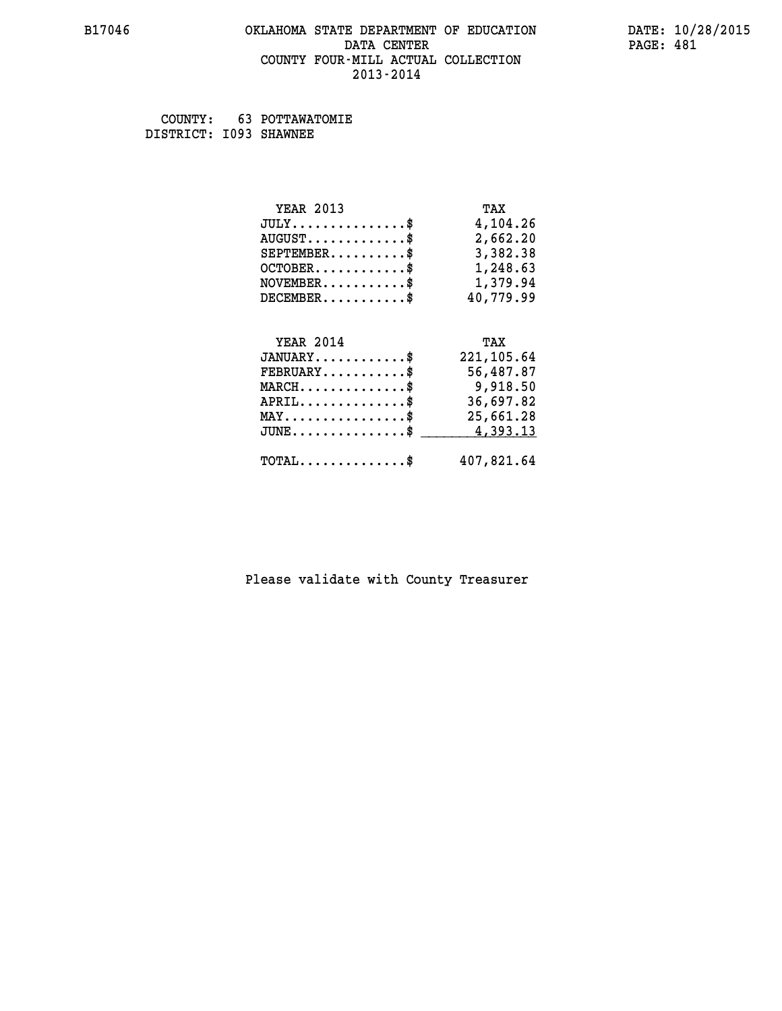### **B17046 OKLAHOMA STATE DEPARTMENT OF EDUCATION DATE: 10/28/2015 DATA CENTER** PAGE: 481  **COUNTY FOUR-MILL ACTUAL COLLECTION 2013-2014**

 **COUNTY: 63 POTTAWATOMIE DISTRICT: I093 SHAWNEE**

| <b>YEAR 2013</b>                                | TAX         |
|-------------------------------------------------|-------------|
| $JULY$ \$                                       | 4,104.26    |
| $AUGUST$ \$                                     | 2,662.20    |
| $SEPTEMBER$ \$                                  | 3,382.38    |
| $OCTOBER$ \$                                    | 1,248.63    |
| $NOVEMBER.$ \$                                  | 1,379.94    |
| $DECEMBER$ \$                                   | 40,779.99   |
|                                                 |             |
| <b>YEAR 2014</b>                                | TAX         |
| $JANUARY$ \$                                    | 221, 105.64 |
| $FEBRUARY$ \$                                   | 56,487.87   |
| $\texttt{MARCH}\ldots\ldots\ldots\ldots\cdots\$ | 9,918.50    |
| $APRIL \ldots \ldots \ldots \ldots$ \$          | 36,697.82   |
| $\texttt{MAX} \dots \dots \dots \dots \dots \$  | 25,661.28   |
| $JUNE$ \$                                       | 4,393.13    |
| $\texttt{TOTAL} \dots \dots \dots \dots$        | 407,821.64  |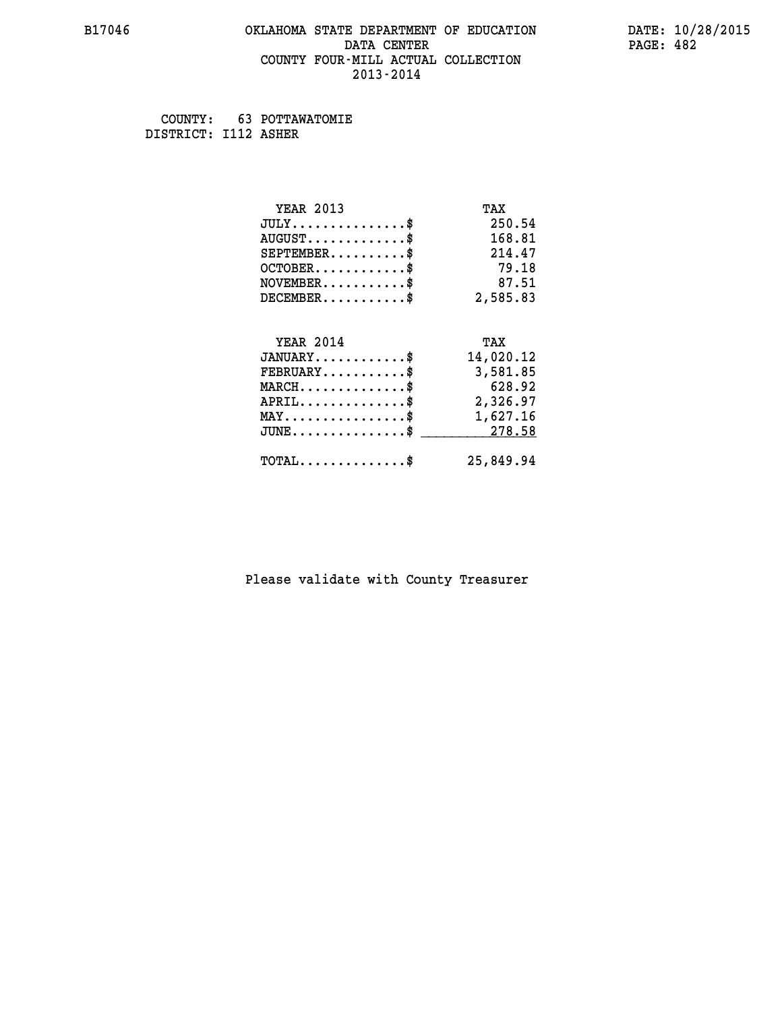### **B17046 OKLAHOMA STATE DEPARTMENT OF EDUCATION DATE: 10/28/2015 DATA CENTER** PAGE: 482  **COUNTY FOUR-MILL ACTUAL COLLECTION 2013-2014**

 **COUNTY: 63 POTTAWATOMIE DISTRICT: I112 ASHER**

| <b>YEAR 2013</b>                               | TAX       |
|------------------------------------------------|-----------|
| $JULY$ \$                                      | 250.54    |
| $AUGUST$ \$                                    | 168.81    |
| $SEPTEMENT.$ \$                                | 214.47    |
| $OCTOBER$ \$                                   | 79.18     |
| $NOVEMBER$ \$                                  | 87.51     |
| $DECEMBER$ \$                                  | 2,585.83  |
| <b>YEAR 2014</b>                               | TAX       |
| $JANUARY$ \$                                   | 14,020.12 |
| $FEBRUARY$                                     | 3,581.85  |
| $MARCH$ \$                                     | 628.92    |
| $APRIL$ \$                                     | 2,326.97  |
| $\texttt{MAX} \dots \dots \dots \dots \dots \$ | 1,627.16  |
| $JUNE$ \$                                      | 278.58    |
| $\texttt{TOTAL} \dots \dots \dots \dots \$     | 25,849.94 |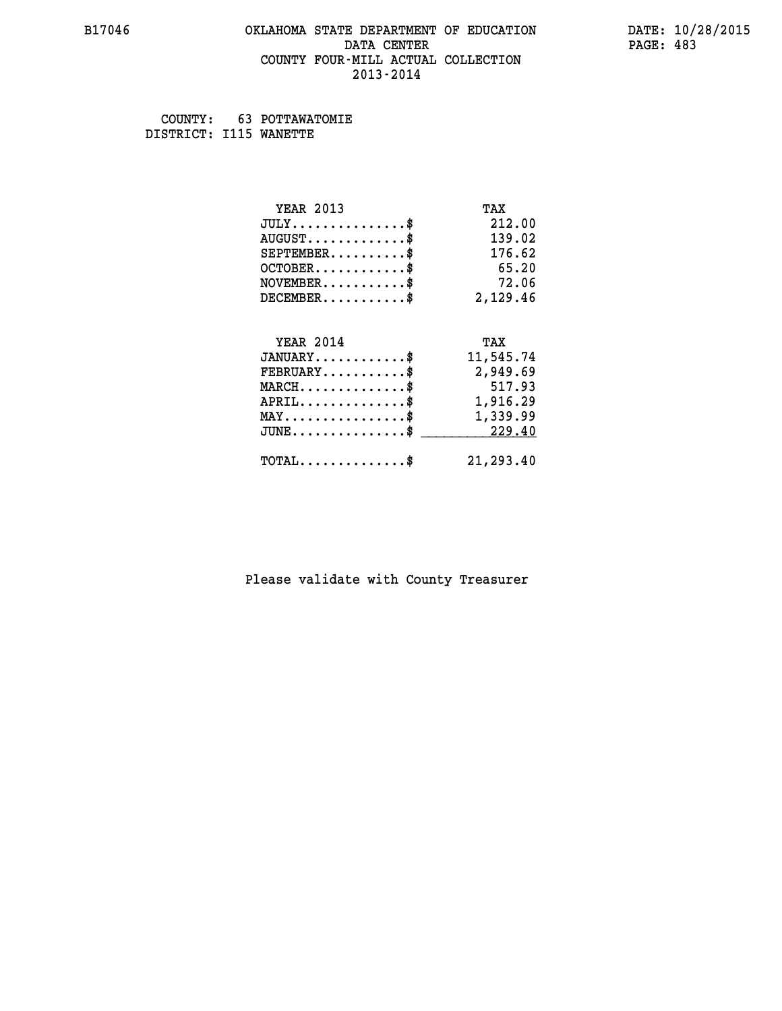### **B17046 OKLAHOMA STATE DEPARTMENT OF EDUCATION DATE: 10/28/2015 DATA CENTER** PAGE: 483  **COUNTY FOUR-MILL ACTUAL COLLECTION 2013-2014**

 **COUNTY: 63 POTTAWATOMIE DISTRICT: I115 WANETTE**

| <b>YEAR 2013</b>                               | TAX       |
|------------------------------------------------|-----------|
| $JULY$ \$                                      | 212.00    |
| $AUGUST$ \$                                    | 139.02    |
| $SEPTEMBER$ \$                                 | 176.62    |
| $OCTOBER$ \$                                   | 65.20     |
| $\texttt{NOVEMBER} \dots \dots \dots \$        | 72.06     |
| $DECEMBER$ \$                                  | 2,129.46  |
|                                                |           |
| <b>YEAR 2014</b>                               | TAX       |
| $JANUARY$ \$                                   | 11,545.74 |
| $FEBRUARY$                                     | 2,949.69  |
| $MARCH$ \$                                     | 517.93    |
| $\texttt{APRIL} \dots \dots \dots \dots \$     | 1,916.29  |
| $\texttt{MAX} \dots \dots \dots \dots \dots \$ | 1,339.99  |
| $JUNE$ \$                                      | 229.40    |
| $\texttt{TOTAL} \dots \dots \dots \dots \$     | 21,293.40 |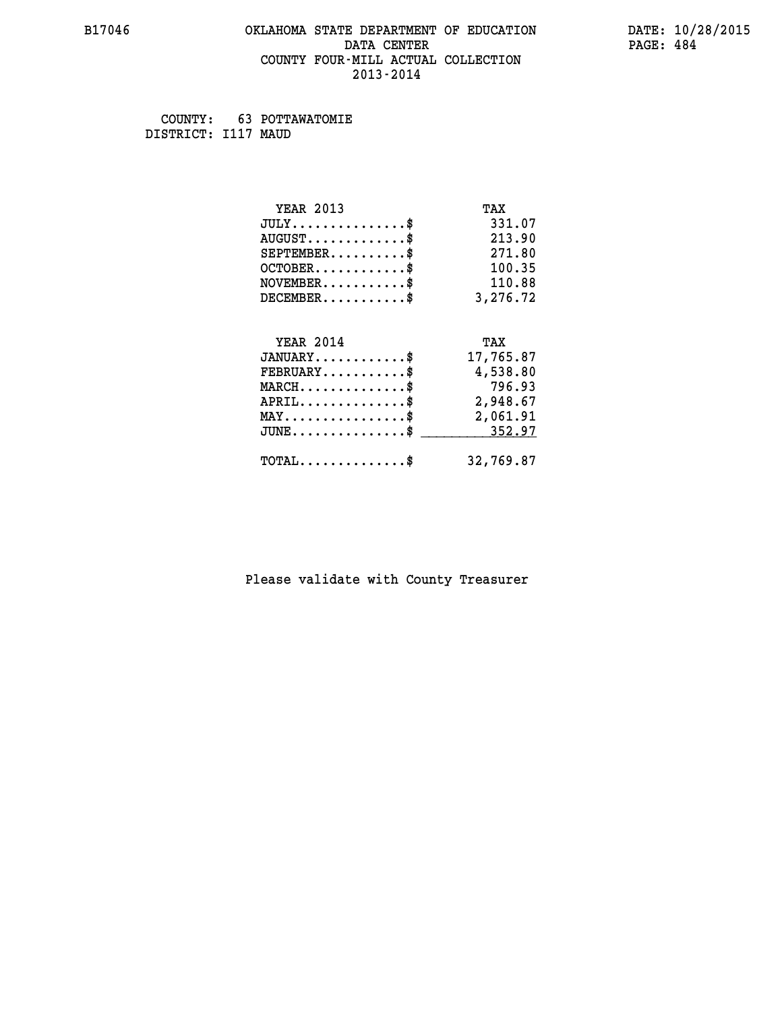### **B17046 OKLAHOMA STATE DEPARTMENT OF EDUCATION DATE: 10/28/2015 DATA CENTER** PAGE: 484  **COUNTY FOUR-MILL ACTUAL COLLECTION 2013-2014**

 **COUNTY: 63 POTTAWATOMIE DISTRICT: I117 MAUD**

| <b>YEAR 2013</b>                                 | TAX       |
|--------------------------------------------------|-----------|
| $JULY$ \$                                        | 331.07    |
| $AUGUST$ \$                                      | 213.90    |
| $SEPTEMBER$ \$                                   | 271.80    |
| $OCTOBER$ \$                                     | 100.35    |
| $NOVEMBER$ \$                                    | 110.88    |
| $DECEMBER$ \$                                    | 3,276.72  |
| <b>YEAR 2014</b>                                 | TAX       |
| $JANUARY$ \$                                     | 17,765.87 |
| $FEBRUARY$                                       | 4,538.80  |
| $MARCH$ \$                                       | 796.93    |
| $APRIL$ \$                                       | 2,948.67  |
| $\texttt{MAX} \dots \dots \dots \dots \dots \$   | 2,061.91  |
| $\texttt{JUNE} \dots \dots \dots \dots \dots \$$ | 352.97    |
| $\texttt{TOTAL} \dots \dots \dots \dots \$       | 32,769.87 |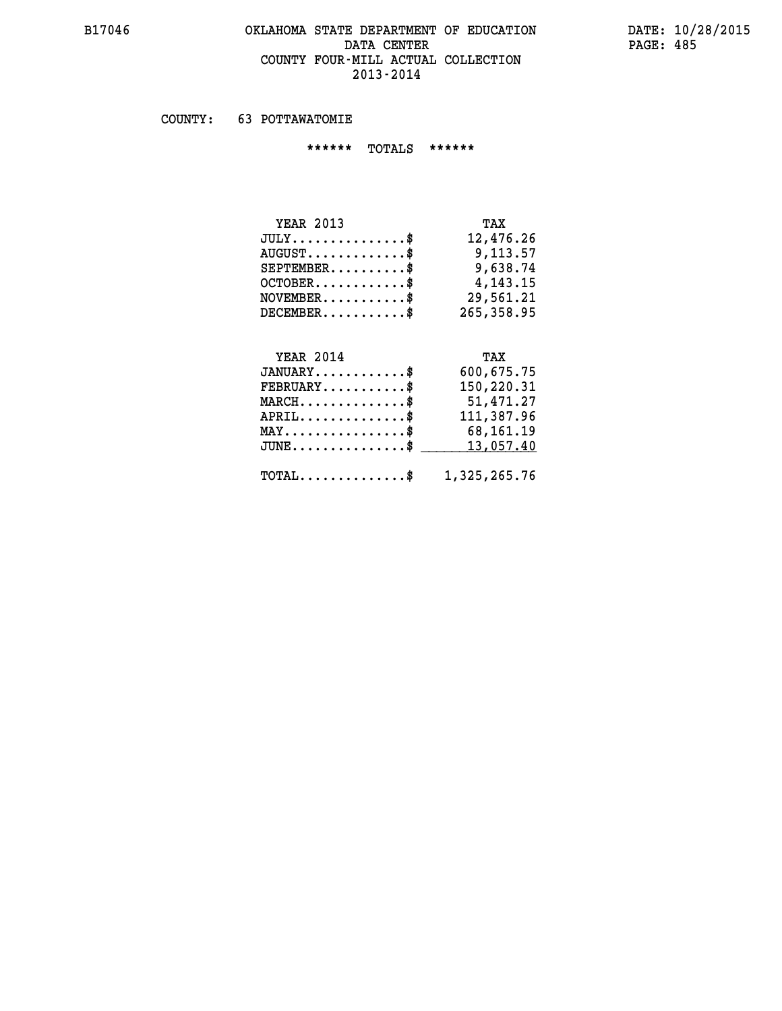## **B17046 OKLAHOMA STATE DEPARTMENT OF EDUCATION DATE: 10/28/2015** DATA CENTER PAGE: 485  **COUNTY FOUR-MILL ACTUAL COLLECTION 2013-2014**

 **COUNTY: 63 POTTAWATOMIE**

 **\*\*\*\*\*\* TOTALS \*\*\*\*\*\***

| <b>YEAR 2013</b>                | TAX        |
|---------------------------------|------------|
| $JULY$                          | 12,476.26  |
| $AUGUST \ldots \ldots \ldots \$ | 9,113.57   |
| $SEPTEMBER$ $\$                 | 9,638.74   |
| $OCTOBER$ \$                    | 4, 143, 15 |
| $NOVEMBER$ \$                   | 29,561.21  |
| $DECEMBER$ \$                   | 265,358.95 |

# **YEAR 2014 TAX**

| $JANUARY$                                               | 600,675.75 |
|---------------------------------------------------------|------------|
| $FEBRUARY$ \$                                           | 150,220.31 |
| $MARCH$ \$                                              | 51,471.27  |
| $APRIL$ \$                                              | 111,387.96 |
| $MAX \dots \dots \dots \dots \$                         | 68,161.19  |
| $JUNE \ldots \ldots \ldots \ldots$ \$ 13,057.40         |            |
| $\texttt{TOTAL} \dots \dots \dots \dots \$ 1,325,265.76 |            |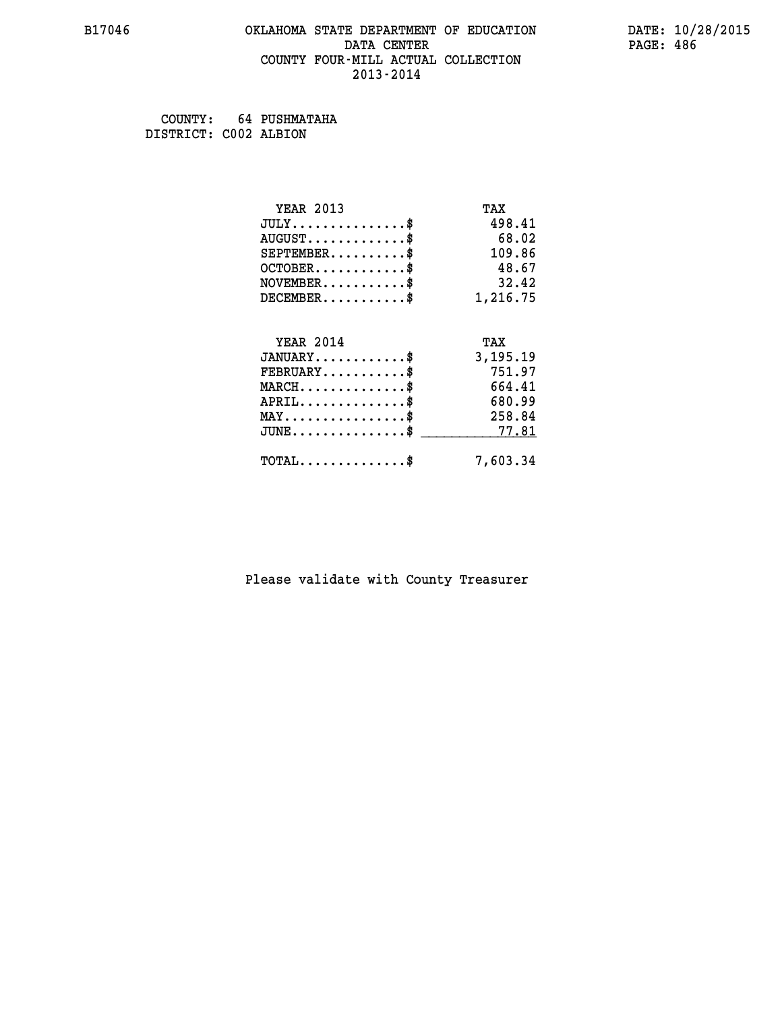### **B17046 OKLAHOMA STATE DEPARTMENT OF EDUCATION DATE: 10/28/2015 DATA CENTER** PAGE: 486  **COUNTY FOUR-MILL ACTUAL COLLECTION 2013-2014**

 **COUNTY: 64 PUSHMATAHA DISTRICT: C002 ALBION**

| <b>YEAR 2013</b>                           | TAX      |
|--------------------------------------------|----------|
| $JULY$ \$                                  | 498.41   |
| $AUGUST$ \$                                | 68.02    |
| $SEPTEMBER$ \$                             | 109.86   |
| $OCTOBER$ \$                               | 48.67    |
| $NOVEMBER$ \$                              | 32.42    |
| $DECEMBER$ \$                              | 1,216.75 |
| <b>YEAR 2014</b>                           | TAX      |
|                                            |          |
| $JANUARY$ \$                               | 3,195.19 |
| $FEBRUARY$                                 | 751.97   |
| $MARCH$ \$                                 | 664.41   |
| $APRIL$ \$                                 | 680.99   |
| $MAX \dots \dots \dots \dots \$            | 258.84   |
| $JUNE$                                     | 77.81    |
| $\texttt{TOTAL} \dots \dots \dots \dots \$ | 7,603.34 |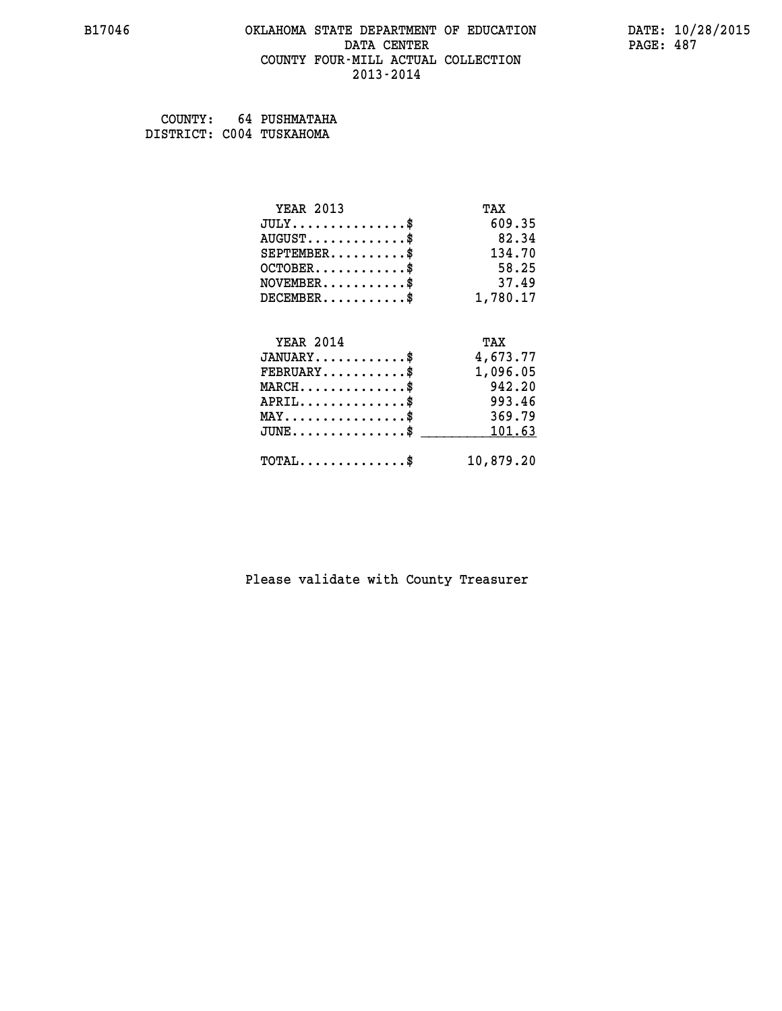### **B17046 OKLAHOMA STATE DEPARTMENT OF EDUCATION DATE: 10/28/2015 DATA CENTER** PAGE: 487  **COUNTY FOUR-MILL ACTUAL COLLECTION 2013-2014**

 **COUNTY: 64 PUSHMATAHA DISTRICT: C004 TUSKAHOMA**

| <b>YEAR 2013</b>                           | TAX       |
|--------------------------------------------|-----------|
| $JULY$ \$                                  | 609.35    |
| $AUGUST$ \$                                | 82.34     |
| $SEPTEMBER$ \$                             | 134.70    |
| $OCTOBER$ \$                               | 58.25     |
| $NOVEMBER$ \$                              | 37.49     |
| $DECEMBER$ \$                              | 1,780.17  |
| <b>YEAR 2014</b>                           | TAX       |
| $JANUARY$ \$                               | 4,673.77  |
| $FEBRUARY$ \$                              | 1,096.05  |
| $MARCH$ \$                                 | 942.20    |
| $APRIL$ \$                                 | 993.46    |
| $MAX \dots \dots \dots \dots \$            | 369.79    |
| $JUNE$ \$                                  | 101.63    |
| $\texttt{TOTAL} \dots \dots \dots \dots \$ | 10,879.20 |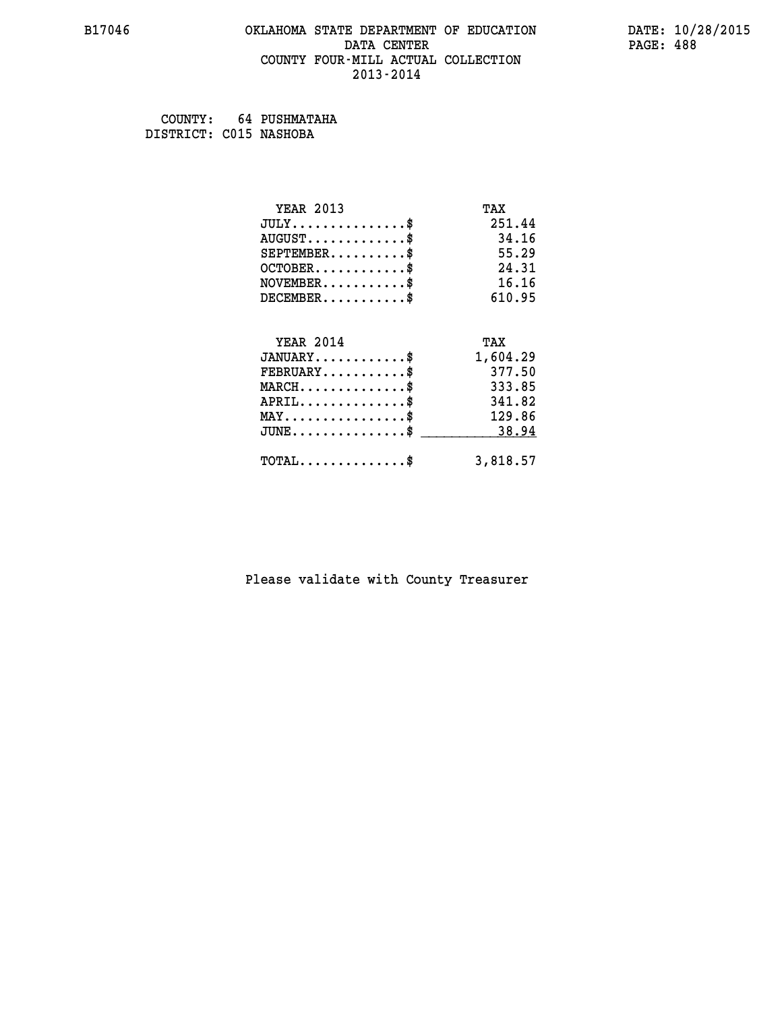### **B17046 OKLAHOMA STATE DEPARTMENT OF EDUCATION DATE: 10/28/2015 DATA CENTER** PAGE: 488  **COUNTY FOUR-MILL ACTUAL COLLECTION 2013-2014**

 **COUNTY: 64 PUSHMATAHA DISTRICT: C015 NASHOBA**

| <b>YEAR 2013</b>                    | TAX      |
|-------------------------------------|----------|
| $JULY$ \$                           | 251.44   |
| $AUGUST$ \$                         | 34.16    |
| $SEPTEMBER$ \$                      | 55.29    |
| $OCTOBER$ \$                        | 24.31    |
| $NOVEMBER$ \$                       | 16.16    |
| $DECEMBER$ \$                       | 610.95   |
|                                     |          |
| <b>YEAR 2014</b>                    | TAX      |
| $JANUARY$                           | 1,604.29 |
| $FEBRUARY$                          | 377.50   |
| $MARCH$ \$                          | 333.85   |
| $APRIL$ \$                          | 341.82   |
| $MAX \dots \dots \dots \dots \dots$ | 129.86   |
| $JUNE$                              | 38.94    |
| $TOTAL$ \$                          | 3,818.57 |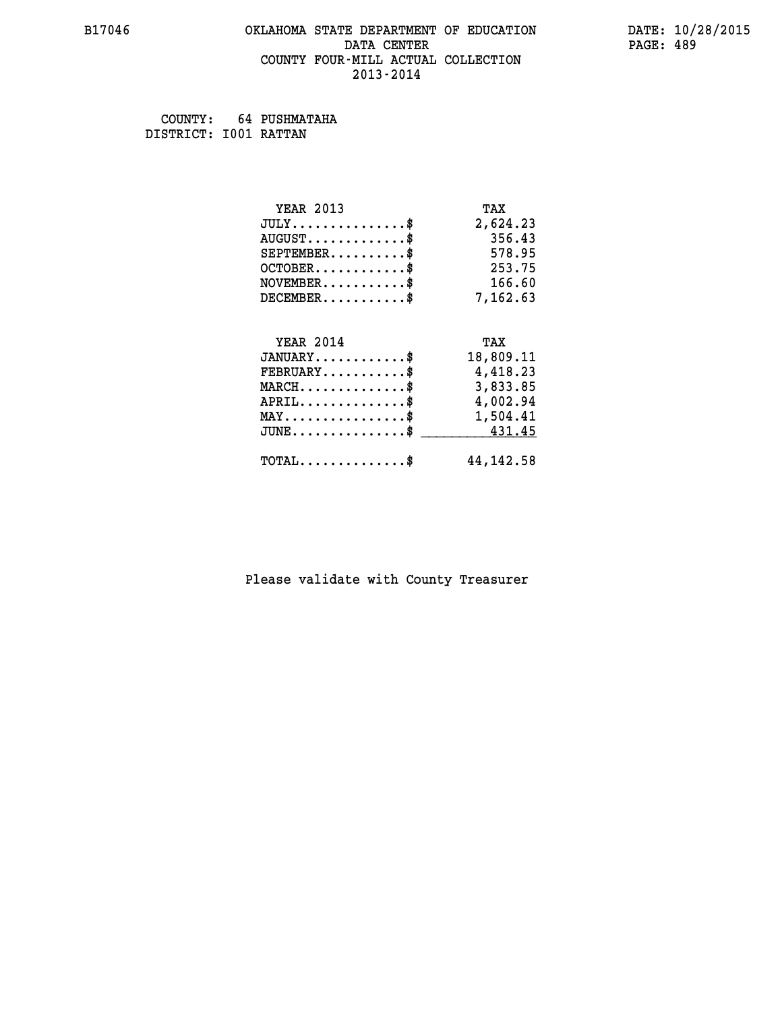### **B17046 OKLAHOMA STATE DEPARTMENT OF EDUCATION DATE: 10/28/2015 DATA CENTER** PAGE: 489  **COUNTY FOUR-MILL ACTUAL COLLECTION 2013-2014**

 **COUNTY: 64 PUSHMATAHA DISTRICT: I001 RATTAN**

| <b>YEAR 2013</b>                               | TAX         |
|------------------------------------------------|-------------|
| $JULY$ \$                                      | 2,624.23    |
| $AUGUST$ \$                                    | 356.43      |
| $SEPTEMBER$ \$                                 | 578.95      |
| $OCTOBER$ \$                                   | 253.75      |
| $NOVEMBER.$ \$                                 | 166.60      |
| $DECEMBER$ \$                                  | 7,162.63    |
|                                                |             |
| <b>YEAR 2014</b>                               | TAX         |
| $JANUARY$ \$                                   | 18,809.11   |
| $FEBRUARY$ \$                                  | 4,418.23    |
| $MARCH$ \$                                     | 3,833.85    |
| $APRIL$ \$                                     | 4,002.94    |
| $\texttt{MAX} \dots \dots \dots \dots \dots \$ | 1,504.41    |
| $JUNE$ \$                                      | 431.45      |
| $\texttt{TOTAL} \dots \dots \dots \dots \$     | 44, 142. 58 |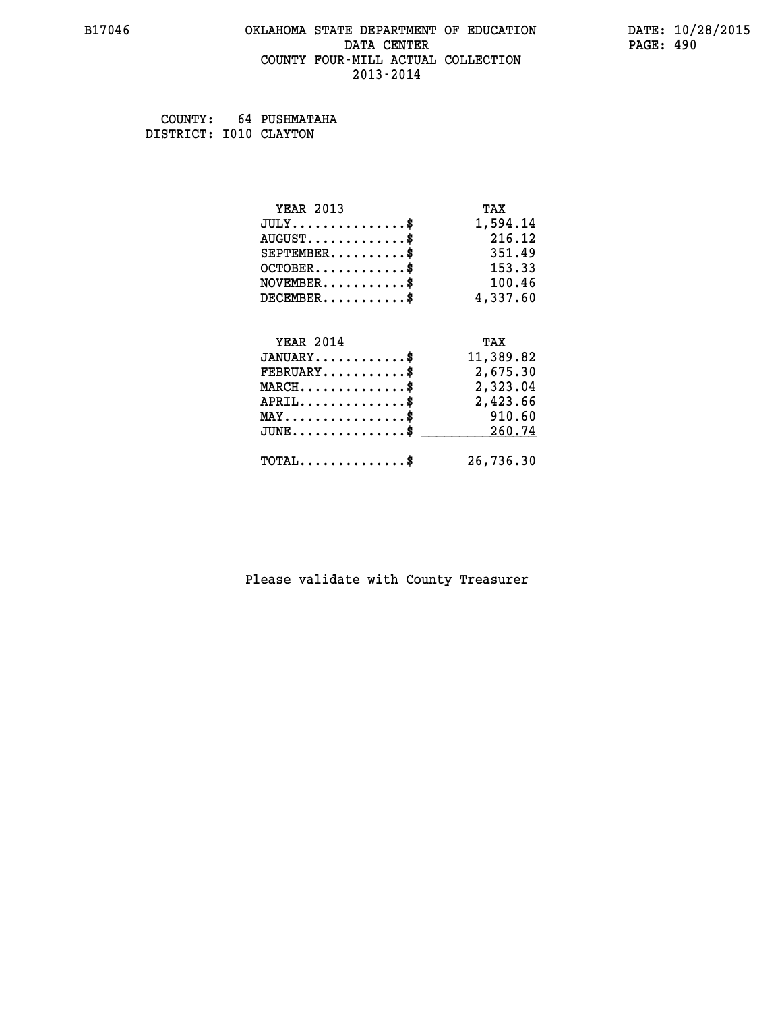### **B17046 OKLAHOMA STATE DEPARTMENT OF EDUCATION DATE: 10/28/2015 DATA CENTER** PAGE: 490  **COUNTY FOUR-MILL ACTUAL COLLECTION 2013-2014**

 **COUNTY: 64 PUSHMATAHA DISTRICT: I010 CLAYTON**

| <b>YEAR 2013</b>                                 | TAX       |
|--------------------------------------------------|-----------|
| $JULY$ \$                                        | 1,594.14  |
| $AUGUST$ \$                                      | 216.12    |
| $SEPTEMBER$ \$                                   | 351.49    |
| $OCTOBER$ \$                                     | 153.33    |
| $NOVEMBER.$ \$                                   | 100.46    |
| $DECEMBER$ \$                                    | 4,337.60  |
|                                                  |           |
| <b>YEAR 2014</b>                                 | TAX       |
| $JANUARY$ \$                                     | 11,389.82 |
| $FEBRUARY$ \$                                    | 2,675.30  |
| $\texttt{MARCH}\ldots\ldots\ldots\ldots\$        | 2,323.04  |
| $APRIL \ldots \ldots \ldots \ldots *$            | 2,423.66  |
| $\texttt{MAX} \dots \dots \dots \dots \dots \$   | 910.60    |
| $\texttt{JUNE} \dots \dots \dots \dots \dots \$$ | 260.74    |
| $\texttt{TOTAL} \dots \dots \dots \dots \$       | 26,736.30 |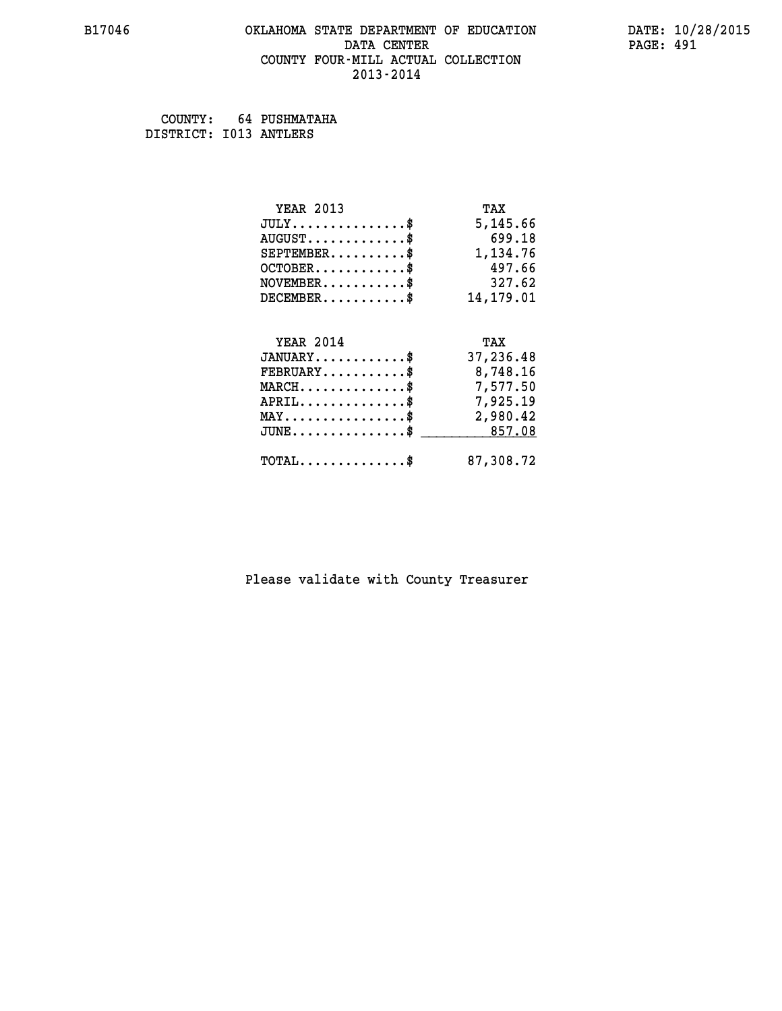### **B17046 OKLAHOMA STATE DEPARTMENT OF EDUCATION DATE: 10/28/2015 DATA CENTER** PAGE: 491  **COUNTY FOUR-MILL ACTUAL COLLECTION 2013-2014**

 **COUNTY: 64 PUSHMATAHA DISTRICT: I013 ANTLERS**

| <b>YEAR 2013</b>                               | TAX       |
|------------------------------------------------|-----------|
| $JULY$ \$                                      | 5,145.66  |
| $AUGUST$ \$                                    | 699.18    |
| $SEPTEMBER$ \$                                 | 1,134.76  |
| $OCTOBER$ \$                                   | 497.66    |
| $\texttt{NOVEMBER} \dots \dots \dots \$        | 327.62    |
| $DECEMBER$ \$                                  | 14,179.01 |
|                                                |           |
| <b>YEAR 2014</b>                               | TAX       |
| $JANUARY$ \$                                   | 37,236.48 |
| $FEBRUARY$ \$                                  | 8,748.16  |
| $MARCH$ \$                                     | 7,577.50  |
| $APRIL \ldots \ldots \ldots \ldots \$          | 7,925.19  |
| $\texttt{MAX} \dots \dots \dots \dots \dots \$ | 2,980.42  |
| $JUNE$ \$                                      | 857.08    |
| $\texttt{TOTAL} \dots \dots \dots \dots \$     | 87,308.72 |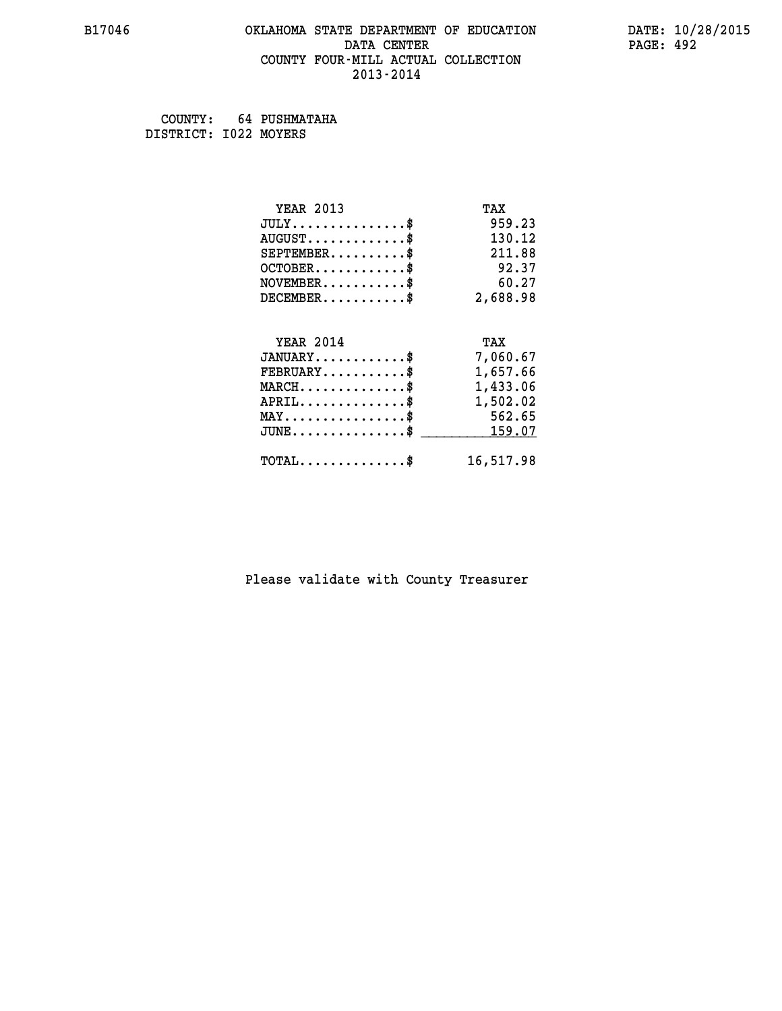### **B17046 OKLAHOMA STATE DEPARTMENT OF EDUCATION DATE: 10/28/2015 DATA CENTER** PAGE: 492  **COUNTY FOUR-MILL ACTUAL COLLECTION 2013-2014**

 **COUNTY: 64 PUSHMATAHA DISTRICT: I022 MOYERS**

| <b>YEAR 2013</b>                           | TAX       |
|--------------------------------------------|-----------|
| $JULY$ \$                                  | 959.23    |
| $AUGUST$ \$                                | 130.12    |
| $SEPTEMENT.$ \$                            | 211.88    |
| $OCTOBER$ \$                               | 92.37     |
| $NOVEMBER$ \$                              | 60.27     |
| $DECEMBER$ \$                              | 2,688.98  |
| <b>YEAR 2014</b>                           | TAX       |
| $JANUARY$ \$                               | 7,060.67  |
| $FEBRUARY$                                 |           |
|                                            | 1,657.66  |
| $MARCH$ \$                                 | 1,433.06  |
| $APRIL$ \$                                 | 1,502.02  |
| $MAX \dots \dots \dots \dots \$            | 562.65    |
| $JUNE$                                     | 159.07    |
| $\texttt{TOTAL} \dots \dots \dots \dots \$ | 16,517.98 |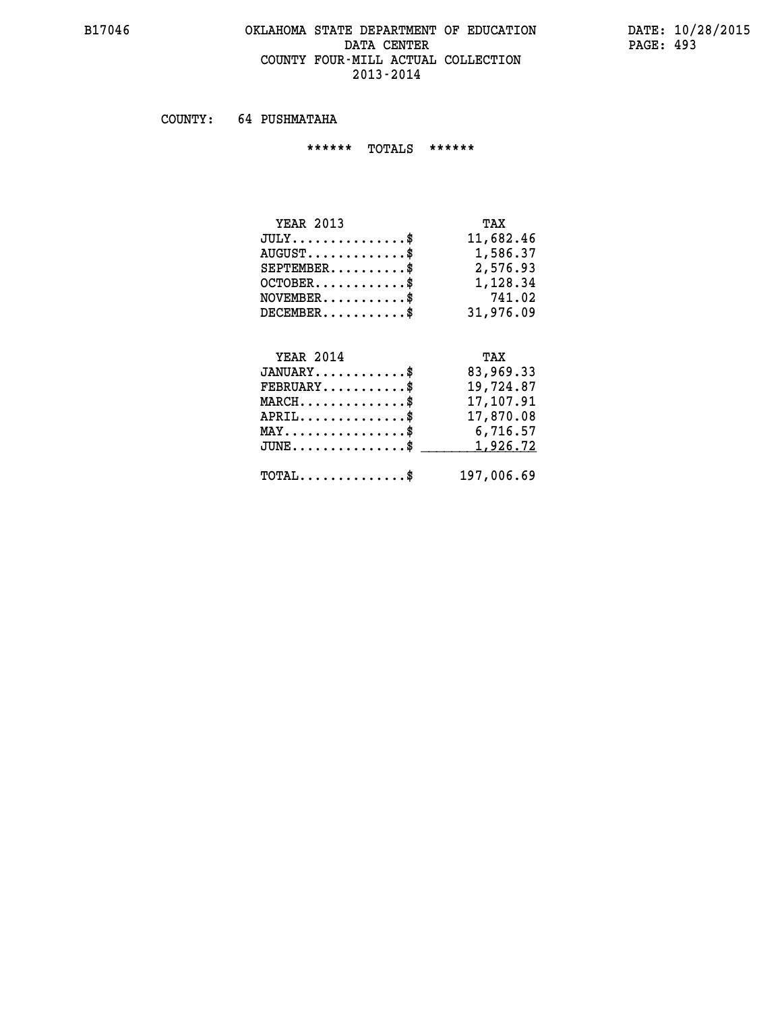#### **B17046 OKLAHOMA STATE DEPARTMENT OF EDUCATION DATE: 10/28/2015** DATA CENTER PAGE: 493  **COUNTY FOUR-MILL ACTUAL COLLECTION 2013-2014**

 **COUNTY: 64 PUSHMATAHA**

 **\*\*\*\*\*\* TOTALS \*\*\*\*\*\***

| <b>YEAR 2013</b> | TAX       |
|------------------|-----------|
| $JULY$ \$        | 11,682.46 |
| $AUGUST$ \$      | 1,586.37  |
| $SEPTEMENT.$ \$  | 2,576.93  |
| $OCTOBER.$ \$    | 1,128.34  |
| $NOVEMBER.$ \$   | 741.02    |
| $DECEMBER$ \$    | 31,976.09 |
|                  |           |

# **YEAR 2014 TAX JANUARY............\$ 83,969.33 FEBRUARY...........\$ 19,724.87 MARCH..............\$ 17,107.91 APRIL..............\$ 17,870.08 MAY................\$ 6,716.57 JUNE................\$** <u>1,926.72</u>  **TOTAL..............\$ 197,006.69**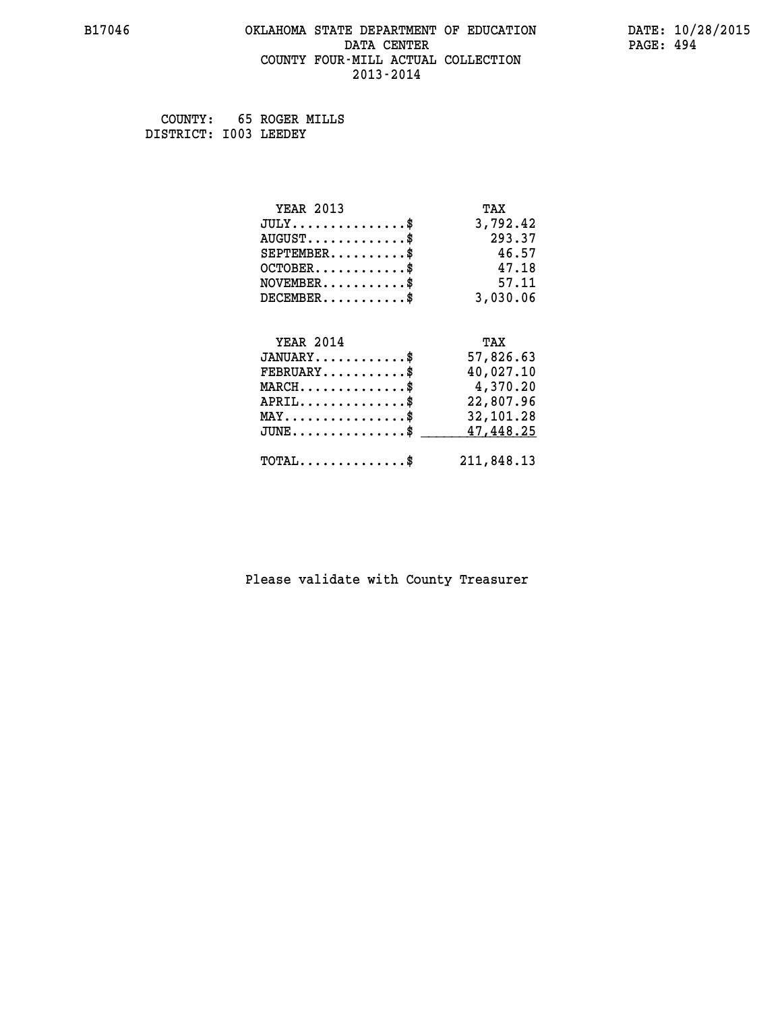### **B17046 OKLAHOMA STATE DEPARTMENT OF EDUCATION DATE: 10/28/2015 DATA CENTER** PAGE: 494  **COUNTY FOUR-MILL ACTUAL COLLECTION 2013-2014**

 **COUNTY: 65 ROGER MILLS DISTRICT: I003 LEEDEY**

| <b>YEAR 2013</b>                               | TAX        |
|------------------------------------------------|------------|
| $JULY$ \$                                      | 3,792.42   |
| $AUGUST$ \$                                    | 293.37     |
| $SEPTEMBER$                                    | 46.57      |
| $OCTOBER$ \$                                   | 47.18      |
| $NOVEMBER$ \$                                  | 57.11      |
| $DECEMBER$ \$                                  | 3,030.06   |
|                                                |            |
| <b>YEAR 2014</b>                               | TAX        |
| $JANUARY$ \$                                   | 57,826.63  |
| $FEBRUARY$                                     | 40,027.10  |
| $MARCH$ \$                                     | 4,370.20   |
| $APRIL$ \$                                     | 22,807.96  |
| $\texttt{MAX} \dots \dots \dots \dots \dots \$ | 32,101.28  |
| $JUNE$ \$                                      | 47,448.25  |
| $\texttt{TOTAL} \dots \dots \dots \dots \$     | 211,848.13 |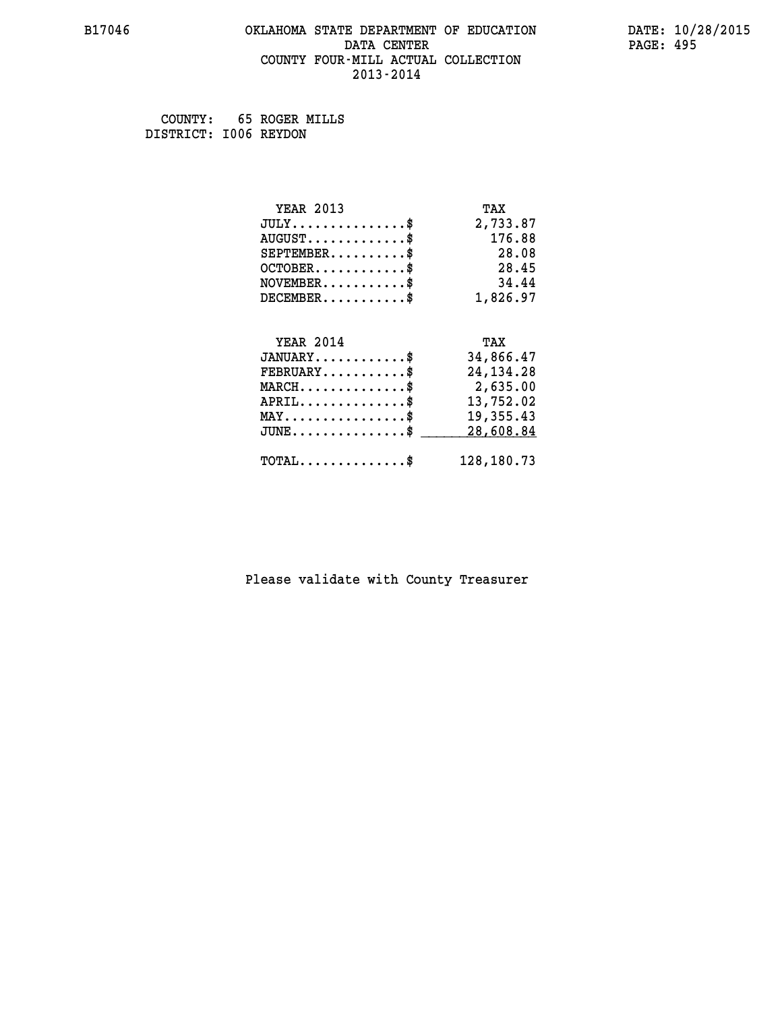### **B17046 OKLAHOMA STATE DEPARTMENT OF EDUCATION DATE: 10/28/2015 DATA CENTER** PAGE: 495  **COUNTY FOUR-MILL ACTUAL COLLECTION 2013-2014**

 **COUNTY: 65 ROGER MILLS DISTRICT: I006 REYDON**

| <b>YEAR 2013</b>                                 | TAX         |
|--------------------------------------------------|-------------|
| $JULY$ \$                                        | 2,733.87    |
| $AUGUST$ \$                                      | 176.88      |
| $SEPTEMBER$ \$                                   | 28.08       |
| $OCTOBER$ \$                                     | 28.45       |
| $\texttt{NOVEMBER} \dots \dots \dots \$          | 34.44       |
| $DECEMBER$ \$                                    | 1,826.97    |
|                                                  |             |
| <b>YEAR 2014</b>                                 | TAX         |
| $JANUARY$ \$                                     | 34,866.47   |
| $FEBRUARY$ \$                                    | 24, 134. 28 |
| $\texttt{MARCH}\ldots\ldots\ldots\ldots\text{*}$ | 2,635.00    |
| $APRIL \ldots \ldots \ldots \ldots \$            | 13,752.02   |
| $\texttt{MAX} \dots \dots \dots \dots \dots \$   | 19,355.43   |
| $JUNE$ \$                                        | 28,608.84   |
| $\texttt{TOTAL} \dots \dots \dots \dots \$       | 128,180.73  |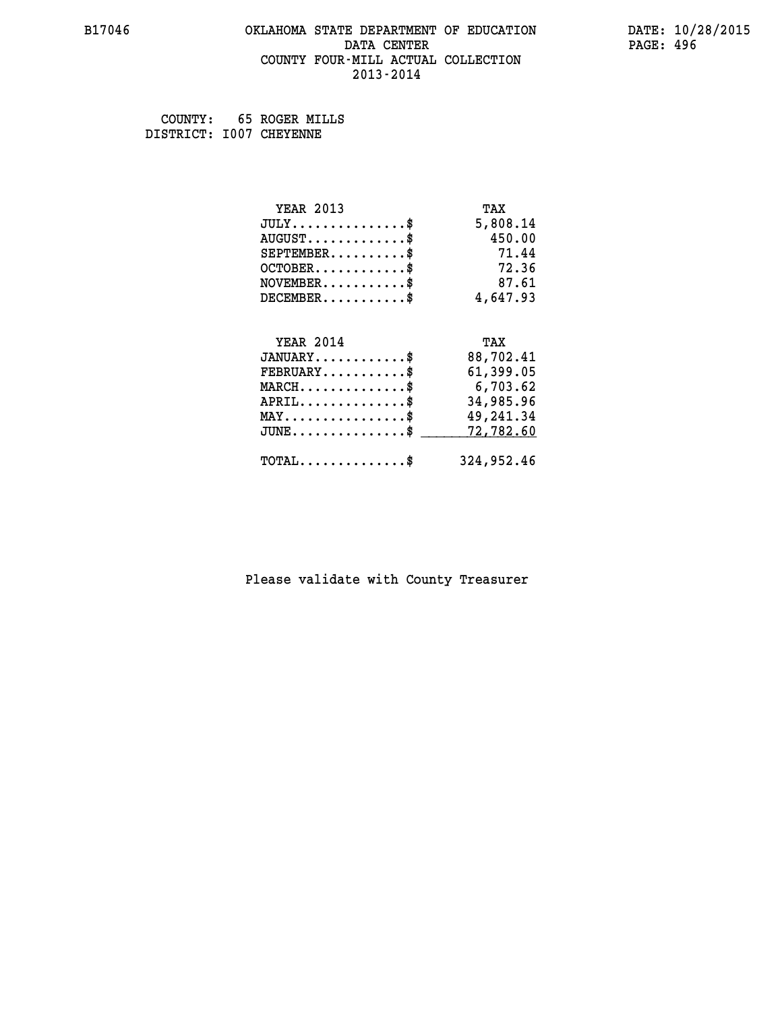### **B17046 OKLAHOMA STATE DEPARTMENT OF EDUCATION DATE: 10/28/2015 DATA CENTER** PAGE: 496  **COUNTY FOUR-MILL ACTUAL COLLECTION 2013-2014**

 **COUNTY: 65 ROGER MILLS DISTRICT: I007 CHEYENNE**

| <b>YEAR 2013</b>                                   | TAX        |
|----------------------------------------------------|------------|
| $JULY$ \$                                          | 5,808.14   |
| $AUGUST$ \$                                        | 450.00     |
| $SEPTEMBER$ \$                                     | 71.44      |
| $OCTOBER$ \$                                       | 72.36      |
| $\texttt{NOVEMBER} \dots \dots \dots \$            | 87.61      |
| $DECEMBER$ \$                                      | 4,647.93   |
|                                                    |            |
| <b>YEAR 2014</b>                                   | TAX        |
| $JANUARY$ \$                                       | 88,702.41  |
| $FEBRUARY$                                         | 61,399.05  |
| $\texttt{MARCH}\ldots\ldots\ldots\ldots\text{*}$   | 6,703.62   |
| $APRIL \ldots \ldots \ldots \ldots \$              | 34,985.96  |
| $\texttt{MAX} \dots \dots \dots \dots \dots \$     | 49,241.34  |
| $J\texttt{UNE} \dots \dots \dots \dots \texttt{S}$ | 72,782.60  |
| $\texttt{TOTAL} \dots \dots \dots \dots \$         | 324,952.46 |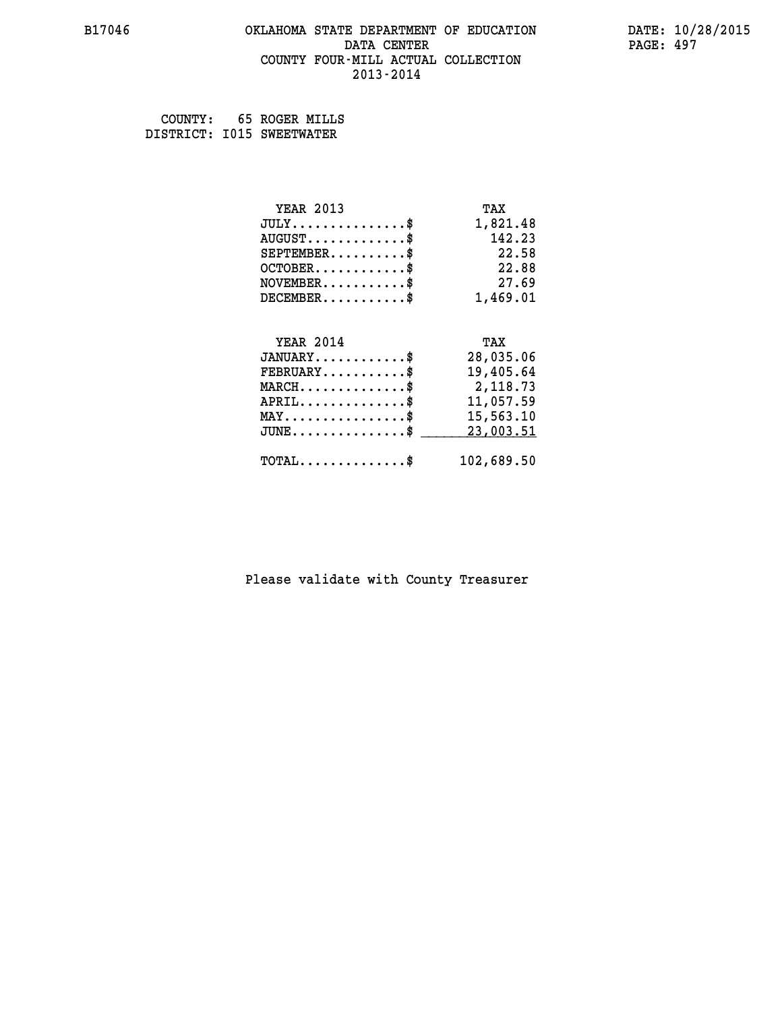### **B17046 OKLAHOMA STATE DEPARTMENT OF EDUCATION DATE: 10/28/2015 DATA CENTER** PAGE: 497  **COUNTY FOUR-MILL ACTUAL COLLECTION 2013-2014**

 **COUNTY: 65 ROGER MILLS DISTRICT: I015 SWEETWATER**

| <b>YEAR 2013</b>                               | TAX        |
|------------------------------------------------|------------|
| $JULY$ \$                                      | 1,821.48   |
| $AUGUST$ \$                                    | 142.23     |
| $SEPTEMBER$                                    | 22.58      |
| $OCTOBER$ \$                                   | 22.88      |
| $NOVEMBER$ \$                                  | 27.69      |
| $DECEMBER$ \$                                  | 1,469.01   |
|                                                |            |
| <b>YEAR 2014</b>                               | TAX        |
| $JANUARY$ \$                                   | 28,035.06  |
| $FEBRUARY$                                     | 19,405.64  |
| $MARCH$ \$                                     | 2,118.73   |
| $APRIL \ldots \ldots \ldots \ldots$            | 11,057.59  |
| $\texttt{MAX} \dots \dots \dots \dots \dots \$ | 15,563.10  |
| $JUNE$ \$                                      | 23,003.51  |
| $\texttt{TOTAL} \dots \dots \dots \dots \$     | 102,689.50 |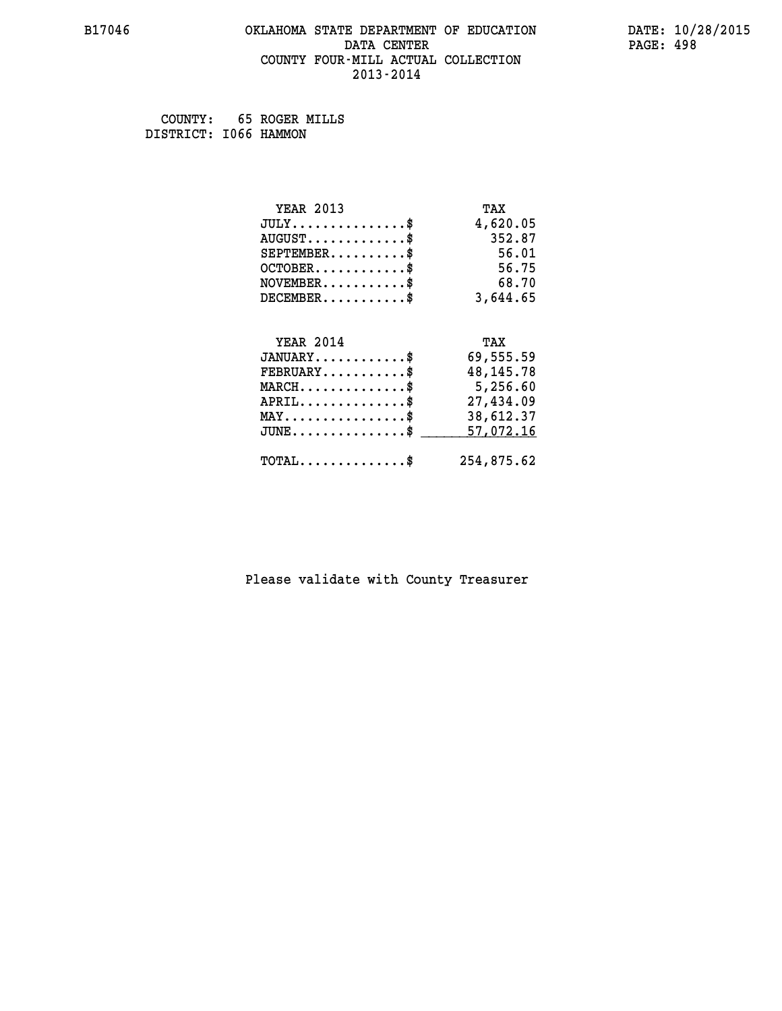### **B17046 OKLAHOMA STATE DEPARTMENT OF EDUCATION DATE: 10/28/2015 DATA CENTER** PAGE: 498  **COUNTY FOUR-MILL ACTUAL COLLECTION 2013-2014**

 **COUNTY: 65 ROGER MILLS DISTRICT: I066 HAMMON**

| <b>YEAR 2013</b>                    | TAX         |
|-------------------------------------|-------------|
| $JULY$ \$                           | 4,620.05    |
| $AUGUST$ \$                         | 352.87      |
| $SEPTEMBER$ \$                      | 56.01       |
| $OCTOBER$ \$                        | 56.75       |
| $NOVEMBER$ \$                       | 68.70       |
| $DECEMBER$ \$                       | 3,644.65    |
| <b>YEAR 2014</b>                    | TAX         |
| $JANUARY$ \$                        | 69,555.59   |
|                                     |             |
| $FEBRUARY$ \$                       | 48, 145. 78 |
| $MARCH$ \$                          | 5,256.60    |
| $APRIL$ \$                          | 27,434.09   |
| $MAX \dots \dots \dots \dots \dots$ | 38,612.37   |
| $JUNE$ \$                           | 57,072.16   |
| $TOTAL$ \$                          | 254,875.62  |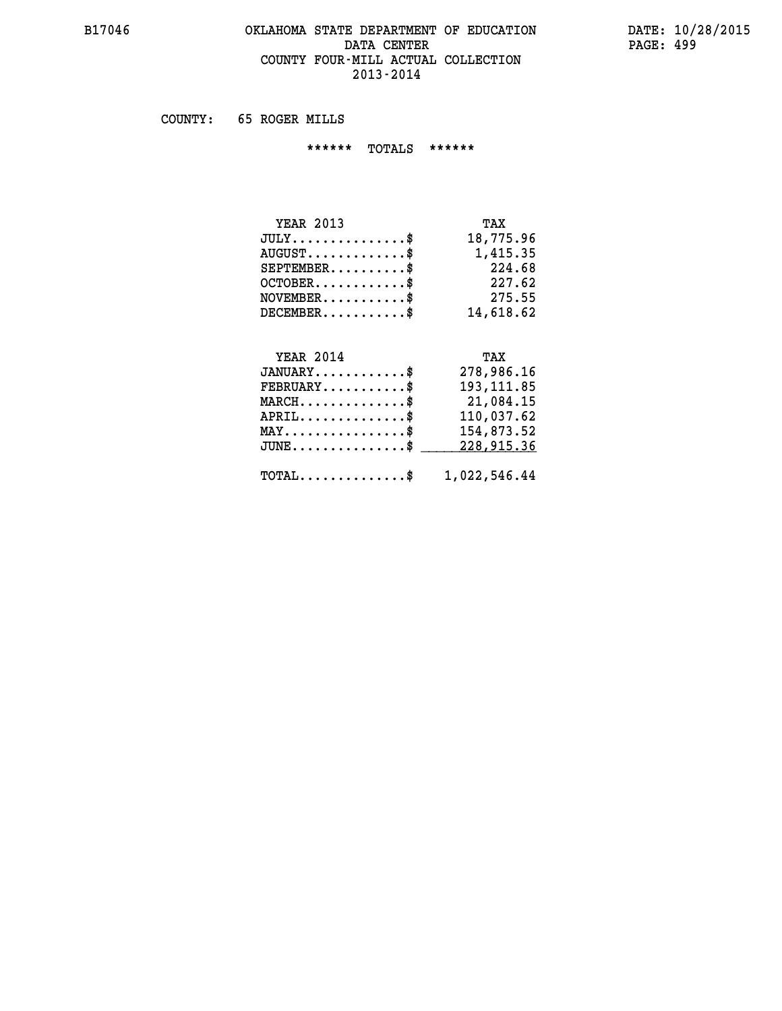## **B17046 OKLAHOMA STATE DEPARTMENT OF EDUCATION DATE: 10/28/2015** DATA CENTER PAGE: 499  **COUNTY FOUR-MILL ACTUAL COLLECTION 2013-2014**

 **COUNTY: 65 ROGER MILLS**

 **\*\*\*\*\*\* TOTALS \*\*\*\*\*\***

| <b>YEAR 2013</b>                | TAX       |
|---------------------------------|-----------|
| $JULY \ldots \ldots \ldots \$   | 18,775.96 |
| $AUGUST \ldots \ldots \ldots \$ | 1,415.35  |
| $SEPTEMBER$                     | 224.68    |
| $OCTOBER$                       | 227.62    |
| $NOVEMBER$ \$                   | 275.55    |
| $DECEMBER$                      | 14,618.62 |

#### **YEAR 2014 TAX**

| $JANUARY$                                               | 278,986.16  |
|---------------------------------------------------------|-------------|
| $\texttt{FEBRUARY} \dots \dots \dots \$                 | 193, 111.85 |
| $MARCH$ \$                                              | 21,084.15   |
| $APRIL$                                                 | 110,037.62  |
| $MAX \dots \dots \dots \dots \$                         | 154,873.52  |
| JUNE\$ 228,915.36                                       |             |
| $\texttt{TOTAL} \dots \dots \dots \dots \$ 1,022,546.44 |             |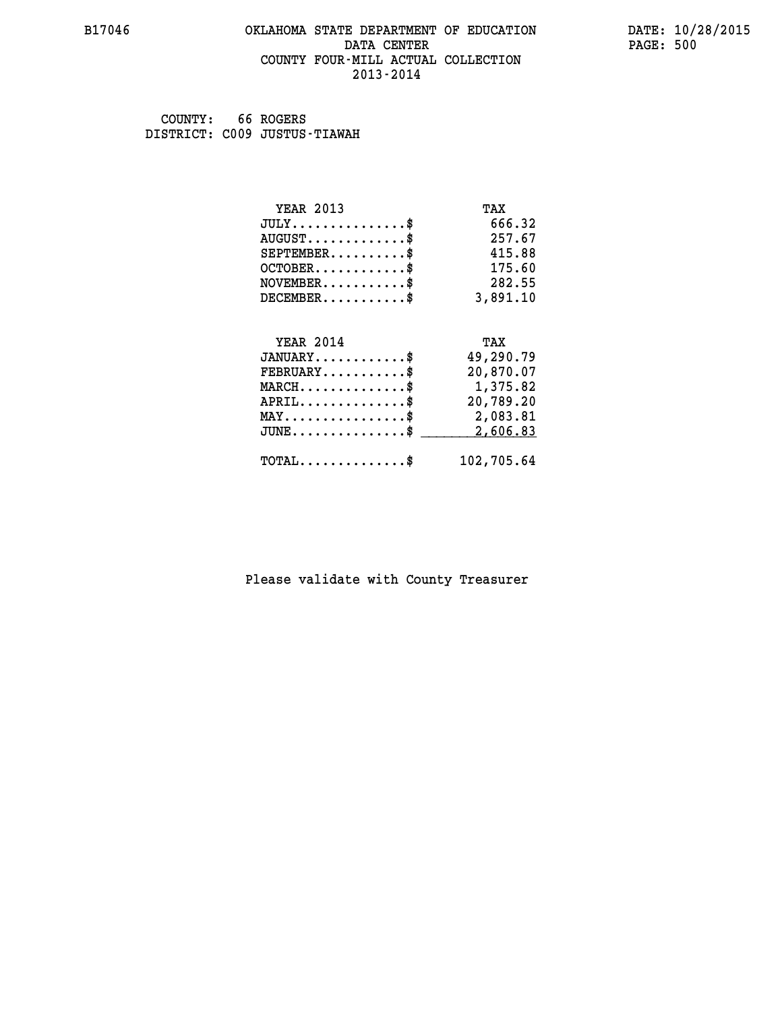### **B17046 OKLAHOMA STATE DEPARTMENT OF EDUCATION DATE: 10/28/2015 DATA CENTER** PAGE: 500  **COUNTY FOUR-MILL ACTUAL COLLECTION 2013-2014**

 **COUNTY: 66 ROGERS DISTRICT: C009 JUSTUS-TIAWAH**

| <b>YEAR 2013</b>                           | TAX        |
|--------------------------------------------|------------|
| $JULY$ \$                                  | 666.32     |
| $AUGUST$ \$                                | 257.67     |
| $SEPTEMBER$ \$                             | 415.88     |
| $OCTOBER$ \$                               | 175.60     |
| $NOVEMBER$ \$                              | 282.55     |
| $DECEMBER$ \$                              | 3,891.10   |
|                                            |            |
| <b>YEAR 2014</b>                           | TAX        |
| $JANUARY$ \$                               | 49,290.79  |
| $FEBRUARY$                                 | 20,870.07  |
| $MARCH$ \$                                 | 1,375.82   |
| $APRIL$ \$                                 | 20,789.20  |
| $MAX \dots \dots \dots \dots \dots$        | 2,083.81   |
| $JUNE$ \$                                  | 2,606.83   |
| $\texttt{TOTAL} \dots \dots \dots \dots \$ | 102,705.64 |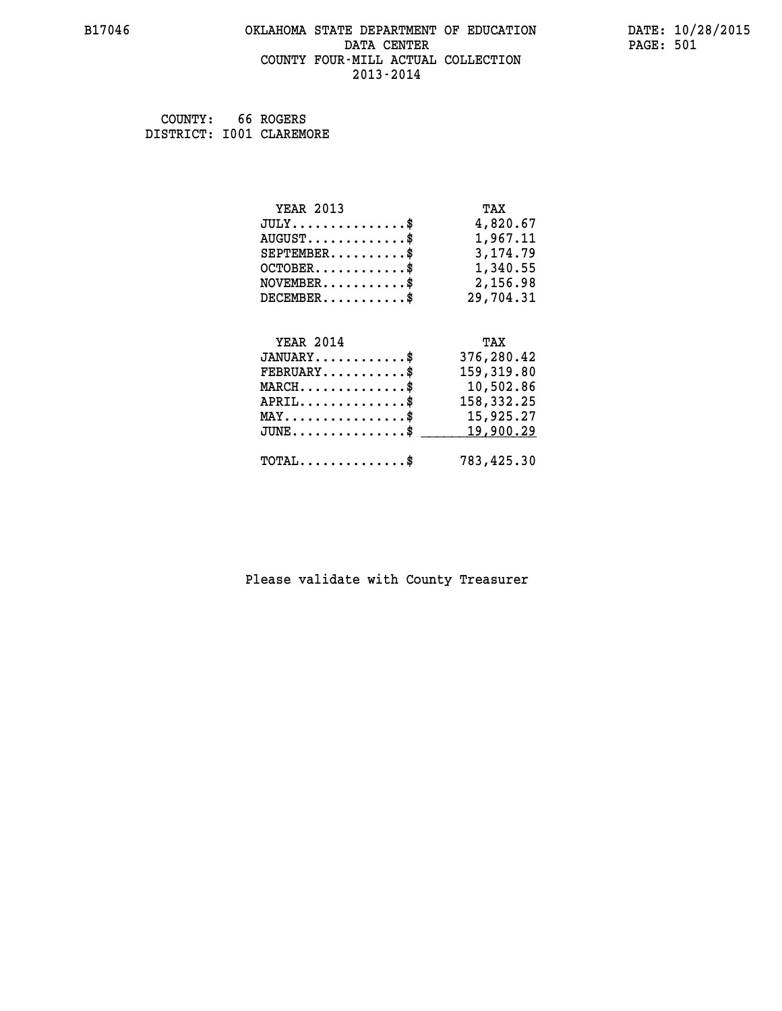### **B17046 OKLAHOMA STATE DEPARTMENT OF EDUCATION DATE: 10/28/2015 DATA CENTER** PAGE: 501  **COUNTY FOUR-MILL ACTUAL COLLECTION 2013-2014**

 **COUNTY: 66 ROGERS DISTRICT: I001 CLAREMORE**

| <b>YEAR 2013</b>                                   | TAX        |
|----------------------------------------------------|------------|
| $JULY$ \$                                          | 4,820.67   |
| $AUGUST$ \$                                        | 1,967.11   |
| $SEPTEMBER$ \$                                     | 3, 174.79  |
| $OCTOBER$ \$                                       | 1,340.55   |
| $NOVEMBER.$ \$                                     | 2,156.98   |
| $DECEMBER$ \$                                      | 29,704.31  |
|                                                    |            |
| <b>YEAR 2014</b>                                   | TAX        |
|                                                    |            |
| $JANUARY$ \$                                       | 376,280.42 |
| $FEBRUARY$ \$                                      | 159,319.80 |
| $MARCH$ \$                                         | 10,502.86  |
| $APRIL \ldots \ldots \ldots \ldots \$              | 158,332.25 |
| $\texttt{MAX} \dots \dots \dots \dots \dots \$     | 15,925.27  |
| $\texttt{JUNE} \dots \dots \dots \dots \texttt{S}$ | 19,900.29  |
| $\texttt{TOTAL} \dots \dots \dots \dots$ \$        | 783,425.30 |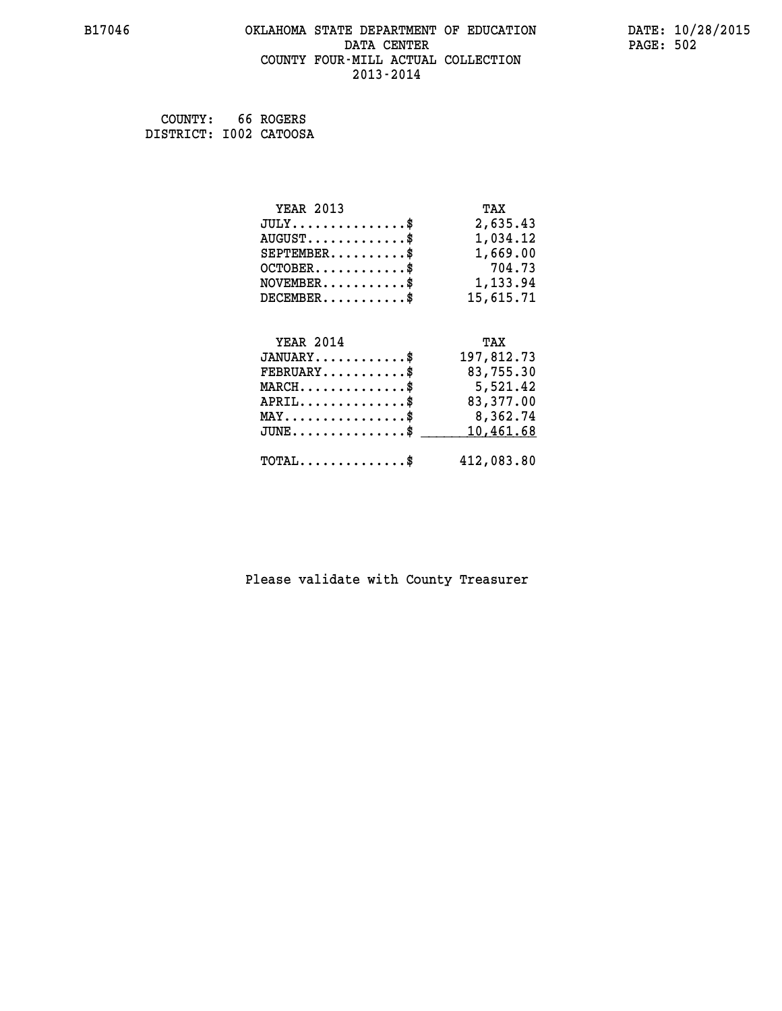## **B17046 OKLAHOMA STATE DEPARTMENT OF EDUCATION DATE: 10/28/2015 DATA CENTER PAGE: 502 COUNTY FOUR-MILL ACTUAL COLLECTION 2013-2014**

 **COUNTY: 66 ROGERS DISTRICT: I002 CATOOSA**

| <b>YEAR 2013</b>                                 | TAX        |
|--------------------------------------------------|------------|
| $JULY$ \$                                        | 2,635.43   |
| $AUGUST$ \$                                      | 1,034.12   |
| $SEPTEMENT.$ \$                                  | 1,669.00   |
| $OCTOBER$ \$                                     | 704.73     |
| $NOVEMBER.$ \$                                   | 1,133.94   |
| $DECEMBER$ \$                                    | 15,615.71  |
|                                                  |            |
|                                                  |            |
| <b>YEAR 2014</b>                                 | TAX        |
| $JANUARY$ \$                                     | 197,812.73 |
| $FEBRUARY$ \$                                    | 83,755.30  |
| $MARCH \ldots \ldots \ldots \ldots \$            | 5,521.42   |
| $APRIL$ \$                                       | 83,377.00  |
| $\texttt{MAX} \dots \dots \dots \dots \dots \$   | 8,362.74   |
| $\texttt{JUNE} \dots \dots \dots \dots \dots \$$ | 10,461.68  |
| $TOTAL$ \$                                       | 412,083.80 |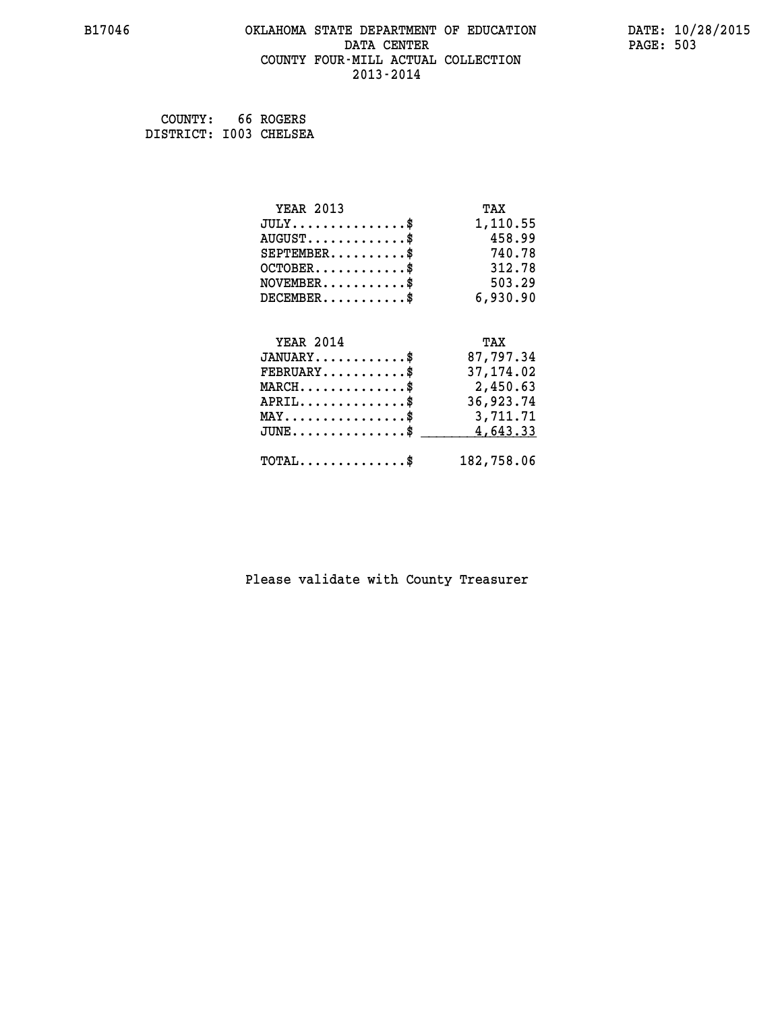### **B17046 OKLAHOMA STATE DEPARTMENT OF EDUCATION DATE: 10/28/2015 DATA CENTER** PAGE: 503  **COUNTY FOUR-MILL ACTUAL COLLECTION 2013-2014**

 **COUNTY: 66 ROGERS DISTRICT: I003 CHELSEA**

| <b>YEAR 2013</b>                             | TAX        |
|----------------------------------------------|------------|
| $JULY$ \$                                    | 1,110.55   |
| $AUGUST$ \$                                  | 458.99     |
| $SEPTEMBER$ \$                               | 740.78     |
| $OCTOBER$ \$                                 | 312.78     |
| $NOVEMBER.$ \$                               | 503.29     |
| $DECEMBER$ \$                                | 6,930.90   |
|                                              |            |
| <b>YEAR 2014</b>                             | TAX        |
| $JANUARY$ \$                                 | 87,797.34  |
| $FEBRUARY$                                   | 37, 174.02 |
| $MARCH$ \$                                   | 2,450.63   |
| $APRIL$ \$                                   | 36,923.74  |
| $MAX \dots \dots \dots \dots \dots$          | 3,711.71   |
| $JUNE \ldots \ldots \ldots \ldots \ldots$ \$ | 4,643.33   |
| $\texttt{TOTAL} \dots \dots \dots \dots \$   | 182,758.06 |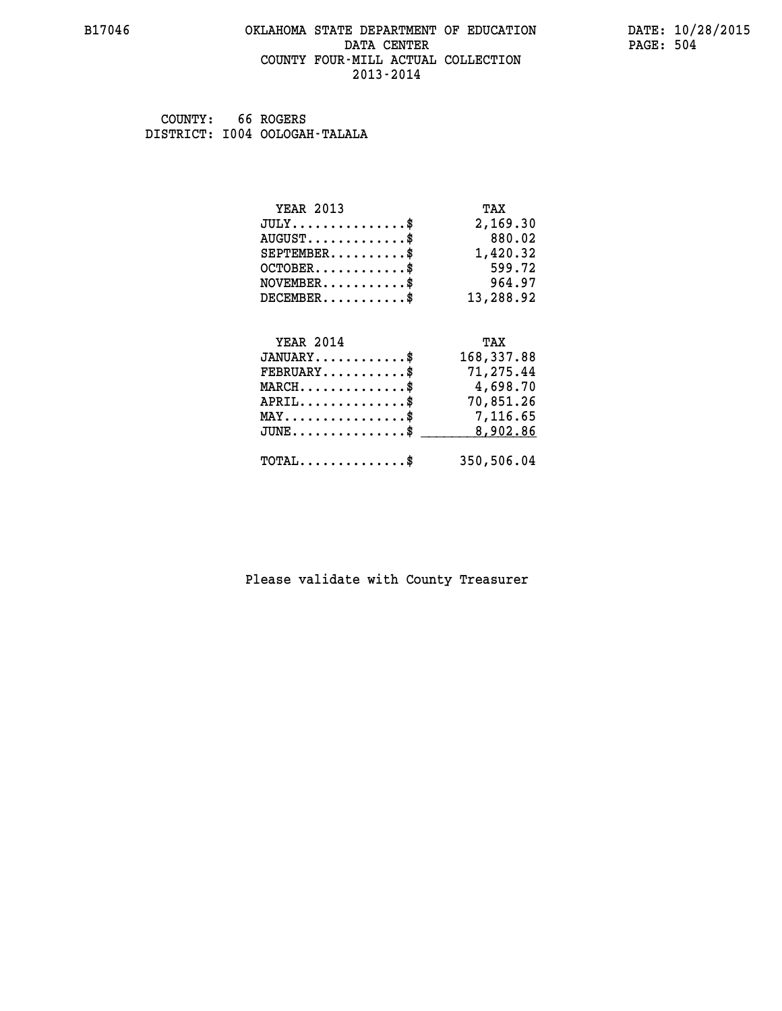### **B17046 OKLAHOMA STATE DEPARTMENT OF EDUCATION DATE: 10/28/2015 DATA CENTER** PAGE: 504  **COUNTY FOUR-MILL ACTUAL COLLECTION 2013-2014**

 **COUNTY: 66 ROGERS DISTRICT: I004 OOLOGAH-TALALA**

| <b>YEAR 2013</b>                          | TAX        |
|-------------------------------------------|------------|
| $JULY$ \$                                 | 2,169.30   |
| $AUGUST$ \$                               | 880.02     |
| $SEPTEMBER$ \$                            | 1,420.32   |
| $OCTOBER$ \$                              | 599.72     |
| $\texttt{NOVEMBER} \dots \dots \dots \$   | 964.97     |
| $DECEMBER$ \$                             | 13,288.92  |
| <b>YEAR 2014</b>                          | TAX        |
|                                           |            |
|                                           |            |
| $JANUARY$ \$                              | 168,337.88 |
| $FEBRUARY$                                | 71,275.44  |
| $\texttt{MARCH}\ldots\ldots\ldots\ldots\$ | 4,698.70   |
| $APRIL \ldots \ldots \ldots \ldots$ \$    | 70,851.26  |
| MAY\$ 7,116.65                            |            |
| $JUNE$ \$                                 | 8,902.86   |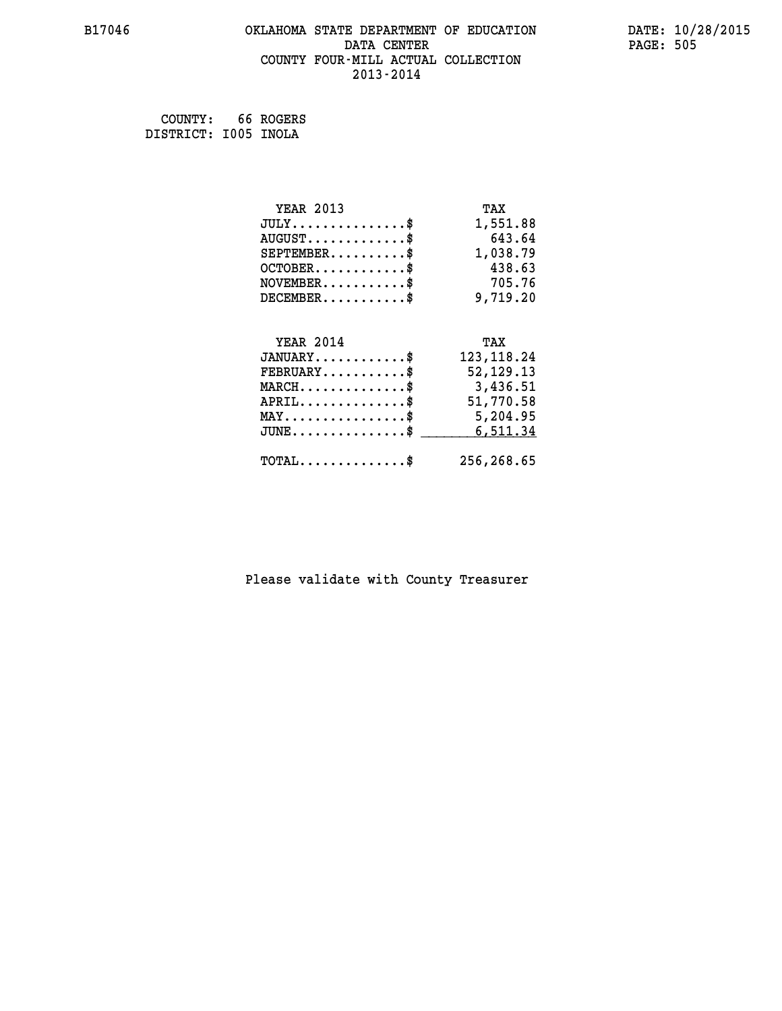# **B17046 OKLAHOMA STATE DEPARTMENT OF EDUCATION DATE: 10/28/2015** DATA CENTER PAGE: 505  **COUNTY FOUR-MILL ACTUAL COLLECTION 2013-2014**

 **COUNTY: 66 ROGERS DISTRICT: I005 INOLA**

| <b>YEAR 2013</b>                           | TAX         |
|--------------------------------------------|-------------|
| $JULY$ \$                                  | 1,551.88    |
| $AUGUST$ \$                                | 643.64      |
| $SEPTEMBER$ \$                             | 1,038.79    |
| $OCTOBER$ \$                               | 438.63      |
| $NOVEMBER$ \$                              | 705.76      |
| $DECEMBER$ \$                              | 9,719.20    |
|                                            |             |
| <b>YEAR 2014</b>                           | TAX         |
| $JANUARY$                                  | 123, 118.24 |
| $FEBRUARY$                                 | 52, 129. 13 |
| $MARCH$ \$                                 | 3,436.51    |
| $APRIL$ \$                                 | 51,770.58   |
| $MAX \dots \dots \dots \dots \dots$        | 5,204.95    |
| $JUNE$ $\text{\$}$                         | 6,511.34    |
| $\texttt{TOTAL} \dots \dots \dots \dots \$ | 256,268.65  |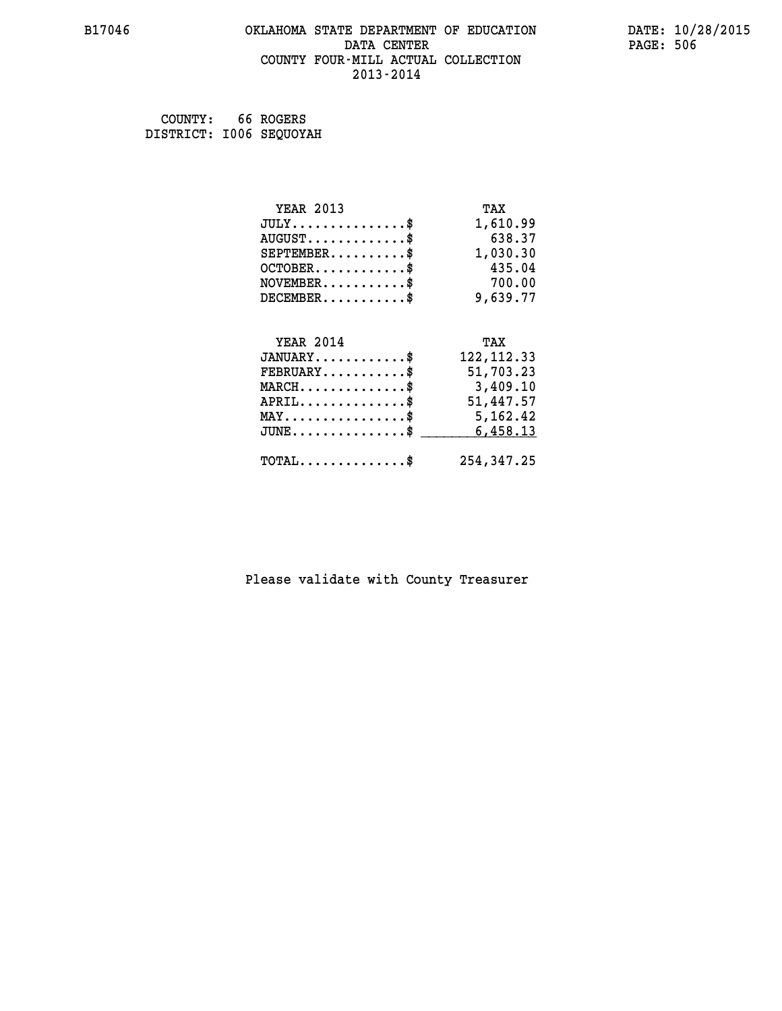#### **B17046 OKLAHOMA STATE DEPARTMENT OF EDUCATION DATE: 10/28/2015 DATA CENTER** PAGE: 506  **COUNTY FOUR-MILL ACTUAL COLLECTION 2013-2014**

| COUNTY:                 | 66 ROGERS |
|-------------------------|-----------|
| DISTRICT: 1006 SEQUOYAH |           |

| <b>YEAR 2013</b>                               | TAX         |
|------------------------------------------------|-------------|
| $JULY$ \$                                      | 1,610.99    |
| $AUGUST$ \$                                    | 638.37      |
| $SEPTEMBER$ \$                                 | 1,030.30    |
| $OCTOBER$ \$                                   | 435.04      |
| $NOVEMBER.$ \$                                 | 700.00      |
| $DECEMBER$ \$                                  | 9,639.77    |
|                                                |             |
| <b>YEAR 2014</b>                               | TAX         |
| $JANUARY$ \$                                   | 122, 112.33 |
| $FEBRUARY$ \$                                  | 51,703.23   |
| $MARCH \ldots \ldots \ldots \ldots$            | 3,409.10    |
| $APRIL$ \$                                     | 51,447.57   |
| $\texttt{MAX} \dots \dots \dots \dots \dots \$ | 5,162.42    |
| $JUNE$ \$                                      | 6,458.13    |
| $\texttt{TOTAL} \dots \dots \dots \dots \$     | 254,347.25  |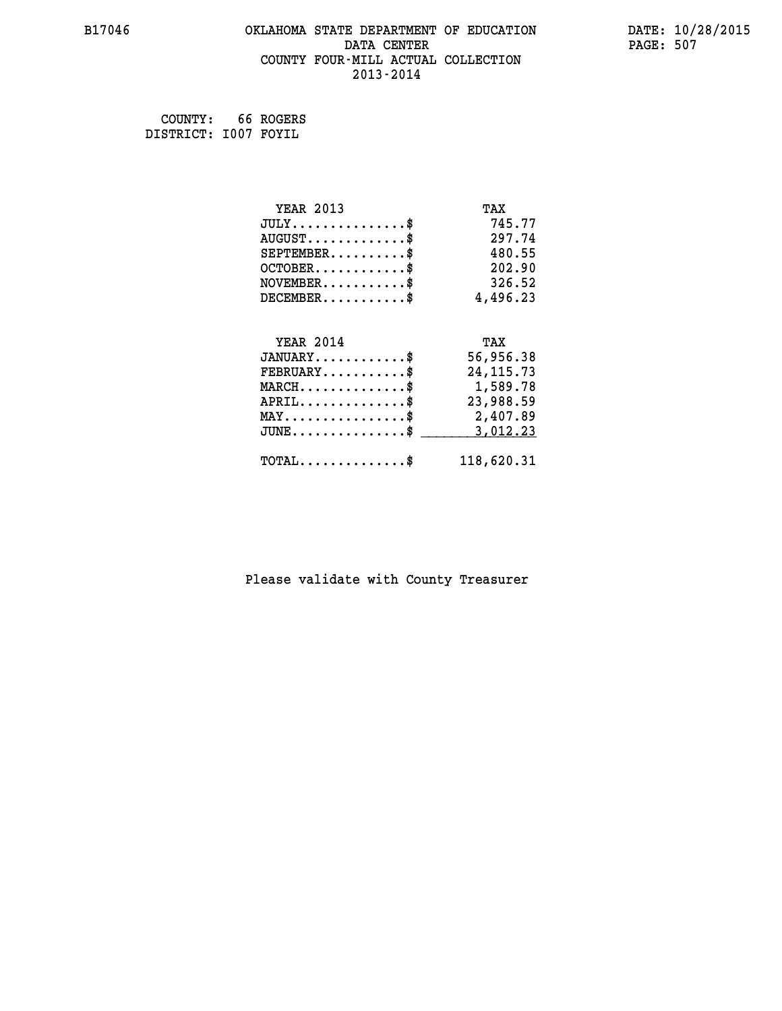### **B17046 OKLAHOMA STATE DEPARTMENT OF EDUCATION DATE: 10/28/2015 DATA CENTER** PAGE: 507  **COUNTY FOUR-MILL ACTUAL COLLECTION 2013-2014**

 **COUNTY: 66 ROGERS DISTRICT: I007 FOYIL**

| <b>YEAR 2013</b>                           | TAX         |
|--------------------------------------------|-------------|
| $JULY$ \$                                  | 745.77      |
| $AUGUST$ \$                                | 297.74      |
| $SEPTEMENT.$ \$                            | 480.55      |
| $OCTOBER$ \$                               | 202.90      |
| $\texttt{NOVEMBER} \dots \dots \dots \$    | 326.52      |
| $DECEMBER$ \$                              | 4,496.23    |
|                                            |             |
| <b>YEAR 2014</b>                           | TAX         |
| $JANUARY$ \$                               | 56,956.38   |
| $FEBRUARY$ \$                              | 24, 115. 73 |
| $MARCH$ \$                                 | 1,589.78    |
| $APRIL$ \$                                 | 23,988.59   |
| MAY\$ 2,407.89                             |             |
| $JUNE$ \$                                  | 3,012.23    |
| $\texttt{TOTAL} \dots \dots \dots \dots \$ | 118,620.31  |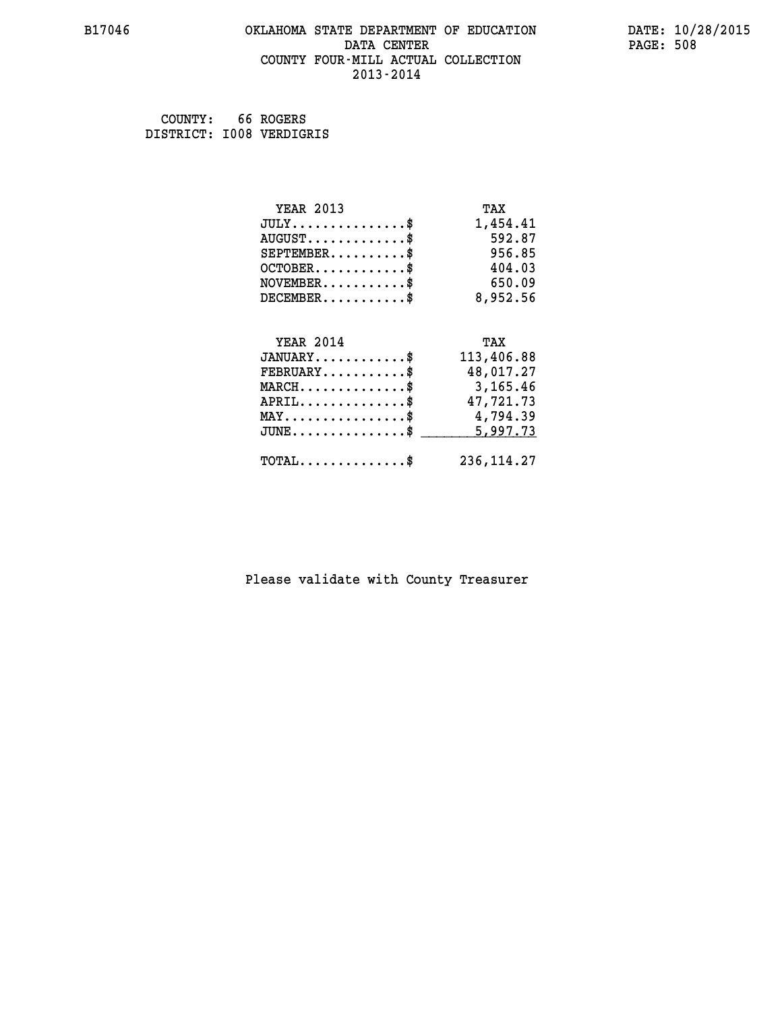### **B17046 OKLAHOMA STATE DEPARTMENT OF EDUCATION DATE: 10/28/2015 DATA CENTER** PAGE: 508  **COUNTY FOUR-MILL ACTUAL COLLECTION 2013-2014**

 **COUNTY: 66 ROGERS DISTRICT: I008 VERDIGRIS**

| <b>YEAR 2013</b>                           | TAX         |
|--------------------------------------------|-------------|
| $JULY$ \$                                  | 1,454.41    |
| $AUGUST$ \$                                | 592.87      |
| $SEPTEMBER$                                | 956.85      |
| $OCTOBER$ \$                               | 404.03      |
| $NOVEMBER$ \$                              | 650.09      |
| $DECEMBER$ \$                              | 8,952.56    |
|                                            |             |
| <b>YEAR 2014</b>                           | TAX         |
| $JANUARY$ \$                               | 113,406.88  |
| $FEBRUARY$                                 | 48,017.27   |
| $MARCH$ \$                                 | 3,165.46    |
| $APRIL$ \$                                 | 47,721.73   |
| MAY\$ 4,794.39                             |             |
| $JUNE$ \$                                  | 5,997.73    |
| $\texttt{TOTAL} \dots \dots \dots \dots \$ | 236, 114.27 |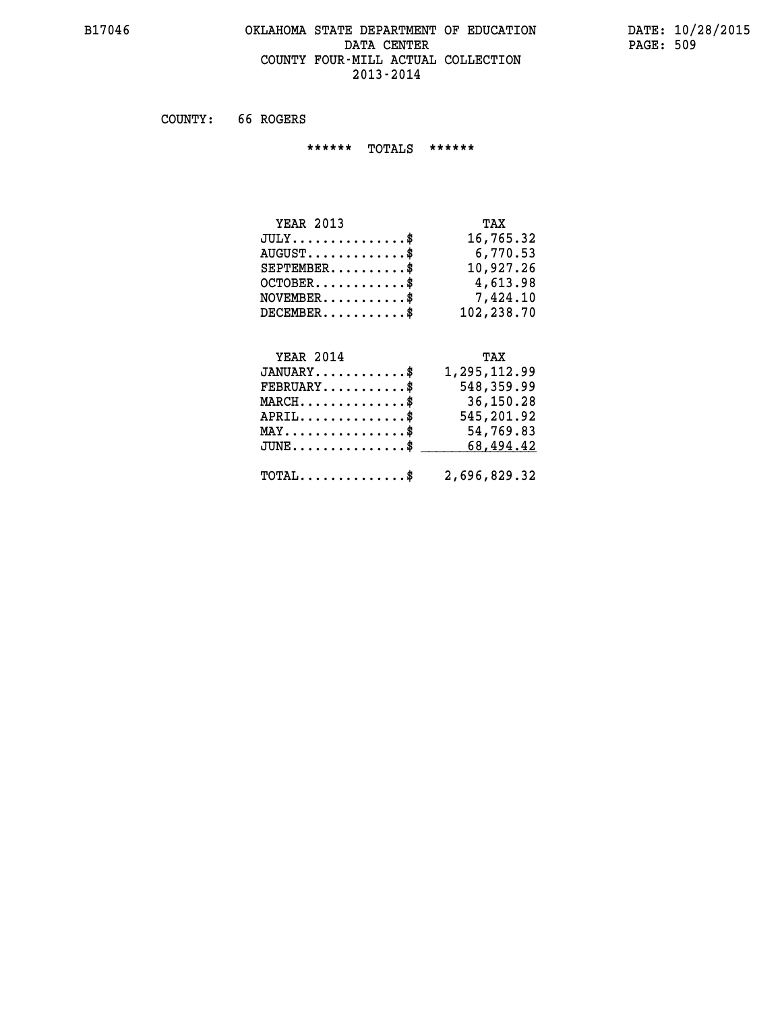### **B17046 OKLAHOMA STATE DEPARTMENT OF EDUCATION DATE: 10/28/2015 DATA CENTER** PAGE: 509  **COUNTY FOUR-MILL ACTUAL COLLECTION 2013-2014**

 **COUNTY: 66 ROGERS**

 **\*\*\*\*\*\* TOTALS \*\*\*\*\*\***

| <b>YEAR 2013</b> | TAX        |
|------------------|------------|
| $JULY$           | 16,765.32  |
| $AUGUST$ $\$\$   | 6,770.53   |
| $SEPTEMBER$ $\$  | 10,927.26  |
| $OCTOBER$ \$     | 4,613.98   |
| $NOVEMBER$ \$    | 7,424.10   |
| $DECEMBER$ \$    | 102,238.70 |

## **YEAR 2014 TAX**

| $JANUARY$ \$                                            | 1,295,112.99 |
|---------------------------------------------------------|--------------|
| $\texttt{FEBRUARY} \dots \dots \dots \$                 | 548,359.99   |
| $\texttt{MARCH}\ldots\ldots\ldots\ldots\text{*}$        | 36,150.28    |
| $APRIL$ \$                                              | 545,201.92   |
| $MAX \dots \dots \dots \dots \dots \$                   | 54,769.83    |
| JUNE\$ 68,494.42                                        |              |
| $\texttt{TOTAL} \dots \dots \dots \dots \$ 2,696,829.32 |              |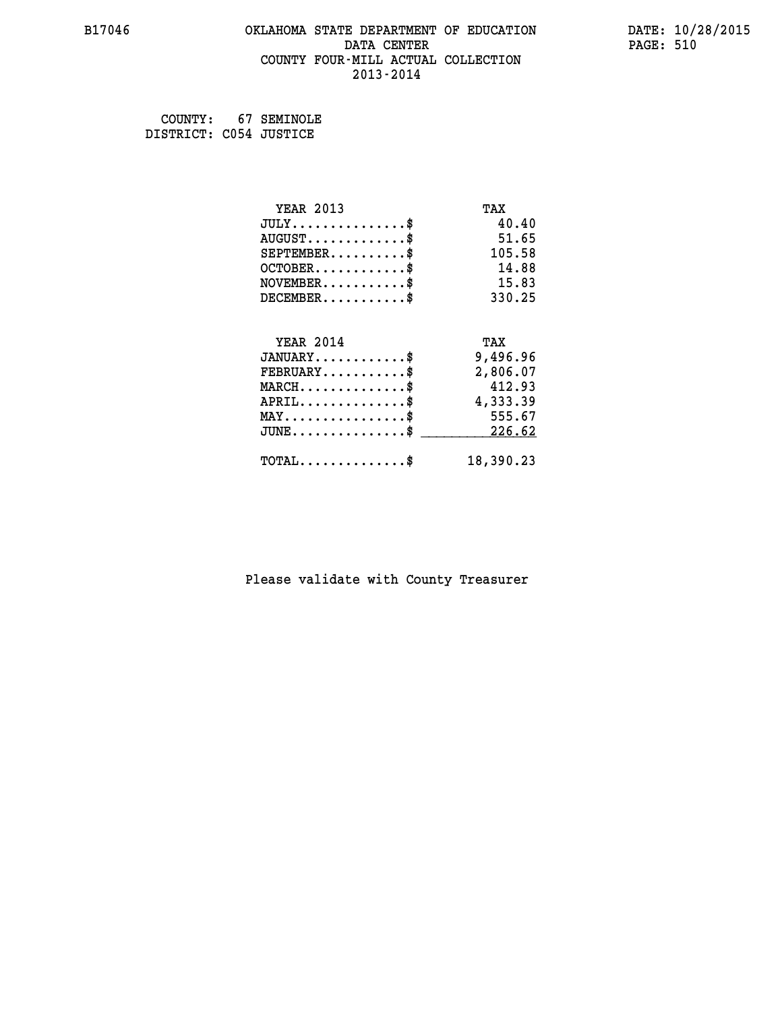### **B17046 OKLAHOMA STATE DEPARTMENT OF EDUCATION DATE: 10/28/2015 DATA CENTER** PAGE: 510  **COUNTY FOUR-MILL ACTUAL COLLECTION 2013-2014**

 **COUNTY: 67 SEMINOLE DISTRICT: C054 JUSTICE**

| <b>YEAR 2013</b>                           | TAX       |
|--------------------------------------------|-----------|
| $JULY$                                     | 40.40     |
| $AUGUST$ \$                                | 51.65     |
| $SEPTEMENT.$                               | 105.58    |
| $OCTOBER$                                  | 14.88     |
| NOVEMENT.                                  | 15.83     |
| $DECEMENT.$                                | 330.25    |
| <b>YEAR 2014</b>                           | TAX       |
| $JANUARY$ \$                               | 9,496.96  |
| $FEBRUARY$                                 | 2,806.07  |
| $MARCH$ \$                                 | 412.93    |
| $APRIL$ \$                                 | 4,333.39  |
| $MAX \dots \dots \dots \dots \$            | 555.67    |
| $JUNE$ \$                                  | 226.62    |
| $\texttt{TOTAL} \dots \dots \dots \dots \$ | 18,390.23 |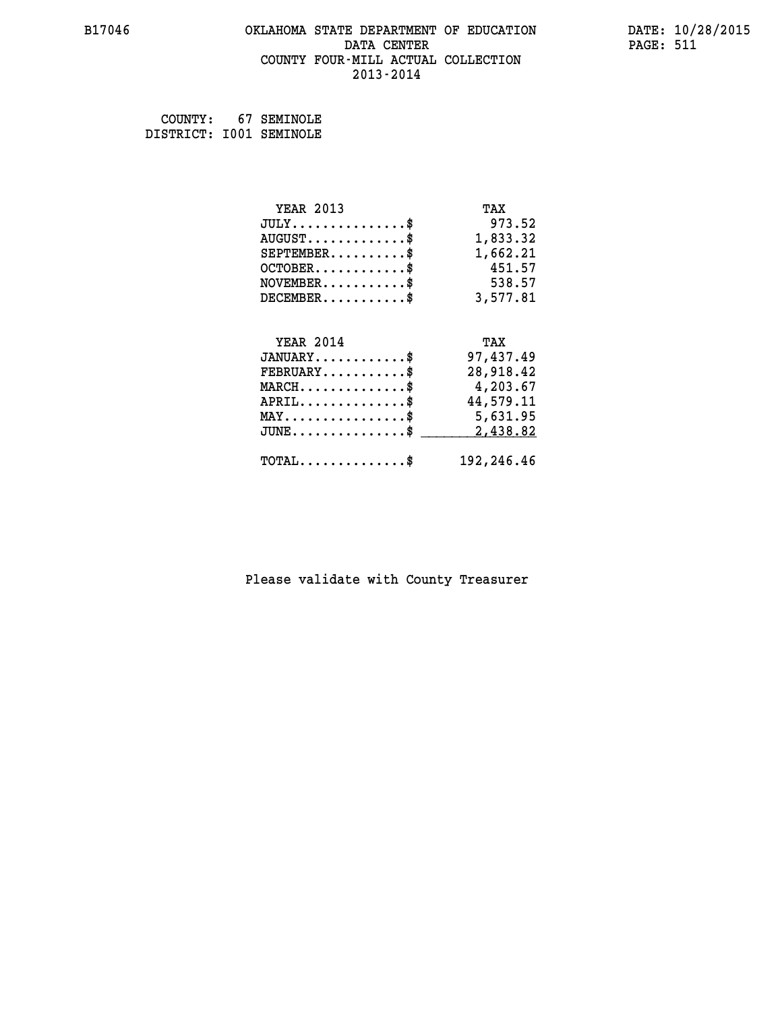### **B17046 OKLAHOMA STATE DEPARTMENT OF EDUCATION DATE: 10/28/2015 DATA CENTER** PAGE: 511  **COUNTY FOUR-MILL ACTUAL COLLECTION 2013-2014**

 **COUNTY: 67 SEMINOLE DISTRICT: I001 SEMINOLE**

| <b>YEAR 2013</b>                               | TAX        |
|------------------------------------------------|------------|
| $JULY$ \$                                      | 973.52     |
| $AUGUST$ \$                                    | 1,833.32   |
| $SEPTEMBER$ \$                                 | 1,662.21   |
| $OCTOBER$ \$                                   | 451.57     |
| $NOVEMBER.$ \$                                 | 538.57     |
| $DECEMBER$ \$                                  | 3,577.81   |
|                                                |            |
| <b>YEAR 2014</b>                               | TAX        |
| $JANUARY$ \$                                   | 97,437.49  |
| $FEBRUARY$ \$                                  | 28,918.42  |
| $MARCH \ldots \ldots \ldots \ldots \$          | 4,203.67   |
| $APRIL$ \$                                     | 44,579.11  |
| $\texttt{MAX} \dots \dots \dots \dots \dots \$ | 5,631.95   |
| $J\texttt{UNE}\dots\dots\dots\dots\$$          | 2,438.82   |
| $\texttt{TOTAL} \dots \dots \dots \dots \$     | 192,246.46 |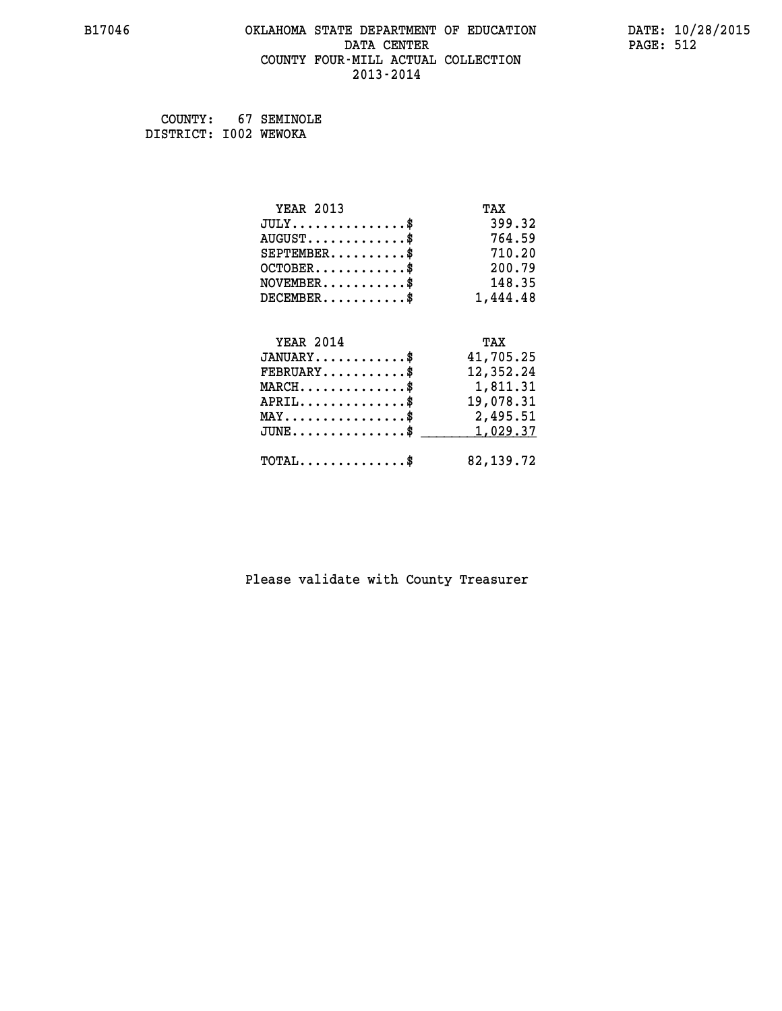### **B17046 OKLAHOMA STATE DEPARTMENT OF EDUCATION DATE: 10/28/2015 DATA CENTER** PAGE: 512  **COUNTY FOUR-MILL ACTUAL COLLECTION 2013-2014**

 **COUNTY: 67 SEMINOLE DISTRICT: I002 WEWOKA**

| <b>YEAR 2013</b>                               | TAX         |
|------------------------------------------------|-------------|
| $JULY$ \$                                      | 399.32      |
| $AUGUST$ \$                                    | 764.59      |
| $SEPTEMBER$ \$                                 | 710.20      |
| $OCTOBER$ \$                                   | 200.79      |
| $NOVEMBER$ \$                                  | 148.35      |
| $DECEMBER$ \$                                  | 1,444.48    |
|                                                |             |
| <b>YEAR 2014</b>                               | TAX         |
| $JANUARY$ \$                                   | 41,705.25   |
| $FEBRUARY$                                     | 12,352.24   |
| $MARCH$ \$                                     | 1,811.31    |
| $APRIL$ \$                                     | 19,078.31   |
| $\texttt{MAX} \dots \dots \dots \dots \dots \$ | 2,495.51    |
| $JUNE$                                         | 1,029.37    |
| $\texttt{TOTAL} \dots \dots \dots \dots \$     | 82, 139. 72 |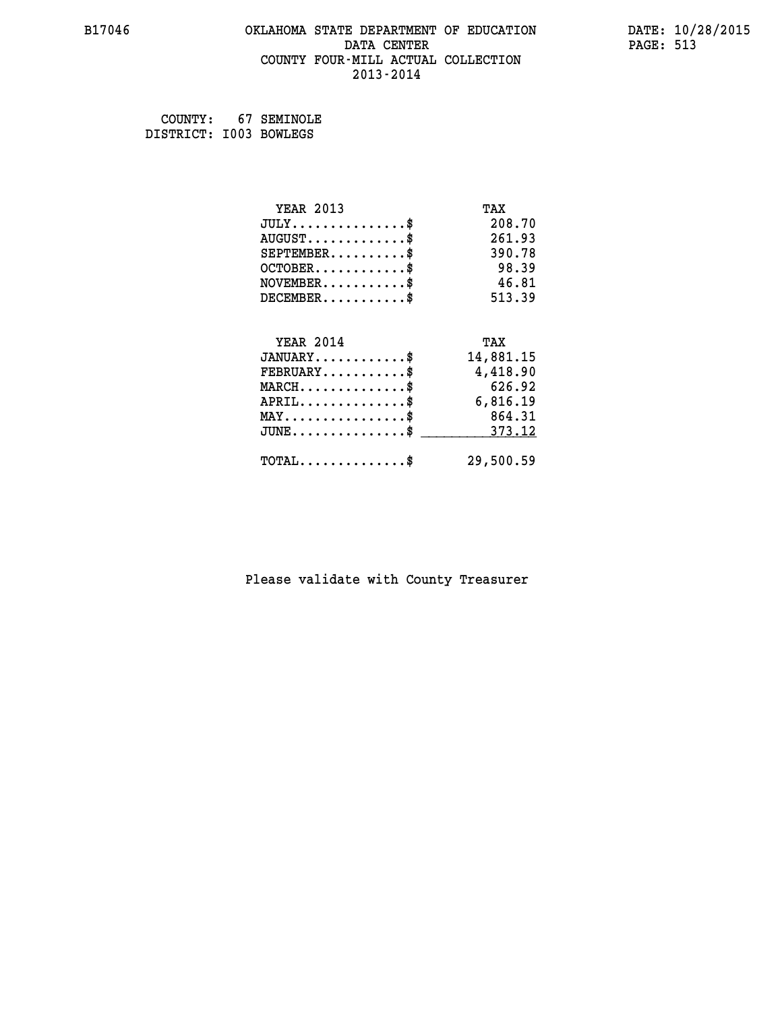### **B17046 OKLAHOMA STATE DEPARTMENT OF EDUCATION DATE: 10/28/2015 DATA CENTER** PAGE: 513  **COUNTY FOUR-MILL ACTUAL COLLECTION 2013-2014**

 **COUNTY: 67 SEMINOLE DISTRICT: I003 BOWLEGS**

| <b>YEAR 2013</b>                    | TAX       |
|-------------------------------------|-----------|
| $JULY$ \$                           | 208.70    |
| $AUGUST$ \$                         | 261.93    |
| $SEPTEMBER$ \$                      | 390.78    |
| $OCTOBER$ \$                        | 98.39     |
| $NOVEMBER$ \$                       | 46.81     |
| $DECEMBER$ \$                       | 513.39    |
|                                     |           |
| <b>YEAR 2014</b>                    | TAX       |
| $JANUARY$ \$                        | 14,881.15 |
| $FEBRUARY$                          | 4,418.90  |
| $MARCH$ \$                          | 626.92    |
| $APRIL$ \$                          | 6,816.19  |
| $MAX \dots \dots \dots \dots \dots$ | 864.31    |
| $JUNE$ \$                           | 373.12    |
| $TOTAL$ \$                          | 29,500.59 |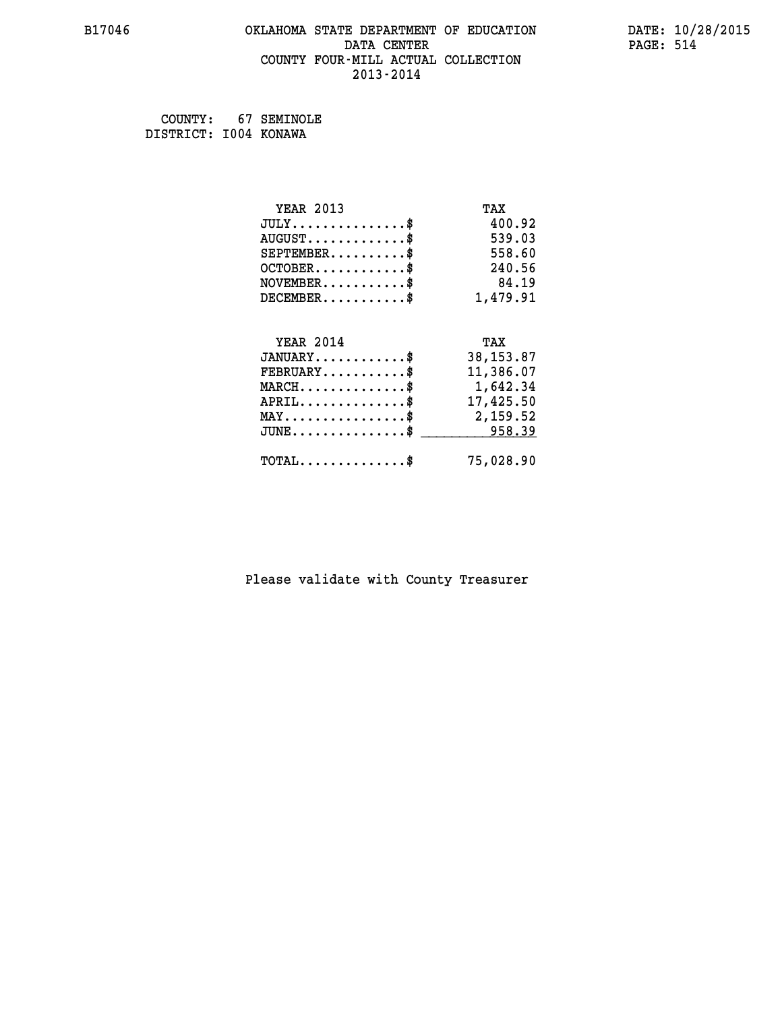### **B17046 OKLAHOMA STATE DEPARTMENT OF EDUCATION DATE: 10/28/2015 DATA CENTER** PAGE: 514  **COUNTY FOUR-MILL ACTUAL COLLECTION 2013-2014**

 **COUNTY: 67 SEMINOLE DISTRICT: I004 KONAWA**

| <b>YEAR 2013</b>                               | TAX        |
|------------------------------------------------|------------|
| $JULY$ \$                                      | 400.92     |
| $AUGUST$ \$                                    | 539.03     |
| $SEPTEMBER$                                    | 558.60     |
| $OCTOBER$ \$                                   | 240.56     |
| $NOVEMBER$ \$                                  | 84.19      |
| $DECEMBER$ \$                                  | 1,479.91   |
|                                                |            |
| <b>YEAR 2014</b>                               | TAX        |
| $JANUARY$ \$                                   | 38, 153.87 |
| $FEBRUARY$                                     | 11,386.07  |
| $MARCH$ \$                                     | 1,642.34   |
| $APRIL$                                        | 17,425.50  |
| $\texttt{MAX} \dots \dots \dots \dots \dots \$ | 2,159.52   |
| $JUNE$ $\text{\$}$                             | 958.39     |
| $\texttt{TOTAL} \dots \dots \dots \dots \$     | 75,028.90  |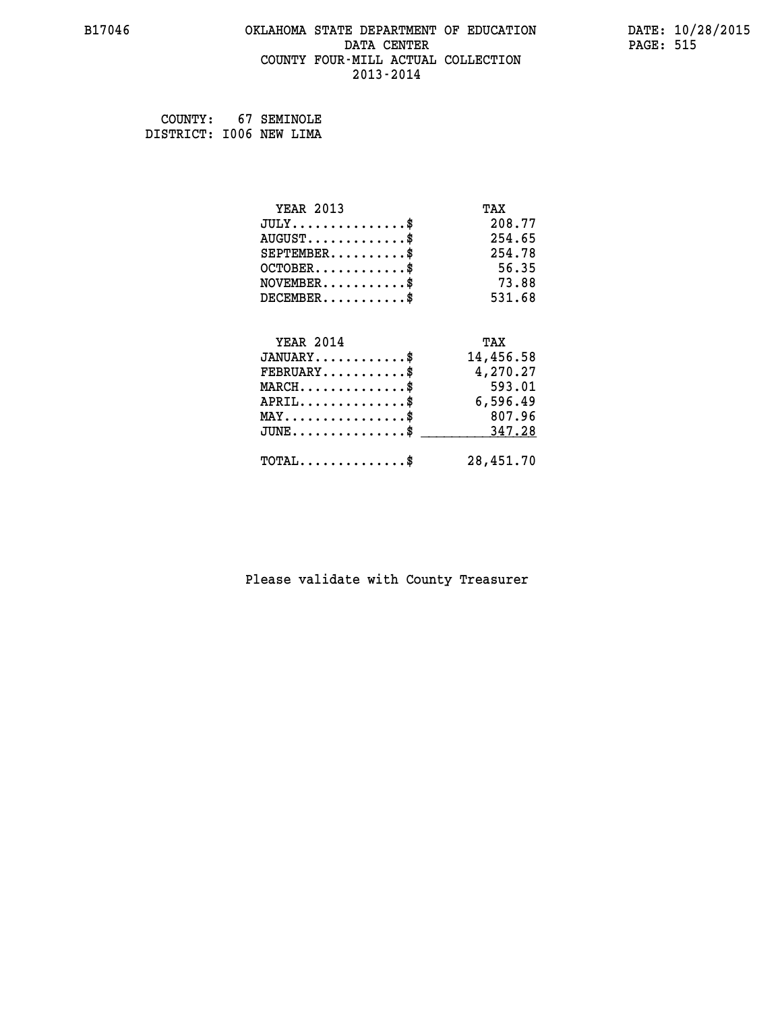### **B17046 OKLAHOMA STATE DEPARTMENT OF EDUCATION DATE: 10/28/2015 DATA CENTER** PAGE: 515  **COUNTY FOUR-MILL ACTUAL COLLECTION 2013-2014**

 **COUNTY: 67 SEMINOLE DISTRICT: I006 NEW LIMA**

| <b>YEAR 2013</b>                                 | TAX       |
|--------------------------------------------------|-----------|
| $JULY$ \$                                        | 208.77    |
| $AUGUST$ \$                                      | 254.65    |
| $SEPTEMBER$ \$                                   | 254.78    |
| $OCTOBER$ \$                                     | 56.35     |
| $NOVEMBER$ \$                                    | 73.88     |
| $DECEMBER$ \$                                    | 531.68    |
|                                                  |           |
| <b>YEAR 2014</b>                                 | TAX       |
| $JANUARY$                                        | 14,456.58 |
| $FEBRUARY$                                       | 4,270.27  |
| $MARCH$ \$                                       | 593.01    |
| $APRIL$ \$                                       | 6,596.49  |
| $MAX \dots \dots \dots \dots \dots$              | 807.96    |
| $\texttt{JUNE} \dots \dots \dots \dots \dots \$$ | 347.28    |
| $\texttt{TOTAL} \dots \dots \dots \dots \$       | 28,451.70 |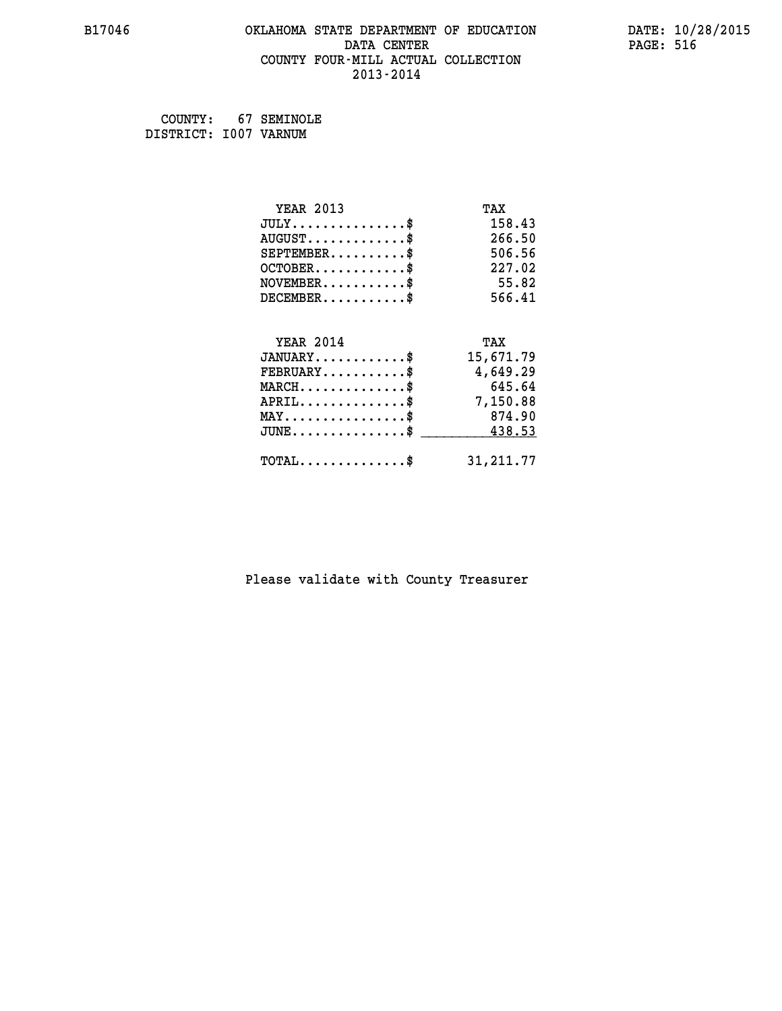### **B17046 OKLAHOMA STATE DEPARTMENT OF EDUCATION DATE: 10/28/2015 DATA CENTER** PAGE: 516  **COUNTY FOUR-MILL ACTUAL COLLECTION 2013-2014**

 **COUNTY: 67 SEMINOLE DISTRICT: I007 VARNUM**

| <b>YEAR 2013</b>                           | TAX        |
|--------------------------------------------|------------|
| $JULY$ \$                                  | 158.43     |
| $AUGUST$ \$                                | 266.50     |
| $SEPTEMBER$ \$                             | 506.56     |
| $OCTOBER$ \$                               | 227.02     |
| $NOVEMBER$ \$                              | 55.82      |
| $DECEMBER$ \$                              | 566.41     |
|                                            |            |
| <b>YEAR 2014</b>                           | TAX        |
| $JANUARY$ \$                               | 15,671.79  |
| $FEBRUARY$                                 | 4,649.29   |
| $MARCH$ \$                                 | 645.64     |
| $APRIL$ \$                                 | 7,150.88   |
| $MAX \dots \dots \dots \dots \dots$        | 874.90     |
| $JUNE$ \$                                  | 438.53     |
| $\texttt{TOTAL} \dots \dots \dots \dots \$ | 31, 211.77 |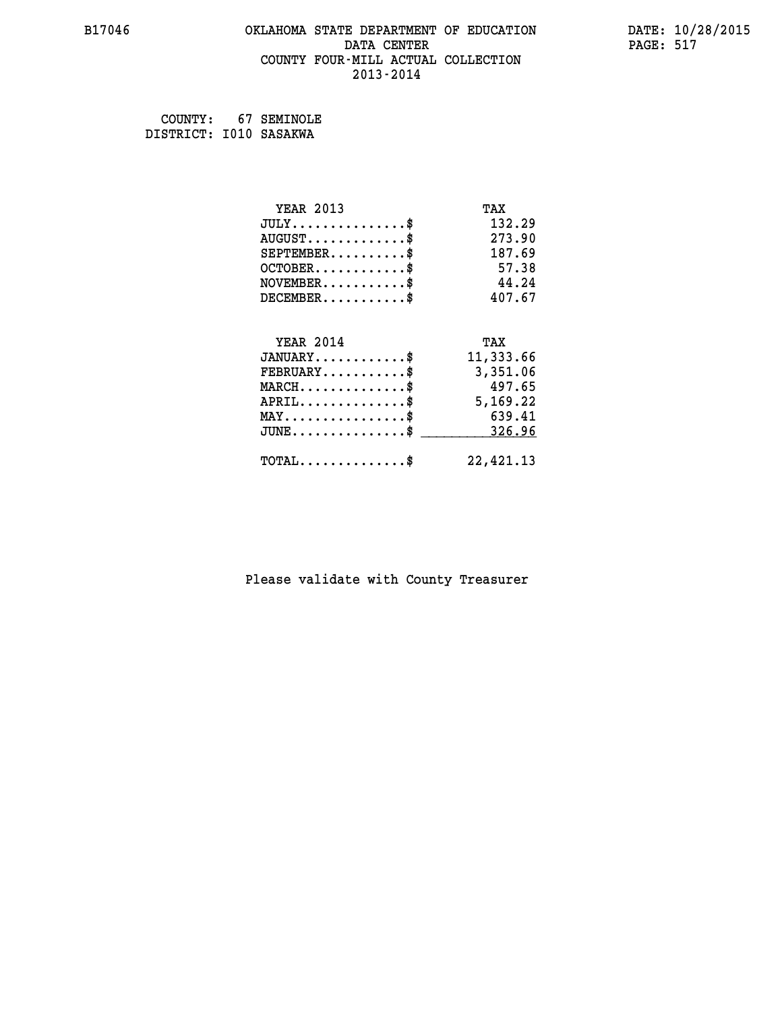### **B17046 OKLAHOMA STATE DEPARTMENT OF EDUCATION DATE: 10/28/2015 DATA CENTER** PAGE: 517  **COUNTY FOUR-MILL ACTUAL COLLECTION 2013-2014**

 **COUNTY: 67 SEMINOLE DISTRICT: I010 SASAKWA**

| <b>YEAR 2013</b>                           | TAX       |
|--------------------------------------------|-----------|
| $JULY$ \$                                  | 132.29    |
| $AUGUST$ \$                                | 273.90    |
| $SEPTEMBER$ \$                             | 187.69    |
| $OCTOBER$ \$                               | 57.38     |
| $NOVEMBER$ \$                              | 44.24     |
| $DECEMBER$ \$                              | 407.67    |
|                                            |           |
| <b>YEAR 2014</b>                           | TAX       |
| $JANUARY$ \$                               | 11,333.66 |
| $FEBRUARY$                                 | 3,351.06  |
| $MARCH$ \$                                 | 497.65    |
| $APRIL$ \$                                 | 5,169.22  |
| $MAX \dots \dots \dots \dots \dots$        | 639.41    |
| $JUNE$ \$                                  | 326.96    |
| $\texttt{TOTAL} \dots \dots \dots \dots \$ | 22,421.13 |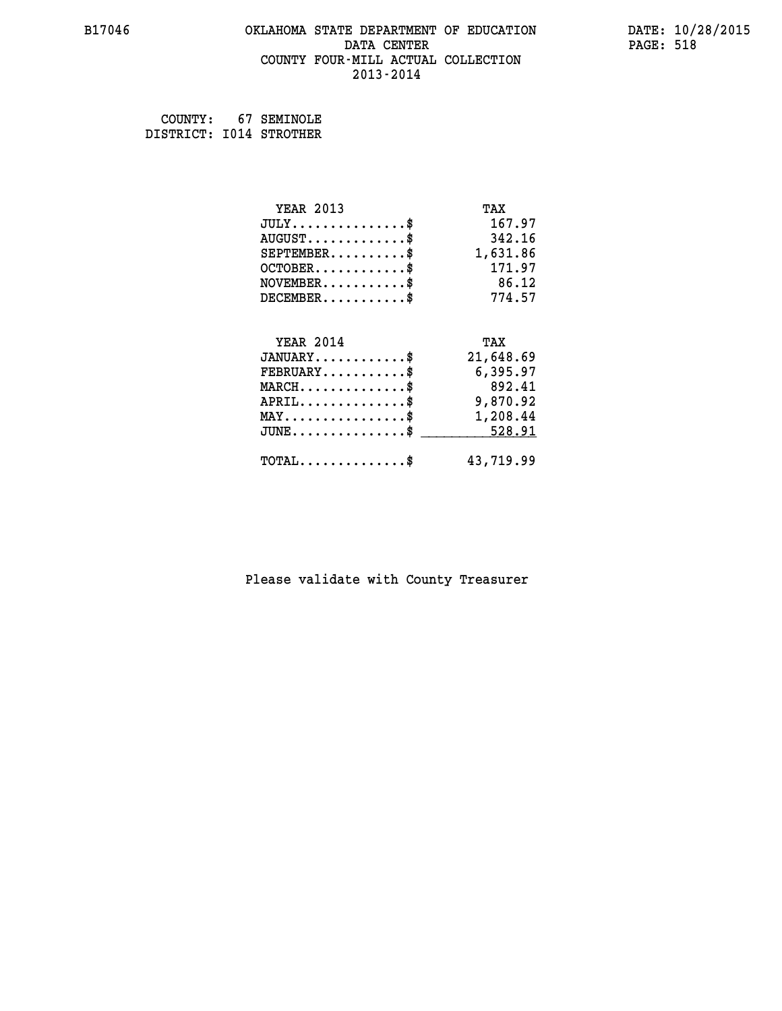### **B17046 OKLAHOMA STATE DEPARTMENT OF EDUCATION DATE: 10/28/2015 DATA CENTER** PAGE: 518  **COUNTY FOUR-MILL ACTUAL COLLECTION 2013-2014**

 **COUNTY: 67 SEMINOLE DISTRICT: I014 STROTHER**

| <b>YEAR 2013</b>                               | TAX       |
|------------------------------------------------|-----------|
| $JULY$ \$                                      | 167.97    |
| $AUGUST$ \$                                    | 342.16    |
| $SEPTEMBER$ \$                                 | 1,631.86  |
| $OCTOBER$ \$                                   | 171.97    |
| $NOVEMBER$ \$                                  | 86.12     |
| $DECEMBER$ \$                                  | 774.57    |
|                                                |           |
| <b>YEAR 2014</b>                               | TAX       |
| $JANUARY$ \$                                   | 21,648.69 |
| $FEBRUARY$                                     | 6,395.97  |
| $MARCH$ \$                                     | 892.41    |
| $APRIL$ \$                                     | 9,870.92  |
| $\texttt{MAX} \dots \dots \dots \dots \dots \$ | 1,208.44  |
| $JUNE$ \$                                      | 528.91    |
| $\texttt{TOTAL} \dots \dots \dots \dots \$     | 43,719.99 |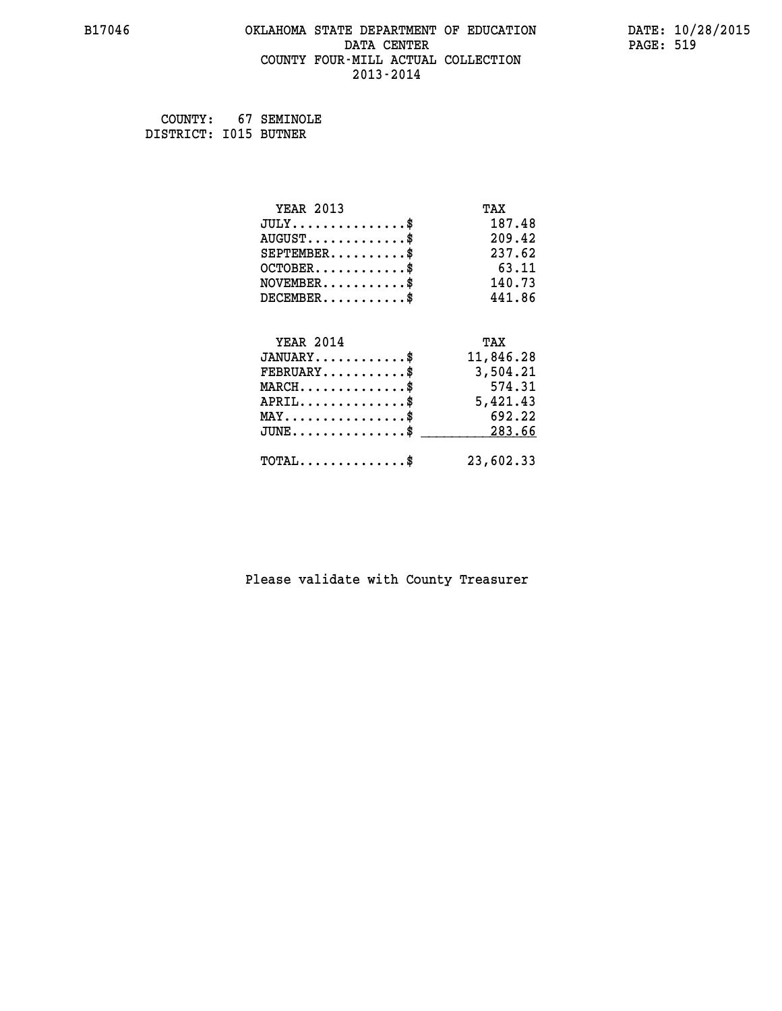### **B17046 OKLAHOMA STATE DEPARTMENT OF EDUCATION DATE: 10/28/2015 DATA CENTER** PAGE: 519  **COUNTY FOUR-MILL ACTUAL COLLECTION 2013-2014**

 **COUNTY: 67 SEMINOLE DISTRICT: I015 BUTNER**

| <b>YEAR 2013</b>                    | TAX       |
|-------------------------------------|-----------|
| $JULY$ \$                           | 187.48    |
| $AUGUST$ \$                         | 209.42    |
| $SEPTEMBER$ \$                      | 237.62    |
| $OCTOBER$ \$                        | 63.11     |
| $NOVEMBER$ \$                       | 140.73    |
| $DECEMBER$ \$                       | 441.86    |
|                                     |           |
| <b>YEAR 2014</b>                    | TAX       |
| $JANUARY$ \$                        | 11,846.28 |
| $FEBRUARY$                          | 3,504.21  |
| $MARCH$ \$                          | 574.31    |
| $APRIL$ \$                          | 5,421.43  |
| $MAX \dots \dots \dots \dots \dots$ | 692.22    |
| $JUNE$ \$                           | 283.66    |
| $TOTAL$ \$                          | 23,602.33 |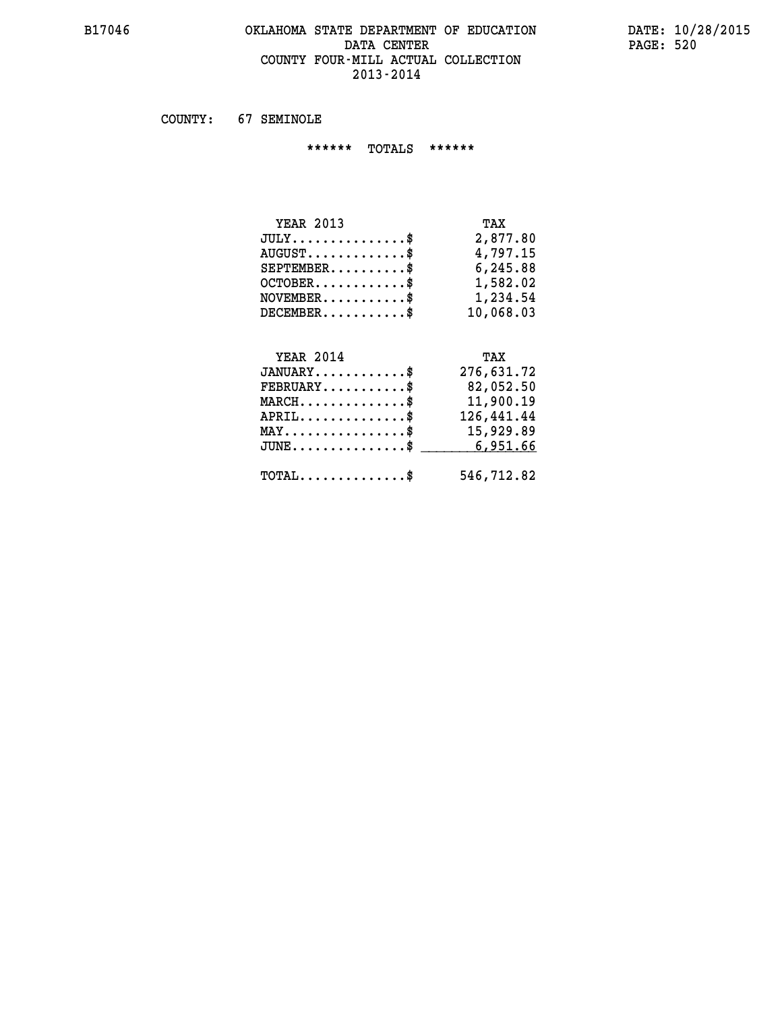### **B17046 OKLAHOMA STATE DEPARTMENT OF EDUCATION DATE: 10/28/2015 DATA CENTER PAGE: 520 COUNTY FOUR-MILL ACTUAL COLLECTION 2013-2014**

 **COUNTY: 67 SEMINOLE**

 **\*\*\*\*\*\* TOTALS \*\*\*\*\*\***

| <b>YEAR 2013</b>                     | TAX       |
|--------------------------------------|-----------|
| $JULY \ldots \ldots \ldots \ldots \$ | 2,877.80  |
| $AUGUST$                             | 4,797.15  |
| $SEPTEMBER$                          | 6,245.88  |
| $OCTOBER$ \$                         | 1,582.02  |
| $NOVEMBER$ $$\$                      | 1,234.54  |
| $DECEMBER$ \$                        | 10,068.03 |

#### **YEAR 2014 TAX JANUARY............\$ 276,631.72 FEBRUARY...........\$ 82,052.50**

| $\texttt{MARCH}\ldots\ldots\ldots\ldots\$<br>$APRIL$ \$ | 11,900.19<br>126,441.44<br>MAY\$ 15,929.89<br>$JUNE \ldots \ldots \ldots \ldots \$ 6,951.66 |
|---------------------------------------------------------|---------------------------------------------------------------------------------------------|
| $\texttt{TOTAL} \dots \dots \dots \dots \$$             | 546,712.82                                                                                  |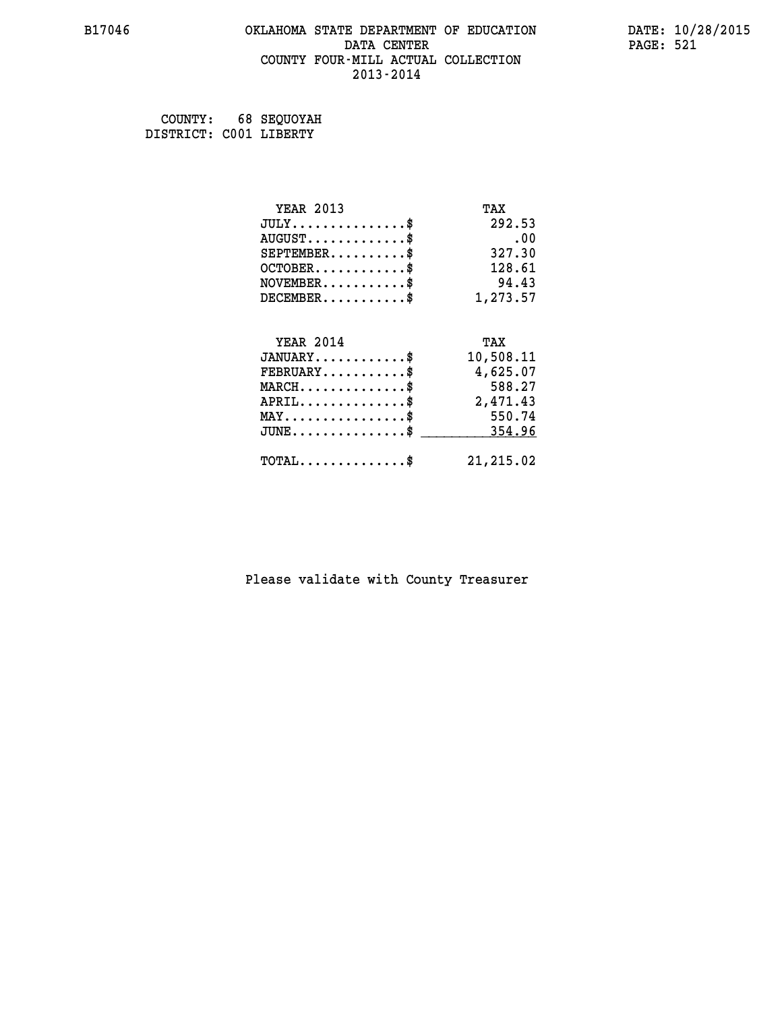### **B17046 OKLAHOMA STATE DEPARTMENT OF EDUCATION DATE: 10/28/2015 DATA CENTER** PAGE: 521  **COUNTY FOUR-MILL ACTUAL COLLECTION 2013-2014**

 **COUNTY: 68 SEQUOYAH DISTRICT: C001 LIBERTY**

| <b>YEAR 2013</b>                           | TAX       |
|--------------------------------------------|-----------|
| $JULY$ \$                                  | 292.53    |
| $AUGUST$ \$                                | .00       |
| $SEPTEMBER$ \$                             | 327.30    |
| $OCTOBER$ \$                               | 128.61    |
| $NOVEMBER$ \$                              | 94.43     |
| $DECEMBER$ \$                              | 1,273.57  |
|                                            |           |
| <b>YEAR 2014</b>                           | TAX       |
| $JANUARY$ \$                               | 10,508.11 |
| $FEBRUARY$ \$                              | 4,625.07  |
| $MARCH$ \$                                 | 588.27    |
| $APRIL$ \$                                 | 2,471.43  |
| $MAX \dots \dots \dots \dots \dots$        | 550.74    |
| $JUNE$ \$                                  | 354.96    |
| $\texttt{TOTAL} \dots \dots \dots \dots \$ | 21,215.02 |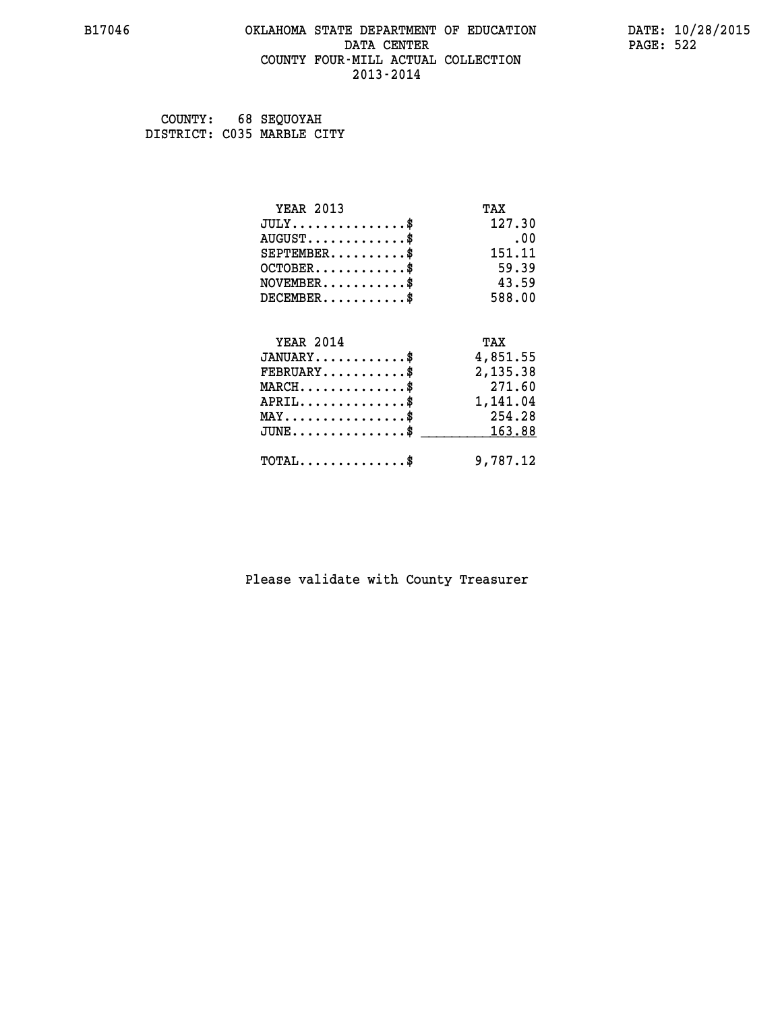### **B17046 OKLAHOMA STATE DEPARTMENT OF EDUCATION DATE: 10/28/2015 DATA CENTER** PAGE: 522  **COUNTY FOUR-MILL ACTUAL COLLECTION 2013-2014**

 **COUNTY: 68 SEQUOYAH DISTRICT: C035 MARBLE CITY**

| <b>YEAR 2013</b>                    | TAX      |
|-------------------------------------|----------|
| $JULY$ \$                           | 127.30   |
| $AUGUST$ \$                         | .00      |
| $SEPTEMENT.$ \$                     | 151.11   |
| $OCTOBER$ \$                        | 59.39    |
| $NOVEMBER$ \$                       | 43.59    |
| $DECEMBER$ \$                       | 588.00   |
|                                     |          |
| <b>YEAR 2014</b>                    | TAX      |
| $JANUARY$ \$                        | 4,851.55 |
| $FEBRUARY$                          | 2,135.38 |
| $MARCH$ \$                          | 271.60   |
| $APRIL$ \$                          | 1,141.04 |
| $MAX \dots \dots \dots \dots \dots$ | 254.28   |
| $JUNE$ \$                           | 163.88   |
| $TOTAL$ \$                          | 9,787.12 |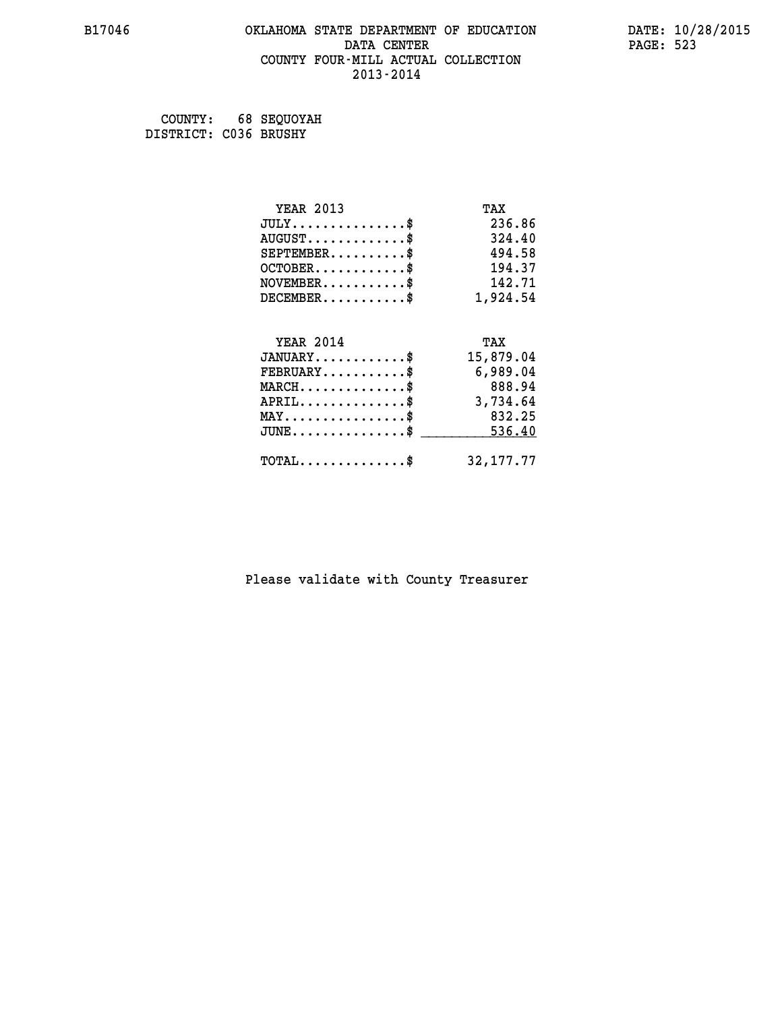### **B17046 OKLAHOMA STATE DEPARTMENT OF EDUCATION DATE: 10/28/2015 DATA CENTER** PAGE: 523  **COUNTY FOUR-MILL ACTUAL COLLECTION 2013-2014**

 **COUNTY: 68 SEQUOYAH DISTRICT: C036 BRUSHY**

| <b>YEAR 2013</b>                           | TAX         |
|--------------------------------------------|-------------|
| $JULY$ \$                                  | 236.86      |
| $AUGUST$ \$                                | 324.40      |
| $SEPTEMBER$ \$                             | 494.58      |
| $OCTOBER$ \$                               | 194.37      |
| $NOVEMBER$ \$                              | 142.71      |
| $DECEMBER$ \$                              | 1,924.54    |
| <b>YEAR 2014</b>                           | TAX         |
| $JANUARY$ \$                               | 15,879.04   |
| $FEBRUARY$                                 | 6,989.04    |
| $MARCH$ \$                                 | 888.94      |
| $APRIL$ \$                                 | 3,734.64    |
| $MAX \dots \dots \dots \dots \dots$        | 832.25      |
| $JUNE$ \$                                  | 536.40      |
|                                            |             |
| $\texttt{TOTAL} \dots \dots \dots \dots \$ | 32, 177, 77 |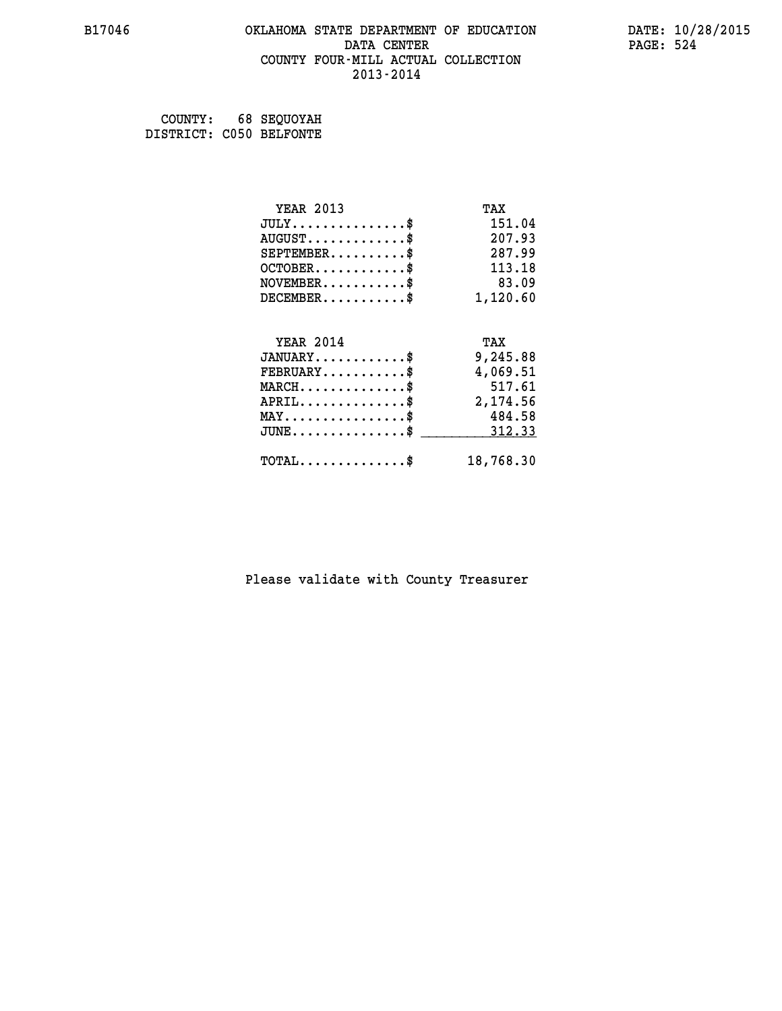### **B17046 OKLAHOMA STATE DEPARTMENT OF EDUCATION DATE: 10/28/2015 DATA CENTER** PAGE: 524  **COUNTY FOUR-MILL ACTUAL COLLECTION 2013-2014**

 **COUNTY: 68 SEQUOYAH DISTRICT: C050 BELFONTE**

| <b>YEAR 2013</b>                               | TAX       |
|------------------------------------------------|-----------|
| $JULY$ \$                                      | 151.04    |
| $AUGUST$ \$                                    | 207.93    |
| $SEPTEMBER$ \$                                 | 287.99    |
| $OCTOBER$ \$                                   | 113.18    |
| $NOVEMBER.$ \$                                 | 83.09     |
| $DECEMBER$ \$                                  | 1,120.60  |
| <b>YEAR 2014</b>                               | TAX       |
| $JANUARY$ \$                                   | 9,245.88  |
| $FEBRUARY$ \$                                  | 4,069.51  |
| $MARCH$ \$                                     | 517.61    |
| $APRIL$ \$                                     | 2,174.56  |
| $\texttt{MAX} \dots \dots \dots \dots \dots \$ | 484.58    |
|                                                |           |
| $JUNE$ \$                                      | 312.33    |
| $\texttt{TOTAL} \dots \dots \dots \dots \$     | 18,768.30 |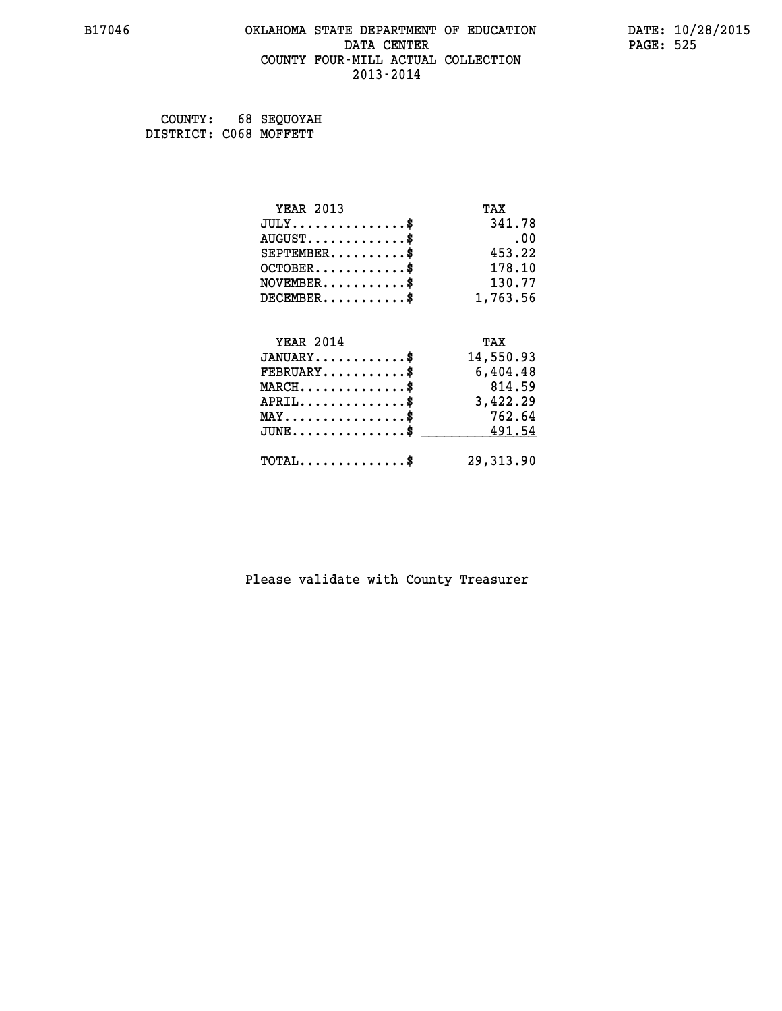# **B17046 OKLAHOMA STATE DEPARTMENT OF EDUCATION DATE: 10/28/2015** DATA CENTER PAGE: 525  **COUNTY FOUR-MILL ACTUAL COLLECTION 2013-2014**

 **COUNTY: 68 SEQUOYAH DISTRICT: C068 MOFFETT**

| <b>YEAR 2013</b>                           | TAX       |
|--------------------------------------------|-----------|
| $JULY$ \$                                  | 341.78    |
| $AUGUST$ \$                                | .00       |
| $SEPTEMENT.$ \$                            | 453.22    |
| $OCTOBER$ \$                               | 178.10    |
| $NOVEMBER$ \$                              | 130.77    |
| $DECEMBER$ \$                              | 1,763.56  |
|                                            |           |
| <b>YEAR 2014</b>                           | TAX       |
| $JANUARY$ \$                               | 14,550.93 |
| $FEBRUARY$                                 | 6,404.48  |
| $MARCH$ \$                                 | 814.59    |
| $APRIL$ \$                                 | 3,422.29  |
| $MAX \dots \dots \dots \dots \dots$        | 762.64    |
| $JUNE$ \$                                  | 491.54    |
| $\texttt{TOTAL} \dots \dots \dots \dots \$ | 29,313.90 |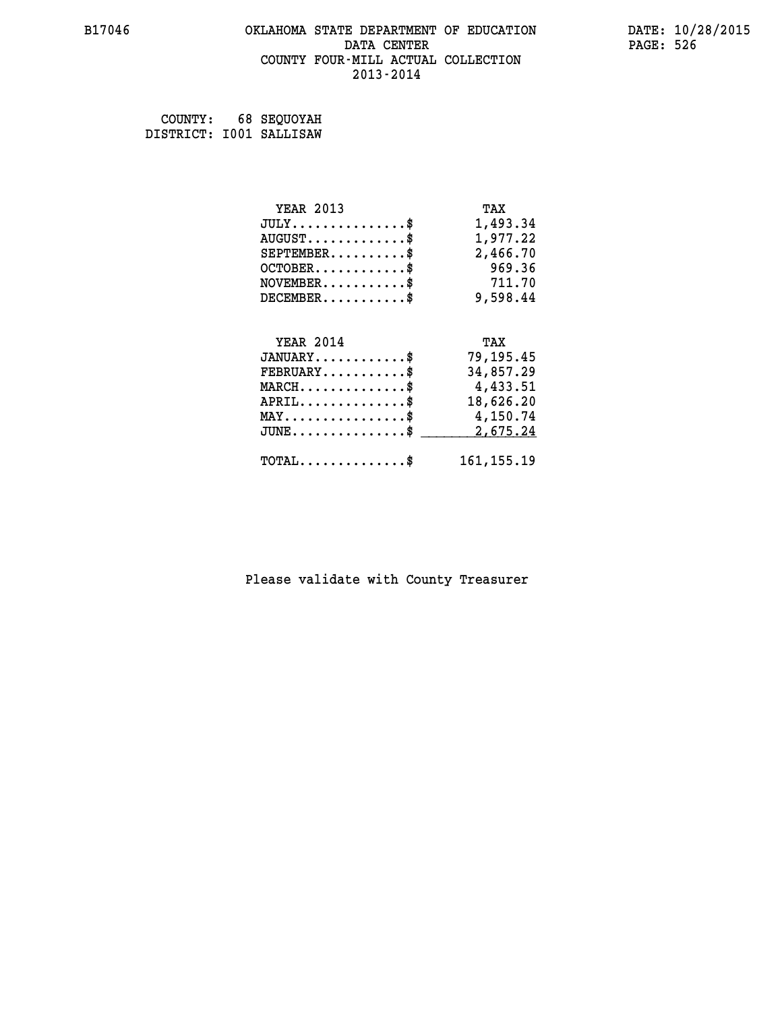### **B17046 OKLAHOMA STATE DEPARTMENT OF EDUCATION DATE: 10/28/2015 DATA CENTER** PAGE: 526  **COUNTY FOUR-MILL ACTUAL COLLECTION 2013-2014**

 **COUNTY: 68 SEQUOYAH DISTRICT: I001 SALLISAW**

| <b>YEAR 2013</b>                               | TAX          |
|------------------------------------------------|--------------|
| $JULY$ \$                                      | 1,493.34     |
| $AUGUST$ \$                                    | 1,977.22     |
| $SEPTEMBER$ \$                                 | 2,466.70     |
| $OCTOBER$ \$                                   | 969.36       |
| $\texttt{NOVEMBER} \dots \dots \dots \$        | 711.70       |
| $DECEMBER$ \$                                  | 9,598.44     |
|                                                |              |
| <b>YEAR 2014</b>                               | TAX          |
| $JANUARY$ \$                                   | 79,195.45    |
| $FEBRUARY$                                     | 34,857.29    |
| $MARCH$ \$                                     | 4,433.51     |
| $APRIL$ \$                                     | 18,626.20    |
| $\texttt{MAX} \dots \dots \dots \dots \dots \$ | 4,150.74     |
| $JUNE$ \$                                      | 2,675.24     |
| $\texttt{TOTAL} \dots \dots \dots \dots \$     | 161, 155. 19 |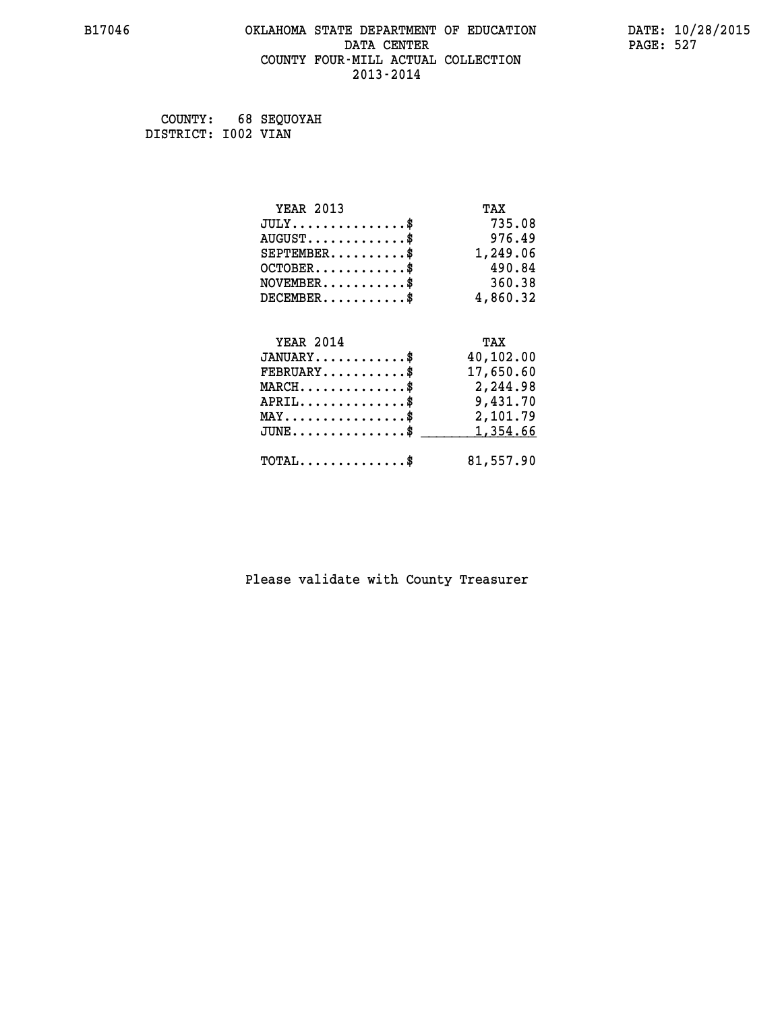### **B17046 OKLAHOMA STATE DEPARTMENT OF EDUCATION DATE: 10/28/2015 DATA CENTER** PAGE: 527  **COUNTY FOUR-MILL ACTUAL COLLECTION 2013-2014**

 **COUNTY: 68 SEQUOYAH DISTRICT: I002 VIAN**

| <b>YEAR 2013</b>                               | TAX       |
|------------------------------------------------|-----------|
| $JULY$ \$                                      | 735.08    |
| $AUGUST$ \$                                    | 976.49    |
| $SEPTEMENT.$ \$                                | 1,249.06  |
| $OCTOBER$ \$                                   | 490.84    |
| $NOVEMBER$ \$                                  | 360.38    |
| $DECEMBER$ \$                                  | 4,860.32  |
|                                                |           |
| <b>YEAR 2014</b>                               | TAX       |
| $JANUARY$ \$                                   | 40,102.00 |
| $FEBRUARY$                                     | 17,650.60 |
| $MARCH$ \$                                     | 2,244.98  |
| $APRIL$ \$                                     | 9,431.70  |
| $\texttt{MAX} \dots \dots \dots \dots \dots \$ | 2,101.79  |
| $JUNE$ \$                                      | 1,354.66  |
| $\texttt{TOTAL} \dots \dots \dots \dots \$     | 81,557.90 |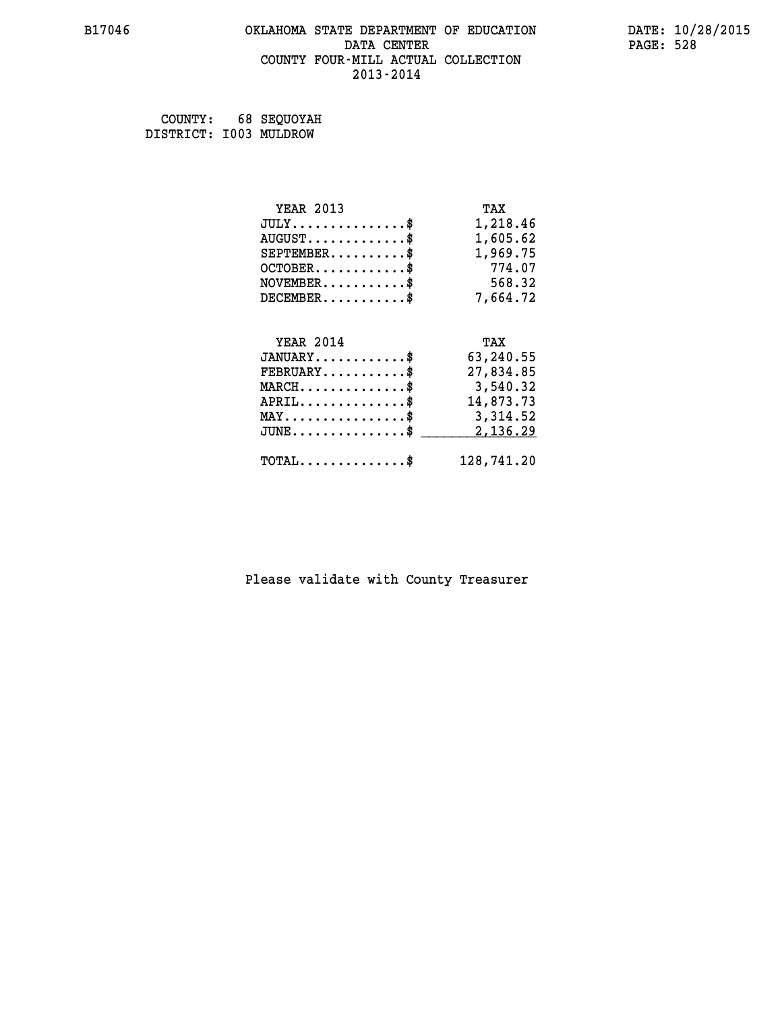### **B17046 OKLAHOMA STATE DEPARTMENT OF EDUCATION DATE: 10/28/2015 DATA CENTER** PAGE: 528  **COUNTY FOUR-MILL ACTUAL COLLECTION 2013-2014**

 **COUNTY: 68 SEQUOYAH**

 **DISTRICT: I003 MULDROW**

| <b>YEAR 2013</b>                               | TAX        |
|------------------------------------------------|------------|
| $JULY$ \$                                      | 1,218.46   |
| $AUGUST$ \$                                    | 1,605.62   |
| $SEPTEMBER$ \$                                 | 1,969.75   |
| $OCTOBER$ \$                                   | 774.07     |
| $\texttt{NOVEMBER} \dots \dots \dots \$        | 568.32     |
| $DECEMBER$ \$                                  | 7,664.72   |
|                                                |            |
| <b>YEAR 2014</b>                               | TAX        |
| $JANUARY$ \$                                   | 63,240.55  |
| $FEBRUARY$                                     | 27,834.85  |
| $MARCH$ \$                                     | 3,540.32   |
| $APRIL$ \$                                     | 14,873.73  |
| $\texttt{MAX} \dots \dots \dots \dots \dots \$ | 3,314.52   |
| $JUNE$ \$                                      | 2,136.29   |
| $\texttt{TOTAL} \dots \dots \dots \dots \$     | 128,741.20 |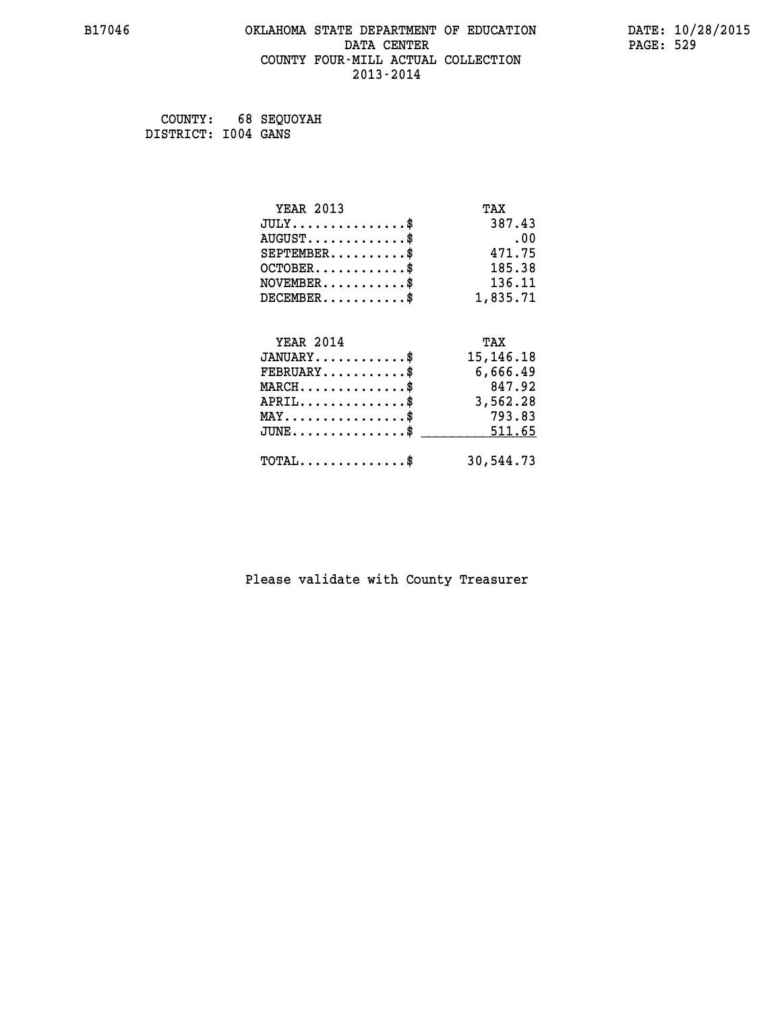### **B17046 OKLAHOMA STATE DEPARTMENT OF EDUCATION DATE: 10/28/2015 DATA CENTER** PAGE: 529  **COUNTY FOUR-MILL ACTUAL COLLECTION 2013-2014**

 **COUNTY: 68 SEQUOYAH DISTRICT: I004 GANS**

| <b>YEAR 2013</b>                           | TAX         |
|--------------------------------------------|-------------|
| $JULY$ \$                                  | 387.43      |
| $AUGUST$ \$                                | .00         |
| $SEPTEMENT.$                               | 471.75      |
| $OCTOBER$ \$                               | 185.38      |
| $NOVEMBER$ \$                              | 136.11      |
| $DECEMENT.$                                | 1,835.71    |
| <b>YEAR 2014</b>                           | TAX         |
| $JANUARY$ \$                               | 15, 146. 18 |
| $FEBRUARY$                                 | 6,666.49    |
| $MARCH$ \$                                 | 847.92      |
| $APRIL$ \$                                 | 3,562.28    |
| $MAX \dots \dots \dots \dots \dots$        | 793.83      |
| $JUNE$ \$                                  | 511.65      |
| $\texttt{TOTAL} \dots \dots \dots \dots \$ | 30,544.73   |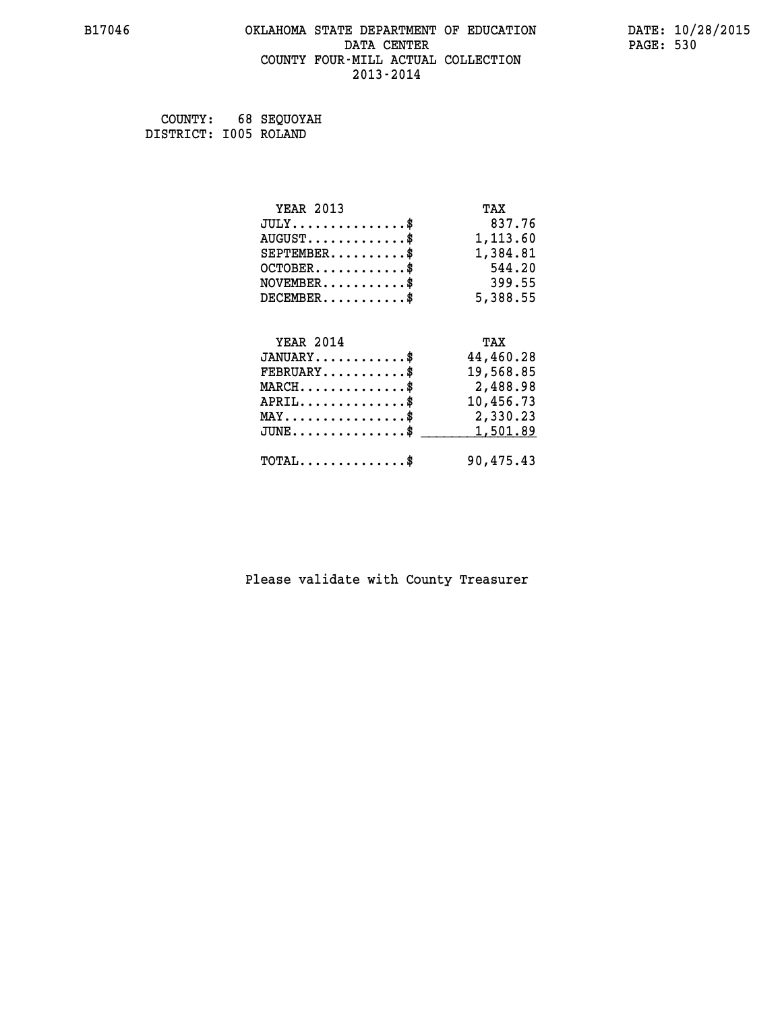#### **B17046 OKLAHOMA STATE DEPARTMENT OF EDUCATION DATE: 10/28/2015 DATA CENTER** PAGE: 530  **COUNTY FOUR-MILL ACTUAL COLLECTION 2013-2014**

 **COUNTY: 68 SEQUOYAH DISTRICT: I005 ROLAND**

| <b>YEAR 2013</b>                                   | TAX       |
|----------------------------------------------------|-----------|
| $JULY$ \$                                          | 837.76    |
| $AUGUST$ \$                                        | 1,113.60  |
| $SEPTEMBER$ \$                                     | 1,384.81  |
| $OCTOBER$ \$                                       | 544.20    |
| $\texttt{NOVEMBER} \dots \dots \dots \$            | 399.55    |
| $DECEMBER$ \$                                      | 5,388.55  |
|                                                    |           |
| <b>YEAR 2014</b>                                   | TAX       |
| $JANUARY$ \$                                       | 44,460.28 |
| $FEBRUARY$                                         | 19,568.85 |
| $\texttt{MARCH}\ldots\ldots\ldots\ldots\text{*}$   | 2,488.98  |
| $APRIL$ \$                                         | 10,456.73 |
| $\texttt{MAX} \dots \dots \dots \dots \dots \$     | 2,330.23  |
| $\texttt{JUNE} \dots \dots \dots \dots \texttt{S}$ | 1,501.89  |
| $\texttt{TOTAL} \dots \dots \dots \dots \$         | 90,475.43 |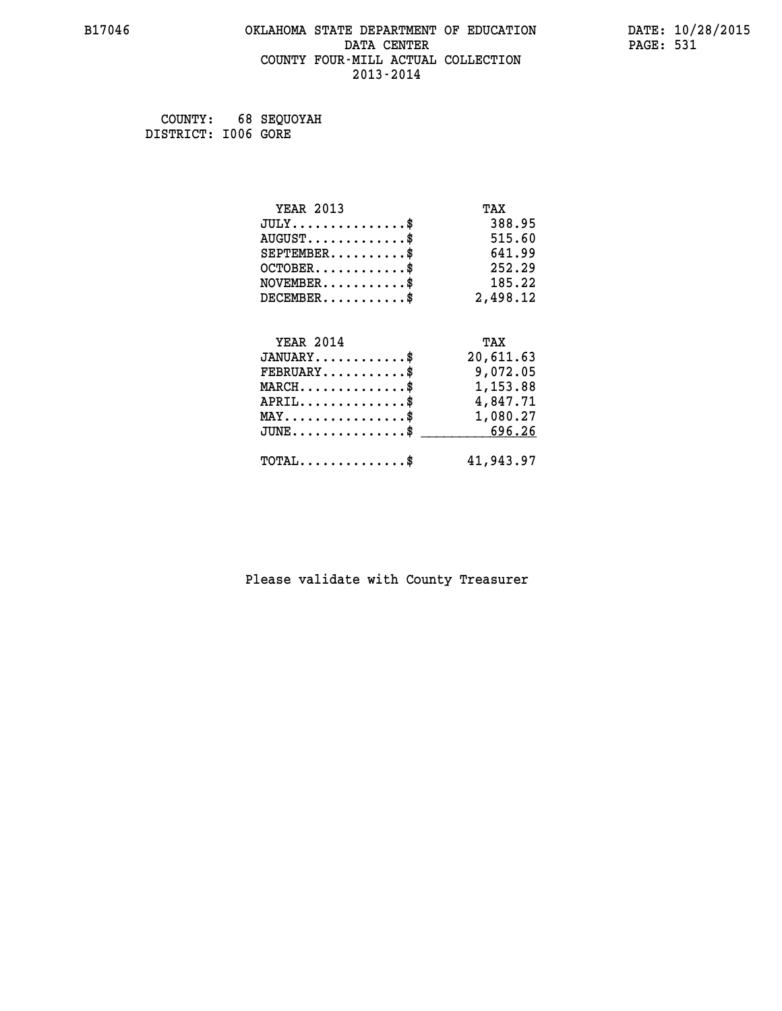### **B17046 OKLAHOMA STATE DEPARTMENT OF EDUCATION DATE: 10/28/2015 DATA CENTER** PAGE: 531  **COUNTY FOUR-MILL ACTUAL COLLECTION 2013-2014**

 **COUNTY: 68 SEQUOYAH DISTRICT: I006 GORE**

| <b>YEAR 2013</b>                                 | TAX       |
|--------------------------------------------------|-----------|
| $JULY$ \$                                        | 388.95    |
| $AUGUST$ \$                                      | 515.60    |
| $SEPTEMBER$ \$                                   | 641.99    |
| $OCTOBER$ \$                                     | 252.29    |
| $\texttt{NOVEMBER} \dots \dots \dots \$          | 185.22    |
| $DECEMBER$ \$                                    | 2,498.12  |
|                                                  |           |
| <b>YEAR 2014</b>                                 | TAX       |
| $JANUARY$ \$                                     | 20,611.63 |
| $FEBRUARY$                                       | 9,072.05  |
| $\texttt{MARCH}\ldots\ldots\ldots\ldots\text{*}$ | 1,153.88  |
| $APRIL \ldots \ldots \ldots \ldots \$            | 4,847.71  |
| $\texttt{MAX} \dots \dots \dots \dots \dots \$   | 1,080.27  |
| $JUNE \ldots \ldots \ldots \ldots \ast$          | 696.26    |
| $\texttt{TOTAL} \dots \dots \dots \dots \$       | 41,943.97 |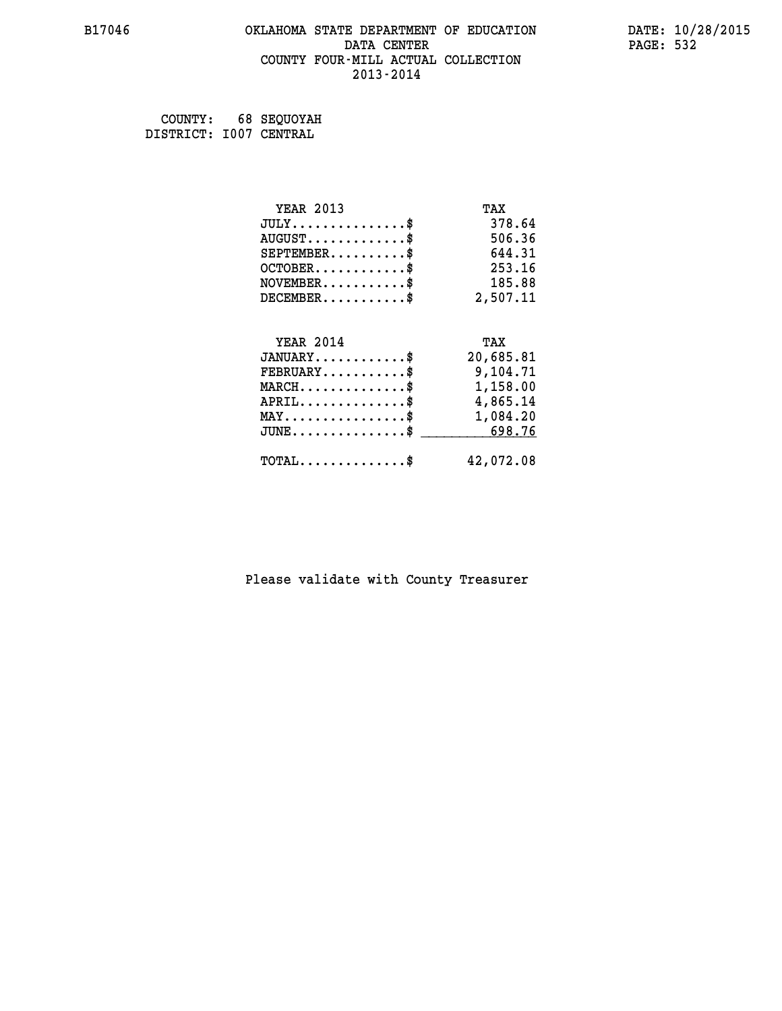### **B17046 OKLAHOMA STATE DEPARTMENT OF EDUCATION DATE: 10/28/2015 DATA CENTER** PAGE: 532  **COUNTY FOUR-MILL ACTUAL COLLECTION 2013-2014**

 **COUNTY: 68 SEQUOYAH DISTRICT: I007 CENTRAL**

| <b>YEAR 2013</b>                                 | TAX       |
|--------------------------------------------------|-----------|
| $JULY$ \$                                        | 378.64    |
| $AUGUST$ \$                                      | 506.36    |
| $SEPTEMBER$ \$                                   | 644.31    |
| $OCTOBER$ \$                                     | 253.16    |
| $\texttt{NOVEMBER} \dots \dots \dots \$          | 185.88    |
| $DECEMBER$ \$                                    | 2,507.11  |
|                                                  |           |
| <b>YEAR 2014</b>                                 | TAX       |
| $JANUARY$ \$                                     | 20,685.81 |
| $FEBRUARY$                                       | 9,104.71  |
| $\texttt{MARCH}\ldots\ldots\ldots\ldots\text{*}$ | 1,158.00  |
| $APRIL \ldots \ldots \ldots \ldots \$            | 4,865.14  |
| $\texttt{MAX} \dots \dots \dots \dots \dots \$   | 1,084.20  |
| $JUNE \ldots \ldots \ldots \ldots \ast$          | 698.76    |
| $\texttt{TOTAL} \dots \dots \dots \dots \$       | 42,072.08 |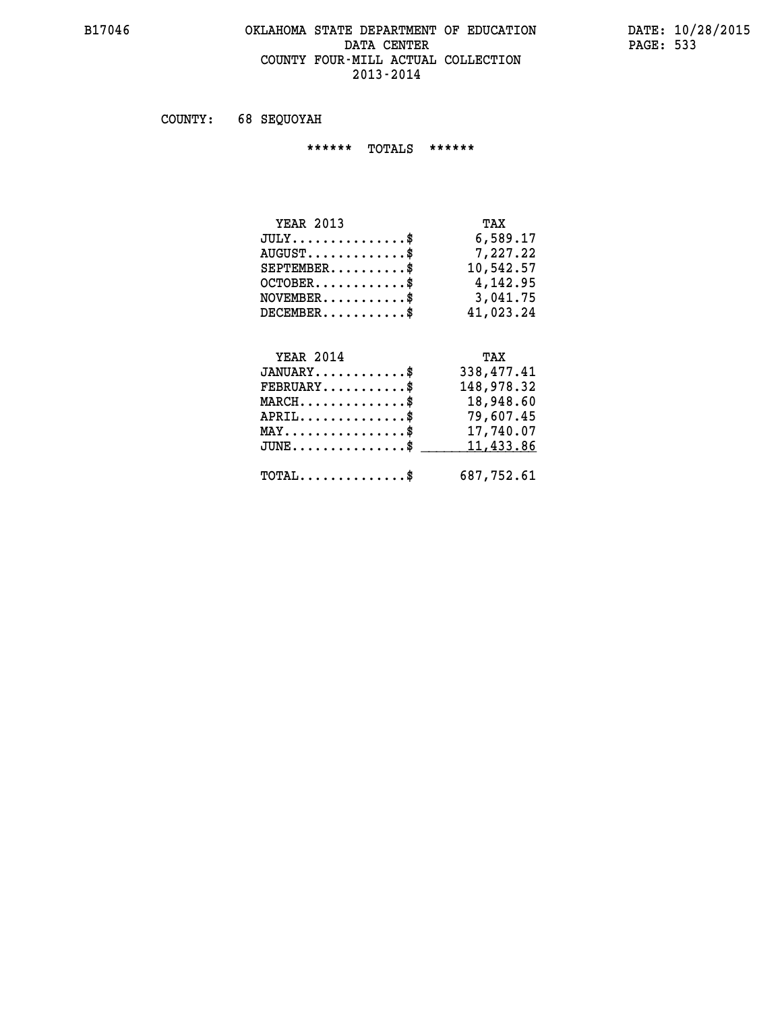#### **B17046 OKLAHOMA STATE DEPARTMENT OF EDUCATION DATE: 10/28/2015** DATA CENTER PAGE: 533  **COUNTY FOUR-MILL ACTUAL COLLECTION 2013-2014**

 **COUNTY: 68 SEQUOYAH**

 **\*\*\*\*\*\* TOTALS \*\*\*\*\*\***

| <b>YEAR 2013</b>                 | TAX       |
|----------------------------------|-----------|
| $JULY \ldots \ldots \ldots \$    | 6,589.17  |
| $AUGUST \ldots \ldots \ldots$ \$ | 7.227.22  |
| $SEPTEMBER$ $\$                  | 10,542.57 |
| $OCTOBER$ \$                     | 4,142.95  |
| $NOVEMBER$ \$                    | 3,041.75  |
| $DECEMBER$                       | 41,023.24 |

# **YEAR 2014 TAX JANUARY............\$ 338,477.41 FEBRUARY...........\$ 148,978.32 MARCH..............\$ 18,948.60 APRIL..............\$ 79,607.45 MAY................\$ 17,740.07 JUNE................\$** 11,433.86

 **TOTAL..............\$ 687,752.61**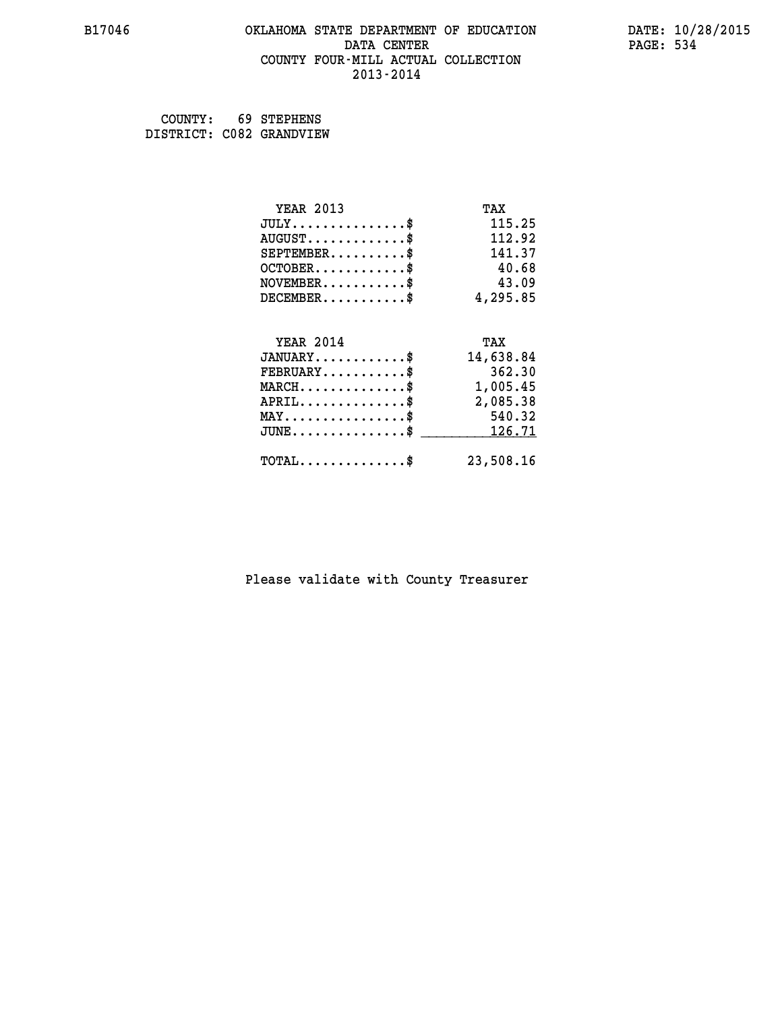### **B17046 OKLAHOMA STATE DEPARTMENT OF EDUCATION DATE: 10/28/2015 DATA CENTER** PAGE: 534  **COUNTY FOUR-MILL ACTUAL COLLECTION 2013-2014**

 **COUNTY: 69 STEPHENS DISTRICT: C082 GRANDVIEW**

| <b>YEAR 2013</b>                           | TAX       |
|--------------------------------------------|-----------|
| $JULY$ \$                                  | 115.25    |
| $AUGUST$ \$                                | 112.92    |
| $SEPTEMBER$ \$                             | 141.37    |
| $OCTOBER$ \$                               | 40.68     |
| $NOVEMBER$ \$                              | 43.09     |
| $DECEMBER$ \$                              | 4,295.85  |
|                                            |           |
| <b>YEAR 2014</b>                           | TAX       |
| $JANUARY$                                  | 14,638.84 |
| $FEBRUARY$                                 | 362.30    |
| $\texttt{MARCH}\ldots\ldots\ldots\ldots\$  | 1,005.45  |
| $APRIL \ldots \ldots \ldots \ldots$ \$     | 2,085.38  |
| $MAX \dots \dots \dots \dots \$            | 540.32    |
| $JUNE$ \$                                  | 126.71    |
| $\texttt{TOTAL} \dots \dots \dots \dots \$ | 23,508.16 |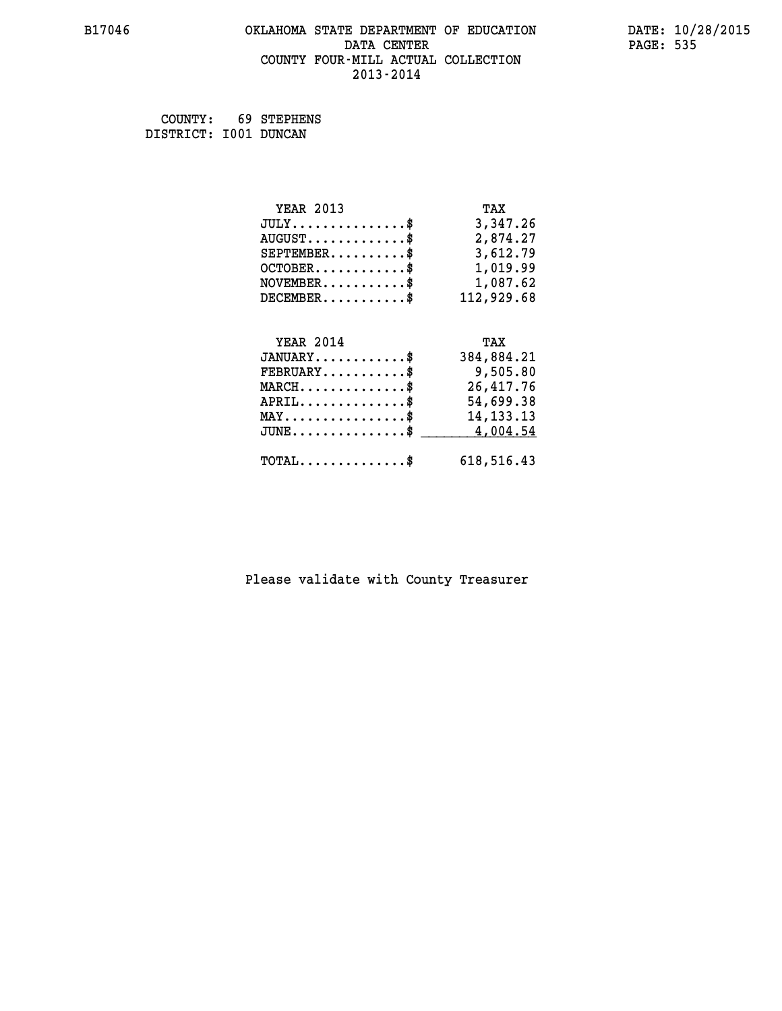### **B17046 OKLAHOMA STATE DEPARTMENT OF EDUCATION DATE: 10/28/2015 DATA CENTER** PAGE: 535  **COUNTY FOUR-MILL ACTUAL COLLECTION 2013-2014**

 **COUNTY: 69 STEPHENS DISTRICT: I001 DUNCAN**

| <b>YEAR 2013</b>                                 | TAX         |
|--------------------------------------------------|-------------|
| $JULY$ \$                                        | 3,347.26    |
| $AUGUST$ \$                                      | 2,874.27    |
| $SEPTEMBER$ \$                                   | 3,612.79    |
| $OCTOBER$ \$                                     | 1,019.99    |
| $NOVEMBER.$ \$                                   | 1,087.62    |
| $DECEMBER$ \$                                    | 112,929.68  |
|                                                  |             |
| <b>YEAR 2014</b>                                 | TAX         |
| $JANUARY$ \$                                     | 384,884.21  |
| $FEBRUARY$ \$                                    | 9,505.80    |
| $MARCH \ldots \ldots \ldots \ldots$              | 26,417.76   |
| $APRIL \ldots \ldots \ldots \ldots \$            | 54,699.38   |
| $\texttt{MAX} \dots \dots \dots \dots \dots \$   | 14, 133. 13 |
| $\texttt{JUNE} \dots \dots \dots \dots \dots \$$ | 4,004.54    |
| $\texttt{TOTAL} \dots \dots \dots \dots \$       | 618,516.43  |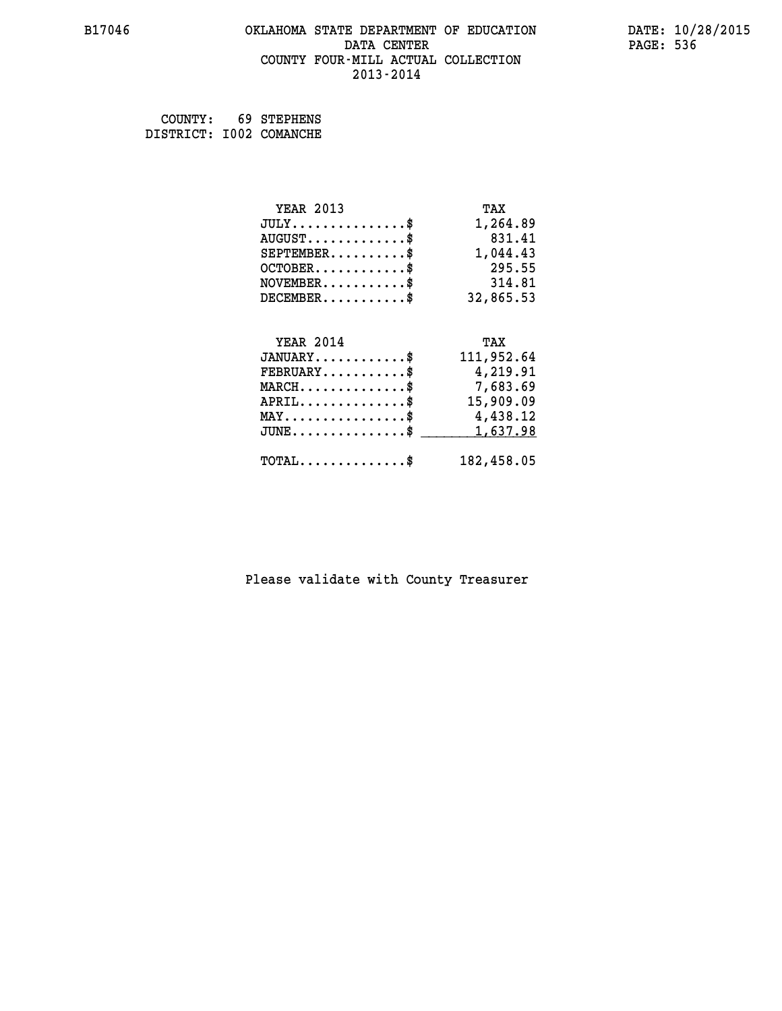### **B17046 OKLAHOMA STATE DEPARTMENT OF EDUCATION DATE: 10/28/2015 DATA CENTER** PAGE: 536  **COUNTY FOUR-MILL ACTUAL COLLECTION 2013-2014**

 **COUNTY: 69 STEPHENS DISTRICT: I002 COMANCHE**

| <b>YEAR 2013</b>                                   | TAX        |
|----------------------------------------------------|------------|
| $JULY$ \$                                          | 1,264.89   |
| $AUGUST$ \$                                        | 831.41     |
| $SEPTEMBER$ \$                                     | 1,044.43   |
| $OCTOBER$ \$                                       | 295.55     |
| $\texttt{NOVEMBER} \dots \dots \dots \$            | 314.81     |
| $DECEMBER$ \$                                      | 32,865.53  |
|                                                    |            |
| <b>YEAR 2014</b>                                   | TAX        |
|                                                    |            |
| $JANUARY$ \$                                       | 111,952.64 |
| $FEBRUARY$                                         | 4,219.91   |
| $\texttt{MARCH}\ldots\ldots\ldots\ldots\$          | 7,683.69   |
| $APRIL \ldots \ldots \ldots$ \$                    | 15,909.09  |
| $\texttt{MAX} \dots \dots \dots \dots \dots \$     | 4,438.12   |
| $\texttt{JUNE} \dots \dots \dots \dots \texttt{S}$ | 1,637.98   |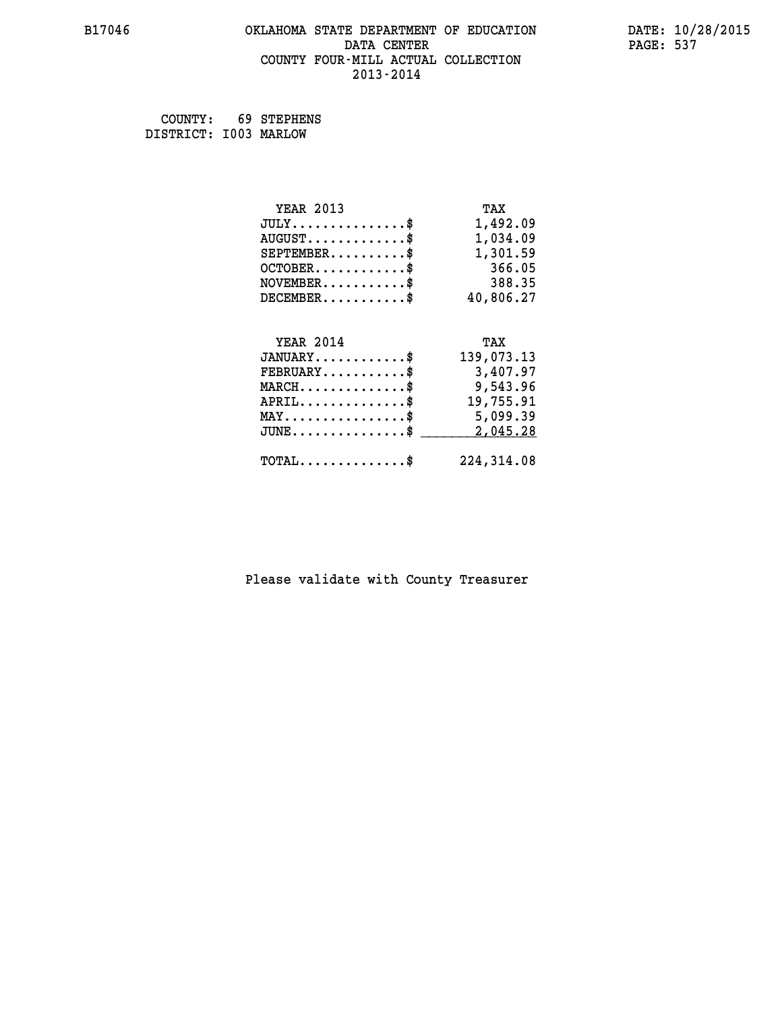### **B17046 OKLAHOMA STATE DEPARTMENT OF EDUCATION DATE: 10/28/2015 DATA CENTER** PAGE: 537  **COUNTY FOUR-MILL ACTUAL COLLECTION 2013-2014**

 **COUNTY: 69 STEPHENS DISTRICT: I003 MARLOW**

| <b>YEAR 2013</b>                               | TAX        |
|------------------------------------------------|------------|
| $JULY$ \$                                      | 1,492.09   |
| $AUGUST$ \$                                    | 1,034.09   |
| $SEPTEMBER$ \$                                 | 1,301.59   |
| $OCTOBER$ \$                                   | 366.05     |
| $NOVEMBER$ \$                                  | 388.35     |
| $DECEMBER$ \$                                  | 40,806.27  |
|                                                |            |
| <b>YEAR 2014</b>                               | TAX        |
|                                                |            |
| $JANUARY$ \$                                   | 139,073.13 |
| $FEBRUARY$                                     | 3,407.97   |
| $MARCH$ \$                                     | 9,543.96   |
| $APRIL$ \$                                     | 19,755.91  |
| $\texttt{MAX} \dots \dots \dots \dots \dots \$ | 5,099.39   |
| $JUNE$ \$                                      | 2,045.28   |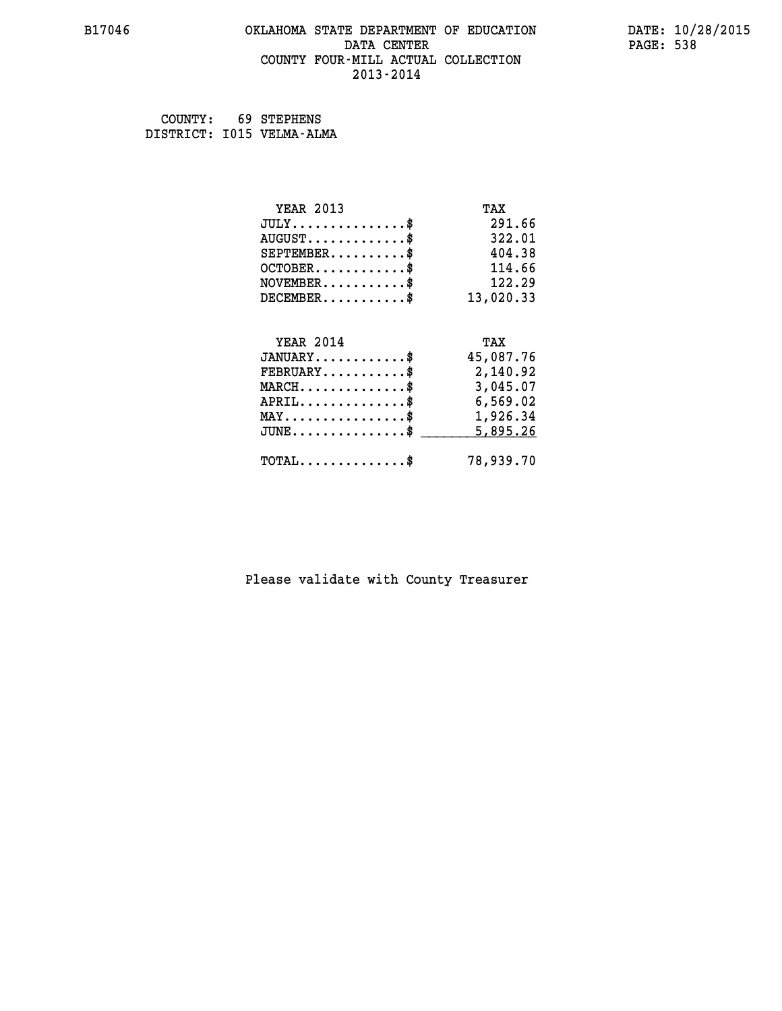### **B17046 OKLAHOMA STATE DEPARTMENT OF EDUCATION DATE: 10/28/2015 DATA CENTER** PAGE: 538  **COUNTY FOUR-MILL ACTUAL COLLECTION 2013-2014**

 **COUNTY: 69 STEPHENS DISTRICT: I015 VELMA-ALMA**

| <b>YEAR 2013</b>                                | TAX       |
|-------------------------------------------------|-----------|
| $JULY$ \$                                       | 291.66    |
| $AUGUST$ \$                                     | 322.01    |
| $SEPTEMENT.$ \$                                 | 404.38    |
| $OCTOBER$ \$                                    | 114.66    |
| $\texttt{NOVEMBER} \dots \dots \dots \$         | 122.29    |
| $DECEMBER$ \$                                   | 13,020.33 |
|                                                 |           |
| <b>YEAR 2014</b>                                | TAX       |
| $JANUARY$ \$                                    | 45,087.76 |
| $FEBRUARY$                                      | 2,140.92  |
| $MARCH$ \$                                      | 3,045.07  |
| $APRIL$ \$                                      | 6,569.02  |
| $\texttt{MAX} \dots \dots \dots \dots \dots \$$ | 1,926.34  |
| $JUNE$ \$                                       | 5,895.26  |
|                                                 |           |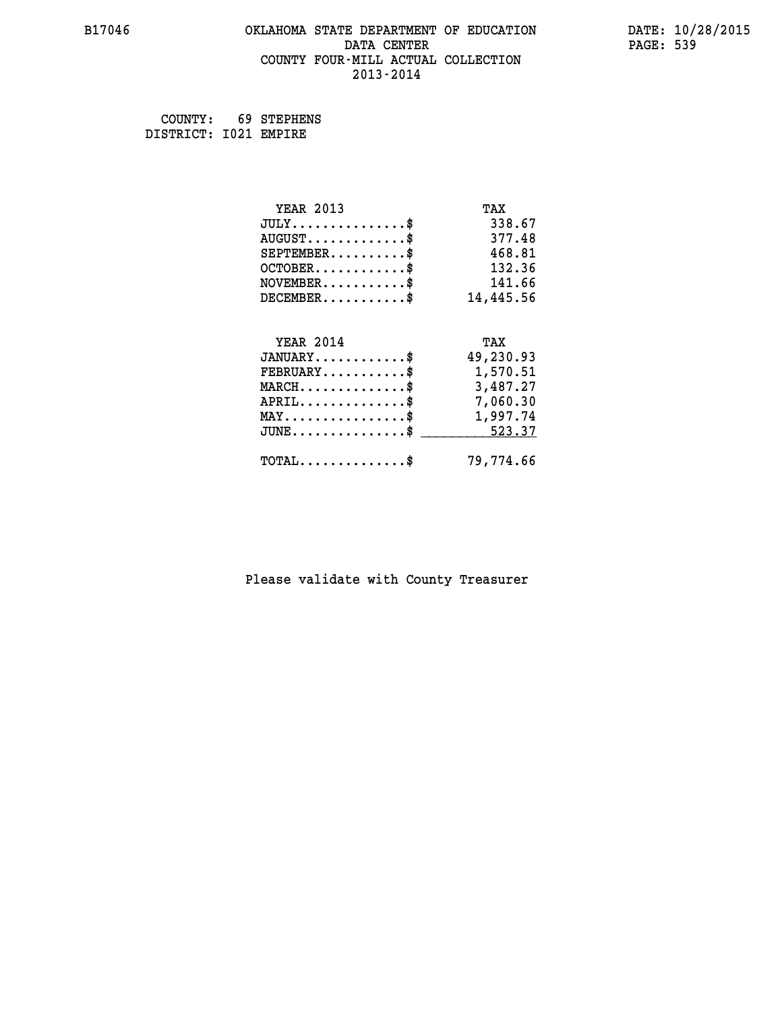### **B17046 OKLAHOMA STATE DEPARTMENT OF EDUCATION DATE: 10/28/2015 DATA CENTER** PAGE: 539  **COUNTY FOUR-MILL ACTUAL COLLECTION 2013-2014**

 **COUNTY: 69 STEPHENS DISTRICT: I021 EMPIRE**

| <b>YEAR 2013</b>                                  | TAX       |
|---------------------------------------------------|-----------|
| $JULY$ \$                                         | 338.67    |
| $AUGUST$ \$                                       | 377.48    |
| $SEPTEMENT.$ \$                                   | 468.81    |
| $OCTOBER$ \$                                      | 132.36    |
| $NOVEMBER.$ \$                                    | 141.66    |
| $DECEMBER$ \$                                     | 14,445.56 |
|                                                   |           |
| <b>YEAR 2014</b>                                  | TAX       |
| $JANUARY$ \$                                      | 49,230.93 |
| $FEBRUARY$ \$                                     | 1,570.51  |
| $\texttt{MARCH}\ldots\ldots\ldots\ldots\clubsuit$ | 3,487.27  |
| $APRIL$ \$                                        | 7,060.30  |
| $\texttt{MAX} \dots \dots \dots \dots \dots \$    | 1,997.74  |
| $JUNE$                                            | 523.37    |
| $\texttt{TOTAL} \dots \dots \dots \dots \$        | 79,774.66 |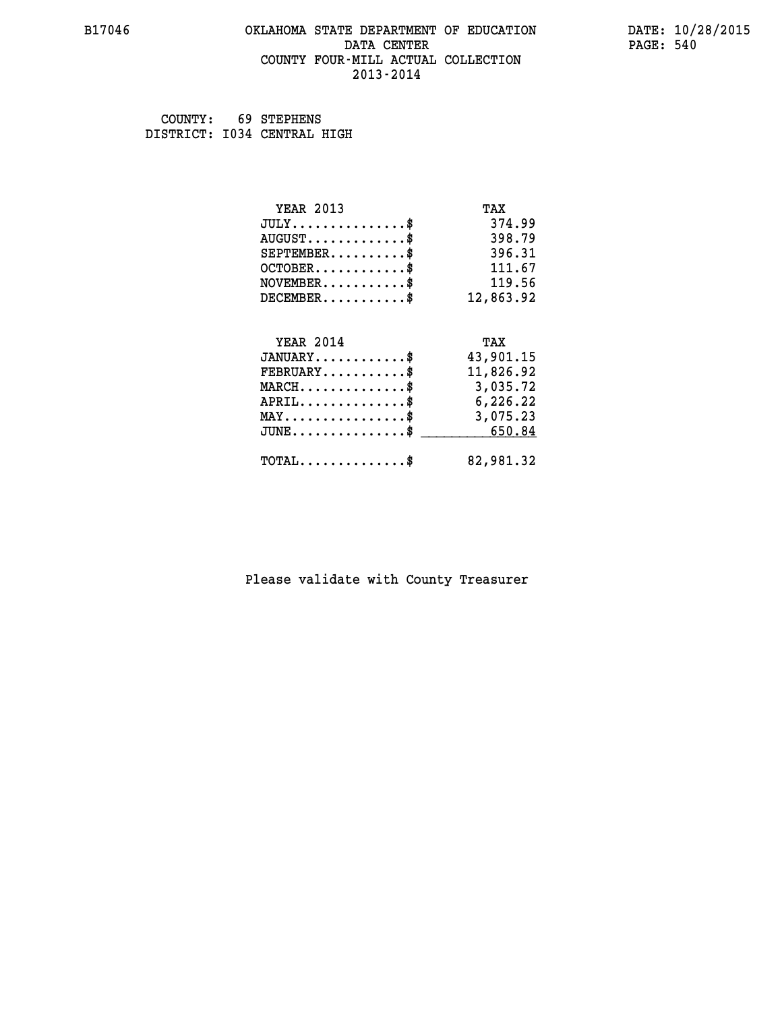### **B17046 OKLAHOMA STATE DEPARTMENT OF EDUCATION DATE: 10/28/2015 DATA CENTER** PAGE: 540  **COUNTY FOUR-MILL ACTUAL COLLECTION 2013-2014**

 **COUNTY: 69 STEPHENS DISTRICT: I034 CENTRAL HIGH**

| <b>YEAR 2013</b>                               | TAX       |
|------------------------------------------------|-----------|
| $JULY$ \$                                      | 374.99    |
| $AUGUST$ \$                                    | 398.79    |
| $SEPTEMBER$ \$                                 | 396.31    |
| $OCTOBER$ \$                                   | 111.67    |
| $NOVEMBER$ \$                                  | 119.56    |
| $DECEMBER$ \$                                  | 12,863.92 |
|                                                |           |
| <b>YEAR 2014</b>                               | TAX       |
|                                                |           |
| $JANUARY$ \$                                   | 43,901.15 |
| $FEBRUARY$                                     | 11,826.92 |
| $MARCH$ \$                                     | 3,035.72  |
| $APRIL$ \$                                     | 6,226.22  |
| $\texttt{MAX} \dots \dots \dots \dots \dots \$ | 3,075.23  |
| $JUNE \ldots \ldots \ldots \ldots \ast$        | 650.84    |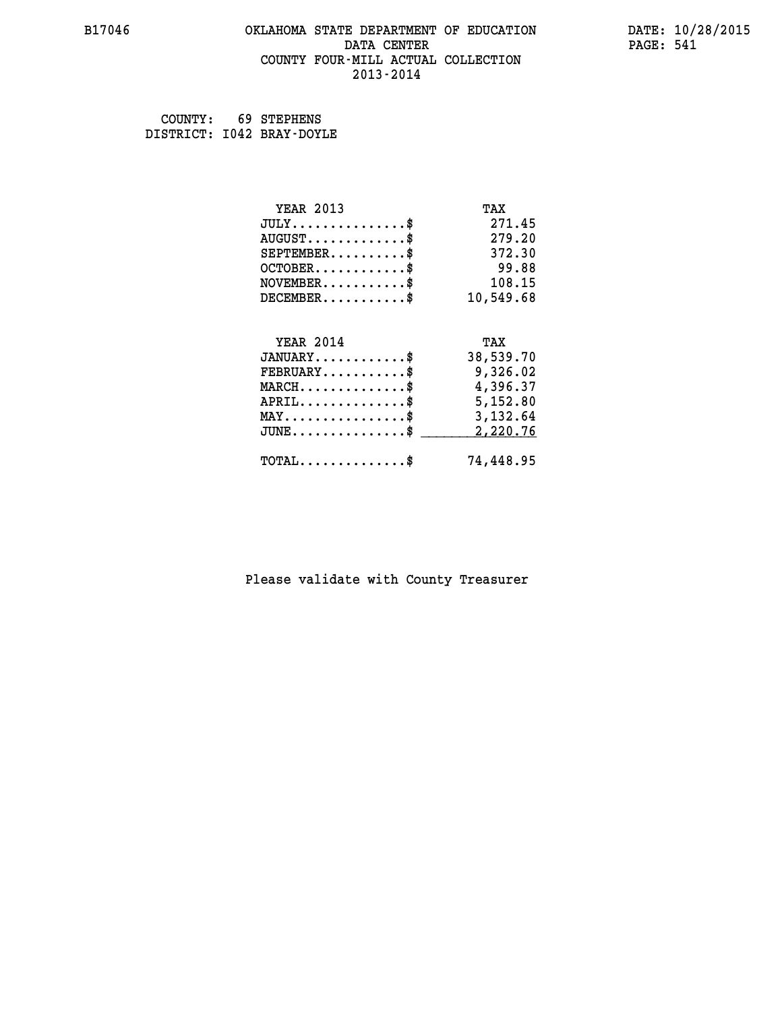# **B17046 OKLAHOMA STATE DEPARTMENT OF EDUCATION DATE: 10/28/2015 DATA CENTER** PAGE: 541  **COUNTY FOUR-MILL ACTUAL COLLECTION 2013-2014**

 **COUNTY: 69 STEPHENS DISTRICT: I042 BRAY-DOYLE**

| <b>YEAR 2013</b>                               | TAX            |
|------------------------------------------------|----------------|
| $JULY$ \$                                      | 271.45         |
| $AUGUST$ \$                                    | 279.20         |
| $SEPTEMBER$ \$                                 | 372.30         |
| $OCTOBER$ \$                                   | 59.88 في 99.88 |
| $\texttt{NOVEMBER} \dots \dots \dots \$        | 108.15         |
| $DECEMBER$ \$                                  | 10,549.68      |
|                                                |                |
| <b>YEAR 2014</b>                               | TAX            |
| $JANUARY$                                      | 38,539.70      |
| $FEBRUARY$                                     | 9,326.02       |
| $MARCH$ \$                                     | 4,396.37       |
| $APRIL \ldots \ldots \ldots \ldots \$          | 5,152.80       |
| $\texttt{MAX} \dots \dots \dots \dots \dots \$ | 3,132.64       |
| $JUNE$ \$                                      | 2,220.76       |
| $TOTAL$ \$                                     | 74,448.95      |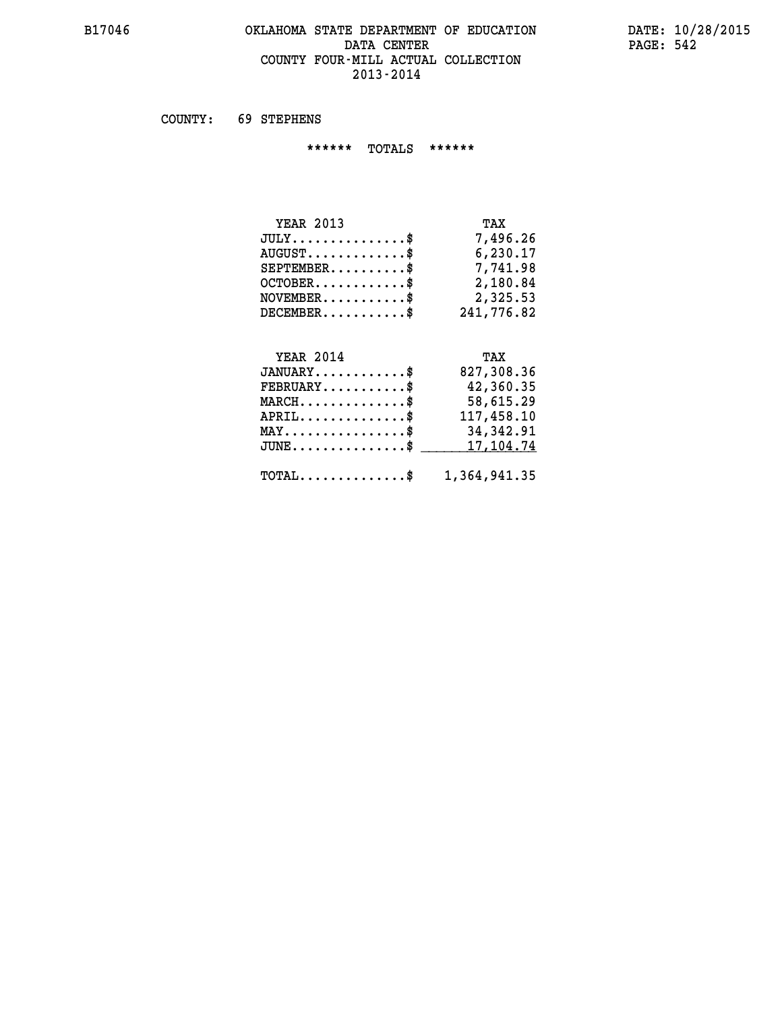#### **B17046 OKLAHOMA STATE DEPARTMENT OF EDUCATION DATE: 10/28/2015 DATA CENTER PAGE: 542 COUNTY FOUR-MILL ACTUAL COLLECTION 2013-2014**

 **COUNTY: 69 STEPHENS**

 **\*\*\*\*\*\* TOTALS \*\*\*\*\*\***

| <b>YEAR 2013</b>                 | TAX        |
|----------------------------------|------------|
| $JULY$                           | 7,496.26   |
| $AUGUST \ldots \ldots \ldots$ \$ | 6,230.17   |
| $SEPTEMBER$                      | 7,741.98   |
| $OCTOBER$ $\frac{1}{2}$          | 2,180.84   |
| $NOVEMBER$ \$                    | 2,325.53   |
| DECEMBER\$                       | 241,776.82 |

#### **YEAR 2014 TAX JANUARY............\$ 827,308.36 FEBRUARY...........\$ 42,360.35 MARCH..............\$ 58,615.29 APRIL..............\$ 117,458.10 MAY................\$ 34,342.91** JUNE..............\$ <u>17,104.74</u>

 **TOTAL..............\$ 1,364,941.35**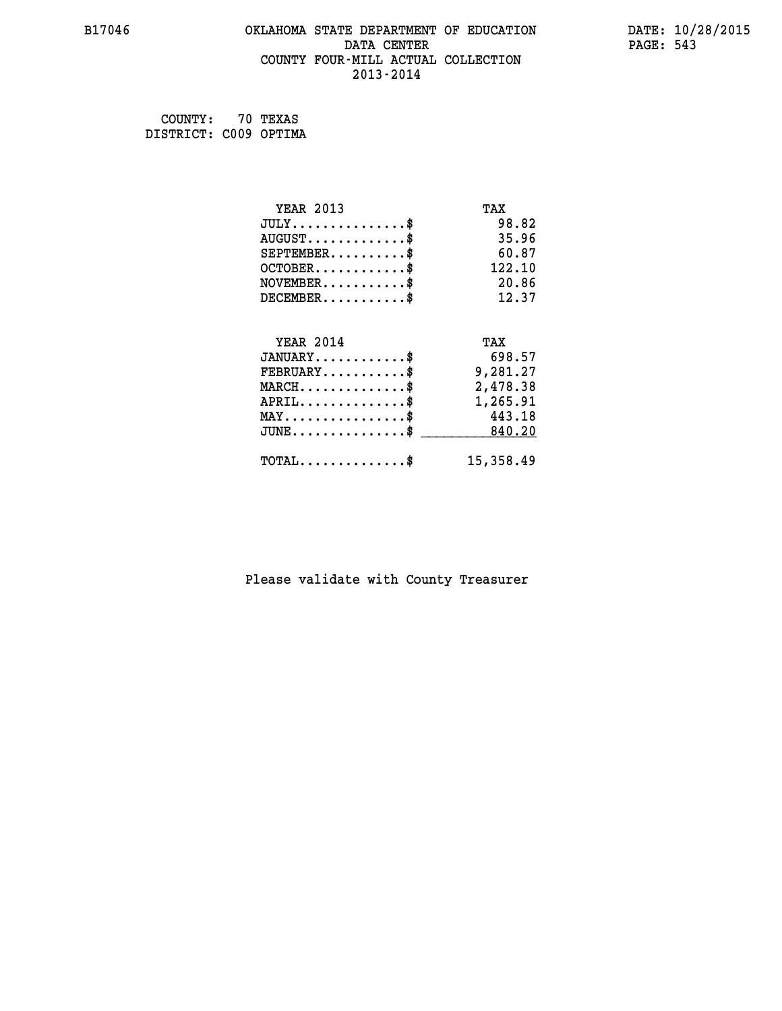# **B17046 OKLAHOMA STATE DEPARTMENT OF EDUCATION DATE: 10/28/2015 DATA CENTER** PAGE: 543  **COUNTY FOUR-MILL ACTUAL COLLECTION 2013-2014**

 **COUNTY: 70 TEXAS DISTRICT: C009 OPTIMA**

| <b>YEAR 2013</b>                               | TAX       |
|------------------------------------------------|-----------|
| $JULY$ \$                                      | 98.82     |
| $AUGUST$ \$                                    | 35.96     |
| $SEPTEMBER$ \$                                 | 60.87     |
| $OCTOBER$ \$                                   | 122.10    |
| $NOVEMBER$ \$                                  | 20.86     |
| $DECEMBER$ \$                                  | 12.37     |
| <b>YEAR 2014</b>                               | TAX       |
| $JANUARY$ \$                                   | 698.57    |
| $FEBRUARY$                                     | 9,281.27  |
| $MARCH$ \$                                     | 2,478.38  |
| $APRIL$ \$                                     | 1,265.91  |
|                                                |           |
| $\texttt{MAX} \dots \dots \dots \dots \dots \$ | 443.18    |
| $JUNE$ \$                                      | 840.20    |
| $TOTAL$ \$                                     | 15,358.49 |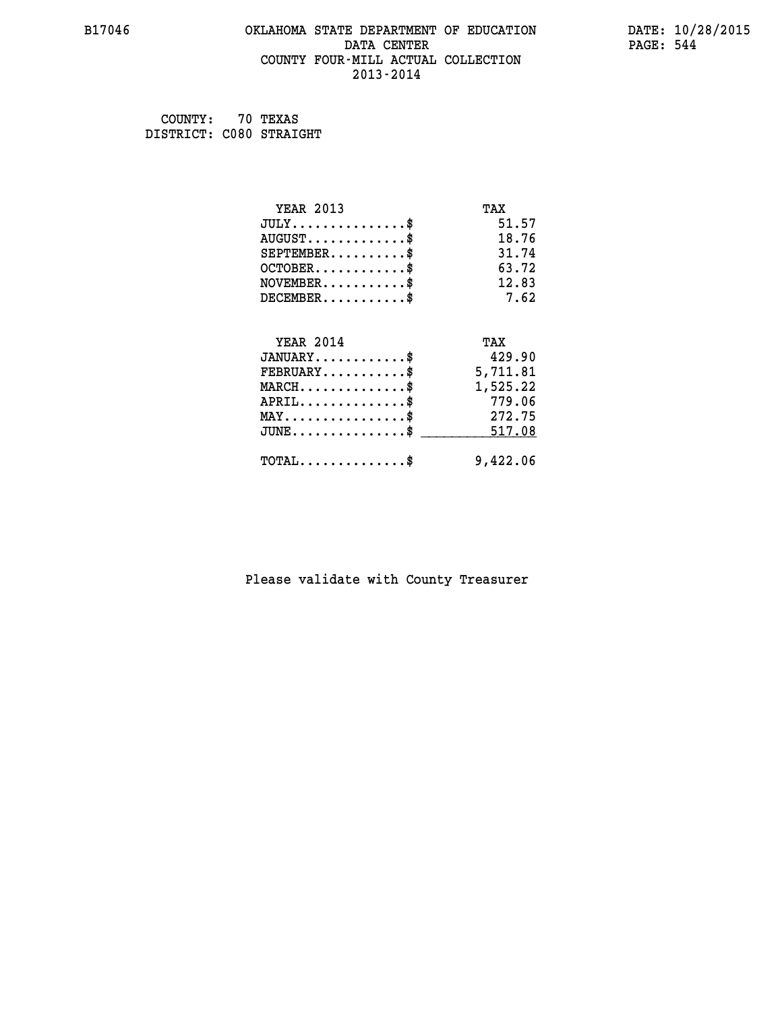# **B17046 OKLAHOMA STATE DEPARTMENT OF EDUCATION DATE: 10/28/2015 DATA CENTER** PAGE: 544  **COUNTY FOUR-MILL ACTUAL COLLECTION 2013-2014**

 **COUNTY: 70 TEXAS DISTRICT: C080 STRAIGHT**

| <b>YEAR 2013</b>                           | TAX      |
|--------------------------------------------|----------|
| $JULY$ \$                                  | 51.57    |
| $AUGUST$ \$                                | 18.76    |
| $SEPTEMBER$ \$                             | 31.74    |
| $OCTOBER$ \$                               | 63.72    |
| $NOVEMBER$ \$                              | 12.83    |
| $DECEMBER$ \$                              | 7.62     |
| <b>YEAR 2014</b>                           | TAX      |
| $JANUARY$                                  | 429.90   |
| $FEBRUARY$                                 | 5,711.81 |
| $MARCH$ \$                                 | 1,525.22 |
| $APRIL$ \$                                 | 779.06   |
| $MAX \dots \dots \dots \dots \dots$        | 272.75   |
| $JUNE$ \$                                  | 517.08   |
| $\texttt{TOTAL} \dots \dots \dots \dots \$ | 9,422.06 |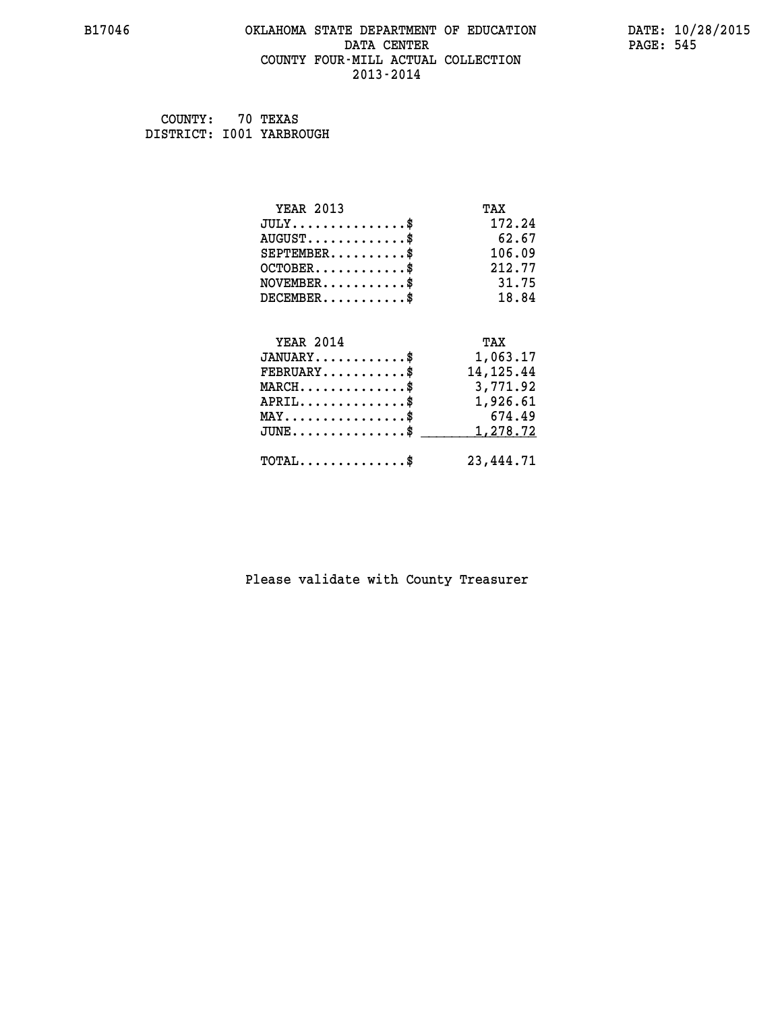# **B17046 OKLAHOMA STATE DEPARTMENT OF EDUCATION DATE: 10/28/2015 DATA CENTER** PAGE: 545  **COUNTY FOUR-MILL ACTUAL COLLECTION 2013-2014**

 **COUNTY: 70 TEXAS DISTRICT: I001 YARBROUGH**

| <b>YEAR 2013</b>                                 | TAX         |
|--------------------------------------------------|-------------|
| $JULY$ \$                                        | 172.24      |
| $AUGUST$ \$                                      | 62.67       |
| $SEPTEMBER$ \$                                   | 106.09      |
| $OCTOBER$ \$                                     | 212.77      |
| $NOVEMBER$ \$                                    | 31.75       |
| $DECEMBER$ \$                                    | 18.84       |
| <b>YEAR 2014</b>                                 | TAX         |
| $JANUARY$ \$                                     | 1,063.17    |
| $FEBRUARY$                                       | 14, 125. 44 |
| $\texttt{MARCH}\ldots\ldots\ldots\ldots\text{*}$ | 3,771.92    |
| $APRIL \ldots \ldots \ldots \ldots$              | 1,926.61    |
| $\texttt{MAX} \dots \dots \dots \dots \dots \$   | 674.49      |
| $JUNE$ \$                                        | 1,278.72    |
| $\texttt{TOTAL} \dots \dots \dots \dots \$       | 23, 444. 71 |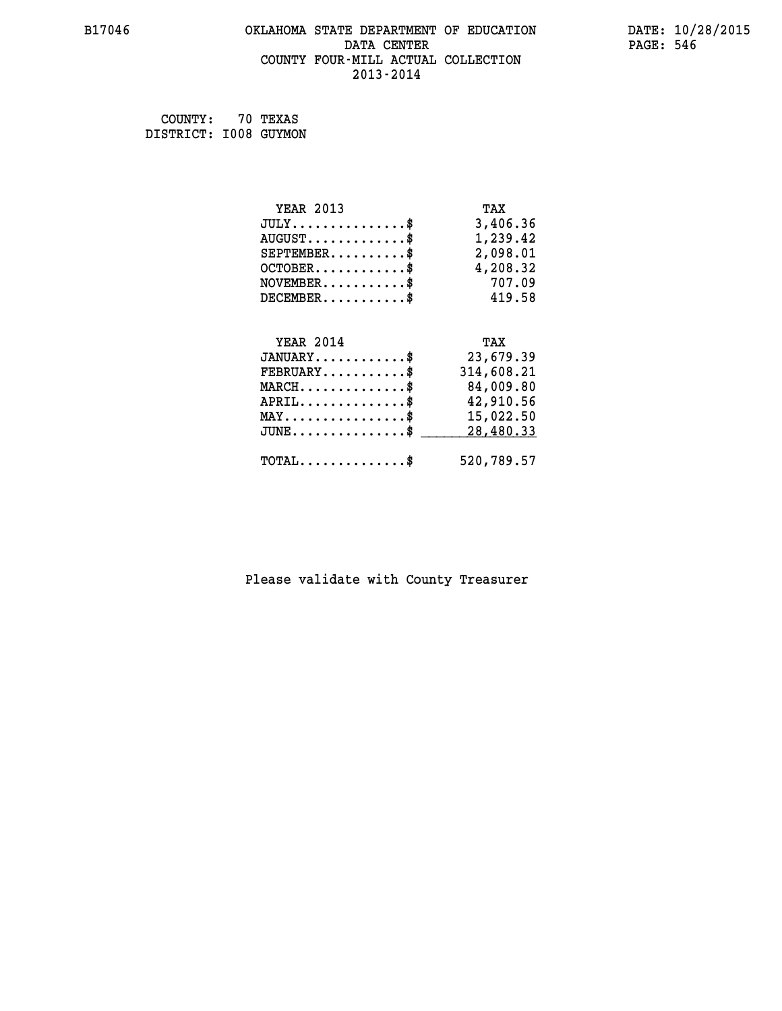# **B17046 OKLAHOMA STATE DEPARTMENT OF EDUCATION DATE: 10/28/2015 DATA CENTER** PAGE: 546  **COUNTY FOUR-MILL ACTUAL COLLECTION 2013-2014**

 **COUNTY: 70 TEXAS DISTRICT: I008 GUYMON**

| <b>YEAR 2013</b>                           | TAX        |
|--------------------------------------------|------------|
| $JULY$ \$                                  | 3,406.36   |
| $AUGUST$ \$                                | 1,239.42   |
| $SEPTEMBER$ \$                             | 2,098.01   |
| $OCTOBER$ \$                               | 4,208.32   |
| $NOVEMBER$ \$                              | 707.09     |
| $DECEMBER$ \$                              | 419.58     |
|                                            |            |
| <b>YEAR 2014</b>                           | TAX        |
| $JANUARY$ \$                               | 23,679.39  |
| $FEBRUARY$ \$                              | 314,608.21 |
| $MARCH$ \$                                 | 84,009.80  |
| $APRIL$ \$                                 | 42,910.56  |
| $MAX \dots \dots \dots \dots \dots$        | 15,022.50  |
| JUNE\$                                     | 28,480.33  |
| $\texttt{TOTAL} \dots \dots \dots \dots \$ | 520,789.57 |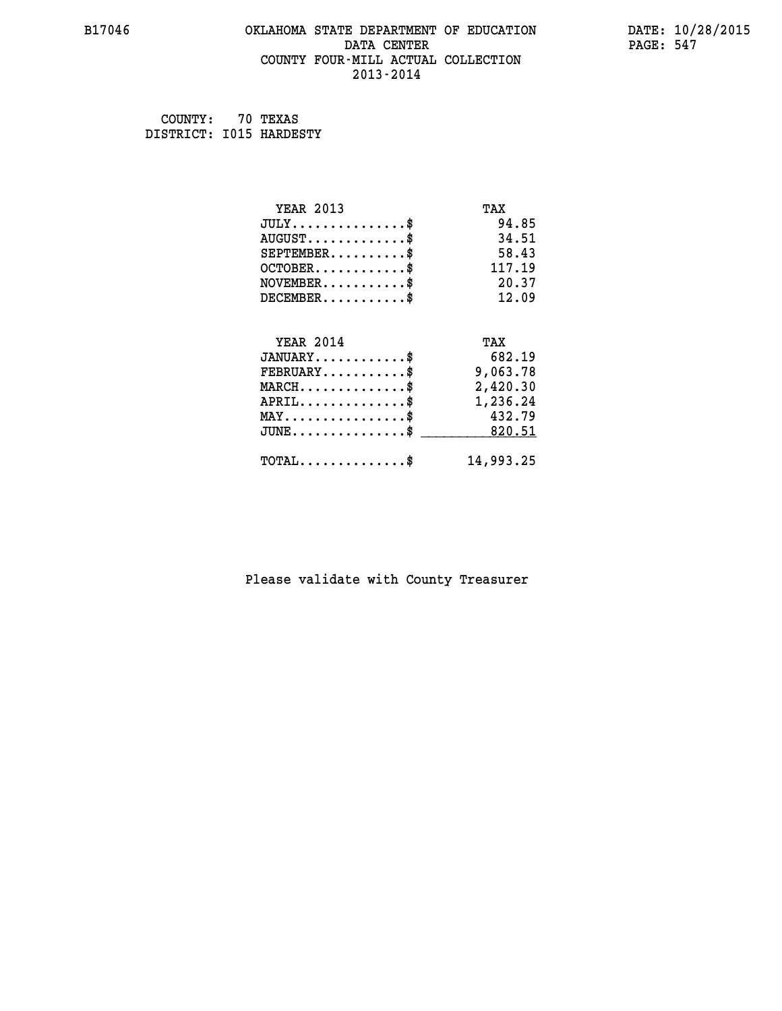# **B17046 OKLAHOMA STATE DEPARTMENT OF EDUCATION DATE: 10/28/2015 DATA CENTER** PAGE: 547  **COUNTY FOUR-MILL ACTUAL COLLECTION 2013-2014**

 **COUNTY: 70 TEXAS DISTRICT: I015 HARDESTY**

| <b>YEAR 2013</b>                               | TAX       |
|------------------------------------------------|-----------|
| $JULY$ \$                                      | 94.85     |
| $AUGUST$ \$                                    | 34.51     |
| $SEPTEMENT.$ \$                                | 58.43     |
| $OCTOBER$ \$                                   | 117.19    |
| $NOVEMBER$ \$                                  | 20.37     |
| $DECEMBER$ \$                                  | 12.09     |
|                                                |           |
| <b>YEAR 2014</b>                               | TAX       |
| $JANUARY$                                      | 682.19    |
| $FEBRUARY$                                     | 9,063.78  |
| $MARCH$ \$                                     | 2,420.30  |
| $APRIL \ldots \ldots \ldots \ldots \$          | 1,236.24  |
| $\texttt{MAX} \dots \dots \dots \dots \dots \$ | 432.79    |
| $\texttt{JUNE}\dots\dots\dots\dots\dots\$      | 820.51    |
| $\texttt{TOTAL} \dots \dots \dots \dots \$     | 14,993.25 |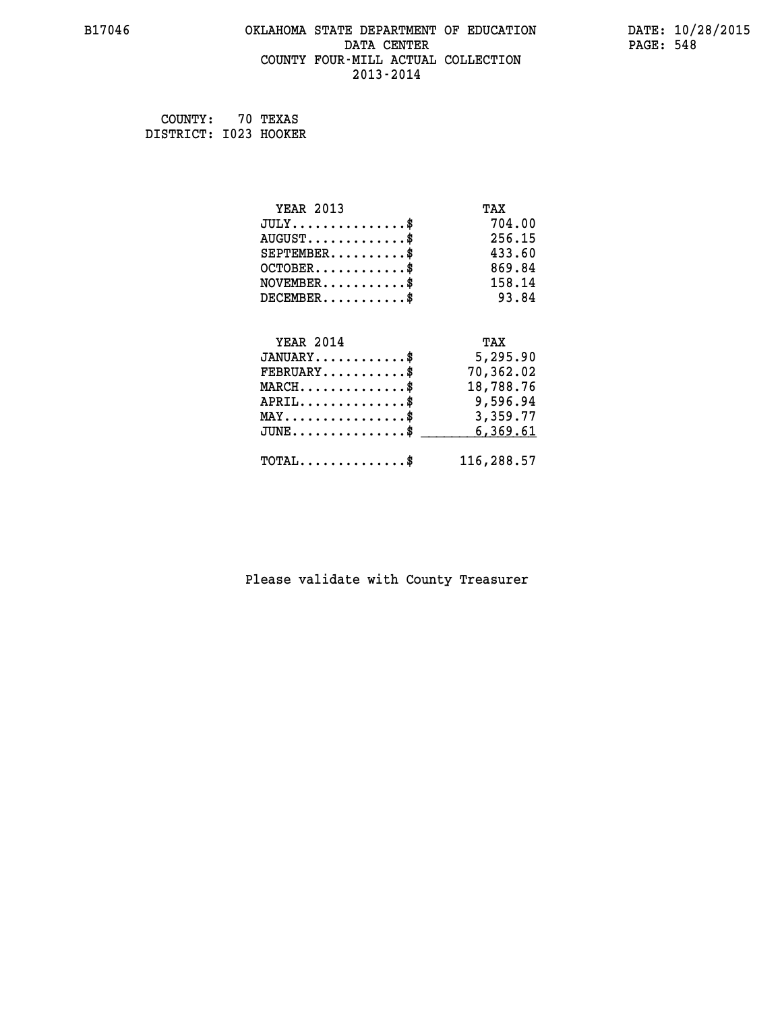# **B17046 OKLAHOMA STATE DEPARTMENT OF EDUCATION DATE: 10/28/2015 DATA CENTER** PAGE: 548  **COUNTY FOUR-MILL ACTUAL COLLECTION 2013-2014**

 **COUNTY: 70 TEXAS DISTRICT: I023 HOOKER**

| <b>YEAR 2013</b>                                 | TAX        |
|--------------------------------------------------|------------|
| $JULY$ \$                                        | 704.00     |
| $AUGUST$ \$                                      | 256.15     |
| $SEPTEMENT.$ \$                                  | 433.60     |
| $OCTOBER$ \$                                     | 869.84     |
| $NOVEMBER$ \$                                    | 158.14     |
| $DECEMBER$ \$                                    | 93.84      |
|                                                  |            |
| <b>YEAR 2014</b>                                 | TAX        |
| $JANUARY$ \$                                     | 5,295.90   |
| $FEBRUARY$                                       | 70,362.02  |
| $MARCH$ \$                                       | 18,788.76  |
| $APRIL$ \$                                       | 9,596.94   |
| $\texttt{MAX} \dots \dots \dots \dots \dots \$$  | 3,359.77   |
| $\texttt{JUNE} \dots \dots \dots \dots \dots \$$ | 6,369.61   |
| $\texttt{TOTAL} \dots \dots \dots \dots \$       | 116,288.57 |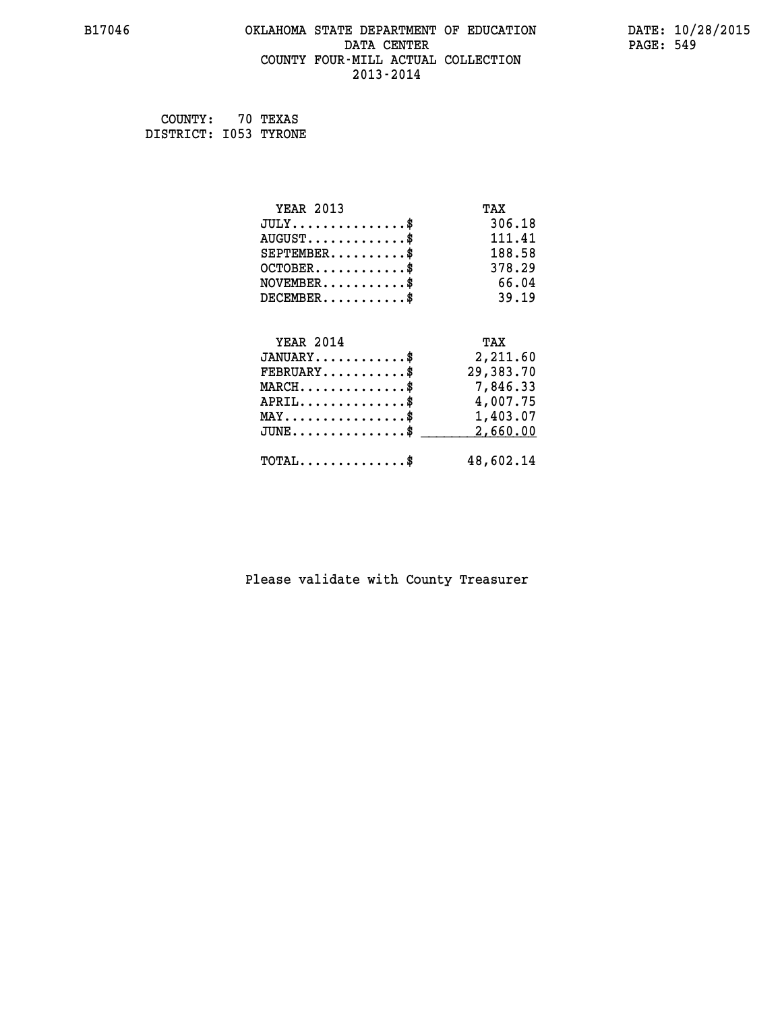# **B17046 OKLAHOMA STATE DEPARTMENT OF EDUCATION DATE: 10/28/2015 DATA CENTER** PAGE: 549  **COUNTY FOUR-MILL ACTUAL COLLECTION 2013-2014**

 **COUNTY: 70 TEXAS DISTRICT: I053 TYRONE**

| <b>YEAR 2013</b>                               | TAX       |
|------------------------------------------------|-----------|
| $JULY$ \$                                      | 306.18    |
| $AUGUST$ \$                                    | 111.41    |
| $SEPTEMBER$ \$                                 | 188.58    |
| $OCTOBER$ \$                                   | 378.29    |
| $NOVEMBER$ \$                                  | 66.04     |
| $DECEMBER$ \$                                  | 39.19     |
|                                                |           |
| <b>YEAR 2014</b>                               | TAX       |
| $JANUARY$ \$                                   | 2,211.60  |
| $FEBRUARY$                                     | 29,383.70 |
| $MARCH$ \$                                     | 7,846.33  |
| $APRIL \ldots \ldots \ldots \ldots \$          | 4,007.75  |
| $\texttt{MAX} \dots \dots \dots \dots \dots \$ | 1,403.07  |
| $J\texttt{UNE} \dots \dots \dots \dots \$      | 2,660.00  |
| $\texttt{TOTAL} \dots \dots \dots \dots$       | 48,602.14 |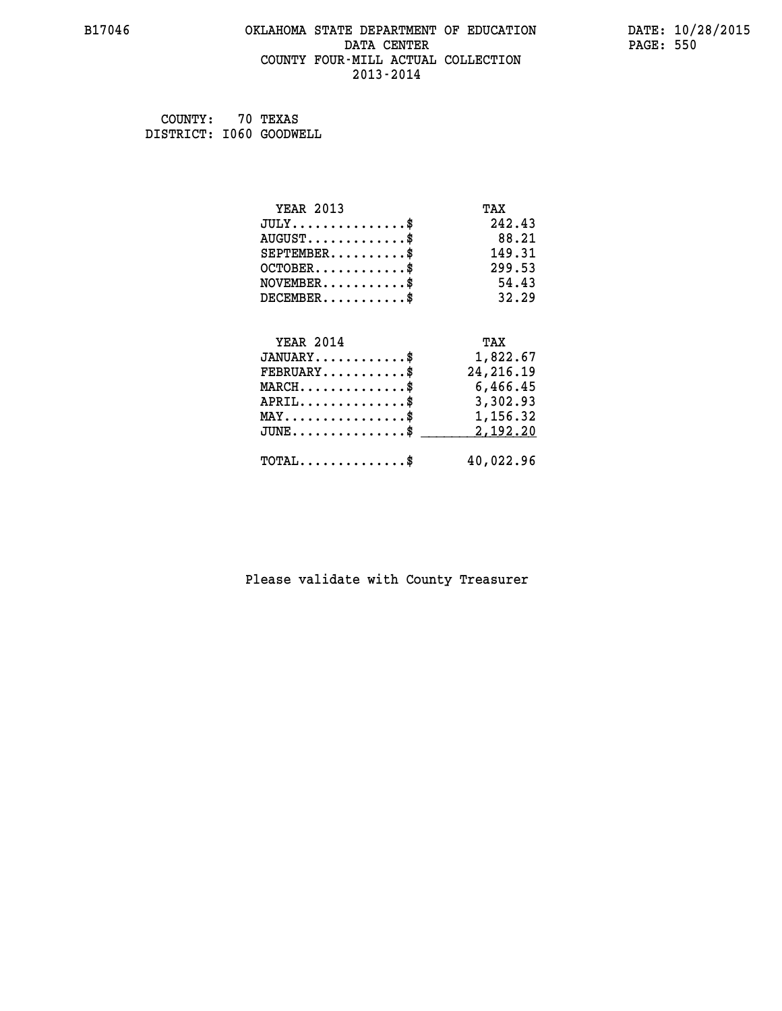# **B17046 OKLAHOMA STATE DEPARTMENT OF EDUCATION DATE: 10/28/2015 DATA CENTER** PAGE: 550  **COUNTY FOUR-MILL ACTUAL COLLECTION 2013-2014**

 **COUNTY: 70 TEXAS DISTRICT: I060 GOODWELL**

| <b>YEAR 2013</b>                                | TAX         |
|-------------------------------------------------|-------------|
| $JULY$ \$                                       | 242.43      |
| $AUGUST$ \$                                     | 88.21       |
| $SEPTEMBER$ \$                                  | 149.31      |
| $OCTOBER$ \$                                    | 299.53      |
| $NOVEMBER$ \$                                   | 54.43       |
| $DECEMBER$ \$                                   | 32.29       |
|                                                 |             |
| <b>YEAR 2014</b>                                | TAX         |
| $JANUARY$                                       | 1,822.67    |
| $FEBRUARY$                                      | 24, 216. 19 |
| $MARCH$ \$                                      | 6,466.45    |
| $APRIL \ldots \ldots \ldots \ldots$             | 3,302.93    |
| $\texttt{MAX} \dots \dots \dots \dots \dots \$$ | 1,156.32    |
| $JUNE$ \$                                       | 2,192.20    |
| $\texttt{TOTAL} \dots \dots \dots \dots \$      | 40,022.96   |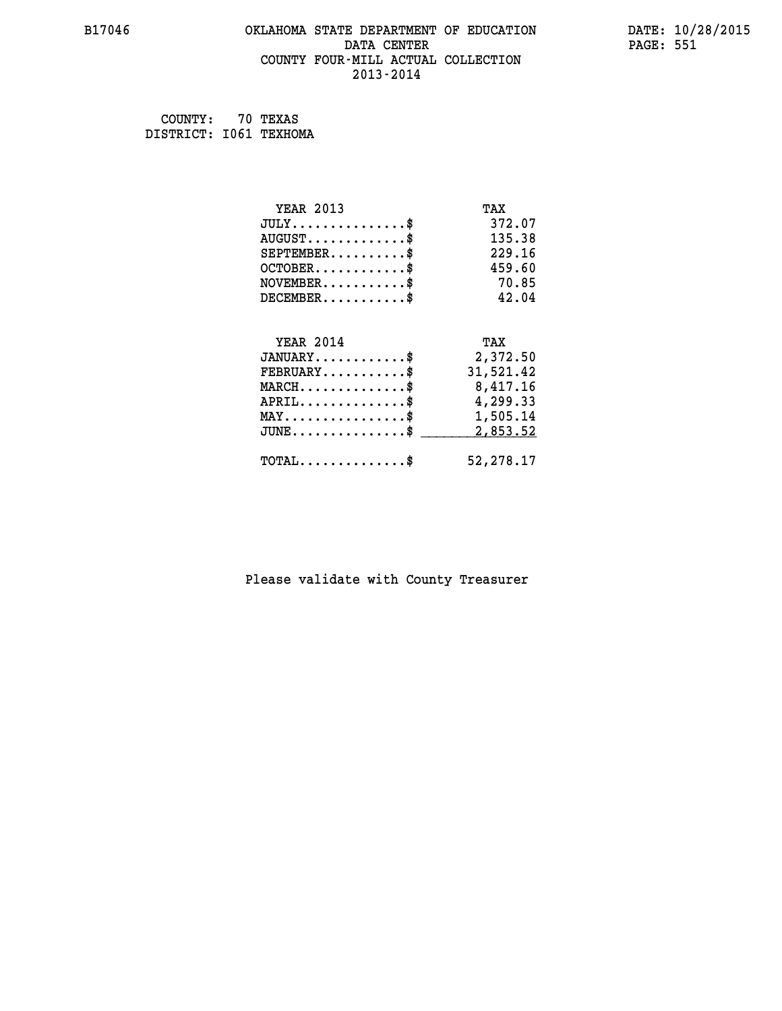# **B17046 OKLAHOMA STATE DEPARTMENT OF EDUCATION DATE: 10/28/2015 DATA CENTER PAGE: 551 COUNTY FOUR-MILL ACTUAL COLLECTION 2013-2014**

 **COUNTY: 70 TEXAS DISTRICT: I061 TEXHOMA**

| <b>YEAR 2013</b>                                 | TAX       |
|--------------------------------------------------|-----------|
| $JULY$ \$                                        | 372.07    |
| $AUGUST$ \$                                      | 135.38    |
| $SEPTEMBER$ \$                                   | 229.16    |
| $OCTOBER$ \$                                     | 459.60    |
| $NOVEMBER$ \$                                    | 70.85     |
| $DECEMBER$ \$                                    | 42.04     |
|                                                  |           |
| <b>YEAR 2014</b>                                 | TAX       |
| $JANUARY$                                        | 2,372.50  |
| $FEBRUARY$                                       | 31,521.42 |
| $MARCH$ \$                                       | 8,417.16  |
| $APRIL \ldots \ldots \ldots \ldots \$            | 4,299.33  |
| MAY\$ 1,505.14                                   |           |
| $\texttt{JUNE} \dots \dots \dots \dots \dots \$$ | 2,853.52  |
| $\texttt{TOTAL} \dots \dots \dots \dots \$       | 52,278.17 |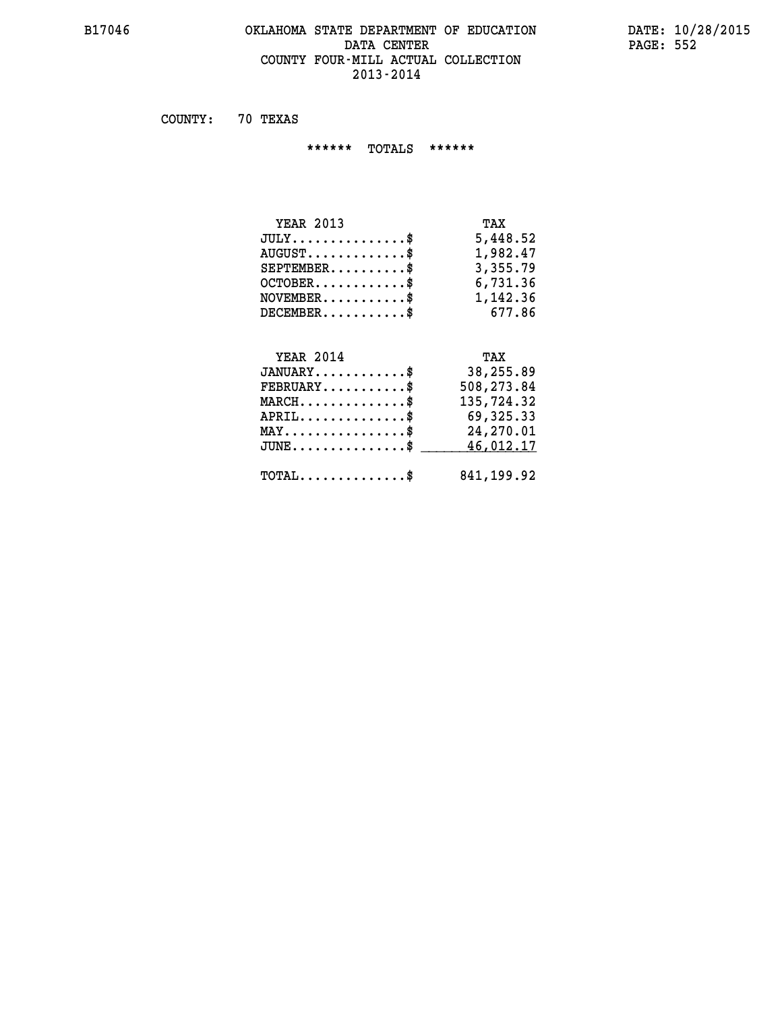# **B17046 OKLAHOMA STATE DEPARTMENT OF EDUCATION DATE: 10/28/2015** DATA CENTER PAGE: 552  **COUNTY FOUR-MILL ACTUAL COLLECTION 2013-2014**

 **COUNTY: 70 TEXAS**

 **\*\*\*\*\*\* TOTALS \*\*\*\*\*\***

| <b>YEAR 2013</b>              | TAX      |
|-------------------------------|----------|
| $JULY \ldots \ldots \ldots \$ | 5,448.52 |
| $AUGUST$                      | 1,982.47 |
| $SEPTEMBER$                   | 3,355.79 |
| $OCTOBER$ \$                  | 6,731.36 |
| $NOVEMBER$ \$                 | 1,142.36 |
| $DECEMBER$ \$                 | 677.86   |

# **YEAR 2014 TAX**

| $JANUARY$                                    | 38,255.89  |
|----------------------------------------------|------------|
| $\texttt{FEBRUARY} \dots \dots \dots \$      | 508,273.84 |
| $MARCH$ \$                                   | 135,724.32 |
| $APRIL$ \$                                   | 69,325.33  |
| $MAX \dots \dots \dots \dots \dots \$        | 24,270.01  |
| $JUNE$ \$                                    | 46,012.17  |
| $\text{TOTAL} \dots \dots \dots \dots \dots$ | 841,199.92 |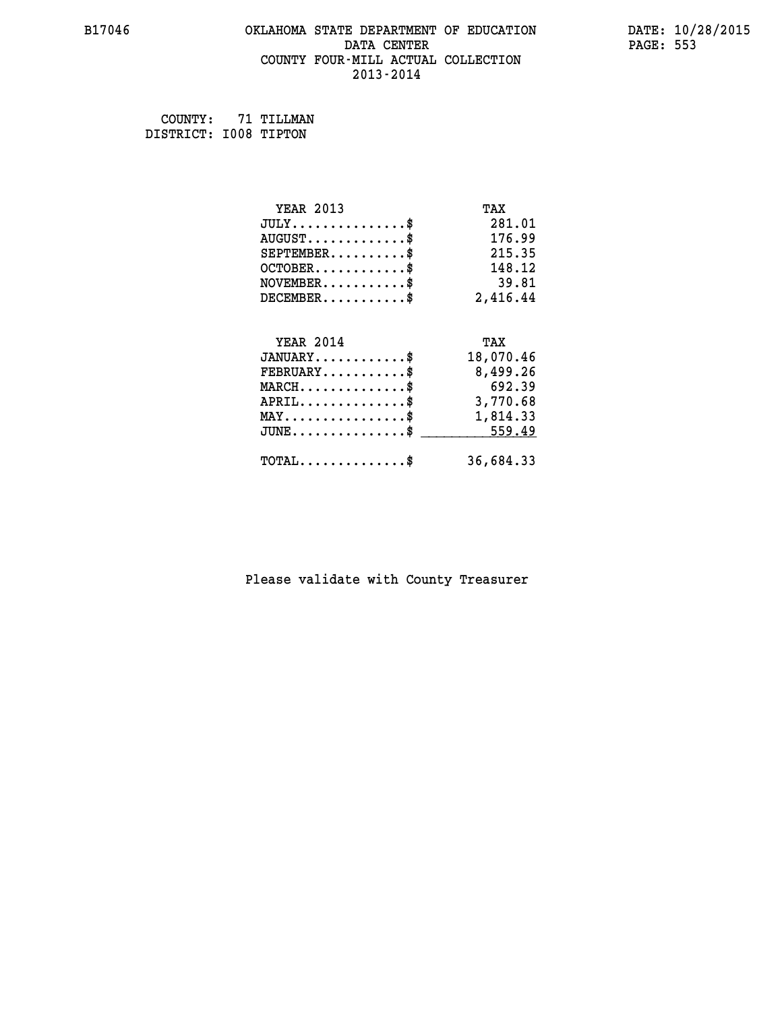# **B17046 OKLAHOMA STATE DEPARTMENT OF EDUCATION DATE: 10/28/2015** DATA CENTER PAGE: 553  **COUNTY FOUR-MILL ACTUAL COLLECTION 2013-2014**

 **COUNTY: 71 TILLMAN DISTRICT: I008 TIPTON**

| <b>YEAR 2013</b>                                 | TAX       |
|--------------------------------------------------|-----------|
| $JULY$ \$                                        | 281.01    |
| $AUGUST$ \$                                      | 176.99    |
| $SEPTEMBER$ \$                                   | 215.35    |
| $OCTOBER$ \$                                     | 148.12    |
| $NOVEMBER.$ \$                                   | 39.81     |
| $DECEMBER$ \$                                    | 2,416.44  |
|                                                  |           |
| <b>YEAR 2014</b>                                 | TAX       |
| $JANUARY$ \$                                     | 18,070.46 |
| $FEBRUARY$                                       | 8,499.26  |
| $MARCH$ \$                                       | 692.39    |
| $APRIL \ldots \ldots \ldots \ldots \$            | 3,770.68  |
| $\texttt{MAX} \dots \dots \dots \dots \dots \$   | 1,814.33  |
| $\texttt{JUNE} \dots \dots \dots \dots \dots \$$ | 559.49    |
| $\texttt{TOTAL} \dots \dots \dots \dots \$       | 36,684.33 |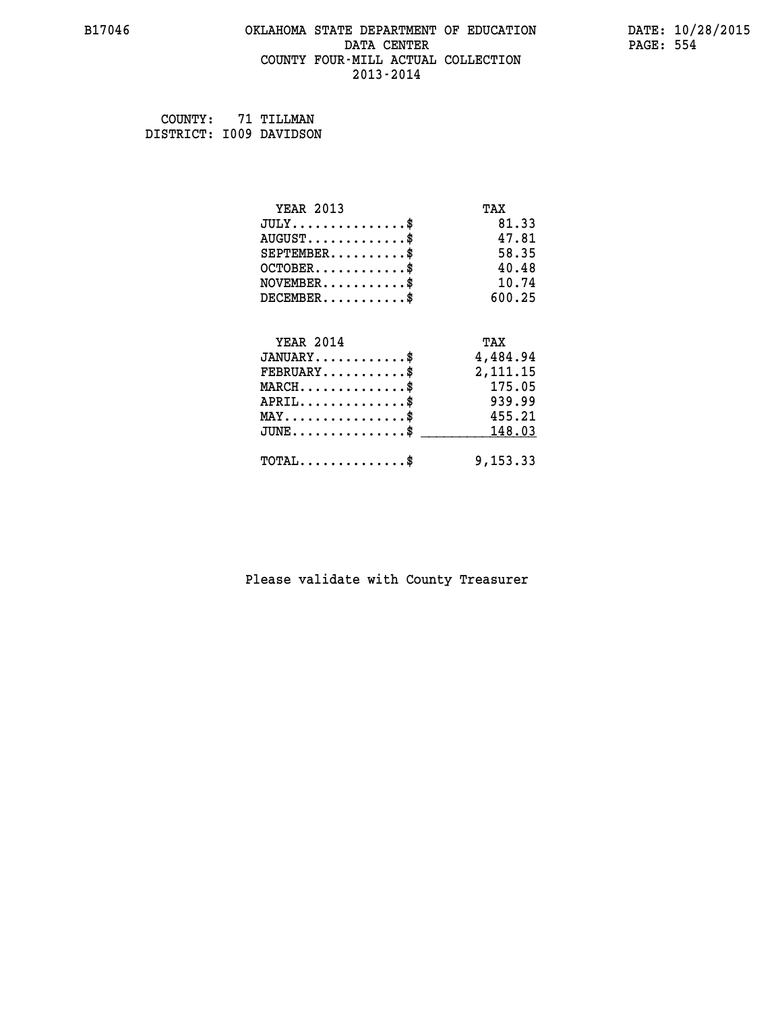#### **B17046 OKLAHOMA STATE DEPARTMENT OF EDUCATION DATE: 10/28/2015 DATA CENTER** PAGE: 554  **COUNTY FOUR-MILL ACTUAL COLLECTION 2013-2014**

| COUNTY:                 | 71 TILLMAN |
|-------------------------|------------|
| DISTRICT: 1009 DAVIDSON |            |

| <b>YEAR 2013</b>                           | TAX      |
|--------------------------------------------|----------|
| $JULY$ \$                                  | 81.33    |
| $AUGUST$ \$                                | 47.81    |
| $SEPTEMENT.$ \$                            | 58.35    |
| $OCTOBER$ \$                               | 40.48    |
| $NOVEMBER$ \$                              | 10.74    |
| $DECEMBER$ \$                              | 600.25   |
|                                            |          |
| <b>YEAR 2014</b>                           | TAX      |
| $JANUARY$                                  | 4,484.94 |
| $FEBRUARY$ \$                              | 2,111.15 |
| $MARCH$ \$                                 | 175.05   |
| $APRIL$ \$                                 | 939.99   |
| $MAX \dots \dots \dots \dots \$            | 455.21   |
| $JUNE$ \$                                  | 148.03   |
| $\texttt{TOTAL} \dots \dots \dots \dots \$ | 9,153.33 |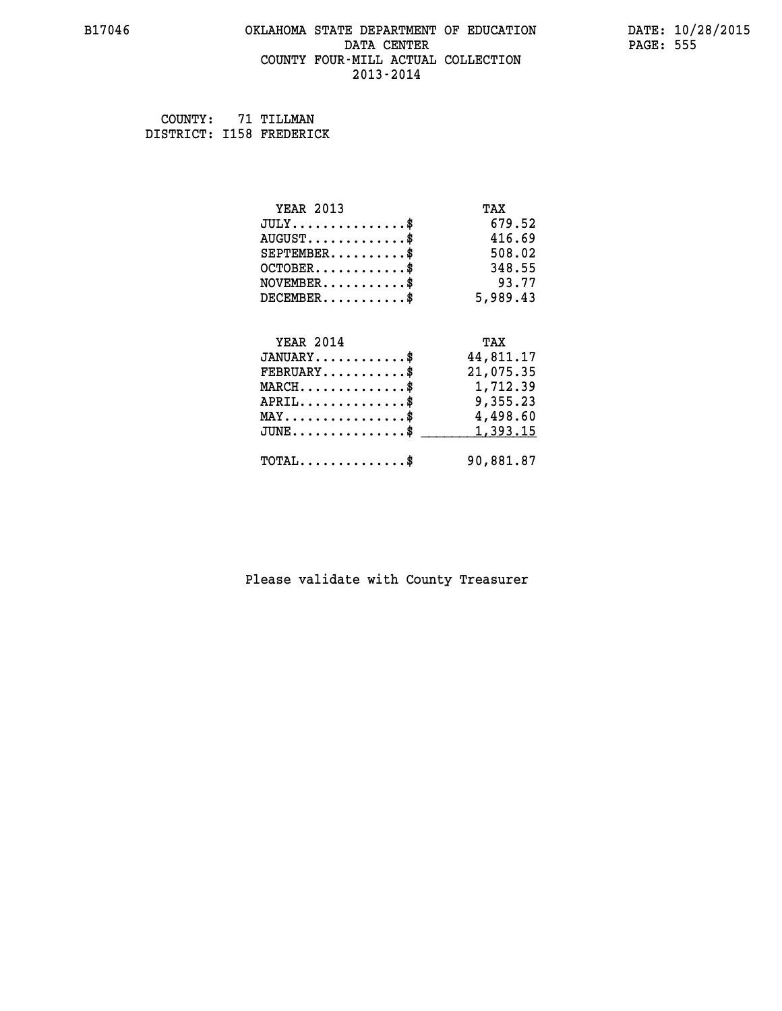# **B17046 OKLAHOMA STATE DEPARTMENT OF EDUCATION DATE: 10/28/2015 DATA CENTER** PAGE: 555  **COUNTY FOUR-MILL ACTUAL COLLECTION 2013-2014**

 **COUNTY: 71 TILLMAN DISTRICT: I158 FREDERICK**

| <b>YEAR 2013</b>                                  | TAX       |
|---------------------------------------------------|-----------|
| $JULY$ \$                                         | 679.52    |
| $AUGUST$ \$                                       | 416.69    |
| $SEPTEMBER$ \$                                    | 508.02    |
| $OCTOBER$ \$                                      | 348.55    |
| $NOVEMBER$ \$                                     | 93.77     |
| $DECEMBER$ \$                                     | 5,989.43  |
|                                                   |           |
| <b>YEAR 2014</b>                                  | TAX       |
| $JANUARY$                                         | 44,811.17 |
| $FEBRUARY$                                        | 21,075.35 |
| $\texttt{MARCH}\ldots\ldots\ldots\ldots\text{\$}$ | 1,712.39  |
| $APRIL \ldots \ldots \ldots \ldots \$             | 9,355.23  |
| $\texttt{MAX} \dots \dots \dots \dots \dots \$    | 4,498.60  |
| $\texttt{JUNE} \dots \dots \dots \dots \dots \$$  | 1,393.15  |
| $\texttt{TOTAL} \dots \dots \dots \dots \$        | 90,881.87 |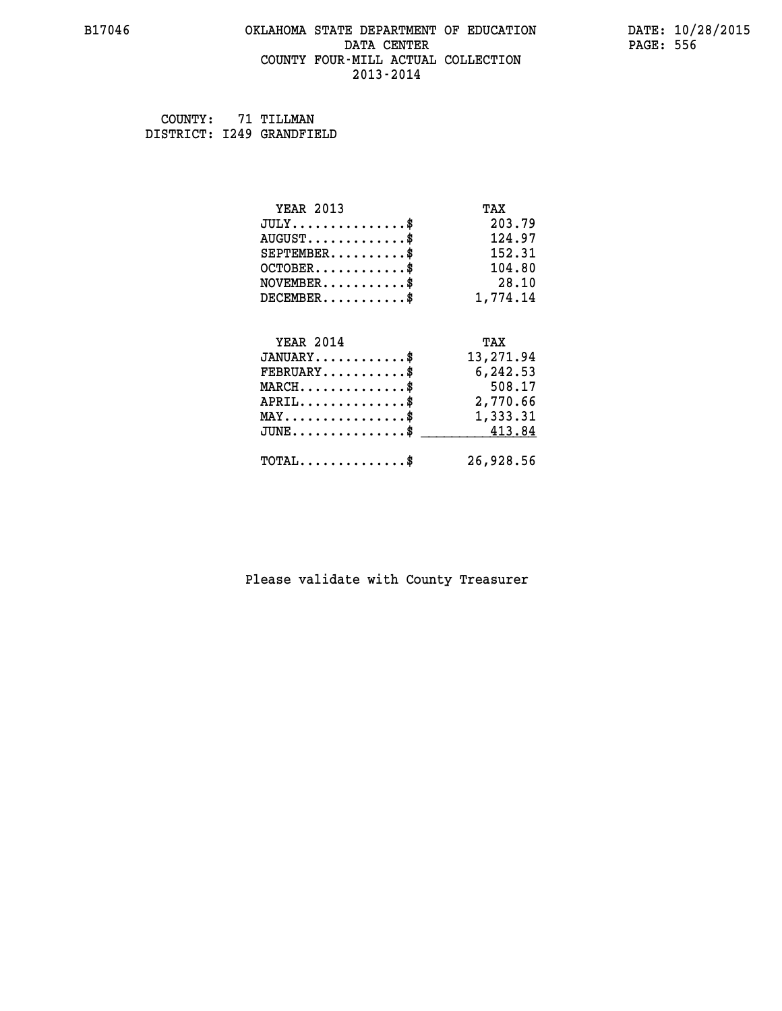# **B17046 OKLAHOMA STATE DEPARTMENT OF EDUCATION DATE: 10/28/2015 DATA CENTER** PAGE: 556  **COUNTY FOUR-MILL ACTUAL COLLECTION 2013-2014**

 **COUNTY: 71 TILLMAN DISTRICT: I249 GRANDFIELD**

| <b>YEAR 2013</b>                                 | TAX       |
|--------------------------------------------------|-----------|
| $JULY$ \$                                        | 203.79    |
| $AUGUST$ \$                                      | 124.97    |
| $SEPTEMBER$ \$                                   | 152.31    |
| $OCTOBER$ \$                                     | 104.80    |
| $NOVEMBER$ \$                                    | 28.10     |
| $DECEMBER$ \$                                    | 1,774.14  |
|                                                  |           |
| <b>YEAR 2014</b>                                 | TAX       |
| $JANUARY$ \$                                     | 13,271.94 |
| $FEBRUARY$                                       | 6,242.53  |
| $MARCH$ \$                                       | 508.17    |
| $APRIL \ldots \ldots \ldots \ldots \$            | 2,770.66  |
| $\texttt{MAX} \dots \dots \dots \dots \dots \$   | 1,333.31  |
| $\texttt{JUNE} \dots \dots \dots \dots \dots \$$ | 413.84    |
| $\texttt{TOTAL} \dots \dots \dots \dots \$       | 26,928.56 |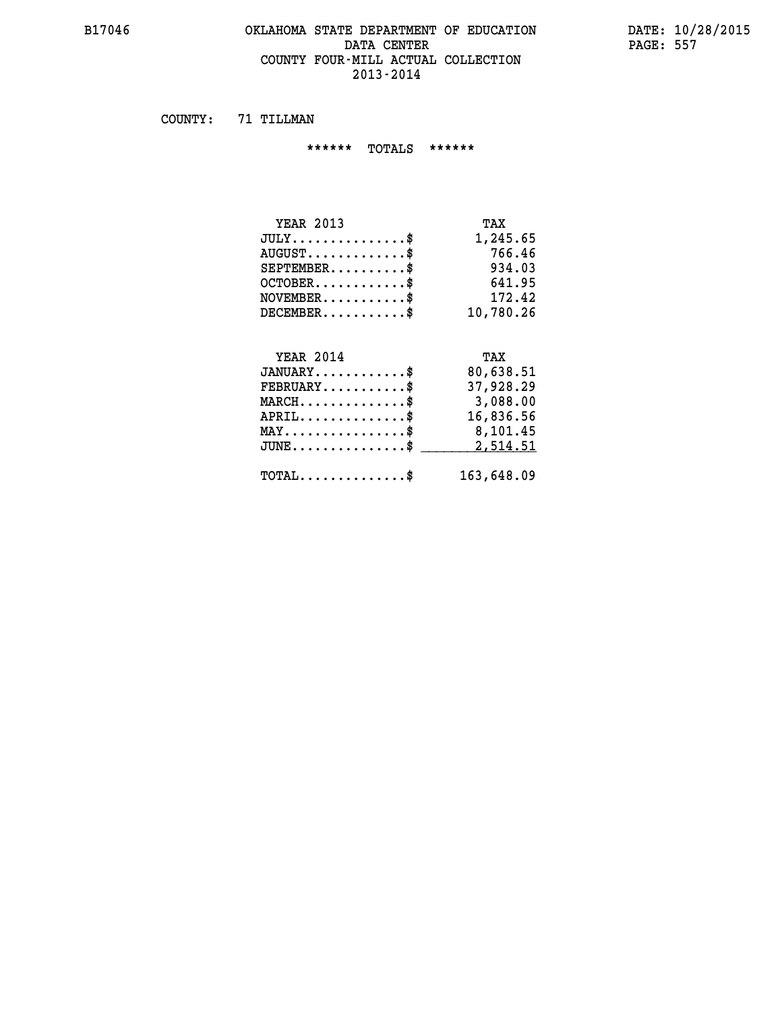#### **B17046 OKLAHOMA STATE DEPARTMENT OF EDUCATION DATE: 10/28/2015 DATA CENTER** PAGE: 557  **COUNTY FOUR-MILL ACTUAL COLLECTION 2013-2014**

 **COUNTY: 71 TILLMAN**

 **\*\*\*\*\*\* TOTALS \*\*\*\*\*\***

| <b>YEAR 2013</b>                     | TAX       |
|--------------------------------------|-----------|
| $JULY \ldots \ldots \ldots \ldots \$ | 1,245.65  |
| $AUGUST$ \$                          | 766.46    |
| $SEPTEMBER$ \$                       | 934.03    |
| $OCTOBER$ \$                         | 641.95    |
| $NOVEMBER$ \$                        | 172.42    |
| $DECEMBER$ \$                        | 10,780.26 |
|                                      |           |

# **YEAR 2014 TAX**

| $JANUARY$                                           | 80,638.51  |
|-----------------------------------------------------|------------|
| $\texttt{FEBRUARY} \dots \dots \dots \dots \$       | 37,928.29  |
| $MARCH$ \$                                          | 3,088.00   |
| $APRIL$ \$                                          | 16,836.56  |
| $MAX \dots \dots \dots \dots \dots \$               | 8,101.45   |
| $JUNE \dots \dots \dots \dots \$ 2,514.51           |            |
| $\texttt{TOTAL} \dots \dots \dots \dots \texttt{S}$ | 163,648.09 |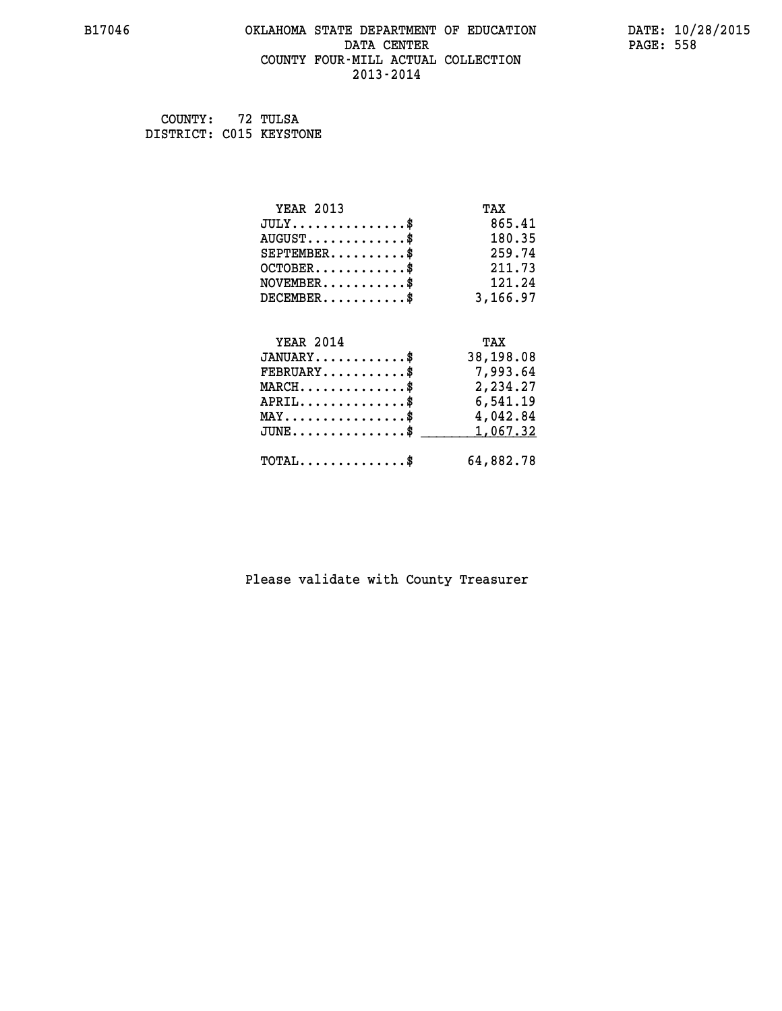# **B17046 OKLAHOMA STATE DEPARTMENT OF EDUCATION DATE: 10/28/2015 DATA CENTER** PAGE: 558  **COUNTY FOUR-MILL ACTUAL COLLECTION 2013-2014**

 **COUNTY: 72 TULSA DISTRICT: C015 KEYSTONE**

| <b>YEAR 2013</b>                                  | TAX       |
|---------------------------------------------------|-----------|
| $JULY$ \$                                         | 865.41    |
| $AUGUST$ \$                                       | 180.35    |
| $SEPTEMBER$ \$                                    | 259.74    |
| $OCTOBER$ \$                                      | 211.73    |
| $\texttt{NOVEMBER} \dots \dots \dots \$           | 121.24    |
| $DECEMBER$ \$                                     | 3,166.97  |
|                                                   |           |
| <b>YEAR 2014</b>                                  | TAX       |
| $JANUARY$ \$                                      | 38,198.08 |
| $\texttt{FEBRUARY} \dots \dots \dots \$           | 7,993.64  |
| $\texttt{MARCH}\ldots\ldots\ldots\ldots\clubsuit$ | 2,234.27  |
| $APRIL \ldots \ldots \ldots \ldots \$             | 6,541.19  |
| $\texttt{MAX} \dots \dots \dots \dots \dots \$    | 4,042.84  |
| $\texttt{JUNE} \dots \dots \dots \dots \dots \$$  | 1,067.32  |
| $\texttt{TOTAL} \dots \dots \dots \dots \$        | 64,882.78 |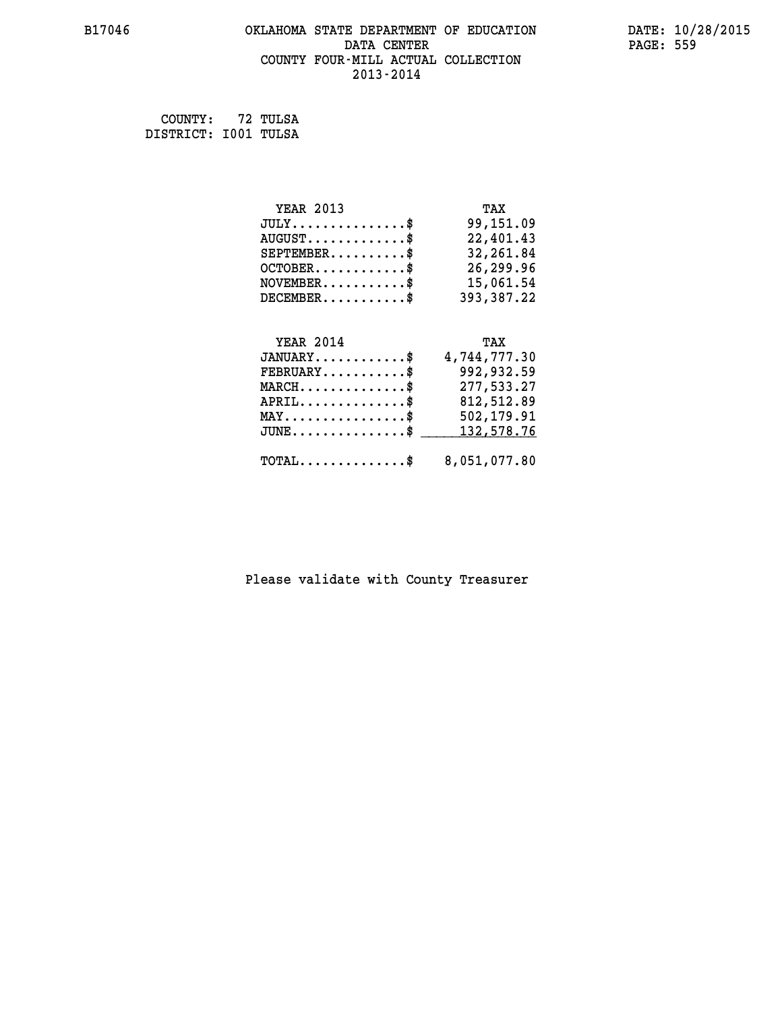# **B17046 OKLAHOMA STATE DEPARTMENT OF EDUCATION DATE: 10/28/2015** DATA CENTER PAGE: 559  **COUNTY FOUR-MILL ACTUAL COLLECTION 2013-2014**

 **COUNTY: 72 TULSA DISTRICT: I001 TULSA**

| <b>YEAR 2013</b>                     | TAX          |
|--------------------------------------|--------------|
| $JULY$ \$                            | 99,151.09    |
| $AUGUST$ \$                          | 22,401.43    |
| $SEPTEMENT.$ \$                      | 32,261.84    |
| $OCTOBER$ \$                         | 26,299.96    |
| $NOVEMBER.$ \$                       | 15,061.54    |
| $DECEMBER$ \$                        | 393,387.22   |
|                                      |              |
| <b>YEAR 2014</b>                     | TAX          |
| $JANUARY$ \$                         | 4,744,777.30 |
| $FEBRUARY$                           | 992,932.59   |
| $MARCH$ \$                           | 277,533.27   |
| $APRIL$ \$                           | 812,512.89   |
| $MAX \dots \dots \dots \dots \dots$  | 502,179.91   |
| $JUNE \ldots \ldots \ldots \ldots \$ | 132,578.76   |

 **TOTAL..............\$ 8,051,077.80**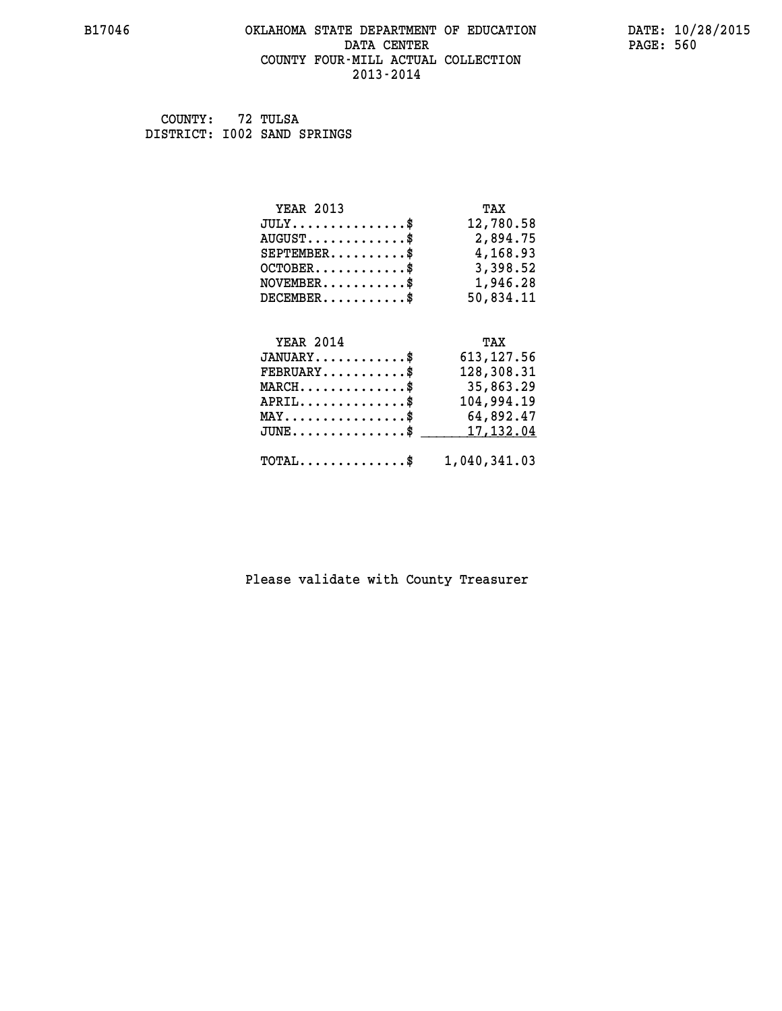# **B17046 OKLAHOMA STATE DEPARTMENT OF EDUCATION DATE: 10/28/2015 DATA CENTER** PAGE: 560  **COUNTY FOUR-MILL ACTUAL COLLECTION 2013-2014**

 **COUNTY: 72 TULSA DISTRICT: I002 SAND SPRINGS**

| <b>YEAR 2013</b>                               | TAX          |
|------------------------------------------------|--------------|
| $JULY$ \$                                      | 12,780.58    |
| $AUGUST$ \$                                    | 2,894.75     |
| $SEPTEMBER$ \$                                 | 4,168.93     |
| $OCTOBER$ \$                                   | 3,398.52     |
| $NOVEMBER.$ \$                                 | 1,946.28     |
| $DECEMBER$ \$                                  | 50,834.11    |
|                                                |              |
| <b>YEAR 2014</b>                               | TAX          |
| $JANUARY$ \$                                   | 613, 127.56  |
| $FEBRUARY$ \$                                  | 128,308.31   |
| $MARCH \ldots \ldots \ldots \ldots \$          | 35,863.29    |
| $APRIL$ \$                                     | 104,994.19   |
| $\texttt{MAX} \dots \dots \dots \dots \dots \$ | 64,892.47    |
| $JUNE$ \$                                      | 17,132.04    |
| $\texttt{TOTAL} \dots \dots \dots \dots \$     | 1,040,341.03 |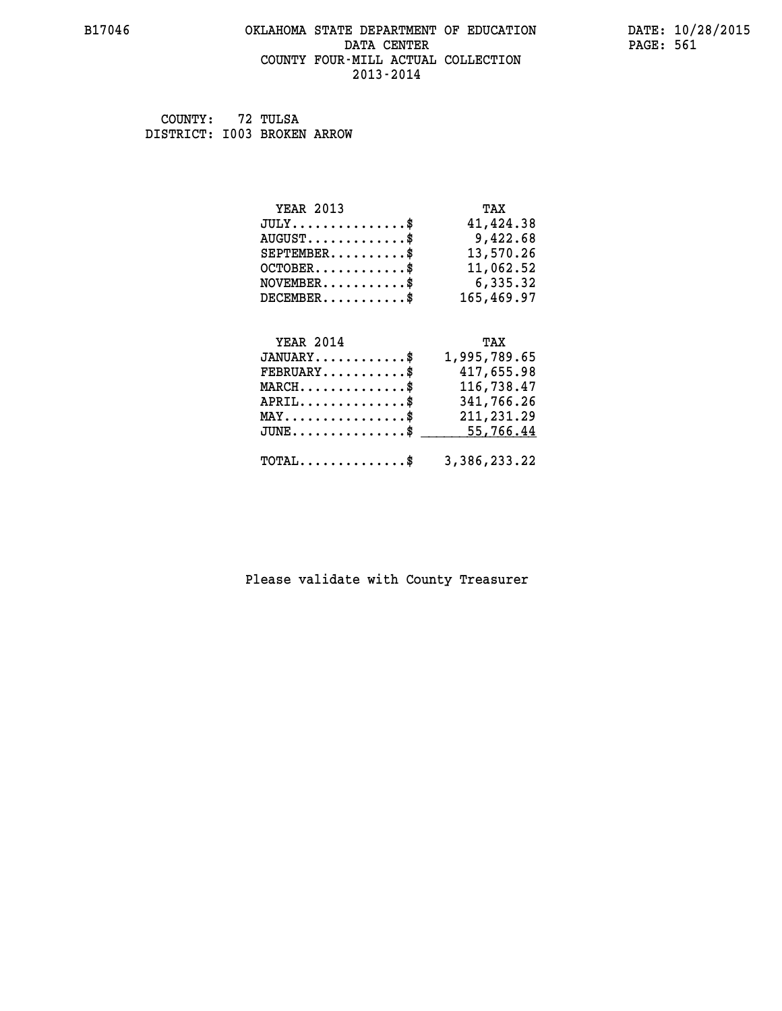# **B17046 OKLAHOMA STATE DEPARTMENT OF EDUCATION DATE: 10/28/2015 DATA CENTER** PAGE: 561  **COUNTY FOUR-MILL ACTUAL COLLECTION 2013-2014**

 **COUNTY: 72 TULSA DISTRICT: I003 BROKEN ARROW**

| <b>YEAR 2013</b>              | TAX        |
|-------------------------------|------------|
| $JULY \ldots \ldots \ldots \$ | 41,424.38  |
| $AUGUST$ \$                   | 9,422.68   |
| $SEPTEMBER$ \$                | 13,570.26  |
| $OCTOBER$ \$                  | 11,062.52  |
| $NOVEMBER$ \$                 | 6,335.32   |
| $DECEMBER$ \$                 | 165,469.97 |
| YEAR 2014                     | TAX        |

|                                                         | .            |
|---------------------------------------------------------|--------------|
| $JANUARY$ \$                                            | 1,995,789.65 |
| $FEBRUARY$                                              | 417,655.98   |
| $MARCH$                                                 | 116,738.47   |
| $APRIL$ \$                                              | 341,766.26   |
| $MAX \dots \dots \dots \dots \dots \$                   | 211,231.29   |
| $JUNE \ldots \ldots \ldots \ldots$ \$ 55,766.44         |              |
|                                                         |              |
| $\texttt{TOTAL} \dots \dots \dots \dots \$ 3,386,233.22 |              |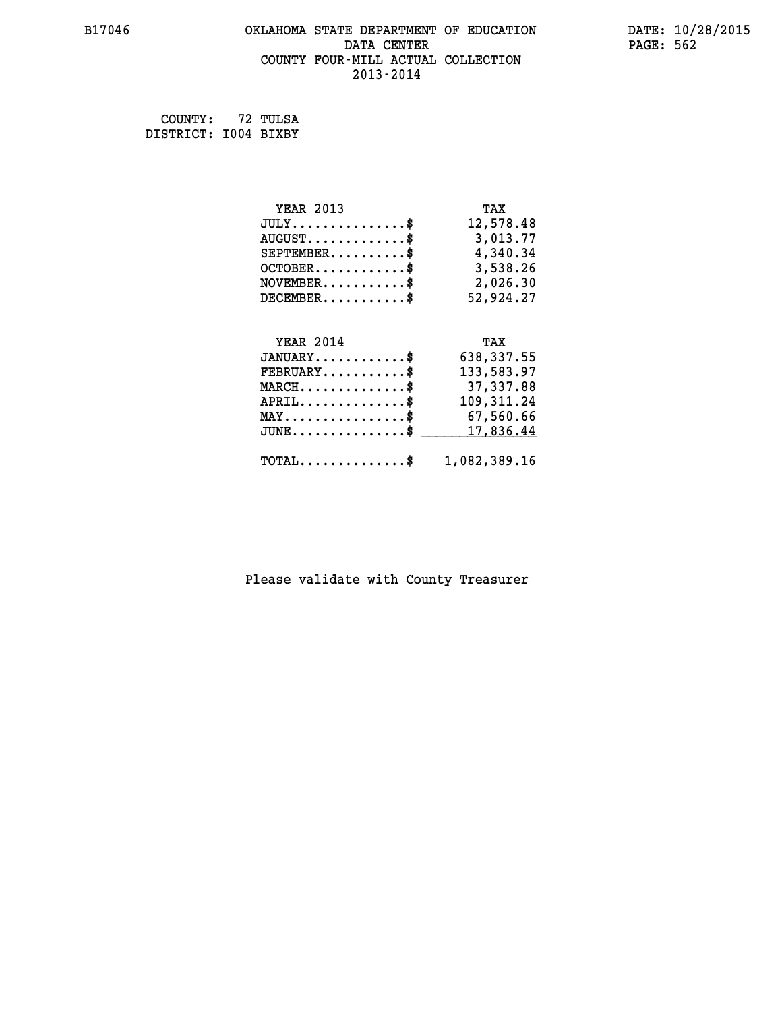# **B17046 OKLAHOMA STATE DEPARTMENT OF EDUCATION DATE: 10/28/2015 DATA CENTER PAGE: 562 COUNTY FOUR-MILL ACTUAL COLLECTION 2013-2014**

 **COUNTY: 72 TULSA DISTRICT: I004 BIXBY**

| <b>YEAR 2013</b>                               | TAX          |
|------------------------------------------------|--------------|
| $JULY$ \$                                      | 12,578.48    |
| $AUGUST$ \$                                    | 3,013.77     |
| $SEPTEMENT.$ \$                                | 4,340.34     |
| $OCTOBER$ \$                                   | 3,538.26     |
| $NOVEMBER.$ \$                                 | 2,026.30     |
| $DECEMBER$ \$                                  | 52,924.27    |
|                                                |              |
| <b>YEAR 2014</b>                               | TAX          |
| $JANUARY$ \$                                   | 638,337.55   |
| $\texttt{FEBRUARY} \dots \dots \dots \$        | 133,583.97   |
| $MARCH$ \$                                     | 37,337.88    |
| $APRIL$ \$                                     | 109, 311.24  |
| $\texttt{MAX} \dots \dots \dots \dots \dots \$ | 67,560.66    |
| $JUNE$ \$                                      | 17,836.44    |
| $\texttt{TOTAL} \dots \dots \dots \dots$       | 1,082,389.16 |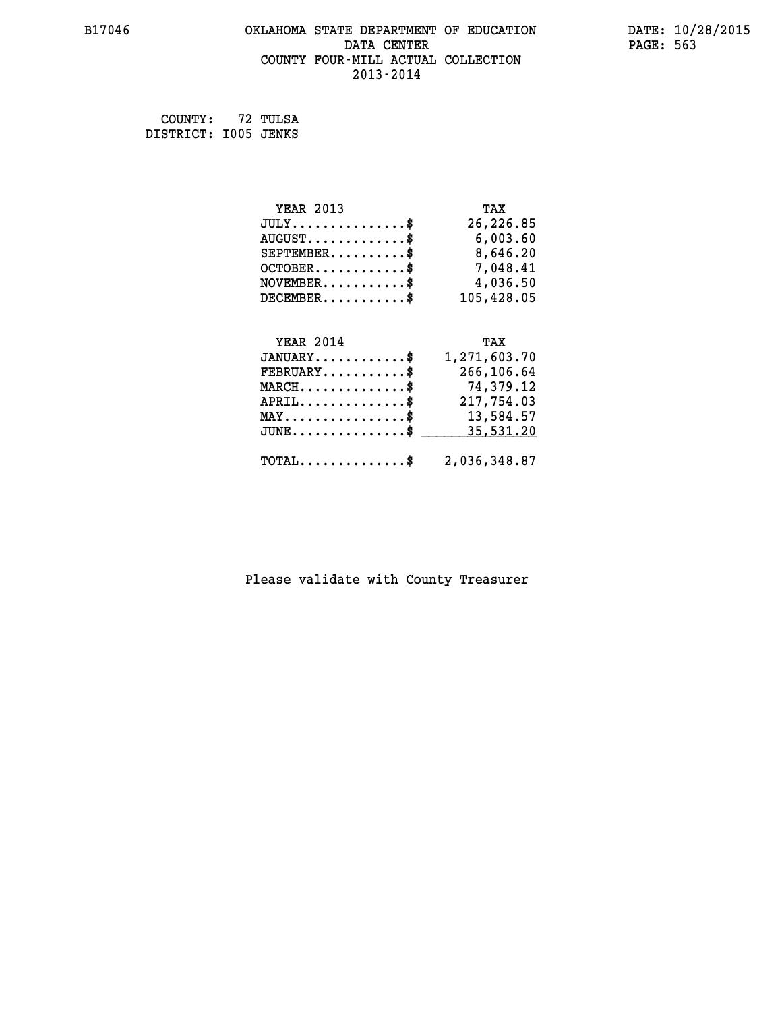# **B17046 OKLAHOMA STATE DEPARTMENT OF EDUCATION DATE: 10/28/2015** DATA CENTER PAGE: 563  **COUNTY FOUR-MILL ACTUAL COLLECTION 2013-2014**

 **COUNTY: 72 TULSA DISTRICT: I005 JENKS**

| <b>YEAR 2013</b> | TAX          |
|------------------|--------------|
| $JULY$ \$        | 26,226.85    |
| $AUGUST$ \$      | 6,003.60     |
| $SEPTEMBER$ \$   | 8,646.20     |
| $OCTOBER$ \$     | 7,048.41     |
| $NOVEMBER$ \$    | 4,036.50     |
| $DECEMBER$ \$    | 105,428.05   |
| <b>YEAR 2014</b> | TAX          |
| $JANUARY$ \$     | 1,271,603.70 |
| ים גזזממים       | 266, 106, 61 |

| $\texttt{FEBRUARY} \dots \dots \dots \dots \$<br>$MARCH$ \$ | 266,106.64<br>74,379.12 |
|-------------------------------------------------------------|-------------------------|
| $APRIL$                                                     | 217,754.03              |
| $\texttt{MAX} \dots \dots \dots \dots \dots \text{*}$       | 13,584.57               |
| $JUNE \dots \dots \dots \dots \$ 35,531.20                  |                         |
| $\texttt{TOTAL} \dots \dots \dots \dots \$ 2,036,348.87     |                         |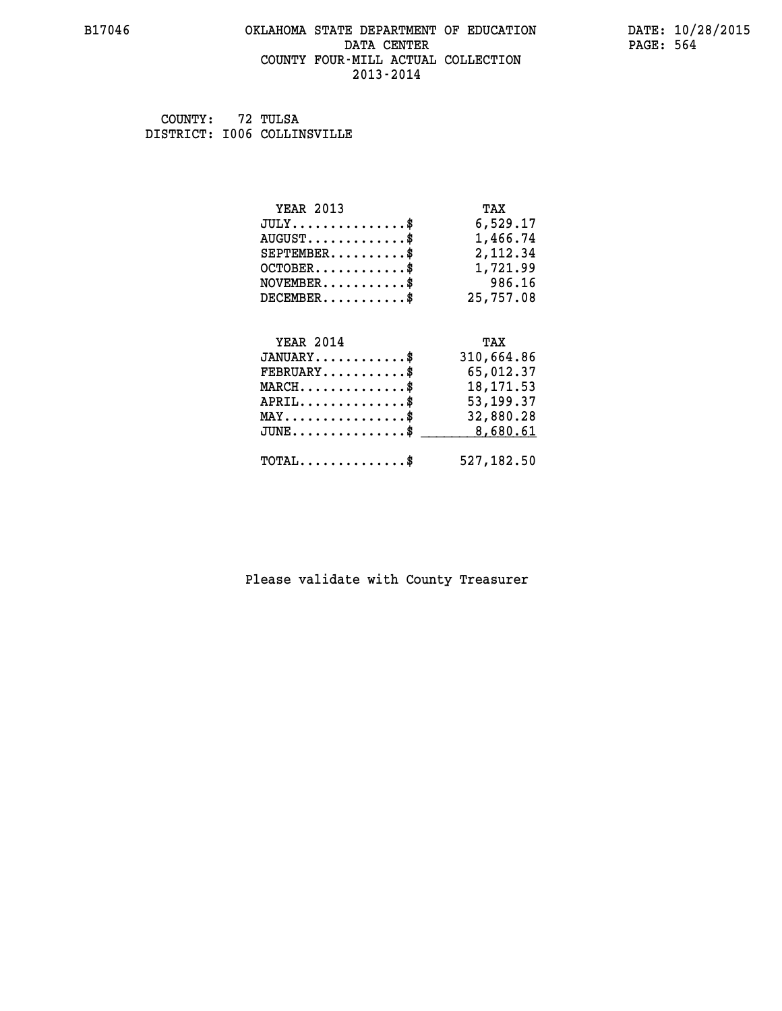# **B17046 OKLAHOMA STATE DEPARTMENT OF EDUCATION DATE: 10/28/2015 DATA CENTER** PAGE: 564  **COUNTY FOUR-MILL ACTUAL COLLECTION 2013-2014**

 **COUNTY: 72 TULSA DISTRICT: I006 COLLINSVILLE**

| <b>YEAR 2013</b>                                | TAX         |
|-------------------------------------------------|-------------|
| $JULY$ \$                                       | 6,529.17    |
| $AUGUST$ \$                                     | 1,466.74    |
| $SEPTEMBER$ \$                                  | 2,112.34    |
| $OCTOBER$ \$                                    | 1,721.99    |
| $NOVEMBER.$ \$                                  | 986.16      |
| $DECEMBER$ \$                                   | 25,757.08   |
|                                                 |             |
| <b>YEAR 2014</b>                                | TAX         |
| $JANUARY$ \$                                    | 310,664.86  |
| $FEBRUARY$ \$                                   | 65,012.37   |
| $\texttt{MARCH}\ldots\ldots\ldots\ldots\cdots\$ | 18, 171.53  |
| $APRIL$ \$                                      | 53, 199. 37 |
| $\texttt{MAX} \dots \dots \dots \dots \dots \$  | 32,880.28   |
| $J\texttt{UNE}\dots\dots\dots\dots\$$           | 8,680.61    |
| $\texttt{TOTAL} \dots \dots \dots \dots$ \$     | 527,182.50  |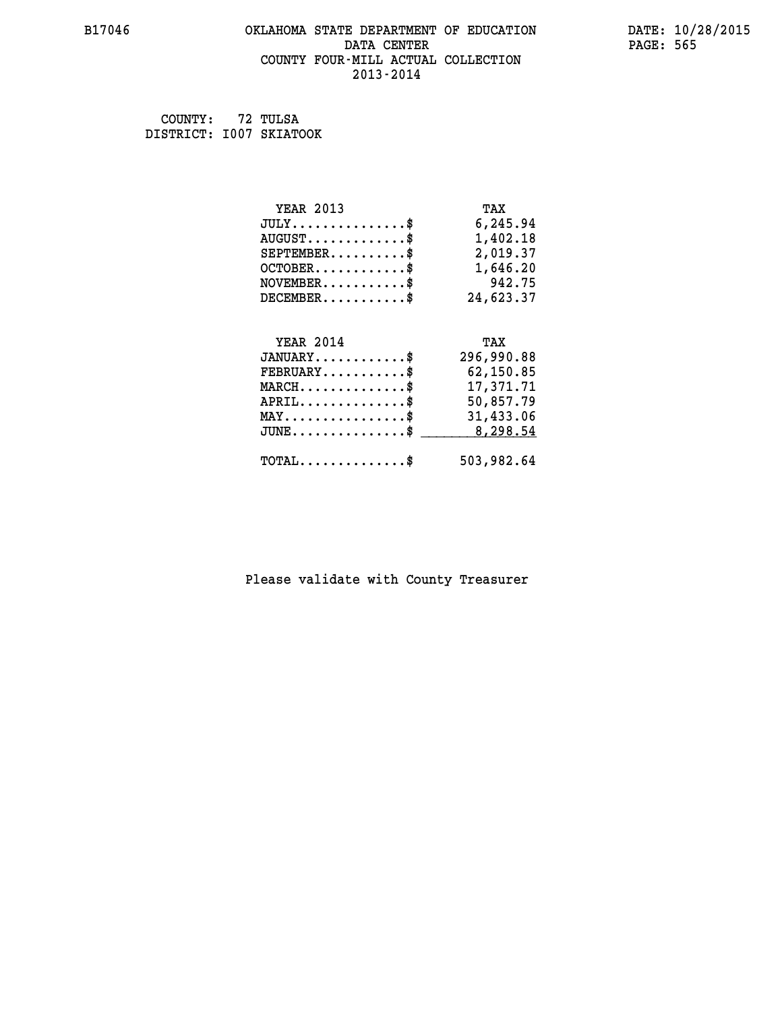# **B17046 OKLAHOMA STATE DEPARTMENT OF EDUCATION DATE: 10/28/2015** DATA CENTER PAGE: 565  **COUNTY FOUR-MILL ACTUAL COLLECTION 2013-2014**

 **COUNTY: 72 TULSA DISTRICT: I007 SKIATOOK**

| <b>YEAR 2013</b>                                 | TAX        |
|--------------------------------------------------|------------|
| $JULY$ \$                                        | 6,245.94   |
| $AUGUST$ \$                                      | 1,402.18   |
| $SEPTEMENT.$ \$                                  | 2,019.37   |
| $OCTOBER \ldots \ldots \ldots$                   | 1,646.20   |
| $\texttt{NOVEMBER} \dots \dots \dots \$          | 942.75     |
| $DECEMBER$ \$                                    | 24,623.37  |
|                                                  |            |
| <b>YEAR 2014</b>                                 | TAX        |
| $JANUARY$ \$                                     | 296,990.88 |
| $FEBRUARY$                                       | 62,150.85  |
| $\texttt{MARCH}\ldots\ldots\ldots\ldots\cdots\$  | 17,371.71  |
| $APRIL \ldots \ldots \ldots \ldots *$            | 50,857.79  |
| $\texttt{MAX} \dots \dots \dots \dots \dots \$   | 31,433.06  |
| $\texttt{JUNE} \dots \dots \dots \dots \dots \$$ | 8,298.54   |
| $\texttt{TOTAL} \dots \dots \dots \dots$ \$      | 503,982.64 |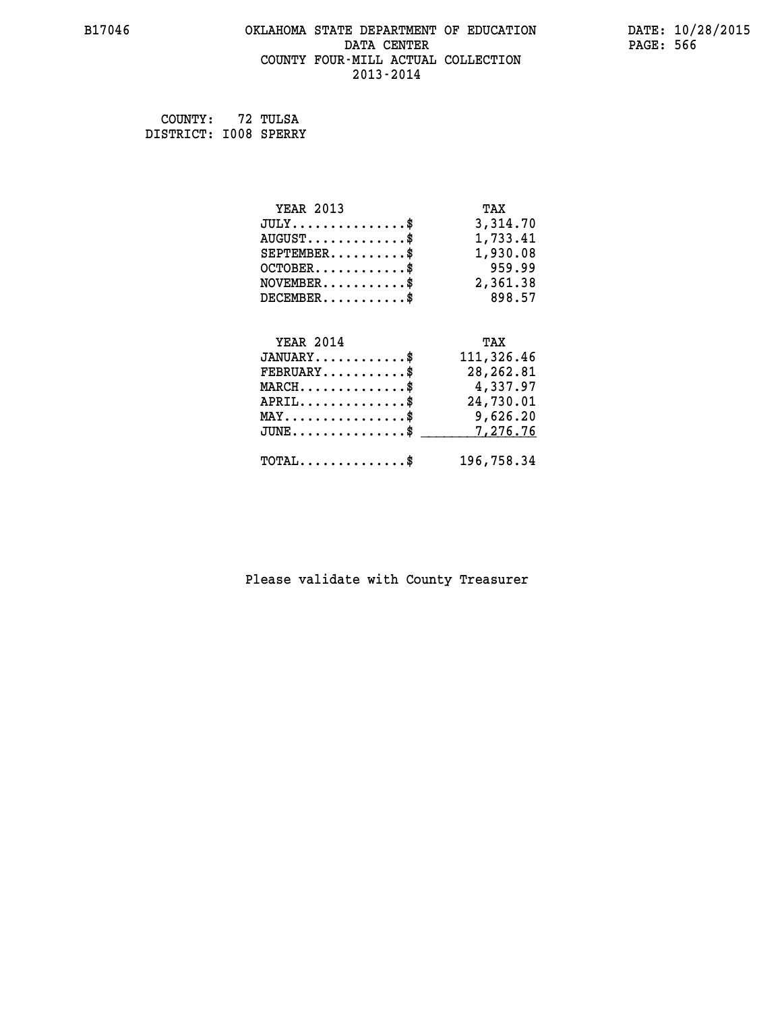# **B17046 OKLAHOMA STATE DEPARTMENT OF EDUCATION DATE: 10/28/2015** DATA CENTER PAGE: 566  **COUNTY FOUR-MILL ACTUAL COLLECTION 2013-2014**

 **COUNTY: 72 TULSA DISTRICT: I008 SPERRY**

| <b>YEAR 2013</b>                               | TAX        |
|------------------------------------------------|------------|
| $JULY$ \$                                      | 3,314.70   |
| $AUGUST$ \$                                    | 1,733.41   |
| $SEPTEMBER$ \$                                 | 1,930.08   |
| $OCTOBER$ \$                                   | 959.99     |
| $NOVEMBER.$ \$                                 | 2,361.38   |
| $DECEMBER$ \$                                  | 898.57     |
|                                                |            |
| <b>YEAR 2014</b>                               | TAX        |
| $JANUARY$ \$                                   | 111,326.46 |
| $FEBRUARY$ \$                                  | 28, 262.81 |
| $MARCH$ \$                                     | 4,337.97   |
| $APRIL$ \$                                     | 24,730.01  |
| $\texttt{MAX} \dots \dots \dots \dots \dots \$ | 9,626.20   |
| $JUNE$ \$                                      | 7,276.76   |
| $\texttt{TOTAL} \dots \dots \dots \dots \$     | 196,758.34 |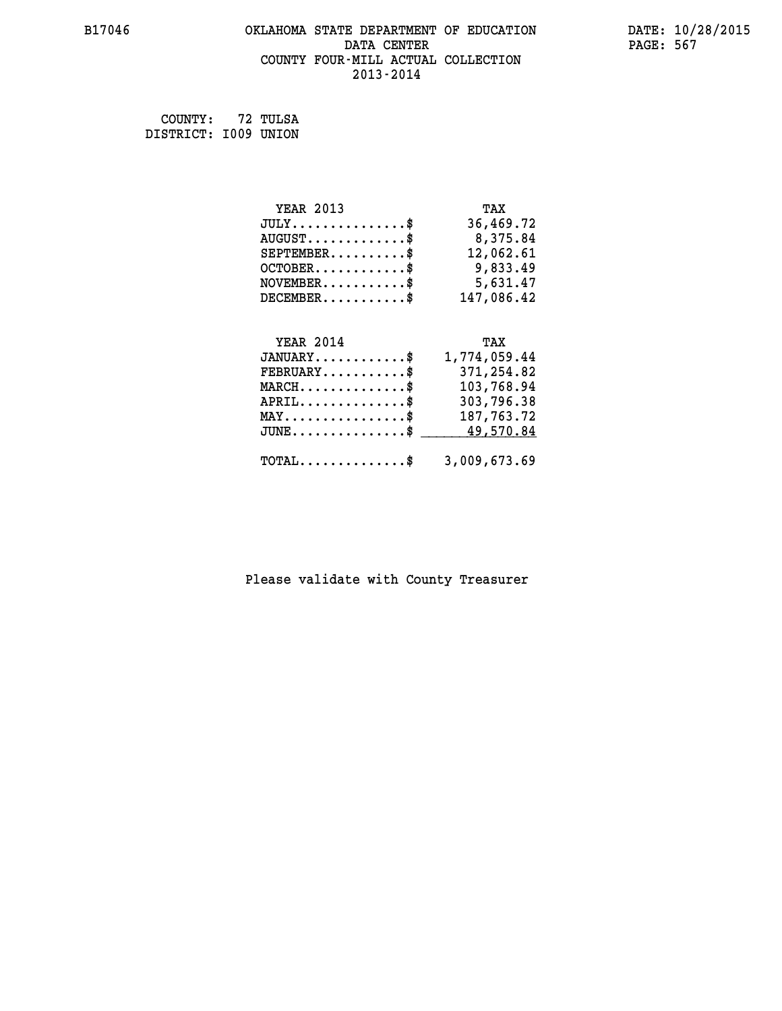# **B17046 OKLAHOMA STATE DEPARTMENT OF EDUCATION DATE: 10/28/2015 DATA CENTER** PAGE: 567  **COUNTY FOUR-MILL ACTUAL COLLECTION 2013-2014**

 **COUNTY: 72 TULSA DISTRICT: I009 UNION**

 **MAY................\$ 187,763.72 JUNE...............\$ 49,570.84 \_\_\_\_\_\_\_\_\_\_\_\_\_\_\_**

| <b>YEAR 2013</b>                            | TAX          |
|---------------------------------------------|--------------|
| $JULY$ \$                                   | 36,469.72    |
| $\texttt{AUGUST} \dots \dots \dots \dots \$ | 8,375.84     |
| $SEPTEMBER$ \$                              | 12,062.61    |
| $OCTOBER$ \$                                | 9,833.49     |
| $NOVEMBER.$ \$                              | 5,631.47     |
| $DECEMBER$ \$                               | 147,086.42   |
|                                             |              |
| <b>YEAR 2014</b>                            | TAX          |
| $JANUARY$ \$                                | 1,774,059.44 |
| $FEBRUARY$ \$                               | 371,254.82   |
| $MARCH$ \$                                  | 103,768.94   |
| $APRIL$                                     | 303,796.38   |

| $\texttt{TOTAL} \dots \dots \dots \dots \$ |  | 3,009,673.69 |
|--------------------------------------------|--|--------------|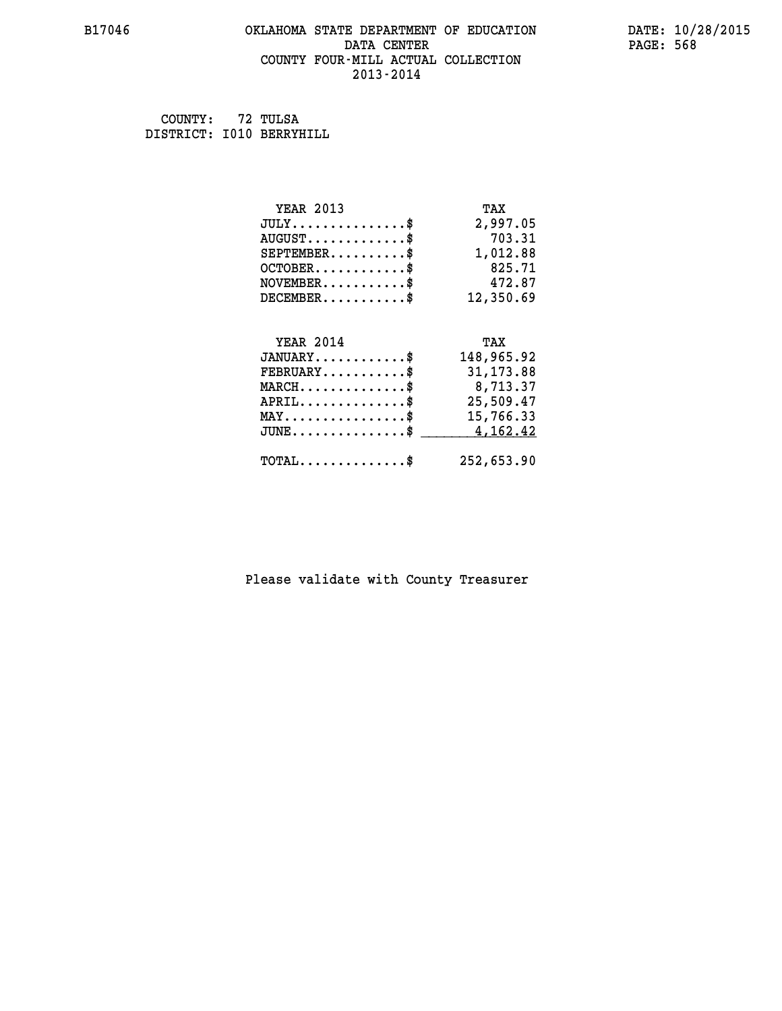# **B17046 OKLAHOMA STATE DEPARTMENT OF EDUCATION DATE: 10/28/2015 DATA CENTER** PAGE: 568  **COUNTY FOUR-MILL ACTUAL COLLECTION 2013-2014**

 **COUNTY: 72 TULSA DISTRICT: I010 BERRYHILL**

| <b>YEAR 2013</b>                             | TAX        |
|----------------------------------------------|------------|
| $JULY$                                       | 2,997.05   |
| $AUGUST$ \$                                  | 703.31     |
| $SEPTEMBER$ \$                               | 1,012.88   |
| $OCTOBER$ \$                                 | 825.71     |
| $NOVEMBER$ \$                                | 472.87     |
| $DECEMBER$ \$                                | 12,350.69  |
| <b>YEAR 2014</b>                             | TAX        |
| $JANUARY$ \$                                 | 148,965.92 |
| $FEBRUARY$ \$                                | 31, 173.88 |
| $MARCH$ \$                                   | 8,713.37   |
| $APRIL$ \$                                   | 25,509.47  |
| $\texttt{MAX} \dots \dots \dots \dots \dots$ | 15,766.33  |
| $JUNE$ \$                                    | 4,162.42   |
| $\texttt{TOTAL} \dots \dots \dots \dots \$   | 252,653.90 |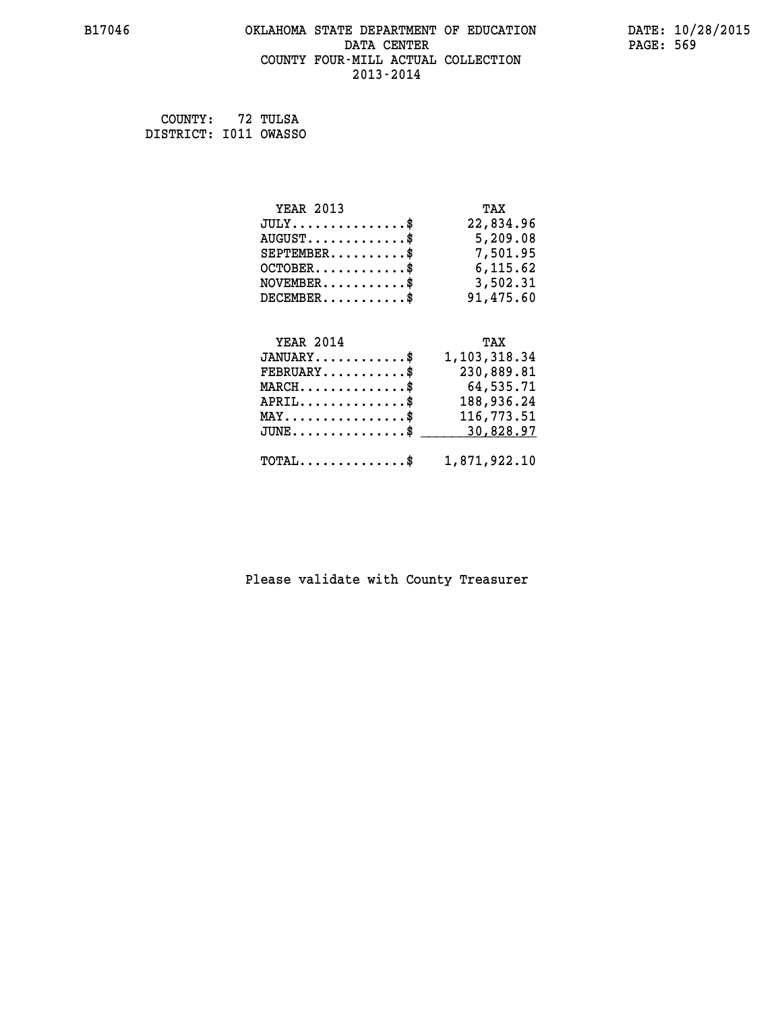# **B17046 OKLAHOMA STATE DEPARTMENT OF EDUCATION DATE: 10/28/2015 DATA CENTER** PAGE: 569  **COUNTY FOUR-MILL ACTUAL COLLECTION 2013-2014**

 **COUNTY: 72 TULSA DISTRICT: I011 OWASSO**

| <b>YEAR 2013</b>                     | TAX          |
|--------------------------------------|--------------|
| $JULY$                               | 22,834.96    |
| $AUGUST$ \$                          | 5,209.08     |
| $SEPTEMBER$ \$                       | 7,501.95     |
| $OCTOBER$ \$                         | 6,115.62     |
| $NOVEMBER.$ \$                       | 3,502.31     |
| $DECEMBER$ \$                        | 91,475.60    |
|                                      |              |
| <b>YEAR 2014</b>                     | TAX          |
| $JANUARY$ \$                         | 1,103,318.34 |
| $FEBRUARY$                           | 230,889.81   |
| $MARCH$ \$                           | 64,535.71    |
| $APRIL$ \$                           | 188,936.24   |
| $MAX \dots \dots \dots \dots \dots$  | 116,773.51   |
| $JUNE \ldots \ldots \ldots \ldots \$ | 30,828.97    |

| $\texttt{TOTAL} \dots \dots \dots \dots \$ | 1,871,922.10 |
|--------------------------------------------|--------------|
|                                            |              |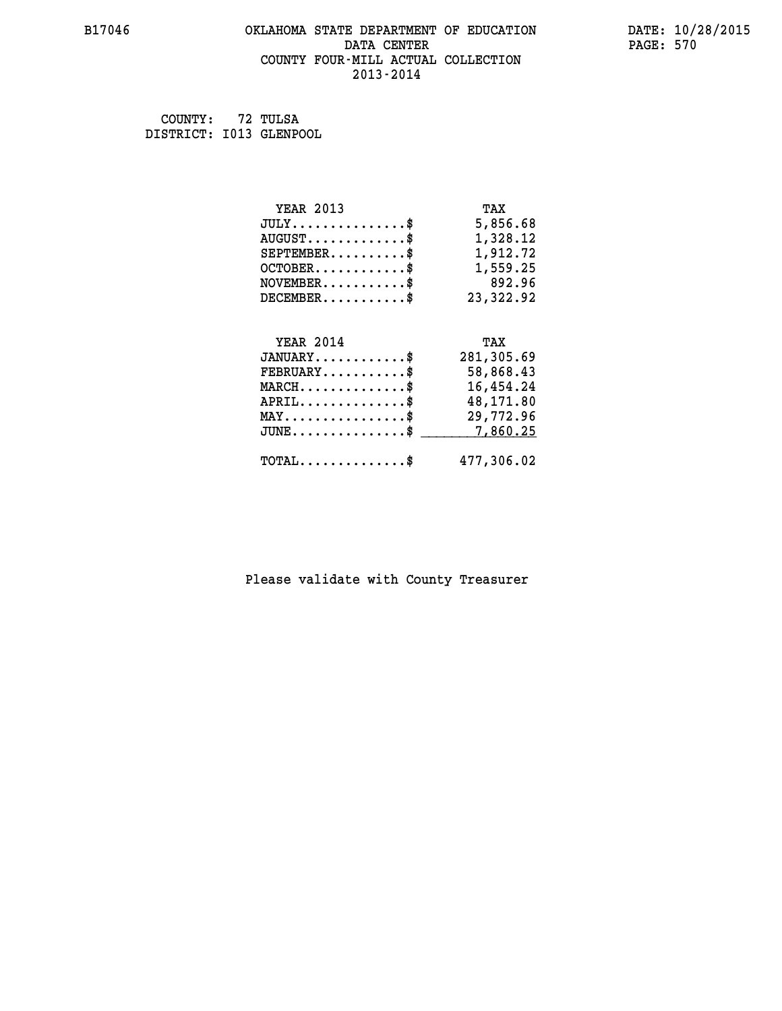# **B17046 OKLAHOMA STATE DEPARTMENT OF EDUCATION DATE: 10/28/2015 DATA CENTER PAGE: 570 COUNTY FOUR-MILL ACTUAL COLLECTION 2013-2014**

 **COUNTY: 72 TULSA DISTRICT: I013 GLENPOOL**

| <b>YEAR 2013</b>                                 | TAX        |
|--------------------------------------------------|------------|
| $JULY$ \$                                        | 5,856.68   |
| $AUGUST$ \$                                      | 1,328.12   |
| $SEPTEMBER$ \$                                   | 1,912.72   |
| $OCTOBER$ \$                                     | 1,559.25   |
| $NOVEMBER.$ \$                                   | 892.96     |
| $DECEMBER$ \$                                    | 23,322.92  |
|                                                  |            |
| <b>YEAR 2014</b>                                 | TAX        |
| $JANUARY$ \$                                     | 281,305.69 |
| $FEBRUARY$                                       | 58,868.43  |
| $MARCH$ \$                                       | 16,454.24  |
| $APRIL$ \$                                       | 48,171.80  |
| $\texttt{MAX} \dots \dots \dots \dots \dots \$   | 29,772.96  |
| $\texttt{JUNE} \dots \dots \dots \dots \dots \$$ | 7,860.25   |
| $\texttt{TOTAL} \dots \dots \dots \dots$ \$      | 477,306.02 |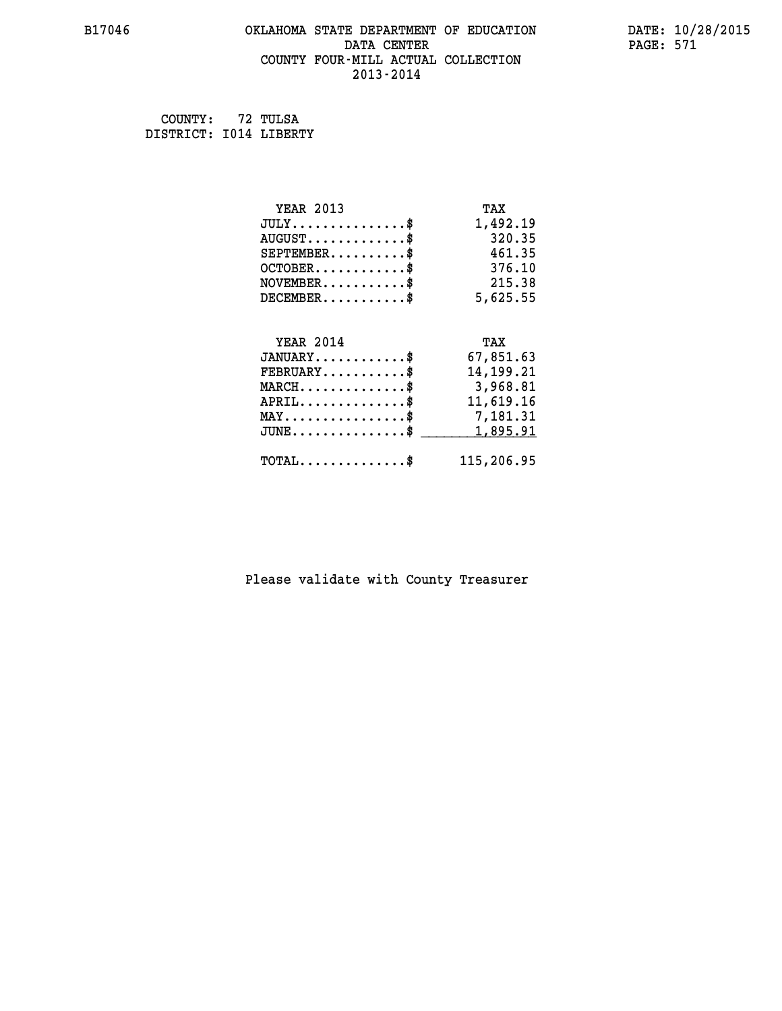# **B17046 OKLAHOMA STATE DEPARTMENT OF EDUCATION DATE: 10/28/2015 DATA CENTER** PAGE: 571  **COUNTY FOUR-MILL ACTUAL COLLECTION 2013-2014**

 **COUNTY: 72 TULSA DISTRICT: I014 LIBERTY**

| <b>YEAR 2013</b>                               | TAX        |
|------------------------------------------------|------------|
| $JULY$ \$                                      | 1,492.19   |
| $AUGUST$ \$                                    | 320.35     |
| $SEPTEMBER$ \$                                 | 461.35     |
| $OCTOBER$ \$                                   | 376.10     |
| $NOVEMBER$ \$                                  | 215.38     |
| $DECEMBER$ \$                                  | 5,625.55   |
|                                                |            |
| <b>YEAR 2014</b>                               | TAX        |
| $JANUARY$ \$                                   | 67,851.63  |
| $FEBRUARY$                                     | 14,199.21  |
| $MARCH$ \$                                     | 3,968.81   |
| $APRIL$ \$                                     | 11,619.16  |
| $\texttt{MAX} \dots \dots \dots \dots \dots \$ | 7,181.31   |
| $JUNE$ \$                                      | 1,895.91   |
| $\texttt{TOTAL} \dots \dots \dots \dots \$     | 115,206.95 |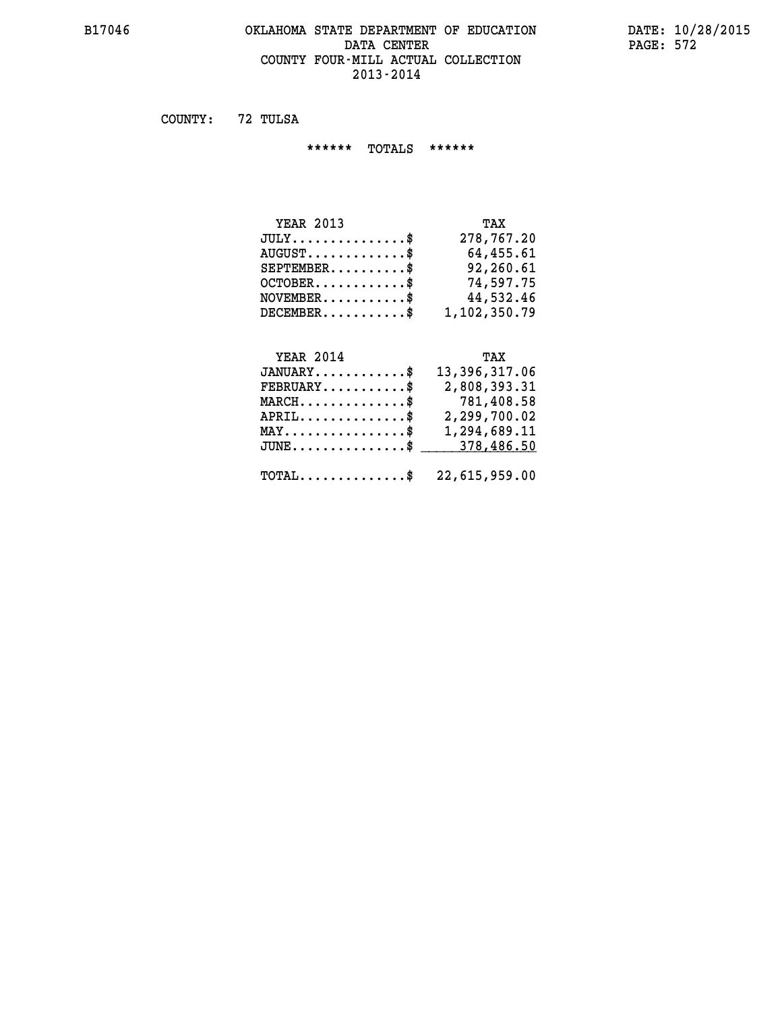# **B17046 OKLAHOMA STATE DEPARTMENT OF EDUCATION DATE: 10/28/2015 DATA CENTER** PAGE: 572  **COUNTY FOUR-MILL ACTUAL COLLECTION 2013-2014**

 **COUNTY: 72 TULSA**

 **\*\*\*\*\*\* TOTALS \*\*\*\*\*\***

| <b>YEAR 2013</b>                 | TAX          |
|----------------------------------|--------------|
| $JULY$ \$                        | 278,767.20   |
| $AUGUST \ldots \ldots \ldots$ \$ | 64,455.61    |
| $SEPTEMENT.$ \$                  | 92,260.61    |
| $OCTOBER$ $\frac{1}{2}$          | 74,597.75    |
| $NOVEMBER.$ \$                   | 44,532.46    |
| $DECEMBER$                       | 1,102,350.79 |

# **YEAR 2014 TAX**

| 13,396,317.06<br>$JANUARY$ \$                                  |
|----------------------------------------------------------------|
| 2,808,393.31<br>$\texttt{FEBRUARY} \dots \dots \dots \$        |
| 781,408.58<br>$MARCH$ \$                                       |
| 2,299,700.02<br>$APRIL$ \$                                     |
| 1,294,689.11<br>$\texttt{MAX} \dots \dots \dots \dots \dots \$ |
| JUNE\$ 378,486.50                                              |
|                                                                |
| $\texttt{TOTAL} \dots \dots \dots \dots \$ 22,615,959.00       |
|                                                                |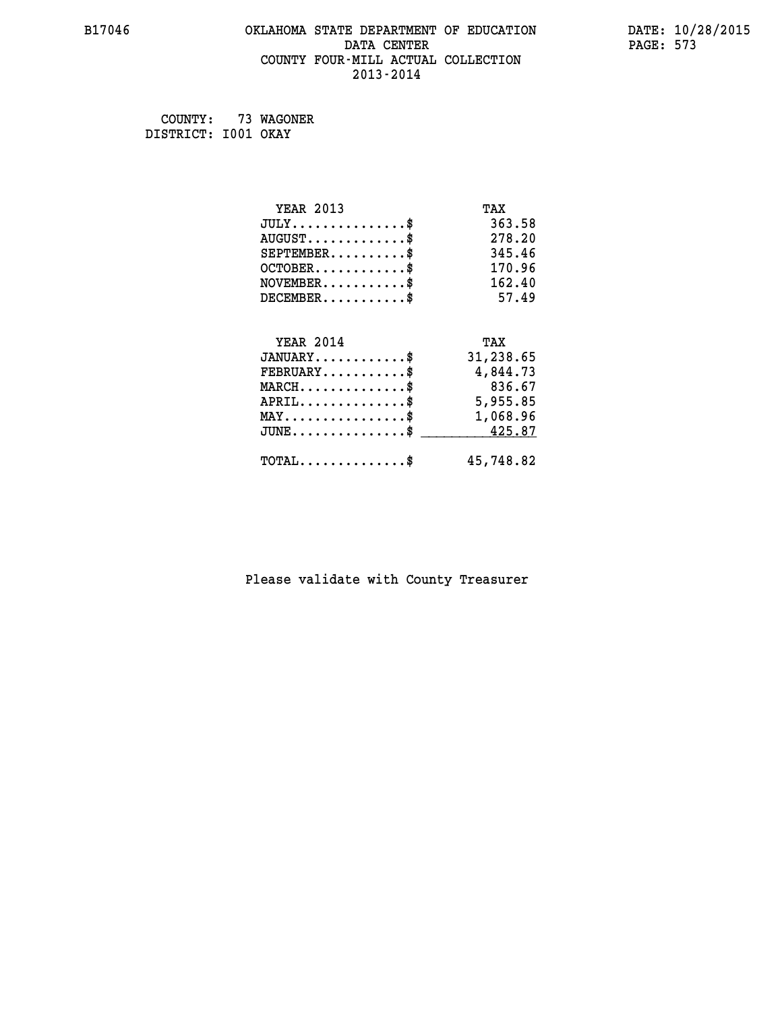# **B17046 OKLAHOMA STATE DEPARTMENT OF EDUCATION DATE: 10/28/2015 DATA CENTER** PAGE: 573  **COUNTY FOUR-MILL ACTUAL COLLECTION 2013-2014**

 **COUNTY: 73 WAGONER DISTRICT: I001 OKAY**

| <b>YEAR 2013</b>                               | TAX       |
|------------------------------------------------|-----------|
| $JULY$ \$                                      | 363.58    |
| $AUGUST$ \$                                    | 278.20    |
| $SEPTEMBER$ \$                                 | 345.46    |
| $OCTOBER$ \$                                   | 170.96    |
| $NOVEMBER$ \$                                  | 162.40    |
| $DECEMBER$ \$                                  | 57.49     |
|                                                |           |
| <b>YEAR 2014</b>                               | TAX       |
| $JANUARY$ \$                                   | 31,238.65 |
| $FEBRUARY$                                     | 4,844.73  |
| $MARCH$ \$                                     | 836.67    |
| $APRIL \ldots \ldots \ldots \ldots$            | 5,955.85  |
| $\texttt{MAX} \dots \dots \dots \dots \dots \$ | 1,068.96  |
| $\texttt{JUNE} \dots \dots \dots \dots \$$     | 425.87    |
| $\texttt{TOTAL} \dots \dots \dots \dots$ \$    | 45,748.82 |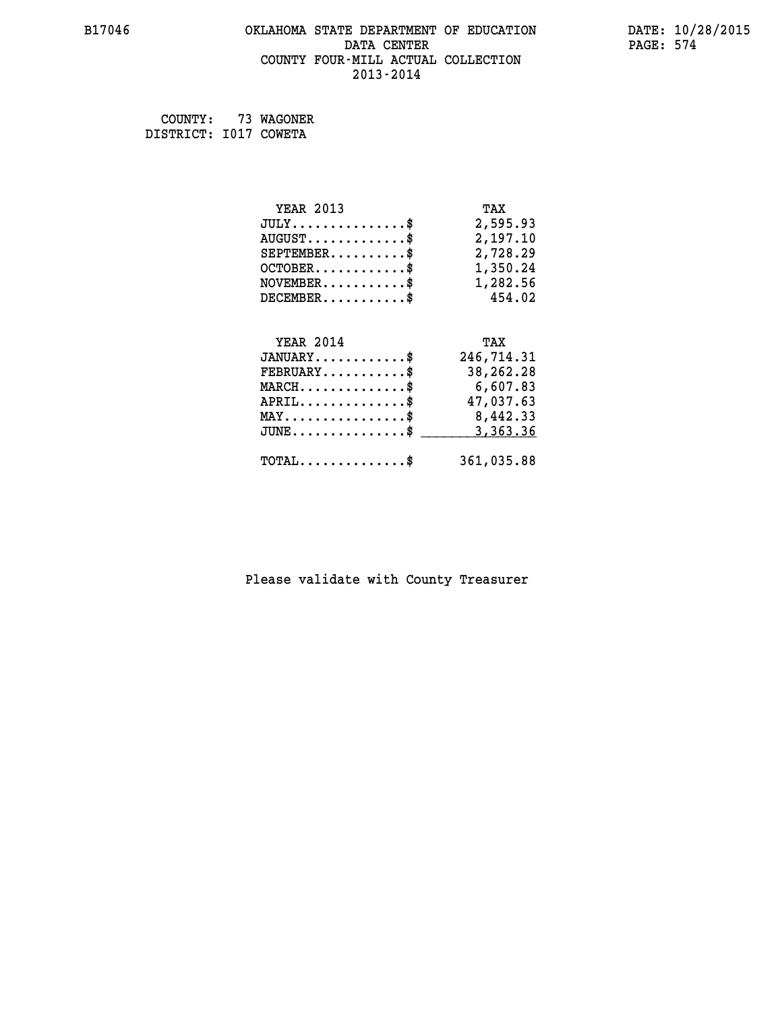# **B17046 OKLAHOMA STATE DEPARTMENT OF EDUCATION DATE: 10/28/2015** DATA CENTER PAGE: 574  **COUNTY FOUR-MILL ACTUAL COLLECTION 2013-2014**

 **COUNTY: 73 WAGONER DISTRICT: I017 COWETA**

| <b>YEAR 2013</b>                                | TAX        |
|-------------------------------------------------|------------|
| $JULY$ \$                                       | 2,595.93   |
| $AUGUST$ \$                                     | 2,197.10   |
| $SEPTEMBER$ \$                                  | 2,728.29   |
| $OCTOBER$ \$                                    | 1,350.24   |
| $\texttt{NOVEMBER} \dots \dots \dots \$         | 1,282.56   |
| $DECEMBER$ \$                                   | 454.02     |
|                                                 |            |
| <b>YEAR 2014</b>                                | TAX        |
| $JANUARY$ \$                                    | 246,714.31 |
| $FEBRUARY$ \$                                   | 38,262.28  |
| $MARCH$ \$                                      | 6,607.83   |
| $APRIL$ \$                                      | 47,037.63  |
| MAY\$ 8,442.33                                  |            |
| $J\texttt{UNE} \dots \dots \dots \dots \dots \$ | 3,363.36   |
| $\texttt{TOTAL} \dots \dots \dots \dots \$      | 361,035.88 |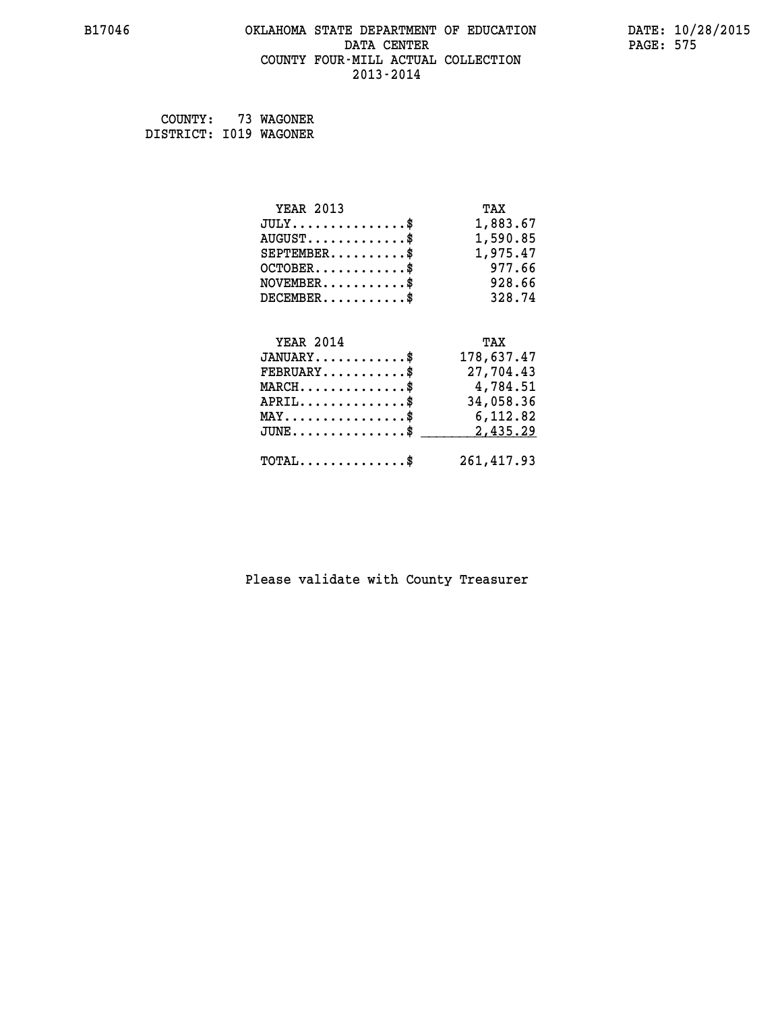# **B17046 OKLAHOMA STATE DEPARTMENT OF EDUCATION DATE: 10/28/2015 DATA CENTER** PAGE: 575  **COUNTY FOUR-MILL ACTUAL COLLECTION 2013-2014**

 **COUNTY: 73 WAGONER DISTRICT: I019 WAGONER**

| <b>YEAR 2013</b>                               | TAX        |
|------------------------------------------------|------------|
| $JULY$ \$                                      | 1,883.67   |
| $AUGUST$ \$                                    | 1,590.85   |
| $SEPTEMENT.$ \$                                | 1,975.47   |
| $OCTOBER$ \$                                   | 977.66     |
| $NOVEMBER$ \$                                  | 928.66     |
| $DECEMBER$ \$                                  | 328.74     |
|                                                |            |
| <b>YEAR 2014</b>                               | TAX        |
| $JANUARY$ \$                                   | 178,637.47 |
| $FEBRUARY$                                     | 27,704.43  |
| $MARCH$ \$                                     | 4,784.51   |
| $APRIL$ \$                                     | 34,058.36  |
| $\texttt{MAX} \dots \dots \dots \dots \dots \$ | 6,112.82   |
| $JUNE$ \$                                      | 2,435.29   |
| $\texttt{TOTAL} \dots \dots \dots \dots \$     | 261,417.93 |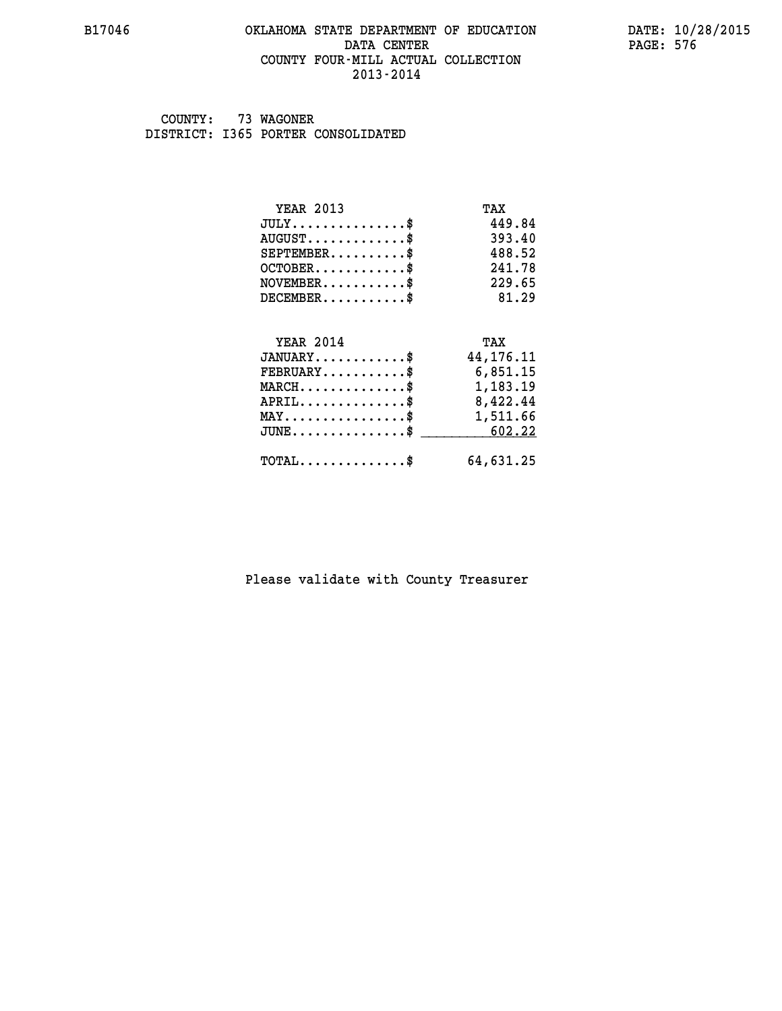# **B17046 OKLAHOMA STATE DEPARTMENT OF EDUCATION DATE: 10/28/2015 DATA CENTER** PAGE: 576  **COUNTY FOUR-MILL ACTUAL COLLECTION 2013-2014**

 **COUNTY: 73 WAGONER DISTRICT: I365 PORTER CONSOLIDATED**

| <b>YEAR 2013</b>                                   | TAX         |
|----------------------------------------------------|-------------|
| $JULY$ \$                                          | 449.84      |
| $AUGUST$ \$                                        | 393.40      |
| $SEPTEMENT.$ \$                                    | 488.52      |
| $OCTOBER$ \$                                       | 241.78      |
| $NOVEMBER.$ \$                                     | 229.65      |
| $DECEMBER$ \$                                      | 81.29       |
|                                                    |             |
| <b>YEAR 2014</b>                                   | TAX         |
| $JANUARY$ \$                                       | 44, 176. 11 |
| $FEBRUARY$                                         | 6,851.15    |
| $\texttt{MARCH}\ldots\ldots\ldots\ldots\text{*}$   | 1,183.19    |
| $APRIL \ldots \ldots \ldots \ldots \$              | 8,422.44    |
| $\texttt{MAX} \dots \dots \dots \dots \dots \$     | 1,511.66    |
| $\texttt{JUNE} \dots \dots \dots \dots \texttt{S}$ | 602.22      |
| $\texttt{TOTAL} \dots \dots \dots \dots \$         | 64,631.25   |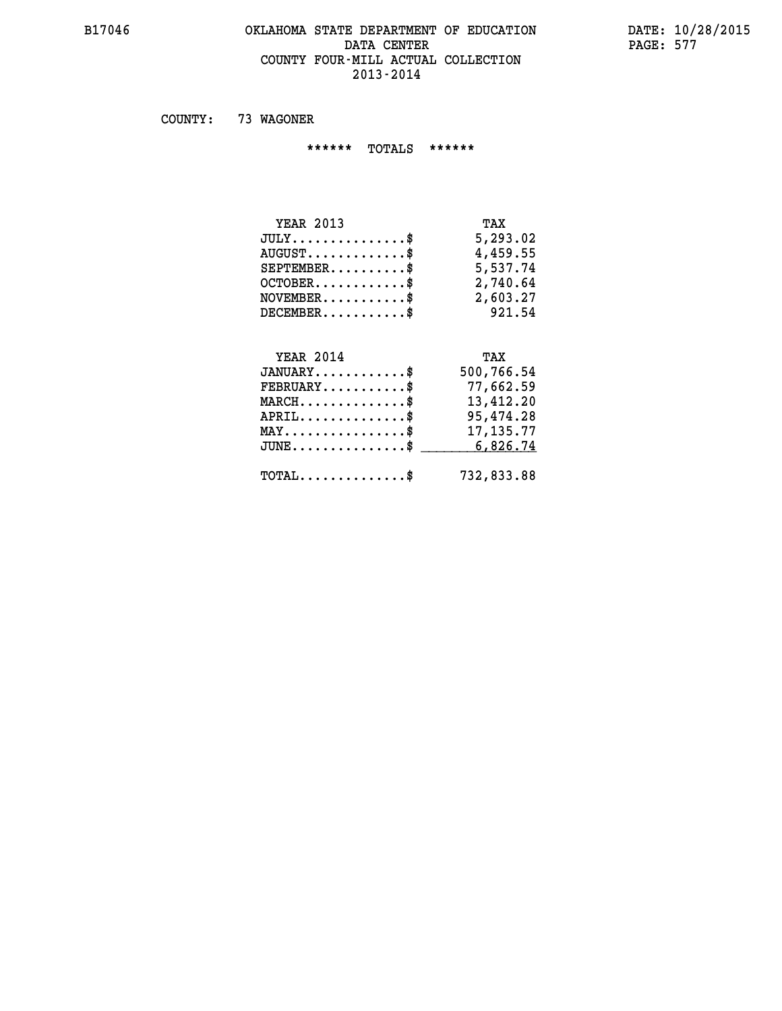#### **B17046 OKLAHOMA STATE DEPARTMENT OF EDUCATION DATE: 10/28/2015 DATA CENTER PAGE: 577 COUNTY FOUR-MILL ACTUAL COLLECTION 2013-2014**

 **COUNTY: 73 WAGONER**

 **\*\*\*\*\*\* TOTALS \*\*\*\*\*\***

| <b>YEAR 2013</b>                     | TAX      |
|--------------------------------------|----------|
| $JULY \ldots \ldots \ldots \ldots \$ | 5,293.02 |
| $AUGUST$ \$                          | 4,459.55 |
| $SEPTEMBER$                          | 5,537.74 |
| $OCTOBER$ \$                         | 2,740.64 |
| $NOVEMBER$ \$                        | 2,603.27 |
| $DECEMBER$                           | 921.54   |

## **YEAR 2014 TAX JANUARY............\$ 500,766.54 FEBRUARY...........\$ 77,662.59 MARCH..............\$ 13,412.20 APRIL..............\$ 95,474.28 MAY................\$ 17,135.77 JUNE................\$** \_\_\_\_\_\_\_\_\_\_6,826.74  **TOTAL..............\$ 732,833.88**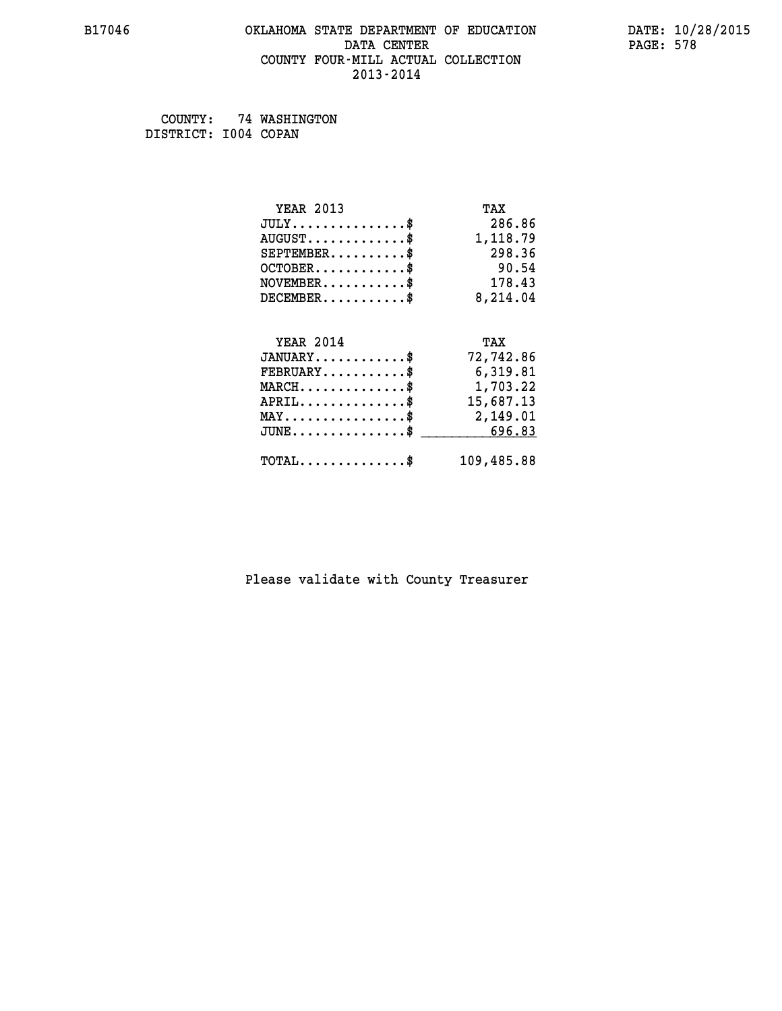#### **B17046 OKLAHOMA STATE DEPARTMENT OF EDUCATION DATE: 10/28/2015 DATA CENTER** PAGE: 578  **COUNTY FOUR-MILL ACTUAL COLLECTION 2013-2014**

 **COUNTY: 74 WASHINGTON DISTRICT: I004 COPAN**

| <b>YEAR 2013</b>                           | TAX        |
|--------------------------------------------|------------|
| $JULY$ \$                                  | 286.86     |
| $AUGUST$ \$                                | 1,118.79   |
| $SEPTEMBER$                                | 298.36     |
| $OCTOBER$ \$                               | 90.54      |
| $\texttt{NOVEMBER} \dots \dots \dots \$    | 178.43     |
| $DECEMBER$ \$                              | 8,214.04   |
|                                            |            |
| <b>YEAR 2014</b>                           | TAX        |
| $JANUARY$ \$                               | 72,742.86  |
| $FEBRUARY$                                 | 6,319.81   |
| $MARCH$ \$                                 | 1,703.22   |
| $APRIL$ \$                                 | 15,687.13  |
| MAY\$ 2,149.01                             |            |
| $JUNE$ \$                                  | 696.83     |
| $\texttt{TOTAL} \dots \dots \dots \dots \$ | 109,485.88 |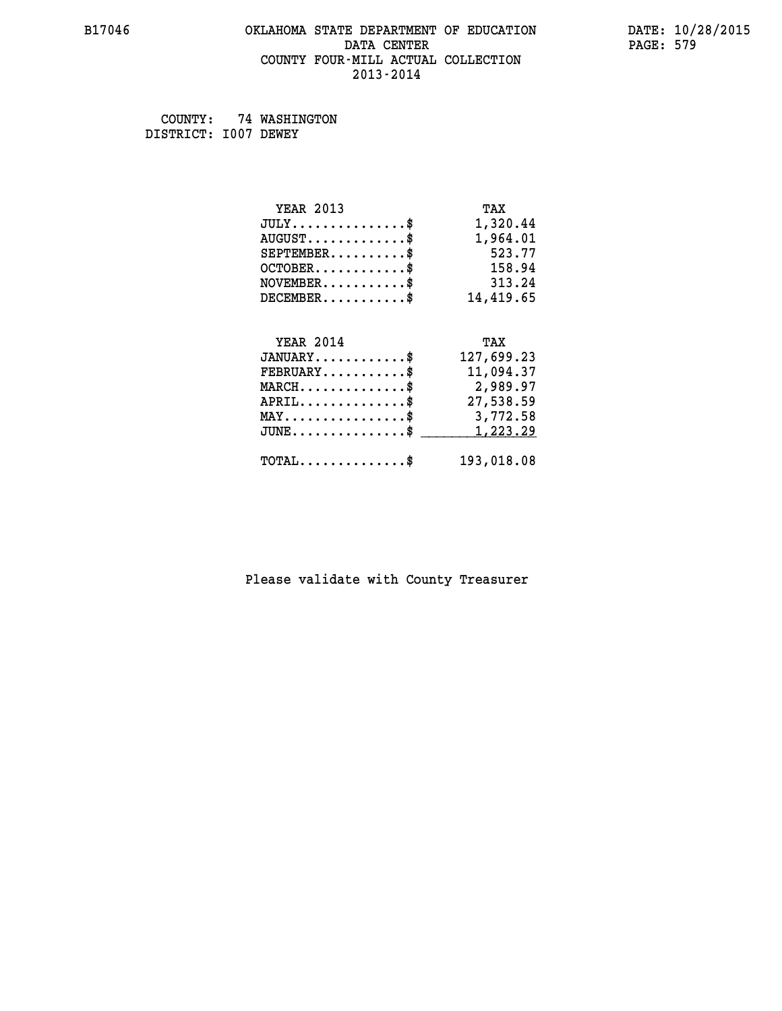#### **B17046 OKLAHOMA STATE DEPARTMENT OF EDUCATION DATE: 10/28/2015 DATA CENTER** PAGE: 579  **COUNTY FOUR-MILL ACTUAL COLLECTION 2013-2014**

 **COUNTY: 74 WASHINGTON DISTRICT: I007 DEWEY**

| <b>YEAR 2013</b>                                 | TAX        |
|--------------------------------------------------|------------|
| $JULY$ \$                                        | 1,320.44   |
| $AUGUST$ \$                                      | 1,964.01   |
| $SEPTEMBER$ \$                                   | 523.77     |
| $OCTOBER$ \$                                     | 158.94     |
| $\texttt{NOVEMBER} \dots \dots \dots \$          | 313.24     |
| $DECEMBER$ \$                                    | 14,419.65  |
|                                                  |            |
| <b>YEAR 2014</b>                                 |            |
|                                                  | TAX        |
| $JANUARY$ \$                                     | 127,699.23 |
| $FEBRUARY$                                       | 11,094.37  |
| $\texttt{MARCH}\ldots\ldots\ldots\ldots\text{*}$ | 2,989.97   |
| $APRIL \ldots \ldots \ldots \ldots$ \$           | 27,538.59  |
| MAY\$ 3,772.58                                   |            |
| $\texttt{JUNE} \dots \dots \dots \dots \dots \$$ | 1,223.29   |
| $\texttt{TOTAL} \dots \dots \dots \dots \$       | 193,018.08 |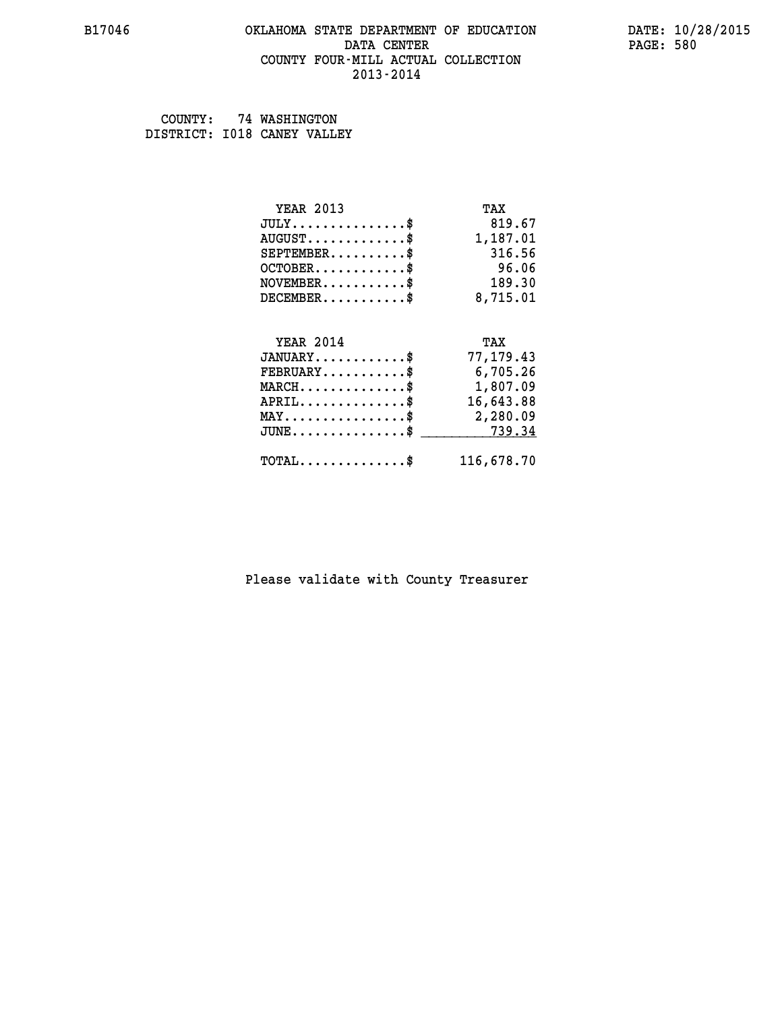#### **B17046 OKLAHOMA STATE DEPARTMENT OF EDUCATION DATE: 10/28/2015 DATA CENTER** PAGE: 580  **COUNTY FOUR-MILL ACTUAL COLLECTION 2013-2014**

 **COUNTY: 74 WASHINGTON DISTRICT: I018 CANEY VALLEY**

| <b>YEAR 2013</b>                               | TAX        |
|------------------------------------------------|------------|
| $JULY$ \$                                      | 819.67     |
| $AUGUST$ \$                                    | 1,187.01   |
| $SEPTEMENT.$ \$                                | 316.56     |
| $OCTOBER$ \$                                   | 96.06      |
| $NOVEMBER$ \$                                  | 189.30     |
| $DECEMBER$ \$                                  | 8,715.01   |
|                                                |            |
| <b>YEAR 2014</b>                               | TAX        |
| $JANUARY$ \$                                   | 77, 179.43 |
| $FEBRUARY$                                     | 6,705.26   |
| $MARCH$ \$                                     | 1,807.09   |
| $APRIL$ \$                                     | 16,643.88  |
| $\texttt{MAX} \dots \dots \dots \dots \dots \$ | 2,280.09   |
| $JUNE$ \$                                      | 739.34     |
| $\texttt{TOTAL} \dots \dots \dots \dots \$     | 116,678.70 |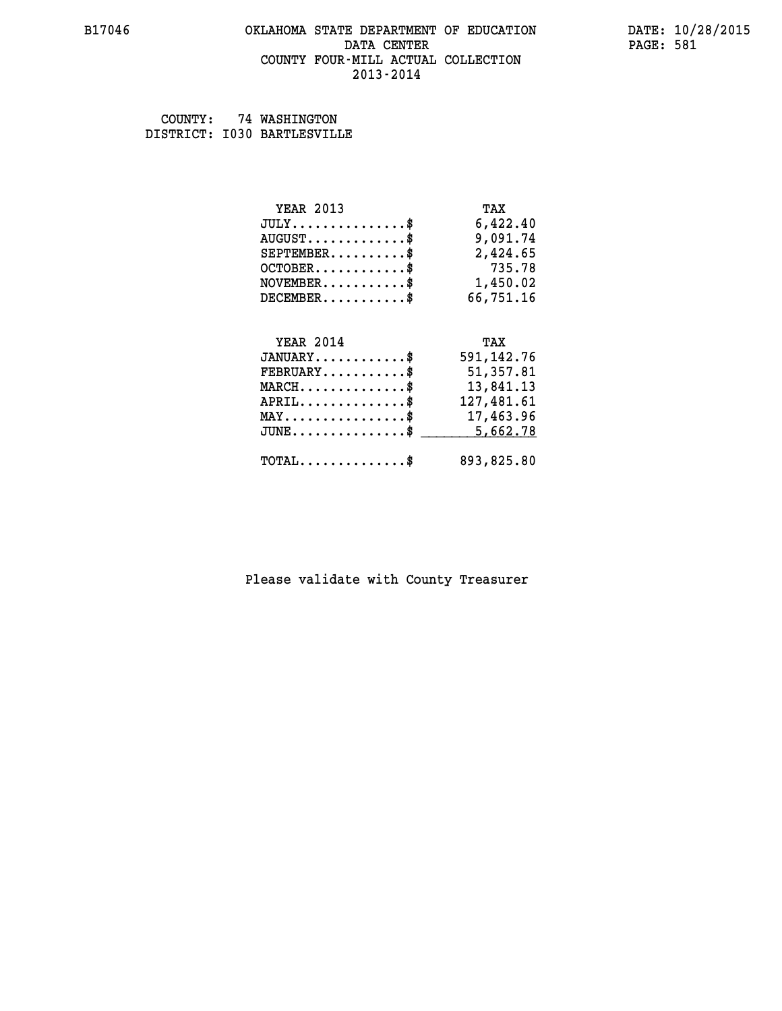#### **B17046 OKLAHOMA STATE DEPARTMENT OF EDUCATION DATE: 10/28/2015 DATA CENTER** PAGE: 581  **COUNTY FOUR-MILL ACTUAL COLLECTION 2013-2014**

 **COUNTY: 74 WASHINGTON DISTRICT: I030 BARTLESVILLE**

| <b>YEAR 2013</b>                             | TAX          |
|----------------------------------------------|--------------|
| $JULY$ \$                                    | 6,422.40     |
| $AUGUST$ \$                                  | 9,091.74     |
| $SEPTEMBER$ \$                               | 2,424.65     |
| $OCTOBER$ \$                                 | 735.78       |
| $NOVEMBER.$ \$                               | 1,450.02     |
| $DECEMBER$ \$                                | 66,751.16    |
|                                              |              |
| <b>YEAR 2014</b>                             | TAX          |
| $JANUARY$ \$                                 | 591, 142. 76 |
| $FEBRUARY$ \$                                | 51,357.81    |
| $\texttt{MARCH}\ldots\ldots\ldots\ldots\$    | 13,841.13    |
| $APRIL$ \$                                   | 127,481.61   |
| $\texttt{MAX} \dots \dots \dots \dots \dots$ | 17,463.96    |
| $JUNE$ \$                                    | 5,662.78     |
| $\texttt{TOTAL} \dots \dots \dots \dots \$   | 893,825.80   |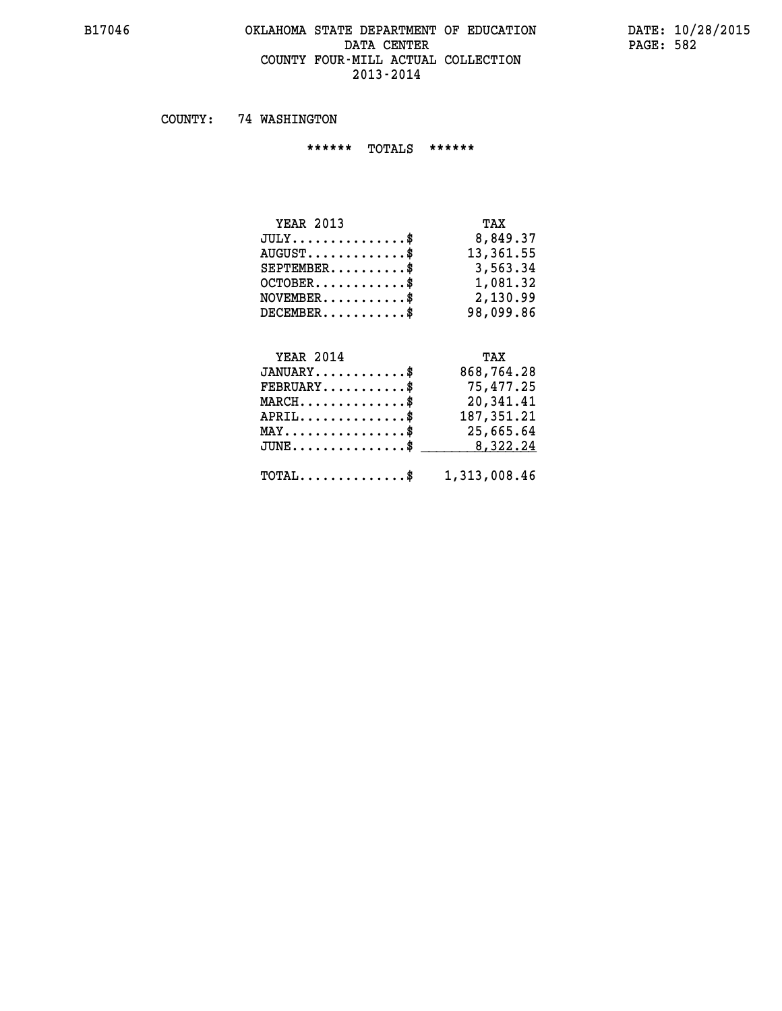#### **B17046 OKLAHOMA STATE DEPARTMENT OF EDUCATION DATE: 10/28/2015** DATA CENTER PAGE: 582  **COUNTY FOUR-MILL ACTUAL COLLECTION 2013-2014**

 **COUNTY: 74 WASHINGTON**

 **\*\*\*\*\*\* TOTALS \*\*\*\*\*\***

| <b>YEAR 2013</b>                 | TAX       |
|----------------------------------|-----------|
| $JULY$                           | 8,849.37  |
| $AUGUST \ldots \ldots \ldots$ \$ | 13,361.55 |
| $SEPTEMBER$                      | 3,563.34  |
| $OCTOBER$ \$                     | 1,081.32  |
| $NOVEMENTER$ \$                  | 2,130.99  |
| $DECEMBER$                       | 98,099.86 |

# **YEAR 2014 TAX**

| $JANUARY$                                               | 868,764.28 |
|---------------------------------------------------------|------------|
| $\texttt{FEBRUARY} \dots \dots \dots \$                 | 75,477.25  |
| $MARCH$ \$                                              | 20,341.41  |
| $APRIL$ \$                                              | 187,351.21 |
| $MAX \dots \dots \dots \dots \dots \$                   | 25,665.64  |
| JUNE\$ 8,322.24                                         |            |
| $\texttt{TOTAL} \dots \dots \dots \dots \$ 1,313,008.46 |            |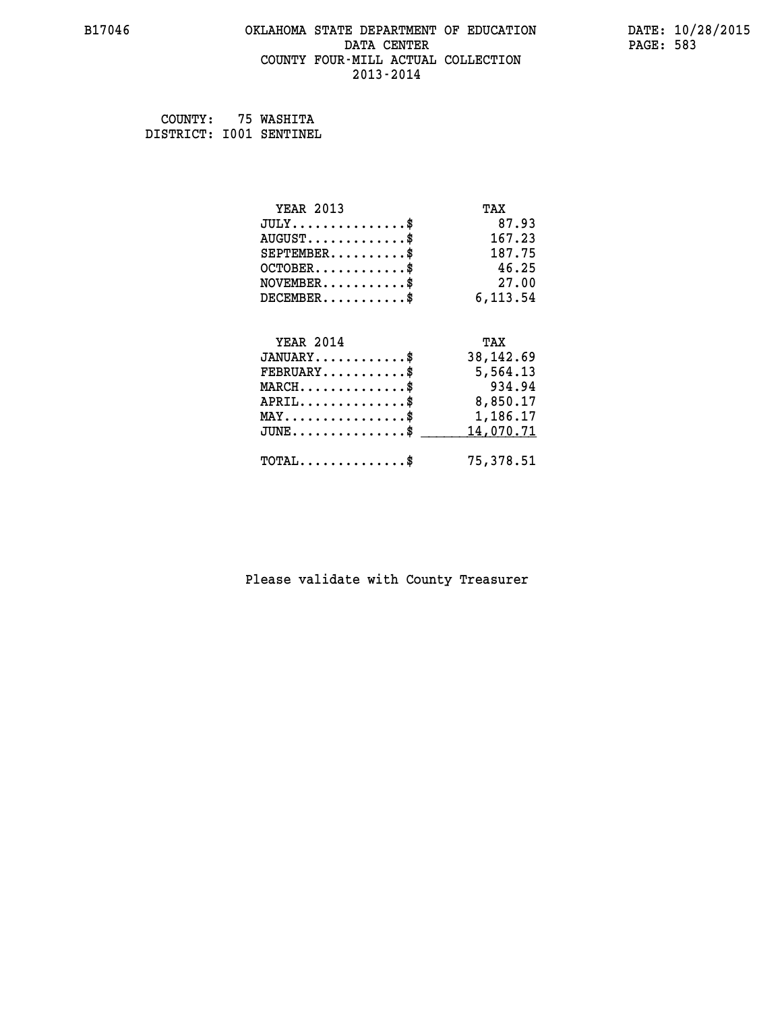### **B17046 OKLAHOMA STATE DEPARTMENT OF EDUCATION DATE: 10/28/2015** DATA CENTER PAGE: 583  **COUNTY FOUR-MILL ACTUAL COLLECTION 2013-2014**

 **COUNTY: 75 WASHITA DISTRICT: I001 SENTINEL**

| <b>YEAR 2013</b>                           | TAX        |
|--------------------------------------------|------------|
| $JULY$ \$                                  | 87.93      |
| $AUGUST$ \$                                | 167.23     |
| $SEPTEMBER$ \$                             | 187.75     |
| $OCTOBER$ \$                               | 46.25      |
| $\texttt{NOVEMBER} \dots \dots \dots \$    | 27.00      |
| $DECEMBER$ \$                              | 6,113.54   |
|                                            |            |
| <b>YEAR 2014</b>                           | TAX        |
| $JANUARY$ \$                               | 38, 142.69 |
| $FEBRUARY$                                 | 5,564.13   |
| $MARCH$ \$                                 | 934.94     |
| $APRIL \ldots \ldots \ldots \ldots \$      | 8,850.17   |
| MAY\$ 1,186.17                             |            |
| $JUNE$ \$                                  | 14,070.71  |
| $\texttt{TOTAL} \dots \dots \dots \dots \$ | 75,378.51  |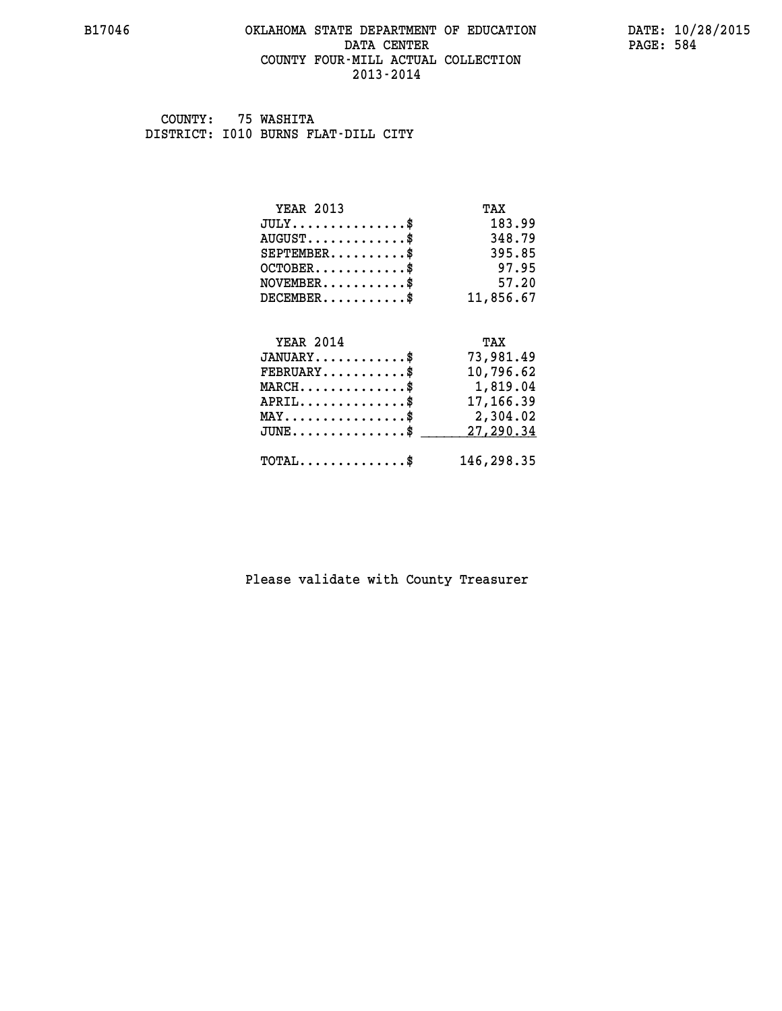#### **B17046 OKLAHOMA STATE DEPARTMENT OF EDUCATION DATE: 10/28/2015 DATA CENTER** PAGE: 584  **COUNTY FOUR-MILL ACTUAL COLLECTION 2013-2014**

 **COUNTY: 75 WASHITA DISTRICT: I010 BURNS FLAT-DILL CITY**

| <b>YEAR 2013</b>                           | TAX        |
|--------------------------------------------|------------|
| $JULY$ \$                                  | 183.99     |
| $AUGUST$ \$                                | 348.79     |
| $SEPTEMBER$ \$                             | 395.85     |
| $OCTOBER$ \$                               | 97.95      |
| $NOVEMBER$ \$                              | 57.20      |
| $DECEMBER$ \$                              | 11,856.67  |
|                                            |            |
| <b>YEAR 2014</b>                           | TAX        |
| $JANUARY$ \$                               | 73,981.49  |
| $FEBRUARY$                                 | 10,796.62  |
| $MARCH$ \$                                 | 1,819.04   |
| $APRIL$ \$                                 | 17,166.39  |
| $MAX \dots \dots \dots \dots \dots$        | 2,304.02   |
| $JUNE$                                     | 27,290.34  |
| $\texttt{TOTAL} \dots \dots \dots \dots \$ | 146,298.35 |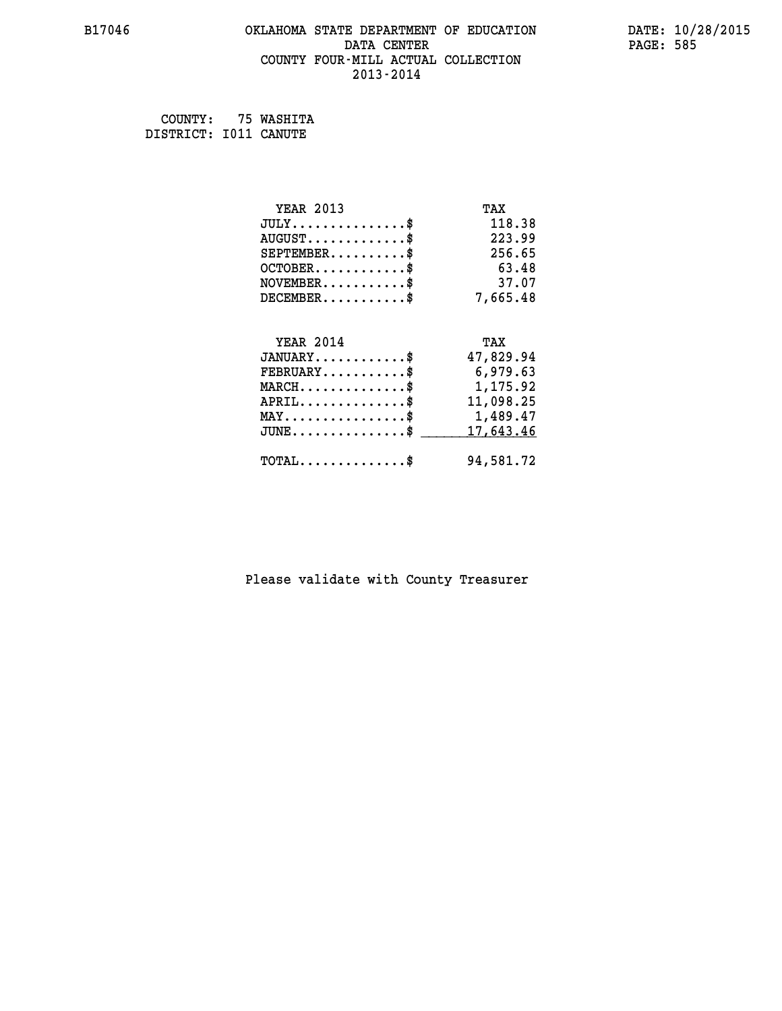#### **B17046 OKLAHOMA STATE DEPARTMENT OF EDUCATION DATE: 10/28/2015 DATA CENTER** PAGE: 585  **COUNTY FOUR-MILL ACTUAL COLLECTION 2013-2014**

 **COUNTY: 75 WASHITA DISTRICT: I011 CANUTE**

| <b>YEAR 2013</b>                                                          | TAX       |
|---------------------------------------------------------------------------|-----------|
| $JULY$ \$                                                                 | 118.38    |
| $AUGUST$ \$                                                               | 223.99    |
| $SEPTEMENT.$ \$                                                           | 256.65    |
| $OCTOBER$ \$                                                              | 63.48     |
| $\verb NOVEMBER , \verb , \verb , \verb , \verb , \verb , \verb , \verb $ | 37.07     |
| $DECEMBER$ \$                                                             | 7,665.48  |
|                                                                           |           |
| <b>YEAR 2014</b>                                                          | TAX       |
| $JANUARY$ \$                                                              | 47,829.94 |
| $FEBRUARY$                                                                | 6,979.63  |
| $MARCH$ \$                                                                | 1,175.92  |
| $APRIL.$ \$                                                               | 11,098.25 |
| MAY\$ 1,489.47                                                            |           |
| $JUNE$ \$                                                                 | 17,643.46 |
| $\texttt{TOTAL} \dots \dots \dots \dots \$                                | 94,581.72 |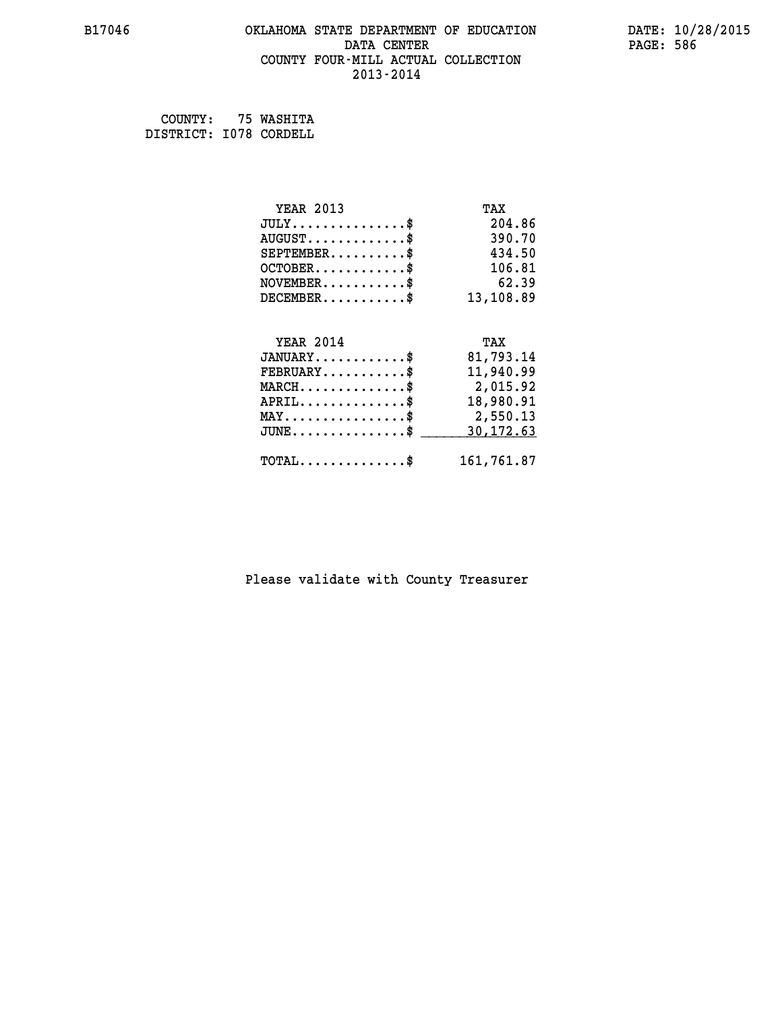#### **B17046 OKLAHOMA STATE DEPARTMENT OF EDUCATION DATE: 10/28/2015 DATA CENTER** PAGE: 586  **COUNTY FOUR-MILL ACTUAL COLLECTION 2013-2014**

 **COUNTY: 75 WASHITA DISTRICT: I078 CORDELL**

| <b>YEAR 2013</b>                               | TAX        |
|------------------------------------------------|------------|
| $JULY$ \$                                      | 204.86     |
| $AUGUST$ \$                                    | 390.70     |
| $SEPTEMENT.$ \$                                | 434.50     |
| $OCTOBER$ \$                                   | 106.81     |
| $\texttt{NOVEMBER} \dots \dots \dots \$        | 62.39      |
| $DECEMBER$ \$                                  | 13,108.89  |
|                                                |            |
| <b>YEAR 2014</b>                               | TAX        |
| $JANUARY$ \$                                   | 81,793.14  |
| $FEBRUARY$                                     | 11,940.99  |
| $MARCH$ \$                                     | 2,015.92   |
| $APRIL$ \$                                     | 18,980.91  |
| $\texttt{MAX} \dots \dots \dots \dots \dots \$ | 2,550.13   |
| $JUNE$ $$$                                     | 30,172.63  |
| $\texttt{TOTAL} \dots \dots \dots \dots \$     | 161,761.87 |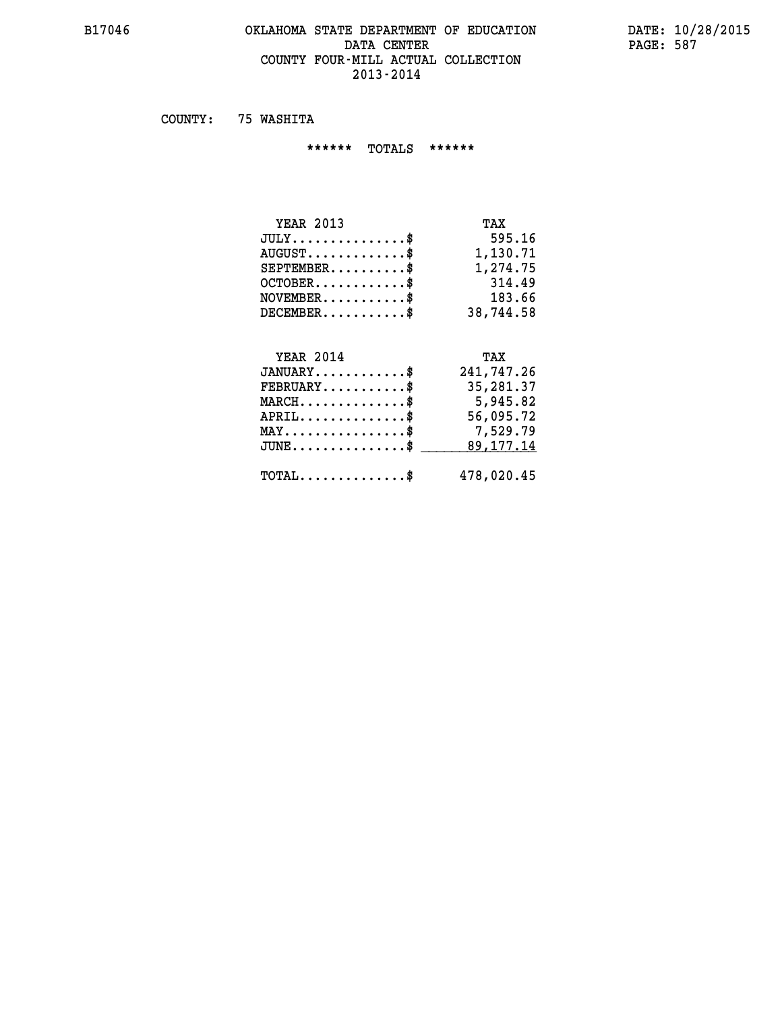#### **B17046 OKLAHOMA STATE DEPARTMENT OF EDUCATION DATE: 10/28/2015 DATA CENTER** PAGE: 587  **COUNTY FOUR-MILL ACTUAL COLLECTION 2013-2014**

 **COUNTY: 75 WASHITA**

 **\*\*\*\*\*\* TOTALS \*\*\*\*\*\***

| <b>YEAR 2013</b>                | TAX       |
|---------------------------------|-----------|
| $JULY$                          | 595.16    |
| $AUGUST \ldots \ldots \ldots \$ | 1,130.71  |
| $SEPTEMBER$                     | 1,274.75  |
| $OCTOBER$ $\$                   | 314.49    |
| $NOVEMBER$ \$                   | 183.66    |
| $DECEMBER$ \$                   | 38,744.58 |

## **YEAR 2014 TAX JANUARY............\$ 241,747.26 FEBRUARY...........\$ 35,281.37 MARCH..............\$ 5,945.82 APRIL..............\$ 56,095.72 MAY................\$ 7,529.79** JUNE..............\$ <u>\_\_\_\_\_\_\_\_ 89,177.14</u>  **TOTAL..............\$ 478,020.45**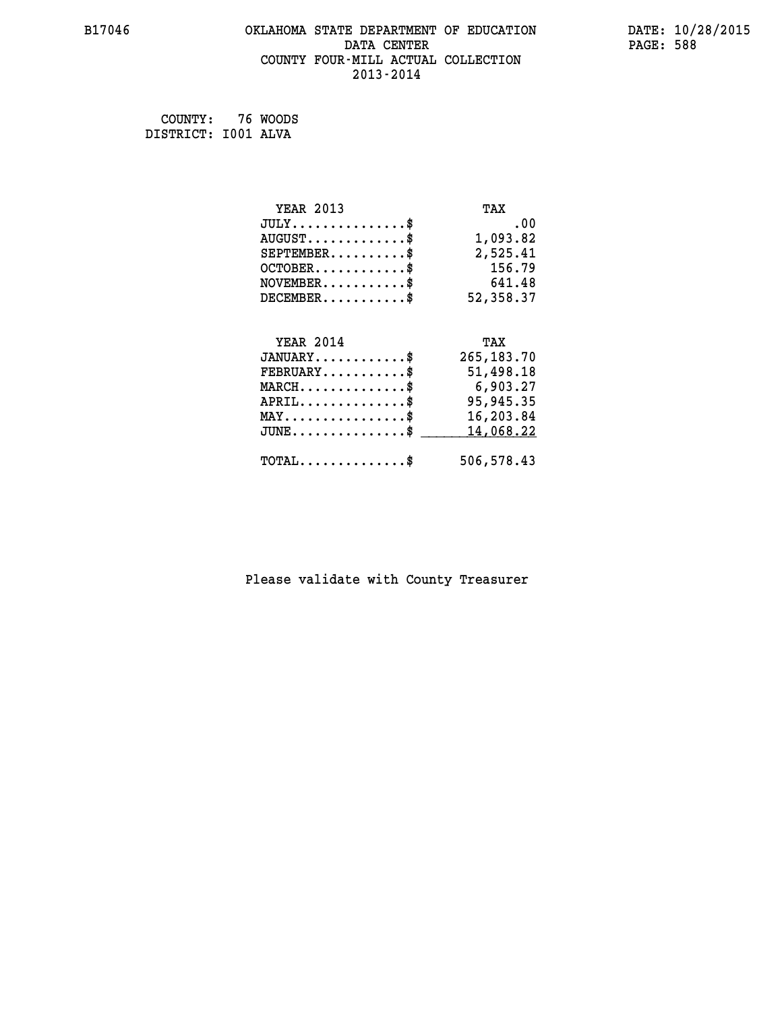#### **B17046 OKLAHOMA STATE DEPARTMENT OF EDUCATION DATE: 10/28/2015 DATA CENTER PAGE: 588 COUNTY FOUR-MILL ACTUAL COLLECTION 2013-2014**

 **COUNTY: 76 WOODS DISTRICT: I001 ALVA**

| <b>YEAR 2013</b>                                | TAX          |
|-------------------------------------------------|--------------|
| $JULY$ \$                                       | .00.         |
| $AUGUST$ \$                                     | 1,093.82     |
| $SEPTEMBER$ \$                                  | 2,525.41     |
| $OCTOBER$ \$                                    | 156.79       |
| $\texttt{NOVEMBER} \dots \dots \dots \$         | 641.48       |
| $DECEMBER$ \$                                   | 52,358.37    |
|                                                 |              |
| <b>YEAR 2014</b>                                | TAX          |
| $JANUARY$ \$                                    | 265, 183. 70 |
| $FEBRUARY$                                      | 51,498.18    |
|                                                 |              |
| $\texttt{MARCH}\ldots\ldots\ldots\ldots\$       | 6,903.27     |
| $APRIL \ldots \ldots \ldots \ldots \$           | 95,945.35    |
| $\texttt{MAX} \dots \dots \dots \dots \dots \$$ | 16,203.84    |
| $J\texttt{UNE} \dots \dots \dots \dots \dots \$ | 14,068.22    |
| $\texttt{TOTAL} \dots \dots \dots \dots \$      | 506,578.43   |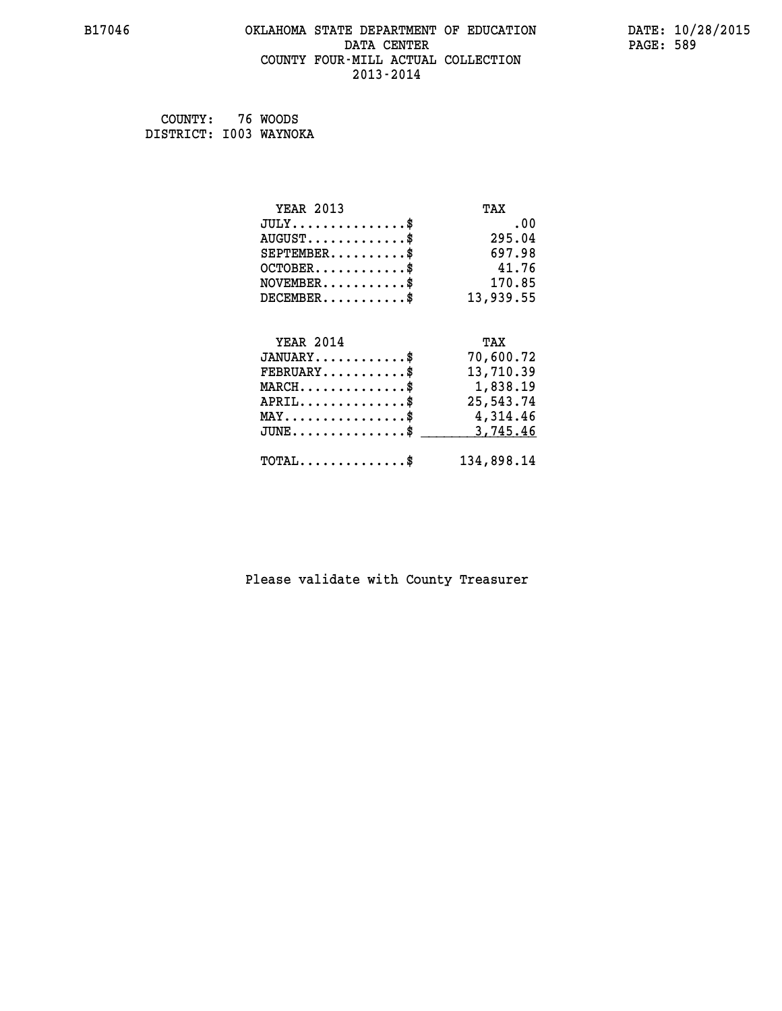#### **B17046 OKLAHOMA STATE DEPARTMENT OF EDUCATION DATE: 10/28/2015 DATA CENTER** PAGE: 589  **COUNTY FOUR-MILL ACTUAL COLLECTION 2013-2014**

 **COUNTY: 76 WOODS DISTRICT: I003 WAYNOKA**

| <b>YEAR 2013</b>                                 | TAX        |
|--------------------------------------------------|------------|
| $JULY$ \$                                        | .00        |
| $AUGUST$ \$                                      | 295.04     |
| $SEPTEMBER$ \$                                   | 697.98     |
| $OCTOBER$ \$                                     | 41.76      |
| $NOVEMBER.$ \$                                   | 170.85     |
| $DECEMBER$ \$                                    | 13,939.55  |
|                                                  |            |
| <b>YEAR 2014</b>                                 | TAX        |
| $JANUARY$ \$                                     | 70,600.72  |
| $FEBRUARY$                                       | 13,710.39  |
| $\texttt{MARCH}\ldots\ldots\ldots\ldots\text{*}$ | 1,838.19   |
| $APRIL \ldots \ldots \ldots \ldots \$            | 25,543.74  |
| $\texttt{MAX} \dots \dots \dots \dots \dots \$   | 4,314.46   |
| $\texttt{JUNE} \dots \dots \dots \dots \dots \$$ | 3,745.46   |
| $\texttt{TOTAL} \dots \dots \dots \dots \$       | 134,898.14 |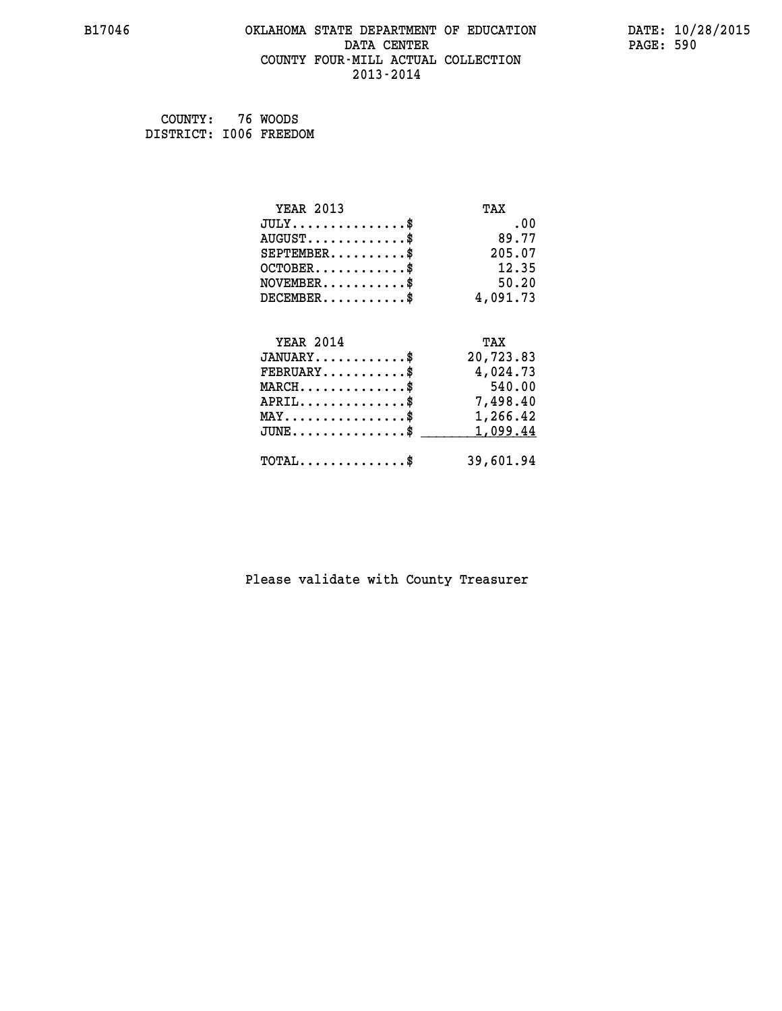#### **B17046 OKLAHOMA STATE DEPARTMENT OF EDUCATION DATE: 10/28/2015 DATA CENTER** PAGE: 590  **COUNTY FOUR-MILL ACTUAL COLLECTION 2013-2014**

 **COUNTY: 76 WOODS DISTRICT: I006 FREEDOM**

| <b>YEAR 2013</b>                               | TAX       |
|------------------------------------------------|-----------|
| $JULY$ \$                                      | .00       |
| $AUGUST$ \$                                    | 89.77     |
| $SEPTEMBER$ \$                                 | 205.07    |
| $OCTOBER$ \$                                   | 12.35     |
| $NOVEMBER$ \$                                  | 50.20     |
| $DECEMBER$ \$                                  | 4,091.73  |
|                                                |           |
| <b>YEAR 2014</b>                               | TAX       |
| $JANUARY$ \$                                   | 20,723.83 |
| $FEBRUARY$ \$                                  | 4,024.73  |
| $MARCH$ \$                                     | 540.00    |
| $APRIL$ \$                                     | 7,498.40  |
| $\texttt{MAX} \dots \dots \dots \dots \dots \$ | 1,266.42  |
| $JUNE$ \$                                      | 1,099.44  |
| $\texttt{TOTAL} \dots \dots \dots \dots \$     | 39,601.94 |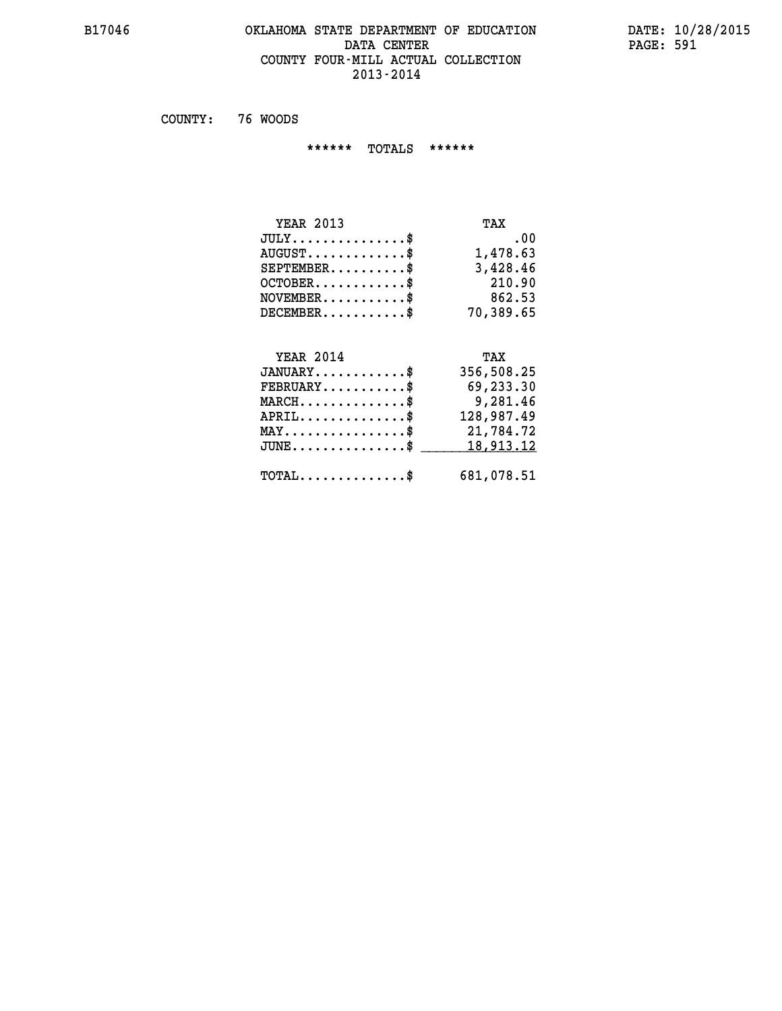#### **B17046 OKLAHOMA STATE DEPARTMENT OF EDUCATION DATE: 10/28/2015 DATA CENTER** PAGE: 591  **COUNTY FOUR-MILL ACTUAL COLLECTION 2013-2014**

 **COUNTY: 76 WOODS**

 **\*\*\*\*\*\* TOTALS \*\*\*\*\*\***

| <b>YEAR 2013</b>              | TAX       |
|-------------------------------|-----------|
| $JULY \ldots \ldots \ldots \$ | .00       |
| $AUGUST$                      | 1,478.63  |
| $SEPTEMBER$                   | 3,428.46  |
| $OCTOBER$ \$                  | 210.90    |
| $NOVEMBER$ \$                 | 862.53    |
| $DECEMBER$ \$                 | 70,389.65 |

## **YEAR 2014 TAX JANUARY............\$ 356,508.25 FEBRUARY...........\$ 69,233.30 MARCH..............\$ 9,281.46 APRIL..............\$ 128,987.49 MAY................\$ 21,784.72** JUNE..............\$ <u>18,913.12</u>  **TOTAL..............\$ 681,078.51**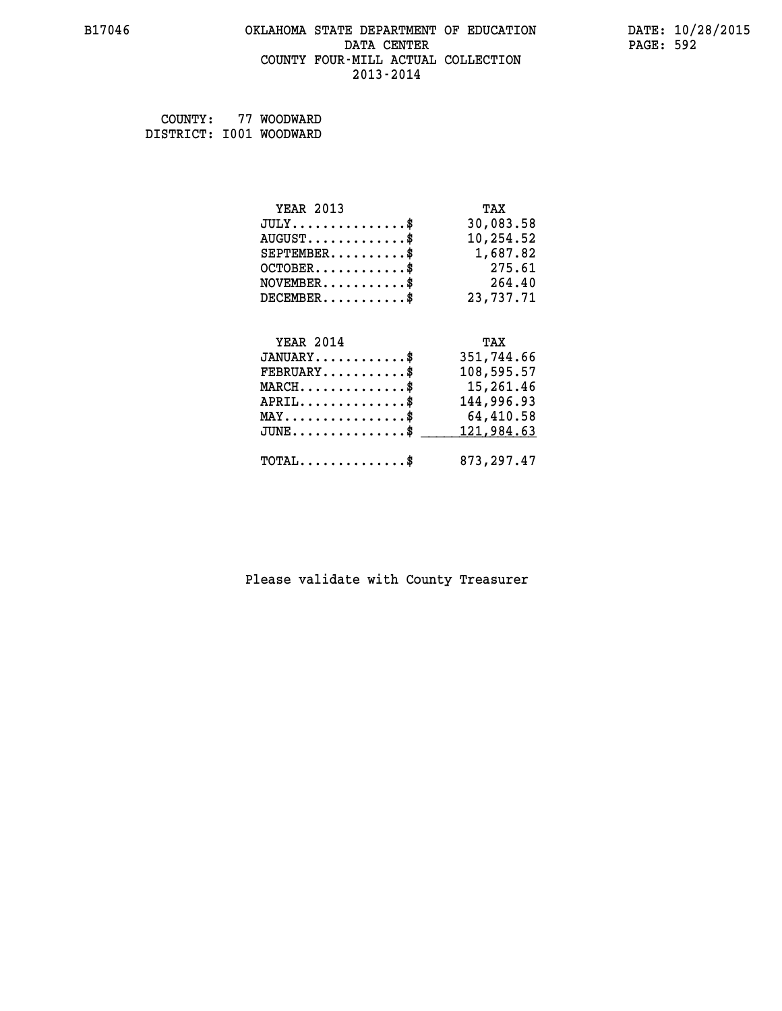#### **B17046 OKLAHOMA STATE DEPARTMENT OF EDUCATION DATE: 10/28/2015 DATA CENTER** PAGE: 592  **COUNTY FOUR-MILL ACTUAL COLLECTION 2013-2014**

 **COUNTY: 77 WOODWARD DISTRICT: I001 WOODWARD**

| <b>YEAR 2013</b>                               | TAX        |
|------------------------------------------------|------------|
| $JULY$ \$                                      | 30,083.58  |
| $AUGUST$ \$                                    | 10,254.52  |
| $SEPTEMBER$ \$                                 | 1,687.82   |
| $OCTOBER$ \$                                   | 275.61     |
| $\texttt{NOVEMBER} \dots \dots \dots \$        | 264.40     |
| $DECEMBER$ \$                                  | 23,737.71  |
|                                                |            |
|                                                |            |
| <b>YEAR 2014</b>                               | TAX        |
| $JANUARY$ \$                                   | 351,744.66 |
| $FEBRUARY$                                     | 108,595.57 |
| $MARCH$ \$                                     | 15,261.46  |
| $APRIL$ \$                                     | 144,996.93 |
| $\texttt{MAX} \dots \dots \dots \dots \dots \$ | 64,410.58  |
| $JUNE$ $$$                                     | 121,984.63 |
|                                                |            |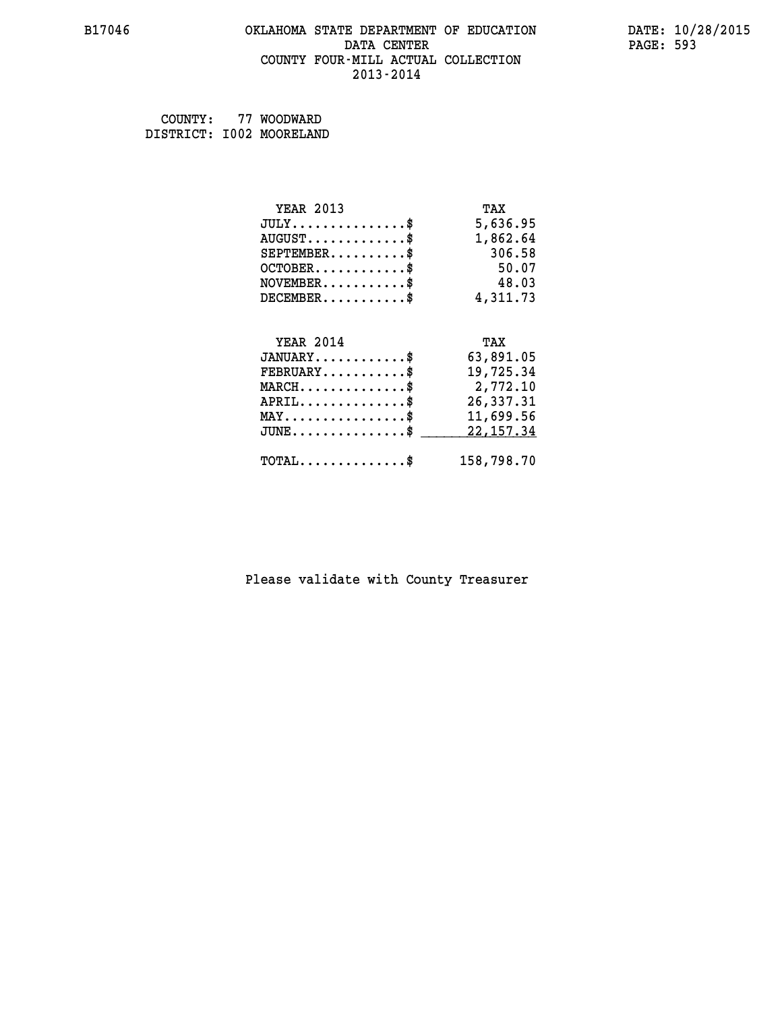#### **B17046 OKLAHOMA STATE DEPARTMENT OF EDUCATION DATE: 10/28/2015 DATA CENTER** PAGE: 593  **COUNTY FOUR-MILL ACTUAL COLLECTION 2013-2014**

 **COUNTY: 77 WOODWARD DISTRICT: I002 MOORELAND**

| <b>YEAR 2013</b>                               | TAX        |
|------------------------------------------------|------------|
| $JULY$ \$                                      | 5,636.95   |
| $AUGUST$ \$                                    | 1,862.64   |
| $SEPTEMBER$ \$                                 | 306.58     |
| $OCTOBER$ \$                                   | 50.07      |
| $NOVEMBER$ \$                                  | 48.03      |
| $DECEMBER$ \$                                  | 4,311.73   |
|                                                |            |
| <b>YEAR 2014</b>                               | TAX        |
| $JANUARY$ \$                                   | 63,891.05  |
| $FEBRUARY$ \$                                  | 19,725.34  |
| $MARCH$ \$                                     | 2,772.10   |
| $APRIL$ \$                                     | 26,337.31  |
| $\texttt{MAX} \dots \dots \dots \dots \dots \$ | 11,699.56  |
| $JUNE$ \$                                      | 22, 157.34 |
| $\texttt{TOTAL} \dots \dots \dots \dots \$     | 158,798.70 |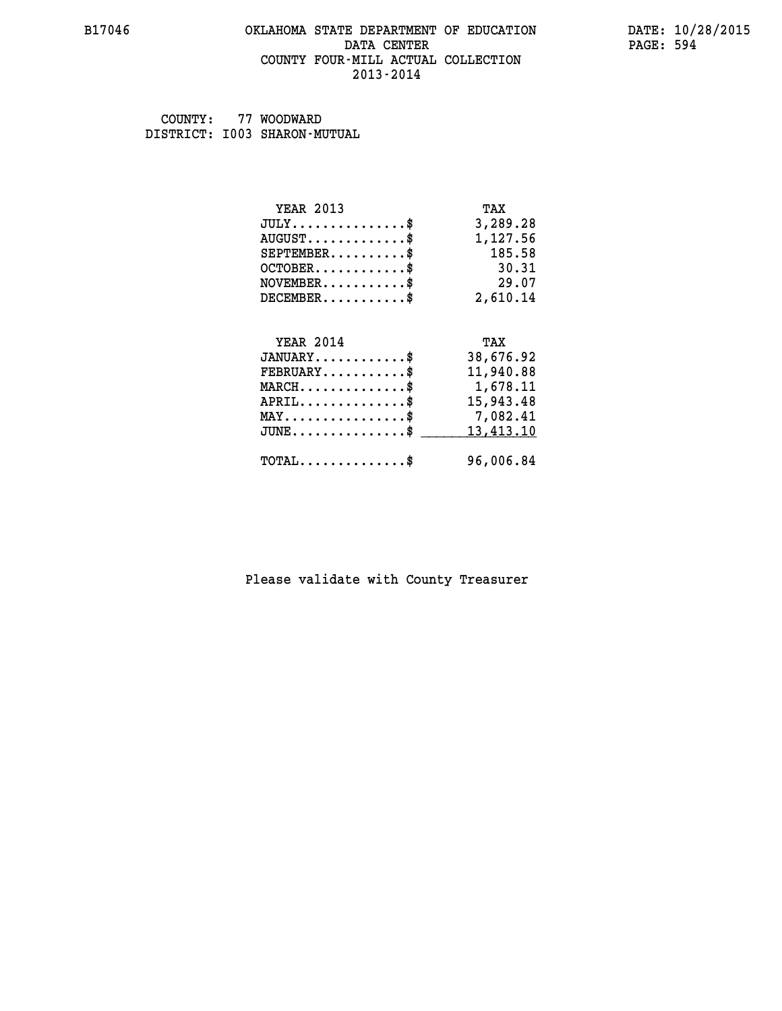#### **B17046 OKLAHOMA STATE DEPARTMENT OF EDUCATION DATE: 10/28/2015 DATA CENTER** PAGE: 594  **COUNTY FOUR-MILL ACTUAL COLLECTION 2013-2014**

 **COUNTY: 77 WOODWARD DISTRICT: I003 SHARON-MUTUAL**

| <b>YEAR 2013</b>                           | TAX       |
|--------------------------------------------|-----------|
| $JULY$ \$                                  | 3,289.28  |
| $AUGUST$ \$                                | 1,127.56  |
| $SEPTEMBER$ \$                             | 185.58    |
| $OCTOBER$ \$                               | 30.31     |
| $NOVEMBER$ \$                              | 29.07     |
| $DECEMBER$ \$                              | 2,610.14  |
|                                            |           |
| <b>YEAR 2014</b>                           | TAX       |
| $JANUARY$ \$                               | 38,676.92 |
| $FEBRUARY$                                 | 11,940.88 |
| $MARCH$ \$                                 | 1,678.11  |
| $APRIL$ \$                                 | 15,943.48 |
| $MAX \dots \dots \dots \dots \dots$        | 7,082.41  |
| $JUNE$ \$                                  | 13,413.10 |
| $\texttt{TOTAL} \dots \dots \dots \dots \$ | 96,006.84 |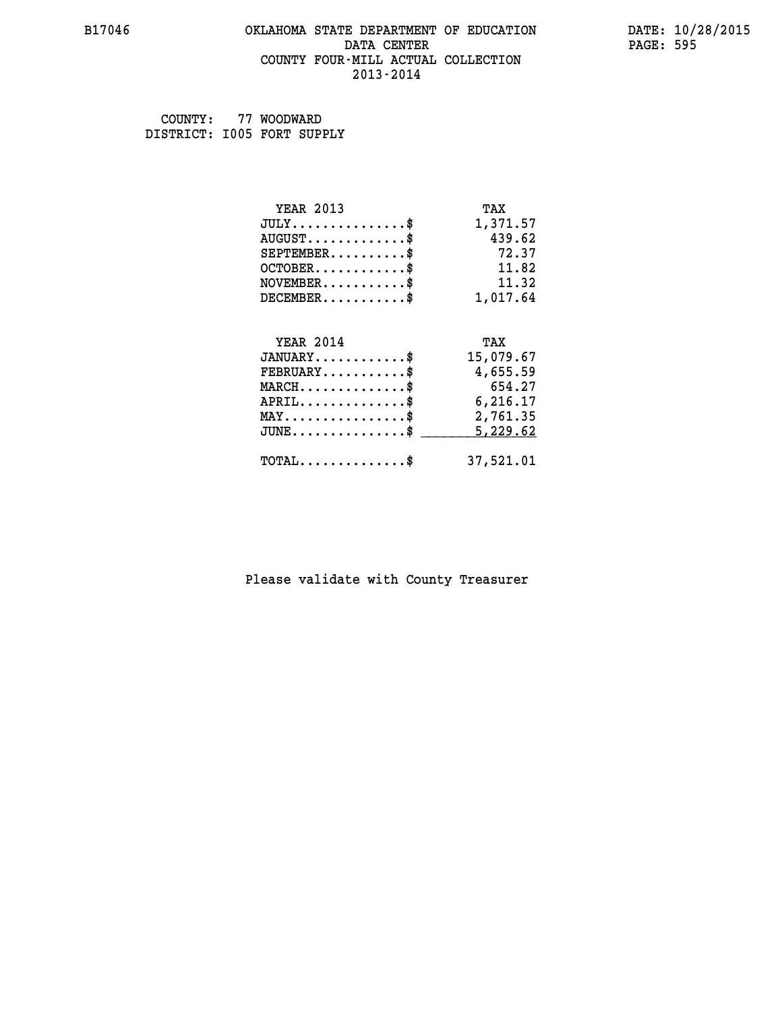#### **B17046 OKLAHOMA STATE DEPARTMENT OF EDUCATION DATE: 10/28/2015 DATA CENTER** PAGE: 595  **COUNTY FOUR-MILL ACTUAL COLLECTION 2013-2014**

 **COUNTY: 77 WOODWARD DISTRICT: I005 FORT SUPPLY**

| <b>YEAR 2013</b>                               | TAX       |
|------------------------------------------------|-----------|
| $JULY$ \$                                      | 1,371.57  |
| $AUGUST$ \$                                    | 439.62    |
| $SEPTEMBER$                                    | 72.37     |
| $OCTOBER$ \$                                   | 11.82     |
| $NOVEMBER$ \$                                  | 11.32     |
| $DECEMBER$ \$                                  | 1,017.64  |
|                                                |           |
| <b>YEAR 2014</b>                               | TAX       |
| $JANUARY$ \$                                   | 15,079.67 |
| $FEBRUARY$ \$                                  | 4,655.59  |
| $MARCH$ \$                                     | 654.27    |
|                                                |           |
| $APRIL$ \$                                     | 6,216.17  |
| $\texttt{MAX} \dots \dots \dots \dots \dots \$ | 2,761.35  |
| $JUNE$ \$                                      | 5,229.62  |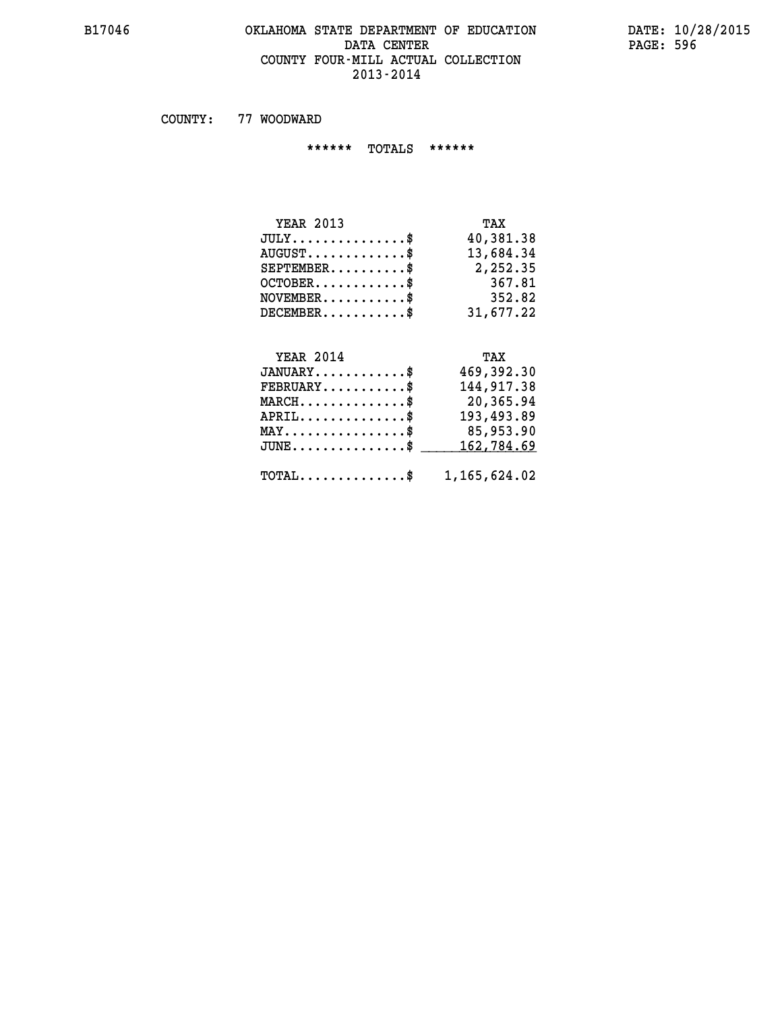#### **B17046 OKLAHOMA STATE DEPARTMENT OF EDUCATION DATE: 10/28/2015 DATA CENTER** PAGE: 596  **COUNTY FOUR-MILL ACTUAL COLLECTION 2013-2014**

 **COUNTY: 77 WOODWARD**

 **\*\*\*\*\*\* TOTALS \*\*\*\*\*\***

| <b>YEAR 2013</b>                          | TAX       |
|-------------------------------------------|-----------|
| $JULY$                                    | 40,381.38 |
| $\text{AUGUST} \dots \dots \dots \dots \$ | 13,684.34 |
| $SEPTEMBER$ \$                            | 2,252.35  |
| $OCTOBER$ \$                              | 367.81    |
| $NOVEMBER$ \$                             | 352.82    |
| $DECEMBER$ \$                             | 31,677.22 |

### **YEAR 2014**

| <b>YEAR 2014</b>                                    | TAX          |
|-----------------------------------------------------|--------------|
| $JANUARY$ \$                                        | 469,392.30   |
| $FEBRUARY$ \$                                       | 144,917.38   |
| $MARCH$ \$                                          | 20,365.94    |
| $APRIL$ \$                                          | 193,493.89   |
| $MAX \dots \dots \dots \dots \$                     | 85,953.90    |
| $JUNE$ \$                                           | 162,784.69   |
| $\texttt{TOTAL} \dots \dots \dots \dots \texttt{S}$ | 1,165,624.02 |